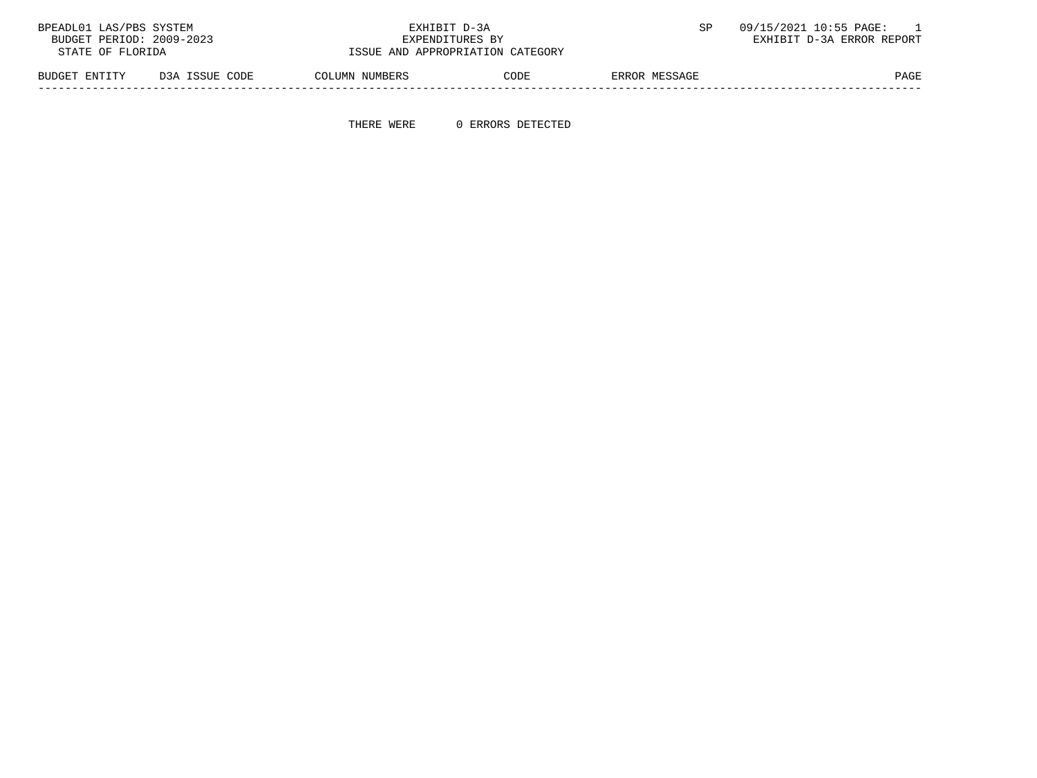| BPEADL01 LAS/PBS SYSTEM  |                | EXHIBIT D-3A    |                                  |               | 09/15/2021 10:55 PAGE:    |
|--------------------------|----------------|-----------------|----------------------------------|---------------|---------------------------|
| BUDGET PERIOD: 2009-2023 |                | EXPENDITURES BY |                                  |               | EXHIBIT D-3A ERROR REPORT |
| STATE OF FLORIDA         |                |                 | ISSUE AND APPROPRIATION CATEGORY |               |                           |
| BUDGET ENTITY            | D3A ISSUE CODE | COLUMN NUMBERS  | CODE                             | ERROR MESSAGE | PAGE                      |

-----------------------------------------------------------------------------------------------------------------------------------

THERE WERE 0 ERRORS DETECTED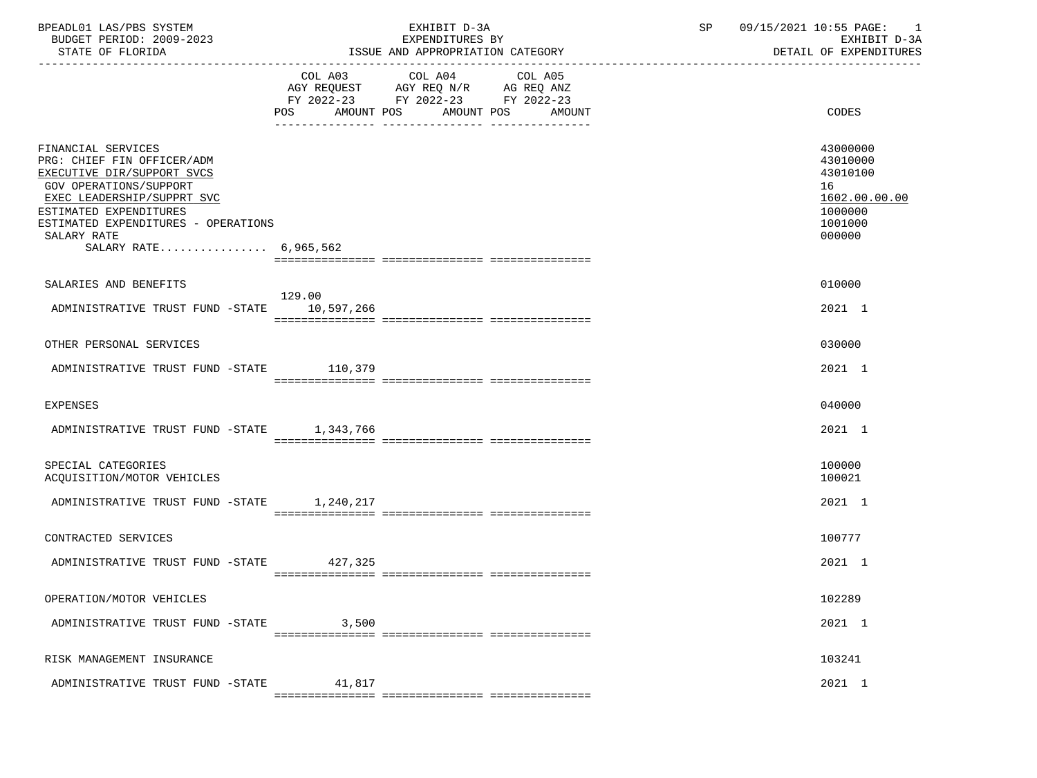| BPEADL01 LAS/PBS SYSTEM<br>BUDGET PERIOD: 2009-2023<br>STATE OF FLORIDA                                                                                                                                                                         |                      | EXHIBIT D-3A<br>EXPENDITURES BY<br>ISSUE AND APPROPRIATION CATEGORY                                                                   | SP | 09/15/2021 10:55 PAGE: 1<br>EXHIBIT D-3A<br>DETAIL OF EXPENDITURES                      |
|-------------------------------------------------------------------------------------------------------------------------------------------------------------------------------------------------------------------------------------------------|----------------------|---------------------------------------------------------------------------------------------------------------------------------------|----|-----------------------------------------------------------------------------------------|
|                                                                                                                                                                                                                                                 |                      | COL A03 COL A04 COL A05<br>AGY REQUEST AGY REQ N/R AG REQ ANZ<br>FY 2022-23 FY 2022-23 FY 2022-23<br>POS AMOUNT POS AMOUNT POS AMOUNT |    | CODES                                                                                   |
| FINANCIAL SERVICES<br>PRG: CHIEF FIN OFFICER/ADM<br>EXECUTIVE DIR/SUPPORT SVCS<br>GOV OPERATIONS/SUPPORT<br>EXEC LEADERSHIP/SUPPRT SVC<br>ESTIMATED EXPENDITURES<br>ESTIMATED EXPENDITURES - OPERATIONS<br>SALARY RATE<br>SALARY RATE 6,965,562 |                      |                                                                                                                                       |    | 43000000<br>43010000<br>43010100<br>16<br>1602.00.00.00<br>1000000<br>1001000<br>000000 |
| SALARIES AND BENEFITS                                                                                                                                                                                                                           | 129.00               |                                                                                                                                       |    | 010000                                                                                  |
| ADMINISTRATIVE TRUST FUND -STATE 10,597,266                                                                                                                                                                                                     |                      |                                                                                                                                       |    | 2021 1                                                                                  |
| OTHER PERSONAL SERVICES                                                                                                                                                                                                                         |                      |                                                                                                                                       |    | 030000                                                                                  |
| ADMINISTRATIVE TRUST FUND -STATE 110,379                                                                                                                                                                                                        |                      |                                                                                                                                       |    | 2021 1                                                                                  |
| <b>EXPENSES</b>                                                                                                                                                                                                                                 |                      |                                                                                                                                       |    | 040000                                                                                  |
| ADMINISTRATIVE TRUST FUND -STATE 1,343,766                                                                                                                                                                                                      |                      |                                                                                                                                       |    | 2021 1                                                                                  |
| SPECIAL CATEGORIES<br>ACQUISITION/MOTOR VEHICLES                                                                                                                                                                                                |                      |                                                                                                                                       |    | 100000<br>100021                                                                        |
| ADMINISTRATIVE TRUST FUND -STATE 1,240,217                                                                                                                                                                                                      |                      |                                                                                                                                       |    | 2021 1                                                                                  |
| CONTRACTED SERVICES                                                                                                                                                                                                                             |                      |                                                                                                                                       |    | 100777                                                                                  |
| ADMINISTRATIVE TRUST FUND -STATE 427,325                                                                                                                                                                                                        |                      |                                                                                                                                       |    | 2021 1                                                                                  |
| OPERATION/MOTOR VEHICLES                                                                                                                                                                                                                        |                      |                                                                                                                                       |    | 102289                                                                                  |
| ADMINISTRATIVE TRUST FUND -STATE                                                                                                                                                                                                                | 3,500                |                                                                                                                                       |    | 2021 1                                                                                  |
| RISK MANAGEMENT INSURANCE                                                                                                                                                                                                                       |                      |                                                                                                                                       |    | 103241                                                                                  |
| ADMINISTRATIVE TRUST FUND -STATE                                                                                                                                                                                                                | 41,817<br>========== |                                                                                                                                       |    | 2021 1                                                                                  |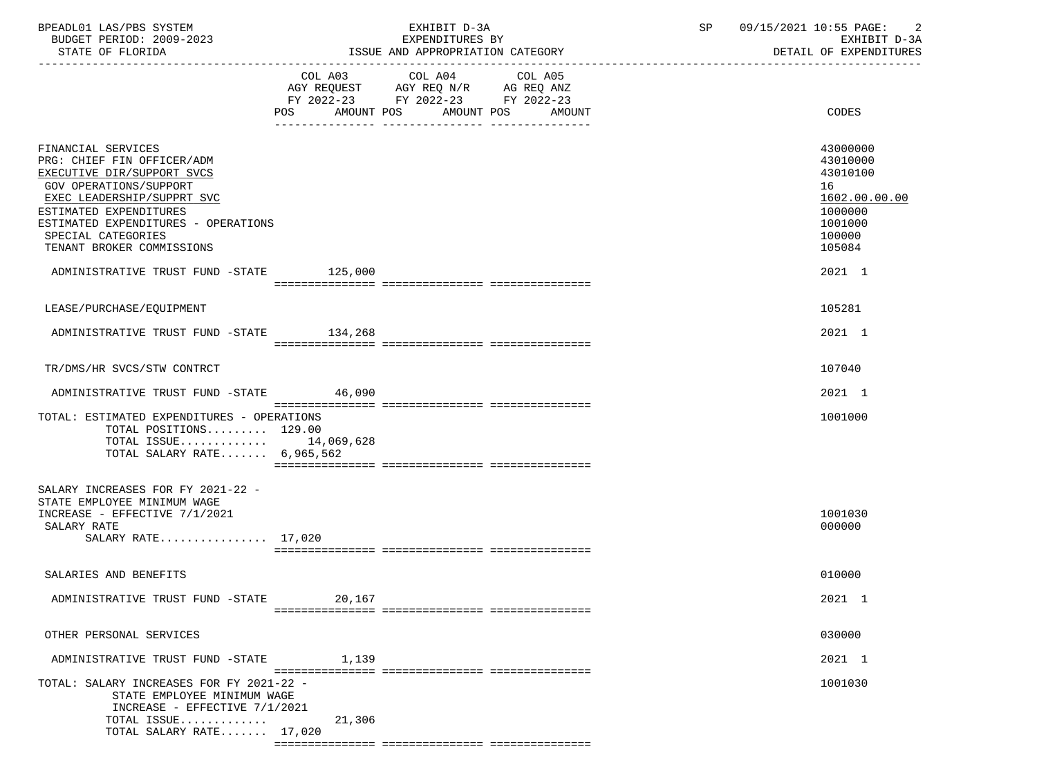| BPEADL01 LAS/PBS SYSTEM  | EXHIBIT D-3A                     | 09/15/2021 10:55 PAGE: |
|--------------------------|----------------------------------|------------------------|
| BUDGET PERIOD: 2009-2023 | EXPENDITURES BY                  | EXHIBIT D-3A           |
| STATE OF FLORIDA         | ISSUE AND APPROPRIATION CATEGORY | DETAIL OF EXPENDITURES |

ISSUE AND APPROPRIATION CATEGORY -----------------------------------------------------------------------------------------------------------------------------------

|                                                                                                                                                                                                                                                            | COL A03<br>COL A05<br>COL A04<br>AGY REQUEST AGY REQ N/R<br>AG REQ ANZ<br>FY 2022-23 FY 2022-23 FY 2022-23<br>POS<br>AMOUNT POS<br>AMOUNT POS<br>AMOUNT | CODES                                                                                             |
|------------------------------------------------------------------------------------------------------------------------------------------------------------------------------------------------------------------------------------------------------------|---------------------------------------------------------------------------------------------------------------------------------------------------------|---------------------------------------------------------------------------------------------------|
| FINANCIAL SERVICES<br>PRG: CHIEF FIN OFFICER/ADM<br>EXECUTIVE DIR/SUPPORT SVCS<br>GOV OPERATIONS/SUPPORT<br>EXEC LEADERSHIP/SUPPRT SVC<br>ESTIMATED EXPENDITURES<br>ESTIMATED EXPENDITURES - OPERATIONS<br>SPECIAL CATEGORIES<br>TENANT BROKER COMMISSIONS |                                                                                                                                                         | 43000000<br>43010000<br>43010100<br>16<br>1602.00.00.00<br>1000000<br>1001000<br>100000<br>105084 |
| ADMINISTRATIVE TRUST FUND -STATE                                                                                                                                                                                                                           | 125,000                                                                                                                                                 | 2021 1                                                                                            |
| LEASE/PURCHASE/EQUIPMENT                                                                                                                                                                                                                                   |                                                                                                                                                         | 105281                                                                                            |
| ADMINISTRATIVE TRUST FUND -STATE 134,268                                                                                                                                                                                                                   |                                                                                                                                                         | 2021 1                                                                                            |
| TR/DMS/HR SVCS/STW CONTRCT                                                                                                                                                                                                                                 |                                                                                                                                                         | 107040                                                                                            |
| ADMINISTRATIVE TRUST FUND -STATE                                                                                                                                                                                                                           | 46,090                                                                                                                                                  | 2021 1                                                                                            |
| TOTAL: ESTIMATED EXPENDITURES - OPERATIONS<br>TOTAL POSITIONS $129.00$<br>TOTAL ISSUE $14,069,628$<br>TOTAL SALARY RATE $6,965,562$                                                                                                                        |                                                                                                                                                         | 1001000                                                                                           |
| SALARY INCREASES FOR FY 2021-22 -<br>STATE EMPLOYEE MINIMUM WAGE<br>INCREASE - EFFECTIVE 7/1/2021<br>SALARY RATE<br>SALARY RATE 17,020                                                                                                                     |                                                                                                                                                         | 1001030<br>000000                                                                                 |
| SALARIES AND BENEFITS                                                                                                                                                                                                                                      |                                                                                                                                                         | 010000                                                                                            |
| ADMINISTRATIVE TRUST FUND -STATE                                                                                                                                                                                                                           | 20,167                                                                                                                                                  | 2021 1                                                                                            |
| OTHER PERSONAL SERVICES                                                                                                                                                                                                                                    |                                                                                                                                                         | 030000                                                                                            |
| ADMINISTRATIVE TRUST FUND -STATE                                                                                                                                                                                                                           | 1,139                                                                                                                                                   | 2021 1                                                                                            |
| TOTAL: SALARY INCREASES FOR FY 2021-22 -<br>STATE EMPLOYEE MINIMUM WAGE<br>INCREASE - EFFECTIVE 7/1/2021<br>TOTAL ISSUE<br>TOTAL SALARY RATE 17,020                                                                                                        | 21,306                                                                                                                                                  | 1001030                                                                                           |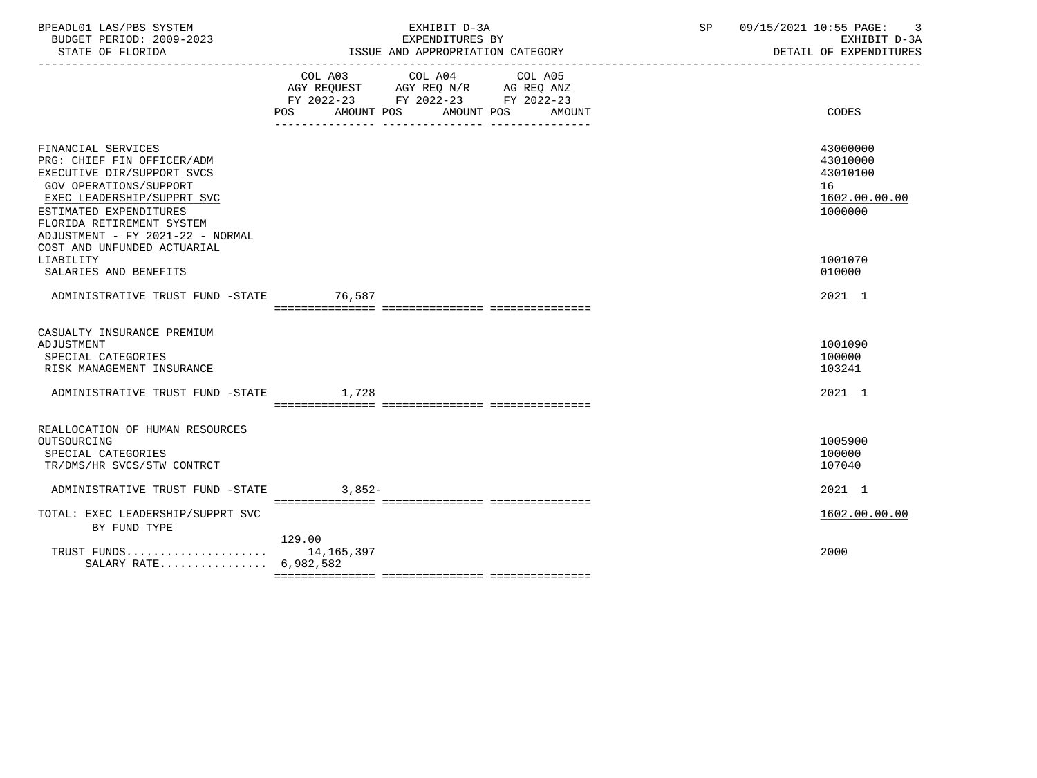| BPEADL01 LAS/PBS SYSTEM<br>BUDGET PERIOD: 2009-2023<br>STATE OF FLORIDA                                                                                                                                                           | EXHIBIT D-3A<br>EXPENDITURES BY<br>ISSUE AND APPROPRIATION CATEGORY                                   | SP<br>09/15/2021 10:55 PAGE: 3<br>EXHIBIT D-3A<br>DETAIL OF EXPENDITURES |
|-----------------------------------------------------------------------------------------------------------------------------------------------------------------------------------------------------------------------------------|-------------------------------------------------------------------------------------------------------|--------------------------------------------------------------------------|
|                                                                                                                                                                                                                                   | COL A03 COL A04 COL A05<br>FY 2022-23 FY 2022-23 FY 2022-23<br>AMOUNT POS AMOUNT POS<br>POS<br>AMOUNT | CODES                                                                    |
| FINANCIAL SERVICES<br>PRG: CHIEF FIN OFFICER/ADM<br>EXECUTIVE DIR/SUPPORT SVCS<br>GOV OPERATIONS/SUPPORT<br>EXEC LEADERSHIP/SUPPRT SVC<br>ESTIMATED EXPENDITURES<br>FLORIDA RETIREMENT SYSTEM<br>ADJUSTMENT - FY 2021-22 - NORMAL |                                                                                                       | 43000000<br>43010000<br>43010100<br>16<br>1602.00.00.00<br>1000000       |
| COST AND UNFUNDED ACTUARIAL<br>LIABILITY<br>SALARIES AND BENEFITS                                                                                                                                                                 |                                                                                                       | 1001070<br>010000                                                        |
| ADMINISTRATIVE TRUST FUND -STATE 76,587                                                                                                                                                                                           |                                                                                                       | 2021 1                                                                   |
| CASUALTY INSURANCE PREMIUM<br>ADJUSTMENT<br>SPECIAL CATEGORIES<br>RISK MANAGEMENT INSURANCE                                                                                                                                       |                                                                                                       | 1001090<br>100000<br>103241                                              |
| ADMINISTRATIVE TRUST FUND -STATE 1,728                                                                                                                                                                                            |                                                                                                       | 2021 1                                                                   |
| REALLOCATION OF HUMAN RESOURCES<br>OUTSOURCING<br>SPECIAL CATEGORIES<br>TR/DMS/HR SVCS/STW CONTRCT                                                                                                                                |                                                                                                       | 1005900<br>100000<br>107040                                              |
| ADMINISTRATIVE TRUST FUND -STATE                                                                                                                                                                                                  | 3,852-                                                                                                | $2021$ 1                                                                 |
| TOTAL: EXEC LEADERSHIP/SUPPRT SVC<br>BY FUND TYPE                                                                                                                                                                                 |                                                                                                       | 1602.00.00.00                                                            |
| SALARY RATE 6,982,582                                                                                                                                                                                                             | 129.00                                                                                                | 2000                                                                     |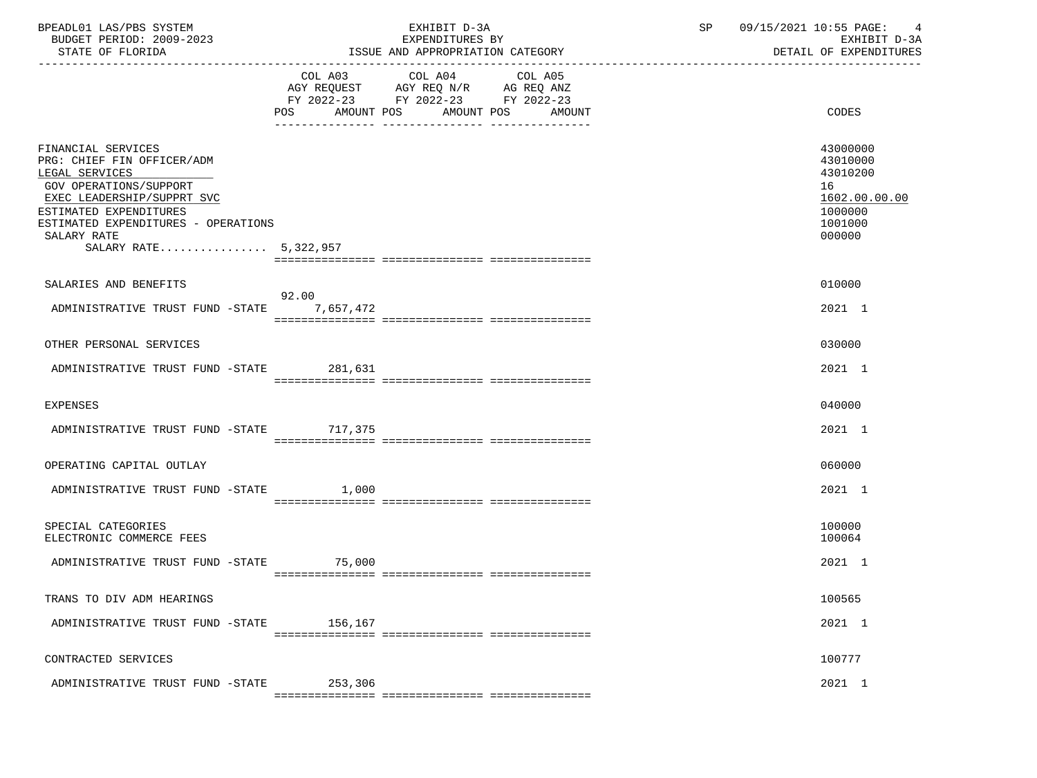| BPEADL01 LAS/PBS SYSTEM<br>BUDGET PERIOD: 2009-2023<br>STATE OF FLORIDA                                                                                                                                                             |         | EXHIBIT D-3A<br>EXPENDITURES BY<br>ISSUE AND APPROPRIATION CATEGORY                                                                   | SP 09/15/2021 10:55 PAGE: 4<br>EXHIBIT D-3A<br>DETAIL OF EXPENDITURES                   |
|-------------------------------------------------------------------------------------------------------------------------------------------------------------------------------------------------------------------------------------|---------|---------------------------------------------------------------------------------------------------------------------------------------|-----------------------------------------------------------------------------------------|
|                                                                                                                                                                                                                                     |         | COL A03 COL A04 COL A05<br>AGY REQUEST AGY REQ N/R AG REQ ANZ<br>FY 2022-23 FY 2022-23 FY 2022-23<br>POS AMOUNT POS AMOUNT POS AMOUNT | <b>CODES</b>                                                                            |
| FINANCIAL SERVICES<br>PRG: CHIEF FIN OFFICER/ADM<br>LEGAL SERVICES<br>GOV OPERATIONS/SUPPORT<br>EXEC LEADERSHIP/SUPPRT SVC<br>ESTIMATED EXPENDITURES<br>ESTIMATED EXPENDITURES - OPERATIONS<br>SALARY RATE<br>SALARY RATE 5,322,957 |         |                                                                                                                                       | 43000000<br>43010000<br>43010200<br>16<br>1602.00.00.00<br>1000000<br>1001000<br>000000 |
| SALARIES AND BENEFITS                                                                                                                                                                                                               | 92.00   |                                                                                                                                       | 010000                                                                                  |
| ADMINISTRATIVE TRUST FUND -STATE 7,657,472                                                                                                                                                                                          |         |                                                                                                                                       | 2021 1                                                                                  |
| OTHER PERSONAL SERVICES                                                                                                                                                                                                             |         |                                                                                                                                       | 030000                                                                                  |
| ADMINISTRATIVE TRUST FUND -STATE 281,631                                                                                                                                                                                            |         |                                                                                                                                       | 2021 1                                                                                  |
| EXPENSES                                                                                                                                                                                                                            |         |                                                                                                                                       | 040000                                                                                  |
| ADMINISTRATIVE TRUST FUND -STATE 717,375                                                                                                                                                                                            |         |                                                                                                                                       | 2021 1                                                                                  |
| OPERATING CAPITAL OUTLAY                                                                                                                                                                                                            |         |                                                                                                                                       | 060000                                                                                  |
| ADMINISTRATIVE TRUST FUND -STATE 1,000                                                                                                                                                                                              |         |                                                                                                                                       | 2021 1                                                                                  |
| SPECIAL CATEGORIES<br>ELECTRONIC COMMERCE FEES                                                                                                                                                                                      |         |                                                                                                                                       | 100000<br>100064                                                                        |
| ADMINISTRATIVE TRUST FUND -STATE                                                                                                                                                                                                    | 75,000  |                                                                                                                                       | 2021 1                                                                                  |
| TRANS TO DIV ADM HEARINGS                                                                                                                                                                                                           |         |                                                                                                                                       | 100565                                                                                  |
| ADMINISTRATIVE TRUST FUND -STATE                                                                                                                                                                                                    | 156,167 |                                                                                                                                       | 2021 1                                                                                  |
| CONTRACTED SERVICES                                                                                                                                                                                                                 |         |                                                                                                                                       | 100777                                                                                  |
| ADMINISTRATIVE TRUST FUND -STATE                                                                                                                                                                                                    | 253,306 |                                                                                                                                       | 2021 1                                                                                  |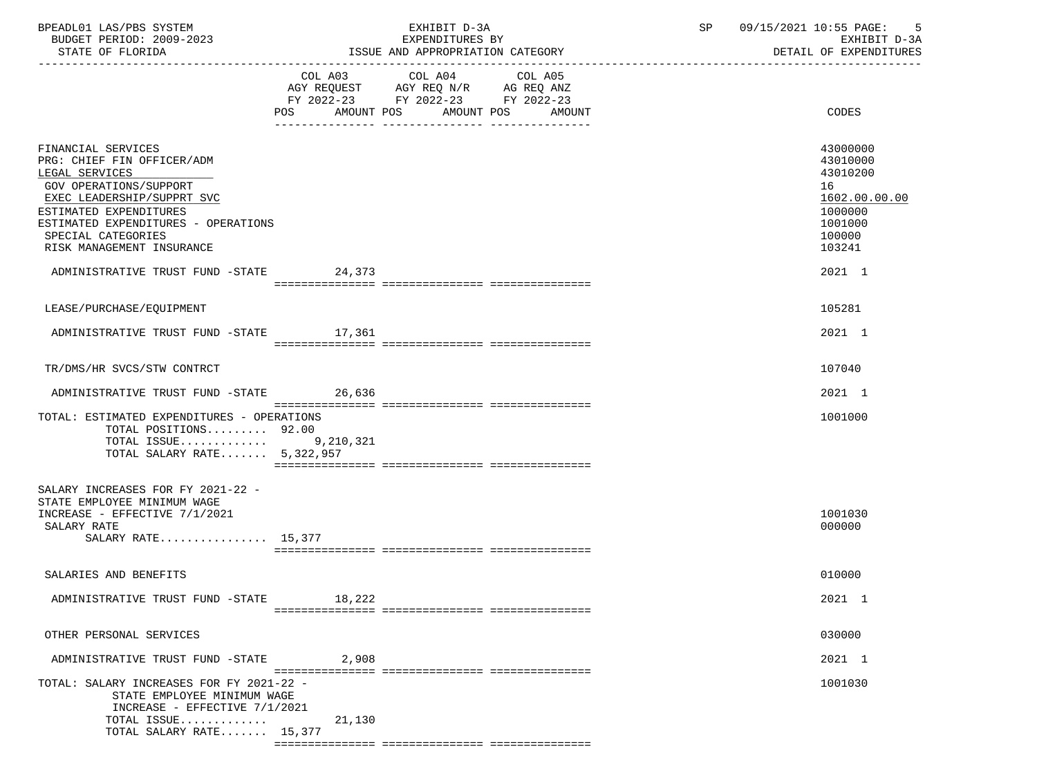| BPEADL01 LAS/PBS SYSTEM  |  | EXHIBIT D-3A                     |  |
|--------------------------|--|----------------------------------|--|
| BUDGET PERIOD: 2009-2023 |  | EXPENDITURES BY                  |  |
| STATE OF FLORIDA         |  | ISSUE AND APPROPRIATION CATEGORY |  |

-----------------------------------------------------------------------------------------------------------------------------------

|                                                                                                                                                                                                                                                | COL A03 | COL A04<br>AGY REQUEST AGY REQ N/R AG REQ ANZ<br>FY 2022-23 FY 2022-23 FY 2022-23 | COL A05              |                                                                                                   |
|------------------------------------------------------------------------------------------------------------------------------------------------------------------------------------------------------------------------------------------------|---------|-----------------------------------------------------------------------------------|----------------------|---------------------------------------------------------------------------------------------------|
|                                                                                                                                                                                                                                                | POS     | AMOUNT POS                                                                        | AMOUNT POS<br>AMOUNT | CODES                                                                                             |
| FINANCIAL SERVICES<br>PRG: CHIEF FIN OFFICER/ADM<br>LEGAL SERVICES<br>GOV OPERATIONS/SUPPORT<br>EXEC LEADERSHIP/SUPPRT SVC<br>ESTIMATED EXPENDITURES<br>ESTIMATED EXPENDITURES - OPERATIONS<br>SPECIAL CATEGORIES<br>RISK MANAGEMENT INSURANCE |         |                                                                                   |                      | 43000000<br>43010000<br>43010200<br>16<br>1602.00.00.00<br>1000000<br>1001000<br>100000<br>103241 |
| ADMINISTRATIVE TRUST FUND -STATE                                                                                                                                                                                                               | 24,373  |                                                                                   |                      | 2021 1                                                                                            |
| LEASE/PURCHASE/EQUIPMENT                                                                                                                                                                                                                       |         |                                                                                   |                      | 105281                                                                                            |
| ADMINISTRATIVE TRUST FUND -STATE 17,361                                                                                                                                                                                                        |         |                                                                                   |                      | 2021 1                                                                                            |
| TR/DMS/HR SVCS/STW CONTRCT                                                                                                                                                                                                                     |         |                                                                                   |                      | 107040                                                                                            |
| ADMINISTRATIVE TRUST FUND -STATE                                                                                                                                                                                                               | 26,636  |                                                                                   |                      | 2021 1                                                                                            |
| TOTAL: ESTIMATED EXPENDITURES - OPERATIONS<br>TOTAL POSITIONS 92.00<br>TOTAL ISSUE $9,210,321$<br>TOTAL SALARY RATE 5,322,957                                                                                                                  |         |                                                                                   |                      | 1001000                                                                                           |
| SALARY INCREASES FOR FY 2021-22 -<br>STATE EMPLOYEE MINIMUM WAGE<br>INCREASE - EFFECTIVE 7/1/2021<br>SALARY RATE<br>SALARY RATE 15,377                                                                                                         |         |                                                                                   |                      | 1001030<br>000000                                                                                 |
| SALARIES AND BENEFITS                                                                                                                                                                                                                          |         |                                                                                   |                      | 010000                                                                                            |
| ADMINISTRATIVE TRUST FUND -STATE                                                                                                                                                                                                               | 18,222  |                                                                                   |                      | 2021 1                                                                                            |
| OTHER PERSONAL SERVICES                                                                                                                                                                                                                        |         |                                                                                   |                      | 030000                                                                                            |
| ADMINISTRATIVE TRUST FUND -STATE                                                                                                                                                                                                               | 2,908   |                                                                                   |                      | 2021 1                                                                                            |
| TOTAL: SALARY INCREASES FOR FY 2021-22 -<br>STATE EMPLOYEE MINIMUM WAGE<br>INCREASE - EFFECTIVE 7/1/2021                                                                                                                                       |         |                                                                                   |                      | 1001030                                                                                           |
| TOTAL ISSUE<br>TOTAL SALARY RATE 15,377                                                                                                                                                                                                        | 21,130  |                                                                                   |                      |                                                                                                   |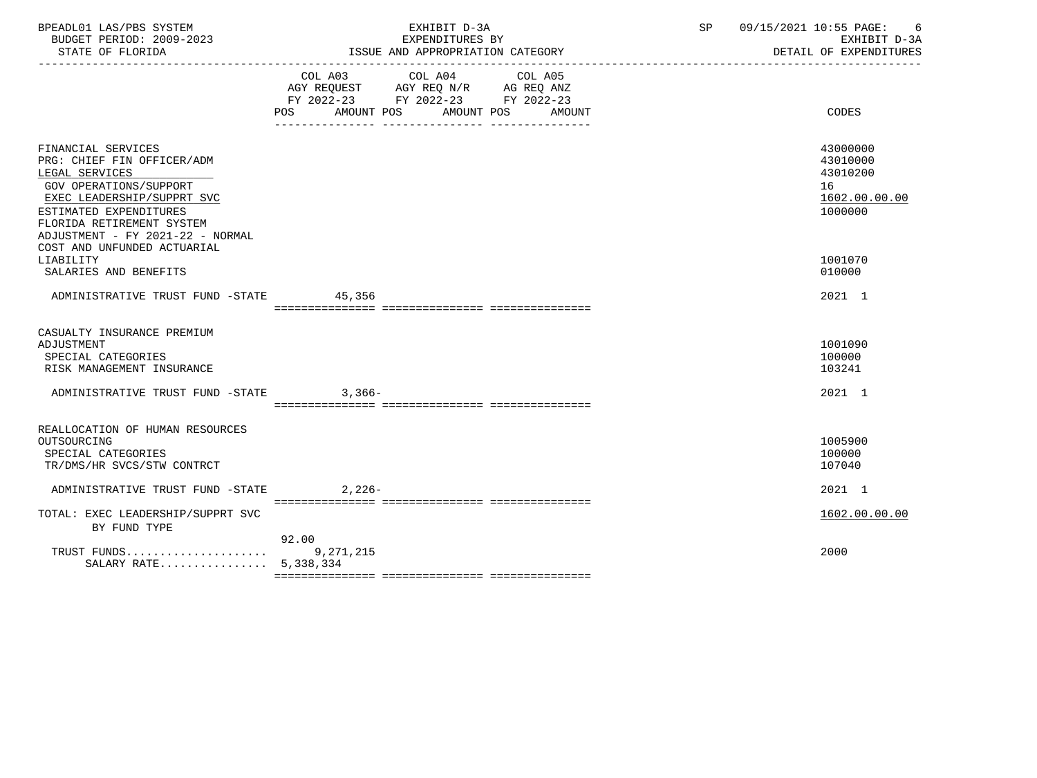| BPEADL01 LAS/PBS SYSTEM<br>BUDGET PERIOD: 2009-2023<br>STATE OF FLORIDA                                                                                                                                               | EXHIBIT D-3A<br>EXPENDITURES BY<br>ISSUE AND APPROPRIATION CATEGORY                                                                                                                                                                                             | SP. | 09/15/2021 10:55 PAGE:<br>-6<br>EXHIBIT D-3A<br>DETAIL OF EXPENDITURES |
|-----------------------------------------------------------------------------------------------------------------------------------------------------------------------------------------------------------------------|-----------------------------------------------------------------------------------------------------------------------------------------------------------------------------------------------------------------------------------------------------------------|-----|------------------------------------------------------------------------|
|                                                                                                                                                                                                                       | COL A03<br>COL A04<br>COL A05<br>AGY REQUEST AGY REQ N/R AG REQ ANZ<br>FY 2022-23 FY 2022-23 FY 2022-23<br>POS FOR THE POST OF THE STATE STATE STATE STATE STATE STATE STATE STATE STATE STATE STATE STATE STATE STATE ST<br>AMOUNT POS<br>AMOUNT POS<br>AMOUNT |     | CODES                                                                  |
| FINANCIAL SERVICES<br>PRG: CHIEF FIN OFFICER/ADM<br>LEGAL SERVICES<br>GOV OPERATIONS/SUPPORT<br>EXEC LEADERSHIP/SUPPRT SVC<br>ESTIMATED EXPENDITURES<br>FLORIDA RETIREMENT SYSTEM<br>ADJUSTMENT - FY 2021-22 - NORMAL |                                                                                                                                                                                                                                                                 |     | 43000000<br>43010000<br>43010200<br>16<br>1602.00.00.00<br>1000000     |
| COST AND UNFUNDED ACTUARIAL<br>LIABILITY<br>SALARIES AND BENEFITS                                                                                                                                                     |                                                                                                                                                                                                                                                                 |     | 1001070<br>010000                                                      |
| ADMINISTRATIVE TRUST FUND -STATE 45,356                                                                                                                                                                               |                                                                                                                                                                                                                                                                 |     | 2021 1                                                                 |
| CASUALTY INSURANCE PREMIUM<br>ADJUSTMENT<br>SPECIAL CATEGORIES<br>RISK MANAGEMENT INSURANCE                                                                                                                           |                                                                                                                                                                                                                                                                 |     | 1001090<br>100000<br>103241                                            |
| ADMINISTRATIVE TRUST FUND -STATE                                                                                                                                                                                      | $3.366 -$                                                                                                                                                                                                                                                       |     | 2021 1                                                                 |
| REALLOCATION OF HUMAN RESOURCES<br>OUTSOURCING<br>SPECIAL CATEGORIES<br>TR/DMS/HR SVCS/STW CONTRCT                                                                                                                    |                                                                                                                                                                                                                                                                 |     | 1005900<br>100000<br>107040                                            |
| ADMINISTRATIVE TRUST FUND -STATE                                                                                                                                                                                      | $2.226 -$                                                                                                                                                                                                                                                       |     | $2021$ 1                                                               |
| TOTAL: EXEC LEADERSHIP/SUPPRT SVC<br>BY FUND TYPE                                                                                                                                                                     |                                                                                                                                                                                                                                                                 |     | 1602.00.00.00                                                          |
| TRUST FUNDS<br>SALARY RATE 5,338,334                                                                                                                                                                                  | 92.00<br>9,271,215                                                                                                                                                                                                                                              |     | 2000                                                                   |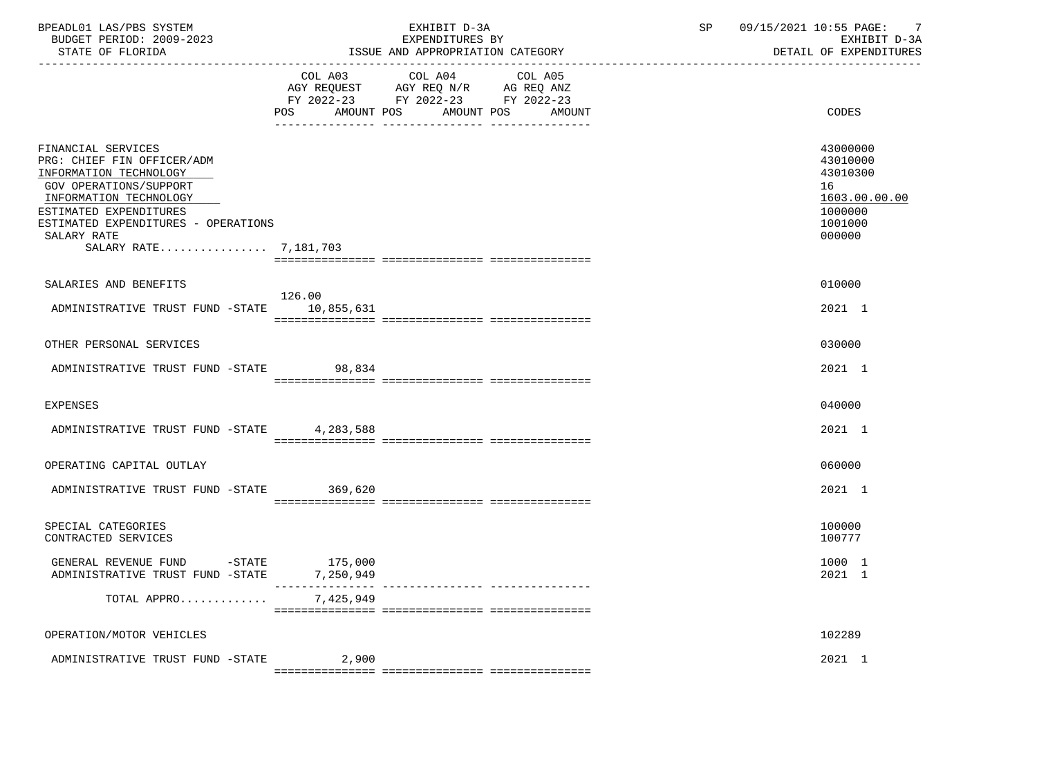| BPEADL01 LAS/PBS SYSTEM<br>BUDGET PERIOD: 2009-2023<br>STATE OF FLORIDA                                                                                                                                                                 |         | EXHIBIT D-3A<br>EXPENDITURES BY<br>ISSUE AND APPROPRIATION CATEGORY                                                           | SP | 09/15/2021 10:55 PAGE:<br>-7<br>EXHIBIT D-3A<br>DETAIL OF EXPENDITURES                  |
|-----------------------------------------------------------------------------------------------------------------------------------------------------------------------------------------------------------------------------------------|---------|-------------------------------------------------------------------------------------------------------------------------------|----|-----------------------------------------------------------------------------------------|
|                                                                                                                                                                                                                                         | COL A03 | COL A04 COL A05<br>AGY REQUEST AGY REQ N/R AG REQ ANZ<br>FY 2022-23 FY 2022-23 FY 2022-23<br>POS AMOUNT POS AMOUNT POS AMOUNT |    | CODES                                                                                   |
| FINANCIAL SERVICES<br>PRG: CHIEF FIN OFFICER/ADM<br>INFORMATION TECHNOLOGY<br>GOV OPERATIONS/SUPPORT<br>INFORMATION TECHNOLOGY<br>ESTIMATED EXPENDITURES<br>ESTIMATED EXPENDITURES - OPERATIONS<br>SALARY RATE<br>SALARY RATE 7,181,703 |         |                                                                                                                               |    | 43000000<br>43010000<br>43010300<br>16<br>1603.00.00.00<br>1000000<br>1001000<br>000000 |
| SALARIES AND BENEFITS                                                                                                                                                                                                                   |         |                                                                                                                               |    | 010000                                                                                  |
| ADMINISTRATIVE TRUST FUND -STATE 10,855,631                                                                                                                                                                                             | 126.00  |                                                                                                                               |    | 2021 1                                                                                  |
| OTHER PERSONAL SERVICES                                                                                                                                                                                                                 |         |                                                                                                                               |    | 030000                                                                                  |
| ADMINISTRATIVE TRUST FUND -STATE 98,834                                                                                                                                                                                                 |         |                                                                                                                               |    | $2021$ 1                                                                                |
| <b>EXPENSES</b>                                                                                                                                                                                                                         |         |                                                                                                                               |    | 040000                                                                                  |
| ADMINISTRATIVE TRUST FUND -STATE 4.283.588                                                                                                                                                                                              |         |                                                                                                                               |    | 2021 1                                                                                  |
| OPERATING CAPITAL OUTLAY                                                                                                                                                                                                                |         |                                                                                                                               |    | 060000                                                                                  |
| ADMINISTRATIVE TRUST FUND -STATE 369,620                                                                                                                                                                                                |         |                                                                                                                               |    | 2021 1                                                                                  |
| SPECIAL CATEGORIES<br>CONTRACTED SERVICES                                                                                                                                                                                               |         |                                                                                                                               |    | 100000<br>100777                                                                        |
| GENERAL REVENUE FUND -STATE 175,000<br>ADMINISTRATIVE TRUST FUND -STATE 7,250,949                                                                                                                                                       |         |                                                                                                                               |    | 1000 1<br>2021 1                                                                        |
| TOTAL APPRO 7,425,949                                                                                                                                                                                                                   |         |                                                                                                                               |    |                                                                                         |
| OPERATION/MOTOR VEHICLES                                                                                                                                                                                                                |         |                                                                                                                               |    | 102289                                                                                  |
| ADMINISTRATIVE TRUST FUND -STATE                                                                                                                                                                                                        | 2,900   |                                                                                                                               |    | 2021 1                                                                                  |
|                                                                                                                                                                                                                                         |         |                                                                                                                               |    |                                                                                         |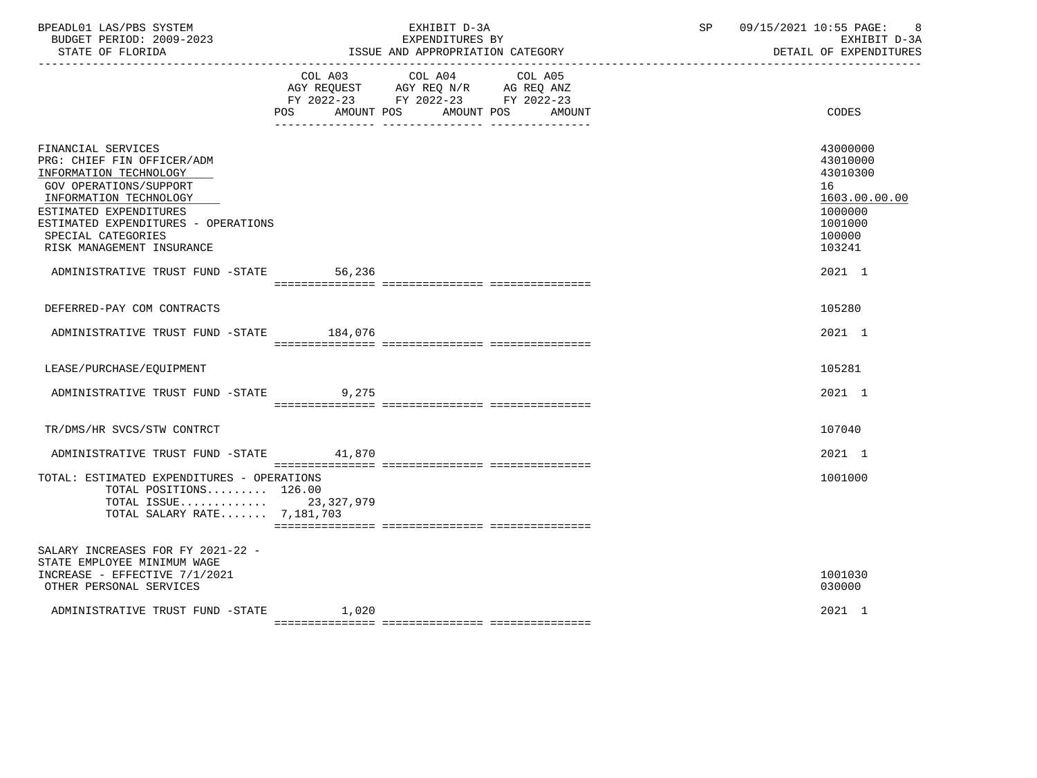| BPEADL01 LAS/PBS SYSTEM<br>BUDGET PERIOD: 2009-2023<br>STATE OF FLORIDA                                                                                                                                                                                   |                   | EXHIBIT D-3A<br>EXPENDITURES BY<br>ISSUE AND APPROPRIATION CATEGORY                                                       | SP | 09/15/2021 10:55 PAGE:<br>8<br>EXHIBIT D-3A<br>DETAIL OF EXPENDITURES                             |
|-----------------------------------------------------------------------------------------------------------------------------------------------------------------------------------------------------------------------------------------------------------|-------------------|---------------------------------------------------------------------------------------------------------------------------|----|---------------------------------------------------------------------------------------------------|
|                                                                                                                                                                                                                                                           | POS<br>AMOUNT POS | COL A03 COL A04 COL A05<br>AGY REQUEST AGY REQ N/R AG REQ ANZ<br>FY 2022-23 FY 2022-23 FY 2022-23<br>AMOUNT POS<br>AMOUNT |    | CODES                                                                                             |
| FINANCIAL SERVICES<br>PRG: CHIEF FIN OFFICER/ADM<br>INFORMATION TECHNOLOGY<br><b>GOV OPERATIONS/SUPPORT</b><br>INFORMATION TECHNOLOGY<br>ESTIMATED EXPENDITURES<br>ESTIMATED EXPENDITURES - OPERATIONS<br>SPECIAL CATEGORIES<br>RISK MANAGEMENT INSURANCE |                   |                                                                                                                           |    | 43000000<br>43010000<br>43010300<br>16<br>1603.00.00.00<br>1000000<br>1001000<br>100000<br>103241 |
| ADMINISTRATIVE TRUST FUND -STATE                                                                                                                                                                                                                          | 56,236            |                                                                                                                           |    | 2021 1                                                                                            |
| DEFERRED-PAY COM CONTRACTS                                                                                                                                                                                                                                |                   |                                                                                                                           |    | 105280                                                                                            |
| ADMINISTRATIVE TRUST FUND -STATE 184,076                                                                                                                                                                                                                  |                   |                                                                                                                           |    | 2021 1                                                                                            |
| LEASE/PURCHASE/EQUIPMENT                                                                                                                                                                                                                                  |                   |                                                                                                                           |    | 105281                                                                                            |
| ADMINISTRATIVE TRUST FUND -STATE                                                                                                                                                                                                                          | 9,275             |                                                                                                                           |    | 2021 1                                                                                            |
| TR/DMS/HR SVCS/STW CONTRCT                                                                                                                                                                                                                                |                   |                                                                                                                           |    | 107040                                                                                            |
| ADMINISTRATIVE TRUST FUND -STATE                                                                                                                                                                                                                          | 41,870            |                                                                                                                           |    | 2021 1                                                                                            |
| TOTAL: ESTIMATED EXPENDITURES - OPERATIONS<br>TOTAL POSITIONS 126.00<br>TOTAL ISSUE 23,327,979<br>TOTAL SALARY RATE 7,181,703                                                                                                                             |                   |                                                                                                                           |    | 1001000                                                                                           |
| SALARY INCREASES FOR FY 2021-22 -<br>STATE EMPLOYEE MINIMUM WAGE<br>INCREASE - EFFECTIVE 7/1/2021<br>OTHER PERSONAL SERVICES                                                                                                                              |                   |                                                                                                                           |    | 1001030<br>030000                                                                                 |
| ADMINISTRATIVE TRUST FUND -STATE                                                                                                                                                                                                                          | 1,020             |                                                                                                                           |    | 2021 1                                                                                            |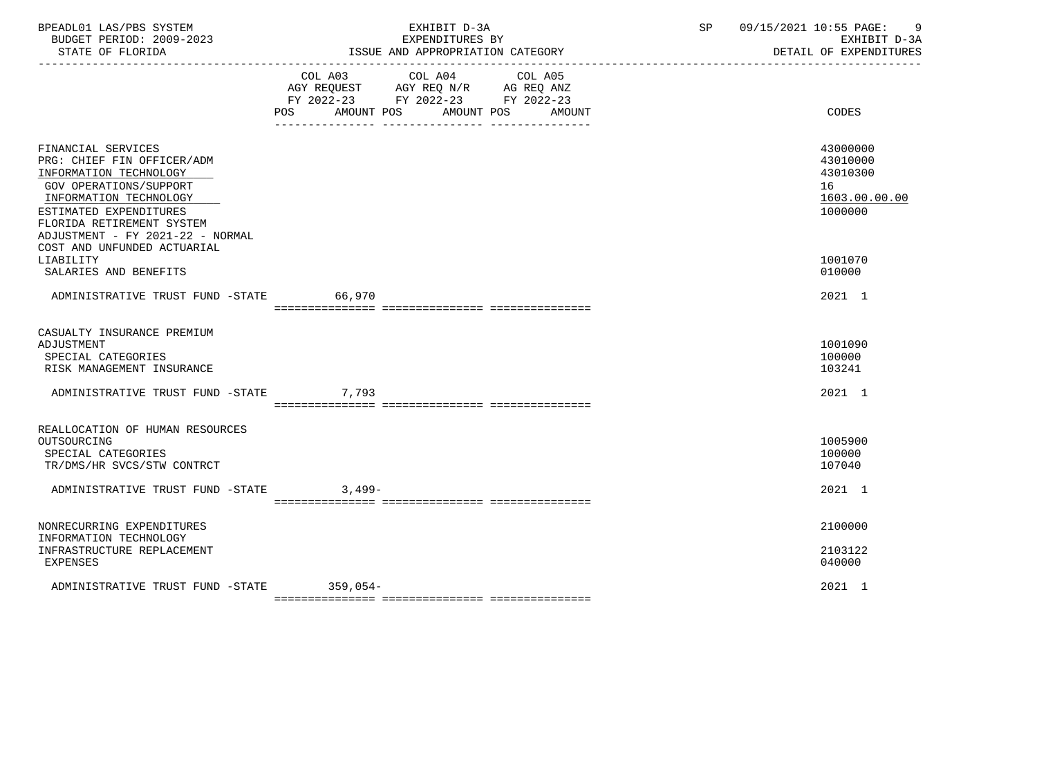| BPEADL01 LAS/PBS SYSTEM<br>BUDGET PERIOD: 2009-2023                                                                                                                                                                                                                   | EXHIBIT D-3A<br>EXPENDITURES BY                                                                                                       | 09/15/2021 10:55 PAGE: 9<br>SP<br>EXHIBIT D-3A<br>DETAIL OF EXPENDITURES      |
|-----------------------------------------------------------------------------------------------------------------------------------------------------------------------------------------------------------------------------------------------------------------------|---------------------------------------------------------------------------------------------------------------------------------------|-------------------------------------------------------------------------------|
|                                                                                                                                                                                                                                                                       | COL A03 COL A04 COL A05<br>AGY REQUEST AGY REQ N/R AG REQ ANZ<br>FY 2022-23 FY 2022-23 FY 2022-23<br>POS AMOUNT POS AMOUNT POS AMOUNT | CODES                                                                         |
| FINANCIAL SERVICES<br>PRG: CHIEF FIN OFFICER/ADM<br>INFORMATION TECHNOLOGY<br>GOV OPERATIONS/SUPPORT<br>INFORMATION TECHNOLOGY<br>ESTIMATED EXPENDITURES<br>FLORIDA RETIREMENT SYSTEM<br>ADJUSTMENT - FY 2021-22 - NORMAL<br>COST AND UNFUNDED ACTUARIAL<br>LIABILITY |                                                                                                                                       | 43000000<br>43010000<br>43010300<br>16<br>1603.00.00.00<br>1000000<br>1001070 |
| SALARIES AND BENEFITS<br>ADMINISTRATIVE TRUST FUND -STATE                                                                                                                                                                                                             | 66,970                                                                                                                                | 010000<br>2021 1                                                              |
| CASUALTY INSURANCE PREMIUM<br>ADJUSTMENT<br>SPECIAL CATEGORIES<br>RISK MANAGEMENT INSURANCE<br>ADMINISTRATIVE TRUST FUND -STATE 7,793                                                                                                                                 |                                                                                                                                       | 1001090<br>100000<br>103241<br>2021 1                                         |
| REALLOCATION OF HUMAN RESOURCES<br>OUTSOURCING<br>SPECIAL CATEGORIES<br>TR/DMS/HR SVCS/STW CONTRCT                                                                                                                                                                    |                                                                                                                                       | 1005900<br>100000<br>107040                                                   |
| ADMINISTRATIVE TRUST FUND -STATE 3,499-<br>NONRECURRING EXPENDITURES                                                                                                                                                                                                  |                                                                                                                                       | 2021 1<br>2100000                                                             |
| INFORMATION TECHNOLOGY<br>INFRASTRUCTURE REPLACEMENT<br>EXPENSES                                                                                                                                                                                                      |                                                                                                                                       | 2103122<br>040000                                                             |
| ADMINISTRATIVE TRUST FUND -STATE 359.054-                                                                                                                                                                                                                             |                                                                                                                                       | 2021 1                                                                        |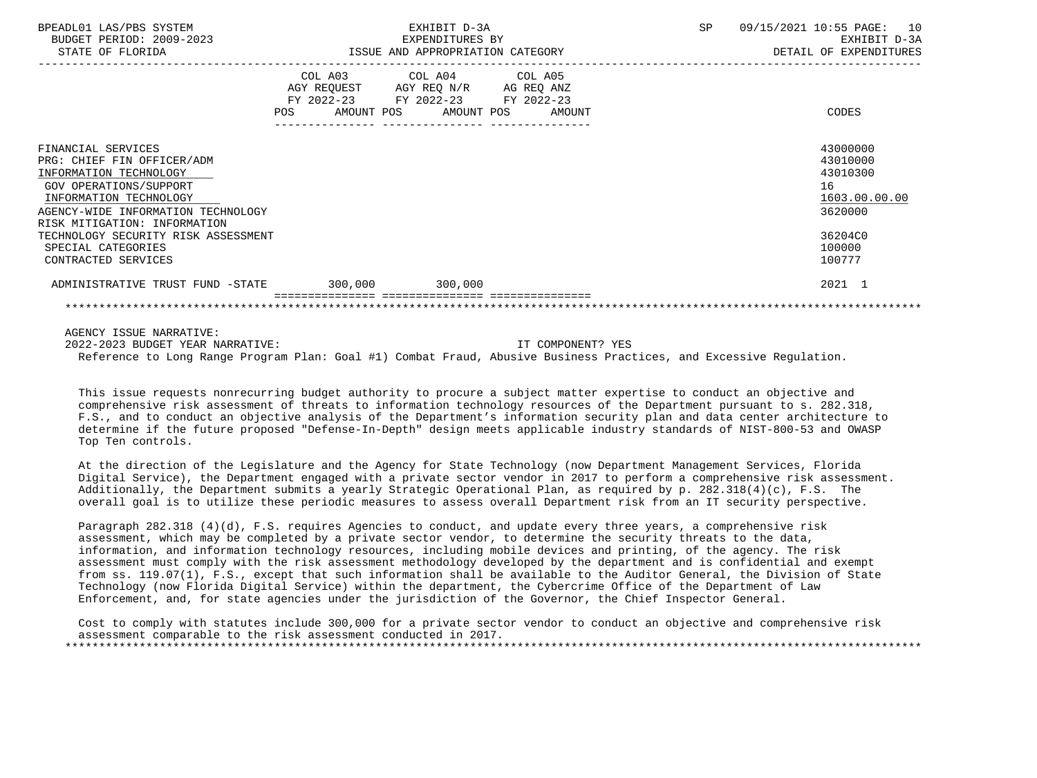| BPEADL01 LAS/PBS SYSTEM<br>BUDGET PERIOD: 2009-2023<br>STATE OF FLORIDA                                                                                                                              | EXHIBIT D-3A<br>EXPENDITURES BY<br>ISSUE AND APPROPRIATION CATEGORY                                            |                                                                                                                                   | SP | 09/15/2021 10:55 PAGE: 10<br>EXHIBIT D-3A<br>DETAIL OF EXPENDITURES |  |
|------------------------------------------------------------------------------------------------------------------------------------------------------------------------------------------------------|----------------------------------------------------------------------------------------------------------------|-----------------------------------------------------------------------------------------------------------------------------------|----|---------------------------------------------------------------------|--|
|                                                                                                                                                                                                      | POS FOR THE POST OF THE STATE STATE STATE STATE STATE STATE STATE STATE STATE STATE STATE STATE STATE STATE ST | COL A03 COL A04 COL A05<br>AGY REQUEST AGY REQ N/R AG REQ ANZ<br>FY 2022-23 FY 2022-23 FY 2022-23<br>AMOUNT POS AMOUNT POS AMOUNT |    | CODES                                                               |  |
| FINANCIAL SERVICES<br>PRG: CHIEF FIN OFFICER/ADM<br>INFORMATION TECHNOLOGY<br>GOV OPERATIONS/SUPPORT<br>INFORMATION TECHNOLOGY<br>AGENCY-WIDE INFORMATION TECHNOLOGY<br>RISK MITIGATION: INFORMATION |                                                                                                                |                                                                                                                                   |    | 43000000<br>43010000<br>43010300<br>16<br>1603.00.00.00<br>3620000  |  |
| TECHNOLOGY SECURITY RISK ASSESSMENT<br>SPECIAL CATEGORIES<br>CONTRACTED SERVICES                                                                                                                     |                                                                                                                |                                                                                                                                   |    | 36204C0<br>100000<br>100777                                         |  |
| ADMINISTRATIVE TRUST FUND -STATE 300,000 300,000                                                                                                                                                     |                                                                                                                |                                                                                                                                   |    | 2021 1                                                              |  |
|                                                                                                                                                                                                      |                                                                                                                |                                                                                                                                   |    |                                                                     |  |

 AGENCY ISSUE NARRATIVE: 2022-2023 BUDGET YEAR NARRATIVE: IT COMPONENT? YES Reference to Long Range Program Plan: Goal #1) Combat Fraud, Abusive Business Practices, and Excessive Regulation.

 This issue requests nonrecurring budget authority to procure a subject matter expertise to conduct an objective and comprehensive risk assessment of threats to information technology resources of the Department pursuant to s. 282.318, F.S., and to conduct an objective analysis of the Department's information security plan and data center architecture to determine if the future proposed "Defense-In-Depth" design meets applicable industry standards of NIST-800-53 and OWASP Top Ten controls.

 At the direction of the Legislature and the Agency for State Technology (now Department Management Services, Florida Digital Service), the Department engaged with a private sector vendor in 2017 to perform a comprehensive risk assessment. Additionally, the Department submits a yearly Strategic Operational Plan, as required by p. 282.318(4)(c), F.S. The overall goal is to utilize these periodic measures to assess overall Department risk from an IT security perspective.

 Paragraph 282.318 (4)(d), F.S. requires Agencies to conduct, and update every three years, a comprehensive risk assessment, which may be completed by a private sector vendor, to determine the security threats to the data, information, and information technology resources, including mobile devices and printing, of the agency. The risk assessment must comply with the risk assessment methodology developed by the department and is confidential and exempt from ss. 119.07(1), F.S., except that such information shall be available to the Auditor General, the Division of State Technology (now Florida Digital Service) within the department, the Cybercrime Office of the Department of Law Enforcement, and, for state agencies under the jurisdiction of the Governor, the Chief Inspector General.

 Cost to comply with statutes include 300,000 for a private sector vendor to conduct an objective and comprehensive risk assessment comparable to the risk assessment conducted in 2017. \*\*\*\*\*\*\*\*\*\*\*\*\*\*\*\*\*\*\*\*\*\*\*\*\*\*\*\*\*\*\*\*\*\*\*\*\*\*\*\*\*\*\*\*\*\*\*\*\*\*\*\*\*\*\*\*\*\*\*\*\*\*\*\*\*\*\*\*\*\*\*\*\*\*\*\*\*\*\*\*\*\*\*\*\*\*\*\*\*\*\*\*\*\*\*\*\*\*\*\*\*\*\*\*\*\*\*\*\*\*\*\*\*\*\*\*\*\*\*\*\*\*\*\*\*\*\*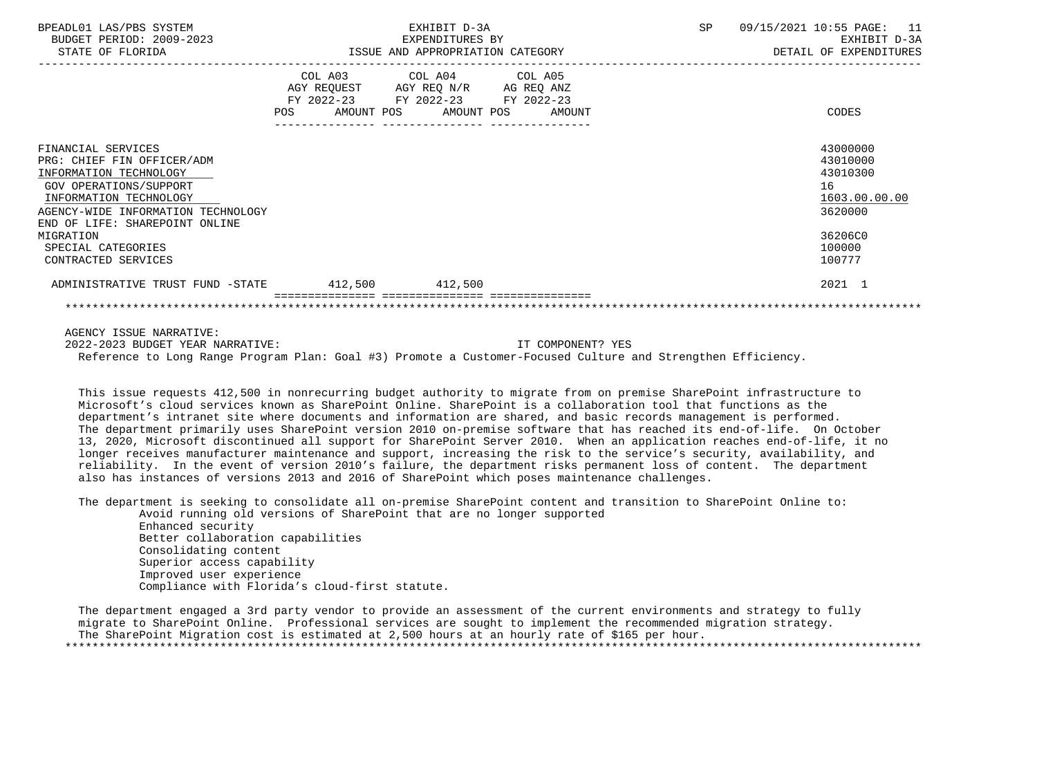| BPEADL01 LAS/PBS SYSTEM<br>BUDGET PERIOD: 2009-2023 | EXHIBIT D-3A<br>EXPENDITURES BY                                                                   | SP | 09/15/2021 10:55 PAGE: 11<br>EXHIBIT D-3A |
|-----------------------------------------------------|---------------------------------------------------------------------------------------------------|----|-------------------------------------------|
| STATE OF FLORIDA                                    | ISSUE AND APPROPRIATION CATEGORY                                                                  |    | DETAIL OF EXPENDITURES                    |
|                                                     | COL A03 COL A04 COL A05<br>AGY REQUEST AGY REQ N/R AG REQ ANZ<br>FY 2022-23 FY 2022-23 FY 2022-23 |    |                                           |
|                                                     | POS AMOUNT POS AMOUNT POS AMOUNT                                                                  |    | CODES                                     |
| FINANCIAL SERVICES                                  |                                                                                                   |    | 43000000                                  |
| PRG: CHIEF FIN OFFICER/ADM                          |                                                                                                   |    | 43010000                                  |
| INFORMATION TECHNOLOGY                              |                                                                                                   |    | 43010300                                  |
| GOV OPERATIONS/SUPPORT                              |                                                                                                   |    | 16                                        |
| INFORMATION TECHNOLOGY                              |                                                                                                   |    | 1603.00.00.00                             |
| AGENCY-WIDE INFORMATION TECHNOLOGY                  |                                                                                                   |    | 3620000                                   |
| END OF LIFE: SHAREPOINT ONLINE                      |                                                                                                   |    |                                           |
| MIGRATION                                           |                                                                                                   |    | 36206C0                                   |
| SPECIAL CATEGORIES                                  |                                                                                                   |    | 100000                                    |
| CONTRACTED SERVICES                                 |                                                                                                   |    | 100777                                    |
| ADMINISTRATIVE TRUST FUND -STATE 412,500 412,500    |                                                                                                   |    | 2021 1                                    |
|                                                     |                                                                                                   |    |                                           |

 AGENCY ISSUE NARRATIVE: 2022-2023 BUDGET YEAR NARRATIVE: IT COMPONENT? YES Reference to Long Range Program Plan: Goal #3) Promote a Customer-Focused Culture and Strengthen Efficiency.

 This issue requests 412,500 in nonrecurring budget authority to migrate from on premise SharePoint infrastructure to Microsoft's cloud services known as SharePoint Online. SharePoint is a collaboration tool that functions as the department's intranet site where documents and information are shared, and basic records management is performed. The department primarily uses SharePoint version 2010 on-premise software that has reached its end-of-life. On October 13, 2020, Microsoft discontinued all support for SharePoint Server 2010. When an application reaches end-of-life, it no longer receives manufacturer maintenance and support, increasing the risk to the service's security, availability, and reliability. In the event of version 2010's failure, the department risks permanent loss of content. The department also has instances of versions 2013 and 2016 of SharePoint which poses maintenance challenges.

 The department is seeking to consolidate all on-premise SharePoint content and transition to SharePoint Online to: Avoid running old versions of SharePoint that are no longer supported

 Enhanced security Better collaboration capabilities Consolidating content Superior access capability Improved user experience Compliance with Florida's cloud-first statute.

 The department engaged a 3rd party vendor to provide an assessment of the current environments and strategy to fully migrate to SharePoint Online. Professional services are sought to implement the recommended migration strategy. The SharePoint Migration cost is estimated at 2,500 hours at an hourly rate of \$165 per hour. \*\*\*\*\*\*\*\*\*\*\*\*\*\*\*\*\*\*\*\*\*\*\*\*\*\*\*\*\*\*\*\*\*\*\*\*\*\*\*\*\*\*\*\*\*\*\*\*\*\*\*\*\*\*\*\*\*\*\*\*\*\*\*\*\*\*\*\*\*\*\*\*\*\*\*\*\*\*\*\*\*\*\*\*\*\*\*\*\*\*\*\*\*\*\*\*\*\*\*\*\*\*\*\*\*\*\*\*\*\*\*\*\*\*\*\*\*\*\*\*\*\*\*\*\*\*\*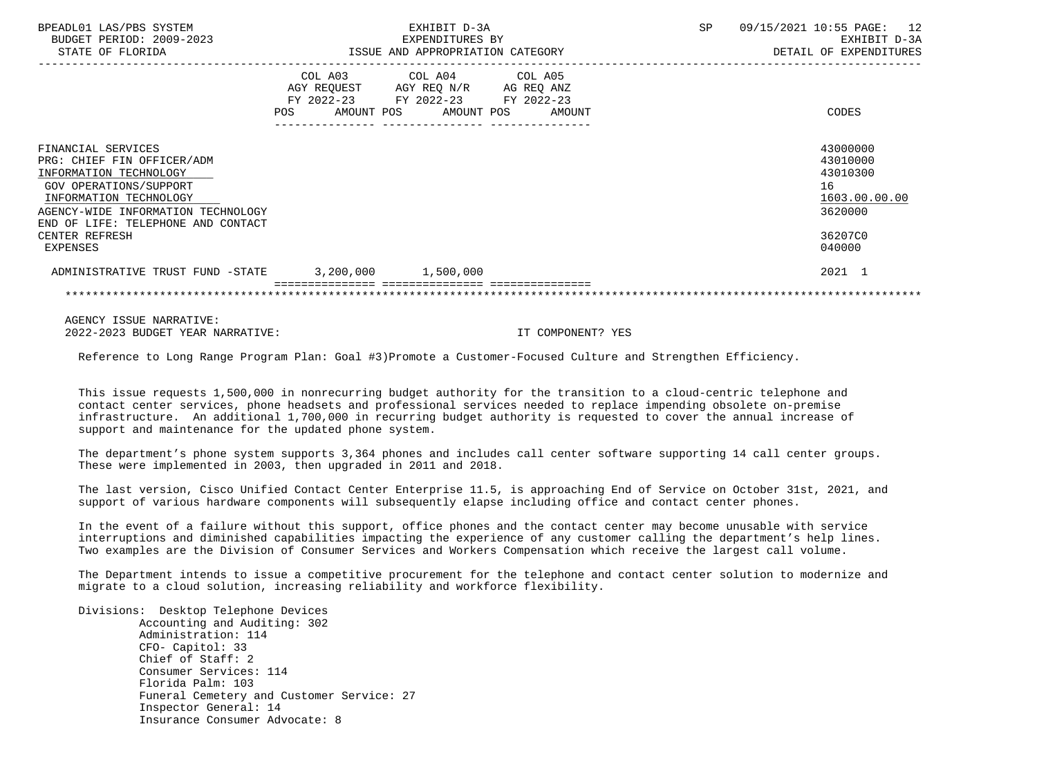| BPEADL01 LAS/PBS SYSTEM<br>BUDGET PERIOD: 2009-2023<br>STATE OF FLORIDA                                                                                                                                    |                       | EXHIBIT D-3A<br>EXPENDITURES BY<br>ISSUE AND APPROPRIATION CATEGORY                                                                  | SP.<br>09/15/2021 10:55 PAGE:<br>12<br>EXHIBIT D-3A<br>DETAIL OF EXPENDITURES |                                                                    |
|------------------------------------------------------------------------------------------------------------------------------------------------------------------------------------------------------------|-----------------------|--------------------------------------------------------------------------------------------------------------------------------------|-------------------------------------------------------------------------------|--------------------------------------------------------------------|
|                                                                                                                                                                                                            | POS                   | COL A03 COL A04 COL A05<br>AGY REQUEST AGY REQ N/R AG REQ ANZ<br>FY 2022-23 FY 2022-23 FY 2022-23<br>AMOUNT POS AMOUNT POS<br>AMOUNT |                                                                               | CODES                                                              |
| FINANCIAL SERVICES<br>PRG: CHIEF FIN OFFICER/ADM<br>INFORMATION TECHNOLOGY<br>GOV OPERATIONS/SUPPORT<br>INFORMATION TECHNOLOGY<br>AGENCY-WIDE INFORMATION TECHNOLOGY<br>END OF LIFE: TELEPHONE AND CONTACT |                       |                                                                                                                                      |                                                                               | 43000000<br>43010000<br>43010300<br>16<br>1603.00.00.00<br>3620000 |
| CENTER REFRESH<br>EXPENSES                                                                                                                                                                                 |                       |                                                                                                                                      |                                                                               | 36207C0<br>040000                                                  |
| ADMINISTRATIVE TRUST FUND -STATE                                                                                                                                                                           | $3,200,000$ 1,500,000 |                                                                                                                                      |                                                                               | 2021 1                                                             |

 AGENCY ISSUE NARRATIVE: 2022-2023 BUDGET YEAR NARRATIVE: IT COMPONENT? YES

Reference to Long Range Program Plan: Goal #3)Promote a Customer-Focused Culture and Strengthen Efficiency.

 This issue requests 1,500,000 in nonrecurring budget authority for the transition to a cloud-centric telephone and contact center services, phone headsets and professional services needed to replace impending obsolete on-premise infrastructure. An additional 1,700,000 in recurring budget authority is requested to cover the annual increase of support and maintenance for the updated phone system.

 The department's phone system supports 3,364 phones and includes call center software supporting 14 call center groups. These were implemented in 2003, then upgraded in 2011 and 2018.

 The last version, Cisco Unified Contact Center Enterprise 11.5, is approaching End of Service on October 31st, 2021, and support of various hardware components will subsequently elapse including office and contact center phones.

 In the event of a failure without this support, office phones and the contact center may become unusable with service interruptions and diminished capabilities impacting the experience of any customer calling the department's help lines. Two examples are the Division of Consumer Services and Workers Compensation which receive the largest call volume.

 The Department intends to issue a competitive procurement for the telephone and contact center solution to modernize and migrate to a cloud solution, increasing reliability and workforce flexibility.

Divisions: Desktop Telephone Devices

 Accounting and Auditing: 302 Administration: 114 CFO- Capitol: 33 Chief of Staff: 2 Consumer Services: 114 Florida Palm: 103 Funeral Cemetery and Customer Service: 27 Inspector General: 14 Insurance Consumer Advocate: 8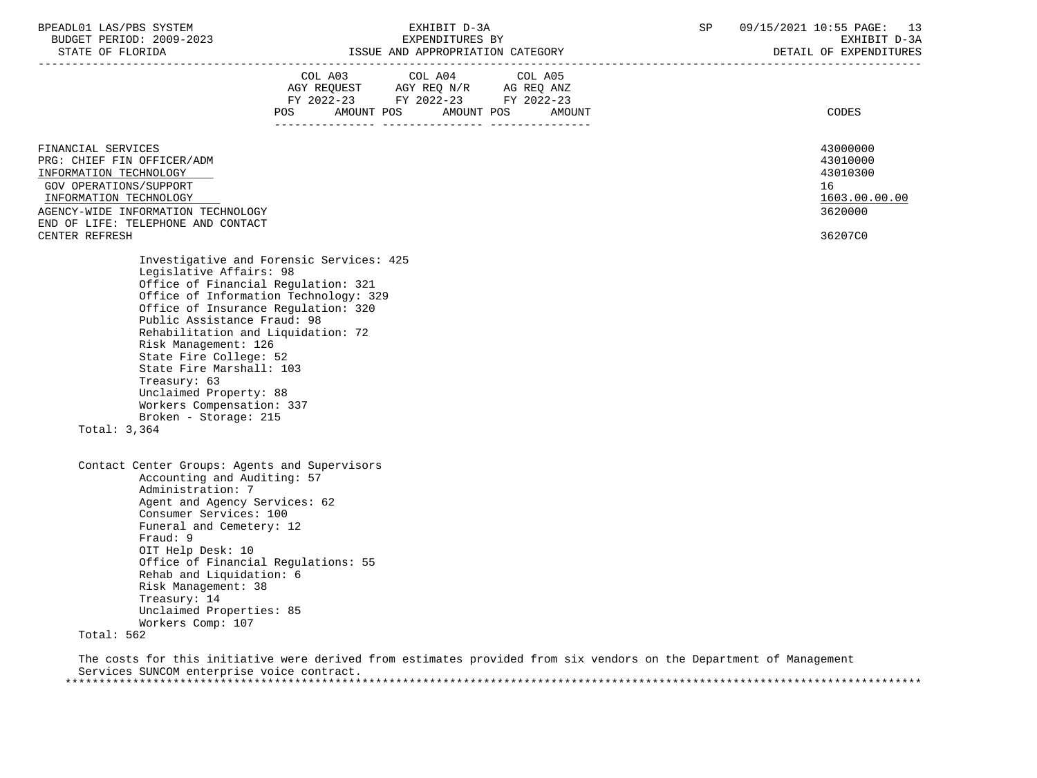STATE OF FLORIDA ISSUE AND APPROPRIATION CATEGORY DETAIL OF EXPENDITURES

|                                                                                                                                                                                                                                                                                                                                                                 |                                                                                                                                                           | DETAIT OF EVAENDITOKES                                                        |
|-----------------------------------------------------------------------------------------------------------------------------------------------------------------------------------------------------------------------------------------------------------------------------------------------------------------------------------------------------------------|-----------------------------------------------------------------------------------------------------------------------------------------------------------|-------------------------------------------------------------------------------|
|                                                                                                                                                                                                                                                                                                                                                                 | COL A03<br>COL A04<br>COL A05<br>AGY REQUEST AGY REQ N/R AG REQ ANZ<br>FY 2022-23 FY 2022-23 FY 2022-23<br>AMOUNT POS AMOUNT POS<br>POS<br>AMOUNT         | CODES                                                                         |
| FINANCIAL SERVICES<br>PRG: CHIEF FIN OFFICER/ADM<br>INFORMATION TECHNOLOGY<br><b>GOV OPERATIONS/SUPPORT</b><br>INFORMATION TECHNOLOGY<br>AGENCY-WIDE INFORMATION TECHNOLOGY<br>END OF LIFE: TELEPHONE AND CONTACT<br>CENTER REFRESH                                                                                                                             |                                                                                                                                                           | 43000000<br>43010000<br>43010300<br>16<br>1603.00.00.00<br>3620000<br>36207C0 |
| Legislative Affairs: 98<br>Public Assistance Fraud: 98<br>Risk Management: 126<br>State Fire College: 52<br>State Fire Marshall: 103<br>Treasury: 63<br>Unclaimed Property: 88                                                                                                                                                                                  | Office of Financial Regulation: 321<br>Office of Information Technology: 329<br>Office of Insurance Regulation: 320<br>Rehabilitation and Liquidation: 72 |                                                                               |
| Workers Compensation: 337<br>Broken - Storage: 215                                                                                                                                                                                                                                                                                                              |                                                                                                                                                           |                                                                               |
| Total: $3,364$<br>Contact Center Groups: Agents and Supervisors<br>Accounting and Auditing: 57<br>Administration: 7<br>Agent and Agency Services: 62<br>Consumer Services: 100<br>Funeral and Cemetery: 12<br>Fraud: 9<br>OIT Help Desk: 10<br>Rehab and Liquidation: 6<br>Risk Management: 38<br>Treasury: 14<br>Unclaimed Properties: 85<br>Workers Comp: 107 | Office of Financial Regulations: 55                                                                                                                       |                                                                               |

\*\*\*\*\*\*\*\*\*\*\*\*\*\*\*\*\*\*\*\*\*\*\*\*\*\*\*\*\*\*\*\*\*\*\*\*\*\*\*\*\*\*\*\*\*\*\*\*\*\*\*\*\*\*\*\*\*\*\*\*\*\*\*\*\*\*\*\*\*\*\*\*\*\*\*\*\*\*\*\*\*\*\*\*\*\*\*\*\*\*\*\*\*\*\*\*\*\*\*\*\*\*\*\*\*\*\*\*\*\*\*\*\*\*\*\*\*\*\*\*\*\*\*\*\*\*\*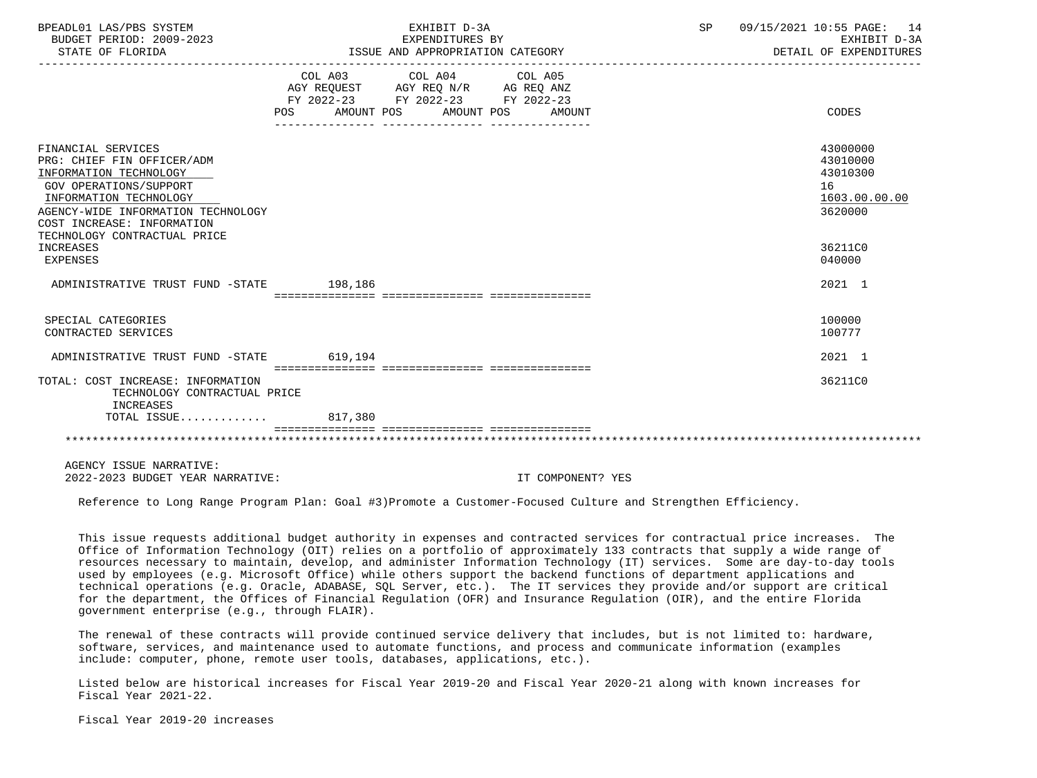| BPEADL01 LAS/PBS SYSTEM<br>BUDGET PERIOD: 2009-2023<br>STATE OF FLORIDA                                                                                                                                                            | EXHIBIT D-3A<br>SP<br>EXPENDITURES BY<br>ISSUE AND APPROPRIATION CATEGORY |                                                                                                   |  | 09/15/2021 10:55 PAGE: 14<br>EXHIBIT D-3A<br>DETAIL OF EXPENDITURES |                                                                    |
|------------------------------------------------------------------------------------------------------------------------------------------------------------------------------------------------------------------------------------|---------------------------------------------------------------------------|---------------------------------------------------------------------------------------------------|--|---------------------------------------------------------------------|--------------------------------------------------------------------|
|                                                                                                                                                                                                                                    | POS AMOUNT POS AMOUNT POS AMOUNT                                          | COL A03 COL A04 COL A05<br>AGY REQUEST AGY REQ N/R AG REQ ANZ<br>FY 2022-23 FY 2022-23 FY 2022-23 |  |                                                                     | CODES                                                              |
| FINANCIAL SERVICES<br>PRG: CHIEF FIN OFFICER/ADM<br>INFORMATION TECHNOLOGY<br>GOV OPERATIONS/SUPPORT<br>INFORMATION TECHNOLOGY<br>AGENCY-WIDE INFORMATION TECHNOLOGY<br>COST INCREASE: INFORMATION<br>TECHNOLOGY CONTRACTUAL PRICE |                                                                           |                                                                                                   |  |                                                                     | 43000000<br>43010000<br>43010300<br>16<br>1603.00.00.00<br>3620000 |
| INCREASES<br><b>EXPENSES</b>                                                                                                                                                                                                       |                                                                           |                                                                                                   |  |                                                                     | 36211C0<br>040000                                                  |
| ADMINISTRATIVE TRUST FUND -STATE 198,186                                                                                                                                                                                           |                                                                           |                                                                                                   |  |                                                                     | 2021 1                                                             |
| SPECIAL CATEGORIES<br>CONTRACTED SERVICES                                                                                                                                                                                          |                                                                           |                                                                                                   |  |                                                                     | 100000<br>100777                                                   |
| ADMINISTRATIVE TRUST FUND -STATE 619,194                                                                                                                                                                                           |                                                                           |                                                                                                   |  |                                                                     | 2021 1                                                             |
| TOTAL: COST INCREASE: INFORMATION<br>TECHNOLOGY CONTRACTUAL PRICE<br>INCREASES<br>TOTAL ISSUE                                                                                                                                      | 817,380                                                                   |                                                                                                   |  |                                                                     | 36211C0                                                            |
|                                                                                                                                                                                                                                    |                                                                           |                                                                                                   |  |                                                                     |                                                                    |

 AGENCY ISSUE NARRATIVE: 2022-2023 BUDGET YEAR NARRATIVE: IT COMPONENT? YES

Reference to Long Range Program Plan: Goal #3)Promote a Customer-Focused Culture and Strengthen Efficiency.

 This issue requests additional budget authority in expenses and contracted services for contractual price increases. The Office of Information Technology (OIT) relies on a portfolio of approximately 133 contracts that supply a wide range of resources necessary to maintain, develop, and administer Information Technology (IT) services. Some are day-to-day tools used by employees (e.g. Microsoft Office) while others support the backend functions of department applications and technical operations (e.g. Oracle, ADABASE, SQL Server, etc.). The IT services they provide and/or support are critical for the department, the Offices of Financial Regulation (OFR) and Insurance Regulation (OIR), and the entire Florida government enterprise (e.g., through FLAIR).

 The renewal of these contracts will provide continued service delivery that includes, but is not limited to: hardware, software, services, and maintenance used to automate functions, and process and communicate information (examples include: computer, phone, remote user tools, databases, applications, etc.).

 Listed below are historical increases for Fiscal Year 2019-20 and Fiscal Year 2020-21 along with known increases for Fiscal Year 2021-22.

Fiscal Year 2019-20 increases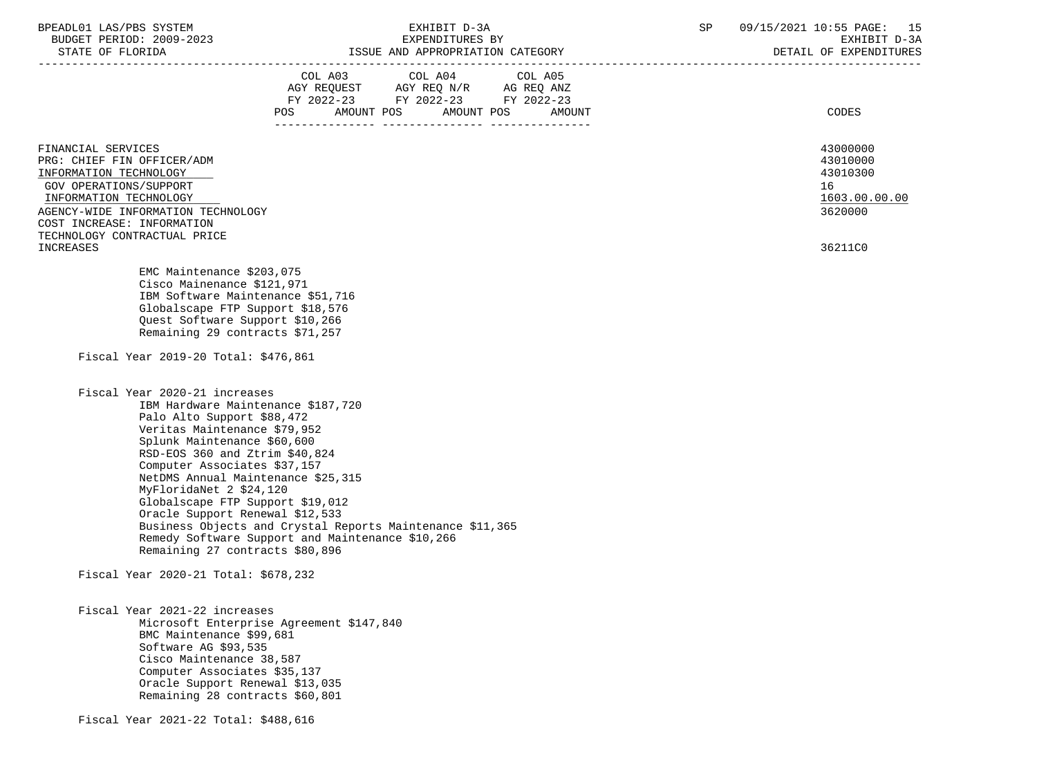BUDGET PERIOD: 2009-2023

| STATE OF FLORIDA                                                                                                                                                                                                                                                                                                                                                          |                                                                                                                                                                                           | DETAIL OF EXPENDITURES                                                        |  |
|---------------------------------------------------------------------------------------------------------------------------------------------------------------------------------------------------------------------------------------------------------------------------------------------------------------------------------------------------------------------------|-------------------------------------------------------------------------------------------------------------------------------------------------------------------------------------------|-------------------------------------------------------------------------------|--|
|                                                                                                                                                                                                                                                                                                                                                                           | COL A03 COL A04 COL A05<br>AGY REQUEST AGY REQ N/R AG REQ ANZ<br>FY 2022-23 FY 2022-23 FY 2022-23<br>AMOUNT POS AMOUNT POS<br><b>POS</b><br>AMOUNT                                        | CODES                                                                         |  |
| FINANCIAL SERVICES<br>PRG: CHIEF FIN OFFICER/ADM<br>INFORMATION TECHNOLOGY<br>GOV OPERATIONS/SUPPORT<br>INFORMATION TECHNOLOGY<br>AGENCY-WIDE INFORMATION TECHNOLOGY<br>COST INCREASE: INFORMATION<br>TECHNOLOGY CONTRACTUAL PRICE<br>INCREASES                                                                                                                           |                                                                                                                                                                                           | 43000000<br>43010000<br>43010300<br>16<br>1603.00.00.00<br>3620000<br>36211C0 |  |
| EMC Maintenance \$203,075<br>Cisco Mainenance \$121,971<br>Globalscape FTP Support \$18,576<br>Quest Software Support \$10,266<br>Remaining 29 contracts \$71,257<br>Fiscal Year 2019-20 Total: \$476,861                                                                                                                                                                 | IBM Software Maintenance \$51,716                                                                                                                                                         |                                                                               |  |
| Fiscal Year 2020-21 increases<br>Palo Alto Support \$88,472<br>Veritas Maintenance \$79,952<br>Splunk Maintenance \$60,600<br>RSD-EOS 360 and Ztrim \$40,824<br>Computer Associates \$37,157<br>MyFloridaNet 2 \$24,120<br>Globalscape FTP Support \$19,012<br>Oracle Support Renewal \$12,533<br>Remaining 27 contracts \$80,896<br>Fiscal Year 2020-21 Total: \$678,232 | IBM Hardware Maintenance \$187,720<br>NetDMS Annual Maintenance \$25,315<br>Business Objects and Crystal Reports Maintenance \$11,365<br>Remedy Software Support and Maintenance \$10,266 |                                                                               |  |
| Fiscal Year 2021-22 increases<br>BMC Maintenance \$99,681<br>Software AG \$93,535<br>Cisco Maintenance 38,587<br>Computer Associates \$35,137<br>Oracle Support Renewal \$13,035<br>Remaining 28 contracts \$60,801                                                                                                                                                       | Microsoft Enterprise Agreement \$147,840                                                                                                                                                  |                                                                               |  |
| Fiscal Year 2021-22 Total: \$488,616                                                                                                                                                                                                                                                                                                                                      |                                                                                                                                                                                           |                                                                               |  |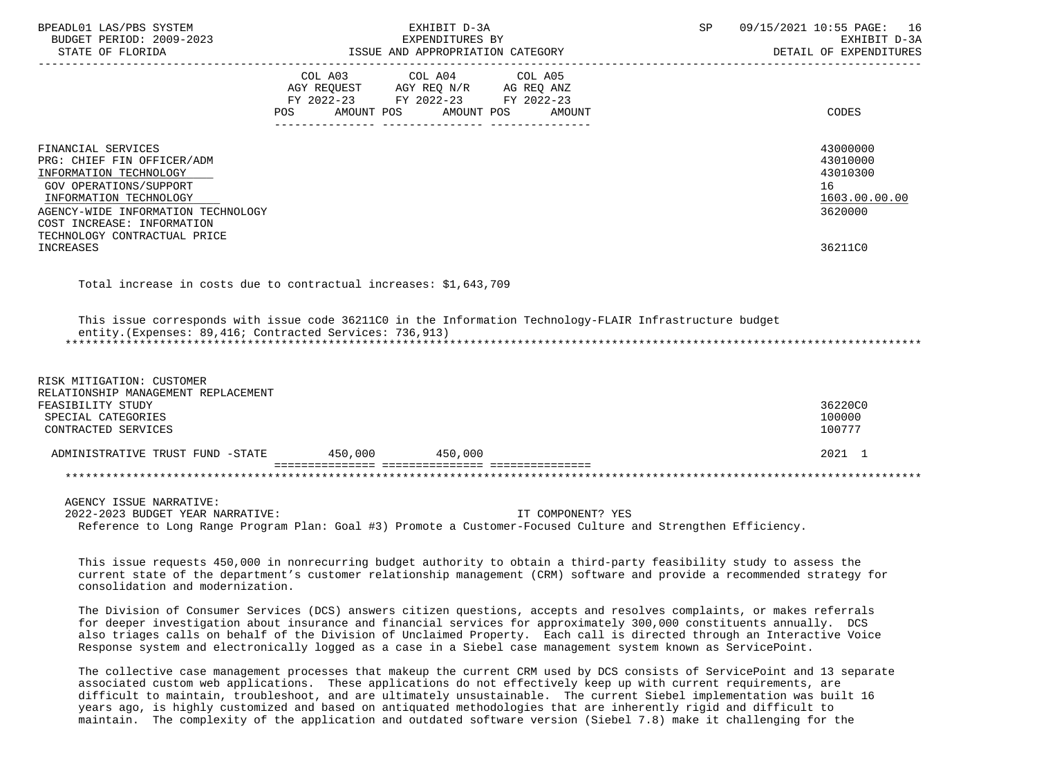| BPEADL01 LAS/PBS SYSTEM<br>BUDGET PERIOD: 2009-2023 | EXHIBIT D-3A<br>EXPENDITURES BY                                                                              | SP<br>09/15/2021 10:55 PAGE: 16<br>EXHIBIT D-3A |
|-----------------------------------------------------|--------------------------------------------------------------------------------------------------------------|-------------------------------------------------|
| STATE OF FLORIDA                                    | ISSUE AND APPROPRIATION CATEGORY                                                                             | DETAIL OF EXPENDITURES                          |
|                                                     | COL A03 COL A04 COL A05                                                                                      |                                                 |
|                                                     | AGY REQUEST AGY REQ N/R AG REQ ANZ                                                                           |                                                 |
|                                                     | FY 2022-23 FY 2022-23 FY 2022-23<br>POS AMOUNT POS AMOUNT POS AMOUNT                                         | CODES                                           |
|                                                     |                                                                                                              |                                                 |
| FINANCIAL SERVICES                                  |                                                                                                              | 43000000                                        |
| PRG: CHIEF FIN OFFICER/ADM                          |                                                                                                              | 43010000                                        |
| INFORMATION TECHNOLOGY                              |                                                                                                              | 43010300                                        |
| GOV OPERATIONS/SUPPORT                              |                                                                                                              | 16                                              |
| INFORMATION TECHNOLOGY                              |                                                                                                              | 1603.00.00.00                                   |
| AGENCY-WIDE INFORMATION TECHNOLOGY                  |                                                                                                              | 3620000                                         |
| COST INCREASE: INFORMATION                          |                                                                                                              |                                                 |
| TECHNOLOGY CONTRACTUAL PRICE<br>INCREASES           |                                                                                                              | 36211C0                                         |
|                                                     |                                                                                                              |                                                 |
|                                                     | Total increase in costs due to contractual increases: \$1,643,709                                            |                                                 |
|                                                     | This issue corresponds with issue code 36211C0 in the Information Technology-FLAIR Infrastructure budget     |                                                 |
|                                                     | entity. (Expenses: 89,416; Contracted Services: 736,913)                                                     |                                                 |
|                                                     |                                                                                                              |                                                 |
| RISK MITIGATION: CUSTOMER                           |                                                                                                              |                                                 |
| RELATIONSHIP MANAGEMENT REPLACEMENT                 |                                                                                                              |                                                 |
| FEASIBILITY STUDY                                   |                                                                                                              | 36220C0                                         |
| SPECIAL CATEGORIES                                  |                                                                                                              | 100000                                          |
| CONTRACTED SERVICES                                 |                                                                                                              | 100777                                          |
|                                                     | ADMINISTRATIVE TRUST FUND -STATE 450,000 450,000                                                             | 2021 1                                          |
|                                                     |                                                                                                              |                                                 |
|                                                     |                                                                                                              |                                                 |
| AGENCY ISSUE NARRATIVE:                             |                                                                                                              |                                                 |
| 2022-2023 BUDGET YEAR NARRATIVE:                    | IT COMPONENT? YES                                                                                            |                                                 |
|                                                     | Reference to Long Range Program Plan: Goal #3) Promote a Customer-Focused Culture and Strengthen Efficiency. |                                                 |

 This issue requests 450,000 in nonrecurring budget authority to obtain a third-party feasibility study to assess the current state of the department's customer relationship management (CRM) software and provide a recommended strategy for consolidation and modernization.

 The Division of Consumer Services (DCS) answers citizen questions, accepts and resolves complaints, or makes referrals for deeper investigation about insurance and financial services for approximately 300,000 constituents annually. DCS also triages calls on behalf of the Division of Unclaimed Property. Each call is directed through an Interactive Voice Response system and electronically logged as a case in a Siebel case management system known as ServicePoint.

 The collective case management processes that makeup the current CRM used by DCS consists of ServicePoint and 13 separate associated custom web applications. These applications do not effectively keep up with current requirements, are difficult to maintain, troubleshoot, and are ultimately unsustainable. The current Siebel implementation was built 16 years ago, is highly customized and based on antiquated methodologies that are inherently rigid and difficult to maintain. The complexity of the application and outdated software version (Siebel 7.8) make it challenging for the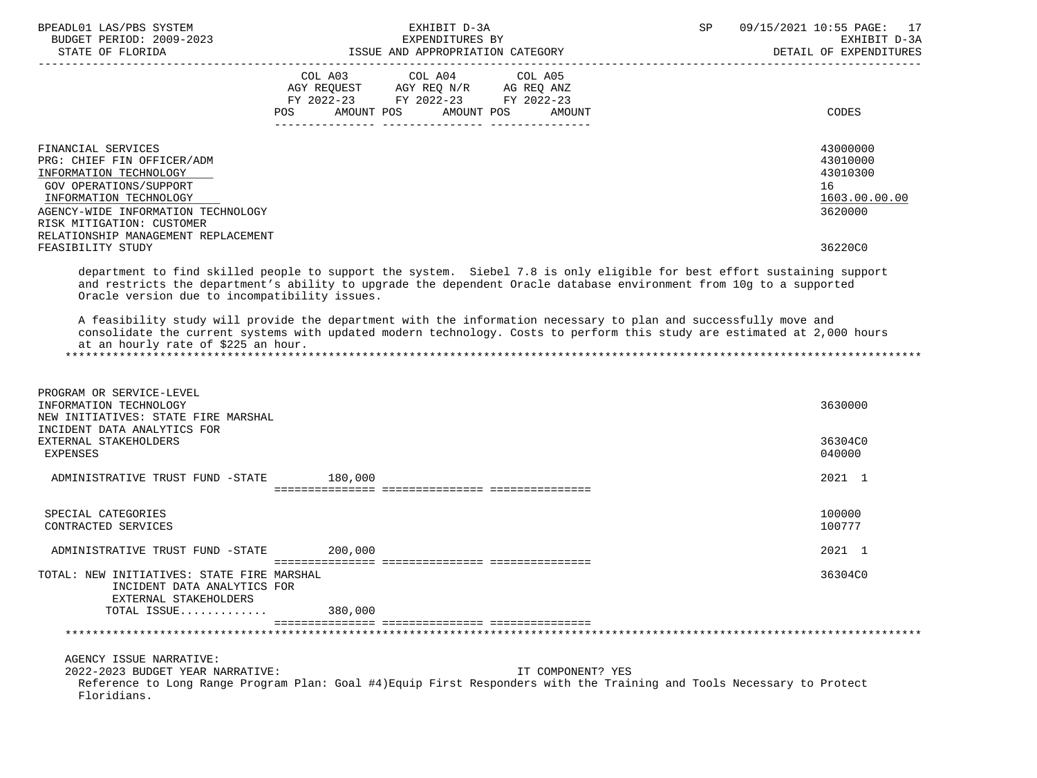| BPEADL01 LAS/PBS SYSTEM<br>BUDGET PERIOD: 2009-2023<br>STATE OF FLORIDA                                                                                                                                                                  | EXHIBIT D-3A<br>EXPENDITURES BY<br>ISSUE AND APPROPRIATION CATEGORY                                                                                                                                                                                                                                                                                                                                                                                                                            | SP<br>09/15/2021 10:55 PAGE:<br>17<br>EXHIBIT D-3A<br>DETAIL OF EXPENDITURES |
|------------------------------------------------------------------------------------------------------------------------------------------------------------------------------------------------------------------------------------------|------------------------------------------------------------------------------------------------------------------------------------------------------------------------------------------------------------------------------------------------------------------------------------------------------------------------------------------------------------------------------------------------------------------------------------------------------------------------------------------------|------------------------------------------------------------------------------|
|                                                                                                                                                                                                                                          | COL A03 COL A04 COL A05<br>AGY REQUEST AGY REQ N/R AG REQ ANZ<br>FY 2022-23 FY 2022-23 FY 2022-23<br>AMOUNT POS<br>AMOUNT POS<br>AMOUNT<br>POS                                                                                                                                                                                                                                                                                                                                                 | CODES                                                                        |
| FINANCIAL SERVICES<br>PRG: CHIEF FIN OFFICER/ADM<br>INFORMATION TECHNOLOGY<br>GOV OPERATIONS/SUPPORT<br>INFORMATION TECHNOLOGY<br>AGENCY-WIDE INFORMATION TECHNOLOGY<br>RISK MITIGATION: CUSTOMER<br>RELATIONSHIP MANAGEMENT REPLACEMENT |                                                                                                                                                                                                                                                                                                                                                                                                                                                                                                | 43000000<br>43010000<br>43010300<br>16<br>1603.00.00.00<br>3620000           |
| FEASIBILITY STUDY                                                                                                                                                                                                                        |                                                                                                                                                                                                                                                                                                                                                                                                                                                                                                | 36220C0                                                                      |
| Oracle version due to incompatibility issues.<br>at an hourly rate of \$225 an hour.                                                                                                                                                     | department to find skilled people to support the system. Siebel 7.8 is only eligible for best effort sustaining support<br>and restricts the department's ability to upgrade the dependent Oracle database environment from 10g to a supported<br>A feasibility study will provide the department with the information necessary to plan and successfully move and<br>consolidate the current systems with updated modern technology. Costs to perform this study are estimated at 2,000 hours |                                                                              |
|                                                                                                                                                                                                                                          |                                                                                                                                                                                                                                                                                                                                                                                                                                                                                                |                                                                              |
| PROGRAM OR SERVICE-LEVEL<br>INFORMATION TECHNOLOGY<br>NEW INITIATIVES: STATE FIRE MARSHAL<br>INCIDENT DATA ANALYTICS FOR                                                                                                                 |                                                                                                                                                                                                                                                                                                                                                                                                                                                                                                | 3630000                                                                      |
| EXTERNAL STAKEHOLDERS<br><b>EXPENSES</b>                                                                                                                                                                                                 |                                                                                                                                                                                                                                                                                                                                                                                                                                                                                                | 36304C0<br>040000                                                            |
| ADMINISTRATIVE TRUST FUND -STATE 180,000                                                                                                                                                                                                 |                                                                                                                                                                                                                                                                                                                                                                                                                                                                                                | 2021 1                                                                       |
| SPECIAL CATEGORIES<br>CONTRACTED SERVICES                                                                                                                                                                                                |                                                                                                                                                                                                                                                                                                                                                                                                                                                                                                | 100000<br>100777                                                             |
| ADMINISTRATIVE TRUST FUND -STATE                                                                                                                                                                                                         | 200,000                                                                                                                                                                                                                                                                                                                                                                                                                                                                                        | 2021 1                                                                       |
| TOTAL: NEW INITIATIVES: STATE FIRE MARSHAL<br>INCIDENT DATA ANALYTICS FOR<br>EXTERNAL STAKEHOLDERS<br>TOTAL ISSUE                                                                                                                        | 380,000                                                                                                                                                                                                                                                                                                                                                                                                                                                                                        | 36304C0                                                                      |
|                                                                                                                                                                                                                                          |                                                                                                                                                                                                                                                                                                                                                                                                                                                                                                |                                                                              |
|                                                                                                                                                                                                                                          |                                                                                                                                                                                                                                                                                                                                                                                                                                                                                                |                                                                              |
| AGENCY ISSUE NARRATIVE:<br>2022-2023 BUDGET YEAR NARRATIVE:<br>Floridians.                                                                                                                                                               | IT COMPONENT? YES<br>Reference to Long Range Program Plan: Goal #4) Equip First Responders with the Training and Tools Necessary to Protect                                                                                                                                                                                                                                                                                                                                                    |                                                                              |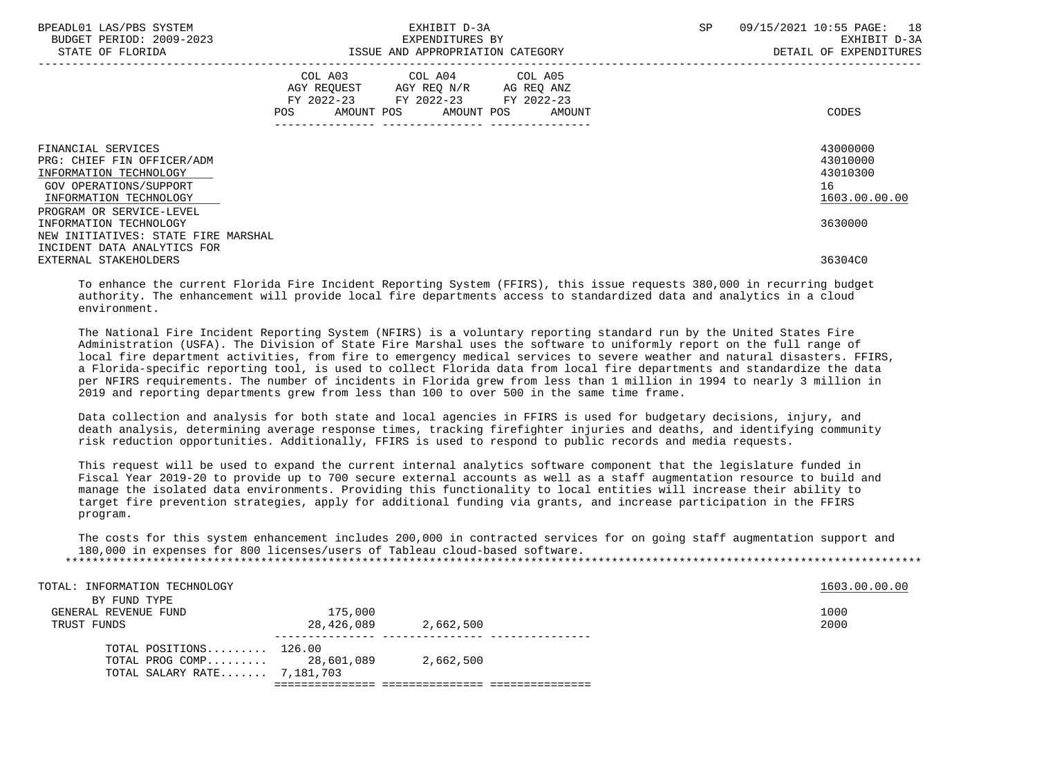| BPEADL01 LAS/PBS SYSTEM<br>BUDGET PERIOD: 2009-2023<br>STATE OF FLORIDA                                                                           | EXHIBIT D-3A<br>EXPENDITURES BY<br>ISSUE AND APPROPRIATION CATEGORY                                                                      | 18<br>SP<br>09/15/2021 10:55 PAGE:<br>EXHIBIT D-3A<br>DETAIL OF EXPENDITURES |
|---------------------------------------------------------------------------------------------------------------------------------------------------|------------------------------------------------------------------------------------------------------------------------------------------|------------------------------------------------------------------------------|
|                                                                                                                                                   | COL A03 COL A04 COL A05<br>AGY REQUEST AGY REQ N/R AG REQ ANZ<br>FY 2022-23 FY 2022-23 FY 2022-23<br>POS<br>AMOUNT POS AMOUNT POS AMOUNT | CODES                                                                        |
| FINANCIAL SERVICES<br>PRG: CHIEF FIN OFFICER/ADM<br>INFORMATION TECHNOLOGY<br>GOV OPERATIONS/SUPPORT<br>INFORMATION TECHNOLOGY                    |                                                                                                                                          | 43000000<br>43010000<br>43010300<br>16<br>1603.00.00.00                      |
| PROGRAM OR SERVICE-LEVEL<br>INFORMATION TECHNOLOGY<br>NEW INITIATIVES: STATE FIRE MARSHAL<br>INCIDENT DATA ANALYTICS FOR<br>EXTERNAL STAKEHOLDERS |                                                                                                                                          | 3630000<br>36304C0                                                           |

 To enhance the current Florida Fire Incident Reporting System (FFIRS), this issue requests 380,000 in recurring budget authority. The enhancement will provide local fire departments access to standardized data and analytics in a cloud environment.

 The National Fire Incident Reporting System (NFIRS) is a voluntary reporting standard run by the United States Fire Administration (USFA). The Division of State Fire Marshal uses the software to uniformly report on the full range of local fire department activities, from fire to emergency medical services to severe weather and natural disasters. FFIRS, a Florida-specific reporting tool, is used to collect Florida data from local fire departments and standardize the data per NFIRS requirements. The number of incidents in Florida grew from less than 1 million in 1994 to nearly 3 million in 2019 and reporting departments grew from less than 100 to over 500 in the same time frame.

 Data collection and analysis for both state and local agencies in FFIRS is used for budgetary decisions, injury, and death analysis, determining average response times, tracking firefighter injuries and deaths, and identifying community risk reduction opportunities. Additionally, FFIRS is used to respond to public records and media requests.

 This request will be used to expand the current internal analytics software component that the legislature funded in Fiscal Year 2019-20 to provide up to 700 secure external accounts as well as a staff augmentation resource to build and manage the isolated data environments. Providing this functionality to local entities will increase their ability to target fire prevention strategies, apply for additional funding via grants, and increase participation in the FFIRS program.

 The costs for this system enhancement includes 200,000 in contracted services for on going staff augmentation support and 180,000 in expenses for 800 licenses/users of Tableau cloud-based software. \*\*\*\*\*\*\*\*\*\*\*\*\*\*\*\*\*\*\*\*\*\*\*\*\*\*\*\*\*\*\*\*\*\*\*\*\*\*\*\*\*\*\*\*\*\*\*\*\*\*\*\*\*\*\*\*\*\*\*\*\*\*\*\*\*\*\*\*\*\*\*\*\*\*\*\*\*\*\*\*\*\*\*\*\*\*\*\*\*\*\*\*\*\*\*\*\*\*\*\*\*\*\*\*\*\*\*\*\*\*\*\*\*\*\*\*\*\*\*\*\*\*\*\*\*\*\*

| TOTAL: INFORMATION TECHNOLOGY |            |           | 1603.00.00.00 |
|-------------------------------|------------|-----------|---------------|
| BY FUND TYPE                  |            |           |               |
| GENERAL REVENUE FUND          | 175,000    |           | 1000          |
| TRUST FUNDS                   | 28,426,089 | 2,662,500 | 2000          |
| TOTAL POSITIONS 126.00        |            |           |               |
| TOTAL PROG COMP 28,601,089    |            | 2,662,500 |               |
| TOTAL SALARY RATE 7,181,703   |            |           |               |
|                               |            |           |               |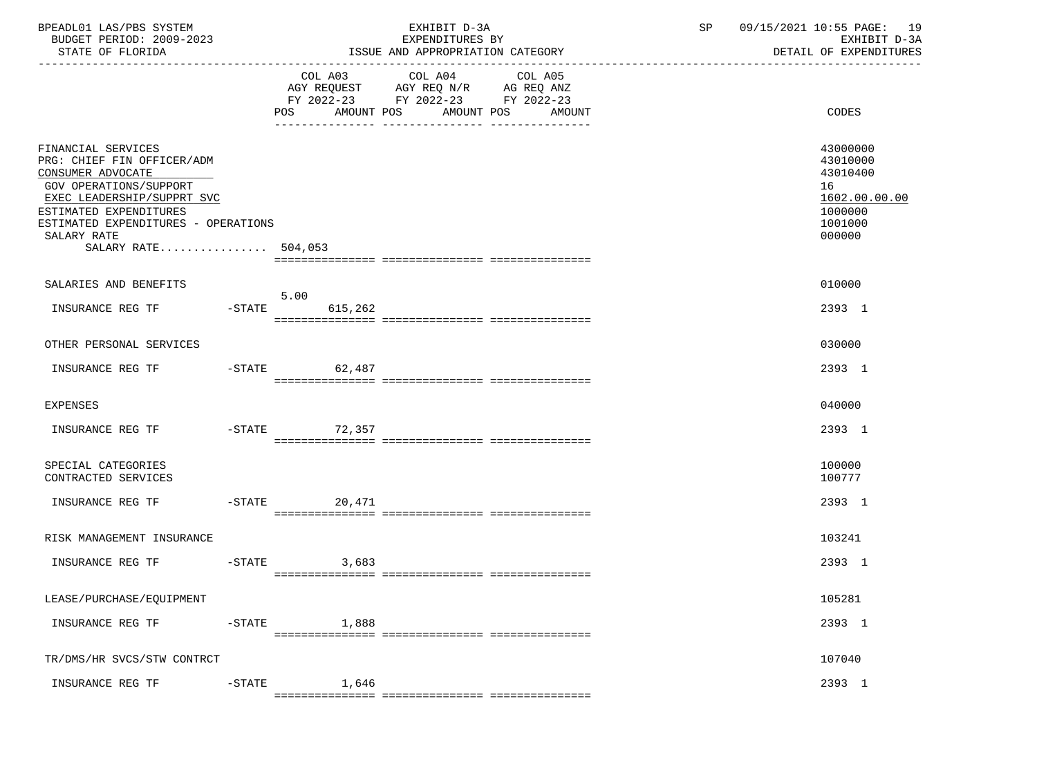| BPEADL01 LAS/PBS SYSTEM<br>BUDGET PERIOD: 2009-2023<br>STATE OF FLORIDA                                                                                                                                                              |           |                                                                                                                                       | EXHIBIT D-3A<br>EXPENDITURES BY<br>ISSUE AND APPROPRIATION CATEGORY | SP    | 09/15/2021 10:55 PAGE: 19<br>EXHIBIT D-3A<br>DETAIL OF EXPENDITURES                     |
|--------------------------------------------------------------------------------------------------------------------------------------------------------------------------------------------------------------------------------------|-----------|---------------------------------------------------------------------------------------------------------------------------------------|---------------------------------------------------------------------|-------|-----------------------------------------------------------------------------------------|
|                                                                                                                                                                                                                                      |           | COL A03 COL A04 COL A05<br>AGY REQUEST AGY REQ N/R AG REQ ANZ<br>FY 2022-23 FY 2022-23 FY 2022-23<br>POS AMOUNT POS AMOUNT POS AMOUNT |                                                                     | CODES |                                                                                         |
| FINANCIAL SERVICES<br>PRG: CHIEF FIN OFFICER/ADM<br>CONSUMER ADVOCATE<br>GOV OPERATIONS/SUPPORT<br>EXEC LEADERSHIP/SUPPRT SVC<br>ESTIMATED EXPENDITURES<br>ESTIMATED EXPENDITURES - OPERATIONS<br>SALARY RATE<br>SALARY RATE 504,053 |           |                                                                                                                                       |                                                                     |       | 43000000<br>43010000<br>43010400<br>16<br>1602.00.00.00<br>1000000<br>1001000<br>000000 |
| SALARIES AND BENEFITS                                                                                                                                                                                                                |           |                                                                                                                                       |                                                                     |       | 010000                                                                                  |
| INSURANCE REG TF                                                                                                                                                                                                                     |           | 5.00<br>-STATE 615,262                                                                                                                |                                                                     |       | 2393 1                                                                                  |
| OTHER PERSONAL SERVICES                                                                                                                                                                                                              |           |                                                                                                                                       |                                                                     |       | 030000                                                                                  |
|                                                                                                                                                                                                                                      |           |                                                                                                                                       |                                                                     |       | 2393 1                                                                                  |
| <b>EXPENSES</b>                                                                                                                                                                                                                      |           |                                                                                                                                       |                                                                     |       | 040000                                                                                  |
| INSURANCE REG TF                                                                                                                                                                                                                     |           | $-STATE$ 72,357                                                                                                                       |                                                                     |       | 2393 1                                                                                  |
| SPECIAL CATEGORIES<br>CONTRACTED SERVICES                                                                                                                                                                                            |           |                                                                                                                                       |                                                                     |       | 100000<br>100777                                                                        |
| INSURANCE REG TF -STATE 20,471                                                                                                                                                                                                       |           |                                                                                                                                       |                                                                     |       | 2393 1                                                                                  |
| RISK MANAGEMENT INSURANCE                                                                                                                                                                                                            |           |                                                                                                                                       |                                                                     |       | 103241                                                                                  |
| INSURANCE REG TF                                                                                                                                                                                                                     |           | 3,683<br>$-STATE$                                                                                                                     |                                                                     |       | 2393 1                                                                                  |
| LEASE/PURCHASE/EQUIPMENT                                                                                                                                                                                                             |           |                                                                                                                                       |                                                                     |       | 105281                                                                                  |
| INSURANCE REG TF                                                                                                                                                                                                                     | $-$ STATE | 1,888                                                                                                                                 |                                                                     |       | 2393 1                                                                                  |
| TR/DMS/HR SVCS/STW CONTRCT                                                                                                                                                                                                           |           |                                                                                                                                       |                                                                     |       | 107040                                                                                  |
| INSURANCE REG TF                                                                                                                                                                                                                     | $-$ STATE | 1,646                                                                                                                                 |                                                                     |       | 2393 1                                                                                  |
|                                                                                                                                                                                                                                      |           |                                                                                                                                       |                                                                     |       |                                                                                         |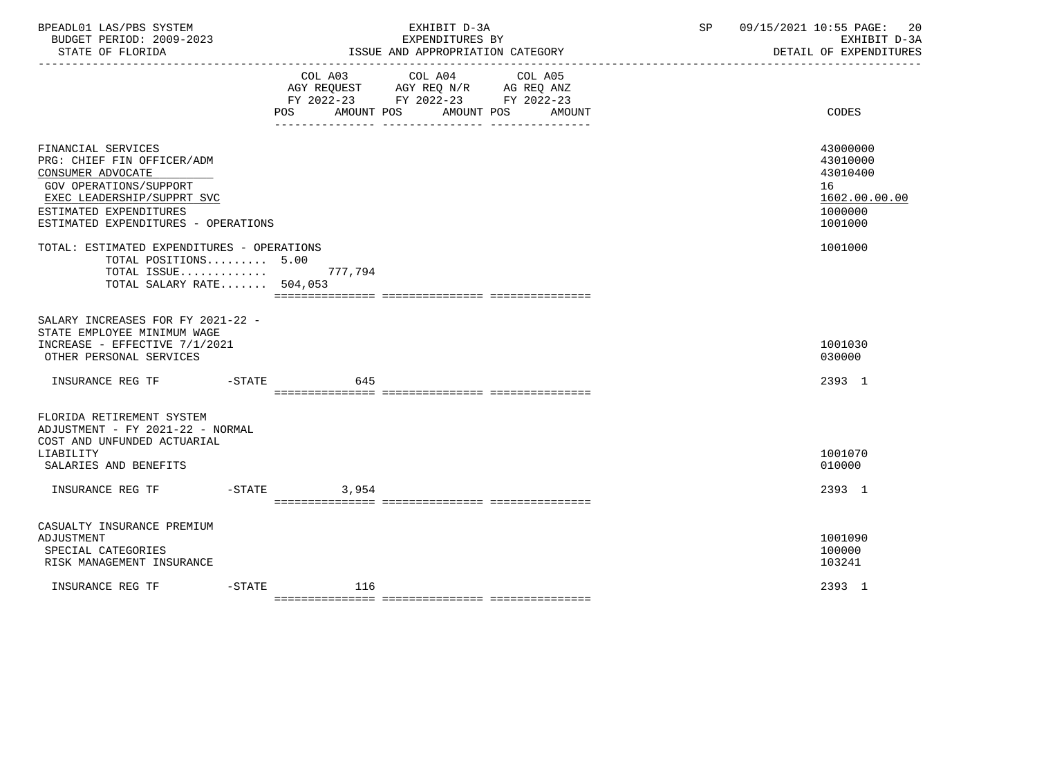| BPEADL01 LAS/PBS SYSTEM<br>BUDGET PERIOD: 2009-2023<br>STATE OF FLORIDA                                                                                                                        |                  | EXHIBIT D-3A<br>EXPENDITURES BY<br>ISSUE AND APPROPRIATION CATEGORY                                                                      | SP | 09/15/2021 10:55 PAGE: 20<br>EXHIBIT D-3A<br>DETAIL OF EXPENDITURES           |
|------------------------------------------------------------------------------------------------------------------------------------------------------------------------------------------------|------------------|------------------------------------------------------------------------------------------------------------------------------------------|----|-------------------------------------------------------------------------------|
|                                                                                                                                                                                                |                  | COL A03 COL A04 COL A05<br>AGY REQUEST AGY REQ N/R AG REQ ANZ<br>FY 2022-23 FY 2022-23 FY 2022-23<br>POS AMOUNT POS AMOUNT POS<br>AMOUNT |    | CODES                                                                         |
| FINANCIAL SERVICES<br>PRG: CHIEF FIN OFFICER/ADM<br>CONSUMER ADVOCATE<br>GOV OPERATIONS/SUPPORT<br>EXEC LEADERSHIP/SUPPRT SVC<br>ESTIMATED EXPENDITURES<br>ESTIMATED EXPENDITURES - OPERATIONS |                  |                                                                                                                                          |    | 43000000<br>43010000<br>43010400<br>16<br>1602.00.00.00<br>1000000<br>1001000 |
| TOTAL: ESTIMATED EXPENDITURES - OPERATIONS<br>TOTAL POSITIONS 5.00<br>TOTAL ISSUE $777,794$<br>TOTAL SALARY RATE 504,053                                                                       |                  |                                                                                                                                          |    | 1001000                                                                       |
| SALARY INCREASES FOR FY 2021-22 -<br>STATE EMPLOYEE MINIMUM WAGE<br>INCREASE - EFFECTIVE 7/1/2021<br>OTHER PERSONAL SERVICES                                                                   |                  |                                                                                                                                          |    | 1001030<br>030000                                                             |
|                                                                                                                                                                                                |                  |                                                                                                                                          |    | 2393 1                                                                        |
| FLORIDA RETIREMENT SYSTEM<br>ADJUSTMENT - FY 2021-22 - NORMAL<br>COST AND UNFUNDED ACTUARIAL<br>LIABILITY<br>SALARIES AND BENEFITS                                                             |                  |                                                                                                                                          |    | 1001070<br>010000                                                             |
|                                                                                                                                                                                                |                  |                                                                                                                                          |    | 2393 1                                                                        |
| CASUALTY INSURANCE PREMIUM<br>ADJUSTMENT<br>SPECIAL CATEGORIES<br>RISK MANAGEMENT INSURANCE                                                                                                    |                  |                                                                                                                                          |    | 1001090<br>100000<br>103241                                                   |
| INSURANCE REG TF                                                                                                                                                                               | $-$ STATE<br>116 |                                                                                                                                          |    | 2393 1                                                                        |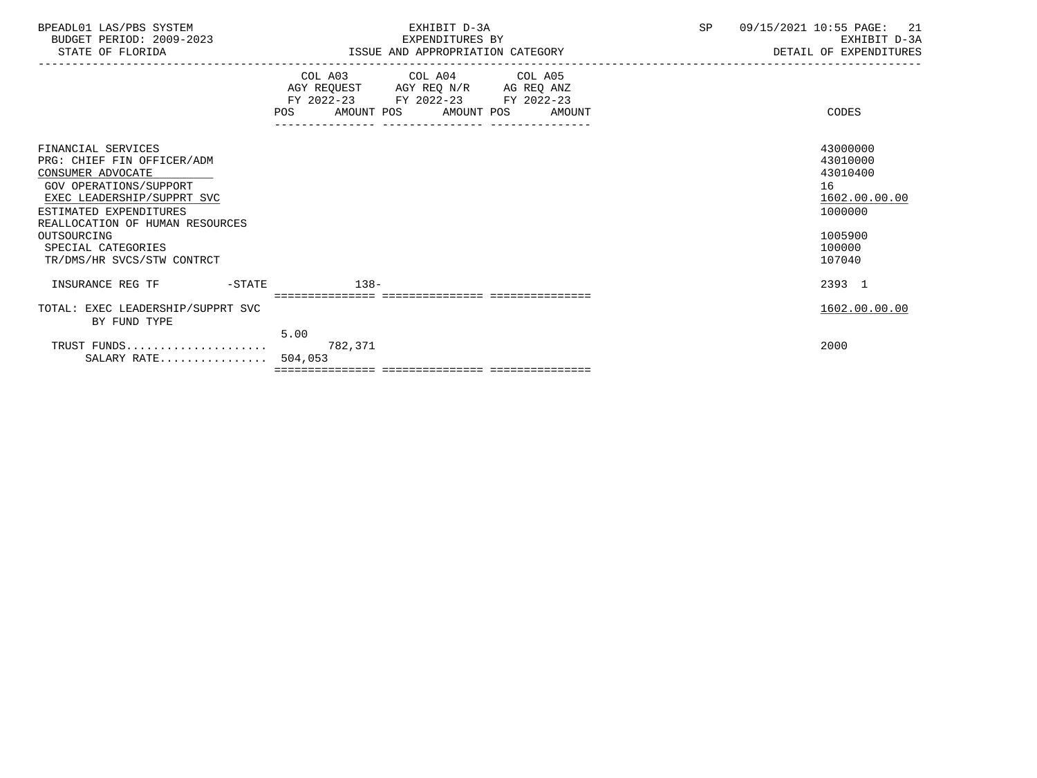| BPEADL01 LAS/PBS SYSTEM<br>BUDGET PERIOD: 2009-2023<br>STATE OF FLORIDA                                                                                                                                                                                       | EXHIBIT D-3A<br>EXPENDITURES BY<br>ISSUE AND APPROPRIATION CATEGORY                                                                                       | <b>SP</b><br>09/15/2021 10:55 PAGE: 21<br>EXHIBIT D-3A<br>DETAIL OF EXPENDITURES                  |
|---------------------------------------------------------------------------------------------------------------------------------------------------------------------------------------------------------------------------------------------------------------|-----------------------------------------------------------------------------------------------------------------------------------------------------------|---------------------------------------------------------------------------------------------------|
|                                                                                                                                                                                                                                                               | ----------------<br>COL A03 COL A04 COL A05<br>AGY REQUEST AGY REQ N/R AG REQ ANZ<br>FY 2022-23 FY 2022-23 FY 2022-23<br>POS AMOUNT POS AMOUNT POS AMOUNT | CODES                                                                                             |
| FINANCIAL SERVICES<br>PRG: CHIEF FIN OFFICER/ADM<br>CONSUMER ADVOCATE<br>GOV OPERATIONS/SUPPORT<br>EXEC LEADERSHIP/SUPPRT SVC<br>ESTIMATED EXPENDITURES<br>REALLOCATION OF HUMAN RESOURCES<br>OUTSOURCING<br>SPECIAL CATEGORIES<br>TR/DMS/HR SVCS/STW CONTRCT |                                                                                                                                                           | 43000000<br>43010000<br>43010400<br>16<br>1602.00.00.00<br>1000000<br>1005900<br>100000<br>107040 |
| $-STATE$<br>INSURANCE REG TF                                                                                                                                                                                                                                  | $138-$                                                                                                                                                    | 2393 1                                                                                            |
| TOTAL: EXEC LEADERSHIP/SUPPRT SVC<br>BY FUND TYPE                                                                                                                                                                                                             |                                                                                                                                                           | 1602.00.00.00                                                                                     |
| SALARY RATE 504,053                                                                                                                                                                                                                                           | 5.00                                                                                                                                                      | 2000                                                                                              |
|                                                                                                                                                                                                                                                               |                                                                                                                                                           |                                                                                                   |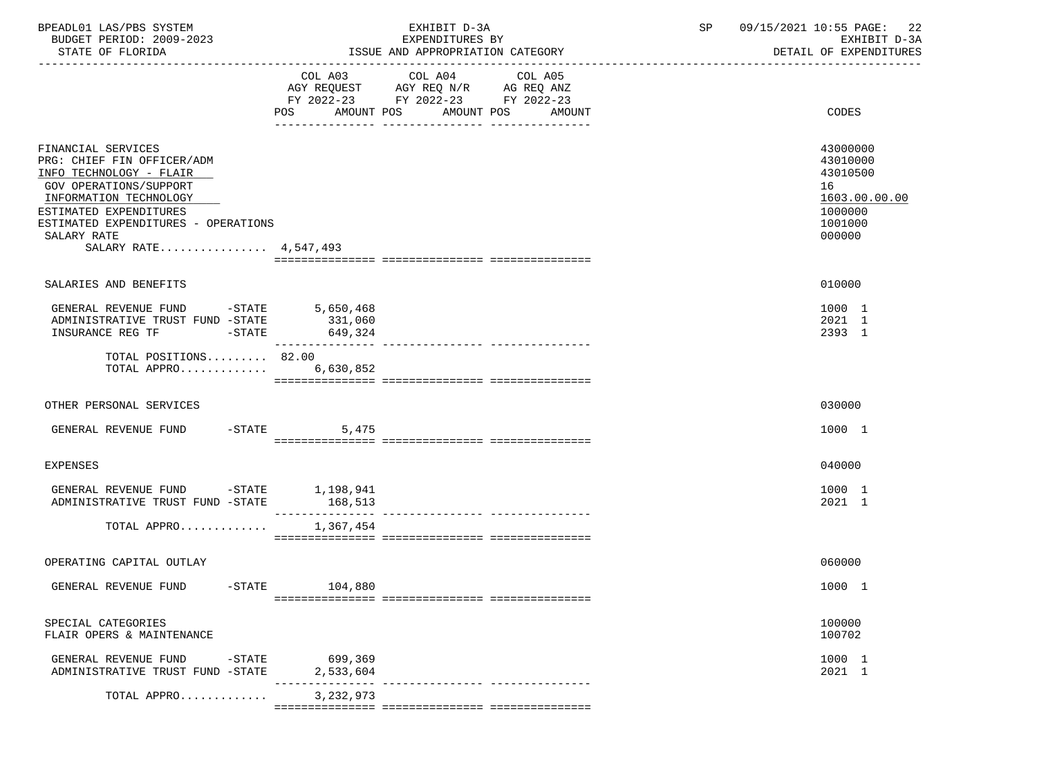| BPEADL01 LAS/PBS SYSTEM<br>BUDGET PERIOD: 2009-2023<br>STATE OF FLORIDA                                                                                                                                                                  |                                                                                                                | EXHIBIT D-3A<br>EXPENDITURES BY<br>ISSUE AND APPROPRIATION CATEGORY                                                               | 09/15/2021 10:55 PAGE: 22<br>SP | EXHIBIT D-3A<br>DETAIL OF EXPENDITURES                                            |
|------------------------------------------------------------------------------------------------------------------------------------------------------------------------------------------------------------------------------------------|----------------------------------------------------------------------------------------------------------------|-----------------------------------------------------------------------------------------------------------------------------------|---------------------------------|-----------------------------------------------------------------------------------|
|                                                                                                                                                                                                                                          | POS FOR THE POST OF THE POST OF THE POST OF THE POST OF THE POST OF THE POST OF THE POST OF THE POST OF THE PO | COL A03 COL A04 COL A05<br>AGY REQUEST AGY REQ N/R AG REQ ANZ<br>FY 2022-23 FY 2022-23 FY 2022-23<br>AMOUNT POS AMOUNT POS AMOUNT |                                 | CODES                                                                             |
| FINANCIAL SERVICES<br>PRG: CHIEF FIN OFFICER/ADM<br>INFO TECHNOLOGY - FLAIR<br>GOV OPERATIONS/SUPPORT<br>INFORMATION TECHNOLOGY<br>ESTIMATED EXPENDITURES<br>ESTIMATED EXPENDITURES - OPERATIONS<br>SALARY RATE<br>SALARY RATE 4,547,493 |                                                                                                                |                                                                                                                                   | 16                              | 43000000<br>43010000<br>43010500<br>1603.00.00.00<br>1000000<br>1001000<br>000000 |
| SALARIES AND BENEFITS                                                                                                                                                                                                                    |                                                                                                                |                                                                                                                                   |                                 | 010000                                                                            |
| GENERAL REVENUE FUND -STATE 5,650,468<br>ADMINISTRATIVE TRUST FUND -STATE<br>INSURANCE REG TF -STATE 649,324                                                                                                                             | 331,060                                                                                                        |                                                                                                                                   |                                 | 1000 1<br>2021 1<br>2393 1                                                        |
| TOTAL POSITIONS 82.00<br>TOTAL APPRO $6,630,852$                                                                                                                                                                                         |                                                                                                                |                                                                                                                                   |                                 |                                                                                   |
| OTHER PERSONAL SERVICES                                                                                                                                                                                                                  |                                                                                                                |                                                                                                                                   |                                 | 030000                                                                            |
| GENERAL REVENUE FUND -STATE 5,475                                                                                                                                                                                                        |                                                                                                                |                                                                                                                                   |                                 | 1000 1                                                                            |
| EXPENSES                                                                                                                                                                                                                                 |                                                                                                                |                                                                                                                                   |                                 | 040000                                                                            |
| GENERAL REVENUE FUND -STATE 1,198,941<br>ADMINISTRATIVE TRUST FUND -STATE<br>TOTAL APPRO                                                                                                                                                 | 168,513<br>1,367,454                                                                                           |                                                                                                                                   |                                 | 1000 1<br>2021 1                                                                  |
|                                                                                                                                                                                                                                          |                                                                                                                |                                                                                                                                   |                                 |                                                                                   |
| OPERATING CAPITAL OUTLAY                                                                                                                                                                                                                 |                                                                                                                |                                                                                                                                   |                                 | 060000                                                                            |
| GENERAL REVENUE FUND<br>$-$ STATE                                                                                                                                                                                                        | 104,880                                                                                                        |                                                                                                                                   |                                 | 1000 1                                                                            |
| SPECIAL CATEGORIES<br>FLAIR OPERS & MAINTENANCE                                                                                                                                                                                          |                                                                                                                |                                                                                                                                   |                                 | 100000<br>100702                                                                  |
| GENERAL REVENUE FUND<br>$-STATE$<br>ADMINISTRATIVE TRUST FUND -STATE                                                                                                                                                                     | 699,369<br>2,533,604                                                                                           |                                                                                                                                   |                                 | 1000 1<br>2021 1                                                                  |
| TOTAL APPRO                                                                                                                                                                                                                              | 3, 232, 973                                                                                                    |                                                                                                                                   |                                 |                                                                                   |

=============== =============== ===============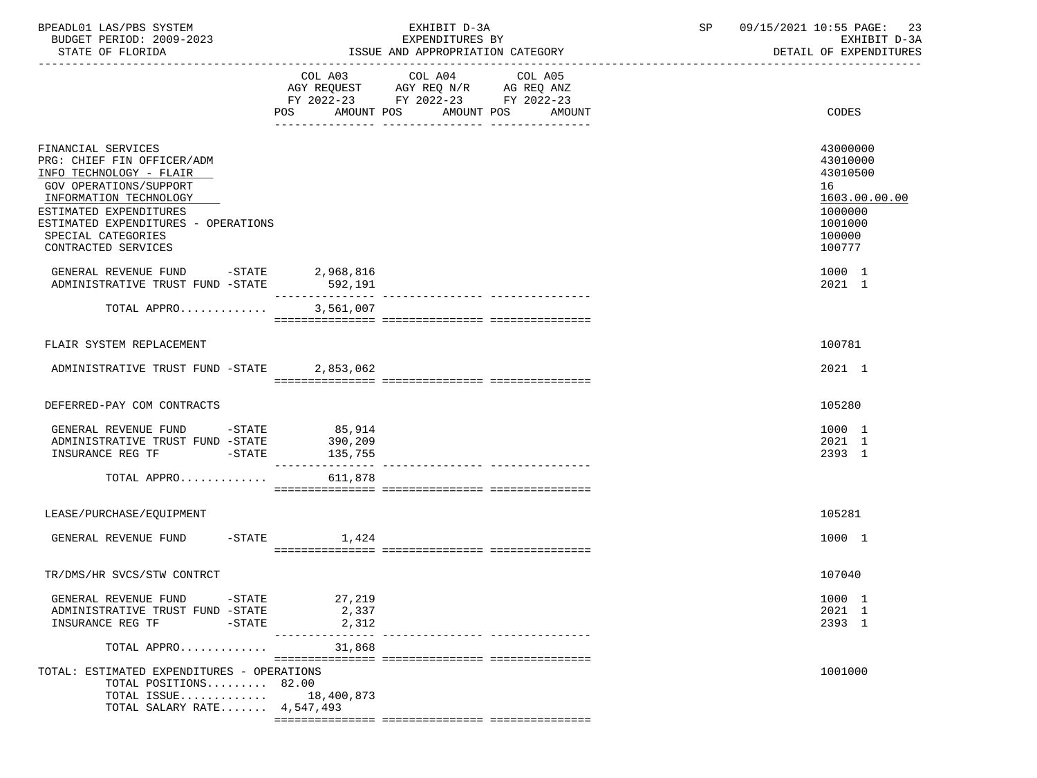| BPEADL01 LAS/PBS SYSTEM  | EXHIBIT                               | $\cap$ $\Gamma$ | 09/15/2021 10:55 PAGE:<br>23 |
|--------------------------|---------------------------------------|-----------------|------------------------------|
| BUDGET PERIOD: 2009-2023 | EXPENDITURES BY                       |                 | EXHIBIT D-3A                 |
| STATE OF FLORIDA         | : AND APPROPRIATION CATEGORY<br>"SSUE |                 | DETAIL OF EXPENDITURES       |

|                                                                                                                                                                                                                                               | AMOUNT POS                                      | FY 2022-23 FY 2022-23 FY 2022-23 | AMOUNT POS<br>AMOUNT | CODES                                                                                             |
|-----------------------------------------------------------------------------------------------------------------------------------------------------------------------------------------------------------------------------------------------|-------------------------------------------------|----------------------------------|----------------------|---------------------------------------------------------------------------------------------------|
|                                                                                                                                                                                                                                               |                                                 | --- -------------                | -- ----------------  |                                                                                                   |
| FINANCIAL SERVICES<br>PRG: CHIEF FIN OFFICER/ADM<br>INFO TECHNOLOGY - FLAIR<br>GOV OPERATIONS/SUPPORT<br>INFORMATION TECHNOLOGY<br>ESTIMATED EXPENDITURES<br>ESTIMATED EXPENDITURES - OPERATIONS<br>SPECIAL CATEGORIES<br>CONTRACTED SERVICES |                                                 |                                  |                      | 43000000<br>43010000<br>43010500<br>16<br>1603.00.00.00<br>1000000<br>1001000<br>100000<br>100777 |
| GENERAL REVENUE FUND -STATE 2,968,816<br>ADMINISTRATIVE TRUST FUND -STATE                                                                                                                                                                     | 592,191<br>----------------                     |                                  |                      | 1000 1<br>2021 1                                                                                  |
| TOTAL APPRO                                                                                                                                                                                                                                   | 3,561,007                                       |                                  |                      |                                                                                                   |
| FLAIR SYSTEM REPLACEMENT                                                                                                                                                                                                                      |                                                 |                                  |                      | 100781                                                                                            |
| ADMINISTRATIVE TRUST FUND -STATE 2,853,062                                                                                                                                                                                                    |                                                 |                                  |                      | 2021 1                                                                                            |
| DEFERRED-PAY COM CONTRACTS                                                                                                                                                                                                                    |                                                 |                                  |                      | 105280                                                                                            |
| GENERAL REVENUE FUND -STATE<br>ADMINISTRATIVE TRUST FUND -STATE<br>$-$ STATE<br>INSURANCE REG TF                                                                                                                                              | 85,914<br>390,209<br>135,755<br>--------------- |                                  |                      | 1000 1<br>2021 1<br>2393 1                                                                        |
| TOTAL APPRO                                                                                                                                                                                                                                   | 611,878                                         |                                  |                      |                                                                                                   |
| LEASE/PURCHASE/EQUIPMENT                                                                                                                                                                                                                      |                                                 |                                  |                      | 105281                                                                                            |
| GENERAL REVENUE FUND<br>$-$ STATE                                                                                                                                                                                                             | 1,424                                           |                                  |                      | 1000 1                                                                                            |
| TR/DMS/HR SVCS/STW CONTRCT                                                                                                                                                                                                                    |                                                 |                                  |                      | 107040                                                                                            |
| GENERAL REVENUE FUND -STATE<br>ADMINISTRATIVE TRUST FUND -STATE<br>$-$ STATE<br>INSURANCE REG TF                                                                                                                                              | 27,219<br>2,337<br>2,312<br>---------------     |                                  |                      | 1000 1<br>2021 1<br>2393 1                                                                        |
| TOTAL APPRO                                                                                                                                                                                                                                   | 31,868                                          |                                  |                      |                                                                                                   |
| TOTAL: ESTIMATED EXPENDITURES - OPERATIONS<br>TOTAL POSITIONS 82.00<br>TOTAL ISSUE<br>TOTAL SALARY RATE 4,547,493                                                                                                                             | 18,400,873                                      |                                  |                      | 1001000                                                                                           |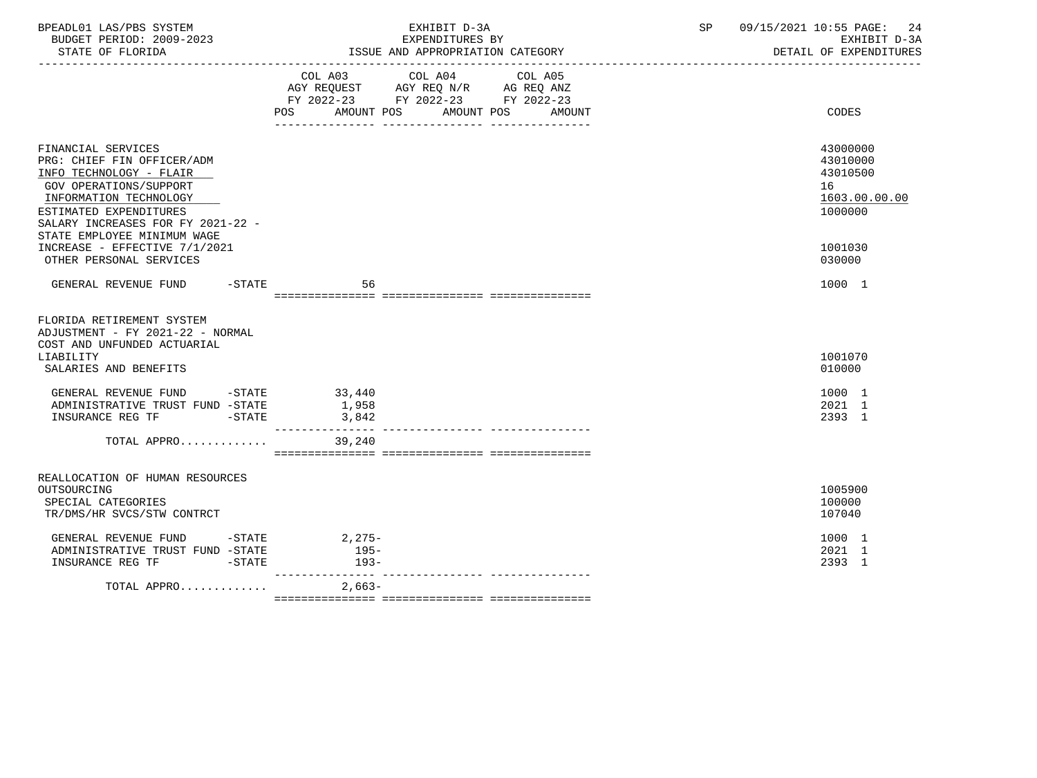| BPEADL01 LAS/PBS SYSTEM<br>BUDGET PERIOD: 2009-2023                                                                                                                                                                                                                                       | EXHIBIT D-3A<br>EXPENDITURES BY                                                                                                             | 09/15/2021 10:55 PAGE:<br>-24<br>SP<br>EXHIBIT D-3A<br>DETAIL OF EXPENDITURES           |
|-------------------------------------------------------------------------------------------------------------------------------------------------------------------------------------------------------------------------------------------------------------------------------------------|---------------------------------------------------------------------------------------------------------------------------------------------|-----------------------------------------------------------------------------------------|
|                                                                                                                                                                                                                                                                                           | COL A03<br>COL A04 COL A05<br>AGY REQUEST AGY REQ N/R AG REQ ANZ<br>FY 2022-23 FY 2022-23 FY 2022-23<br>POS AMOUNT POS AMOUNT POS<br>AMOUNT | <b>CODES</b>                                                                            |
| FINANCIAL SERVICES<br>PRG: CHIEF FIN OFFICER/ADM<br>INFO TECHNOLOGY - FLAIR<br>GOV OPERATIONS/SUPPORT<br>INFORMATION TECHNOLOGY<br>ESTIMATED EXPENDITURES<br>SALARY INCREASES FOR FY 2021-22 -<br>STATE EMPLOYEE MINIMUM WAGE<br>INCREASE - EFFECTIVE 7/1/2021<br>OTHER PERSONAL SERVICES |                                                                                                                                             | 43000000<br>43010000<br>43010500<br>16<br>1603.00.00.00<br>1000000<br>1001030<br>030000 |
| GENERAL REVENUE FUND -STATE                                                                                                                                                                                                                                                               | 56                                                                                                                                          | 1000 1                                                                                  |
| FLORIDA RETIREMENT SYSTEM<br>ADJUSTMENT - FY 2021-22 - NORMAL<br>COST AND UNFUNDED ACTUARIAL<br>LIABILITY<br>SALARIES AND BENEFITS<br>GENERAL REVENUE FUND -STATE 33,440<br>ADMINISTRATIVE TRUST FUND -STATE                                                                              | 1,958                                                                                                                                       | 1001070<br>010000<br>1000 1<br>2021 1                                                   |
| TOTAL APPRO 39,240                                                                                                                                                                                                                                                                        | 3,842                                                                                                                                       | 2393 1                                                                                  |
|                                                                                                                                                                                                                                                                                           |                                                                                                                                             |                                                                                         |
| REALLOCATION OF HUMAN RESOURCES<br>OUTSOURCING<br>SPECIAL CATEGORIES<br>TR/DMS/HR SVCS/STW CONTRCT                                                                                                                                                                                        |                                                                                                                                             | 1005900<br>100000<br>107040                                                             |
| GENERAL REVENUE FUND -STATE 2,275-<br>ADMINISTRATIVE TRUST FUND -STATE<br>$-STATE$<br>INSURANCE REG TF                                                                                                                                                                                    | $195 -$<br>$193-$                                                                                                                           | 1000 1<br>2021 1<br>2393 1                                                              |
| TOTAL APPRO                                                                                                                                                                                                                                                                               | $2,663-$                                                                                                                                    |                                                                                         |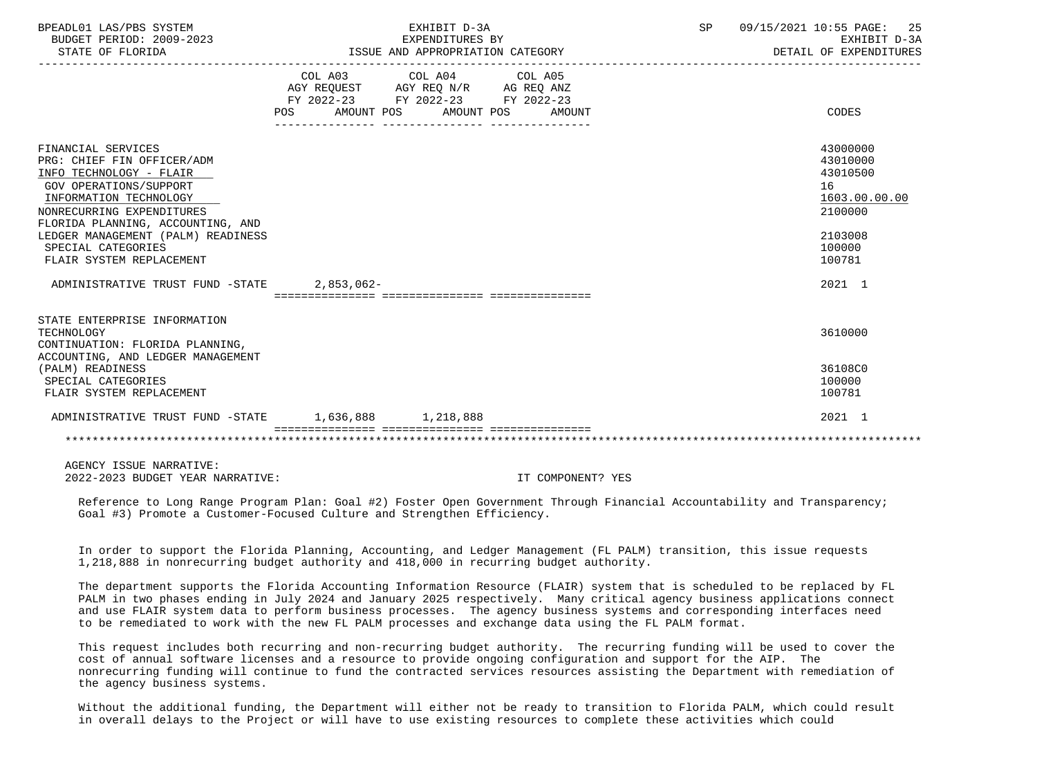| BPEADL01 LAS/PBS SYSTEM<br>BUDGET PERIOD: 2009-2023<br>STATE OF FLORIDA                                                                                                                                                                                                                   | EXHIBIT D-3A<br>EXPENDITURES BY<br>ISSUE AND APPROPRIATION CATEGORY |                                                                                                                                                                                                             |  | SP | 25<br>09/15/2021 10:55 PAGE:<br>EXHIBIT D-3A<br>DETAIL OF EXPENDITURES                            |  |
|-------------------------------------------------------------------------------------------------------------------------------------------------------------------------------------------------------------------------------------------------------------------------------------------|---------------------------------------------------------------------|-------------------------------------------------------------------------------------------------------------------------------------------------------------------------------------------------------------|--|----|---------------------------------------------------------------------------------------------------|--|
|                                                                                                                                                                                                                                                                                           | POS FOR                                                             | COL A03 COL A04 COL A05<br>$\begin{tabular}{lllllll} AGY & \texttt{REQUEST} & \texttt{AGY REQ N/R} & \texttt{AG REQ ANZ} \end{tabular}$<br>FY 2022-23 FY 2022-23 FY 2022-23<br>AMOUNT POS AMOUNT POS AMOUNT |  |    | CODES                                                                                             |  |
| FINANCIAL SERVICES<br>PRG: CHIEF FIN OFFICER/ADM<br>INFO TECHNOLOGY - FLAIR<br>GOV OPERATIONS/SUPPORT<br>INFORMATION TECHNOLOGY<br>NONRECURRING EXPENDITURES<br>FLORIDA PLANNING, ACCOUNTING, AND<br>LEDGER MANAGEMENT (PALM) READINESS<br>SPECIAL CATEGORIES<br>FLAIR SYSTEM REPLACEMENT |                                                                     |                                                                                                                                                                                                             |  |    | 43000000<br>43010000<br>43010500<br>16<br>1603.00.00.00<br>2100000<br>2103008<br>100000<br>100781 |  |
| ADMINISTRATIVE TRUST FUND -STATE 2,853,062-                                                                                                                                                                                                                                               |                                                                     |                                                                                                                                                                                                             |  |    | 2021 1                                                                                            |  |
| STATE ENTERPRISE INFORMATION<br>TECHNOLOGY<br>CONTINUATION: FLORIDA PLANNING,<br>ACCOUNTING, AND LEDGER MANAGEMENT<br>(PALM) READINESS                                                                                                                                                    |                                                                     |                                                                                                                                                                                                             |  |    | 3610000<br>36108C0                                                                                |  |
| SPECIAL CATEGORIES<br>FLAIR SYSTEM REPLACEMENT                                                                                                                                                                                                                                            |                                                                     |                                                                                                                                                                                                             |  |    | 100000<br>100781                                                                                  |  |
| ADMINISTRATIVE TRUST FUND -STATE 1.636.888 1.218.888                                                                                                                                                                                                                                      |                                                                     |                                                                                                                                                                                                             |  |    | 2021 1                                                                                            |  |
|                                                                                                                                                                                                                                                                                           |                                                                     |                                                                                                                                                                                                             |  |    |                                                                                                   |  |

 AGENCY ISSUE NARRATIVE: 2022-2023 BUDGET YEAR NARRATIVE: IT COMPONENT? YES

 Reference to Long Range Program Plan: Goal #2) Foster Open Government Through Financial Accountability and Transparency; Goal #3) Promote a Customer-Focused Culture and Strengthen Efficiency.

 In order to support the Florida Planning, Accounting, and Ledger Management (FL PALM) transition, this issue requests 1,218,888 in nonrecurring budget authority and 418,000 in recurring budget authority.

 The department supports the Florida Accounting Information Resource (FLAIR) system that is scheduled to be replaced by FL PALM in two phases ending in July 2024 and January 2025 respectively. Many critical agency business applications connect and use FLAIR system data to perform business processes. The agency business systems and corresponding interfaces need to be remediated to work with the new FL PALM processes and exchange data using the FL PALM format.

 This request includes both recurring and non-recurring budget authority. The recurring funding will be used to cover the cost of annual software licenses and a resource to provide ongoing configuration and support for the AIP. The nonrecurring funding will continue to fund the contracted services resources assisting the Department with remediation of the agency business systems.

 Without the additional funding, the Department will either not be ready to transition to Florida PALM, which could result in overall delays to the Project or will have to use existing resources to complete these activities which could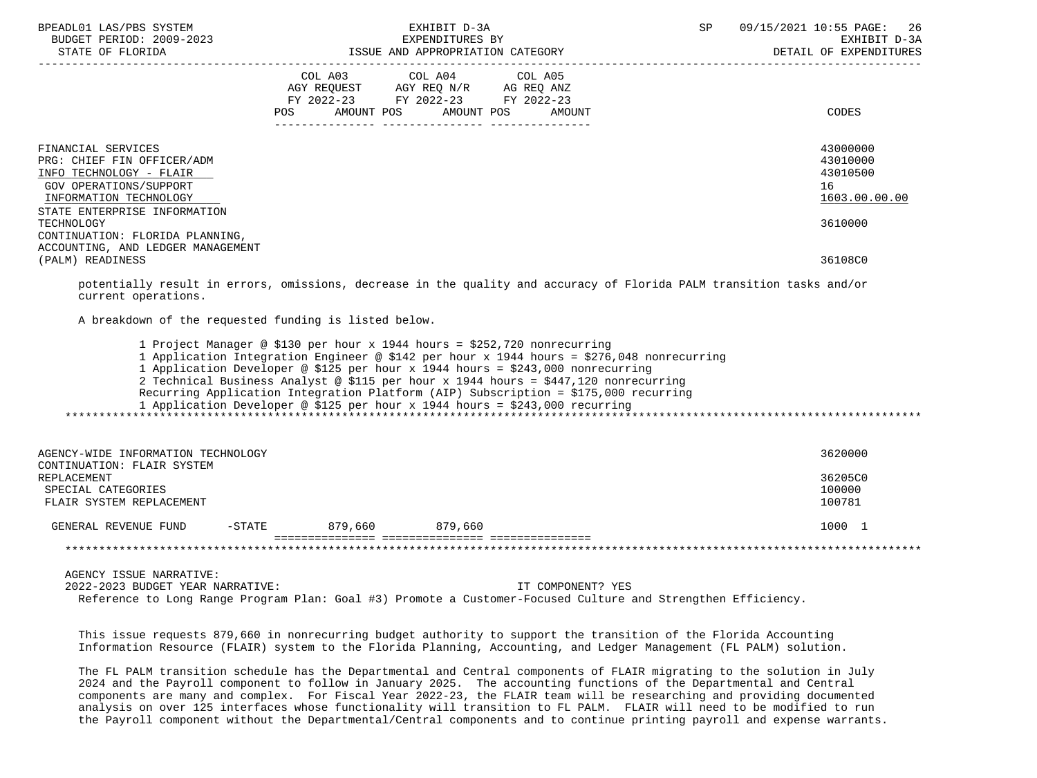| BPEADL01 LAS/PBS SYSTEM<br>BUDGET PERIOD: 2009-2023<br>STATE OF FLORIDA                                                                                         | EXHIBIT D-3A<br>EXPENDITURES BY<br>ISSUE AND APPROPRIATION CATEGORY                                                                                                          | 09/15/2021 10:55 PAGE: 26<br>SP<br>EXHIBIT D-3A<br>DETAIL OF EXPENDITURES |  |
|-----------------------------------------------------------------------------------------------------------------------------------------------------------------|------------------------------------------------------------------------------------------------------------------------------------------------------------------------------|---------------------------------------------------------------------------|--|
|                                                                                                                                                                 | COL A03 COL A04 COL A05<br>AGY REQUEST AGY REQ N/R AG REQ ANZ<br>FY 2022-23 FY 2022-23 FY 2022-23<br>AMOUNT POS AMOUNT POS AMOUNT<br>POS<br>--------------- ---------------- | CODES                                                                     |  |
| FINANCIAL SERVICES<br>PRG: CHIEF FIN OFFICER/ADM<br>INFO TECHNOLOGY - FLAIR<br>GOV OPERATIONS/SUPPORT<br>INFORMATION TECHNOLOGY<br>STATE ENTERPRISE INFORMATION |                                                                                                                                                                              | 43000000<br>43010000<br>43010500<br>16<br>1603.00.00.00                   |  |
| TECHNOLOGY<br>CONTINUATION: FLORIDA PLANNING,<br>ACCOUNTING, AND LEDGER MANAGEMENT<br>(PALM) READINESS                                                          |                                                                                                                                                                              | 3610000<br>36108C0                                                        |  |
| current operations.<br>in the company of the state of the state of the state of the state of the state of the state of the state of t                           | potentially result in errors, omissions, decrease in the quality and accuracy of Florida PALM transition tasks and/or                                                        |                                                                           |  |

A breakdown of the requested funding is listed below.

 1 Project Manager @ \$130 per hour x 1944 hours = \$252,720 nonrecurring 1 Application Integration Engineer @ \$142 per hour x 1944 hours = \$276,048 nonrecurring 1 Application Developer @ \$125 per hour x 1944 hours = \$243,000 nonrecurring 2 Technical Business Analyst @ \$115 per hour x 1944 hours = \$447,120 nonrecurring Recurring Application Integration Platform (AIP) Subscription = \$175,000 recurring 1 Application Developer @ \$125 per hour x 1944 hours = \$243,000 recurring \*\*\*\*\*\*\*\*\*\*\*\*\*\*\*\*\*\*\*\*\*\*\*\*\*\*\*\*\*\*\*\*\*\*\*\*\*\*\*\*\*\*\*\*\*\*\*\*\*\*\*\*\*\*\*\*\*\*\*\*\*\*\*\*\*\*\*\*\*\*\*\*\*\*\*\*\*\*\*\*\*\*\*\*\*\*\*\*\*\*\*\*\*\*\*\*\*\*\*\*\*\*\*\*\*\*\*\*\*\*\*\*\*\*\*\*\*\*\*\*\*\*\*\*\*\*\*

| AGENCY-WIDE INFORMATION TECHNOLOGY           |         | 3620000           |
|----------------------------------------------|---------|-------------------|
| CONTINUATION: FLAIR SYSTEM                   |         |                   |
| REPLACEMENT<br>SPECIAL CATEGORIES            |         | 36205C0<br>100000 |
| FLAIR SYSTEM REPLACEMENT                     |         | 100781            |
|                                              |         |                   |
| $-$ STATE<br>879,660<br>GENERAL REVENUE FUND | 879,660 | 1000              |
|                                              |         |                   |

 AGENCY ISSUE NARRATIVE: 2022-2023 BUDGET YEAR NARRATIVE: IT COMPONENT? YES Reference to Long Range Program Plan: Goal #3) Promote a Customer-Focused Culture and Strengthen Efficiency.

 This issue requests 879,660 in nonrecurring budget authority to support the transition of the Florida Accounting Information Resource (FLAIR) system to the Florida Planning, Accounting, and Ledger Management (FL PALM) solution.

 The FL PALM transition schedule has the Departmental and Central components of FLAIR migrating to the solution in July 2024 and the Payroll component to follow in January 2025. The accounting functions of the Departmental and Central components are many and complex. For Fiscal Year 2022-23, the FLAIR team will be researching and providing documented analysis on over 125 interfaces whose functionality will transition to FL PALM. FLAIR will need to be modified to run the Payroll component without the Departmental/Central components and to continue printing payroll and expense warrants.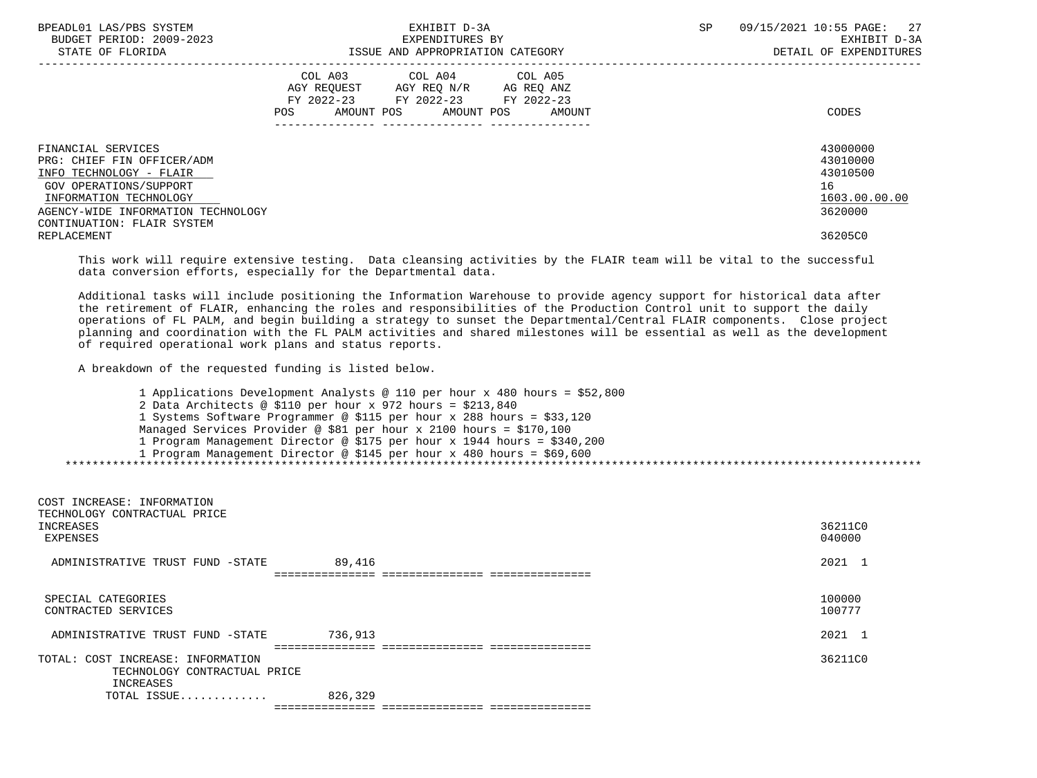| BPEADL01 LAS/PBS SYSTEM<br>BUDGET PERIOD: 2009-2023<br>STATE OF FLORIDA                                                                                               |                                         | EXHIBIT D-3A<br>EXPENDITURES BY<br>ISSUE AND APPROPRIATION CATEGORY                                 | SP | 09/15/2021 10:55 PAGE: 27<br>EXHIBIT D-3A<br>DETAIL OF EXPENDITURES |  |
|-----------------------------------------------------------------------------------------------------------------------------------------------------------------------|-----------------------------------------|-----------------------------------------------------------------------------------------------------|----|---------------------------------------------------------------------|--|
|                                                                                                                                                                       | COL A03<br>POS<br>AMOUNT POS AMOUNT POS | COL A04 COL A05<br>AGY REOUEST AGY REO N/R AG REO ANZ<br>FY 2022-23 FY 2022-23 FY 2022-23<br>AMOUNT |    | CODES                                                               |  |
| FINANCIAL SERVICES<br>PRG: CHIEF FIN OFFICER/ADM<br>INFO TECHNOLOGY - FLAIR<br>GOV OPERATIONS/SUPPORT<br>INFORMATION TECHNOLOGY<br>AGENCY-WIDE INFORMATION TECHNOLOGY |                                         |                                                                                                     |    | 43000000<br>43010000<br>43010500<br>16<br>1603.00.00.00<br>3620000  |  |
| CONTINUATION: FLAIR SYSTEM<br>REPLACEMENT                                                                                                                             |                                         |                                                                                                     |    | 36205C0                                                             |  |

 This work will require extensive testing. Data cleansing activities by the FLAIR team will be vital to the successful data conversion efforts, especially for the Departmental data.

 Additional tasks will include positioning the Information Warehouse to provide agency support for historical data after the retirement of FLAIR, enhancing the roles and responsibilities of the Production Control unit to support the daily operations of FL PALM, and begin building a strategy to sunset the Departmental/Central FLAIR components. Close project planning and coordination with the FL PALM activities and shared milestones will be essential as well as the development of required operational work plans and status reports.

A breakdown of the requested funding is listed below.

 1 Applications Development Analysts @ 110 per hour x 480 hours = \$52,800 2 Data Architects @ \$110 per hour x 972 hours = \$213,840 1 Systems Software Programmer @ \$115 per hour x 288 hours = \$33,120 Managed Services Provider @ \$81 per hour x 2100 hours = \$170,100 1 Program Management Director @ \$175 per hour x 1944 hours = \$340,200 1 Program Management Director @ \$145 per hour x 480 hours = \$69,600 \*\*\*\*\*\*\*\*\*\*\*\*\*\*\*\*\*\*\*\*\*\*\*\*\*\*\*\*\*\*\*\*\*\*\*\*\*\*\*\*\*\*\*\*\*\*\*\*\*\*\*\*\*\*\*\*\*\*\*\*\*\*\*\*\*\*\*\*\*\*\*\*\*\*\*\*\*\*\*\*\*\*\*\*\*\*\*\*\*\*\*\*\*\*\*\*\*\*\*\*\*\*\*\*\*\*\*\*\*\*\*\*\*\*\*\*\*\*\*\*\*\*\*\*\*\*\*

| COST INCREASE: INFORMATION<br>TECHNOLOGY CONTRACTUAL PRICE<br>INCREASES<br>EXPENSES |                                      | 36211C0<br>040000 |
|-------------------------------------------------------------------------------------|--------------------------------------|-------------------|
| ADMINISTRATIVE TRUST FUND -STATE                                                    | 89,416                               | 2021              |
|                                                                                     |                                      |                   |
| SPECIAL CATEGORIES<br>CONTRACTED SERVICES                                           |                                      | 100000<br>100777  |
| ADMINISTRATIVE TRUST FUND -STATE                                                    | 736,913                              | 2021              |
|                                                                                     |                                      |                   |
| TOTAL: COST INCREASE: INFORMATION                                                   |                                      | 36211C0           |
| TECHNOLOGY CONTRACTUAL PRICE                                                        |                                      |                   |
| INCREASES                                                                           |                                      |                   |
| TOTAL ISSUE                                                                         | 826,329                              |                   |
|                                                                                     | ____________________________________ |                   |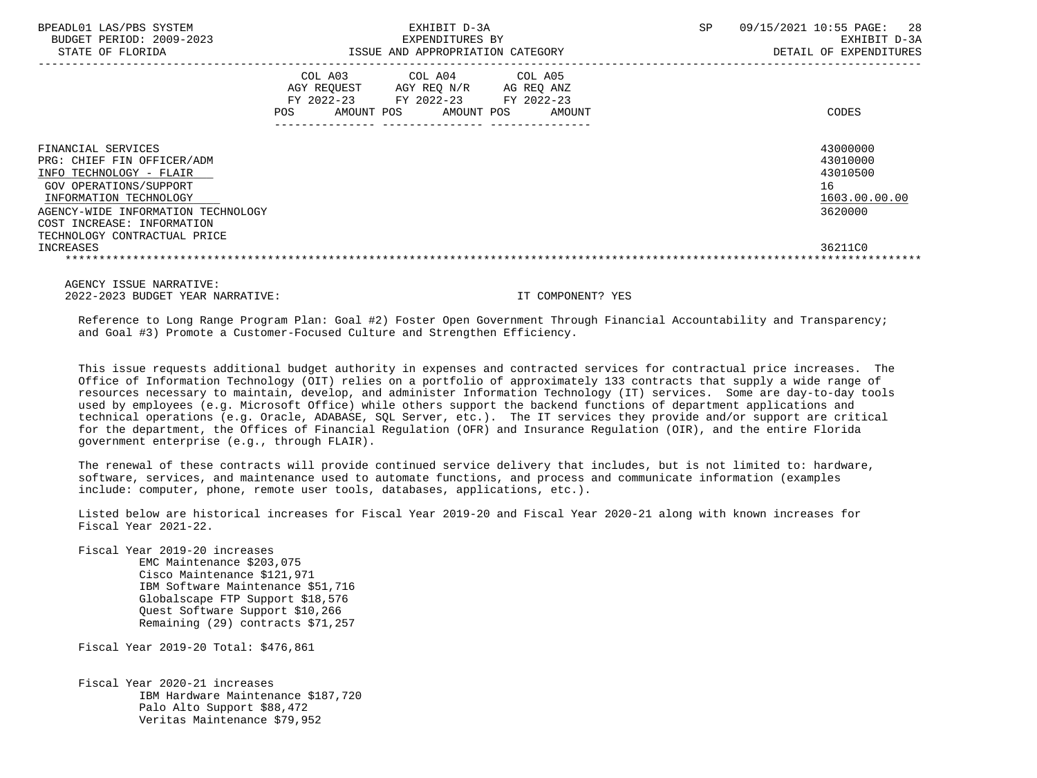| BPEADL01 LAS/PBS SYSTEM<br>BUDGET PERIOD: 2009-2023<br>STATE OF FLORIDA                                                                                                                                                                          | EXHIBIT D-3A<br>EXPENDITURES BY<br>ISSUE AND APPROPRIATION CATEGORY                              |                                            | <b>SP</b><br>09/15/2021 10:55 PAGE:<br>EXHIBIT D-3A<br>DETAIL OF EXPENDITURES |                                                                               |
|--------------------------------------------------------------------------------------------------------------------------------------------------------------------------------------------------------------------------------------------------|--------------------------------------------------------------------------------------------------|--------------------------------------------|-------------------------------------------------------------------------------|-------------------------------------------------------------------------------|
|                                                                                                                                                                                                                                                  | COL A03 COL A04 COL A05<br>AGY REOUEST<br>AGY REQ N/R<br>FY 2022-23 FY 2022-23 FY 2022-23<br>POS | AG REQ ANZ<br>AMOUNT POS AMOUNT POS AMOUNT |                                                                               | CODES                                                                         |
| FINANCIAL SERVICES<br>PRG: CHIEF FIN OFFICER/ADM<br>INFO TECHNOLOGY - FLAIR<br>GOV OPERATIONS/SUPPORT<br>INFORMATION TECHNOLOGY<br>AGENCY-WIDE INFORMATION TECHNOLOGY<br>COST INCREASE: INFORMATION<br>TECHNOLOGY CONTRACTUAL PRICE<br>INCREASES |                                                                                                  |                                            |                                                                               | 43000000<br>43010000<br>43010500<br>16<br>1603.00.00.00<br>3620000<br>36211C0 |

 AGENCY ISSUE NARRATIVE: 2022-2023 BUDGET YEAR NARRATIVE: IT COMPONENT? YES

 Reference to Long Range Program Plan: Goal #2) Foster Open Government Through Financial Accountability and Transparency; and Goal #3) Promote a Customer-Focused Culture and Strengthen Efficiency.

 This issue requests additional budget authority in expenses and contracted services for contractual price increases. The Office of Information Technology (OIT) relies on a portfolio of approximately 133 contracts that supply a wide range of resources necessary to maintain, develop, and administer Information Technology (IT) services. Some are day-to-day tools used by employees (e.g. Microsoft Office) while others support the backend functions of department applications and technical operations (e.g. Oracle, ADABASE, SQL Server, etc.). The IT services they provide and/or support are critical for the department, the Offices of Financial Regulation (OFR) and Insurance Regulation (OIR), and the entire Florida government enterprise (e.g., through FLAIR).

 The renewal of these contracts will provide continued service delivery that includes, but is not limited to: hardware, software, services, and maintenance used to automate functions, and process and communicate information (examples include: computer, phone, remote user tools, databases, applications, etc.).

 Listed below are historical increases for Fiscal Year 2019-20 and Fiscal Year 2020-21 along with known increases for Fiscal Year 2021-22.

 Fiscal Year 2019-20 increases EMC Maintenance \$203,075 Cisco Maintenance \$121,971 IBM Software Maintenance \$51,716 Globalscape FTP Support \$18,576 Quest Software Support \$10,266 Remaining (29) contracts \$71,257

Fiscal Year 2019-20 Total: \$476,861

 Fiscal Year 2020-21 increases IBM Hardware Maintenance \$187,720 Palo Alto Support \$88,472 Veritas Maintenance \$79,952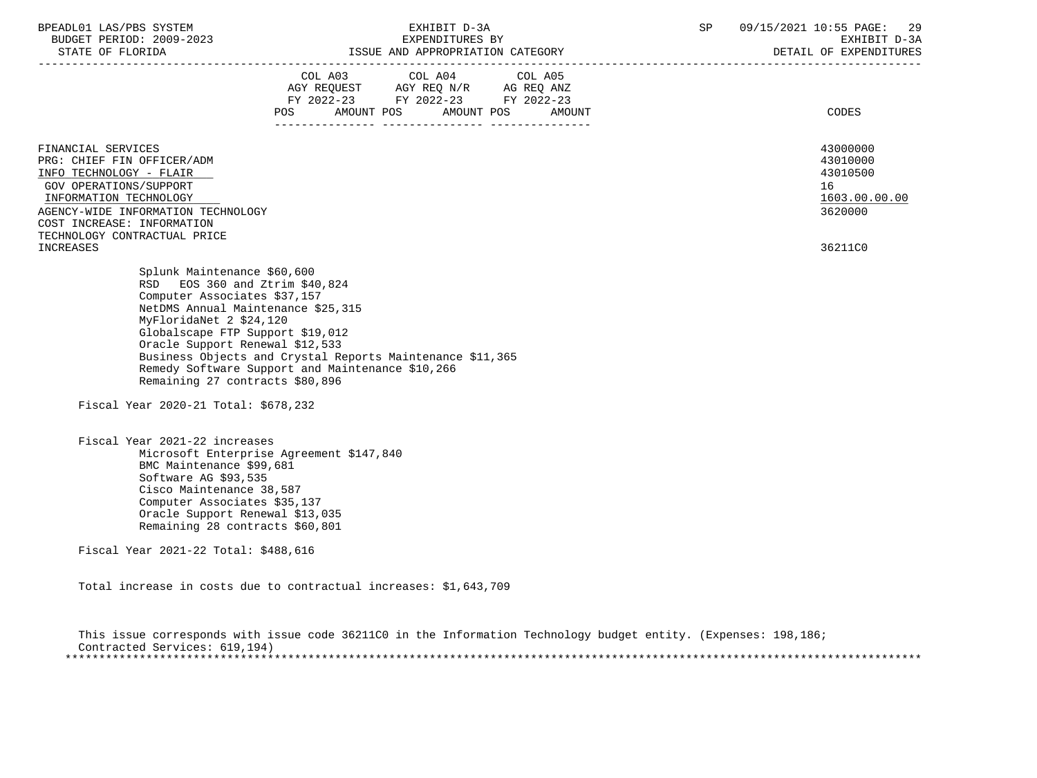STATE OF FLORIDA **ISSUE AND APPROPRIATION CATEGORY** 

|                                                                                        | COL A03<br>AGY REOUEST<br>FY 2022-23<br>AMOUNT POS<br>POS. | COL A04<br>AGY REQ N/R<br>FY 2022-23<br>AMOUNT POS | COL A05<br>AG REQ ANZ<br>FY 2022-23<br>AMOUNT | CODES                            |
|----------------------------------------------------------------------------------------|------------------------------------------------------------|----------------------------------------------------|-----------------------------------------------|----------------------------------|
| FINANCIAL SERVICES<br>PRG: CHIEF FIN OFFICER/ADM<br>INFO TECHNOLOGY - FLAIR            |                                                            |                                                    |                                               | 43000000<br>43010000<br>43010500 |
| GOV OPERATIONS/SUPPORT<br>INFORMATION TECHNOLOGY<br>AGENCY-WIDE INFORMATION TECHNOLOGY |                                                            |                                                    |                                               | 16<br>1603.00.00.00<br>3620000   |

 COST INCREASE: INFORMATION TECHNOLOGY CONTRACTUAL PRICE INCREASES 36211C0

 Splunk Maintenance \$60,600 RSD EOS 360 and Ztrim \$40,824 Computer Associates \$37,157 NetDMS Annual Maintenance \$25,315 MyFloridaNet 2 \$24,120 Globalscape FTP Support \$19,012 Oracle Support Renewal \$12,533 Business Objects and Crystal Reports Maintenance \$11,365 Remedy Software Support and Maintenance \$10,266 Remaining 27 contracts \$80,896

Fiscal Year 2020-21 Total: \$678,232

 Fiscal Year 2021-22 increases Microsoft Enterprise Agreement \$147,840 BMC Maintenance \$99,681 Software AG \$93,535 Cisco Maintenance 38,587 Computer Associates \$35,137 Oracle Support Renewal \$13,035 Remaining 28 contracts \$60,801

Fiscal Year 2021-22 Total: \$488,616

Total increase in costs due to contractual increases: \$1,643,709

 This issue corresponds with issue code 36211C0 in the Information Technology budget entity. (Expenses: 198,186; Contracted Services: 619,194) \*\*\*\*\*\*\*\*\*\*\*\*\*\*\*\*\*\*\*\*\*\*\*\*\*\*\*\*\*\*\*\*\*\*\*\*\*\*\*\*\*\*\*\*\*\*\*\*\*\*\*\*\*\*\*\*\*\*\*\*\*\*\*\*\*\*\*\*\*\*\*\*\*\*\*\*\*\*\*\*\*\*\*\*\*\*\*\*\*\*\*\*\*\*\*\*\*\*\*\*\*\*\*\*\*\*\*\*\*\*\*\*\*\*\*\*\*\*\*\*\*\*\*\*\*\*\*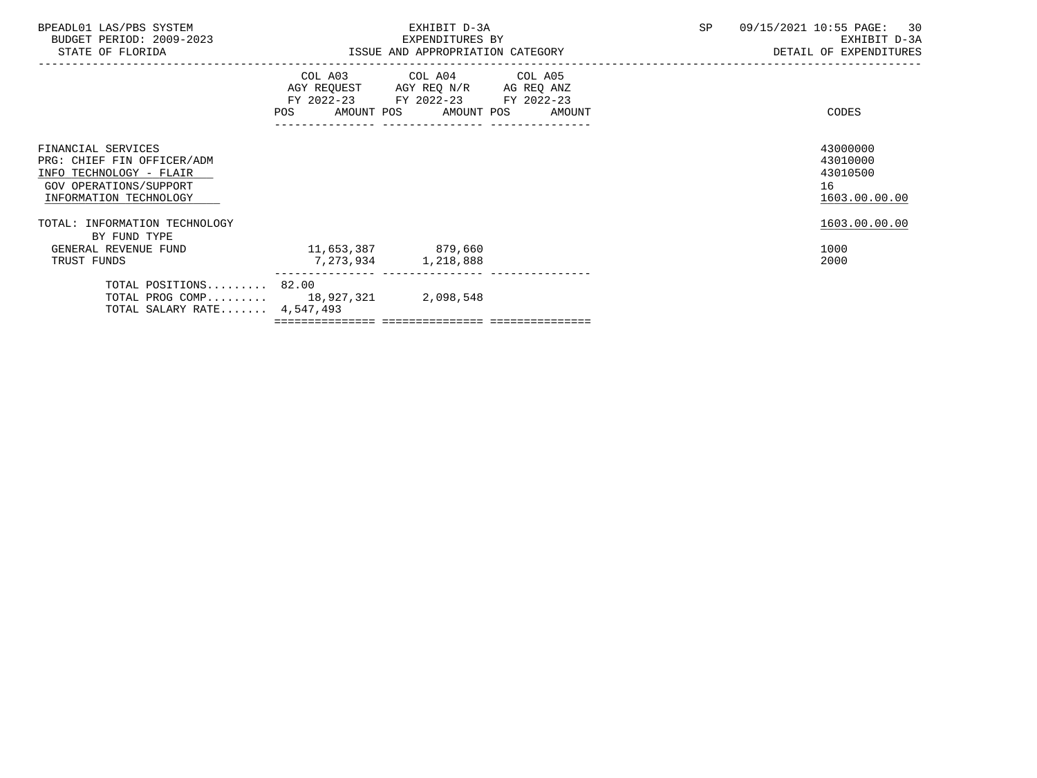| BPEADL01 LAS/PBS SYSTEM |                          |
|-------------------------|--------------------------|
|                         | BUDGET PERIOD: 2009-2023 |

ISSUE AND APPROPRIATION CATEGORY

|                                                                                                                                 | POS | COL A03 COL A04 COL A05<br>AGY REQUEST AGY REQ N/R AG REQ ANZ<br>FY 2022-23 FY 2022-23 FY 2022-23<br>AMOUNT POS AMOUNT POS AMOUNT |  | CODES                                                   |
|---------------------------------------------------------------------------------------------------------------------------------|-----|-----------------------------------------------------------------------------------------------------------------------------------|--|---------------------------------------------------------|
| FINANCIAL SERVICES<br>PRG: CHIEF FIN OFFICER/ADM<br>INFO TECHNOLOGY - FLAIR<br>GOV OPERATIONS/SUPPORT<br>INFORMATION TECHNOLOGY |     |                                                                                                                                   |  | 43000000<br>43010000<br>43010500<br>16<br>1603.00.00.00 |
| TOTAL: INFORMATION TECHNOLOGY<br>BY FUND TYPE                                                                                   |     |                                                                                                                                   |  | 1603.00.00.00                                           |
| GENERAL REVENUE FUND<br>TRUST FUNDS                                                                                             |     | 11,653,387 879,660<br>7,273,934 1,218,888                                                                                         |  | 1000<br>2000                                            |
| TOTAL POSITIONS 82.00<br>TOTAL PROG COMP 18,927,321 2,098,548<br>TOTAL SALARY RATE $4,547,493$                                  |     |                                                                                                                                   |  |                                                         |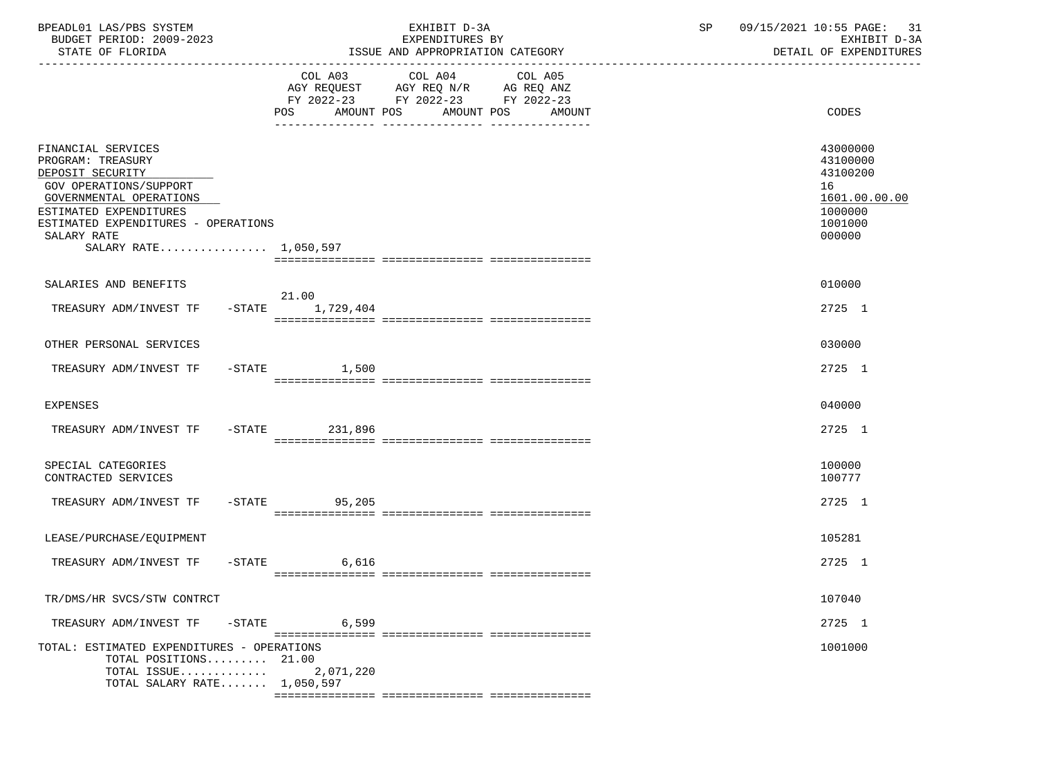| BPEADL01 LAS/PBS SYSTEM<br>BUDGET PERIOD: 2009-2023<br>STATE OF FLORIDA                                                                                                                                                   |                    | EXHIBIT D-3A<br>EXPENDITURES BY<br>ISSUE AND APPROPRIATION CATEGORY                                                                      | 09/15/2021 10:55 PAGE: 31<br>SP<br>EXHIBIT D-3A<br>DETAIL OF EXPENDITURES |                                                                                         |
|---------------------------------------------------------------------------------------------------------------------------------------------------------------------------------------------------------------------------|--------------------|------------------------------------------------------------------------------------------------------------------------------------------|---------------------------------------------------------------------------|-----------------------------------------------------------------------------------------|
|                                                                                                                                                                                                                           |                    | COL A03 COL A04 COL A05<br>AGY REQUEST AGY REQ N/R AG REQ ANZ<br>FY 2022-23 FY 2022-23 FY 2022-23<br>POS AMOUNT POS AMOUNT POS<br>AMOUNT |                                                                           | CODES                                                                                   |
| FINANCIAL SERVICES<br>PROGRAM: TREASURY<br>DEPOSIT SECURITY<br>GOV OPERATIONS/SUPPORT<br>GOVERNMENTAL OPERATIONS<br>ESTIMATED EXPENDITURES<br>ESTIMATED EXPENDITURES - OPERATIONS<br>SALARY RATE<br>SALARY RATE 1,050,597 |                    |                                                                                                                                          |                                                                           | 43000000<br>43100000<br>43100200<br>16<br>1601.00.00.00<br>1000000<br>1001000<br>000000 |
| SALARIES AND BENEFITS                                                                                                                                                                                                     |                    |                                                                                                                                          |                                                                           | 010000                                                                                  |
| TREASURY ADM/INVEST TF -STATE 1.729.404                                                                                                                                                                                   | 21.00              |                                                                                                                                          |                                                                           | 2725 1                                                                                  |
| OTHER PERSONAL SERVICES                                                                                                                                                                                                   |                    |                                                                                                                                          |                                                                           | 030000                                                                                  |
| TREASURY ADM/INVEST TF                                                                                                                                                                                                    | $-$ STATE $1,500$  |                                                                                                                                          |                                                                           | 2725 1                                                                                  |
| EXPENSES                                                                                                                                                                                                                  |                    |                                                                                                                                          |                                                                           | 040000                                                                                  |
| TREASURY ADM/INVEST TF                                                                                                                                                                                                    | -STATE 231,896     |                                                                                                                                          |                                                                           | 2725 1                                                                                  |
| SPECIAL CATEGORIES<br>CONTRACTED SERVICES                                                                                                                                                                                 |                    |                                                                                                                                          |                                                                           | 100000<br>100777                                                                        |
| TREASURY ADM/INVEST TF                                                                                                                                                                                                    | $-STATE$<br>95,205 |                                                                                                                                          |                                                                           | 2725 1                                                                                  |
| LEASE/PURCHASE/EQUIPMENT                                                                                                                                                                                                  |                    |                                                                                                                                          |                                                                           | 105281                                                                                  |
| TREASURY ADM/INVEST TF                                                                                                                                                                                                    | 6,616<br>$-STATE$  |                                                                                                                                          |                                                                           | 2725 1                                                                                  |
| TR/DMS/HR SVCS/STW CONTRCT                                                                                                                                                                                                |                    |                                                                                                                                          |                                                                           | 107040                                                                                  |
| TREASURY ADM/INVEST TF<br>$-$ STATE                                                                                                                                                                                       | 6,599              |                                                                                                                                          |                                                                           | 2725 1                                                                                  |
| TOTAL: ESTIMATED EXPENDITURES - OPERATIONS<br>TOTAL POSITIONS $21.00$<br>TOTAL ISSUE<br>TOTAL SALARY RATE 1,050,597                                                                                                       | 2,071,220          |                                                                                                                                          |                                                                           | 1001000                                                                                 |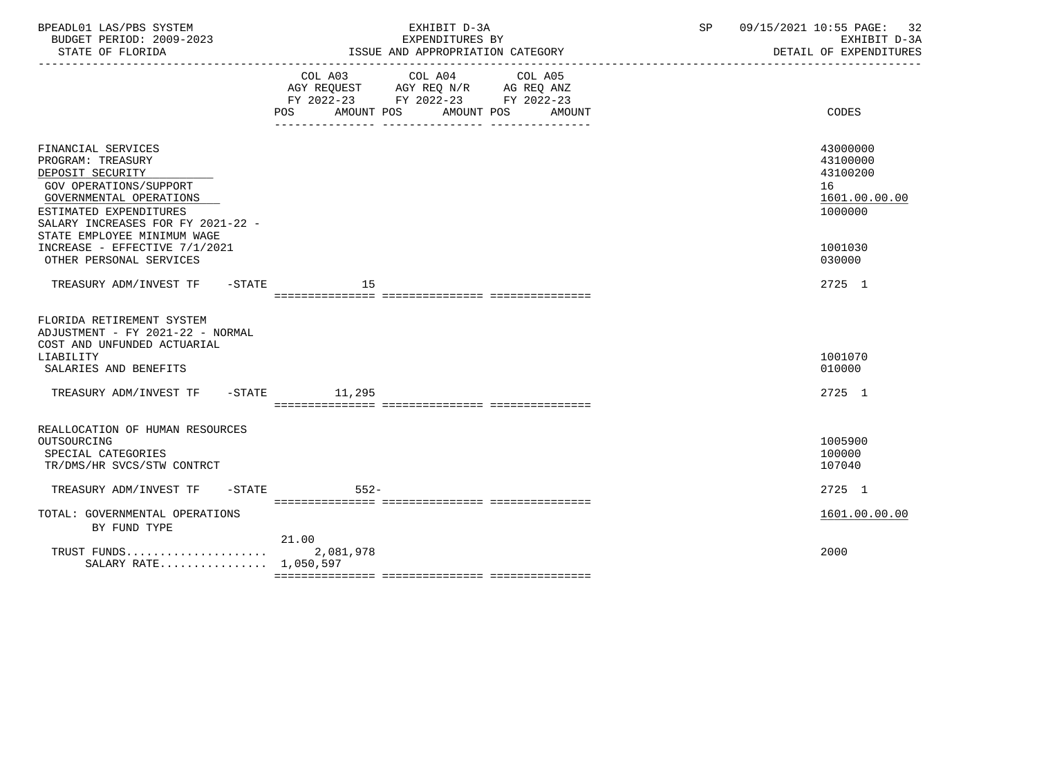| BPEADL01 LAS/PBS SYSTEM<br>BUDGET PERIOD: 2009-2023<br>STATE OF FLORIDA                                                                                                                                        | EXHIBIT D-3A<br>EXPENDITURES BY<br>ISSUE AND APPROPRIATION CATEGORY                                                                          | 09/15/2021 10:55 PAGE: 32<br>SP<br>EXHIBIT D-3A<br>DETAIL OF EXPENDITURES |
|----------------------------------------------------------------------------------------------------------------------------------------------------------------------------------------------------------------|----------------------------------------------------------------------------------------------------------------------------------------------|---------------------------------------------------------------------------|
|                                                                                                                                                                                                                | COL A03 COL A04 COL A05<br>AGY REQUEST AGY REQ N/R AG REQ ANZ<br>FY 2022-23 FY 2022-23 FY 2022-23<br>POS FOR<br>AMOUNT POS AMOUNT POS AMOUNT | CODES                                                                     |
| FINANCIAL SERVICES<br>PROGRAM: TREASURY<br>DEPOSIT SECURITY<br>GOV OPERATIONS/SUPPORT<br>GOVERNMENTAL OPERATIONS<br>ESTIMATED EXPENDITURES<br>SALARY INCREASES FOR FY 2021-22 -<br>STATE EMPLOYEE MINIMUM WAGE |                                                                                                                                              | 43000000<br>43100000<br>43100200<br>16<br>1601.00.00.00<br>1000000        |
| INCREASE - EFFECTIVE 7/1/2021<br>OTHER PERSONAL SERVICES                                                                                                                                                       |                                                                                                                                              | 1001030<br>030000                                                         |
| TREASURY ADM/INVEST TF -STATE                                                                                                                                                                                  | 15                                                                                                                                           | 2725 1                                                                    |
| FLORIDA RETIREMENT SYSTEM<br>ADJUSTMENT - FY 2021-22 - NORMAL<br>COST AND UNFUNDED ACTUARIAL<br>LIABILITY<br>SALARIES AND BENEFITS                                                                             |                                                                                                                                              | 1001070<br>010000                                                         |
| TREASURY ADM/INVEST TF -STATE 11,295                                                                                                                                                                           |                                                                                                                                              | 2725 1                                                                    |
| REALLOCATION OF HUMAN RESOURCES<br>OUTSOURCING<br>SPECIAL CATEGORIES<br>TR/DMS/HR SVCS/STW CONTRCT                                                                                                             |                                                                                                                                              | 1005900<br>100000<br>107040                                               |
| TREASURY ADM/INVEST TF -STATE                                                                                                                                                                                  | $552-$                                                                                                                                       | 2725 1                                                                    |
| TOTAL: GOVERNMENTAL OPERATIONS<br>BY FUND TYPE                                                                                                                                                                 |                                                                                                                                              | 1601.00.00.00                                                             |
| TRUST FUNDS<br>SALARY RATE 1,050,597                                                                                                                                                                           | 21.00<br>2,081,978                                                                                                                           | 2000                                                                      |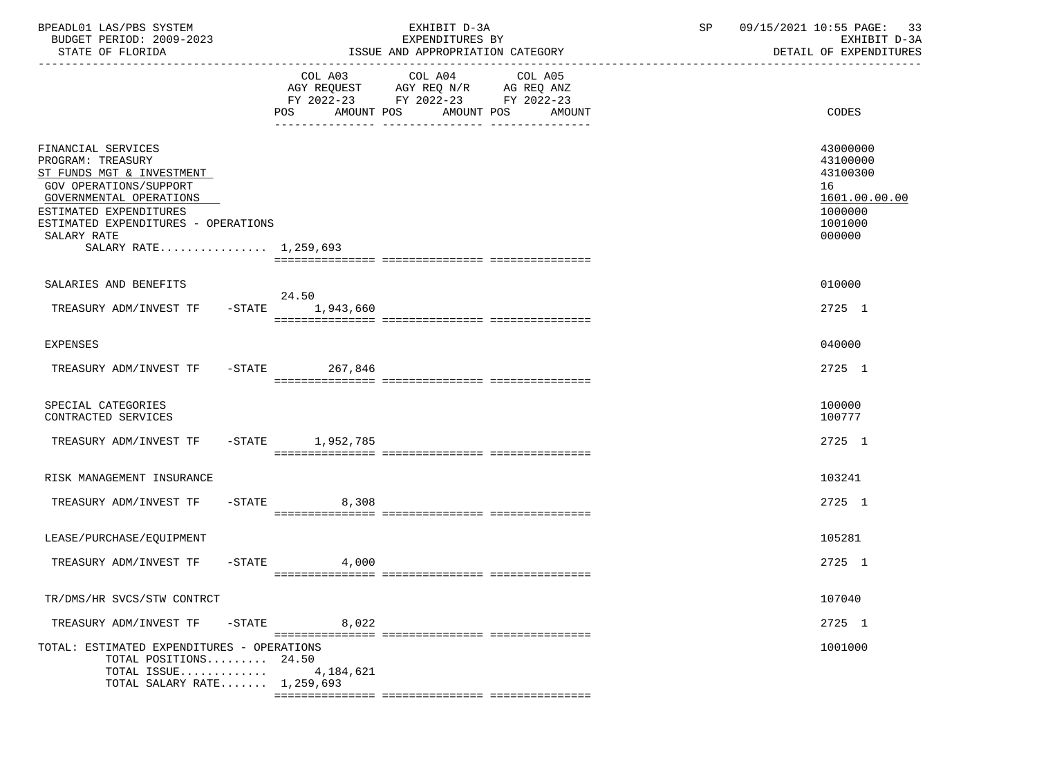| BPEADL01 LAS/PBS SYSTEM<br>BUDGET PERIOD: 2009-2023<br>STATE OF FLORIDA                                                                                                                                                            | EXHIBIT D-3A<br>EXPENDITURES BY<br>ISSUE AND APPROPRIATION CATEGORY                                                          |                   | 09/15/2021 10:55 PAGE: 33<br>SP<br>EXHIBIT D-3A<br>DETAIL OF EXPENDITURES               |  |
|------------------------------------------------------------------------------------------------------------------------------------------------------------------------------------------------------------------------------------|------------------------------------------------------------------------------------------------------------------------------|-------------------|-----------------------------------------------------------------------------------------|--|
|                                                                                                                                                                                                                                    | COL A03 COL A04<br>AGY REQUEST AGY REQ N/R AG REQ ANZ<br>FY 2022-23 FY 2022-23 FY 2022-23<br>POS<br>AMOUNT POS<br>AMOUNT POS | COL A05<br>AMOUNT | <b>CODES</b>                                                                            |  |
| FINANCIAL SERVICES<br>PROGRAM: TREASURY<br>ST FUNDS MGT & INVESTMENT<br>GOV OPERATIONS/SUPPORT<br>GOVERNMENTAL OPERATIONS<br>ESTIMATED EXPENDITURES<br>ESTIMATED EXPENDITURES - OPERATIONS<br>SALARY RATE<br>SALARY RATE 1,259,693 |                                                                                                                              |                   | 43000000<br>43100000<br>43100300<br>16<br>1601.00.00.00<br>1000000<br>1001000<br>000000 |  |
| SALARIES AND BENEFITS                                                                                                                                                                                                              | 24.50                                                                                                                        |                   | 010000                                                                                  |  |
| TREASURY ADM/INVEST TF -STATE 1,943,660                                                                                                                                                                                            |                                                                                                                              |                   | 2725 1                                                                                  |  |
| EXPENSES                                                                                                                                                                                                                           |                                                                                                                              |                   | 040000                                                                                  |  |
| TREASURY ADM/INVEST TF -STATE 267,846                                                                                                                                                                                              |                                                                                                                              |                   | 2725 1                                                                                  |  |
| SPECIAL CATEGORIES<br>CONTRACTED SERVICES                                                                                                                                                                                          |                                                                                                                              |                   | 100000<br>100777                                                                        |  |
| TREASURY ADM/INVEST TF -STATE 1,952,785                                                                                                                                                                                            |                                                                                                                              |                   | 2725 1                                                                                  |  |
| RISK MANAGEMENT INSURANCE                                                                                                                                                                                                          |                                                                                                                              |                   | 103241                                                                                  |  |
| TREASURY ADM/INVEST TF                                                                                                                                                                                                             | $-STATE$ 8,308                                                                                                               |                   | 2725 1                                                                                  |  |
| LEASE/PURCHASE/EOUIPMENT                                                                                                                                                                                                           |                                                                                                                              |                   | 105281                                                                                  |  |
| TREASURY ADM/INVEST TF                                                                                                                                                                                                             | $-STATE$<br>4,000                                                                                                            |                   | 2725 1                                                                                  |  |
| TR/DMS/HR SVCS/STW CONTRCT                                                                                                                                                                                                         |                                                                                                                              |                   | 107040                                                                                  |  |
| TREASURY ADM/INVEST TF<br>$-$ STATE                                                                                                                                                                                                | 8,022                                                                                                                        |                   | 2725 1                                                                                  |  |
| TOTAL: ESTIMATED EXPENDITURES - OPERATIONS<br>TOTAL POSITIONS $24.50$<br>TOTAL ISSUE<br>TOTAL SALARY RATE 1,259,693                                                                                                                | 4,184,621                                                                                                                    |                   | 1001000                                                                                 |  |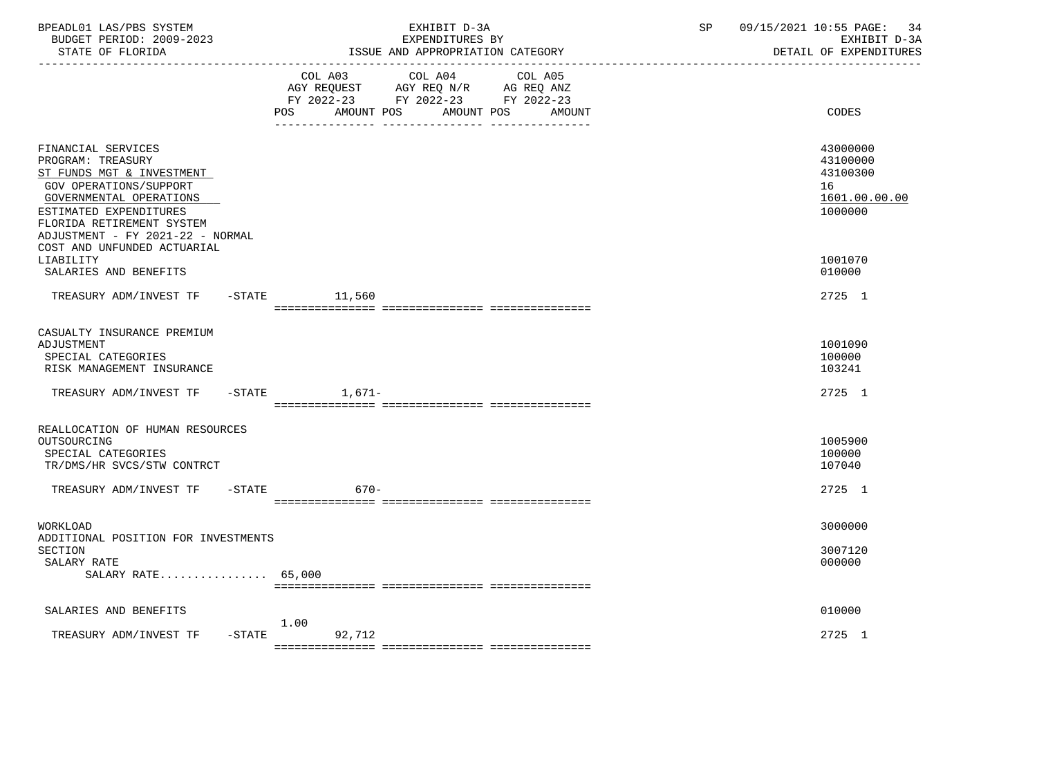| BPEADL01 LAS/PBS SYSTEM<br>BUDGET PERIOD: 2009-2023<br>STATE OF FLORIDA<br>-----------------                                                                                                                         | EXHIBIT D-3A<br>EXPENDITURES BY<br>ISSUE AND APPROPRIATION CATEGORY                                                                                   | SP<br>09/15/2021 10:55 PAGE:<br>34<br>EXHIBIT D-3A<br>DETAIL OF EXPENDITURES |
|----------------------------------------------------------------------------------------------------------------------------------------------------------------------------------------------------------------------|-------------------------------------------------------------------------------------------------------------------------------------------------------|------------------------------------------------------------------------------|
|                                                                                                                                                                                                                      | COL A04<br>COL A03<br>COL A05<br>AGY REQUEST AGY REQ N/R AG REQ ANZ<br>FY 2022-23 FY 2022-23 FY 2022-23<br>AMOUNT POS<br>AMOUNT POS<br>POS.<br>AMOUNT | CODES                                                                        |
| FINANCIAL SERVICES<br>PROGRAM: TREASURY<br>ST FUNDS MGT & INVESTMENT<br>GOV OPERATIONS/SUPPORT<br>GOVERNMENTAL OPERATIONS<br>ESTIMATED EXPENDITURES<br>FLORIDA RETIREMENT SYSTEM<br>ADJUSTMENT - FY 2021-22 - NORMAL |                                                                                                                                                       | 43000000<br>43100000<br>43100300<br>16<br>1601.00.00.00<br>1000000           |
| COST AND UNFUNDED ACTUARIAL<br>LIABILITY<br>SALARIES AND BENEFITS                                                                                                                                                    |                                                                                                                                                       | 1001070<br>010000                                                            |
| TREASURY ADM/INVEST TF -STATE 11,560                                                                                                                                                                                 |                                                                                                                                                       | 2725 1                                                                       |
| CASUALTY INSURANCE PREMIUM<br>ADJUSTMENT<br>SPECIAL CATEGORIES<br>RISK MANAGEMENT INSURANCE<br>TREASURY ADM/INVEST TF                                                                                                | $-STATE$<br>1,671-                                                                                                                                    | 1001090<br>100000<br>103241<br>2725 1                                        |
|                                                                                                                                                                                                                      |                                                                                                                                                       |                                                                              |
| REALLOCATION OF HUMAN RESOURCES<br>OUTSOURCING<br>SPECIAL CATEGORIES<br>TR/DMS/HR SVCS/STW CONTRCT                                                                                                                   |                                                                                                                                                       | 1005900<br>100000<br>107040                                                  |
| TREASURY ADM/INVEST TF -STATE                                                                                                                                                                                        | $670 -$                                                                                                                                               | 2725 1                                                                       |
| WORKLOAD<br>ADDITIONAL POSITION FOR INVESTMENTS<br>SECTION<br>SALARY RATE<br>SALARY RATE $65,000$                                                                                                                    |                                                                                                                                                       | 3000000<br>3007120<br>000000                                                 |
|                                                                                                                                                                                                                      |                                                                                                                                                       | 010000                                                                       |
| SALARIES AND BENEFITS<br>TREASURY ADM/INVEST TF<br>$-$ STATE                                                                                                                                                         | 1.00<br>92,712                                                                                                                                        | 2725 1                                                                       |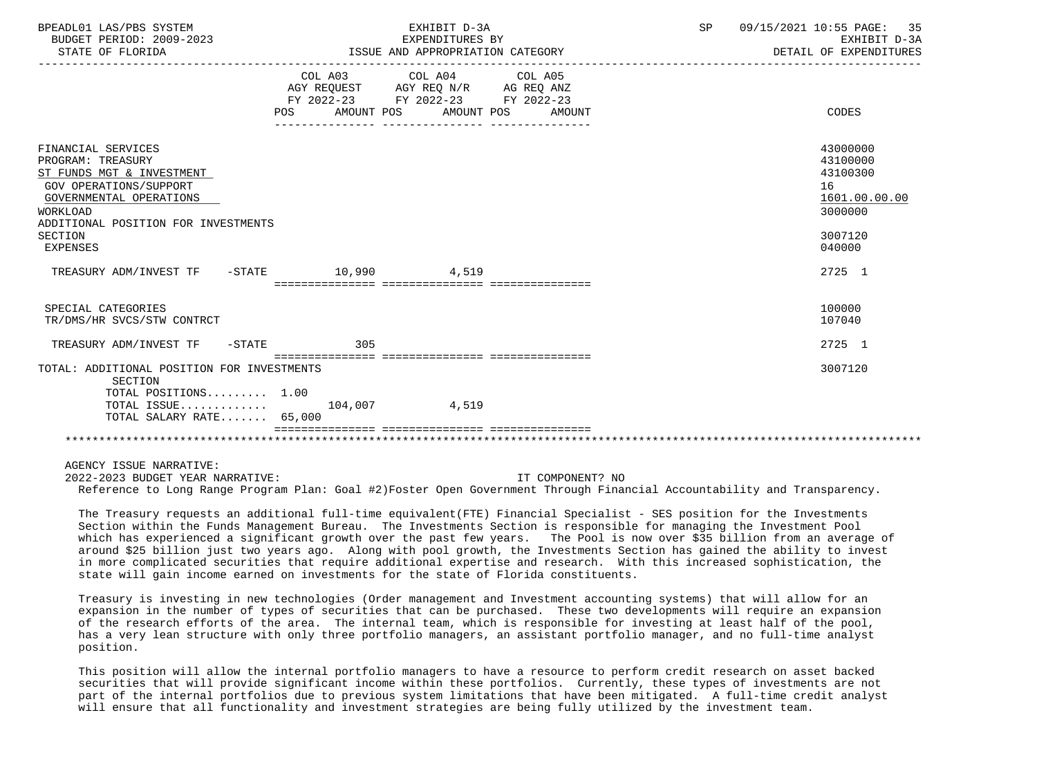| BPEADL01 LAS/PBS SYSTEM<br>BUDGET PERIOD: 2009-2023<br>STATE OF FLORIDA                                                                                                                                           | EXHIBIT D-3A<br>EXPENDITURES BY<br>ISSUE AND APPROPRIATION CATEGORY |                                                                                                             | SP | 09/15/2021 10:55 PAGE: 35<br>EXHIBIT D-3A<br>DETAIL OF EXPENDITURES                     |
|-------------------------------------------------------------------------------------------------------------------------------------------------------------------------------------------------------------------|---------------------------------------------------------------------|-------------------------------------------------------------------------------------------------------------|----|-----------------------------------------------------------------------------------------|
|                                                                                                                                                                                                                   | POS AMOUNT POS AMOUNT POS                                           | COL A03 COL A04 COL A05<br>AGY REQUEST AGY REQ N/R AG REQ ANZ<br>FY 2022-23 FY 2022-23 FY 2022-23<br>AMOUNT |    | CODES                                                                                   |
| FINANCIAL SERVICES<br>PROGRAM: TREASURY<br>ST FUNDS MGT & INVESTMENT<br>GOV OPERATIONS/SUPPORT<br>GOVERNMENTAL OPERATIONS<br><b>WORKLOAD</b><br>ADDITIONAL POSITION FOR INVESTMENTS<br>SECTION<br><b>EXPENSES</b> |                                                                     |                                                                                                             |    | 43000000<br>43100000<br>43100300<br>16<br>1601.00.00.00<br>3000000<br>3007120<br>040000 |
| TREASURY ADM/INVEST TF - STATE 10,990 4,519                                                                                                                                                                       |                                                                     |                                                                                                             |    | 2725 1                                                                                  |
| SPECIAL CATEGORIES<br>TR/DMS/HR SVCS/STW CONTRCT                                                                                                                                                                  |                                                                     |                                                                                                             |    | 100000<br>107040                                                                        |
| TREASURY ADM/INVEST TF -STATE                                                                                                                                                                                     | 305                                                                 |                                                                                                             |    | 2725 1                                                                                  |
| TOTAL: ADDITIONAL POSITION FOR INVESTMENTS<br>SECTION                                                                                                                                                             |                                                                     |                                                                                                             |    | 3007120                                                                                 |
| TOTAL POSITIONS 1.00<br>TOTAL ISSUE $104,007$<br>TOTAL SALARY RATE 65,000                                                                                                                                         |                                                                     | 4,519                                                                                                       |    |                                                                                         |
|                                                                                                                                                                                                                   | =================================                                   |                                                                                                             |    |                                                                                         |
| AGENCY ISSUE NARRATIVE:<br>$2000.2002$ pupang unap uappagtup.                                                                                                                                                     |                                                                     | THE COMPONIBUTE NO                                                                                          |    |                                                                                         |

 2022-2023 BUDGET YEAR NARRATIVE: IT COMPONENT? NO Reference to Long Range Program Plan: Goal #2)Foster Open Government Through Financial Accountability and Transparency.

 The Treasury requests an additional full-time equivalent(FTE) Financial Specialist - SES position for the Investments Section within the Funds Management Bureau. The Investments Section is responsible for managing the Investment Pool which has experienced a significant growth over the past few years. The Pool is now over \$35 billion from an average of around \$25 billion just two years ago. Along with pool growth, the Investments Section has gained the ability to invest in more complicated securities that require additional expertise and research. With this increased sophistication, the state will gain income earned on investments for the state of Florida constituents.

 Treasury is investing in new technologies (Order management and Investment accounting systems) that will allow for an expansion in the number of types of securities that can be purchased. These two developments will require an expansion of the research efforts of the area. The internal team, which is responsible for investing at least half of the pool, has a very lean structure with only three portfolio managers, an assistant portfolio manager, and no full-time analyst position.

 This position will allow the internal portfolio managers to have a resource to perform credit research on asset backed securities that will provide significant income within these portfolios. Currently, these types of investments are not part of the internal portfolios due to previous system limitations that have been mitigated. A full-time credit analyst will ensure that all functionality and investment strategies are being fully utilized by the investment team.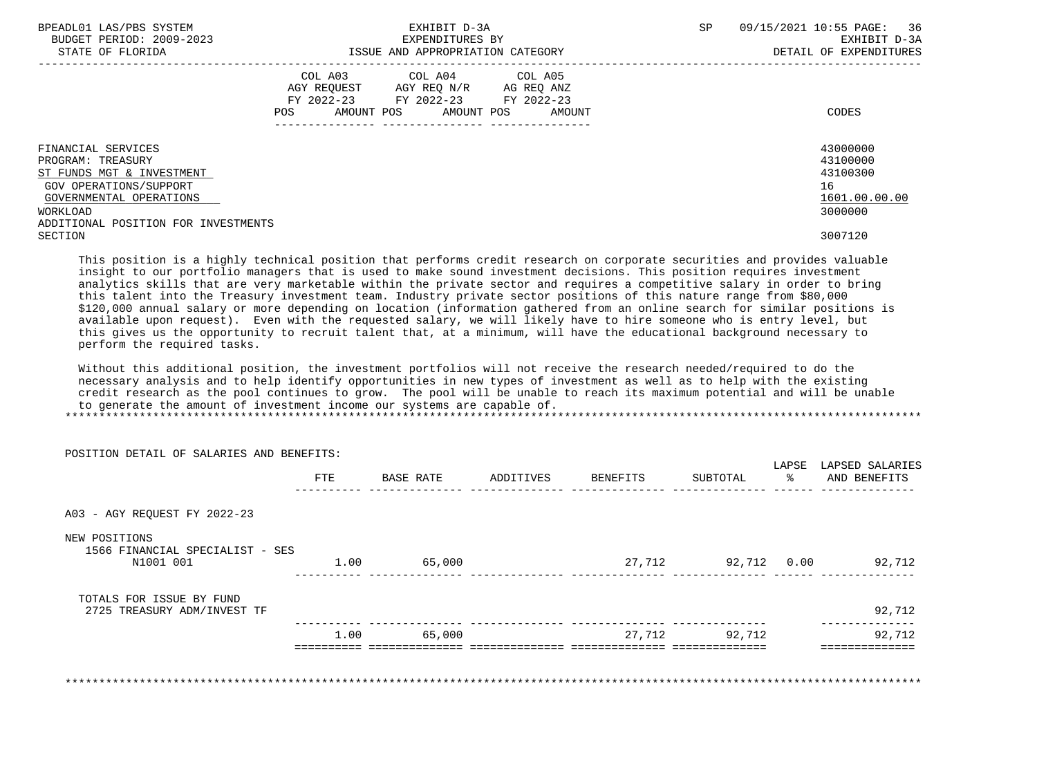| BPEADL01 LAS/PBS SYSTEM<br>BUDGET PERIOD: 2009-2023<br>STATE OF FLORIDA |                                                                      | EXHIBIT D-3A<br>EXPENDITURES BY<br>ISSUE AND APPROPRIATION CATEGORY                | 09/15/2021 10:55 PAGE: 36<br><b>SP</b><br>EXHIBIT D-3A<br>DETAIL OF EXPENDITURES |                      |  |
|-------------------------------------------------------------------------|----------------------------------------------------------------------|------------------------------------------------------------------------------------|----------------------------------------------------------------------------------|----------------------|--|
|                                                                         | COL A03<br>AGY REOUEST<br>FY 2022-23 FY 2022-23<br>AMOUNT POS<br>POS | COL A04 COL A05<br>AGY REO N/R<br>AG REO ANZ<br>FY 2022-23<br>AMOUNT POS<br>AMOUNT |                                                                                  | CODES                |  |
| FINANCIAL SERVICES                                                      |                                                                      |                                                                                    |                                                                                  | 43000000             |  |
| PROGRAM: TREASURY<br>ST FUNDS MGT & INVESTMENT                          |                                                                      |                                                                                    |                                                                                  | 43100000<br>43100300 |  |
| GOV OPERATIONS/SUPPORT                                                  |                                                                      |                                                                                    | 16                                                                               |                      |  |
| GOVERNMENTAL OPERATIONS                                                 |                                                                      |                                                                                    |                                                                                  | 1601.00.00.00        |  |
| WORKLOAD                                                                |                                                                      |                                                                                    |                                                                                  | 3000000              |  |
| ADDITIONAL POSITION FOR INVESTMENTS                                     |                                                                      |                                                                                    |                                                                                  |                      |  |
| SECTION                                                                 |                                                                      |                                                                                    |                                                                                  | 3007120              |  |

 This position is a highly technical position that performs credit research on corporate securities and provides valuable insight to our portfolio managers that is used to make sound investment decisions. This position requires investment analytics skills that are very marketable within the private sector and requires a competitive salary in order to bring this talent into the Treasury investment team. Industry private sector positions of this nature range from \$80,000 \$120,000 annual salary or more depending on location (information gathered from an online search for similar positions is available upon request). Even with the requested salary, we will likely have to hire someone who is entry level, but this gives us the opportunity to recruit talent that, at a minimum, will have the educational background necessary to perform the required tasks.

 Without this additional position, the investment portfolios will not receive the research needed/required to do the necessary analysis and to help identify opportunities in new types of investment as well as to help with the existing credit research as the pool continues to grow. The pool will be unable to reach its maximum potential and will be unable to generate the amount of investment income our systems are capable of. \*\*\*\*\*\*\*\*\*\*\*\*\*\*\*\*\*\*\*\*\*\*\*\*\*\*\*\*\*\*\*\*\*\*\*\*\*\*\*\*\*\*\*\*\*\*\*\*\*\*\*\*\*\*\*\*\*\*\*\*\*\*\*\*\*\*\*\*\*\*\*\*\*\*\*\*\*\*\*\*\*\*\*\*\*\*\*\*\*\*\*\*\*\*\*\*\*\*\*\*\*\*\*\*\*\*\*\*\*\*\*\*\*\*\*\*\*\*\*\*\*\*\*\*\*\*\*

|                                                               | <b>FTE</b> | BASE RATE | ADDITIVES | BENEFITS | SUBTOTAL    | LAPSE | LAPSED SALARIES<br>AND BENEFITS |
|---------------------------------------------------------------|------------|-----------|-----------|----------|-------------|-------|---------------------------------|
| A03 - AGY REQUEST FY 2022-23                                  |            |           |           |          |             |       |                                 |
| NEW POSITIONS<br>1566 FINANCIAL SPECIALIST - SES<br>N1001 001 | 1.00       | 65,000    |           | 27,712   | 92,712 0.00 |       | 92,712                          |
| TOTALS FOR ISSUE BY FUND<br>2725 TREASURY ADM/INVEST TF       |            |           |           |          |             |       | 92,712                          |
|                                                               | 1.00       | 65,000    |           | 27,712   | 92,712      |       | 92,712                          |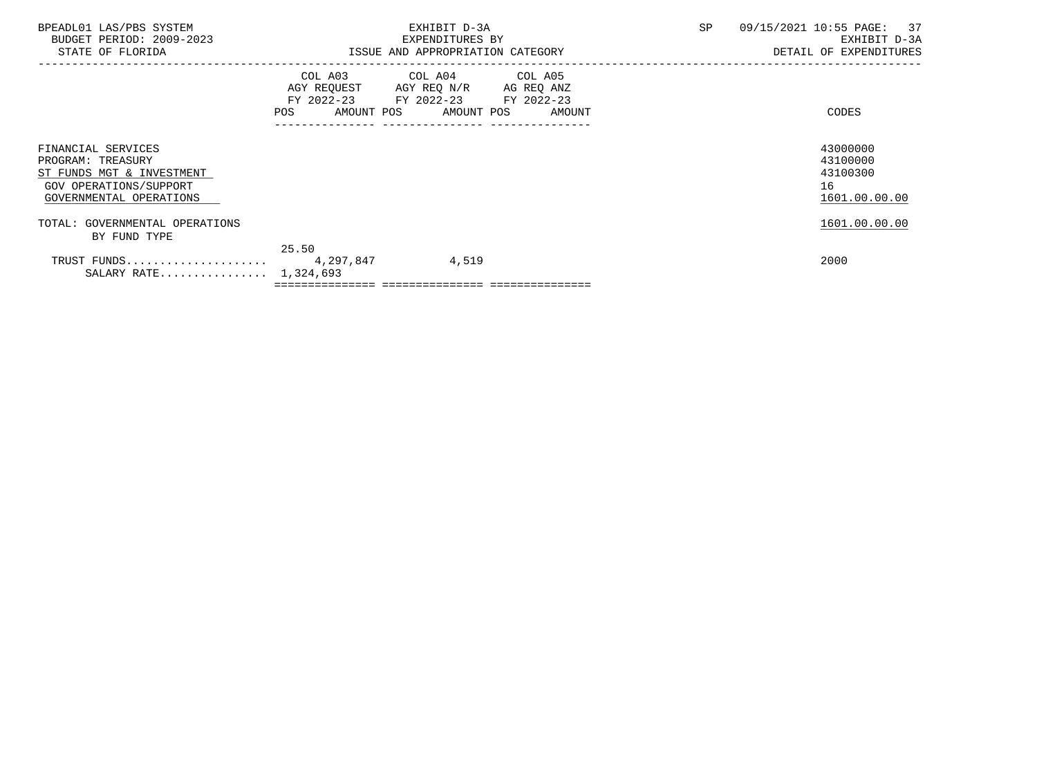| BPEADL01 LAS/PBS SYSTEM                                                        |       | EXHIBIT D-3A                                                                                                                          | SP | 09/15/2021 10:55 PAGE: 37              |
|--------------------------------------------------------------------------------|-------|---------------------------------------------------------------------------------------------------------------------------------------|----|----------------------------------------|
| BUDGET PERIOD: 2009-2023<br>STATE OF FLORIDA                                   |       | EXPENDITURES BY<br>ISSUE AND APPROPRIATION CATEGORY                                                                                   |    | EXHIBIT D-3A<br>DETAIL OF EXPENDITURES |
|                                                                                |       | COL A03 COL A04 COL A05<br>AGY REQUEST AGY REQ N/R AG REQ ANZ<br>FY 2022-23 FY 2022-23 FY 2022-23<br>POS AMOUNT POS AMOUNT POS AMOUNT |    | CODES                                  |
| FINANCIAL SERVICES<br>PROGRAM: TREASURY                                        |       |                                                                                                                                       |    | 43000000<br>43100000                   |
| ST FUNDS MGT & INVESTMENT<br>GOV OPERATIONS/SUPPORT<br>GOVERNMENTAL OPERATIONS |       |                                                                                                                                       |    | 43100300<br>16<br>1601.00.00.00        |
| TOTAL: GOVERNMENTAL OPERATIONS<br>BY FUND TYPE                                 |       |                                                                                                                                       |    | 1601.00.00.00                          |
| SALARY RATE 1,324,693                                                          | 25.50 |                                                                                                                                       |    | 2000                                   |
|                                                                                |       |                                                                                                                                       |    |                                        |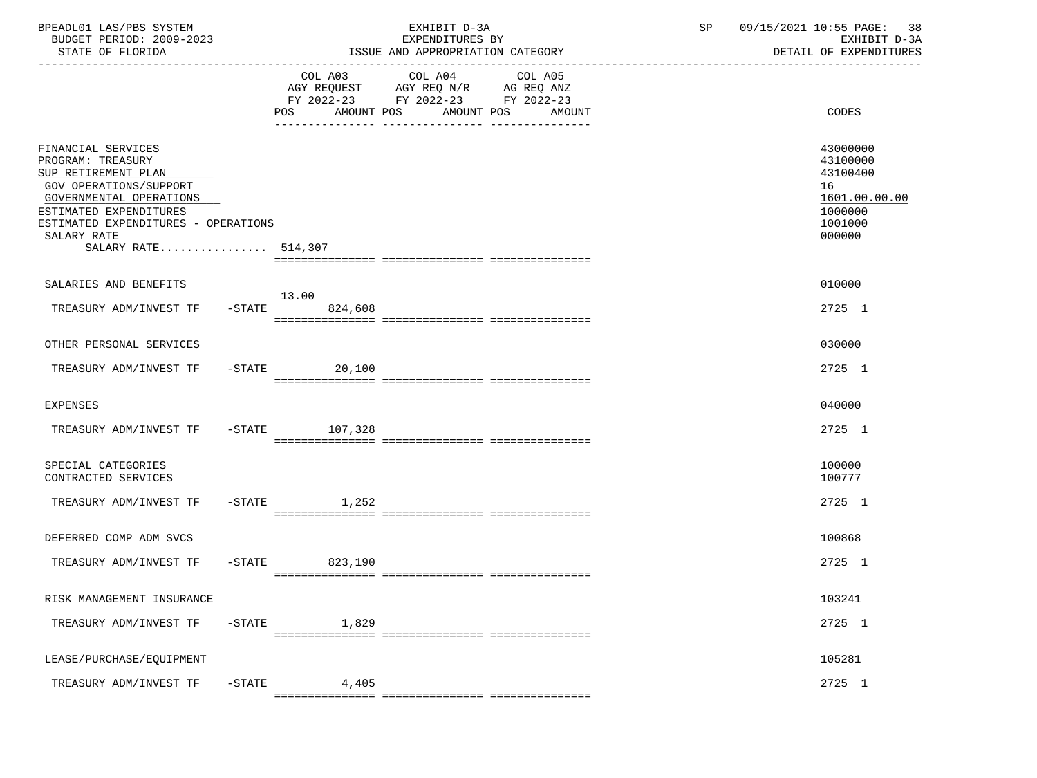| BPEADL01 LAS/PBS SYSTEM<br>BUDGET PERIOD: 2009-2023<br>STATE OF FLORIDA                                                                                                                                                    |           |                | EXHIBIT D-3A<br>EXPENDITURES BY<br>ISSUE AND APPROPRIATION CATEGORY                                                                      | SP | 09/15/2021 10:55 PAGE: 38<br>EXHIBIT D-3A<br>DETAIL OF EXPENDITURES                     |
|----------------------------------------------------------------------------------------------------------------------------------------------------------------------------------------------------------------------------|-----------|----------------|------------------------------------------------------------------------------------------------------------------------------------------|----|-----------------------------------------------------------------------------------------|
|                                                                                                                                                                                                                            |           |                | COL A03 COL A04 COL A05<br>AGY REQUEST AGY REQ N/R AG REQ ANZ<br>FY 2022-23 FY 2022-23 FY 2022-23<br>POS AMOUNT POS AMOUNT POS<br>AMOUNT |    | CODES                                                                                   |
| FINANCIAL SERVICES<br>PROGRAM: TREASURY<br>SUP RETIREMENT PLAN<br>GOV OPERATIONS/SUPPORT<br>GOVERNMENTAL OPERATIONS<br>ESTIMATED EXPENDITURES<br>ESTIMATED EXPENDITURES - OPERATIONS<br>SALARY RATE<br>SALARY RATE 514,307 |           |                |                                                                                                                                          |    | 43000000<br>43100000<br>43100400<br>16<br>1601.00.00.00<br>1000000<br>1001000<br>000000 |
| SALARIES AND BENEFITS                                                                                                                                                                                                      |           |                |                                                                                                                                          |    | 010000                                                                                  |
| TREASURY ADM/INVEST TF -STATE 824,608                                                                                                                                                                                      |           | 13.00          |                                                                                                                                          |    | 2725 1                                                                                  |
| OTHER PERSONAL SERVICES                                                                                                                                                                                                    |           |                |                                                                                                                                          |    | 030000                                                                                  |
| TREASURY ADM/INVEST TF -STATE 20,100                                                                                                                                                                                       |           |                |                                                                                                                                          |    | 2725 1                                                                                  |
| <b>EXPENSES</b>                                                                                                                                                                                                            |           |                |                                                                                                                                          |    | 040000                                                                                  |
| TREASURY ADM/INVEST TF -STATE 107,328                                                                                                                                                                                      |           |                |                                                                                                                                          |    | 2725 1                                                                                  |
| SPECIAL CATEGORIES<br>CONTRACTED SERVICES                                                                                                                                                                                  |           |                |                                                                                                                                          |    | 100000<br>100777                                                                        |
| TREASURY ADM/INVEST TF -STATE 1,252                                                                                                                                                                                        |           |                |                                                                                                                                          |    | 2725 1                                                                                  |
| DEFERRED COMP ADM SVCS                                                                                                                                                                                                     |           |                |                                                                                                                                          |    | 100868                                                                                  |
| TREASURY ADM/INVEST TF                                                                                                                                                                                                     |           | -STATE 823,190 |                                                                                                                                          |    | 2725 1                                                                                  |
| RISK MANAGEMENT INSURANCE                                                                                                                                                                                                  |           |                |                                                                                                                                          |    | 103241                                                                                  |
| TREASURY ADM/INVEST TF                                                                                                                                                                                                     | $-$ STATE | 1,829          |                                                                                                                                          |    | 2725 1                                                                                  |
| LEASE/PURCHASE/EQUIPMENT                                                                                                                                                                                                   |           |                |                                                                                                                                          |    | 105281                                                                                  |
| TREASURY ADM/INVEST TF                                                                                                                                                                                                     | $-$ STATE | 4,405          |                                                                                                                                          |    | 2725 1                                                                                  |
|                                                                                                                                                                                                                            |           |                |                                                                                                                                          |    |                                                                                         |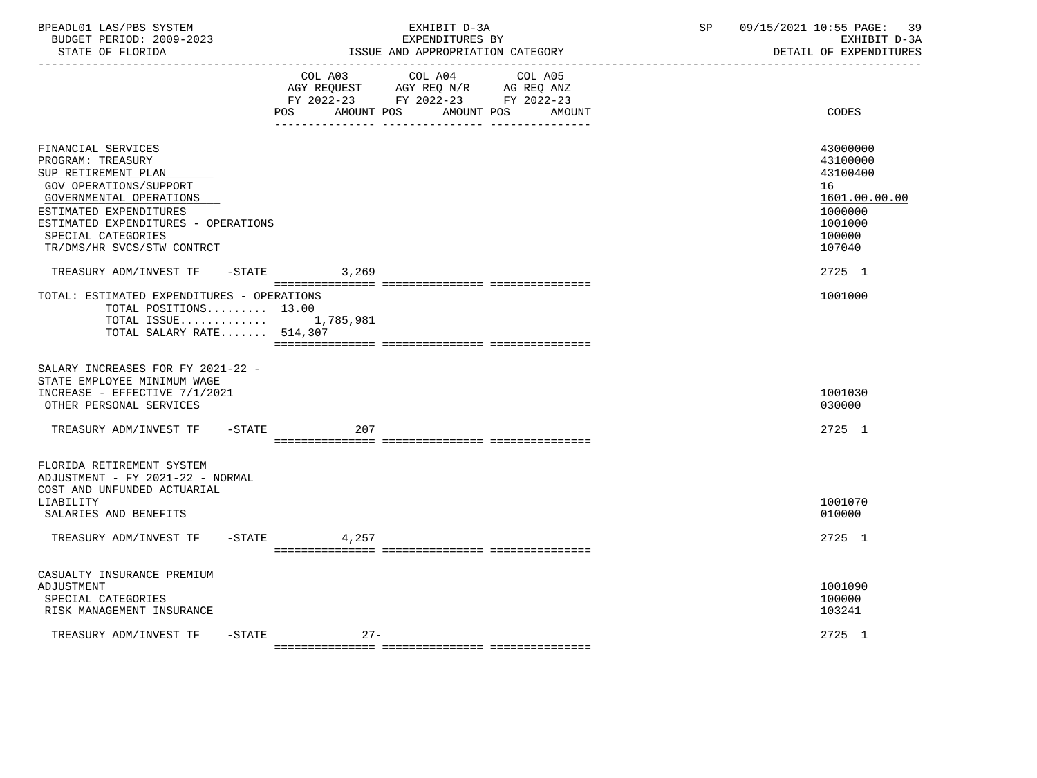| BPEADL01 LAS/PBS SYSTEM<br>BUDGET PERIOD: 2009-2023<br>STATE OF FLORIDA<br>---------------------                                                                                                                                         |                   | EXHIBIT D-3A<br>EXPENDITURES BY<br>ISSUE AND APPROPRIATION CATEGORY                                                       | SP | 09/15/2021 10:55 PAGE:<br>39<br>EXHIBIT D-3A<br>DETAIL OF EXPENDITURES                                      |
|------------------------------------------------------------------------------------------------------------------------------------------------------------------------------------------------------------------------------------------|-------------------|---------------------------------------------------------------------------------------------------------------------------|----|-------------------------------------------------------------------------------------------------------------|
|                                                                                                                                                                                                                                          | POS<br>AMOUNT POS | COL A03 COL A04 COL A05<br>AGY REQUEST AGY REQ N/R AG REQ ANZ<br>FY 2022-23 FY 2022-23 FY 2022-23<br>AMOUNT POS<br>AMOUNT |    | CODES                                                                                                       |
| FINANCIAL SERVICES<br>PROGRAM: TREASURY<br>SUP RETIREMENT PLAN<br>GOV OPERATIONS/SUPPORT<br>GOVERNMENTAL OPERATIONS<br>ESTIMATED EXPENDITURES<br>ESTIMATED EXPENDITURES - OPERATIONS<br>SPECIAL CATEGORIES<br>TR/DMS/HR SVCS/STW CONTRCT |                   |                                                                                                                           |    | 43000000<br>43100000<br>43100400<br>16<br>1601.00.00.00<br>1000000<br>1001000<br>100000<br>107040<br>2725 1 |
| TREASURY ADM/INVEST TF<br>TOTAL: ESTIMATED EXPENDITURES - OPERATIONS<br>TOTAL POSITIONS $13.00$<br>TOTAL ISSUE 1,785,981<br>TOTAL SALARY RATE 514,307                                                                                    | $-STATE$ 3,269    |                                                                                                                           |    | 1001000                                                                                                     |
| SALARY INCREASES FOR FY 2021-22 -<br>STATE EMPLOYEE MINIMUM WAGE<br>INCREASE - EFFECTIVE 7/1/2021<br>OTHER PERSONAL SERVICES                                                                                                             |                   |                                                                                                                           |    | 1001030<br>030000                                                                                           |
| $-$ STATE<br>TREASURY ADM/INVEST TF                                                                                                                                                                                                      | 207               |                                                                                                                           |    | 2725 1                                                                                                      |
| FLORIDA RETIREMENT SYSTEM<br>ADJUSTMENT - FY 2021-22 - NORMAL<br>COST AND UNFUNDED ACTUARIAL<br>LIABILITY<br>SALARIES AND BENEFITS<br>TREASURY ADM/INVEST TF                                                                             | $-STATE$<br>4,257 |                                                                                                                           |    | 1001070<br>010000<br>2725 1                                                                                 |
|                                                                                                                                                                                                                                          |                   |                                                                                                                           |    |                                                                                                             |
| CASUALTY INSURANCE PREMIUM<br>ADJUSTMENT<br>SPECIAL CATEGORIES<br>RISK MANAGEMENT INSURANCE                                                                                                                                              |                   |                                                                                                                           |    | 1001090<br>100000<br>103241                                                                                 |
| TREASURY ADM/INVEST TF<br>-STATE                                                                                                                                                                                                         | $27 -$            |                                                                                                                           |    | 2725 1                                                                                                      |

=============== =============== ===============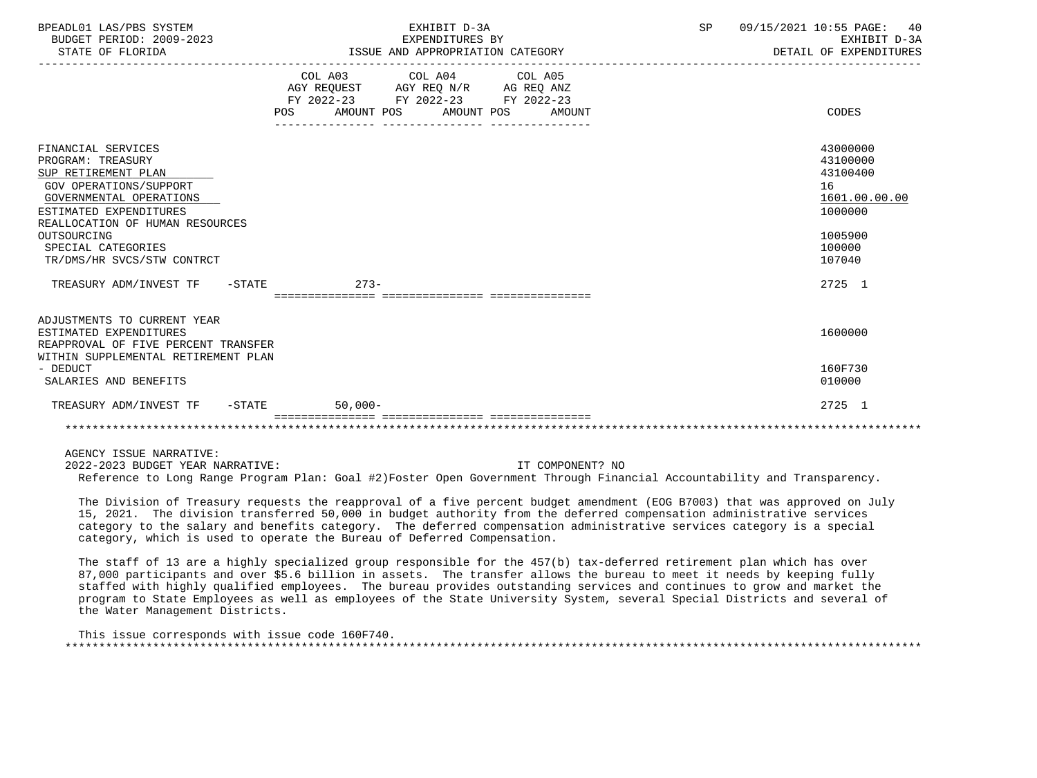| BPEADL01 LAS/PBS SYSTEM<br>BUDGET PERIOD: 2009-2023                                                                                                                                                                                                        |                                  | EXHIBIT D-3A<br>EXPENDITURES BY                                                                                                                                                                                                                  | SP               | 09/15/2021 10:55 PAGE: 40<br>EXHIBIT D-3A |                                                                                                   |
|------------------------------------------------------------------------------------------------------------------------------------------------------------------------------------------------------------------------------------------------------------|----------------------------------|--------------------------------------------------------------------------------------------------------------------------------------------------------------------------------------------------------------------------------------------------|------------------|-------------------------------------------|---------------------------------------------------------------------------------------------------|
| STATE OF FLORIDA                                                                                                                                                                                                                                           | ISSUE AND APPROPRIATION CATEGORY |                                                                                                                                                                                                                                                  |                  |                                           | DETAIL OF EXPENDITURES                                                                            |
|                                                                                                                                                                                                                                                            | POS FOR                          | COL A03 COL A04 COL A05<br>$\begin{tabular}{lllllll} AGY & \texttt{REQUEST} & \texttt{AGY} & \texttt{REG} & \texttt{N/R} & \texttt{AG} & \texttt{REQ} & \texttt{ANZ} \end{tabular}$<br>FY 2022-23 FY 2022-23 FY 2022-23<br>AMOUNT POS AMOUNT POS | AMOUNT           |                                           | CODES                                                                                             |
| FINANCIAL SERVICES<br>PROGRAM: TREASURY<br>SUP RETIREMENT PLAN<br><b>GOV OPERATIONS/SUPPORT</b><br>GOVERNMENTAL OPERATIONS<br>ESTIMATED EXPENDITURES<br>REALLOCATION OF HUMAN RESOURCES<br>OUTSOURCING<br>SPECIAL CATEGORIES<br>TR/DMS/HR SVCS/STW CONTRCT |                                  |                                                                                                                                                                                                                                                  |                  |                                           | 43000000<br>43100000<br>43100400<br>16<br>1601.00.00.00<br>1000000<br>1005900<br>100000<br>107040 |
| TREASURY ADM/INVEST TF -STATE 273-                                                                                                                                                                                                                         |                                  |                                                                                                                                                                                                                                                  |                  |                                           | 2725 1                                                                                            |
| ADJUSTMENTS TO CURRENT YEAR<br>ESTIMATED EXPENDITURES<br>REAPPROVAL OF FIVE PERCENT TRANSFER<br>WITHIN SUPPLEMENTAL RETIREMENT PLAN                                                                                                                        |                                  |                                                                                                                                                                                                                                                  |                  |                                           | 1600000                                                                                           |
| - DEDUCT<br>SALARIES AND BENEFITS                                                                                                                                                                                                                          |                                  |                                                                                                                                                                                                                                                  |                  |                                           | 160F730<br>010000                                                                                 |
| TREASURY ADM/INVEST TF -STATE                                                                                                                                                                                                                              | $50.000 -$                       |                                                                                                                                                                                                                                                  |                  |                                           | 2725 1                                                                                            |
|                                                                                                                                                                                                                                                            |                                  |                                                                                                                                                                                                                                                  |                  |                                           |                                                                                                   |
| AGENCY ISSUE NARRATIVE:<br>2022-2023 BUDGET YEAR NARRATIVE:<br>Reference to Long Range Program Plan: Goal #2)Foster Open Government Through Financial Accountability and Transparency.                                                                     |                                  |                                                                                                                                                                                                                                                  | IT COMPONENT? NO |                                           |                                                                                                   |
| The Division of Treasury requests the reapproval of a five percent budget amendment (EOG B7003) that was approved on July                                                                                                                                  |                                  |                                                                                                                                                                                                                                                  |                  |                                           |                                                                                                   |

)ivision of Treasury requests the reapproval of a five percent budget amendment (EOG B7003) that was approved on July 15, 2021. The division transferred 50,000 in budget authority from the deferred compensation administrative services category to the salary and benefits category. The deferred compensation administrative services category is a special category, which is used to operate the Bureau of Deferred Compensation.

 The staff of 13 are a highly specialized group responsible for the 457(b) tax-deferred retirement plan which has over 87,000 participants and over \$5.6 billion in assets. The transfer allows the bureau to meet it needs by keeping fully staffed with highly qualified employees. The bureau provides outstanding services and continues to grow and market the program to State Employees as well as employees of the State University System, several Special Districts and several of the Water Management Districts.

 This issue corresponds with issue code 160F740. \*\*\*\*\*\*\*\*\*\*\*\*\*\*\*\*\*\*\*\*\*\*\*\*\*\*\*\*\*\*\*\*\*\*\*\*\*\*\*\*\*\*\*\*\*\*\*\*\*\*\*\*\*\*\*\*\*\*\*\*\*\*\*\*\*\*\*\*\*\*\*\*\*\*\*\*\*\*\*\*\*\*\*\*\*\*\*\*\*\*\*\*\*\*\*\*\*\*\*\*\*\*\*\*\*\*\*\*\*\*\*\*\*\*\*\*\*\*\*\*\*\*\*\*\*\*\*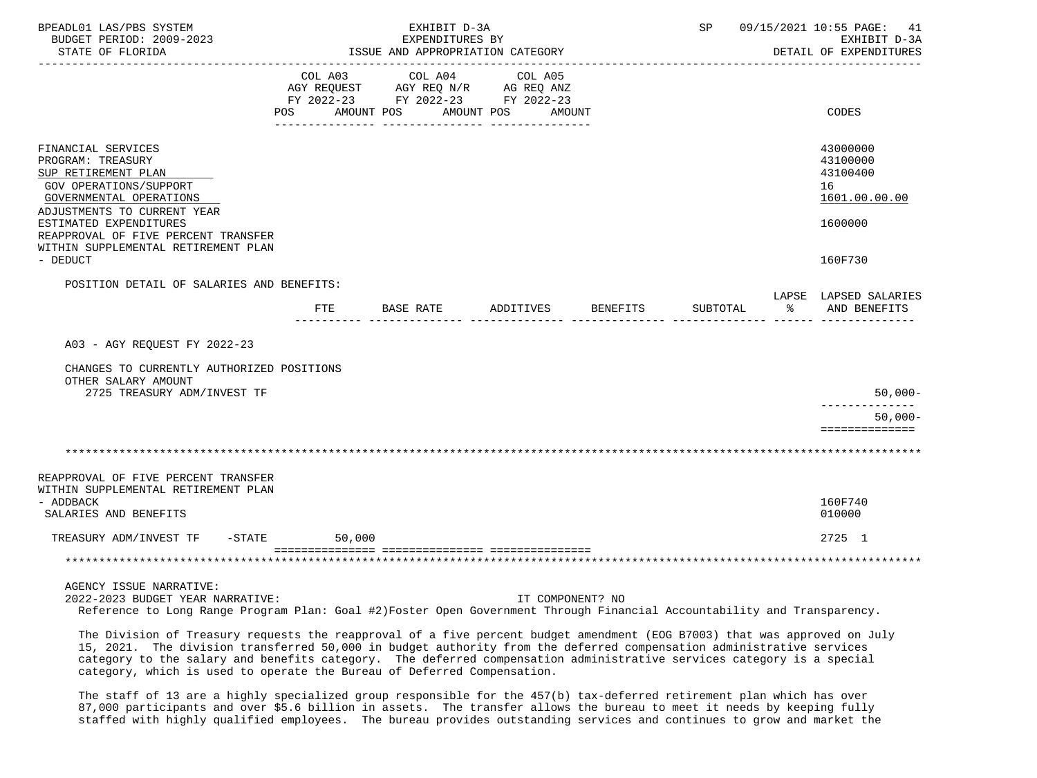| BPEADL01 LAS/PBS SYSTEM<br>BUDGET PERIOD: 2009-2023<br>STATE OF FLORIDA                                                                                                                                                                                                                                                                                                                                                                               |                 | EXHIBIT D-3A<br>EXPENDITURES BY<br>ISSUE AND APPROPRIATION CATEGORY                                           |                   |          | SP       |    | 09/15/2021 10:55 PAGE:<br>41<br>EXHIBIT D-3A<br>DETAIL OF EXPENDITURES |
|-------------------------------------------------------------------------------------------------------------------------------------------------------------------------------------------------------------------------------------------------------------------------------------------------------------------------------------------------------------------------------------------------------------------------------------------------------|-----------------|---------------------------------------------------------------------------------------------------------------|-------------------|----------|----------|----|------------------------------------------------------------------------|
|                                                                                                                                                                                                                                                                                                                                                                                                                                                       | COL A03<br>POS. | COL A04<br>AGY REQUEST AGY REQ N/R AG REQ ANZ<br>FY 2022-23 FY 2022-23 FY 2022-23<br>AMOUNT POS<br>AMOUNT POS | COL A05<br>AMOUNT |          |          |    | CODES                                                                  |
| FINANCIAL SERVICES<br>PROGRAM: TREASURY<br>SUP RETIREMENT PLAN<br>GOV OPERATIONS/SUPPORT<br>GOVERNMENTAL OPERATIONS<br>ADJUSTMENTS TO CURRENT YEAR                                                                                                                                                                                                                                                                                                    |                 |                                                                                                               |                   |          |          |    | 43000000<br>43100000<br>43100400<br>16<br>1601.00.00.00                |
| ESTIMATED EXPENDITURES<br>REAPPROVAL OF FIVE PERCENT TRANSFER<br>WITHIN SUPPLEMENTAL RETIREMENT PLAN<br>- DEDUCT                                                                                                                                                                                                                                                                                                                                      |                 |                                                                                                               |                   |          |          |    | 1600000<br>160F730                                                     |
| POSITION DETAIL OF SALARIES AND BENEFITS:                                                                                                                                                                                                                                                                                                                                                                                                             |                 |                                                                                                               |                   |          |          |    |                                                                        |
|                                                                                                                                                                                                                                                                                                                                                                                                                                                       | FTE             | BASE RATE                                                                                                     | ADDITIVES         | BENEFITS | SUBTOTAL | ႜၟ | LAPSE LAPSED SALARIES<br>AND BENEFITS                                  |
| A03 - AGY REQUEST FY 2022-23                                                                                                                                                                                                                                                                                                                                                                                                                          |                 |                                                                                                               |                   |          |          |    |                                                                        |
| CHANGES TO CURRENTLY AUTHORIZED POSITIONS<br>OTHER SALARY AMOUNT<br>2725 TREASURY ADM/INVEST TF                                                                                                                                                                                                                                                                                                                                                       |                 |                                                                                                               |                   |          |          |    | $50,000-$                                                              |
|                                                                                                                                                                                                                                                                                                                                                                                                                                                       |                 |                                                                                                               |                   |          |          |    | $50,000 -$                                                             |
|                                                                                                                                                                                                                                                                                                                                                                                                                                                       |                 |                                                                                                               |                   |          |          |    | ==============                                                         |
|                                                                                                                                                                                                                                                                                                                                                                                                                                                       |                 |                                                                                                               |                   |          |          |    |                                                                        |
| REAPPROVAL OF FIVE PERCENT TRANSFER<br>WITHIN SUPPLEMENTAL RETIREMENT PLAN                                                                                                                                                                                                                                                                                                                                                                            |                 |                                                                                                               |                   |          |          |    |                                                                        |
| - ADDBACK<br>SALARIES AND BENEFITS                                                                                                                                                                                                                                                                                                                                                                                                                    |                 |                                                                                                               |                   |          |          |    | 160F740<br>010000                                                      |
| $-$ STATE<br>TREASURY ADM/INVEST TF                                                                                                                                                                                                                                                                                                                                                                                                                   | 50,000          |                                                                                                               |                   |          |          |    | 2725 1                                                                 |
| **********************************                                                                                                                                                                                                                                                                                                                                                                                                                    |                 |                                                                                                               |                   |          |          |    |                                                                        |
| AGENCY ISSUE NARRATIVE:<br>2022-2023 BUDGET YEAR NARRATIVE:<br>Reference to Long Range Program Plan: Goal #2)Foster Open Government Through Financial Accountability and Transparency.                                                                                                                                                                                                                                                                |                 |                                                                                                               | IT COMPONENT? NO  |          |          |    |                                                                        |
| The Division of Treasury requests the reapproval of a five percent budget amendment (EOG B7003) that was approved on July<br>15, 2021. The division transferred 50,000 in budget authority from the deferred compensation administrative services<br>category to the salary and benefits category. The deferred compensation administrative services category is a special<br>category, which is used to operate the Bureau of Deferred Compensation. |                 |                                                                                                               |                   |          |          |    |                                                                        |

 The staff of 13 are a highly specialized group responsible for the 457(b) tax-deferred retirement plan which has over 87,000 participants and over \$5.6 billion in assets. The transfer allows the bureau to meet it needs by keeping fully staffed with highly qualified employees. The bureau provides outstanding services and continues to grow and market the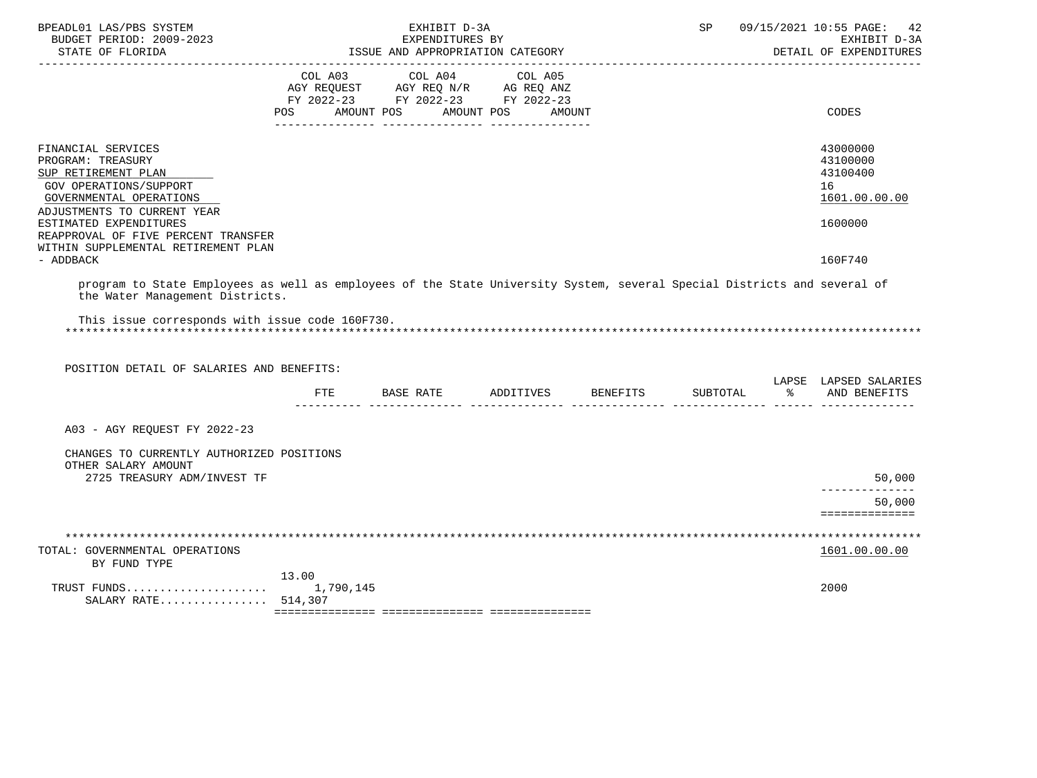| BPEADL01 LAS/PBS SYSTEM<br>BUDGET PERIOD: 2009-2023                                                                                                                                                                                                        |                           | EXHIBIT D-3A<br>EXPENDITURES BY                                                                                                                                             |                       |          | SP       | 09/15/2021 10:55 PAGE:<br>42<br>EXHIBIT D-3A                       |
|------------------------------------------------------------------------------------------------------------------------------------------------------------------------------------------------------------------------------------------------------------|---------------------------|-----------------------------------------------------------------------------------------------------------------------------------------------------------------------------|-----------------------|----------|----------|--------------------------------------------------------------------|
| STATE OF FLORIDA                                                                                                                                                                                                                                           |                           | ISSUE AND APPROPRIATION CATEGORY                                                                                                                                            |                       |          |          | DETAIL OF EXPENDITURES                                             |
|                                                                                                                                                                                                                                                            | COL A03<br>POS AMOUNT POS | COL A04<br>$\begin{tabular}{lllllll} \bf AGY & \bf REQUEST & \bf AGY & \bf REQ & \bf N/R & \bf AG & \bf REQ & \bf ANZ \\ \end{tabular}$<br>FY 2022-23 FY 2022-23 FY 2022-23 | COL A05<br>AMOUNT POS | AMOUNT   |          | <b>CODES</b>                                                       |
| FINANCIAL SERVICES<br>PROGRAM: TREASURY<br>SUP RETIREMENT PLAN<br>GOV OPERATIONS/SUPPORT<br>GOVERNMENTAL OPERATIONS<br>ADJUSTMENTS TO CURRENT YEAR<br>ESTIMATED EXPENDITURES<br>REAPPROVAL OF FIVE PERCENT TRANSFER<br>WITHIN SUPPLEMENTAL RETIREMENT PLAN |                           |                                                                                                                                                                             |                       |          |          | 43000000<br>43100000<br>43100400<br>16<br>1601.00.00.00<br>1600000 |
| - ADDBACK                                                                                                                                                                                                                                                  |                           |                                                                                                                                                                             |                       |          |          | 160F740                                                            |
| program to State Employees as well as employees of the State University System, several Special Districts and several of<br>the Water Management Districts.<br>This issue corresponds with issue code 160F730.                                             |                           |                                                                                                                                                                             |                       |          |          |                                                                    |
| POSITION DETAIL OF SALARIES AND BENEFITS:                                                                                                                                                                                                                  |                           |                                                                                                                                                                             |                       |          |          |                                                                    |
|                                                                                                                                                                                                                                                            | FTE                       | BASE RATE ADDITIVES                                                                                                                                                         |                       | BENEFITS | SUBTOTAL | LAPSE LAPSED SALARIES<br>$\sim$ $\approx$<br>AND BENEFITS          |
| A03 - AGY REQUEST FY 2022-23                                                                                                                                                                                                                               |                           |                                                                                                                                                                             |                       |          |          |                                                                    |
| CHANGES TO CURRENTLY AUTHORIZED POSITIONS<br>OTHER SALARY AMOUNT<br>2725 TREASURY ADM/INVEST TF                                                                                                                                                            |                           |                                                                                                                                                                             |                       |          |          | 50,000<br>--------------<br>50,000                                 |
|                                                                                                                                                                                                                                                            |                           |                                                                                                                                                                             |                       |          |          | ==============                                                     |
| TOTAL: GOVERNMENTAL OPERATIONS<br>BY FUND TYPE                                                                                                                                                                                                             |                           |                                                                                                                                                                             |                       |          |          | 1601.00.00.00                                                      |
| TRUST FUNDS<br>SALARY RATE 514,307                                                                                                                                                                                                                         | 13.00<br>1,790,145        |                                                                                                                                                                             |                       |          |          |                                                                    |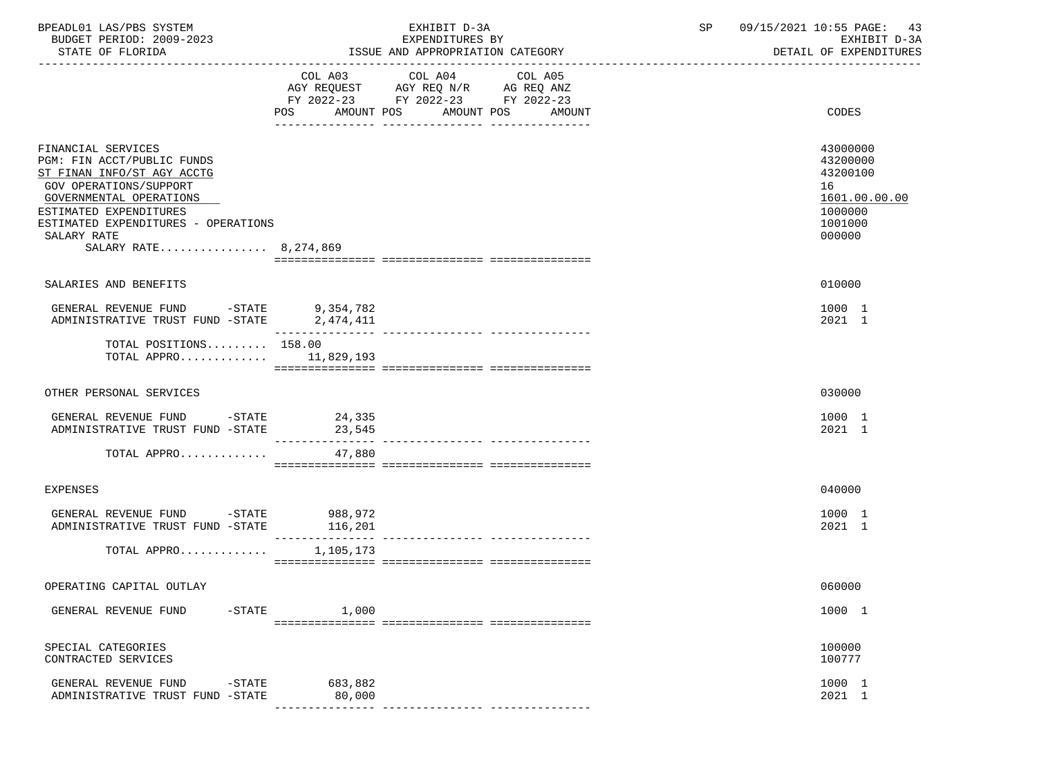| BPEADL01 LAS/PBS SYSTEM<br>BUDGET PERIOD: 2009-2023<br>STATE OF FLORIDA                                                                                                                                                                             |                                    | EXHIBIT D-3A<br>EXPENDITURES BY<br>ISSUE AND APPROPRIATION CATEGORY                                                  | SP | 09/15/2021 10:55 PAGE: 43<br>EXHIBIT D-3A<br>DETAIL OF EXPENDITURES                     |
|-----------------------------------------------------------------------------------------------------------------------------------------------------------------------------------------------------------------------------------------------------|------------------------------------|----------------------------------------------------------------------------------------------------------------------|----|-----------------------------------------------------------------------------------------|
|                                                                                                                                                                                                                                                     | COL A03<br>AMOUNT POS<br>POS       | COL A04<br>COL A05<br>AGY REQUEST AGY REQ N/R AG REQ ANZ<br>FY 2022-23 FY 2022-23 FY 2022-23<br>AMOUNT POS<br>AMOUNT |    | CODES                                                                                   |
| FINANCIAL SERVICES<br>PGM: FIN ACCT/PUBLIC FUNDS<br>ST FINAN INFO/ST AGY ACCTG<br><b>GOV OPERATIONS/SUPPORT</b><br>GOVERNMENTAL OPERATIONS<br>ESTIMATED EXPENDITURES<br>ESTIMATED EXPENDITURES - OPERATIONS<br>SALARY RATE<br>SALARY RATE 8,274,869 |                                    |                                                                                                                      |    | 43000000<br>43200000<br>43200100<br>16<br>1601.00.00.00<br>1000000<br>1001000<br>000000 |
| SALARIES AND BENEFITS                                                                                                                                                                                                                               |                                    |                                                                                                                      |    | 010000                                                                                  |
| GENERAL REVENUE FUND -STATE 9,354,782<br>ADMINISTRATIVE TRUST FUND -STATE 2,474,411                                                                                                                                                                 |                                    |                                                                                                                      |    | 1000 1<br>2021 1                                                                        |
| TOTAL POSITIONS $158.00$<br>TOTAL APPRO $11.829.193$                                                                                                                                                                                                |                                    |                                                                                                                      |    |                                                                                         |
| OTHER PERSONAL SERVICES                                                                                                                                                                                                                             |                                    |                                                                                                                      |    | 030000                                                                                  |
| GENERAL REVENUE FUND -STATE 24,335<br>ADMINISTRATIVE TRUST FUND -STATE                                                                                                                                                                              | 23,545                             |                                                                                                                      |    | 1000 1<br>2021 1                                                                        |
| TOTAL APPRO                                                                                                                                                                                                                                         | 47,880                             |                                                                                                                      |    |                                                                                         |
| <b>EXPENSES</b>                                                                                                                                                                                                                                     |                                    |                                                                                                                      |    | 040000                                                                                  |
| GENERAL REVENUE FUND -STATE 988,972<br>ADMINISTRATIVE TRUST FUND -STATE                                                                                                                                                                             | 116,201                            |                                                                                                                      |    | 1000 1<br>2021 1                                                                        |
| TOTAL APPRO                                                                                                                                                                                                                                         | 1,105,173                          |                                                                                                                      |    |                                                                                         |
| OPERATING CAPITAL OUTLAY                                                                                                                                                                                                                            |                                    |                                                                                                                      |    | 060000                                                                                  |
| GENERAL REVENUE FUND<br>$-$ STATE                                                                                                                                                                                                                   | 1,000                              |                                                                                                                      |    | 1000 1                                                                                  |
| SPECIAL CATEGORIES<br>CONTRACTED SERVICES                                                                                                                                                                                                           |                                    |                                                                                                                      |    | 100000<br>100777                                                                        |
| GENERAL REVENUE FUND<br>$-$ STATE<br>ADMINISTRATIVE TRUST FUND -STATE                                                                                                                                                                               | 683,882<br>80,000<br>------------- | ---------------                                                                                                      |    | 1000 1<br>2021 1                                                                        |
|                                                                                                                                                                                                                                                     |                                    |                                                                                                                      |    |                                                                                         |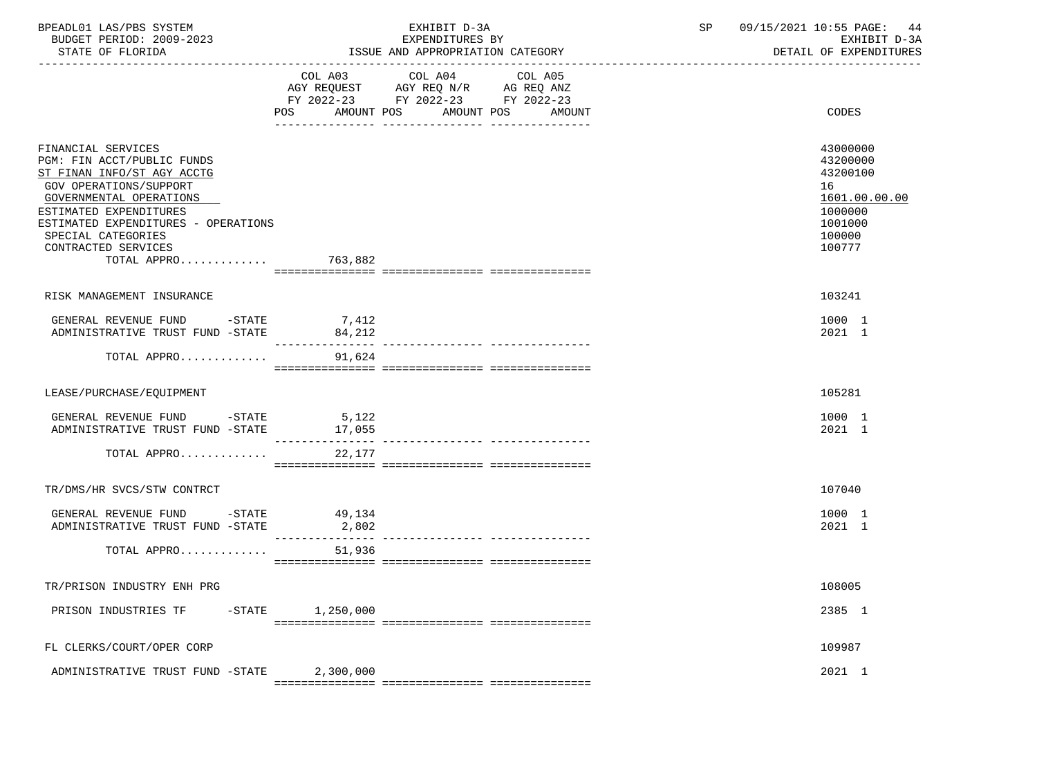| BPEADL01 LAS/PBS SYSTEM<br>BUDGET PERIOD: 2009-2023<br>STATE OF FLORIDA                                                                                                                                                                                                  |           | EXHIBIT D-3A<br>EXPENDITURES BY<br>ISSUE AND APPROPRIATION CATEGORY                                                              | SP | 09/15/2021 10:55 PAGE: 44<br>EXHIBIT D-3A<br>DETAIL OF EXPENDITURES                               |
|--------------------------------------------------------------------------------------------------------------------------------------------------------------------------------------------------------------------------------------------------------------------------|-----------|----------------------------------------------------------------------------------------------------------------------------------|----|---------------------------------------------------------------------------------------------------|
|                                                                                                                                                                                                                                                                          | COL A03   | COL A04<br>COL A05<br>AGY REQUEST AGY REQ N/R AG REQ ANZ<br>FY 2022-23 FY 2022-23 FY 2022-23<br>POS AMOUNT POS AMOUNT POS AMOUNT |    | CODES                                                                                             |
| FINANCIAL SERVICES<br>PGM: FIN ACCT/PUBLIC FUNDS<br>ST FINAN INFO/ST AGY ACCTG<br>GOV OPERATIONS/SUPPORT<br>GOVERNMENTAL OPERATIONS<br>ESTIMATED EXPENDITURES<br>ESTIMATED EXPENDITURES - OPERATIONS<br>SPECIAL CATEGORIES<br>CONTRACTED SERVICES<br>TOTAL APPRO 763,882 |           |                                                                                                                                  |    | 43000000<br>43200000<br>43200100<br>16<br>1601.00.00.00<br>1000000<br>1001000<br>100000<br>100777 |
| RISK MANAGEMENT INSURANCE                                                                                                                                                                                                                                                |           |                                                                                                                                  |    | 103241                                                                                            |
| GENERAL REVENUE FUND -STATE 7,412<br>ADMINISTRATIVE TRUST FUND -STATE 84,212                                                                                                                                                                                             |           |                                                                                                                                  |    | 1000 1<br>2021 1                                                                                  |
| TOTAL APPRO                                                                                                                                                                                                                                                              | 91,624    |                                                                                                                                  |    |                                                                                                   |
| LEASE/PURCHASE/EQUIPMENT                                                                                                                                                                                                                                                 |           |                                                                                                                                  |    | 105281                                                                                            |
| GENERAL REVENUE FUND -STATE 5,122<br>ADMINISTRATIVE TRUST FUND -STATE                                                                                                                                                                                                    | 17,055    |                                                                                                                                  |    | 1000 1<br>2021 1                                                                                  |
| TOTAL APPRO                                                                                                                                                                                                                                                              | 22,177    |                                                                                                                                  |    |                                                                                                   |
| TR/DMS/HR SVCS/STW CONTRCT                                                                                                                                                                                                                                               |           |                                                                                                                                  |    | 107040                                                                                            |
| GENERAL REVENUE FUND -STATE 49,134<br>ADMINISTRATIVE TRUST FUND -STATE                                                                                                                                                                                                   | 2,802     |                                                                                                                                  |    | 1000 1<br>2021 1                                                                                  |
| TOTAL APPRO                                                                                                                                                                                                                                                              | 51,936    |                                                                                                                                  |    |                                                                                                   |
| TR/PRISON INDUSTRY ENH PRG                                                                                                                                                                                                                                               |           |                                                                                                                                  |    | 108005                                                                                            |
| PRISON INDUSTRIES TF<br>$-$ STATE                                                                                                                                                                                                                                        | 1,250,000 |                                                                                                                                  |    | 2385 1                                                                                            |
| FL CLERKS/COURT/OPER CORP                                                                                                                                                                                                                                                |           |                                                                                                                                  |    | 109987                                                                                            |
| ADMINISTRATIVE TRUST FUND -STATE                                                                                                                                                                                                                                         | 2,300,000 |                                                                                                                                  |    | 2021 1                                                                                            |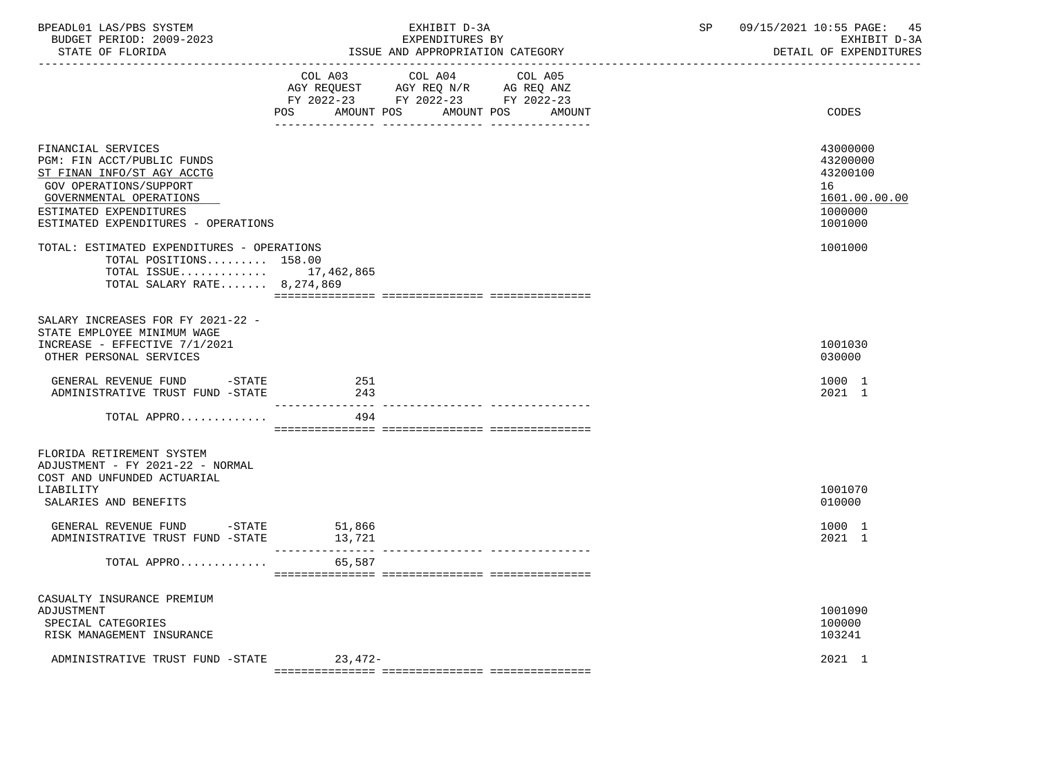| BPEADL01 LAS/PBS SYSTEM<br>BUDGET PERIOD: 2009-2023<br>STATE OF FLORIDA<br>----------------                                                                                                          |                          | EXHIBIT D-3A<br>EXPENDITURES BY<br>ISSUE AND APPROPRIATION CATEGORY                                                       | SP | 09/15/2021 10:55 PAGE:<br>45<br>EXHIBIT D-3A<br>DETAIL OF EXPENDITURES        |
|------------------------------------------------------------------------------------------------------------------------------------------------------------------------------------------------------|--------------------------|---------------------------------------------------------------------------------------------------------------------------|----|-------------------------------------------------------------------------------|
|                                                                                                                                                                                                      | <b>POS</b><br>AMOUNT POS | COL A03 COL A04 COL A05<br>AGY REQUEST AGY REQ N/R AG REQ ANZ<br>FY 2022-23 FY 2022-23 FY 2022-23<br>AMOUNT POS<br>AMOUNT |    | CODES                                                                         |
| FINANCIAL SERVICES<br>PGM: FIN ACCT/PUBLIC FUNDS<br>ST FINAN INFO/ST AGY ACCTG<br>GOV OPERATIONS/SUPPORT<br>GOVERNMENTAL OPERATIONS<br>ESTIMATED EXPENDITURES<br>ESTIMATED EXPENDITURES - OPERATIONS |                          |                                                                                                                           |    | 43000000<br>43200000<br>43200100<br>16<br>1601.00.00.00<br>1000000<br>1001000 |
| TOTAL: ESTIMATED EXPENDITURES - OPERATIONS<br>TOTAL POSITIONS 158.00<br>TOTAL ISSUE $17,462,865$<br>TOTAL SALARY RATE $8,274,869$                                                                    |                          |                                                                                                                           |    | 1001000                                                                       |
| SALARY INCREASES FOR FY 2021-22 -<br>STATE EMPLOYEE MINIMUM WAGE<br>INCREASE - EFFECTIVE 7/1/2021<br>OTHER PERSONAL SERVICES                                                                         |                          |                                                                                                                           |    | 1001030<br>030000                                                             |
| GENERAL REVENUE FUND -STATE<br>ADMINISTRATIVE TRUST FUND -STATE                                                                                                                                      | 251<br>243               |                                                                                                                           |    | 1000 1<br>2021 1                                                              |
| TOTAL APPRO                                                                                                                                                                                          | 494                      |                                                                                                                           |    |                                                                               |
| FLORIDA RETIREMENT SYSTEM<br>ADJUSTMENT - FY 2021-22 - NORMAL<br>COST AND UNFUNDED ACTUARIAL<br>LIABILITY<br>SALARIES AND BENEFITS                                                                   |                          |                                                                                                                           |    | 1001070<br>010000                                                             |
| GENERAL REVENUE FUND -STATE<br>ADMINISTRATIVE TRUST FUND -STATE                                                                                                                                      | 51,866<br>13,721         |                                                                                                                           |    | 1000 1<br>2021 1                                                              |
| TOTAL APPRO                                                                                                                                                                                          | 65,587                   |                                                                                                                           |    |                                                                               |
| CASUALTY INSURANCE PREMIUM<br>ADJUSTMENT<br>SPECIAL CATEGORIES<br>RISK MANAGEMENT INSURANCE                                                                                                          |                          |                                                                                                                           |    | 1001090<br>100000<br>103241                                                   |
| ADMINISTRATIVE TRUST FUND -STATE 23,472-                                                                                                                                                             |                          |                                                                                                                           |    | 2021 1                                                                        |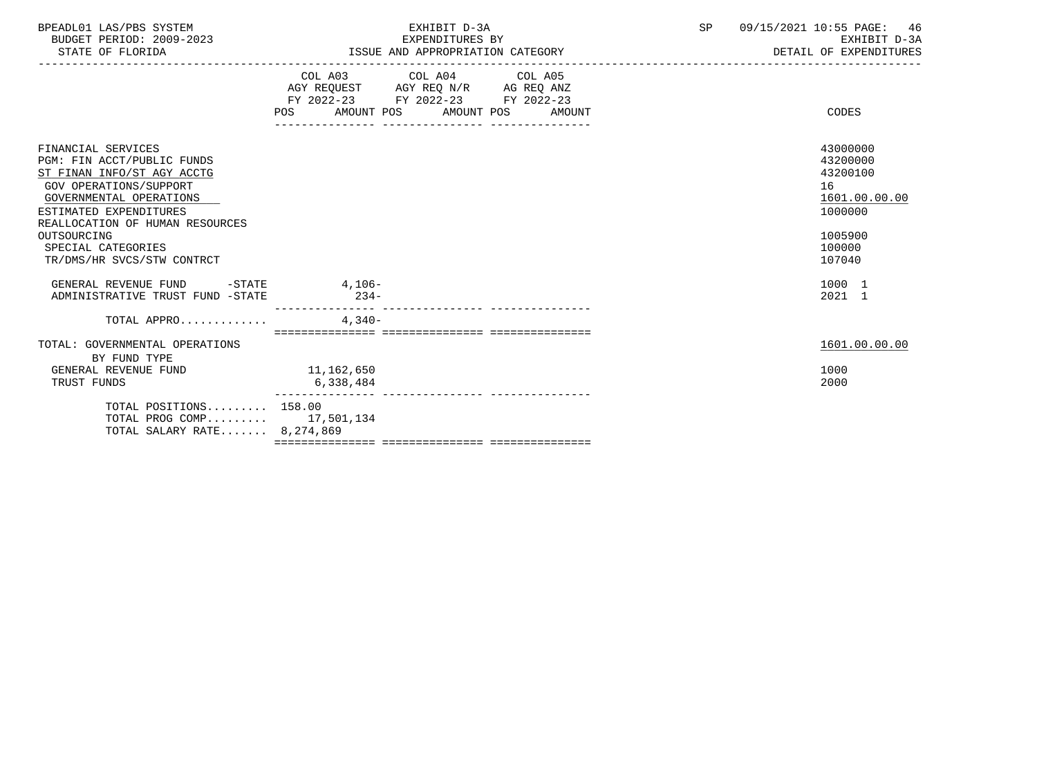| BPEADL01<br>$\sqrt{2}$<br>SYSTEM<br>◡<br>כאח     | <b>637117676</b><br>$\epsilon$ 1 $\pm$<br>∟∟⊥⊥⊥∟∟<br>. ـ ـ | 72021<br>$\mathbf{R} \times \mathbf{R}$<br>10:<br>ם ר<br>PAGE - | 46            |
|--------------------------------------------------|------------------------------------------------------------|-----------------------------------------------------------------|---------------|
| 19-2023<br>2009<br>ח∩ד ¤ים ס<br>BUDGET<br>.<br>◡ | $\mathbf{m}$<br>ידחותים מצי<br>IURES.<br>. EIND. 1         | rvu:<br>חדרי<br>- ⊷                                             | $\sim$ $\sim$ |

|  | ISSUE AND APPROPRIATION CATEGORY |  |
|--|----------------------------------|--|
|  |                                  |  |

| -----<br>.<br>----<br>---- |                                                   |                           |
|----------------------------|---------------------------------------------------|---------------------------|
| LORIDA<br>תיחמידי<br>. н.  | <b>ATEGORY</b><br>"SSUE<br>AND<br>APPROPRI<br>ON: | ----<br>--<br>. П<br>…∧PF |
|                            |                                                   | _______                   |

| AGY REOUEST<br>AGY REO N/R<br>AG REO ANZ<br>FY 2022-23<br>FY 2022-23<br>FY 2022-23<br>POS.<br>AMOUNT<br>AMOUNT POS<br>AMOUNT POS | COL A03 | COL A04 | COL A05 |
|----------------------------------------------------------------------------------------------------------------------------------|---------|---------|---------|
|                                                                                                                                  |         |         |         |
|                                                                                                                                  |         |         |         |
|                                                                                                                                  |         |         |         |

| FINANCIAL SERVICES                        |            | 43000000      |
|-------------------------------------------|------------|---------------|
| PGM: FIN ACCT/PUBLIC FUNDS                |            | 43200000      |
| ST FINAN INFO/ST AGY ACCTG                |            | 43200100      |
| GOV OPERATIONS/SUPPORT                    |            | 16            |
| GOVERNMENTAL OPERATIONS                   |            | 1601.00.00.00 |
| ESTIMATED EXPENDITURES                    |            | 1000000       |
| REALLOCATION OF HUMAN RESOURCES           |            |               |
| OUTSOURCING                               |            | 1005900       |
| SPECIAL CATEGORIES                        |            | 100000        |
| TR/DMS/HR SVCS/STW CONTRCT                |            | 107040        |
| GENERAL REVENUE FUND<br>$-\mathtt{STATE}$ | 4,106-     | 1000 1        |
| ADMINISTRATIVE TRUST FUND -STATE          | $234-$     | 2021 1        |
| TOTAL APPRO                               | $4,340-$   |               |
|                                           |            |               |
| TOTAL: GOVERNMENTAL OPERATIONS            |            | 1601.00.00.00 |
| BY FUND TYPE                              |            |               |
| GENERAL REVENUE FUND                      | 11,162,650 | 1000          |
| TRUST FUNDS                               | 6,338,484  | 2000          |
| TOTAL POSITIONS 158.00                    |            |               |
| TOTAL PROG COMP 17,501,134                |            |               |
| TOTAL SALARY RATE 8,274,869               |            |               |
|                                           |            |               |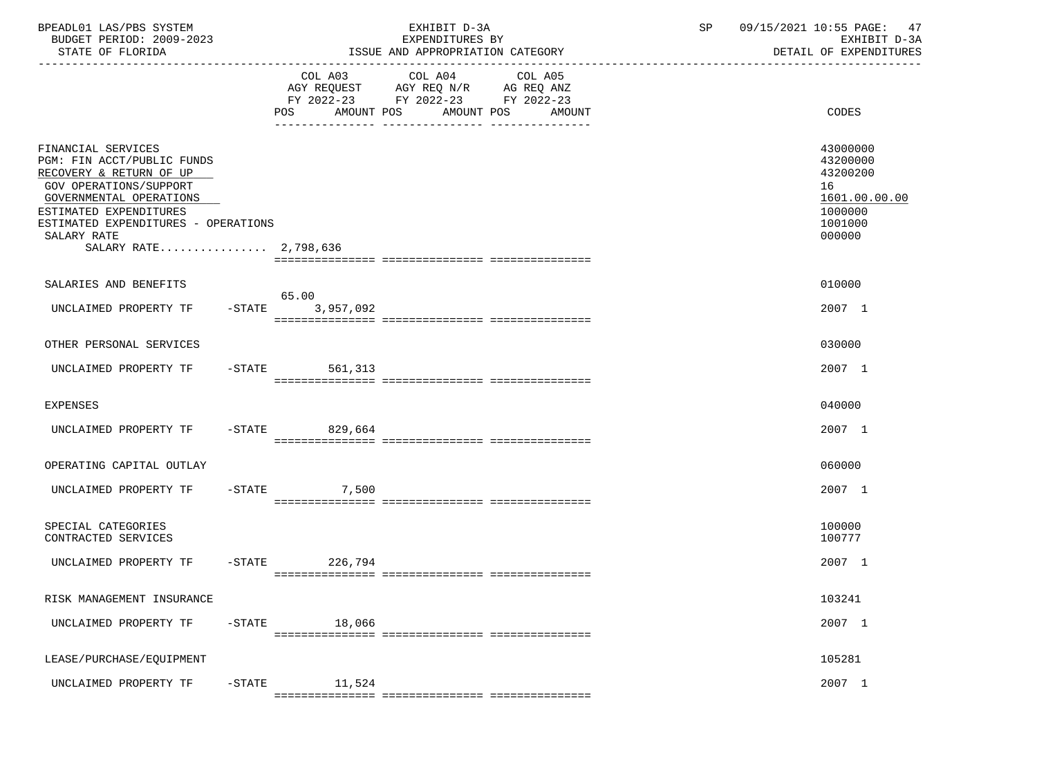| BPEADL01 LAS/PBS SYSTEM<br>BUDGET PERIOD: 2009-2023<br>STATE OF FLORIDA                                                                                                                                                                   |           |                           | EXHIBIT D-3A<br>EXPENDITURES BY<br>ISSUE AND APPROPRIATION CATEGORY                                                                      | SP | 09/15/2021 10:55 PAGE: 47<br>EXHIBIT D-3A<br>DETAIL OF EXPENDITURES                     |  |
|-------------------------------------------------------------------------------------------------------------------------------------------------------------------------------------------------------------------------------------------|-----------|---------------------------|------------------------------------------------------------------------------------------------------------------------------------------|----|-----------------------------------------------------------------------------------------|--|
|                                                                                                                                                                                                                                           |           |                           | COL A03 COL A04 COL A05<br>AGY REQUEST AGY REQ N/R AG REQ ANZ<br>FY 2022-23 FY 2022-23 FY 2022-23<br>POS AMOUNT POS AMOUNT POS<br>AMOUNT |    | CODES                                                                                   |  |
| FINANCIAL SERVICES<br>PGM: FIN ACCT/PUBLIC FUNDS<br>RECOVERY & RETURN OF UP<br>GOV OPERATIONS/SUPPORT<br>GOVERNMENTAL OPERATIONS<br>ESTIMATED EXPENDITURES<br>ESTIMATED EXPENDITURES - OPERATIONS<br>SALARY RATE<br>SALARY RATE 2,798,636 |           |                           |                                                                                                                                          |    | 43000000<br>43200000<br>43200200<br>16<br>1601.00.00.00<br>1000000<br>1001000<br>000000 |  |
| SALARIES AND BENEFITS                                                                                                                                                                                                                     |           |                           |                                                                                                                                          |    | 010000                                                                                  |  |
| UNCLAIMED PROPERTY TF                                                                                                                                                                                                                     |           | 65.00<br>-STATE 3,957,092 |                                                                                                                                          |    | 2007 1                                                                                  |  |
| OTHER PERSONAL SERVICES                                                                                                                                                                                                                   |           |                           |                                                                                                                                          |    | 030000                                                                                  |  |
| UNCLAIMED PROPERTY TF                                                                                                                                                                                                                     |           | -STATE 561,313            |                                                                                                                                          |    | 2007 1                                                                                  |  |
| <b>EXPENSES</b>                                                                                                                                                                                                                           |           |                           |                                                                                                                                          |    | 040000                                                                                  |  |
| UNCLAIMED PROPERTY TF -STATE 829,664                                                                                                                                                                                                      |           |                           |                                                                                                                                          |    | 2007 1                                                                                  |  |
| OPERATING CAPITAL OUTLAY                                                                                                                                                                                                                  |           |                           |                                                                                                                                          |    | 060000                                                                                  |  |
| UNCLAIMED PROPERTY TF                                                                                                                                                                                                                     |           | $-STATE$ 7,500            |                                                                                                                                          |    | 2007 1                                                                                  |  |
| SPECIAL CATEGORIES<br>CONTRACTED SERVICES                                                                                                                                                                                                 |           |                           |                                                                                                                                          |    | 100000<br>100777                                                                        |  |
| UNCLAIMED PROPERTY TF                                                                                                                                                                                                                     |           | $-STATE$ 226.794          |                                                                                                                                          |    | 2007 1                                                                                  |  |
| RISK MANAGEMENT INSURANCE                                                                                                                                                                                                                 |           |                           |                                                                                                                                          |    | 103241                                                                                  |  |
| UNCLAIMED PROPERTY TF                                                                                                                                                                                                                     | $-$ STATE | 18,066                    |                                                                                                                                          |    | 2007 1                                                                                  |  |
| LEASE/PURCHASE/EQUIPMENT                                                                                                                                                                                                                  |           |                           |                                                                                                                                          |    | 105281                                                                                  |  |
| UNCLAIMED PROPERTY TF                                                                                                                                                                                                                     | $-$ STATE | 11,524                    |                                                                                                                                          |    | 2007 1                                                                                  |  |
|                                                                                                                                                                                                                                           |           |                           |                                                                                                                                          |    |                                                                                         |  |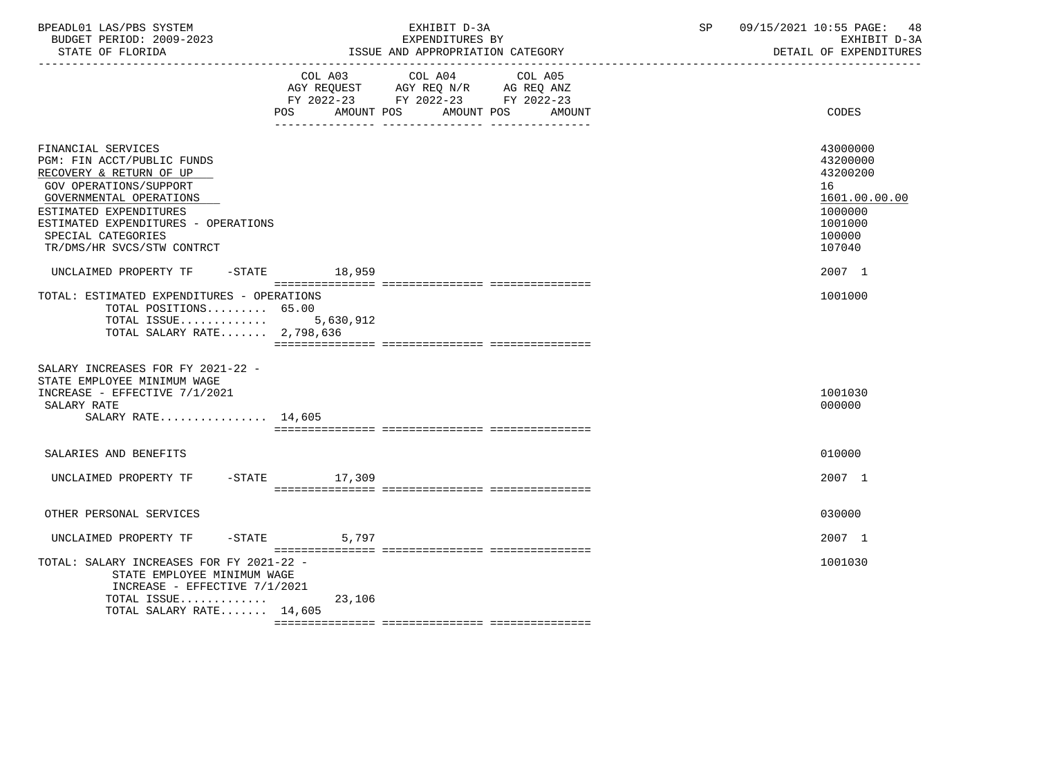| BPEADL01 LAS/PBS SYSTEM |                          |
|-------------------------|--------------------------|
|                         | BUDGET PERIOD: 2009-2023 |

|                                            | COL A03                  | COL A04 COL A05                                                        |        |                   |
|--------------------------------------------|--------------------------|------------------------------------------------------------------------|--------|-------------------|
|                                            |                          | AGY REQUEST AGY REQ N/R AG REQ ANZ<br>FY 2022-23 FY 2022-23 FY 2022-23 |        |                   |
|                                            | AMOUNT POS<br><b>POS</b> | AMOUNT POS                                                             | AMOUNT | CODES             |
|                                            |                          |                                                                        |        |                   |
|                                            |                          |                                                                        |        |                   |
| FINANCIAL SERVICES                         |                          |                                                                        |        | 43000000          |
| PGM: FIN ACCT/PUBLIC FUNDS                 |                          |                                                                        |        | 43200000          |
| RECOVERY & RETURN OF UP                    |                          |                                                                        |        | 43200200          |
| <b>GOV OPERATIONS/SUPPORT</b>              |                          |                                                                        |        | 16                |
| GOVERNMENTAL OPERATIONS                    |                          |                                                                        |        | 1601.00.00.00     |
| ESTIMATED EXPENDITURES                     |                          |                                                                        |        | 1000000           |
| ESTIMATED EXPENDITURES - OPERATIONS        |                          |                                                                        |        | 1001000           |
| SPECIAL CATEGORIES                         |                          |                                                                        |        | 100000            |
| TR/DMS/HR SVCS/STW CONTRCT                 |                          |                                                                        |        | 107040            |
| UNCLAIMED PROPERTY TF<br>$-$ STATE         | 18,959                   |                                                                        |        | 2007 1            |
|                                            |                          |                                                                        |        |                   |
| TOTAL: ESTIMATED EXPENDITURES - OPERATIONS |                          |                                                                        |        | 1001000           |
| TOTAL POSITIONS 65.00                      |                          |                                                                        |        |                   |
| TOTAL ISSUE                                | 5,630,912                |                                                                        |        |                   |
| TOTAL SALARY RATE 2,798,636                |                          |                                                                        |        |                   |
|                                            |                          |                                                                        |        |                   |
| SALARY INCREASES FOR FY 2021-22 -          |                          |                                                                        |        |                   |
| STATE EMPLOYEE MINIMUM WAGE                |                          |                                                                        |        |                   |
| INCREASE - EFFECTIVE 7/1/2021              |                          |                                                                        |        | 1001030<br>000000 |
| SALARY RATE<br>SALARY RATE $14,605$        |                          |                                                                        |        |                   |
|                                            |                          |                                                                        |        |                   |
|                                            |                          |                                                                        |        |                   |
| SALARIES AND BENEFITS                      |                          |                                                                        |        | 010000            |
|                                            |                          |                                                                        |        |                   |
| UNCLAIMED PROPERTY TF                      | -STATE 17,309            |                                                                        |        | 2007 1            |
|                                            |                          |                                                                        |        |                   |
| OTHER PERSONAL SERVICES                    |                          |                                                                        |        | 030000            |
|                                            |                          |                                                                        |        |                   |
| $-$ STATE<br>UNCLAIMED PROPERTY TF         | 5,797                    |                                                                        |        | 2007 1            |
|                                            |                          |                                                                        |        |                   |
| TOTAL: SALARY INCREASES FOR FY 2021-22 -   |                          |                                                                        |        | 1001030           |
| STATE EMPLOYEE MINIMUM WAGE                |                          |                                                                        |        |                   |
| INCREASE - EFFECTIVE 7/1/2021              |                          |                                                                        |        |                   |
| TOTAL ISSUE                                | 23,106                   |                                                                        |        |                   |
| TOTAL SALARY RATE 14,605                   |                          |                                                                        |        |                   |
|                                            |                          |                                                                        |        |                   |

ISSUE AND APPROPRIATION CATEGORY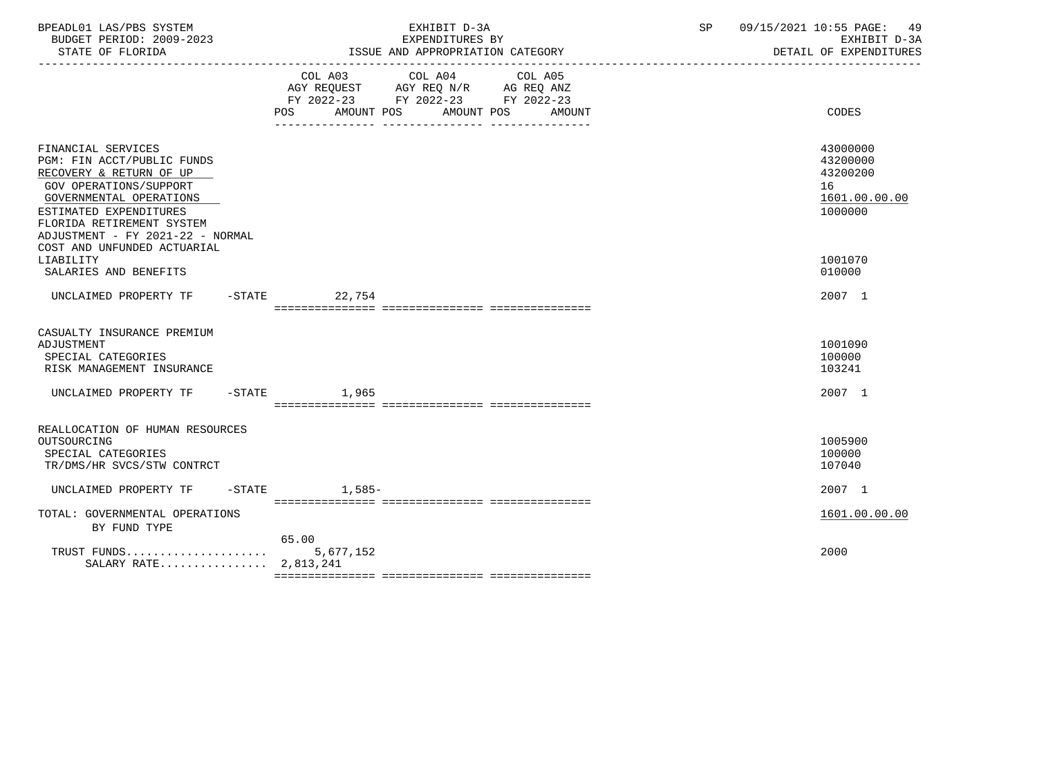| BPEADL01 LAS/PBS SYSTEM<br>BUDGET PERIOD: 2009-2023<br>STATE OF FLORIDA                                                                                                                                                                                    | EXHIBIT D-3A<br>EXPENDITURES BY<br>ISSUE AND APPROPRIATION CATEGORY                                                                         | SP<br>09/15/2021 10:55 PAGE: 49<br>EXHIBIT D-3A<br>DETAIL OF EXPENDITURES |
|------------------------------------------------------------------------------------------------------------------------------------------------------------------------------------------------------------------------------------------------------------|---------------------------------------------------------------------------------------------------------------------------------------------|---------------------------------------------------------------------------|
|                                                                                                                                                                                                                                                            | COL A03 COL A04 COL A05<br>AGY REQUEST AGY REQ N/R AG REQ ANZ<br>FY 2022-23 FY 2022-23 FY 2022-23<br>AMOUNT POS AMOUNT POS<br>POS<br>AMOUNT | CODES                                                                     |
| FINANCIAL SERVICES<br>PGM: FIN ACCT/PUBLIC FUNDS<br>RECOVERY & RETURN OF UP<br>GOV OPERATIONS/SUPPORT<br>GOVERNMENTAL OPERATIONS<br>ESTIMATED EXPENDITURES<br>FLORIDA RETIREMENT SYSTEM<br>ADJUSTMENT - FY 2021-22 - NORMAL<br>COST AND UNFUNDED ACTUARIAL |                                                                                                                                             | 43000000<br>43200000<br>43200200<br>16<br>1601.00.00.00<br>1000000        |
| LIABILITY<br>SALARIES AND BENEFITS                                                                                                                                                                                                                         |                                                                                                                                             | 1001070<br>010000                                                         |
| UNCLAIMED PROPERTY TF -STATE 22.754                                                                                                                                                                                                                        |                                                                                                                                             | 2007 1                                                                    |
| CASUALTY INSURANCE PREMIUM<br>ADJUSTMENT<br>SPECIAL CATEGORIES<br>RISK MANAGEMENT INSURANCE                                                                                                                                                                |                                                                                                                                             | 1001090<br>100000<br>103241                                               |
| UNCLAIMED PROPERTY TF                                                                                                                                                                                                                                      | $-$ STATE $1,965$                                                                                                                           | 2007 1                                                                    |
| REALLOCATION OF HUMAN RESOURCES<br>OUTSOURCING<br>SPECIAL CATEGORIES<br>TR/DMS/HR SVCS/STW CONTRCT                                                                                                                                                         |                                                                                                                                             | 1005900<br>100000<br>107040                                               |
| UNCLAIMED PROPERTY TF -STATE 1,585-                                                                                                                                                                                                                        |                                                                                                                                             | 2007 1                                                                    |
| TOTAL: GOVERNMENTAL OPERATIONS<br>BY FUND TYPE                                                                                                                                                                                                             |                                                                                                                                             | 1601.00.00.00                                                             |
| TRUST FUNDS<br>SALARY RATE 2,813,241                                                                                                                                                                                                                       | 65.00<br>5,677,152                                                                                                                          | 2000                                                                      |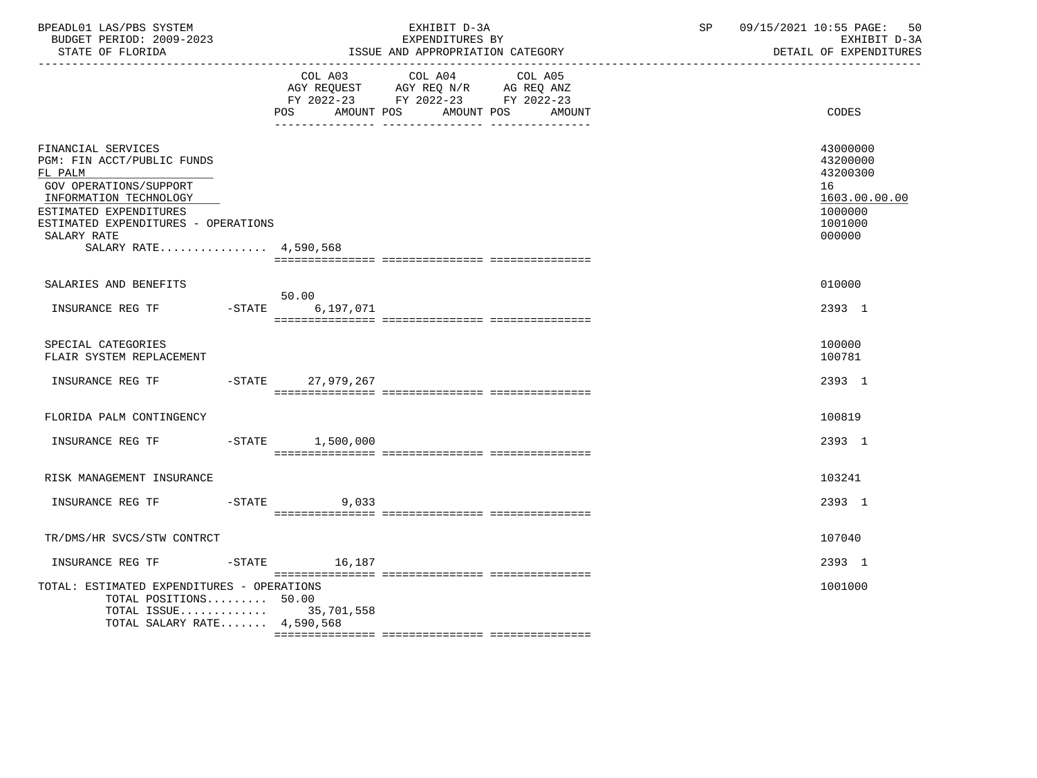| BPEADL01 LAS/PBS SYSTEM<br>BUDGET PERIOD: 2009-2023<br>STATE OF FLORIDA                                                                                                                                                  |                       | EXHIBIT D-3A<br>EXPENDITURES BY<br>ISSUE AND APPROPRIATION CATEGORY                                                       | 09/15/2021 10:55 PAGE:<br>50<br>SP<br>EXHIBIT D-3A<br>DETAIL OF EXPENDITURES            |
|--------------------------------------------------------------------------------------------------------------------------------------------------------------------------------------------------------------------------|-----------------------|---------------------------------------------------------------------------------------------------------------------------|-----------------------------------------------------------------------------------------|
|                                                                                                                                                                                                                          | POS.<br>AMOUNT POS    | COL A03 COL A04 COL A05<br>AGY REQUEST AGY REQ N/R AG REQ ANZ<br>FY 2022-23 FY 2022-23 FY 2022-23<br>AMOUNT POS<br>AMOUNT | CODES                                                                                   |
| FINANCIAL SERVICES<br>PGM: FIN ACCT/PUBLIC FUNDS<br>FL PALM<br>GOV OPERATIONS/SUPPORT<br>INFORMATION TECHNOLOGY<br>ESTIMATED EXPENDITURES<br>ESTIMATED EXPENDITURES - OPERATIONS<br>SALARY RATE<br>SALARY RATE 4,590,568 |                       |                                                                                                                           | 43000000<br>43200000<br>43200300<br>16<br>1603.00.00.00<br>1000000<br>1001000<br>000000 |
| SALARIES AND BENEFITS                                                                                                                                                                                                    | 50.00                 |                                                                                                                           | 010000                                                                                  |
| INSURANCE REG TF                                                                                                                                                                                                         | $-STATE$<br>6,197,071 |                                                                                                                           | 2393 1                                                                                  |
| SPECIAL CATEGORIES<br>FLAIR SYSTEM REPLACEMENT                                                                                                                                                                           |                       |                                                                                                                           | 100000<br>100781                                                                        |
| INSURANCE REG TF                                                                                                                                                                                                         | -STATE 27,979,267     |                                                                                                                           | 2393 1                                                                                  |
| FLORIDA PALM CONTINGENCY                                                                                                                                                                                                 |                       |                                                                                                                           | 100819                                                                                  |
| INSURANCE REG TF -STATE 1,500,000                                                                                                                                                                                        |                       |                                                                                                                           | 2393 1                                                                                  |
| RISK MANAGEMENT INSURANCE                                                                                                                                                                                                |                       |                                                                                                                           | 103241                                                                                  |
| INSURANCE REG TF                                                                                                                                                                                                         | $-STATE$ 9,033        |                                                                                                                           | 2393 1                                                                                  |
| TR/DMS/HR SVCS/STW CONTRCT                                                                                                                                                                                               |                       |                                                                                                                           | 107040                                                                                  |
| $-STATE$<br>INSURANCE REG TF                                                                                                                                                                                             | 16,187                |                                                                                                                           | 2393 1                                                                                  |
| TOTAL: ESTIMATED EXPENDITURES - OPERATIONS<br>TOTAL POSITIONS 50.00<br>TOTAL ISSUE 35,701,558<br>TOTAL SALARY RATE 4,590,568                                                                                             |                       |                                                                                                                           | 1001000                                                                                 |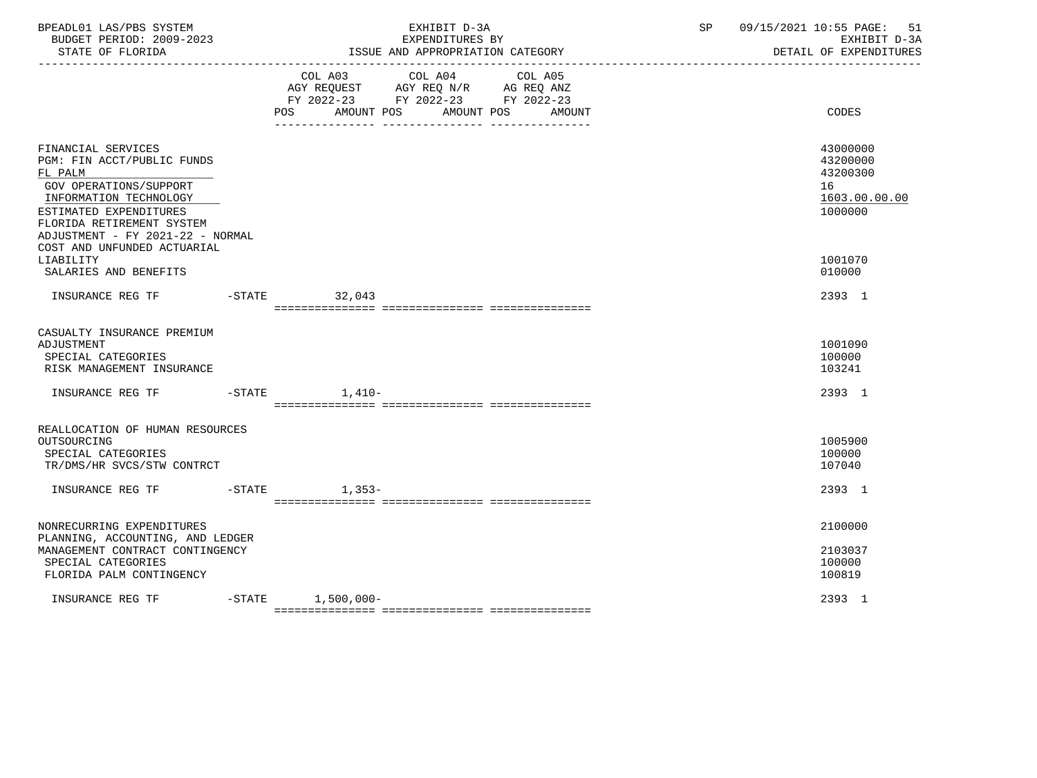| BPEADL01 LAS/PBS SYSTEM<br>BUDGET PERIOD: 2009-2023<br>STATE OF FLORIDA                                                                                                                                    |                   |                     | EXHIBIT D-3A<br>EXPENDITURES BY<br>ISSUE AND APPROPRIATION CATEGORY                                                               | SP     | 09/15/2021 10:55 PAGE: 51<br>EXHIBIT D-3A<br>DETAIL OF EXPENDITURES |
|------------------------------------------------------------------------------------------------------------------------------------------------------------------------------------------------------------|-------------------|---------------------|-----------------------------------------------------------------------------------------------------------------------------------|--------|---------------------------------------------------------------------|
|                                                                                                                                                                                                            |                   |                     | COL A03 COL A04<br>COL A05<br>AGY REQUEST AGY REQ N/R AG REQ ANZ<br>FY 2022-23 FY 2022-23 FY 2022-23<br>POS AMOUNT POS AMOUNT POS | AMOUNT | CODES                                                               |
| FINANCIAL SERVICES<br>PGM: FIN ACCT/PUBLIC FUNDS<br>FL PALM<br>GOV OPERATIONS/SUPPORT<br>INFORMATION TECHNOLOGY<br>ESTIMATED EXPENDITURES<br>FLORIDA RETIREMENT SYSTEM<br>ADJUSTMENT - FY 2021-22 - NORMAL |                   |                     |                                                                                                                                   |        | 43000000<br>43200000<br>43200300<br>16<br>1603.00.00.00<br>1000000  |
| COST AND UNFUNDED ACTUARIAL<br>LIABILITY<br>SALARIES AND BENEFITS                                                                                                                                          |                   |                     |                                                                                                                                   |        | 1001070<br>010000                                                   |
| INSURANCE REG TF -STATE 32,043                                                                                                                                                                             |                   |                     |                                                                                                                                   |        | 2393 1                                                              |
| CASUALTY INSURANCE PREMIUM<br>ADJUSTMENT<br>SPECIAL CATEGORIES<br>RISK MANAGEMENT INSURANCE                                                                                                                |                   |                     |                                                                                                                                   |        | 1001090<br>100000<br>103241                                         |
| INSURANCE REG TF                                                                                                                                                                                           |                   | -STATE 1,410-       |                                                                                                                                   |        | 2393 1                                                              |
| REALLOCATION OF HUMAN RESOURCES<br>OUTSOURCING<br>SPECIAL CATEGORIES<br>TR/DMS/HR SVCS/STW CONTRCT<br>INSURANCE REG TF                                                                                     | $-\mathtt{STATE}$ | $1,353-$            |                                                                                                                                   |        | 1005900<br>100000<br>107040<br>2393 1                               |
| NONRECURRING EXPENDITURES<br>PLANNING, ACCOUNTING, AND LEDGER<br>MANAGEMENT CONTRACT CONTINGENCY<br>SPECIAL CATEGORIES<br>FLORIDA PALM CONTINGENCY                                                         |                   |                     |                                                                                                                                   |        | 2100000<br>2103037<br>100000<br>100819                              |
| INSURANCE REG TF                                                                                                                                                                                           |                   | $-STATE$ 1,500,000- |                                                                                                                                   |        | 2393 1                                                              |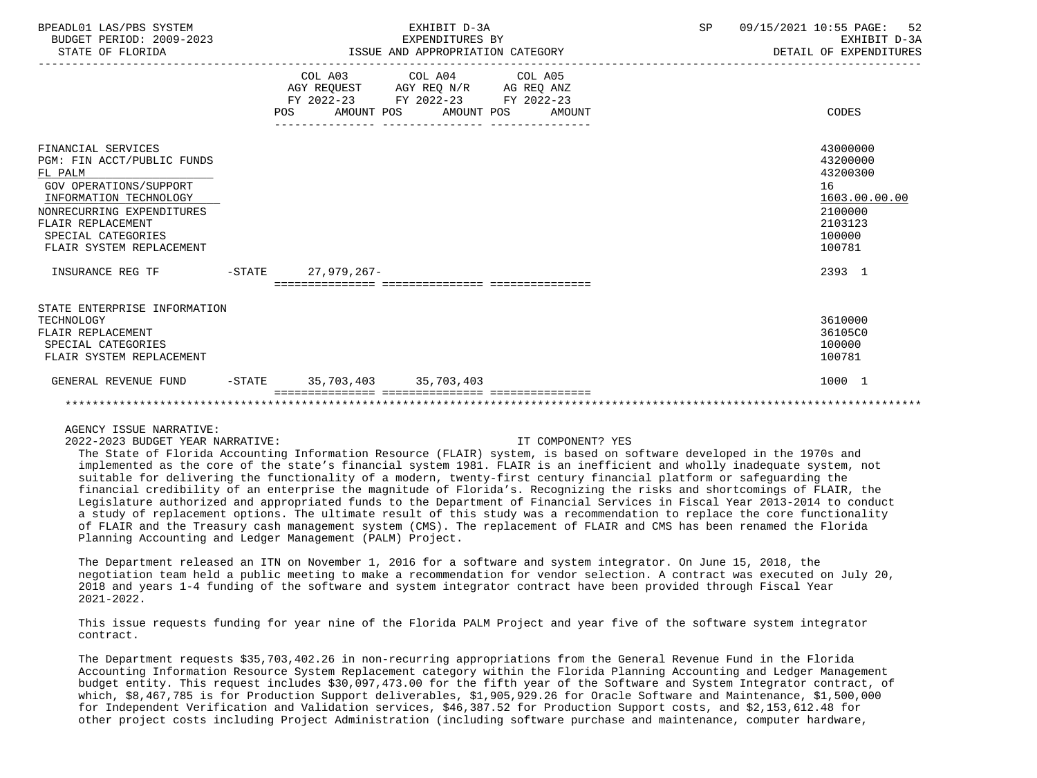| BPEADL01 LAS/PBS SYSTEM<br>BUDGET PERIOD: 2009-2023<br>STATE OF FLORIDA                                                                                                                                                    |                                                                               | EXHIBIT D-3A<br>EXPENDITURES BY<br>EAFENDITURE OF THE STEGGRY<br>ISSUE AND APPROPRIATION CATEGORY | <b>SP</b><br>09/15/2021 10:55 PAGE:<br>- 52<br>EXHIBIT D-3A<br>DETAIL OF EXPENDITURES |  |  |                                                                                                   |
|----------------------------------------------------------------------------------------------------------------------------------------------------------------------------------------------------------------------------|-------------------------------------------------------------------------------|---------------------------------------------------------------------------------------------------|---------------------------------------------------------------------------------------|--|--|---------------------------------------------------------------------------------------------------|
|                                                                                                                                                                                                                            | AGY REQUEST AGY REQ N/R AG REQ ANZ<br>FY 2022-23 FY 2022-23 FY 2022-23<br>POS | COL A03 COL A04 COL A05                                                                           | AMOUNT POS AMOUNT POS AMOUNT                                                          |  |  | CODES                                                                                             |
| FINANCIAL SERVICES<br>PGM: FIN ACCT/PUBLIC FUNDS<br>FL PALM<br><b>GOV OPERATIONS/SUPPORT</b><br>INFORMATION TECHNOLOGY<br>NONRECURRING EXPENDITURES<br>FLAIR REPLACEMENT<br>SPECIAL CATEGORIES<br>FLAIR SYSTEM REPLACEMENT |                                                                               |                                                                                                   |                                                                                       |  |  | 43000000<br>43200000<br>43200300<br>16<br>1603.00.00.00<br>2100000<br>2103123<br>100000<br>100781 |
| INSURANCE REG TF                                                                                                                                                                                                           | -STATE 27,979,267-                                                            |                                                                                                   |                                                                                       |  |  | 2393 1                                                                                            |
| STATE ENTERPRISE INFORMATION<br>TECHNOLOGY<br>FLAIR REPLACEMENT<br>SPECIAL CATEGORIES<br>FLAIR SYSTEM REPLACEMENT                                                                                                          |                                                                               |                                                                                                   |                                                                                       |  |  | 3610000<br>36105C0<br>100000<br>100781                                                            |
| GENERAL REVENUE FUND                                                                                                                                                                                                       | -STATE 35,703,403 35,703,403                                                  |                                                                                                   |                                                                                       |  |  | 1000 1                                                                                            |
|                                                                                                                                                                                                                            |                                                                               |                                                                                                   |                                                                                       |  |  |                                                                                                   |

2022-2023 BUDGET YEAR NARRATIVE: IT COMPONENT? YES

 The State of Florida Accounting Information Resource (FLAIR) system, is based on software developed in the 1970s and implemented as the core of the state's financial system 1981. FLAIR is an inefficient and wholly inadequate system, not suitable for delivering the functionality of a modern, twenty-first century financial platform or safeguarding the financial credibility of an enterprise the magnitude of Florida's. Recognizing the risks and shortcomings of FLAIR, the Legislature authorized and appropriated funds to the Department of Financial Services in Fiscal Year 2013-2014 to conduct a study of replacement options. The ultimate result of this study was a recommendation to replace the core functionality of FLAIR and the Treasury cash management system (CMS). The replacement of FLAIR and CMS has been renamed the Florida Planning Accounting and Ledger Management (PALM) Project.

 The Department released an ITN on November 1, 2016 for a software and system integrator. On June 15, 2018, the negotiation team held a public meeting to make a recommendation for vendor selection. A contract was executed on July 20, 2018 and years 1-4 funding of the software and system integrator contract have been provided through Fiscal Year 2021-2022.

 This issue requests funding for year nine of the Florida PALM Project and year five of the software system integrator contract.

 The Department requests \$35,703,402.26 in non-recurring appropriations from the General Revenue Fund in the Florida Accounting Information Resource System Replacement category within the Florida Planning Accounting and Ledger Management budget entity. This request includes \$30,097,473.00 for the fifth year of the Software and System Integrator contract, of which, \$8,467,785 is for Production Support deliverables, \$1,905,929.26 for Oracle Software and Maintenance, \$1,500,000 for Independent Verification and Validation services, \$46,387.52 for Production Support costs, and \$2,153,612.48 for other project costs including Project Administration (including software purchase and maintenance, computer hardware,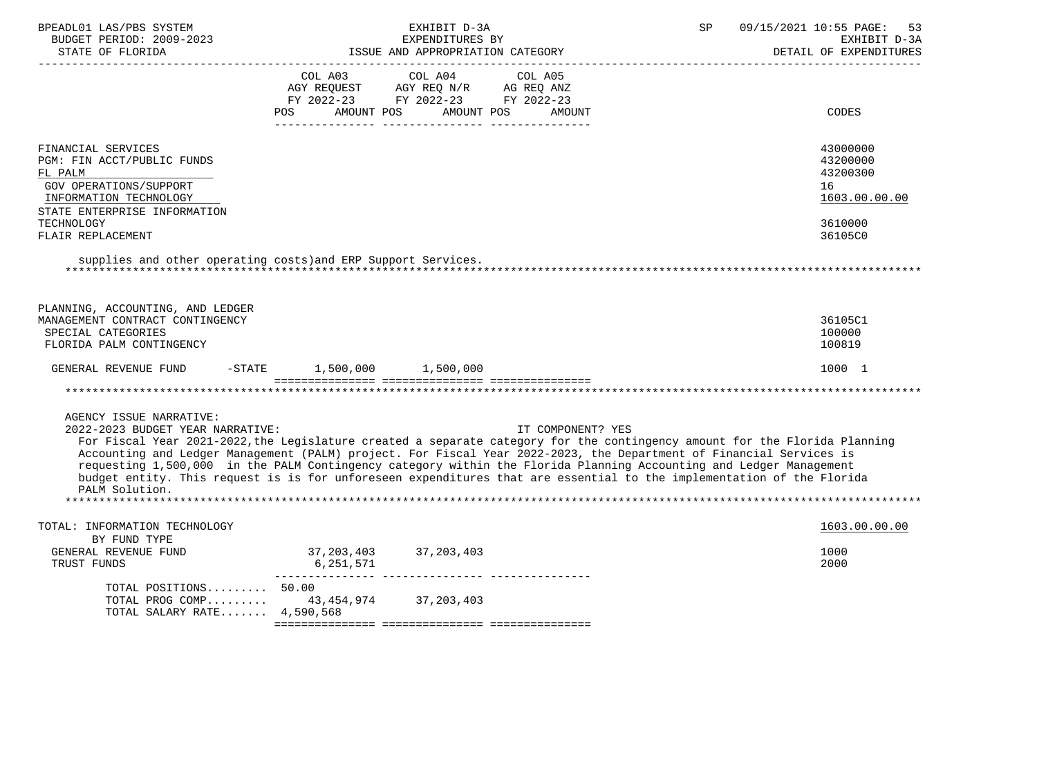| BPEADL01 LAS/PBS SYSTEM<br>BUDGET PERIOD: 2009-2023           |                              | EXHIBIT D-3A<br>EXPENDITURES BY                                                                                                                                                                                                                                                                                                                                         | SP | 09/15/2021 10:55 PAGE:<br>53<br>EXHIBIT D-3A |
|---------------------------------------------------------------|------------------------------|-------------------------------------------------------------------------------------------------------------------------------------------------------------------------------------------------------------------------------------------------------------------------------------------------------------------------------------------------------------------------|----|----------------------------------------------|
| STATE OF FLORIDA                                              |                              | ISSUE AND APPROPRIATION CATEGORY                                                                                                                                                                                                                                                                                                                                        |    | DETAIL OF EXPENDITURES                       |
|                                                               | COL A03                      | COL A04<br>COL A05                                                                                                                                                                                                                                                                                                                                                      |    |                                              |
|                                                               |                              | $\begin{tabular}{lllllll} \bf AGY & \bf REQUEST & \bf AGY & \bf REQ & \tt N/R & \tt AG & \tt REQ & \tt ANZ \\ \bf FY & \tt 2022-23 & \tt FY & \tt 2022-23 & \tt FY & \tt 2022-23 \\ \end{tabular}$                                                                                                                                                                      |    |                                              |
|                                                               |                              |                                                                                                                                                                                                                                                                                                                                                                         |    |                                              |
|                                                               | POS<br>AMOUNT POS            | AMOUNT POS<br>AMOUNT                                                                                                                                                                                                                                                                                                                                                    |    | CODES                                        |
|                                                               |                              |                                                                                                                                                                                                                                                                                                                                                                         |    |                                              |
| FINANCIAL SERVICES<br>PGM: FIN ACCT/PUBLIC FUNDS              |                              |                                                                                                                                                                                                                                                                                                                                                                         |    | 43000000<br>43200000                         |
| FL PALM                                                       |                              |                                                                                                                                                                                                                                                                                                                                                                         |    | 43200300                                     |
| GOV OPERATIONS/SUPPORT                                        |                              |                                                                                                                                                                                                                                                                                                                                                                         |    | 16                                           |
| INFORMATION TECHNOLOGY                                        |                              |                                                                                                                                                                                                                                                                                                                                                                         |    | 1603.00.00.00                                |
| STATE ENTERPRISE INFORMATION                                  |                              |                                                                                                                                                                                                                                                                                                                                                                         |    |                                              |
| TECHNOLOGY                                                    |                              |                                                                                                                                                                                                                                                                                                                                                                         |    | 3610000                                      |
| FLAIR REPLACEMENT                                             |                              |                                                                                                                                                                                                                                                                                                                                                                         |    | 36105C0                                      |
| supplies and other operating costs) and ERP Support Services. |                              |                                                                                                                                                                                                                                                                                                                                                                         |    |                                              |
| PLANNING, ACCOUNTING, AND LEDGER                              |                              |                                                                                                                                                                                                                                                                                                                                                                         |    |                                              |
| MANAGEMENT CONTRACT CONTINGENCY                               |                              |                                                                                                                                                                                                                                                                                                                                                                         |    | 36105C1                                      |
| SPECIAL CATEGORIES<br>FLORIDA PALM CONTINGENCY                |                              |                                                                                                                                                                                                                                                                                                                                                                         |    | 100000<br>100819                             |
|                                                               |                              |                                                                                                                                                                                                                                                                                                                                                                         |    |                                              |
| GENERAL REVENUE FUND                                          | $-STATE$ 1,500,000 1,500,000 |                                                                                                                                                                                                                                                                                                                                                                         |    | 1000 1                                       |
|                                                               |                              |                                                                                                                                                                                                                                                                                                                                                                         |    |                                              |
| AGENCY ISSUE NARRATIVE:                                       |                              |                                                                                                                                                                                                                                                                                                                                                                         |    |                                              |
| 2022-2023 BUDGET YEAR NARRATIVE:                              |                              | IT COMPONENT? YES                                                                                                                                                                                                                                                                                                                                                       |    |                                              |
|                                                               |                              | For Fiscal Year 2021-2022, the Legislature created a separate category for the contingency amount for the Florida Planning<br>Accounting and Ledger Management (PALM) project. For Fiscal Year 2022-2023, the Department of Financial Services is<br>requesting 1,500,000 in the PALM Contingency category within the Florida Planning Accounting and Ledger Management |    |                                              |
| PALM Solution.                                                |                              | budget entity. This request is is for unforeseen expenditures that are essential to the implementation of the Florida                                                                                                                                                                                                                                                   |    |                                              |
|                                                               |                              |                                                                                                                                                                                                                                                                                                                                                                         |    |                                              |
| TOTAL: INFORMATION TECHNOLOGY<br>BY FUND TYPE                 |                              |                                                                                                                                                                                                                                                                                                                                                                         |    | 1603.00.00.00                                |
| GENERAL REVENUE FUND                                          | 37, 203, 403 37, 203, 403    |                                                                                                                                                                                                                                                                                                                                                                         |    | 1000                                         |
| TRUST FUNDS                                                   | 6,251,571                    |                                                                                                                                                                                                                                                                                                                                                                         |    | 2000                                         |
| TOTAL POSITIONS 50.00                                         |                              |                                                                                                                                                                                                                                                                                                                                                                         |    |                                              |
| TOTAL PROG COMP 43,454,974 37,203,403                         |                              |                                                                                                                                                                                                                                                                                                                                                                         |    |                                              |
| TOTAL SALARY RATE $4,590,568$                                 |                              |                                                                                                                                                                                                                                                                                                                                                                         |    |                                              |
|                                                               |                              |                                                                                                                                                                                                                                                                                                                                                                         |    |                                              |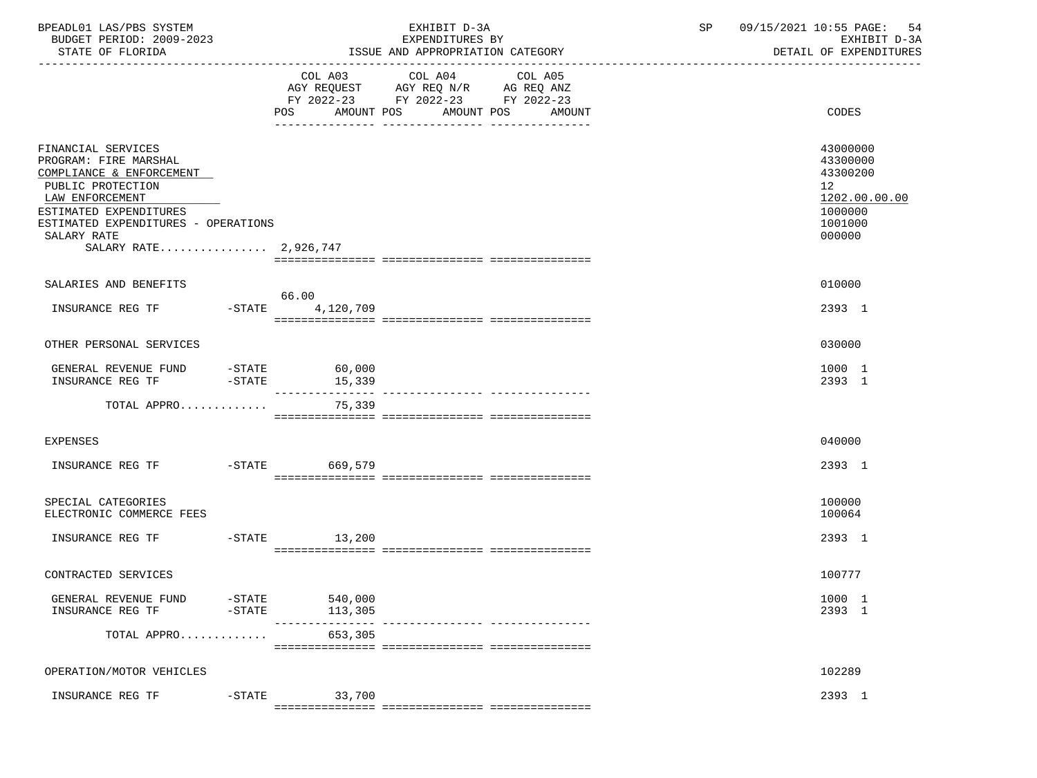| BPEADL01 LAS/PBS SYSTEM<br>BUDGET PERIOD: 2009-2023                                                                                                                                                                      |                               | EXHIBIT D-3A<br>EXPENDITURES BY                                                                                                          | SP | 09/15/2021 10:55 PAGE:<br>-54<br>EXHIBIT D-3A                                                        |  |
|--------------------------------------------------------------------------------------------------------------------------------------------------------------------------------------------------------------------------|-------------------------------|------------------------------------------------------------------------------------------------------------------------------------------|----|------------------------------------------------------------------------------------------------------|--|
| STATE OF FLORIDA                                                                                                                                                                                                         |                               | ISSUE AND APPROPRIATION CATEGORY                                                                                                         |    | DETAIL OF EXPENDITURES                                                                               |  |
|                                                                                                                                                                                                                          |                               | COL A03 COL A04<br>COL A05<br>AGY REQUEST AGY REQ N/R AG REQ ANZ<br>FY 2022-23 FY 2022-23 FY 2022-23<br>POS AMOUNT POS AMOUNT POS AMOUNT |    | CODES                                                                                                |  |
| FINANCIAL SERVICES<br>PROGRAM: FIRE MARSHAL<br>COMPLIANCE & ENFORCEMENT<br>PUBLIC PROTECTION<br>LAW ENFORCEMENT<br>ESTIMATED EXPENDITURES<br>ESTIMATED EXPENDITURES - OPERATIONS<br>SALARY RATE<br>SALARY RATE 2,926,747 |                               |                                                                                                                                          |    | 43000000<br>43300000<br>43300200<br>12 <sup>°</sup><br>1202.00.00.00<br>1000000<br>1001000<br>000000 |  |
| SALARIES AND BENEFITS                                                                                                                                                                                                    |                               |                                                                                                                                          |    | 010000                                                                                               |  |
| INSURANCE REG TF                                                                                                                                                                                                         | 66.00<br>$-STATE$ 4, 120, 709 |                                                                                                                                          |    | 2393 1                                                                                               |  |
| OTHER PERSONAL SERVICES                                                                                                                                                                                                  |                               |                                                                                                                                          |    | 030000                                                                                               |  |
| GENERAL REVENUE FUND -STATE 60,000<br>$-STATE$<br>INSURANCE REG TF                                                                                                                                                       | 15,339<br>________________    |                                                                                                                                          |    | 1000 1<br>2393 1                                                                                     |  |
| TOTAL APPRO                                                                                                                                                                                                              | 75,339                        |                                                                                                                                          |    |                                                                                                      |  |
| <b>EXPENSES</b>                                                                                                                                                                                                          |                               |                                                                                                                                          |    | 040000                                                                                               |  |
| INSURANCE REG TF                                                                                                                                                                                                         | -STATE 669,579                |                                                                                                                                          |    | 2393 1                                                                                               |  |
| SPECIAL CATEGORIES<br>ELECTRONIC COMMERCE FEES                                                                                                                                                                           |                               |                                                                                                                                          |    | 100000<br>100064                                                                                     |  |
| INSURANCE REG TF                                                                                                                                                                                                         | $-STATE$ 13,200               |                                                                                                                                          |    | 2393 1                                                                                               |  |
| CONTRACTED SERVICES                                                                                                                                                                                                      |                               |                                                                                                                                          |    | 100777                                                                                               |  |
| $-$ STATE<br>GENERAL REVENUE FUND<br>$-STATE$<br>INSURANCE REG TF                                                                                                                                                        | 540,000<br>113,305            |                                                                                                                                          |    | 1000 1<br>2393 1                                                                                     |  |
| TOTAL APPRO                                                                                                                                                                                                              | 653,305                       |                                                                                                                                          |    |                                                                                                      |  |
| OPERATION/MOTOR VEHICLES                                                                                                                                                                                                 |                               |                                                                                                                                          |    | 102289                                                                                               |  |
| INSURANCE REG TF                                                                                                                                                                                                         | $-$ STATE<br>33,700           |                                                                                                                                          |    | 2393 1                                                                                               |  |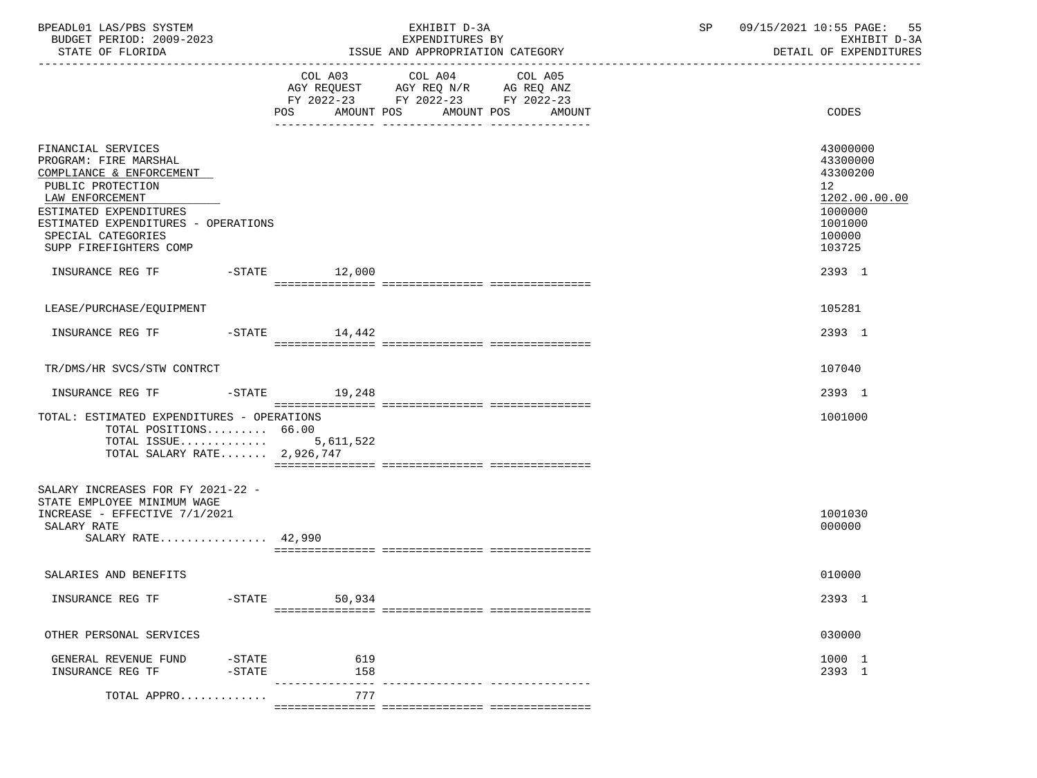|                                                                    | EXHIBIT D-3A<br>EXPENDITURES BY                                                                                                                                              |                                                                                                                                                                                       | SP                                                                                                                                                        | 09/15/2021 10:55 PAGE:<br>55<br>EXHIBIT D-3A<br>DETAIL OF EXPENDITURES                                         |  |
|--------------------------------------------------------------------|------------------------------------------------------------------------------------------------------------------------------------------------------------------------------|---------------------------------------------------------------------------------------------------------------------------------------------------------------------------------------|-----------------------------------------------------------------------------------------------------------------------------------------------------------|----------------------------------------------------------------------------------------------------------------|--|
|                                                                    |                                                                                                                                                                              |                                                                                                                                                                                       |                                                                                                                                                           | CODES                                                                                                          |  |
|                                                                    |                                                                                                                                                                              |                                                                                                                                                                                       |                                                                                                                                                           | 43000000<br>43300000<br>43300200<br>12 <sup>°</sup><br>1202.00.00.00<br>1000000<br>1001000<br>100000<br>103725 |  |
|                                                                    |                                                                                                                                                                              |                                                                                                                                                                                       |                                                                                                                                                           | 2393 1                                                                                                         |  |
|                                                                    |                                                                                                                                                                              |                                                                                                                                                                                       |                                                                                                                                                           | 105281                                                                                                         |  |
|                                                                    |                                                                                                                                                                              |                                                                                                                                                                                       |                                                                                                                                                           | 2393 1                                                                                                         |  |
|                                                                    |                                                                                                                                                                              |                                                                                                                                                                                       |                                                                                                                                                           | 107040                                                                                                         |  |
|                                                                    |                                                                                                                                                                              |                                                                                                                                                                                       |                                                                                                                                                           | 2393 1                                                                                                         |  |
|                                                                    |                                                                                                                                                                              |                                                                                                                                                                                       |                                                                                                                                                           | 1001000                                                                                                        |  |
| SALARY INCREASES FOR FY 2021-22 -<br>INCREASE - EFFECTIVE 7/1/2021 |                                                                                                                                                                              |                                                                                                                                                                                       |                                                                                                                                                           | 1001030<br>000000                                                                                              |  |
|                                                                    |                                                                                                                                                                              |                                                                                                                                                                                       |                                                                                                                                                           | 010000                                                                                                         |  |
|                                                                    |                                                                                                                                                                              |                                                                                                                                                                                       |                                                                                                                                                           | 2393 1                                                                                                         |  |
|                                                                    |                                                                                                                                                                              |                                                                                                                                                                                       |                                                                                                                                                           | 030000                                                                                                         |  |
| $-$ STATE<br>$-$ STATE                                             |                                                                                                                                                                              |                                                                                                                                                                                       |                                                                                                                                                           | 1000 1<br>2393 1                                                                                               |  |
| TOTAL APPRO                                                        |                                                                                                                                                                              |                                                                                                                                                                                       |                                                                                                                                                           |                                                                                                                |  |
|                                                                    | ESTIMATED EXPENDITURES - OPERATIONS<br>TOTAL: ESTIMATED EXPENDITURES - OPERATIONS<br>TOTAL POSITIONS 66.00<br>TOTAL SALARY RATE 2,926,747<br>SALARY RATE 42,990<br>$-$ STATE | COL A03 COL A04<br>INSURANCE REG TF    -STATE    12,000<br>INSURANCE REG TF -STATE 14,442<br>INSURANCE REG TF -STATE 19,248<br>TOTAL ISSUE $5,611,522$<br>50,934<br>619<br>158<br>777 | ISSUE AND APPROPRIATION CATEGORY<br>COL A05<br>AGY REQUEST AGY REQ N/R AG REQ ANZ<br>FY 2022-23 FY 2022-23 FY 2022-23<br>POS AMOUNT POS AMOUNT POS AMOUNT |                                                                                                                |  |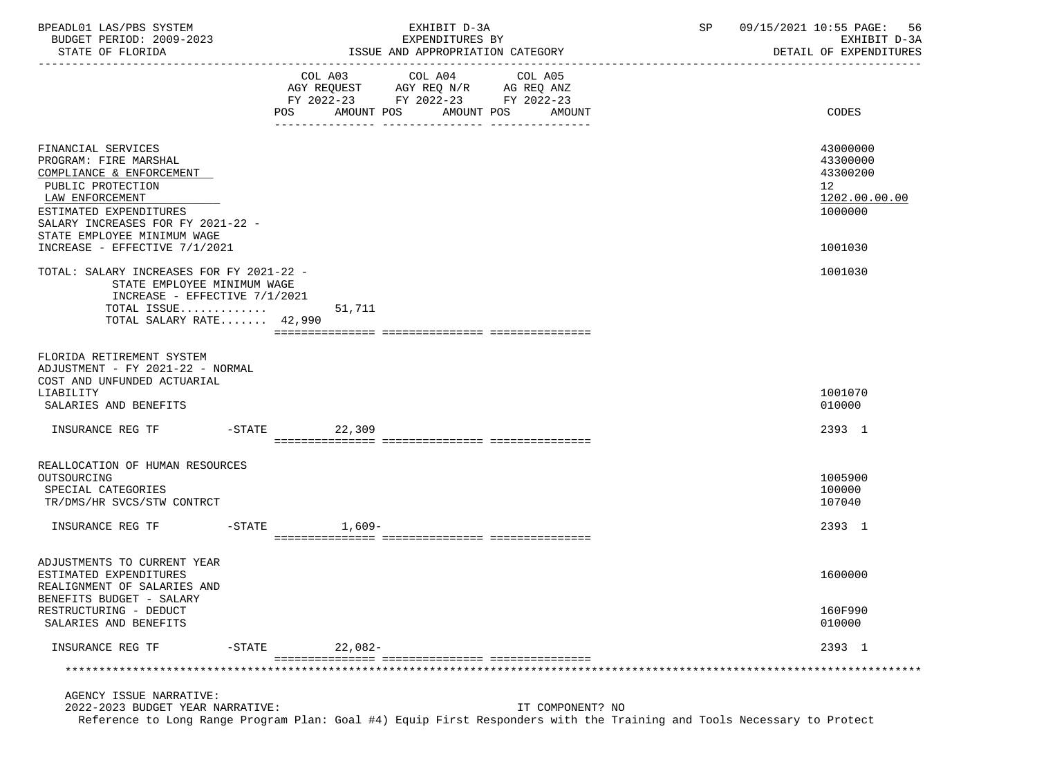| BPEADL01 LAS/PBS SYSTEM<br>BUDGET PERIOD: 2009-2023<br>STATE OF FLORIDA                                                                                                                                                                        | EXHIBIT D-3A<br>EXPENDITURES BY<br>ISSUE AND APPROPRIATION CATEGORY                                                                            | 09/15/2021 10:55 PAGE: 56<br>SP<br>EXHIBIT D-3A<br>DETAIL OF EXPENDITURES                  |
|------------------------------------------------------------------------------------------------------------------------------------------------------------------------------------------------------------------------------------------------|------------------------------------------------------------------------------------------------------------------------------------------------|--------------------------------------------------------------------------------------------|
|                                                                                                                                                                                                                                                | COL A03 COL A04 COL A05<br>AGY REQUEST AGY REQ N/R AG REQ ANZ<br>FY 2022-23 FY 2022-23 FY 2022-23<br>AMOUNT POS<br>AMOUNT POS<br>POS<br>AMOUNT | CODES                                                                                      |
| FINANCIAL SERVICES<br>PROGRAM: FIRE MARSHAL<br>COMPLIANCE & ENFORCEMENT<br>PUBLIC PROTECTION<br>LAW ENFORCEMENT<br>ESTIMATED EXPENDITURES<br>SALARY INCREASES FOR FY 2021-22 -<br>STATE EMPLOYEE MINIMUM WAGE<br>INCREASE - EFFECTIVE 7/1/2021 |                                                                                                                                                | 43000000<br>43300000<br>43300200<br>12 <sub>1</sub><br>1202.00.00.00<br>1000000<br>1001030 |
| TOTAL: SALARY INCREASES FOR FY 2021-22 -<br>STATE EMPLOYEE MINIMUM WAGE<br>INCREASE - EFFECTIVE $7/1/2021$<br>TOTAL ISSUE<br>TOTAL SALARY RATE 42,990                                                                                          | 51,711                                                                                                                                         | 1001030                                                                                    |
| FLORIDA RETIREMENT SYSTEM<br>ADJUSTMENT - FY 2021-22 - NORMAL<br>COST AND UNFUNDED ACTUARIAL<br>LIABILITY<br>SALARIES AND BENEFITS                                                                                                             |                                                                                                                                                | 1001070<br>010000                                                                          |
| INSURANCE REG TF                                                                                                                                                                                                                               | $-STATE$ 22,309                                                                                                                                | 2393 1                                                                                     |
| REALLOCATION OF HUMAN RESOURCES<br>OUTSOURCING<br>SPECIAL CATEGORIES<br>TR/DMS/HR SVCS/STW CONTRCT                                                                                                                                             |                                                                                                                                                | 1005900<br>100000<br>107040                                                                |
| INSURANCE REG TF<br>$-STATE$                                                                                                                                                                                                                   | $1.609-$                                                                                                                                       | 2393 1                                                                                     |
| ADJUSTMENTS TO CURRENT YEAR<br>ESTIMATED EXPENDITURES<br>REALIGNMENT OF SALARIES AND<br>BENEFITS BUDGET - SALARY                                                                                                                               |                                                                                                                                                | 1600000                                                                                    |
| RESTRUCTURING - DEDUCT<br>SALARIES AND BENEFITS                                                                                                                                                                                                |                                                                                                                                                | 160F990<br>010000                                                                          |
| INSURANCE REG TF<br>$-STATE$                                                                                                                                                                                                                   | $22,082-$                                                                                                                                      | 2393 1                                                                                     |
| AGENCY ISSUE NARRATIVE:                                                                                                                                                                                                                        |                                                                                                                                                |                                                                                            |

2022-2023 BUDGET YEAR NARRATIVE: IT COMPONENT? NO

Reference to Long Range Program Plan: Goal #4) Equip First Responders with the Training and Tools Necessary to Protect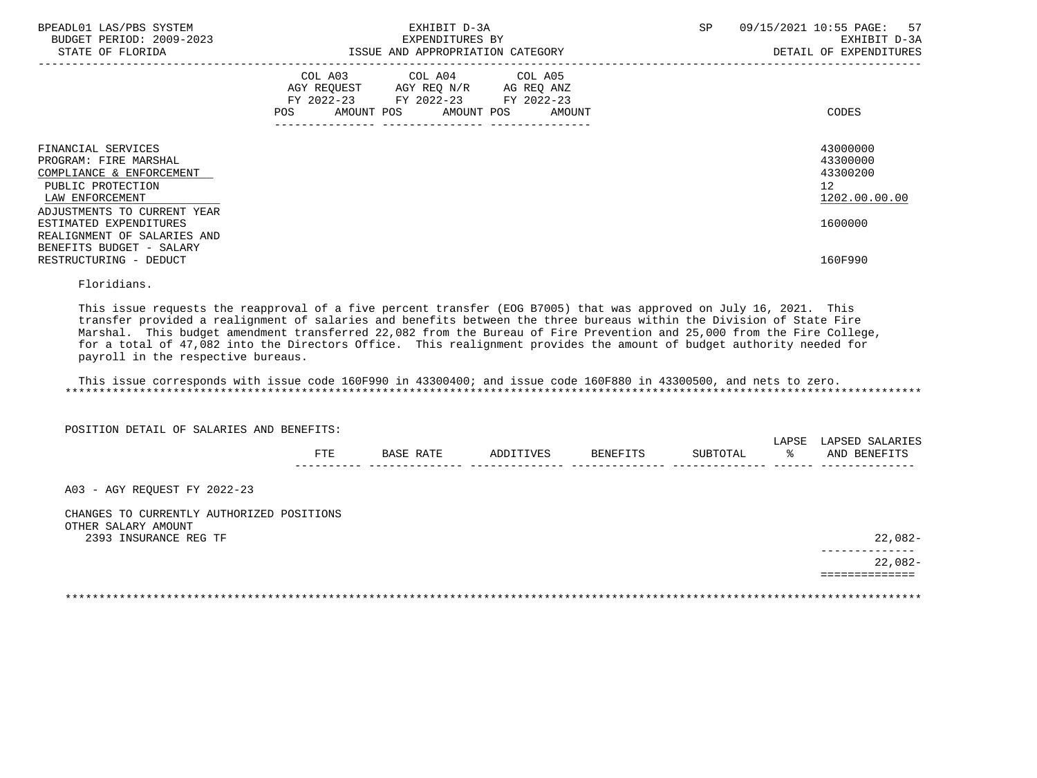| BPEADL01 LAS/PBS SYSTEM<br>BUDGET PERIOD: 2009-2023<br>STATE OF FLORIDA                                                                        | EXHIBIT D-3A<br>EXPENDITURES BY<br>ISSUE AND APPROPRIATION CATEGORY                                                                            | 57<br>SP<br>09/15/2021 10:55 PAGE:<br>EXHIBIT D-3A<br>DETAIL OF EXPENDITURES |
|------------------------------------------------------------------------------------------------------------------------------------------------|------------------------------------------------------------------------------------------------------------------------------------------------|------------------------------------------------------------------------------|
|                                                                                                                                                | COL A03<br>COL A04 COL A05<br>AGY REQUEST AGY REQ N/R AG REQ ANZ<br>FY 2022-23 FY 2022-23<br>FY 2022-23<br>POS<br>AMOUNT POS AMOUNT POS AMOUNT | CODES                                                                        |
| FINANCIAL SERVICES<br>PROGRAM: FIRE MARSHAL<br>COMPLIANCE & ENFORCEMENT<br>PUBLIC PROTECTION<br>LAW ENFORCEMENT<br>ADJUSTMENTS TO CURRENT YEAR |                                                                                                                                                | 43000000<br>43300000<br>43300200<br>12 <sup>7</sup><br>1202.00.00.00         |
| ESTIMATED EXPENDITURES<br>REALIGNMENT OF SALARIES AND<br>BENEFITS BUDGET - SALARY<br>RESTRUCTURING - DEDUCT                                    |                                                                                                                                                | 1600000<br>160F990                                                           |

Floridians.

 This issue requests the reapproval of a five percent transfer (EOG B7005) that was approved on July 16, 2021. This transfer provided a realignment of salaries and benefits between the three bureaus within the Division of State Fire Marshal. This budget amendment transferred 22,082 from the Bureau of Fire Prevention and 25,000 from the Fire College, for a total of 47,082 into the Directors Office. This realignment provides the amount of budget authority needed for payroll in the respective bureaus.

 This issue corresponds with issue code 160F990 in 43300400; and issue code 160F880 in 43300500, and nets to zero. \*\*\*\*\*\*\*\*\*\*\*\*\*\*\*\*\*\*\*\*\*\*\*\*\*\*\*\*\*\*\*\*\*\*\*\*\*\*\*\*\*\*\*\*\*\*\*\*\*\*\*\*\*\*\*\*\*\*\*\*\*\*\*\*\*\*\*\*\*\*\*\*\*\*\*\*\*\*\*\*\*\*\*\*\*\*\*\*\*\*\*\*\*\*\*\*\*\*\*\*\*\*\*\*\*\*\*\*\*\*\*\*\*\*\*\*\*\*\*\*\*\*\*\*\*\*\*

POSITION DETAIL OF SALARIES AND BENEFITS:

|              |                               |         |                 | $\pi$ $\pi$ $\pi$<br>∠ > ⊾<br>⊥∟∆ | <b>ADSET</b><br>$\mathbf{A}$<br>. |
|--------------|-------------------------------|---------|-----------------|-----------------------------------|-----------------------------------|
| 모모모<br>7 I D | TVES:<br>nг<br>$\overline{ }$ | BENEFIT | <b>TUBTOTAL</b> |                                   | ANI<br><b>RENEE</b>               |
| $-  -$       |                               |         |                 |                                   | ___                               |

A03 - AGY REQUEST FY 2022-23

 CHANGES TO CURRENTLY AUTHORIZED POSITIONS OTHER SALARY AMOUNT 2393 INSURANCE REG TF 22,082-

 -------------- 22,082- ==============

\*\*\*\*\*\*\*\*\*\*\*\*\*\*\*\*\*\*\*\*\*\*\*\*\*\*\*\*\*\*\*\*\*\*\*\*\*\*\*\*\*\*\*\*\*\*\*\*\*\*\*\*\*\*\*\*\*\*\*\*\*\*\*\*\*\*\*\*\*\*\*\*\*\*\*\*\*\*\*\*\*\*\*\*\*\*\*\*\*\*\*\*\*\*\*\*\*\*\*\*\*\*\*\*\*\*\*\*\*\*\*\*\*\*\*\*\*\*\*\*\*\*\*\*\*\*\*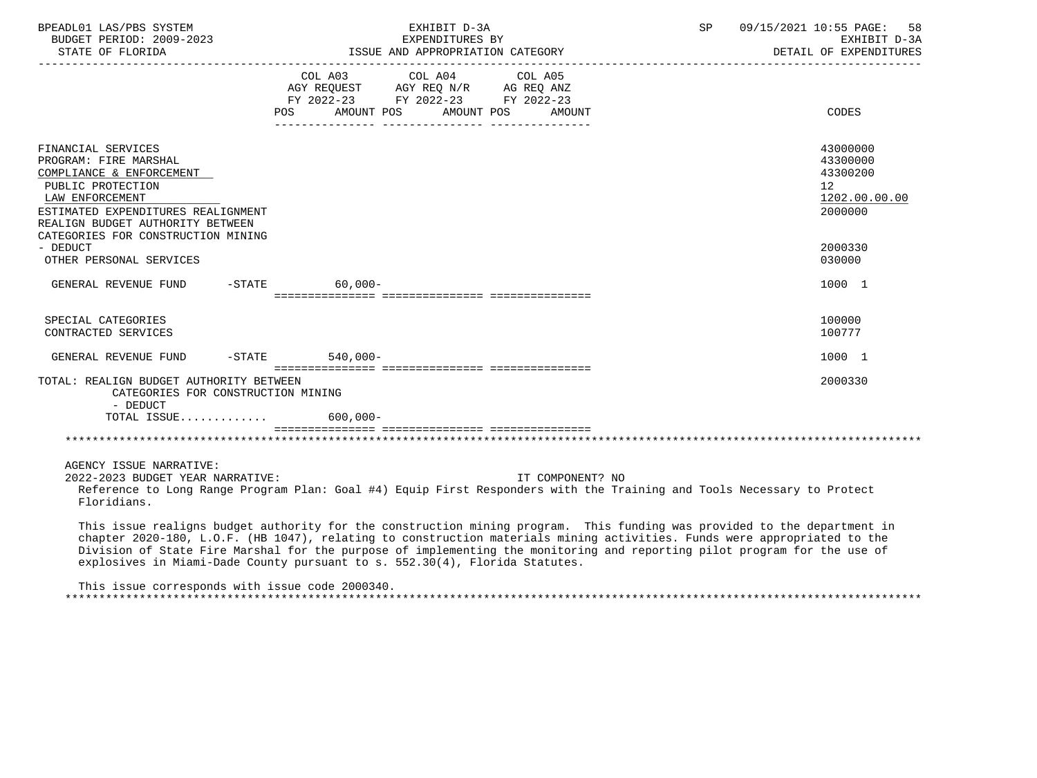| BPEADL01 LAS/PBS SYSTEM                                                                                                                                                                                                         | EXHIBIT D-3A                                                                                                                                                                                                                                                                                                                                                                                                                                                    | 09/15/2021 10:55 PAGE: 58<br>SP<br>EXHIBIT D-3A<br>DETAIL OF EXPENDITURES       |
|---------------------------------------------------------------------------------------------------------------------------------------------------------------------------------------------------------------------------------|-----------------------------------------------------------------------------------------------------------------------------------------------------------------------------------------------------------------------------------------------------------------------------------------------------------------------------------------------------------------------------------------------------------------------------------------------------------------|---------------------------------------------------------------------------------|
|                                                                                                                                                                                                                                 | COL A03 COL A04 COL A05<br>AGY REQUEST AGY REQ N/R AG REQ ANZ<br>FY 2022-23 FY 2022-23 FY 2022-23<br>POS AMOUNT POS AMOUNT POS AMOUNT                                                                                                                                                                                                                                                                                                                           | CODES                                                                           |
| FINANCIAL SERVICES<br>PROGRAM: FIRE MARSHAL<br>COMPLIANCE & ENFORCEMENT<br>PUBLIC PROTECTION<br>LAW ENFORCEMENT<br>ESTIMATED EXPENDITURES REALIGNMENT<br>REALIGN BUDGET AUTHORITY BETWEEN<br>CATEGORIES FOR CONSTRUCTION MINING |                                                                                                                                                                                                                                                                                                                                                                                                                                                                 | 43000000<br>43300000<br>43300200<br>12 <sup>°</sup><br>1202.00.00.00<br>2000000 |
| - DEDUCT<br>OTHER PERSONAL SERVICES                                                                                                                                                                                             |                                                                                                                                                                                                                                                                                                                                                                                                                                                                 | 2000330<br>030000                                                               |
| GENERAL REVENUE FUND -STATE 60,000-                                                                                                                                                                                             |                                                                                                                                                                                                                                                                                                                                                                                                                                                                 | 1000 1                                                                          |
| SPECIAL CATEGORIES<br>CONTRACTED SERVICES                                                                                                                                                                                       |                                                                                                                                                                                                                                                                                                                                                                                                                                                                 | 100000<br>100777                                                                |
| GENERAL REVENUE FUND -STATE 540,000-                                                                                                                                                                                            |                                                                                                                                                                                                                                                                                                                                                                                                                                                                 | 1000 1                                                                          |
| TOTAL: REALIGN BUDGET AUTHORITY BETWEEN<br>CATEGORIES FOR CONSTRUCTION MINING<br>- DEDUCT                                                                                                                                       |                                                                                                                                                                                                                                                                                                                                                                                                                                                                 | 2000330                                                                         |
| TOTAL ISSUE                                                                                                                                                                                                                     | $600,000 -$                                                                                                                                                                                                                                                                                                                                                                                                                                                     |                                                                                 |
|                                                                                                                                                                                                                                 |                                                                                                                                                                                                                                                                                                                                                                                                                                                                 |                                                                                 |
| AGENCY ISSUE NARRATIVE:<br>2022-2023 BUDGET YEAR NARRATIVE:<br>Floridians.                                                                                                                                                      | IT COMPONENT? NO<br>Reference to Long Range Program Plan: Goal #4) Equip First Responders with the Training and Tools Necessary to Protect                                                                                                                                                                                                                                                                                                                      |                                                                                 |
|                                                                                                                                                                                                                                 | This issue realigns budget authority for the construction mining program. This funding was provided to the department in<br>chapter 2020-180, L.O.F. (HB 1047), relating to construction materials mining activities. Funds were appropriated to the<br>Division of State Fire Marshal for the purpose of implementing the monitoring and reporting pilot program for the use of<br>explosives in Miami-Dade County pursuant to s. 552.30(4), Florida Statutes. |                                                                                 |
| This issue corresponds with issue code 2000340.                                                                                                                                                                                 |                                                                                                                                                                                                                                                                                                                                                                                                                                                                 |                                                                                 |

\*\*\*\*\*\*\*\*\*\*\*\*\*\*\*\*\*\*\*\*\*\*\*\*\*\*\*\*\*\*\*\*\*\*\*\*\*\*\*\*\*\*\*\*\*\*\*\*\*\*\*\*\*\*\*\*\*\*\*\*\*\*\*\*\*\*\*\*\*\*\*\*\*\*\*\*\*\*\*\*\*\*\*\*\*\*\*\*\*\*\*\*\*\*\*\*\*\*\*\*\*\*\*\*\*\*\*\*\*\*\*\*\*\*\*\*\*\*\*\*\*\*\*\*\*\*\*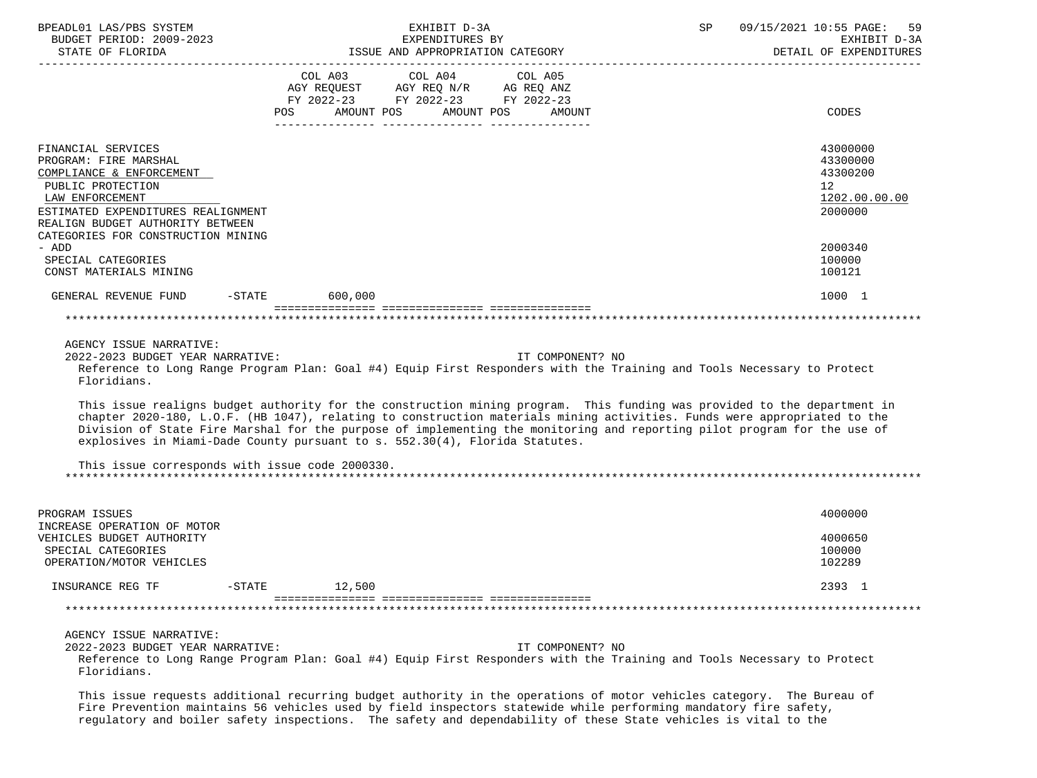| BPEADL01 LAS/PBS SYSTEM                                                                                                                                    | EXHIBIT D-3A                                                           |                                    |  | 09/15/2021 10:55 PAGE:<br>SP<br>59 |  |                        |  |
|------------------------------------------------------------------------------------------------------------------------------------------------------------|------------------------------------------------------------------------|------------------------------------|--|------------------------------------|--|------------------------|--|
| BUDGET PERIOD: 2009-2023                                                                                                                                   | EXPENDITURES BY<br>EAPENDITURES BI<br>ISSUE AND APPROPRIATION CATEGORY |                                    |  |                                    |  | EXHIBIT D-3A           |  |
| STATE OF FLORIDA                                                                                                                                           |                                                                        |                                    |  |                                    |  | DETAIL OF EXPENDITURES |  |
|                                                                                                                                                            |                                                                        | COL A03 COL A04                    |  | COL A05                            |  |                        |  |
|                                                                                                                                                            |                                                                        | AGY REQUEST AGY REQ N/R AG REQ ANZ |  |                                    |  |                        |  |
|                                                                                                                                                            |                                                                        | FY 2022-23 FY 2022-23 FY 2022-23   |  |                                    |  |                        |  |
|                                                                                                                                                            |                                                                        |                                    |  | POS AMOUNT POS AMOUNT POS AMOUNT   |  | CODES                  |  |
|                                                                                                                                                            |                                                                        |                                    |  |                                    |  |                        |  |
|                                                                                                                                                            |                                                                        |                                    |  |                                    |  |                        |  |
| FINANCIAL SERVICES                                                                                                                                         |                                                                        |                                    |  |                                    |  | 43000000               |  |
| PROGRAM: FIRE MARSHAL                                                                                                                                      |                                                                        |                                    |  |                                    |  | 43300000               |  |
| COMPLIANCE & ENFORCEMENT                                                                                                                                   |                                                                        |                                    |  |                                    |  | 43300200               |  |
| PUBLIC PROTECTION                                                                                                                                          |                                                                        |                                    |  |                                    |  | 12 <sup>°</sup>        |  |
| LAW ENFORCEMENT                                                                                                                                            |                                                                        |                                    |  |                                    |  | 1202.00.00.00          |  |
| ESTIMATED EXPENDITURES REALIGNMENT                                                                                                                         |                                                                        |                                    |  |                                    |  | 2000000                |  |
| REALIGN BUDGET AUTHORITY BETWEEN<br>CATEGORIES FOR CONSTRUCTION MINING                                                                                     |                                                                        |                                    |  |                                    |  |                        |  |
| - ADD                                                                                                                                                      |                                                                        |                                    |  |                                    |  | 2000340                |  |
| SPECIAL CATEGORIES                                                                                                                                         |                                                                        |                                    |  |                                    |  | 100000                 |  |
| CONST MATERIALS MINING                                                                                                                                     |                                                                        |                                    |  |                                    |  | 100121                 |  |
|                                                                                                                                                            |                                                                        |                                    |  |                                    |  |                        |  |
| GENERAL REVENUE FUND -STATE 600,000                                                                                                                        |                                                                        |                                    |  |                                    |  | 1000 1                 |  |
|                                                                                                                                                            |                                                                        |                                    |  |                                    |  |                        |  |
|                                                                                                                                                            |                                                                        |                                    |  |                                    |  |                        |  |
|                                                                                                                                                            |                                                                        |                                    |  |                                    |  |                        |  |
| AGENCY ISSUE NARRATIVE:                                                                                                                                    |                                                                        |                                    |  |                                    |  |                        |  |
| 2022-2023 BUDGET YEAR NARRATIVE:<br>Reference to Long Range Program Plan: Goal #4) Equip First Responders with the Training and Tools Necessary to Protect |                                                                        |                                    |  | IT COMPONENT? NO                   |  |                        |  |
| Floridians.                                                                                                                                                |                                                                        |                                    |  |                                    |  |                        |  |
|                                                                                                                                                            |                                                                        |                                    |  |                                    |  |                        |  |
| This issue realigns budget authority for the construction mining program. This funding was provided to the department in                                   |                                                                        |                                    |  |                                    |  |                        |  |
| chapter 2020-180, L.O.F. (HB 1047), relating to construction materials mining activities. Funds were appropriated to the                                   |                                                                        |                                    |  |                                    |  |                        |  |
| Division of State Fire Marshal for the purpose of implementing the monitoring and reporting pilot program for the use of                                   |                                                                        |                                    |  |                                    |  |                        |  |
| explosives in Miami-Dade County pursuant to s. 552.30(4), Florida Statutes.                                                                                |                                                                        |                                    |  |                                    |  |                        |  |
|                                                                                                                                                            |                                                                        |                                    |  |                                    |  |                        |  |
| This issue corresponds with issue code 2000330.                                                                                                            |                                                                        |                                    |  |                                    |  |                        |  |
|                                                                                                                                                            |                                                                        |                                    |  |                                    |  |                        |  |
|                                                                                                                                                            |                                                                        |                                    |  |                                    |  |                        |  |
| PROGRAM ISSUES                                                                                                                                             |                                                                        |                                    |  |                                    |  | 4000000                |  |
| INCREASE OPERATION OF MOTOR                                                                                                                                |                                                                        |                                    |  |                                    |  |                        |  |
| VEHICLES BUDGET AUTHORITY                                                                                                                                  |                                                                        |                                    |  |                                    |  | 4000650                |  |
| SPECIAL CATEGORIES                                                                                                                                         |                                                                        |                                    |  |                                    |  | 100000                 |  |
| OPERATION/MOTOR VEHICLES                                                                                                                                   |                                                                        |                                    |  |                                    |  | 102289                 |  |
|                                                                                                                                                            |                                                                        |                                    |  |                                    |  |                        |  |
| INSURANCE REG TF                                                                                                                                           | $-$ STATE                                                              | 12,500                             |  |                                    |  | 2393 1                 |  |
|                                                                                                                                                            |                                                                        |                                    |  |                                    |  |                        |  |
|                                                                                                                                                            |                                                                        |                                    |  |                                    |  |                        |  |
| AGENCY ISSUE NARRATIVE:                                                                                                                                    |                                                                        |                                    |  |                                    |  |                        |  |
| 2022-2023 BUDGET YEAR NARRATIVE:                                                                                                                           |                                                                        |                                    |  | IT COMPONENT? NO                   |  |                        |  |
| Reference to Long Range Program Plan: Goal #4) Equip First Responders with the Training and Tools Necessary to Protect                                     |                                                                        |                                    |  |                                    |  |                        |  |
| Floridians.                                                                                                                                                |                                                                        |                                    |  |                                    |  |                        |  |
|                                                                                                                                                            |                                                                        |                                    |  |                                    |  |                        |  |
| This issue requests additional recurring budget authority in the operations of motor vehicles category. The Bureau of                                      |                                                                        |                                    |  |                                    |  |                        |  |

 Fire Prevention maintains 56 vehicles used by field inspectors statewide while performing mandatory fire safety, regulatory and boiler safety inspections. The safety and dependability of these State vehicles is vital to the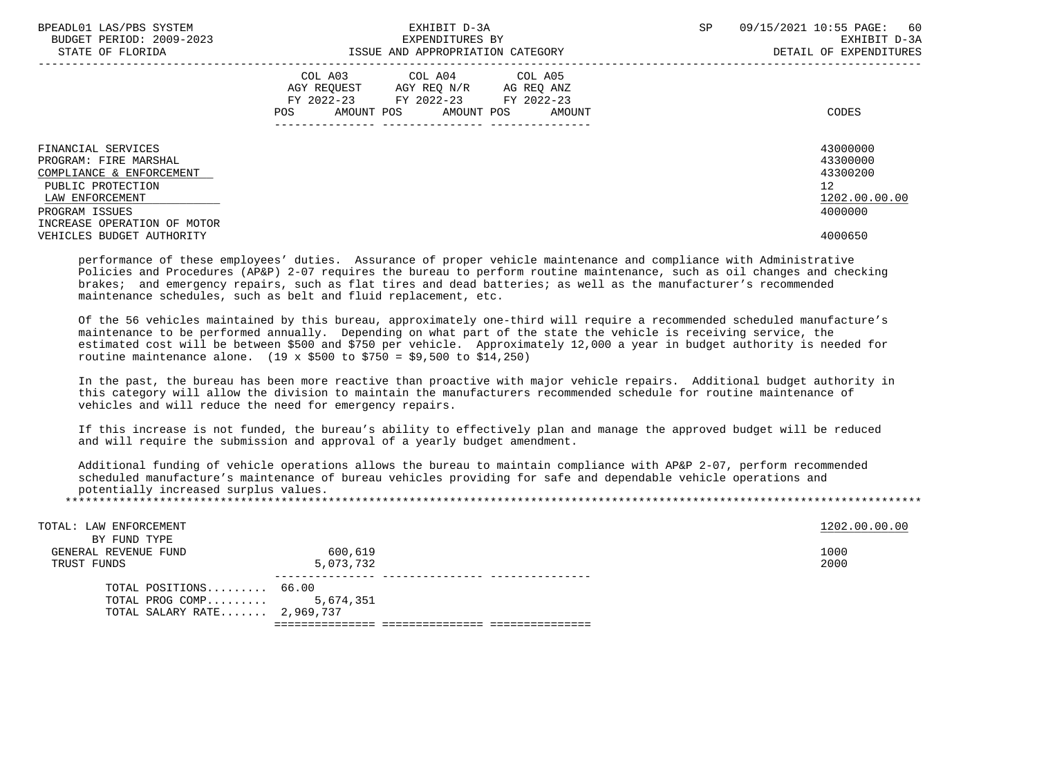| BPEADL01 LAS/PBS SYSTEM<br>BUDGET PERIOD: 2009-2023<br>STATE OF FLORIDA | EXHIBIT D-3A<br>EXPENDITURES BY<br>ISSUE AND APPROPRIATION CATEGORY                                                                               | 09/15/2021 10:55 PAGE: 60<br>SP<br>EXHIBIT D-3A<br>DETAIL OF EXPENDITURES |
|-------------------------------------------------------------------------|---------------------------------------------------------------------------------------------------------------------------------------------------|---------------------------------------------------------------------------|
|                                                                         | COL A04 COL A05<br>COL A03<br>AGY REOUEST<br>AGY REQ N/R AG REQ ANZ<br>FY 2022-23 FY 2022-23 FY 2022-23<br>AMOUNT POS AMOUNT POS<br>POS<br>AMOUNT | CODES                                                                     |
| FINANCIAL SERVICES<br>PROGRAM: FIRE MARSHAL                             |                                                                                                                                                   | 43000000<br>43300000<br>43300200                                          |
| COMPLIANCE & ENFORCEMENT<br>PUBLIC PROTECTION<br>LAW ENFORCEMENT        |                                                                                                                                                   | 12 <sup>°</sup><br>1202.00.00.00                                          |
| PROGRAM ISSUES<br>INCREASE OPERATION OF MOTOR                           |                                                                                                                                                   | 4000000                                                                   |
| VEHICLES BUDGET AUTHORITY                                               |                                                                                                                                                   | 4000650                                                                   |

 performance of these employees' duties. Assurance of proper vehicle maintenance and compliance with Administrative Policies and Procedures (AP&P) 2-07 requires the bureau to perform routine maintenance, such as oil changes and checking brakes; and emergency repairs, such as flat tires and dead batteries; as well as the manufacturer's recommended maintenance schedules, such as belt and fluid replacement, etc.

 Of the 56 vehicles maintained by this bureau, approximately one-third will require a recommended scheduled manufacture's maintenance to be performed annually. Depending on what part of the state the vehicle is receiving service, the estimated cost will be between \$500 and \$750 per vehicle. Approximately 12,000 a year in budget authority is needed for routine maintenance alone. (19 x \$500 to \$750 = \$9,500 to \$14,250)

 In the past, the bureau has been more reactive than proactive with major vehicle repairs. Additional budget authority in this category will allow the division to maintain the manufacturers recommended schedule for routine maintenance of vehicles and will reduce the need for emergency repairs.

 If this increase is not funded, the bureau's ability to effectively plan and manage the approved budget will be reduced and will require the submission and approval of a yearly budget amendment.

 Additional funding of vehicle operations allows the bureau to maintain compliance with AP&P 2-07, perform recommended scheduled manufacture's maintenance of bureau vehicles providing for safe and dependable vehicle operations and potentially increased surplus values. \*\*\*\*\*\*\*\*\*\*\*\*\*\*\*\*\*\*\*\*\*\*\*\*\*\*\*\*\*\*\*\*\*\*\*\*\*\*\*\*\*\*\*\*\*\*\*\*\*\*\*\*\*\*\*\*\*\*\*\*\*\*\*\*\*\*\*\*\*\*\*\*\*\*\*\*\*\*\*\*\*\*\*\*\*\*\*\*\*\*\*\*\*\*\*\*\*\*\*\*\*\*\*\*\*\*\*\*\*\*\*\*\*\*\*\*\*\*\*\*\*\*\*\*\*\*\*

| TOTAL: LAW ENFORCEMENT<br>BY FUND TYPE |           | 1202.00.00.00 |
|----------------------------------------|-----------|---------------|
| GENERAL REVENUE FUND                   | 600,619   | 1000          |
| TRUST FUNDS                            | 5,073,732 | 2000          |
|                                        |           |               |
| TOTAL POSITIONS 66.00                  |           |               |
| TOTAL PROG COMP $5,674,351$            |           |               |
| TOTAL SALARY RATE 2,969,737            |           |               |
|                                        |           |               |
|                                        |           |               |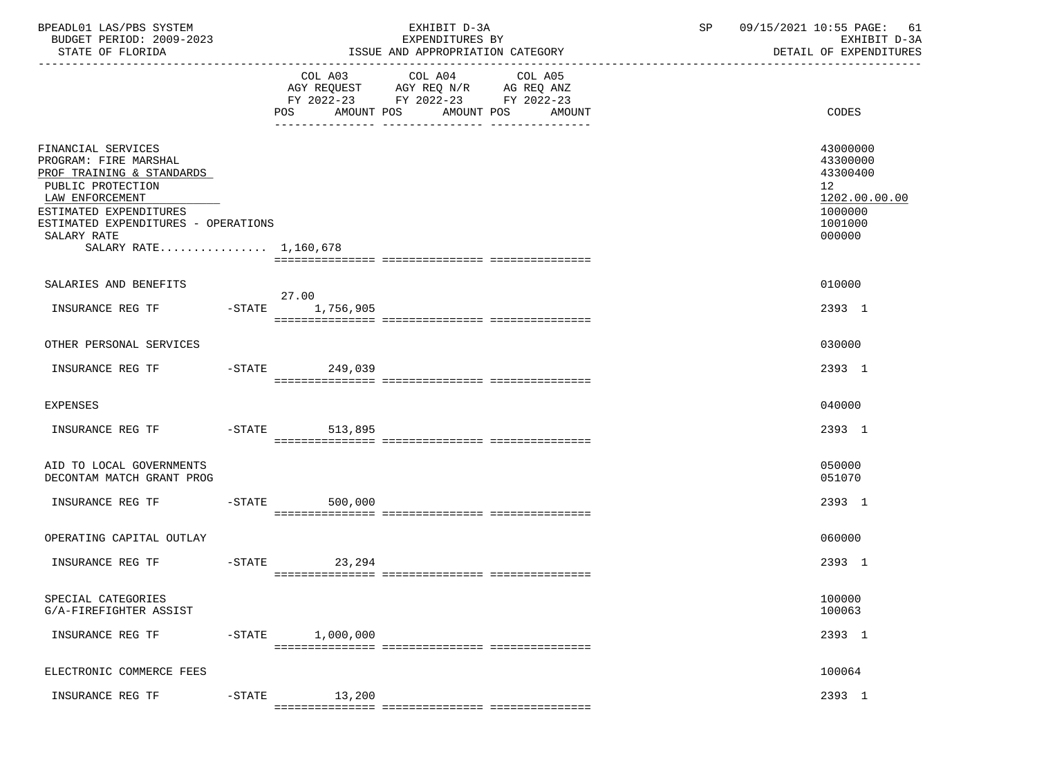| BPEADL01 LAS/PBS SYSTEM<br>BUDGET PERIOD: 2009-2023<br>STATE OF FLORIDA                                                                                                                                                   |                        | EXHIBIT D-3A<br>EXPENDITURES BY<br>ISSUE AND APPROPRIATION CATEGORY                                                                   | SP | 09/15/2021 10:55 PAGE: 61<br>EXHIBIT D-3A<br>DETAIL OF EXPENDITURES                                  |  |  |
|---------------------------------------------------------------------------------------------------------------------------------------------------------------------------------------------------------------------------|------------------------|---------------------------------------------------------------------------------------------------------------------------------------|----|------------------------------------------------------------------------------------------------------|--|--|
|                                                                                                                                                                                                                           |                        | COL A03 COL A04 COL A05<br>AGY REQUEST AGY REQ N/R AG REQ ANZ<br>FY 2022-23 FY 2022-23 FY 2022-23<br>POS AMOUNT POS AMOUNT POS AMOUNT |    | CODES                                                                                                |  |  |
| FINANCIAL SERVICES<br>PROGRAM: FIRE MARSHAL<br>PROF TRAINING & STANDARDS<br>PUBLIC PROTECTION<br>LAW ENFORCEMENT<br>ESTIMATED EXPENDITURES<br>ESTIMATED EXPENDITURES - OPERATIONS<br>SALARY RATE<br>SALARY RATE 1,160,678 |                        |                                                                                                                                       |    | 43000000<br>43300000<br>43300400<br>12 <sup>°</sup><br>1202.00.00.00<br>1000000<br>1001000<br>000000 |  |  |
| SALARIES AND BENEFITS                                                                                                                                                                                                     |                        |                                                                                                                                       |    | 010000                                                                                               |  |  |
| INSURANCE REG TF -STATE 1,756,905                                                                                                                                                                                         | 27.00                  |                                                                                                                                       |    | 2393 1                                                                                               |  |  |
| OTHER PERSONAL SERVICES                                                                                                                                                                                                   |                        |                                                                                                                                       |    | 030000                                                                                               |  |  |
|                                                                                                                                                                                                                           |                        |                                                                                                                                       |    | 2393 1                                                                                               |  |  |
| EXPENSES                                                                                                                                                                                                                  |                        |                                                                                                                                       |    | 040000                                                                                               |  |  |
|                                                                                                                                                                                                                           |                        |                                                                                                                                       |    | 2393 1                                                                                               |  |  |
| AID TO LOCAL GOVERNMENTS<br>DECONTAM MATCH GRANT PROG                                                                                                                                                                     |                        |                                                                                                                                       |    | 050000<br>051070                                                                                     |  |  |
| INSURANCE REG TF FINITE                                                                                                                                                                                                   | 500,000                |                                                                                                                                       |    | 2393 1                                                                                               |  |  |
| OPERATING CAPITAL OUTLAY                                                                                                                                                                                                  |                        |                                                                                                                                       |    | 060000                                                                                               |  |  |
| INSURANCE REG TF                                                                                                                                                                                                          | $-STATE$<br>23,294     |                                                                                                                                       |    | 2393 1                                                                                               |  |  |
| SPECIAL CATEGORIES<br>G/A-FIREFIGHTER ASSIST                                                                                                                                                                              |                        |                                                                                                                                       |    | 100000<br>100063                                                                                     |  |  |
| INSURANCE REG TF                                                                                                                                                                                                          | $-$ STATE<br>1,000,000 |                                                                                                                                       |    | 2393 1                                                                                               |  |  |
| ELECTRONIC COMMERCE FEES                                                                                                                                                                                                  |                        |                                                                                                                                       |    | 100064                                                                                               |  |  |
| INSURANCE REG TF                                                                                                                                                                                                          | $-$ STATE<br>13,200    |                                                                                                                                       |    | 2393 1                                                                                               |  |  |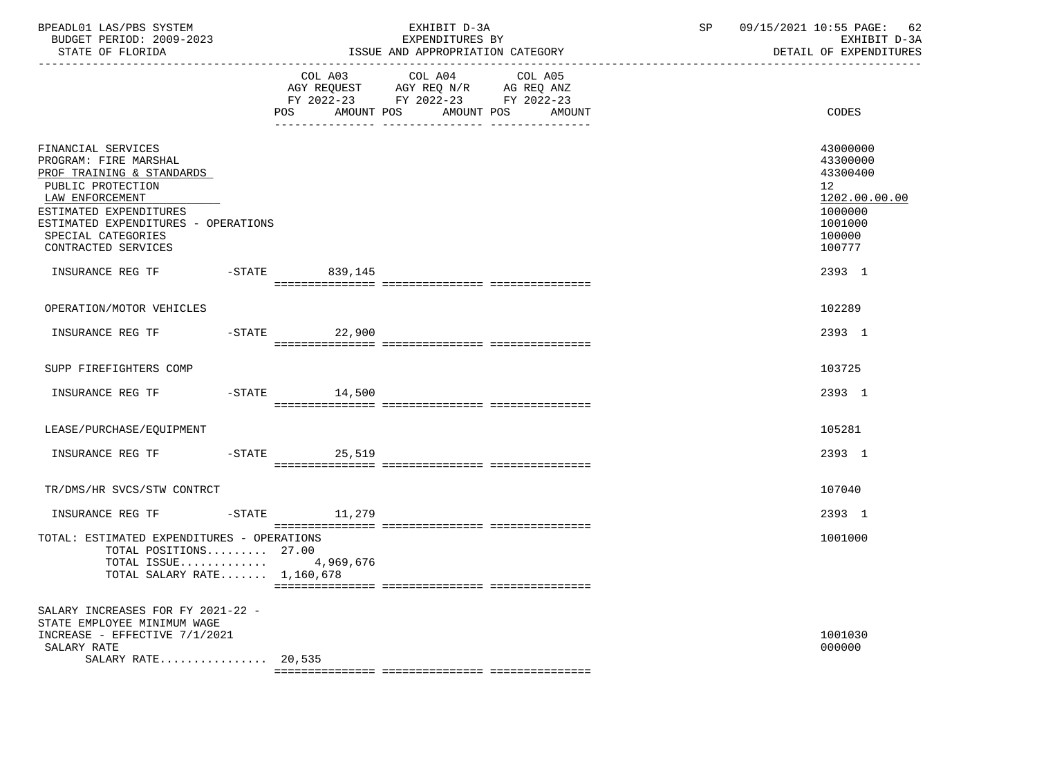| BPEADL01 LAS/PBS SYSTEM<br>BUDGET PERIOD: 2009-2023<br>STATE OF FLORIDA                                                                                                                                                        |         |                                                                                                                       | EXHIBIT D-3A<br>EXPENDITURES BY<br>ISSUE AND APPROPRIATION CATEGORY | SP | 09/15/2021 10:55 PAGE:<br>62<br>EXHIBIT D-3A<br>DETAIL OF EXPENDITURES |       |                                                                                                                 |
|--------------------------------------------------------------------------------------------------------------------------------------------------------------------------------------------------------------------------------|---------|-----------------------------------------------------------------------------------------------------------------------|---------------------------------------------------------------------|----|------------------------------------------------------------------------|-------|-----------------------------------------------------------------------------------------------------------------|
|                                                                                                                                                                                                                                | COL A03 | COL A04<br>AGY REQUEST AGY REQ N/R AG REQ ANZ<br>FY 2022-23 FY 2022-23 FY 2022-23<br>POS AMOUNT POS AMOUNT POS AMOUNT | COL A05                                                             |    |                                                                        | CODES |                                                                                                                 |
| FINANCIAL SERVICES<br>PROGRAM: FIRE MARSHAL<br>PROF TRAINING & STANDARDS<br>PUBLIC PROTECTION<br>LAW ENFORCEMENT<br>ESTIMATED EXPENDITURES<br>ESTIMATED EXPENDITURES - OPERATIONS<br>SPECIAL CATEGORIES<br>CONTRACTED SERVICES |         |                                                                                                                       |                                                                     |    |                                                                        |       | 43000000<br>43300000<br>43300400<br>12 <sup>12</sup><br>1202.00.00.00<br>1000000<br>1001000<br>100000<br>100777 |
|                                                                                                                                                                                                                                |         |                                                                                                                       |                                                                     |    |                                                                        |       | 2393 1                                                                                                          |
| OPERATION/MOTOR VEHICLES                                                                                                                                                                                                       |         |                                                                                                                       |                                                                     |    |                                                                        |       | 102289                                                                                                          |
| INSURANCE REG TF                                                                                                                                                                                                               |         | $-STATE$<br>22,900                                                                                                    |                                                                     |    |                                                                        |       | 2393 1                                                                                                          |
| SUPP FIREFIGHTERS COMP                                                                                                                                                                                                         |         |                                                                                                                       |                                                                     |    |                                                                        |       | 103725                                                                                                          |
| INSURANCE REG TF    -STATE    14,500                                                                                                                                                                                           |         |                                                                                                                       |                                                                     |    |                                                                        |       | 2393 1                                                                                                          |
| LEASE/PURCHASE/EQUIPMENT                                                                                                                                                                                                       |         |                                                                                                                       |                                                                     |    |                                                                        |       | 105281                                                                                                          |
| INSURANCE REG TF                                                                                                                                                                                                               |         | $-STATE$<br>25,519                                                                                                    |                                                                     |    |                                                                        |       | 2393 1                                                                                                          |
| TR/DMS/HR SVCS/STW CONTRCT                                                                                                                                                                                                     |         |                                                                                                                       |                                                                     |    |                                                                        |       | 107040                                                                                                          |
| INSURANCE REG TF                                                                                                                                                                                                               |         | $-STATE$ 11,279                                                                                                       |                                                                     |    |                                                                        |       | 2393 1                                                                                                          |
| TOTAL: ESTIMATED EXPENDITURES - OPERATIONS<br>TOTAL POSITIONS 27.00<br>TOTAL SALARY RATE $1,160,678$                                                                                                                           |         |                                                                                                                       |                                                                     |    |                                                                        |       | 1001000                                                                                                         |
| SALARY INCREASES FOR FY 2021-22 -<br>STATE EMPLOYEE MINIMUM WAGE<br>INCREASE - EFFECTIVE 7/1/2021<br>SALARY RATE<br>SALARY RATE 20,535                                                                                         |         |                                                                                                                       |                                                                     |    |                                                                        |       | 1001030<br>000000                                                                                               |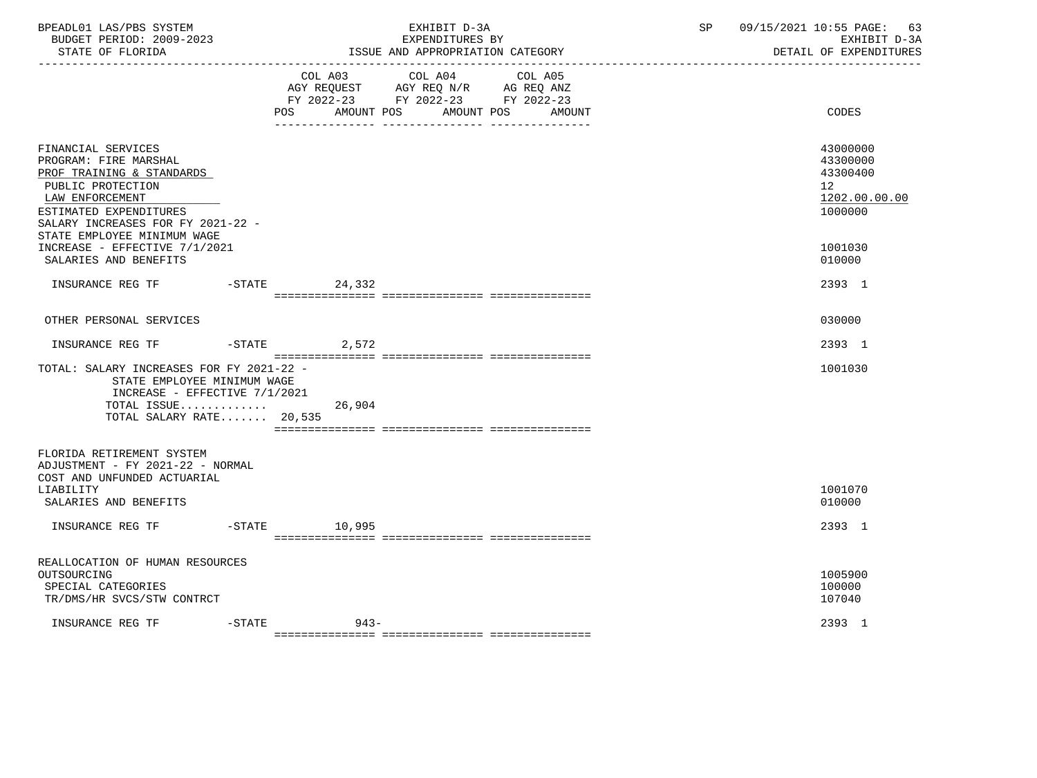| BPEADL01 LAS/PBS SYSTEM<br>BUDGET PERIOD: 2009-2023<br>STATE OF FLORIDA<br>---------------------                                                                                                               |           |                    | EXHIBIT D-3A<br>EXPENDITURES BY<br>ISSUE AND APPROPRIATION CATEGORY                                     |                   | SP | 09/15/2021 10:55 PAGE: 63<br>EXHIBIT D-3A<br>DETAIL OF EXPENDITURES |  |
|----------------------------------------------------------------------------------------------------------------------------------------------------------------------------------------------------------------|-----------|--------------------|---------------------------------------------------------------------------------------------------------|-------------------|----|---------------------------------------------------------------------|--|
|                                                                                                                                                                                                                |           | POS.<br>AMOUNT POS | COL A03 COL A04<br>AGY REQUEST AGY REQ N/R AG REQ ANZ<br>FY 2022-23 FY 2022-23 FY 2022-23<br>AMOUNT POS | COL A05<br>AMOUNT |    | CODES                                                               |  |
| FINANCIAL SERVICES<br>PROGRAM: FIRE MARSHAL<br>PROF TRAINING & STANDARDS<br>PUBLIC PROTECTION<br>LAW ENFORCEMENT<br>ESTIMATED EXPENDITURES<br>SALARY INCREASES FOR FY 2021-22 -<br>STATE EMPLOYEE MINIMUM WAGE |           |                    |                                                                                                         |                   |    | 43000000<br>43300000<br>43300400<br>12<br>1202.00.00.00<br>1000000  |  |
| INCREASE - EFFECTIVE 7/1/2021<br>SALARIES AND BENEFITS                                                                                                                                                         |           |                    |                                                                                                         |                   |    | 1001030<br>010000                                                   |  |
| INSURANCE REG TF<br>$-STATE$                                                                                                                                                                                   |           | 24,332             |                                                                                                         |                   |    | 2393 1                                                              |  |
| OTHER PERSONAL SERVICES                                                                                                                                                                                        |           |                    |                                                                                                         |                   |    | 030000                                                              |  |
| INSURANCE REG TF                                                                                                                                                                                               |           | $-$ STATE<br>2,572 |                                                                                                         |                   |    | 2393 1                                                              |  |
| TOTAL: SALARY INCREASES FOR FY 2021-22 -<br>STATE EMPLOYEE MINIMUM WAGE<br>INCREASE - EFFECTIVE 7/1/2021                                                                                                       |           |                    |                                                                                                         |                   |    | 1001030                                                             |  |
| TOTAL ISSUE<br>TOTAL SALARY RATE 20,535                                                                                                                                                                        |           | 26,904             |                                                                                                         |                   |    |                                                                     |  |
| FLORIDA RETIREMENT SYSTEM<br>ADJUSTMENT - FY 2021-22 - NORMAL<br>COST AND UNFUNDED ACTUARIAL<br>LIABILITY<br>SALARIES AND BENEFITS                                                                             |           |                    |                                                                                                         |                   |    | 1001070<br>010000                                                   |  |
| INSURANCE REG TF                                                                                                                                                                                               |           | -STATE 10,995      |                                                                                                         |                   |    | 2393 1                                                              |  |
| REALLOCATION OF HUMAN RESOURCES<br>OUTSOURCING<br>SPECIAL CATEGORIES<br>TR/DMS/HR SVCS/STW CONTRCT                                                                                                             |           |                    |                                                                                                         |                   |    | 1005900<br>100000<br>107040                                         |  |
| INSURANCE REG TF                                                                                                                                                                                               | $-$ STATE | $943 -$            |                                                                                                         |                   |    | 2393 1                                                              |  |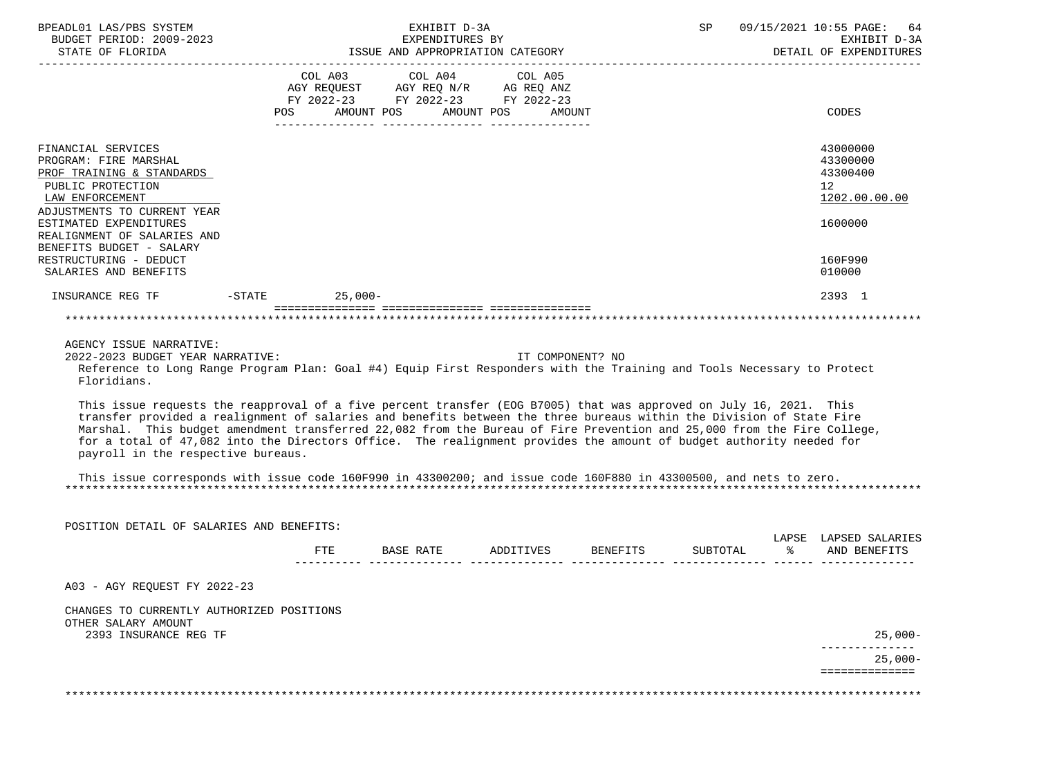| BPEADL01 LAS/PBS SYSTEM<br>BUDGET PERIOD: 2009-2023                                                                                                                                                                                                                                                                                                                                                                                                                                                                                                                                                                                                                                                                                                                                                                                                            | EXHIBIT D-3A<br>EXPENDITURES BY |                                                                                 |           |  |  |                  |                    |          | SP 09/15/2021 10:55 PAGE: 64<br>EXHIBIT D-3A |                                                                                             |
|----------------------------------------------------------------------------------------------------------------------------------------------------------------------------------------------------------------------------------------------------------------------------------------------------------------------------------------------------------------------------------------------------------------------------------------------------------------------------------------------------------------------------------------------------------------------------------------------------------------------------------------------------------------------------------------------------------------------------------------------------------------------------------------------------------------------------------------------------------------|---------------------------------|---------------------------------------------------------------------------------|-----------|--|--|------------------|--------------------|----------|----------------------------------------------|---------------------------------------------------------------------------------------------|
|                                                                                                                                                                                                                                                                                                                                                                                                                                                                                                                                                                                                                                                                                                                                                                                                                                                                |                                 | COL A03<br>FY 2022-23 FY 2022-23 FY 2022-23<br>POS AMOUNT POS AMOUNT POS AMOUNT |           |  |  |                  |                    |          |                                              | CODES                                                                                       |
| FINANCIAL SERVICES<br>PROGRAM: FIRE MARSHAL<br>PROF TRAINING & STANDARDS<br>PUBLIC PROTECTION<br>LAW ENFORCEMENT<br>ADJUSTMENTS TO CURRENT YEAR<br>ESTIMATED EXPENDITURES<br>REALIGNMENT OF SALARIES AND<br>BENEFITS BUDGET - SALARY<br>RESTRUCTURING - DEDUCT                                                                                                                                                                                                                                                                                                                                                                                                                                                                                                                                                                                                 |                                 |                                                                                 |           |  |  |                  |                    |          |                                              | 43000000<br>43300000<br>43300400<br>12 <sup>12</sup><br>1202.00.00.00<br>1600000<br>160F990 |
| SALARIES AND BENEFITS                                                                                                                                                                                                                                                                                                                                                                                                                                                                                                                                                                                                                                                                                                                                                                                                                                          |                                 |                                                                                 |           |  |  |                  |                    |          |                                              | 010000<br>2393 1                                                                            |
|                                                                                                                                                                                                                                                                                                                                                                                                                                                                                                                                                                                                                                                                                                                                                                                                                                                                |                                 |                                                                                 |           |  |  |                  |                    |          |                                              |                                                                                             |
| AGENCY ISSUE NARRATIVE:<br>2022-2023 BUDGET YEAR NARRATIVE:<br>Reference to Long Range Program Plan: Goal #4) Equip First Responders with the Training and Tools Necessary to Protect<br>Floridians.<br>This issue requests the reapproval of a five percent transfer (EOG B7005) that was approved on July 16, 2021. This<br>transfer provided a realignment of salaries and benefits between the three bureaus within the Division of State Fire<br>Marshal. This budget amendment transferred 22,082 from the Bureau of Fire Prevention and 25,000 from the Fire College,<br>for a total of 47,082 into the Directors Office. The realignment provides the amount of budget authority needed for<br>payroll in the respective bureaus.<br>This issue corresponds with issue code 160F990 in 43300200; and issue code 160F880 in 43300500, and nets to zero. |                                 |                                                                                 |           |  |  | IT COMPONENT? NO |                    |          |                                              |                                                                                             |
| POSITION DETAIL OF SALARIES AND BENEFITS:                                                                                                                                                                                                                                                                                                                                                                                                                                                                                                                                                                                                                                                                                                                                                                                                                      |                                 |                                                                                 |           |  |  |                  |                    |          |                                              |                                                                                             |
|                                                                                                                                                                                                                                                                                                                                                                                                                                                                                                                                                                                                                                                                                                                                                                                                                                                                |                                 | FTE                                                                             | BASE RATE |  |  |                  | ADDITIVES BENEFITS | SUBTOTAL | $\frac{1}{6}$                                | LAPSE LAPSED SALARIES<br>AND BENEFITS                                                       |
| A03 - AGY REQUEST FY 2022-23                                                                                                                                                                                                                                                                                                                                                                                                                                                                                                                                                                                                                                                                                                                                                                                                                                   |                                 |                                                                                 |           |  |  |                  |                    |          |                                              |                                                                                             |
| CHANGES TO CURRENTLY AUTHORIZED POSITIONS<br>OTHER SALARY AMOUNT<br>2393 INSURANCE REG TF                                                                                                                                                                                                                                                                                                                                                                                                                                                                                                                                                                                                                                                                                                                                                                      |                                 |                                                                                 |           |  |  |                  |                    |          |                                              | $25,000-$                                                                                   |
|                                                                                                                                                                                                                                                                                                                                                                                                                                                                                                                                                                                                                                                                                                                                                                                                                                                                |                                 |                                                                                 |           |  |  |                  |                    |          |                                              | $25,000-$<br>==============                                                                 |
|                                                                                                                                                                                                                                                                                                                                                                                                                                                                                                                                                                                                                                                                                                                                                                                                                                                                |                                 |                                                                                 |           |  |  |                  |                    |          |                                              |                                                                                             |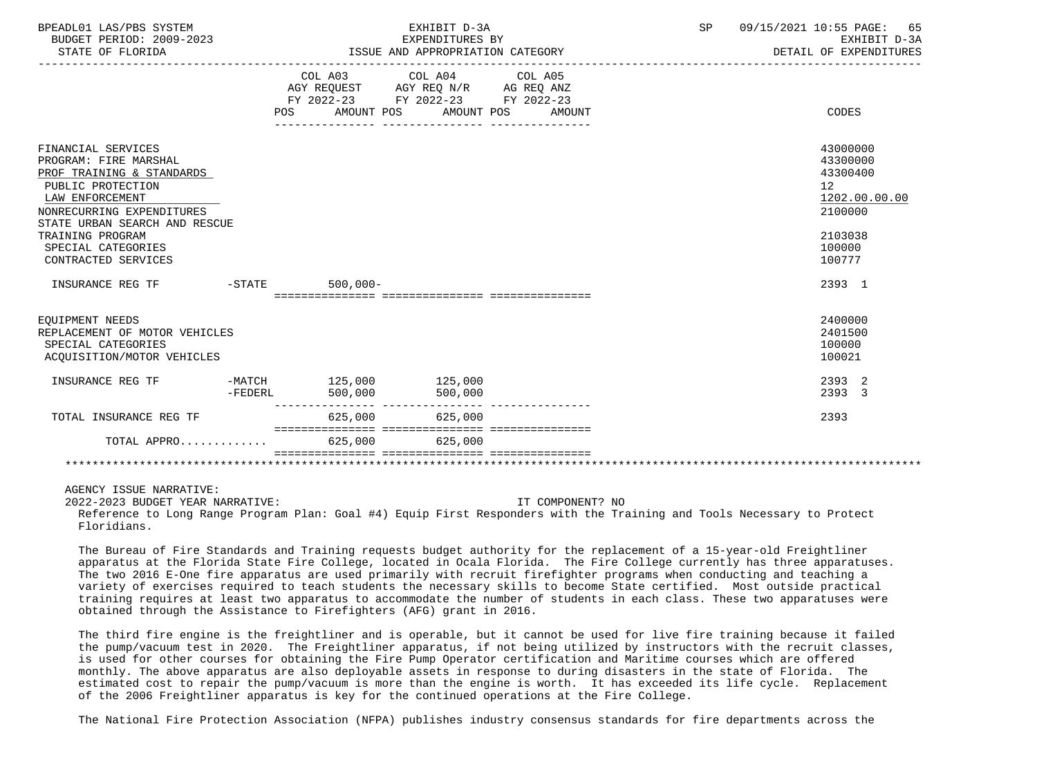| BPEADL01 LAS/PBS SYSTEM<br>BUDGET PERIOD: 2009-2023<br>STATE OF FLORIDA                                                                                                                                                                         |           |                                                                                                   | EXHIBIT D-3A<br>EXPENDITURES BY<br>ISSUE AND APPROPRIATION CATEGORY | SP                               | 09/15/2021 10:55 PAGE: 65<br>EXHIBIT D-3A<br>DETAIL OF EXPENDITURES |                                                                                                   |
|-------------------------------------------------------------------------------------------------------------------------------------------------------------------------------------------------------------------------------------------------|-----------|---------------------------------------------------------------------------------------------------|---------------------------------------------------------------------|----------------------------------|---------------------------------------------------------------------|---------------------------------------------------------------------------------------------------|
|                                                                                                                                                                                                                                                 |           | COL A03 COL A04 COL A05<br>AGY REQUEST AGY REQ N/R AG REQ ANZ<br>FY 2022-23 FY 2022-23 FY 2022-23 |                                                                     | POS AMOUNT POS AMOUNT POS AMOUNT |                                                                     | CODES                                                                                             |
| FINANCIAL SERVICES<br>PROGRAM: FIRE MARSHAL<br>PROF TRAINING & STANDARDS<br>PUBLIC PROTECTION<br>LAW ENFORCEMENT<br>NONRECURRING EXPENDITURES<br>STATE URBAN SEARCH AND RESCUE<br>TRAINING PROGRAM<br>SPECIAL CATEGORIES<br>CONTRACTED SERVICES |           |                                                                                                   |                                                                     |                                  |                                                                     | 43000000<br>43300000<br>43300400<br>12<br>1202.00.00.00<br>2100000<br>2103038<br>100000<br>100777 |
| INSURANCE REG TF                                                                                                                                                                                                                                | $-STATE$  | $500,000 -$                                                                                       |                                                                     |                                  |                                                                     | 2393 1                                                                                            |
| EOUIPMENT NEEDS<br>REPLACEMENT OF MOTOR VEHICLES<br>SPECIAL CATEGORIES<br>ACQUISITION/MOTOR VEHICLES                                                                                                                                            |           |                                                                                                   |                                                                     |                                  |                                                                     | 2400000<br>2401500<br>100000<br>100021                                                            |
| INSURANCE REG TF                                                                                                                                                                                                                                | $-FEDERL$ | -MATCH 125,000 125,000<br>500,000                                                                 | 500,000                                                             |                                  |                                                                     | 2393 2<br>2393 3                                                                                  |
| TOTAL INSURANCE REG TF                                                                                                                                                                                                                          |           | 625,000                                                                                           | 625,000                                                             |                                  |                                                                     | 2393                                                                                              |
| TOTAL APPRO                                                                                                                                                                                                                                     |           | 625,000                                                                                           | 625,000                                                             |                                  |                                                                     |                                                                                                   |
|                                                                                                                                                                                                                                                 |           |                                                                                                   |                                                                     |                                  |                                                                     |                                                                                                   |

2022-2023 BUDGET YEAR NARRATIVE: IT COMPONENT? NO

 Reference to Long Range Program Plan: Goal #4) Equip First Responders with the Training and Tools Necessary to Protect Floridians.

 The Bureau of Fire Standards and Training requests budget authority for the replacement of a 15-year-old Freightliner apparatus at the Florida State Fire College, located in Ocala Florida. The Fire College currently has three apparatuses. The two 2016 E-One fire apparatus are used primarily with recruit firefighter programs when conducting and teaching a variety of exercises required to teach students the necessary skills to become State certified. Most outside practical training requires at least two apparatus to accommodate the number of students in each class. These two apparatuses were obtained through the Assistance to Firefighters (AFG) grant in 2016.

 The third fire engine is the freightliner and is operable, but it cannot be used for live fire training because it failed the pump/vacuum test in 2020. The Freightliner apparatus, if not being utilized by instructors with the recruit classes, is used for other courses for obtaining the Fire Pump Operator certification and Maritime courses which are offered monthly. The above apparatus are also deployable assets in response to during disasters in the state of Florida. The estimated cost to repair the pump/vacuum is more than the engine is worth. It has exceeded its life cycle. Replacement of the 2006 Freightliner apparatus is key for the continued operations at the Fire College.

The National Fire Protection Association (NFPA) publishes industry consensus standards for fire departments across the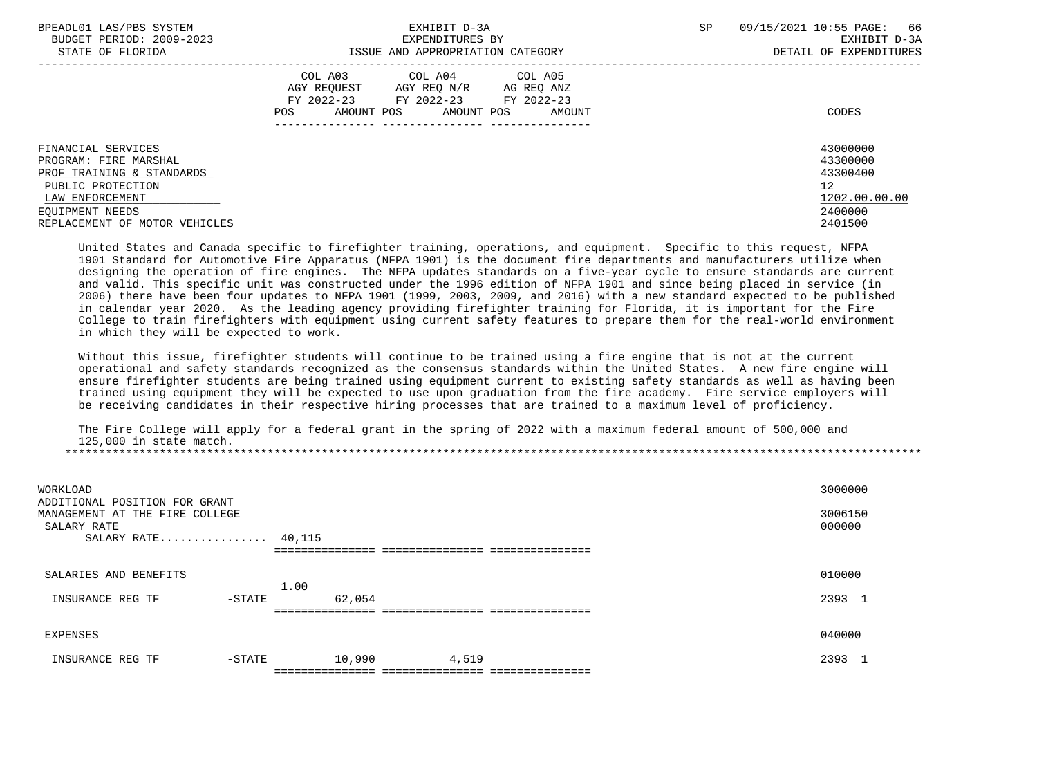| BPEADL01 LAS/PBS SYSTEM       | EXHIBIT D-3A                           | 09/15/2021 10:55 PAGE: 66<br>SP |
|-------------------------------|----------------------------------------|---------------------------------|
| BUDGET PERIOD: 2009-2023      | EXPENDITURES BY                        | EXHIBIT D-3A                    |
| STATE OF FLORIDA              | ISSUE AND APPROPRIATION CATEGORY       | DETAIL OF EXPENDITURES          |
|                               | COL A03 COL A04 COL A05                |                                 |
|                               | AGY REQUEST AGY REQ N/R AG REQ ANZ     |                                 |
|                               | FY 2022-23 FY 2022-23<br>FY 2022-23    |                                 |
|                               | AMOUNT POS AMOUNT POS<br>AMOUNT<br>POS | CODES                           |
|                               |                                        |                                 |
| FINANCIAL SERVICES            |                                        | 43000000                        |
| PROGRAM: FIRE MARSHAL         |                                        | 43300000                        |
| PROF TRAINING & STANDARDS     |                                        | 43300400                        |
| PUBLIC PROTECTION             |                                        | 12                              |
| LAW ENFORCEMENT               |                                        | 1202.00.00.00                   |
| EOUIPMENT NEEDS               |                                        | 2400000                         |
| REPLACEMENT OF MOTOR VEHICLES |                                        | 2401500                         |

 United States and Canada specific to firefighter training, operations, and equipment. Specific to this request, NFPA 1901 Standard for Automotive Fire Apparatus (NFPA 1901) is the document fire departments and manufacturers utilize when designing the operation of fire engines. The NFPA updates standards on a five-year cycle to ensure standards are current and valid. This specific unit was constructed under the 1996 edition of NFPA 1901 and since being placed in service (in 2006) there have been four updates to NFPA 1901 (1999, 2003, 2009, and 2016) with a new standard expected to be published in calendar year 2020. As the leading agency providing firefighter training for Florida, it is important for the Fire College to train firefighters with equipment using current safety features to prepare them for the real-world environment in which they will be expected to work.

 Without this issue, firefighter students will continue to be trained using a fire engine that is not at the current operational and safety standards recognized as the consensus standards within the United States. A new fire engine will ensure firefighter students are being trained using equipment current to existing safety standards as well as having been trained using equipment they will be expected to use upon graduation from the fire academy. Fire service employers will be receiving candidates in their respective hiring processes that are trained to a maximum level of proficiency.

 The Fire College will apply for a federal grant in the spring of 2022 with a maximum federal amount of 500,000 and 125,000 in state match. \*\*\*\*\*\*\*\*\*\*\*\*\*\*\*\*\*\*\*\*\*\*\*\*\*\*\*\*\*\*\*\*\*\*\*\*\*\*\*\*\*\*\*\*\*\*\*\*\*\*\*\*\*\*\*\*\*\*\*\*\*\*\*\*\*\*\*\*\*\*\*\*\*\*\*\*\*\*\*\*\*\*\*\*\*\*\*\*\*\*\*\*\*\*\*\*\*\*\*\*\*\*\*\*\*\*\*\*\*\*\*\*\*\*\*\*\*\*\*\*\*\*\*\*\*\*\*

| WORKLOAD<br>ADDITIONAL POSITION FOR GRANT<br>MANAGEMENT AT THE FIRE COLLEGE<br>SALARY RATE<br>SALARY RATE $40,115$ |           |                |       | 3000000<br>3006150<br>000000 |
|--------------------------------------------------------------------------------------------------------------------|-----------|----------------|-------|------------------------------|
| SALARIES AND BENEFITS                                                                                              |           |                |       | 010000                       |
| INSURANCE REG TF                                                                                                   | $-$ STATE | 1.00<br>62,054 |       | 2393 1                       |
| EXPENSES                                                                                                           |           |                |       | 040000                       |
| INSURANCE REG TF                                                                                                   | $-$ STATE | 10,990         | 4,519 | 2393 1                       |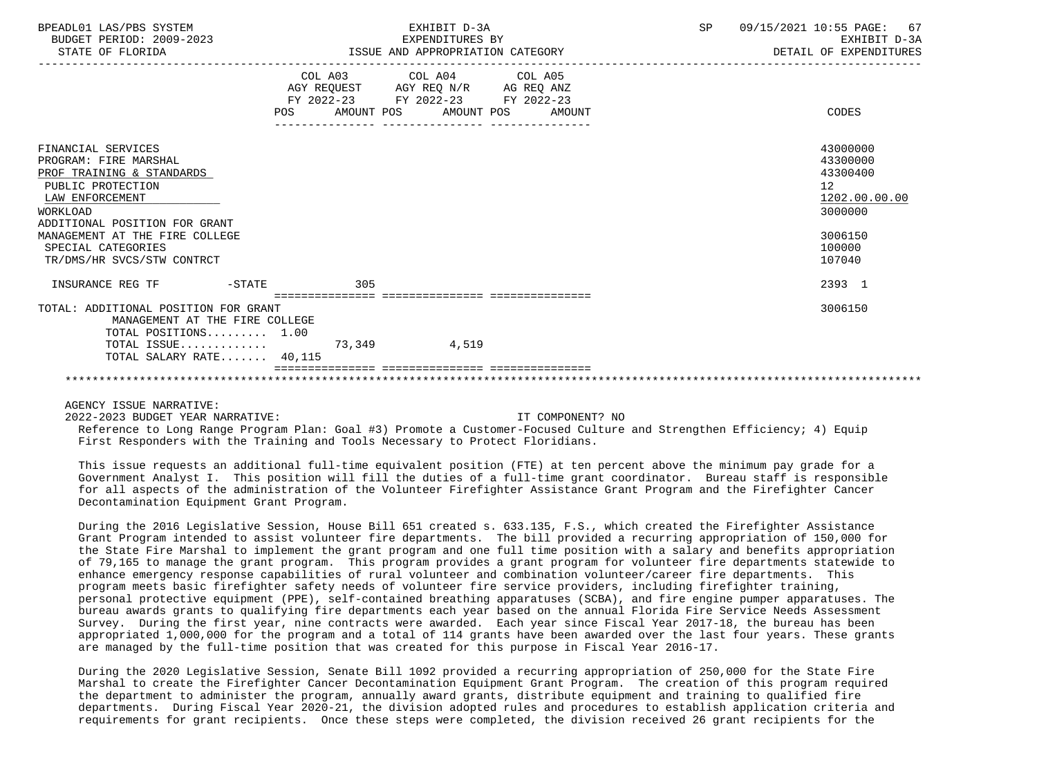| BPEADL01 LAS/PBS SYSTEM<br>BUDGET PERIOD: 2009-2023<br>STATE OF FLORIDA                                                                                       |                                      | EXHIBIT D-3A<br>EXPENDITURES BY<br>ISSUE AND APPROPRIATION CATEGORY                                                                   | SP | 09/15/2021 10:55 PAGE: 67<br>EXHIBIT D-3A<br>DETAIL OF EXPENDITURES |
|---------------------------------------------------------------------------------------------------------------------------------------------------------------|--------------------------------------|---------------------------------------------------------------------------------------------------------------------------------------|----|---------------------------------------------------------------------|
|                                                                                                                                                               |                                      | COL A03 COL A04 COL A05<br>AGY REQUEST AGY REQ N/R AG REQ ANZ<br>FY 2022-23 FY 2022-23 FY 2022-23<br>POS AMOUNT POS AMOUNT POS AMOUNT |    | CODES                                                               |
| FINANCIAL SERVICES<br>PROGRAM: FIRE MARSHAL<br>PROF TRAINING & STANDARDS<br>PUBLIC PROTECTION<br>LAW ENFORCEMENT<br>WORKLOAD<br>ADDITIONAL POSITION FOR GRANT |                                      |                                                                                                                                       |    | 43000000<br>43300000<br>43300400<br>12<br>1202.00.00.00<br>3000000  |
| MANAGEMENT AT THE FIRE COLLEGE<br>SPECIAL CATEGORIES<br>TR/DMS/HR SVCS/STW CONTRCT                                                                            |                                      |                                                                                                                                       |    | 3006150<br>100000<br>107040                                         |
| $-STATE$<br>INSURANCE REG TF                                                                                                                                  | 305                                  |                                                                                                                                       |    | 2393 1                                                              |
| TOTAL: ADDITIONAL POSITION FOR GRANT<br>MANAGEMENT AT THE FIRE COLLEGE<br>TOTAL POSITIONS 1.00<br>TOTAL ISSUE $73,349$<br>TOTAL SALARY RATE 40,115            | ____________________________________ | 4,519                                                                                                                                 |    | 3006150                                                             |
|                                                                                                                                                               |                                      |                                                                                                                                       |    |                                                                     |

2022-2023 BUDGET YEAR NARRATIVE: IT COMPONENT? NO

 Reference to Long Range Program Plan: Goal #3) Promote a Customer-Focused Culture and Strengthen Efficiency; 4) Equip First Responders with the Training and Tools Necessary to Protect Floridians.

 This issue requests an additional full-time equivalent position (FTE) at ten percent above the minimum pay grade for a Government Analyst I. This position will fill the duties of a full-time grant coordinator. Bureau staff is responsible for all aspects of the administration of the Volunteer Firefighter Assistance Grant Program and the Firefighter Cancer Decontamination Equipment Grant Program.

 During the 2016 Legislative Session, House Bill 651 created s. 633.135, F.S., which created the Firefighter Assistance Grant Program intended to assist volunteer fire departments. The bill provided a recurring appropriation of 150,000 for the State Fire Marshal to implement the grant program and one full time position with a salary and benefits appropriation of 79,165 to manage the grant program. This program provides a grant program for volunteer fire departments statewide to enhance emergency response capabilities of rural volunteer and combination volunteer/career fire departments. This program meets basic firefighter safety needs of volunteer fire service providers, including firefighter training, personal protective equipment (PPE), self-contained breathing apparatuses (SCBA), and fire engine pumper apparatuses. The bureau awards grants to qualifying fire departments each year based on the annual Florida Fire Service Needs Assessment Survey. During the first year, nine contracts were awarded. Each year since Fiscal Year 2017-18, the bureau has been appropriated 1,000,000 for the program and a total of 114 grants have been awarded over the last four years. These grants are managed by the full-time position that was created for this purpose in Fiscal Year 2016-17.

 During the 2020 Legislative Session, Senate Bill 1092 provided a recurring appropriation of 250,000 for the State Fire Marshal to create the Firefighter Cancer Decontamination Equipment Grant Program. The creation of this program required the department to administer the program, annually award grants, distribute equipment and training to qualified fire departments. During Fiscal Year 2020-21, the division adopted rules and procedures to establish application criteria and requirements for grant recipients. Once these steps were completed, the division received 26 grant recipients for the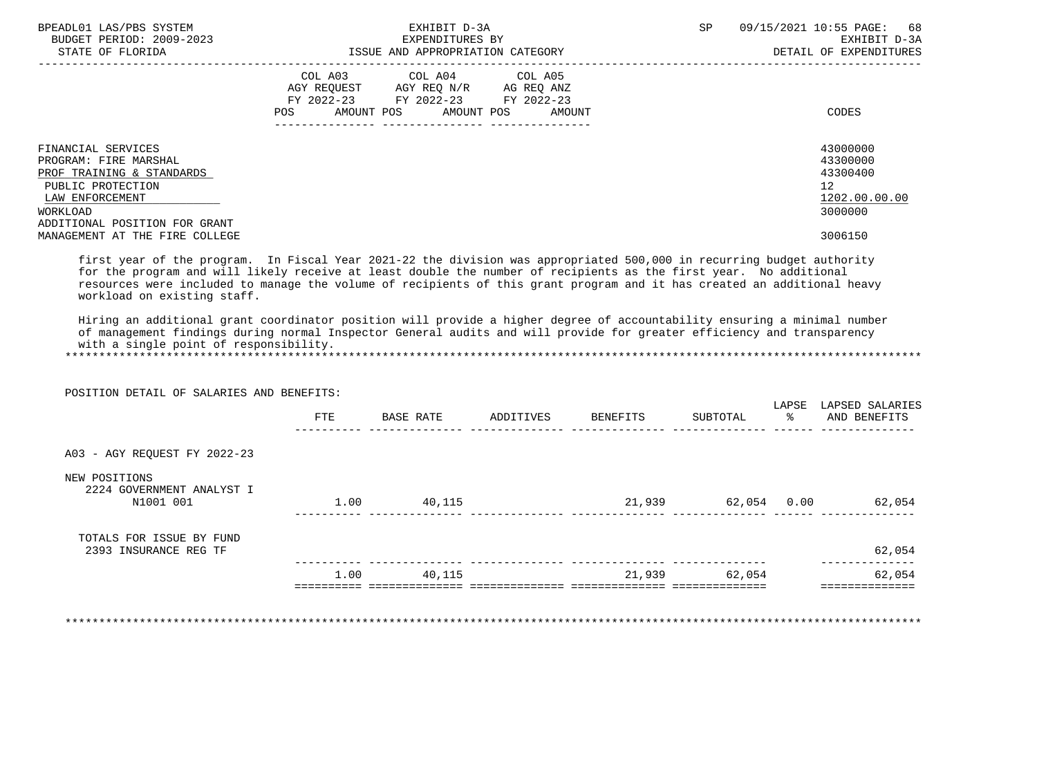| BPEADL01 LAS/PBS SYSTEM<br>BUDGET PERIOD: 2009-2023<br>STATE OF FLORIDA                                                                                                                                                                                                                                                                                                                                                                                                                                                                                                                                                                                                                              |     | EXHIBIT D-3A<br>EXPENDITURES BY<br>ISSUE AND APPROPRIATION CATEGORY                                                                   |  | SP       |               | 09/15/2021 10:55 PAGE:<br>68<br>EXHIBIT D-3A<br>DETAIL OF EXPENDITURES                     |
|------------------------------------------------------------------------------------------------------------------------------------------------------------------------------------------------------------------------------------------------------------------------------------------------------------------------------------------------------------------------------------------------------------------------------------------------------------------------------------------------------------------------------------------------------------------------------------------------------------------------------------------------------------------------------------------------------|-----|---------------------------------------------------------------------------------------------------------------------------------------|--|----------|---------------|--------------------------------------------------------------------------------------------|
|                                                                                                                                                                                                                                                                                                                                                                                                                                                                                                                                                                                                                                                                                                      |     | COL A03 COL A04 COL A05<br>AGY REQUEST AGY REQ N/R AG REQ ANZ<br>FY 2022-23 FY 2022-23 FY 2022-23<br>POS AMOUNT POS AMOUNT POS AMOUNT |  |          |               | CODES                                                                                      |
| FINANCIAL SERVICES<br>PROGRAM: FIRE MARSHAL<br>PROF TRAINING & STANDARDS<br>PUBLIC PROTECTION<br>LAW ENFORCEMENT<br>WORKLOAD<br>ADDITIONAL POSITION FOR GRANT<br>MANAGEMENT AT THE FIRE COLLEGE                                                                                                                                                                                                                                                                                                                                                                                                                                                                                                      |     |                                                                                                                                       |  |          |               | 43000000<br>43300000<br>43300400<br>12 <sup>°</sup><br>1202.00.00.00<br>3000000<br>3006150 |
|                                                                                                                                                                                                                                                                                                                                                                                                                                                                                                                                                                                                                                                                                                      |     |                                                                                                                                       |  |          |               |                                                                                            |
| first year of the program. In Fiscal Year 2021-22 the division was appropriated 500,000 in recurring budget authority<br>for the program and will likely receive at least double the number of recipients as the first year. No additional<br>resources were included to manage the volume of recipients of this grant program and it has created an additional heavy<br>workload on existing staff.<br>Hiring an additional grant coordinator position will provide a higher degree of accountability ensuring a minimal number<br>of management findings during normal Inspector General audits and will provide for greater efficiency and transparency<br>with a single point of responsibility. |     |                                                                                                                                       |  |          |               |                                                                                            |
| POSITION DETAIL OF SALARIES AND BENEFITS:                                                                                                                                                                                                                                                                                                                                                                                                                                                                                                                                                                                                                                                            |     |                                                                                                                                       |  |          |               |                                                                                            |
|                                                                                                                                                                                                                                                                                                                                                                                                                                                                                                                                                                                                                                                                                                      | ETE | BASE RATE ADDITIVES BENEFITS                                                                                                          |  | SUBTOTAL | $\sim$ $\sim$ | AND BENEFITS                                                                               |
| A03 - AGY REQUEST FY 2022-23                                                                                                                                                                                                                                                                                                                                                                                                                                                                                                                                                                                                                                                                         |     |                                                                                                                                       |  |          |               |                                                                                            |
| NEW POSITIONS<br>2224 GOVERNMENT ANALYST I<br>N1001 001                                                                                                                                                                                                                                                                                                                                                                                                                                                                                                                                                                                                                                              |     | $1.00$ 40,115                                                                                                                         |  |          |               |                                                                                            |
| TOTALS FOR ISSUE BY FUND<br>2393 INSURANCE REG TF                                                                                                                                                                                                                                                                                                                                                                                                                                                                                                                                                                                                                                                    |     |                                                                                                                                       |  |          |               | LAPSE LAPSED SALARIES<br>21,939 62,054 0.00 62,054<br>62,054                               |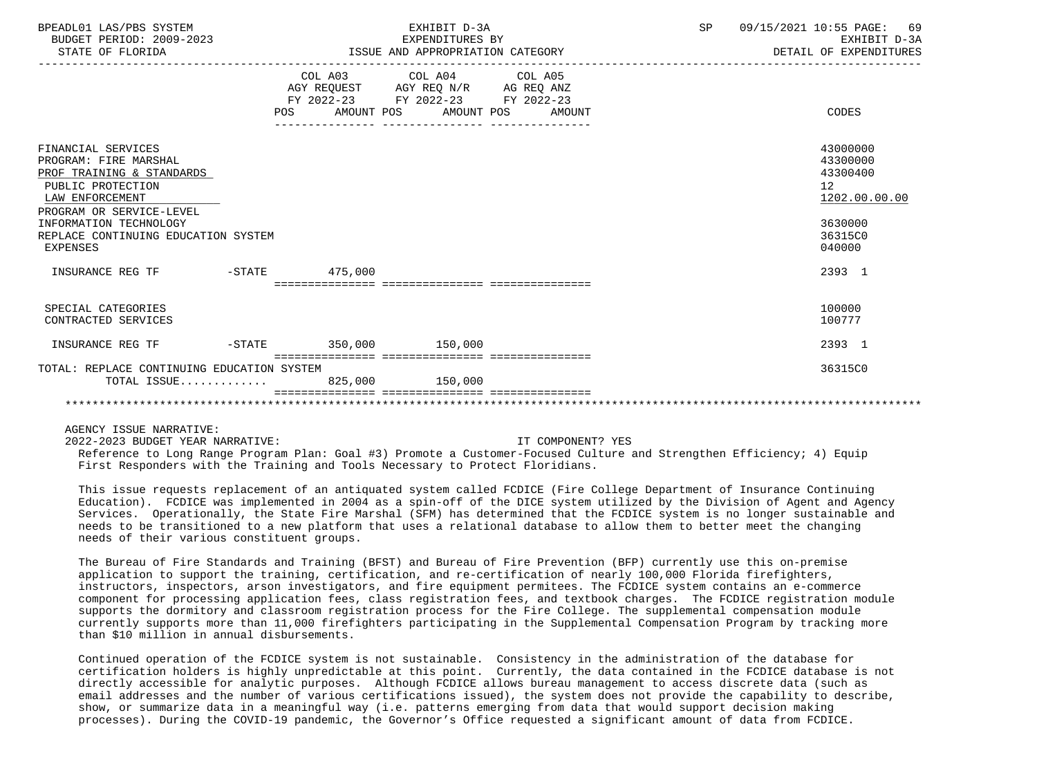| BPEADL01 LAS/PBS SYSTEM<br>BUDGET PERIOD: 2009-2023<br>STATE OF FLORIDA                                                                                                                                                          | EXHIBIT D-3A<br>EXPENDITURES BY<br>ISSUE AND APPROPRIATION CATEGORY                                                                   |  |  |  | SP<br>09/15/2021 10:55 PAGE: 69<br>EXHIBIT D-3A<br>DETAIL OF EXPENDITURES                            |
|----------------------------------------------------------------------------------------------------------------------------------------------------------------------------------------------------------------------------------|---------------------------------------------------------------------------------------------------------------------------------------|--|--|--|------------------------------------------------------------------------------------------------------|
|                                                                                                                                                                                                                                  | COL A03 COL A04 COL A05<br>AGY REQUEST AGY REQ N/R AG REQ ANZ<br>FY 2022-23 FY 2022-23 FY 2022-23<br>POS AMOUNT POS AMOUNT POS AMOUNT |  |  |  | CODES                                                                                                |
| FINANCIAL SERVICES<br>PROGRAM: FIRE MARSHAL<br>PROF TRAINING & STANDARDS<br>PUBLIC PROTECTION<br>LAW ENFORCEMENT<br>PROGRAM OR SERVICE-LEVEL<br>INFORMATION TECHNOLOGY<br>REPLACE CONTINUING EDUCATION SYSTEM<br><b>EXPENSES</b> |                                                                                                                                       |  |  |  | 43000000<br>43300000<br>43300400<br>12 <sup>°</sup><br>1202.00.00.00<br>3630000<br>36315C0<br>040000 |
| INSURANCE REG TF    -STATE    475,000                                                                                                                                                                                            |                                                                                                                                       |  |  |  | 2393 1                                                                                               |
| SPECIAL CATEGORIES<br>CONTRACTED SERVICES                                                                                                                                                                                        |                                                                                                                                       |  |  |  | 100000<br>100777                                                                                     |
| INSURANCE REG TF                                                                                                                                                                                                                 | $-STATE$ 350,000 150,000                                                                                                              |  |  |  | 2393 1                                                                                               |
|                                                                                                                                                                                                                                  |                                                                                                                                       |  |  |  |                                                                                                      |
| TOTAL: REPLACE CONTINUING EDUCATION SYSTEM                                                                                                                                                                                       |                                                                                                                                       |  |  |  | 36315C0                                                                                              |
| TOTAL ISSUE 825,000 150,000                                                                                                                                                                                                      |                                                                                                                                       |  |  |  |                                                                                                      |
|                                                                                                                                                                                                                                  |                                                                                                                                       |  |  |  |                                                                                                      |

2022-2023 BUDGET YEAR NARRATIVE: IT COMPONENT? YES

 Reference to Long Range Program Plan: Goal #3) Promote a Customer-Focused Culture and Strengthen Efficiency; 4) Equip First Responders with the Training and Tools Necessary to Protect Floridians.

 This issue requests replacement of an antiquated system called FCDICE (Fire College Department of Insurance Continuing Education). FCDICE was implemented in 2004 as a spin-off of the DICE system utilized by the Division of Agent and Agency Services. Operationally, the State Fire Marshal (SFM) has determined that the FCDICE system is no longer sustainable and needs to be transitioned to a new platform that uses a relational database to allow them to better meet the changing needs of their various constituent groups.

 The Bureau of Fire Standards and Training (BFST) and Bureau of Fire Prevention (BFP) currently use this on-premise application to support the training, certification, and re-certification of nearly 100,000 Florida firefighters, instructors, inspectors, arson investigators, and fire equipment permitees. The FCDICE system contains an e-commerce component for processing application fees, class registration fees, and textbook charges. The FCDICE registration module supports the dormitory and classroom registration process for the Fire College. The supplemental compensation module currently supports more than 11,000 firefighters participating in the Supplemental Compensation Program by tracking more than \$10 million in annual disbursements.

 Continued operation of the FCDICE system is not sustainable. Consistency in the administration of the database for certification holders is highly unpredictable at this point. Currently, the data contained in the FCDICE database is not directly accessible for analytic purposes. Although FCDICE allows bureau management to access discrete data (such as email addresses and the number of various certifications issued), the system does not provide the capability to describe, show, or summarize data in a meaningful way (i.e. patterns emerging from data that would support decision making processes). During the COVID-19 pandemic, the Governor's Office requested a significant amount of data from FCDICE.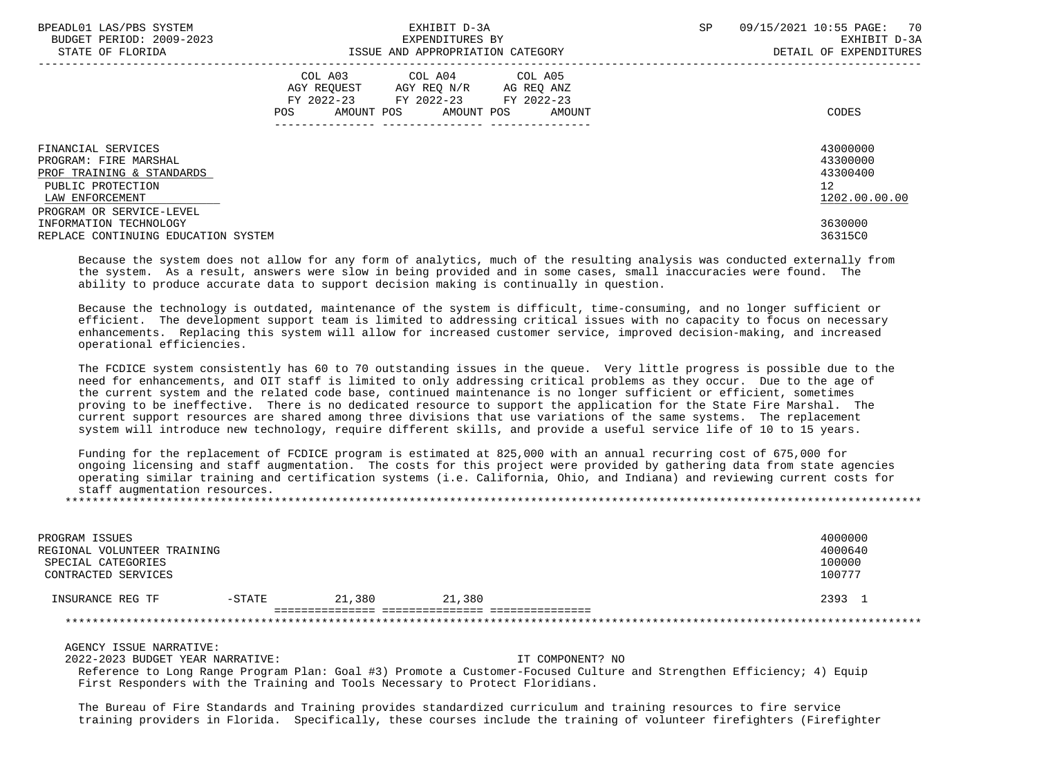| BPEADL01 LAS/PBS SYSTEM<br>BUDGET PERIOD: 2009-2023<br>STATE OF FLORIDA                                                                      |     | EXHIBIT D-3A<br>EXPENDITURES BY<br>ISSUE AND APPROPRIATION CATEGORY                                                                  | 09/15/2021 10:55 PAGE: 70<br>SP. | EXHIBIT D-3A<br>DETAIL OF EXPENDITURES            |
|----------------------------------------------------------------------------------------------------------------------------------------------|-----|--------------------------------------------------------------------------------------------------------------------------------------|----------------------------------|---------------------------------------------------|
|                                                                                                                                              | POS | COL A03 COL A04 COL A05<br>AGY REQUEST AGY REQ N/R AG REQ ANZ<br>FY 2022-23 FY 2022-23 FY 2022-23<br>AMOUNT POS AMOUNT POS<br>AMOUNT | CODES                            |                                                   |
| FINANCIAL SERVICES<br>PROGRAM: FIRE MARSHAL<br>PROF TRAINING & STANDARDS<br>PUBLIC PROTECTION<br>LAW ENFORCEMENT<br>PROGRAM OR SERVICE-LEVEL |     |                                                                                                                                      | $12 \overline{ }$                | 43000000<br>43300000<br>43300400<br>1202.00.00.00 |
| INFORMATION TECHNOLOGY<br>REPLACE CONTINUING EDUCATION SYSTEM                                                                                |     |                                                                                                                                      |                                  | 3630000<br>36315C0                                |

 Because the system does not allow for any form of analytics, much of the resulting analysis was conducted externally from the system. As a result, answers were slow in being provided and in some cases, small inaccuracies were found. The ability to produce accurate data to support decision making is continually in question.

 Because the technology is outdated, maintenance of the system is difficult, time-consuming, and no longer sufficient or efficient. The development support team is limited to addressing critical issues with no capacity to focus on necessary enhancements. Replacing this system will allow for increased customer service, improved decision-making, and increased operational efficiencies.

 The FCDICE system consistently has 60 to 70 outstanding issues in the queue. Very little progress is possible due to the need for enhancements, and OIT staff is limited to only addressing critical problems as they occur. Due to the age of the current system and the related code base, continued maintenance is no longer sufficient or efficient, sometimes proving to be ineffective. There is no dedicated resource to support the application for the State Fire Marshal. The current support resources are shared among three divisions that use variations of the same systems. The replacement system will introduce new technology, require different skills, and provide a useful service life of 10 to 15 years.

 Funding for the replacement of FCDICE program is estimated at 825,000 with an annual recurring cost of 675,000 for ongoing licensing and staff augmentation. The costs for this project were provided by gathering data from state agencies operating similar training and certification systems (i.e. California, Ohio, and Indiana) and reviewing current costs for staff augmentation resources. \*\*\*\*\*\*\*\*\*\*\*\*\*\*\*\*\*\*\*\*\*\*\*\*\*\*\*\*\*\*\*\*\*\*\*\*\*\*\*\*\*\*\*\*\*\*\*\*\*\*\*\*\*\*\*\*\*\*\*\*\*\*\*\*\*\*\*\*\*\*\*\*\*\*\*\*\*\*\*\*\*\*\*\*\*\*\*\*\*\*\*\*\*\*\*\*\*\*\*\*\*\*\*\*\*\*\*\*\*\*\*\*\*\*\*\*\*\*\*\*\*\*\*\*\*\*\*

 PROGRAM ISSUES 4000000 REGIONAL VOLUNTEER TRAINING († 1898)<br>1990 - Sergia de Carlo de Carlo de Carlo de Carlo de Carlo de Carlo de Carlo de Carlo de Carlo de Carlo de Car<br>1990 - Carlo de Carlo de Carlo de Carlo de Carlo de Carlo de Carlo de Carl SPECIAL CATEGORIES 100000 CONTRACTED SERVICES INSURANCE REG TF -STATE 21,380 21,380 2393 1 =============== =============== ===============

## \*\*\*\*\*\*\*\*\*\*\*\*\*\*\*\*\*\*\*\*\*\*\*\*\*\*\*\*\*\*\*\*\*\*\*\*\*\*\*\*\*\*\*\*\*\*\*\*\*\*\*\*\*\*\*\*\*\*\*\*\*\*\*\*\*\*\*\*\*\*\*\*\*\*\*\*\*\*\*\*\*\*\*\*\*\*\*\*\*\*\*\*\*\*\*\*\*\*\*\*\*\*\*\*\*\*\*\*\*\*\*\*\*\*\*\*\*\*\*\*\*\*\*\*\*\*\*

AGENCY ISSUE NARRATIVE:

2022-2023 BUDGET YEAR NARRATIVE: IT COMPONENT? NO

 Reference to Long Range Program Plan: Goal #3) Promote a Customer-Focused Culture and Strengthen Efficiency; 4) Equip First Responders with the Training and Tools Necessary to Protect Floridians.

 The Bureau of Fire Standards and Training provides standardized curriculum and training resources to fire service training providers in Florida. Specifically, these courses include the training of volunteer firefighters (Firefighter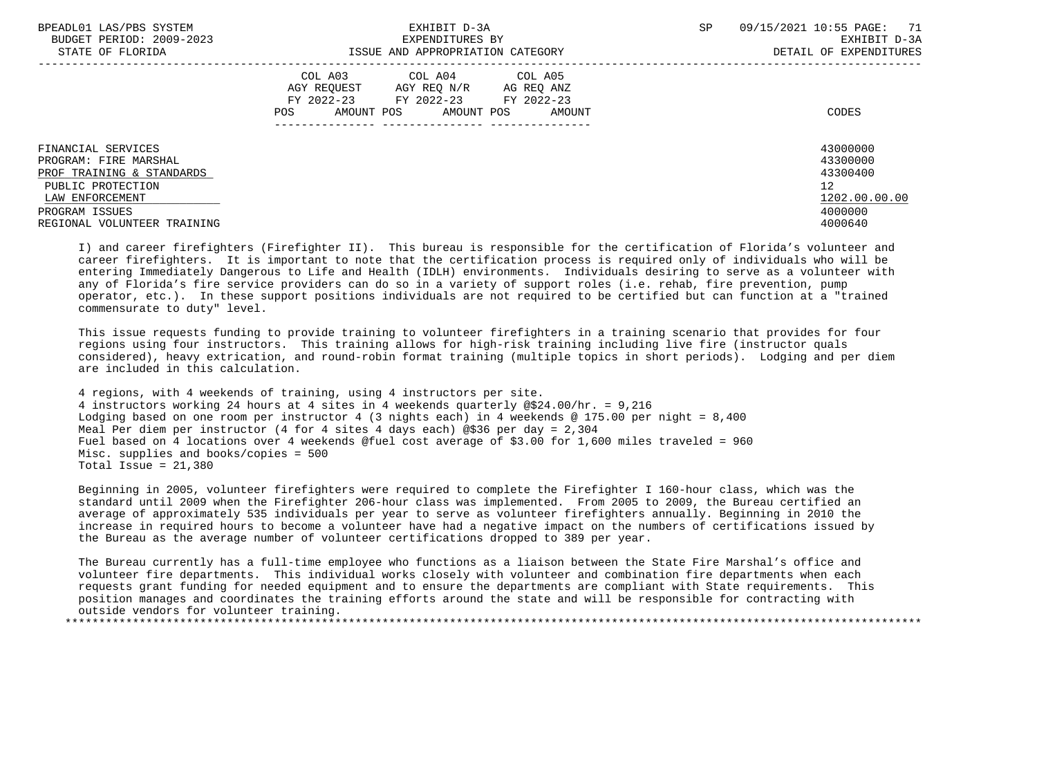| BPEADL01 LAS/PBS SYSTEM<br>BUDGET PERIOD: 2009-2023                                                              | EXHIBIT D-3A<br>EXPENDITURES BY                                                                                                                      | SP | 09/15/2021 10:55 PAGE: 71<br>EXHIBIT D-3A               |
|------------------------------------------------------------------------------------------------------------------|------------------------------------------------------------------------------------------------------------------------------------------------------|----|---------------------------------------------------------|
| STATE OF FLORIDA                                                                                                 | ISSUE AND APPROPRIATION CATEGORY                                                                                                                     |    | DETAIL OF EXPENDITURES                                  |
|                                                                                                                  | COL A03 COL A04 COL A05<br>AGY REOUEST<br>AGY REO N/R<br>AG REO ANZ<br>FY 2022-23 FY 2022-23<br>FY 2022-23<br>AMOUNT POS AMOUNT POS<br>POS<br>AMOUNT |    | CODES                                                   |
| FINANCIAL SERVICES<br>PROGRAM: FIRE MARSHAL<br>PROF TRAINING & STANDARDS<br>PUBLIC PROTECTION<br>LAW ENFORCEMENT |                                                                                                                                                      |    | 43000000<br>43300000<br>43300400<br>12<br>1202.00.00.00 |
| PROGRAM ISSUES<br>REGIONAL VOLUNTEER TRAINING                                                                    |                                                                                                                                                      |    | 4000000<br>4000640                                      |

 I) and career firefighters (Firefighter II). This bureau is responsible for the certification of Florida's volunteer and career firefighters. It is important to note that the certification process is required only of individuals who will be entering Immediately Dangerous to Life and Health (IDLH) environments. Individuals desiring to serve as a volunteer with any of Florida's fire service providers can do so in a variety of support roles (i.e. rehab, fire prevention, pump operator, etc.). In these support positions individuals are not required to be certified but can function at a "trained commensurate to duty" level.

 This issue requests funding to provide training to volunteer firefighters in a training scenario that provides for four regions using four instructors. This training allows for high-risk training including live fire (instructor quals considered), heavy extrication, and round-robin format training (multiple topics in short periods). Lodging and per diem are included in this calculation.

 4 regions, with 4 weekends of training, using 4 instructors per site. 4 instructors working 24 hours at 4 sites in 4 weekends quarterly @\$24.00/hr. = 9,216 Lodging based on one room per instructor 4 (3 nights each) in 4 weekends @ 175.00 per night = 8,400 Meal Per diem per instructor (4 for 4 sites 4 days each) @\$36 per day = 2,304 Fuel based on 4 locations over 4 weekends @fuel cost average of \$3.00 for 1,600 miles traveled = 960 Misc. supplies and books/copies = 500 Total Issue =  $21,380$ 

 Beginning in 2005, volunteer firefighters were required to complete the Firefighter I 160-hour class, which was the standard until 2009 when the Firefighter 206-hour class was implemented. From 2005 to 2009, the Bureau certified an average of approximately 535 individuals per year to serve as volunteer firefighters annually. Beginning in 2010 the increase in required hours to become a volunteer have had a negative impact on the numbers of certifications issued by the Bureau as the average number of volunteer certifications dropped to 389 per year.

 The Bureau currently has a full-time employee who functions as a liaison between the State Fire Marshal's office and volunteer fire departments. This individual works closely with volunteer and combination fire departments when each requests grant funding for needed equipment and to ensure the departments are compliant with State requirements. This position manages and coordinates the training efforts around the state and will be responsible for contracting with outside vendors for volunteer training. \*\*\*\*\*\*\*\*\*\*\*\*\*\*\*\*\*\*\*\*\*\*\*\*\*\*\*\*\*\*\*\*\*\*\*\*\*\*\*\*\*\*\*\*\*\*\*\*\*\*\*\*\*\*\*\*\*\*\*\*\*\*\*\*\*\*\*\*\*\*\*\*\*\*\*\*\*\*\*\*\*\*\*\*\*\*\*\*\*\*\*\*\*\*\*\*\*\*\*\*\*\*\*\*\*\*\*\*\*\*\*\*\*\*\*\*\*\*\*\*\*\*\*\*\*\*\*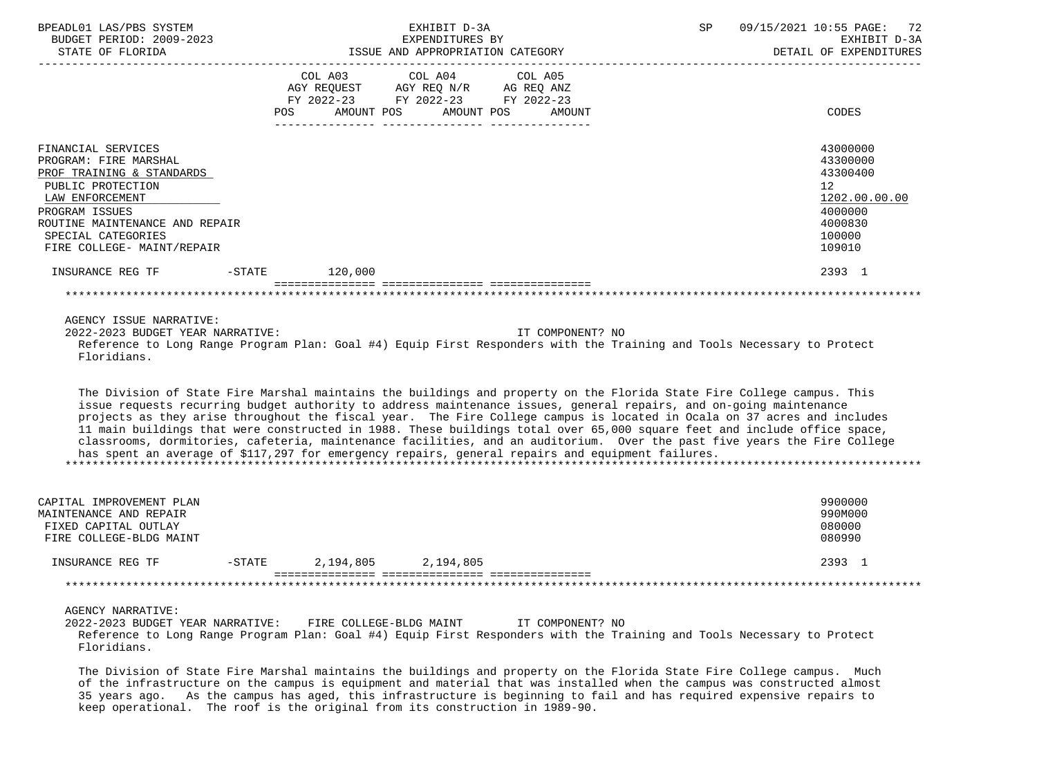| BPEADL01 LAS/PBS SYSTEM                                                     | EXHIBIT D-3A                                                                                                                                                                                                                                                                                                                                                                                                                                                                                                                                                                                                                                                                                                                        | 09/15/2021 10:55 PAGE: 72<br>SP        |  |  |  |
|-----------------------------------------------------------------------------|-------------------------------------------------------------------------------------------------------------------------------------------------------------------------------------------------------------------------------------------------------------------------------------------------------------------------------------------------------------------------------------------------------------------------------------------------------------------------------------------------------------------------------------------------------------------------------------------------------------------------------------------------------------------------------------------------------------------------------------|----------------------------------------|--|--|--|
| BUDGET PERIOD: 2009-2023<br>STATE OF FLORIDA                                | EXPENDITURES BY<br>ISSUE AND APPROPRIATION CATEGORY                                                                                                                                                                                                                                                                                                                                                                                                                                                                                                                                                                                                                                                                                 | EXHIBIT D-3A<br>DETAIL OF EXPENDITURES |  |  |  |
|                                                                             |                                                                                                                                                                                                                                                                                                                                                                                                                                                                                                                                                                                                                                                                                                                                     |                                        |  |  |  |
|                                                                             | COL A03<br>COL A04<br>COL A05                                                                                                                                                                                                                                                                                                                                                                                                                                                                                                                                                                                                                                                                                                       |                                        |  |  |  |
|                                                                             | AGY REQUEST AGY REQ N/R AG REQ ANZ<br>FY 2022-23 FY 2022-23 FY 2022-23                                                                                                                                                                                                                                                                                                                                                                                                                                                                                                                                                                                                                                                              |                                        |  |  |  |
|                                                                             | AMOUNT POS AMOUNT POS<br>POS<br>AMOUNT                                                                                                                                                                                                                                                                                                                                                                                                                                                                                                                                                                                                                                                                                              | CODES                                  |  |  |  |
|                                                                             |                                                                                                                                                                                                                                                                                                                                                                                                                                                                                                                                                                                                                                                                                                                                     |                                        |  |  |  |
| FINANCIAL SERVICES                                                          |                                                                                                                                                                                                                                                                                                                                                                                                                                                                                                                                                                                                                                                                                                                                     | 43000000                               |  |  |  |
| PROGRAM: FIRE MARSHAL                                                       |                                                                                                                                                                                                                                                                                                                                                                                                                                                                                                                                                                                                                                                                                                                                     | 43300000                               |  |  |  |
| PROF TRAINING & STANDARDS                                                   |                                                                                                                                                                                                                                                                                                                                                                                                                                                                                                                                                                                                                                                                                                                                     | 43300400                               |  |  |  |
| PUBLIC PROTECTION                                                           |                                                                                                                                                                                                                                                                                                                                                                                                                                                                                                                                                                                                                                                                                                                                     | 12                                     |  |  |  |
| LAW ENFORCEMENT                                                             |                                                                                                                                                                                                                                                                                                                                                                                                                                                                                                                                                                                                                                                                                                                                     | 1202.00.00.00                          |  |  |  |
| PROGRAM ISSUES                                                              |                                                                                                                                                                                                                                                                                                                                                                                                                                                                                                                                                                                                                                                                                                                                     | 4000000                                |  |  |  |
| ROUTINE MAINTENANCE AND REPAIR                                              |                                                                                                                                                                                                                                                                                                                                                                                                                                                                                                                                                                                                                                                                                                                                     | 4000830                                |  |  |  |
| SPECIAL CATEGORIES                                                          |                                                                                                                                                                                                                                                                                                                                                                                                                                                                                                                                                                                                                                                                                                                                     | 100000                                 |  |  |  |
| FIRE COLLEGE- MAINT/REPAIR                                                  |                                                                                                                                                                                                                                                                                                                                                                                                                                                                                                                                                                                                                                                                                                                                     | 109010                                 |  |  |  |
| INSURANCE REG TF                                                            | -STATE 120,000                                                                                                                                                                                                                                                                                                                                                                                                                                                                                                                                                                                                                                                                                                                      | 2393 1                                 |  |  |  |
|                                                                             |                                                                                                                                                                                                                                                                                                                                                                                                                                                                                                                                                                                                                                                                                                                                     |                                        |  |  |  |
|                                                                             |                                                                                                                                                                                                                                                                                                                                                                                                                                                                                                                                                                                                                                                                                                                                     |                                        |  |  |  |
| AGENCY ISSUE NARRATIVE:<br>2022-2023 BUDGET YEAR NARRATIVE:<br>Floridians.  | IT COMPONENT? NO<br>Reference to Long Range Program Plan: Goal #4) Equip First Responders with the Training and Tools Necessary to Protect                                                                                                                                                                                                                                                                                                                                                                                                                                                                                                                                                                                          |                                        |  |  |  |
|                                                                             | The Division of State Fire Marshal maintains the buildings and property on the Florida State Fire College campus. This<br>issue requests recurring budget authority to address maintenance issues, general repairs, and on-going maintenance<br>projects as they arise throughout the fiscal year. The Fire College campus is located in Ocala on 37 acres and includes<br>11 main buildings that were constructed in 1988. These buildings total over 65,000 square feet and include office space,<br>classrooms, dormitories, cafeteria, maintenance facilities, and an auditorium. Over the past five years the Fire College<br>has spent an average of \$117,297 for emergency repairs, general repairs and equipment failures. |                                        |  |  |  |
|                                                                             |                                                                                                                                                                                                                                                                                                                                                                                                                                                                                                                                                                                                                                                                                                                                     |                                        |  |  |  |
| CAPITAL IMPROVEMENT PLAN<br>MAINTENANCE AND REPAIR                          |                                                                                                                                                                                                                                                                                                                                                                                                                                                                                                                                                                                                                                                                                                                                     | 9900000<br>990M000                     |  |  |  |
| FIXED CAPITAL OUTLAY                                                        |                                                                                                                                                                                                                                                                                                                                                                                                                                                                                                                                                                                                                                                                                                                                     | 080000                                 |  |  |  |
| FIRE COLLEGE-BLDG MAINT                                                     |                                                                                                                                                                                                                                                                                                                                                                                                                                                                                                                                                                                                                                                                                                                                     | 080990                                 |  |  |  |
| INSURANCE REG TF                                                            | $-$ STATE<br>2,194,805<br>2,194,805                                                                                                                                                                                                                                                                                                                                                                                                                                                                                                                                                                                                                                                                                                 | 2393 1                                 |  |  |  |
|                                                                             |                                                                                                                                                                                                                                                                                                                                                                                                                                                                                                                                                                                                                                                                                                                                     |                                        |  |  |  |
| **********************************                                          | ***********************************                                                                                                                                                                                                                                                                                                                                                                                                                                                                                                                                                                                                                                                                                                 |                                        |  |  |  |
| <b>AGENCY NARRATIVE:</b><br>2022-2023 BUDGET YEAR NARRATIVE:<br>Floridians. | FIRE COLLEGE-BLDG MAINT<br>IT COMPONENT? NO<br>Reference to Long Range Program Plan: Goal #4) Equip First Responders with the Training and Tools Necessary to Protect                                                                                                                                                                                                                                                                                                                                                                                                                                                                                                                                                               |                                        |  |  |  |
|                                                                             | The Division of State Fire Marshal maintains the buildings and property on the Florida State Fire College campus. Much<br>of the infrastructure on the campus is equipment and material that was installed when the campus was constructed almost<br>35 years ago. As the campus has aged, this infrastructure is beginning to fail and has required expensive repairs to                                                                                                                                                                                                                                                                                                                                                           |                                        |  |  |  |

keep operational. The roof is the original from its construction in 1989-90.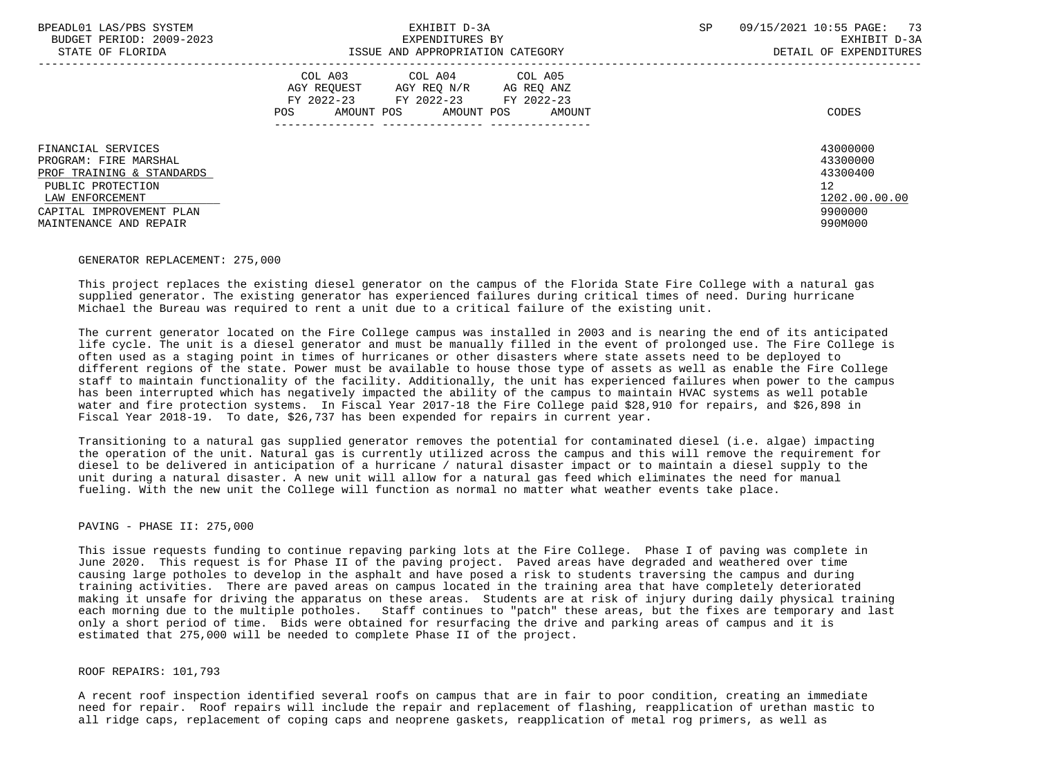| BPEADL01 LAS/PBS SYSTEM<br>BUDGET PERIOD: 2009-2023<br>STATE OF FLORIDA                                                                                                | EXHIBIT D-3A<br>EXPENDITURES BY<br>ISSUE AND APPROPRIATION CATEGORY                                                                                      | 09/15/2021 10:55 PAGE:<br>73<br>SP<br>EXHIBIT D-3A<br>DETAIL OF EXPENDITURES                 |
|------------------------------------------------------------------------------------------------------------------------------------------------------------------------|----------------------------------------------------------------------------------------------------------------------------------------------------------|----------------------------------------------------------------------------------------------|
|                                                                                                                                                                        | COL A03<br>COL A04 COL A05<br>AGY REQ N/R AG REQ ANZ<br>AGY REOUEST<br>FY 2022-23 FY 2022-23 FY 2022-23<br><b>POS</b><br>AMOUNT POS AMOUNT POS<br>AMOUNT | CODES                                                                                        |
| FINANCIAL SERVICES<br>PROGRAM: FIRE MARSHAL<br>PROF TRAINING & STANDARDS<br>PUBLIC PROTECTION<br>LAW ENFORCEMENT<br>CAPITAL IMPROVEMENT PLAN<br>MAINTENANCE AND REPAIR |                                                                                                                                                          | 43000000<br>43300000<br>43300400<br>$12 \overline{ }$<br>1202.00.00.00<br>9900000<br>990M000 |

### GENERATOR REPLACEMENT: 275,000

 This project replaces the existing diesel generator on the campus of the Florida State Fire College with a natural gas supplied generator. The existing generator has experienced failures during critical times of need. During hurricane Michael the Bureau was required to rent a unit due to a critical failure of the existing unit.

 The current generator located on the Fire College campus was installed in 2003 and is nearing the end of its anticipated life cycle. The unit is a diesel generator and must be manually filled in the event of prolonged use. The Fire College is often used as a staging point in times of hurricanes or other disasters where state assets need to be deployed to different regions of the state. Power must be available to house those type of assets as well as enable the Fire College staff to maintain functionality of the facility. Additionally, the unit has experienced failures when power to the campus has been interrupted which has negatively impacted the ability of the campus to maintain HVAC systems as well potable water and fire protection systems. In Fiscal Year 2017-18 the Fire College paid \$28,910 for repairs, and \$26,898 in Fiscal Year 2018-19. To date, \$26,737 has been expended for repairs in current year.

 Transitioning to a natural gas supplied generator removes the potential for contaminated diesel (i.e. algae) impacting the operation of the unit. Natural gas is currently utilized across the campus and this will remove the requirement for diesel to be delivered in anticipation of a hurricane / natural disaster impact or to maintain a diesel supply to the unit during a natural disaster. A new unit will allow for a natural gas feed which eliminates the need for manual fueling. With the new unit the College will function as normal no matter what weather events take place.

## PAVING - PHASE II: 275,000

 This issue requests funding to continue repaving parking lots at the Fire College. Phase I of paving was complete in June 2020. This request is for Phase II of the paving project. Paved areas have degraded and weathered over time causing large potholes to develop in the asphalt and have posed a risk to students traversing the campus and during training activities. There are paved areas on campus located in the training area that have completely deteriorated making it unsafe for driving the apparatus on these areas. Students are at risk of injury during daily physical training each morning due to the multiple potholes. Staff continues to "patch" these areas, but the fixes are temporary and last only a short period of time. Bids were obtained for resurfacing the drive and parking areas of campus and it is estimated that 275,000 will be needed to complete Phase II of the project.

## ROOF REPAIRS: 101,793

 A recent roof inspection identified several roofs on campus that are in fair to poor condition, creating an immediate need for repair. Roof repairs will include the repair and replacement of flashing, reapplication of urethan mastic to all ridge caps, replacement of coping caps and neoprene gaskets, reapplication of metal rog primers, as well as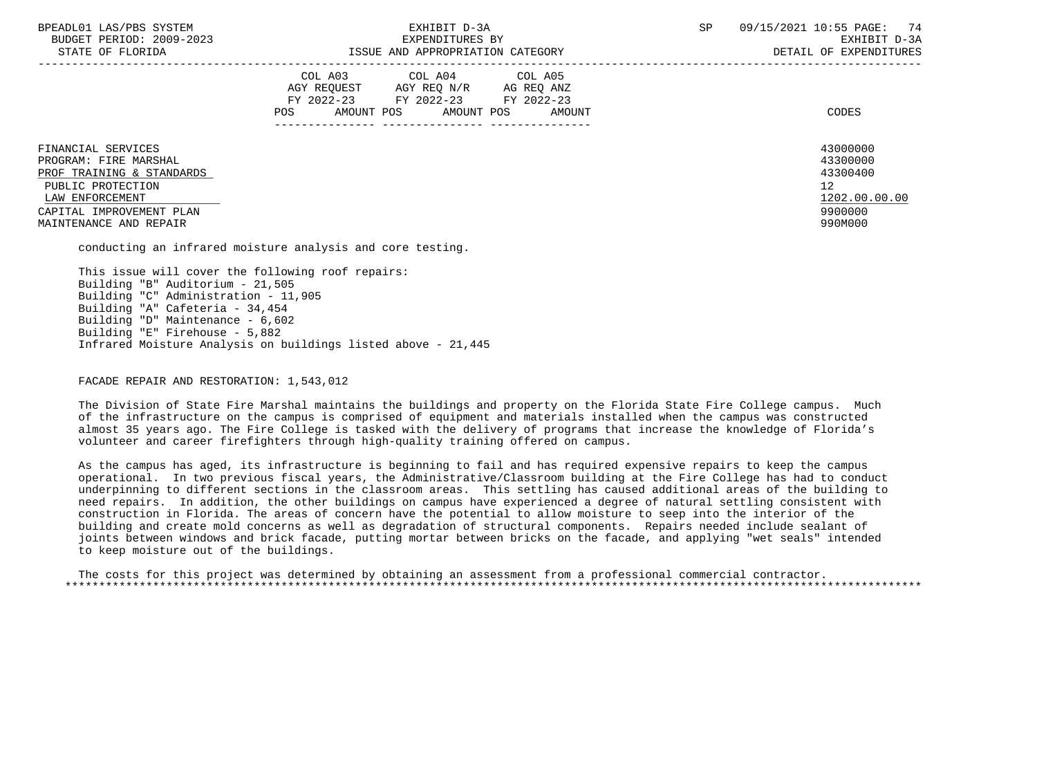|  |                   | BPEADL01 LAS/PBS SYSTEM  |
|--|-------------------|--------------------------|
|  |                   | BUDGET PERIOD: 2009-2023 |
|  | גתדכת זה הת היהיה |                          |

|                                                                          | COL A03<br>COL A04<br>COL A05<br>AGY REQUEST<br>AGY REQ N/R<br>AG REQ ANZ<br>FY 2022-23<br>FY 2022-23<br>FY 2022-23<br>AMOUNT POS<br>AMOUNT POS<br>AMOUNT<br>POS. | CODES                            |
|--------------------------------------------------------------------------|-------------------------------------------------------------------------------------------------------------------------------------------------------------------|----------------------------------|
| FINANCIAL SERVICES<br>PROGRAM: FIRE MARSHAL<br>PROF TRAINING & STANDARDS |                                                                                                                                                                   | 43000000<br>43300000<br>43300400 |
| PUBLIC PROTECTION<br>LAW ENFORCEMENT<br>CAPITAL IMPROVEMENT PLAN         |                                                                                                                                                                   | 12<br>1202.00.00.00<br>9900000   |

MAINTENANCE AND REPAIR 990M000

conducting an infrared moisture analysis and core testing.

 This issue will cover the following roof repairs: Building "B" Auditorium - 21,505 Building "C" Administration - 11,905 Building "A" Cafeteria - 34,454 Building "D" Maintenance - 6,602 Building "E" Firehouse - 5,882 Infrared Moisture Analysis on buildings listed above - 21,445

## FACADE REPAIR AND RESTORATION: 1.543.012

 The Division of State Fire Marshal maintains the buildings and property on the Florida State Fire College campus. Much of the infrastructure on the campus is comprised of equipment and materials installed when the campus was constructed almost 35 years ago. The Fire College is tasked with the delivery of programs that increase the knowledge of Florida's volunteer and career firefighters through high-quality training offered on campus.

 As the campus has aged, its infrastructure is beginning to fail and has required expensive repairs to keep the campus operational. In two previous fiscal years, the Administrative/Classroom building at the Fire College has had to conduct underpinning to different sections in the classroom areas. This settling has caused additional areas of the building to need repairs. In addition, the other buildings on campus have experienced a degree of natural settling consistent with construction in Florida. The areas of concern have the potential to allow moisture to seep into the interior of the building and create mold concerns as well as degradation of structural components. Repairs needed include sealant of joints between windows and brick facade, putting mortar between bricks on the facade, and applying "wet seals" intended to keep moisture out of the buildings.

 The costs for this project was determined by obtaining an assessment from a professional commercial contractor. \*\*\*\*\*\*\*\*\*\*\*\*\*\*\*\*\*\*\*\*\*\*\*\*\*\*\*\*\*\*\*\*\*\*\*\*\*\*\*\*\*\*\*\*\*\*\*\*\*\*\*\*\*\*\*\*\*\*\*\*\*\*\*\*\*\*\*\*\*\*\*\*\*\*\*\*\*\*\*\*\*\*\*\*\*\*\*\*\*\*\*\*\*\*\*\*\*\*\*\*\*\*\*\*\*\*\*\*\*\*\*\*\*\*\*\*\*\*\*\*\*\*\*\*\*\*\*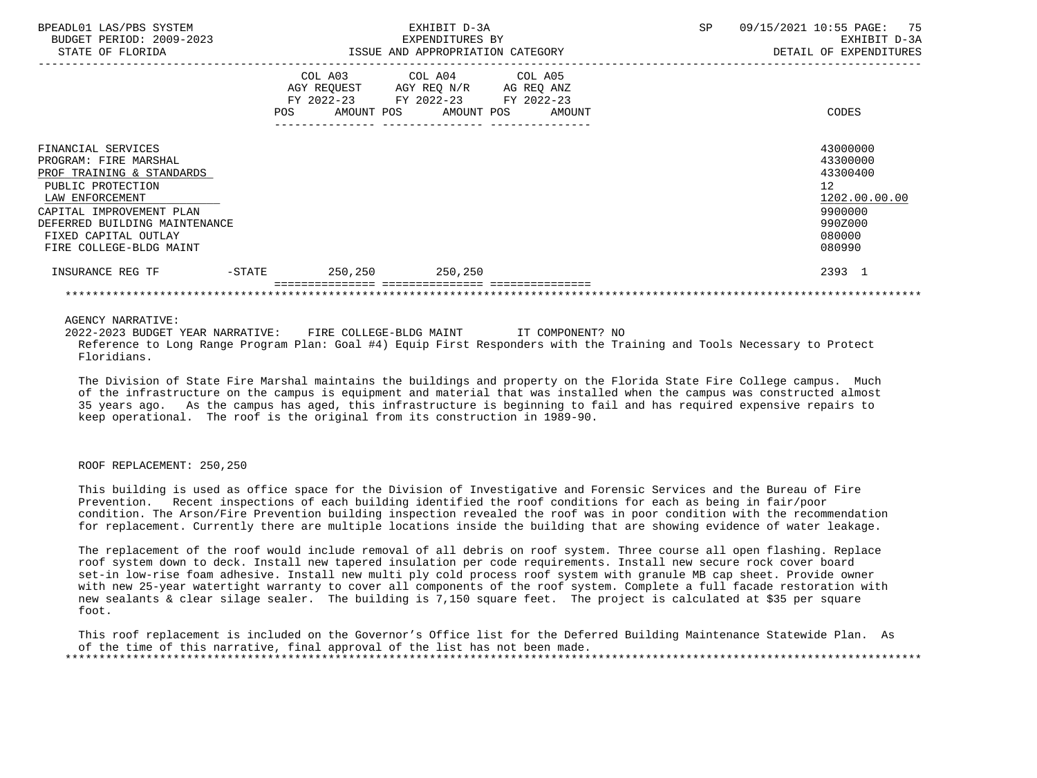| BPEADL01 LAS/PBS SYSTEM<br>BUDGET PERIOD: 2009-2023<br>STATE OF FLORIDA                                                                                                                                                          | EXHIBIT D-3A<br>EXPENDITURES BY<br>ISSUE AND APPROPRIATION CATEGORY |                                                                                                                                       |  |  | SP | 09/15/2021 10:55 PAGE: 75<br>EXHIBIT D-3A<br>DETAIL OF EXPENDITURES                                            |
|----------------------------------------------------------------------------------------------------------------------------------------------------------------------------------------------------------------------------------|---------------------------------------------------------------------|---------------------------------------------------------------------------------------------------------------------------------------|--|--|----|----------------------------------------------------------------------------------------------------------------|
|                                                                                                                                                                                                                                  |                                                                     | COL A03 COL A04 COL A05<br>AGY REQUEST AGY REQ N/R AG REQ ANZ<br>FY 2022-23 FY 2022-23 FY 2022-23<br>POS AMOUNT POS AMOUNT POS AMOUNT |  |  |    | CODES                                                                                                          |
| FINANCIAL SERVICES<br>PROGRAM: FIRE MARSHAL<br>PROF TRAINING & STANDARDS<br>PUBLIC PROTECTION<br>LAW ENFORCEMENT<br>CAPITAL IMPROVEMENT PLAN<br>DEFERRED BUILDING MAINTENANCE<br>FIXED CAPITAL OUTLAY<br>FIRE COLLEGE-BLDG MAINT |                                                                     |                                                                                                                                       |  |  |    | 43000000<br>43300000<br>43300400<br>12 <sup>°</sup><br>1202.00.00.00<br>9900000<br>990Z000<br>080000<br>080990 |
| $-STATE$<br>INSURANCE REG TF                                                                                                                                                                                                     |                                                                     | 250,250 250,250                                                                                                                       |  |  |    | 2393 1                                                                                                         |
|                                                                                                                                                                                                                                  |                                                                     |                                                                                                                                       |  |  |    |                                                                                                                |

AGENCY NARRATIVE:

 2022-2023 BUDGET YEAR NARRATIVE: FIRE COLLEGE-BLDG MAINT IT COMPONENT? NO Reference to Long Range Program Plan: Goal #4) Equip First Responders with the Training and Tools Necessary to Protect Floridians.

 The Division of State Fire Marshal maintains the buildings and property on the Florida State Fire College campus. Much of the infrastructure on the campus is equipment and material that was installed when the campus was constructed almost 35 years ago. As the campus has aged, this infrastructure is beginning to fail and has required expensive repairs to keep operational. The roof is the original from its construction in 1989-90.

## ROOF REPLACEMENT: 250,250

 This building is used as office space for the Division of Investigative and Forensic Services and the Bureau of Fire Prevention. Recent inspections of each building identified the roof conditions for each as being in fair/poor condition. The Arson/Fire Prevention building inspection revealed the roof was in poor condition with the recommendation for replacement. Currently there are multiple locations inside the building that are showing evidence of water leakage.

 The replacement of the roof would include removal of all debris on roof system. Three course all open flashing. Replace roof system down to deck. Install new tapered insulation per code requirements. Install new secure rock cover board set-in low-rise foam adhesive. Install new multi ply cold process roof system with granule MB cap sheet. Provide owner with new 25-year watertight warranty to cover all components of the roof system. Complete a full facade restoration with new sealants & clear silage sealer. The building is 7,150 square feet. The project is calculated at \$35 per square foot.

 This roof replacement is included on the Governor's Office list for the Deferred Building Maintenance Statewide Plan. As of the time of this narrative, final approval of the list has not been made. \*\*\*\*\*\*\*\*\*\*\*\*\*\*\*\*\*\*\*\*\*\*\*\*\*\*\*\*\*\*\*\*\*\*\*\*\*\*\*\*\*\*\*\*\*\*\*\*\*\*\*\*\*\*\*\*\*\*\*\*\*\*\*\*\*\*\*\*\*\*\*\*\*\*\*\*\*\*\*\*\*\*\*\*\*\*\*\*\*\*\*\*\*\*\*\*\*\*\*\*\*\*\*\*\*\*\*\*\*\*\*\*\*\*\*\*\*\*\*\*\*\*\*\*\*\*\*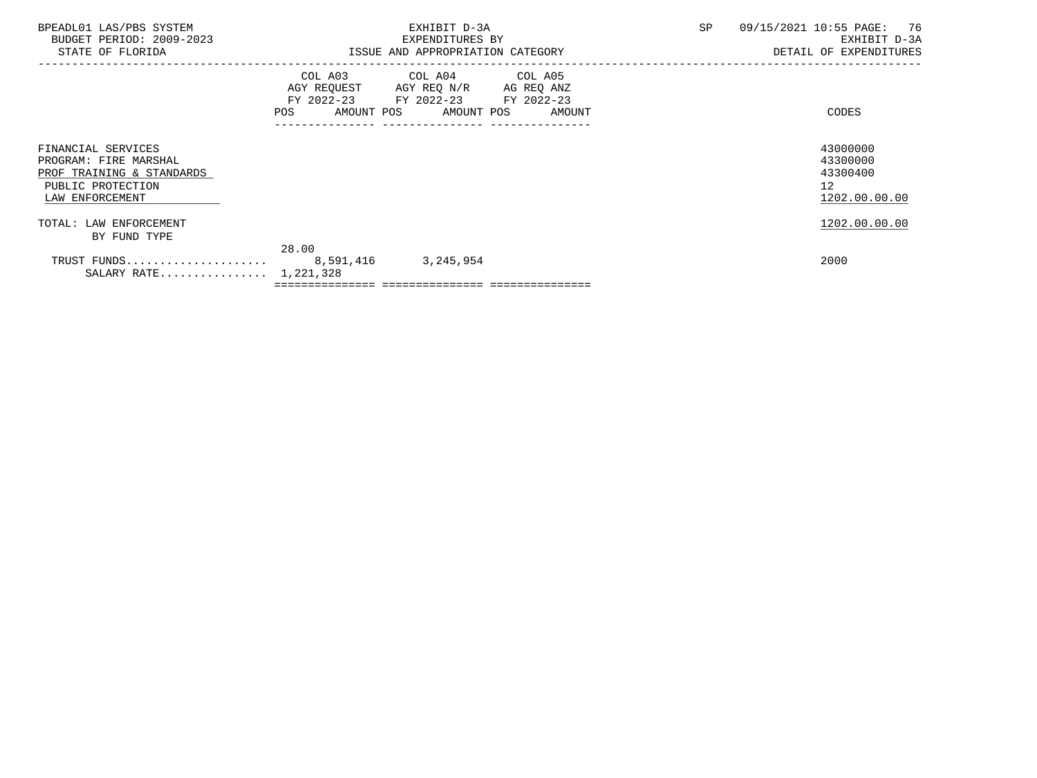| SALARY RATE 1,221,328                                                                                            | 28.00 |                                                                                                                                   |    | 2000                                                                 |
|------------------------------------------------------------------------------------------------------------------|-------|-----------------------------------------------------------------------------------------------------------------------------------|----|----------------------------------------------------------------------|
| TOTAL: LAW ENFORCEMENT<br>BY FUND TYPE                                                                           |       |                                                                                                                                   |    | 1202.00.00.00                                                        |
| FINANCIAL SERVICES<br>PROGRAM: FIRE MARSHAL<br>PROF TRAINING & STANDARDS<br>PUBLIC PROTECTION<br>LAW ENFORCEMENT |       |                                                                                                                                   |    | 43000000<br>43300000<br>43300400<br>12 <sup>7</sup><br>1202.00.00.00 |
|                                                                                                                  | POS   | COL A03 COL A04 COL A05<br>AGY REQUEST AGY REQ N/R AG REQ ANZ<br>FY 2022-23 FY 2022-23 FY 2022-23<br>AMOUNT POS AMOUNT POS AMOUNT |    | CODES                                                                |
| BPEADL01 LAS/PBS SYSTEM<br>BUDGET PERIOD: 2009-2023<br>STATE OF FLORIDA                                          |       | EXHIBIT D-3A<br>EXPENDITURES BY<br>ISSUE AND APPROPRIATION CATEGORY                                                               | SP | 09/15/2021 10:55 PAGE: 76<br>EXHIBIT D-3A<br>DETAIL OF EXPENDITURES  |
|                                                                                                                  |       |                                                                                                                                   |    |                                                                      |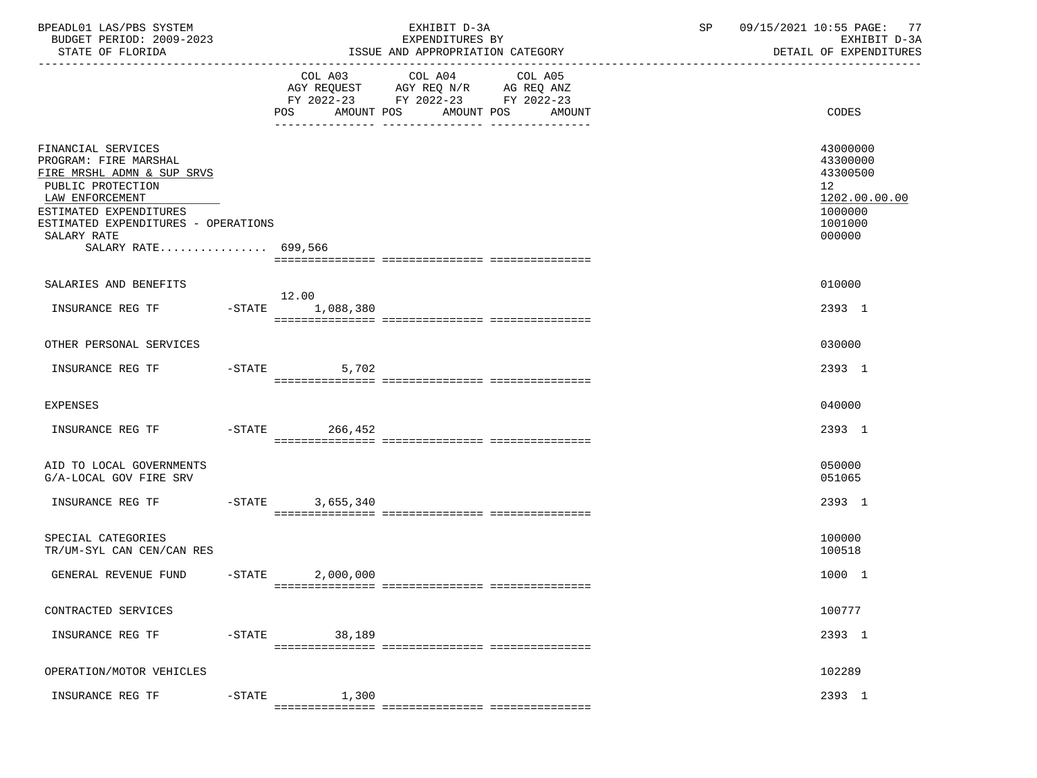| BPEADL01 LAS/PBS SYSTEM<br>BUDGET PERIOD: 2009-2023<br>STATE OF FLORIDA                                                                                                                                                  |           |                                | EXHIBIT D-3A<br>EXPENDITURES BY<br>ISSUE AND APPROPRIATION CATEGORY                               | SP     | 09/15/2021 10:55 PAGE: 77<br>EXHIBIT D-3A<br>DETAIL OF EXPENDITURES |                                                                                                      |
|--------------------------------------------------------------------------------------------------------------------------------------------------------------------------------------------------------------------------|-----------|--------------------------------|---------------------------------------------------------------------------------------------------|--------|---------------------------------------------------------------------|------------------------------------------------------------------------------------------------------|
|                                                                                                                                                                                                                          |           | POS AMOUNT POS AMOUNT POS      | COL A03 COL A04 COL A05<br>AGY REQUEST AGY REQ N/R AG REQ ANZ<br>FY 2022-23 FY 2022-23 FY 2022-23 | AMOUNT |                                                                     | CODES                                                                                                |
| FINANCIAL SERVICES<br>PROGRAM: FIRE MARSHAL<br>FIRE MRSHL ADMN & SUP SRVS<br>PUBLIC PROTECTION<br>LAW ENFORCEMENT<br>ESTIMATED EXPENDITURES<br>ESTIMATED EXPENDITURES - OPERATIONS<br>SALARY RATE<br>SALARY RATE 699,566 |           |                                |                                                                                                   |        |                                                                     | 43000000<br>43300000<br>43300500<br>12 <sup>°</sup><br>1202.00.00.00<br>1000000<br>1001000<br>000000 |
| SALARIES AND BENEFITS                                                                                                                                                                                                    |           |                                |                                                                                                   |        |                                                                     | 010000                                                                                               |
| INSURANCE REG TF                                                                                                                                                                                                         |           | 12.00<br>$-$ STATE $1,088,380$ |                                                                                                   |        |                                                                     | 2393 1                                                                                               |
| OTHER PERSONAL SERVICES                                                                                                                                                                                                  |           |                                |                                                                                                   |        |                                                                     | 030000                                                                                               |
| INSURANCE REG TF                                                                                                                                                                                                         |           | $-STATE$ 5,702                 |                                                                                                   |        |                                                                     | 2393 1                                                                                               |
| EXPENSES                                                                                                                                                                                                                 |           |                                |                                                                                                   |        |                                                                     | 040000                                                                                               |
| INSURANCE REG TF                                                                                                                                                                                                         |           | $-$ STATE 266, 452             |                                                                                                   |        |                                                                     | 2393 1                                                                                               |
| AID TO LOCAL GOVERNMENTS<br>G/A-LOCAL GOV FIRE SRV                                                                                                                                                                       |           |                                |                                                                                                   |        |                                                                     | 050000<br>051065                                                                                     |
| INSURANCE REG TF FTATE                                                                                                                                                                                                   |           | 3,655,340                      |                                                                                                   |        |                                                                     | 2393 1                                                                                               |
| SPECIAL CATEGORIES<br>TR/UM-SYL CAN CEN/CAN RES                                                                                                                                                                          |           |                                |                                                                                                   |        |                                                                     | 100000<br>100518                                                                                     |
| GENERAL REVENUE FUND -STATE 2,000,000                                                                                                                                                                                    |           |                                |                                                                                                   |        |                                                                     | 1000 1                                                                                               |
| CONTRACTED SERVICES                                                                                                                                                                                                      |           |                                |                                                                                                   |        |                                                                     | 100777                                                                                               |
| INSURANCE REG TF                                                                                                                                                                                                         | $-$ STATE | 38,189                         |                                                                                                   |        |                                                                     | 2393 1                                                                                               |
| OPERATION/MOTOR VEHICLES                                                                                                                                                                                                 |           |                                |                                                                                                   |        |                                                                     | 102289                                                                                               |
| INSURANCE REG TF                                                                                                                                                                                                         | $-$ STATE | 1,300                          |                                                                                                   |        |                                                                     | 2393 1                                                                                               |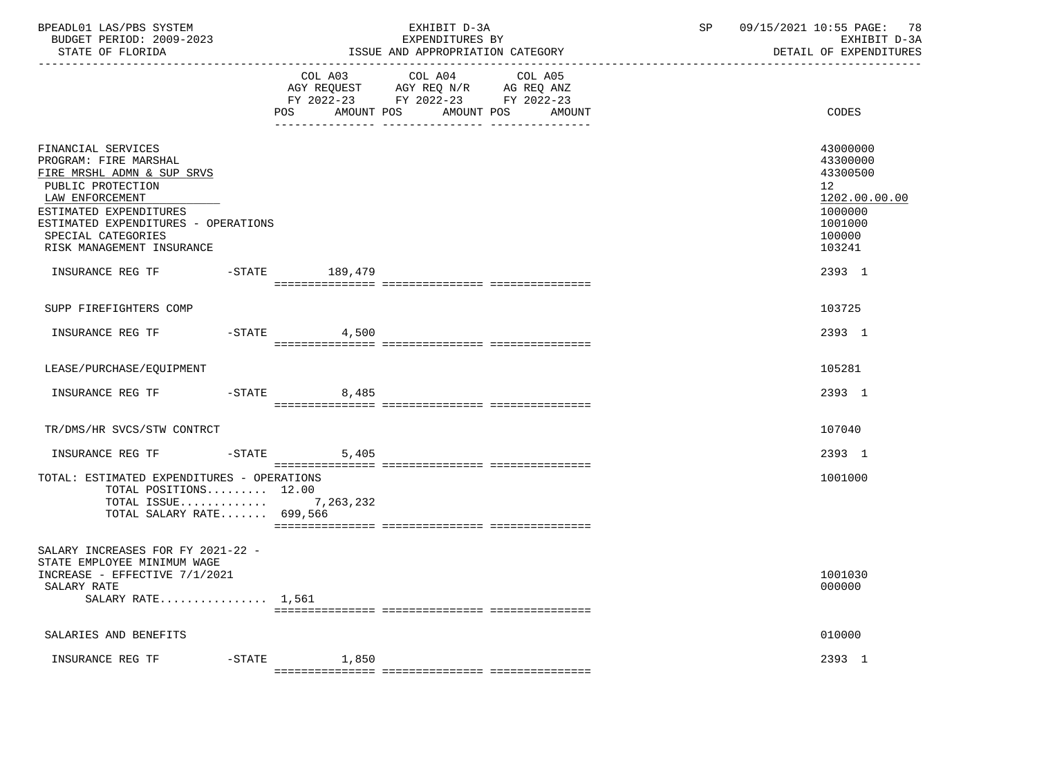| BPEADL01 LAS/PBS SYSTEM<br>BUDGET PERIOD: 2009-2023<br>STATE OF FLORIDA                                                                                                                                                               |                    | EXHIBIT D-3A<br>EXPENDITURES BY<br>ISSUE AND APPROPRIATION CATEGORY                                                          | 09/15/2021 10:55 PAGE: 78<br>SP<br>DETAIL OF EXPENDITURES                                     | EXHIBIT D-3A  |  |
|---------------------------------------------------------------------------------------------------------------------------------------------------------------------------------------------------------------------------------------|--------------------|------------------------------------------------------------------------------------------------------------------------------|-----------------------------------------------------------------------------------------------|---------------|--|
|                                                                                                                                                                                                                                       | COL A03<br>POS     | COL A04<br>COL A05<br>AGY REQUEST AGY REQ N/R AG REQ ANZ<br>FY 2022-23 FY 2022-23 FY 2022-23<br>AMOUNT POS AMOUNT POS AMOUNT | CODES                                                                                         |               |  |
| FINANCIAL SERVICES<br>PROGRAM: FIRE MARSHAL<br>FIRE MRSHL ADMN & SUP SRVS<br>PUBLIC PROTECTION<br>LAW ENFORCEMENT<br>ESTIMATED EXPENDITURES<br>ESTIMATED EXPENDITURES - OPERATIONS<br>SPECIAL CATEGORIES<br>RISK MANAGEMENT INSURANCE |                    |                                                                                                                              | 43000000<br>43300000<br>43300500<br>12 <sub>1</sub><br>1000000<br>1001000<br>100000<br>103241 | 1202.00.00.00 |  |
|                                                                                                                                                                                                                                       |                    |                                                                                                                              | 2393 1                                                                                        |               |  |
| SUPP FIREFIGHTERS COMP                                                                                                                                                                                                                |                    |                                                                                                                              | 103725                                                                                        |               |  |
| INSURANCE REG TF                                                                                                                                                                                                                      | $-$ STATE<br>4,500 |                                                                                                                              | 2393 1                                                                                        |               |  |
| LEASE/PURCHASE/EQUIPMENT                                                                                                                                                                                                              |                    |                                                                                                                              | 105281                                                                                        |               |  |
| INSURANCE REG TF                                                                                                                                                                                                                      | $-STATE$ 8,485     |                                                                                                                              | 2393 1                                                                                        |               |  |
| TR/DMS/HR SVCS/STW CONTRCT                                                                                                                                                                                                            |                    |                                                                                                                              | 107040                                                                                        |               |  |
| $-$ STATE<br>INSURANCE REG TF                                                                                                                                                                                                         | 5,405              |                                                                                                                              | 2393 1                                                                                        |               |  |
| TOTAL: ESTIMATED EXPENDITURES - OPERATIONS<br>TOTAL POSITIONS 12.00<br>TOTAL ISSUE $7,263,232$<br>TOTAL SALARY RATE 699,566                                                                                                           |                    |                                                                                                                              | 1001000                                                                                       |               |  |
| SALARY INCREASES FOR FY 2021-22 -<br>STATE EMPLOYEE MINIMUM WAGE<br>INCREASE - EFFECTIVE 7/1/2021<br>SALARY RATE<br>SALARY RATE $1,561$                                                                                               |                    |                                                                                                                              | 1001030<br>000000                                                                             |               |  |
| SALARIES AND BENEFITS                                                                                                                                                                                                                 |                    |                                                                                                                              | 010000                                                                                        |               |  |
| INSURANCE REG TF<br>$-\mathtt{STATE}$                                                                                                                                                                                                 | 1,850              |                                                                                                                              | 2393 1                                                                                        |               |  |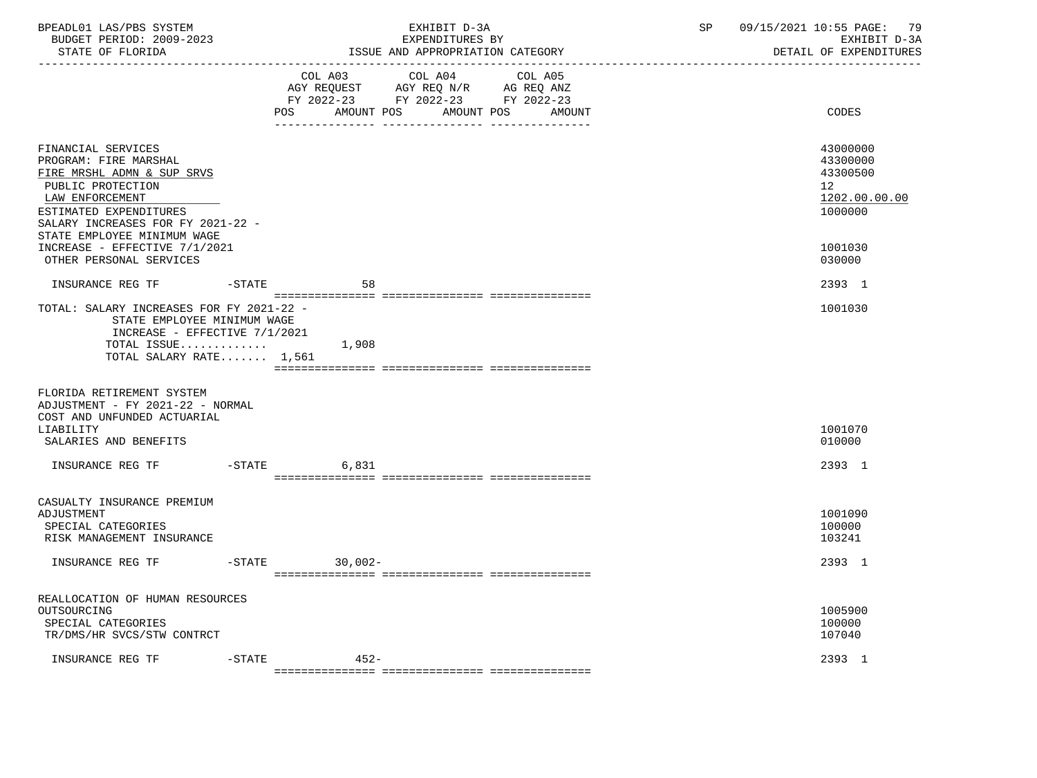| BPEADL01 LAS/PBS SYSTEM<br>BUDGET PERIOD: 2009-2023<br>STATE OF FLORIDA                                                                                                                                                                          | EXHIBIT D-3A<br>EXPENDITURES BY<br>ISSUE AND APPROPRIATION CATEGORY<br>----------------------------- |                |                                                                                                            |         |        | SP | 09/15/2021 10:55 PAGE: 79<br>EXHIBIT D-3A<br>DETAIL OF EXPENDITURES           |
|--------------------------------------------------------------------------------------------------------------------------------------------------------------------------------------------------------------------------------------------------|------------------------------------------------------------------------------------------------------|----------------|------------------------------------------------------------------------------------------------------------|---------|--------|----|-------------------------------------------------------------------------------|
|                                                                                                                                                                                                                                                  |                                                                                                      | COL A03<br>POS | COL A04<br>AGY REQUEST AGY REQ N/R AG REQ ANZ<br>FY 2022-23 FY 2022-23 FY 2022-23<br>AMOUNT POS AMOUNT POS | COL A05 | AMOUNT |    | CODES                                                                         |
| FINANCIAL SERVICES<br>PROGRAM: FIRE MARSHAL<br>FIRE MRSHL ADMN & SUP SRVS<br>PUBLIC PROTECTION<br>LAW ENFORCEMENT<br>ESTIMATED EXPENDITURES<br>SALARY INCREASES FOR FY 2021-22 -<br>STATE EMPLOYEE MINIMUM WAGE<br>INCREASE - EFFECTIVE 7/1/2021 |                                                                                                      |                |                                                                                                            |         |        |    | 43000000<br>43300000<br>43300500<br>12<br>1202.00.00.00<br>1000000<br>1001030 |
| OTHER PERSONAL SERVICES<br>INSURANCE REG TF                                                                                                                                                                                                      | -STATE                                                                                               |                | 58                                                                                                         |         |        |    | 030000<br>2393 1                                                              |
| TOTAL: SALARY INCREASES FOR FY 2021-22 -<br>STATE EMPLOYEE MINIMUM WAGE<br>INCREASE - EFFECTIVE 7/1/2021<br>TOTAL ISSUE<br>TOTAL SALARY RATE 1,561                                                                                               |                                                                                                      | 1,908          |                                                                                                            |         |        |    | 1001030                                                                       |
| FLORIDA RETIREMENT SYSTEM<br>ADJUSTMENT - FY 2021-22 - NORMAL<br>COST AND UNFUNDED ACTUARIAL<br>LIABILITY<br>SALARIES AND BENEFITS                                                                                                               |                                                                                                      |                |                                                                                                            |         |        |    | 1001070<br>010000                                                             |
| INSURANCE REG TF                                                                                                                                                                                                                                 |                                                                                                      | $-STATE$ 6,831 |                                                                                                            |         |        |    | 2393 1                                                                        |
| CASUALTY INSURANCE PREMIUM<br>ADJUSTMENT<br>SPECIAL CATEGORIES<br>RISK MANAGEMENT INSURANCE                                                                                                                                                      |                                                                                                      |                |                                                                                                            |         |        |    | 1001090<br>100000<br>103241                                                   |
| INSURANCE REG TF                                                                                                                                                                                                                                 | $-$ STATE                                                                                            | $30,002 -$     |                                                                                                            |         |        |    | 2393 1                                                                        |
| REALLOCATION OF HUMAN RESOURCES<br>OUTSOURCING<br>SPECIAL CATEGORIES<br>TR/DMS/HR SVCS/STW CONTRCT                                                                                                                                               |                                                                                                      |                |                                                                                                            |         |        |    | 1005900<br>100000<br>107040                                                   |
| INSURANCE REG TF                                                                                                                                                                                                                                 | $-STATE$                                                                                             |                | $452 -$                                                                                                    |         |        |    | 2393 1                                                                        |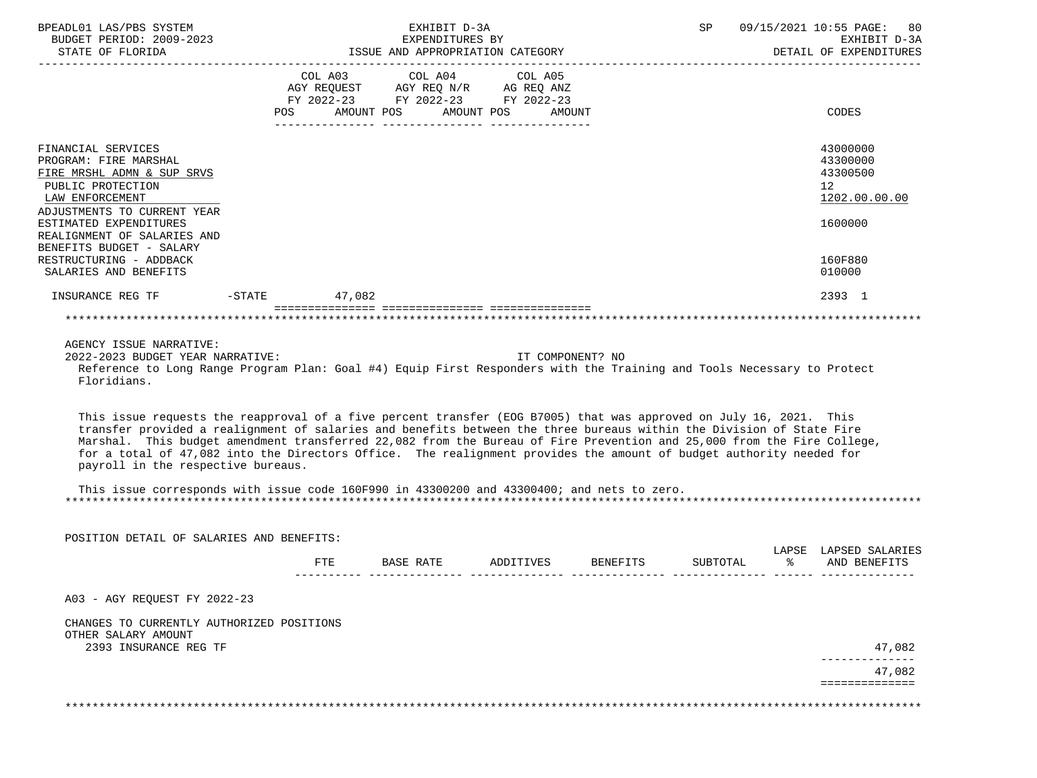| BPEADL01 LAS/PBS SYSTEM<br>BUDGET PERIOD: 2009-2023<br>STATE OF FLORIDA                                                                                                                                                                                                                                                                                                                                                                                                                                                                                                                                                                                                                                                                                                                                                                 |                                                             | EXPENDITURES BY<br>ISSUE AND APPROPRIATION CATEGORY | EXHIBIT D-3A |                  |                    |          | SP 09/15/2021 10:55 PAGE: 80<br>EXHIBIT D-3A<br>DETAIL OF EXPENDITURES |
|-----------------------------------------------------------------------------------------------------------------------------------------------------------------------------------------------------------------------------------------------------------------------------------------------------------------------------------------------------------------------------------------------------------------------------------------------------------------------------------------------------------------------------------------------------------------------------------------------------------------------------------------------------------------------------------------------------------------------------------------------------------------------------------------------------------------------------------------|-------------------------------------------------------------|-----------------------------------------------------|--------------|------------------|--------------------|----------|------------------------------------------------------------------------|
|                                                                                                                                                                                                                                                                                                                                                                                                                                                                                                                                                                                                                                                                                                                                                                                                                                         | COL A03 COL A04 COL A05<br>POS AMOUNT POS AMOUNT POS AMOUNT |                                                     |              |                  |                    |          | CODES                                                                  |
| FINANCIAL SERVICES<br>PROGRAM: FIRE MARSHAL<br>FIRE MRSHL ADMN & SUP SRVS<br>PUBLIC PROTECTION<br>LAW ENFORCEMENT<br>ADJUSTMENTS TO CURRENT YEAR<br>ESTIMATED EXPENDITURES<br>REALIGNMENT OF SALARIES AND<br>BENEFITS BUDGET - SALARY                                                                                                                                                                                                                                                                                                                                                                                                                                                                                                                                                                                                   |                                                             |                                                     |              |                  |                    |          | 43000000<br>43300000<br>43300500<br>12<br>1202.00.00.00<br>1600000     |
| RESTRUCTURING - ADDBACK<br>SALARIES AND BENEFITS                                                                                                                                                                                                                                                                                                                                                                                                                                                                                                                                                                                                                                                                                                                                                                                        |                                                             |                                                     |              |                  |                    |          | 160F880<br>010000                                                      |
| INSURANCE REG TF    -STATE    47,082                                                                                                                                                                                                                                                                                                                                                                                                                                                                                                                                                                                                                                                                                                                                                                                                    |                                                             |                                                     |              |                  |                    |          | 2393 1                                                                 |
|                                                                                                                                                                                                                                                                                                                                                                                                                                                                                                                                                                                                                                                                                                                                                                                                                                         |                                                             |                                                     |              |                  |                    |          |                                                                        |
| AGENCY ISSUE NARRATIVE:<br>2022-2023 BUDGET YEAR NARRATIVE:<br>Reference to Long Range Program Plan: Goal #4) Equip First Responders with the Training and Tools Necessary to Protect<br>Floridians.<br>This issue requests the reapproval of a five percent transfer (EOG B7005) that was approved on July 16, 2021. This<br>transfer provided a realignment of salaries and benefits between the three bureaus within the Division of State Fire<br>Marshal. This budget amendment transferred 22,082 from the Bureau of Fire Prevention and 25,000 from the Fire College,<br>for a total of 47,082 into the Directors Office. The realignment provides the amount of budget authority needed for<br>payroll in the respective bureaus.<br>This issue corresponds with issue code 160F990 in 43300200 and 43300400; and nets to zero. |                                                             |                                                     |              | IT COMPONENT? NO |                    |          |                                                                        |
| POSITION DETAIL OF SALARIES AND BENEFITS:                                                                                                                                                                                                                                                                                                                                                                                                                                                                                                                                                                                                                                                                                                                                                                                               |                                                             |                                                     |              |                  |                    |          | LAPSE LAPSED SALARIES                                                  |
|                                                                                                                                                                                                                                                                                                                                                                                                                                                                                                                                                                                                                                                                                                                                                                                                                                         | FTE                                                         | BASE RATE                                           |              |                  | ADDITIVES BENEFITS | SUBTOTAL | % AND BENEFITS                                                         |
| A03 - AGY REQUEST FY 2022-23<br>CHANGES TO CURRENTLY AUTHORIZED POSITIONS                                                                                                                                                                                                                                                                                                                                                                                                                                                                                                                                                                                                                                                                                                                                                               |                                                             |                                                     |              |                  |                    |          |                                                                        |
| OTHER SALARY AMOUNT<br>2393 INSURANCE REG TF                                                                                                                                                                                                                                                                                                                                                                                                                                                                                                                                                                                                                                                                                                                                                                                            |                                                             |                                                     |              |                  |                    |          | 47,082                                                                 |
|                                                                                                                                                                                                                                                                                                                                                                                                                                                                                                                                                                                                                                                                                                                                                                                                                                         |                                                             |                                                     |              |                  |                    |          | 47,082<br>==============                                               |
|                                                                                                                                                                                                                                                                                                                                                                                                                                                                                                                                                                                                                                                                                                                                                                                                                                         |                                                             |                                                     |              |                  |                    |          |                                                                        |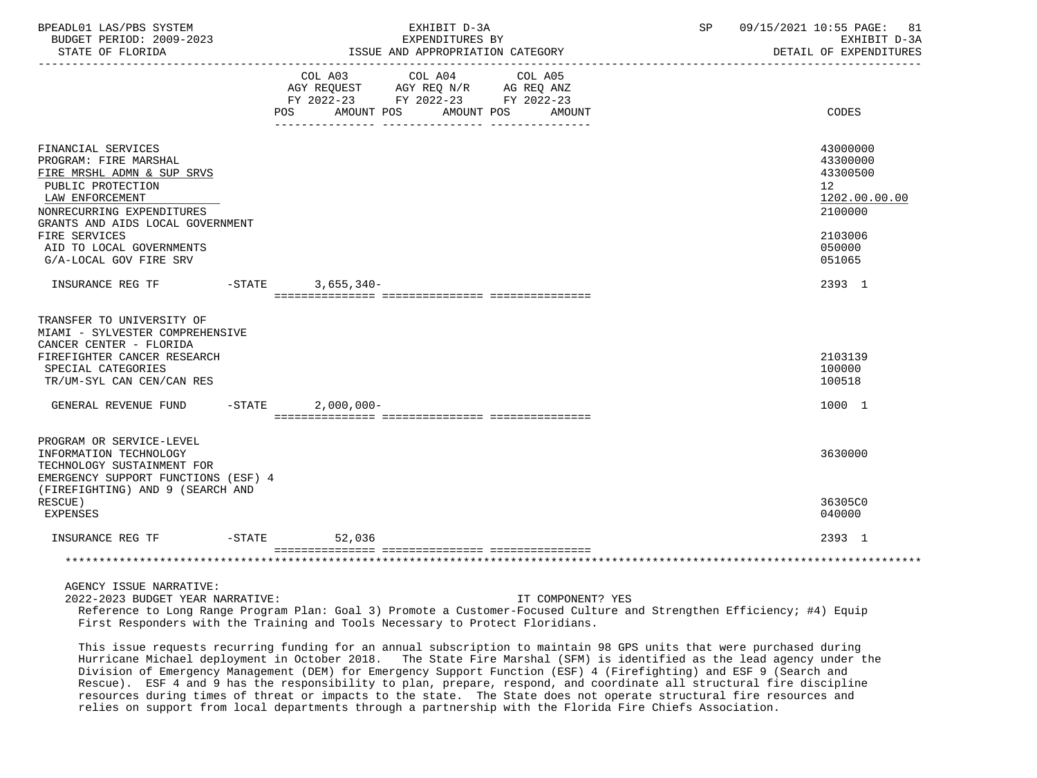| BUDGET PERIOD: 2009-2023<br>STATE OF FLORIDA                                                                                                                                                                                                              | EXHIBIT D-3A<br>EXPENDITURES BY<br>ISSUE AND APPROPRIATION CATEGORY                                                                                         | SP<br>09/15/2021 10:55 PAGE: 81<br>EXHIBIT D-3A<br>DETAIL OF EXPENDITURES                         |
|-----------------------------------------------------------------------------------------------------------------------------------------------------------------------------------------------------------------------------------------------------------|-------------------------------------------------------------------------------------------------------------------------------------------------------------|---------------------------------------------------------------------------------------------------|
|                                                                                                                                                                                                                                                           | COL A03<br>COL A04<br>COL A05<br>AGY REQUEST AGY REQ N/R AG REQ ANZ<br>FY 2022-23 FY 2022-23 FY 2022-23<br><b>POS</b><br>AMOUNT POS<br>AMOUNT POS<br>AMOUNT | CODES                                                                                             |
| FINANCIAL SERVICES<br>PROGRAM: FIRE MARSHAL<br>FIRE MRSHL ADMN & SUP SRVS<br>PUBLIC PROTECTION<br>LAW ENFORCEMENT<br>NONRECURRING EXPENDITURES<br>GRANTS AND AIDS LOCAL GOVERNMENT<br>FIRE SERVICES<br>AID TO LOCAL GOVERNMENTS<br>G/A-LOCAL GOV FIRE SRV |                                                                                                                                                             | 43000000<br>43300000<br>43300500<br>12<br>1202.00.00.00<br>2100000<br>2103006<br>050000<br>051065 |
| INSURANCE REG TF                                                                                                                                                                                                                                          | -STATE 3,655,340-                                                                                                                                           | 2393 1                                                                                            |
| TRANSFER TO UNIVERSITY OF<br>MIAMI - SYLVESTER COMPREHENSIVE<br>CANCER CENTER - FLORIDA<br>FIREFIGHTER CANCER RESEARCH<br>SPECIAL CATEGORIES<br>TR/UM-SYL CAN CEN/CAN RES                                                                                 |                                                                                                                                                             | 2103139<br>100000<br>100518                                                                       |
| GENERAL REVENUE FUND                                                                                                                                                                                                                                      | $-$ STATE<br>$2,000,000-$                                                                                                                                   | 1000 1                                                                                            |
| PROGRAM OR SERVICE-LEVEL<br>INFORMATION TECHNOLOGY<br>TECHNOLOGY SUSTAINMENT FOR<br>EMERGENCY SUPPORT FUNCTIONS (ESF) 4<br>(FIREFIGHTING) AND 9 (SEARCH AND<br>RESCUE)                                                                                    |                                                                                                                                                             | 3630000<br>36305C0                                                                                |
| <b>EXPENSES</b><br>INSURANCE REG TF<br>$-\mathtt{STATE}$                                                                                                                                                                                                  | 52,036                                                                                                                                                      | 040000<br>2393 1                                                                                  |
|                                                                                                                                                                                                                                                           |                                                                                                                                                             |                                                                                                   |

2022-2023 BUDGET YEAR NARRATIVE: IT COMPONENT? YES

 Reference to Long Range Program Plan: Goal 3) Promote a Customer-Focused Culture and Strengthen Efficiency; #4) Equip First Responders with the Training and Tools Necessary to Protect Floridians.

 This issue requests recurring funding for an annual subscription to maintain 98 GPS units that were purchased during Hurricane Michael deployment in October 2018. The State Fire Marshal (SFM) is identified as the lead agency under the Division of Emergency Management (DEM) for Emergency Support Function (ESF) 4 (Firefighting) and ESF 9 (Search and Rescue). ESF 4 and 9 has the responsibility to plan, prepare, respond, and coordinate all structural fire discipline resources during times of threat or impacts to the state. The State does not operate structural fire resources and relies on support from local departments through a partnership with the Florida Fire Chiefs Association.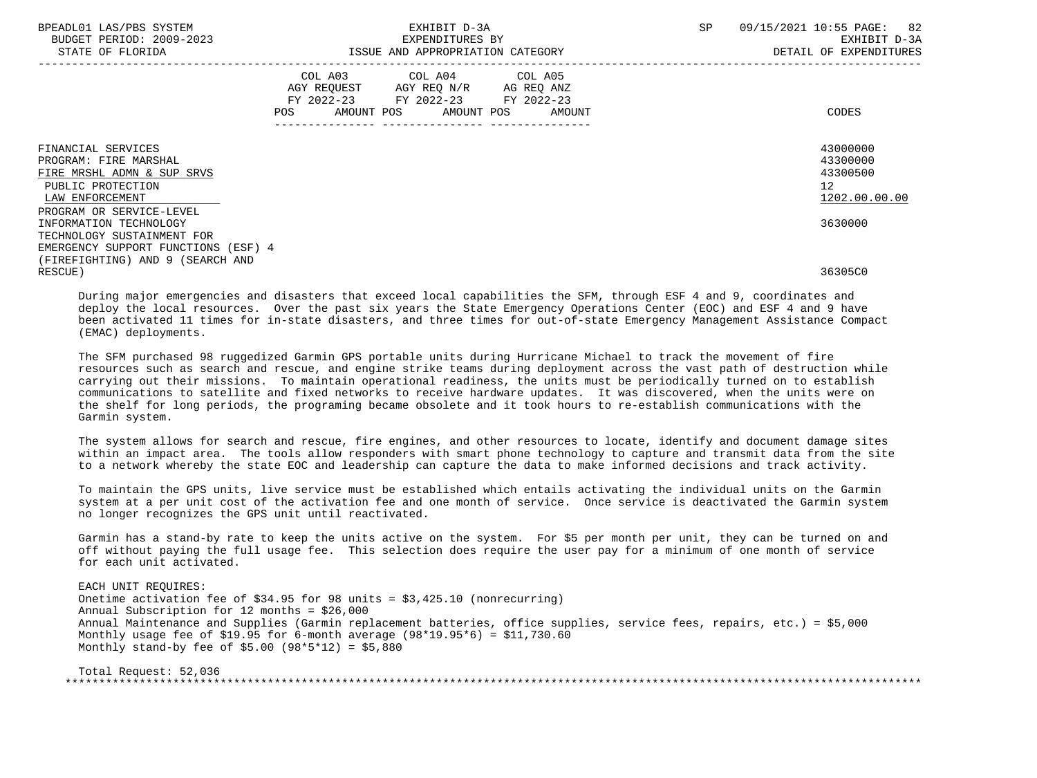| BPEADL01 LAS/PBS SYSTEM<br>BUDGET PERIOD: 2009-2023<br>STATE OF FLORIDA                                                 | EXHIBIT D-3A<br>EXPENDITURES BY<br>ISSUE AND APPROPRIATION CATEGORY                                                                                                                                                                                    | 09/15/2021 10:55 PAGE: 82<br>SP<br>EXHIBIT D-3A<br>DETAIL OF EXPENDITURES |
|-------------------------------------------------------------------------------------------------------------------------|--------------------------------------------------------------------------------------------------------------------------------------------------------------------------------------------------------------------------------------------------------|---------------------------------------------------------------------------|
|                                                                                                                         | COL A03 COL A04 COL A05<br>AGY REQUEST AGY REQ N/R AG REQ ANZ<br>FY 2022-23 FY 2022-23 FY 2022-23<br>AMOUNT POS AMOUNT POS<br>POS FOR THE POST OF THE STATE STATE STATE STATE STATE STATE STATE STATE STATE STATE STATE STATE STATE STATE ST<br>AMOUNT | CODES                                                                     |
| FINANCIAL SERVICES<br>PROGRAM: FIRE MARSHAL<br>FIRE MRSHL ADMN & SUP SRVS<br>PUBLIC PROTECTION<br>LAW ENFORCEMENT       |                                                                                                                                                                                                                                                        | 43000000<br>43300000<br>43300500<br>12<br>1202.00.00.00                   |
| PROGRAM OR SERVICE-LEVEL<br>INFORMATION TECHNOLOGY<br>TECHNOLOGY SUSTAINMENT FOR<br>EMERGENCY SUPPORT FUNCTIONS (ESF) 4 |                                                                                                                                                                                                                                                        | 3630000                                                                   |
| (FIREFIGHTING) AND 9 (SEARCH AND<br>RESCUE)                                                                             |                                                                                                                                                                                                                                                        | 36305C0                                                                   |

 During major emergencies and disasters that exceed local capabilities the SFM, through ESF 4 and 9, coordinates and deploy the local resources. Over the past six years the State Emergency Operations Center (EOC) and ESF 4 and 9 have been activated 11 times for in-state disasters, and three times for out-of-state Emergency Management Assistance Compact (EMAC) deployments.

 The SFM purchased 98 ruggedized Garmin GPS portable units during Hurricane Michael to track the movement of fire resources such as search and rescue, and engine strike teams during deployment across the vast path of destruction while carrying out their missions. To maintain operational readiness, the units must be periodically turned on to establish communications to satellite and fixed networks to receive hardware updates. It was discovered, when the units were on the shelf for long periods, the programing became obsolete and it took hours to re-establish communications with the Garmin system.

 The system allows for search and rescue, fire engines, and other resources to locate, identify and document damage sites within an impact area. The tools allow responders with smart phone technology to capture and transmit data from the site to a network whereby the state EOC and leadership can capture the data to make informed decisions and track activity.

 To maintain the GPS units, live service must be established which entails activating the individual units on the Garmin system at a per unit cost of the activation fee and one month of service. Once service is deactivated the Garmin system no longer recognizes the GPS unit until reactivated.

 Garmin has a stand-by rate to keep the units active on the system. For \$5 per month per unit, they can be turned on and off without paying the full usage fee. This selection does require the user pay for a minimum of one month of service for each unit activated.

 EACH UNIT REQUIRES: Onetime activation fee of \$34.95 for 98 units = \$3,425.10 (nonrecurring) Annual Subscription for 12 months = \$26,000 Annual Maintenance and Supplies (Garmin replacement batteries, office supplies, service fees, repairs, etc.) = \$5,000 Monthly usage fee of \$19.95 for 6-month average (98\*19.95\*6) = \$11,730.60 Monthly stand-by fee of \$5.00 (98\*5\*12) = \$5,880

 Total Request: 52,036 \*\*\*\*\*\*\*\*\*\*\*\*\*\*\*\*\*\*\*\*\*\*\*\*\*\*\*\*\*\*\*\*\*\*\*\*\*\*\*\*\*\*\*\*\*\*\*\*\*\*\*\*\*\*\*\*\*\*\*\*\*\*\*\*\*\*\*\*\*\*\*\*\*\*\*\*\*\*\*\*\*\*\*\*\*\*\*\*\*\*\*\*\*\*\*\*\*\*\*\*\*\*\*\*\*\*\*\*\*\*\*\*\*\*\*\*\*\*\*\*\*\*\*\*\*\*\*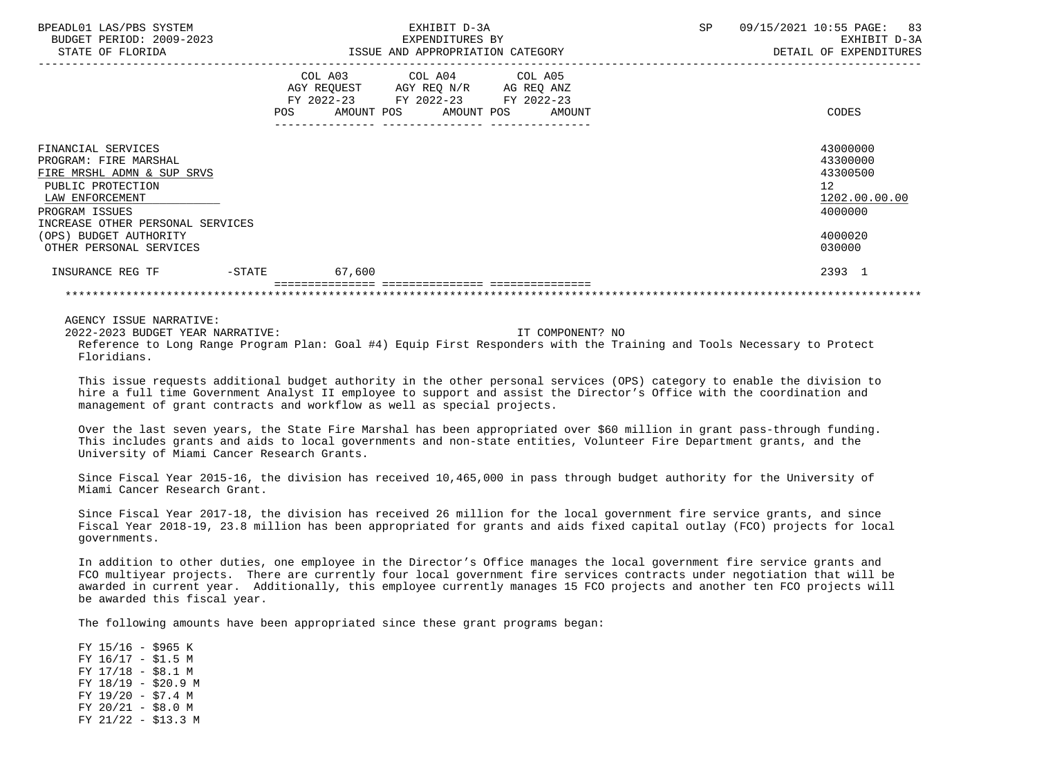| BPEADL01 LAS/PBS SYSTEM<br>BUDGET PERIOD: 2009-2023<br>STATE OF FLORIDA                                                                                                 | EXHIBIT D-3A<br>EXPENDITURES BY<br>ISSUE AND APPROPRIATION CATEGORY |                                                                                                                                                                                   | SP | 09/15/2021 10:55 PAGE: 83<br>EXHIBIT D-3A<br>DETAIL OF EXPENDITURES             |
|-------------------------------------------------------------------------------------------------------------------------------------------------------------------------|---------------------------------------------------------------------|-----------------------------------------------------------------------------------------------------------------------------------------------------------------------------------|----|---------------------------------------------------------------------------------|
|                                                                                                                                                                         |                                                                     | COL A03 COL A04 COL A05<br>AGY REQUEST AGY REQ N/R AG REQ ANZ<br>FY 2022-23 FY 2022-23 FY 2022-23<br>POS AMOUNT POS AMOUNT POS AMOUNT<br>.______________ __________________ _____ |    | CODES                                                                           |
| FINANCIAL SERVICES<br>PROGRAM: FIRE MARSHAL<br>FIRE MRSHL ADMN & SUP SRVS<br>PUBLIC PROTECTION<br>LAW ENFORCEMENT<br>PROGRAM ISSUES<br>INCREASE OTHER PERSONAL SERVICES |                                                                     |                                                                                                                                                                                   |    | 43000000<br>43300000<br>43300500<br>12 <sup>°</sup><br>1202.00.00.00<br>4000000 |
| (OPS) BUDGET AUTHORITY<br>OTHER PERSONAL SERVICES                                                                                                                       |                                                                     |                                                                                                                                                                                   |    | 4000020<br>030000                                                               |
| $-STATE$<br>INSURANCE REG TF                                                                                                                                            | 67,600                                                              |                                                                                                                                                                                   |    | 2393 1                                                                          |
|                                                                                                                                                                         |                                                                     |                                                                                                                                                                                   |    |                                                                                 |
| AGENCY ISSUE NARRATIVE:                                                                                                                                                 |                                                                     |                                                                                                                                                                                   |    |                                                                                 |

2022-2023 BUDGET YEAR NARRATIVE: IT COMPONENT? NO

 Reference to Long Range Program Plan: Goal #4) Equip First Responders with the Training and Tools Necessary to Protect Floridians.

 This issue requests additional budget authority in the other personal services (OPS) category to enable the division to hire a full time Government Analyst II employee to support and assist the Director's Office with the coordination and management of grant contracts and workflow as well as special projects.

 Over the last seven years, the State Fire Marshal has been appropriated over \$60 million in grant pass-through funding. This includes grants and aids to local governments and non-state entities, Volunteer Fire Department grants, and the University of Miami Cancer Research Grants.

 Since Fiscal Year 2015-16, the division has received 10,465,000 in pass through budget authority for the University of Miami Cancer Research Grant.

 Since Fiscal Year 2017-18, the division has received 26 million for the local government fire service grants, and since Fiscal Year 2018-19, 23.8 million has been appropriated for grants and aids fixed capital outlay (FCO) projects for local governments.

 In addition to other duties, one employee in the Director's Office manages the local government fire service grants and FCO multiyear projects. There are currently four local government fire services contracts under negotiation that will be awarded in current year. Additionally, this employee currently manages 15 FCO projects and another ten FCO projects will be awarded this fiscal year.

The following amounts have been appropriated since these grant programs began:

 FY 15/16 - \$965 K FY 16/17 - \$1.5 M FY 17/18 - \$8.1 M FY 18/19 - \$20.9 M FY 19/20 - \$7.4 M FY 20/21 - \$8.0 M FY 21/22 - \$13.3 M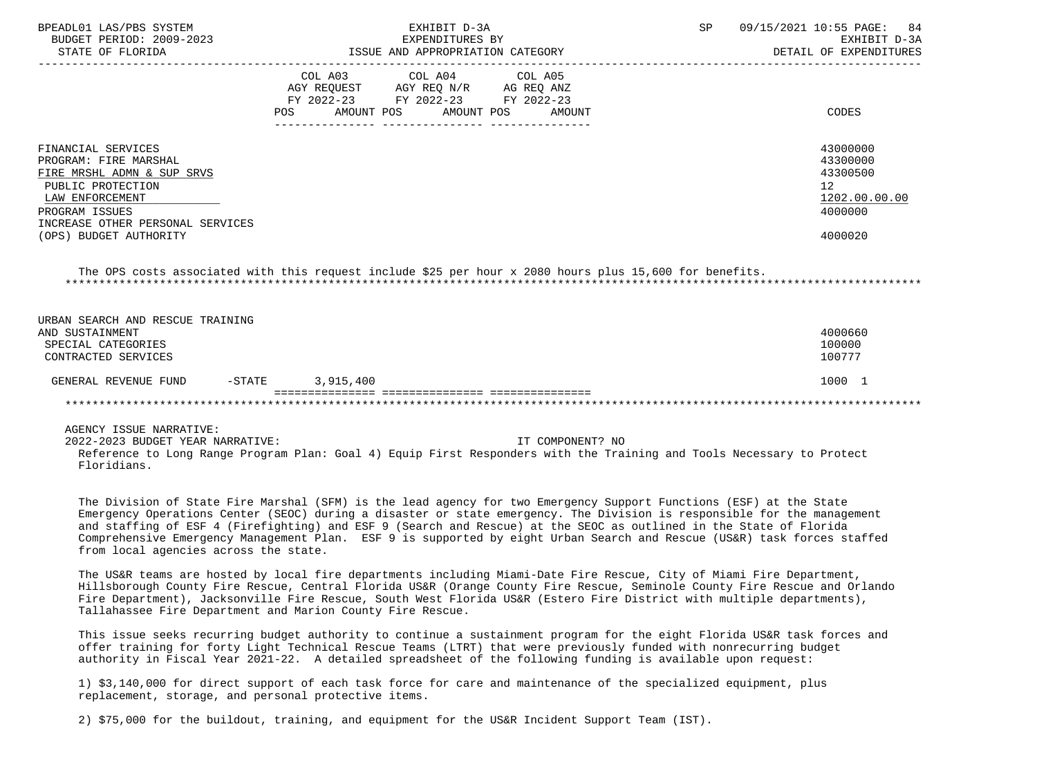| BPEADL01 LAS/PBS SYSTEM<br>BUDGET PERIOD: 2009-2023<br>STATE OF FLORIDA                                                                                                                           | EXHIBIT D-3A<br>EXPENDITURES BY<br>-2023 EXPENDITURES BY<br>ISSUE AND APPROPRIATION CATEGORY                                              | SP<br>09/15/2021 10:55 PAGE:<br>84<br>EXHIBIT D-3A<br>DETAIL OF EXPENDITURES  |
|---------------------------------------------------------------------------------------------------------------------------------------------------------------------------------------------------|-------------------------------------------------------------------------------------------------------------------------------------------|-------------------------------------------------------------------------------|
|                                                                                                                                                                                                   | COL A03 COL A04 COL A05<br>AGY REQUEST AGY REQ N/R AG REQ ANZ<br>FY 2022-23 FY 2022-23 FY 2022-23<br>POS AMOUNT POS AMOUNT POS AMOUNT     | CODES                                                                         |
| FINANCIAL SERVICES<br>PROGRAM: FIRE MARSHAL<br>FIRE MRSHL ADMN & SUP SRVS<br>PUBLIC PROTECTION<br>LAW ENFORCEMENT<br>PROGRAM ISSUES<br>INCREASE OTHER PERSONAL SERVICES<br>(OPS) BUDGET AUTHORITY |                                                                                                                                           | 43000000<br>43300000<br>43300500<br>12<br>1202.00.00.00<br>4000000<br>4000020 |
|                                                                                                                                                                                                   | The OPS costs associated with this request include \$25 per hour x 2080 hours plus 15,600 for benefits.                                   |                                                                               |
| URBAN SEARCH AND RESCUE TRAINING<br>AND SUSTAINMENT<br>SPECIAL CATEGORIES<br>CONTRACTED SERVICES                                                                                                  |                                                                                                                                           | 4000660<br>100000<br>100777                                                   |
| GENERAL REVENUE FUND                                                                                                                                                                              | $-STATE$ 3,915,400                                                                                                                        | 1000 1                                                                        |
|                                                                                                                                                                                                   |                                                                                                                                           |                                                                               |
| AGENCY ISSUE NARRATIVE:<br>2022-2023 BUDGET YEAR NARRATIVE:<br>Floridians.                                                                                                                        | IT COMPONENT? NO<br>Reference to Long Range Program Plan: Goal 4) Equip First Responders with the Training and Tools Necessary to Protect |                                                                               |

 The Division of State Fire Marshal (SFM) is the lead agency for two Emergency Support Functions (ESF) at the State Emergency Operations Center (SEOC) during a disaster or state emergency. The Division is responsible for the management and staffing of ESF 4 (Firefighting) and ESF 9 (Search and Rescue) at the SEOC as outlined in the State of Florida Comprehensive Emergency Management Plan. ESF 9 is supported by eight Urban Search and Rescue (US&R) task forces staffed from local agencies across the state.

 The US&R teams are hosted by local fire departments including Miami-Date Fire Rescue, City of Miami Fire Department, Hillsborough County Fire Rescue, Central Florida US&R (Orange County Fire Rescue, Seminole County Fire Rescue and Orlando Fire Department), Jacksonville Fire Rescue, South West Florida US&R (Estero Fire District with multiple departments), Tallahassee Fire Department and Marion County Fire Rescue.

 This issue seeks recurring budget authority to continue a sustainment program for the eight Florida US&R task forces and offer training for forty Light Technical Rescue Teams (LTRT) that were previously funded with nonrecurring budget authority in Fiscal Year 2021-22. A detailed spreadsheet of the following funding is available upon request:

 1) \$3,140,000 for direct support of each task force for care and maintenance of the specialized equipment, plus replacement, storage, and personal protective items.

2) \$75,000 for the buildout, training, and equipment for the US&R Incident Support Team (IST).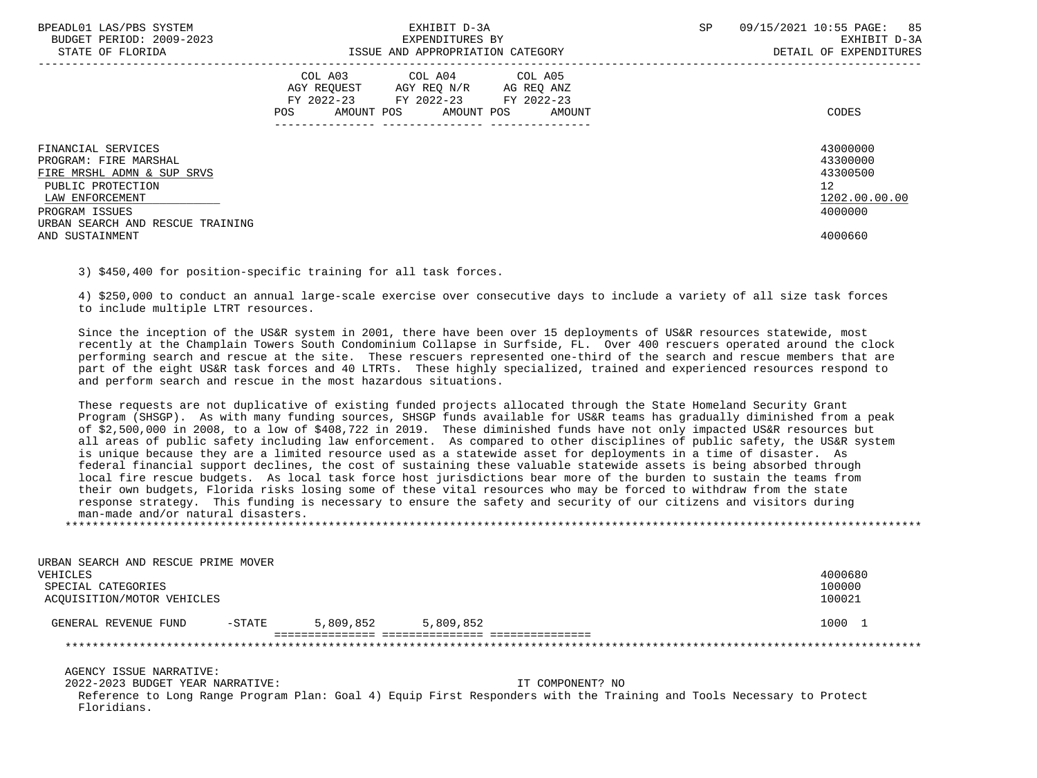| BPEADL01 LAS/PBS SYSTEM<br>BUDGET PERIOD: 2009-2023<br>STATE OF FLORIDA | EXHIBIT D-3A<br>EXPENDITURES BY<br>ISSUE AND APPROPRIATION CATEGORY                                                                         | <b>SP</b><br>09/15/2021 10:55 PAGE:<br>85<br>EXHIBIT D-3A<br>DETAIL OF EXPENDITURES |
|-------------------------------------------------------------------------|---------------------------------------------------------------------------------------------------------------------------------------------|-------------------------------------------------------------------------------------|
|                                                                         | COL A04 COL A05<br>COL A03<br>AGY REOUEST AGY REO N/R<br>AG REQ ANZ<br>FY 2022-23 FY 2022-23 FY 2022-23<br>POS AMOUNT POS AMOUNT POS AMOUNT | CODES                                                                               |
| FINANCIAL SERVICES<br>PROGRAM: FIRE MARSHAL                             |                                                                                                                                             | 43000000<br>43300000                                                                |
| FIRE MRSHL ADMN & SUP SRVS                                              |                                                                                                                                             | 43300500                                                                            |
| PUBLIC PROTECTION<br>LAW ENFORCEMENT                                    |                                                                                                                                             | $12 \overline{ }$<br>1202.00.00.00                                                  |
| PROGRAM ISSUES                                                          |                                                                                                                                             | 4000000                                                                             |
| URBAN SEARCH AND RESCUE TRAINING                                        |                                                                                                                                             |                                                                                     |
| AND SUSTAINMENT                                                         |                                                                                                                                             | 4000660                                                                             |

3) \$450,400 for position-specific training for all task forces.

 4) \$250,000 to conduct an annual large-scale exercise over consecutive days to include a variety of all size task forces to include multiple LTRT resources.

 Since the inception of the US&R system in 2001, there have been over 15 deployments of US&R resources statewide, most recently at the Champlain Towers South Condominium Collapse in Surfside, FL. Over 400 rescuers operated around the clock performing search and rescue at the site. These rescuers represented one-third of the search and rescue members that are part of the eight US&R task forces and 40 LTRTs. These highly specialized, trained and experienced resources respond to and perform search and rescue in the most hazardous situations.

 These requests are not duplicative of existing funded projects allocated through the State Homeland Security Grant Program (SHSGP). As with many funding sources, SHSGP funds available for US&R teams has gradually diminished from a peak of \$2,500,000 in 2008, to a low of \$408,722 in 2019. These diminished funds have not only impacted US&R resources but all areas of public safety including law enforcement. As compared to other disciplines of public safety, the US&R system is unique because they are a limited resource used as a statewide asset for deployments in a time of disaster. As federal financial support declines, the cost of sustaining these valuable statewide assets is being absorbed through local fire rescue budgets. As local task force host jurisdictions bear more of the burden to sustain the teams from their own budgets, Florida risks losing some of these vital resources who may be forced to withdraw from the state response strategy. This funding is necessary to ensure the safety and security of our citizens and visitors during man-made and/or natural disasters. \*\*\*\*\*\*\*\*\*\*\*\*\*\*\*\*\*\*\*\*\*\*\*\*\*\*\*\*\*\*\*\*\*\*\*\*\*\*\*\*\*\*\*\*\*\*\*\*\*\*\*\*\*\*\*\*\*\*\*\*\*\*\*\*\*\*\*\*\*\*\*\*\*\*\*\*\*\*\*\*\*\*\*\*\*\*\*\*\*\*\*\*\*\*\*\*\*\*\*\*\*\*\*\*\*\*\*\*\*\*\*\*\*\*\*\*\*\*\*\*\*\*\*\*\*\*\*

| URBAN SEARCH AND RESCUE PRIME MOVER |          |           |           |                  |                                                                                                                       |
|-------------------------------------|----------|-----------|-----------|------------------|-----------------------------------------------------------------------------------------------------------------------|
| VEHICLES                            |          |           |           |                  | 4000680                                                                                                               |
| SPECIAL CATEGORIES                  |          |           |           |                  | 100000                                                                                                                |
| ACOUISITION/MOTOR VEHICLES          |          |           |           |                  | 100021                                                                                                                |
| GENERAL REVENUE FUND                | $-STATE$ | 5,809,852 | 5,809,852 |                  | 1000 1                                                                                                                |
|                                     |          |           |           |                  |                                                                                                                       |
| AGENCY ISSUE NARRATIVE:             |          |           |           |                  |                                                                                                                       |
| 2022-2023 BUDGET YEAR NARRATIVE:    |          |           |           | IT COMPONENT? NO |                                                                                                                       |
|                                     |          |           |           |                  | Reference to Long Range Program Plan: Goal 4) Equip First Responders with the Training and Tools Necessary to Protect |

Floridians.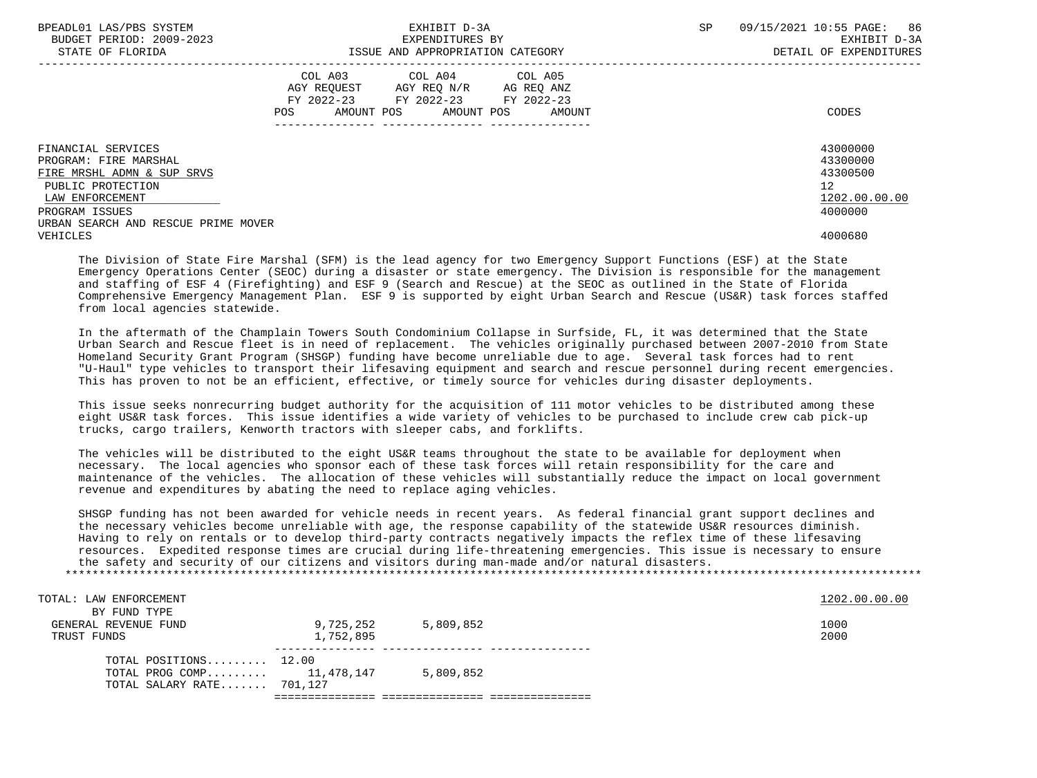| BPEADL01 LAS/PBS SYSTEM<br>BUDGET PERIOD: 2009-2023<br>STATE OF FLORIDA | EXHIBIT D-3A<br>EXPENDITURES BY<br>ISSUE AND APPROPRIATION CATEGORY                                                                         | 09/15/2021 10:55 PAGE: 86<br>SP<br>EXHIBIT D-3A<br>DETAIL OF EXPENDITURES |
|-------------------------------------------------------------------------|---------------------------------------------------------------------------------------------------------------------------------------------|---------------------------------------------------------------------------|
|                                                                         | COL A03 COL A04 COL A05<br>AGY REQUEST AGY REQ N/R AG REQ ANZ<br>FY 2022-23 FY 2022-23 FY 2022-23<br>AMOUNT POS AMOUNT POS<br>POS<br>AMOUNT | CODES                                                                     |
| FINANCIAL SERVICES<br>PROGRAM: FIRE MARSHAL                             |                                                                                                                                             | 43000000<br>43300000                                                      |
| FIRE MRSHL ADMN & SUP SRVS                                              |                                                                                                                                             | 43300500                                                                  |
| PUBLIC PROTECTION<br>LAW ENFORCEMENT                                    |                                                                                                                                             | 12 <sup>°</sup><br>1202.00.00.00                                          |
| PROGRAM ISSUES                                                          |                                                                                                                                             | 4000000                                                                   |
| URBAN SEARCH AND RESCUE PRIME MOVER                                     |                                                                                                                                             |                                                                           |
| VEHICLES                                                                |                                                                                                                                             | 4000680                                                                   |

 The Division of State Fire Marshal (SFM) is the lead agency for two Emergency Support Functions (ESF) at the State Emergency Operations Center (SEOC) during a disaster or state emergency. The Division is responsible for the management and staffing of ESF 4 (Firefighting) and ESF 9 (Search and Rescue) at the SEOC as outlined in the State of Florida Comprehensive Emergency Management Plan. ESF 9 is supported by eight Urban Search and Rescue (US&R) task forces staffed from local agencies statewide.

 In the aftermath of the Champlain Towers South Condominium Collapse in Surfside, FL, it was determined that the State Urban Search and Rescue fleet is in need of replacement. The vehicles originally purchased between 2007-2010 from State Homeland Security Grant Program (SHSGP) funding have become unreliable due to age. Several task forces had to rent "U-Haul" type vehicles to transport their lifesaving equipment and search and rescue personnel during recent emergencies. This has proven to not be an efficient, effective, or timely source for vehicles during disaster deployments.

 This issue seeks nonrecurring budget authority for the acquisition of 111 motor vehicles to be distributed among these eight US&R task forces. This issue identifies a wide variety of vehicles to be purchased to include crew cab pick-up trucks, cargo trailers, Kenworth tractors with sleeper cabs, and forklifts.

 The vehicles will be distributed to the eight US&R teams throughout the state to be available for deployment when necessary. The local agencies who sponsor each of these task forces will retain responsibility for the care and maintenance of the vehicles. The allocation of these vehicles will substantially reduce the impact on local government revenue and expenditures by abating the need to replace aging vehicles.

 SHSGP funding has not been awarded for vehicle needs in recent years. As federal financial grant support declines and the necessary vehicles become unreliable with age, the response capability of the statewide US&R resources diminish. Having to rely on rentals or to develop third-party contracts negatively impacts the reflex time of these lifesaving resources. Expedited response times are crucial during life-threatening emergencies. This issue is necessary to ensure the safety and security of our citizens and visitors during man-made and/or natural disasters. \*\*\*\*\*\*\*\*\*\*\*\*\*\*\*\*\*\*\*\*\*\*\*\*\*\*\*\*\*\*\*\*\*\*\*\*\*\*\*\*\*\*\*\*\*\*\*\*\*\*\*\*\*\*\*\*\*\*\*\*\*\*\*\*\*\*\*\*\*\*\*\*\*\*\*\*\*\*\*\*\*\*\*\*\*\*\*\*\*\*\*\*\*\*\*\*\*\*\*\*\*\*\*\*\*\*\*\*\*\*\*\*\*\*\*\*\*\*\*\*\*\*\*\*\*\*\*

| TOTAL: LAW ENFORCEMENT<br>BY FUND TYPE |           |           | 1202.00.00.00 |
|----------------------------------------|-----------|-----------|---------------|
| GENERAL REVENUE FUND                   | 9,725,252 | 5,809,852 | 1000          |
| TRUST FUNDS                            | 1,752,895 |           | 2000          |
| TOTAL POSITIONS $12.00$                |           |           |               |
| TOTAL PROG COMP $11,478,147$           |           | 5,809,852 |               |
| TOTAL SALARY RATE 701,127              |           |           |               |
|                                        |           |           |               |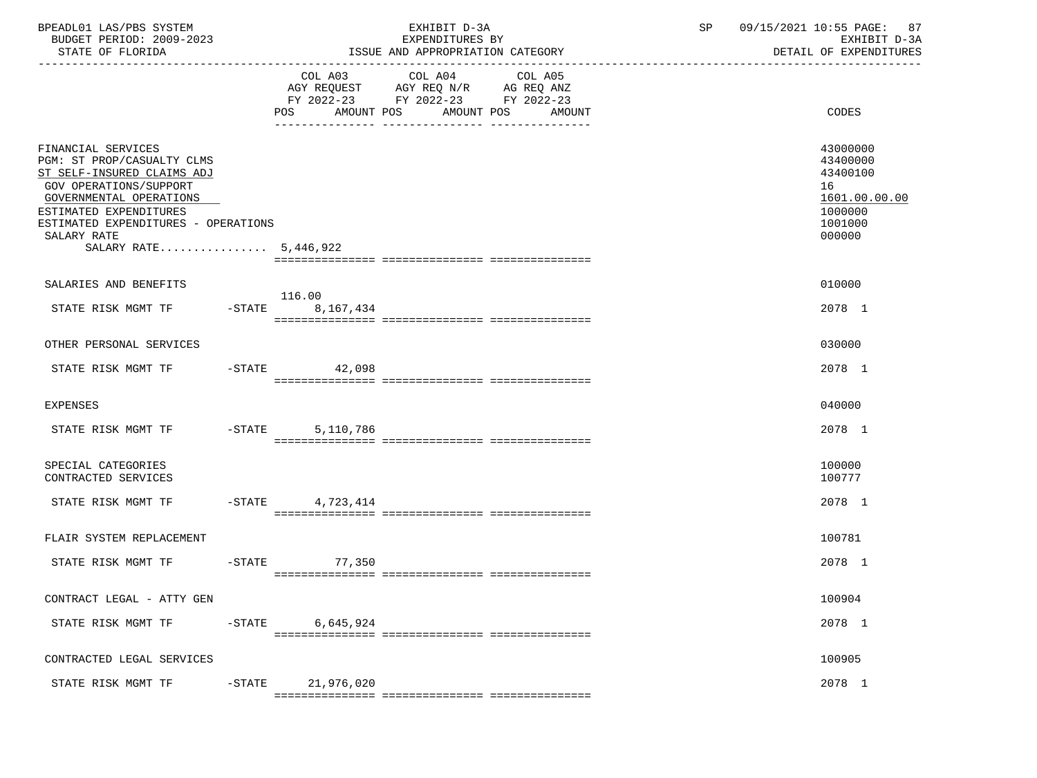| BPEADL01 LAS/PBS SYSTEM<br>BUDGET PERIOD: 2009-2023<br>STATE OF FLORIDA                                                                                                                                                                      |           |                    | EXHIBIT D-3A<br>EXPENDITURES BY<br>ISSUE AND APPROPRIATION CATEGORY                                                                      | 09/15/2021 10:55 PAGE: 87<br>SP<br>EXHIBIT D-3A<br>DETAIL OF EXPENDITURES |                                                                                         |
|----------------------------------------------------------------------------------------------------------------------------------------------------------------------------------------------------------------------------------------------|-----------|--------------------|------------------------------------------------------------------------------------------------------------------------------------------|---------------------------------------------------------------------------|-----------------------------------------------------------------------------------------|
|                                                                                                                                                                                                                                              |           |                    | COL A03 COL A04 COL A05<br>AGY REQUEST AGY REQ N/R AG REQ ANZ<br>FY 2022-23 FY 2022-23 FY 2022-23<br>POS AMOUNT POS AMOUNT POS<br>AMOUNT |                                                                           | CODES                                                                                   |
| FINANCIAL SERVICES<br>PGM: ST PROP/CASUALTY CLMS<br>ST SELF-INSURED CLAIMS ADJ<br>GOV OPERATIONS/SUPPORT<br>GOVERNMENTAL OPERATIONS<br>ESTIMATED EXPENDITURES<br>ESTIMATED EXPENDITURES - OPERATIONS<br>SALARY RATE<br>SALARY RATE 5,446,922 |           |                    |                                                                                                                                          |                                                                           | 43000000<br>43400000<br>43400100<br>16<br>1601.00.00.00<br>1000000<br>1001000<br>000000 |
| SALARIES AND BENEFITS                                                                                                                                                                                                                        |           |                    |                                                                                                                                          |                                                                           | 010000                                                                                  |
| STATE RISK MGMT TF -STATE 8,167,434                                                                                                                                                                                                          |           | 116.00             |                                                                                                                                          |                                                                           | 2078 1                                                                                  |
| OTHER PERSONAL SERVICES                                                                                                                                                                                                                      |           |                    |                                                                                                                                          |                                                                           | 030000                                                                                  |
| STATE RISK MGMT TF $-$ STATE 42,098                                                                                                                                                                                                          |           |                    |                                                                                                                                          |                                                                           | 2078 1                                                                                  |
| EXPENSES                                                                                                                                                                                                                                     |           |                    |                                                                                                                                          |                                                                           | 040000                                                                                  |
| STATE RISK MGMT TF $-$ STATE 5,110,786                                                                                                                                                                                                       |           |                    |                                                                                                                                          |                                                                           | 2078 1                                                                                  |
| SPECIAL CATEGORIES<br>CONTRACTED SERVICES                                                                                                                                                                                                    |           |                    |                                                                                                                                          |                                                                           | 100000<br>100777                                                                        |
| STATE RISK MGMT TF                                                                                                                                                                                                                           | $-STATE$  | 4,723,414          |                                                                                                                                          |                                                                           | 2078 1                                                                                  |
| FLAIR SYSTEM REPLACEMENT                                                                                                                                                                                                                     |           |                    |                                                                                                                                          |                                                                           | 100781                                                                                  |
| STATE RISK MGMT TF                                                                                                                                                                                                                           |           | 77,350<br>$-STATE$ |                                                                                                                                          |                                                                           | 2078 1                                                                                  |
| CONTRACT LEGAL - ATTY GEN                                                                                                                                                                                                                    |           |                    |                                                                                                                                          |                                                                           | 100904                                                                                  |
| STATE RISK MGMT TF                                                                                                                                                                                                                           | $-$ STATE | 6,645,924          |                                                                                                                                          |                                                                           | 2078 1                                                                                  |
| CONTRACTED LEGAL SERVICES                                                                                                                                                                                                                    |           |                    |                                                                                                                                          |                                                                           | 100905                                                                                  |
| STATE RISK MGMT TF                                                                                                                                                                                                                           | $-$ STATE | 21,976,020         |                                                                                                                                          |                                                                           | 2078 1                                                                                  |
|                                                                                                                                                                                                                                              |           |                    |                                                                                                                                          |                                                                           |                                                                                         |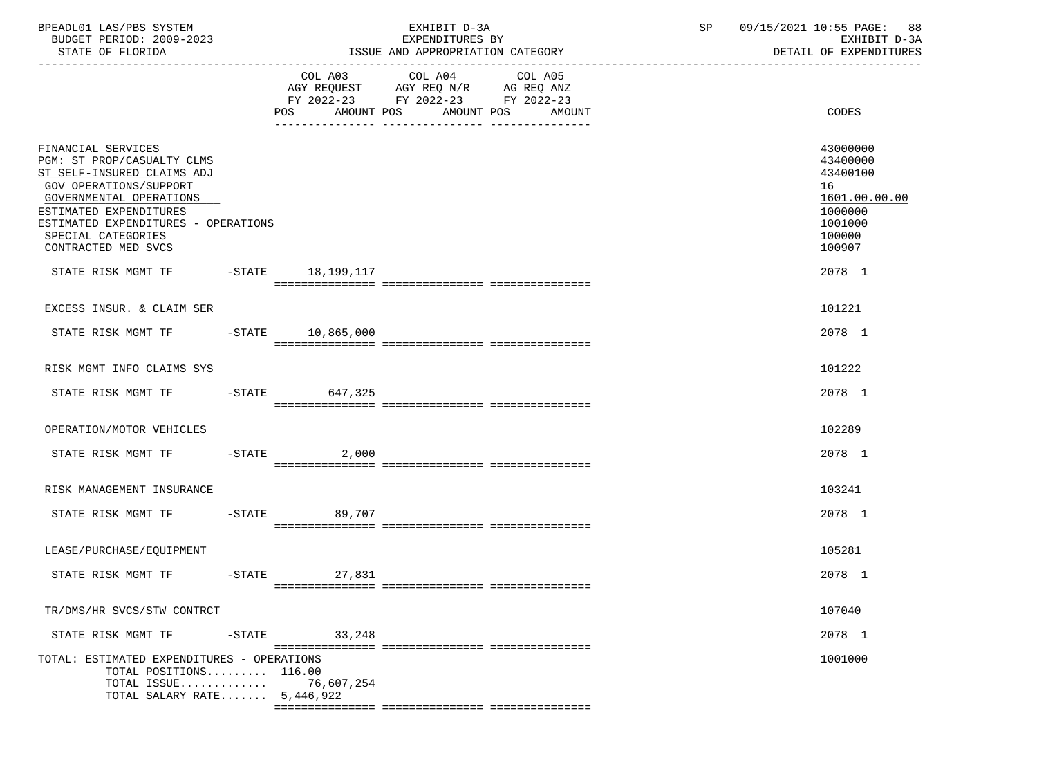| BPEADL01 LAS/PBS SYSTEM<br>BUDGET PERIOD: 2009-2023<br>STATE OF FLORIDA                                                                                                                                                                                                 |           |                                                                                                                              | EXHIBIT D-3A<br>EXPENDITURES BY<br>ISSUE AND APPROPRIATION CATEGORY                                                       | SP and the set of the set of the set of the set of the set of the set of the set of the set of the set of the set of the set of the set of the set of the set of the set of the set of the set of the set of the set of the se | 09/15/2021 10:55 PAGE: 88<br>DETAIL OF EXPENDITURES                                                         | EXHIBIT D-3A |
|-------------------------------------------------------------------------------------------------------------------------------------------------------------------------------------------------------------------------------------------------------------------------|-----------|------------------------------------------------------------------------------------------------------------------------------|---------------------------------------------------------------------------------------------------------------------------|--------------------------------------------------------------------------------------------------------------------------------------------------------------------------------------------------------------------------------|-------------------------------------------------------------------------------------------------------------|--------------|
|                                                                                                                                                                                                                                                                         |           | AMOUNT POS<br>POS FOR THE POST OF THE STATE STATE STATE STATE STATE STATE STATE STATE STATE STATE STATE STATE STATE STATE ST | COL A03 COL A04 COL A05<br>AGY REQUEST AGY REQ N/R AG REQ ANZ<br>FY 2022-23 FY 2022-23 FY 2022-23<br>AMOUNT POS<br>AMOUNT |                                                                                                                                                                                                                                | <b>CODES</b>                                                                                                |              |
| FINANCIAL SERVICES<br>PGM: ST PROP/CASUALTY CLMS<br>ST SELF-INSURED CLAIMS ADJ<br>GOV OPERATIONS/SUPPORT<br>GOVERNMENTAL OPERATIONS<br>ESTIMATED EXPENDITURES<br>ESTIMATED EXPENDITURES - OPERATIONS<br>SPECIAL CATEGORIES<br>CONTRACTED MED SVCS<br>STATE RISK MGMT TF |           | -STATE 18,199,117                                                                                                            |                                                                                                                           |                                                                                                                                                                                                                                | 43000000<br>43400000<br>43400100<br>16<br>1601.00.00.00<br>1000000<br>1001000<br>100000<br>100907<br>2078 1 |              |
|                                                                                                                                                                                                                                                                         |           |                                                                                                                              |                                                                                                                           |                                                                                                                                                                                                                                |                                                                                                             |              |
| EXCESS INSUR. & CLAIM SER                                                                                                                                                                                                                                               |           |                                                                                                                              |                                                                                                                           |                                                                                                                                                                                                                                | 101221                                                                                                      |              |
| STATE RISK MGMT TF                                                                                                                                                                                                                                                      |           | $-$ STATE 10,865,000                                                                                                         |                                                                                                                           |                                                                                                                                                                                                                                | 2078 1                                                                                                      |              |
| RISK MGMT INFO CLAIMS SYS                                                                                                                                                                                                                                               |           |                                                                                                                              |                                                                                                                           |                                                                                                                                                                                                                                | 101222                                                                                                      |              |
| STATE RISK MGMT TF                                                                                                                                                                                                                                                      |           | -STATE 647,325                                                                                                               |                                                                                                                           |                                                                                                                                                                                                                                | 2078 1                                                                                                      |              |
|                                                                                                                                                                                                                                                                         |           |                                                                                                                              |                                                                                                                           |                                                                                                                                                                                                                                |                                                                                                             |              |
| OPERATION/MOTOR VEHICLES                                                                                                                                                                                                                                                |           |                                                                                                                              |                                                                                                                           |                                                                                                                                                                                                                                | 102289                                                                                                      |              |
| STATE RISK MGMT TF                                                                                                                                                                                                                                                      |           | $-$ STATE 2,000                                                                                                              |                                                                                                                           |                                                                                                                                                                                                                                | 2078 1                                                                                                      |              |
| RISK MANAGEMENT INSURANCE                                                                                                                                                                                                                                               |           |                                                                                                                              |                                                                                                                           |                                                                                                                                                                                                                                | 103241                                                                                                      |              |
| STATE RISK MGMT TF                                                                                                                                                                                                                                                      |           | $-STATE$ 89,707                                                                                                              |                                                                                                                           |                                                                                                                                                                                                                                | 2078 1                                                                                                      |              |
|                                                                                                                                                                                                                                                                         |           |                                                                                                                              |                                                                                                                           |                                                                                                                                                                                                                                |                                                                                                             |              |
| LEASE/PURCHASE/EQUIPMENT                                                                                                                                                                                                                                                |           |                                                                                                                              |                                                                                                                           |                                                                                                                                                                                                                                | 105281                                                                                                      |              |
| STATE RISK MGMT TF                                                                                                                                                                                                                                                      | $-STATE$  | 27,831                                                                                                                       |                                                                                                                           |                                                                                                                                                                                                                                | 2078 1                                                                                                      |              |
|                                                                                                                                                                                                                                                                         |           |                                                                                                                              |                                                                                                                           |                                                                                                                                                                                                                                | 107040                                                                                                      |              |
| TR/DMS/HR SVCS/STW CONTRCT                                                                                                                                                                                                                                              |           |                                                                                                                              |                                                                                                                           |                                                                                                                                                                                                                                |                                                                                                             |              |
| STATE RISK MGMT TF                                                                                                                                                                                                                                                      | $-$ STATE | 33,248                                                                                                                       |                                                                                                                           |                                                                                                                                                                                                                                | 2078 1                                                                                                      |              |
| TOTAL: ESTIMATED EXPENDITURES - OPERATIONS<br>TOTAL POSITIONS 116.00<br>TOTAL ISSUE<br>TOTAL SALARY RATE $5,446,922$                                                                                                                                                    |           | 76,607,254                                                                                                                   |                                                                                                                           |                                                                                                                                                                                                                                | 1001000                                                                                                     |              |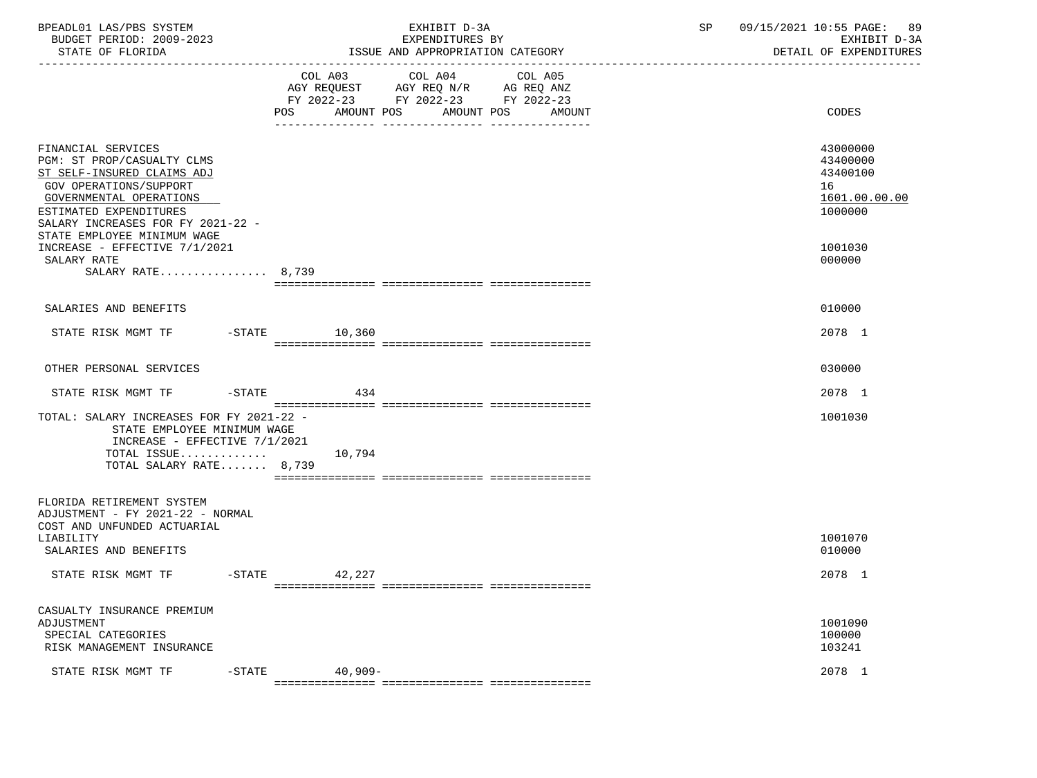| BPEADL01 LAS/PBS SYSTEM<br>BUDGET PERIOD: 2009-2023<br>STATE OF FLORIDA                                                                                                                                                                                            | EXHIBIT D-3A<br>EXPENDITURES BY<br>ISSUE AND APPROPRIATION CATEGORY                                                                               | 09/15/2021 10:55 PAGE: 89<br>SP<br>EXHIBIT D-3A<br>DETAIL OF EXPENDITURES     |
|--------------------------------------------------------------------------------------------------------------------------------------------------------------------------------------------------------------------------------------------------------------------|---------------------------------------------------------------------------------------------------------------------------------------------------|-------------------------------------------------------------------------------|
|                                                                                                                                                                                                                                                                    | COL A03 COL A04<br>COL A05<br>AGY REQUEST AGY REQ N/R AG REQ ANZ<br>FY 2022-23 FY 2022-23 FY 2022-23<br>AMOUNT POS<br>AMOUNT POS<br>POS<br>AMOUNT | CODES                                                                         |
| FINANCIAL SERVICES<br>PGM: ST PROP/CASUALTY CLMS<br>ST SELF-INSURED CLAIMS ADJ<br>GOV OPERATIONS/SUPPORT<br>GOVERNMENTAL OPERATIONS<br>ESTIMATED EXPENDITURES<br>SALARY INCREASES FOR FY 2021-22 -<br>STATE EMPLOYEE MINIMUM WAGE<br>INCREASE - EFFECTIVE 7/1/2021 |                                                                                                                                                   | 43000000<br>43400000<br>43400100<br>16<br>1601.00.00.00<br>1000000<br>1001030 |
| SALARY RATE<br>SALARY RATE 8,739                                                                                                                                                                                                                                   |                                                                                                                                                   | 000000                                                                        |
| SALARIES AND BENEFITS                                                                                                                                                                                                                                              |                                                                                                                                                   | 010000                                                                        |
| STATE RISK MGMT TF                                                                                                                                                                                                                                                 | $-$ STATE $10, 360$                                                                                                                               | 2078 1                                                                        |
| OTHER PERSONAL SERVICES                                                                                                                                                                                                                                            |                                                                                                                                                   | 030000                                                                        |
| STATE RISK MGMT TF -STATE                                                                                                                                                                                                                                          | 434                                                                                                                                               | 2078 1                                                                        |
| TOTAL: SALARY INCREASES FOR FY 2021-22 -<br>STATE EMPLOYEE MINIMUM WAGE<br>INCREASE - EFFECTIVE 7/1/2021<br>TOTAL ISSUE<br>TOTAL SALARY RATE 8,739                                                                                                                 | 10,794                                                                                                                                            | 1001030                                                                       |
| FLORIDA RETIREMENT SYSTEM<br>ADJUSTMENT - FY 2021-22 - NORMAL<br>COST AND UNFUNDED ACTUARIAL<br>LIABILITY<br>SALARIES AND BENEFITS                                                                                                                                 |                                                                                                                                                   | 1001070<br>010000                                                             |
| STATE RISK MGMT TF                                                                                                                                                                                                                                                 | $-$ STATE 42, 227                                                                                                                                 | 2078 1                                                                        |
| CASUALTY INSURANCE PREMIUM<br>ADJUSTMENT<br>SPECIAL CATEGORIES<br>RISK MANAGEMENT INSURANCE<br>STATE RISK MGMT TF<br>$-$ STATE                                                                                                                                     | $40,909-$                                                                                                                                         | 1001090<br>100000<br>103241<br>2078 1                                         |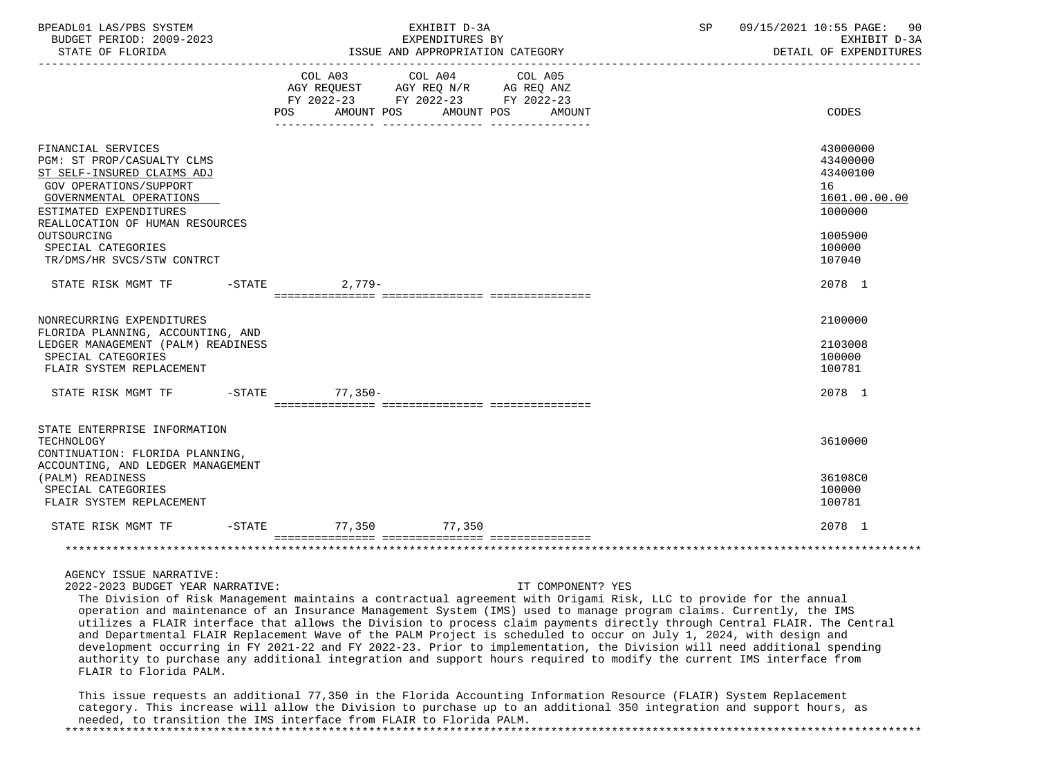| BPEADL01 LAS/PBS SYSTEM<br>BUDGET PERIOD: 2009-2023<br>STATE OF FLORIDA                                                                                                                                                                                             | EXHIBIT D-3A<br>EXPENDITURES BY<br>ISSUE AND APPROPRIATION CATEGORY                                                                         | SP<br>09/15/2021 10:55 PAGE: 90<br>EXHIBIT D-3A<br>DETAIL OF EXPENDITURES                         |
|---------------------------------------------------------------------------------------------------------------------------------------------------------------------------------------------------------------------------------------------------------------------|---------------------------------------------------------------------------------------------------------------------------------------------|---------------------------------------------------------------------------------------------------|
|                                                                                                                                                                                                                                                                     | COL A03 COL A04 COL A05<br>AGY REQUEST AGY REQ N/R AG REQ ANZ<br>FY 2022-23 FY 2022-23 FY 2022-23<br>AMOUNT POS AMOUNT POS<br>POS<br>AMOUNT | CODES                                                                                             |
| FINANCIAL SERVICES<br>PGM: ST PROP/CASUALTY CLMS<br>ST SELF-INSURED CLAIMS ADJ<br>GOV OPERATIONS/SUPPORT<br>GOVERNMENTAL OPERATIONS<br>ESTIMATED EXPENDITURES<br>REALLOCATION OF HUMAN RESOURCES<br>OUTSOURCING<br>SPECIAL CATEGORIES<br>TR/DMS/HR SVCS/STW CONTRCT |                                                                                                                                             | 43000000<br>43400000<br>43400100<br>16<br>1601.00.00.00<br>1000000<br>1005900<br>100000<br>107040 |
| STATE RISK MGMT TF -STATE 2,779-                                                                                                                                                                                                                                    |                                                                                                                                             | 2078 1                                                                                            |
| NONRECURRING EXPENDITURES<br>FLORIDA PLANNING, ACCOUNTING, AND<br>LEDGER MANAGEMENT (PALM) READINESS<br>SPECIAL CATEGORIES<br>FLAIR SYSTEM REPLACEMENT                                                                                                              |                                                                                                                                             | 2100000<br>2103008<br>100000<br>100781                                                            |
| STATE RISK MGMT TF -STATE 77,350-                                                                                                                                                                                                                                   |                                                                                                                                             | 2078 1                                                                                            |
| STATE ENTERPRISE INFORMATION<br>TECHNOLOGY<br>CONTINUATION: FLORIDA PLANNING,<br>ACCOUNTING, AND LEDGER MANAGEMENT<br>(PALM) READINESS<br>SPECIAL CATEGORIES<br>FLAIR SYSTEM REPLACEMENT                                                                            |                                                                                                                                             | 3610000<br>36108C0<br>100000<br>100781                                                            |
| STATE RISK MGMT TF -STATE 77,350                                                                                                                                                                                                                                    | 77,350                                                                                                                                      | 2078 1                                                                                            |
|                                                                                                                                                                                                                                                                     |                                                                                                                                             |                                                                                                   |
| AGENCY ISSUE NARRATIVE:<br>2022-2023 BUDGET YEAR NARRATIVE:                                                                                                                                                                                                         | IT COMPONENT? YES<br>The Division of Bigh Management maintaing a contractual agreement with Origani Bight IIC to provide for the annual     |                                                                                                   |

 The Division of Risk Management maintains a contractual agreement with Origami Risk, LLC to provide for the annual operation and maintenance of an Insurance Management System (IMS) used to manage program claims. Currently, the IMS utilizes a FLAIR interface that allows the Division to process claim payments directly through Central FLAIR. The Central and Departmental FLAIR Replacement Wave of the PALM Project is scheduled to occur on July 1, 2024, with design and development occurring in FY 2021-22 and FY 2022-23. Prior to implementation, the Division will need additional spending authority to purchase any additional integration and support hours required to modify the current IMS interface from FLAIR to Florida PALM.

 This issue requests an additional 77,350 in the Florida Accounting Information Resource (FLAIR) System Replacement category. This increase will allow the Division to purchase up to an additional 350 integration and support hours, as needed, to transition the IMS interface from FLAIR to Florida PALM. \*\*\*\*\*\*\*\*\*\*\*\*\*\*\*\*\*\*\*\*\*\*\*\*\*\*\*\*\*\*\*\*\*\*\*\*\*\*\*\*\*\*\*\*\*\*\*\*\*\*\*\*\*\*\*\*\*\*\*\*\*\*\*\*\*\*\*\*\*\*\*\*\*\*\*\*\*\*\*\*\*\*\*\*\*\*\*\*\*\*\*\*\*\*\*\*\*\*\*\*\*\*\*\*\*\*\*\*\*\*\*\*\*\*\*\*\*\*\*\*\*\*\*\*\*\*\*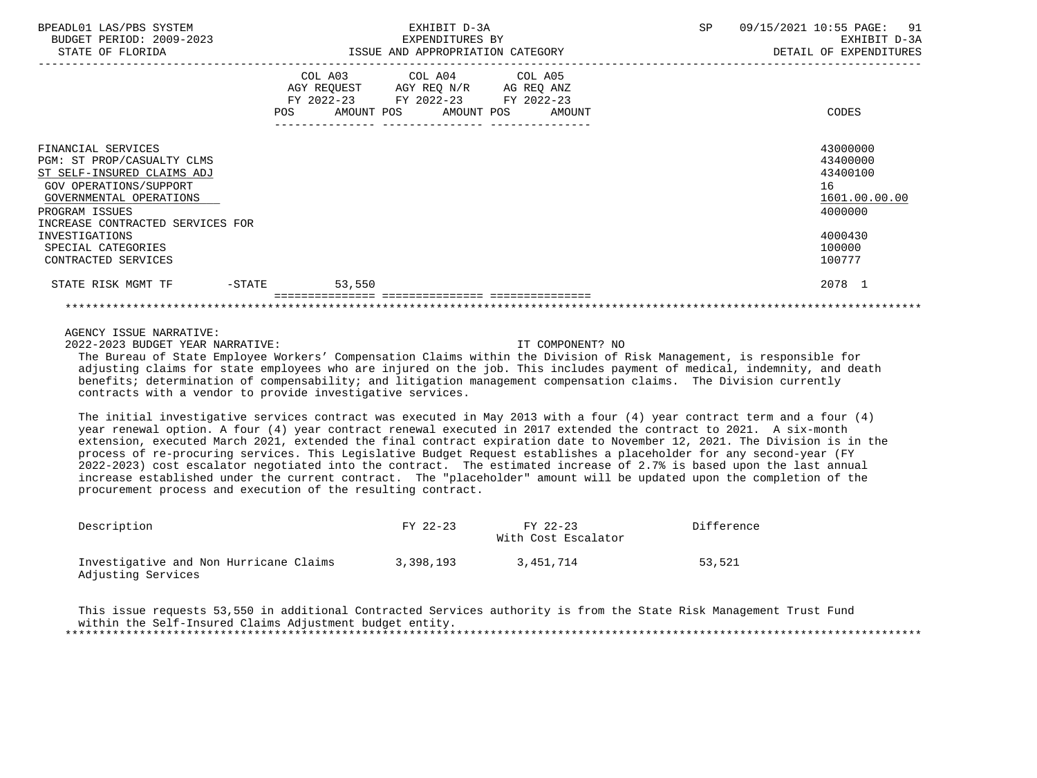| BPEADL01 LAS/PBS SYSTEM<br>BUDGET PERIOD: 2009-2023<br>STATE OF FLORIDA                                                                                                                                                           | EXHIBIT D-3A<br>EXPENDITURES BY<br>ISSUE AND APPROPRIATION CATEGORY |                                                                                                                                       |  | 09/15/2021 10:55 PAGE: 91<br>SP<br>EXHIBIT D-3A<br>DETAIL OF EXPENDITURES |  |                                                                                         |
|-----------------------------------------------------------------------------------------------------------------------------------------------------------------------------------------------------------------------------------|---------------------------------------------------------------------|---------------------------------------------------------------------------------------------------------------------------------------|--|---------------------------------------------------------------------------|--|-----------------------------------------------------------------------------------------|
|                                                                                                                                                                                                                                   |                                                                     | COL A03 COL A04 COL A05<br>AGY REQUEST AGY REQ N/R AG REQ ANZ<br>FY 2022-23 FY 2022-23 FY 2022-23<br>POS AMOUNT POS AMOUNT POS AMOUNT |  |                                                                           |  | CODES                                                                                   |
| FINANCIAL SERVICES<br>PGM: ST PROP/CASUALTY CLMS<br>ST SELF-INSURED CLAIMS ADJ<br>GOV OPERATIONS/SUPPORT<br>GOVERNMENTAL OPERATIONS<br>PROGRAM ISSUES<br>INCREASE CONTRACTED SERVICES FOR<br>INVESTIGATIONS<br>SPECIAL CATEGORIES |                                                                     |                                                                                                                                       |  |                                                                           |  | 43000000<br>43400000<br>43400100<br>16<br>1601.00.00.00<br>4000000<br>4000430<br>100000 |
| CONTRACTED SERVICES<br>STATE RISK MGMT TF<br>$-$ STATE                                                                                                                                                                            | 53,550                                                              |                                                                                                                                       |  |                                                                           |  | 100777<br>2078 1                                                                        |
|                                                                                                                                                                                                                                   |                                                                     |                                                                                                                                       |  |                                                                           |  |                                                                                         |

2022-2023 BUDGET YEAR NARRATIVE: IT COMPONENT? NO

 The Bureau of State Employee Workers' Compensation Claims within the Division of Risk Management, is responsible for adjusting claims for state employees who are injured on the job. This includes payment of medical, indemnity, and death benefits; determination of compensability; and litigation management compensation claims. The Division currently contracts with a vendor to provide investigative services.

 The initial investigative services contract was executed in May 2013 with a four (4) year contract term and a four (4) year renewal option. A four (4) year contract renewal executed in 2017 extended the contract to 2021. A six-month extension, executed March 2021, extended the final contract expiration date to November 12, 2021. The Division is in the process of re-procuring services. This Legislative Budget Request establishes a placeholder for any second-year (FY 2022-2023) cost escalator negotiated into the contract. The estimated increase of 2.7% is based upon the last annual increase established under the current contract. The "placeholder" amount will be updated upon the completion of the procurement process and execution of the resulting contract.

| Description                                                  | FY 22-23  | FY 22-23<br>With Cost Escalator | Difference |
|--------------------------------------------------------------|-----------|---------------------------------|------------|
| Investigative and Non Hurricane Claims<br>Adjusting Services | 3,398,193 | 3,451,714                       | 53,521     |

 This issue requests 53,550 in additional Contracted Services authority is from the State Risk Management Trust Fund within the Self-Insured Claims Adjustment budget entity. \*\*\*\*\*\*\*\*\*\*\*\*\*\*\*\*\*\*\*\*\*\*\*\*\*\*\*\*\*\*\*\*\*\*\*\*\*\*\*\*\*\*\*\*\*\*\*\*\*\*\*\*\*\*\*\*\*\*\*\*\*\*\*\*\*\*\*\*\*\*\*\*\*\*\*\*\*\*\*\*\*\*\*\*\*\*\*\*\*\*\*\*\*\*\*\*\*\*\*\*\*\*\*\*\*\*\*\*\*\*\*\*\*\*\*\*\*\*\*\*\*\*\*\*\*\*\*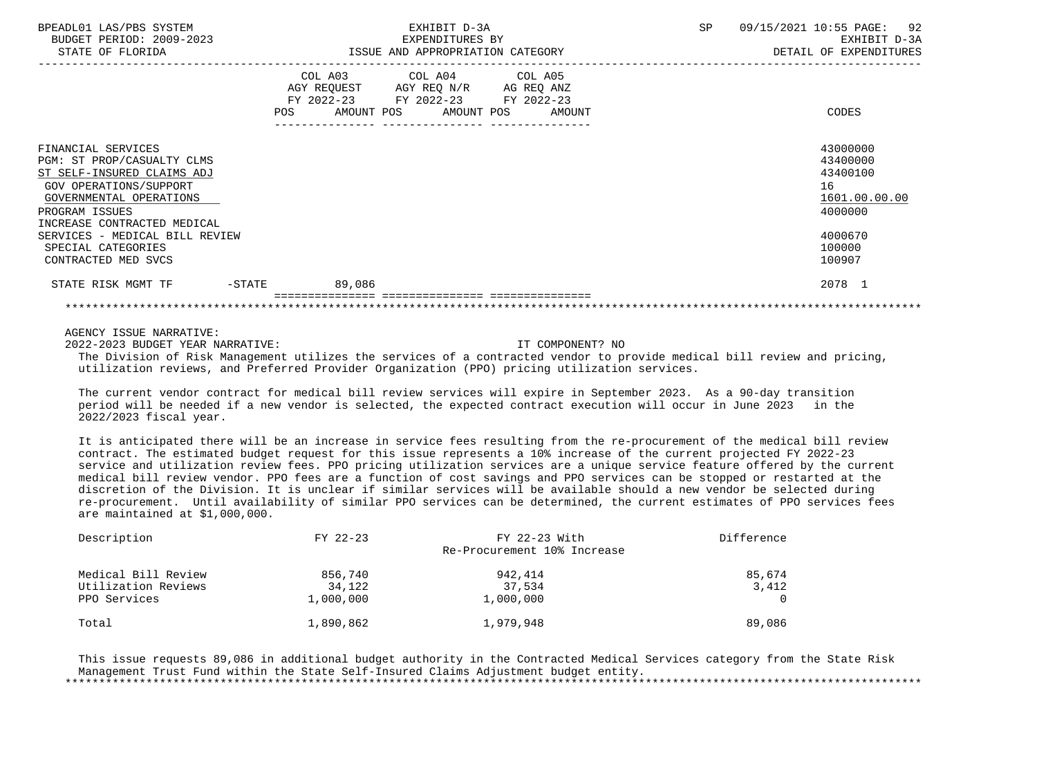| BPEADL01 LAS/PBS SYSTEM<br>BUDGET PERIOD: 2009-2023<br>STATE OF FLORIDA                                                                                                              | EXHIBIT D-3A<br>EXPENDITURES BY                                                                                                                                                                                                              | ISSUE AND APPROPRIATION CATEGORY | SP | 09/15/2021 10:55 PAGE: 92<br>EXHIBIT D-3A<br>DETAIL OF EXPENDITURES |
|--------------------------------------------------------------------------------------------------------------------------------------------------------------------------------------|----------------------------------------------------------------------------------------------------------------------------------------------------------------------------------------------------------------------------------------------|----------------------------------|----|---------------------------------------------------------------------|
|                                                                                                                                                                                      | COL A03 COL A04 COL A05<br>AGY REQUEST AGY REQ N/R AG REQ ANZ<br>FY 2022-23 FY 2022-23 FY 2022-23<br>AMOUNT POS AMOUNT POS<br>POS FOR THE POST OF THE STATE STATE STATE STATE STATE STATE STATE STATE STATE STATE STATE STATE STATE STATE ST | AMOUNT                           |    | CODES                                                               |
| FINANCIAL SERVICES<br>PGM: ST PROP/CASUALTY CLMS<br>ST SELF-INSURED CLAIMS ADJ<br>GOV OPERATIONS/SUPPORT<br>GOVERNMENTAL OPERATIONS<br>PROGRAM ISSUES<br>INCREASE CONTRACTED MEDICAL |                                                                                                                                                                                                                                              |                                  |    | 43000000<br>43400000<br>43400100<br>16<br>1601.00.00.00<br>4000000  |
| SERVICES - MEDICAL BILL REVIEW<br>SPECIAL CATEGORIES<br>CONTRACTED MED SVCS                                                                                                          |                                                                                                                                                                                                                                              |                                  |    | 4000670<br>100000<br>100907                                         |
|                                                                                                                                                                                      |                                                                                                                                                                                                                                              |                                  |    | 2078 1                                                              |
|                                                                                                                                                                                      |                                                                                                                                                                                                                                              |                                  |    |                                                                     |

2022-2023 BUDGET YEAR NARRATIVE: IT COMPONENT? NO

 The Division of Risk Management utilizes the services of a contracted vendor to provide medical bill review and pricing, utilization reviews, and Preferred Provider Organization (PPO) pricing utilization services.

 The current vendor contract for medical bill review services will expire in September 2023. As a 90-day transition period will be needed if a new vendor is selected, the expected contract execution will occur in June 2023 in the 2022/2023 fiscal year.

 It is anticipated there will be an increase in service fees resulting from the re-procurement of the medical bill review contract. The estimated budget request for this issue represents a 10% increase of the current projected FY 2022-23 service and utilization review fees. PPO pricing utilization services are a unique service feature offered by the current medical bill review vendor. PPO fees are a function of cost savings and PPO services can be stopped or restarted at the discretion of the Division. It is unclear if similar services will be available should a new vendor be selected during re-procurement. Until availability of similar PPO services can be determined, the current estimates of PPO services fees are maintained at \$1,000,000.

| Description         | FY 22-23  | FY 22-23 With<br>Re-Procurement 10% Increase | Difference |
|---------------------|-----------|----------------------------------------------|------------|
| Medical Bill Review | 856,740   | 942,414                                      | 85,674     |
| Utilization Reviews | 34,122    | 37,534                                       | 3,412      |
| PPO Services        | 1,000,000 | 1,000,000                                    |            |
| Total               | 1,890,862 | 1,979,948                                    | 89,086     |

 This issue requests 89,086 in additional budget authority in the Contracted Medical Services category from the State Risk Management Trust Fund within the State Self-Insured Claims Adjustment budget entity. \*\*\*\*\*\*\*\*\*\*\*\*\*\*\*\*\*\*\*\*\*\*\*\*\*\*\*\*\*\*\*\*\*\*\*\*\*\*\*\*\*\*\*\*\*\*\*\*\*\*\*\*\*\*\*\*\*\*\*\*\*\*\*\*\*\*\*\*\*\*\*\*\*\*\*\*\*\*\*\*\*\*\*\*\*\*\*\*\*\*\*\*\*\*\*\*\*\*\*\*\*\*\*\*\*\*\*\*\*\*\*\*\*\*\*\*\*\*\*\*\*\*\*\*\*\*\*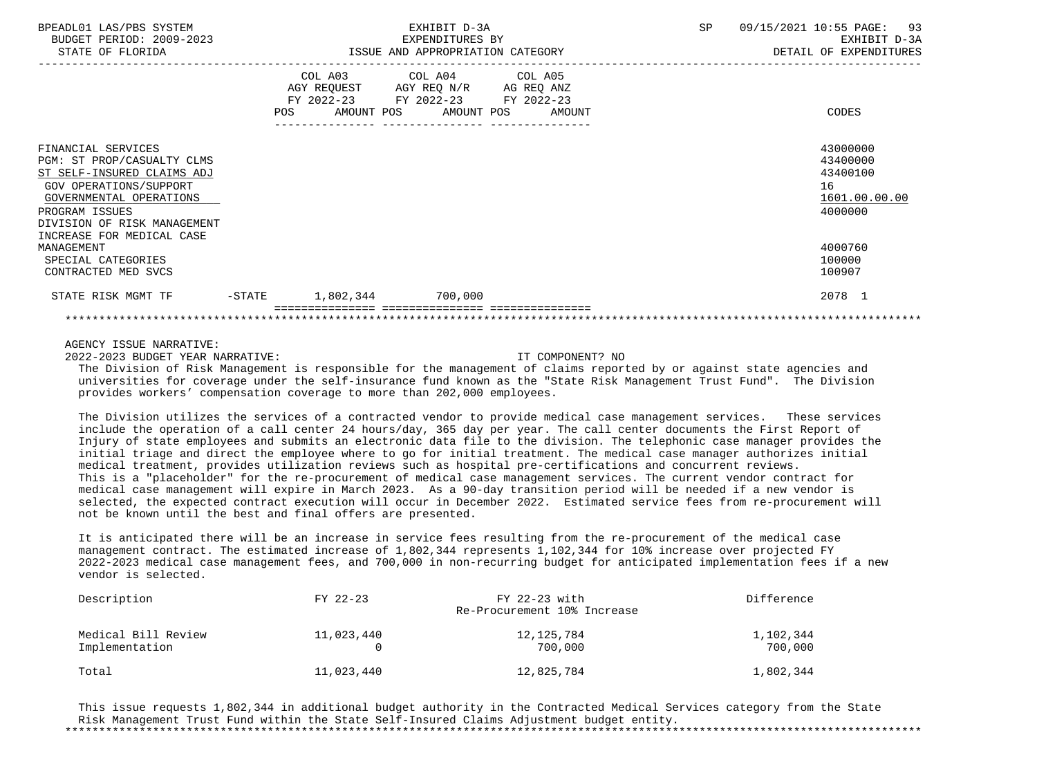| BPEADL01 LAS/PBS SYSTEM<br>BUDGET PERIOD: 2009-2023<br>STATE OF FLORIDA                                                                                                                                           | EXHIBIT D-3A<br>EXPENDITURES BY<br>ISSUE AND APPROPRIATION CATEGORY |                                                                                                                                                                              |  | SP | 09/15/2021 10:55 PAGE: 93<br>EXHIBIT D-3A<br>DETAIL OF EXPENDITURES |                                                                    |
|-------------------------------------------------------------------------------------------------------------------------------------------------------------------------------------------------------------------|---------------------------------------------------------------------|------------------------------------------------------------------------------------------------------------------------------------------------------------------------------|--|----|---------------------------------------------------------------------|--------------------------------------------------------------------|
|                                                                                                                                                                                                                   |                                                                     | COL A03 COL A04 COL A05<br>AGY REQUEST AGY REQ N/R AG REQ ANZ<br>FY 2022-23 FY 2022-23 FY 2022-23<br>POS AMOUNT POS AMOUNT POS AMOUNT<br>___________________________________ |  |    |                                                                     | CODES                                                              |
| FINANCIAL SERVICES<br>PGM: ST PROP/CASUALTY CLMS<br>ST SELF-INSURED CLAIMS ADJ<br>GOV OPERATIONS/SUPPORT<br>GOVERNMENTAL OPERATIONS<br>PROGRAM ISSUES<br>DIVISION OF RISK MANAGEMENT<br>INCREASE FOR MEDICAL CASE |                                                                     |                                                                                                                                                                              |  |    |                                                                     | 43000000<br>43400000<br>43400100<br>16<br>1601.00.00.00<br>4000000 |
| MANAGEMENT<br>SPECIAL CATEGORIES<br>CONTRACTED MED SVCS                                                                                                                                                           |                                                                     |                                                                                                                                                                              |  |    |                                                                     | 4000760<br>100000<br>100907                                        |
| STATE RISK MGMT TF -STATE 1,802,344 700,000                                                                                                                                                                       |                                                                     |                                                                                                                                                                              |  |    |                                                                     | 2078 1                                                             |
|                                                                                                                                                                                                                   |                                                                     |                                                                                                                                                                              |  |    |                                                                     |                                                                    |

2022-2023 BUDGET YEAR NARRATIVE: IT COMPONENT? NO

 The Division of Risk Management is responsible for the management of claims reported by or against state agencies and universities for coverage under the self-insurance fund known as the "State Risk Management Trust Fund". The Division provides workers' compensation coverage to more than 202,000 employees.

 The Division utilizes the services of a contracted vendor to provide medical case management services. These services include the operation of a call center 24 hours/day, 365 day per year. The call center documents the First Report of Injury of state employees and submits an electronic data file to the division. The telephonic case manager provides the initial triage and direct the employee where to go for initial treatment. The medical case manager authorizes initial medical treatment, provides utilization reviews such as hospital pre-certifications and concurrent reviews. This is a "placeholder" for the re-procurement of medical case management services. The current vendor contract for medical case management will expire in March 2023. As a 90-day transition period will be needed if a new vendor is selected, the expected contract execution will occur in December 2022. Estimated service fees from re-procurement will not be known until the best and final offers are presented.

 It is anticipated there will be an increase in service fees resulting from the re-procurement of the medical case management contract. The estimated increase of 1,802,344 represents 1,102,344 for 10% increase over projected FY 2022-2023 medical case management fees, and 700,000 in non-recurring budget for anticipated implementation fees if a new vendor is selected.

| Description                           | FY 22-23   | FY 22-23 with<br>Re-Procurement 10% Increase |                      |  |
|---------------------------------------|------------|----------------------------------------------|----------------------|--|
| Medical Bill Review<br>Implementation | 11,023,440 | 12,125,784<br>700,000                        | 1,102,344<br>700,000 |  |
| Total                                 | 11,023,440 | 12,825,784                                   | 1,802,344            |  |

 This issue requests 1,802,344 in additional budget authority in the Contracted Medical Services category from the State Risk Management Trust Fund within the State Self-Insured Claims Adjustment budget entity. \*\*\*\*\*\*\*\*\*\*\*\*\*\*\*\*\*\*\*\*\*\*\*\*\*\*\*\*\*\*\*\*\*\*\*\*\*\*\*\*\*\*\*\*\*\*\*\*\*\*\*\*\*\*\*\*\*\*\*\*\*\*\*\*\*\*\*\*\*\*\*\*\*\*\*\*\*\*\*\*\*\*\*\*\*\*\*\*\*\*\*\*\*\*\*\*\*\*\*\*\*\*\*\*\*\*\*\*\*\*\*\*\*\*\*\*\*\*\*\*\*\*\*\*\*\*\*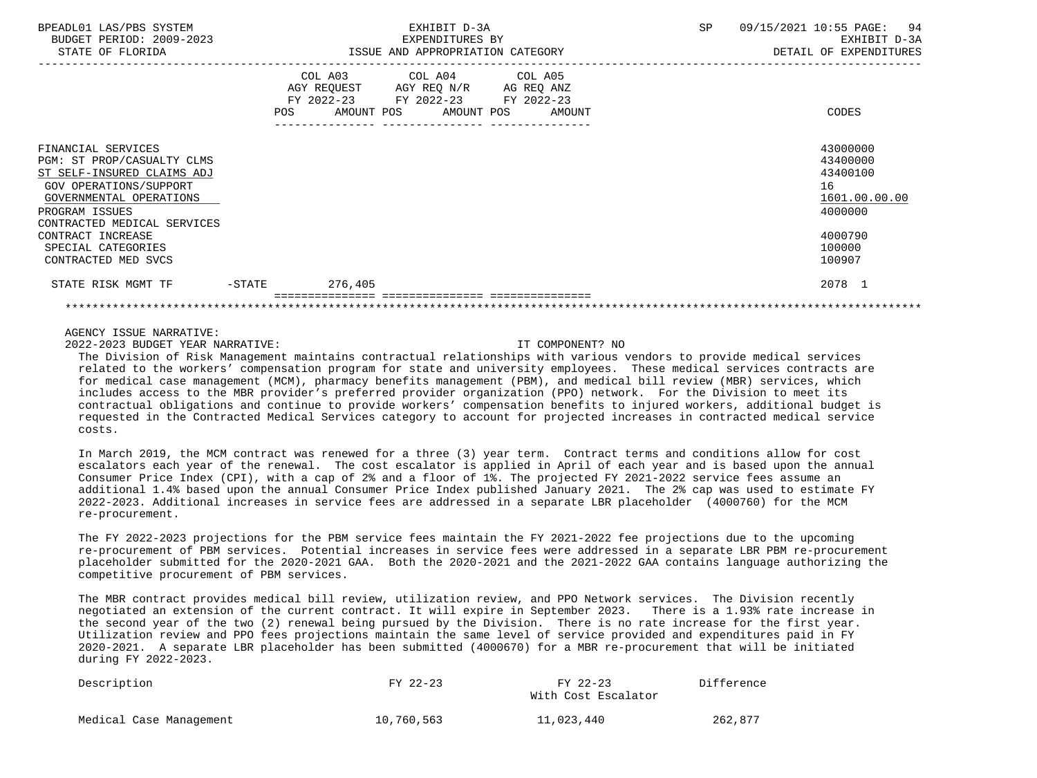| BPEADL01 LAS/PBS SYSTEM<br>BUDGET PERIOD: 2009-2023<br>STATE OF FLORIDA                                                                                                              |          | ISSUE AND APPROPRIATION CATEGORY                                                                                                      | EXPENDITURES BY | EXHIBIT D-3A |  | SP | 09/15/2021 10:55 PAGE: 94<br>EXHIBIT D-3A<br>DETAIL OF EXPENDITURES |  |
|--------------------------------------------------------------------------------------------------------------------------------------------------------------------------------------|----------|---------------------------------------------------------------------------------------------------------------------------------------|-----------------|--------------|--|----|---------------------------------------------------------------------|--|
|                                                                                                                                                                                      |          | COL A03 COL A04 COL A05<br>AGY REQUEST AGY REQ N/R AG REQ ANZ<br>FY 2022-23 FY 2022-23 FY 2022-23<br>POS AMOUNT POS AMOUNT POS AMOUNT |                 |              |  |    | CODES                                                               |  |
| FINANCIAL SERVICES<br>PGM: ST PROP/CASUALTY CLMS<br>ST SELF-INSURED CLAIMS ADJ<br>GOV OPERATIONS/SUPPORT<br>GOVERNMENTAL OPERATIONS<br>PROGRAM ISSUES<br>CONTRACTED MEDICAL SERVICES |          |                                                                                                                                       |                 |              |  |    | 43000000<br>43400000<br>43400100<br>16<br>1601.00.00.00<br>4000000  |  |
| CONTRACT INCREASE<br>SPECIAL CATEGORIES<br>CONTRACTED MED SVCS                                                                                                                       |          |                                                                                                                                       |                 |              |  |    | 4000790<br>100000<br>100907                                         |  |
| STATE RISK MGMT TF                                                                                                                                                                   | $-STATE$ | 276,405                                                                                                                               |                 |              |  |    | 2078 1                                                              |  |

\*\*\*\*\*\*\*\*\*\*\*\*\*\*\*\*\*\*\*\*\*\*\*\*\*\*\*\*\*\*\*\*\*\*\*\*\*\*\*\*\*\*\*\*\*\*\*\*\*\*\*\*\*\*\*\*\*\*\*\*\*\*\*\*\*\*\*\*\*\*\*\*\*\*\*\*\*\*\*\*\*\*\*\*\*\*\*\*\*\*\*\*\*\*\*\*\*\*\*\*\*\*\*\*\*\*\*\*\*\*\*\*\*\*\*\*\*\*\*\*\*\*\*\*\*\*\*

=============== =============== ===============

# AGENCY ISSUE NARRATIVE:

2022-2023 BUDGET YEAR NARRATIVE: IT COMPONENT? NO

 The Division of Risk Management maintains contractual relationships with various vendors to provide medical services related to the workers' compensation program for state and university employees. These medical services contracts are for medical case management (MCM), pharmacy benefits management (PBM), and medical bill review (MBR) services, which includes access to the MBR provider's preferred provider organization (PPO) network. For the Division to meet its contractual obligations and continue to provide workers' compensation benefits to injured workers, additional budget is requested in the Contracted Medical Services category to account for projected increases in contracted medical service costs.

 In March 2019, the MCM contract was renewed for a three (3) year term. Contract terms and conditions allow for cost escalators each year of the renewal. The cost escalator is applied in April of each year and is based upon the annual Consumer Price Index (CPI), with a cap of 2% and a floor of 1%. The projected FY 2021-2022 service fees assume an additional 1.4% based upon the annual Consumer Price Index published January 2021. The 2% cap was used to estimate FY 2022-2023. Additional increases in service fees are addressed in a separate LBR placeholder (4000760) for the MCM re-procurement.

 The FY 2022-2023 projections for the PBM service fees maintain the FY 2021-2022 fee projections due to the upcoming re-procurement of PBM services. Potential increases in service fees were addressed in a separate LBR PBM re-procurement placeholder submitted for the 2020-2021 GAA. Both the 2020-2021 and the 2021-2022 GAA contains language authorizing the competitive procurement of PBM services.

 The MBR contract provides medical bill review, utilization review, and PPO Network services. The Division recently negotiated an extension of the current contract. It will expire in September 2023. There is a 1.93% rate increase in the second year of the two (2) renewal being pursued by the Division. There is no rate increase for the first year. Utilization review and PPO fees projections maintain the same level of service provided and expenditures paid in FY 2020-2021. A separate LBR placeholder has been submitted (4000670) for a MBR re-procurement that will be initiated during FY 2022-2023.

| Description             | FY 22-23   | FY 22-23<br>With Cost Escalator | Difference |
|-------------------------|------------|---------------------------------|------------|
| Medical Case Management | 10,760,563 | 11,023,440                      | 262,877    |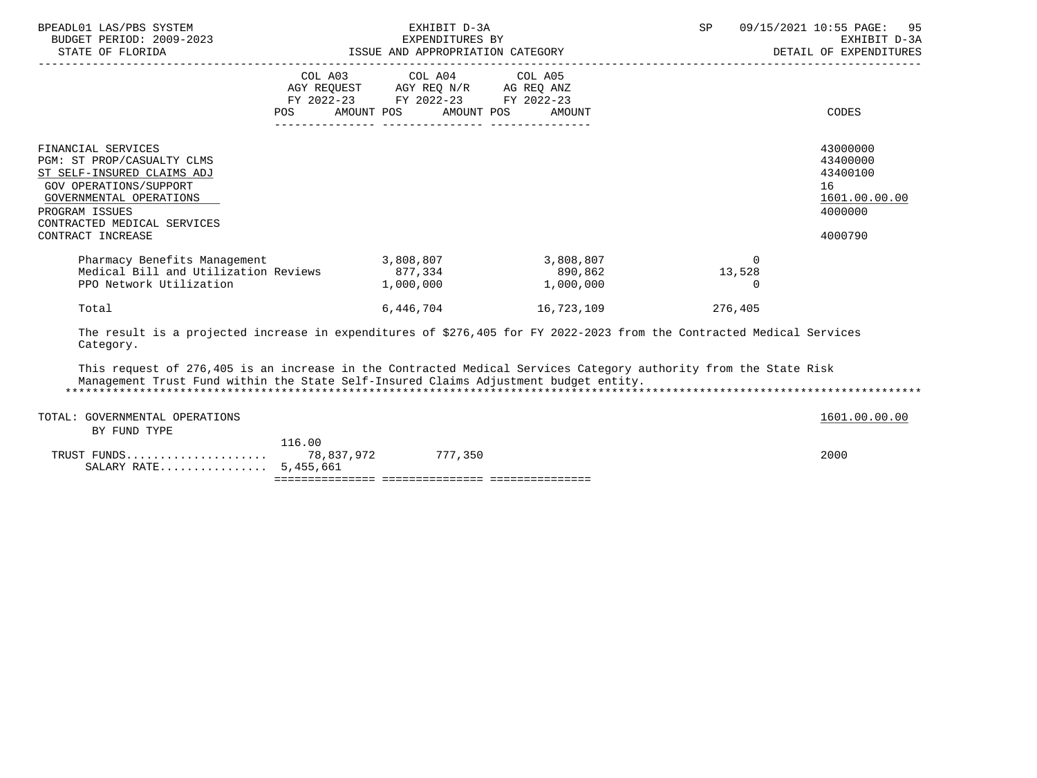| BPEADL01 LAS/PBS SYSTEM<br>BUDGET PERIOD: 2009-2023<br>STATE OF FLORIDA                                                                                                                                   | EXHIBIT D-3A<br>EXPENDITURES BY<br>ISSUE AND APPROPRIATION CATEGORY                                            |                                                                                                   |                                               | SP                | 09/15/2021 10:55 PAGE: 95<br>EXHIBIT D-3A<br>DETAIL OF EXPENDITURES           |
|-----------------------------------------------------------------------------------------------------------------------------------------------------------------------------------------------------------|----------------------------------------------------------------------------------------------------------------|---------------------------------------------------------------------------------------------------|-----------------------------------------------|-------------------|-------------------------------------------------------------------------------|
|                                                                                                                                                                                                           | POS FOR THE POST OF THE STATE STATE STATE STATE STATE STATE STATE STATE STATE STATE STATE STATE STATE STATE ST | COL A03 COL A04 COL A05<br>AGY REQUEST AGY REQ N/R AG REQ ANZ<br>FY 2022-23 FY 2022-23 FY 2022-23 | AMOUNT POS AMOUNT POS AMOUNT                  |                   | CODES                                                                         |
| FINANCIAL SERVICES<br>PGM: ST PROP/CASUALTY CLMS<br>ST SELF-INSURED CLAIMS ADJ<br>GOV OPERATIONS/SUPPORT<br>GOVERNMENTAL OPERATIONS<br>PROGRAM ISSUES<br>CONTRACTED MEDICAL SERVICES<br>CONTRACT INCREASE |                                                                                                                |                                                                                                   |                                               |                   | 43000000<br>43400000<br>43400100<br>16<br>1601.00.00.00<br>4000000<br>4000790 |
| Pharmacy Benefits Management 3,808,807 3,808,807<br>Medical Bill and Utilization Reviews<br>PPO Network Utilization<br>Total                                                                              |                                                                                                                | 877,334<br>1,000,000                                                                              | 890, 862<br>1,000,000<br>6,446,704 16,723,109 | 13,528<br>276,405 |                                                                               |
| The result is a projected increase in expenditures of \$276,405 for FY 2022-2023 from the Contracted Medical Services<br>Category.                                                                        |                                                                                                                |                                                                                                   |                                               |                   |                                                                               |

 This request of 276,405 is an increase in the Contracted Medical Services Category authority from the State Risk Management Trust Fund within the State Self-Insured Claims Adjustment budget entity. \*\*\*\*\*\*\*\*\*\*\*\*\*\*\*\*\*\*\*\*\*\*\*\*\*\*\*\*\*\*\*\*\*\*\*\*\*\*\*\*\*\*\*\*\*\*\*\*\*\*\*\*\*\*\*\*\*\*\*\*\*\*\*\*\*\*\*\*\*\*\*\*\*\*\*\*\*\*\*\*\*\*\*\*\*\*\*\*\*\*\*\*\*\*\*\*\*\*\*\*\*\*\*\*\*\*\*\*\*\*\*\*\*\*\*\*\*\*\*\*\*\*\*\*\*\*\*

| TOTAL: GOVERNMENTAL OPERATIONS |        |         | 1601.00.00.00 |
|--------------------------------|--------|---------|---------------|
| BY FUND TYPE                   |        |         |               |
|                                | 116.00 |         |               |
| TRUST FUNDS 78,837,972         |        | 777,350 | 2000          |
| SALARY RATE $5,455,661$        |        |         |               |
|                                |        |         |               |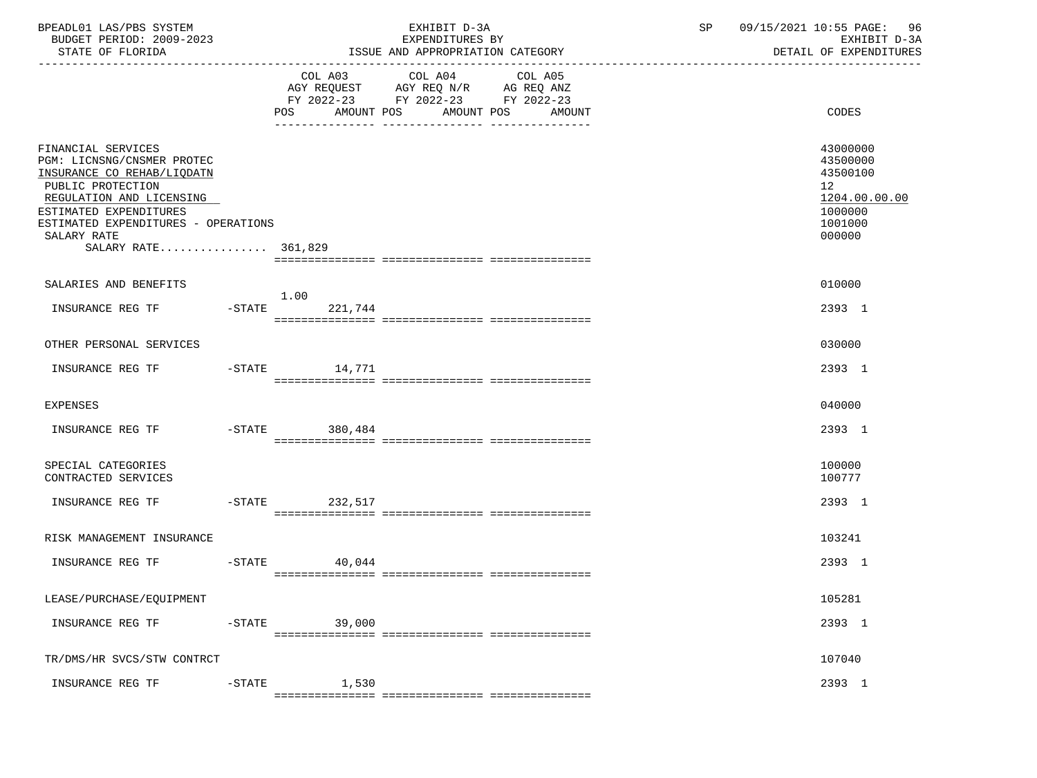| BPEADL01 LAS/PBS SYSTEM<br>BUDGET PERIOD: 2009-2023<br>STATE OF FLORIDA                                                                                                                                                                |           |                            | EXHIBIT D-3A<br>EXPENDITURES BY<br>ISSUE AND APPROPRIATION CATEGORY                                                                   | SP | 09/15/2021 10:55 PAGE: 96<br>EXHIBIT D-3A<br>DETAIL OF EXPENDITURES                     |
|----------------------------------------------------------------------------------------------------------------------------------------------------------------------------------------------------------------------------------------|-----------|----------------------------|---------------------------------------------------------------------------------------------------------------------------------------|----|-----------------------------------------------------------------------------------------|
|                                                                                                                                                                                                                                        |           |                            | COL A03 COL A04 COL A05<br>AGY REQUEST AGY REQ N/R AG REQ ANZ<br>FY 2022-23 FY 2022-23 FY 2022-23<br>POS AMOUNT POS AMOUNT POS AMOUNT |    | CODES                                                                                   |
| FINANCIAL SERVICES<br>PGM: LICNSNG/CNSMER PROTEC<br>INSURANCE CO REHAB/LIQDATN<br>PUBLIC PROTECTION<br>REGULATION AND LICENSING<br>ESTIMATED EXPENDITURES<br>ESTIMATED EXPENDITURES - OPERATIONS<br>SALARY RATE<br>SALARY RATE 361,829 |           |                            |                                                                                                                                       |    | 43000000<br>43500000<br>43500100<br>12<br>1204.00.00.00<br>1000000<br>1001000<br>000000 |
| SALARIES AND BENEFITS                                                                                                                                                                                                                  |           |                            |                                                                                                                                       |    | 010000                                                                                  |
| INSURANCE REG TF                                                                                                                                                                                                                       |           | 1.00<br>$-$ STATE 221, 744 |                                                                                                                                       |    | 2393 1                                                                                  |
| OTHER PERSONAL SERVICES                                                                                                                                                                                                                |           |                            |                                                                                                                                       |    | 030000                                                                                  |
| INSURANCE REG TF                                                                                                                                                                                                                       |           | $-STATE$ 14,771            |                                                                                                                                       |    | 2393 1                                                                                  |
| EXPENSES                                                                                                                                                                                                                               |           |                            |                                                                                                                                       |    | 040000                                                                                  |
| INSURANCE REG TF -STATE 380,484                                                                                                                                                                                                        |           |                            |                                                                                                                                       |    | 2393 1                                                                                  |
| SPECIAL CATEGORIES<br>CONTRACTED SERVICES                                                                                                                                                                                              |           |                            |                                                                                                                                       |    | 100000<br>100777                                                                        |
|                                                                                                                                                                                                                                        |           |                            |                                                                                                                                       |    | 2393 1                                                                                  |
| RISK MANAGEMENT INSURANCE                                                                                                                                                                                                              |           |                            |                                                                                                                                       |    | 103241                                                                                  |
| INSURANCE REG TF                                                                                                                                                                                                                       |           | $-$ STATE 40,044           |                                                                                                                                       |    | 2393 1                                                                                  |
| LEASE/PURCHASE/EQUIPMENT                                                                                                                                                                                                               |           |                            |                                                                                                                                       |    | 105281                                                                                  |
| INSURANCE REG TF                                                                                                                                                                                                                       | $-$ STATE | 39,000                     |                                                                                                                                       |    | 2393 1                                                                                  |
| TR/DMS/HR SVCS/STW CONTRCT                                                                                                                                                                                                             |           |                            |                                                                                                                                       |    | 107040                                                                                  |
| INSURANCE REG TF                                                                                                                                                                                                                       | $-STATE$  | 1,530                      |                                                                                                                                       |    | 2393 1                                                                                  |
|                                                                                                                                                                                                                                        |           |                            |                                                                                                                                       |    |                                                                                         |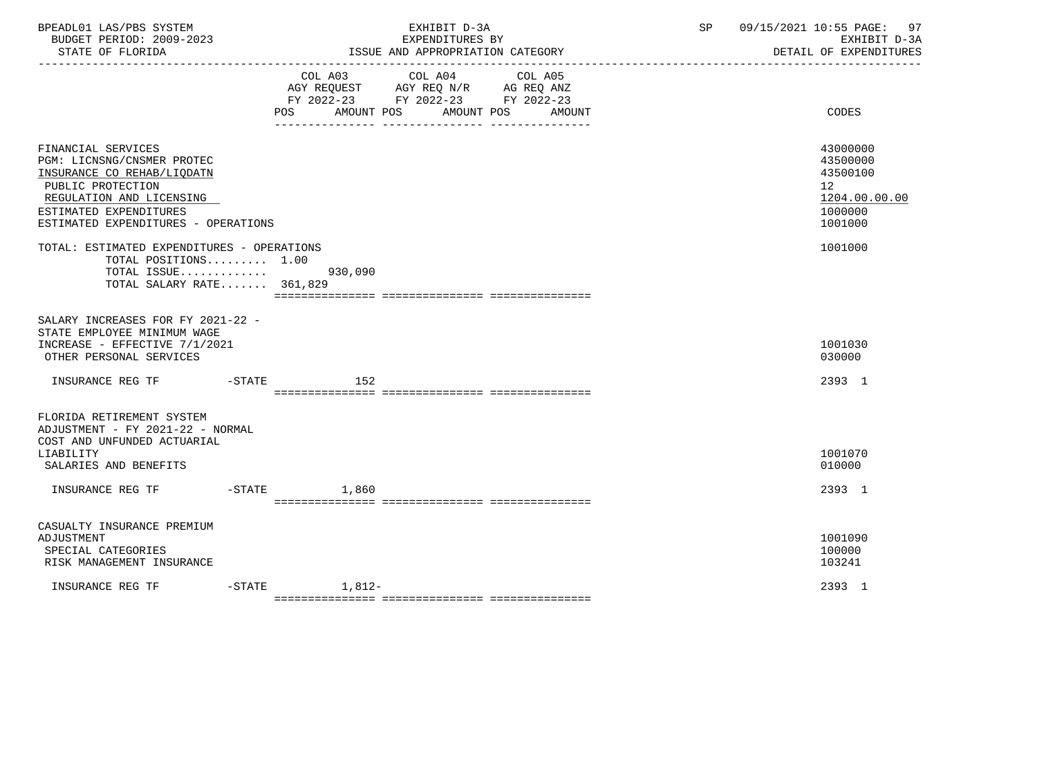| BPEADL01 LAS/PBS SYSTEM<br>BUDGET PERIOD: 2009-2023<br>STATE OF FLORIDA                                                                                                                          | EXHIBIT D-3A<br>EXPENDITURES BY<br>ISSUE AND APPROPRIATION CATEGORY                                                                   | SP | 09/15/2021 10:55 PAGE: 97<br>EXHIBIT D-3A<br>DETAIL OF EXPENDITURES           |  |
|--------------------------------------------------------------------------------------------------------------------------------------------------------------------------------------------------|---------------------------------------------------------------------------------------------------------------------------------------|----|-------------------------------------------------------------------------------|--|
|                                                                                                                                                                                                  | COL A03 COL A04 COL A05<br>AGY REQUEST AGY REQ N/R AG REQ ANZ<br>FY 2022-23 FY 2022-23 FY 2022-23<br>POS AMOUNT POS AMOUNT POS AMOUNT |    | CODES                                                                         |  |
| FINANCIAL SERVICES<br>PGM: LICNSNG/CNSMER PROTEC<br>INSURANCE CO REHAB/LIQDATN<br>PUBLIC PROTECTION<br>REGULATION AND LICENSING<br>ESTIMATED EXPENDITURES<br>ESTIMATED EXPENDITURES - OPERATIONS |                                                                                                                                       |    | 43000000<br>43500000<br>43500100<br>12<br>1204.00.00.00<br>1000000<br>1001000 |  |
| TOTAL: ESTIMATED EXPENDITURES - OPERATIONS<br>TOTAL POSITIONS 1.00<br>TOTAL ISSUE<br>TOTAL SALARY RATE 361,829                                                                                   | 930,090                                                                                                                               |    | 1001000                                                                       |  |
| SALARY INCREASES FOR FY 2021-22 -<br>STATE EMPLOYEE MINIMUM WAGE<br>INCREASE - EFFECTIVE 7/1/2021<br>OTHER PERSONAL SERVICES                                                                     |                                                                                                                                       |    | 1001030<br>030000                                                             |  |
|                                                                                                                                                                                                  |                                                                                                                                       |    | 2393 1                                                                        |  |
| FLORIDA RETIREMENT SYSTEM<br>ADJUSTMENT - FY 2021-22 - NORMAL<br>COST AND UNFUNDED ACTUARIAL<br>LIABILITY<br>SALARIES AND BENEFITS                                                               |                                                                                                                                       |    | 1001070<br>010000                                                             |  |
|                                                                                                                                                                                                  |                                                                                                                                       |    | 2393 1                                                                        |  |
| CASUALTY INSURANCE PREMIUM<br>ADJUSTMENT<br>SPECIAL CATEGORIES<br>RISK MANAGEMENT INSURANCE                                                                                                      |                                                                                                                                       |    | 1001090<br>100000<br>103241                                                   |  |
| INSURANCE REG TF                                                                                                                                                                                 | $-STATE$ 1,812-                                                                                                                       |    | 2393 1                                                                        |  |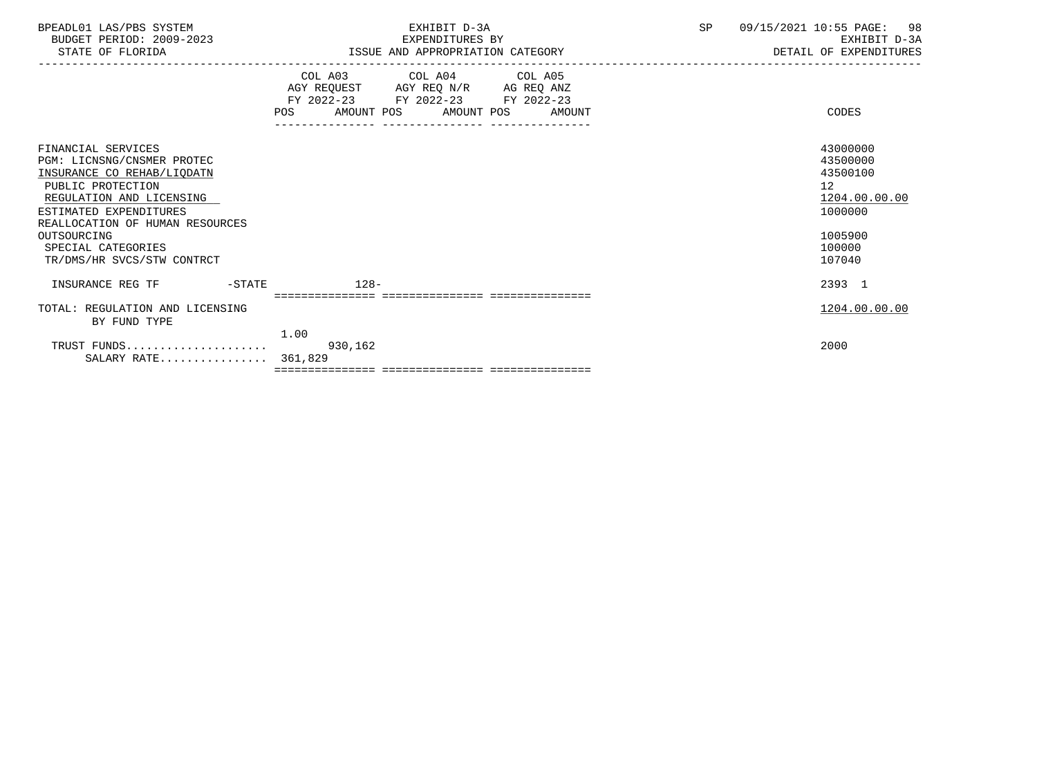| COL A03 COL A04 COL A05<br>AGY REQUEST AGY REQ N/R AG REQ ANZ<br>FY 2022-23 FY 2022-23 FY 2022-23<br>AMOUNT POS AMOUNT POS AMOUNT<br>CODES<br>POS FOR THE POST OF THE STATE STATE STATE STATE STATE STATE STATE STATE STATE STATE STATE STATE STATE STATE ST                                                                                                                      | 09/15/2021 10:55 PAGE: 98<br>EXHIBIT D-3A<br>DETAIL OF EXPENDITURES |
|-----------------------------------------------------------------------------------------------------------------------------------------------------------------------------------------------------------------------------------------------------------------------------------------------------------------------------------------------------------------------------------|---------------------------------------------------------------------|
|                                                                                                                                                                                                                                                                                                                                                                                   |                                                                     |
| 43000000<br>FINANCIAL SERVICES<br>PGM: LICNSNG/CNSMER PROTEC<br>43500000<br>43500100<br>INSURANCE CO REHAB/LIQDATN<br>12 <sup>°</sup><br>PUBLIC PROTECTION<br>REGULATION AND LICENSING<br>1204.00.00.00<br>ESTIMATED EXPENDITURES<br>1000000<br>REALLOCATION OF HUMAN RESOURCES<br>OUTSOURCING<br>1005900<br>100000<br>SPECIAL CATEGORIES<br>TR/DMS/HR SVCS/STW CONTRCT<br>107040 |                                                                     |
| INSURANCE REG TF<br>$-STATE$<br>$128-$<br>2393 1                                                                                                                                                                                                                                                                                                                                  |                                                                     |
| 1204.00.00.00<br>TOTAL: REGULATION AND LICENSING<br>BY FUND TYPE<br>1.00                                                                                                                                                                                                                                                                                                          |                                                                     |
| TRUST FUNDS<br>930,162<br>2000<br>SALARY RATE 361,829                                                                                                                                                                                                                                                                                                                             |                                                                     |
|                                                                                                                                                                                                                                                                                                                                                                                   |                                                                     |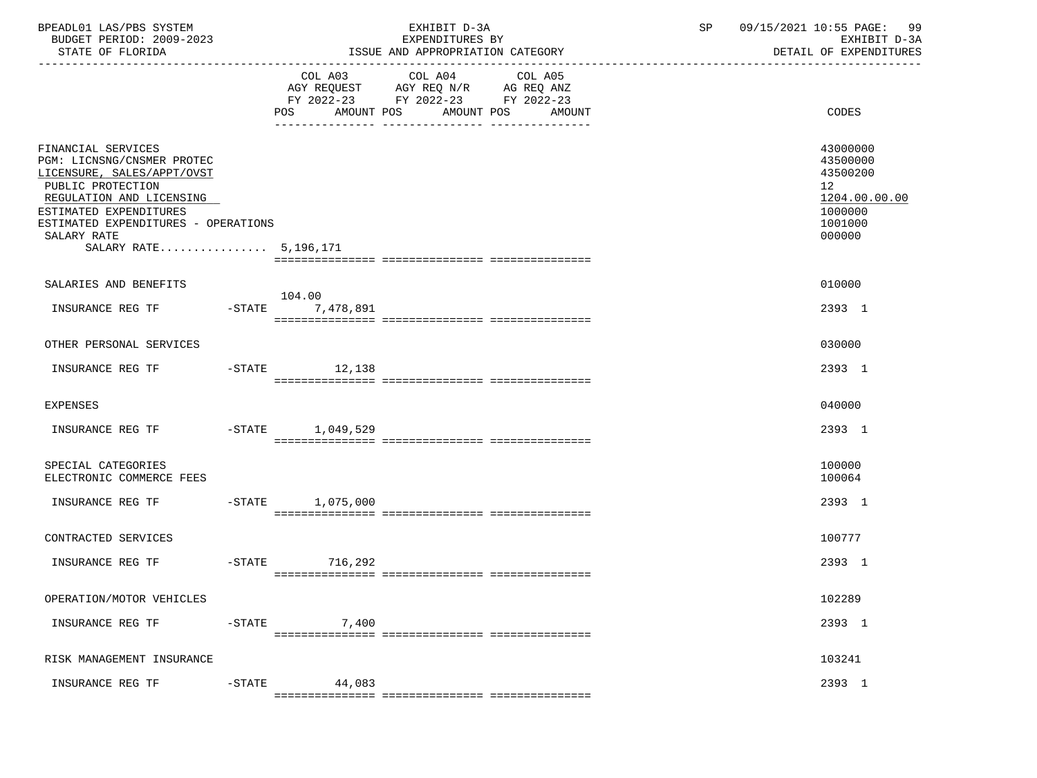| BPEADL01 LAS/PBS SYSTEM<br>BUDGET PERIOD: 2009-2023<br>STATE OF FLORIDA                                                                                                                                                                  |           |                                                                                                                                       | EXHIBIT D-3A<br>EXPENDITURES BY<br>ISSUE AND APPROPRIATION CATEGORY | SP    | 09/15/2021 10:55 PAGE:<br>99<br>EXHIBIT D-3A<br>DETAIL OF EXPENDITURES                               |
|------------------------------------------------------------------------------------------------------------------------------------------------------------------------------------------------------------------------------------------|-----------|---------------------------------------------------------------------------------------------------------------------------------------|---------------------------------------------------------------------|-------|------------------------------------------------------------------------------------------------------|
|                                                                                                                                                                                                                                          |           | COL A03 COL A04 COL A05<br>AGY REQUEST AGY REQ N/R AG REQ ANZ<br>FY 2022-23 FY 2022-23 FY 2022-23<br>POS AMOUNT POS AMOUNT POS AMOUNT |                                                                     | CODES |                                                                                                      |
| FINANCIAL SERVICES<br>PGM: LICNSNG/CNSMER PROTEC<br>LICENSURE, SALES/APPT/OVST<br>PUBLIC PROTECTION<br>REGULATION AND LICENSING<br>ESTIMATED EXPENDITURES<br>ESTIMATED EXPENDITURES - OPERATIONS<br>SALARY RATE<br>SALARY RATE 5,196,171 |           |                                                                                                                                       |                                                                     |       | 43000000<br>43500000<br>43500200<br>12 <sup>°</sup><br>1204.00.00.00<br>1000000<br>1001000<br>000000 |
| SALARIES AND BENEFITS                                                                                                                                                                                                                    |           |                                                                                                                                       |                                                                     |       | 010000                                                                                               |
| INSURANCE REG TF                                                                                                                                                                                                                         |           | 104.00<br>-STATE 7,478,891                                                                                                            |                                                                     |       | 2393 1                                                                                               |
| OTHER PERSONAL SERVICES                                                                                                                                                                                                                  |           |                                                                                                                                       |                                                                     |       | 030000                                                                                               |
| INSURANCE REG TF                                                                                                                                                                                                                         |           | -STATE 12,138                                                                                                                         |                                                                     |       | 2393 1                                                                                               |
| <b>EXPENSES</b>                                                                                                                                                                                                                          |           |                                                                                                                                       |                                                                     |       | 040000                                                                                               |
|                                                                                                                                                                                                                                          |           |                                                                                                                                       |                                                                     |       | 2393 1                                                                                               |
| SPECIAL CATEGORIES<br>ELECTRONIC COMMERCE FEES                                                                                                                                                                                           |           |                                                                                                                                       |                                                                     |       | 100000<br>100064                                                                                     |
| INSURANCE REG TF -STATE 1,075,000                                                                                                                                                                                                        |           |                                                                                                                                       |                                                                     |       | 2393 1                                                                                               |
| CONTRACTED SERVICES                                                                                                                                                                                                                      |           |                                                                                                                                       |                                                                     |       | 100777                                                                                               |
| INSURANCE REG TF                                                                                                                                                                                                                         |           | $-STATE$ 716, 292                                                                                                                     |                                                                     |       | 2393 1                                                                                               |
| OPERATION/MOTOR VEHICLES                                                                                                                                                                                                                 |           |                                                                                                                                       |                                                                     |       | 102289                                                                                               |
| INSURANCE REG TF                                                                                                                                                                                                                         | $-$ STATE | 7,400                                                                                                                                 |                                                                     |       | 2393 1                                                                                               |
| RISK MANAGEMENT INSURANCE                                                                                                                                                                                                                |           |                                                                                                                                       |                                                                     |       | 103241                                                                                               |
| INSURANCE REG TF                                                                                                                                                                                                                         | $-$ STATE | 44,083                                                                                                                                |                                                                     |       | 2393 1                                                                                               |
|                                                                                                                                                                                                                                          |           |                                                                                                                                       |                                                                     |       |                                                                                                      |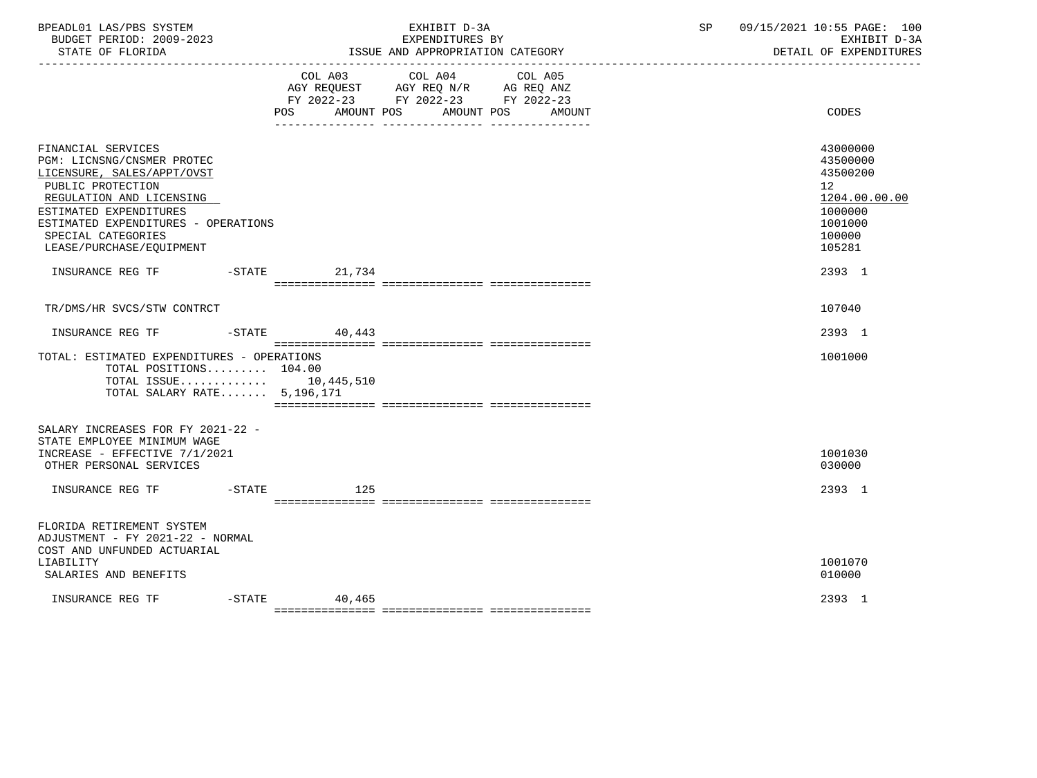| BPEADL01 LAS/PBS SYSTEM<br>BUDGET PERIOD: 2009-2023<br>STATE OF FLORIDA                                                                                                                                                                            |                  | EXHIBIT D-3A<br>EXPENDITURES BY<br>ISSUE AND APPROPRIATION CATEGORY                                                                            | SP | 09/15/2021 10:55 PAGE: 100<br>EXHIBIT D-3A<br>DETAIL OF EXPENDITURES                                           |
|----------------------------------------------------------------------------------------------------------------------------------------------------------------------------------------------------------------------------------------------------|------------------|------------------------------------------------------------------------------------------------------------------------------------------------|----|----------------------------------------------------------------------------------------------------------------|
|                                                                                                                                                                                                                                                    | <b>POS</b>       | COL A03 COL A04<br>COL A05<br>AGY REQUEST AGY REQ N/R AG REQ ANZ<br>FY 2022-23 FY 2022-23 FY 2022-23<br>AMOUNT POS AMOUNT POS<br><b>AMOUNT</b> |    | CODES                                                                                                          |
| FINANCIAL SERVICES<br>PGM: LICNSNG/CNSMER PROTEC<br>LICENSURE, SALES/APPT/OVST<br>PUBLIC PROTECTION<br>REGULATION AND LICENSING<br>ESTIMATED EXPENDITURES<br>ESTIMATED EXPENDITURES - OPERATIONS<br>SPECIAL CATEGORIES<br>LEASE/PURCHASE/EOUIPMENT |                  |                                                                                                                                                |    | 43000000<br>43500000<br>43500200<br>12 <sup>°</sup><br>1204.00.00.00<br>1000000<br>1001000<br>100000<br>105281 |
|                                                                                                                                                                                                                                                    |                  |                                                                                                                                                |    | 2393 1                                                                                                         |
| TR/DMS/HR SVCS/STW CONTRCT                                                                                                                                                                                                                         |                  |                                                                                                                                                |    | 107040                                                                                                         |
| INSURANCE REG TF    -STATE                                                                                                                                                                                                                         | 40,443           |                                                                                                                                                |    | 2393 1                                                                                                         |
| TOTAL: ESTIMATED EXPENDITURES - OPERATIONS<br>TOTAL POSITIONS 104.00<br>TOTAL ISSUE 10,445,510<br>TOTAL SALARY RATE 5,196,171                                                                                                                      |                  |                                                                                                                                                |    | 1001000                                                                                                        |
| SALARY INCREASES FOR FY 2021-22 -<br>STATE EMPLOYEE MINIMUM WAGE<br>INCREASE - EFFECTIVE 7/1/2021<br>OTHER PERSONAL SERVICES                                                                                                                       |                  |                                                                                                                                                |    | 1001030<br>030000                                                                                              |
| INSURANCE REG TF    -STATE                                                                                                                                                                                                                         | 125              |                                                                                                                                                |    | 2393 1                                                                                                         |
| FLORIDA RETIREMENT SYSTEM<br>ADJUSTMENT - FY 2021-22 - NORMAL<br>COST AND UNFUNDED ACTUARIAL<br>LIABILITY<br>SALARIES AND BENEFITS                                                                                                                 |                  |                                                                                                                                                |    | 1001070<br>010000                                                                                              |
| INSURANCE REG TF                                                                                                                                                                                                                                   | $-$ STATE 40,465 |                                                                                                                                                |    | 2393 1                                                                                                         |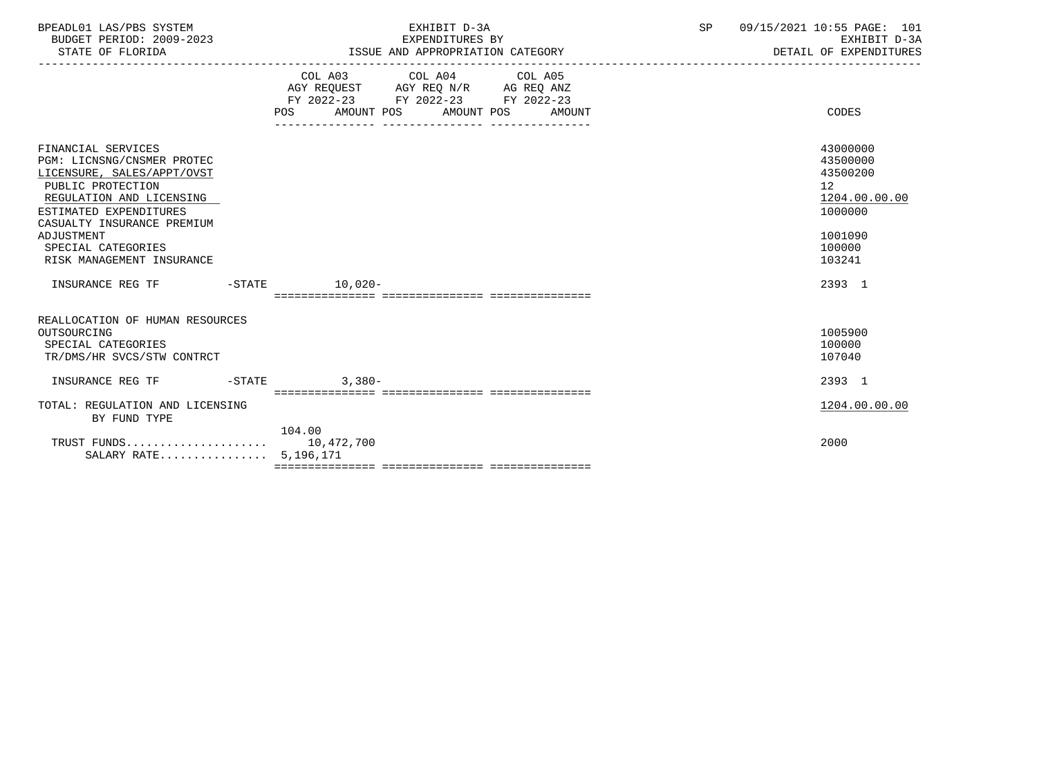| BPEADL01 LAS/PBS SYSTEM<br>BUDGET PERIOD: 2009-2023<br>STATE OF FLORIDA                                                                                                                 | EXHIBIT D-3A<br>EXPENDITURES BY<br>ISSUE AND APPROPRIATION CATEGORY                                                                   | SP<br>09/15/2021 10:55 PAGE: 101<br>EXHIBIT D-3A<br>DETAIL OF EXPENDITURES |
|-----------------------------------------------------------------------------------------------------------------------------------------------------------------------------------------|---------------------------------------------------------------------------------------------------------------------------------------|----------------------------------------------------------------------------|
|                                                                                                                                                                                         | COL A03 COL A04 COL A05<br>AGY REQUEST AGY REQ N/R AG REQ ANZ<br>FY 2022-23 FY 2022-23 FY 2022-23<br>POS AMOUNT POS AMOUNT POS AMOUNT | CODES                                                                      |
| FINANCIAL SERVICES<br>PGM: LICNSNG/CNSMER PROTEC<br>LICENSURE, SALES/APPT/OVST<br>PUBLIC PROTECTION<br>REGULATION AND LICENSING<br>ESTIMATED EXPENDITURES<br>CASUALTY INSURANCE PREMIUM |                                                                                                                                       | 43000000<br>43500000<br>43500200<br>12<br>1204.00.00.00<br>1000000         |
| ADJUSTMENT<br>SPECIAL CATEGORIES<br>RISK MANAGEMENT INSURANCE                                                                                                                           |                                                                                                                                       | 1001090<br>100000<br>103241                                                |
| INSURANCE REG TF                                                                                                                                                                        | $-STATE$ 10.020-                                                                                                                      | 2393 1                                                                     |
| REALLOCATION OF HUMAN RESOURCES<br>OUTSOURCING<br>SPECIAL CATEGORIES<br>TR/DMS/HR SVCS/STW CONTRCT                                                                                      |                                                                                                                                       | 1005900<br>100000<br>107040                                                |
|                                                                                                                                                                                         |                                                                                                                                       | 2393 1                                                                     |
| TOTAL: REGULATION AND LICENSING<br>BY FUND TYPE                                                                                                                                         |                                                                                                                                       | 1204.00.00.00                                                              |
| SALARY RATE 5,196,171                                                                                                                                                                   | 104.00                                                                                                                                | 2000                                                                       |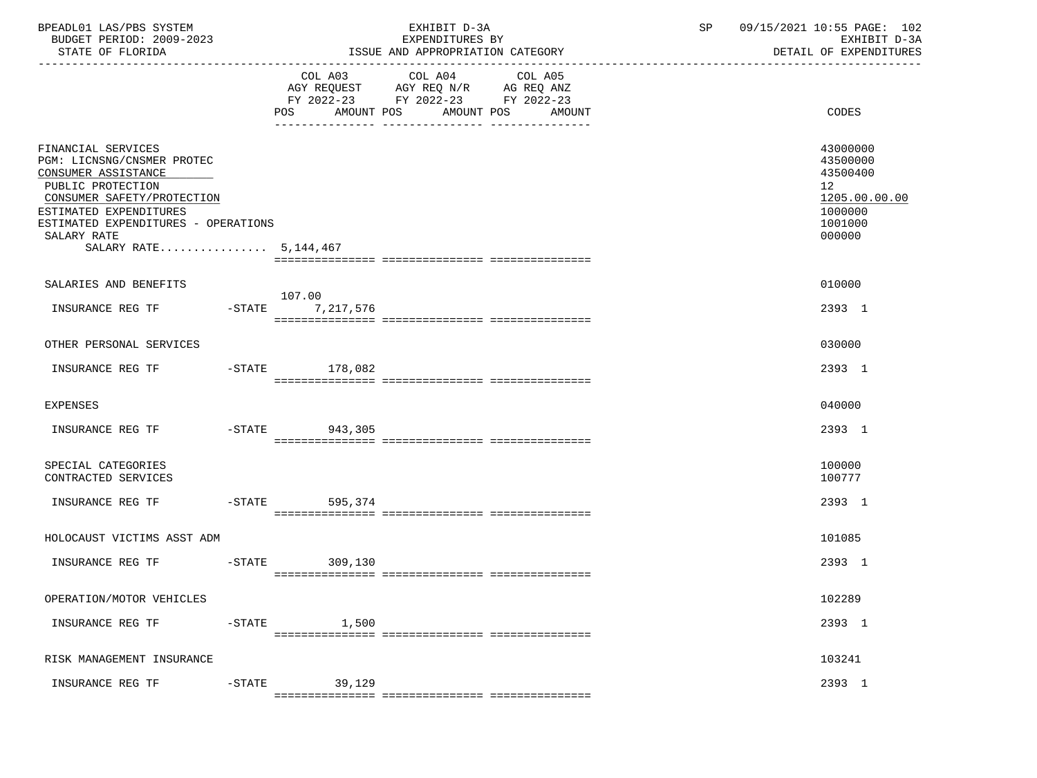| BPEADL01 LAS/PBS SYSTEM<br>BUDGET PERIOD: 2009-2023<br>STATE OF FLORIDA                                                                                                                                                             |           |                            | EXHIBIT D-3A<br>EXPENDITURES BY<br>ISSUE AND APPROPRIATION CATEGORY                                                                   | SP | 09/15/2021 10:55 PAGE: 102<br>EXHIBIT D-3A<br>DETAIL OF EXPENDITURES                    |  |
|-------------------------------------------------------------------------------------------------------------------------------------------------------------------------------------------------------------------------------------|-----------|----------------------------|---------------------------------------------------------------------------------------------------------------------------------------|----|-----------------------------------------------------------------------------------------|--|
|                                                                                                                                                                                                                                     |           |                            | COL A03 COL A04 COL A05<br>AGY REQUEST AGY REQ N/R AG REQ ANZ<br>FY 2022-23 FY 2022-23 FY 2022-23<br>POS AMOUNT POS AMOUNT POS AMOUNT |    | CODES                                                                                   |  |
| FINANCIAL SERVICES<br>PGM: LICNSNG/CNSMER PROTEC<br>CONSUMER ASSISTANCE<br>PUBLIC PROTECTION<br>CONSUMER SAFETY/PROTECTION<br>ESTIMATED EXPENDITURES<br>ESTIMATED EXPENDITURES - OPERATIONS<br>SALARY RATE<br>SALARY RATE 5,144,467 |           |                            |                                                                                                                                       |    | 43000000<br>43500000<br>43500400<br>12<br>1205.00.00.00<br>1000000<br>1001000<br>000000 |  |
| SALARIES AND BENEFITS                                                                                                                                                                                                               |           |                            |                                                                                                                                       |    | 010000                                                                                  |  |
| INSURANCE REG TF                                                                                                                                                                                                                    |           | 107.00<br>-STATE 7,217,576 |                                                                                                                                       |    | 2393 1                                                                                  |  |
| OTHER PERSONAL SERVICES                                                                                                                                                                                                             |           |                            |                                                                                                                                       |    | 030000                                                                                  |  |
| INSURANCE REG TF    -STATE    178,082                                                                                                                                                                                               |           |                            |                                                                                                                                       |    | 2393 1                                                                                  |  |
| EXPENSES                                                                                                                                                                                                                            |           |                            |                                                                                                                                       |    | 040000                                                                                  |  |
| INSURANCE REG TF -STATE 943,305                                                                                                                                                                                                     |           |                            |                                                                                                                                       |    | 2393 1                                                                                  |  |
| SPECIAL CATEGORIES<br>CONTRACTED SERVICES                                                                                                                                                                                           |           |                            |                                                                                                                                       |    | 100000<br>100777                                                                        |  |
| INSURANCE REG TF -STATE 595,374                                                                                                                                                                                                     |           |                            |                                                                                                                                       |    | 2393 1                                                                                  |  |
| HOLOCAUST VICTIMS ASST ADM                                                                                                                                                                                                          |           |                            |                                                                                                                                       |    | 101085                                                                                  |  |
| INSURANCE REG TF                                                                                                                                                                                                                    |           | -STATE 309,130             |                                                                                                                                       |    | 2393 1                                                                                  |  |
| OPERATION/MOTOR VEHICLES                                                                                                                                                                                                            |           |                            |                                                                                                                                       |    | 102289                                                                                  |  |
| INSURANCE REG TF                                                                                                                                                                                                                    | $-$ STATE | 1,500                      |                                                                                                                                       |    | 2393 1                                                                                  |  |
| RISK MANAGEMENT INSURANCE                                                                                                                                                                                                           |           |                            |                                                                                                                                       |    | 103241                                                                                  |  |
| INSURANCE REG TF                                                                                                                                                                                                                    | $-$ STATE | 39,129                     |                                                                                                                                       |    | 2393 1                                                                                  |  |
|                                                                                                                                                                                                                                     |           |                            |                                                                                                                                       |    |                                                                                         |  |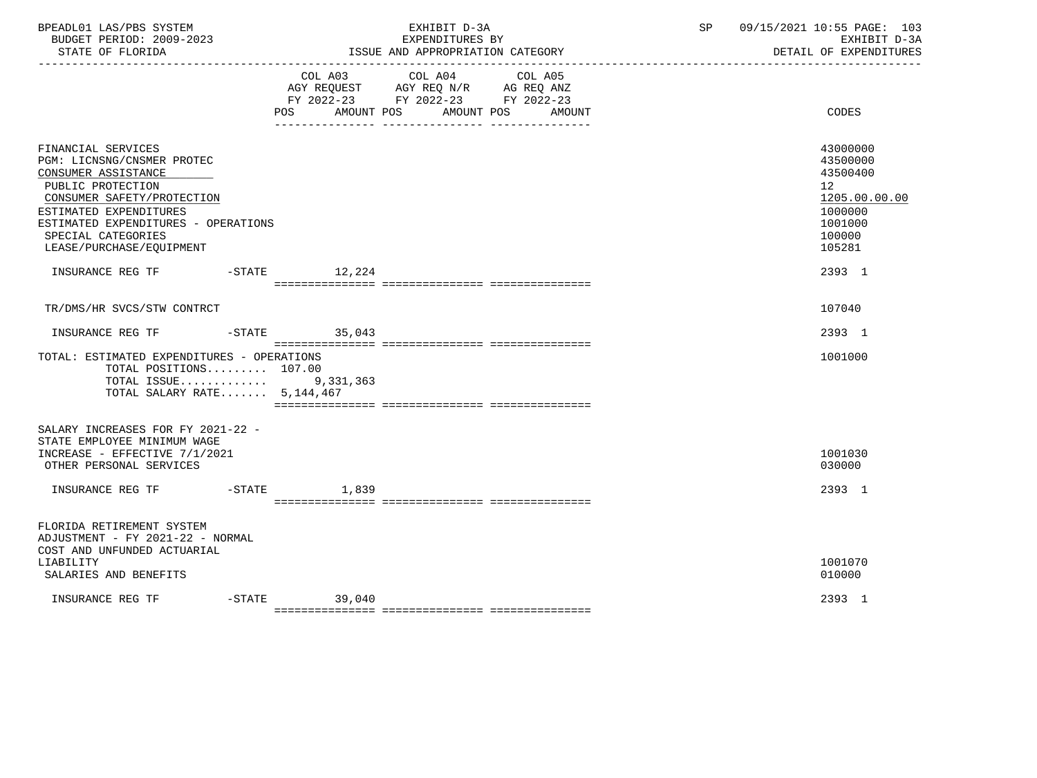| BPEADL01 LAS/PBS SYSTEM<br>BUDGET PERIOD: 2009-2023                                                                                                                                                                                           |                 | EXHIBIT D-3A<br>EXPENDITURES BY                                                                                                             | SP | 09/15/2021 10:55 PAGE: 103<br>EXHIBIT D-3A<br>DETAIL OF EXPENDITURES                              |
|-----------------------------------------------------------------------------------------------------------------------------------------------------------------------------------------------------------------------------------------------|-----------------|---------------------------------------------------------------------------------------------------------------------------------------------|----|---------------------------------------------------------------------------------------------------|
|                                                                                                                                                                                                                                               |                 | COL A03 COL A04<br>COL A05<br>AGY REQUEST AGY REQ N/R AG REQ ANZ<br>FY 2022-23 FY 2022-23 FY 2022-23<br>POS AMOUNT POS AMOUNT POS<br>AMOUNT |    | <b>CODES</b>                                                                                      |
| FINANCIAL SERVICES<br>PGM: LICNSNG/CNSMER PROTEC<br>CONSUMER ASSISTANCE<br>PUBLIC PROTECTION<br>CONSUMER SAFETY/PROTECTION<br>ESTIMATED EXPENDITURES<br>ESTIMATED EXPENDITURES - OPERATIONS<br>SPECIAL CATEGORIES<br>LEASE/PURCHASE/EQUIPMENT |                 |                                                                                                                                             |    | 43000000<br>43500000<br>43500400<br>12<br>1205.00.00.00<br>1000000<br>1001000<br>100000<br>105281 |
| INSURANCE REG TF    -STATE    12,224                                                                                                                                                                                                          |                 |                                                                                                                                             |    | 2393 1                                                                                            |
| TR/DMS/HR SVCS/STW CONTRCT                                                                                                                                                                                                                    |                 |                                                                                                                                             |    | 107040                                                                                            |
| INSURANCE REG TF -STATE 35,043                                                                                                                                                                                                                |                 |                                                                                                                                             |    | 2393 1                                                                                            |
| TOTAL: ESTIMATED EXPENDITURES - OPERATIONS<br>TOTAL POSITIONS 107.00<br>TOTAL ISSUE 9,331,363<br>TOTAL SALARY RATE $5,144,467$                                                                                                                |                 |                                                                                                                                             |    | 1001000                                                                                           |
| SALARY INCREASES FOR FY 2021-22 -<br>STATE EMPLOYEE MINIMUM WAGE<br>INCREASE - EFFECTIVE 7/1/2021<br>OTHER PERSONAL SERVICES                                                                                                                  |                 |                                                                                                                                             |    | 1001030<br>030000                                                                                 |
| INSURANCE REG TF -STATE 1,839                                                                                                                                                                                                                 |                 |                                                                                                                                             |    | 2393 1                                                                                            |
| FLORIDA RETIREMENT SYSTEM<br>ADJUSTMENT - FY 2021-22 - NORMAL<br>COST AND UNFUNDED ACTUARIAL<br>LIABILITY<br>SALARIES AND BENEFITS                                                                                                            |                 |                                                                                                                                             |    | 1001070<br>010000                                                                                 |
| INSURANCE REG TF                                                                                                                                                                                                                              | $-STATE$ 39,040 |                                                                                                                                             |    | 2393 1                                                                                            |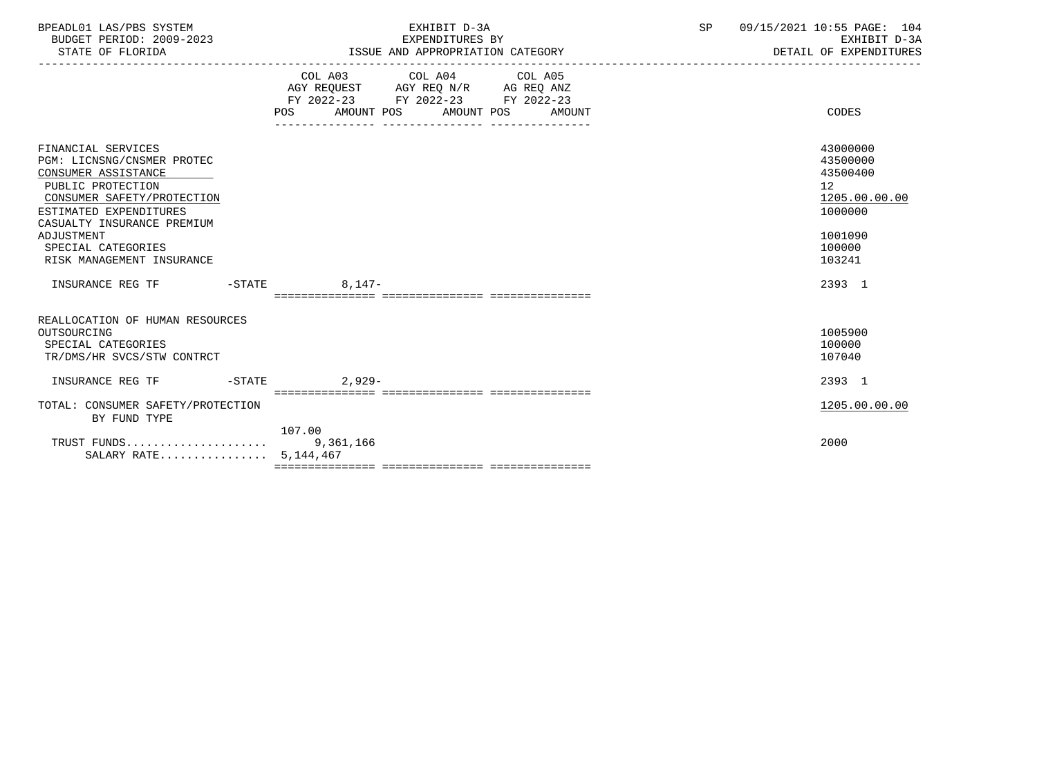| BPEADL01 LAS/PBS SYSTEM<br>BUDGET PERIOD: 2009-2023<br>STATE OF FLORIDA                                                                                                            | EXHIBIT D-3A<br>EXPENDITURES BY<br>ISSUE AND APPROPRIATION CATEGORY                                                                   | SP<br>09/15/2021 10:55 PAGE: 104<br>EXHIBIT D-3A<br>DETAIL OF EXPENDITURES |
|------------------------------------------------------------------------------------------------------------------------------------------------------------------------------------|---------------------------------------------------------------------------------------------------------------------------------------|----------------------------------------------------------------------------|
|                                                                                                                                                                                    | COL A03 COL A04 COL A05<br>AGY REQUEST AGY REQ N/R AG REQ ANZ<br>FY 2022-23 FY 2022-23 FY 2022-23<br>POS AMOUNT POS AMOUNT POS AMOUNT | CODES                                                                      |
| FINANCIAL SERVICES<br>PGM: LICNSNG/CNSMER PROTEC<br>CONSUMER ASSISTANCE<br>PUBLIC PROTECTION<br>CONSUMER SAFETY/PROTECTION<br>ESTIMATED EXPENDITURES<br>CASUALTY INSURANCE PREMIUM |                                                                                                                                       | 43000000<br>43500000<br>43500400<br>12<br>1205.00.00.00<br>1000000         |
| ADJUSTMENT<br>SPECIAL CATEGORIES<br>RISK MANAGEMENT INSURANCE                                                                                                                      |                                                                                                                                       | 1001090<br>100000<br>103241                                                |
| INSURANCE REG TF                                                                                                                                                                   | $-STATE$ 8.147-                                                                                                                       | 2393 1                                                                     |
| REALLOCATION OF HUMAN RESOURCES<br>OUTSOURCING<br>SPECIAL CATEGORIES<br>TR/DMS/HR SVCS/STW CONTRCT                                                                                 |                                                                                                                                       | 1005900<br>100000<br>107040                                                |
| $-STATE$<br>INSURANCE REG TF                                                                                                                                                       | $2.929-$                                                                                                                              | 2393 1                                                                     |
| TOTAL: CONSUMER SAFETY/PROTECTION<br>BY FUND TYPE                                                                                                                                  |                                                                                                                                       | 1205.00.00.00                                                              |
| SALARY RATE $5,144,467$                                                                                                                                                            | 107.00                                                                                                                                | 2000                                                                       |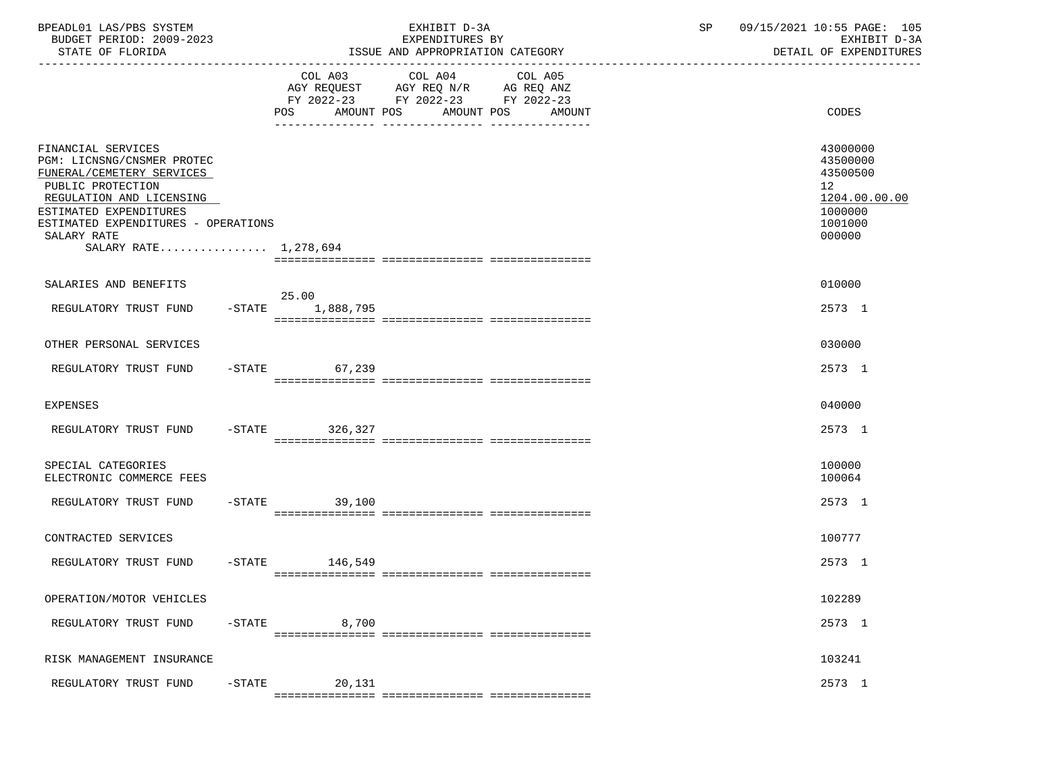| BPEADL01 LAS/PBS SYSTEM<br>BUDGET PERIOD: 2009-2023<br>STATE OF FLORIDA                                                                                                                                                                 |           |                                                                                                                                          | EXHIBIT D-3A<br>EXPENDITURES BY<br>ISSUE AND APPROPRIATION CATEGORY | 09/15/2021 10:55 PAGE: 105<br>SP<br>EXHIBIT D-3A<br>DETAIL OF EXPENDITURES |                                                                                                      |
|-----------------------------------------------------------------------------------------------------------------------------------------------------------------------------------------------------------------------------------------|-----------|------------------------------------------------------------------------------------------------------------------------------------------|---------------------------------------------------------------------|----------------------------------------------------------------------------|------------------------------------------------------------------------------------------------------|
|                                                                                                                                                                                                                                         |           | COL A03 COL A04 COL A05<br>AGY REQUEST AGY REQ N/R AG REQ ANZ<br>FY 2022-23 FY 2022-23 FY 2022-23<br>POS AMOUNT POS AMOUNT POS<br>AMOUNT |                                                                     | CODES                                                                      |                                                                                                      |
| FINANCIAL SERVICES<br>PGM: LICNSNG/CNSMER PROTEC<br>FUNERAL/CEMETERY SERVICES<br>PUBLIC PROTECTION<br>REGULATION AND LICENSING<br>ESTIMATED EXPENDITURES<br>ESTIMATED EXPENDITURES - OPERATIONS<br>SALARY RATE<br>SALARY RATE 1,278,694 |           |                                                                                                                                          |                                                                     |                                                                            | 43000000<br>43500000<br>43500500<br>12 <sup>°</sup><br>1204.00.00.00<br>1000000<br>1001000<br>000000 |
| SALARIES AND BENEFITS                                                                                                                                                                                                                   |           |                                                                                                                                          |                                                                     |                                                                            | 010000                                                                                               |
| REGULATORY TRUST FUND                                                                                                                                                                                                                   |           | 25.00<br>-STATE 1,888,795                                                                                                                |                                                                     |                                                                            | 2573 1                                                                                               |
| OTHER PERSONAL SERVICES                                                                                                                                                                                                                 |           |                                                                                                                                          |                                                                     |                                                                            | 030000                                                                                               |
| REGULATORY TRUST FUND                                                                                                                                                                                                                   |           | $-STATE$ 67.239                                                                                                                          |                                                                     |                                                                            | 2573 1                                                                                               |
| <b>EXPENSES</b>                                                                                                                                                                                                                         |           |                                                                                                                                          |                                                                     |                                                                            | 040000                                                                                               |
| REGULATORY TRUST FUND                                                                                                                                                                                                                   |           | -STATE 326,327                                                                                                                           |                                                                     |                                                                            | 2573 1                                                                                               |
| SPECIAL CATEGORIES<br>ELECTRONIC COMMERCE FEES                                                                                                                                                                                          |           |                                                                                                                                          |                                                                     |                                                                            | 100000<br>100064                                                                                     |
| REGULATORY TRUST FUND                                                                                                                                                                                                                   |           | $-STATE$ 39,100                                                                                                                          |                                                                     |                                                                            | 2573 1                                                                                               |
| CONTRACTED SERVICES                                                                                                                                                                                                                     |           |                                                                                                                                          |                                                                     |                                                                            | 100777                                                                                               |
| REGULATORY TRUST FUND                                                                                                                                                                                                                   |           | $-STATE$ 146,549                                                                                                                         |                                                                     |                                                                            | 2573 1                                                                                               |
| OPERATION/MOTOR VEHICLES                                                                                                                                                                                                                |           |                                                                                                                                          |                                                                     |                                                                            | 102289                                                                                               |
| REGULATORY TRUST FUND                                                                                                                                                                                                                   | $-$ STATE | 8,700                                                                                                                                    |                                                                     |                                                                            | 2573 1                                                                                               |
| RISK MANAGEMENT INSURANCE                                                                                                                                                                                                               |           |                                                                                                                                          |                                                                     |                                                                            | 103241                                                                                               |
| REGULATORY TRUST FUND                                                                                                                                                                                                                   | $-$ STATE | 20,131                                                                                                                                   |                                                                     |                                                                            | 2573 1                                                                                               |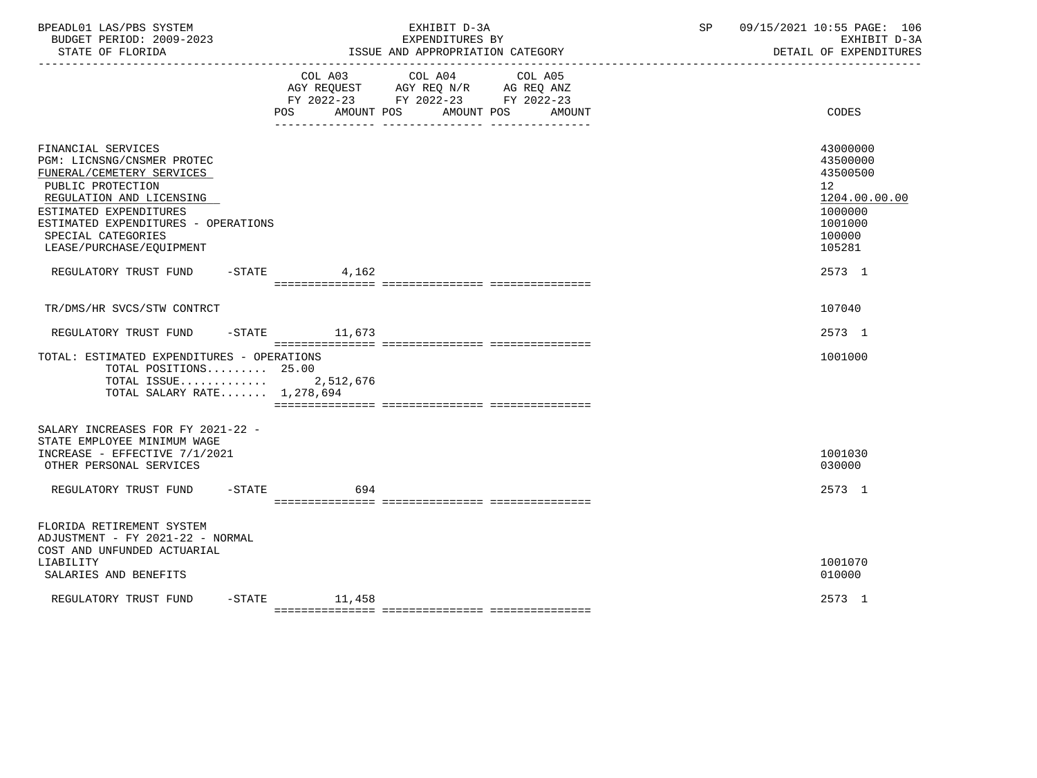| BPEADL01 LAS/PBS SYSTEM<br>BUDGET PERIOD: 2009-2023<br>STATE OF FLORIDA                                                                                                                                                                           | EXHIBIT D-3A<br>EXPENDITURES BY<br>ISSUE AND APPROPRIATION CATEGORY                                                                                                                                                                                               | 09/15/2021 10:55 PAGE: 106<br>SP<br>EXHIBIT D-3A<br>DETAIL OF EXPENDITURES                        |
|---------------------------------------------------------------------------------------------------------------------------------------------------------------------------------------------------------------------------------------------------|-------------------------------------------------------------------------------------------------------------------------------------------------------------------------------------------------------------------------------------------------------------------|---------------------------------------------------------------------------------------------------|
|                                                                                                                                                                                                                                                   | COL A03 COL A04 COL A05<br>$\begin{tabular}{lllllll} AGY & \texttt{REQUEST} & \texttt{AGY} & \texttt{REG} & \texttt{N/R} & \texttt{AG} & \texttt{REQ} & \texttt{ANZ} \end{tabular}$<br>FY 2022-23 FY 2022-23 FY 2022-23<br>AMOUNT POS AMOUNT POS<br>POS<br>AMOUNT | CODES                                                                                             |
| FINANCIAL SERVICES<br>PGM: LICNSNG/CNSMER PROTEC<br>FUNERAL/CEMETERY SERVICES<br>PUBLIC PROTECTION<br>REGULATION AND LICENSING<br>ESTIMATED EXPENDITURES<br>ESTIMATED EXPENDITURES - OPERATIONS<br>SPECIAL CATEGORIES<br>LEASE/PURCHASE/EQUIPMENT |                                                                                                                                                                                                                                                                   | 43000000<br>43500000<br>43500500<br>12<br>1204.00.00.00<br>1000000<br>1001000<br>100000<br>105281 |
| REGULATORY TRUST FUND -STATE 4,162                                                                                                                                                                                                                |                                                                                                                                                                                                                                                                   | 2573 1                                                                                            |
| TR/DMS/HR SVCS/STW CONTRCT                                                                                                                                                                                                                        |                                                                                                                                                                                                                                                                   | 107040                                                                                            |
| REGULATORY TRUST FUND -STATE 11,673                                                                                                                                                                                                               |                                                                                                                                                                                                                                                                   | 2573 1                                                                                            |
| TOTAL: ESTIMATED EXPENDITURES - OPERATIONS<br>TOTAL POSITIONS 25.00<br>TOTAL ISSUE $2,512,676$<br>TOTAL SALARY RATE $1,278,694$                                                                                                                   |                                                                                                                                                                                                                                                                   | 1001000                                                                                           |
| SALARY INCREASES FOR FY 2021-22 -<br>STATE EMPLOYEE MINIMUM WAGE<br>INCREASE - EFFECTIVE 7/1/2021<br>OTHER PERSONAL SERVICES                                                                                                                      |                                                                                                                                                                                                                                                                   | 1001030<br>030000                                                                                 |
| REGULATORY TRUST FUND -STATE                                                                                                                                                                                                                      | 694                                                                                                                                                                                                                                                               | 2573 1                                                                                            |
| FLORIDA RETIREMENT SYSTEM<br>ADJUSTMENT - FY 2021-22 - NORMAL<br>COST AND UNFUNDED ACTUARIAL<br>LIABILITY                                                                                                                                         |                                                                                                                                                                                                                                                                   | 1001070                                                                                           |
| SALARIES AND BENEFITS                                                                                                                                                                                                                             |                                                                                                                                                                                                                                                                   | 010000                                                                                            |

REGULATORY TRUST FUND -STATE 11,458 =============== =============== ===============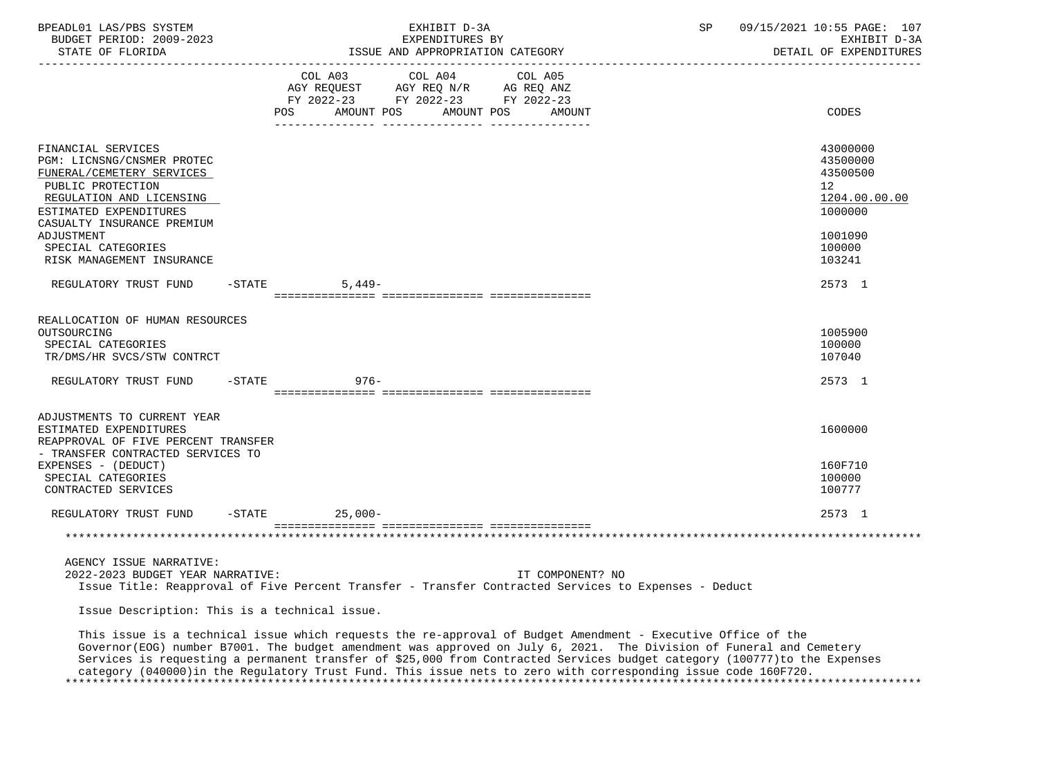| BPEADL01 LAS/PBS SYSTEM<br>BUDGET PERIOD: 2009-2023<br>STATE OF FLORIDA                                                                                                                               | EXHIBIT D-3A<br>EXPENDITURES BY<br>ISSUE AND APPROPRIATION CATEGORY |           |                                                                                                                 | SP                   | 09/15/2021 10:55 PAGE: 107<br>EXHIBIT D-3A<br>DETAIL OF EXPENDITURES                                                                                                                                                                                                                                                                                            |                                                                    |
|-------------------------------------------------------------------------------------------------------------------------------------------------------------------------------------------------------|---------------------------------------------------------------------|-----------|-----------------------------------------------------------------------------------------------------------------|----------------------|-----------------------------------------------------------------------------------------------------------------------------------------------------------------------------------------------------------------------------------------------------------------------------------------------------------------------------------------------------------------|--------------------------------------------------------------------|
|                                                                                                                                                                                                       | POS                                                                 |           | COL A03 COL A04 COL A05<br>AGY REQUEST AGY REQ N/R AG REQ ANZ<br>FY 2022-23 FY 2022-23 FY 2022-23<br>AMOUNT POS | AMOUNT POS<br>AMOUNT |                                                                                                                                                                                                                                                                                                                                                                 | <b>CODES</b>                                                       |
| FINANCIAL SERVICES<br>PGM: LICNSNG/CNSMER PROTEC<br>FUNERAL/CEMETERY SERVICES<br>PUBLIC PROTECTION<br>REGULATION AND LICENSING<br>ESTIMATED EXPENDITURES<br>CASUALTY INSURANCE PREMIUM                |                                                                     |           |                                                                                                                 |                      |                                                                                                                                                                                                                                                                                                                                                                 | 43000000<br>43500000<br>43500500<br>12<br>1204.00.00.00<br>1000000 |
| ADJUSTMENT<br>SPECIAL CATEGORIES<br>RISK MANAGEMENT INSURANCE                                                                                                                                         |                                                                     |           |                                                                                                                 |                      |                                                                                                                                                                                                                                                                                                                                                                 | 1001090<br>100000<br>103241                                        |
| REGULATORY TRUST FUND                                                                                                                                                                                 | $-STATE$                                                            | 5,449-    |                                                                                                                 |                      |                                                                                                                                                                                                                                                                                                                                                                 | 2573 1                                                             |
| REALLOCATION OF HUMAN RESOURCES<br>OUTSOURCING<br>SPECIAL CATEGORIES<br>TR/DMS/HR SVCS/STW CONTRCT                                                                                                    |                                                                     |           |                                                                                                                 |                      |                                                                                                                                                                                                                                                                                                                                                                 | 1005900<br>100000<br>107040                                        |
| REGULATORY TRUST FUND                                                                                                                                                                                 | -STATE                                                              | $976 -$   |                                                                                                                 |                      |                                                                                                                                                                                                                                                                                                                                                                 | 2573 1                                                             |
| ADJUSTMENTS TO CURRENT YEAR<br>ESTIMATED EXPENDITURES<br>REAPPROVAL OF FIVE PERCENT TRANSFER<br>- TRANSFER CONTRACTED SERVICES TO<br>EXPENSES - (DEDUCT)<br>SPECIAL CATEGORIES<br>CONTRACTED SERVICES |                                                                     |           |                                                                                                                 |                      |                                                                                                                                                                                                                                                                                                                                                                 | 1600000<br>160F710<br>100000<br>100777                             |
| REGULATORY TRUST FUND -STATE                                                                                                                                                                          |                                                                     | $25,000-$ |                                                                                                                 |                      |                                                                                                                                                                                                                                                                                                                                                                 | 2573 1                                                             |
|                                                                                                                                                                                                       |                                                                     |           |                                                                                                                 |                      |                                                                                                                                                                                                                                                                                                                                                                 |                                                                    |
| AGENCY ISSUE NARRATIVE:<br>2022-2023 BUDGET YEAR NARRATIVE:                                                                                                                                           |                                                                     |           |                                                                                                                 | IT COMPONENT? NO     | Issue Title: Reapproval of Five Percent Transfer - Transfer Contracted Services to Expenses - Deduct                                                                                                                                                                                                                                                            |                                                                    |
| Issue Description: This is a technical issue.                                                                                                                                                         |                                                                     |           |                                                                                                                 |                      |                                                                                                                                                                                                                                                                                                                                                                 |                                                                    |
|                                                                                                                                                                                                       |                                                                     |           |                                                                                                                 |                      | This issue is a technical issue which requests the re-approval of Budget Amendment - Executive Office of the<br>Governor(EOG) number B7001. The budget amendment was approved on July 6, 2021. The Division of Funeral and Cemetery<br>Services is requesting a permanent transfer of \$25,000 from Contracted Services budget category (100777)to the Expenses |                                                                    |

category (040000)in the Regulatory Trust Fund. This issue nets to zero with corresponding issue code 160F720.

\*\*\*\*\*\*\*\*\*\*\*\*\*\*\*\*\*\*\*\*\*\*\*\*\*\*\*\*\*\*\*\*\*\*\*\*\*\*\*\*\*\*\*\*\*\*\*\*\*\*\*\*\*\*\*\*\*\*\*\*\*\*\*\*\*\*\*\*\*\*\*\*\*\*\*\*\*\*\*\*\*\*\*\*\*\*\*\*\*\*\*\*\*\*\*\*\*\*\*\*\*\*\*\*\*\*\*\*\*\*\*\*\*\*\*\*\*\*\*\*\*\*\*\*\*\*\*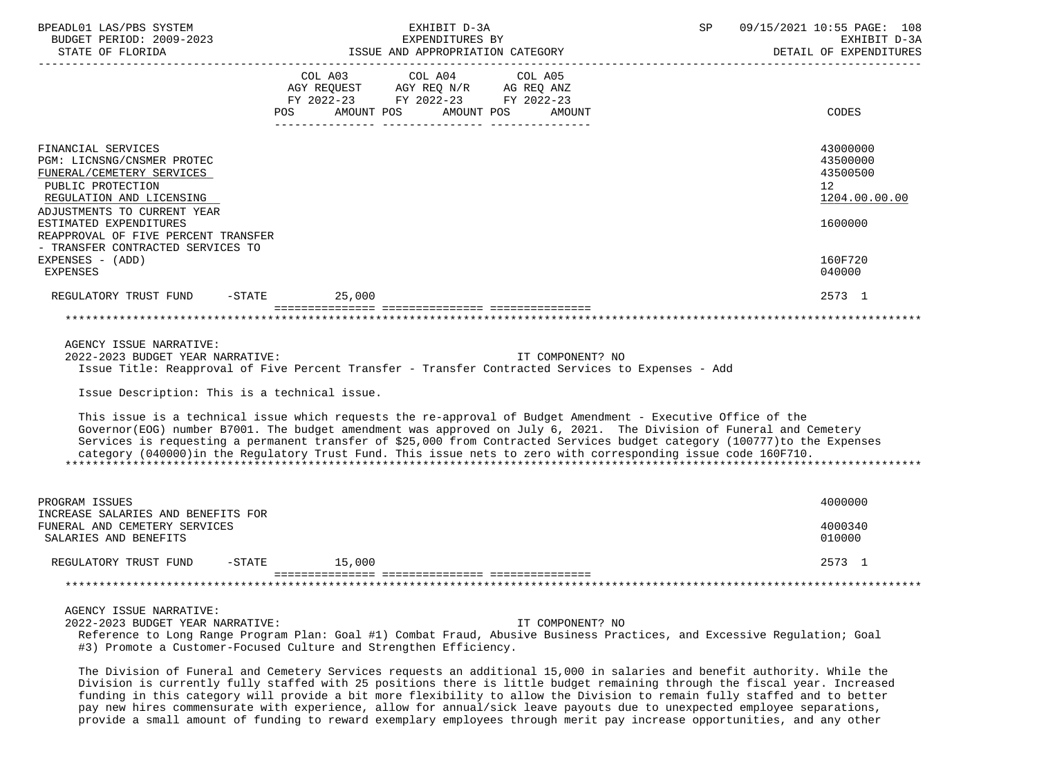| BPEADL01 LAS/PBS SYSTEM<br>BUDGET PERIOD: 2009-2023                                                                                                                                                                                                                 | EXHIBIT D-3A<br>EXPENDITURES BY                                                                                                                                                                                                                                                                                                                                                                                                                                                     | 09/15/2021 10:55 PAGE: 108<br>SP<br>EXHIBIT D-3A                                |
|---------------------------------------------------------------------------------------------------------------------------------------------------------------------------------------------------------------------------------------------------------------------|-------------------------------------------------------------------------------------------------------------------------------------------------------------------------------------------------------------------------------------------------------------------------------------------------------------------------------------------------------------------------------------------------------------------------------------------------------------------------------------|---------------------------------------------------------------------------------|
| STATE OF FLORIDA                                                                                                                                                                                                                                                    | ISSUE AND APPROPRIATION CATEGORY                                                                                                                                                                                                                                                                                                                                                                                                                                                    | DETAIL OF EXPENDITURES                                                          |
|                                                                                                                                                                                                                                                                     | $\begin{tabular}{lllllllll} COL & A03 & \multicolumn{2}{l}COL & A04 & \multicolumn{2}{l}COL & A05 \\ AGY & REQUEST & \multicolumn{2}{l}AGY & REQ & N/R & \multicolumn{2}{l}AG & REQ & ANZ \\ \end{tabular}$<br>FY 2022-23 FY 2022-23 FY 2022-23<br>AMOUNT POS<br>AMOUNT POS<br>POS<br>AMOUNT                                                                                                                                                                                        | CODES                                                                           |
| FINANCIAL SERVICES<br>PGM: LICNSNG/CNSMER PROTEC<br>FUNERAL/CEMETERY SERVICES<br>PUBLIC PROTECTION<br>REGULATION AND LICENSING<br>ADJUSTMENTS TO CURRENT YEAR<br>ESTIMATED EXPENDITURES<br>REAPPROVAL OF FIVE PERCENT TRANSFER<br>- TRANSFER CONTRACTED SERVICES TO |                                                                                                                                                                                                                                                                                                                                                                                                                                                                                     | 43000000<br>43500000<br>43500500<br>12 <sup>°</sup><br>1204.00.00.00<br>1600000 |
| EXPENSES $-$ (ADD)<br><b>EXPENSES</b>                                                                                                                                                                                                                               |                                                                                                                                                                                                                                                                                                                                                                                                                                                                                     | 160F720<br>040000                                                               |
| REGULATORY TRUST FUND                                                                                                                                                                                                                                               | $-STATE$<br>25,000                                                                                                                                                                                                                                                                                                                                                                                                                                                                  | 2573 1                                                                          |
|                                                                                                                                                                                                                                                                     |                                                                                                                                                                                                                                                                                                                                                                                                                                                                                     |                                                                                 |
| AGENCY ISSUE NARRATIVE:<br>2022-2023 BUDGET YEAR NARRATIVE:                                                                                                                                                                                                         | IT COMPONENT? NO<br>Issue Title: Reapproval of Five Percent Transfer - Transfer Contracted Services to Expenses - Add                                                                                                                                                                                                                                                                                                                                                               |                                                                                 |
| Issue Description: This is a technical issue.                                                                                                                                                                                                                       |                                                                                                                                                                                                                                                                                                                                                                                                                                                                                     |                                                                                 |
|                                                                                                                                                                                                                                                                     | This issue is a technical issue which requests the re-approval of Budget Amendment - Executive Office of the<br>Governor (EOG) number B7001. The budget amendment was approved on July 6, 2021. The Division of Funeral and Cemetery<br>Services is requesting a permanent transfer of \$25,000 from Contracted Services budget category (100777) to the Expenses<br>category (040000) in the Regulatory Trust Fund. This issue nets to zero with corresponding issue code 160F710. |                                                                                 |
| PROGRAM ISSUES<br>INCREASE SALARIES AND BENEFITS FOR                                                                                                                                                                                                                |                                                                                                                                                                                                                                                                                                                                                                                                                                                                                     | 4000000                                                                         |
| FUNERAL AND CEMETERY SERVICES<br>SALARIES AND BENEFITS                                                                                                                                                                                                              |                                                                                                                                                                                                                                                                                                                                                                                                                                                                                     | 4000340<br>010000                                                               |
| REGULATORY TRUST FUND                                                                                                                                                                                                                                               | $-STATE$ 15,000                                                                                                                                                                                                                                                                                                                                                                                                                                                                     | 2573 1                                                                          |
|                                                                                                                                                                                                                                                                     |                                                                                                                                                                                                                                                                                                                                                                                                                                                                                     |                                                                                 |
| AGENCY ISSUE NARRATIVE:<br>2022-2023 BUDGET YEAR NARRATIVE:                                                                                                                                                                                                         | IT COMPONENT? NO<br>Reference to Long Range Program Plan: Goal #1) Combat Fraud, Abusive Business Practices, and Excessive Regulation; Goal<br>#3) Promote a Customer-Focused Culture and Strengthen Efficiency.                                                                                                                                                                                                                                                                    |                                                                                 |

 The Division of Funeral and Cemetery Services requests an additional 15,000 in salaries and benefit authority. While the Division is currently fully staffed with 25 positions there is little budget remaining through the fiscal year. Increased funding in this category will provide a bit more flexibility to allow the Division to remain fully staffed and to better pay new hires commensurate with experience, allow for annual/sick leave payouts due to unexpected employee separations, provide a small amount of funding to reward exemplary employees through merit pay increase opportunities, and any other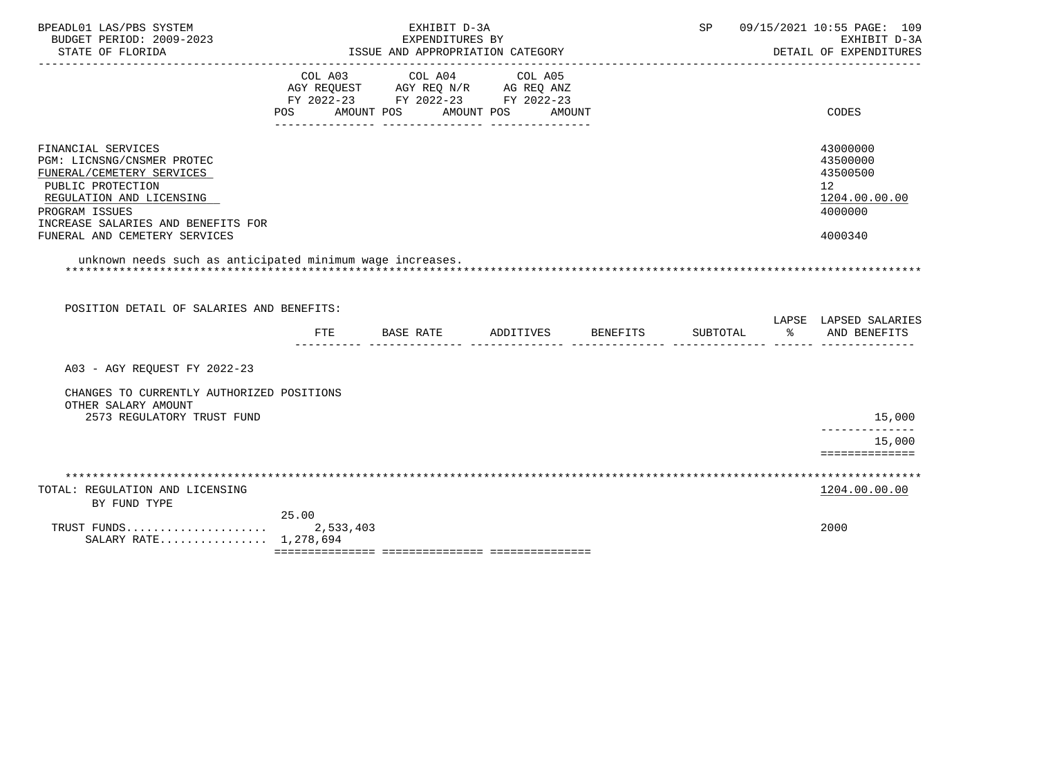| BPEADL01 LAS/PBS SYSTEM                                                                                                                                                                                                                                                              |                 | EXHIBIT D-3A                                                                                    |                       |               | SP       |    | 09/15/2021 10:55 PAGE: 109                                                                 |
|--------------------------------------------------------------------------------------------------------------------------------------------------------------------------------------------------------------------------------------------------------------------------------------|-----------------|-------------------------------------------------------------------------------------------------|-----------------------|---------------|----------|----|--------------------------------------------------------------------------------------------|
| BUDGET PERIOD: 2009-2023<br>STATE OF FLORIDA<br>. _ _ _ _ _ _ _ _ _ _ _ _ _ _ _ _ _ _                                                                                                                                                                                                |                 | EXPENDITURES BY<br>ISSUE AND APPROPRIATION CATEGORY                                             |                       |               |          |    | EXHIBIT D-3A<br>DETAIL OF EXPENDITURES                                                     |
|                                                                                                                                                                                                                                                                                      | COL A03<br>POS. | COL A04<br>AGY REQUEST AGY REQ N/R AG REQ ANZ<br>FY 2022-23 FY 2022-23 FY 2022-23<br>AMOUNT POS | COL A05<br>AMOUNT POS | <b>AMOUNT</b> |          |    | CODES                                                                                      |
| FINANCIAL SERVICES<br>PGM: LICNSNG/CNSMER PROTEC<br>FUNERAL/CEMETERY SERVICES<br>PUBLIC PROTECTION<br>REGULATION AND LICENSING<br>PROGRAM ISSUES<br>INCREASE SALARIES AND BENEFITS FOR<br>FUNERAL AND CEMETERY SERVICES<br>unknown needs such as anticipated minimum wage increases. |                 |                                                                                                 |                       |               |          |    | 43000000<br>43500000<br>43500500<br>12 <sup>°</sup><br>1204.00.00.00<br>4000000<br>4000340 |
| POSITION DETAIL OF SALARIES AND BENEFITS:                                                                                                                                                                                                                                            | FTE             | BASE RATE                                                                                       | ADDITIVES             | BENEFITS      | SUBTOTAL | န္ | LAPSE LAPSED SALARIES<br>AND BENEFITS                                                      |
|                                                                                                                                                                                                                                                                                      |                 |                                                                                                 |                       |               |          |    |                                                                                            |
| A03 - AGY REQUEST FY 2022-23                                                                                                                                                                                                                                                         |                 |                                                                                                 |                       |               |          |    |                                                                                            |
| CHANGES TO CURRENTLY AUTHORIZED POSITIONS                                                                                                                                                                                                                                            |                 |                                                                                                 |                       |               |          |    |                                                                                            |
| OTHER SALARY AMOUNT<br>2573 REGULATORY TRUST FUND                                                                                                                                                                                                                                    |                 |                                                                                                 |                       |               |          |    | 15,000                                                                                     |
|                                                                                                                                                                                                                                                                                      |                 |                                                                                                 |                       |               |          |    | 15,000                                                                                     |
|                                                                                                                                                                                                                                                                                      |                 |                                                                                                 |                       |               |          |    | ==============                                                                             |
|                                                                                                                                                                                                                                                                                      |                 |                                                                                                 |                       |               |          |    |                                                                                            |
| TOTAL: REGULATION AND LICENSING<br>BY FUND TYPE                                                                                                                                                                                                                                      |                 |                                                                                                 |                       |               |          |    | 1204.00.00.00                                                                              |
|                                                                                                                                                                                                                                                                                      | 25.00           |                                                                                                 |                       |               |          |    |                                                                                            |
|                                                                                                                                                                                                                                                                                      |                 |                                                                                                 |                       |               |          |    |                                                                                            |
| SALARY RATE 1,278,694                                                                                                                                                                                                                                                                |                 |                                                                                                 |                       |               |          |    | 2000                                                                                       |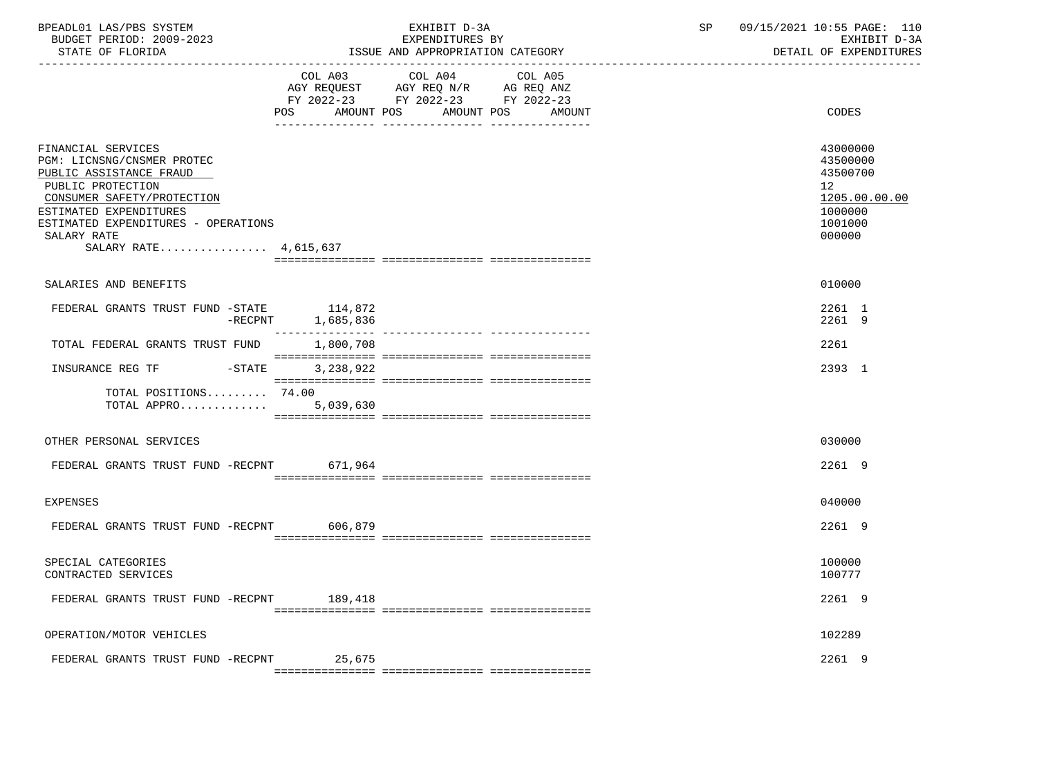| BPEADL01 LAS/PBS SYSTEM<br>BUDGET PERIOD: 2009-2023<br>STATE OF FLORIDA<br>-----------------                                                                                                                                            |                        | EXHIBIT D-3A<br>EXPENDITURES BY<br>ISSUE AND APPROPRIATION CATEGORY                                                       | SP | 09/15/2021 10:55 PAGE: 110<br>EXHIBIT D-3A<br>DETAIL OF EXPENDITURES                                 |
|-----------------------------------------------------------------------------------------------------------------------------------------------------------------------------------------------------------------------------------------|------------------------|---------------------------------------------------------------------------------------------------------------------------|----|------------------------------------------------------------------------------------------------------|
|                                                                                                                                                                                                                                         | AMOUNT POS<br>POS      | COL A03 COL A04 COL A05<br>AGY REQUEST AGY REQ N/R AG REQ ANZ<br>FY 2022-23 FY 2022-23 FY 2022-23<br>AMOUNT POS<br>AMOUNT |    | <b>CODES</b>                                                                                         |
| FINANCIAL SERVICES<br>PGM: LICNSNG/CNSMER PROTEC<br>PUBLIC ASSISTANCE FRAUD<br>PUBLIC PROTECTION<br>CONSUMER SAFETY/PROTECTION<br>ESTIMATED EXPENDITURES<br>ESTIMATED EXPENDITURES - OPERATIONS<br>SALARY RATE<br>SALARY RATE 4,615,637 |                        |                                                                                                                           |    | 43000000<br>43500000<br>43500700<br>12 <sup>°</sup><br>1205.00.00.00<br>1000000<br>1001000<br>000000 |
| SALARIES AND BENEFITS                                                                                                                                                                                                                   |                        |                                                                                                                           |    | 010000                                                                                               |
| FEDERAL GRANTS TRUST FUND -STATE 114,872                                                                                                                                                                                                | $-$ RECPNT $1,685,836$ |                                                                                                                           |    | 2261 1<br>2261 9                                                                                     |
| TOTAL FEDERAL GRANTS TRUST FUND                                                                                                                                                                                                         | 1,800,708              |                                                                                                                           |    | 2261                                                                                                 |
| INSURANCE REG TF<br>$-STATE$                                                                                                                                                                                                            | 3,238,922              |                                                                                                                           |    | 2393 1                                                                                               |
| TOTAL POSITIONS 74.00<br>TOTAL APPRO 5,039,630                                                                                                                                                                                          |                        |                                                                                                                           |    |                                                                                                      |
| OTHER PERSONAL SERVICES                                                                                                                                                                                                                 |                        |                                                                                                                           |    | 030000                                                                                               |
| FEDERAL GRANTS TRUST FUND -RECPNT 671,964                                                                                                                                                                                               |                        |                                                                                                                           |    | 2261 9                                                                                               |
| <b>EXPENSES</b>                                                                                                                                                                                                                         |                        |                                                                                                                           |    | 040000                                                                                               |
| FEDERAL GRANTS TRUST FUND -RECPNT 606,879                                                                                                                                                                                               |                        |                                                                                                                           |    | 2261 9                                                                                               |
| SPECIAL CATEGORIES<br>CONTRACTED SERVICES                                                                                                                                                                                               |                        |                                                                                                                           |    | 100000<br>100777                                                                                     |
| FEDERAL GRANTS TRUST FUND -RECPNT 189,418                                                                                                                                                                                               |                        |                                                                                                                           |    | 2261 9                                                                                               |
| OPERATION/MOTOR VEHICLES                                                                                                                                                                                                                |                        |                                                                                                                           |    | 102289                                                                                               |
| FEDERAL GRANTS TRUST FUND -RECPNT 25,675                                                                                                                                                                                                |                        |                                                                                                                           |    | 2261 9                                                                                               |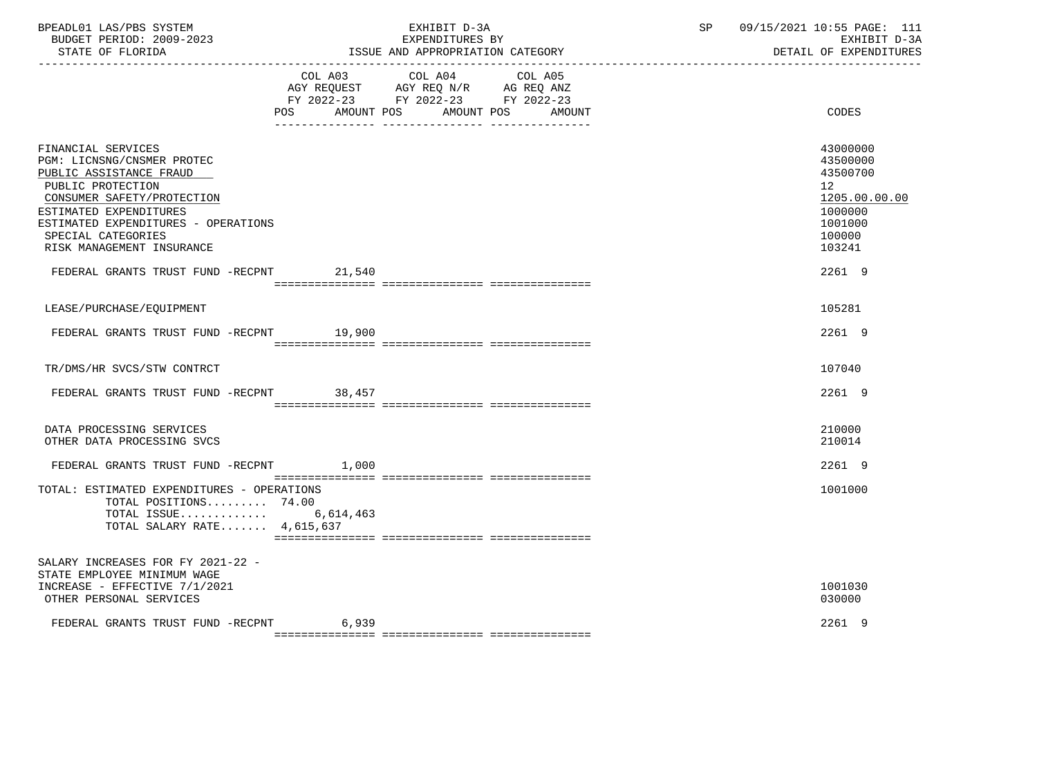|                  | BPEADL01 LAS/PBS SYSTEM  | EXHIBIT D-3A                     |
|------------------|--------------------------|----------------------------------|
|                  | BUDGET PERIOD: 2009-2023 | EXPENDITURES BY                  |
| STATE OF FLORIDA |                          | ISSUE AND APPROPRIATION CATEGORY |

|                                                                                                                                                                                                                                                    | COL A03<br>POS AMOUNT POS | COL A04<br>AGY REQUEST AGY REQ N/R AG REQ ANZ<br>FY 2022-23 FY 2022-23 FY 2022-23<br>AMOUNT POS | COL A05 | AMOUNT | CODES                                                                                             |
|----------------------------------------------------------------------------------------------------------------------------------------------------------------------------------------------------------------------------------------------------|---------------------------|-------------------------------------------------------------------------------------------------|---------|--------|---------------------------------------------------------------------------------------------------|
|                                                                                                                                                                                                                                                    |                           |                                                                                                 |         |        |                                                                                                   |
| FINANCIAL SERVICES<br>PGM: LICNSNG/CNSMER PROTEC<br>PUBLIC ASSISTANCE FRAUD<br>PUBLIC PROTECTION<br>CONSUMER SAFETY/PROTECTION<br>ESTIMATED EXPENDITURES<br>ESTIMATED EXPENDITURES - OPERATIONS<br>SPECIAL CATEGORIES<br>RISK MANAGEMENT INSURANCE |                           |                                                                                                 |         |        | 43000000<br>43500000<br>43500700<br>12<br>1205.00.00.00<br>1000000<br>1001000<br>100000<br>103241 |
| FEDERAL GRANTS TRUST FUND -RECPNT 21,540                                                                                                                                                                                                           |                           |                                                                                                 |         |        | 2261 9                                                                                            |
|                                                                                                                                                                                                                                                    |                           |                                                                                                 |         |        |                                                                                                   |
| LEASE/PURCHASE/EQUIPMENT                                                                                                                                                                                                                           |                           |                                                                                                 |         |        | 105281                                                                                            |
| FEDERAL GRANTS TRUST FUND -RECPNT                                                                                                                                                                                                                  | 19,900                    |                                                                                                 |         |        | 2261 9                                                                                            |
| TR/DMS/HR SVCS/STW CONTRCT                                                                                                                                                                                                                         |                           |                                                                                                 |         |        | 107040                                                                                            |
| FEDERAL GRANTS TRUST FUND -RECPNT 38,457                                                                                                                                                                                                           |                           |                                                                                                 |         |        | 2261 9                                                                                            |
|                                                                                                                                                                                                                                                    |                           |                                                                                                 |         |        |                                                                                                   |
| DATA PROCESSING SERVICES<br>OTHER DATA PROCESSING SVCS                                                                                                                                                                                             |                           |                                                                                                 |         |        | 210000<br>210014                                                                                  |
| FEDERAL GRANTS TRUST FUND -RECPNT 1,000                                                                                                                                                                                                            |                           |                                                                                                 |         |        | 2261 9                                                                                            |
| TOTAL: ESTIMATED EXPENDITURES - OPERATIONS<br>TOTAL POSITIONS 74.00<br>TOTAL ISSUE 6,614,463<br>TOTAL SALARY RATE $4,615,637$                                                                                                                      |                           |                                                                                                 |         |        | 1001000                                                                                           |
| SALARY INCREASES FOR FY 2021-22 -                                                                                                                                                                                                                  |                           |                                                                                                 |         |        |                                                                                                   |
| STATE EMPLOYEE MINIMUM WAGE<br>INCREASE - EFFECTIVE 7/1/2021<br>OTHER PERSONAL SERVICES                                                                                                                                                            |                           |                                                                                                 |         |        | 1001030<br>030000                                                                                 |
| FEDERAL GRANTS TRUST FUND -RECPNT                                                                                                                                                                                                                  | 6,939                     |                                                                                                 |         |        | 2261 9                                                                                            |
|                                                                                                                                                                                                                                                    |                           |                                                                                                 |         |        |                                                                                                   |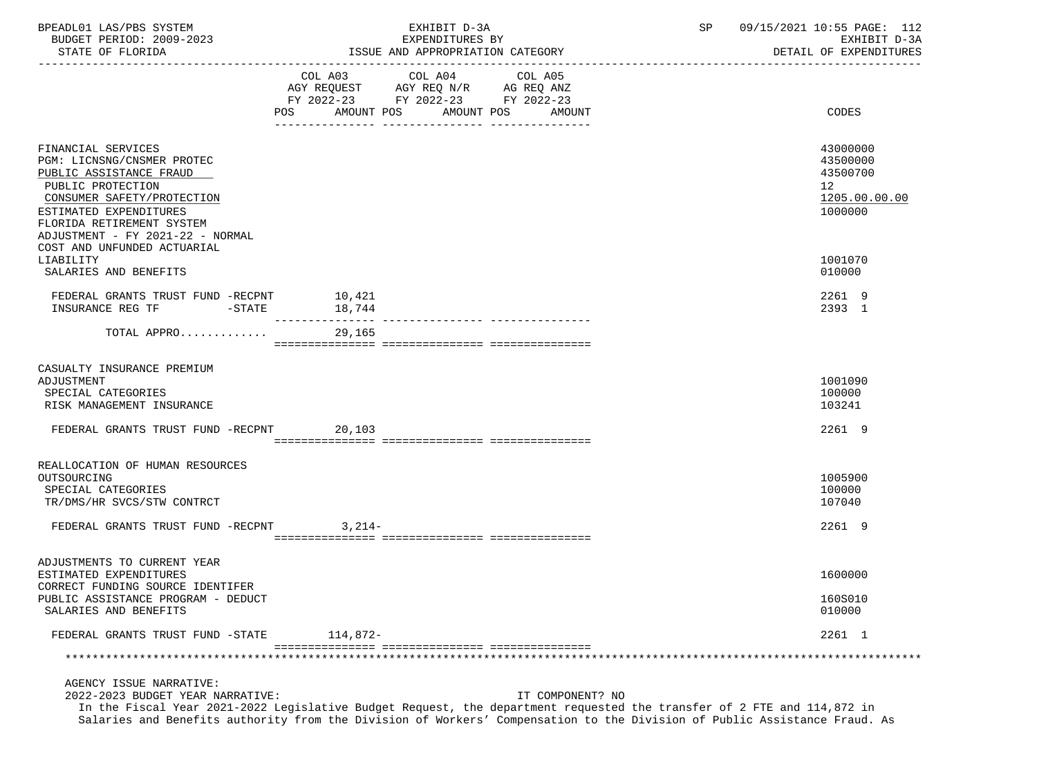| BPEADL01 LAS/PBS SYSTEM<br>BUDGET PERIOD: 2009-2023                                                                                                                                                                       |                                  | EXHIBIT D-3A<br>EXPENDITURES BY | SP 09/15/2021 10:55 PAGE: 112<br>EXHIBIT D-3A<br>DETAIL OF EXPENDITURES         |
|---------------------------------------------------------------------------------------------------------------------------------------------------------------------------------------------------------------------------|----------------------------------|---------------------------------|---------------------------------------------------------------------------------|
|                                                                                                                                                                                                                           | FY 2022-23 FY 2022-23 FY 2022-23 | AMOUNT POS AMOUNT POS<br>AMOUNT | CODES                                                                           |
| FINANCIAL SERVICES<br>PGM: LICNSNG/CNSMER PROTEC<br>PUBLIC ASSISTANCE FRAUD<br>PUBLIC PROTECTION<br>CONSUMER SAFETY/PROTECTION<br>ESTIMATED EXPENDITURES<br>FLORIDA RETIREMENT SYSTEM<br>ADJUSTMENT - FY 2021-22 - NORMAL |                                  |                                 | 43000000<br>43500000<br>43500700<br>12 <sup>1</sup><br>1205.00.00.00<br>1000000 |
| COST AND UNFUNDED ACTUARIAL<br>LIABILITY<br>SALARIES AND BENEFITS                                                                                                                                                         |                                  |                                 | 1001070<br>010000                                                               |
| FEDERAL GRANTS TRUST FUND -RECPNT 10,421<br>INSURANCE REG TF                                                                                                                                                              |                                  |                                 | 2261 9<br>2393 1                                                                |
| TOTAL APPRO                                                                                                                                                                                                               | 29,165                           |                                 |                                                                                 |
| CASUALTY INSURANCE PREMIUM<br>ADJUSTMENT<br>SPECIAL CATEGORIES<br>RISK MANAGEMENT INSURANCE<br>FEDERAL GRANTS TRUST FUND -RECPNT 20,103                                                                                   |                                  |                                 | 1001090<br>100000<br>103241<br>2261 9                                           |
|                                                                                                                                                                                                                           |                                  |                                 |                                                                                 |
| REALLOCATION OF HUMAN RESOURCES<br>OUTSOURCING<br>SPECIAL CATEGORIES<br>TR/DMS/HR SVCS/STW CONTRCT                                                                                                                        |                                  |                                 | 1005900<br>100000<br>107040                                                     |
| FEDERAL GRANTS TRUST FUND -RECPNT 3,214-                                                                                                                                                                                  |                                  |                                 | 2261 9                                                                          |
| ADJUSTMENTS TO CURRENT YEAR<br>ESTIMATED EXPENDITURES<br>CORRECT FUNDING SOURCE IDENTIFER<br>PUBLIC ASSISTANCE PROGRAM - DEDUCT                                                                                           |                                  |                                 | 1600000<br>160S010                                                              |
| SALARIES AND BENEFITS                                                                                                                                                                                                     |                                  |                                 | 010000                                                                          |
| FEDERAL GRANTS TRUST FUND -STATE                                                                                                                                                                                          | 114,872-                         |                                 | 2261 1                                                                          |
|                                                                                                                                                                                                                           |                                  |                                 |                                                                                 |
| AGENCY ISSUE NARRATIVE:<br>2022-2023 BUDGET YEAR NARRATIVE:                                                                                                                                                               |                                  | IT COMPONENT? NO                |                                                                                 |

 In the Fiscal Year 2021-2022 Legislative Budget Request, the department requested the transfer of 2 FTE and 114,872 in Salaries and Benefits authority from the Division of Workers' Compensation to the Division of Public Assistance Fraud. As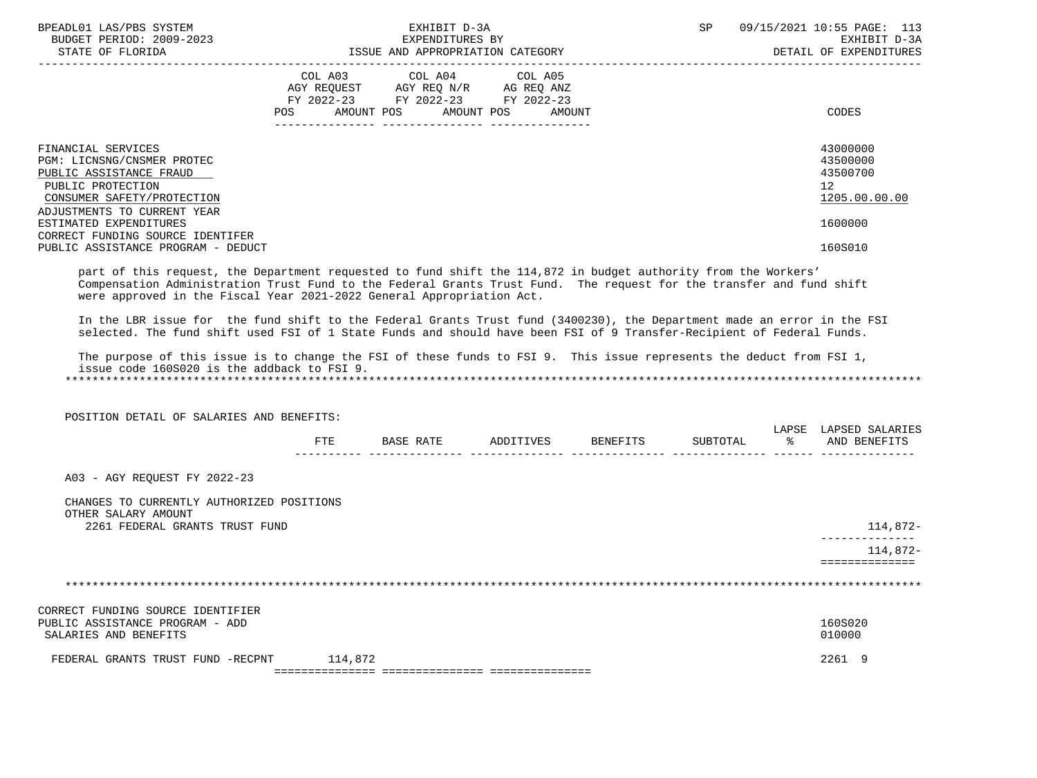| ISSUE AND APPROPRIATION CATEGORY<br>STATE OF FLORIDA<br>DETAIL OF EXPENDITURES<br>COL A03 COL A04 COL A05<br>AGY REQUEST AGY REQ N/R AG REQ ANZ<br>FY 2022-23 FY 2022-23 FY 2022-23<br>AMOUNT POS AMOUNT POS<br>POS<br>AMOUNT<br>CODES<br>FINANCIAL SERVICES<br>43000000<br>PGM: LICNSNG/CNSMER PROTEC<br>43500000<br>43500700<br>PUBLIC ASSISTANCE FRAUD<br>PUBLIC PROTECTION<br>12 <sup>°</sup><br>CONSUMER SAFETY/PROTECTION<br>1205.00.00.00<br>ADJUSTMENTS TO CURRENT YEAR<br>ESTIMATED EXPENDITURES<br>1600000<br>CORRECT FUNDING SOURCE IDENTIFER<br>PUBLIC ASSISTANCE PROGRAM - DEDUCT<br>160S010<br>part of this request, the Department requested to fund shift the 114,872 in budget authority from the Workers'<br>Compensation Administration Trust Fund to the Federal Grants Trust Fund. The request for the transfer and fund shift<br>were approved in the Fiscal Year 2021-2022 General Appropriation Act.<br>In the LBR issue for the fund shift to the Federal Grants Trust fund (3400230), the Department made an error in the FSI<br>selected. The fund shift used FSI of 1 State Funds and should have been FSI of 9 Transfer-Recipient of Federal Funds.<br>The purpose of this issue is to change the FSI of these funds to FSI 9. This issue represents the deduct from FSI 1,<br>issue code 160S020 is the addback to FSI 9. |          |
|---------------------------------------------------------------------------------------------------------------------------------------------------------------------------------------------------------------------------------------------------------------------------------------------------------------------------------------------------------------------------------------------------------------------------------------------------------------------------------------------------------------------------------------------------------------------------------------------------------------------------------------------------------------------------------------------------------------------------------------------------------------------------------------------------------------------------------------------------------------------------------------------------------------------------------------------------------------------------------------------------------------------------------------------------------------------------------------------------------------------------------------------------------------------------------------------------------------------------------------------------------------------------------------------------------------------------------------------------------|----------|
|                                                                                                                                                                                                                                                                                                                                                                                                                                                                                                                                                                                                                                                                                                                                                                                                                                                                                                                                                                                                                                                                                                                                                                                                                                                                                                                                                         |          |
|                                                                                                                                                                                                                                                                                                                                                                                                                                                                                                                                                                                                                                                                                                                                                                                                                                                                                                                                                                                                                                                                                                                                                                                                                                                                                                                                                         |          |
|                                                                                                                                                                                                                                                                                                                                                                                                                                                                                                                                                                                                                                                                                                                                                                                                                                                                                                                                                                                                                                                                                                                                                                                                                                                                                                                                                         |          |
|                                                                                                                                                                                                                                                                                                                                                                                                                                                                                                                                                                                                                                                                                                                                                                                                                                                                                                                                                                                                                                                                                                                                                                                                                                                                                                                                                         |          |
| POSITION DETAIL OF SALARIES AND BENEFITS:                                                                                                                                                                                                                                                                                                                                                                                                                                                                                                                                                                                                                                                                                                                                                                                                                                                                                                                                                                                                                                                                                                                                                                                                                                                                                                               |          |
| LAPSE LAPSED SALARIES<br>BASE RATE ADDITIVES BENEFITS<br>SUBTOTAL<br>8 AND BENEFITS<br>ETE                                                                                                                                                                                                                                                                                                                                                                                                                                                                                                                                                                                                                                                                                                                                                                                                                                                                                                                                                                                                                                                                                                                                                                                                                                                              |          |
| A03 - AGY REQUEST FY 2022-23<br>CHANGES TO CURRENTLY AUTHORIZED POSITIONS<br>OTHER SALARY AMOUNT<br>2261 FEDERAL GRANTS TRUST FUND<br>______________                                                                                                                                                                                                                                                                                                                                                                                                                                                                                                                                                                                                                                                                                                                                                                                                                                                                                                                                                                                                                                                                                                                                                                                                    | 114,872- |
| ==============                                                                                                                                                                                                                                                                                                                                                                                                                                                                                                                                                                                                                                                                                                                                                                                                                                                                                                                                                                                                                                                                                                                                                                                                                                                                                                                                          | 114,872- |
|                                                                                                                                                                                                                                                                                                                                                                                                                                                                                                                                                                                                                                                                                                                                                                                                                                                                                                                                                                                                                                                                                                                                                                                                                                                                                                                                                         |          |
| CORRECT FUNDING SOURCE IDENTIFIER<br>160S020<br>PUBLIC ASSISTANCE PROGRAM - ADD<br>SALARIES AND BENEFITS<br>010000                                                                                                                                                                                                                                                                                                                                                                                                                                                                                                                                                                                                                                                                                                                                                                                                                                                                                                                                                                                                                                                                                                                                                                                                                                      |          |
|                                                                                                                                                                                                                                                                                                                                                                                                                                                                                                                                                                                                                                                                                                                                                                                                                                                                                                                                                                                                                                                                                                                                                                                                                                                                                                                                                         |          |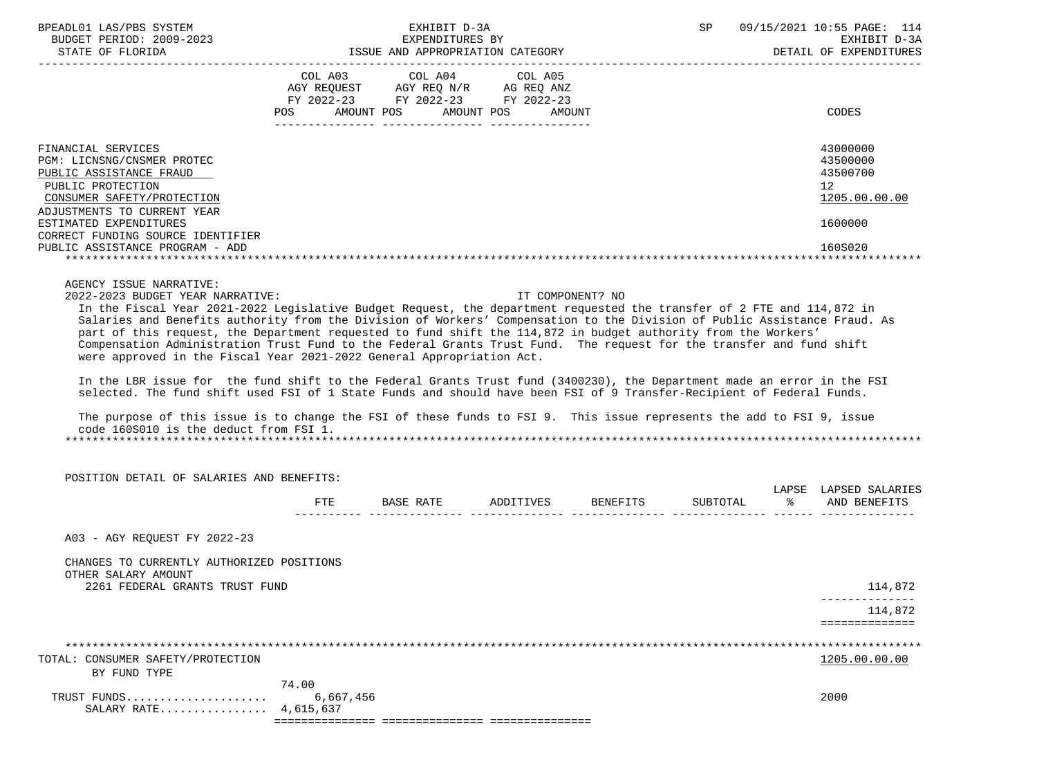| BPEADL01 LAS/PBS SYSTEM<br>EXAMPLE DUST PERIOD: 2009-2023<br>STATE OF FLORIDA BUDGET PERIOD: 2009-2023<br>STATE OF FLORIDA STATE OF STATE OF STATE OF STATE OF STATE OF STATES<br>------------------------                                                                                                                                                                                                                                                                                                                                                                                                                                                                                                                                                                                                                                                                                                                                                                                                                                                   |       | EXHIBIT D-3A |                                                                                                                                       |                              | SP <sub>2</sub> | 09/15/2021 10:55 PAGE: 114<br>EXHIBIT D-3A<br>DETAIL OF EXPENDITURES |
|--------------------------------------------------------------------------------------------------------------------------------------------------------------------------------------------------------------------------------------------------------------------------------------------------------------------------------------------------------------------------------------------------------------------------------------------------------------------------------------------------------------------------------------------------------------------------------------------------------------------------------------------------------------------------------------------------------------------------------------------------------------------------------------------------------------------------------------------------------------------------------------------------------------------------------------------------------------------------------------------------------------------------------------------------------------|-------|--------------|---------------------------------------------------------------------------------------------------------------------------------------|------------------------------|-----------------|----------------------------------------------------------------------|
|                                                                                                                                                                                                                                                                                                                                                                                                                                                                                                                                                                                                                                                                                                                                                                                                                                                                                                                                                                                                                                                              |       |              | COL A03 COL A04 COL A05<br>AGY REQUEST AGY REQ N/R AG REQ ANZ<br>FY 2022-23 FY 2022-23 FY 2022-23<br>POS AMOUNT POS AMOUNT POS AMOUNT |                              |                 | CODES                                                                |
| FINANCIAL SERVICES<br>PGM: LICNSNG/CNSMER PROTEC<br>PUBLIC ASSISTANCE FRAUD<br>PUBLIC PROTECTION<br>CONSUMER SAFETY/PROTECTION<br>ADJUSTMENTS TO CURRENT YEAR                                                                                                                                                                                                                                                                                                                                                                                                                                                                                                                                                                                                                                                                                                                                                                                                                                                                                                |       |              |                                                                                                                                       |                              |                 | 43000000<br>43500000<br>43500700<br>12 <sup>°</sup><br>1205.00.00.00 |
| ESTIMATED EXPENDITURES<br>CORRECT FUNDING SOURCE IDENTIFIER<br>PUBLIC ASSISTANCE PROGRAM - ADD                                                                                                                                                                                                                                                                                                                                                                                                                                                                                                                                                                                                                                                                                                                                                                                                                                                                                                                                                               |       |              |                                                                                                                                       |                              |                 | 1600000<br>160S020                                                   |
| AGENCY ISSUE NARRATIVE:<br>2022-2023 BUDGET YEAR NARRATIVE:<br>In the Fiscal Year 2021-2022 Legislative Budget Request, the department requested the transfer of 2 FTE and 114,872 in<br>Salaries and Benefits authority from the Division of Workers' Compensation to the Division of Public Assistance Fraud. As<br>part of this request, the Department requested to fund shift the 114,872 in budget authority from the Workers'<br>Compensation Administration Trust Fund to the Federal Grants Trust Fund. The request for the transfer and fund shift<br>were approved in the Fiscal Year 2021-2022 General Appropriation Act.<br>In the LBR issue for the fund shift to the Federal Grants Trust fund (3400230), the Department made an error in the FSI<br>selected. The fund shift used FSI of 1 State Funds and should have been FSI of 9 Transfer-Recipient of Federal Funds.<br>The purpose of this issue is to change the FSI of these funds to FSI 9. This issue represents the add to FSI 9, issue<br>code 160S010 is the deduct from FSI 1. |       |              |                                                                                                                                       | IT COMPONENT? NO             |                 |                                                                      |
| POSITION DETAIL OF SALARIES AND BENEFITS:                                                                                                                                                                                                                                                                                                                                                                                                                                                                                                                                                                                                                                                                                                                                                                                                                                                                                                                                                                                                                    |       |              |                                                                                                                                       |                              |                 |                                                                      |
|                                                                                                                                                                                                                                                                                                                                                                                                                                                                                                                                                                                                                                                                                                                                                                                                                                                                                                                                                                                                                                                              | FTE   |              |                                                                                                                                       | BASE RATE ADDITIVES BENEFITS | SUBTOTAL        | LAPSE LAPSED SALARIES<br>% AND BENEFITS                              |
| A03 - AGY REQUEST FY 2022-23                                                                                                                                                                                                                                                                                                                                                                                                                                                                                                                                                                                                                                                                                                                                                                                                                                                                                                                                                                                                                                 |       |              |                                                                                                                                       |                              |                 |                                                                      |
| CHANGES TO CURRENTLY AUTHORIZED POSITIONS<br>OTHER SALARY AMOUNT<br>2261 FEDERAL GRANTS TRUST FUND                                                                                                                                                                                                                                                                                                                                                                                                                                                                                                                                                                                                                                                                                                                                                                                                                                                                                                                                                           |       |              |                                                                                                                                       |                              |                 | 114,872                                                              |
|                                                                                                                                                                                                                                                                                                                                                                                                                                                                                                                                                                                                                                                                                                                                                                                                                                                                                                                                                                                                                                                              |       |              |                                                                                                                                       |                              |                 | 114,872<br>==============                                            |
| TOTAL: CONSUMER SAFETY/PROTECTION<br>BY FUND TYPE                                                                                                                                                                                                                                                                                                                                                                                                                                                                                                                                                                                                                                                                                                                                                                                                                                                                                                                                                                                                            | 74.00 |              |                                                                                                                                       |                              |                 | 1205.00.00.00                                                        |

TRUST FUNDS..................... 6,667,456 2000

 SALARY RATE................ 4,615,637 =============== =============== ===============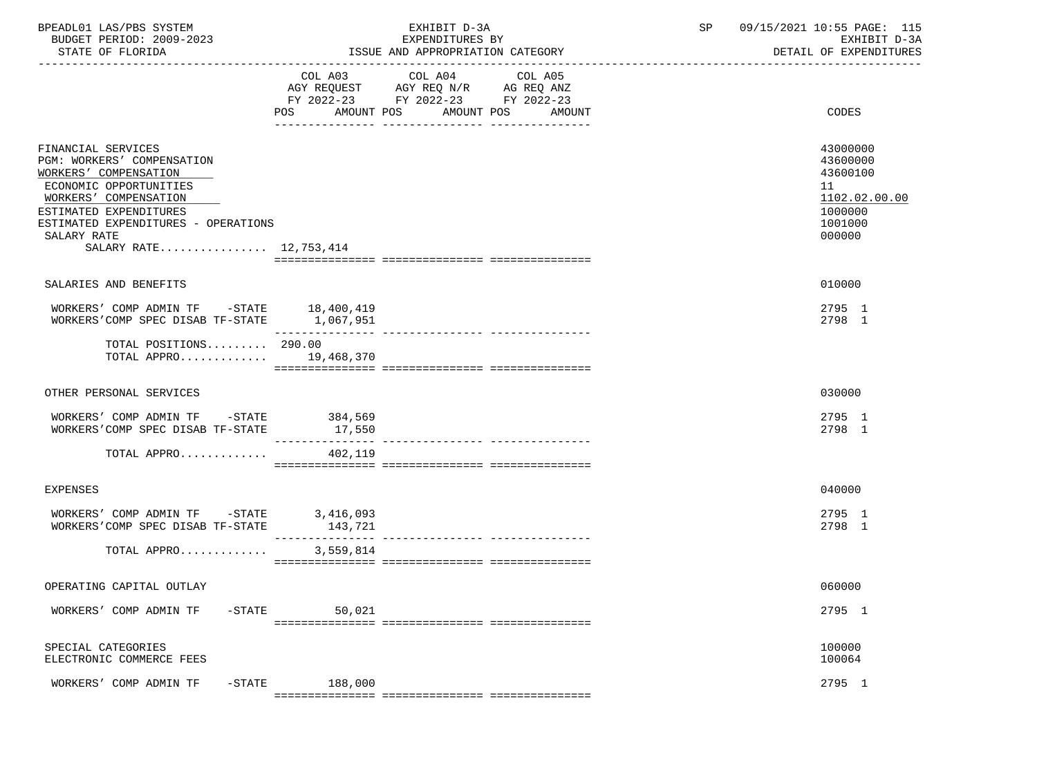| BPEADL01 LAS/PBS SYSTEM  | EXHIBIT D-                       | 09/15/2021 10:55 PAGE: 1<br>115 |
|--------------------------|----------------------------------|---------------------------------|
| BUDGET PERIOD: 2009-2023 | EXPENDITURES BY                  | EXHIBIT D-3A                    |
| STATE OF FLORIDA         | ISSUE AND APPROPRIATION CATEGORY | DETAIL OF EXPENDITURES          |

|                                                                                                                                                                                                                                        | COL A03                      | COL A04                                        | COL A05                           |                                                                                         |
|----------------------------------------------------------------------------------------------------------------------------------------------------------------------------------------------------------------------------------------|------------------------------|------------------------------------------------|-----------------------------------|-----------------------------------------------------------------------------------------|
|                                                                                                                                                                                                                                        | AMOUNT POS<br>POS            | FY 2022-23 FY 2022-23 FY 2022-23<br>AMOUNT POS | AMOUNT                            | CODES                                                                                   |
| FINANCIAL SERVICES<br>PGM: WORKERS' COMPENSATION<br>WORKERS' COMPENSATION<br>ECONOMIC OPPORTUNITIES<br>WORKERS' COMPENSATION<br>ESTIMATED EXPENDITURES<br>ESTIMATED EXPENDITURES - OPERATIONS<br>SALARY RATE<br>SALARY RATE 12,753,414 |                              |                                                |                                   | 43000000<br>43600000<br>43600100<br>11<br>1102.02.00.00<br>1000000<br>1001000<br>000000 |
|                                                                                                                                                                                                                                        |                              |                                                |                                   |                                                                                         |
| SALARIES AND BENEFITS                                                                                                                                                                                                                  |                              |                                                |                                   | 010000                                                                                  |
| WORKERS' COMP ADMIN TF -STATE 18,400,419<br>WORKERS'COMP SPEC DISAB TF-STATE                                                                                                                                                           | 1,067,951                    |                                                |                                   | 2795 1<br>2798 1                                                                        |
| TOTAL POSITIONS 290.00<br>TOTAL APPRO                                                                                                                                                                                                  | 19,468,370                   |                                                |                                   |                                                                                         |
| OTHER PERSONAL SERVICES                                                                                                                                                                                                                |                              |                                                |                                   | 030000                                                                                  |
| WORKERS' COMP ADMIN TF -STATE 384,569<br>WORKERS'COMP SPEC DISAB TF-STATE                                                                                                                                                              | 17,550<br>_______________    | -------------- -----------                     |                                   | 2795 1<br>2798 1                                                                        |
| TOTAL APPRO                                                                                                                                                                                                                            | 402,119                      |                                                |                                   |                                                                                         |
| <b>EXPENSES</b>                                                                                                                                                                                                                        |                              |                                                |                                   | 040000                                                                                  |
| WORKERS' COMP ADMIN TF - STATE 3,416,093<br>WORKERS'COMP SPEC DISAB TF-STATE                                                                                                                                                           | 143,721                      |                                                |                                   | 2795 1<br>2798 1                                                                        |
| TOTAL APPRO                                                                                                                                                                                                                            | ---------------<br>3,559,814 |                                                | ---------------- ---------------- |                                                                                         |
|                                                                                                                                                                                                                                        |                              |                                                |                                   |                                                                                         |
| OPERATING CAPITAL OUTLAY                                                                                                                                                                                                               |                              |                                                |                                   | 060000                                                                                  |
| WORKERS' COMP ADMIN TF -STATE                                                                                                                                                                                                          | 50,021                       |                                                |                                   | 2795 1                                                                                  |
| SPECIAL CATEGORIES<br>ELECTRONIC COMMERCE FEES                                                                                                                                                                                         |                              |                                                |                                   | 100000<br>100064                                                                        |
| WORKERS' COMP ADMIN TF -STATE                                                                                                                                                                                                          | 188,000                      |                                                |                                   | 2795 1                                                                                  |

=============== =============== ===============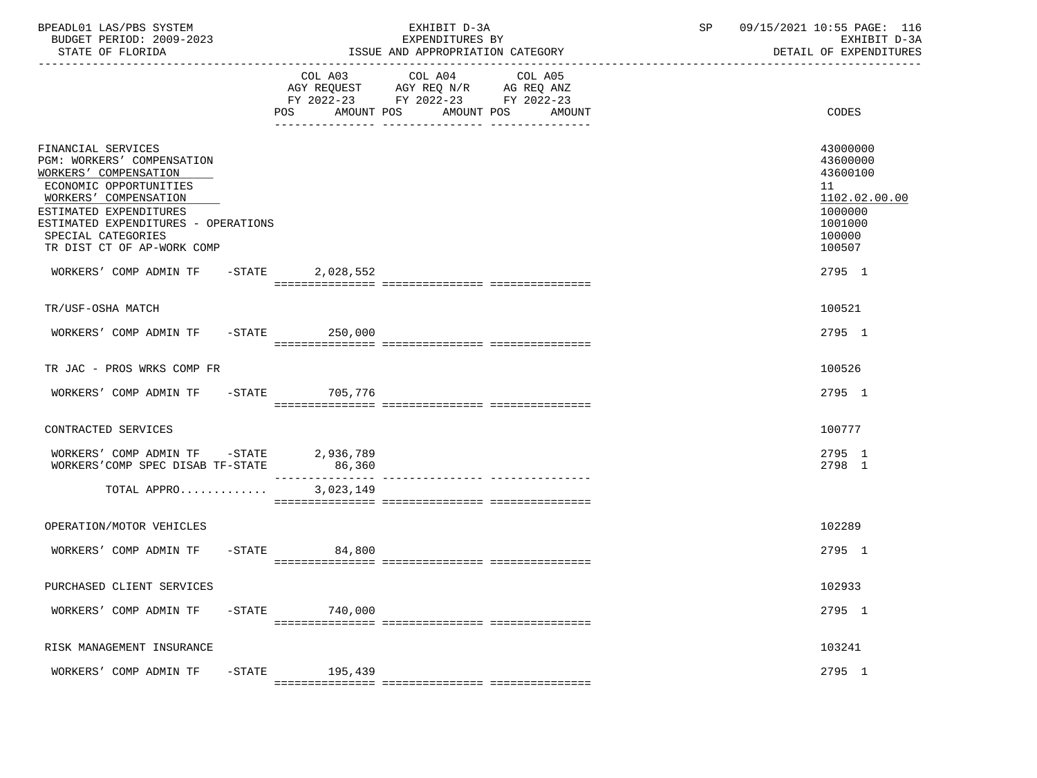| BPEADL01 LAS/PBS SYSTEM<br>BUDGET PERIOD: 2009-2023<br>STATE OF FLORIDA                                                                                                                                                                                                                      |           | EXHIBIT D-3A<br>EXPENDITURES BY<br>ISSUE AND APPROPRIATION CATEGORY                                                                      | SP | 09/15/2021 10:55 PAGE: 116<br>EXHIBIT D-3A<br>DETAIL OF EXPENDITURES                                        |
|----------------------------------------------------------------------------------------------------------------------------------------------------------------------------------------------------------------------------------------------------------------------------------------------|-----------|------------------------------------------------------------------------------------------------------------------------------------------|----|-------------------------------------------------------------------------------------------------------------|
|                                                                                                                                                                                                                                                                                              |           | COL A03 COL A04<br>COL A05<br>AGY REQUEST AGY REQ N/R AG REQ ANZ<br>FY 2022-23 FY 2022-23 FY 2022-23<br>POS AMOUNT POS AMOUNT POS AMOUNT |    | CODES                                                                                                       |
| FINANCIAL SERVICES<br>PGM: WORKERS' COMPENSATION<br>WORKERS' COMPENSATION<br>ECONOMIC OPPORTUNITIES<br>WORKERS' COMPENSATION<br>ESTIMATED EXPENDITURES<br>ESTIMATED EXPENDITURES - OPERATIONS<br>SPECIAL CATEGORIES<br>TR DIST CT OF AP-WORK COMP<br>WORKERS' COMP ADMIN TF -STATE 2,028,552 |           |                                                                                                                                          |    | 43000000<br>43600000<br>43600100<br>11<br>1102.02.00.00<br>1000000<br>1001000<br>100000<br>100507<br>2795 1 |
| TR/USF-OSHA MATCH                                                                                                                                                                                                                                                                            |           |                                                                                                                                          |    | 100521                                                                                                      |
| WORKERS' COMP ADMIN TF -STATE 250,000                                                                                                                                                                                                                                                        |           |                                                                                                                                          |    | 2795 1                                                                                                      |
| TR JAC - PROS WRKS COMP FR                                                                                                                                                                                                                                                                   |           |                                                                                                                                          |    | 100526                                                                                                      |
| WORKERS' COMP ADMIN TF -STATE 705,776                                                                                                                                                                                                                                                        |           |                                                                                                                                          |    | 2795 1                                                                                                      |
| CONTRACTED SERVICES                                                                                                                                                                                                                                                                          |           |                                                                                                                                          |    | 100777                                                                                                      |
| WORKERS' COMP ADMIN TF -STATE 2,936,789<br>WORKERS'COMP SPEC DISAB TF-STATE                                                                                                                                                                                                                  | 86,360    |                                                                                                                                          |    | 2795 1<br>2798 1                                                                                            |
| TOTAL APPRO                                                                                                                                                                                                                                                                                  | 3,023,149 |                                                                                                                                          |    |                                                                                                             |
| OPERATION/MOTOR VEHICLES                                                                                                                                                                                                                                                                     |           |                                                                                                                                          |    | 102289                                                                                                      |
| WORKERS' COMP ADMIN TF -STATE 84,800                                                                                                                                                                                                                                                         |           |                                                                                                                                          |    | 2795 1                                                                                                      |
| PURCHASED CLIENT SERVICES                                                                                                                                                                                                                                                                    |           |                                                                                                                                          |    | 102933                                                                                                      |
| WORKERS' COMP ADMIN TF<br>$-$ STATE                                                                                                                                                                                                                                                          | 740,000   |                                                                                                                                          |    | 2795 1                                                                                                      |
| RISK MANAGEMENT INSURANCE                                                                                                                                                                                                                                                                    |           |                                                                                                                                          |    | 103241                                                                                                      |
| WORKERS' COMP ADMIN TF<br>$-$ STATE                                                                                                                                                                                                                                                          | 195,439   |                                                                                                                                          |    | 2795 1                                                                                                      |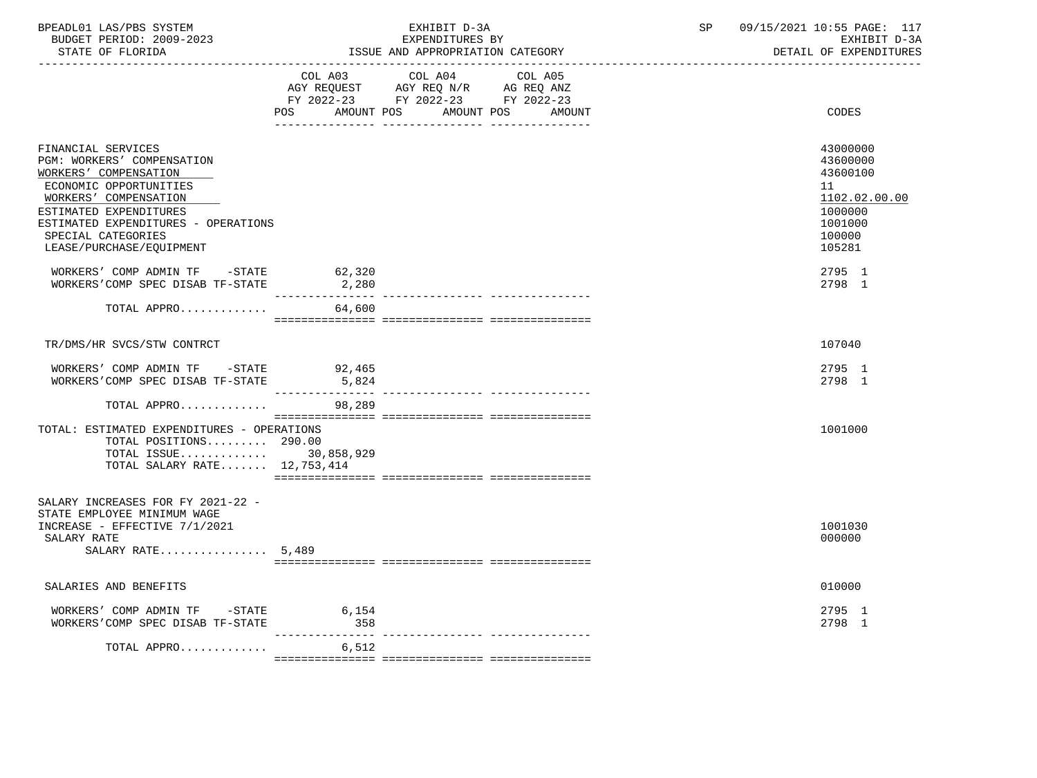| BPEADL01 LAS/PBS SYSTEM  | EXHIBIT D-3A                     | 09/15/2021 10:55 PAGE:<br>117 |
|--------------------------|----------------------------------|-------------------------------|
| BUDGET PERIOD: 2009-2023 | EXPENDITURES BY                  | EXHIBIT D-3A                  |
| STATE OF FLORIDA         | ISSUE AND APPROPRIATION CATEGORY | DETAIL OF EXPENDITURES        |

| STATE OF FLORIDA                                                                                                                                                                                                                                | ISSUE AND APPROPRIATION CATEGORY<br>_____________________ | DETAIL OF EXPENDITURES                                                                    |                                         |                                                                                                   |
|-------------------------------------------------------------------------------------------------------------------------------------------------------------------------------------------------------------------------------------------------|-----------------------------------------------------------|-------------------------------------------------------------------------------------------|-----------------------------------------|---------------------------------------------------------------------------------------------------|
|                                                                                                                                                                                                                                                 | POS                                                       | COL A03 COL A04<br>AGY REQUEST AGY REQ N/R AG REQ ANZ<br>FY 2022-23 FY 2022-23 FY 2022-23 | COL A05<br>AMOUNT POS AMOUNT POS AMOUNT | CODES                                                                                             |
|                                                                                                                                                                                                                                                 |                                                           |                                                                                           |                                         |                                                                                                   |
| FINANCIAL SERVICES<br>PGM: WORKERS' COMPENSATION<br>WORKERS' COMPENSATION<br>ECONOMIC OPPORTUNITIES<br>WORKERS' COMPENSATION<br>ESTIMATED EXPENDITURES<br>ESTIMATED EXPENDITURES - OPERATIONS<br>SPECIAL CATEGORIES<br>LEASE/PURCHASE/EQUIPMENT |                                                           |                                                                                           |                                         | 43000000<br>43600000<br>43600100<br>11<br>1102.02.00.00<br>1000000<br>1001000<br>100000<br>105281 |
| WORKERS' COMP ADMIN TF -STATE<br>WORKERS'COMP SPEC DISAB TF-STATE                                                                                                                                                                               | 62,320<br>2,280                                           |                                                                                           |                                         | 2795 1<br>2798 1                                                                                  |
| TOTAL APPRO                                                                                                                                                                                                                                     | 64,600                                                    |                                                                                           |                                         |                                                                                                   |
| TR/DMS/HR SVCS/STW CONTRCT                                                                                                                                                                                                                      |                                                           |                                                                                           |                                         | 107040                                                                                            |
| WORKERS' COMP ADMIN TF -STATE 92,465<br>WORKERS'COMP SPEC DISAB TF-STATE                                                                                                                                                                        | 5,824                                                     |                                                                                           |                                         | 2795 1<br>2798 1                                                                                  |
| TOTAL APPRO                                                                                                                                                                                                                                     | 98,289                                                    |                                                                                           |                                         |                                                                                                   |
| TOTAL: ESTIMATED EXPENDITURES - OPERATIONS<br>TOTAL POSITIONS 290.00<br>TOTAL ISSUE 30,858,929<br>TOTAL SALARY RATE 12,753,414                                                                                                                  |                                                           |                                                                                           |                                         | 1001000                                                                                           |
| SALARY INCREASES FOR FY 2021-22 -<br>STATE EMPLOYEE MINIMUM WAGE<br>INCREASE - EFFECTIVE 7/1/2021<br>SALARY RATE<br>SALARY RATE $5,489$                                                                                                         |                                                           |                                                                                           |                                         | 1001030<br>000000                                                                                 |
| SALARIES AND BENEFITS                                                                                                                                                                                                                           |                                                           |                                                                                           |                                         | 010000                                                                                            |
| WORKERS' COMP ADMIN TF -STATE 6,154<br>WORKERS'COMP SPEC DISAB TF-STATE                                                                                                                                                                         | 358<br>________________                                   |                                                                                           |                                         | 2795 1<br>2798 1                                                                                  |
| TOTAL APPRO $6,512$                                                                                                                                                                                                                             |                                                           |                                                                                           |                                         |                                                                                                   |
|                                                                                                                                                                                                                                                 |                                                           |                                                                                           |                                         |                                                                                                   |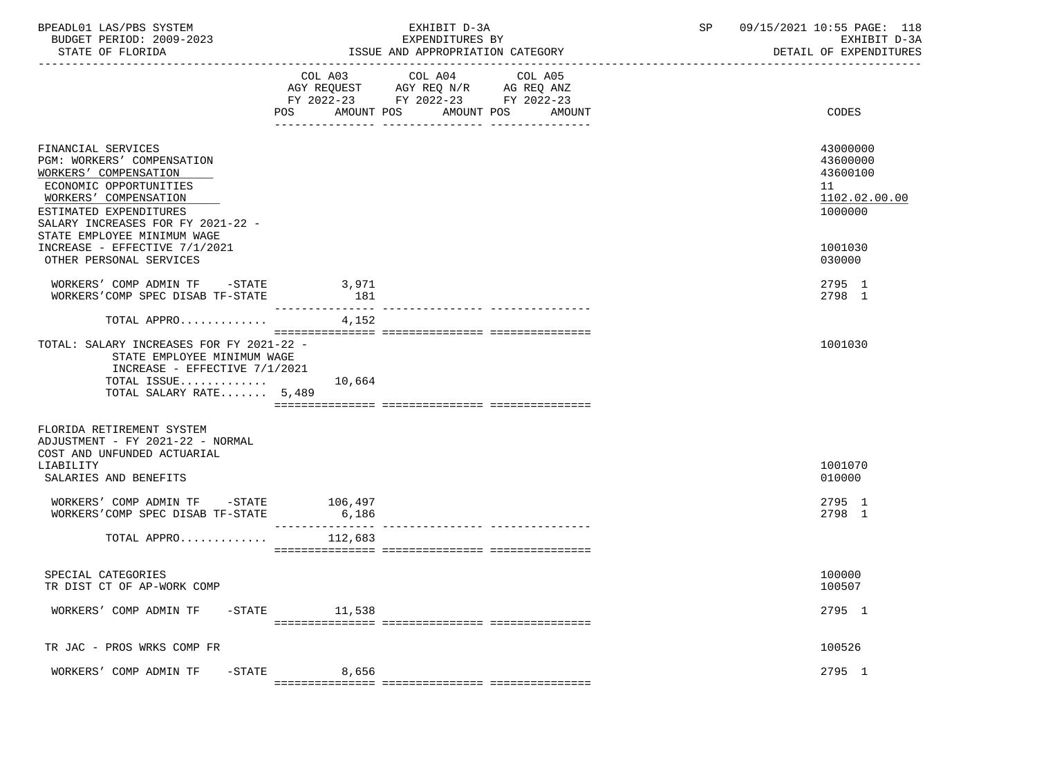| BPEADL01 LAS/PBS SYSTEM<br>BUDGET PERIOD: 2009-2023<br>STATE OF FLORIDA                                                                                                                     |                | EXHIBIT D-3A<br>EXPENDITURES BY<br>ISSUE AND APPROPRIATION CATEGORY                                                       | SP 09/15/2021 10:55 PAGE: 118 | EXHIBIT D-3A<br>DETAIL OF EXPENDITURES                             |
|---------------------------------------------------------------------------------------------------------------------------------------------------------------------------------------------|----------------|---------------------------------------------------------------------------------------------------------------------------|-------------------------------|--------------------------------------------------------------------|
|                                                                                                                                                                                             | COL A03<br>POS | COL A04 COL A05<br>AGY REQUEST AGY REQ N/R AG REQ ANZ<br>FY 2022-23 FY 2022-23 FY 2022-23<br>AMOUNT POS AMOUNT POS AMOUNT |                               | CODES                                                              |
|                                                                                                                                                                                             |                |                                                                                                                           |                               |                                                                    |
| FINANCIAL SERVICES<br>PGM: WORKERS' COMPENSATION<br>WORKERS' COMPENSATION<br>ECONOMIC OPPORTUNITIES<br>WORKERS' COMPENSATION<br>ESTIMATED EXPENDITURES<br>SALARY INCREASES FOR FY 2021-22 - |                |                                                                                                                           |                               | 43000000<br>43600000<br>43600100<br>11<br>1102.02.00.00<br>1000000 |
| STATE EMPLOYEE MINIMUM WAGE<br>INCREASE - EFFECTIVE 7/1/2021<br>OTHER PERSONAL SERVICES                                                                                                     |                |                                                                                                                           |                               | 1001030<br>030000                                                  |
| WORKERS' COMP ADMIN TF -STATE 3,971<br>WORKERS'COMP SPEC DISAB TF-STATE                                                                                                                     | 181            |                                                                                                                           |                               | 2795 1<br>2798 1                                                   |
| TOTAL APPRO                                                                                                                                                                                 | 4,152          |                                                                                                                           |                               |                                                                    |
| TOTAL: SALARY INCREASES FOR FY 2021-22 -<br>STATE EMPLOYEE MINIMUM WAGE<br>INCREASE - EFFECTIVE $7/1/2021$<br>TOTAL ISSUE<br>TOTAL SALARY RATE 5,489                                        | 10,664         |                                                                                                                           |                               | 1001030                                                            |
| FLORIDA RETIREMENT SYSTEM<br>ADJUSTMENT - FY 2021-22 - NORMAL<br>COST AND UNFUNDED ACTUARIAL<br>LIABILITY<br>SALARIES AND BENEFITS                                                          |                |                                                                                                                           |                               | 1001070<br>010000                                                  |
| WORKERS' COMP ADMIN TF -STATE 106,497<br>WORKERS'COMP SPEC DISAB TF-STATE                                                                                                                   | 6,186          |                                                                                                                           |                               | 2795 1<br>2798 1                                                   |
| TOTAL APPRO                                                                                                                                                                                 | 112,683        |                                                                                                                           |                               |                                                                    |
| SPECIAL CATEGORIES<br>TR DIST CT OF AP-WORK COMP                                                                                                                                            |                |                                                                                                                           |                               | 100000<br>100507                                                   |
| WORKERS' COMP ADMIN TF<br>$-$ STATE                                                                                                                                                         | 11,538         |                                                                                                                           |                               | 2795 1                                                             |
| TR JAC - PROS WRKS COMP FR                                                                                                                                                                  |                |                                                                                                                           |                               | 100526                                                             |
| WORKERS' COMP ADMIN TF<br>$-$ STATE                                                                                                                                                         | 8,656          |                                                                                                                           |                               | 2795 1                                                             |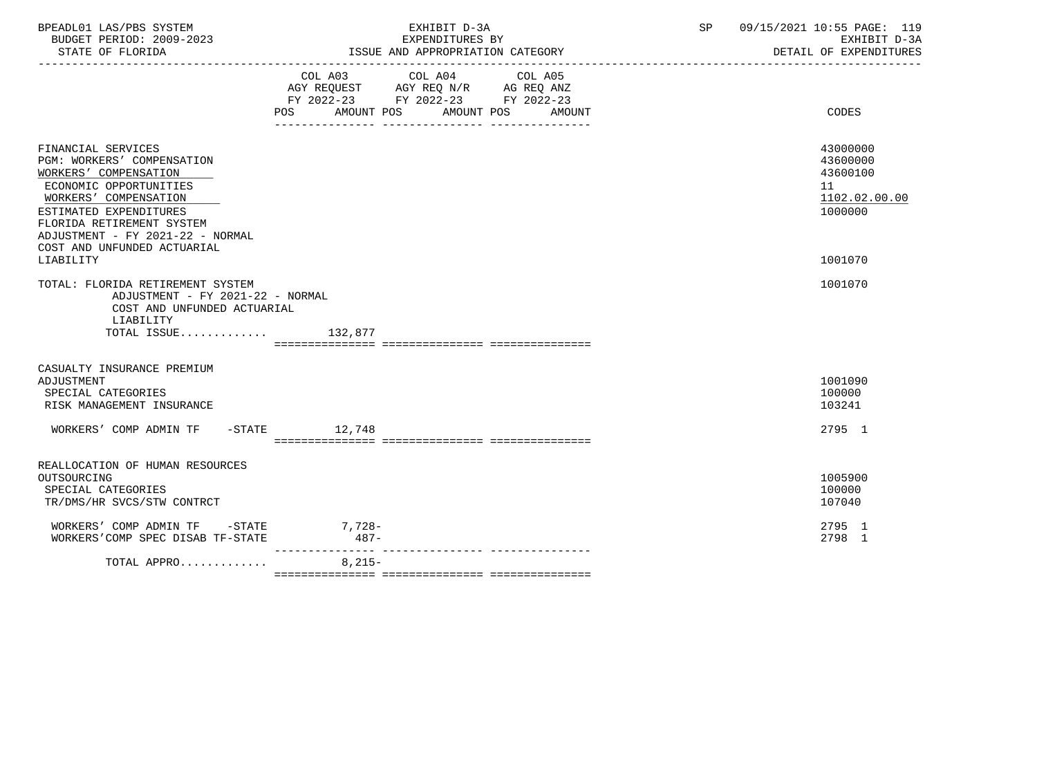| BPEADL01 LAS/PBS SYSTEM |                          |
|-------------------------|--------------------------|
|                         | BUDGET PERIOD: 2009-2023 |
|                         |                          |

|                                                                                                                                                                                                                                                               | COL A03 COL A04 COL A05<br>AGY REQUEST AGY REQ N/R AG REQ ANZ<br>FY 2022-23 FY 2022-23 FY 2022-23<br>POS AMOUNT POS AMOUNT POS<br>AMOUNT | CODES                                                              |
|---------------------------------------------------------------------------------------------------------------------------------------------------------------------------------------------------------------------------------------------------------------|------------------------------------------------------------------------------------------------------------------------------------------|--------------------------------------------------------------------|
| FINANCIAL SERVICES<br><b>PGM: WORKERS' COMPENSATION</b><br>WORKERS' COMPENSATION<br>ECONOMIC OPPORTUNITIES<br>WORKERS' COMPENSATION<br>ESTIMATED EXPENDITURES<br>FLORIDA RETIREMENT SYSTEM<br>ADJUSTMENT - FY 2021-22 - NORMAL<br>COST AND UNFUNDED ACTUARIAL |                                                                                                                                          | 43000000<br>43600000<br>43600100<br>11<br>1102.02.00.00<br>1000000 |
| LIABILITY                                                                                                                                                                                                                                                     |                                                                                                                                          | 1001070                                                            |
| TOTAL: FLORIDA RETIREMENT SYSTEM<br>ADJUSTMENT - FY 2021-22 - NORMAL<br>COST AND UNFUNDED ACTUARIAL                                                                                                                                                           |                                                                                                                                          | 1001070                                                            |
| LIABILITY                                                                                                                                                                                                                                                     |                                                                                                                                          |                                                                    |
| TOTAL ISSUE $132,877$                                                                                                                                                                                                                                         |                                                                                                                                          |                                                                    |
|                                                                                                                                                                                                                                                               |                                                                                                                                          |                                                                    |
|                                                                                                                                                                                                                                                               |                                                                                                                                          |                                                                    |
| CASUALTY INSURANCE PREMIUM<br>ADJUSTMENT<br>SPECIAL CATEGORIES<br>RISK MANAGEMENT INSURANCE                                                                                                                                                                   |                                                                                                                                          | 1001090<br>100000<br>103241                                        |
| WORKERS' COMP ADMIN TF -STATE 12,748                                                                                                                                                                                                                          |                                                                                                                                          | 2795 1                                                             |
|                                                                                                                                                                                                                                                               |                                                                                                                                          |                                                                    |
| REALLOCATION OF HUMAN RESOURCES<br>OUTSOURCING<br>SPECIAL CATEGORIES<br>TR/DMS/HR SVCS/STW CONTRCT                                                                                                                                                            |                                                                                                                                          | 1005900<br>100000<br>107040                                        |
| WORKERS' COMP ADMIN TF -STATE<br>WORKERS'COMP SPEC DISAB TF-STATE                                                                                                                                                                                             | $7,728-$<br>$487-$                                                                                                                       | 2795 1<br>2798 1                                                   |
| TOTAL APPRO                                                                                                                                                                                                                                                   | $8,215-$                                                                                                                                 |                                                                    |
|                                                                                                                                                                                                                                                               |                                                                                                                                          |                                                                    |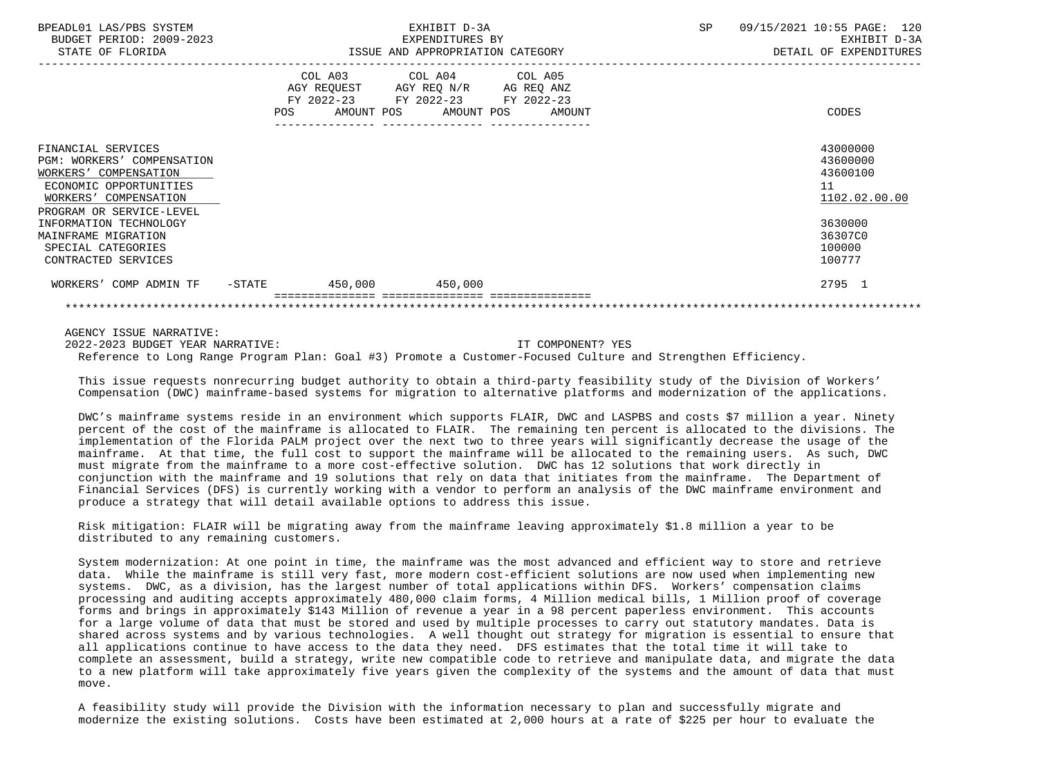| BPEADL01 LAS/PBS SYSTEM<br>BUDGET PERIOD: 2009-2023<br>STATE OF FLORIDA                                                                                         |     | EXHIBIT D-3A<br>EXPENDITURES BY<br>ISSUE AND APPROPRIATION CATEGORY                                                               |  | SP | 09/15/2021 10:55 PAGE: 120<br>EXHIBIT D-3A<br>DETAIL OF EXPENDITURES |  |
|-----------------------------------------------------------------------------------------------------------------------------------------------------------------|-----|-----------------------------------------------------------------------------------------------------------------------------------|--|----|----------------------------------------------------------------------|--|
|                                                                                                                                                                 | POS | COL A03 COL A04 COL A05<br>AGY REQUEST AGY REQ N/R AG REQ ANZ<br>FY 2022-23 FY 2022-23 FY 2022-23<br>AMOUNT POS AMOUNT POS AMOUNT |  |    | CODES                                                                |  |
| FINANCIAL SERVICES<br><b>PGM: WORKERS' COMPENSATION</b><br>WORKERS' COMPENSATION<br>ECONOMIC OPPORTUNITIES<br>WORKERS' COMPENSATION<br>PROGRAM OR SERVICE-LEVEL |     |                                                                                                                                   |  |    | 43000000<br>43600000<br>43600100<br>11<br>1102.02.00.00              |  |
| INFORMATION TECHNOLOGY<br>MAINFRAME MIGRATION<br>SPECIAL CATEGORIES<br>CONTRACTED SERVICES                                                                      |     |                                                                                                                                   |  |    | 3630000<br>36307C0<br>100000<br>100777                               |  |
| WORKERS' COMP ADMIN TF -STATE                                                                                                                                   |     | 450,000 450,000                                                                                                                   |  |    | 2795 1                                                               |  |
|                                                                                                                                                                 |     |                                                                                                                                   |  |    |                                                                      |  |

AGENCY ISSUE NARRATIVE:

 2022-2023 BUDGET YEAR NARRATIVE: IT COMPONENT? YES Reference to Long Range Program Plan: Goal #3) Promote a Customer-Focused Culture and Strengthen Efficiency.

 This issue requests nonrecurring budget authority to obtain a third-party feasibility study of the Division of Workers' Compensation (DWC) mainframe-based systems for migration to alternative platforms and modernization of the applications.

 DWC's mainframe systems reside in an environment which supports FLAIR, DWC and LASPBS and costs \$7 million a year. Ninety percent of the cost of the mainframe is allocated to FLAIR. The remaining ten percent is allocated to the divisions. The implementation of the Florida PALM project over the next two to three years will significantly decrease the usage of the mainframe. At that time, the full cost to support the mainframe will be allocated to the remaining users. As such, DWC must migrate from the mainframe to a more cost-effective solution. DWC has 12 solutions that work directly in conjunction with the mainframe and 19 solutions that rely on data that initiates from the mainframe. The Department of Financial Services (DFS) is currently working with a vendor to perform an analysis of the DWC mainframe environment and produce a strategy that will detail available options to address this issue.

 Risk mitigation: FLAIR will be migrating away from the mainframe leaving approximately \$1.8 million a year to be distributed to any remaining customers.

 System modernization: At one point in time, the mainframe was the most advanced and efficient way to store and retrieve data. While the mainframe is still very fast, more modern cost-efficient solutions are now used when implementing new systems. DWC, as a division, has the largest number of total applications within DFS. Workers' compensation claims processing and auditing accepts approximately 480,000 claim forms, 4 Million medical bills, 1 Million proof of coverage forms and brings in approximately \$143 Million of revenue a year in a 98 percent paperless environment. This accounts for a large volume of data that must be stored and used by multiple processes to carry out statutory mandates. Data is shared across systems and by various technologies. A well thought out strategy for migration is essential to ensure that all applications continue to have access to the data they need. DFS estimates that the total time it will take to complete an assessment, build a strategy, write new compatible code to retrieve and manipulate data, and migrate the data to a new platform will take approximately five years given the complexity of the systems and the amount of data that must move.

 A feasibility study will provide the Division with the information necessary to plan and successfully migrate and modernize the existing solutions. Costs have been estimated at 2,000 hours at a rate of \$225 per hour to evaluate the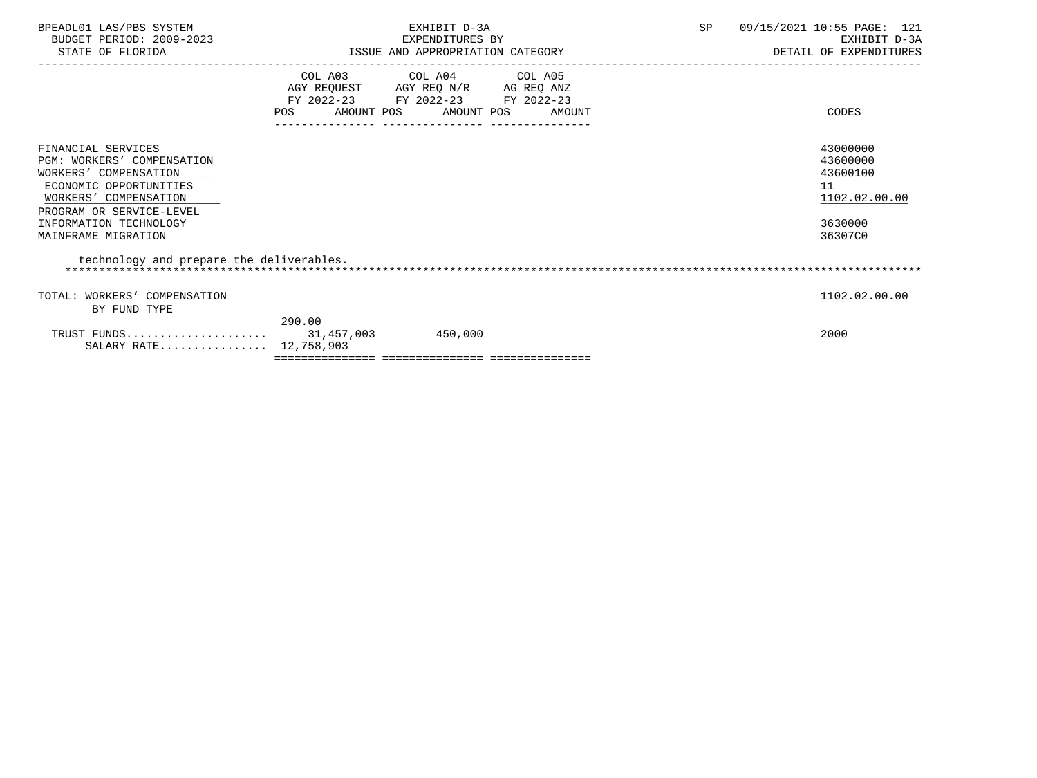| BPEADL01 LAS/PBS SYSTEM<br>BUDGET PERIOD: 2009-2023<br>STATE OF FLORIDA                                                                                                                                          |        | EXHIBIT D-3A<br>EXPENDITURES BY<br>ISSUE AND APPROPRIATION CATEGORY                                                        |        | SP. | 09/15/2021 10:55 PAGE: 121<br>EXHIBIT D-3A<br>DETAIL OF EXPENDITURES          |
|------------------------------------------------------------------------------------------------------------------------------------------------------------------------------------------------------------------|--------|----------------------------------------------------------------------------------------------------------------------------|--------|-----|-------------------------------------------------------------------------------|
|                                                                                                                                                                                                                  | POS    | COL A03 COL A04 COL A05<br>AGY REQUEST AGY REQ N/R AG REQ ANZ<br>FY 2022-23 FY 2022-23 FY 2022-23<br>AMOUNT POS AMOUNT POS | AMOUNT |     | CODES                                                                         |
| FINANCIAL SERVICES<br><b>PGM: WORKERS' COMPENSATION</b><br>WORKERS' COMPENSATION<br>ECONOMIC OPPORTUNITIES<br>WORKERS' COMPENSATION<br>PROGRAM OR SERVICE-LEVEL<br>INFORMATION TECHNOLOGY<br>MAINFRAME MIGRATION |        |                                                                                                                            |        |     | 43000000<br>43600000<br>43600100<br>11<br>1102.02.00.00<br>3630000<br>36307C0 |
| technology and prepare the deliverables.                                                                                                                                                                         |        |                                                                                                                            |        |     |                                                                               |
| TOTAL: WORKERS' COMPENSATION<br>BY FUND TYPE                                                                                                                                                                     |        |                                                                                                                            |        |     | 1102.02.00.00                                                                 |
| SALARY RATE 12,758,903                                                                                                                                                                                           | 290.00 | 450,000                                                                                                                    |        |     | 2000                                                                          |
|                                                                                                                                                                                                                  |        |                                                                                                                            |        |     |                                                                               |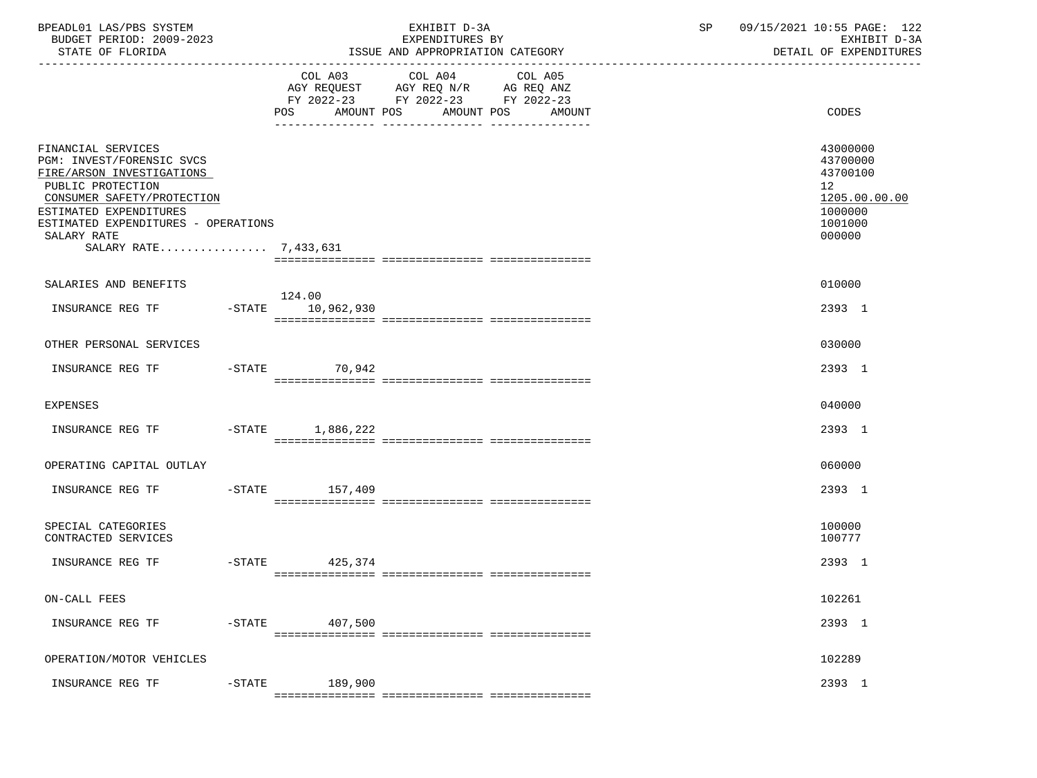| BPEADL01 LAS/PBS SYSTEM<br>BUDGET PERIOD: 2009-2023<br>STATE OF FLORIDA                                                                                                                                                                  |           |                             | EXHIBIT D-3A<br>EXPENDITURES BY<br>ISSUE AND APPROPRIATION CATEGORY                                                                   | SP | 09/15/2021 10:55 PAGE: 122<br>EXHIBIT D-3A<br>DETAIL OF EXPENDITURES                                 |
|------------------------------------------------------------------------------------------------------------------------------------------------------------------------------------------------------------------------------------------|-----------|-----------------------------|---------------------------------------------------------------------------------------------------------------------------------------|----|------------------------------------------------------------------------------------------------------|
|                                                                                                                                                                                                                                          |           |                             | COL A03 COL A04 COL A05<br>AGY REQUEST AGY REQ N/R AG REQ ANZ<br>FY 2022-23 FY 2022-23 FY 2022-23<br>POS AMOUNT POS AMOUNT POS AMOUNT |    | CODES                                                                                                |
| FINANCIAL SERVICES<br>PGM: INVEST/FORENSIC SVCS<br>FIRE/ARSON INVESTIGATIONS<br>PUBLIC PROTECTION<br>CONSUMER SAFETY/PROTECTION<br>ESTIMATED EXPENDITURES<br>ESTIMATED EXPENDITURES - OPERATIONS<br>SALARY RATE<br>SALARY RATE 7,433,631 |           |                             |                                                                                                                                       |    | 43000000<br>43700000<br>43700100<br>12 <sup>°</sup><br>1205.00.00.00<br>1000000<br>1001000<br>000000 |
| SALARIES AND BENEFITS                                                                                                                                                                                                                    |           |                             |                                                                                                                                       |    | 010000                                                                                               |
| INSURANCE REG TF                                                                                                                                                                                                                         |           | 124.00<br>-STATE 10,962,930 |                                                                                                                                       |    | 2393 1                                                                                               |
| OTHER PERSONAL SERVICES                                                                                                                                                                                                                  |           |                             |                                                                                                                                       |    | 030000                                                                                               |
|                                                                                                                                                                                                                                          |           |                             |                                                                                                                                       |    | 2393 1                                                                                               |
| <b>EXPENSES</b>                                                                                                                                                                                                                          |           |                             |                                                                                                                                       |    | 040000                                                                                               |
| INSURANCE REG TF -STATE 1,886,222                                                                                                                                                                                                        |           |                             |                                                                                                                                       |    | 2393 1                                                                                               |
| OPERATING CAPITAL OUTLAY                                                                                                                                                                                                                 |           |                             |                                                                                                                                       |    | 060000                                                                                               |
| INSURANCE REG TF -STATE 157,409                                                                                                                                                                                                          |           |                             |                                                                                                                                       |    | 2393 1                                                                                               |
| SPECIAL CATEGORIES<br>CONTRACTED SERVICES                                                                                                                                                                                                |           |                             |                                                                                                                                       |    | 100000<br>100777                                                                                     |
| INSURANCE REG TF                                                                                                                                                                                                                         |           | $-$ STATE 425, 374          |                                                                                                                                       |    | 2393 1                                                                                               |
| ON-CALL FEES                                                                                                                                                                                                                             |           |                             |                                                                                                                                       |    | 102261                                                                                               |
| INSURANCE REG TF                                                                                                                                                                                                                         | $-$ STATE | 407,500                     |                                                                                                                                       |    | 2393 1                                                                                               |
| OPERATION/MOTOR VEHICLES                                                                                                                                                                                                                 |           |                             |                                                                                                                                       |    | 102289                                                                                               |
| INSURANCE REG TF                                                                                                                                                                                                                         | $-$ STATE | 189,900                     |                                                                                                                                       |    | 2393 1                                                                                               |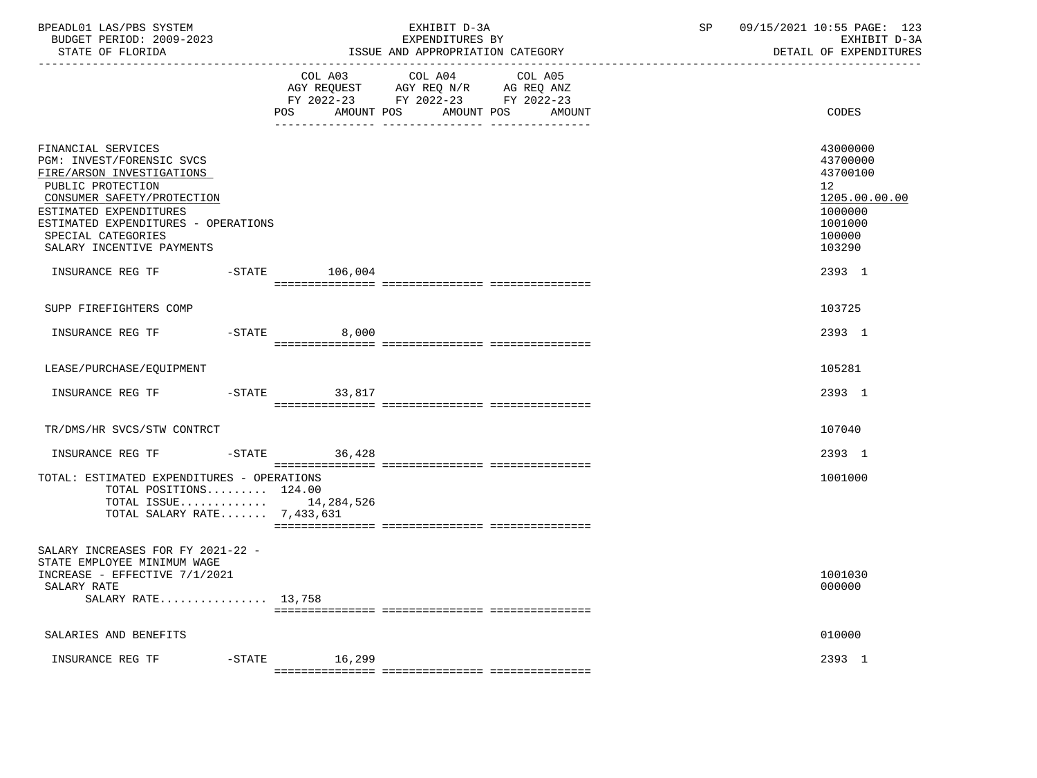| BPEADL01 LAS/PBS SYSTEM<br>BUDGET PERIOD: 2009-2023<br>STATE OF FLORIDA                                                                                                                                                                             |                     | EXHIBIT D-3A<br>EXPENDITURES BY<br>ISSUE AND APPROPRIATION CATEGORY                                                                     | SP 09/15/2021 10:55 PAGE: 123<br>EXHIBIT D-3A<br>DETAIL OF EXPENDITURES                           |
|-----------------------------------------------------------------------------------------------------------------------------------------------------------------------------------------------------------------------------------------------------|---------------------|-----------------------------------------------------------------------------------------------------------------------------------------|---------------------------------------------------------------------------------------------------|
|                                                                                                                                                                                                                                                     | POS                 | COL A03 COL A04 COL A05<br>AGY REQUEST AGY REQ N/R AG REQ ANZ<br>FY 2022-23 FY 2022-23 FY 2022-23<br>AMOUNT POS<br>AMOUNT POS<br>AMOUNT | CODES                                                                                             |
| FINANCIAL SERVICES<br>PGM: INVEST/FORENSIC SVCS<br>FIRE/ARSON INVESTIGATIONS<br>PUBLIC PROTECTION<br>CONSUMER SAFETY/PROTECTION<br>ESTIMATED EXPENDITURES<br>ESTIMATED EXPENDITURES - OPERATIONS<br>SPECIAL CATEGORIES<br>SALARY INCENTIVE PAYMENTS |                     |                                                                                                                                         | 43000000<br>43700000<br>43700100<br>12<br>1205.00.00.00<br>1000000<br>1001000<br>100000<br>103290 |
| INSURANCE REG TF                                                                                                                                                                                                                                    | $-STATE$ 106,004    |                                                                                                                                         | 2393 1                                                                                            |
| SUPP FIREFIGHTERS COMP                                                                                                                                                                                                                              |                     |                                                                                                                                         | 103725                                                                                            |
| INSURANCE REG TF                                                                                                                                                                                                                                    | $-$ STATE<br>8,000  |                                                                                                                                         | 2393 1                                                                                            |
| LEASE/PURCHASE/EOUIPMENT                                                                                                                                                                                                                            |                     |                                                                                                                                         | 105281                                                                                            |
| INSURANCE REG TF                                                                                                                                                                                                                                    | -STATE 33,817       |                                                                                                                                         | 2393 1                                                                                            |
| TR/DMS/HR SVCS/STW CONTRCT                                                                                                                                                                                                                          |                     |                                                                                                                                         | 107040                                                                                            |
| INSURANCE REG TF                                                                                                                                                                                                                                    | $-STATE$ 36,428     |                                                                                                                                         | 2393 1                                                                                            |
| TOTAL: ESTIMATED EXPENDITURES - OPERATIONS<br>TOTAL POSITIONS 124.00<br>TOTAL ISSUE 14,284,526<br>TOTAL SALARY RATE 7,433,631                                                                                                                       |                     |                                                                                                                                         | 1001000                                                                                           |
| SALARY INCREASES FOR FY 2021-22 -<br>STATE EMPLOYEE MINIMUM WAGE<br>INCREASE - EFFECTIVE 7/1/2021<br>SALARY RATE<br>SALARY RATE 13,758                                                                                                              |                     |                                                                                                                                         | 1001030<br>000000                                                                                 |
| SALARIES AND BENEFITS                                                                                                                                                                                                                               |                     |                                                                                                                                         | 010000                                                                                            |
| INSURANCE REG TF                                                                                                                                                                                                                                    | $-$ STATE<br>16,299 |                                                                                                                                         | 2393 1                                                                                            |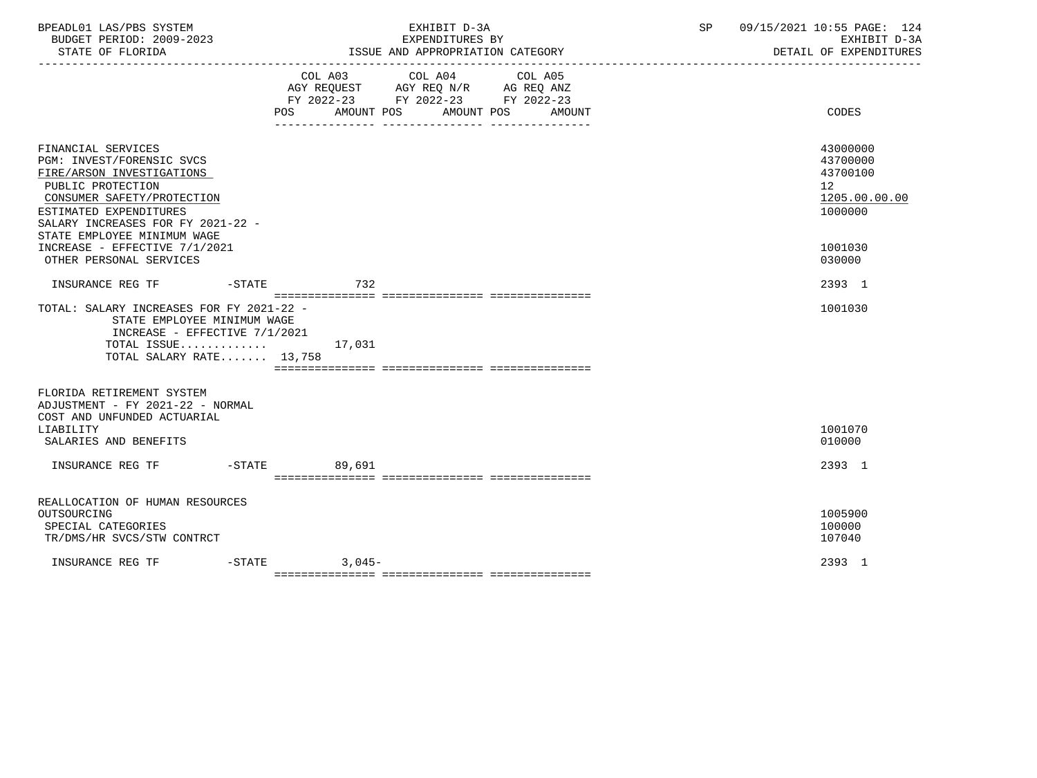| BPEADL01 LAS/PBS SYSTEM<br>BUDGET PERIOD: 2009-2023<br>STATE OF FLORIDA                                                                                                                                                                                        | EXHIBIT D-3A<br>EXPENDITURES BY<br>ISSUE AND APPROPRIATION CATEGORY                                                                         | 09/15/2021 10:55 PAGE: 124<br>SP<br>EXHIBIT D-3A<br>DETAIL OF EXPENDITURES    |
|----------------------------------------------------------------------------------------------------------------------------------------------------------------------------------------------------------------------------------------------------------------|---------------------------------------------------------------------------------------------------------------------------------------------|-------------------------------------------------------------------------------|
|                                                                                                                                                                                                                                                                | COL A03 COL A04 COL A05<br>AGY REQUEST AGY REQ N/R AG REQ ANZ FY 2022-23 FY 2022-23 FY 2022-23<br>POS<br>AMOUNT POS<br>AMOUNT POS<br>AMOUNT | CODES                                                                         |
| FINANCIAL SERVICES<br>PGM: INVEST/FORENSIC SVCS<br>FIRE/ARSON INVESTIGATIONS<br>PUBLIC PROTECTION<br>CONSUMER SAFETY/PROTECTION<br>ESTIMATED EXPENDITURES<br>SALARY INCREASES FOR FY 2021-22 -<br>STATE EMPLOYEE MINIMUM WAGE<br>INCREASE - EFFECTIVE 7/1/2021 |                                                                                                                                             | 43000000<br>43700000<br>43700100<br>12<br>1205.00.00.00<br>1000000<br>1001030 |
| OTHER PERSONAL SERVICES                                                                                                                                                                                                                                        |                                                                                                                                             | 030000<br>2393 1                                                              |
| TOTAL: SALARY INCREASES FOR FY 2021-22 -<br>STATE EMPLOYEE MINIMUM WAGE<br>INCREASE - EFFECTIVE $7/1/2021$<br>TOTAL ISSUE<br>TOTAL SALARY RATE 13,758                                                                                                          | 17,031                                                                                                                                      | 1001030                                                                       |
| FLORIDA RETIREMENT SYSTEM<br>ADJUSTMENT - FY 2021-22 - NORMAL<br>COST AND UNFUNDED ACTUARIAL<br>LIABILITY<br>SALARIES AND BENEFITS                                                                                                                             |                                                                                                                                             | 1001070<br>010000                                                             |
| INSURANCE REG TF    -STATE                                                                                                                                                                                                                                     | 89,691                                                                                                                                      | 2393 1                                                                        |
| REALLOCATION OF HUMAN RESOURCES<br>OUTSOURCING<br>SPECIAL CATEGORIES<br>TR/DMS/HR SVCS/STW CONTRCT                                                                                                                                                             |                                                                                                                                             | 1005900<br>100000<br>107040                                                   |
| INSURANCE REG TF<br>-STATE                                                                                                                                                                                                                                     | $3,045-$                                                                                                                                    | 2393 1                                                                        |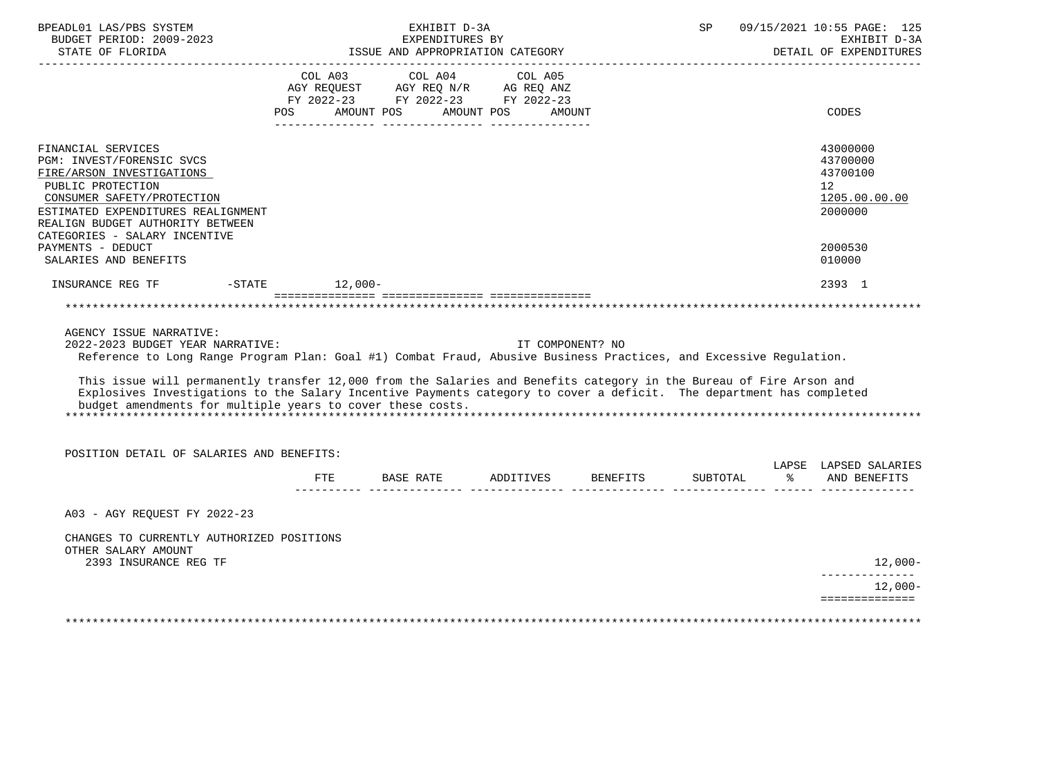| BPEADL01 LAS/PBS SYSTEM<br>BUDGET PERIOD: 2009-2023<br>STATE OF FLORIDA                                                                                                                                                                                                                                   |                | EXHIBIT D-3A<br>EXPENDITURES BY<br>ISSUE AND APPROPRIATION CATEGORY |                   |                  | SP |               | 09/15/2021 10:55 PAGE: 125<br>EXHIBIT D-3A<br>DETAIL OF EXPENDITURES |
|-----------------------------------------------------------------------------------------------------------------------------------------------------------------------------------------------------------------------------------------------------------------------------------------------------------|----------------|---------------------------------------------------------------------|-------------------|------------------|----|---------------|----------------------------------------------------------------------|
|                                                                                                                                                                                                                                                                                                           |                | COL A03 COL A04 COL A05<br>AGY REQUEST AGY REQ N/R AG REQ ANZ       |                   |                  |    |               |                                                                      |
|                                                                                                                                                                                                                                                                                                           | POS AMOUNT POS | FY 2022-23 FY 2022-23 FY 2022-23                                    | AMOUNT POS AMOUNT |                  |    |               | CODES                                                                |
| FINANCIAL SERVICES<br>PGM: INVEST/FORENSIC SVCS<br>FIRE/ARSON INVESTIGATIONS                                                                                                                                                                                                                              |                |                                                                     |                   |                  |    |               | 43000000<br>43700000<br>43700100                                     |
| PUBLIC PROTECTION<br>CONSUMER SAFETY/PROTECTION<br>ESTIMATED EXPENDITURES REALIGNMENT                                                                                                                                                                                                                     |                |                                                                     |                   |                  |    |               | 12 <sup>°</sup><br>1205.00.00.00<br>2000000                          |
| REALIGN BUDGET AUTHORITY BETWEEN<br>CATEGORIES - SALARY INCENTIVE<br>PAYMENTS - DEDUCT                                                                                                                                                                                                                    |                |                                                                     |                   |                  |    |               | 2000530                                                              |
| SALARIES AND BENEFITS<br>INSURANCE REG TF                                                                                                                                                                                                                                                                 | -STATE 12,000- |                                                                     |                   |                  |    |               | 010000<br>2393 1                                                     |
|                                                                                                                                                                                                                                                                                                           |                |                                                                     |                   |                  |    |               |                                                                      |
| AGENCY ISSUE NARRATIVE:<br>2022-2023 BUDGET YEAR NARRATIVE:<br>Reference to Long Range Program Plan: Goal #1) Combat Fraud, Abusive Business Practices, and Excessive Regulation.                                                                                                                         |                |                                                                     |                   | IT COMPONENT? NO |    |               |                                                                      |
| This issue will permanently transfer 12,000 from the Salaries and Benefits category in the Bureau of Fire Arson and<br>Explosives Investigations to the Salary Incentive Payments category to cover a deficit. The department has completed<br>budget amendments for multiple years to cover these costs. |                |                                                                     |                   |                  |    |               |                                                                      |
| POSITION DETAIL OF SALARIES AND BENEFITS:                                                                                                                                                                                                                                                                 |                |                                                                     |                   |                  |    |               |                                                                      |
|                                                                                                                                                                                                                                                                                                           | FTE            | BASE RATE ADDITIVES BENEFITS SUBTOTAL                               |                   |                  |    | $\frac{1}{6}$ | LAPSE LAPSED SALARIES<br>AND BENEFITS                                |
| A03 - AGY REOUEST FY 2022-23                                                                                                                                                                                                                                                                              |                |                                                                     |                   |                  |    |               |                                                                      |
| CHANGES TO CURRENTLY AUTHORIZED POSITIONS<br>OTHER SALARY AMOUNT<br>2393 INSURANCE REG TF                                                                                                                                                                                                                 |                |                                                                     |                   |                  |    |               | 12,000-                                                              |
|                                                                                                                                                                                                                                                                                                           |                |                                                                     |                   |                  |    |               | --------------<br>12,000-<br>==============                          |
|                                                                                                                                                                                                                                                                                                           |                |                                                                     |                   |                  |    |               |                                                                      |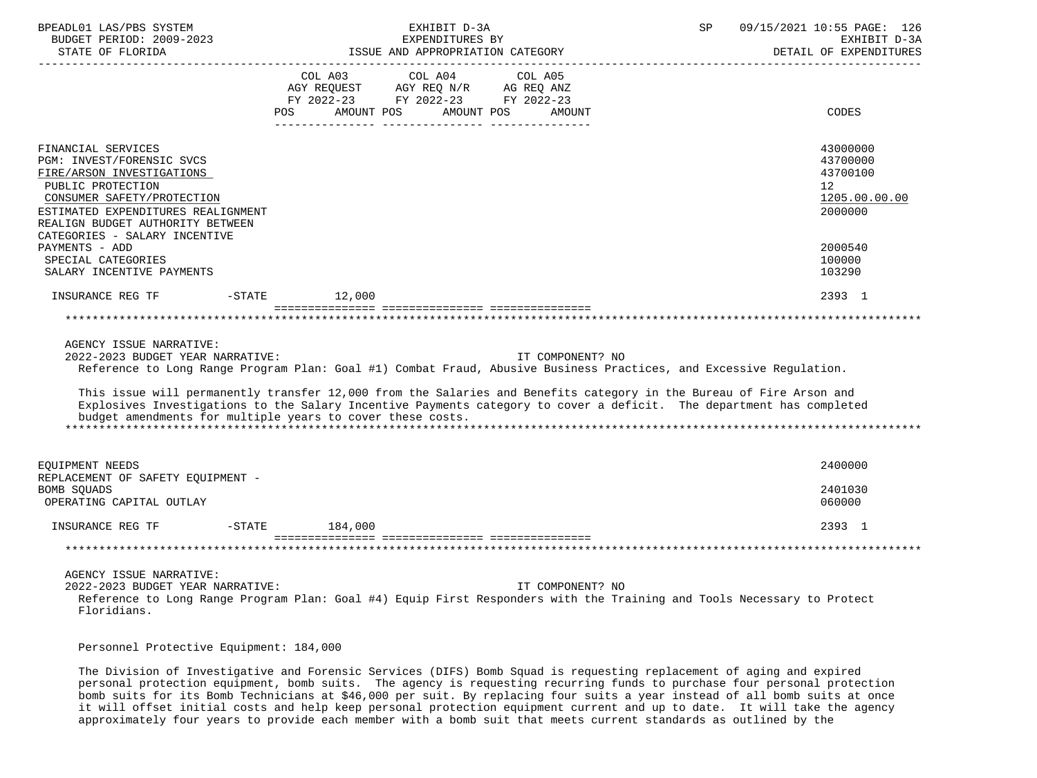| BPEADL01 LAS/PBS SYSTEM<br>BUDGET PERIOD: 2009-2023<br>STATE OF FLORIDA                                                                                                                                                                    | EXHIBIT D-3A<br>EXPENDITURES BY<br>ISSUE AND APPROPRIATION CATEGORY                                                                                                                                                                                                                                                                                                                                                                                 | 09/15/2021 10:55 PAGE: 126<br>$\mathop{\rm SP}$<br>EXHIBIT D-3A<br>DETAIL OF EXPENDITURES |
|--------------------------------------------------------------------------------------------------------------------------------------------------------------------------------------------------------------------------------------------|-----------------------------------------------------------------------------------------------------------------------------------------------------------------------------------------------------------------------------------------------------------------------------------------------------------------------------------------------------------------------------------------------------------------------------------------------------|-------------------------------------------------------------------------------------------|
|                                                                                                                                                                                                                                            | COL A03 COL A04 COL A05<br>AGY REQUEST AGY REQ N/R AG REQ ANZ<br>FY 2022-23 FY 2022-23 FY 2022-23<br>POS AMOUNT POS<br>AMOUNT POS AMOUNT                                                                                                                                                                                                                                                                                                            | CODES                                                                                     |
| FINANCIAL SERVICES<br>PGM: INVEST/FORENSIC SVCS<br>FIRE/ARSON INVESTIGATIONS<br>PUBLIC PROTECTION<br>CONSUMER SAFETY/PROTECTION<br>ESTIMATED EXPENDITURES REALIGNMENT<br>REALIGN BUDGET AUTHORITY BETWEEN<br>CATEGORIES - SALARY INCENTIVE |                                                                                                                                                                                                                                                                                                                                                                                                                                                     | 43000000<br>43700000<br>43700100<br>12 <sup>°</sup><br>1205.00.00.00<br>2000000           |
| PAYMENTS - ADD<br>SPECIAL CATEGORIES<br>SALARY INCENTIVE PAYMENTS                                                                                                                                                                          |                                                                                                                                                                                                                                                                                                                                                                                                                                                     | 2000540<br>100000<br>103290                                                               |
| INSURANCE REG TF    -STATE    12,000                                                                                                                                                                                                       |                                                                                                                                                                                                                                                                                                                                                                                                                                                     | 2393 1                                                                                    |
| AGENCY ISSUE NARRATIVE:<br>2022-2023 BUDGET YEAR NARRATIVE:                                                                                                                                                                                | IT COMPONENT? NO<br>Reference to Long Range Program Plan: Goal #1) Combat Fraud, Abusive Business Practices, and Excessive Regulation.<br>This issue will permanently transfer 12,000 from the Salaries and Benefits category in the Bureau of Fire Arson and<br>Explosives Investigations to the Salary Incentive Payments category to cover a deficit. The department has completed<br>budget amendments for multiple years to cover these costs. |                                                                                           |
| EOUIPMENT NEEDS<br>REPLACEMENT OF SAFETY EOUIPMENT -                                                                                                                                                                                       |                                                                                                                                                                                                                                                                                                                                                                                                                                                     | 2400000                                                                                   |
| BOMB SOUADS<br>OPERATING CAPITAL OUTLAY                                                                                                                                                                                                    |                                                                                                                                                                                                                                                                                                                                                                                                                                                     | 2401030<br>060000                                                                         |
| INSURANCE REG TF                                                                                                                                                                                                                           | -STATE 184,000                                                                                                                                                                                                                                                                                                                                                                                                                                      | 2393 1                                                                                    |
|                                                                                                                                                                                                                                            |                                                                                                                                                                                                                                                                                                                                                                                                                                                     |                                                                                           |
| AGENCY ISSUE NARRATIVE:<br>2022-2023 BUDGET YEAR NARRATIVE:<br>Floridians.                                                                                                                                                                 | IT COMPONENT? NO<br>Reference to Long Range Program Plan: Goal #4) Equip First Responders with the Training and Tools Necessary to Protect                                                                                                                                                                                                                                                                                                          |                                                                                           |

Personnel Protective Equipment: 184,000

 The Division of Investigative and Forensic Services (DIFS) Bomb Squad is requesting replacement of aging and expired personal protection equipment, bomb suits. The agency is requesting recurring funds to purchase four personal protection bomb suits for its Bomb Technicians at \$46,000 per suit. By replacing four suits a year instead of all bomb suits at once it will offset initial costs and help keep personal protection equipment current and up to date. It will take the agency approximately four years to provide each member with a bomb suit that meets current standards as outlined by the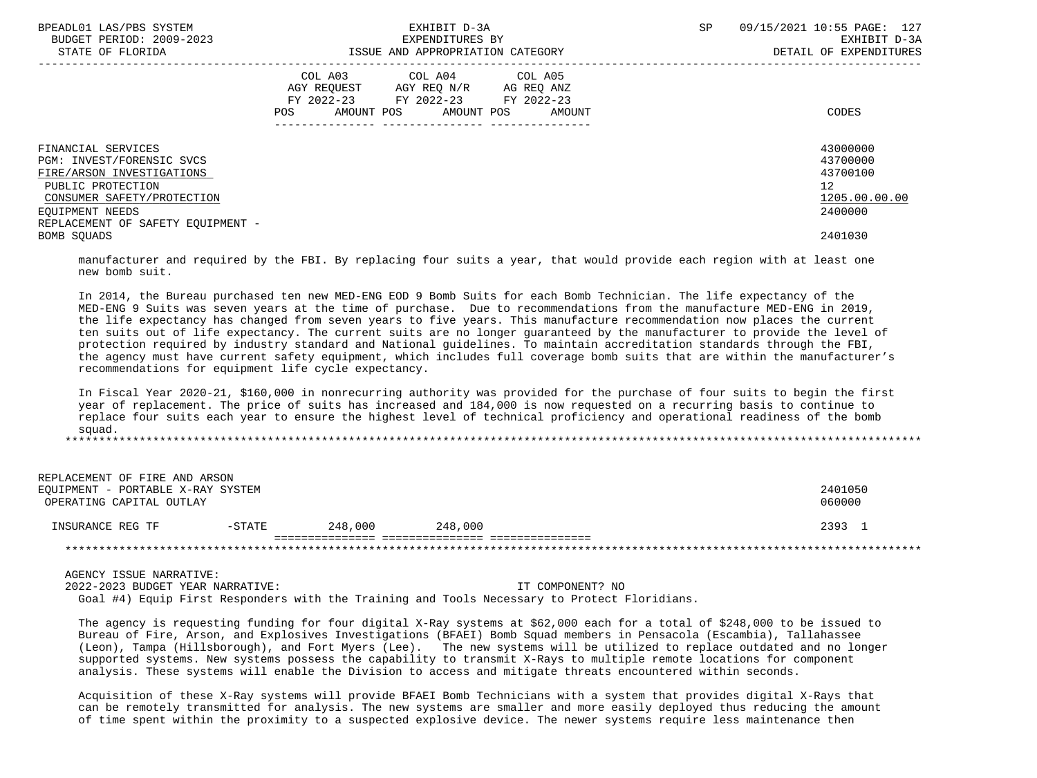| BPEADL01 LAS/PBS SYSTEM<br>BUDGET PERIOD: 2009-2023<br>STATE OF FLORIDA                                                                                                                 | EXHIBIT D-3A<br>EXPENDITURES BY<br>ISSUE AND APPROPRIATION CATEGORY                                                                         | SP<br>09/15/2021 10:55 PAGE: 127<br>EXHIBIT D-3A<br>DETAIL OF EXPENDITURES |
|-----------------------------------------------------------------------------------------------------------------------------------------------------------------------------------------|---------------------------------------------------------------------------------------------------------------------------------------------|----------------------------------------------------------------------------|
|                                                                                                                                                                                         | COL A03 COL A04 COL A05<br>AGY REQUEST AGY REQ N/R AG REQ ANZ<br>FY 2022-23 FY 2022-23 FY 2022-23<br>AMOUNT POS AMOUNT POS<br>POS<br>AMOUNT | CODES                                                                      |
| FINANCIAL SERVICES<br>PGM: INVEST/FORENSIC SVCS<br>FIRE/ARSON INVESTIGATIONS<br>PUBLIC PROTECTION<br>CONSUMER SAFETY/PROTECTION<br>EOUIPMENT NEEDS<br>REPLACEMENT OF SAFETY EOUIPMENT - |                                                                                                                                             | 43000000<br>43700000<br>43700100<br>12<br>1205.00.00.00<br>2400000         |
| BOMB SOUADS                                                                                                                                                                             |                                                                                                                                             | 2401030                                                                    |

 manufacturer and required by the FBI. By replacing four suits a year, that would provide each region with at least one new bomb suit.

 In 2014, the Bureau purchased ten new MED-ENG EOD 9 Bomb Suits for each Bomb Technician. The life expectancy of the MED-ENG 9 Suits was seven years at the time of purchase. Due to recommendations from the manufacture MED-ENG in 2019, the life expectancy has changed from seven years to five years. This manufacture recommendation now places the current ten suits out of life expectancy. The current suits are no longer guaranteed by the manufacturer to provide the level of protection required by industry standard and National guidelines. To maintain accreditation standards through the FBI, the agency must have current safety equipment, which includes full coverage bomb suits that are within the manufacturer's recommendations for equipment life cycle expectancy.

 In Fiscal Year 2020-21, \$160,000 in nonrecurring authority was provided for the purchase of four suits to begin the first year of replacement. The price of suits has increased and 184,000 is now requested on a recurring basis to continue to replace four suits each year to ensure the highest level of technical proficiency and operational readiness of the bomb squad.

\*\*\*\*\*\*\*\*\*\*\*\*\*\*\*\*\*\*\*\*\*\*\*\*\*\*\*\*\*\*\*\*\*\*\*\*\*\*\*\*\*\*\*\*\*\*\*\*\*\*\*\*\*\*\*\*\*\*\*\*\*\*\*\*\*\*\*\*\*\*\*\*\*\*\*\*\*\*\*\*\*\*\*\*\*\*\*\*\*\*\*\*\*\*\*\*\*\*\*\*\*\*\*\*\*\*\*\*\*\*\*\*\*\*\*\*\*\*\*\*\*\*\*\*\*\*\*

| REPLACEMENT OF FIRE AND ARSON     |          |         |         |         |
|-----------------------------------|----------|---------|---------|---------|
| EOUIPMENT - PORTABLE X-RAY SYSTEM |          |         |         | 2401050 |
| OPERATING CAPITAL OUTLAY          |          |         |         | 060000  |
|                                   |          |         |         |         |
| INSURANCE REG TF                  | $-STATE$ | 248,000 | 248,000 | 2393 1  |
|                                   |          |         |         |         |
|                                   |          |         |         |         |

 AGENCY ISSUE NARRATIVE: 2022-2023 BUDGET YEAR NARRATIVE: IT COMPONENT? NO Goal #4) Equip First Responders with the Training and Tools Necessary to Protect Floridians.

 The agency is requesting funding for four digital X-Ray systems at \$62,000 each for a total of \$248,000 to be issued to Bureau of Fire, Arson, and Explosives Investigations (BFAEI) Bomb Squad members in Pensacola (Escambia), Tallahassee (Leon), Tampa (Hillsborough), and Fort Myers (Lee). The new systems will be utilized to replace outdated and no longer supported systems. New systems possess the capability to transmit X-Rays to multiple remote locations for component analysis. These systems will enable the Division to access and mitigate threats encountered within seconds.

 Acquisition of these X-Ray systems will provide BFAEI Bomb Technicians with a system that provides digital X-Rays that can be remotely transmitted for analysis. The new systems are smaller and more easily deployed thus reducing the amount of time spent within the proximity to a suspected explosive device. The newer systems require less maintenance then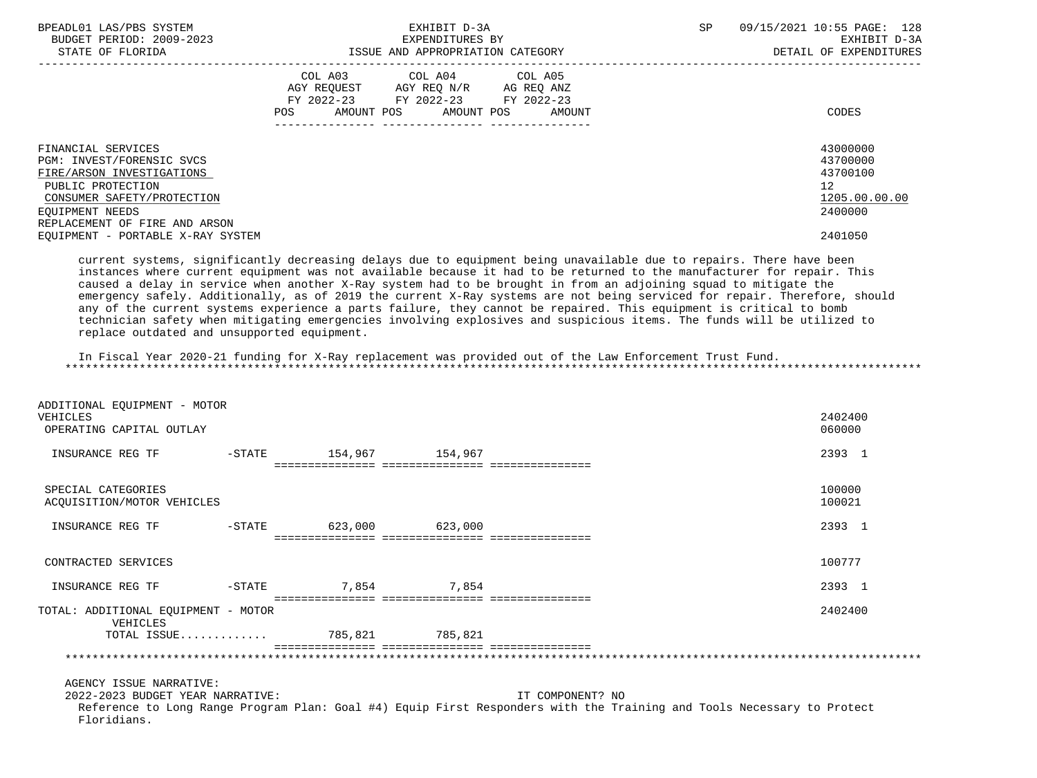| BPEADL01 LAS/PBS SYSTEM<br>BUDGET PERIOD: 2009-2023<br>STATE OF FLORIDA                                                                                                             | EXHIBIT D-3A<br>EXPENDITURES BY<br>ISSUE AND APPROPRIATION CATEGORY                                                                         | 09/15/2021 10:55 PAGE: 128<br>SP<br>EXHIBIT D-3A<br>DETAIL OF EXPENDITURES      |
|-------------------------------------------------------------------------------------------------------------------------------------------------------------------------------------|---------------------------------------------------------------------------------------------------------------------------------------------|---------------------------------------------------------------------------------|
|                                                                                                                                                                                     | COL A03 COL A04 COL A05<br>AGY REOUEST AGY REO N/R AG REO ANZ<br>FY 2022-23 FY 2022-23 FY 2022-23<br>AMOUNT POS AMOUNT POS<br>POS<br>AMOUNT | CODES                                                                           |
| FINANCIAL SERVICES<br>PGM: INVEST/FORENSIC SVCS<br>FIRE/ARSON INVESTIGATIONS<br>PUBLIC PROTECTION<br>CONSUMER SAFETY/PROTECTION<br>EOUIPMENT NEEDS<br>REPLACEMENT OF FIRE AND ARSON |                                                                                                                                             | 43000000<br>43700000<br>43700100<br>12 <sup>°</sup><br>1205.00.00.00<br>2400000 |
| EOUIPMENT - PORTABLE X-RAY SYSTEM                                                                                                                                                   |                                                                                                                                             | 2401050                                                                         |
|                                                                                                                                                                                     |                                                                                                                                             |                                                                                 |

 current systems, significantly decreasing delays due to equipment being unavailable due to repairs. There have been instances where current equipment was not available because it had to be returned to the manufacturer for repair. This caused a delay in service when another X-Ray system had to be brought in from an adjoining squad to mitigate the emergency safely. Additionally, as of 2019 the current X-Ray systems are not being serviced for repair. Therefore, should any of the current systems experience a parts failure, they cannot be repaired. This equipment is critical to bomb technician safety when mitigating emergencies involving explosives and suspicious items. The funds will be utilized to replace outdated and unsupported equipment.

 In Fiscal Year 2020-21 funding for X-Ray replacement was provided out of the Law Enforcement Trust Fund. \*\*\*\*\*\*\*\*\*\*\*\*\*\*\*\*\*\*\*\*\*\*\*\*\*\*\*\*\*\*\*\*\*\*\*\*\*\*\*\*\*\*\*\*\*\*\*\*\*\*\*\*\*\*\*\*\*\*\*\*\*\*\*\*\*\*\*\*\*\*\*\*\*\*\*\*\*\*\*\*\*\*\*\*\*\*\*\*\*\*\*\*\*\*\*\*\*\*\*\*\*\*\*\*\*\*\*\*\*\*\*\*\*\*\*\*\*\*\*\*\*\*\*\*\*\*\*

| ADDITIONAL EQUIPMENT - MOTOR                     |             |                             |         |                                                                                                                        |                   |
|--------------------------------------------------|-------------|-----------------------------|---------|------------------------------------------------------------------------------------------------------------------------|-------------------|
| VEHICLES<br>OPERATING CAPITAL OUTLAY             |             |                             |         |                                                                                                                        | 2402400<br>060000 |
|                                                  |             |                             |         |                                                                                                                        |                   |
| INSURANCE REG TF                                 | $-$ STATE   | 154,967 154,967             |         |                                                                                                                        | 2393 1            |
|                                                  |             |                             |         |                                                                                                                        |                   |
| SPECIAL CATEGORIES<br>ACQUISITION/MOTOR VEHICLES |             |                             |         |                                                                                                                        | 100000<br>100021  |
| INSURANCE REG TF                                 | $-$ STATE   | 623,000                     | 623,000 |                                                                                                                        | 2393 1            |
|                                                  |             |                             |         |                                                                                                                        |                   |
| CONTRACTED SERVICES                              |             |                             |         |                                                                                                                        | 100777            |
| INSURANCE REG TF                                 | $-$ STATE   | 7,854                       | 7,854   |                                                                                                                        | 2393 1            |
| TOTAL: ADDITIONAL EQUIPMENT - MOTOR<br>VEHICLES  |             | =========================== |         |                                                                                                                        | 2402400           |
|                                                  | TOTAL ISSUE | 785,821                     | 785,821 |                                                                                                                        |                   |
|                                                  |             |                             |         |                                                                                                                        |                   |
| AGENCY ISSUE NARRATIVE:                          |             |                             |         |                                                                                                                        |                   |
| 2022-2023 BUDGET YEAR NARRATIVE:                 |             |                             |         | IT COMPONENT? NO                                                                                                       |                   |
|                                                  |             |                             |         | Reference to Long Range Program Plan: Goal #4) Equip First Responders with the Training and Tools Necessary to Protect |                   |
| Floridians.                                      |             |                             |         |                                                                                                                        |                   |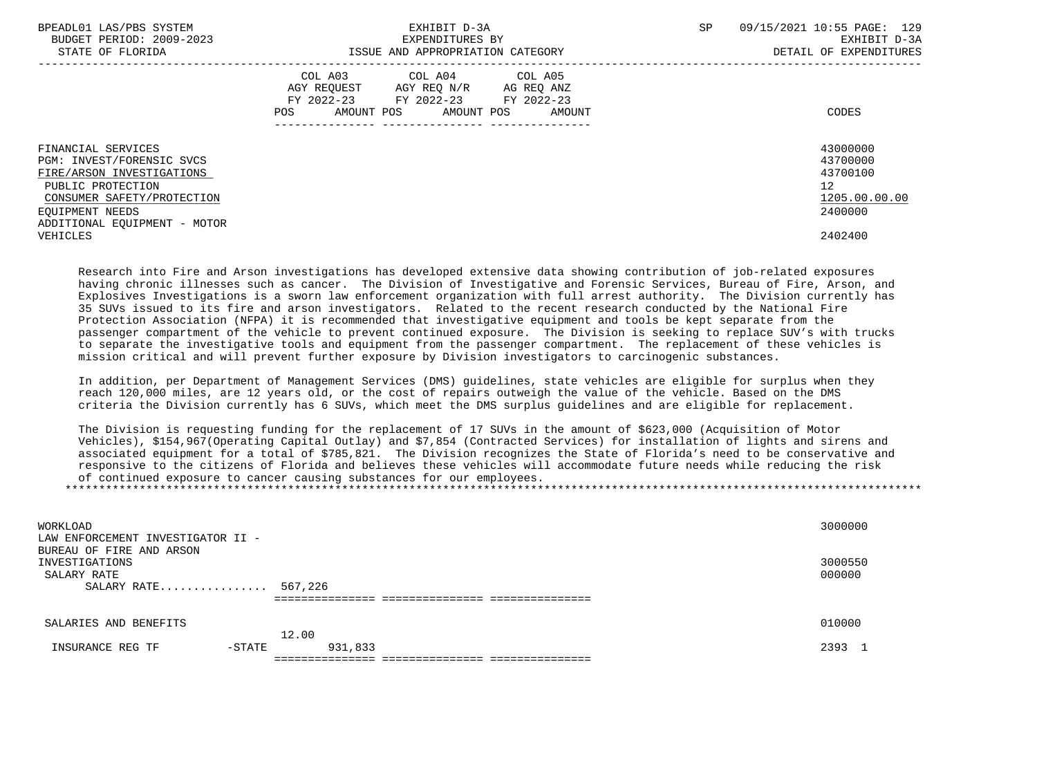| BPEADL01 LAS/PBS SYSTEM      | EXHIBIT D-3A                                                  | 09/15/2021 10:55 PAGE: 129<br>SP |
|------------------------------|---------------------------------------------------------------|----------------------------------|
| BUDGET PERIOD: 2009-2023     | EXPENDITURES BY                                               | EXHIBIT D-3A                     |
| STATE OF FLORIDA             | ISSUE AND APPROPRIATION CATEGORY                              | DETAIL OF EXPENDITURES           |
|                              | COL A03 COL A04 COL A05<br>AGY REQUEST AGY REQ N/R AG REQ ANZ |                                  |
|                              | FY 2022-23 FY 2022-23 FY 2022-23                              |                                  |
|                              | AMOUNT POS AMOUNT POS<br>POS<br>AMOUNT                        | CODES                            |
|                              |                                                               |                                  |
| FINANCIAL SERVICES           |                                                               | 43000000                         |
| PGM: INVEST/FORENSIC SVCS    |                                                               | 43700000                         |
| FIRE/ARSON INVESTIGATIONS    |                                                               | 43700100                         |
| PUBLIC PROTECTION            |                                                               | 12 <sup>°</sup>                  |
| CONSUMER SAFETY/PROTECTION   |                                                               | 1205.00.00.00                    |
| EOUIPMENT NEEDS              |                                                               | 2400000                          |
| ADDITIONAL EOUIPMENT - MOTOR |                                                               |                                  |
| VEHICLES                     |                                                               | 2402400                          |
|                              |                                                               |                                  |

 Research into Fire and Arson investigations has developed extensive data showing contribution of job-related exposures having chronic illnesses such as cancer. The Division of Investigative and Forensic Services, Bureau of Fire, Arson, and Explosives Investigations is a sworn law enforcement organization with full arrest authority. The Division currently has 35 SUVs issued to its fire and arson investigators. Related to the recent research conducted by the National Fire Protection Association (NFPA) it is recommended that investigative equipment and tools be kept separate from the passenger compartment of the vehicle to prevent continued exposure. The Division is seeking to replace SUV's with trucks to separate the investigative tools and equipment from the passenger compartment. The replacement of these vehicles is mission critical and will prevent further exposure by Division investigators to carcinogenic substances.

 In addition, per Department of Management Services (DMS) guidelines, state vehicles are eligible for surplus when they reach 120,000 miles, are 12 years old, or the cost of repairs outweigh the value of the vehicle. Based on the DMS criteria the Division currently has 6 SUVs, which meet the DMS surplus guidelines and are eligible for replacement.

 The Division is requesting funding for the replacement of 17 SUVs in the amount of \$623,000 (Acquisition of Motor Vehicles), \$154,967(Operating Capital Outlay) and \$7,854 (Contracted Services) for installation of lights and sirens and associated equipment for a total of \$785,821. The Division recognizes the State of Florida's need to be conservative and responsive to the citizens of Florida and believes these vehicles will accommodate future needs while reducing the risk of continued exposure to cancer causing substances for our employees. \*\*\*\*\*\*\*\*\*\*\*\*\*\*\*\*\*\*\*\*\*\*\*\*\*\*\*\*\*\*\*\*\*\*\*\*\*\*\*\*\*\*\*\*\*\*\*\*\*\*\*\*\*\*\*\*\*\*\*\*\*\*\*\*\*\*\*\*\*\*\*\*\*\*\*\*\*\*\*\*\*\*\*\*\*\*\*\*\*\*\*\*\*\*\*\*\*\*\*\*\*\*\*\*\*\*\*\*\*\*\*\*\*\*\*\*\*\*\*\*\*\*\*\*\*\*\*

| WORKLOAD<br>LAW ENFORCEMENT INVESTIGATOR II - |           |         |                  | 3000000 |
|-----------------------------------------------|-----------|---------|------------------|---------|
| BUREAU OF FIRE AND ARSON                      |           |         |                  |         |
| INVESTIGATIONS                                |           |         |                  | 3000550 |
| SALARY RATE                                   |           |         |                  | 000000  |
| SALARY RATE                                   |           | 567,226 |                  |         |
|                                               |           |         | ---------------- |         |
| SALARIES AND BENEFITS                         |           |         |                  | 010000  |
|                                               |           | 12.00   |                  |         |
| INSURANCE REG TF                              | $-$ STATE | 931,833 |                  | 2393    |
|                                               |           |         |                  |         |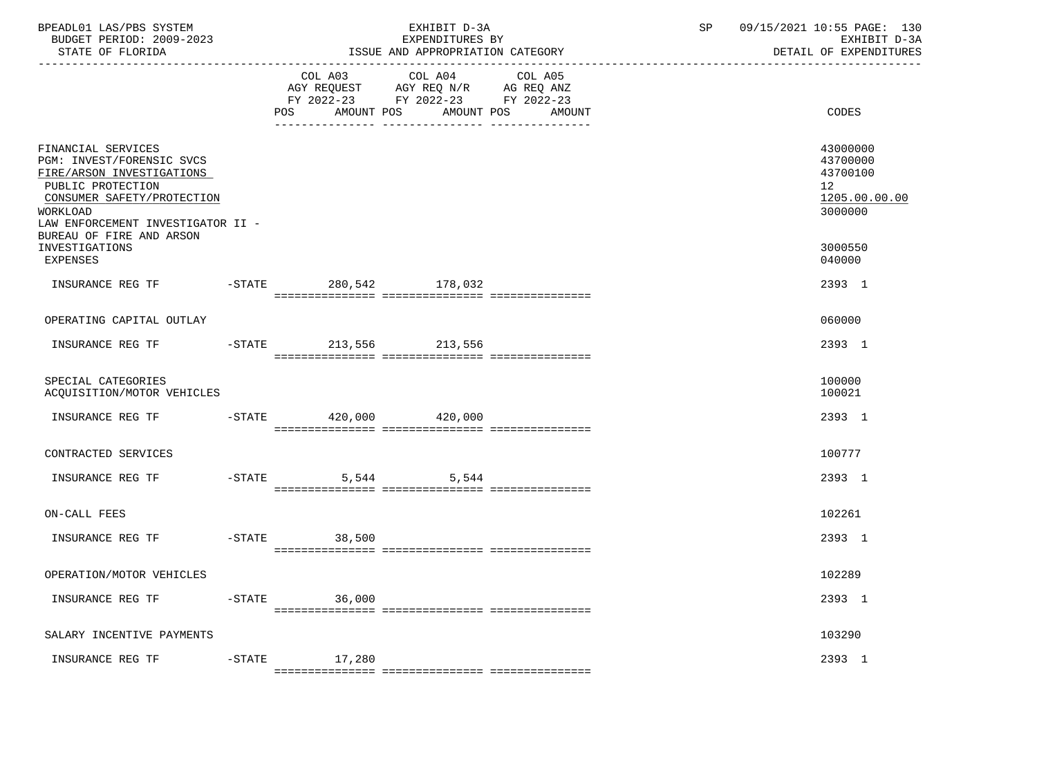| BPEADL01 LAS/PBS SYSTEM<br>BUDGET PERIOD: 2009-2023<br>STATE OF FLORIDA                                                                                                                                                        |           |                              | EXHIBIT D-3A<br>EXPENDITURES BY<br>ISSUE AND APPROPRIATION CATEGORY |                              | 09/15/2021 10:55 PAGE: 130<br>$\operatorname{SP}$<br>EXHIBIT D-3A<br>DETAIL OF EXPENDITURES |                                                                                            |  |
|--------------------------------------------------------------------------------------------------------------------------------------------------------------------------------------------------------------------------------|-----------|------------------------------|---------------------------------------------------------------------|------------------------------|---------------------------------------------------------------------------------------------|--------------------------------------------------------------------------------------------|--|
|                                                                                                                                                                                                                                |           | COL A03<br>AMOUNT POS<br>POS | COL A04<br>FY 2022-23 FY 2022-23 FY 2022-23                         | COL A05<br>AMOUNT POS AMOUNT |                                                                                             | CODES                                                                                      |  |
| FINANCIAL SERVICES<br>PGM: INVEST/FORENSIC SVCS<br>FIRE/ARSON INVESTIGATIONS<br>PUBLIC PROTECTION<br>CONSUMER SAFETY/PROTECTION<br>WORKLOAD<br>LAW ENFORCEMENT INVESTIGATOR II -<br>BUREAU OF FIRE AND ARSON<br>INVESTIGATIONS |           |                              |                                                                     |                              |                                                                                             | 43000000<br>43700000<br>43700100<br>12 <sup>°</sup><br>1205.00.00.00<br>3000000<br>3000550 |  |
| <b>EXPENSES</b>                                                                                                                                                                                                                |           |                              |                                                                     |                              |                                                                                             | 040000                                                                                     |  |
| INSURANCE REG TF                                                                                                                                                                                                               |           | -STATE 280,542 178,032       |                                                                     |                              |                                                                                             | 2393 1                                                                                     |  |
| OPERATING CAPITAL OUTLAY                                                                                                                                                                                                       |           |                              |                                                                     |                              |                                                                                             | 060000                                                                                     |  |
| INSURANCE REG TF                                                                                                                                                                                                               | $-$ STATE | 213,556                      | 213,556                                                             |                              |                                                                                             | 2393 1                                                                                     |  |
| SPECIAL CATEGORIES<br>ACOUISITION/MOTOR VEHICLES                                                                                                                                                                               |           |                              |                                                                     |                              |                                                                                             | 100000<br>100021                                                                           |  |
| INSURANCE REG TF                                                                                                                                                                                                               |           | $-$ STATE 420,000 420,000    |                                                                     |                              |                                                                                             | 2393 1                                                                                     |  |
| CONTRACTED SERVICES                                                                                                                                                                                                            |           |                              |                                                                     |                              |                                                                                             | 100777                                                                                     |  |
| INSURANCE REG TF                                                                                                                                                                                                               | $-$ STATE |                              | 5,544<br>5,544                                                      |                              |                                                                                             | 2393 1                                                                                     |  |
| ON-CALL FEES                                                                                                                                                                                                                   |           |                              |                                                                     |                              |                                                                                             | 102261                                                                                     |  |
| INSURANCE REG TF                                                                                                                                                                                                               | $-$ STATE | 38,500                       |                                                                     |                              |                                                                                             | 2393 1                                                                                     |  |
| OPERATION/MOTOR VEHICLES                                                                                                                                                                                                       |           |                              |                                                                     |                              |                                                                                             | 102289                                                                                     |  |
| INSURANCE REG TF                                                                                                                                                                                                               | $-$ STATE | 36,000                       |                                                                     |                              |                                                                                             | 2393 1                                                                                     |  |
| SALARY INCENTIVE PAYMENTS                                                                                                                                                                                                      |           |                              |                                                                     |                              |                                                                                             | 103290                                                                                     |  |
| INSURANCE REG TF                                                                                                                                                                                                               |           | $-STATE$ 17,280              |                                                                     |                              |                                                                                             | 2393 1                                                                                     |  |
|                                                                                                                                                                                                                                |           |                              |                                                                     |                              |                                                                                             |                                                                                            |  |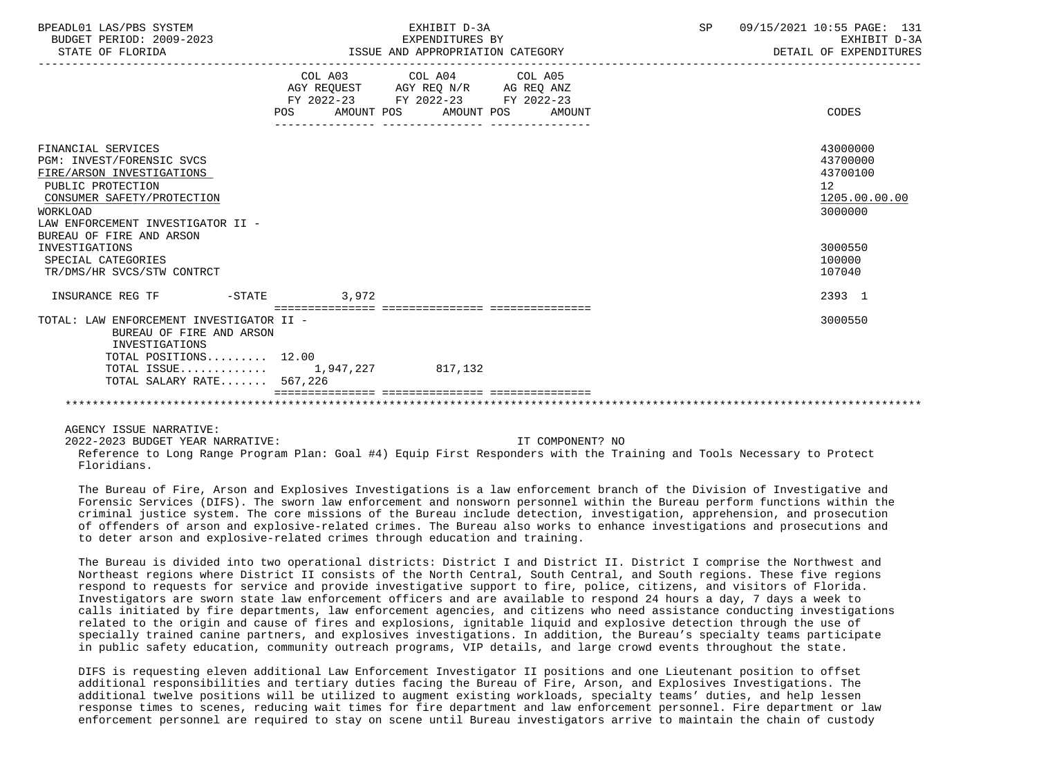| BPEADL01 LAS/PBS SYSTEM<br>BUDGET PERIOD: 2009-2023<br>STATE OF FLORIDA                                                                                                          |                | EXHIBIT D-3A<br>EXPENDITURES BY<br>ISSUE AND APPROPRIATION CATEGORY                                                                   | SP | 09/15/2021 10:55 PAGE: 131<br>EXHIBIT D-3A<br>DETAIL OF EXPENDITURES |  |
|----------------------------------------------------------------------------------------------------------------------------------------------------------------------------------|----------------|---------------------------------------------------------------------------------------------------------------------------------------|----|----------------------------------------------------------------------|--|
|                                                                                                                                                                                  |                | COL A03 COL A04 COL A05<br>AGY REQUEST AGY REQ N/R AG REQ ANZ<br>FY 2022-23 FY 2022-23 FY 2022-23<br>POS AMOUNT POS AMOUNT POS AMOUNT |    | CODES                                                                |  |
| FINANCIAL SERVICES<br>PGM: INVEST/FORENSIC SVCS<br>FIRE/ARSON INVESTIGATIONS<br>PUBLIC PROTECTION<br>CONSUMER SAFETY/PROTECTION<br>WORKLOAD<br>LAW ENFORCEMENT INVESTIGATOR II - |                |                                                                                                                                       |    | 43000000<br>43700000<br>43700100<br>12<br>1205.00.00.00<br>3000000   |  |
| BUREAU OF FIRE AND ARSON<br>INVESTIGATIONS<br>SPECIAL CATEGORIES<br>TR/DMS/HR SVCS/STW CONTRCT                                                                                   |                |                                                                                                                                       |    | 3000550<br>100000<br>107040                                          |  |
| INSURANCE REG TF                                                                                                                                                                 | $-STATE$ 3,972 |                                                                                                                                       |    | 2393 1                                                               |  |
| TOTAL: LAW ENFORCEMENT INVESTIGATOR II -<br>BUREAU OF FIRE AND ARSON<br>INVESTIGATIONS<br>TOTAL POSITIONS 12.00                                                                  |                |                                                                                                                                       |    | 3000550                                                              |  |
| TOTAL ISSUE 1,947,227 817,132<br>TOTAL SALARY RATE 567,226                                                                                                                       |                |                                                                                                                                       |    |                                                                      |  |
|                                                                                                                                                                                  |                |                                                                                                                                       |    |                                                                      |  |

AGENCY ISSUE NARRATIVE:

 2022-2023 BUDGET YEAR NARRATIVE: IT COMPONENT? NO Reference to Long Range Program Plan: Goal #4) Equip First Responders with the Training and Tools Necessary to Protect Floridians.

 The Bureau of Fire, Arson and Explosives Investigations is a law enforcement branch of the Division of Investigative and Forensic Services (DIFS). The sworn law enforcement and nonsworn personnel within the Bureau perform functions within the criminal justice system. The core missions of the Bureau include detection, investigation, apprehension, and prosecution of offenders of arson and explosive-related crimes. The Bureau also works to enhance investigations and prosecutions and to deter arson and explosive-related crimes through education and training.

 The Bureau is divided into two operational districts: District I and District II. District I comprise the Northwest and Northeast regions where District II consists of the North Central, South Central, and South regions. These five regions respond to requests for service and provide investigative support to fire, police, citizens, and visitors of Florida. Investigators are sworn state law enforcement officers and are available to respond 24 hours a day, 7 days a week to calls initiated by fire departments, law enforcement agencies, and citizens who need assistance conducting investigations related to the origin and cause of fires and explosions, ignitable liquid and explosive detection through the use of specially trained canine partners, and explosives investigations. In addition, the Bureau's specialty teams participate in public safety education, community outreach programs, VIP details, and large crowd events throughout the state.

 DIFS is requesting eleven additional Law Enforcement Investigator II positions and one Lieutenant position to offset additional responsibilities and tertiary duties facing the Bureau of Fire, Arson, and Explosives Investigations. The additional twelve positions will be utilized to augment existing workloads, specialty teams' duties, and help lessen response times to scenes, reducing wait times for fire department and law enforcement personnel. Fire department or law enforcement personnel are required to stay on scene until Bureau investigators arrive to maintain the chain of custody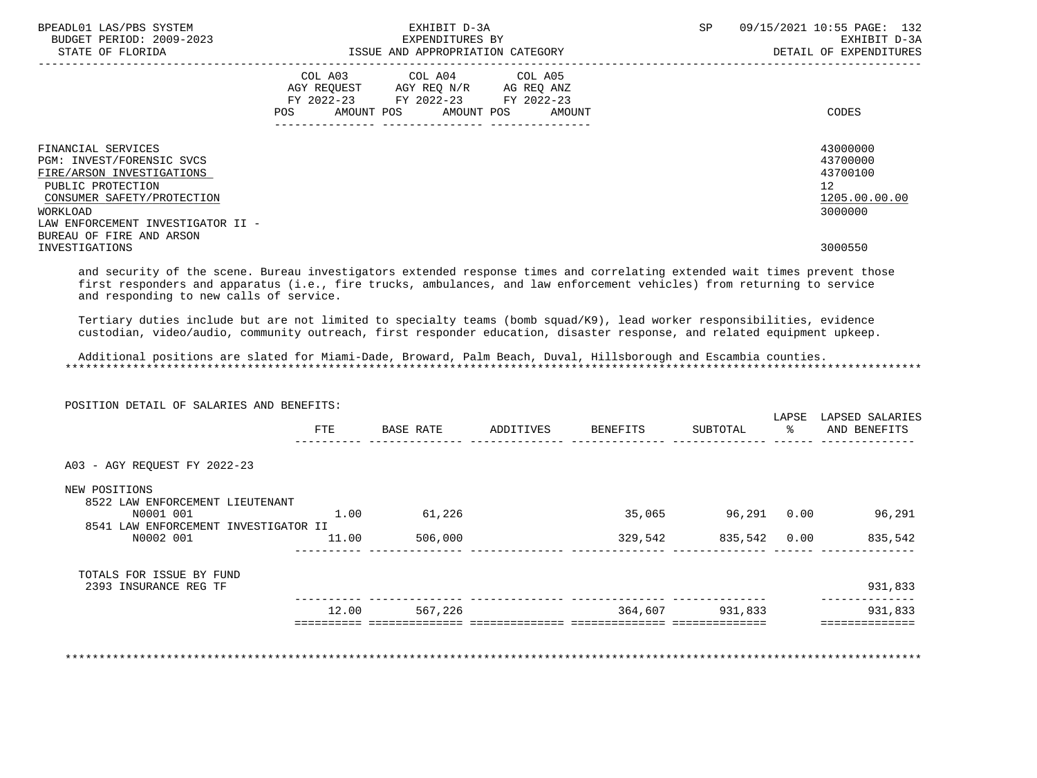| BPEADL01 LAS/PBS SYSTEM<br>BUDGET PERIOD: 2009-2023                                                                                                                                                                                                                                                                                                                                                                                                                                                                                                                                    | EXHIBIT D-3A<br>EXPENDITURES BY                                                                                               |         |                                  | SP              | 09/15/2021 10:55 PAGE: 132<br>EXHIBIT D-3A                         |
|----------------------------------------------------------------------------------------------------------------------------------------------------------------------------------------------------------------------------------------------------------------------------------------------------------------------------------------------------------------------------------------------------------------------------------------------------------------------------------------------------------------------------------------------------------------------------------------|-------------------------------------------------------------------------------------------------------------------------------|---------|----------------------------------|-----------------|--------------------------------------------------------------------|
| STATE OF FLORIDA                                                                                                                                                                                                                                                                                                                                                                                                                                                                                                                                                                       | ISSUE AND APPROPRIATION CATEGORY                                                                                              |         |                                  |                 | DETAIL OF EXPENDITURES                                             |
|                                                                                                                                                                                                                                                                                                                                                                                                                                                                                                                                                                                        | COL A03 COL A04<br>AGY REQUEST AGY REQ N/R AG REQ ANZ<br>FY 2022-23 FY 2022-23 FY 2022-23<br>POS AMOUNT POS AMOUNT POS AMOUNT | COL A05 |                                  |                 | CODES                                                              |
| FINANCIAL SERVICES<br>PGM: INVEST/FORENSIC SVCS<br>FIRE/ARSON INVESTIGATIONS<br>PUBLIC PROTECTION<br>CONSUMER SAFETY/PROTECTION<br>WORKLOAD<br>LAW ENFORCEMENT INVESTIGATOR II -                                                                                                                                                                                                                                                                                                                                                                                                       |                                                                                                                               |         |                                  |                 | 43000000<br>43700000<br>43700100<br>12<br>1205.00.00.00<br>3000000 |
| BUREAU OF FIRE AND ARSON<br>INVESTIGATIONS                                                                                                                                                                                                                                                                                                                                                                                                                                                                                                                                             |                                                                                                                               |         |                                  |                 | 3000550                                                            |
| first responders and apparatus (i.e., fire trucks, ambulances, and law enforcement vehicles) from returning to service<br>and responding to new calls of service.<br>Tertiary duties include but are not limited to specialty teams (bomb squad/K9), lead worker responsibilities, evidence<br>custodian, video/audio, community outreach, first responder education, disaster response, and related equipment upkeep.<br>Additional positions are slated for Miami-Dade, Broward, Palm Beach, Duval, Hillsborough and Escambia counties.<br>POSITION DETAIL OF SALARIES AND BENEFITS: |                                                                                                                               |         |                                  |                 |                                                                    |
|                                                                                                                                                                                                                                                                                                                                                                                                                                                                                                                                                                                        |                                                                                                                               |         | FTE BASE RATE ADDITIVES BENEFITS | SUBTOTAL        | LAPSE LAPSED SALARIES<br>% AND BENEFITS                            |
| A03 - AGY REQUEST FY 2022-23                                                                                                                                                                                                                                                                                                                                                                                                                                                                                                                                                           |                                                                                                                               |         |                                  |                 |                                                                    |
| NEW POSITIONS<br>8522 LAW ENFORCEMENT LIEUTENANT<br>N0001 001                                                                                                                                                                                                                                                                                                                                                                                                                                                                                                                          | 1.00 61,226                                                                                                                   |         |                                  |                 | 35,065 96,291 0.00 96,291                                          |
| 8541 LAW ENFORCEMENT INVESTIGATOR II<br>N0002 001 11.00                                                                                                                                                                                                                                                                                                                                                                                                                                                                                                                                | 506,000                                                                                                                       |         | 329,542                          | 835,542 0.00    | 835,542                                                            |
| TOTALS FOR ISSUE BY FUND<br>2393 INSURANCE REG TF                                                                                                                                                                                                                                                                                                                                                                                                                                                                                                                                      |                                                                                                                               |         |                                  |                 | 931,833                                                            |
|                                                                                                                                                                                                                                                                                                                                                                                                                                                                                                                                                                                        | 12.00 567,226                                                                                                                 |         |                                  | 364,607 931,833 | ---------------<br>931,833                                         |
|                                                                                                                                                                                                                                                                                                                                                                                                                                                                                                                                                                                        |                                                                                                                               |         |                                  |                 | ==============                                                     |

\*\*\*\*\*\*\*\*\*\*\*\*\*\*\*\*\*\*\*\*\*\*\*\*\*\*\*\*\*\*\*\*\*\*\*\*\*\*\*\*\*\*\*\*\*\*\*\*\*\*\*\*\*\*\*\*\*\*\*\*\*\*\*\*\*\*\*\*\*\*\*\*\*\*\*\*\*\*\*\*\*\*\*\*\*\*\*\*\*\*\*\*\*\*\*\*\*\*\*\*\*\*\*\*\*\*\*\*\*\*\*\*\*\*\*\*\*\*\*\*\*\*\*\*\*\*\*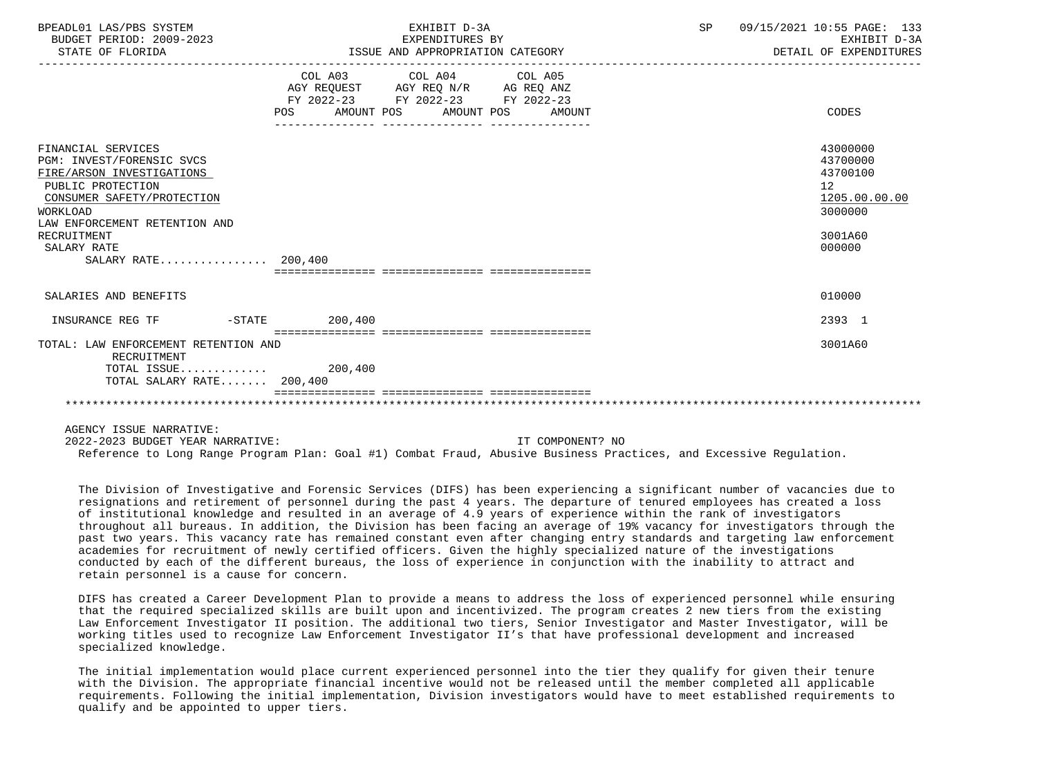| BPEADL01 LAS/PBS SYSTEM<br>BUDGET PERIOD: 2009-2023<br>STATE OF FLORIDA                                                                                                                                                           |                                  | EXHIBIT D-3A<br>EXPENDITURES BY<br>ISSUE AND APPROPRIATION CATEGORY                               |                  | SP | 09/15/2021 10:55 PAGE: 133<br>EXHIBIT D-3A<br>DETAIL OF EXPENDITURES                    |  |
|-----------------------------------------------------------------------------------------------------------------------------------------------------------------------------------------------------------------------------------|----------------------------------|---------------------------------------------------------------------------------------------------|------------------|----|-----------------------------------------------------------------------------------------|--|
|                                                                                                                                                                                                                                   | POS AMOUNT POS AMOUNT POS AMOUNT | COL A03 COL A04 COL A05<br>AGY REQUEST AGY REQ N/R AG REQ ANZ<br>FY 2022-23 FY 2022-23 FY 2022-23 |                  |    | CODES                                                                                   |  |
| FINANCIAL SERVICES<br>PGM: INVEST/FORENSIC SVCS<br>FIRE/ARSON INVESTIGATIONS<br>PUBLIC PROTECTION<br>CONSUMER SAFETY/PROTECTION<br>WORKLOAD<br>LAW ENFORCEMENT RETENTION AND<br>RECRUITMENT<br>SALARY RATE<br>SALARY RATE 200,400 |                                  |                                                                                                   |                  |    | 43000000<br>43700000<br>43700100<br>12<br>1205.00.00.00<br>3000000<br>3001A60<br>000000 |  |
| SALARIES AND BENEFITS                                                                                                                                                                                                             |                                  |                                                                                                   |                  |    | 010000                                                                                  |  |
| INSURANCE REG TF                                                                                                                                                                                                                  | $-STATE$ 200.400                 |                                                                                                   |                  |    | 2393 1                                                                                  |  |
| TOTAL: LAW ENFORCEMENT RETENTION AND<br>RECRUITMENT<br>TOTAL ISSUE<br>TOTAL SALARY RATE 200,400                                                                                                                                   | 200,400                          |                                                                                                   |                  |    | 3001A60                                                                                 |  |
| AGENCY ISSUE NARRATIVE:<br>2022-2023 BUDGET YEAR NARRATIVE:                                                                                                                                                                       |                                  |                                                                                                   | IT COMPONENT? NO |    |                                                                                         |  |

Reference to Long Range Program Plan: Goal #1) Combat Fraud, Abusive Business Practices, and Excessive Regulation.

 The Division of Investigative and Forensic Services (DIFS) has been experiencing a significant number of vacancies due to resignations and retirement of personnel during the past 4 years. The departure of tenured employees has created a loss of institutional knowledge and resulted in an average of 4.9 years of experience within the rank of investigators throughout all bureaus. In addition, the Division has been facing an average of 19% vacancy for investigators through the past two years. This vacancy rate has remained constant even after changing entry standards and targeting law enforcement academies for recruitment of newly certified officers. Given the highly specialized nature of the investigations conducted by each of the different bureaus, the loss of experience in conjunction with the inability to attract and retain personnel is a cause for concern.

 DIFS has created a Career Development Plan to provide a means to address the loss of experienced personnel while ensuring that the required specialized skills are built upon and incentivized. The program creates 2 new tiers from the existing Law Enforcement Investigator II position. The additional two tiers, Senior Investigator and Master Investigator, will be working titles used to recognize Law Enforcement Investigator II's that have professional development and increased specialized knowledge.

 The initial implementation would place current experienced personnel into the tier they qualify for given their tenure with the Division. The appropriate financial incentive would not be released until the member completed all applicable requirements. Following the initial implementation, Division investigators would have to meet established requirements to qualify and be appointed to upper tiers.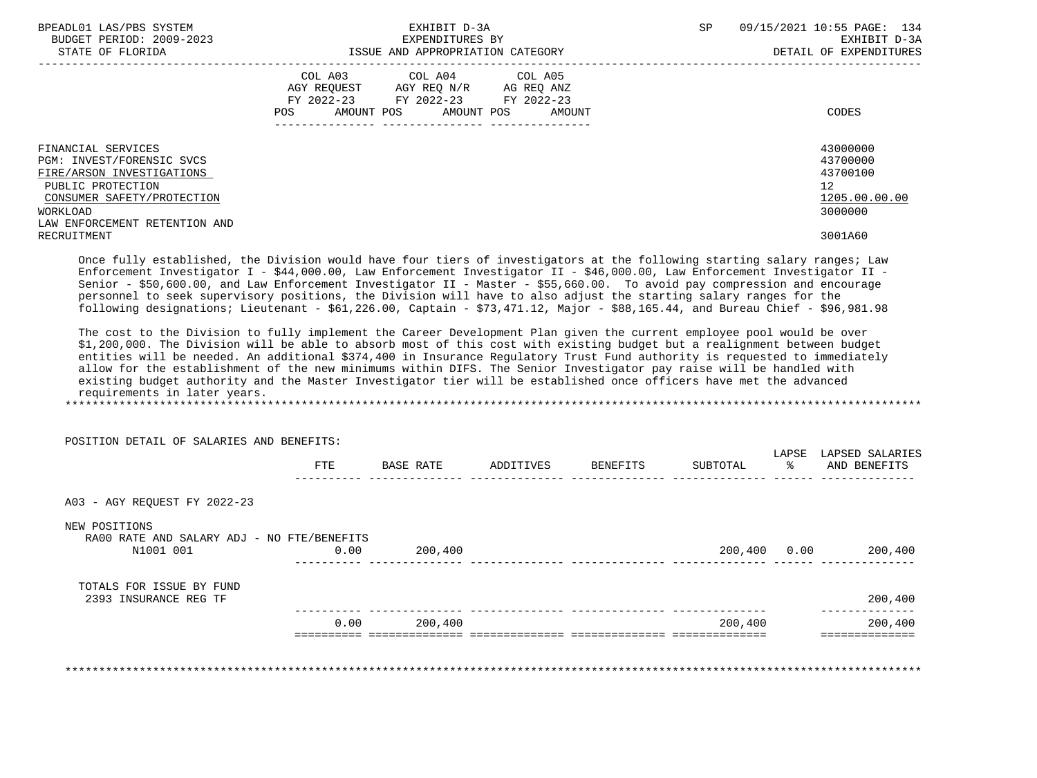| BPEADL01 LAS/PBS SYSTEM<br>BUDGET PERIOD: 2009-2023<br>STATE OF FLORIDA                                                                                                                                                                                                                                                                                                                                                                                                                                                                                                                                                                                                                                                                                                                                                                                                                                                                                                                                                                                                                                                                                                                                                                                                                                | EXHIBIT D-3A<br>EXPENDITURES BY<br>EXPENDITURES BY<br>ISSUE AND APPROPRIATION CATEGORY |                                                                                                                                |  |        | SP | 09/15/2021 10:55 PAGE: 134<br>EXHIBIT D-3A<br>DETAIL OF EXPENDITURES          |  |
|--------------------------------------------------------------------------------------------------------------------------------------------------------------------------------------------------------------------------------------------------------------------------------------------------------------------------------------------------------------------------------------------------------------------------------------------------------------------------------------------------------------------------------------------------------------------------------------------------------------------------------------------------------------------------------------------------------------------------------------------------------------------------------------------------------------------------------------------------------------------------------------------------------------------------------------------------------------------------------------------------------------------------------------------------------------------------------------------------------------------------------------------------------------------------------------------------------------------------------------------------------------------------------------------------------|----------------------------------------------------------------------------------------|--------------------------------------------------------------------------------------------------------------------------------|--|--------|----|-------------------------------------------------------------------------------|--|
|                                                                                                                                                                                                                                                                                                                                                                                                                                                                                                                                                                                                                                                                                                                                                                                                                                                                                                                                                                                                                                                                                                                                                                                                                                                                                                        |                                                                                        | COL A03 COL A04 COL A05<br>AGY REOUEST AGY REO N/R AG REO ANZ<br>FY 2022-23 FY 2022-23 FY 2022-23<br>POS AMOUNT POS AMOUNT POS |  | AMOUNT |    | CODES                                                                         |  |
| FINANCIAL SERVICES<br>PGM: INVEST/FORENSIC SVCS<br>FIRE/ARSON INVESTIGATIONS<br>PUBLIC PROTECTION<br>CONSUMER SAFETY/PROTECTION<br>WORKLOAD<br>LAW ENFORCEMENT RETENTION AND<br>RECRUITMENT                                                                                                                                                                                                                                                                                                                                                                                                                                                                                                                                                                                                                                                                                                                                                                                                                                                                                                                                                                                                                                                                                                            |                                                                                        |                                                                                                                                |  |        |    | 43000000<br>43700000<br>43700100<br>12<br>1205.00.00.00<br>3000000<br>3001A60 |  |
| Once fully established, the Division would have four tiers of investigators at the following starting salary ranges; Law<br>Enforcement Investigator I - \$44,000.00, Law Enforcement Investigator II - \$46,000.00, Law Enforcement Investigator II -<br>Senior - \$50,600.00, and Law Enforcement Investigator II - Master - \$55,660.00. To avoid pay compression and encourage<br>personnel to seek supervisory positions, the Division will have to also adjust the starting salary ranges for the<br>following designations; Lieutenant - \$61,226.00, Captain - \$73,471.12, Major - \$88,165.44, and Bureau Chief - \$96,981.98<br>The cost to the Division to fully implement the Career Development Plan given the current employee pool would be over<br>\$1,200,000. The Division will be able to absorb most of this cost with existing budget but a realignment between budget<br>entities will be needed. An additional \$374,400 in Insurance Requlatory Trust Fund authority is requested to immediately<br>allow for the establishment of the new minimums within DIFS. The Senior Investigator pay raise will be handled with<br>existing budget authority and the Master Investigator tier will be established once officers have met the advanced<br>requirements in later years. |                                                                                        |                                                                                                                                |  |        |    |                                                                               |  |

|                                                         | <b>FTE</b> | BASE RATE | ADDITIVES | BENEFITS | SUBTOTAL     | LAPSE<br>ႜႂ | LAPSED SALARIES<br>AND BENEFITS |
|---------------------------------------------------------|------------|-----------|-----------|----------|--------------|-------------|---------------------------------|
| A03 - AGY REQUEST FY 2022-23                            |            |           |           |          |              |             |                                 |
| NEW POSITIONS                                           |            |           |           |          |              |             |                                 |
| RA00 RATE AND SALARY ADJ - NO FTE/BENEFITS<br>N1001 001 | 0.00       | 200,400   |           |          | 200,400 0.00 |             | 200,400                         |
| TOTALS FOR ISSUE BY FUND<br>2393 INSURANCE REG TF       |            |           |           |          |              |             | 200,400                         |
|                                                         | 0.00       | 200,400   |           |          | 200,400      |             | 200,400                         |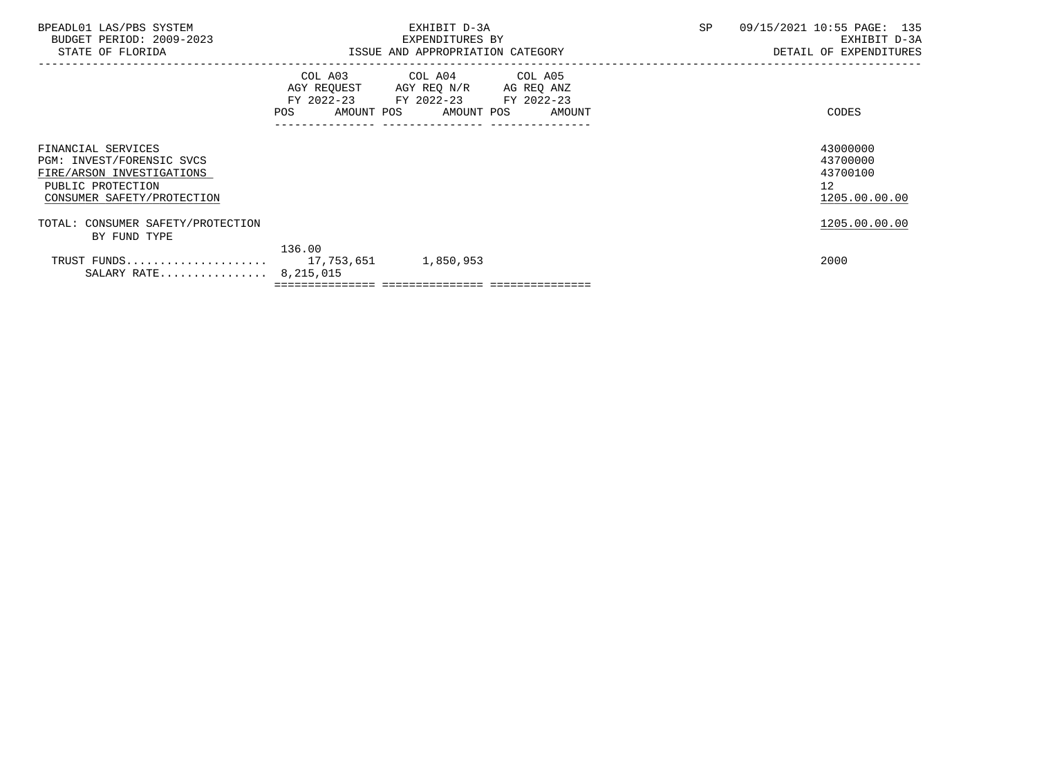| BPEADL01 LAS/PBS SYSTEM<br>BUDGET PERIOD: 2009-2023<br>STATE OF FLORIDA                                                         |                                                                                                                | EXHIBIT D-3A<br>EXPENDITURES BY<br>ISSUE AND APPROPRIATION CATEGORY                                                               | <b>SP</b> | 09/15/2021 10:55 PAGE: 135<br>EXHIBIT D-3A<br>DETAIL OF EXPENDITURES |
|---------------------------------------------------------------------------------------------------------------------------------|----------------------------------------------------------------------------------------------------------------|-----------------------------------------------------------------------------------------------------------------------------------|-----------|----------------------------------------------------------------------|
|                                                                                                                                 | POS FOR THE POST OF THE STATE STATE STATE STATE STATE STATE STATE STATE STATE STATE STATE STATE STATE STATE ST | COL A03 COL A04 COL A05<br>AGY REQUEST AGY REQ N/R AG REQ ANZ<br>FY 2022-23 FY 2022-23 FY 2022-23<br>AMOUNT POS AMOUNT POS AMOUNT |           | CODES                                                                |
| FINANCIAL SERVICES<br>PGM: INVEST/FORENSIC SVCS<br>FIRE/ARSON INVESTIGATIONS<br>PUBLIC PROTECTION<br>CONSUMER SAFETY/PROTECTION |                                                                                                                |                                                                                                                                   |           | 43000000<br>43700000<br>43700100<br>12 <sup>°</sup><br>1205.00.00.00 |
| TOTAL: CONSUMER SAFETY/PROTECTION<br>BY FUND TYPE                                                                               |                                                                                                                |                                                                                                                                   |           | 1205.00.00.00                                                        |
| SALARY RATE 8, 215, 015                                                                                                         | 136.00                                                                                                         |                                                                                                                                   |           | 2000                                                                 |
|                                                                                                                                 |                                                                                                                |                                                                                                                                   |           |                                                                      |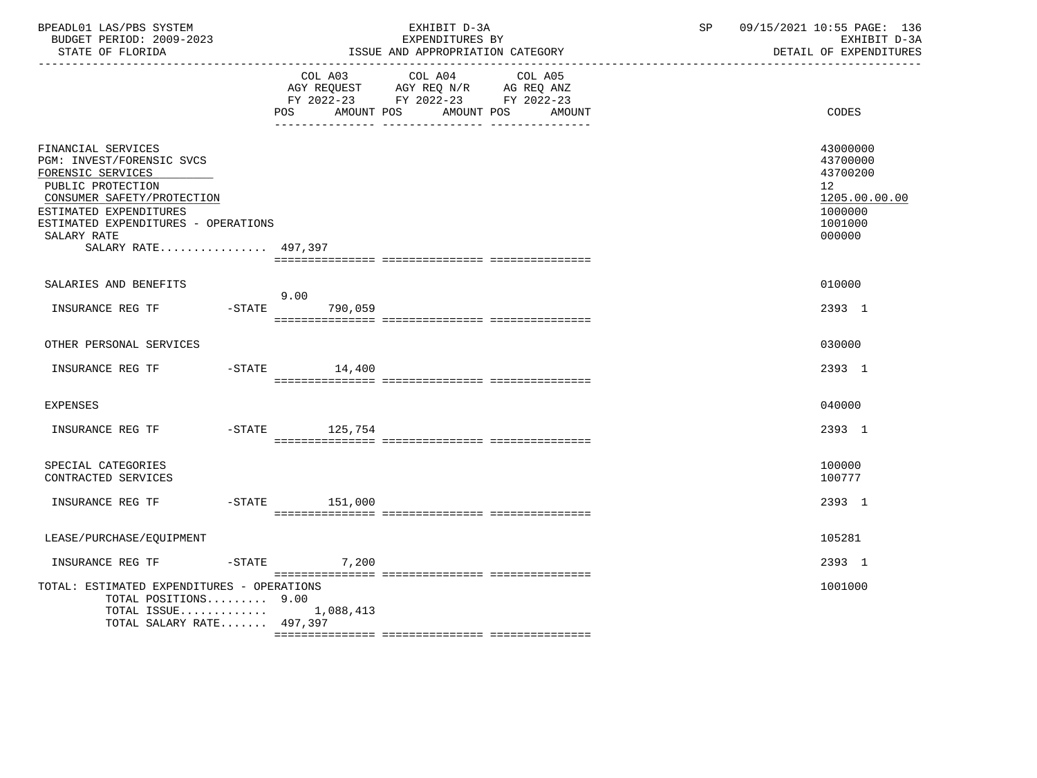| BPEADL01 LAS/PBS SYSTEM<br>BUDGET PERIOD: 2009-2023<br>STATE OF FLORIDA                                                                                                                                                        |           |                     | EXHIBIT D-3A<br>EXPENDITURES BY<br>ISSUE AND APPROPRIATION CATEGORY                                                                   | SP | 09/15/2021 10:55 PAGE: 136<br>EXHIBIT D-3A<br>DETAIL OF EXPENDITURES                    |
|--------------------------------------------------------------------------------------------------------------------------------------------------------------------------------------------------------------------------------|-----------|---------------------|---------------------------------------------------------------------------------------------------------------------------------------|----|-----------------------------------------------------------------------------------------|
|                                                                                                                                                                                                                                |           |                     | COL A03 COL A04 COL A05<br>AGY REQUEST AGY REQ N/R AG REQ ANZ<br>FY 2022-23 FY 2022-23 FY 2022-23<br>POS AMOUNT POS AMOUNT POS AMOUNT |    | CODES                                                                                   |
| FINANCIAL SERVICES<br>PGM: INVEST/FORENSIC SVCS<br>FORENSIC SERVICES<br>PUBLIC PROTECTION<br>CONSUMER SAFETY/PROTECTION<br>ESTIMATED EXPENDITURES<br>ESTIMATED EXPENDITURES - OPERATIONS<br>SALARY RATE<br>SALARY RATE 497,397 |           |                     |                                                                                                                                       |    | 43000000<br>43700000<br>43700200<br>12<br>1205.00.00.00<br>1000000<br>1001000<br>000000 |
| SALARIES AND BENEFITS                                                                                                                                                                                                          |           | 9.00                |                                                                                                                                       |    | 010000                                                                                  |
| INSURANCE REG TF                                                                                                                                                                                                               |           | $-STATE$<br>790,059 |                                                                                                                                       |    | 2393 1                                                                                  |
| OTHER PERSONAL SERVICES                                                                                                                                                                                                        |           |                     |                                                                                                                                       |    | 030000                                                                                  |
| INSURANCE REG TF                                                                                                                                                                                                               |           | $-$ STATE $14.400$  |                                                                                                                                       |    | 2393 1                                                                                  |
| <b>EXPENSES</b>                                                                                                                                                                                                                |           |                     |                                                                                                                                       |    | 040000                                                                                  |
| INSURANCE REG TF                                                                                                                                                                                                               |           | -STATE 125,754      |                                                                                                                                       |    | 2393 1                                                                                  |
| SPECIAL CATEGORIES<br>CONTRACTED SERVICES                                                                                                                                                                                      |           |                     |                                                                                                                                       |    | 100000<br>100777                                                                        |
|                                                                                                                                                                                                                                |           |                     |                                                                                                                                       |    | 2393 1                                                                                  |
| LEASE/PURCHASE/EOUIPMENT                                                                                                                                                                                                       |           |                     |                                                                                                                                       |    | 105281                                                                                  |
| INSURANCE REG TF                                                                                                                                                                                                               | $-$ STATE | 7,200               |                                                                                                                                       |    | 2393 1                                                                                  |
| TOTAL: ESTIMATED EXPENDITURES - OPERATIONS<br>TOTAL POSITIONS 9.00<br>TOTAL ISSUE $1,088,413$<br>TOTAL SALARY RATE 497,397                                                                                                     |           |                     |                                                                                                                                       |    | 1001000                                                                                 |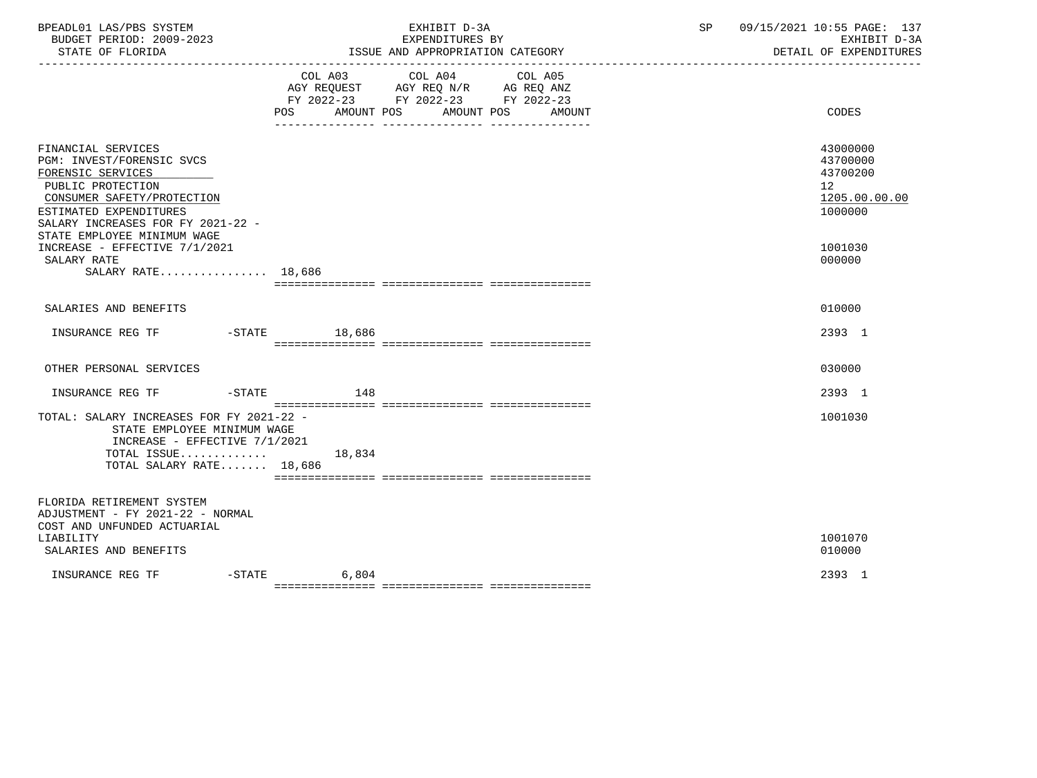| BPEADL01 LAS/PBS SYSTEM<br>BUDGET PERIOD: 2009-2023<br>STATE OF FLORIDA                                                                                                                                                                                                                     |                 | EXHIBIT D-3A<br>EXPENDITURES BY<br>ISSUE AND APPROPRIATION CATEGORY                                                          | SP 09/15/2021 10:55 PAGE: 137<br>EXHIBIT D-3A<br>DETAIL OF EXPENDITURES                 |  |
|---------------------------------------------------------------------------------------------------------------------------------------------------------------------------------------------------------------------------------------------------------------------------------------------|-----------------|------------------------------------------------------------------------------------------------------------------------------|-----------------------------------------------------------------------------------------|--|
|                                                                                                                                                                                                                                                                                             | POS AMOUNT POS  | COL A03 COL A04<br>COL A05<br>AGY REQUEST AGY REQ N/R AG REQ ANZ<br>FY 2022-23 FY 2022-23 FY 2022-23<br>AMOUNT POS<br>AMOUNT | <b>CODES</b>                                                                            |  |
| FINANCIAL SERVICES<br>PGM: INVEST/FORENSIC SVCS<br>FORENSIC SERVICES<br>PUBLIC PROTECTION<br>CONSUMER SAFETY/PROTECTION<br>ESTIMATED EXPENDITURES<br>SALARY INCREASES FOR FY 2021-22 -<br>STATE EMPLOYEE MINIMUM WAGE<br>INCREASE - EFFECTIVE 7/1/2021<br>SALARY RATE<br>SALARY RATE 18,686 |                 |                                                                                                                              | 43000000<br>43700000<br>43700200<br>12<br>1205.00.00.00<br>1000000<br>1001030<br>000000 |  |
| SALARIES AND BENEFITS                                                                                                                                                                                                                                                                       |                 |                                                                                                                              | 010000                                                                                  |  |
| INSURANCE REG TF    -STATE    18,686                                                                                                                                                                                                                                                        |                 |                                                                                                                              | 2393 1                                                                                  |  |
| OTHER PERSONAL SERVICES                                                                                                                                                                                                                                                                     |                 |                                                                                                                              | 030000                                                                                  |  |
| INSURANCE REG TF                                                                                                                                                                                                                                                                            | $-$ STATE $148$ |                                                                                                                              | 2393 1                                                                                  |  |
| TOTAL: SALARY INCREASES FOR FY 2021-22 -<br>STATE EMPLOYEE MINIMUM WAGE<br>INCREASE - EFFECTIVE 7/1/2021<br>TOTAL ISSUE 18,834<br>TOTAL SALARY RATE 18,686                                                                                                                                  |                 |                                                                                                                              | 1001030                                                                                 |  |
| FLORIDA RETIREMENT SYSTEM<br>ADJUSTMENT - FY 2021-22 - NORMAL<br>COST AND UNFUNDED ACTUARIAL<br>LIABILITY<br>SALARIES AND BENEFITS                                                                                                                                                          |                 |                                                                                                                              | 1001070<br>010000                                                                       |  |
| INSURANCE REG TF                                                                                                                                                                                                                                                                            | $-STATE$ 6,804  |                                                                                                                              | 2393 1                                                                                  |  |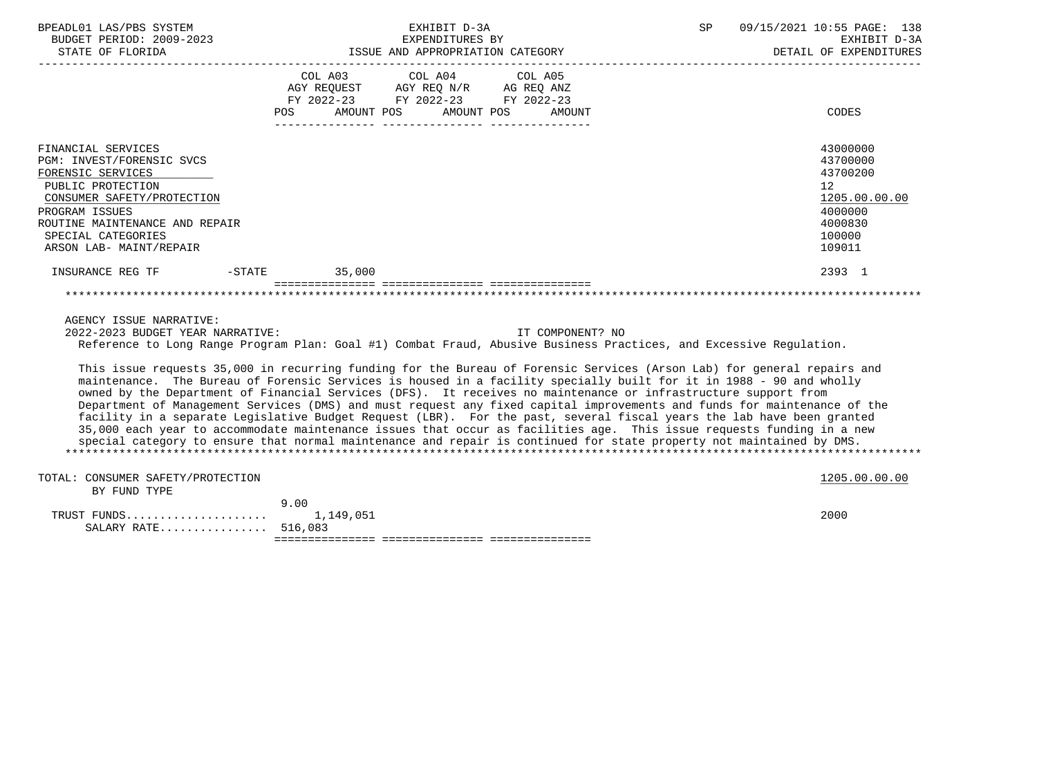| BPEADL01 LAS/PBS SYSTEM<br>BUDGET PERIOD: 2009-2023<br>STATE OF FLORIDA                                                                                                                                                                                                                                                                                                                                                                                                                                                                                                                                                                                                                                                                                                                                                                                                |                | EXHIBIT D-3A<br>EXPENDITURES BY<br>ISSUE AND APPROPRIATION CATEGORY                                           |                   | SP | 09/15/2021 10:55 PAGE: 138<br>EXHIBIT D-3A<br>DETAIL OF EXPENDITURES                                           |
|------------------------------------------------------------------------------------------------------------------------------------------------------------------------------------------------------------------------------------------------------------------------------------------------------------------------------------------------------------------------------------------------------------------------------------------------------------------------------------------------------------------------------------------------------------------------------------------------------------------------------------------------------------------------------------------------------------------------------------------------------------------------------------------------------------------------------------------------------------------------|----------------|---------------------------------------------------------------------------------------------------------------|-------------------|----|----------------------------------------------------------------------------------------------------------------|
|                                                                                                                                                                                                                                                                                                                                                                                                                                                                                                                                                                                                                                                                                                                                                                                                                                                                        | COL A03<br>POS | COL A04<br>AGY REQUEST AGY REQ N/R AG REQ ANZ<br>FY 2022-23 FY 2022-23 FY 2022-23<br>AMOUNT POS<br>AMOUNT POS | COL A05<br>AMOUNT |    | <b>CODES</b>                                                                                                   |
| FINANCIAL SERVICES<br>PGM: INVEST/FORENSIC SVCS<br>FORENSIC SERVICES<br>PUBLIC PROTECTION<br>CONSUMER SAFETY/PROTECTION<br>PROGRAM ISSUES<br>ROUTINE MAINTENANCE AND REPAIR<br>SPECIAL CATEGORIES<br>ARSON LAB- MAINT/REPAIR                                                                                                                                                                                                                                                                                                                                                                                                                                                                                                                                                                                                                                           |                |                                                                                                               |                   |    | 43000000<br>43700000<br>43700200<br>12 <sup>°</sup><br>1205.00.00.00<br>4000000<br>4000830<br>100000<br>109011 |
| INSURANCE REG TF<br>$-$ STATE                                                                                                                                                                                                                                                                                                                                                                                                                                                                                                                                                                                                                                                                                                                                                                                                                                          | 35,000         |                                                                                                               |                   |    | 2393 1                                                                                                         |
| AGENCY ISSUE NARRATIVE:<br>2022-2023 BUDGET YEAR NARRATIVE:<br>Reference to Long Range Program Plan: Goal #1) Combat Fraud, Abusive Business Practices, and Excessive Regulation.                                                                                                                                                                                                                                                                                                                                                                                                                                                                                                                                                                                                                                                                                      |                |                                                                                                               | IT COMPONENT? NO  |    |                                                                                                                |
| This issue requests 35,000 in recurring funding for the Bureau of Forensic Services (Arson Lab) for general repairs and<br>maintenance. The Bureau of Forensic Services is housed in a facility specially built for it in 1988 - 90 and wholly<br>owned by the Department of Financial Services (DFS). It receives no maintenance or infrastructure support from<br>Department of Management Services (DMS) and must request any fixed capital improvements and funds for maintenance of the<br>facility in a separate Legislative Budget Request (LBR). For the past, several fiscal years the lab have been granted<br>35,000 each year to accommodate maintenance issues that occur as facilities age. This issue requests funding in a new<br>special category to ensure that normal maintenance and repair is continued for state property not maintained by DMS. |                |                                                                                                               |                   |    |                                                                                                                |
| TOTAL: CONSUMER SAFETY/PROTECTION<br>BY FUND TYPE                                                                                                                                                                                                                                                                                                                                                                                                                                                                                                                                                                                                                                                                                                                                                                                                                      |                |                                                                                                               |                   |    | 1205.00.00.00                                                                                                  |
| SALARY RATE 516,083                                                                                                                                                                                                                                                                                                                                                                                                                                                                                                                                                                                                                                                                                                                                                                                                                                                    | 9.00           |                                                                                                               |                   |    | 2000                                                                                                           |

=============== =============== ===============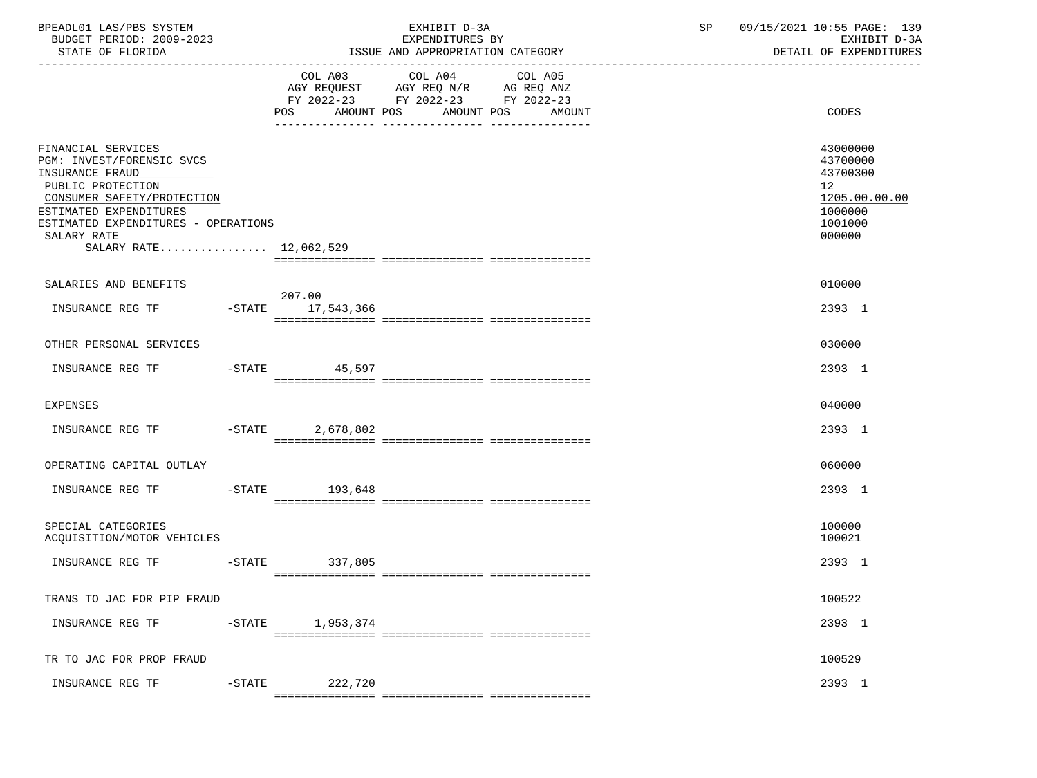| BPEADL01 LAS/PBS SYSTEM<br>BUDGET PERIOD: 2009-2023<br>STATE OF FLORIDA                                                                                                                                                         |           |                             | EXHIBIT D-3A<br>EXPENDITURES BY<br>ISSUE AND APPROPRIATION CATEGORY                                                                   | SP | 09/15/2021 10:55 PAGE: 139<br>EXHIBIT D-3A<br>DETAIL OF EXPENDITURES                                 |  |
|---------------------------------------------------------------------------------------------------------------------------------------------------------------------------------------------------------------------------------|-----------|-----------------------------|---------------------------------------------------------------------------------------------------------------------------------------|----|------------------------------------------------------------------------------------------------------|--|
|                                                                                                                                                                                                                                 |           |                             | COL A03 COL A04 COL A05<br>AGY REQUEST AGY REQ N/R AG REQ ANZ<br>FY 2022-23 FY 2022-23 FY 2022-23<br>POS AMOUNT POS AMOUNT POS AMOUNT |    | CODES                                                                                                |  |
| FINANCIAL SERVICES<br>PGM: INVEST/FORENSIC SVCS<br>INSURANCE FRAUD<br>PUBLIC PROTECTION<br>CONSUMER SAFETY/PROTECTION<br>ESTIMATED EXPENDITURES<br>ESTIMATED EXPENDITURES - OPERATIONS<br>SALARY RATE<br>SALARY RATE 12,062,529 |           |                             |                                                                                                                                       |    | 43000000<br>43700000<br>43700300<br>12 <sup>°</sup><br>1205.00.00.00<br>1000000<br>1001000<br>000000 |  |
| SALARIES AND BENEFITS                                                                                                                                                                                                           |           |                             |                                                                                                                                       |    | 010000                                                                                               |  |
| INSURANCE REG TF                                                                                                                                                                                                                |           | 207.00<br>-STATE 17,543,366 |                                                                                                                                       |    | 2393 1                                                                                               |  |
| OTHER PERSONAL SERVICES                                                                                                                                                                                                         |           |                             |                                                                                                                                       |    | 030000                                                                                               |  |
|                                                                                                                                                                                                                                 |           |                             |                                                                                                                                       |    | 2393 1                                                                                               |  |
| EXPENSES                                                                                                                                                                                                                        |           |                             |                                                                                                                                       |    | 040000                                                                                               |  |
| INSURANCE REG TF -STATE 2,678,802                                                                                                                                                                                               |           |                             |                                                                                                                                       |    | 2393 1                                                                                               |  |
| OPERATING CAPITAL OUTLAY                                                                                                                                                                                                        |           |                             |                                                                                                                                       |    | 060000                                                                                               |  |
| INSURANCE REG TF -STATE 193,648                                                                                                                                                                                                 |           |                             |                                                                                                                                       |    | 2393 1                                                                                               |  |
| SPECIAL CATEGORIES<br>ACQUISITION/MOTOR VEHICLES                                                                                                                                                                                |           |                             |                                                                                                                                       |    | 100000<br>100021                                                                                     |  |
| INSURANCE REG TF                                                                                                                                                                                                                |           | $-STATE$ 337,805            |                                                                                                                                       |    | 2393 1                                                                                               |  |
| TRANS TO JAC FOR PIP FRAUD                                                                                                                                                                                                      |           |                             |                                                                                                                                       |    | 100522                                                                                               |  |
| INSURANCE REG TF                                                                                                                                                                                                                | $-$ STATE | 1,953,374                   |                                                                                                                                       |    | 2393 1                                                                                               |  |
| TR TO JAC FOR PROP FRAUD                                                                                                                                                                                                        |           |                             |                                                                                                                                       |    | 100529                                                                                               |  |
| INSURANCE REG TF                                                                                                                                                                                                                | $-$ STATE | 222,720                     |                                                                                                                                       |    | 2393 1                                                                                               |  |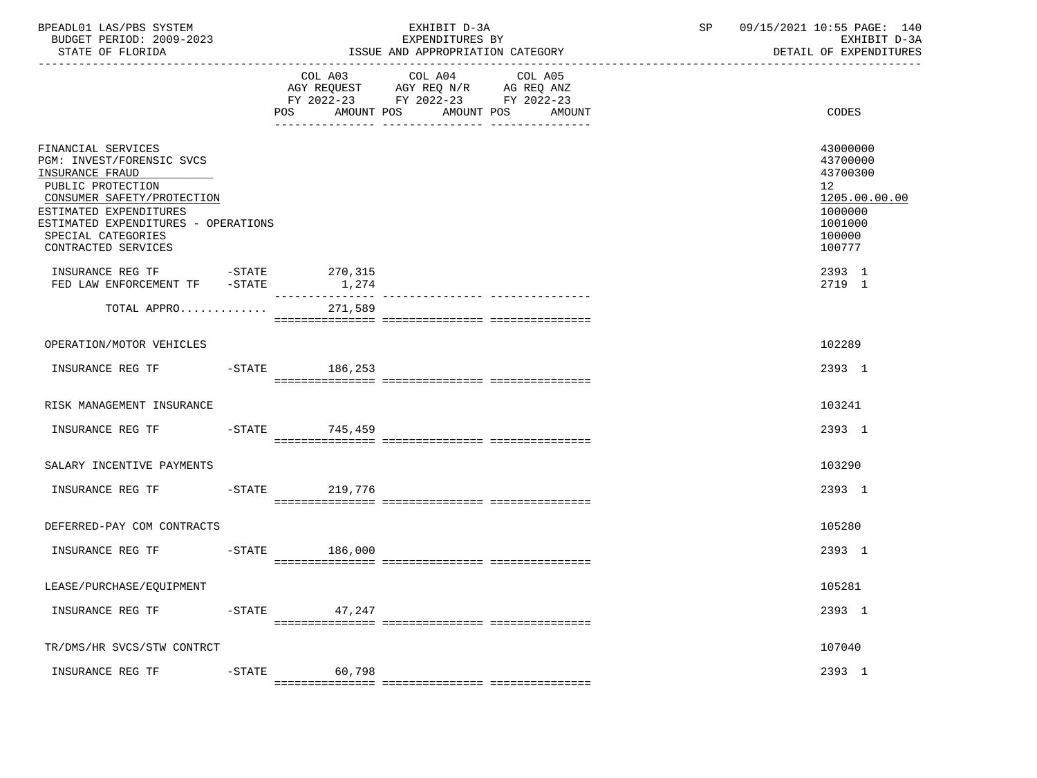| BPEADL01 LAS/PBS SYSTEM<br>BUDGET PERIOD: 2009-2023<br>STATE OF FLORIDA                                                                                                                                                                                                                                                                                                                          |           |        | EXHIBIT D-3A<br>EXPENDITURES BY<br>ISSUE AND APPROPRIATION CATEGORY                                                                   | SP 09/15/2021 10:55 PAGE: 140<br>EXHIBIT D-3A<br>DETAIL OF EXPENDITURES                                        |  |
|--------------------------------------------------------------------------------------------------------------------------------------------------------------------------------------------------------------------------------------------------------------------------------------------------------------------------------------------------------------------------------------------------|-----------|--------|---------------------------------------------------------------------------------------------------------------------------------------|----------------------------------------------------------------------------------------------------------------|--|
|                                                                                                                                                                                                                                                                                                                                                                                                  |           |        | COL A03 COL A04 COL A05<br>AGY REQUEST AGY REQ N/R AG REQ ANZ<br>FY 2022-23 FY 2022-23 FY 2022-23<br>POS AMOUNT POS AMOUNT POS AMOUNT | CODES                                                                                                          |  |
| FINANCIAL SERVICES<br>PGM: INVEST/FORENSIC SVCS<br>INSURANCE FRAUD<br>PUBLIC PROTECTION<br>CONSUMER SAFETY/PROTECTION<br>ESTIMATED EXPENDITURES<br>ESTIMATED EXPENDITURES - OPERATIONS<br>SPECIAL CATEGORIES<br>CONTRACTED SERVICES                                                                                                                                                              |           |        |                                                                                                                                       | 43000000<br>43700000<br>43700300<br>12 <sub>2</sub><br>1205.00.00.00<br>1000000<br>1001000<br>100000<br>100777 |  |
| INSURANCE REG TF    -STATE    270,315<br>FED LAW ENFORCEMENT TF -STATE                                                                                                                                                                                                                                                                                                                           |           | 1,274  |                                                                                                                                       | 2393 1<br>2719 1                                                                                               |  |
| TOTAL APPRO 271,589                                                                                                                                                                                                                                                                                                                                                                              |           |        |                                                                                                                                       |                                                                                                                |  |
|                                                                                                                                                                                                                                                                                                                                                                                                  |           |        |                                                                                                                                       |                                                                                                                |  |
| OPERATION/MOTOR VEHICLES                                                                                                                                                                                                                                                                                                                                                                         |           |        |                                                                                                                                       | 102289                                                                                                         |  |
| INSURANCE REG TF    -STATE    186,253                                                                                                                                                                                                                                                                                                                                                            |           |        |                                                                                                                                       | 2393 1                                                                                                         |  |
| RISK MANAGEMENT INSURANCE                                                                                                                                                                                                                                                                                                                                                                        |           |        |                                                                                                                                       | 103241                                                                                                         |  |
|                                                                                                                                                                                                                                                                                                                                                                                                  |           |        |                                                                                                                                       | 2393 1                                                                                                         |  |
| SALARY INCENTIVE PAYMENTS                                                                                                                                                                                                                                                                                                                                                                        |           |        |                                                                                                                                       | 103290                                                                                                         |  |
| $\begin{tabular}{llll} \bf{IN SURANCE REG TF} & \hspace*{1.5cm} & \texttt{-STATE} & \hspace*{1.5cm} & \hspace*{1.5cm} & \hspace*{1.5cm} & \hspace*{1.5cm} & \hspace*{1.5cm} & \hspace*{1.5cm} & \hspace*{1.5cm} & \hspace*{1.5cm} & \hspace*{1.5cm} & \hspace*{1.5cm} & \hspace*{1.5cm} & \hspace*{1.5cm} & \hspace*{1.5cm} & \hspace*{1.5cm} & \hspace*{1.5cm} & \hspace*{1.5cm} & \hspace*{1.$ |           |        |                                                                                                                                       | 2393 1                                                                                                         |  |
| DEFERRED-PAY COM CONTRACTS                                                                                                                                                                                                                                                                                                                                                                       |           |        |                                                                                                                                       | 105280                                                                                                         |  |
|                                                                                                                                                                                                                                                                                                                                                                                                  |           |        |                                                                                                                                       | 2393 1                                                                                                         |  |
| LEASE/PURCHASE/EQUIPMENT                                                                                                                                                                                                                                                                                                                                                                         |           |        |                                                                                                                                       | 105281                                                                                                         |  |
| INSURANCE REG TF                                                                                                                                                                                                                                                                                                                                                                                 | $-$ STATE | 47,247 |                                                                                                                                       | 2393 1                                                                                                         |  |
| TR/DMS/HR SVCS/STW CONTRCT                                                                                                                                                                                                                                                                                                                                                                       |           |        |                                                                                                                                       | 107040                                                                                                         |  |
| INSURANCE REG TF                                                                                                                                                                                                                                                                                                                                                                                 | $-$ STATE | 60,798 |                                                                                                                                       | 2393 1                                                                                                         |  |
|                                                                                                                                                                                                                                                                                                                                                                                                  |           |        |                                                                                                                                       |                                                                                                                |  |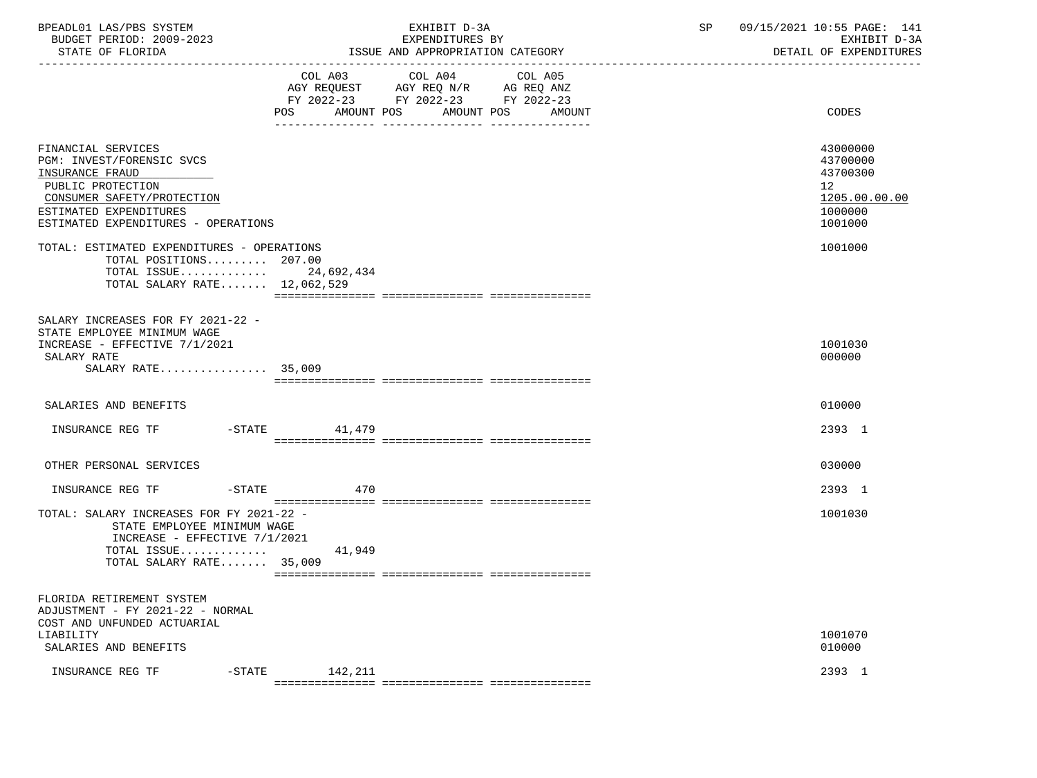| BPEADL01 LAS/PBS SYSTEM<br>BUDGET PERIOD: 2009-2023<br>STATE OF FLORIDA                                                                                                                |     | EXHIBIT D-3A<br>EXPENDITURES BY<br>ISSUE AND APPROPRIATION CATEGORY                                                                     | 09/15/2021 10:55 PAGE: 141<br>SP<br>EXHIBIT D-3A<br>DETAIL OF EXPENDITURES    |
|----------------------------------------------------------------------------------------------------------------------------------------------------------------------------------------|-----|-----------------------------------------------------------------------------------------------------------------------------------------|-------------------------------------------------------------------------------|
|                                                                                                                                                                                        | POS | COL A03 COL A04 COL A05<br>AGY REQUEST AGY REQ N/R AG REQ ANZ<br>FY 2022-23 FY 2022-23 FY 2022-23<br>AMOUNT POS<br>AMOUNT POS<br>AMOUNT | CODES                                                                         |
| FINANCIAL SERVICES<br>PGM: INVEST/FORENSIC SVCS<br>INSURANCE FRAUD<br>PUBLIC PROTECTION<br>CONSUMER SAFETY/PROTECTION<br>ESTIMATED EXPENDITURES<br>ESTIMATED EXPENDITURES - OPERATIONS |     |                                                                                                                                         | 43000000<br>43700000<br>43700300<br>12<br>1205.00.00.00<br>1000000<br>1001000 |
| TOTAL: ESTIMATED EXPENDITURES - OPERATIONS<br>TOTAL POSITIONS 207.00<br>TOTAL ISSUE 24,692,434<br>TOTAL SALARY RATE 12,062,529                                                         |     |                                                                                                                                         | 1001000                                                                       |
| SALARY INCREASES FOR FY 2021-22 -<br>STATE EMPLOYEE MINIMUM WAGE<br>INCREASE - EFFECTIVE 7/1/2021<br>SALARY RATE<br>SALARY RATE 35,009                                                 |     |                                                                                                                                         | 1001030<br>000000                                                             |
| SALARIES AND BENEFITS                                                                                                                                                                  |     |                                                                                                                                         | 010000                                                                        |
| INSURANCE REG TF    -STATE    41,479                                                                                                                                                   |     |                                                                                                                                         | 2393 1                                                                        |
| OTHER PERSONAL SERVICES                                                                                                                                                                |     |                                                                                                                                         | 030000                                                                        |
| INSURANCE REG TF    -STATE    470                                                                                                                                                      |     |                                                                                                                                         | 2393 1                                                                        |
| TOTAL: SALARY INCREASES FOR FY 2021-22 -<br>STATE EMPLOYEE MINIMUM WAGE<br>INCREASE - EFFECTIVE $7/1/2021$<br>TOTAL ISSUE<br>TOTAL SALARY RATE 35,009                                  |     | 41,949                                                                                                                                  | 1001030                                                                       |
| FLORIDA RETIREMENT SYSTEM<br>ADJUSTMENT - FY 2021-22 - NORMAL<br>COST AND UNFUNDED ACTUARIAL<br>LIABILITY<br>SALARIES AND BENEFITS                                                     |     |                                                                                                                                         | 1001070<br>010000                                                             |
| $-$ STATE<br>INSURANCE REG TF                                                                                                                                                          |     | 142,211                                                                                                                                 | 2393 1                                                                        |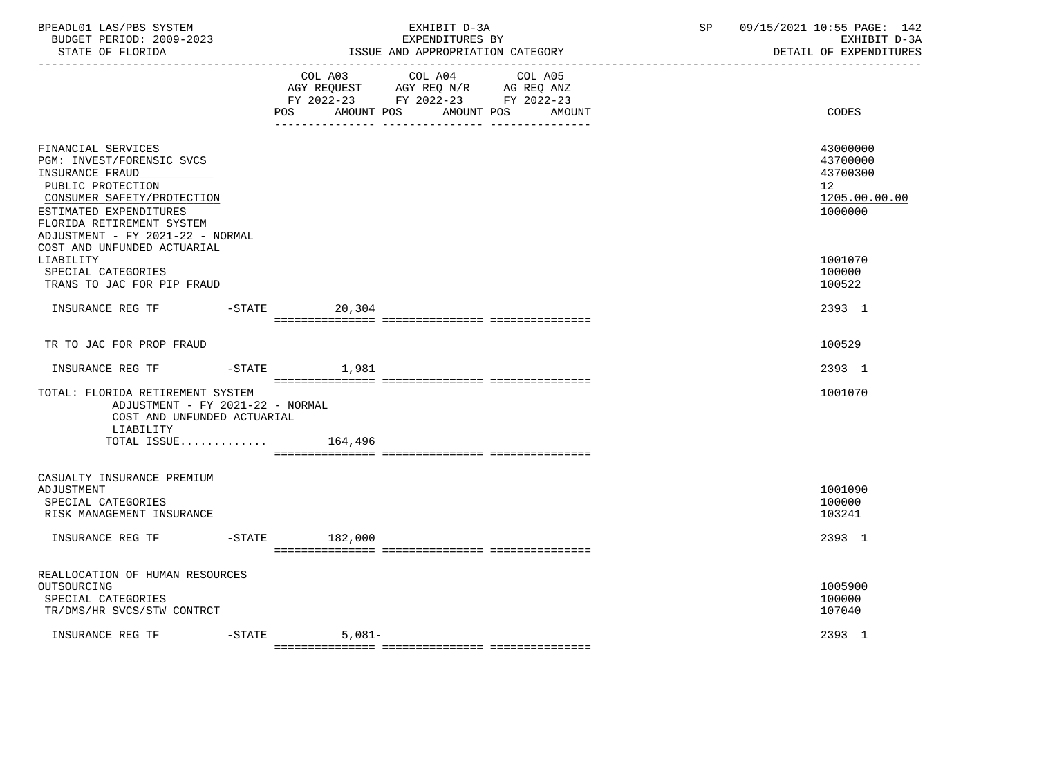| BPEADL01 LAS/PBS SYSTEM<br>BUDGET PERIOD: 2009-2023<br>STATE OF FLORIDA<br>________________________                                                                                                              |          |                  | EXHIBIT D-3A<br>EXPENDITURES BY<br>ISSUE AND APPROPRIATION CATEGORY                                                                                                                                             |                                             | SP and the set of the set of the set of the set of the set of the set of the set of the set of the set of the set of the set of the set of the set of the set of the set of the set of the set of the set of the set of the se | 09/15/2021 10:55 PAGE: 142<br>EXHIBIT D-3A<br>DETAIL OF EXPENDITURES |
|------------------------------------------------------------------------------------------------------------------------------------------------------------------------------------------------------------------|----------|------------------|-----------------------------------------------------------------------------------------------------------------------------------------------------------------------------------------------------------------|---------------------------------------------|--------------------------------------------------------------------------------------------------------------------------------------------------------------------------------------------------------------------------------|----------------------------------------------------------------------|
|                                                                                                                                                                                                                  |          |                  | COL A03 COL A04<br>$\begin{tabular}{lllllll} AGY & \texttt{REQUEST} & \texttt{AGY} & \texttt{REQ} & \texttt{N/R} & \texttt{AG} & \texttt{REQ} & \texttt{ANZ} \end{tabular}$<br>FY 2022-23 FY 2022-23 FY 2022-23 | COL A05<br>POS AMOUNT POS AMOUNT POS AMOUNT |                                                                                                                                                                                                                                | CODES                                                                |
| FINANCIAL SERVICES<br>PGM: INVEST/FORENSIC SVCS<br>INSURANCE FRAUD<br>PUBLIC PROTECTION<br>CONSUMER SAFETY/PROTECTION<br>ESTIMATED EXPENDITURES<br>FLORIDA RETIREMENT SYSTEM<br>ADJUSTMENT - FY 2021-22 - NORMAL |          |                  |                                                                                                                                                                                                                 |                                             |                                                                                                                                                                                                                                | 43000000<br>43700000<br>43700300<br>12<br>1205.00.00.00<br>1000000   |
| COST AND UNFUNDED ACTUARIAL<br>LIABILITY<br>SPECIAL CATEGORIES<br>TRANS TO JAC FOR PIP FRAUD                                                                                                                     |          |                  |                                                                                                                                                                                                                 |                                             |                                                                                                                                                                                                                                | 1001070<br>100000<br>100522                                          |
| INSURANCE REG TF FINITE                                                                                                                                                                                          |          | 20,304           |                                                                                                                                                                                                                 |                                             |                                                                                                                                                                                                                                | 2393 1                                                               |
| TR TO JAC FOR PROP FRAUD                                                                                                                                                                                         |          |                  |                                                                                                                                                                                                                 |                                             |                                                                                                                                                                                                                                | 100529                                                               |
| INSURANCE REG TF                                                                                                                                                                                                 |          | $-STATE$ 1,981   |                                                                                                                                                                                                                 |                                             |                                                                                                                                                                                                                                | 2393 1                                                               |
| TOTAL: FLORIDA RETIREMENT SYSTEM<br>ADJUSTMENT - FY 2021-22 - NORMAL<br>COST AND UNFUNDED ACTUARIAL<br>LIABILITY<br>TOTAL ISSUE                                                                                  |          | 164,496          |                                                                                                                                                                                                                 |                                             |                                                                                                                                                                                                                                | 1001070                                                              |
| CASUALTY INSURANCE PREMIUM<br>ADJUSTMENT<br>SPECIAL CATEGORIES<br>RISK MANAGEMENT INSURANCE                                                                                                                      |          |                  |                                                                                                                                                                                                                 |                                             |                                                                                                                                                                                                                                | 1001090<br>100000<br>103241                                          |
| INSURANCE REG TF                                                                                                                                                                                                 |          | $-STATE$ 182,000 |                                                                                                                                                                                                                 |                                             |                                                                                                                                                                                                                                | 2393 1                                                               |
| REALLOCATION OF HUMAN RESOURCES<br>OUTSOURCING<br>SPECIAL CATEGORIES<br>TR/DMS/HR SVCS/STW CONTRCT                                                                                                               |          |                  |                                                                                                                                                                                                                 |                                             |                                                                                                                                                                                                                                | 1005900<br>100000<br>107040                                          |
| INSURANCE REG TF                                                                                                                                                                                                 | $-STATE$ | $5,081-$         |                                                                                                                                                                                                                 |                                             |                                                                                                                                                                                                                                | 2393 1                                                               |

=============== =============== ===============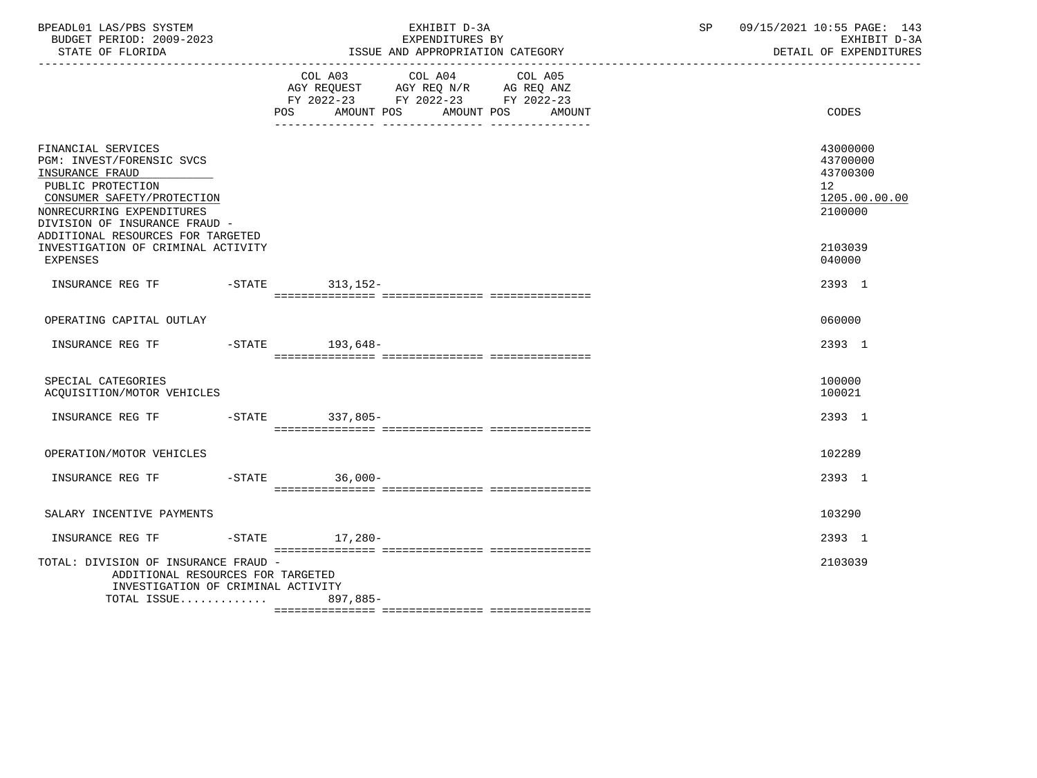| BPEADL01 LAS/PBS SYSTEM<br>BUDGET PERIOD: 2009-2023<br>STATE OF FLORIDA                                                                                                                                                  |     |            |                                                                                                   | EXHIBIT D-3A<br>EXPENDITURES BY<br>ISSUE AND APPROPRIATION CATEGORY |                   | SP | 09/15/2021 10:55 PAGE: 143<br>EXHIBIT D-3A<br>DETAIL OF EXPENDITURES |              |                                                                    |
|--------------------------------------------------------------------------------------------------------------------------------------------------------------------------------------------------------------------------|-----|------------|---------------------------------------------------------------------------------------------------|---------------------------------------------------------------------|-------------------|----|----------------------------------------------------------------------|--------------|--------------------------------------------------------------------|
|                                                                                                                                                                                                                          | POS | AMOUNT POS | COL A03 COL A04 COL A05<br>AGY REQUEST AGY REQ N/R AG REQ ANZ<br>FY 2022-23 FY 2022-23 FY 2022-23 |                                                                     | AMOUNT POS AMOUNT |    |                                                                      | <b>CODES</b> |                                                                    |
| FINANCIAL SERVICES<br>PGM: INVEST/FORENSIC SVCS<br>INSURANCE FRAUD<br>PUBLIC PROTECTION<br>CONSUMER SAFETY/PROTECTION<br>NONRECURRING EXPENDITURES<br>DIVISION OF INSURANCE FRAUD -<br>ADDITIONAL RESOURCES FOR TARGETED |     |            |                                                                                                   |                                                                     |                   |    |                                                                      |              | 43000000<br>43700000<br>43700300<br>12<br>1205.00.00.00<br>2100000 |
| INVESTIGATION OF CRIMINAL ACTIVITY<br><b>EXPENSES</b>                                                                                                                                                                    |     |            |                                                                                                   |                                                                     |                   |    |                                                                      |              | 2103039<br>040000                                                  |
|                                                                                                                                                                                                                          |     |            |                                                                                                   |                                                                     |                   |    |                                                                      |              | 2393 1                                                             |
| OPERATING CAPITAL OUTLAY                                                                                                                                                                                                 |     |            |                                                                                                   |                                                                     |                   |    |                                                                      |              | 060000                                                             |
| INSURANCE REG TF    -STATE    193,648-                                                                                                                                                                                   |     |            |                                                                                                   |                                                                     |                   |    |                                                                      |              | 2393 1                                                             |
| SPECIAL CATEGORIES<br>ACOUISITION/MOTOR VEHICLES                                                                                                                                                                         |     |            |                                                                                                   |                                                                     |                   |    |                                                                      |              | 100000<br>100021                                                   |
| $-STATE$ 337,805-<br>INSURANCE REG TF                                                                                                                                                                                    |     |            |                                                                                                   |                                                                     |                   |    |                                                                      |              | 2393 1                                                             |
| OPERATION/MOTOR VEHICLES                                                                                                                                                                                                 |     |            |                                                                                                   |                                                                     |                   |    |                                                                      |              | 102289                                                             |
| INSURANCE REG TF                                                                                                                                                                                                         |     |            | $-STATE$ 36,000-                                                                                  |                                                                     |                   |    |                                                                      |              | 2393 1                                                             |
| SALARY INCENTIVE PAYMENTS                                                                                                                                                                                                |     |            |                                                                                                   |                                                                     |                   |    |                                                                      |              | 103290                                                             |
| INSURANCE REG TF                                                                                                                                                                                                         |     |            | -STATE 17,280-                                                                                    |                                                                     |                   |    |                                                                      |              | 2393 1                                                             |
| TOTAL: DIVISION OF INSURANCE FRAUD -<br>ADDITIONAL RESOURCES FOR TARGETED<br>INVESTIGATION OF CRIMINAL ACTIVITY<br>TOTAL ISSUE 897,885-                                                                                  |     |            |                                                                                                   |                                                                     |                   |    |                                                                      |              | 2103039                                                            |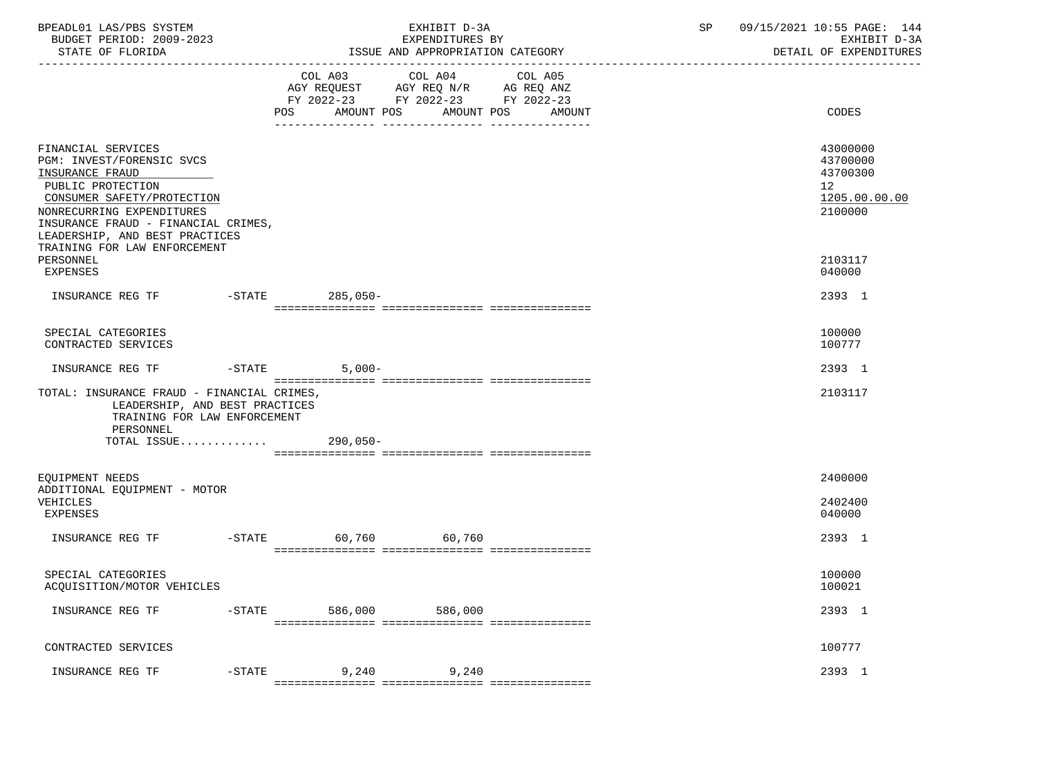| BPEADL01 LAS/PBS SYSTEM<br>BUDGET PERIOD: 2009-2023                                                                                                                                                                         |           |                 | EXHIBIT D-3A<br>EXPENDITURES BY                                                                                           |         | SP | 09/15/2021 10:55 PAGE: 144<br>EXHIBIT D-3A<br>CODES                             |  |
|-----------------------------------------------------------------------------------------------------------------------------------------------------------------------------------------------------------------------------|-----------|-----------------|---------------------------------------------------------------------------------------------------------------------------|---------|----|---------------------------------------------------------------------------------|--|
|                                                                                                                                                                                                                             |           | POS             | COL A03 COL A04<br>AGY REQUEST AGY REQ N/R AG REQ ANZ<br>FY 2022-23 FY 2022-23 FY 2022-23<br>AMOUNT POS AMOUNT POS AMOUNT | COL A05 |    |                                                                                 |  |
|                                                                                                                                                                                                                             |           |                 |                                                                                                                           |         |    |                                                                                 |  |
| FINANCIAL SERVICES<br>PGM: INVEST/FORENSIC SVCS<br>INSURANCE FRAUD<br>PUBLIC PROTECTION<br>CONSUMER SAFETY/PROTECTION<br>NONRECURRING EXPENDITURES<br>INSURANCE FRAUD - FINANCIAL CRIMES,<br>LEADERSHIP, AND BEST PRACTICES |           |                 |                                                                                                                           |         |    | 43000000<br>43700000<br>43700300<br>12 <sup>°</sup><br>1205.00.00.00<br>2100000 |  |
| TRAINING FOR LAW ENFORCEMENT<br>PERSONNEL<br><b>EXPENSES</b>                                                                                                                                                                |           |                 |                                                                                                                           |         |    | 2103117<br>040000                                                               |  |
| INSURANCE REG TF -STATE 285,050-                                                                                                                                                                                            |           |                 |                                                                                                                           |         |    | 2393 1                                                                          |  |
| SPECIAL CATEGORIES<br>CONTRACTED SERVICES                                                                                                                                                                                   |           |                 |                                                                                                                           |         |    | 100000<br>100777                                                                |  |
| INSURANCE REG TF                                                                                                                                                                                                            |           | $-STATE$ 5,000- |                                                                                                                           |         |    | 2393 1                                                                          |  |
| TOTAL: INSURANCE FRAUD - FINANCIAL CRIMES,<br>LEADERSHIP, AND BEST PRACTICES<br>TRAINING FOR LAW ENFORCEMENT<br>PERSONNEL                                                                                                   |           |                 |                                                                                                                           |         |    | 2103117                                                                         |  |
| TOTAL ISSUE                                                                                                                                                                                                                 |           | 290,050-        |                                                                                                                           |         |    |                                                                                 |  |
| EQUIPMENT NEEDS<br>ADDITIONAL EQUIPMENT - MOTOR                                                                                                                                                                             |           |                 |                                                                                                                           |         |    | 2400000                                                                         |  |
| VEHICLES<br>EXPENSES                                                                                                                                                                                                        |           |                 |                                                                                                                           |         |    | 2402400<br>040000                                                               |  |
| INSURANCE REG TF                                                                                                                                                                                                            | $-$ STATE |                 | 60,760 60,760                                                                                                             |         |    | 2393 1                                                                          |  |
| SPECIAL CATEGORIES<br>ACQUISITION/MOTOR VEHICLES                                                                                                                                                                            |           |                 |                                                                                                                           |         |    | 100000<br>100021                                                                |  |
| INSURANCE REG TF                                                                                                                                                                                                            | $-$ STATE | 586,000         | 586,000                                                                                                                   |         |    | 2393 1                                                                          |  |
| CONTRACTED SERVICES                                                                                                                                                                                                         |           |                 |                                                                                                                           |         |    | 100777                                                                          |  |
| INSURANCE REG TF                                                                                                                                                                                                            | $-$ STATE | 9,240           | 9,240                                                                                                                     |         |    | 2393 1                                                                          |  |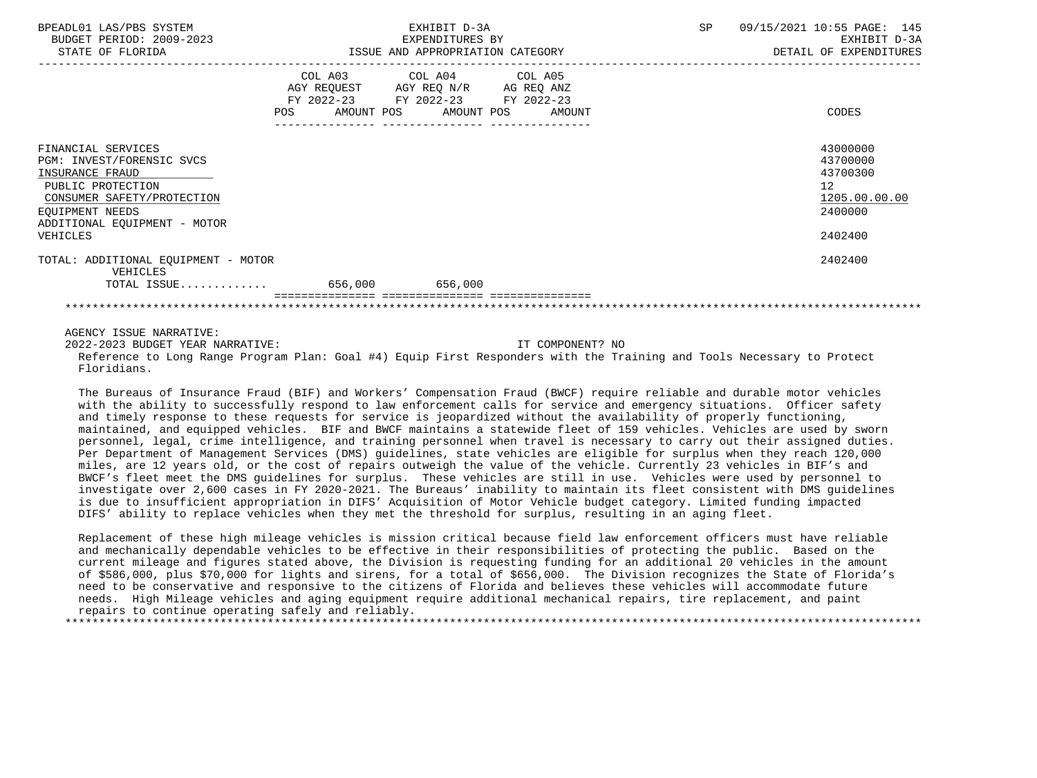| BPEADL01 LAS/PBS SYSTEM<br>BUDGET PERIOD: 2009-2023<br>STATE OF FLORIDA                                                                                                              |            | EXHIBIT D-3A<br>EXPENDITURES BY<br>ISSUE AND APPROPRIATION CATEGORY                                                               | SP | 09/15/2021 10:55 PAGE: 145<br>EXHIBIT D-3A<br>DETAIL OF EXPENDITURES          |
|--------------------------------------------------------------------------------------------------------------------------------------------------------------------------------------|------------|-----------------------------------------------------------------------------------------------------------------------------------|----|-------------------------------------------------------------------------------|
|                                                                                                                                                                                      | <b>POS</b> | COL A03 COL A04 COL A05<br>AGY REQUEST AGY REQ N/R AG REQ ANZ<br>FY 2022-23 FY 2022-23 FY 2022-23<br>AMOUNT POS AMOUNT POS AMOUNT |    | CODES                                                                         |
| FINANCIAL SERVICES<br>PGM: INVEST/FORENSIC SVCS<br>INSURANCE FRAUD<br>PUBLIC PROTECTION<br>CONSUMER SAFETY/PROTECTION<br>EQUIPMENT NEEDS<br>ADDITIONAL EQUIPMENT - MOTOR<br>VEHICLES |            |                                                                                                                                   |    | 43000000<br>43700000<br>43700300<br>12<br>1205.00.00.00<br>2400000<br>2402400 |
| TOTAL: ADDITIONAL EQUIPMENT - MOTOR<br>VEHICLES<br>TOTAL ISSUE 656,000 656,000                                                                                                       |            | -===============                                                                                                                  |    | 2402400                                                                       |
|                                                                                                                                                                                      |            |                                                                                                                                   |    |                                                                               |

 2022-2023 BUDGET YEAR NARRATIVE: IT COMPONENT? NO Reference to Long Range Program Plan: Goal #4) Equip First Responders with the Training and Tools Necessary to Protect Floridians.

 The Bureaus of Insurance Fraud (BIF) and Workers' Compensation Fraud (BWCF) require reliable and durable motor vehicles with the ability to successfully respond to law enforcement calls for service and emergency situations. Officer safety and timely response to these requests for service is jeopardized without the availability of properly functioning, maintained, and equipped vehicles. BIF and BWCF maintains a statewide fleet of 159 vehicles. Vehicles are used by sworn personnel, legal, crime intelligence, and training personnel when travel is necessary to carry out their assigned duties. Per Department of Management Services (DMS) guidelines, state vehicles are eligible for surplus when they reach 120,000 miles, are 12 years old, or the cost of repairs outweigh the value of the vehicle. Currently 23 vehicles in BIF's and BWCF's fleet meet the DMS guidelines for surplus. These vehicles are still in use. Vehicles were used by personnel to investigate over 2,600 cases in FY 2020-2021. The Bureaus' inability to maintain its fleet consistent with DMS guidelines is due to insufficient appropriation in DIFS' Acquisition of Motor Vehicle budget category. Limited funding impacted DIFS' ability to replace vehicles when they met the threshold for surplus, resulting in an aging fleet.

 Replacement of these high mileage vehicles is mission critical because field law enforcement officers must have reliable and mechanically dependable vehicles to be effective in their responsibilities of protecting the public. Based on the current mileage and figures stated above, the Division is requesting funding for an additional 20 vehicles in the amount of \$586,000, plus \$70,000 for lights and sirens, for a total of \$656,000. The Division recognizes the State of Florida's need to be conservative and responsive to the citizens of Florida and believes these vehicles will accommodate future needs. High Mileage vehicles and aging equipment require additional mechanical repairs, tire replacement, and paint repairs to continue operating safely and reliably. \*\*\*\*\*\*\*\*\*\*\*\*\*\*\*\*\*\*\*\*\*\*\*\*\*\*\*\*\*\*\*\*\*\*\*\*\*\*\*\*\*\*\*\*\*\*\*\*\*\*\*\*\*\*\*\*\*\*\*\*\*\*\*\*\*\*\*\*\*\*\*\*\*\*\*\*\*\*\*\*\*\*\*\*\*\*\*\*\*\*\*\*\*\*\*\*\*\*\*\*\*\*\*\*\*\*\*\*\*\*\*\*\*\*\*\*\*\*\*\*\*\*\*\*\*\*\*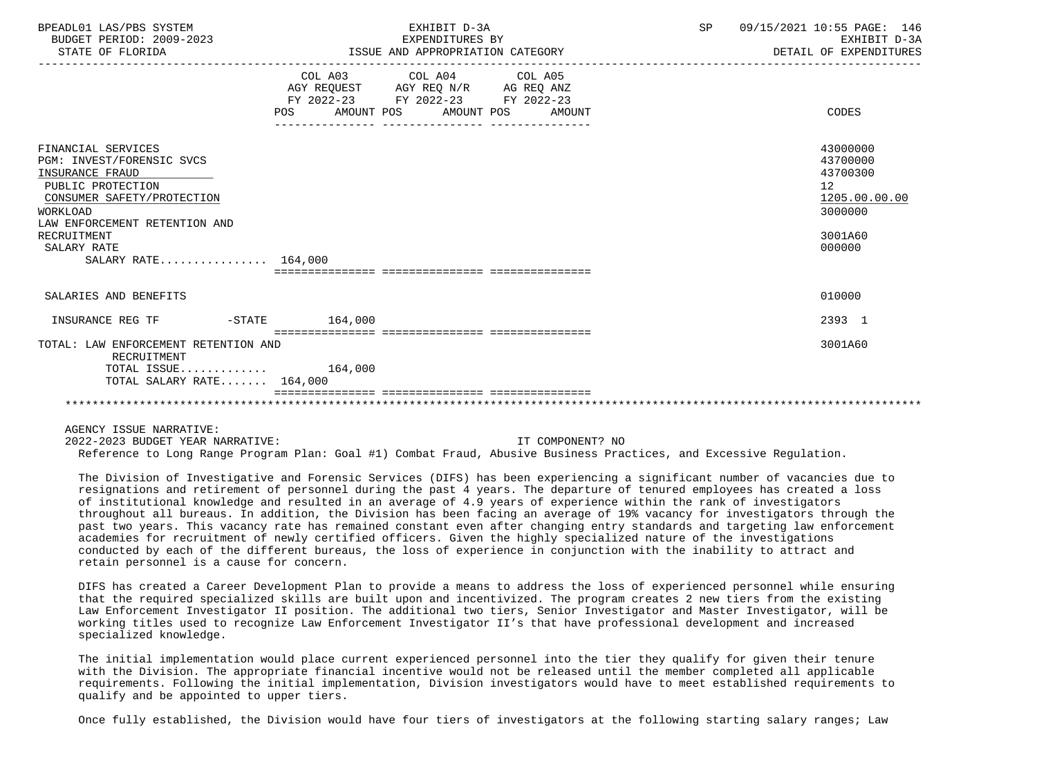| BPEADL01 LAS/PBS SYSTEM<br>BUDGET PERIOD: 2009-2023<br>STATE OF FLORIDA                                                                                                                                                 | EXHIBIT D-3A<br>EXPENDITURES BY<br>ISSUE AND APPROPRIATION CATEGORY                                                                      |        | SP | 09/15/2021 10:55 PAGE: 146<br>EXHIBIT D-3A<br>DETAIL OF EXPENDITURES                                 |
|-------------------------------------------------------------------------------------------------------------------------------------------------------------------------------------------------------------------------|------------------------------------------------------------------------------------------------------------------------------------------|--------|----|------------------------------------------------------------------------------------------------------|
|                                                                                                                                                                                                                         | COL A03 COL A04 COL A05<br>AGY REQUEST AGY REQ N/R AG REQ ANZ<br>FY 2022-23 FY 2022-23 FY 2022-23<br>AMOUNT POS AMOUNT POS<br><b>POS</b> | AMOUNT |    | CODES                                                                                                |
| FINANCIAL SERVICES<br>PGM: INVEST/FORENSIC SVCS<br>INSURANCE FRAUD<br>PUBLIC PROTECTION<br>CONSUMER SAFETY/PROTECTION<br>WORKLOAD<br>LAW ENFORCEMENT RETENTION AND<br>RECRUITMENT<br>SALARY RATE<br>SALARY RATE 164,000 |                                                                                                                                          |        |    | 43000000<br>43700000<br>43700300<br>12 <sup>°</sup><br>1205.00.00.00<br>3000000<br>3001A60<br>000000 |
| SALARIES AND BENEFITS                                                                                                                                                                                                   |                                                                                                                                          |        |    | 010000                                                                                               |
|                                                                                                                                                                                                                         |                                                                                                                                          |        |    |                                                                                                      |
| INSURANCE REG TF                                                                                                                                                                                                        | $-STATE$ 164,000                                                                                                                         |        |    | 2393 1                                                                                               |
| TOTAL: LAW ENFORCEMENT RETENTION AND<br>RECRUITMENT<br>$\text{TOTAL}$ $\text{ISSUE} \dots \dots \dots \dots \dots$ 164,000<br>TOTAL SALARY RATE 164,000                                                                 |                                                                                                                                          |        |    | 3001A60                                                                                              |
|                                                                                                                                                                                                                         |                                                                                                                                          |        |    |                                                                                                      |
| AGENCY ISSUE NARRATIVE:                                                                                                                                                                                                 |                                                                                                                                          |        |    |                                                                                                      |

 2022-2023 BUDGET YEAR NARRATIVE: IT COMPONENT? NO Reference to Long Range Program Plan: Goal #1) Combat Fraud, Abusive Business Practices, and Excessive Regulation.

 The Division of Investigative and Forensic Services (DIFS) has been experiencing a significant number of vacancies due to resignations and retirement of personnel during the past 4 years. The departure of tenured employees has created a loss of institutional knowledge and resulted in an average of 4.9 years of experience within the rank of investigators throughout all bureaus. In addition, the Division has been facing an average of 19% vacancy for investigators through the past two years. This vacancy rate has remained constant even after changing entry standards and targeting law enforcement academies for recruitment of newly certified officers. Given the highly specialized nature of the investigations conducted by each of the different bureaus, the loss of experience in conjunction with the inability to attract and retain personnel is a cause for concern.

 DIFS has created a Career Development Plan to provide a means to address the loss of experienced personnel while ensuring that the required specialized skills are built upon and incentivized. The program creates 2 new tiers from the existing Law Enforcement Investigator II position. The additional two tiers, Senior Investigator and Master Investigator, will be working titles used to recognize Law Enforcement Investigator II's that have professional development and increased specialized knowledge.

 The initial implementation would place current experienced personnel into the tier they qualify for given their tenure with the Division. The appropriate financial incentive would not be released until the member completed all applicable requirements. Following the initial implementation, Division investigators would have to meet established requirements to qualify and be appointed to upper tiers.

Once fully established, the Division would have four tiers of investigators at the following starting salary ranges; Law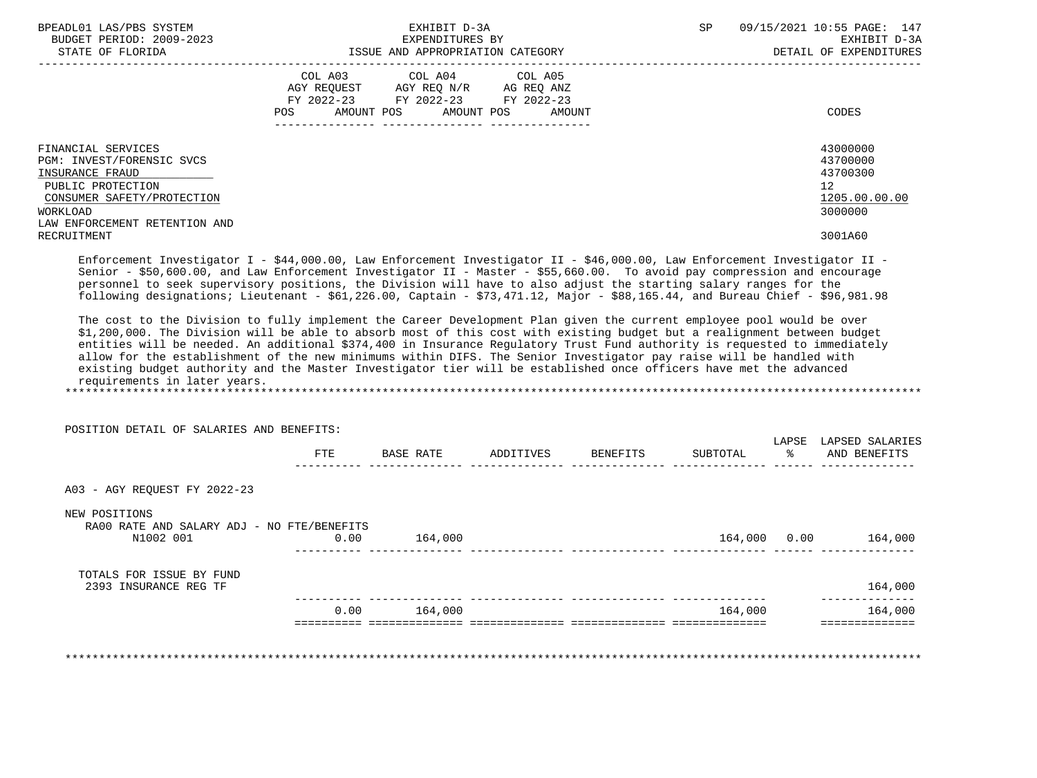| BPEADL01 LAS/PBS SYSTEM<br>BUDGET PERIOD: 2009-2023<br>STATE OF FLORIDA                                                           | EXHIBIT D-3A<br>EXPENDITURES BY<br>ISSUE AND APPROPRIATION CATEGORY                                                                            | 09/15/2021 10:55 PAGE: 147<br><b>SP</b><br>EXHIBIT D-3A<br>DETAIL OF EXPENDITURES |
|-----------------------------------------------------------------------------------------------------------------------------------|------------------------------------------------------------------------------------------------------------------------------------------------|-----------------------------------------------------------------------------------|
|                                                                                                                                   | COL A03 COL A04 COL A05<br>AGY REQUEST AGY REQ N/R<br>AG REQ ANZ<br>FY 2022-23 FY 2022-23 FY 2022-23<br>AMOUNT POS AMOUNT POS<br>AMOUNT<br>POS | CODES                                                                             |
| FINANCIAL SERVICES<br>PGM: INVEST/FORENSIC SVCS<br>INSURANCE FRAUD<br>PUBLIC PROTECTION<br>CONSUMER SAFETY/PROTECTION<br>WORKLOAD |                                                                                                                                                | 43000000<br>43700000<br>43700300<br>$12 \overline{ }$<br>1205.00.00.00<br>3000000 |
| LAW ENFORCEMENT RETENTION AND<br>RECRUITMENT                                                                                      |                                                                                                                                                | 3001A60                                                                           |

 Enforcement Investigator I - \$44,000.00, Law Enforcement Investigator II - \$46,000.00, Law Enforcement Investigator II - Senior - \$50,600.00, and Law Enforcement Investigator II - Master - \$55,660.00. To avoid pay compression and encourage personnel to seek supervisory positions, the Division will have to also adjust the starting salary ranges for the following designations; Lieutenant - \$61,226.00, Captain - \$73,471.12, Major - \$88,165.44, and Bureau Chief - \$96,981.98

 The cost to the Division to fully implement the Career Development Plan given the current employee pool would be over \$1,200,000. The Division will be able to absorb most of this cost with existing budget but a realignment between budget entities will be needed. An additional \$374,400 in Insurance Regulatory Trust Fund authority is requested to immediately allow for the establishment of the new minimums within DIFS. The Senior Investigator pay raise will be handled with existing budget authority and the Master Investigator tier will be established once officers have met the advanced requirements in later years. \*\*\*\*\*\*\*\*\*\*\*\*\*\*\*\*\*\*\*\*\*\*\*\*\*\*\*\*\*\*\*\*\*\*\*\*\*\*\*\*\*\*\*\*\*\*\*\*\*\*\*\*\*\*\*\*\*\*\*\*\*\*\*\*\*\*\*\*\*\*\*\*\*\*\*\*\*\*\*\*\*\*\*\*\*\*\*\*\*\*\*\*\*\*\*\*\*\*\*\*\*\*\*\*\*\*\*\*\*\*\*\*\*\*\*\*\*\*\*\*\*\*\*\*\*\*\*

POSITION DETAIL OF SALARIES AND BENEFITS:

|                                                   | FTE  | <b>BASE RATE</b> | ADDITIVES | BENEFITS | SUBTOTAL | LAPSE<br>ႜၟ | LAPSED SALARIES<br>AND BENEFITS |
|---------------------------------------------------|------|------------------|-----------|----------|----------|-------------|---------------------------------|
| A03 - AGY REQUEST FY 2022-23                      |      |                  |           |          |          |             |                                 |
| NEW POSITIONS                                     |      |                  |           |          |          |             |                                 |
| RA00 RATE AND SALARY ADJ - NO FTE/BENEFITS        |      |                  |           |          |          |             |                                 |
| N1002 001                                         | 0.00 | 164,000          |           |          | 164,000  | 0.00        | 164,000                         |
| TOTALS FOR ISSUE BY FUND<br>2393 INSURANCE REG TF |      |                  |           |          |          |             | 164,000                         |
|                                                   |      |                  |           |          |          |             |                                 |
|                                                   | 0.00 | 164,000          |           |          | 164,000  |             | 164,000                         |
|                                                   |      |                  |           |          |          |             |                                 |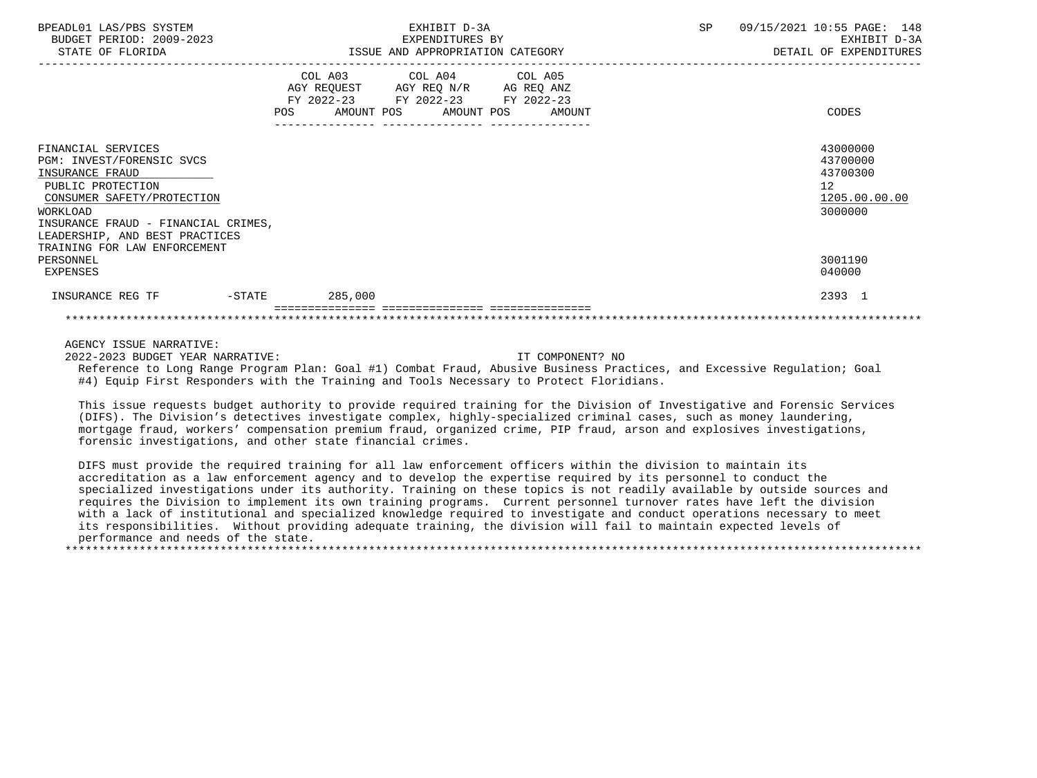| BPEADL01 LAS/PBS SYSTEM<br>BUDGET PERIOD: 2009-2023<br>STATE OF FLORIDA                                                                                                         |         | EXHIBIT D-3A<br>EXPENDITURES BY<br>ISSUE AND APPROPRIATION CATEGORY                                                                   | SP | 09/15/2021 10:55 PAGE: 148<br>EXHIBIT D-3A<br>DETAIL OF EXPENDITURES |
|---------------------------------------------------------------------------------------------------------------------------------------------------------------------------------|---------|---------------------------------------------------------------------------------------------------------------------------------------|----|----------------------------------------------------------------------|
|                                                                                                                                                                                 |         | COL A03 COL A04 COL A05<br>AGY REQUEST AGY REQ N/R AG REQ ANZ<br>FY 2022-23 FY 2022-23 FY 2022-23<br>POS AMOUNT POS AMOUNT POS AMOUNT |    | CODES                                                                |
| FINANCIAL SERVICES<br>PGM: INVEST/FORENSIC SVCS<br>INSURANCE FRAUD<br>PUBLIC PROTECTION<br>CONSUMER SAFETY/PROTECTION<br><b>WORKLOAD</b><br>INSURANCE FRAUD - FINANCIAL CRIMES, |         |                                                                                                                                       |    | 43000000<br>43700000<br>43700300<br>12<br>1205.00.00.00<br>3000000   |
| LEADERSHIP, AND BEST PRACTICES<br>TRAINING FOR LAW ENFORCEMENT<br>PERSONNEL<br>EXPENSES                                                                                         |         |                                                                                                                                       |    | 3001190<br>040000                                                    |
| $-STATE$<br>INSURANCE REG TF                                                                                                                                                    | 285,000 |                                                                                                                                       |    | 2393 1                                                               |

2022-2023 BUDGET YEAR NARRATIVE: IT COMPONENT? NO

 Reference to Long Range Program Plan: Goal #1) Combat Fraud, Abusive Business Practices, and Excessive Regulation; Goal #4) Equip First Responders with the Training and Tools Necessary to Protect Floridians.

 This issue requests budget authority to provide required training for the Division of Investigative and Forensic Services (DIFS). The Division's detectives investigate complex, highly-specialized criminal cases, such as money laundering, mortgage fraud, workers' compensation premium fraud, organized crime, PIP fraud, arson and explosives investigations, forensic investigations, and other state financial crimes.

 DIFS must provide the required training for all law enforcement officers within the division to maintain its accreditation as a law enforcement agency and to develop the expertise required by its personnel to conduct the specialized investigations under its authority. Training on these topics is not readily available by outside sources and requires the Division to implement its own training programs. Current personnel turnover rates have left the division with a lack of institutional and specialized knowledge required to investigate and conduct operations necessary to meet its responsibilities. Without providing adequate training, the division will fail to maintain expected levels of performance and needs of the state.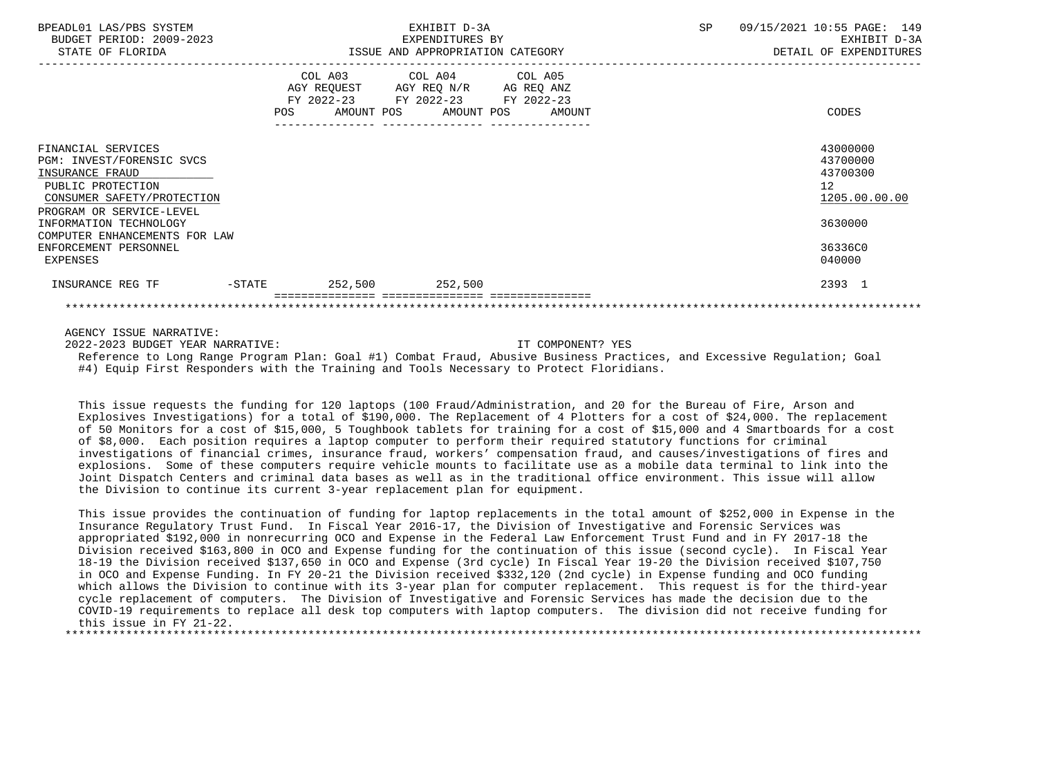| BPEADL01 LAS/PBS SYSTEM<br>BUDGET PERIOD: 2009-2023<br>STATE OF FLORIDA                                                                           |           |                                                                                                                                                         | EXHIBIT D-3A<br>EXPENDITURES BY<br>ISSUE AND APPROPRIATION CATEGORY |                                            | SP<br>09/15/2021 10:55 PAGE: 149<br>EXHIBIT D-3A<br>DETAIL OF EXPENDITURES |                                                                      |  |  |
|---------------------------------------------------------------------------------------------------------------------------------------------------|-----------|---------------------------------------------------------------------------------------------------------------------------------------------------------|---------------------------------------------------------------------|--------------------------------------------|----------------------------------------------------------------------------|----------------------------------------------------------------------|--|--|
|                                                                                                                                                   |           | AGY REOUEST AGY REO N/R<br>FY 2022-23<br>POS FOR THE POST OF THE STATE STATE STATE STATE STATE STATE STATE STATE STATE STATE STATE STATE STATE STATE ST | COL A03 COL A04 COL A05<br>FY 2022-23 FY 2022-23                    | AG REO ANZ<br>AMOUNT POS AMOUNT POS AMOUNT |                                                                            | CODES                                                                |  |  |
| FINANCIAL SERVICES<br>PGM: INVEST/FORENSIC SVCS<br>INSURANCE FRAUD<br>PUBLIC PROTECTION<br>CONSUMER SAFETY/PROTECTION<br>PROGRAM OR SERVICE-LEVEL |           |                                                                                                                                                         |                                                                     |                                            |                                                                            | 43000000<br>43700000<br>43700300<br>12 <sup>°</sup><br>1205.00.00.00 |  |  |
| INFORMATION TECHNOLOGY<br>COMPUTER ENHANCEMENTS FOR LAW                                                                                           |           |                                                                                                                                                         |                                                                     |                                            |                                                                            | 3630000                                                              |  |  |
| ENFORCEMENT PERSONNEL<br>EXPENSES                                                                                                                 |           |                                                                                                                                                         |                                                                     |                                            |                                                                            | 36336C0<br>040000                                                    |  |  |
| INSURANCE REG TF                                                                                                                                  | $-$ STATE | 252,500                                                                                                                                                 | 252,500                                                             |                                            |                                                                            | 2393 1                                                               |  |  |
|                                                                                                                                                   |           |                                                                                                                                                         |                                                                     |                                            |                                                                            |                                                                      |  |  |

2022-2023 BUDGET YEAR NARRATIVE: IT COMPONENT? YES

 Reference to Long Range Program Plan: Goal #1) Combat Fraud, Abusive Business Practices, and Excessive Regulation; Goal #4) Equip First Responders with the Training and Tools Necessary to Protect Floridians.

 This issue requests the funding for 120 laptops (100 Fraud/Administration, and 20 for the Bureau of Fire, Arson and Explosives Investigations) for a total of \$190,000. The Replacement of 4 Plotters for a cost of \$24,000. The replacement of 50 Monitors for a cost of \$15,000, 5 Toughbook tablets for training for a cost of \$15,000 and 4 Smartboards for a cost of \$8,000. Each position requires a laptop computer to perform their required statutory functions for criminal investigations of financial crimes, insurance fraud, workers' compensation fraud, and causes/investigations of fires and explosions. Some of these computers require vehicle mounts to facilitate use as a mobile data terminal to link into the Joint Dispatch Centers and criminal data bases as well as in the traditional office environment. This issue will allow the Division to continue its current 3-year replacement plan for equipment.

 This issue provides the continuation of funding for laptop replacements in the total amount of \$252,000 in Expense in the Insurance Regulatory Trust Fund. In Fiscal Year 2016-17, the Division of Investigative and Forensic Services was appropriated \$192,000 in nonrecurring OCO and Expense in the Federal Law Enforcement Trust Fund and in FY 2017-18 the Division received \$163,800 in OCO and Expense funding for the continuation of this issue (second cycle). In Fiscal Year 18-19 the Division received \$137,650 in OCO and Expense (3rd cycle) In Fiscal Year 19-20 the Division received \$107,750 in OCO and Expense Funding. In FY 20-21 the Division received \$332,120 (2nd cycle) in Expense funding and OCO funding which allows the Division to continue with its 3-year plan for computer replacement. This request is for the third-year cycle replacement of computers. The Division of Investigative and Forensic Services has made the decision due to the COVID-19 requirements to replace all desk top computers with laptop computers. The division did not receive funding for this issue in FY 21-22.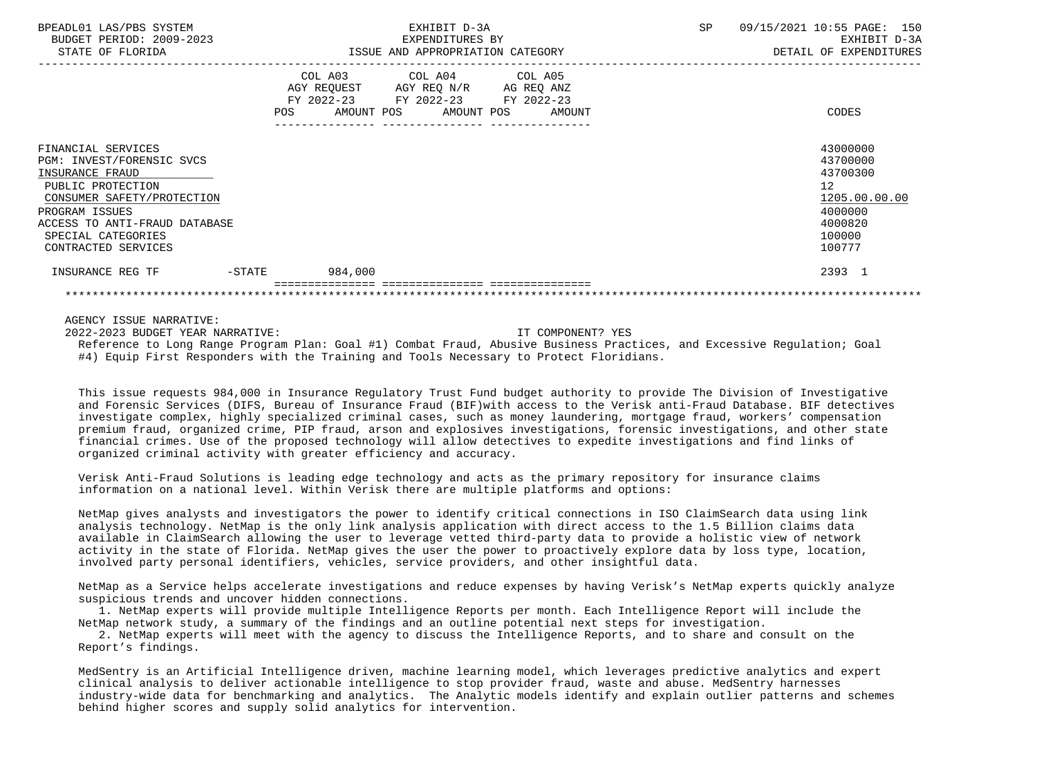| BPEADL01 LAS/PBS SYSTEM<br>BUDGET PERIOD: 2009-2023<br>STATE OF FLORIDA                                                                                                                                               |           | ISSUE AND APPROPRIATION CATEGORY                                                                                           | EXHIBIT D-3A<br>EXPENDITURES BY |        | <b>SP</b><br>09/15/2021 10:55 PAGE: 150<br>EXHIBIT D-3A<br>DETAIL OF EXPENDITURES |                                                                                                   |  |  |
|-----------------------------------------------------------------------------------------------------------------------------------------------------------------------------------------------------------------------|-----------|----------------------------------------------------------------------------------------------------------------------------|---------------------------------|--------|-----------------------------------------------------------------------------------|---------------------------------------------------------------------------------------------------|--|--|
|                                                                                                                                                                                                                       | POS       | COL A03 COL A04 COL A05<br>AGY REQUEST AGY REQ N/R AG REQ ANZ<br>FY 2022-23 FY 2022-23 FY 2022-23<br>AMOUNT POS AMOUNT POS |                                 | AMOUNT |                                                                                   | CODES                                                                                             |  |  |
| FINANCIAL SERVICES<br>PGM: INVEST/FORENSIC SVCS<br>INSURANCE FRAUD<br>PUBLIC PROTECTION<br>CONSUMER SAFETY/PROTECTION<br>PROGRAM ISSUES<br>ACCESS TO ANTI-FRAUD DATABASE<br>SPECIAL CATEGORIES<br>CONTRACTED SERVICES |           |                                                                                                                            |                                 |        |                                                                                   | 43000000<br>43700000<br>43700300<br>12<br>1205.00.00.00<br>4000000<br>4000820<br>100000<br>100777 |  |  |
| INSURANCE REG TF                                                                                                                                                                                                      | $-$ STATE | 984,000                                                                                                                    |                                 |        |                                                                                   | 2393 1                                                                                            |  |  |
|                                                                                                                                                                                                                       |           | ----------------                                                                                                           |                                 |        |                                                                                   |                                                                                                   |  |  |

2022-2023 BUDGET YEAR NARRATIVE: IT COMPONENT? YES

 Reference to Long Range Program Plan: Goal #1) Combat Fraud, Abusive Business Practices, and Excessive Regulation; Goal #4) Equip First Responders with the Training and Tools Necessary to Protect Floridians.

 This issue requests 984,000 in Insurance Regulatory Trust Fund budget authority to provide The Division of Investigative and Forensic Services (DIFS, Bureau of Insurance Fraud (BIF)with access to the Verisk anti-Fraud Database. BIF detectives investigate complex, highly specialized criminal cases, such as money laundering, mortgage fraud, workers' compensation premium fraud, organized crime, PIP fraud, arson and explosives investigations, forensic investigations, and other state financial crimes. Use of the proposed technology will allow detectives to expedite investigations and find links of organized criminal activity with greater efficiency and accuracy.

 Verisk Anti-Fraud Solutions is leading edge technology and acts as the primary repository for insurance claims information on a national level. Within Verisk there are multiple platforms and options:

 NetMap gives analysts and investigators the power to identify critical connections in ISO ClaimSearch data using link analysis technology. NetMap is the only link analysis application with direct access to the 1.5 Billion claims data available in ClaimSearch allowing the user to leverage vetted third-party data to provide a holistic view of network activity in the state of Florida. NetMap gives the user the power to proactively explore data by loss type, location, involved party personal identifiers, vehicles, service providers, and other insightful data.

 NetMap as a Service helps accelerate investigations and reduce expenses by having Verisk's NetMap experts quickly analyze suspicious trends and uncover hidden connections.

 1. NetMap experts will provide multiple Intelligence Reports per month. Each Intelligence Report will include the NetMap network study, a summary of the findings and an outline potential next steps for investigation.

 2. NetMap experts will meet with the agency to discuss the Intelligence Reports, and to share and consult on the Report's findings.

 MedSentry is an Artificial Intelligence driven, machine learning model, which leverages predictive analytics and expert clinical analysis to deliver actionable intelligence to stop provider fraud, waste and abuse. MedSentry harnesses industry-wide data for benchmarking and analytics. The Analytic models identify and explain outlier patterns and schemes behind higher scores and supply solid analytics for intervention.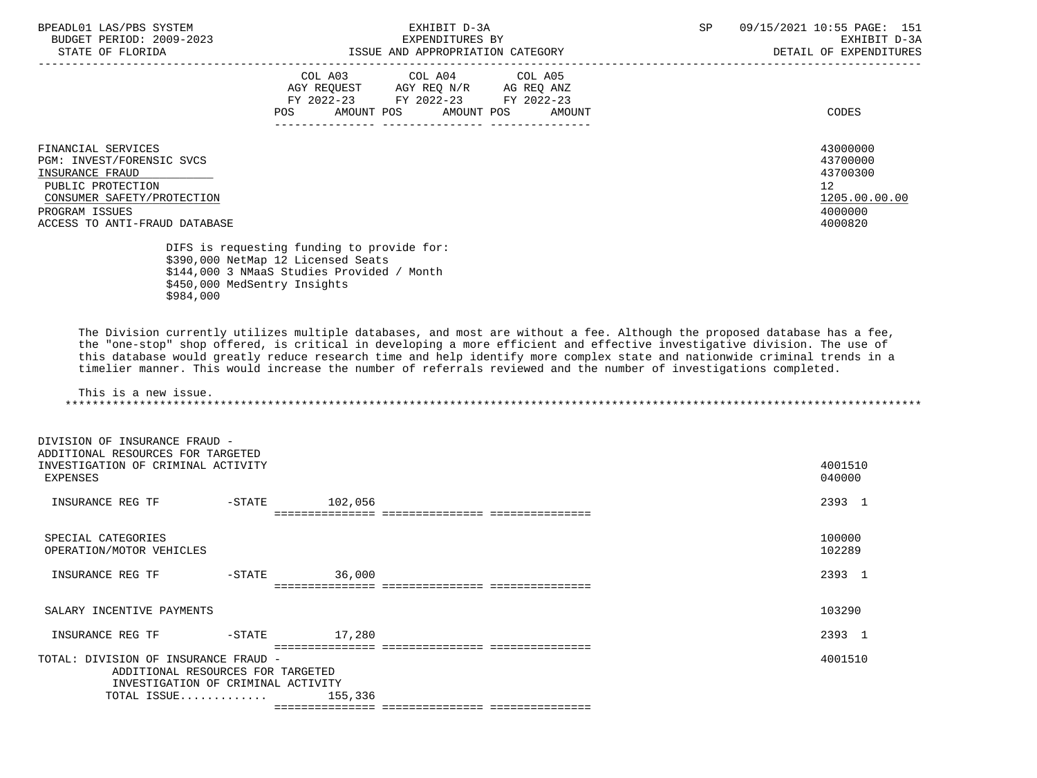| BPEADL01 LAS/PBS SYSTEM<br>BUDGET PERIOD: 2009-2023<br>STATE OF FLORIDA                                                                                                  |                                                                    | EXHIBIT D-3A<br>EXPENDITURES BY<br>ISSUE AND APPROPRIATION CATEGORY                                                   |                                                                                                                   | SP | 09/15/2021 10:55 PAGE: 151<br>EXHIBIT D-3A<br>DETAIL OF EXPENDITURES                                                                                                                                                                                                                                                                                                               |
|--------------------------------------------------------------------------------------------------------------------------------------------------------------------------|--------------------------------------------------------------------|-----------------------------------------------------------------------------------------------------------------------|-------------------------------------------------------------------------------------------------------------------|----|------------------------------------------------------------------------------------------------------------------------------------------------------------------------------------------------------------------------------------------------------------------------------------------------------------------------------------------------------------------------------------|
|                                                                                                                                                                          | <b>POS</b>                                                         | COL A04<br>COL A03<br>AGY REQUEST AGY REQ N/R AG REQ ANZ<br>FY 2022-23 FY 2022-23 FY 2022-23<br>AMOUNT POS AMOUNT POS | COL A05<br>AMOUNT                                                                                                 |    | CODES                                                                                                                                                                                                                                                                                                                                                                              |
| FINANCIAL SERVICES<br>PGM: INVEST/FORENSIC SVCS<br>INSURANCE FRAUD<br>PUBLIC PROTECTION<br>CONSUMER SAFETY/PROTECTION<br>PROGRAM ISSUES<br>ACCESS TO ANTI-FRAUD DATABASE |                                                                    |                                                                                                                       |                                                                                                                   |    | 43000000<br>43700000<br>43700300<br>12 <sup>°</sup><br>1205.00.00.00<br>4000000<br>4000820                                                                                                                                                                                                                                                                                         |
| \$984,000                                                                                                                                                                | \$390,000 NetMap 12 Licensed Seats<br>\$450,000 MedSentry Insights | DIFS is requesting funding to provide for:<br>\$144,000 3 NMaaS Studies Provided / Month                              |                                                                                                                   |    |                                                                                                                                                                                                                                                                                                                                                                                    |
| This is a new issue.                                                                                                                                                     |                                                                    |                                                                                                                       | timelier manner. This would increase the number of referrals reviewed and the number of investigations completed. |    | The Division currently utilizes multiple databases, and most are without a fee. Although the proposed database has a fee,<br>the "one-stop" shop offered, is critical in developing a more efficient and effective investigative division. The use of<br>this database would greatly reduce research time and help identify more complex state and nationwide criminal trends in a |
| DIVISION OF INSURANCE FRAUD -<br>ADDITIONAL RESOURCES FOR TARGETED<br>INVESTIGATION OF CRIMINAL ACTIVITY<br>EXPENSES                                                     |                                                                    |                                                                                                                       |                                                                                                                   |    | 4001510<br>040000                                                                                                                                                                                                                                                                                                                                                                  |
| INSURANCE REG TF                                                                                                                                                         | $-$ STATE                                                          | 102,056                                                                                                               |                                                                                                                   |    | 2393 1                                                                                                                                                                                                                                                                                                                                                                             |
| SPECIAL CATEGORIES<br>OPERATION/MOTOR VEHICLES                                                                                                                           |                                                                    |                                                                                                                       |                                                                                                                   |    | 100000<br>102289                                                                                                                                                                                                                                                                                                                                                                   |
| INSURANCE REG TF                                                                                                                                                         | $-STATE$                                                           | 36,000                                                                                                                |                                                                                                                   |    | 2393 1                                                                                                                                                                                                                                                                                                                                                                             |
| SALARY INCENTIVE PAYMENTS                                                                                                                                                |                                                                    |                                                                                                                       |                                                                                                                   |    | 103290                                                                                                                                                                                                                                                                                                                                                                             |
| INSURANCE REG TF                                                                                                                                                         | $-STATE$ 17,280                                                    |                                                                                                                       |                                                                                                                   |    | 2393 1                                                                                                                                                                                                                                                                                                                                                                             |
| TOTAL: DIVISION OF INSURANCE FRAUD -<br>ADDITIONAL RESOURCES FOR TARGETED                                                                                                |                                                                    |                                                                                                                       |                                                                                                                   |    | 4001510                                                                                                                                                                                                                                                                                                                                                                            |

 TOTAL ISSUE............. 155,336 =============== =============== ===============

INVESTIGATION OF CRIMINAL ACTIVITY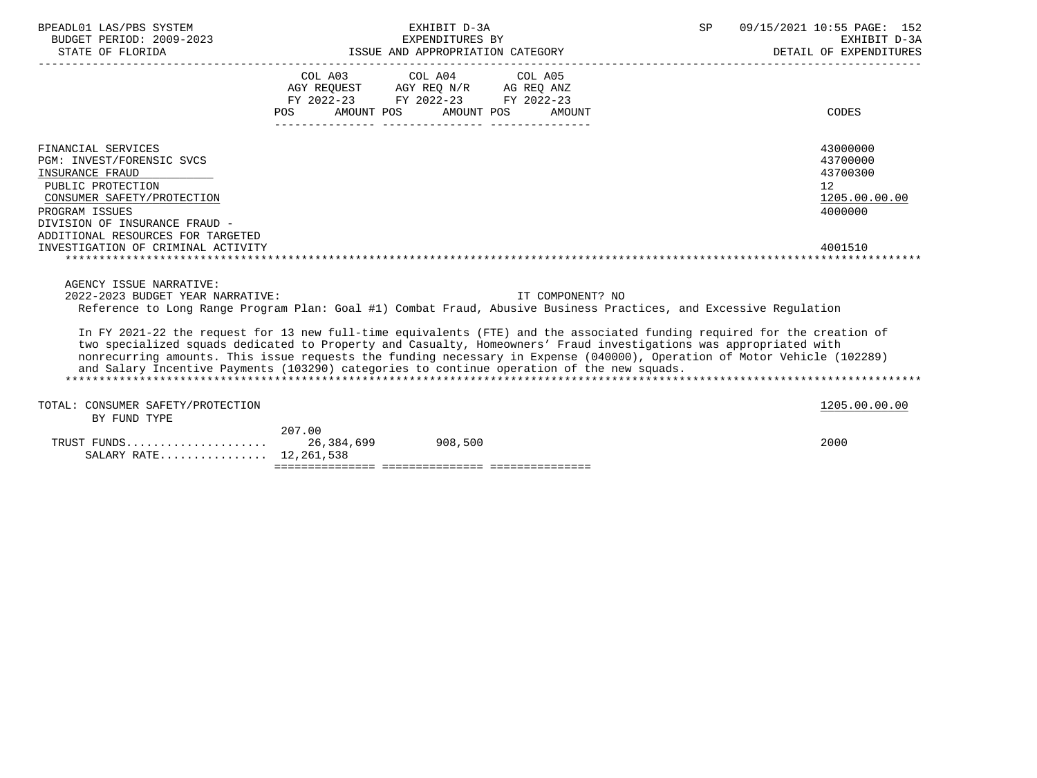| COL A03 COL A04 COL A05<br>$\begin{tabular}{lllllll} \bf AGY & \bf REQUEST & \bf AGY & \bf REQ & \tt N/R & \tt AG & \tt REQ & \tt ANZ \\ \bf FY & \tt 2022-23 & \tt FY & \tt 2022-23 & \tt FY & \tt 2022-23 \\ \end{tabular}$<br>AMOUNT POS AMOUNT POS<br>CODES<br>POS FOR THE POST OF THE STATE STATE STATE STATE STATE STATE STATE STATE STATE STATE STATE STATE STATE STATE ST<br>AMOUNT<br>43000000<br>FINANCIAL SERVICES<br>43700000<br>PGM: INVEST/FORENSIC SVCS<br>43700300<br>INSURANCE FRAUD<br>PUBLIC PROTECTION<br>12<br>CONSUMER SAFETY/PROTECTION<br>1205.00.00.00<br>4000000<br>PROGRAM ISSUES<br>DIVISION OF INSURANCE FRAUD -<br>ADDITIONAL RESOURCES FOR TARGETED<br>INVESTIGATION OF CRIMINAL ACTIVITY<br>4001510<br>AGENCY ISSUE NARRATIVE:<br>2022-2023 BUDGET YEAR NARRATIVE:<br>IT COMPONENT? NO<br>Reference to Long Range Program Plan: Goal #1) Combat Fraud, Abusive Business Practices, and Excessive Regulation<br>In FY 2021-22 the request for 13 new full-time equivalents (FTE) and the associated funding required for the creation of<br>two specialized squads dedicated to Property and Casualty, Homeowners' Fraud investigations was appropriated with<br>nonrecurring amounts. This issue requests the funding necessary in Expense (040000), Operation of Motor Vehicle (102289)<br>and Salary Incentive Payments (103290) categories to continue operation of the new squads.<br>1205.00.00.00<br>TOTAL: CONSUMER SAFETY/PROTECTION<br>BY FUND TYPE<br>207.00<br>2000<br>SALARY RATE 12,261,538 | BPEADL01 LAS/PBS SYSTEM<br>BUDGET PERIOD: 2009-2023<br>STATE OF FLORIDA | EXHIBIT D-3A | SP | 09/15/2021 10:55 PAGE: 152<br>EXHIBIT D-3A<br>DETAIL OF EXPENDITURES |
|------------------------------------------------------------------------------------------------------------------------------------------------------------------------------------------------------------------------------------------------------------------------------------------------------------------------------------------------------------------------------------------------------------------------------------------------------------------------------------------------------------------------------------------------------------------------------------------------------------------------------------------------------------------------------------------------------------------------------------------------------------------------------------------------------------------------------------------------------------------------------------------------------------------------------------------------------------------------------------------------------------------------------------------------------------------------------------------------------------------------------------------------------------------------------------------------------------------------------------------------------------------------------------------------------------------------------------------------------------------------------------------------------------------------------------------------------------------------------------------------------------------------------------------|-------------------------------------------------------------------------|--------------|----|----------------------------------------------------------------------|
|                                                                                                                                                                                                                                                                                                                                                                                                                                                                                                                                                                                                                                                                                                                                                                                                                                                                                                                                                                                                                                                                                                                                                                                                                                                                                                                                                                                                                                                                                                                                          |                                                                         |              |    |                                                                      |
|                                                                                                                                                                                                                                                                                                                                                                                                                                                                                                                                                                                                                                                                                                                                                                                                                                                                                                                                                                                                                                                                                                                                                                                                                                                                                                                                                                                                                                                                                                                                          |                                                                         |              |    |                                                                      |
|                                                                                                                                                                                                                                                                                                                                                                                                                                                                                                                                                                                                                                                                                                                                                                                                                                                                                                                                                                                                                                                                                                                                                                                                                                                                                                                                                                                                                                                                                                                                          |                                                                         |              |    |                                                                      |
|                                                                                                                                                                                                                                                                                                                                                                                                                                                                                                                                                                                                                                                                                                                                                                                                                                                                                                                                                                                                                                                                                                                                                                                                                                                                                                                                                                                                                                                                                                                                          |                                                                         |              |    |                                                                      |
|                                                                                                                                                                                                                                                                                                                                                                                                                                                                                                                                                                                                                                                                                                                                                                                                                                                                                                                                                                                                                                                                                                                                                                                                                                                                                                                                                                                                                                                                                                                                          |                                                                         |              |    |                                                                      |
|                                                                                                                                                                                                                                                                                                                                                                                                                                                                                                                                                                                                                                                                                                                                                                                                                                                                                                                                                                                                                                                                                                                                                                                                                                                                                                                                                                                                                                                                                                                                          |                                                                         |              |    |                                                                      |
|                                                                                                                                                                                                                                                                                                                                                                                                                                                                                                                                                                                                                                                                                                                                                                                                                                                                                                                                                                                                                                                                                                                                                                                                                                                                                                                                                                                                                                                                                                                                          |                                                                         |              |    |                                                                      |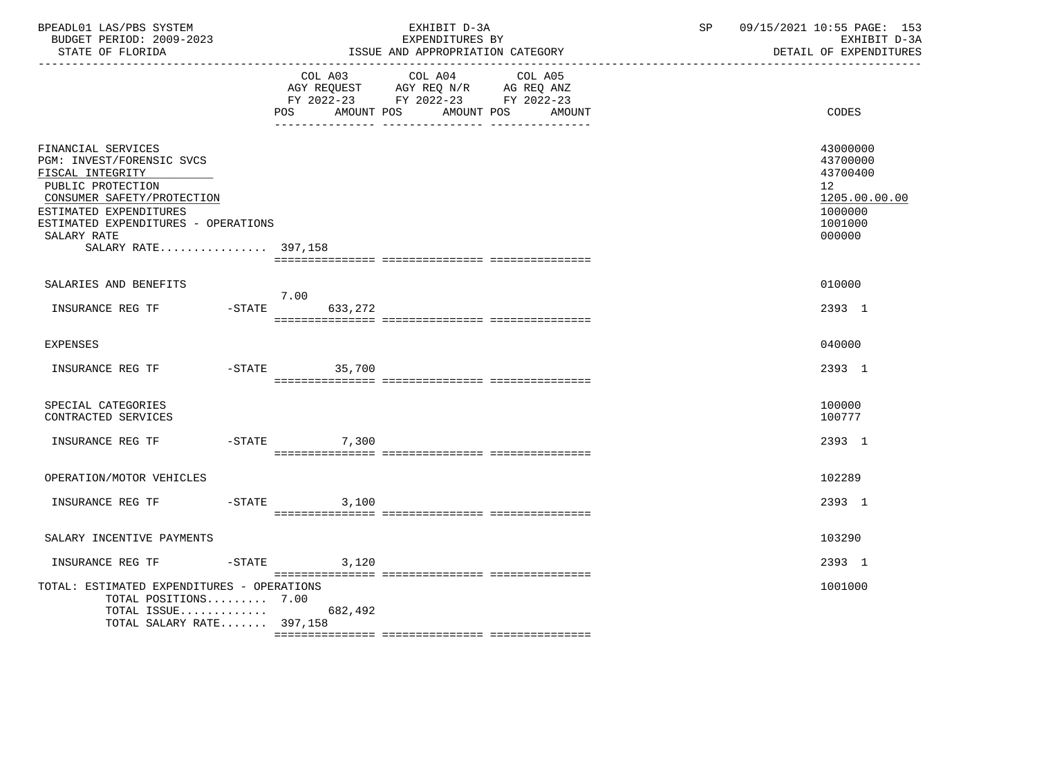| BPEADL01 LAS/PBS SYSTEM<br>BUDGET PERIOD: 2009-2023<br>STATE OF FLORIDA                                                                                                                                                       |                     | EXHIBIT D-3A<br>EXPENDITURES BY<br>ISSUE AND APPROPRIATION CATEGORY                                                       | SP | 09/15/2021 10:55 PAGE: 153<br>EXHIBIT D-3A<br>DETAIL OF EXPENDITURES                    |
|-------------------------------------------------------------------------------------------------------------------------------------------------------------------------------------------------------------------------------|---------------------|---------------------------------------------------------------------------------------------------------------------------|----|-----------------------------------------------------------------------------------------|
|                                                                                                                                                                                                                               | AMOUNT POS<br>POS   | COL A03 COL A04 COL A05<br>AGY REQUEST AGY REQ N/R AG REQ ANZ<br>FY 2022-23 FY 2022-23 FY 2022-23<br>AMOUNT POS<br>AMOUNT |    | CODES                                                                                   |
| FINANCIAL SERVICES<br>PGM: INVEST/FORENSIC SVCS<br>FISCAL INTEGRITY<br>PUBLIC PROTECTION<br>CONSUMER SAFETY/PROTECTION<br>ESTIMATED EXPENDITURES<br>ESTIMATED EXPENDITURES - OPERATIONS<br>SALARY RATE<br>SALARY RATE 397,158 |                     |                                                                                                                           |    | 43000000<br>43700000<br>43700400<br>12<br>1205.00.00.00<br>1000000<br>1001000<br>000000 |
| SALARIES AND BENEFITS                                                                                                                                                                                                         | 7.00                |                                                                                                                           |    | 010000                                                                                  |
| INSURANCE REG TF                                                                                                                                                                                                              | $-STATE$<br>633,272 |                                                                                                                           |    | 2393 1                                                                                  |
| EXPENSES                                                                                                                                                                                                                      |                     |                                                                                                                           |    | 040000                                                                                  |
| INSURANCE REG TF                                                                                                                                                                                                              | $-STATE$ 35,700     |                                                                                                                           |    | 2393 1                                                                                  |
| SPECIAL CATEGORIES<br>CONTRACTED SERVICES                                                                                                                                                                                     |                     |                                                                                                                           |    | 100000<br>100777                                                                        |
| INSURANCE REG TF                                                                                                                                                                                                              | $-STATE$ 7,300      |                                                                                                                           |    | 2393 1                                                                                  |
| OPERATION/MOTOR VEHICLES                                                                                                                                                                                                      |                     |                                                                                                                           |    | 102289                                                                                  |
| INSURANCE REG TF                                                                                                                                                                                                              | $-STATE$ 3,100      |                                                                                                                           |    | 2393 1                                                                                  |
| SALARY INCENTIVE PAYMENTS                                                                                                                                                                                                     |                     |                                                                                                                           |    | 103290                                                                                  |
| INSURANCE REG TF<br>$-STATE$                                                                                                                                                                                                  | 3,120               |                                                                                                                           |    | 2393 1                                                                                  |
| TOTAL: ESTIMATED EXPENDITURES - OPERATIONS<br>TOTAL POSITIONS 7.00<br>TOTAL ISSUE $682,492$<br>TOTAL SALARY RATE 397,158                                                                                                      |                     |                                                                                                                           |    | 1001000                                                                                 |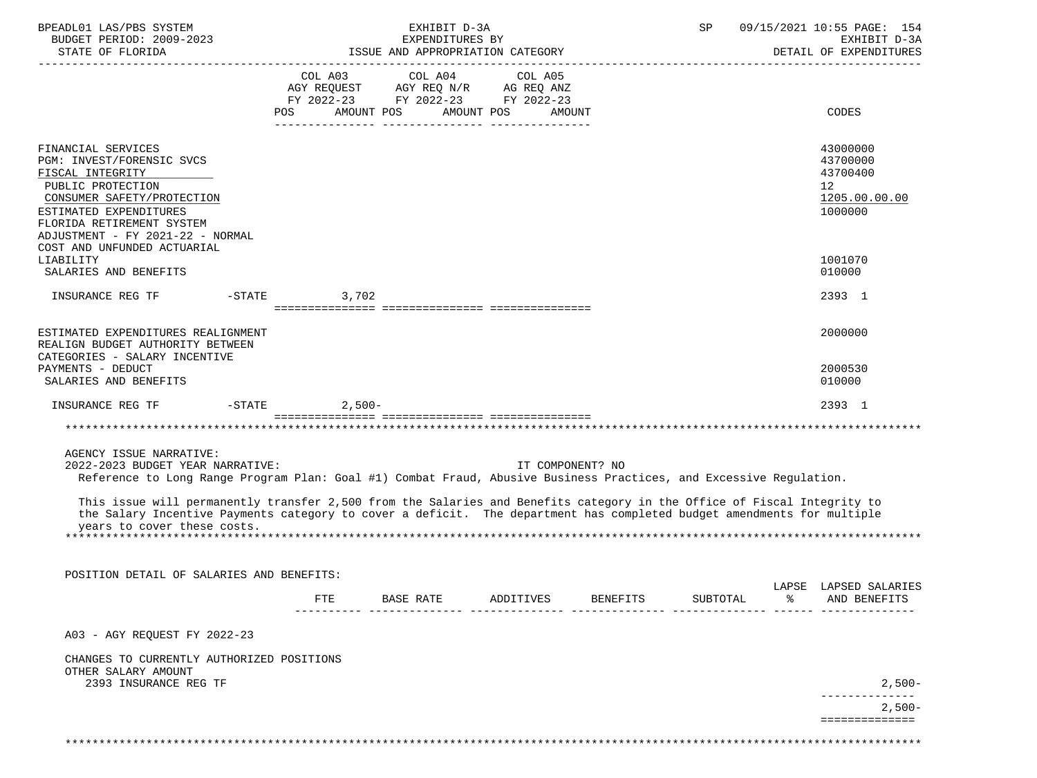| BPEADL01 LAS/PBS SYSTEM<br>EXHIBIT D-3A<br>BUDGET PERIOD: 2009-2023<br>EXPENDITURES BY<br>STATE OF FLORIDA<br>ISSUE AND APPROPRIATION CATEGORY                                                                                                                                   |  |     |          |            |         | SP                                                                                              |                  |  |          |   | 09/15/2021 10:55 PAGE: 154<br>EXHIBIT D-3A<br>DETAIL OF EXPENDITURES          |
|----------------------------------------------------------------------------------------------------------------------------------------------------------------------------------------------------------------------------------------------------------------------------------|--|-----|----------|------------|---------|-------------------------------------------------------------------------------------------------|------------------|--|----------|---|-------------------------------------------------------------------------------|
|                                                                                                                                                                                                                                                                                  |  | POS | COL A03  | AMOUNT POS | COL A04 | COL A05<br>AGY REQUEST AGY REQ N/R AG REQ ANZ<br>FY 2022-23 FY 2022-23 FY 2022-23<br>AMOUNT POS | AMOUNT           |  |          |   | CODES                                                                         |
| FINANCIAL SERVICES<br>PGM: INVEST/FORENSIC SVCS<br>FISCAL INTEGRITY<br>PUBLIC PROTECTION<br>CONSUMER SAFETY/PROTECTION<br>ESTIMATED EXPENDITURES<br>FLORIDA RETIREMENT SYSTEM<br>ADJUSTMENT - FY 2021-22 - NORMAL<br>COST AND UNFUNDED ACTUARIAL<br>LIABILITY                    |  |     |          |            |         |                                                                                                 |                  |  |          |   | 43000000<br>43700000<br>43700400<br>12<br>1205.00.00.00<br>1000000<br>1001070 |
| SALARIES AND BENEFITS                                                                                                                                                                                                                                                            |  |     |          |            |         |                                                                                                 |                  |  |          |   | 010000                                                                        |
| INSURANCE REG TF    -STATE                                                                                                                                                                                                                                                       |  |     | 3,702    |            |         |                                                                                                 |                  |  |          |   | 2393 1                                                                        |
| ESTIMATED EXPENDITURES REALIGNMENT<br>REALIGN BUDGET AUTHORITY BETWEEN<br>CATEGORIES - SALARY INCENTIVE                                                                                                                                                                          |  |     |          |            |         |                                                                                                 |                  |  |          |   | 2000000                                                                       |
| PAYMENTS - DEDUCT<br>SALARIES AND BENEFITS                                                                                                                                                                                                                                       |  |     |          |            |         |                                                                                                 |                  |  |          |   | 2000530<br>010000                                                             |
| INSURANCE REG TF    -STATE                                                                                                                                                                                                                                                       |  |     | $2,500-$ |            |         |                                                                                                 |                  |  |          |   | 2393 1                                                                        |
|                                                                                                                                                                                                                                                                                  |  |     |          |            |         |                                                                                                 |                  |  |          |   |                                                                               |
| AGENCY ISSUE NARRATIVE:<br>2022-2023 BUDGET YEAR NARRATIVE:<br>Reference to Long Range Program Plan: Goal #1) Combat Fraud, Abusive Business Practices, and Excessive Regulation.                                                                                                |  |     |          |            |         |                                                                                                 | IT COMPONENT? NO |  |          |   |                                                                               |
| This issue will permanently transfer 2,500 from the Salaries and Benefits category in the Office of Fiscal Integrity to<br>the Salary Incentive Payments category to cover a deficit. The department has completed budget amendments for multiple<br>years to cover these costs. |  |     |          |            |         |                                                                                                 |                  |  |          |   |                                                                               |
| POSITION DETAIL OF SALARIES AND BENEFITS:                                                                                                                                                                                                                                        |  |     |          |            |         |                                                                                                 |                  |  |          |   |                                                                               |
|                                                                                                                                                                                                                                                                                  |  |     | FTE      | BASE RATE  |         | ADDITIVES                                                                                       | BENEFITS         |  | SUBTOTAL | ႜ | LAPSE LAPSED SALARIES<br>AND BENEFITS                                         |
| A03 - AGY REOUEST FY 2022-23                                                                                                                                                                                                                                                     |  |     |          |            |         |                                                                                                 |                  |  |          |   |                                                                               |
| CHANGES TO CURRENTLY AUTHORIZED POSITIONS<br>OTHER SALARY AMOUNT<br>2393 INSURANCE REG TF                                                                                                                                                                                        |  |     |          |            |         |                                                                                                 |                  |  |          |   | $2,500-$                                                                      |
|                                                                                                                                                                                                                                                                                  |  |     |          |            |         |                                                                                                 |                  |  |          |   | $2,500-$                                                                      |
|                                                                                                                                                                                                                                                                                  |  |     |          |            |         |                                                                                                 |                  |  |          |   | ==============                                                                |
|                                                                                                                                                                                                                                                                                  |  |     |          |            |         |                                                                                                 |                  |  |          |   |                                                                               |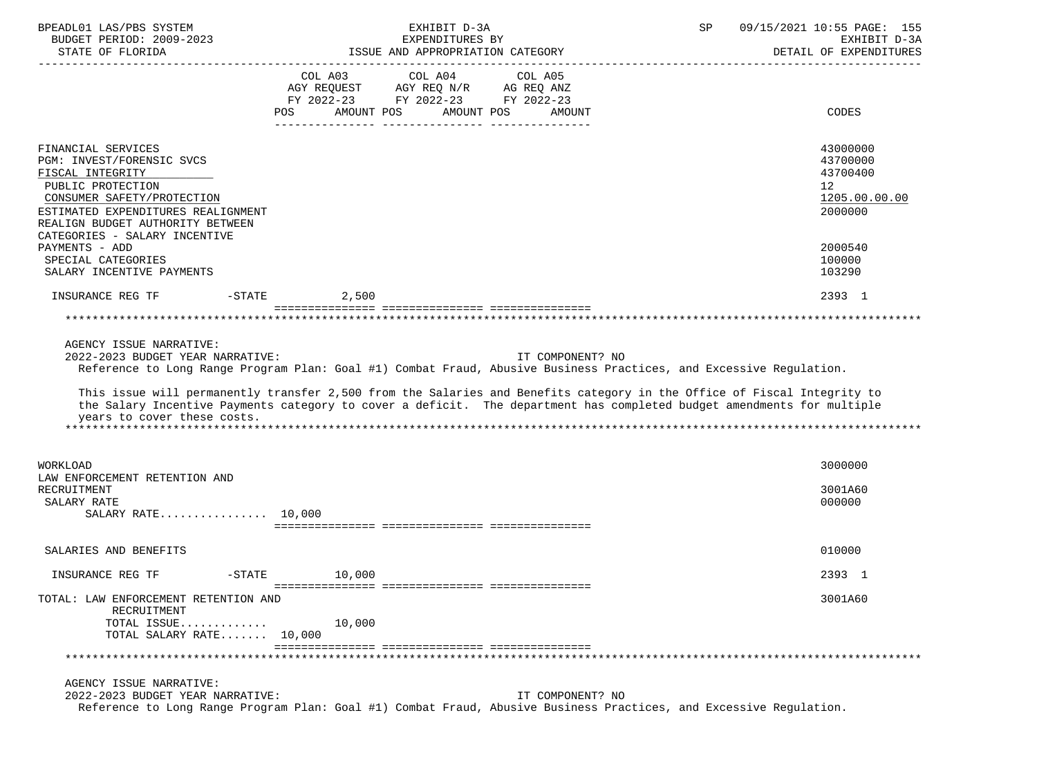| BPEADL01 LAS/PBS SYSTEM              | 09/15/2021 10:55 PAGE: 155<br>SP                                                                                        |                        |  |  |
|--------------------------------------|-------------------------------------------------------------------------------------------------------------------------|------------------------|--|--|
| BUDGET PERIOD: 2009-2023             | EXPENDITURES BY                                                                                                         | EXHIBIT D-3A           |  |  |
| STATE OF FLORIDA                     | ISSUE AND APPROPRIATION CATEGORY                                                                                        | DETAIL OF EXPENDITURES |  |  |
|                                      | COL A03<br>COL A04<br>COL A05                                                                                           |                        |  |  |
|                                      | COL AUS COL AU COL AUS<br>AGY REQUEST AGY REQ N/R AG REQ ANZ                                                            |                        |  |  |
|                                      | FY 2022-23 FY 2022-23 FY 2022-23                                                                                        |                        |  |  |
|                                      | AMOUNT POS<br>AMOUNT POS<br>POS<br>AMOUNT                                                                               | CODES                  |  |  |
|                                      |                                                                                                                         |                        |  |  |
| FINANCIAL SERVICES                   |                                                                                                                         | 43000000               |  |  |
| PGM: INVEST/FORENSIC SVCS            |                                                                                                                         | 43700000               |  |  |
| FISCAL INTEGRITY                     |                                                                                                                         | 43700400               |  |  |
| PUBLIC PROTECTION                    |                                                                                                                         | 12                     |  |  |
| CONSUMER SAFETY/PROTECTION           |                                                                                                                         | 1205.00.00.00          |  |  |
| ESTIMATED EXPENDITURES REALIGNMENT   |                                                                                                                         | 2000000                |  |  |
| REALIGN BUDGET AUTHORITY BETWEEN     |                                                                                                                         |                        |  |  |
| CATEGORIES - SALARY INCENTIVE        |                                                                                                                         |                        |  |  |
| PAYMENTS - ADD                       |                                                                                                                         | 2000540                |  |  |
| SPECIAL CATEGORIES                   |                                                                                                                         | 100000                 |  |  |
| SALARY INCENTIVE PAYMENTS            |                                                                                                                         | 103290                 |  |  |
|                                      |                                                                                                                         |                        |  |  |
| INSURANCE REG TF                     | $-STATE$ 2,500                                                                                                          | 2393 1                 |  |  |
|                                      |                                                                                                                         |                        |  |  |
|                                      |                                                                                                                         |                        |  |  |
| AGENCY ISSUE NARRATIVE:              |                                                                                                                         |                        |  |  |
| 2022-2023 BUDGET YEAR NARRATIVE:     | IT COMPONENT? NO                                                                                                        |                        |  |  |
|                                      | Reference to Long Range Program Plan: Goal #1) Combat Fraud, Abusive Business Practices, and Excessive Regulation.      |                        |  |  |
|                                      |                                                                                                                         |                        |  |  |
|                                      | This issue will permanently transfer 2,500 from the Salaries and Benefits category in the Office of Fiscal Integrity to |                        |  |  |
|                                      | the Salary Incentive Payments category to cover a deficit. The department has completed budget amendments for multiple  |                        |  |  |
| years to cover these costs.          |                                                                                                                         |                        |  |  |
|                                      |                                                                                                                         |                        |  |  |
|                                      |                                                                                                                         |                        |  |  |
| WORKLOAD                             |                                                                                                                         | 3000000                |  |  |
| LAW ENFORCEMENT RETENTION AND        |                                                                                                                         |                        |  |  |
| RECRUITMENT                          |                                                                                                                         | 3001A60                |  |  |
| SALARY RATE                          |                                                                                                                         | 000000                 |  |  |
| SALARY RATE $10,000$                 |                                                                                                                         |                        |  |  |
|                                      |                                                                                                                         |                        |  |  |
| SALARIES AND BENEFITS                |                                                                                                                         | 010000                 |  |  |
|                                      |                                                                                                                         |                        |  |  |
| INSURANCE REG TF                     | $-STATE$ 10,000                                                                                                         | 2393 1                 |  |  |
|                                      |                                                                                                                         |                        |  |  |
| TOTAL: LAW ENFORCEMENT RETENTION AND |                                                                                                                         | 3001A60                |  |  |
| RECRUITMENT                          |                                                                                                                         |                        |  |  |
| TOTAL ISSUE                          | 10,000                                                                                                                  |                        |  |  |
| TOTAL SALARY RATE 10,000             |                                                                                                                         |                        |  |  |
|                                      |                                                                                                                         |                        |  |  |
|                                      |                                                                                                                         |                        |  |  |
| AGENCY ISSUE NARRATIVE:              |                                                                                                                         |                        |  |  |
| 2022-2023 BUDGET YEAR NARRATIVE:     | IT COMPONENT? NO                                                                                                        |                        |  |  |
|                                      | Reference to Long Range Program Plan: Goal #1) Combat Fraud, Abusive Business Practices, and Excessive Regulation.      |                        |  |  |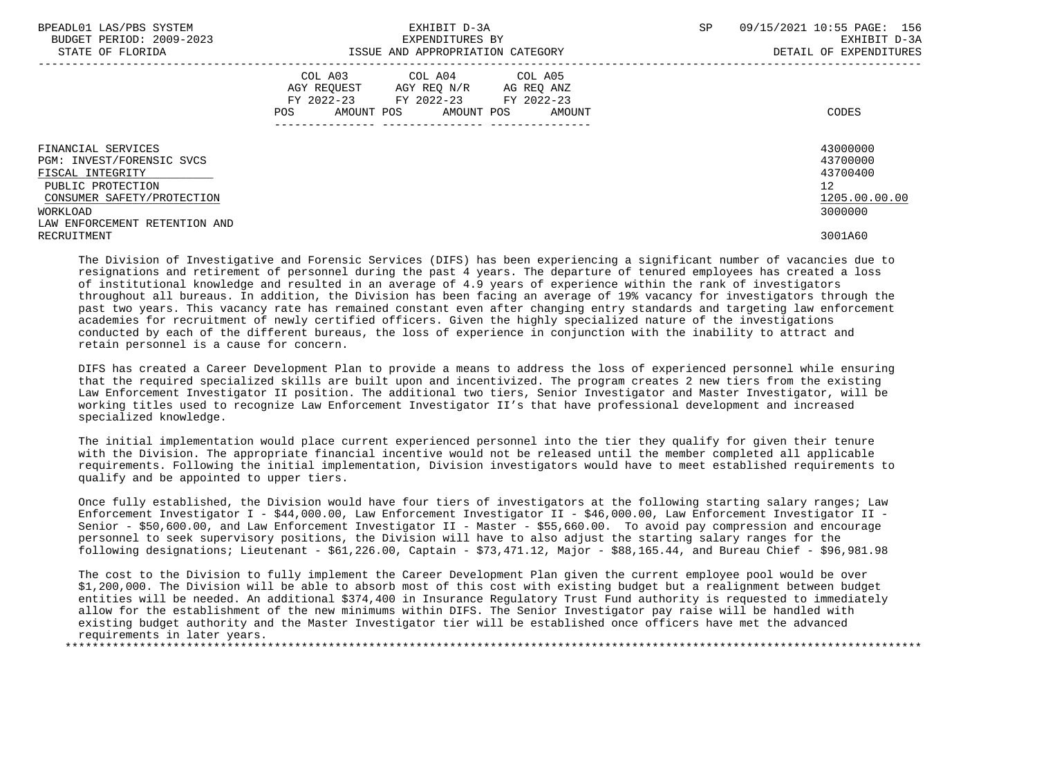| BPEADL01 LAS/PBS SYSTEM       | EXHIBIT D-3A                           | 09/15/2021 10:55 PAGE: 156<br>SP |
|-------------------------------|----------------------------------------|----------------------------------|
| BUDGET PERIOD: 2009-2023      | EXPENDITURES BY                        | EXHIBIT D-3A                     |
| STATE OF FLORIDA              | ISSUE AND APPROPRIATION CATEGORY       | DETAIL OF EXPENDITURES           |
|                               | COL A03 COL A04 COL A05                |                                  |
|                               | AGY REQUEST AGY REQ N/R AG REQ ANZ     |                                  |
|                               | FY 2022-23 FY 2022-23 FY 2022-23       |                                  |
|                               | AMOUNT POS AMOUNT POS<br>POS<br>AMOUNT | CODES                            |
|                               |                                        |                                  |
| FINANCIAL SERVICES            |                                        | 43000000                         |
| PGM: INVEST/FORENSIC SVCS     |                                        | 43700000                         |
| FISCAL INTEGRITY              |                                        | 43700400                         |
| PUBLIC PROTECTION             |                                        | 12 <sup>°</sup>                  |
| CONSUMER SAFETY/PROTECTION    |                                        | 1205.00.00.00                    |
| WORKLOAD                      |                                        | 3000000                          |
| LAW ENFORCEMENT RETENTION AND |                                        |                                  |
| RECRUITMENT                   |                                        | 3001A60                          |

 The Division of Investigative and Forensic Services (DIFS) has been experiencing a significant number of vacancies due to resignations and retirement of personnel during the past 4 years. The departure of tenured employees has created a loss of institutional knowledge and resulted in an average of 4.9 years of experience within the rank of investigators throughout all bureaus. In addition, the Division has been facing an average of 19% vacancy for investigators through the past two years. This vacancy rate has remained constant even after changing entry standards and targeting law enforcement academies for recruitment of newly certified officers. Given the highly specialized nature of the investigations conducted by each of the different bureaus, the loss of experience in conjunction with the inability to attract and retain personnel is a cause for concern.

 DIFS has created a Career Development Plan to provide a means to address the loss of experienced personnel while ensuring that the required specialized skills are built upon and incentivized. The program creates 2 new tiers from the existing Law Enforcement Investigator II position. The additional two tiers, Senior Investigator and Master Investigator, will be working titles used to recognize Law Enforcement Investigator II's that have professional development and increased specialized knowledge.

 The initial implementation would place current experienced personnel into the tier they qualify for given their tenure with the Division. The appropriate financial incentive would not be released until the member completed all applicable requirements. Following the initial implementation, Division investigators would have to meet established requirements to qualify and be appointed to upper tiers.

 Once fully established, the Division would have four tiers of investigators at the following starting salary ranges; Law Enforcement Investigator I - \$44,000.00, Law Enforcement Investigator II - \$46,000.00, Law Enforcement Investigator II - Senior - \$50,600.00, and Law Enforcement Investigator II - Master - \$55,660.00. To avoid pay compression and encourage personnel to seek supervisory positions, the Division will have to also adjust the starting salary ranges for the following designations; Lieutenant - \$61,226.00, Captain - \$73,471.12, Major - \$88,165.44, and Bureau Chief - \$96,981.98

 The cost to the Division to fully implement the Career Development Plan given the current employee pool would be over \$1,200,000. The Division will be able to absorb most of this cost with existing budget but a realignment between budget entities will be needed. An additional \$374,400 in Insurance Regulatory Trust Fund authority is requested to immediately allow for the establishment of the new minimums within DIFS. The Senior Investigator pay raise will be handled with existing budget authority and the Master Investigator tier will be established once officers have met the advanced requirements in later years.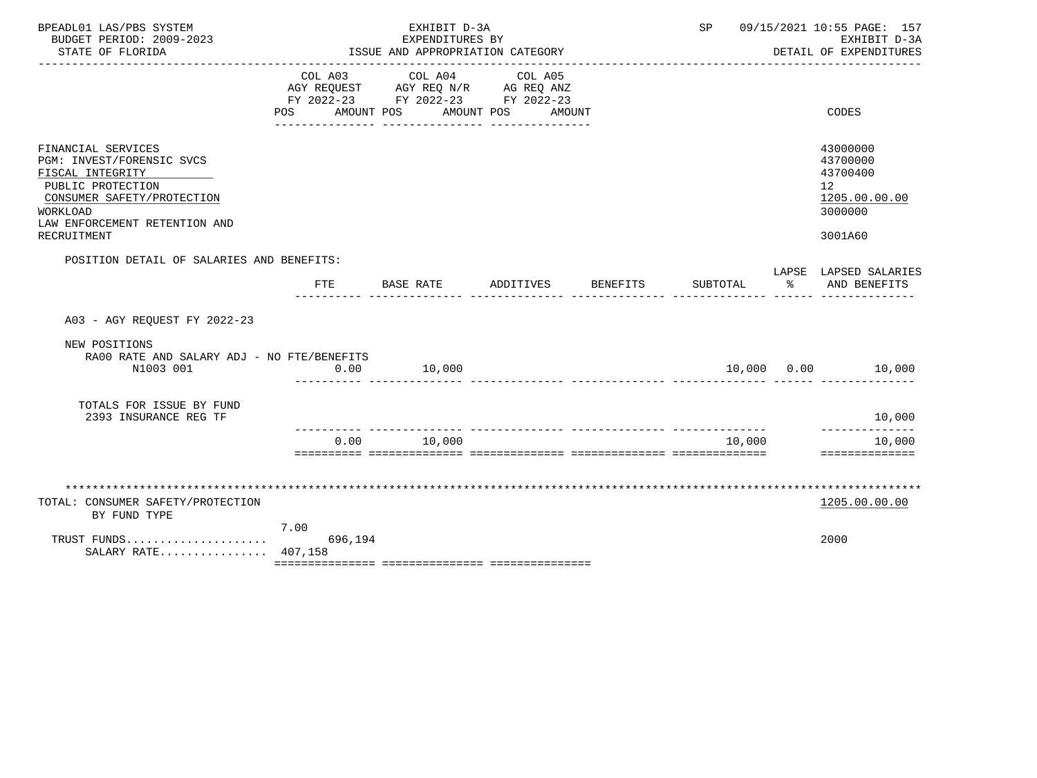| BPEADL01 LAS/PBS SYSTEM<br>BUDGET PERIOD: 2009-2023<br>STATE OF FLORIDA                                                                                                                   |                       | EXHIBIT D-3A<br>EXPENDITURES BY<br>ISSUE AND APPROPRIATION CATEGORY                                           |                   |          | SP       |    | 09/15/2021 10:55 PAGE: 157<br>EXHIBIT D-3A<br>DETAIL OF EXPENDITURES          |
|-------------------------------------------------------------------------------------------------------------------------------------------------------------------------------------------|-----------------------|---------------------------------------------------------------------------------------------------------------|-------------------|----------|----------|----|-------------------------------------------------------------------------------|
|                                                                                                                                                                                           | COL A03<br><b>POS</b> | COL A04<br>AGY REQUEST AGY REQ N/R AG REQ ANZ<br>FY 2022-23 FY 2022-23 FY 2022-23<br>AMOUNT POS<br>AMOUNT POS | COL A05<br>AMOUNT |          |          |    | <b>CODES</b>                                                                  |
| FINANCIAL SERVICES<br>PGM: INVEST/FORENSIC SVCS<br>FISCAL INTEGRITY<br>PUBLIC PROTECTION<br>CONSUMER SAFETY/PROTECTION<br>WORKLOAD<br>LAW ENFORCEMENT RETENTION AND<br><b>RECRUITMENT</b> |                       |                                                                                                               |                   |          |          |    | 43000000<br>43700000<br>43700400<br>12<br>1205.00.00.00<br>3000000<br>3001A60 |
| POSITION DETAIL OF SALARIES AND BENEFITS:                                                                                                                                                 | FTE                   | BASE RATE                                                                                                     | ADDITIVES         | BENEFITS | SUBTOTAL | ႜೢ | LAPSE LAPSED SALARIES<br>AND BENEFITS                                         |
| A03 - AGY REQUEST FY 2022-23                                                                                                                                                              |                       |                                                                                                               |                   |          |          |    |                                                                               |
| NEW POSITIONS<br>RA00 RATE AND SALARY ADJ - NO FTE/BENEFITS<br>N1003 001                                                                                                                  | 0.00                  | 10,000                                                                                                        |                   |          |          |    | 10,000 0.00 10,000                                                            |
| TOTALS FOR ISSUE BY FUND<br>2393 INSURANCE REG TF                                                                                                                                         |                       |                                                                                                               |                   |          |          |    | 10,000                                                                        |
|                                                                                                                                                                                           | 0.00                  | 10,000                                                                                                        |                   |          | 10,000   |    | 10,000<br>==============                                                      |
| TOTAL: CONSUMER SAFETY/PROTECTION<br>BY FUND TYPE                                                                                                                                         | 7.00                  |                                                                                                               |                   |          |          |    | 1205.00.00.00                                                                 |
| TRUST FUNDS<br>SALARY RATE 407,158                                                                                                                                                        | 696,194               |                                                                                                               |                   |          |          |    | 2000                                                                          |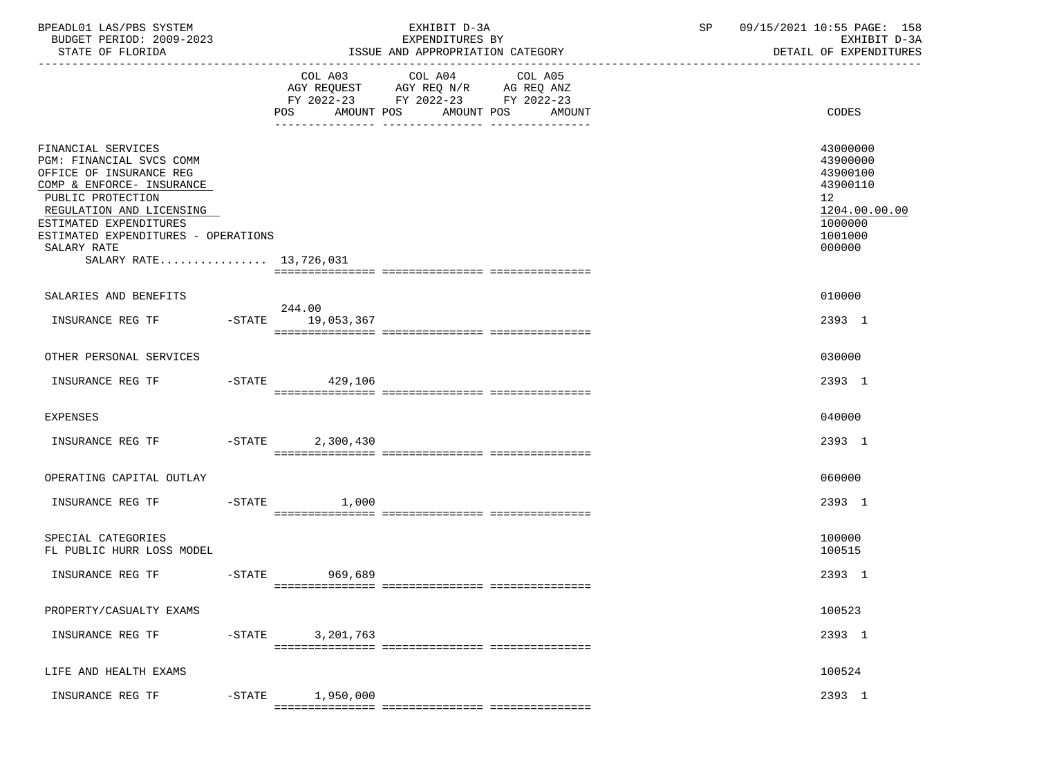| BPEADL01 LAS/PBS SYSTEM<br>BUDGET PERIOD: 2009-2023<br>STATE OF FLORIDA                                                                                                                                                                                           |           |                             | EXHIBIT D-3A<br>EXPENDITURES BY<br>ISSUE AND APPROPRIATION CATEGORY                                                    | SP |                                                                                                                  |  |
|-------------------------------------------------------------------------------------------------------------------------------------------------------------------------------------------------------------------------------------------------------------------|-----------|-----------------------------|------------------------------------------------------------------------------------------------------------------------|----|------------------------------------------------------------------------------------------------------------------|--|
|                                                                                                                                                                                                                                                                   |           | AMOUNT POS<br>POS           | COL A03 COL A04 COL A05<br>AGY REQUEST AGY REQ N/R AG REQ ANZ<br>FY 2022-23 FY 2022-23 FY 2022-23<br>AMOUNT POS AMOUNT |    | CODES                                                                                                            |  |
| FINANCIAL SERVICES<br>PGM: FINANCIAL SVCS COMM<br>OFFICE OF INSURANCE REG<br>COMP & ENFORCE- INSURANCE<br>PUBLIC PROTECTION<br>REGULATION AND LICENSING<br>ESTIMATED EXPENDITURES<br>ESTIMATED EXPENDITURES - OPERATIONS<br>SALARY RATE<br>SALARY RATE 13,726,031 |           |                             |                                                                                                                        |    | 43000000<br>43900000<br>43900100<br>43900110<br>12 <sup>°</sup><br>1204.00.00.00<br>1000000<br>1001000<br>000000 |  |
| SALARIES AND BENEFITS                                                                                                                                                                                                                                             |           |                             |                                                                                                                        |    | 010000                                                                                                           |  |
| INSURANCE REG TF                                                                                                                                                                                                                                                  |           | 244.00<br>-STATE 19,053,367 |                                                                                                                        |    | 2393 1                                                                                                           |  |
| OTHER PERSONAL SERVICES                                                                                                                                                                                                                                           |           |                             |                                                                                                                        |    | 030000                                                                                                           |  |
| INSURANCE REG TF                                                                                                                                                                                                                                                  |           | -STATE 429,106              |                                                                                                                        |    | 2393 1                                                                                                           |  |
| <b>EXPENSES</b>                                                                                                                                                                                                                                                   |           |                             |                                                                                                                        |    | 040000                                                                                                           |  |
| INSURANCE REG TF                                                                                                                                                                                                                                                  | $-$ STATE | 2,300,430                   |                                                                                                                        |    | 2393 1                                                                                                           |  |
| OPERATING CAPITAL OUTLAY                                                                                                                                                                                                                                          |           |                             |                                                                                                                        |    | 060000                                                                                                           |  |
| INSURANCE REG TF                                                                                                                                                                                                                                                  | $-$ STATE | 1,000                       |                                                                                                                        |    | 2393 1                                                                                                           |  |
| SPECIAL CATEGORIES<br>FL PUBLIC HURR LOSS MODEL                                                                                                                                                                                                                   |           |                             |                                                                                                                        |    | 100000<br>100515                                                                                                 |  |
| INSURANCE REG TF                                                                                                                                                                                                                                                  |           | -STATE 969,689              |                                                                                                                        |    | 2393 1                                                                                                           |  |
| PROPERTY/CASUALTY EXAMS                                                                                                                                                                                                                                           |           |                             |                                                                                                                        |    | 100523                                                                                                           |  |
| INSURANCE REG TF                                                                                                                                                                                                                                                  | $-$ STATE | 3,201,763                   |                                                                                                                        |    | 2393 1                                                                                                           |  |
| LIFE AND HEALTH EXAMS                                                                                                                                                                                                                                             |           |                             |                                                                                                                        |    | 100524                                                                                                           |  |
| INSURANCE REG TF                                                                                                                                                                                                                                                  | $-$ STATE | 1,950,000                   |                                                                                                                        |    | 2393 1                                                                                                           |  |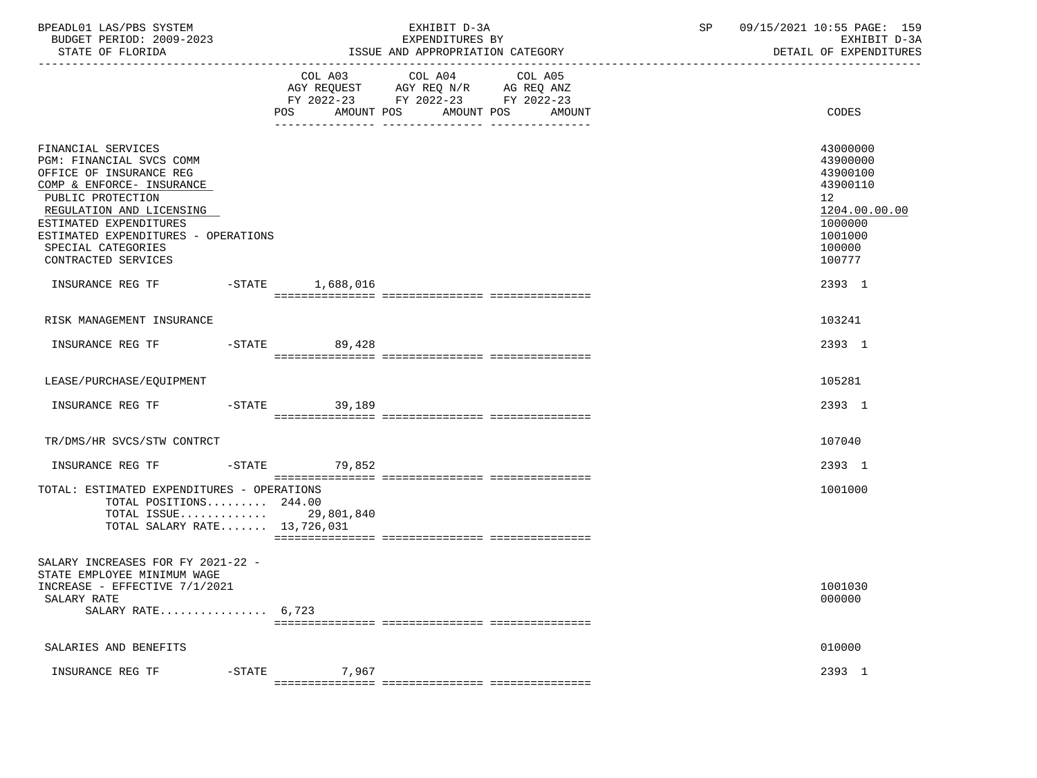| BPEADL01 LAS/PBS SYSTEM<br>BUDGET PERIOD: 2009-2023<br>STATE OF FLORIDA                                                                                                                                                                                                                                                 |                    | EXHIBIT D-3A<br>EXPENDITURES BY<br>ISSUE AND APPROPRIATION CATEGORY                                                                         | SP | 09/15/2021 10:55 PAGE: 159<br>EXHIBIT D-3A<br>DETAIL OF EXPENDITURES                                                    |
|-------------------------------------------------------------------------------------------------------------------------------------------------------------------------------------------------------------------------------------------------------------------------------------------------------------------------|--------------------|---------------------------------------------------------------------------------------------------------------------------------------------|----|-------------------------------------------------------------------------------------------------------------------------|
|                                                                                                                                                                                                                                                                                                                         |                    | COL A03 COL A04<br>COL A05<br>AGY REQUEST AGY REQ N/R AG REQ ANZ<br>FY 2022-23 FY 2022-23 FY 2022-23<br>POS AMOUNT POS AMOUNT POS<br>AMOUNT |    | CODES                                                                                                                   |
| FINANCIAL SERVICES<br><b>PGM: FINANCIAL SVCS COMM</b><br>OFFICE OF INSURANCE REG<br>COMP & ENFORCE- INSURANCE<br>PUBLIC PROTECTION<br>REGULATION AND LICENSING<br>ESTIMATED EXPENDITURES<br>ESTIMATED EXPENDITURES - OPERATIONS<br>SPECIAL CATEGORIES<br>CONTRACTED SERVICES<br>INSURANCE REG TF    -STATE    1,688,016 |                    |                                                                                                                                             |    | 43000000<br>43900000<br>43900100<br>43900110<br>12<br>1204.00.00.00<br>1000000<br>1001000<br>100000<br>100777<br>2393 1 |
| RISK MANAGEMENT INSURANCE                                                                                                                                                                                                                                                                                               |                    |                                                                                                                                             |    | 103241                                                                                                                  |
|                                                                                                                                                                                                                                                                                                                         |                    |                                                                                                                                             |    |                                                                                                                         |
| INSURANCE REG TF    -STATE                                                                                                                                                                                                                                                                                              | 89,428             |                                                                                                                                             |    | 2393 1                                                                                                                  |
| LEASE/PURCHASE/EQUIPMENT                                                                                                                                                                                                                                                                                                |                    |                                                                                                                                             |    | 105281                                                                                                                  |
|                                                                                                                                                                                                                                                                                                                         |                    |                                                                                                                                             |    | 2393 1                                                                                                                  |
| TR/DMS/HR SVCS/STW CONTRCT                                                                                                                                                                                                                                                                                              |                    |                                                                                                                                             |    | 107040                                                                                                                  |
|                                                                                                                                                                                                                                                                                                                         |                    |                                                                                                                                             |    | 2393 1                                                                                                                  |
| TOTAL: ESTIMATED EXPENDITURES - OPERATIONS<br>TOTAL POSITIONS 244.00<br>TOTAL ISSUE 29,801,840<br>TOTAL SALARY RATE 13,726,031                                                                                                                                                                                          |                    |                                                                                                                                             |    | 1001000                                                                                                                 |
| SALARY INCREASES FOR FY 2021-22 -<br>STATE EMPLOYEE MINIMUM WAGE<br>INCREASE - EFFECTIVE 7/1/2021<br>SALARY RATE<br>SALARY RATE $6,723$                                                                                                                                                                                 |                    |                                                                                                                                             |    | 1001030<br>000000                                                                                                       |
| SALARIES AND BENEFITS                                                                                                                                                                                                                                                                                                   |                    |                                                                                                                                             |    | 010000                                                                                                                  |
| INSURANCE REG TF                                                                                                                                                                                                                                                                                                        | 7,967<br>$-$ STATE |                                                                                                                                             |    | 2393 1                                                                                                                  |
|                                                                                                                                                                                                                                                                                                                         |                    |                                                                                                                                             |    |                                                                                                                         |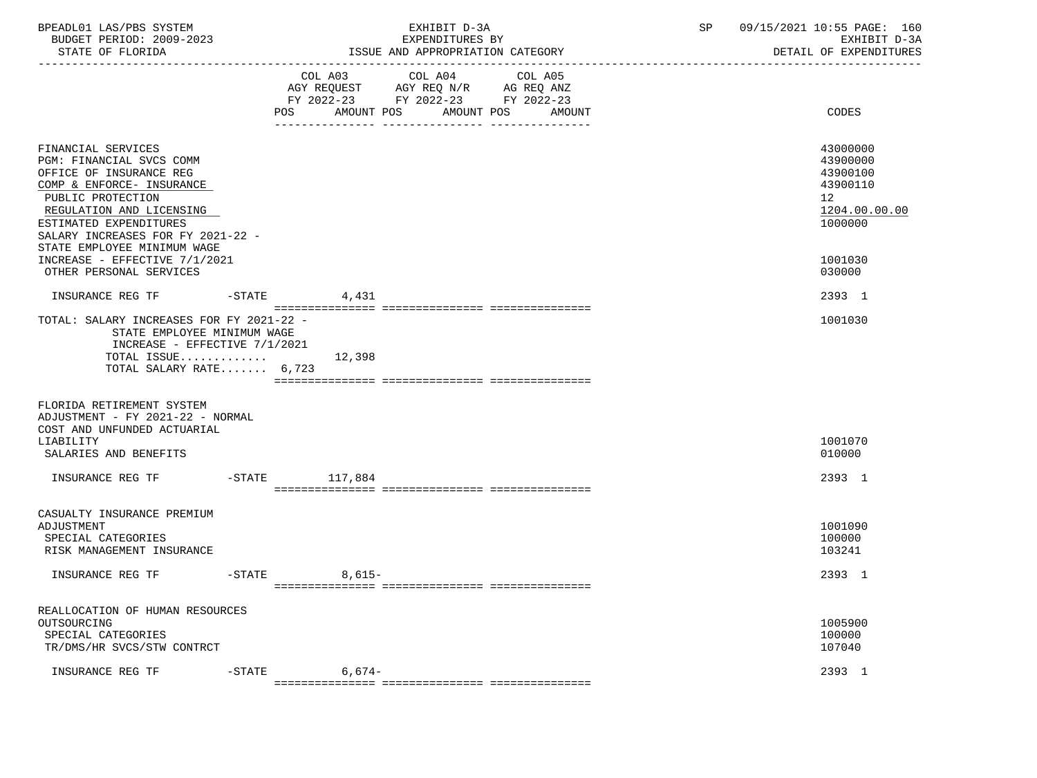| BPEADL01 LAS/PBS SYSTEM<br>BUDGET PERIOD: 2009-2023<br>STATE OF FLORIDA                                                                                                                                                                               |           | EXHIBIT D-3A<br>EXPENDITURES BY<br>ISSUE AND APPROPRIATION CATEGORY |                                                                                                   |                      |  | SP and the set of the set of the set of the set of the set of the set of the set of the set of the set of the set of the set of the set of the set of the set of the set of the set of the set of the set of the set of the se<br>09/15/2021 10:55 PAGE: 160<br>EXHIBIT D-3A<br>DETAIL OF EXPENDITURES |
|-------------------------------------------------------------------------------------------------------------------------------------------------------------------------------------------------------------------------------------------------------|-----------|---------------------------------------------------------------------|---------------------------------------------------------------------------------------------------|----------------------|--|--------------------------------------------------------------------------------------------------------------------------------------------------------------------------------------------------------------------------------------------------------------------------------------------------------|
|                                                                                                                                                                                                                                                       | POS       | AMOUNT POS                                                          | COL A03 COL A04 COL A05<br>AGY REQUEST AGY REQ N/R AG REQ ANZ<br>FY 2022-23 FY 2022-23 FY 2022-23 | AMOUNT POS<br>AMOUNT |  | CODES                                                                                                                                                                                                                                                                                                  |
| FINANCIAL SERVICES<br>PGM: FINANCIAL SVCS COMM<br>OFFICE OF INSURANCE REG<br>COMP & ENFORCE- INSURANCE<br>PUBLIC PROTECTION<br>REGULATION AND LICENSING<br>ESTIMATED EXPENDITURES<br>SALARY INCREASES FOR FY 2021-22 -<br>STATE EMPLOYEE MINIMUM WAGE |           |                                                                     |                                                                                                   |                      |  | 43000000<br>43900000<br>43900100<br>43900110<br>12<br>1204.00.00.00<br>1000000                                                                                                                                                                                                                         |
| INCREASE - EFFECTIVE 7/1/2021<br>OTHER PERSONAL SERVICES                                                                                                                                                                                              |           |                                                                     |                                                                                                   |                      |  | 1001030<br>030000                                                                                                                                                                                                                                                                                      |
| INSURANCE REG TF                                                                                                                                                                                                                                      | $-STATE$  | 4,431                                                               |                                                                                                   |                      |  | 2393 1                                                                                                                                                                                                                                                                                                 |
| TOTAL: SALARY INCREASES FOR FY 2021-22 -<br>STATE EMPLOYEE MINIMUM WAGE<br>INCREASE - EFFECTIVE 7/1/2021<br>TOTAL ISSUE<br>TOTAL SALARY RATE 6,723                                                                                                    |           | 12,398                                                              |                                                                                                   |                      |  | 1001030                                                                                                                                                                                                                                                                                                |
| FLORIDA RETIREMENT SYSTEM<br>ADJUSTMENT - FY 2021-22 - NORMAL<br>COST AND UNFUNDED ACTUARIAL                                                                                                                                                          |           |                                                                     |                                                                                                   |                      |  |                                                                                                                                                                                                                                                                                                        |
| LIABILITY<br>SALARIES AND BENEFITS                                                                                                                                                                                                                    |           |                                                                     |                                                                                                   |                      |  | 1001070<br>010000                                                                                                                                                                                                                                                                                      |
| INSURANCE REG TF                                                                                                                                                                                                                                      |           | -STATE 117,884                                                      |                                                                                                   |                      |  | 2393 1                                                                                                                                                                                                                                                                                                 |
| CASUALTY INSURANCE PREMIUM<br>ADJUSTMENT<br>SPECIAL CATEGORIES<br>RISK MANAGEMENT INSURANCE                                                                                                                                                           |           |                                                                     |                                                                                                   |                      |  | 1001090<br>100000<br>103241                                                                                                                                                                                                                                                                            |
| INSURANCE REG TF                                                                                                                                                                                                                                      | -STATE    | 8,615-                                                              |                                                                                                   |                      |  | 2393 1                                                                                                                                                                                                                                                                                                 |
| REALLOCATION OF HUMAN RESOURCES                                                                                                                                                                                                                       |           |                                                                     |                                                                                                   |                      |  |                                                                                                                                                                                                                                                                                                        |
| OUTSOURCING<br>SPECIAL CATEGORIES<br>TR/DMS/HR SVCS/STW CONTRCT                                                                                                                                                                                       |           |                                                                     |                                                                                                   |                      |  | 1005900<br>100000<br>107040                                                                                                                                                                                                                                                                            |
| INSURANCE REG TF                                                                                                                                                                                                                                      | $-$ STATE | $6,674-$                                                            |                                                                                                   |                      |  | 2393 1                                                                                                                                                                                                                                                                                                 |

=============== =============== ===============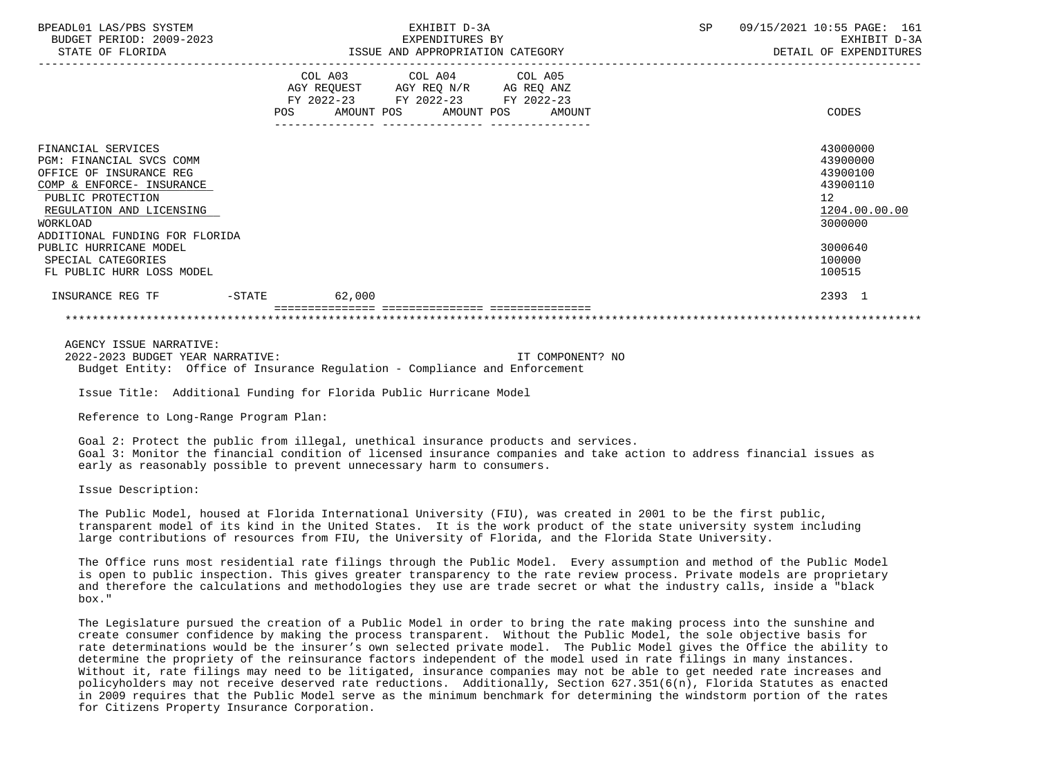| BPEADL01 LAS/PBS SYSTEM<br>BUDGET PERIOD: 2009-2023<br>STATE OF FLORIDA                                                                                                                                                                                                            |        | EXHIBIT D-3A<br>EXPENDITURES BY<br>ISSUE AND APPROPRIATION CATEGORY                                                                   | SP | 09/15/2021 10:55 PAGE: 161<br>EXHIBIT D-3A<br>DETAIL OF EXPENDITURES                                          |  |  |
|------------------------------------------------------------------------------------------------------------------------------------------------------------------------------------------------------------------------------------------------------------------------------------|--------|---------------------------------------------------------------------------------------------------------------------------------------|----|---------------------------------------------------------------------------------------------------------------|--|--|
|                                                                                                                                                                                                                                                                                    |        | COL A03 COL A04 COL A05<br>AGY REQUEST AGY REQ N/R AG REQ ANZ<br>FY 2022-23 FY 2022-23 FY 2022-23<br>POS AMOUNT POS AMOUNT POS AMOUNT |    | CODES                                                                                                         |  |  |
| FINANCIAL SERVICES<br>PGM: FINANCIAL SVCS COMM<br>OFFICE OF INSURANCE REG<br>COMP & ENFORCE- INSURANCE<br>PUBLIC PROTECTION<br>REGULATION AND LICENSING<br>WORKLOAD<br>ADDITIONAL FUNDING FOR FLORIDA<br>PUBLIC HURRICANE MODEL<br>SPECIAL CATEGORIES<br>FL PUBLIC HURR LOSS MODEL |        |                                                                                                                                       |    | 43000000<br>43900000<br>43900100<br>43900110<br>12<br>1204.00.00.00<br>3000000<br>3000640<br>100000<br>100515 |  |  |
| INSURANCE REG TF<br>$-STATE$                                                                                                                                                                                                                                                       | 62,000 |                                                                                                                                       |    | 2393 1                                                                                                        |  |  |
|                                                                                                                                                                                                                                                                                    |        |                                                                                                                                       |    |                                                                                                               |  |  |

 AGENCY ISSUE NARRATIVE: 2022-2023 BUDGET YEAR NARRATIVE: IT COMPONENT? NO Budget Entity: Office of Insurance Regulation - Compliance and Enforcement

Issue Title: Additional Funding for Florida Public Hurricane Model

Reference to Long-Range Program Plan:

 Goal 2: Protect the public from illegal, unethical insurance products and services. Goal 3: Monitor the financial condition of licensed insurance companies and take action to address financial issues as early as reasonably possible to prevent unnecessary harm to consumers.

Issue Description:

 The Public Model, housed at Florida International University (FIU), was created in 2001 to be the first public, transparent model of its kind in the United States. It is the work product of the state university system including large contributions of resources from FIU, the University of Florida, and the Florida State University.

 The Office runs most residential rate filings through the Public Model. Every assumption and method of the Public Model is open to public inspection. This gives greater transparency to the rate review process. Private models are proprietary and therefore the calculations and methodologies they use are trade secret or what the industry calls, inside a "black box."

 The Legislature pursued the creation of a Public Model in order to bring the rate making process into the sunshine and create consumer confidence by making the process transparent. Without the Public Model, the sole objective basis for rate determinations would be the insurer's own selected private model. The Public Model gives the Office the ability to determine the propriety of the reinsurance factors independent of the model used in rate filings in many instances. Without it, rate filings may need to be litigated, insurance companies may not be able to get needed rate increases and policyholders may not receive deserved rate reductions. Additionally, Section 627.351(6(n), Florida Statutes as enacted in 2009 requires that the Public Model serve as the minimum benchmark for determining the windstorm portion of the rates for Citizens Property Insurance Corporation.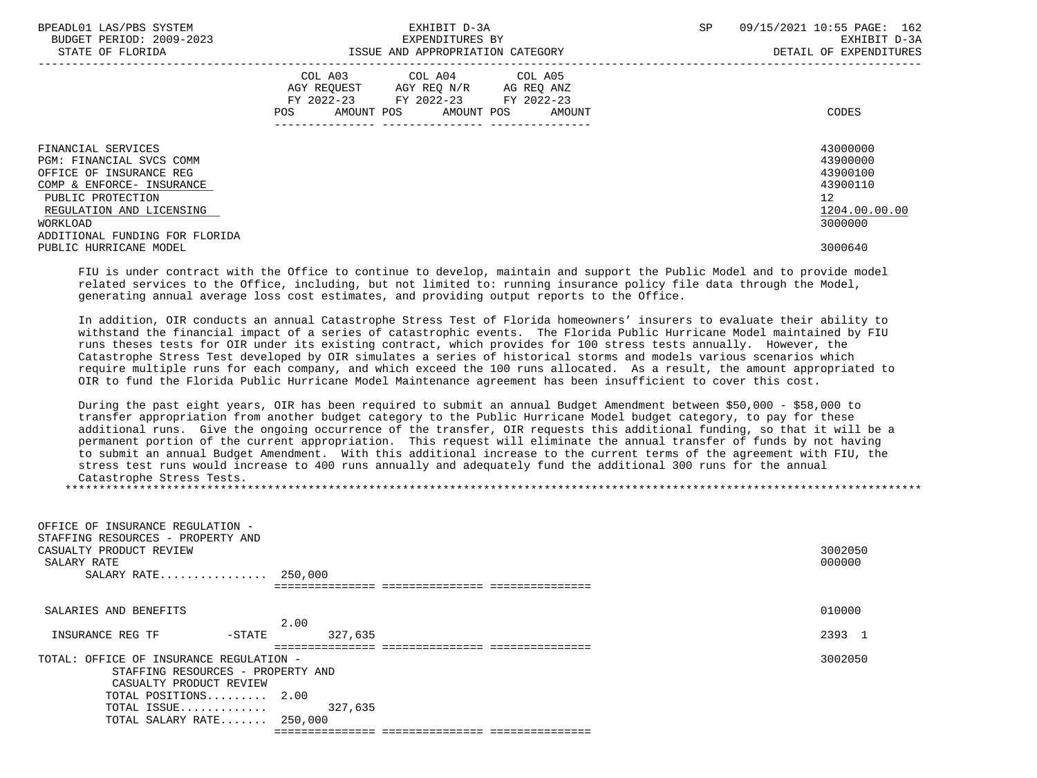| BPEADL01 LAS/PBS SYSTEM<br>BUDGET PERIOD: 2009-2023<br>STATE OF FLORIDA                                | EXHIBIT D-3A<br>EXPENDITURES BY<br>ISSUE AND APPROPRIATION CATEGORY                                                                      | SP<br>09/15/2021 10:55 PAGE: 162<br>EXHIBIT D-3A<br>DETAIL OF EXPENDITURES |
|--------------------------------------------------------------------------------------------------------|------------------------------------------------------------------------------------------------------------------------------------------|----------------------------------------------------------------------------|
|                                                                                                        | COL A03 COL A04 COL A05<br>AGY REQUEST AGY REQ N/R AG REQ ANZ<br>FY 2022-23 FY 2022-23 FY 2022-23<br>POS<br>AMOUNT POS AMOUNT POS AMOUNT | CODES                                                                      |
| FINANCIAL SERVICES<br>PGM: FINANCIAL SVCS COMM<br>OFFICE OF INSURANCE REG<br>COMP & ENFORCE- INSURANCE |                                                                                                                                          | 43000000<br>43900000<br>43900100<br>43900110                               |
| PUBLIC PROTECTION<br>REGULATION AND LICENSING<br>WORKLOAD                                              |                                                                                                                                          | 12<br>1204.00.00.00<br>3000000                                             |
| ADDITIONAL FUNDING FOR FLORIDA<br>PUBLIC HURRICANE MODEL                                               |                                                                                                                                          | 3000640                                                                    |

 FIU is under contract with the Office to continue to develop, maintain and support the Public Model and to provide model related services to the Office, including, but not limited to: running insurance policy file data through the Model, generating annual average loss cost estimates, and providing output reports to the Office.

 In addition, OIR conducts an annual Catastrophe Stress Test of Florida homeowners' insurers to evaluate their ability to withstand the financial impact of a series of catastrophic events. The Florida Public Hurricane Model maintained by FIU runs theses tests for OIR under its existing contract, which provides for 100 stress tests annually. However, the Catastrophe Stress Test developed by OIR simulates a series of historical storms and models various scenarios which require multiple runs for each company, and which exceed the 100 runs allocated. As a result, the amount appropriated to OIR to fund the Florida Public Hurricane Model Maintenance agreement has been insufficient to cover this cost.

 During the past eight years, OIR has been required to submit an annual Budget Amendment between \$50,000 - \$58,000 to transfer appropriation from another budget category to the Public Hurricane Model budget category, to pay for these additional runs. Give the ongoing occurrence of the transfer, OIR requests this additional funding, so that it will be a permanent portion of the current appropriation. This request will eliminate the annual transfer of funds by not having to submit an annual Budget Amendment. With this additional increase to the current terms of the agreement with FIU, the stress test runs would increase to 400 runs annually and adequately fund the additional 300 runs for the annual Catastrophe Stress Tests. \*\*\*\*\*\*\*\*\*\*\*\*\*\*\*\*\*\*\*\*\*\*\*\*\*\*\*\*\*\*\*\*\*\*\*\*\*\*\*\*\*\*\*\*\*\*\*\*\*\*\*\*\*\*\*\*\*\*\*\*\*\*\*\*\*\*\*\*\*\*\*\*\*\*\*\*\*\*\*\*\*\*\*\*\*\*\*\*\*\*\*\*\*\*\*\*\*\*\*\*\*\*\*\*\*\*\*\*\*\*\*\*\*\*\*\*\*\*\*\*\*\*\*\*\*\*\*

| OFFICE OF INSURANCE REGULATION -<br>STAFFING RESOURCES - PROPERTY AND<br>CASUALTY PRODUCT REVIEW<br>SALARY RATE<br>SALARY RATE $250,000$ |        |         | 3002050<br>000000 |
|------------------------------------------------------------------------------------------------------------------------------------------|--------|---------|-------------------|
|                                                                                                                                          |        |         |                   |
| SALARIES AND BENEFITS                                                                                                                    |        | 2.00    | 010000            |
| INSURANCE REG TF                                                                                                                         | -STATE | 327,635 | 2393 1            |
|                                                                                                                                          |        |         |                   |
| TOTAL: OFFICE OF INSURANCE REGULATION -                                                                                                  |        |         | 3002050           |
| STAFFING RESOURCES - PROPERTY AND<br>CASUALTY PRODUCT REVIEW                                                                             |        |         |                   |
| TOTAL POSITIONS 2.00                                                                                                                     |        |         |                   |
| TOTAL ISSUE                                                                                                                              |        | 327,635 |                   |
| TOTAL SALARY RATE 250,000                                                                                                                |        |         |                   |
|                                                                                                                                          |        |         |                   |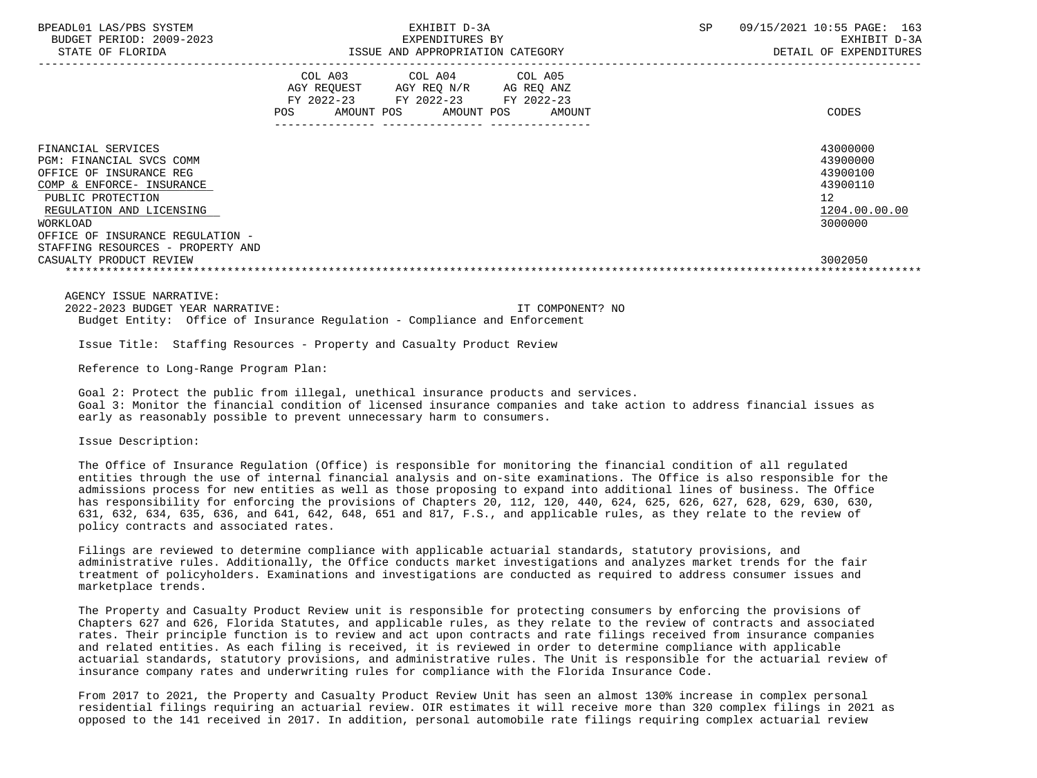| BPEADL01 LAS/PBS SYSTEM<br>BUDGET PERIOD: 2009-2023<br>STATE OF FLORIDA                                                                                                                                 | EXHIBIT D-3A<br>EXPENDITURES BY<br>ISSUE AND APPROPRIATION CATEGORY                                                                                   |        | SP | 09/15/2021 10:55 PAGE: 163<br>EXHIBIT D-3A<br>DETAIL OF EXPENDITURES           |
|---------------------------------------------------------------------------------------------------------------------------------------------------------------------------------------------------------|-------------------------------------------------------------------------------------------------------------------------------------------------------|--------|----|--------------------------------------------------------------------------------|
|                                                                                                                                                                                                         | COL A03 COL A04 COL A05<br>AGY REQUEST AGY REQ N/R AG REQ ANZ<br>FY 2022-23 FY 2022-23 FY 2022-23<br>AMOUNT POS AMOUNT POS<br>POS<br>________________ | AMOUNT |    | CODES                                                                          |
| FINANCIAL SERVICES<br>PGM: FINANCIAL SVCS COMM<br>OFFICE OF INSURANCE REG<br>COMP & ENFORCE- INSURANCE<br>PUBLIC PROTECTION<br>REGULATION AND LICENSING<br>WORKLOAD<br>OFFICE OF INSURANCE REGULATION - |                                                                                                                                                       |        |    | 43000000<br>43900000<br>43900100<br>43900110<br>12<br>1204.00.00.00<br>3000000 |
| STAFFING RESOURCES - PROPERTY AND<br>CASUALTY PRODUCT REVIEW                                                                                                                                            |                                                                                                                                                       |        |    | 3002050                                                                        |

 2022-2023 BUDGET YEAR NARRATIVE: IT COMPONENT? NO Budget Entity: Office of Insurance Regulation - Compliance and Enforcement

Issue Title: Staffing Resources - Property and Casualty Product Review

Reference to Long-Range Program Plan:

 Goal 2: Protect the public from illegal, unethical insurance products and services. Goal 3: Monitor the financial condition of licensed insurance companies and take action to address financial issues as early as reasonably possible to prevent unnecessary harm to consumers.

Issue Description:

 The Office of Insurance Regulation (Office) is responsible for monitoring the financial condition of all regulated entities through the use of internal financial analysis and on-site examinations. The Office is also responsible for the admissions process for new entities as well as those proposing to expand into additional lines of business. The Office has responsibility for enforcing the provisions of Chapters 20, 112, 120, 440, 624, 625, 626, 627, 628, 629, 630, 630, 631, 632, 634, 635, 636, and 641, 642, 648, 651 and 817, F.S., and applicable rules, as they relate to the review of policy contracts and associated rates.

 Filings are reviewed to determine compliance with applicable actuarial standards, statutory provisions, and administrative rules. Additionally, the Office conducts market investigations and analyzes market trends for the fair treatment of policyholders. Examinations and investigations are conducted as required to address consumer issues and marketplace trends.

 The Property and Casualty Product Review unit is responsible for protecting consumers by enforcing the provisions of Chapters 627 and 626, Florida Statutes, and applicable rules, as they relate to the review of contracts and associated rates. Their principle function is to review and act upon contracts and rate filings received from insurance companies and related entities. As each filing is received, it is reviewed in order to determine compliance with applicable actuarial standards, statutory provisions, and administrative rules. The Unit is responsible for the actuarial review of insurance company rates and underwriting rules for compliance with the Florida Insurance Code.

 From 2017 to 2021, the Property and Casualty Product Review Unit has seen an almost 130% increase in complex personal residential filings requiring an actuarial review. OIR estimates it will receive more than 320 complex filings in 2021 as opposed to the 141 received in 2017. In addition, personal automobile rate filings requiring complex actuarial review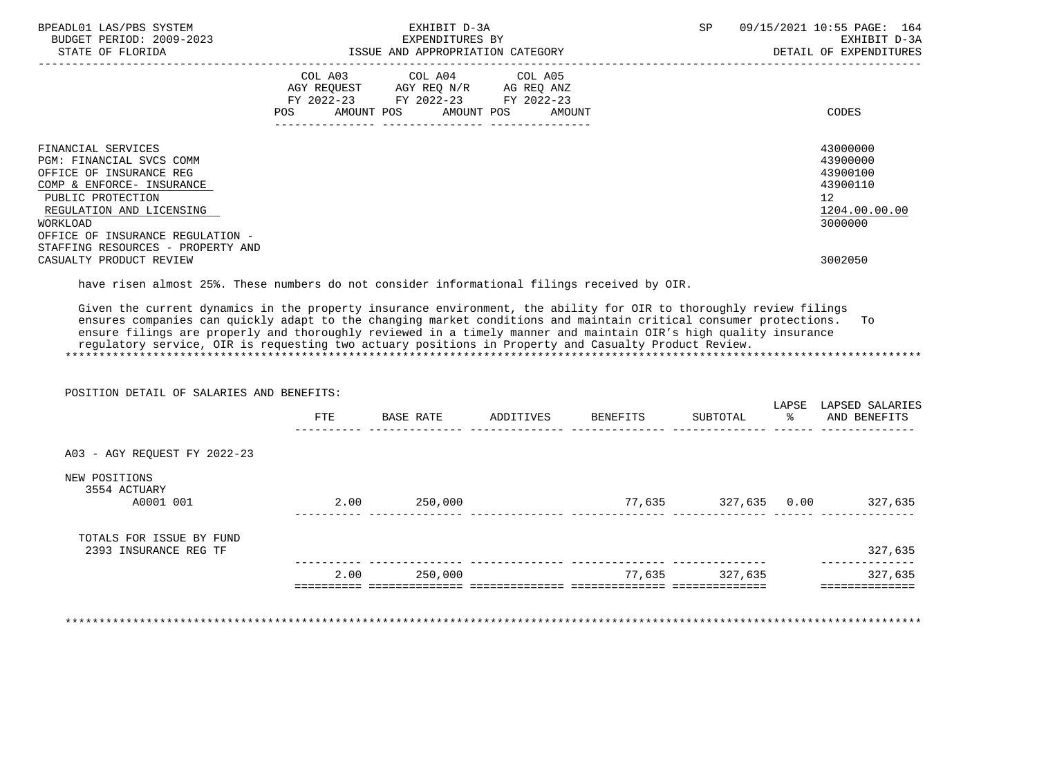| BPEADL01 LAS/PBS SYSTEM<br>BUDGET PERIOD: 2009-2023<br>STATE OF FLORIDA                                                                                                                                 |                                                                                                                                                                         | SP<br>09/15/2021 10:55 PAGE: 164<br>EXHIBIT D-3A<br>EXPENDITURES BY<br>ISSUE AND APPROPRIATION CATEGORY<br>DETAIL OF EXPENDITURES |  |                                                                                |
|---------------------------------------------------------------------------------------------------------------------------------------------------------------------------------------------------------|-------------------------------------------------------------------------------------------------------------------------------------------------------------------------|-----------------------------------------------------------------------------------------------------------------------------------|--|--------------------------------------------------------------------------------|
|                                                                                                                                                                                                         | COL A03 COL A04 COL A05<br>AGY REQUEST AGY REQ N/R AG REQ ANZ<br>FY 2022-23 FY 2022-23 FY 2022-23<br>POS FOR THE POST OF THE STREET<br>--------------- ---------------- | AMOUNT POS AMOUNT POS AMOUNT                                                                                                      |  | CODES                                                                          |
| FINANCIAL SERVICES<br>PGM: FINANCIAL SVCS COMM<br>OFFICE OF INSURANCE REG<br>COMP & ENFORCE- INSURANCE<br>PUBLIC PROTECTION<br>REGULATION AND LICENSING<br>WORKLOAD<br>OFFICE OF INSURANCE REGULATION - |                                                                                                                                                                         |                                                                                                                                   |  | 43000000<br>43900000<br>43900100<br>43900110<br>12<br>1204.00.00.00<br>3000000 |
| STAFFING RESOURCES - PROPERTY AND<br>CASUALTY PRODUCT REVIEW                                                                                                                                            |                                                                                                                                                                         |                                                                                                                                   |  | 3002050                                                                        |

have risen almost 25%. These numbers do not consider informational filings received by OIR.

 Given the current dynamics in the property insurance environment, the ability for OIR to thoroughly review filings ensures companies can quickly adapt to the changing market conditions and maintain critical consumer protections. To ensure filings are properly and thoroughly reviewed in a timely manner and maintain OIR's high quality insurance regulatory service, OIR is requesting two actuary positions in Property and Casualty Product Review. \*\*\*\*\*\*\*\*\*\*\*\*\*\*\*\*\*\*\*\*\*\*\*\*\*\*\*\*\*\*\*\*\*\*\*\*\*\*\*\*\*\*\*\*\*\*\*\*\*\*\*\*\*\*\*\*\*\*\*\*\*\*\*\*\*\*\*\*\*\*\*\*\*\*\*\*\*\*\*\*\*\*\*\*\*\*\*\*\*\*\*\*\*\*\*\*\*\*\*\*\*\*\*\*\*\*\*\*\*\*\*\*\*\*\*\*\*\*\*\*\*\*\*\*\*\*\*

| POSITION DETAIL OF SALARIES AND BENEFITS: |            |                  |           |          |          |             |                                 |
|-------------------------------------------|------------|------------------|-----------|----------|----------|-------------|---------------------------------|
|                                           | <b>FTE</b> | <b>BASE RATE</b> | ADDITIVES | BENEFITS | SUBTOTAL | LAPSE<br>ႜၟ | LAPSED SALARIES<br>AND BENEFITS |
| A03 - AGY REQUEST FY 2022-23              |            |                  |           |          |          |             |                                 |
| NEW POSITIONS<br>3554 ACTUARY             |            |                  |           |          |          |             |                                 |
| A0001 001                                 | 2.00       | 250,000          |           | 77,635   | 327,635  | 0.00        | 327,635                         |
| TOTALS FOR ISSUE BY FUND                  |            |                  |           |          |          |             |                                 |
| 2393 INSURANCE REG TF                     |            |                  |           |          |          |             | 327,635                         |
|                                           | 2.00       | 250,000          |           | 77,635   | 327,635  |             | 327,635                         |
|                                           |            |                  |           |          |          |             |                                 |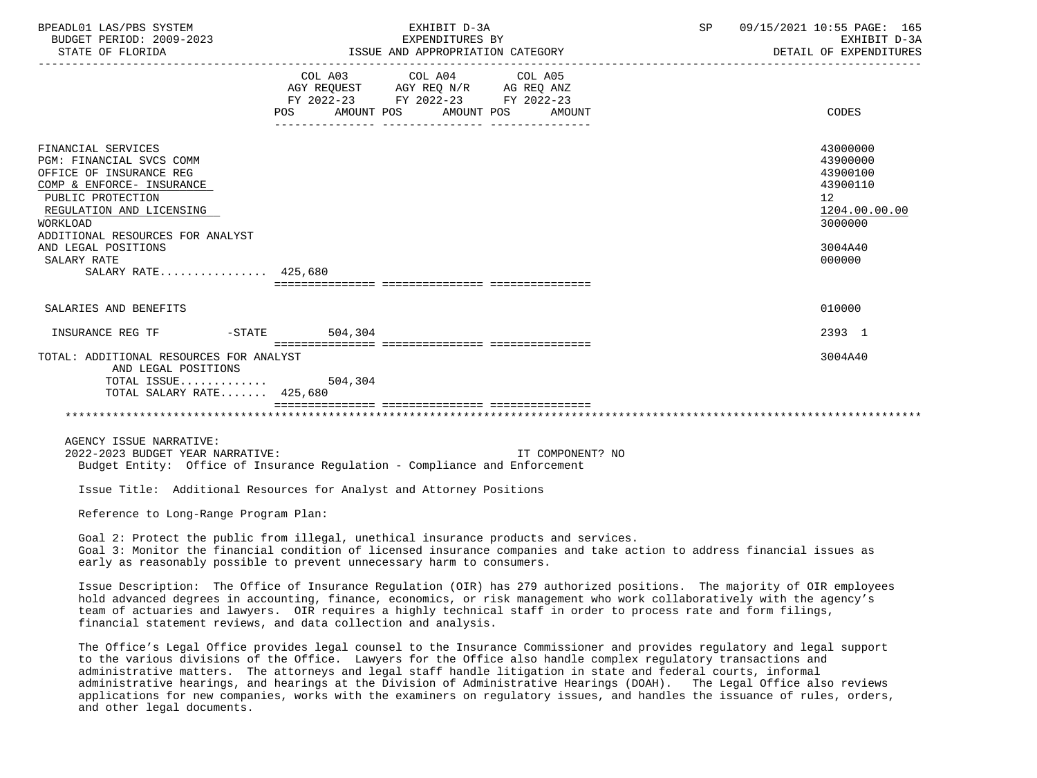| BPEADL01 LAS/PBS SYSTEM                                                                                                                                                                                                                                              | EXHIBIT D-3A<br>EXPENDITURES BI<br>BUDGET PERIOD: 2009-2023<br>STATE OF FLORIDA STATE OF STATE OF STATE OF STATE OF STATE OF STATE OF STATE OF STATE OF STATE OF STATE OF STA                                                                                                                                                                                                                                                          | 09/15/2021 10:55 PAGE: 165<br>SP<br>EXHIBIT D-3A<br>DETAIL OF EXPENDITURES                                       |
|----------------------------------------------------------------------------------------------------------------------------------------------------------------------------------------------------------------------------------------------------------------------|----------------------------------------------------------------------------------------------------------------------------------------------------------------------------------------------------------------------------------------------------------------------------------------------------------------------------------------------------------------------------------------------------------------------------------------|------------------------------------------------------------------------------------------------------------------|
|                                                                                                                                                                                                                                                                      | COL A03 COL A04 COL A05<br>AGY REQUEST AGY REQ N/R AG REQ ANZ<br>FY 2022-23 FY 2022-23 FY 2022-23<br>POS AMOUNT POS AMOUNT POS AMOUNT                                                                                                                                                                                                                                                                                                  | CODES                                                                                                            |
| FINANCIAL SERVICES<br>PGM: FINANCIAL SVCS COMM<br>OFFICE OF INSURANCE REG<br>COMP & ENFORCE- INSURANCE<br>PUBLIC PROTECTION<br>REGULATION AND LICENSING<br>WORKLOAD<br>ADDITIONAL RESOURCES FOR ANALYST<br>AND LEGAL POSITIONS<br>SALARY RATE<br>SALARY RATE 425,680 |                                                                                                                                                                                                                                                                                                                                                                                                                                        | 43000000<br>43900000<br>43900100<br>43900110<br>12 <sup>°</sup><br>1204.00.00.00<br>3000000<br>3004A40<br>000000 |
|                                                                                                                                                                                                                                                                      |                                                                                                                                                                                                                                                                                                                                                                                                                                        |                                                                                                                  |
| SALARIES AND BENEFITS                                                                                                                                                                                                                                                |                                                                                                                                                                                                                                                                                                                                                                                                                                        | 010000                                                                                                           |
| INSURANCE REG TF                                                                                                                                                                                                                                                     | $-$ STATE 504,304                                                                                                                                                                                                                                                                                                                                                                                                                      | 2393 1                                                                                                           |
| TOTAL: ADDITIONAL RESOURCES FOR ANALYST<br>AND LEGAL POSITIONS<br>TOTAL ISSUE $504,304$<br>TOTAL SALARY RATE 425,680                                                                                                                                                 |                                                                                                                                                                                                                                                                                                                                                                                                                                        | 3004A40                                                                                                          |
| AGENCY ISSUE NARRATIVE:<br>2022-2023 BUDGET YEAR NARRATIVE:                                                                                                                                                                                                          | IT COMPONENT? NO<br>Budget Entity: Office of Insurance Regulation - Compliance and Enforcement                                                                                                                                                                                                                                                                                                                                         |                                                                                                                  |
|                                                                                                                                                                                                                                                                      | Issue Title: Additional Resources for Analyst and Attorney Positions                                                                                                                                                                                                                                                                                                                                                                   |                                                                                                                  |
| Reference to Long-Range Program Plan:                                                                                                                                                                                                                                |                                                                                                                                                                                                                                                                                                                                                                                                                                        |                                                                                                                  |
|                                                                                                                                                                                                                                                                      | Goal 2: Protect the public from illegal, unethical insurance products and services.<br>Goal 3: Monitor the financial condition of licensed insurance companies and take action to address financial issues as<br>early as reasonably possible to prevent unnecessary harm to consumers.                                                                                                                                                |                                                                                                                  |
|                                                                                                                                                                                                                                                                      | Issue Description: The Office of Insurance Requlation (OIR) has 279 authorized positions. The majority of OIR employees<br>hold advanced degrees in accounting, finance, economics, or risk management who work collaboratively with the agency's<br>team of actuaries and lawyers. OIR requires a highly technical staff in order to process rate and form filings,<br>financial statement reviews, and data collection and analysis. |                                                                                                                  |

 The Office's Legal Office provides legal counsel to the Insurance Commissioner and provides regulatory and legal support to the various divisions of the Office. Lawyers for the Office also handle complex regulatory transactions and administrative matters. The attorneys and legal staff handle litigation in state and federal courts, informal administrative hearings, and hearings at the Division of Administrative Hearings (DOAH). The Legal Office also reviews applications for new companies, works with the examiners on regulatory issues, and handles the issuance of rules, orders, and other legal documents.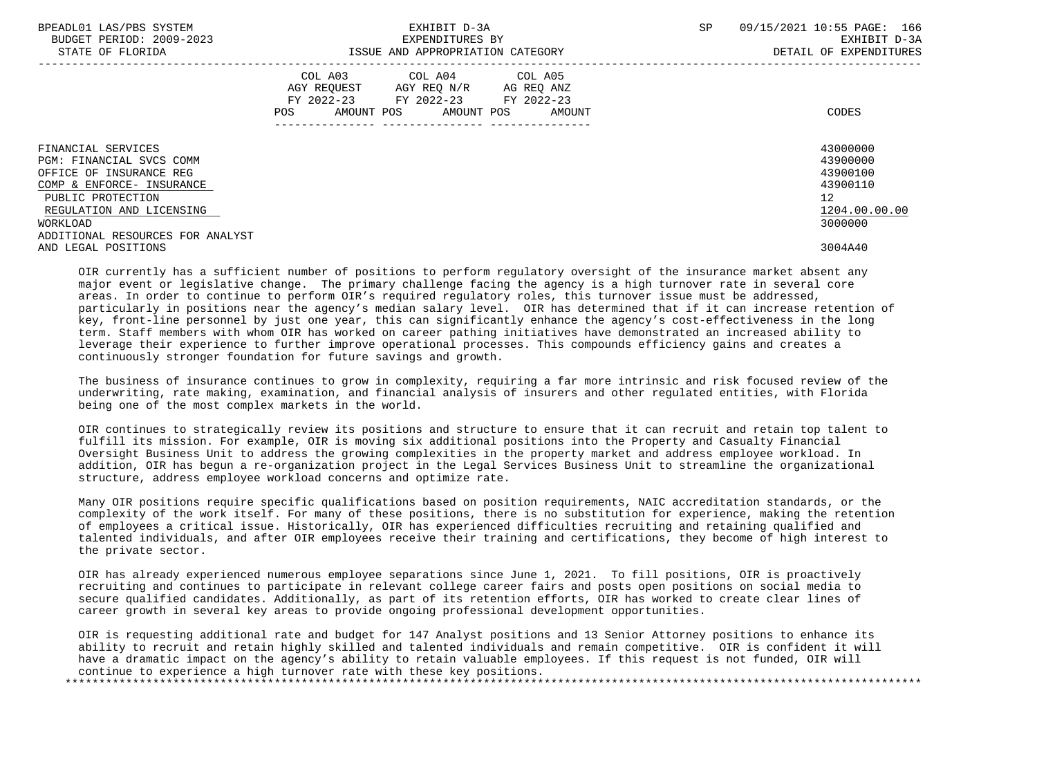| BPEADL01 LAS/PBS SYSTEM<br>BUDGET PERIOD: 2009-2023<br>STATE OF FLORIDA   | EXHIBIT D-3A<br>EXPENDITURES BY<br>ISSUE AND APPROPRIATION CATEGORY                                                                            | 09/15/2021 10:55 PAGE: 166<br>SP<br>EXHIBIT D-3A<br>DETAIL OF EXPENDITURES |
|---------------------------------------------------------------------------|------------------------------------------------------------------------------------------------------------------------------------------------|----------------------------------------------------------------------------|
|                                                                           | COL A03<br>COL A04 COL A05<br>AGY REQUEST AGY REQ N/R AG REQ ANZ<br>FY 2022-23 FY 2022-23 FY 2022-23<br>POS<br>AMOUNT POS AMOUNT POS<br>AMOUNT | CODES                                                                      |
| FINANCIAL SERVICES<br>PGM: FINANCIAL SVCS COMM<br>OFFICE OF INSURANCE REG |                                                                                                                                                | 43000000<br>43900000<br>43900100                                           |
| COMP & ENFORCE- INSURANCE                                                 |                                                                                                                                                | 43900110                                                                   |
| PUBLIC PROTECTION                                                         |                                                                                                                                                | 12                                                                         |
| REGULATION AND LICENSING                                                  |                                                                                                                                                | 1204.00.00.00                                                              |
| WORKLOAD                                                                  |                                                                                                                                                | 3000000                                                                    |
| ADDITIONAL RESOURCES FOR ANALYST                                          |                                                                                                                                                |                                                                            |
| AND LEGAL POSITIONS                                                       |                                                                                                                                                | 3004A40                                                                    |

 OIR currently has a sufficient number of positions to perform regulatory oversight of the insurance market absent any major event or legislative change. The primary challenge facing the agency is a high turnover rate in several core areas. In order to continue to perform OIR's required regulatory roles, this turnover issue must be addressed, particularly in positions near the agency's median salary level. OIR has determined that if it can increase retention of key, front-line personnel by just one year, this can significantly enhance the agency's cost-effectiveness in the long term. Staff members with whom OIR has worked on career pathing initiatives have demonstrated an increased ability to leverage their experience to further improve operational processes. This compounds efficiency gains and creates a continuously stronger foundation for future savings and growth.

 The business of insurance continues to grow in complexity, requiring a far more intrinsic and risk focused review of the underwriting, rate making, examination, and financial analysis of insurers and other regulated entities, with Florida being one of the most complex markets in the world.

 OIR continues to strategically review its positions and structure to ensure that it can recruit and retain top talent to fulfill its mission. For example, OIR is moving six additional positions into the Property and Casualty Financial Oversight Business Unit to address the growing complexities in the property market and address employee workload. In addition, OIR has begun a re-organization project in the Legal Services Business Unit to streamline the organizational structure, address employee workload concerns and optimize rate.

 Many OIR positions require specific qualifications based on position requirements, NAIC accreditation standards, or the complexity of the work itself. For many of these positions, there is no substitution for experience, making the retention of employees a critical issue. Historically, OIR has experienced difficulties recruiting and retaining qualified and talented individuals, and after OIR employees receive their training and certifications, they become of high interest to the private sector.

 OIR has already experienced numerous employee separations since June 1, 2021. To fill positions, OIR is proactively recruiting and continues to participate in relevant college career fairs and posts open positions on social media to secure qualified candidates. Additionally, as part of its retention efforts, OIR has worked to create clear lines of career growth in several key areas to provide ongoing professional development opportunities.

 OIR is requesting additional rate and budget for 147 Analyst positions and 13 Senior Attorney positions to enhance its ability to recruit and retain highly skilled and talented individuals and remain competitive. OIR is confident it will have a dramatic impact on the agency's ability to retain valuable employees. If this request is not funded, OIR will continue to experience a high turnover rate with these key positions. \*\*\*\*\*\*\*\*\*\*\*\*\*\*\*\*\*\*\*\*\*\*\*\*\*\*\*\*\*\*\*\*\*\*\*\*\*\*\*\*\*\*\*\*\*\*\*\*\*\*\*\*\*\*\*\*\*\*\*\*\*\*\*\*\*\*\*\*\*\*\*\*\*\*\*\*\*\*\*\*\*\*\*\*\*\*\*\*\*\*\*\*\*\*\*\*\*\*\*\*\*\*\*\*\*\*\*\*\*\*\*\*\*\*\*\*\*\*\*\*\*\*\*\*\*\*\*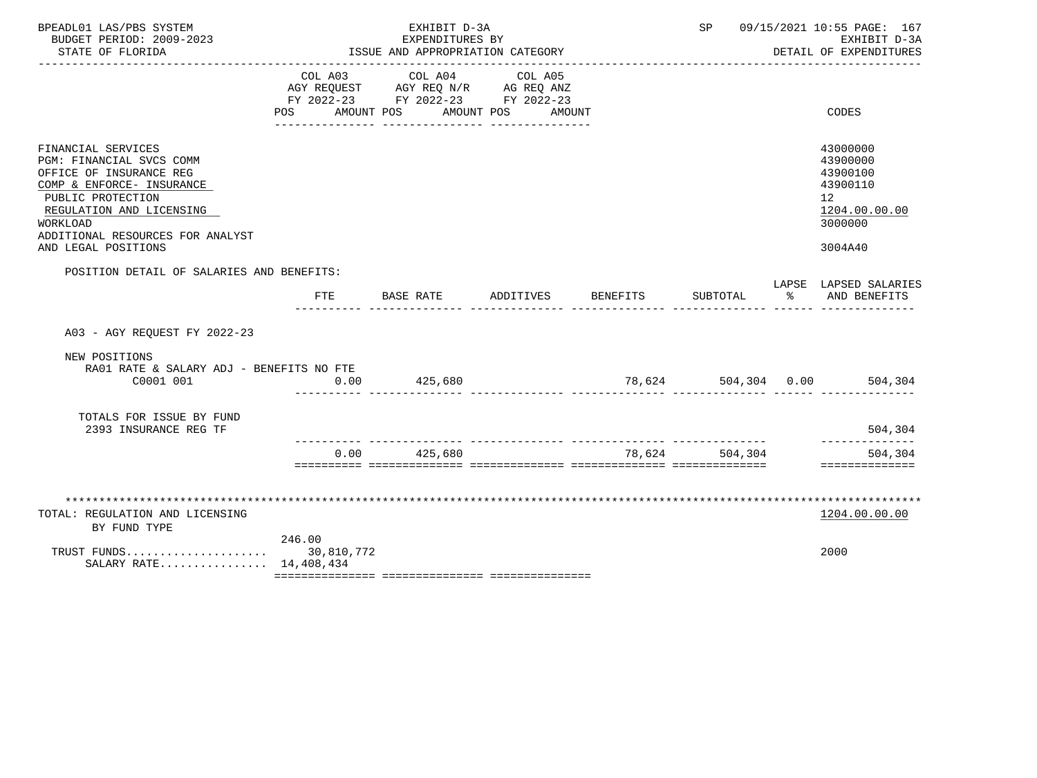| BPEADL01 LAS/PBS SYSTEM<br>BUDGET PERIOD: 2009-2023<br>STATE OF FLORIDA                                                                                                                                                        |                              | EXHIBIT D-3A<br>EXPENDITURES BY<br>ISSUE AND APPROPRIATION CATEGORY                             |                   |                 | SP       |   | 09/15/2021 10:55 PAGE: 167<br>EXHIBIT D-3A<br>DETAIL OF EXPENDITURES                      |
|--------------------------------------------------------------------------------------------------------------------------------------------------------------------------------------------------------------------------------|------------------------------|-------------------------------------------------------------------------------------------------|-------------------|-----------------|----------|---|-------------------------------------------------------------------------------------------|
|                                                                                                                                                                                                                                | COL A03<br>POS<br>AMOUNT POS | COL A04<br>AGY REQUEST AGY REQ N/R AG REQ ANZ<br>FY 2022-23 FY 2022-23 FY 2022-23<br>AMOUNT POS | COL A05<br>AMOUNT |                 |          |   | CODES                                                                                     |
| FINANCIAL SERVICES<br>PGM: FINANCIAL SVCS COMM<br>OFFICE OF INSURANCE REG<br>COMP & ENFORCE- INSURANCE<br>PUBLIC PROTECTION<br>REGULATION AND LICENSING<br>WORKLOAD<br>ADDITIONAL RESOURCES FOR ANALYST<br>AND LEGAL POSITIONS |                              |                                                                                                 |                   |                 |          |   | 43000000<br>43900000<br>43900100<br>43900110<br>12<br>1204.00.00.00<br>3000000<br>3004A40 |
| POSITION DETAIL OF SALARIES AND BENEFITS:                                                                                                                                                                                      | FTE                          | BASE RATE                                                                                       | ADDITIVES         | <b>BENEFITS</b> | SUBTOTAL | ႜ | LAPSE LAPSED SALARIES<br>AND BENEFITS                                                     |
| A03 - AGY REOUEST FY 2022-23                                                                                                                                                                                                   |                              |                                                                                                 |                   |                 |          |   |                                                                                           |
| NEW POSITIONS<br>RA01 RATE & SALARY ADJ - BENEFITS NO FTE<br>C0001 001                                                                                                                                                         | 0.00                         | 425,680                                                                                         |                   |                 |          |   | 78,624 504,304 0.00 504,304                                                               |
| TOTALS FOR ISSUE BY FUND<br>2393 INSURANCE REG TF                                                                                                                                                                              |                              |                                                                                                 |                   |                 |          |   | 504,304                                                                                   |
|                                                                                                                                                                                                                                | 0.00                         | 425,680                                                                                         |                   | 78.624          | 504,304  |   | 504,304<br>==============                                                                 |
| TOTAL: REGULATION AND LICENSING<br>BY FUND TYPE<br>SALARY RATE 14,408,434                                                                                                                                                      | 246.00                       |                                                                                                 |                   |                 |          |   | 1204.00.00.00<br>2000                                                                     |
|                                                                                                                                                                                                                                |                              |                                                                                                 |                   |                 |          |   |                                                                                           |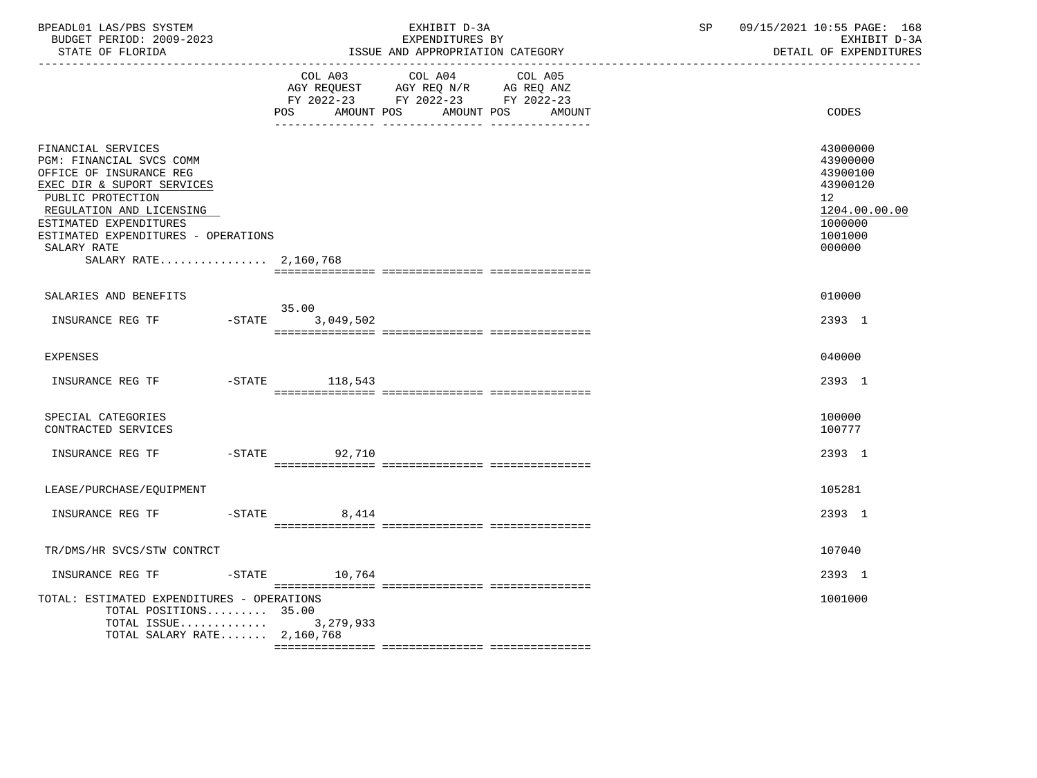| BPEADL01 LAS/PBS SYSTEM<br>BUDGET PERIOD: 2009-2023<br>STATE OF FLORIDA                                                                                                                                                                                           |           |                          | EXHIBIT D-3A<br>EXPENDITURES BY<br>ISSUE AND APPROPRIATION CATEGORY                                             | SP<br>------------------------------------- | 09/15/2021 10:55 PAGE: 168<br>EXHIBIT D-3A<br>DETAIL OF EXPENDITURES                                |  |
|-------------------------------------------------------------------------------------------------------------------------------------------------------------------------------------------------------------------------------------------------------------------|-----------|--------------------------|-----------------------------------------------------------------------------------------------------------------|---------------------------------------------|-----------------------------------------------------------------------------------------------------|--|
|                                                                                                                                                                                                                                                                   |           | <b>POS</b><br>AMOUNT POS | COL A03 COL A04 COL A05<br>AGY REQUEST AGY REQ N/R AG REQ ANZ<br>FY 2022-23 FY 2022-23 FY 2022-23<br>AMOUNT POS | AMOUNT                                      | CODES                                                                                               |  |
| FINANCIAL SERVICES<br>PGM: FINANCIAL SVCS COMM<br>OFFICE OF INSURANCE REG<br>EXEC DIR & SUPORT SERVICES<br>PUBLIC PROTECTION<br>REGULATION AND LICENSING<br>ESTIMATED EXPENDITURES<br>ESTIMATED EXPENDITURES - OPERATIONS<br>SALARY RATE<br>SALARY RATE 2,160,768 |           |                          |                                                                                                                 |                                             | 43000000<br>43900000<br>43900100<br>43900120<br>12<br>1204.00.00.00<br>1000000<br>1001000<br>000000 |  |
| SALARIES AND BENEFITS                                                                                                                                                                                                                                             |           | 35.00                    |                                                                                                                 |                                             | 010000                                                                                              |  |
| INSURANCE REG TF                                                                                                                                                                                                                                                  | $ STATE$  | 3,049,502                |                                                                                                                 |                                             | 2393 1                                                                                              |  |
| <b>EXPENSES</b>                                                                                                                                                                                                                                                   |           |                          |                                                                                                                 |                                             | 040000                                                                                              |  |
| INSURANCE REG TF                                                                                                                                                                                                                                                  |           | $-STATE$ 118,543         |                                                                                                                 |                                             | 2393 1                                                                                              |  |
| SPECIAL CATEGORIES<br>CONTRACTED SERVICES                                                                                                                                                                                                                         |           |                          |                                                                                                                 |                                             | 100000<br>100777                                                                                    |  |
| INSURANCE REG TF                                                                                                                                                                                                                                                  |           | -STATE 92,710            |                                                                                                                 |                                             | 2393 1                                                                                              |  |
| LEASE/PURCHASE/EQUIPMENT                                                                                                                                                                                                                                          |           |                          |                                                                                                                 |                                             | 105281                                                                                              |  |
| INSURANCE REG TF FOR STATE                                                                                                                                                                                                                                        |           | 8,414                    |                                                                                                                 |                                             | 2393 1                                                                                              |  |
| TR/DMS/HR SVCS/STW CONTRCT                                                                                                                                                                                                                                        |           |                          |                                                                                                                 |                                             | 107040                                                                                              |  |
| INSURANCE REG TF                                                                                                                                                                                                                                                  | $-$ STATE | 10,764                   |                                                                                                                 |                                             | 2393 1                                                                                              |  |
| TOTAL: ESTIMATED EXPENDITURES - OPERATIONS<br>TOTAL POSITIONS 35.00<br>TOTAL ISSUE<br>TOTAL SALARY RATE 2,160,768                                                                                                                                                 |           | 3,279,933                |                                                                                                                 |                                             | 1001000                                                                                             |  |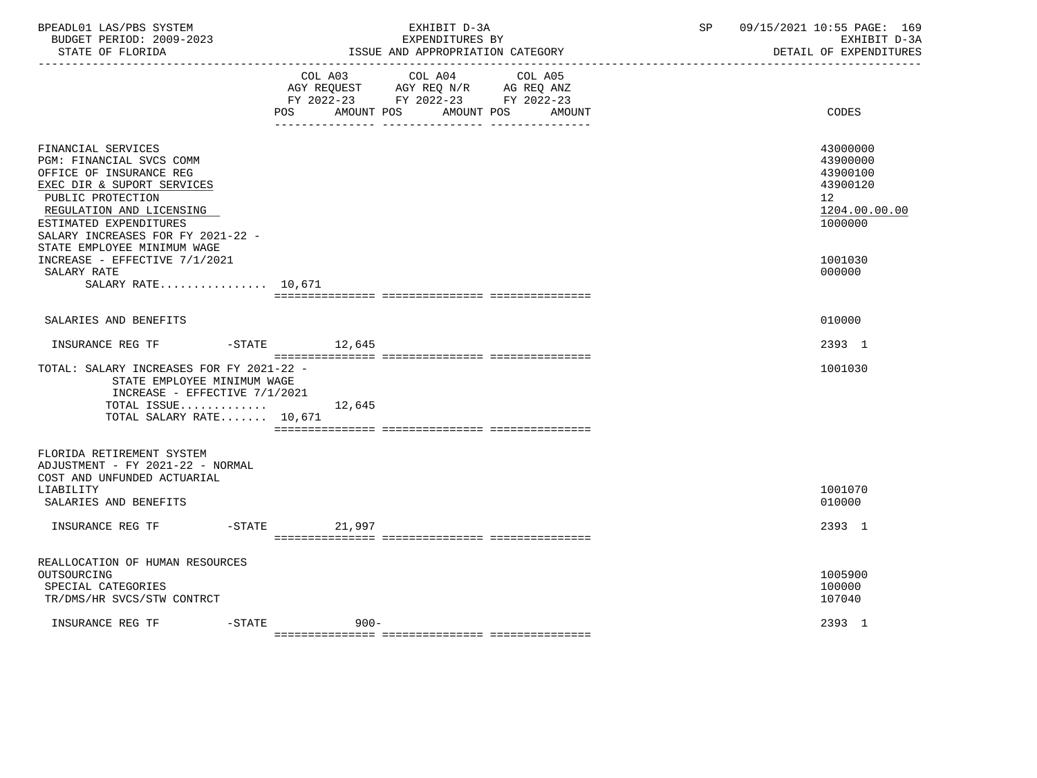| BPEADL01 LAS/PBS SYSTEM<br>BUDGET PERIOD: 2009-2023<br>STATE OF FLORIDA                                                                                                                                                                                                                 | EXHIBIT D-3A<br>EXPENDITURES BY<br>ISSUE AND APPROPRIATION CATEGORY                                         | 09/15/2021 10:55 PAGE: 169<br>SP and the set of the set of the set of the set of the set of the set of the set of the set of the set of the set of the set of the set of the set of the set of the set of the set of the set of the set of the set of the se<br>EXHIBIT D-3A<br>DETAIL OF EXPENDITURES |
|-----------------------------------------------------------------------------------------------------------------------------------------------------------------------------------------------------------------------------------------------------------------------------------------|-------------------------------------------------------------------------------------------------------------|--------------------------------------------------------------------------------------------------------------------------------------------------------------------------------------------------------------------------------------------------------------------------------------------------------|
|                                                                                                                                                                                                                                                                                         | COL A03<br>COL A04<br>COL A05<br>FY 2022-23 FY 2022-23 FY 2022-23<br>POS<br>AMOUNT POS<br>AMOUNT POS AMOUNT | CODES                                                                                                                                                                                                                                                                                                  |
| FINANCIAL SERVICES<br>PGM: FINANCIAL SVCS COMM<br>OFFICE OF INSURANCE REG<br>EXEC DIR & SUPORT SERVICES<br>PUBLIC PROTECTION<br>REGULATION AND LICENSING<br>ESTIMATED EXPENDITURES<br>SALARY INCREASES FOR FY 2021-22 -<br>STATE EMPLOYEE MINIMUM WAGE<br>INCREASE - EFFECTIVE 7/1/2021 |                                                                                                             | 43000000<br>43900000<br>43900100<br>43900120<br>12 <sub>2</sub><br>1204.00.00.00<br>1000000<br>1001030                                                                                                                                                                                                 |
| SALARY RATE<br>SALARY RATE $10,671$                                                                                                                                                                                                                                                     |                                                                                                             | 000000                                                                                                                                                                                                                                                                                                 |
| SALARIES AND BENEFITS                                                                                                                                                                                                                                                                   |                                                                                                             | 010000                                                                                                                                                                                                                                                                                                 |
| INSURANCE REG TF                                                                                                                                                                                                                                                                        | $-$ STATE $12,645$                                                                                          | 2393 1                                                                                                                                                                                                                                                                                                 |
| TOTAL: SALARY INCREASES FOR FY 2021-22 -<br>STATE EMPLOYEE MINIMUM WAGE<br>INCREASE - EFFECTIVE 7/1/2021<br>TOTAL ISSUE $12,645$<br>TOTAL SALARY RATE 10,671                                                                                                                            |                                                                                                             | 1001030                                                                                                                                                                                                                                                                                                |
| FLORIDA RETIREMENT SYSTEM<br>ADJUSTMENT - FY 2021-22 - NORMAL<br>COST AND UNFUNDED ACTUARIAL<br>LIABILITY<br>SALARIES AND BENEFITS                                                                                                                                                      |                                                                                                             | 1001070<br>010000                                                                                                                                                                                                                                                                                      |
| INSURANCE REG TF                                                                                                                                                                                                                                                                        | $-STATE$ 21,997                                                                                             | 2393 1                                                                                                                                                                                                                                                                                                 |
| REALLOCATION OF HUMAN RESOURCES<br>OUTSOURCING<br>SPECIAL CATEGORIES<br>TR/DMS/HR SVCS/STW CONTRCT                                                                                                                                                                                      |                                                                                                             | 1005900<br>100000<br>107040                                                                                                                                                                                                                                                                            |
| $-$ STATE<br>INSURANCE REG TF                                                                                                                                                                                                                                                           | $900 -$                                                                                                     | 2393 1                                                                                                                                                                                                                                                                                                 |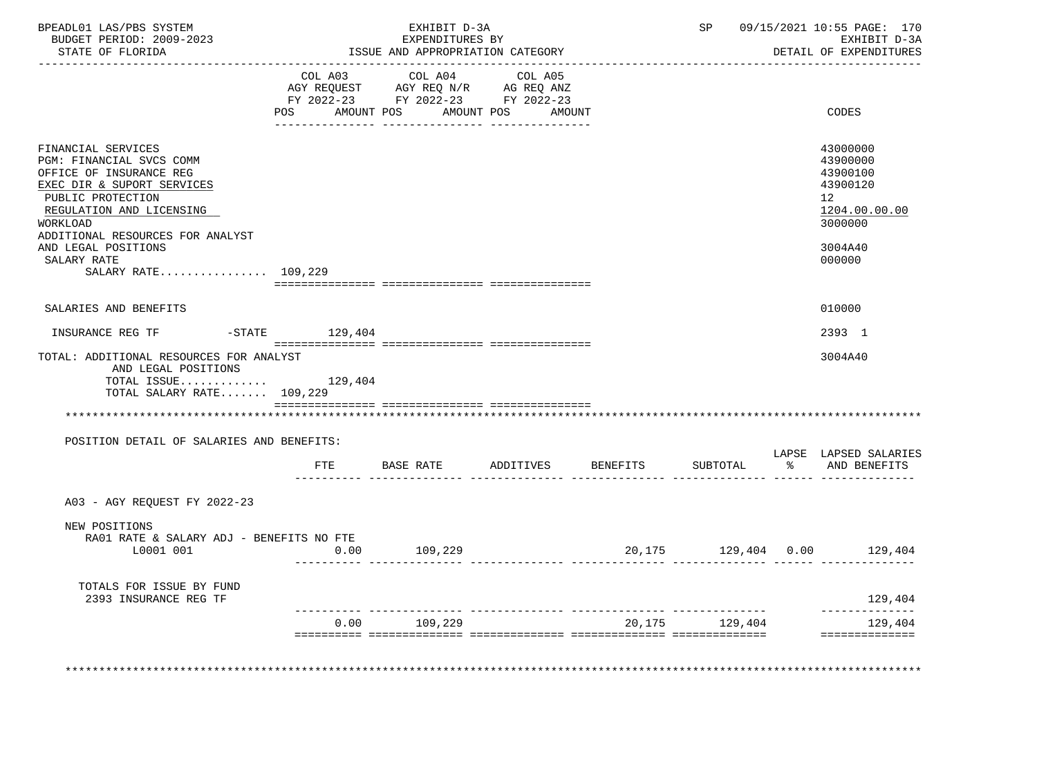| BPEADL01 LAS/PBS SYSTEM<br>BUDGET PERIOD: 2009-2023<br>STATE OF FLORIDA                                                                                                                                                                                               |      | EXHIBIT D-3A<br>EXPENDITURES BY<br>ISSUE AND APPROPRIATION CATEGORY                                                                   |                     |                              |          | SP 09/15/2021 10:55 PAGE: 170<br>EXHIBIT D-3A<br>DETAIL OF EXPENDITURES                             |
|-----------------------------------------------------------------------------------------------------------------------------------------------------------------------------------------------------------------------------------------------------------------------|------|---------------------------------------------------------------------------------------------------------------------------------------|---------------------|------------------------------|----------|-----------------------------------------------------------------------------------------------------|
|                                                                                                                                                                                                                                                                       |      | COL A03 COL A04 COL A05<br>AGY REQUEST AGY REQ N/R AG REQ ANZ<br>FY 2022-23 FY 2022-23 FY 2022-23<br>POS AMOUNT POS AMOUNT POS AMOUNT |                     |                              |          | CODES                                                                                               |
| FINANCIAL SERVICES<br>PGM: FINANCIAL SVCS COMM<br>OFFICE OF INSURANCE REG<br>EXEC DIR & SUPORT SERVICES<br>PUBLIC PROTECTION<br>REGULATION AND LICENSING<br>WORKLOAD<br>ADDITIONAL RESOURCES FOR ANALYST<br>AND LEGAL POSITIONS<br>SALARY RATE<br>SALARY RATE 109,229 |      |                                                                                                                                       |                     |                              |          | 43000000<br>43900000<br>43900100<br>43900120<br>12<br>1204.00.00.00<br>3000000<br>3004A40<br>000000 |
|                                                                                                                                                                                                                                                                       |      |                                                                                                                                       |                     |                              |          |                                                                                                     |
| SALARIES AND BENEFITS                                                                                                                                                                                                                                                 |      |                                                                                                                                       |                     |                              |          | 010000                                                                                              |
| INSURANCE REG TF    -STATE    129,404                                                                                                                                                                                                                                 |      |                                                                                                                                       |                     |                              |          | 2393 1                                                                                              |
| TOTAL: ADDITIONAL RESOURCES FOR ANALYST<br>AND LEGAL POSITIONS<br>TOTAL ISSUE $129,404$<br>TOTAL SALARY RATE 109,229                                                                                                                                                  |      |                                                                                                                                       |                     |                              |          | 3004A40                                                                                             |
| POSITION DETAIL OF SALARIES AND BENEFITS:                                                                                                                                                                                                                             |      |                                                                                                                                       |                     |                              |          |                                                                                                     |
|                                                                                                                                                                                                                                                                       | FTE  |                                                                                                                                       |                     | BASE RATE ADDITIVES BENEFITS | SUBTOTAL | LAPSE LAPSED SALARIES<br>% AND BENEFITS                                                             |
| A03 - AGY REQUEST FY 2022-23                                                                                                                                                                                                                                          |      |                                                                                                                                       |                     |                              |          |                                                                                                     |
| NEW POSITIONS<br>RA01 RATE & SALARY ADJ - BENEFITS NO FTE<br>L0001 001                                                                                                                                                                                                | 0.00 | 109,229                                                                                                                               |                     |                              |          | 20,175 129,404 0.00 129,404                                                                         |
| TOTALS FOR ISSUE BY FUND<br>2393 INSURANCE REG TF                                                                                                                                                                                                                     |      |                                                                                                                                       |                     |                              |          | 129,404                                                                                             |
|                                                                                                                                                                                                                                                                       | 0.00 | 109,229                                                                                                                               | ----------- ------- | 20,175                       | 129,404  | 129,404<br>==============                                                                           |
|                                                                                                                                                                                                                                                                       |      |                                                                                                                                       |                     |                              |          |                                                                                                     |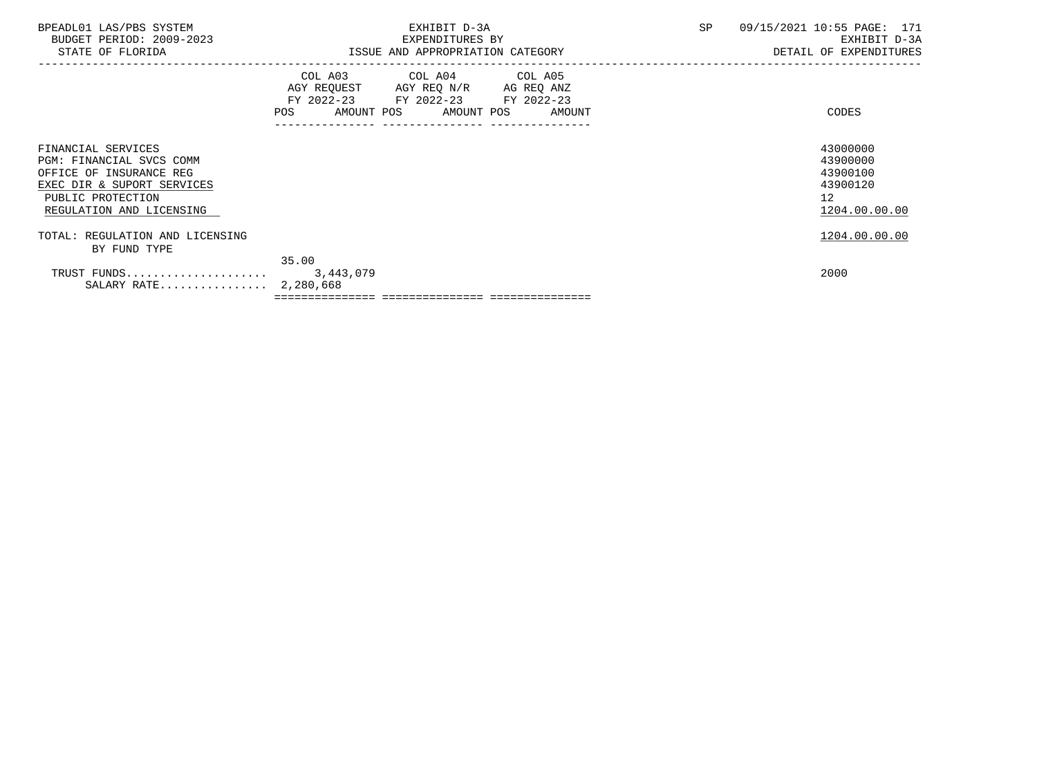| BPEADL01 LAS/PBS SYSTEM<br>BUDGET PERIOD: 2009-2023<br>STATE OF FLORIDA                                                                                  | EXHIBIT D-3A<br>EXPENDITURES BY<br>ISSUE AND APPROPRIATION CATEGORY                                                                   | SP | 09/15/2021 10:55 PAGE: 171<br>EXHIBIT D-3A<br>DETAIL OF EXPENDITURES |
|----------------------------------------------------------------------------------------------------------------------------------------------------------|---------------------------------------------------------------------------------------------------------------------------------------|----|----------------------------------------------------------------------|
|                                                                                                                                                          | COL A03 COL A04 COL A05<br>AGY REQUEST AGY REQ N/R AG REQ ANZ<br>FY 2022-23 FY 2022-23 FY 2022-23<br>POS AMOUNT POS AMOUNT POS AMOUNT |    | CODES                                                                |
| FINANCIAL SERVICES<br>PGM: FINANCIAL SVCS COMM<br>OFFICE OF INSURANCE REG<br>EXEC DIR & SUPORT SERVICES<br>PUBLIC PROTECTION<br>REGULATION AND LICENSING |                                                                                                                                       |    | 43000000<br>43900000<br>43900100<br>43900120<br>12<br>1204.00.00.00  |
| TOTAL: REGULATION AND LICENSING<br>BY FUND TYPE                                                                                                          |                                                                                                                                       |    | 1204.00.00.00                                                        |
| SALARY RATE 2,280,668                                                                                                                                    | 35.00                                                                                                                                 |    | 2000                                                                 |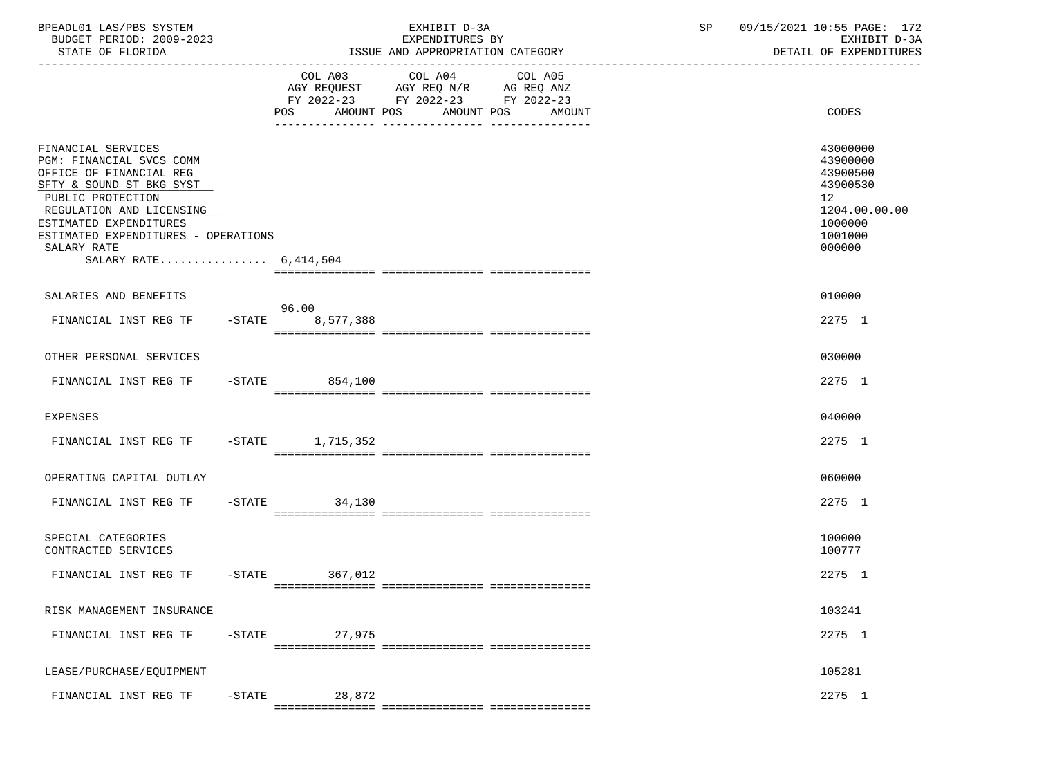| BPEADL01 LAS/PBS SYSTEM<br>BUDGET PERIOD: 2009-2023<br>STATE OF FLORIDA                                                                                                                                                                                                |           |                     | EXHIBIT D-3A<br>EXPENDITURES BY<br>ISSUE AND APPROPRIATION CATEGORY                                                          | SP | 09/15/2021 10:55 PAGE: 172<br>EXHIBIT D-3A<br>DETAIL OF EXPENDITURES                                |
|------------------------------------------------------------------------------------------------------------------------------------------------------------------------------------------------------------------------------------------------------------------------|-----------|---------------------|------------------------------------------------------------------------------------------------------------------------------|----|-----------------------------------------------------------------------------------------------------|
|                                                                                                                                                                                                                                                                        |           | AMOUNT POS<br>POS   | COL A03 COL A04<br>COL A05<br>AGY REQUEST AGY REQ N/R AG REQ ANZ<br>FY 2022-23 FY 2022-23 FY 2022-23<br>AMOUNT POS<br>AMOUNT |    | CODES                                                                                               |
| FINANCIAL SERVICES<br><b>PGM: FINANCIAL SVCS COMM</b><br>OFFICE OF FINANCIAL REG<br>SFTY & SOUND ST BKG SYST<br>PUBLIC PROTECTION<br>REGULATION AND LICENSING<br>ESTIMATED EXPENDITURES<br>ESTIMATED EXPENDITURES - OPERATIONS<br>SALARY RATE<br>SALARY RATE 6,414,504 |           |                     |                                                                                                                              |    | 43000000<br>43900000<br>43900500<br>43900530<br>12<br>1204.00.00.00<br>1000000<br>1001000<br>000000 |
| SALARIES AND BENEFITS                                                                                                                                                                                                                                                  |           |                     |                                                                                                                              |    | 010000                                                                                              |
| FINANCIAL INST REG TF                                                                                                                                                                                                                                                  | $-$ STATE | 96.00<br>8,577,388  |                                                                                                                              |    | 2275 1                                                                                              |
| OTHER PERSONAL SERVICES                                                                                                                                                                                                                                                |           |                     |                                                                                                                              |    | 030000                                                                                              |
| FINANCIAL INST REG TF                                                                                                                                                                                                                                                  |           | -STATE 854,100      |                                                                                                                              |    | 2275 1                                                                                              |
| <b>EXPENSES</b>                                                                                                                                                                                                                                                        |           |                     |                                                                                                                              |    | 040000                                                                                              |
| FINANCIAL INST REG TF                                                                                                                                                                                                                                                  |           | -STATE 1,715,352    |                                                                                                                              |    | 2275 1                                                                                              |
| OPERATING CAPITAL OUTLAY                                                                                                                                                                                                                                               |           |                     |                                                                                                                              |    | 060000                                                                                              |
| FINANCIAL INST REG TF                                                                                                                                                                                                                                                  |           | $-$ STATE<br>34,130 |                                                                                                                              |    | 2275 1                                                                                              |
| SPECIAL CATEGORIES<br>CONTRACTED SERVICES                                                                                                                                                                                                                              |           |                     |                                                                                                                              |    | 100000<br>100777                                                                                    |
| FINANCIAL INST REG TF -STATE 367,012                                                                                                                                                                                                                                   |           |                     |                                                                                                                              |    | 2275 1                                                                                              |
| RISK MANAGEMENT INSURANCE                                                                                                                                                                                                                                              |           |                     |                                                                                                                              |    | 103241                                                                                              |
| FINANCIAL INST REG TF                                                                                                                                                                                                                                                  | $-$ STATE | 27,975              |                                                                                                                              |    | 2275 1                                                                                              |
| LEASE/PURCHASE/EQUIPMENT                                                                                                                                                                                                                                               |           |                     |                                                                                                                              |    | 105281                                                                                              |
| FINANCIAL INST REG TF                                                                                                                                                                                                                                                  | $-$ STATE | 28,872              |                                                                                                                              |    | 2275 1                                                                                              |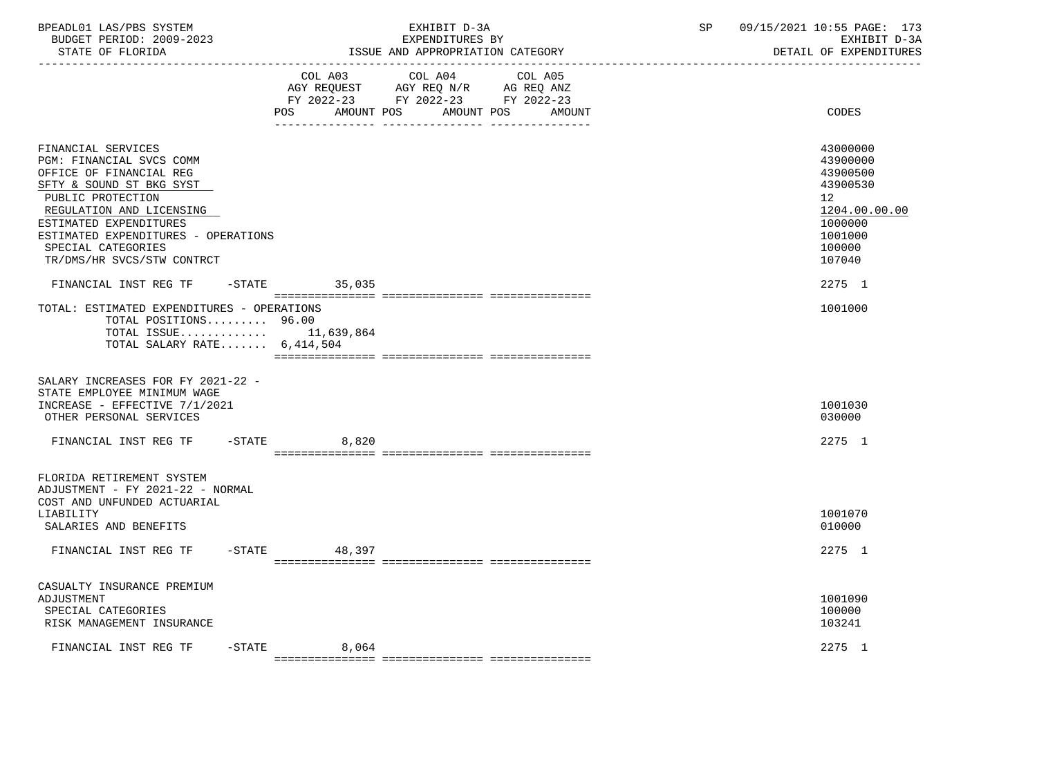| BPEADL01 LAS/PBS SYSTEM |                          |
|-------------------------|--------------------------|
|                         | BUDGET PERIOD: 2009-2023 |

|                                                                                                                                                                                                                                                                             | COL A03           | COL A04<br>COL A05<br>AGY REQUEST AGY REQ N/R AG REQ ANZ<br>FY 2022-23 FY 2022-23 FY 2022-23 |                                                                                              |               |
|-----------------------------------------------------------------------------------------------------------------------------------------------------------------------------------------------------------------------------------------------------------------------------|-------------------|----------------------------------------------------------------------------------------------|----------------------------------------------------------------------------------------------|---------------|
|                                                                                                                                                                                                                                                                             | AMOUNT POS<br>POS | AMOUNT POS                                                                                   | CODES<br>AMOUNT                                                                              |               |
| FINANCIAL SERVICES<br>PGM: FINANCIAL SVCS COMM<br>OFFICE OF FINANCIAL REG<br>SFTY & SOUND ST BKG SYST<br>PUBLIC PROTECTION<br>REGULATION AND LICENSING<br>ESTIMATED EXPENDITURES<br>ESTIMATED EXPENDITURES - OPERATIONS<br>SPECIAL CATEGORIES<br>TR/DMS/HR SVCS/STW CONTRCT |                   |                                                                                              | 43000000<br>43900000<br>43900500<br>43900530<br>12<br>1000000<br>1001000<br>100000<br>107040 | 1204.00.00.00 |
| FINANCIAL INST REG TF -STATE                                                                                                                                                                                                                                                | 35,035            |                                                                                              | 2275 1                                                                                       |               |
| TOTAL: ESTIMATED EXPENDITURES - OPERATIONS<br>TOTAL POSITIONS 96.00<br>TOTAL ISSUE 11,639,864<br>TOTAL SALARY RATE $6,414,504$                                                                                                                                              |                   |                                                                                              | 1001000                                                                                      |               |
| SALARY INCREASES FOR FY 2021-22 -<br>STATE EMPLOYEE MINIMUM WAGE<br>INCREASE - EFFECTIVE 7/1/2021<br>OTHER PERSONAL SERVICES                                                                                                                                                |                   |                                                                                              | 1001030<br>030000                                                                            |               |
| FINANCIAL INST REG TF -STATE                                                                                                                                                                                                                                                | 8,820             |                                                                                              | 2275 1                                                                                       |               |
| FLORIDA RETIREMENT SYSTEM<br>ADJUSTMENT - FY 2021-22 - NORMAL<br>COST AND UNFUNDED ACTUARIAL<br>LIABILITY<br>SALARIES AND BENEFITS                                                                                                                                          |                   |                                                                                              | 1001070<br>010000                                                                            |               |
| $-STATE$<br>FINANCIAL INST REG TF                                                                                                                                                                                                                                           | 48,397            |                                                                                              | 2275 1                                                                                       |               |
| CASUALTY INSURANCE PREMIUM<br>ADJUSTMENT<br>SPECIAL CATEGORIES<br>RISK MANAGEMENT INSURANCE                                                                                                                                                                                 |                   |                                                                                              | 1001090<br>100000<br>103241                                                                  |               |
| FINANCIAL INST REG TF<br>-STATE                                                                                                                                                                                                                                             | 8,064             |                                                                                              | 2275 1                                                                                       |               |

ISSUE AND APPROPRIATION CATEGORY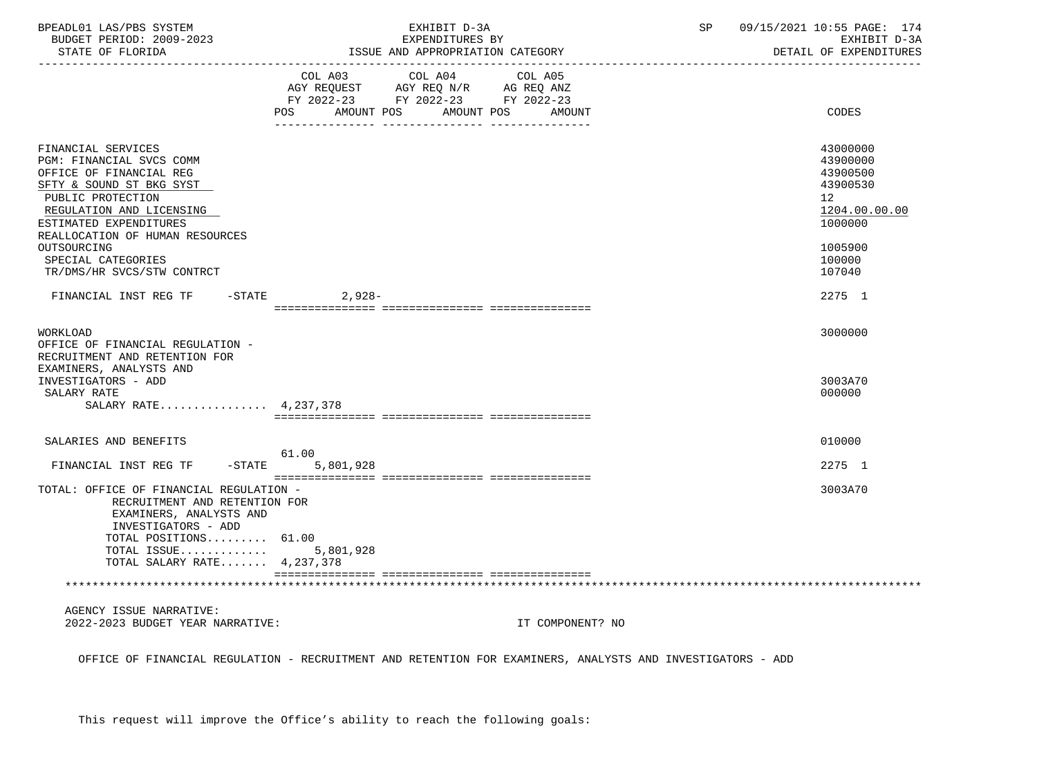| BPEADL01 LAS/PBS SYSTEM<br>BUDGET PERIOD: 2009-2023<br>STATE OF FLORIDA<br>----------------------                                                                                                                                                                                      | EXHIBIT D-3A<br>EXPENDITURES BY<br>ISSUE AND APPROPRIATION CATEGORY                                                                     | SP               | 09/15/2021 10:55 PAGE: 174<br>EXHIBIT D-3A<br>DETAIL OF EXPENDITURES                                          |
|----------------------------------------------------------------------------------------------------------------------------------------------------------------------------------------------------------------------------------------------------------------------------------------|-----------------------------------------------------------------------------------------------------------------------------------------|------------------|---------------------------------------------------------------------------------------------------------------|
|                                                                                                                                                                                                                                                                                        | COL A03 COL A04<br>COL A05<br>AGY REQUEST AGY REQ N/R AG REQ ANZ<br>FY 2022-23 FY 2022-23 FY 2022-23<br>POS<br>AMOUNT POS<br>AMOUNT POS | AMOUNT           | CODES                                                                                                         |
| FINANCIAL SERVICES<br>PGM: FINANCIAL SVCS COMM<br>OFFICE OF FINANCIAL REG<br>SFTY & SOUND ST BKG SYST<br>PUBLIC PROTECTION<br>REGULATION AND LICENSING<br>ESTIMATED EXPENDITURES<br>REALLOCATION OF HUMAN RESOURCES<br>OUTSOURCING<br>SPECIAL CATEGORIES<br>TR/DMS/HR SVCS/STW CONTRCT |                                                                                                                                         |                  | 43000000<br>43900000<br>43900500<br>43900530<br>12<br>1204.00.00.00<br>1000000<br>1005900<br>100000<br>107040 |
| FINANCIAL INST REG TF -STATE                                                                                                                                                                                                                                                           | 2,928-                                                                                                                                  |                  | 2275 1                                                                                                        |
| <b>WORKLOAD</b><br>OFFICE OF FINANCIAL REGULATION -<br>RECRUITMENT AND RETENTION FOR<br>EXAMINERS, ANALYSTS AND                                                                                                                                                                        |                                                                                                                                         |                  | 3000000                                                                                                       |
| INVESTIGATORS - ADD<br>SALARY RATE<br>SALARY RATE 4, 237, 378                                                                                                                                                                                                                          |                                                                                                                                         |                  | 3003A70<br>000000                                                                                             |
| SALARIES AND BENEFITS                                                                                                                                                                                                                                                                  | 61.00                                                                                                                                   |                  | 010000                                                                                                        |
| $-$ STATE<br>FINANCIAL INST REG TF                                                                                                                                                                                                                                                     | 5,801,928                                                                                                                               |                  | 2275 1                                                                                                        |
| TOTAL: OFFICE OF FINANCIAL REGULATION -<br>RECRUITMENT AND RETENTION FOR<br>EXAMINERS, ANALYSTS AND<br>INVESTIGATORS - ADD<br>TOTAL POSITIONS 61.00<br>TOTAL ISSUE                                                                                                                     | 5,801,928                                                                                                                               |                  | 3003A70                                                                                                       |
| TOTAL SALARY RATE 4, 237, 378                                                                                                                                                                                                                                                          |                                                                                                                                         |                  |                                                                                                               |
|                                                                                                                                                                                                                                                                                        |                                                                                                                                         |                  |                                                                                                               |
| AGENCY ISSUE NARRATIVE:<br>2022-2023 BUDGET YEAR NARRATIVE:                                                                                                                                                                                                                            |                                                                                                                                         | IT COMPONENT? NO |                                                                                                               |

OFFICE OF FINANCIAL REGULATION - RECRUITMENT AND RETENTION FOR EXAMINERS, ANALYSTS AND INVESTIGATORS - ADD

This request will improve the Office's ability to reach the following goals: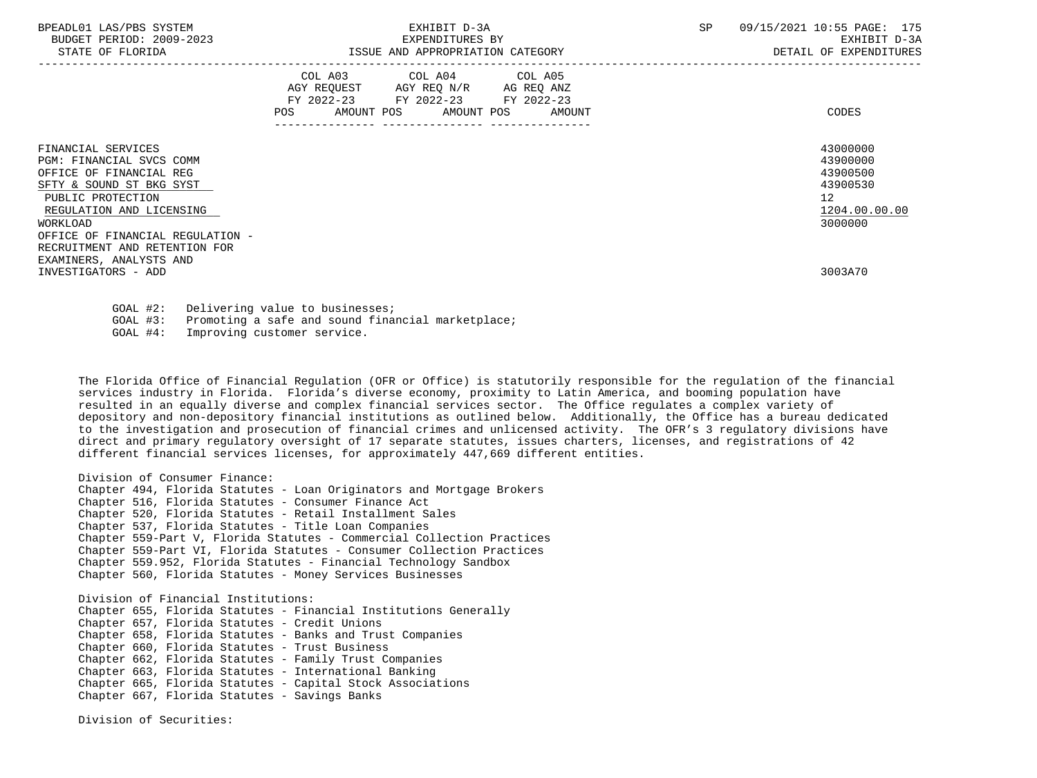| BPEADL01 LAS/PBS SYSTEM<br>BUDGET PERIOD: 2009-2023<br>STATE OF FLORIDA                                                                                                                                | EXHIBIT D-3A<br>EXPENDITURES BY<br>ISSUE AND APPROPRIATION CATEGORY                                                                   | 09/15/2021 10:55 PAGE: 175<br>SP<br>EXHIBIT D-3A<br>DETAIL OF EXPENDITURES     |
|--------------------------------------------------------------------------------------------------------------------------------------------------------------------------------------------------------|---------------------------------------------------------------------------------------------------------------------------------------|--------------------------------------------------------------------------------|
|                                                                                                                                                                                                        | COL A03 COL A04 COL A05<br>AGY REQUEST AGY REQ N/R AG REQ ANZ<br>FY 2022-23 FY 2022-23 FY 2022-23<br>POS AMOUNT POS AMOUNT POS AMOUNT | CODES                                                                          |
| FINANCIAL SERVICES<br>PGM: FINANCIAL SVCS COMM<br>OFFICE OF FINANCIAL REG<br>SFTY & SOUND ST BKG SYST<br>PUBLIC PROTECTION<br>REGULATION AND LICENSING<br>WORKLOAD<br>OFFICE OF FINANCIAL REGULATION - |                                                                                                                                       | 43000000<br>43900000<br>43900500<br>43900530<br>12<br>1204.00.00.00<br>3000000 |
| RECRUITMENT AND RETENTION FOR<br>EXAMINERS, ANALYSTS AND<br>INVESTIGATORS - ADD                                                                                                                        |                                                                                                                                       | 3003A70                                                                        |

 GOAL #2: Delivering value to businesses; GOAL #3: Promoting a safe and sound financial marketplace; GOAL #4: Improving customer service.

 The Florida Office of Financial Regulation (OFR or Office) is statutorily responsible for the regulation of the financial services industry in Florida. Florida's diverse economy, proximity to Latin America, and booming population have resulted in an equally diverse and complex financial services sector. The Office regulates a complex variety of depository and non-depository financial institutions as outlined below. Additionally, the Office has a bureau dedicated to the investigation and prosecution of financial crimes and unlicensed activity. The OFR's 3 regulatory divisions have direct and primary regulatory oversight of 17 separate statutes, issues charters, licenses, and registrations of 42 different financial services licenses, for approximately 447,669 different entities.

 Division of Consumer Finance: Chapter 494, Florida Statutes - Loan Originators and Mortgage Brokers Chapter 516, Florida Statutes - Consumer Finance Act Chapter 520, Florida Statutes - Retail Installment Sales Chapter 537, Florida Statutes - Title Loan Companies Chapter 559-Part V, Florida Statutes - Commercial Collection Practices Chapter 559-Part VI, Florida Statutes - Consumer Collection Practices Chapter 559.952, Florida Statutes - Financial Technology Sandbox Chapter 560, Florida Statutes - Money Services Businesses Division of Financial Institutions: Chapter 655, Florida Statutes - Financial Institutions Generally Chapter 657, Florida Statutes - Credit Unions Chapter 658, Florida Statutes - Banks and Trust Companies Chapter 660, Florida Statutes - Trust Business Chapter 662, Florida Statutes - Family Trust Companies Chapter 663, Florida Statutes - International Banking Chapter 665, Florida Statutes - Capital Stock Associations

Division of Securities:

Chapter 667, Florida Statutes - Savings Banks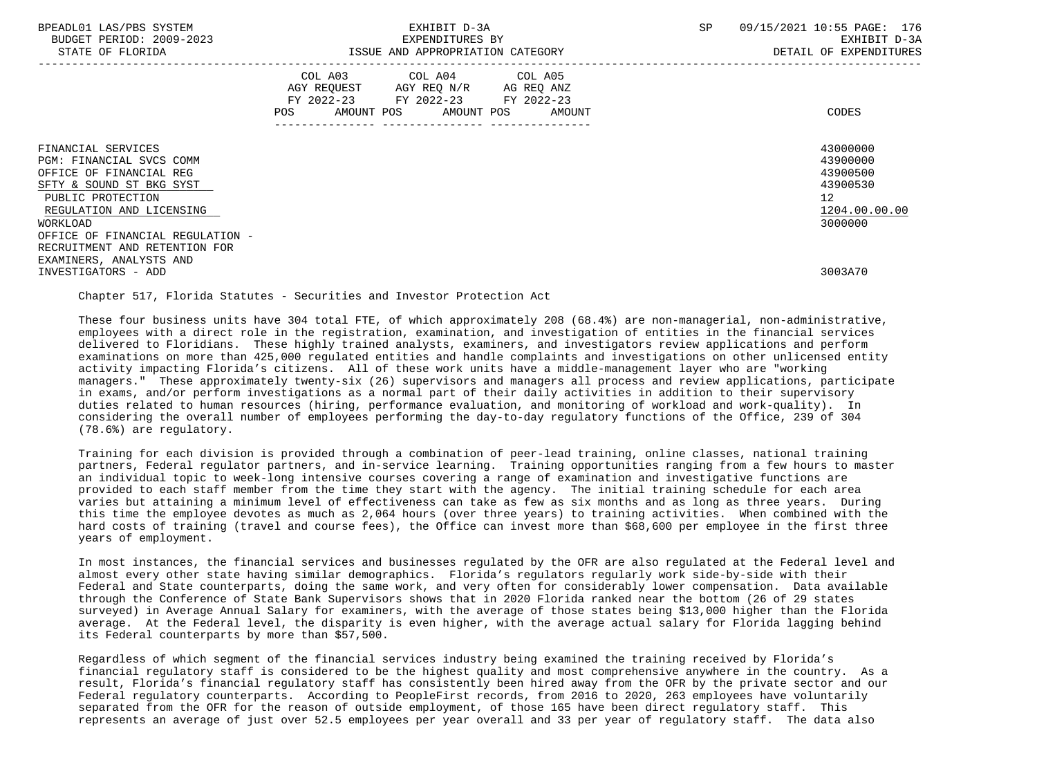| BPEADL01 LAS/PBS SYSTEM |                          |
|-------------------------|--------------------------|
|                         | BUDGET PERIOD: 2009-2023 |
|                         |                          |

|                                  |     | COL A03<br>AGY REOUEST | COL A04<br>AGY REO N/R | COL A05<br>AG REQ ANZ |                   |
|----------------------------------|-----|------------------------|------------------------|-----------------------|-------------------|
|                                  |     | FY 2022-23             | FY 2022-23             | FY 2022-23            |                   |
|                                  | POS | AMOUNT POS             | AMOUNT POS             | AMOUNT                | CODES             |
|                                  |     |                        |                        |                       |                   |
| FINANCIAL SERVICES               |     |                        |                        |                       | 43000000          |
| PGM: FINANCIAL SVCS COMM         |     |                        |                        |                       | 43900000          |
| OFFICE OF FINANCIAL REG          |     |                        |                        |                       | 43900500          |
| SFTY & SOUND ST BKG SYST         |     |                        |                        |                       | 43900530          |
| PUBLIC PROTECTION                |     |                        |                        |                       | $12 \overline{ }$ |
| REGULATION AND LICENSING         |     |                        |                        |                       | 1204.00.00.00     |
| WORKLOAD                         |     |                        |                        |                       | 3000000           |
| OFFICE OF FINANCIAL REGULATION - |     |                        |                        |                       |                   |
| RECRUITMENT AND RETENTION FOR    |     |                        |                        |                       |                   |
| EXAMINERS, ANALYSTS AND          |     |                        |                        |                       |                   |
| INVESTIGATORS - ADD              |     |                        |                        |                       | 3003A70           |

Chapter 517, Florida Statutes - Securities and Investor Protection Act

 These four business units have 304 total FTE, of which approximately 208 (68.4%) are non-managerial, non-administrative, employees with a direct role in the registration, examination, and investigation of entities in the financial services delivered to Floridians. These highly trained analysts, examiners, and investigators review applications and perform examinations on more than 425,000 regulated entities and handle complaints and investigations on other unlicensed entity activity impacting Florida's citizens. All of these work units have a middle-management layer who are "working managers." These approximately twenty-six (26) supervisors and managers all process and review applications, participate in exams, and/or perform investigations as a normal part of their daily activities in addition to their supervisory duties related to human resources (hiring, performance evaluation, and monitoring of workload and work-quality). In considering the overall number of employees performing the day-to-day regulatory functions of the Office, 239 of 304 (78.6%) are regulatory.

 Training for each division is provided through a combination of peer-lead training, online classes, national training partners, Federal regulator partners, and in-service learning. Training opportunities ranging from a few hours to master an individual topic to week-long intensive courses covering a range of examination and investigative functions are provided to each staff member from the time they start with the agency. The initial training schedule for each area varies but attaining a minimum level of effectiveness can take as few as six months and as long as three years. During this time the employee devotes as much as 2,064 hours (over three years) to training activities. When combined with the hard costs of training (travel and course fees), the Office can invest more than \$68,600 per employee in the first three years of employment.

 In most instances, the financial services and businesses regulated by the OFR are also regulated at the Federal level and almost every other state having similar demographics. Florida's regulators regularly work side-by-side with their Federal and State counterparts, doing the same work, and very often for considerably lower compensation. Data available through the Conference of State Bank Supervisors shows that in 2020 Florida ranked near the bottom (26 of 29 states surveyed) in Average Annual Salary for examiners, with the average of those states being \$13,000 higher than the Florida average. At the Federal level, the disparity is even higher, with the average actual salary for Florida lagging behind its Federal counterparts by more than \$57,500.

 Regardless of which segment of the financial services industry being examined the training received by Florida's financial regulatory staff is considered to be the highest quality and most comprehensive anywhere in the country. As a result, Florida's financial regulatory staff has consistently been hired away from the OFR by the private sector and our Federal regulatory counterparts. According to PeopleFirst records, from 2016 to 2020, 263 employees have voluntarily separated from the OFR for the reason of outside employment, of those 165 have been direct regulatory staff. This represents an average of just over 52.5 employees per year overall and 33 per year of regulatory staff. The data also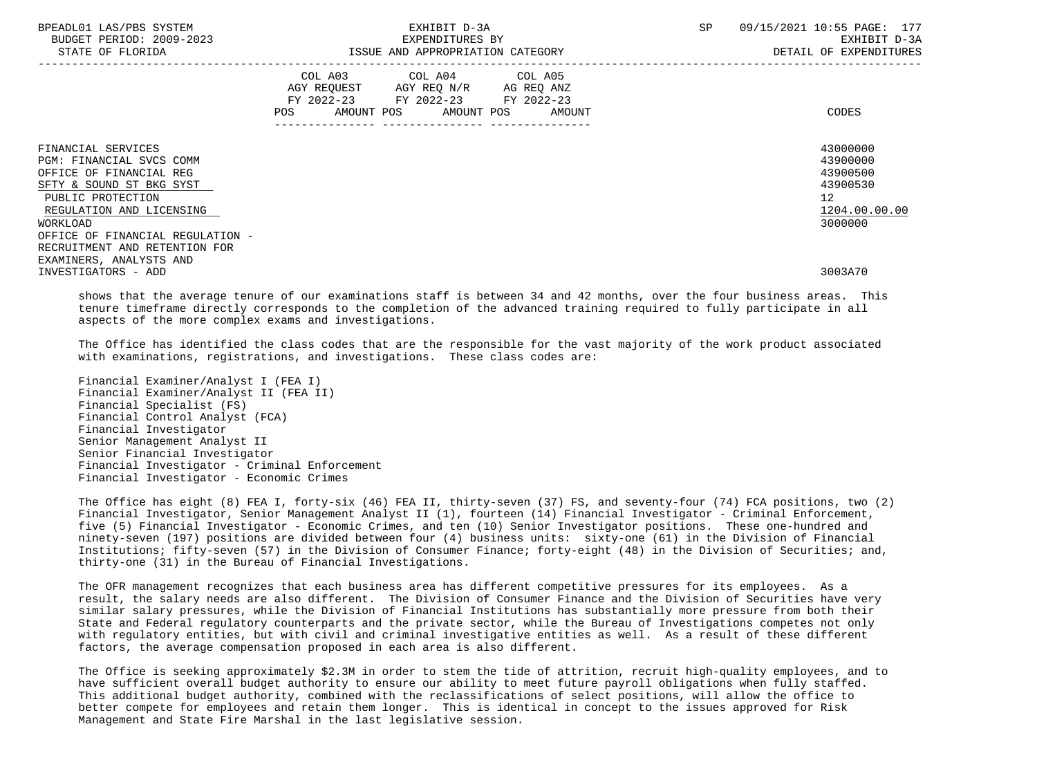| BPEADL01 LAS/PBS SYSTEM<br>BUDGET PERIOD: 2009-2023<br>STATE OF FLORIDA                                                                                                                                                                 | EXHIBIT D-3A<br>EXPENDITURES BY<br>ISSUE AND APPROPRIATION CATEGORY                                                                                       | 09/15/2021 10:55 PAGE: 177<br><b>SP</b><br>EXHIBIT D-3A<br>DETAIL OF EXPENDITURES |
|-----------------------------------------------------------------------------------------------------------------------------------------------------------------------------------------------------------------------------------------|-----------------------------------------------------------------------------------------------------------------------------------------------------------|-----------------------------------------------------------------------------------|
|                                                                                                                                                                                                                                         | COL A03 COL A04 COL A05<br>AGY REQUEST AGY REQ N/R AG REQ ANZ<br>FY 2022-23 FY 2022-23 FY 2022-23<br>POS AMOUNT POS AMOUNT POS AMOUNT<br>---------------- | CODES                                                                             |
| FINANCIAL SERVICES<br>PGM: FINANCIAL SVCS COMM<br>OFFICE OF FINANCIAL REG<br>SFTY & SOUND ST BKG SYST<br>PUBLIC PROTECTION<br>REGULATION AND LICENSING<br>WORKLOAD<br>OFFICE OF FINANCIAL REGULATION -<br>RECRUITMENT AND RETENTION FOR |                                                                                                                                                           | 43000000<br>43900000<br>43900500<br>43900530<br>12<br>1204.00.00.00<br>3000000    |
| EXAMINERS, ANALYSTS AND<br>INVESTIGATORS - ADD                                                                                                                                                                                          |                                                                                                                                                           | 3003A70                                                                           |

 shows that the average tenure of our examinations staff is between 34 and 42 months, over the four business areas. This tenure timeframe directly corresponds to the completion of the advanced training required to fully participate in all aspects of the more complex exams and investigations.

 The Office has identified the class codes that are the responsible for the vast majority of the work product associated with examinations, registrations, and investigations. These class codes are:

 Financial Examiner/Analyst I (FEA I) Financial Examiner/Analyst II (FEA II) Financial Specialist (FS) Financial Control Analyst (FCA) Financial Investigator Senior Management Analyst II Senior Financial Investigator Financial Investigator - Criminal Enforcement Financial Investigator - Economic Crimes

 The Office has eight (8) FEA I, forty-six (46) FEA II, thirty-seven (37) FS, and seventy-four (74) FCA positions, two (2) Financial Investigator, Senior Management Analyst II (1), fourteen (14) Financial Investigator - Criminal Enforcement, five (5) Financial Investigator - Economic Crimes, and ten (10) Senior Investigator positions. These one-hundred and ninety-seven (197) positions are divided between four (4) business units: sixty-one (61) in the Division of Financial Institutions; fifty-seven (57) in the Division of Consumer Finance; forty-eight (48) in the Division of Securities; and, thirty-one (31) in the Bureau of Financial Investigations.

 The OFR management recognizes that each business area has different competitive pressures for its employees. As a result, the salary needs are also different. The Division of Consumer Finance and the Division of Securities have very similar salary pressures, while the Division of Financial Institutions has substantially more pressure from both their State and Federal regulatory counterparts and the private sector, while the Bureau of Investigations competes not only with regulatory entities, but with civil and criminal investigative entities as well. As a result of these different factors, the average compensation proposed in each area is also different.

 The Office is seeking approximately \$2.3M in order to stem the tide of attrition, recruit high-quality employees, and to have sufficient overall budget authority to ensure our ability to meet future payroll obligations when fully staffed. This additional budget authority, combined with the reclassifications of select positions, will allow the office to better compete for employees and retain them longer. This is identical in concept to the issues approved for Risk Management and State Fire Marshal in the last legislative session.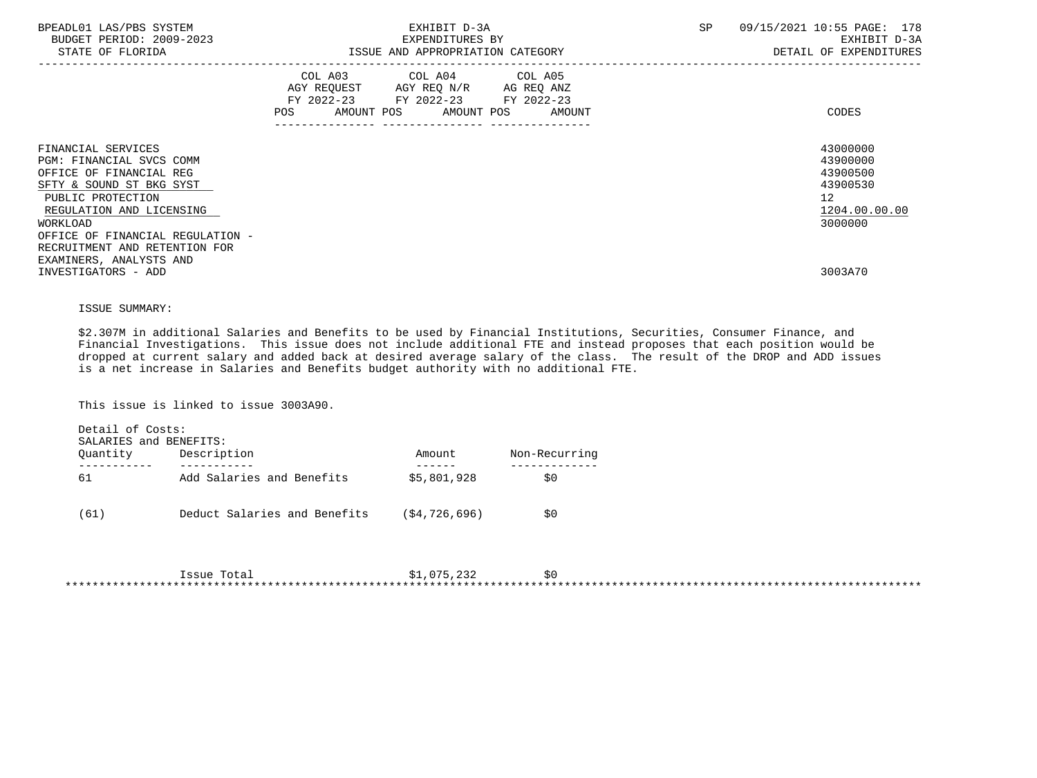| BPEADL01 LAS/PBS SYSTEM<br>BUDGET PERIOD: 2009-2023<br>STATE OF FLORIDA                                                                                                                                | EXHIBIT D-3A<br>EXPENDITURES BY<br>ISSUE AND APPROPRIATION CATEGORY                                                                   | 09/15/2021 10:55 PAGE: 178<br><b>SP</b><br>EXHIBIT D-3A<br>DETAIL OF EXPENDITURES |
|--------------------------------------------------------------------------------------------------------------------------------------------------------------------------------------------------------|---------------------------------------------------------------------------------------------------------------------------------------|-----------------------------------------------------------------------------------|
|                                                                                                                                                                                                        | COL A03 COL A04 COL A05<br>AGY REQUEST AGY REQ N/R AG REQ ANZ<br>FY 2022-23 FY 2022-23 FY 2022-23<br>POS AMOUNT POS AMOUNT POS AMOUNT | CODES                                                                             |
| FINANCIAL SERVICES<br>PGM: FINANCIAL SVCS COMM<br>OFFICE OF FINANCIAL REG<br>SFTY & SOUND ST BKG SYST<br>PUBLIC PROTECTION<br>REGULATION AND LICENSING<br>WORKLOAD<br>OFFICE OF FINANCIAL REGULATION - |                                                                                                                                       | 43000000<br>43900000<br>43900500<br>43900530<br>12<br>1204.00.00.00<br>3000000    |
| RECRUITMENT AND RETENTION FOR<br>EXAMINERS, ANALYSTS AND<br>INVESTIGATORS - ADD                                                                                                                        |                                                                                                                                       | 3003A70                                                                           |

## ISSUE SUMMARY:

 \$2.307M in additional Salaries and Benefits to be used by Financial Institutions, Securities, Consumer Finance, and Financial Investigations. This issue does not include additional FTE and instead proposes that each position would be dropped at current salary and added back at desired average salary of the class. The result of the DROP and ADD issues is a net increase in Salaries and Benefits budget authority with no additional FTE.

This issue is linked to issue 3003A90.

| Detail of Costs:<br>SALARIES and BENEFITS: |                              |                  |               |
|--------------------------------------------|------------------------------|------------------|---------------|
| Quantity                                   | Description                  | Amount           | Non-Recurring |
| 61                                         | Add Salaries and Benefits    | \$5,801,928      | \$0           |
| (61)                                       | Deduct Salaries and Benefits | ( \$4, 726, 696) | \$0           |
|                                            | Issue Total                  | \$1,075,232      | \$0           |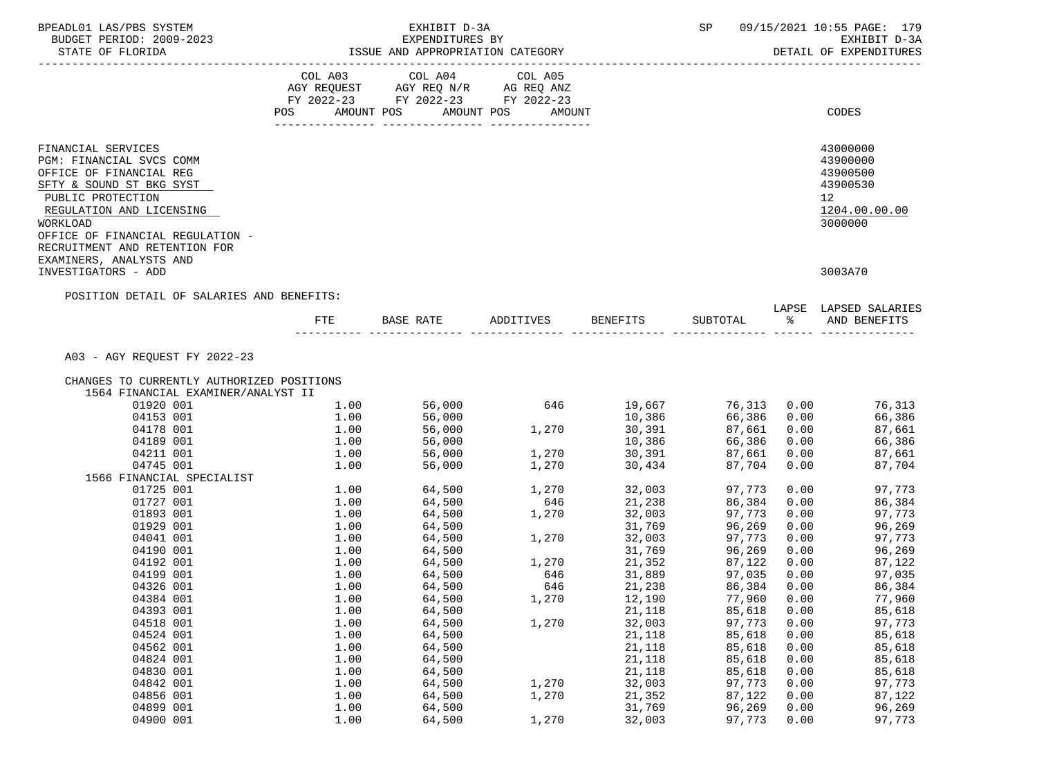| BPEADL01 LAS/PBS SYSTEM                        |              | EXHIBIT D-3A                                                         |         |                                         | SP and the set of the set of the set of the set of the set of the set of the set of the set of the set of the s |              | 09/15/2021 10:55 PAGE: 179 |
|------------------------------------------------|--------------|----------------------------------------------------------------------|---------|-----------------------------------------|-----------------------------------------------------------------------------------------------------------------|--------------|----------------------------|
| BUDGET PERIOD: 2009-2023                       |              | EXPENDITURES BY<br>ISSUE AND APPROPRIATION CATEGORY                  |         |                                         |                                                                                                                 |              | EXHIBIT D-3A               |
|                                                |              |                                                                      |         |                                         |                                                                                                                 |              | DETAIL OF EXPENDITURES     |
|                                                |              | COL A03 COL A04                                                      | COL A05 |                                         |                                                                                                                 |              |                            |
|                                                |              |                                                                      |         |                                         |                                                                                                                 |              |                            |
|                                                |              | FY 2022-23 FY 2022-23 FY 2022-23                                     |         |                                         |                                                                                                                 |              |                            |
|                                                |              | POS AMOUNT POS AMOUNT POS                                            | AMOUNT  |                                         |                                                                                                                 |              | CODES                      |
|                                                |              |                                                                      |         |                                         |                                                                                                                 |              |                            |
| FINANCIAL SERVICES<br>PGM: FINANCIAL SVCS COMM |              |                                                                      |         |                                         |                                                                                                                 |              | 43000000<br>43900000       |
| OFFICE OF FINANCIAL REG                        |              |                                                                      |         |                                         |                                                                                                                 |              | 43900500                   |
| SFTY & SOUND ST BKG SYST                       |              |                                                                      |         |                                         |                                                                                                                 |              | 43900530                   |
| PUBLIC PROTECTION                              |              |                                                                      |         |                                         |                                                                                                                 |              | 12                         |
| REGULATION AND LICENSING                       |              |                                                                      |         |                                         |                                                                                                                 |              | 1204.00.00.00              |
| WORKLOAD                                       |              |                                                                      |         |                                         |                                                                                                                 |              | 3000000                    |
| OFFICE OF FINANCIAL REGULATION -               |              |                                                                      |         |                                         |                                                                                                                 |              |                            |
| RECRUITMENT AND RETENTION FOR                  |              |                                                                      |         |                                         |                                                                                                                 |              |                            |
| EXAMINERS, ANALYSTS AND                        |              |                                                                      |         |                                         |                                                                                                                 |              |                            |
| INVESTIGATORS - ADD                            |              |                                                                      |         |                                         |                                                                                                                 |              | 3003A70                    |
| POSITION DETAIL OF SALARIES AND BENEFITS:      |              |                                                                      |         |                                         |                                                                                                                 |              |                            |
|                                                |              |                                                                      |         |                                         |                                                                                                                 |              | LAPSE LAPSED SALARIES      |
|                                                |              | FTE BASE RATE ADDITIVES BENEFITS SUBTOTAL $\frac{1}{2}$ and BENEFITS |         |                                         |                                                                                                                 |              |                            |
|                                                |              |                                                                      |         |                                         |                                                                                                                 |              |                            |
| A03 - AGY REOUEST FY 2022-23                   |              |                                                                      |         |                                         |                                                                                                                 |              |                            |
|                                                |              |                                                                      |         |                                         |                                                                                                                 |              |                            |
| CHANGES TO CURRENTLY AUTHORIZED POSITIONS      |              |                                                                      |         |                                         |                                                                                                                 |              |                            |
| 1564 FINANCIAL EXAMINER/ANALYST II             |              |                                                                      |         |                                         |                                                                                                                 |              |                            |
| 01920 001                                      | 1.00<br>1.00 | 56,000                                                               |         | 56,000 646 19,667 76,313 0.00<br>10,386 |                                                                                                                 |              | 76,313                     |
| 04153 001<br>04178 001                         |              |                                                                      | 1,270   | 30,391                                  | 66,386<br>87,661                                                                                                | 0.00         | 66,386<br>87,661           |
| 04189 001                                      |              | $1.00$ $56,000$<br>$1.00$ $56,000$                                   |         | ⊥لالا, u<br>10,386                      | 66,386                                                                                                          |              | $0.00$<br>$0.00$<br>66,386 |
| 04211 001                                      | 1.00         | 56,000                                                               | 1,270   | 30,391                                  | 87,661                                                                                                          | 0.00         | 87,661                     |
| 04745 001                                      | 1.00         | 56,000                                                               | 1,270   | 30,434                                  | 87,704                                                                                                          | 0.00         | 87,704                     |
| 1566 FINANCIAL SPECIALIST                      |              |                                                                      |         |                                         |                                                                                                                 |              |                            |
| 01725 001                                      |              | 1.00 64,500 1,270<br>1.00 64,500 646                                 |         | 32,003                                  | 97,773                                                                                                          | 0.00         | 97,773                     |
| 01727 001                                      |              |                                                                      |         | 21,238                                  | 86,384                                                                                                          | 0.00         | 86,384                     |
| 01893 001                                      | 1.00         | 64,500                                                               | 1,270   | 32,003                                  | 97,773                                                                                                          | 0.00         | 97,773                     |
| 01929 001                                      | 1.00         | 64,500<br>64,500                                                     | 1,270   | 31,769<br>32,003                        | 96,269                                                                                                          | 0.00         | 96,269<br>0.00<br>97,773   |
| 04041 001<br>04190 001                         | 1.00<br>1.00 |                                                                      |         |                                         | 97,773<br>96,269                                                                                                |              | 96,269                     |
| 04192 001                                      | 1.00         | 64,500<br>64,500                                                     | 1,270   | 31,769<br>21,352                        | 87,122                                                                                                          | 0.00         | 0.00<br>87,122             |
| 04199 001                                      | 1.00         | 64,500                                                               | 646     | 31,889                                  | 97,035                                                                                                          | 0.00         | 97,035                     |
| 04326 001                                      | 1.00         | 64,500                                                               | 646     | 21,238                                  | 86,384 0.00                                                                                                     |              | 86,384                     |
| 04384 001                                      | 1.00         | 64,500                                                               | 1,270   | 12,190                                  | 77,960                                                                                                          | 0.00         | 77,960                     |
| 04393 001                                      | 1.00         | 64,500                                                               |         | 21,118                                  | 85,618                                                                                                          | 0.00         | 85,618                     |
| 04518 001                                      | 1.00         | 64,500                                                               | 1,270   | 32,003                                  | 97,773                                                                                                          | 0.00         | 97,773                     |
| 04524 001                                      | 1.00         | 64,500                                                               |         | 21,118                                  | 85,618                                                                                                          | 0.00         | 85,618                     |
| 04562 001                                      | 1.00         | 64,500                                                               |         | 21,118                                  | 85,618<br>85,618                                                                                                | 0.00         | 85,618                     |
| 04824 001<br>04830 001                         | 1.00<br>1.00 | 64,500<br>64,500                                                     |         | 21,118<br>21,118                        | 85,618                                                                                                          | 0.00<br>0.00 | 85,618<br>85,618           |
| 04842 001                                      | 1.00         | 64,500                                                               | 1,270   | 32,003                                  | 97,773                                                                                                          | 0.00         | 97,773                     |
| 04856 001                                      | 1.00         | 64,500                                                               | 1,270   | 21,352                                  | 87,122                                                                                                          | 0.00         | 87,122                     |
| 04899 001                                      | 1.00         | 64,500                                                               |         | 31,769                                  | 96,269                                                                                                          | 0.00         | 96,269                     |
| 04900 001                                      | 1.00         | 64,500                                                               | 1,270   | 32,003                                  | 97,773                                                                                                          | 0.00         | 97,773                     |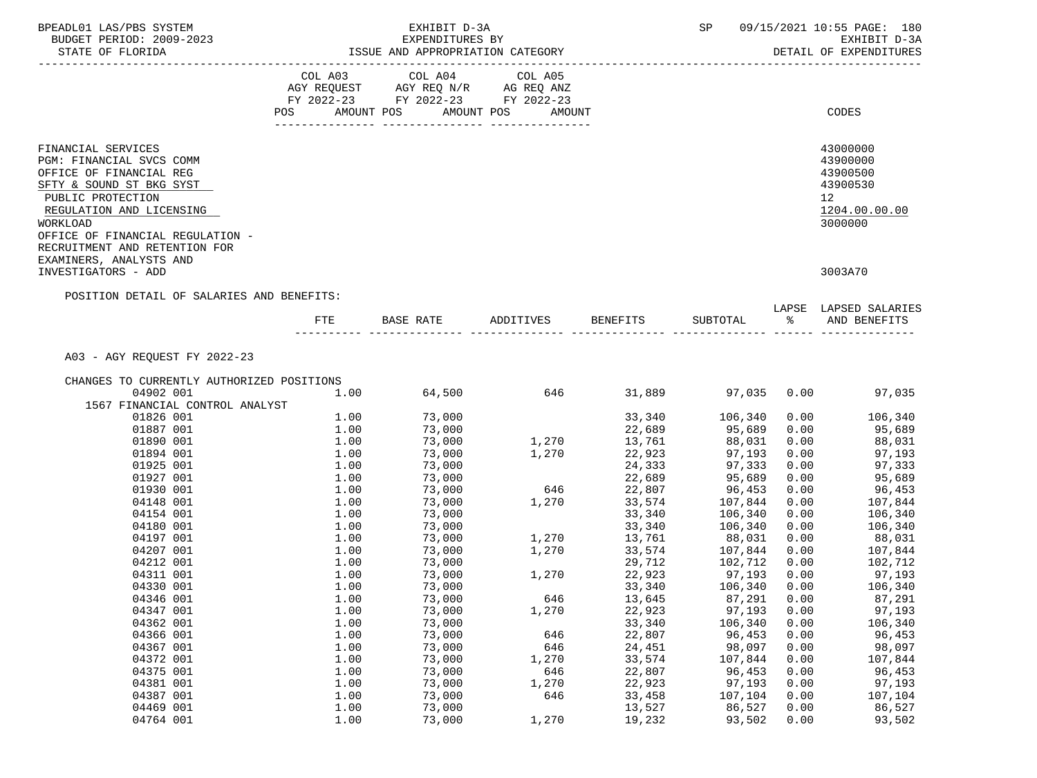| BPEADL01 LAS/PBS SYSTEM<br>BUDGET PERIOD: 2009-2023<br>STATE OF FLORIDA                                                                                                                                                                 |                                                                                                                | EXHIBIT D-3A<br>EXPENDITURES BY<br>ISSUE AND APPROPRIATION CATEGORY                       |              |                        | SP                 |               | 09/15/2021 10:55 PAGE: 180<br>EXHIBIT D-3A<br>DETAIL OF EXPENDITURES           |
|-----------------------------------------------------------------------------------------------------------------------------------------------------------------------------------------------------------------------------------------|----------------------------------------------------------------------------------------------------------------|-------------------------------------------------------------------------------------------|--------------|------------------------|--------------------|---------------|--------------------------------------------------------------------------------|
|                                                                                                                                                                                                                                         |                                                                                                                | COL A03 COL A04<br>AGY REQUEST AGY REQ N/R AG REQ ANZ<br>FY 2022-23 FY 2022-23 FY 2022-23 | COL A05      |                        |                    |               |                                                                                |
|                                                                                                                                                                                                                                         | POS FOR THE POST OF THE STATE STATE STATE STATE STATE STATE STATE STATE STATE STATE STATE STATE STATE STATE ST | AMOUNT POS AMOUNT POS                                                                     | AMOUNT       |                        |                    |               | CODES                                                                          |
| FINANCIAL SERVICES<br>PGM: FINANCIAL SVCS COMM<br>OFFICE OF FINANCIAL REG<br>SFTY & SOUND ST BKG SYST<br>PUBLIC PROTECTION<br>REGULATION AND LICENSING<br>WORKLOAD<br>OFFICE OF FINANCIAL REGULATION -<br>RECRUITMENT AND RETENTION FOR |                                                                                                                |                                                                                           |              |                        |                    |               | 43000000<br>43900000<br>43900500<br>43900530<br>12<br>1204.00.00.00<br>3000000 |
| EXAMINERS, ANALYSTS AND<br>INVESTIGATORS - ADD                                                                                                                                                                                          |                                                                                                                |                                                                                           |              |                        |                    |               | 3003A70                                                                        |
| POSITION DETAIL OF SALARIES AND BENEFITS:                                                                                                                                                                                               | FTE                                                                                                            | BASE RATE                                                                                 | ADDITIVES    | BENEFITS               | SUBTOTAL           | $\sim$ $\sim$ | LAPSE LAPSED SALARIES<br>AND BENEFITS                                          |
| A03 - AGY REQUEST FY 2022-23<br>CHANGES TO CURRENTLY AUTHORIZED POSITIONS                                                                                                                                                               |                                                                                                                |                                                                                           |              |                        |                    |               |                                                                                |
| 04902 001                                                                                                                                                                                                                               | 1.00                                                                                                           | 64,500                                                                                    |              | 646 31,889 97,035 0.00 |                    |               | 97,035                                                                         |
| 1567 FINANCIAL CONTROL ANALYST                                                                                                                                                                                                          |                                                                                                                |                                                                                           |              |                        |                    |               |                                                                                |
| 01826 001                                                                                                                                                                                                                               | 1.00                                                                                                           | 73,000                                                                                    |              | 33,340                 | 106,340            |               | $0.00$ 106,340                                                                 |
| 01887 001                                                                                                                                                                                                                               | 1.00                                                                                                           | 73,000                                                                                    |              | 22,689                 | 95,689             | 0.00          | 95,689                                                                         |
| 01890 001                                                                                                                                                                                                                               | 1.00                                                                                                           | 73,000                                                                                    | 1,270        | 13,761                 | 88,031             | 0.00          | 88,031                                                                         |
| 01894 001                                                                                                                                                                                                                               | 1.00                                                                                                           | 73,000                                                                                    | 1,270        | 22,923                 | 97,193             | 0.00          | 97,193                                                                         |
| 01925 001                                                                                                                                                                                                                               | 1.00                                                                                                           | 73,000                                                                                    |              | 24,333                 | 97,333             | 0.00          | 97,333                                                                         |
| 01927 001                                                                                                                                                                                                                               | 1.00                                                                                                           | 73,000                                                                                    |              | 22,689                 | 95,689             | 0.00          | 95,689                                                                         |
| 01930 001<br>04148 001                                                                                                                                                                                                                  | 1.00<br>1.00                                                                                                   | 73,000<br>73,000                                                                          | 646<br>1,270 | 22,807<br>33,574       | 96,453             | 0.00<br>0.00  | 96,453                                                                         |
| 04154 001                                                                                                                                                                                                                               | 1.00                                                                                                           | 73,000                                                                                    |              | 33,340                 | 107,844<br>106,340 | 0.00          | 107,844<br>106,340                                                             |
| 04180 001                                                                                                                                                                                                                               | 1.00                                                                                                           | 73,000                                                                                    |              | 33,340                 | 106,340            | 0.00          | 106,340                                                                        |
| 04197 001                                                                                                                                                                                                                               | 1.00                                                                                                           | 73,000                                                                                    |              | 1,270 13,761           | 88,031             | 0.00          | 88,031                                                                         |
| 04207 001                                                                                                                                                                                                                               | 1.00                                                                                                           | 73,000                                                                                    | 1,270        | 33,574                 | 107,844            | 0.00          | 107,844                                                                        |
| 04212 001                                                                                                                                                                                                                               | 1.00                                                                                                           | 73,000                                                                                    |              | 29,712                 | 102,712            | 0.00          | 102,712                                                                        |
| 04311 001                                                                                                                                                                                                                               | 1.00                                                                                                           | 73,000                                                                                    | 1,270        | 22,923                 | 97,193 0.00        |               | 97,193                                                                         |
| 04330 001                                                                                                                                                                                                                               | 1.00                                                                                                           | 73,000                                                                                    |              | 33,340                 | 106,340            | 0.00          | 106,340                                                                        |
| 04346 001                                                                                                                                                                                                                               | 1.00                                                                                                           | 73,000                                                                                    | 646          | 13,645                 | 87,291             | 0.00          | 87,291                                                                         |
| 04347 001                                                                                                                                                                                                                               | 1.00                                                                                                           | 73,000                                                                                    | 1,270        | 22,923                 | 97,193             | 0.00          | 97,193                                                                         |
| 04362 001                                                                                                                                                                                                                               | 1.00                                                                                                           | 73,000                                                                                    |              | 33,340                 | 106,340            | 0.00          | 106,340                                                                        |
| 04366 001                                                                                                                                                                                                                               | 1.00                                                                                                           | 73,000                                                                                    | 646          | 22,807                 | 96,453             | 0.00          | 96,453                                                                         |
| 04367 001                                                                                                                                                                                                                               | 1.00                                                                                                           | 73,000                                                                                    | 646          | 24,451                 | 98,097             | 0.00          | 98,097                                                                         |
| 04372 001                                                                                                                                                                                                                               | 1.00                                                                                                           | 73,000                                                                                    | 1,270        | 33,574                 | 107,844            | 0.00          | 107,844                                                                        |
| 04375 001<br>04381 001                                                                                                                                                                                                                  | 1.00                                                                                                           | 73,000                                                                                    | 646          | 22,807                 | 96,453             | 0.00          | 96,453                                                                         |
| 04387 001                                                                                                                                                                                                                               | 1.00<br>1.00                                                                                                   | 73,000<br>73,000                                                                          | 1,270<br>646 | 22,923<br>33,458       | 97,193<br>107,104  | 0.00<br>0.00  | 97,193<br>107,104                                                              |
| 04469 001                                                                                                                                                                                                                               | 1.00                                                                                                           | 73,000                                                                                    |              | 13,527                 | 86,527             | 0.00          | 86,527                                                                         |
| 04764 001                                                                                                                                                                                                                               | 1.00                                                                                                           | 73,000                                                                                    | 1,270        | 19,232                 | 93,502             | 0.00          | 93,502                                                                         |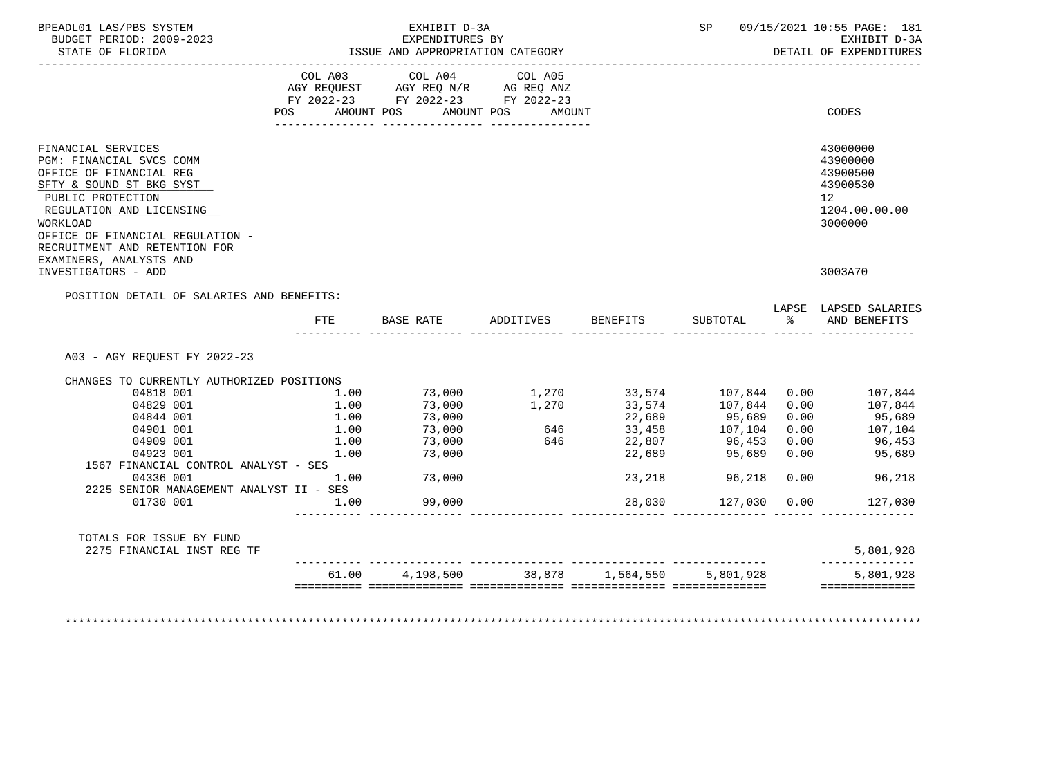| BUDGET PERIOD: 2009-2023<br>STATE OF FLORIDA                                                                                                                                                                                                                       |               | EXHIBIT D-3A<br>EXPENDITURES BY<br>ISSUE AND APPROPRIATION CATEGORY                                                                                                                                                                                                                            |         |          | SP            |      | 09/15/2021 10:55 PAGE: 181<br>EXHIBIT D-3A<br>DETAIL OF EXPENDITURES                                   |
|--------------------------------------------------------------------------------------------------------------------------------------------------------------------------------------------------------------------------------------------------------------------|---------------|------------------------------------------------------------------------------------------------------------------------------------------------------------------------------------------------------------------------------------------------------------------------------------------------|---------|----------|---------------|------|--------------------------------------------------------------------------------------------------------|
|                                                                                                                                                                                                                                                                    |               | COL A03 COL A04<br>AGY REQUEST AGY REQ N/R AG REQ ANZ<br>FY 2022-23 FY 2022-23 FY 2022-23                                                                                                                                                                                                      | COL A05 |          |               |      |                                                                                                        |
|                                                                                                                                                                                                                                                                    |               | POS AMOUNT POS AMOUNT POS AMOUNT                                                                                                                                                                                                                                                               |         |          |               |      | CODES                                                                                                  |
| FINANCIAL SERVICES<br>PGM: FINANCIAL SVCS COMM<br>OFFICE OF FINANCIAL REG<br>SFTY & SOUND ST BKG SYST<br>PUBLIC PROTECTION<br>REGULATION AND LICENSING<br>WORKLOAD<br>OFFICE OF FINANCIAL REGULATION -<br>RECRUITMENT AND RETENTION FOR<br>EXAMINERS, ANALYSTS AND |               |                                                                                                                                                                                                                                                                                                |         |          |               |      | 43000000<br>43900000<br>43900500<br>43900530<br>12 <sup>°</sup><br>1204.00.00.00<br>3000000<br>3003A70 |
| INVESTIGATORS - ADD                                                                                                                                                                                                                                                |               |                                                                                                                                                                                                                                                                                                |         |          |               |      |                                                                                                        |
| POSITION DETAIL OF SALARIES AND BENEFITS:                                                                                                                                                                                                                          | FTE           | BASE RATE ADDITIVES                                                                                                                                                                                                                                                                            |         | BENEFITS | SUBTOTAL %    |      | LAPSE LAPSED SALARIES<br>AND BENEFITS                                                                  |
| A03 - AGY REQUEST FY 2022-23                                                                                                                                                                                                                                       |               |                                                                                                                                                                                                                                                                                                |         |          |               |      |                                                                                                        |
| CHANGES TO CURRENTLY AUTHORIZED POSITIONS                                                                                                                                                                                                                          |               |                                                                                                                                                                                                                                                                                                |         |          |               |      |                                                                                                        |
| 04818 001                                                                                                                                                                                                                                                          |               |                                                                                                                                                                                                                                                                                                |         |          |               |      | 107,844                                                                                                |
| 04829 001                                                                                                                                                                                                                                                          |               | $1.00$ $73,000$ $1,270$ $33,574$ $107,844$ $0.00$                                                                                                                                                                                                                                              |         |          |               | 0.00 | 107,844                                                                                                |
| 04844 001                                                                                                                                                                                                                                                          |               |                                                                                                                                                                                                                                                                                                |         |          |               | 0.00 | 107,844<br>95,689                                                                                      |
| 04901 001                                                                                                                                                                                                                                                          |               |                                                                                                                                                                                                                                                                                                |         |          |               |      |                                                                                                        |
| 04909 001                                                                                                                                                                                                                                                          |               |                                                                                                                                                                                                                                                                                                |         |          |               |      | $0.00$ $107,104$<br>$0.00$ $96,453$                                                                    |
| 04923 001                                                                                                                                                                                                                                                          | 1.00          | $1.00$<br>$1.00$<br>$1.00$<br>$1.00$<br>$1.00$<br>$1.00$<br>$1.00$<br>$1.00$<br>$1.00$<br>$1.00$<br>$1.00$<br>$1.00$<br>$1.00$<br>$1.00$<br>$1.00$<br>$1.00$<br>$1.00$<br>$1.00$<br>$1.00$<br>$1.00$<br>$1.00$<br>$1.00$<br>$1.00$<br>$1.00$<br>$1.00$<br>$1.00$<br>$1.00$<br>$1.00$<br>73,000 |         |          | 22,689 95,689 |      | $0.00$ 95,689                                                                                          |
| 1567 FINANCIAL CONTROL ANALYST - SES                                                                                                                                                                                                                               |               |                                                                                                                                                                                                                                                                                                |         |          |               |      |                                                                                                        |
| 04336 001                                                                                                                                                                                                                                                          | $1.00$ 73,000 |                                                                                                                                                                                                                                                                                                |         |          |               |      | 23, 218 96, 218 0.00 96, 218                                                                           |
| 2225 SENIOR MANAGEMENT ANALYST II - SES                                                                                                                                                                                                                            |               |                                                                                                                                                                                                                                                                                                |         |          |               |      |                                                                                                        |
| 01730 001                                                                                                                                                                                                                                                          | 1.00          | 99,000                                                                                                                                                                                                                                                                                         |         |          |               |      | 127,030                                                                                                |
| TOTALS FOR ISSUE BY FUND<br>2275 FINANCIAL INST REG TF                                                                                                                                                                                                             |               |                                                                                                                                                                                                                                                                                                |         |          |               |      | 5,801,928<br>______________                                                                            |

\*\*\*\*\*\*\*\*\*\*\*\*\*\*\*\*\*\*\*\*\*\*\*\*\*\*\*\*\*\*\*\*\*\*\*\*\*\*\*\*\*\*\*\*\*\*\*\*\*\*\*\*\*\*\*\*\*\*\*\*\*\*\*\*\*\*\*\*\*\*\*\*\*\*\*\*\*\*\*\*\*\*\*\*\*\*\*\*\*\*\*\*\*\*\*\*\*\*\*\*\*\*\*\*\*\*\*\*\*\*\*\*\*\*\*\*\*\*\*\*\*\*\*\*\*\*\*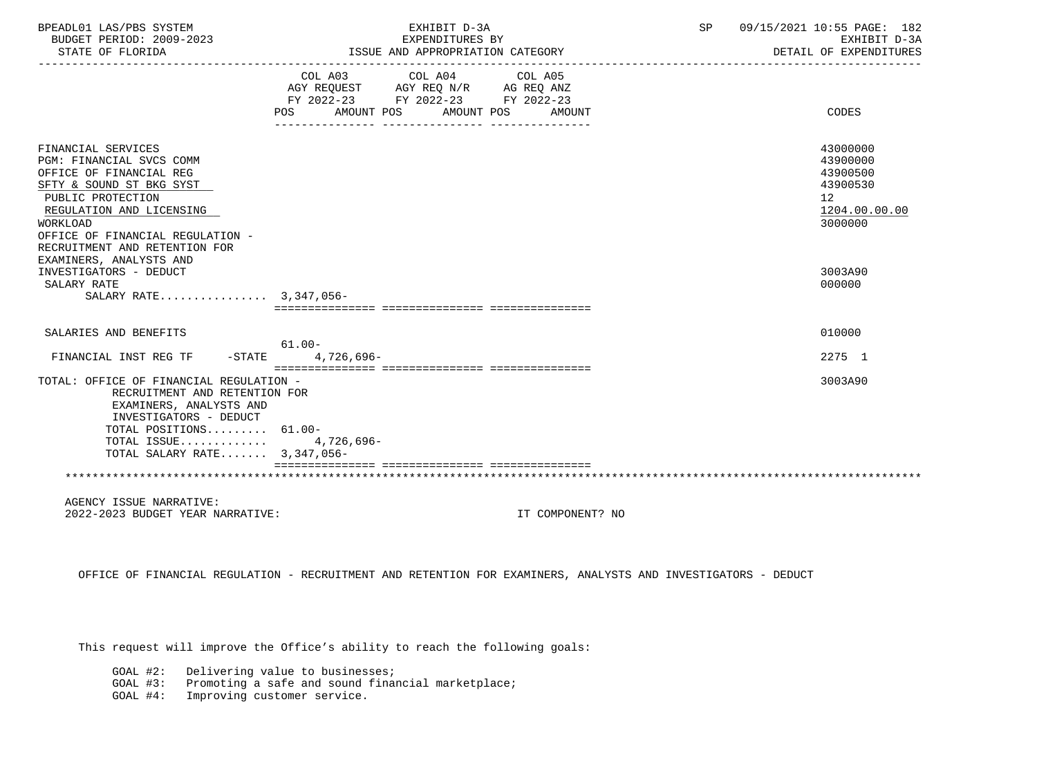| BPEADL01 LAS/PBS SYSTEM<br>BUDGET PERIOD: 2009-2023<br>STATE OF FLORIDA                                                                                                                                                                                                   | EXHIBIT D-3A<br>EXPENDITURES BY<br>ISSUE AND APPROPRIATION CATEGORY                                                                         | 09/15/2021 10:55 PAGE: 182<br>SP.<br>EXHIBIT D-3A<br>DETAIL OF EXPENDITURES    |
|---------------------------------------------------------------------------------------------------------------------------------------------------------------------------------------------------------------------------------------------------------------------------|---------------------------------------------------------------------------------------------------------------------------------------------|--------------------------------------------------------------------------------|
|                                                                                                                                                                                                                                                                           | COL A03 COL A04 COL A05<br>AGY REQUEST AGY REQ N/R AG REQ ANZ<br>FY 2022-23 FY 2022-23 FY 2022-23<br>POS<br>AMOUNT POS AMOUNT POS<br>AMOUNT | CODES                                                                          |
| FINANCIAL SERVICES<br><b>PGM: FINANCIAL SVCS COMM</b><br>OFFICE OF FINANCIAL REG<br>SFTY & SOUND ST BKG SYST<br>PUBLIC PROTECTION<br>REGULATION AND LICENSING<br>WORKLOAD<br>OFFICE OF FINANCIAL REGULATION -<br>RECRUITMENT AND RETENTION FOR<br>EXAMINERS, ANALYSTS AND |                                                                                                                                             | 43000000<br>43900000<br>43900500<br>43900530<br>12<br>1204.00.00.00<br>3000000 |
| INVESTIGATORS - DEDUCT<br>SALARY RATE<br>SALARY RATE 3,347,056-                                                                                                                                                                                                           |                                                                                                                                             | 3003A90<br>000000                                                              |
| SALARIES AND BENEFITS                                                                                                                                                                                                                                                     |                                                                                                                                             | 010000                                                                         |
| FINANCIAL INST REG TF<br>$-$ STATE                                                                                                                                                                                                                                        | $61.00 -$<br>4,726,696-                                                                                                                     | 2275 1                                                                         |
| TOTAL: OFFICE OF FINANCIAL REGULATION -<br>RECRUITMENT AND RETENTION FOR<br>EXAMINERS, ANALYSTS AND<br>INVESTIGATORS - DEDUCT<br>TOTAL POSITIONS $61.00 -$<br>TOTAL ISSUE 4,726,696-<br>TOTAL SALARY RATE 3,347,056-                                                      |                                                                                                                                             | 3003A90                                                                        |
|                                                                                                                                                                                                                                                                           |                                                                                                                                             |                                                                                |
|                                                                                                                                                                                                                                                                           |                                                                                                                                             |                                                                                |

 AGENCY ISSUE NARRATIVE: 2022-2023 BUDGET YEAR NARRATIVE: IT COMPONENT? NO

OFFICE OF FINANCIAL REGULATION - RECRUITMENT AND RETENTION FOR EXAMINERS, ANALYSTS AND INVESTIGATORS - DEDUCT

This request will improve the Office's ability to reach the following goals:

GOAL #2: Delivering value to businesses;

GOAL #3: Promoting a safe and sound financial marketplace;

GOAL #4: Improving customer service.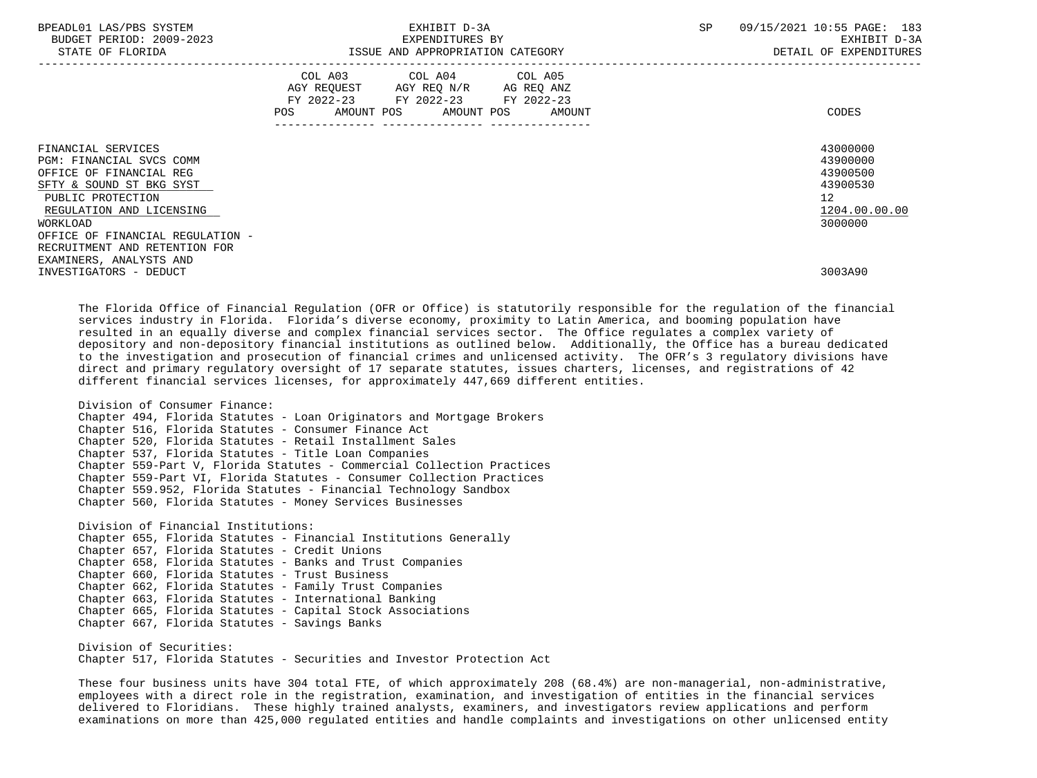| BPEADL01 LAS/PBS SYSTEM<br>BUDGET PERIOD: 2009-2023<br>STATE OF FLORIDA                                                                                            | EXHIBIT D-3A<br>EXPENDITURES BY<br>ISSUE AND APPROPRIATION CATEGORY                                                                                                                  | 09/15/2021 10:55 PAGE: 183<br>SP<br>EXHIBIT D-3A<br>DETAIL OF EXPENDITURES                  |
|--------------------------------------------------------------------------------------------------------------------------------------------------------------------|--------------------------------------------------------------------------------------------------------------------------------------------------------------------------------------|---------------------------------------------------------------------------------------------|
|                                                                                                                                                                    | COL A03 COL A04 COL A05<br>AGY REQUEST AGY REQ N/R AG REQ ANZ<br>FY 2022-23 FY 2022-23 FY 2022-23<br>AMOUNT POS AMOUNT POS<br>POS<br>AMOUNT<br>_____________________________________ | CODES                                                                                       |
| FINANCIAL SERVICES<br>PGM: FINANCIAL SVCS COMM<br>OFFICE OF FINANCIAL REG<br>SFTY & SOUND ST BKG SYST<br>PUBLIC PROTECTION<br>REGULATION AND LICENSING<br>WORKLOAD |                                                                                                                                                                                      | 43000000<br>43900000<br>43900500<br>43900530<br>12 <sup>7</sup><br>1204.00.00.00<br>3000000 |
| OFFICE OF FINANCIAL REGULATION -<br>RECRUITMENT AND RETENTION FOR<br>EXAMINERS, ANALYSTS AND<br>INVESTIGATORS - DEDUCT                                             |                                                                                                                                                                                      | 3003A90                                                                                     |

 The Florida Office of Financial Regulation (OFR or Office) is statutorily responsible for the regulation of the financial services industry in Florida. Florida's diverse economy, proximity to Latin America, and booming population have resulted in an equally diverse and complex financial services sector. The Office regulates a complex variety of depository and non-depository financial institutions as outlined below. Additionally, the Office has a bureau dedicated to the investigation and prosecution of financial crimes and unlicensed activity. The OFR's 3 regulatory divisions have direct and primary regulatory oversight of 17 separate statutes, issues charters, licenses, and registrations of 42 different financial services licenses, for approximately 447,669 different entities.

 Division of Consumer Finance: Chapter 494, Florida Statutes - Loan Originators and Mortgage Brokers Chapter 516, Florida Statutes - Consumer Finance Act Chapter 520, Florida Statutes - Retail Installment Sales Chapter 537, Florida Statutes - Title Loan Companies Chapter 559-Part V, Florida Statutes - Commercial Collection Practices Chapter 559-Part VI, Florida Statutes - Consumer Collection Practices Chapter 559.952, Florida Statutes - Financial Technology Sandbox Chapter 560, Florida Statutes - Money Services Businesses

 Division of Financial Institutions: Chapter 655, Florida Statutes - Financial Institutions Generally Chapter 657, Florida Statutes - Credit Unions Chapter 658, Florida Statutes - Banks and Trust Companies Chapter 660, Florida Statutes - Trust Business Chapter 662, Florida Statutes - Family Trust Companies Chapter 663, Florida Statutes - International Banking Chapter 665, Florida Statutes - Capital Stock Associations Chapter 667, Florida Statutes - Savings Banks

 Division of Securities: Chapter 517, Florida Statutes - Securities and Investor Protection Act

 These four business units have 304 total FTE, of which approximately 208 (68.4%) are non-managerial, non-administrative, employees with a direct role in the registration, examination, and investigation of entities in the financial services delivered to Floridians. These highly trained analysts, examiners, and investigators review applications and perform examinations on more than 425,000 regulated entities and handle complaints and investigations on other unlicensed entity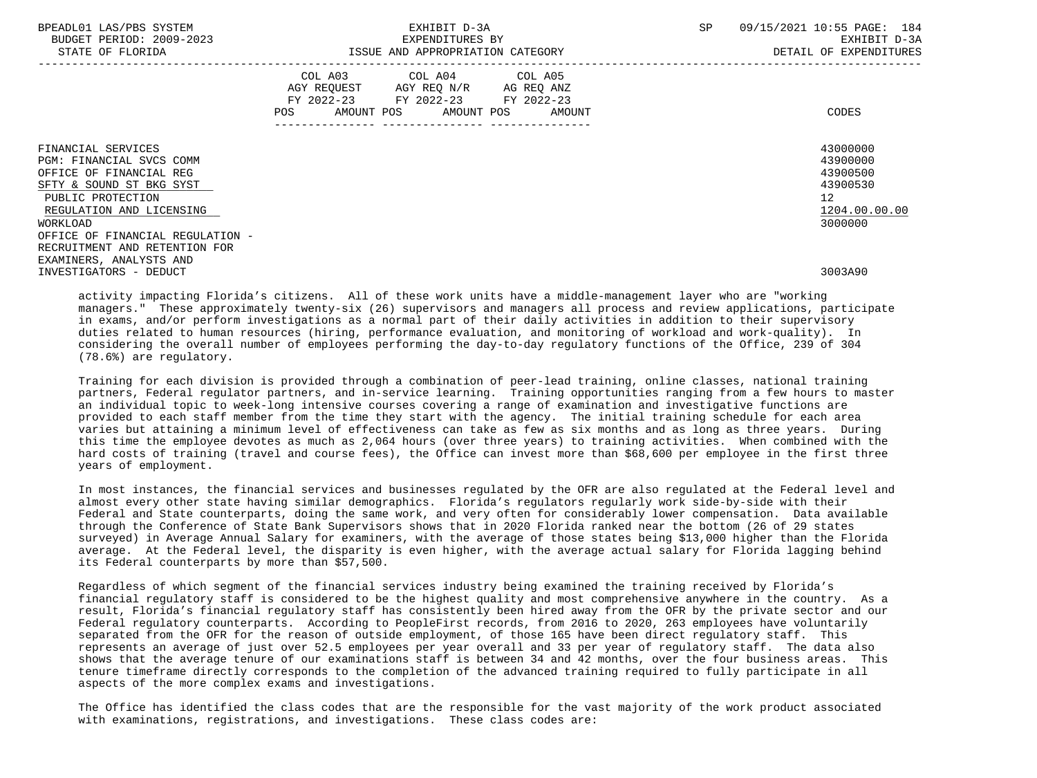| LAS/PBS SYSTEM<br>BPEADL0           |                                             | SP | 184<br>15/2021 10:55 PAGE:<br>097 |
|-------------------------------------|---------------------------------------------|----|-----------------------------------|
| PERIOD: 2009-2023<br><b>RIIDGET</b> |                                             |    |                                   |
| STATE OF                            | T S STIF.<br>AND<br>APPROPRIATION<br>TEGORY |    | EXPENDITURES<br>∩ஈ                |
|                                     |                                             |    |                                   |

| COL A03<br>COL A04                       | COL A05 |
|------------------------------------------|---------|
| AGY REO N/R<br>AGY REOUEST<br>AG REO ANZ |         |
| FY 2022-23<br>FY 2022-23<br>FY 2022-23   |         |
| POS.<br>AMOUNT POS<br>AMOUNT POS         | AMOUNT  |

 FINANCIAL SERVICES 43000000 PGM: FINANCIAL SVCS COMM<br>OFFICE OF FINANCIAL REG 43900500 OFFICE OF FINANCIAL REG 43900500<br>SETY & SOUND ST BKG SYST  $S$ FTY & SOUND ST BKG SYST  $439$ <br>DIIRLIC PROTECTION PUBLIC PROTECTION 12 REGULATION AND LICENSING  $\frac{1204.00}{3000000}$  WORKLOAD 3000000 OFFICE OF FINANCIAL REGULATION - RECRUITMENT AND RETENTION FOR EXAMINERS, ANALYSTS AND INVESTIGATORS - DEDUCT 3003A90

 activity impacting Florida's citizens. All of these work units have a middle-management layer who are "working managers." These approximately twenty-six (26) supervisors and managers all process and review applications, participate in exams, and/or perform investigations as a normal part of their daily activities in addition to their supervisory duties related to human resources (hiring, performance evaluation, and monitoring of workload and work-quality). In considering the overall number of employees performing the day-to-day regulatory functions of the Office, 239 of 304 (78.6%) are regulatory.

 Training for each division is provided through a combination of peer-lead training, online classes, national training partners, Federal regulator partners, and in-service learning. Training opportunities ranging from a few hours to master an individual topic to week-long intensive courses covering a range of examination and investigative functions are provided to each staff member from the time they start with the agency. The initial training schedule for each area varies but attaining a minimum level of effectiveness can take as few as six months and as long as three years. During this time the employee devotes as much as 2,064 hours (over three years) to training activities. When combined with the hard costs of training (travel and course fees), the Office can invest more than \$68,600 per employee in the first three years of employment.

 In most instances, the financial services and businesses regulated by the OFR are also regulated at the Federal level and almost every other state having similar demographics. Florida's regulators regularly work side-by-side with their Federal and State counterparts, doing the same work, and very often for considerably lower compensation. Data available through the Conference of State Bank Supervisors shows that in 2020 Florida ranked near the bottom (26 of 29 states surveyed) in Average Annual Salary for examiners, with the average of those states being \$13,000 higher than the Florida average. At the Federal level, the disparity is even higher, with the average actual salary for Florida lagging behind its Federal counterparts by more than \$57,500.

 Regardless of which segment of the financial services industry being examined the training received by Florida's financial regulatory staff is considered to be the highest quality and most comprehensive anywhere in the country. As a result, Florida's financial regulatory staff has consistently been hired away from the OFR by the private sector and our Federal regulatory counterparts. According to PeopleFirst records, from 2016 to 2020, 263 employees have voluntarily separated from the OFR for the reason of outside employment, of those 165 have been direct regulatory staff. This represents an average of just over 52.5 employees per year overall and 33 per year of regulatory staff. The data also shows that the average tenure of our examinations staff is between 34 and 42 months, over the four business areas. This tenure timeframe directly corresponds to the completion of the advanced training required to fully participate in all aspects of the more complex exams and investigations.

 The Office has identified the class codes that are the responsible for the vast majority of the work product associated with examinations, registrations, and investigations. These class codes are: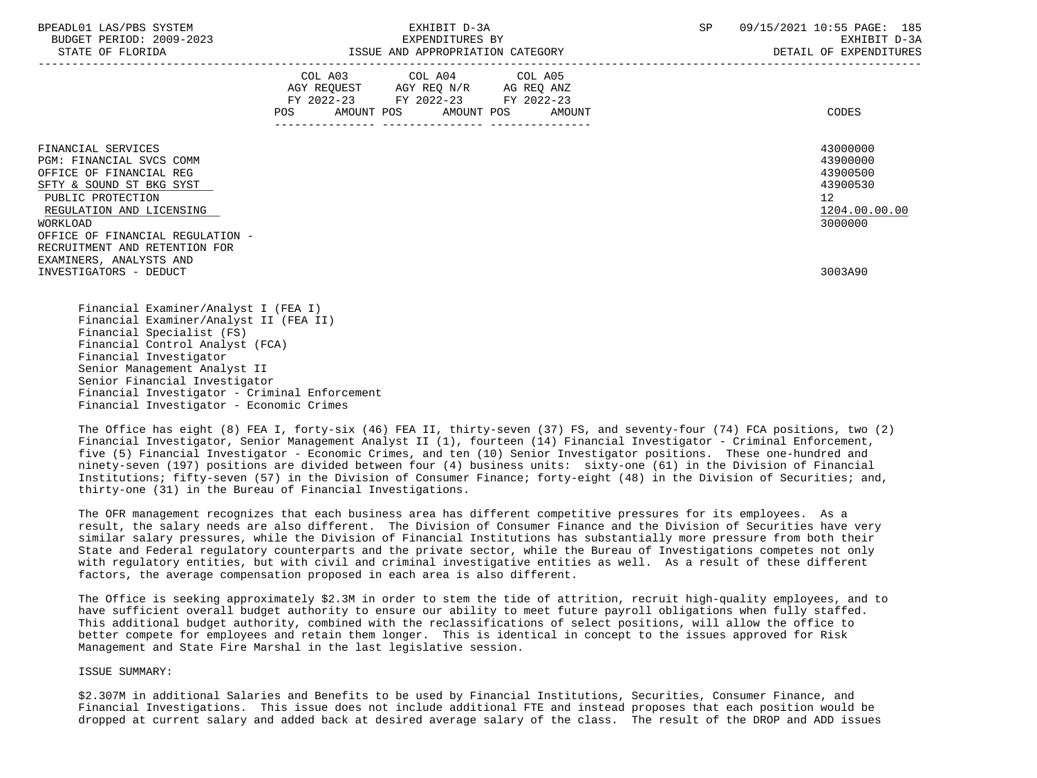|                                                                                                                                                                                                                                                                                              | COL A03 COL A04 COL A05<br>AGY REQUEST AGY REQ N/R AG REQ ANZ<br>FY 2022-23 FY 2022-23 FY 2022-23<br>AMOUNT POS AMOUNT POS<br>POS<br>AMOUNT | CODES                                                                                                  |
|----------------------------------------------------------------------------------------------------------------------------------------------------------------------------------------------------------------------------------------------------------------------------------------------|---------------------------------------------------------------------------------------------------------------------------------------------|--------------------------------------------------------------------------------------------------------|
| FINANCIAL SERVICES<br>PGM: FINANCIAL SVCS COMM<br>OFFICE OF FINANCIAL REG<br>SFTY & SOUND ST BKG SYST<br>PUBLIC PROTECTION<br>REGULATION AND LICENSING<br>WORKLOAD<br>OFFICE OF FINANCIAL REGULATION -<br>RECRUITMENT AND RETENTION FOR<br>EXAMINERS, ANALYSTS AND<br>INVESTIGATORS - DEDUCT |                                                                                                                                             | 43000000<br>43900000<br>43900500<br>43900530<br>12 <sup>°</sup><br>1204.00.00.00<br>3000000<br>3003A90 |
| Financial Examiner/Analyst I (FEA I)<br>Financial Examiner/Analyst II (FEA II)<br>Financial Specialist (FS)                                                                                                                                                                                  |                                                                                                                                             |                                                                                                        |

 Financial Control Analyst (FCA) Financial Investigator Senior Management Analyst II Senior Financial Investigator Financial Investigator - Criminal Enforcement Financial Investigator - Economic Crimes

 The Office has eight (8) FEA I, forty-six (46) FEA II, thirty-seven (37) FS, and seventy-four (74) FCA positions, two (2) Financial Investigator, Senior Management Analyst II (1), fourteen (14) Financial Investigator - Criminal Enforcement, five (5) Financial Investigator - Economic Crimes, and ten (10) Senior Investigator positions. These one-hundred and ninety-seven (197) positions are divided between four (4) business units: sixty-one (61) in the Division of Financial Institutions; fifty-seven (57) in the Division of Consumer Finance; forty-eight (48) in the Division of Securities; and, thirty-one (31) in the Bureau of Financial Investigations.

 The OFR management recognizes that each business area has different competitive pressures for its employees. As a result, the salary needs are also different. The Division of Consumer Finance and the Division of Securities have very similar salary pressures, while the Division of Financial Institutions has substantially more pressure from both their State and Federal regulatory counterparts and the private sector, while the Bureau of Investigations competes not only with regulatory entities, but with civil and criminal investigative entities as well. As a result of these different factors, the average compensation proposed in each area is also different.

 The Office is seeking approximately \$2.3M in order to stem the tide of attrition, recruit high-quality employees, and to have sufficient overall budget authority to ensure our ability to meet future payroll obligations when fully staffed. This additional budget authority, combined with the reclassifications of select positions, will allow the office to better compete for employees and retain them longer. This is identical in concept to the issues approved for Risk Management and State Fire Marshal in the last legislative session.

ISSUE SUMMARY:

 \$2.307M in additional Salaries and Benefits to be used by Financial Institutions, Securities, Consumer Finance, and Financial Investigations. This issue does not include additional FTE and instead proposes that each position would be dropped at current salary and added back at desired average salary of the class. The result of the DROP and ADD issues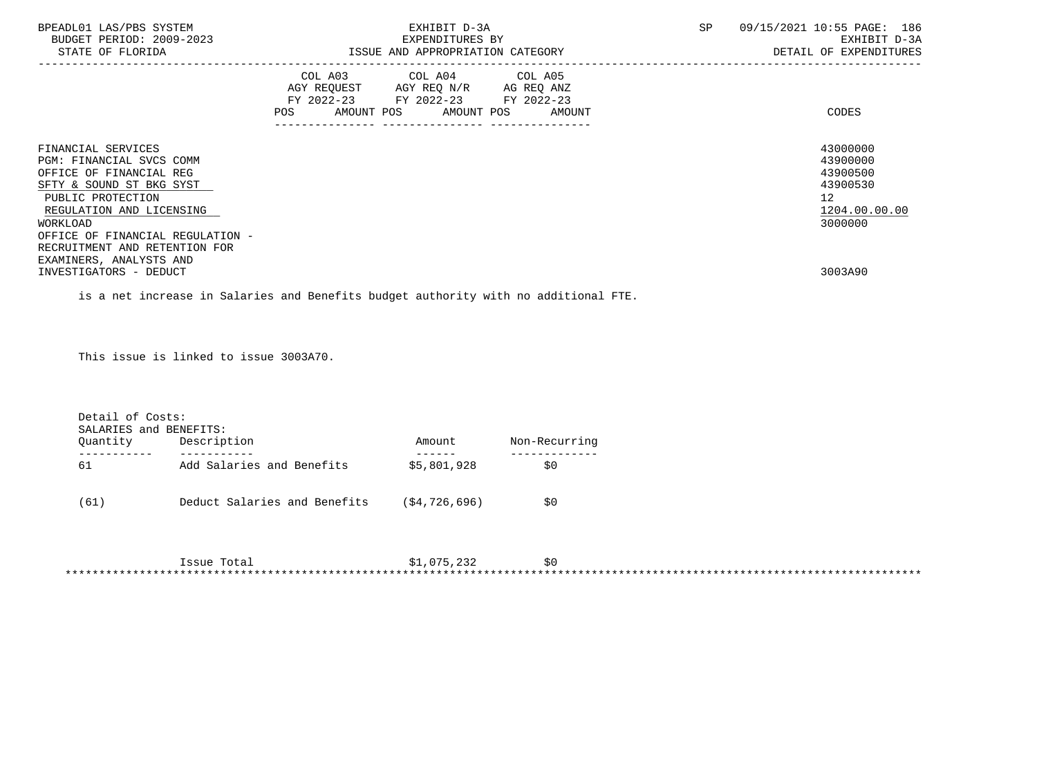| BPEADL01 LAS/PBS SYSTEM<br>BUDGET PERIOD: 2009-2023<br>STATE OF FLORIDA                                                                                                                                                                        | EXHIBIT D-3A<br>EXPENDITURES BY<br>ISSUE AND APPROPRIATION CATEGORY                                                                   | 09/15/2021 10:55 PAGE: 186<br>SP.<br>EXHIBIT D-3A<br>DETAIL OF EXPENDITURES                 |
|------------------------------------------------------------------------------------------------------------------------------------------------------------------------------------------------------------------------------------------------|---------------------------------------------------------------------------------------------------------------------------------------|---------------------------------------------------------------------------------------------|
|                                                                                                                                                                                                                                                | COL A03 COL A04 COL A05<br>AGY REQUEST AGY REQ N/R AG REQ ANZ<br>FY 2022-23 FY 2022-23 FY 2022-23<br>POS AMOUNT POS AMOUNT POS AMOUNT | CODES                                                                                       |
| FINANCIAL SERVICES<br><b>PGM: FINANCIAL SVCS COMM</b><br>OFFICE OF FINANCIAL REG<br>SFTY & SOUND ST BKG SYST<br>PUBLIC PROTECTION<br>REGULATION AND LICENSING<br>WORKLOAD<br>OFFICE OF FINANCIAL REGULATION -<br>RECRUITMENT AND RETENTION FOR |                                                                                                                                       | 43000000<br>43900000<br>43900500<br>43900530<br>12 <sup>°</sup><br>1204.00.00.00<br>3000000 |
| EXAMINERS, ANALYSTS AND<br>INVESTIGATORS - DEDUCT                                                                                                                                                                                              |                                                                                                                                       | 3003A90                                                                                     |

is a net increase in Salaries and Benefits budget authority with no additional FTE.

 $Is sue Total$   $$1,075,232$   $$0$ 

This issue is linked to issue 3003A70.

| Quantity<br>. _ _ _ _ _ _ _ _ | Description<br>----------    | Amount<br>------ | Non-Recurring<br>----------- |
|-------------------------------|------------------------------|------------------|------------------------------|
| 61                            | Add Salaries and Benefits    | \$5,801,928      | \$0                          |
| (61)                          | Deduct Salaries and Benefits | (S4, 726, 696)   | \$0                          |

\*\*\*\*\*\*\*\*\*\*\*\*\*\*\*\*\*\*\*\*\*\*\*\*\*\*\*\*\*\*\*\*\*\*\*\*\*\*\*\*\*\*\*\*\*\*\*\*\*\*\*\*\*\*\*\*\*\*\*\*\*\*\*\*\*\*\*\*\*\*\*\*\*\*\*\*\*\*\*\*\*\*\*\*\*\*\*\*\*\*\*\*\*\*\*\*\*\*\*\*\*\*\*\*\*\*\*\*\*\*\*\*\*\*\*\*\*\*\*\*\*\*\*\*\*\*\*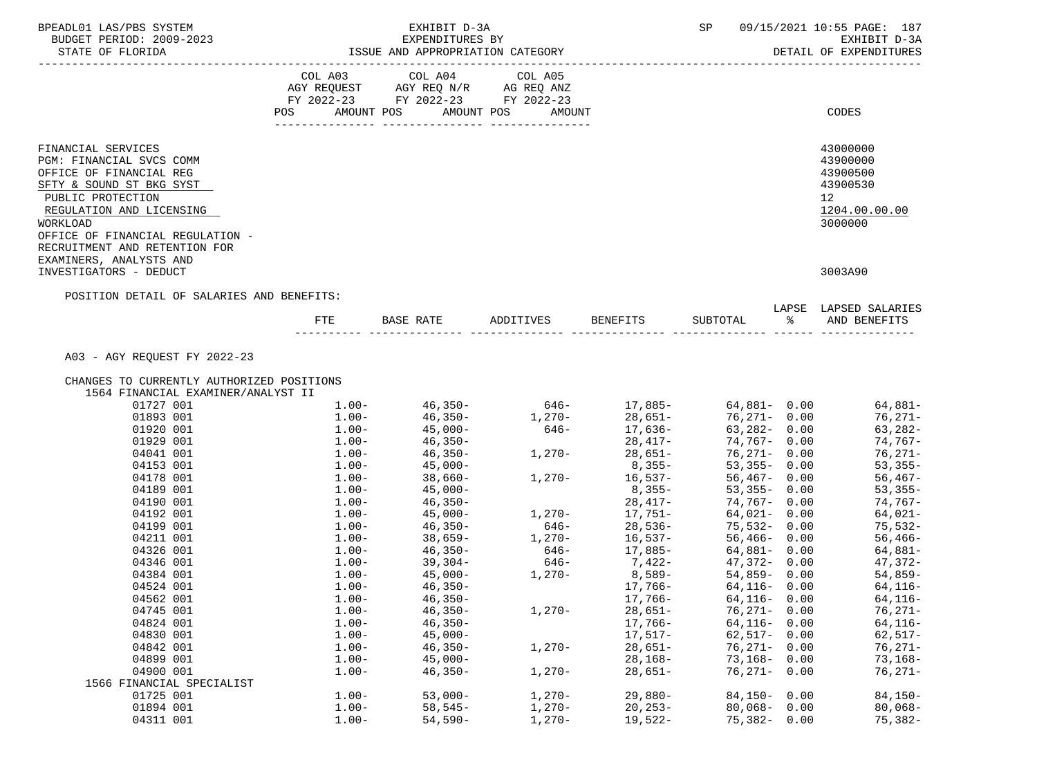| BPEADL01 LAS/PBS SYSTEM                             |                 | EXHIBIT D-3A                                                                                                                                                                                                                                                                                    |                                                            |                                | SP                                        |      | 09/15/2021 10:55 PAGE: 187 |
|-----------------------------------------------------|-----------------|-------------------------------------------------------------------------------------------------------------------------------------------------------------------------------------------------------------------------------------------------------------------------------------------------|------------------------------------------------------------|--------------------------------|-------------------------------------------|------|----------------------------|
| BUDGET PERIOD: 2009-2023                            |                 | EXPENDITURES BY                                                                                                                                                                                                                                                                                 |                                                            |                                |                                           |      | EXHIBIT D-3A               |
| STATE OF FLORIDA<br>----------------------          |                 |                                                                                                                                                                                                                                                                                                 |                                                            |                                |                                           |      | DETAIL OF EXPENDITURES     |
|                                                     |                 |                                                                                                                                                                                                                                                                                                 |                                                            |                                |                                           |      |                            |
|                                                     |                 | COL A03 COL A04 COL A05<br>AGY REQUEST AGY REQ N/R AG REQ ANZ                                                                                                                                                                                                                                   |                                                            |                                |                                           |      |                            |
|                                                     |                 | FY 2022-23 FY 2022-23 FY 2022-23                                                                                                                                                                                                                                                                |                                                            |                                |                                           |      |                            |
|                                                     |                 | POS AMOUNT POS AMOUNT POS AMOUNT                                                                                                                                                                                                                                                                |                                                            |                                |                                           |      | CODES                      |
|                                                     |                 |                                                                                                                                                                                                                                                                                                 |                                                            |                                |                                           |      |                            |
| FINANCIAL SERVICES                                  |                 |                                                                                                                                                                                                                                                                                                 |                                                            |                                |                                           |      | 43000000                   |
| PGM: FINANCIAL SVCS COMM<br>OFFICE OF FINANCIAL REG |                 |                                                                                                                                                                                                                                                                                                 |                                                            |                                |                                           |      | 43900000<br>43900500       |
| SFTY & SOUND ST BKG SYST                            |                 |                                                                                                                                                                                                                                                                                                 |                                                            |                                |                                           |      | 43900530                   |
| PUBLIC PROTECTION                                   |                 |                                                                                                                                                                                                                                                                                                 |                                                            |                                |                                           |      | 12                         |
| REGULATION AND LICENSING                            |                 |                                                                                                                                                                                                                                                                                                 |                                                            |                                |                                           |      | 1204.00.00.00              |
| WORKLOAD                                            |                 |                                                                                                                                                                                                                                                                                                 |                                                            |                                |                                           |      | 3000000                    |
| OFFICE OF FINANCIAL REGULATION -                    |                 |                                                                                                                                                                                                                                                                                                 |                                                            |                                |                                           |      |                            |
| RECRUITMENT AND RETENTION FOR                       |                 |                                                                                                                                                                                                                                                                                                 |                                                            |                                |                                           |      |                            |
| EXAMINERS, ANALYSTS AND                             |                 |                                                                                                                                                                                                                                                                                                 |                                                            |                                |                                           |      |                            |
| INVESTIGATORS - DEDUCT                              |                 |                                                                                                                                                                                                                                                                                                 |                                                            |                                |                                           |      | 3003A90                    |
| POSITION DETAIL OF SALARIES AND BENEFITS:           |                 |                                                                                                                                                                                                                                                                                                 |                                                            |                                |                                           |      |                            |
|                                                     |                 |                                                                                                                                                                                                                                                                                                 |                                                            |                                |                                           |      | LAPSE LAPSED SALARIES      |
|                                                     |                 | FTE BASE RATE ADDITIVES BENEFITS SUBTOTAL $\ast$ AND BENEFITS                                                                                                                                                                                                                                   |                                                            |                                |                                           |      |                            |
|                                                     |                 |                                                                                                                                                                                                                                                                                                 |                                                            |                                |                                           |      |                            |
| A03 - AGY REQUEST FY 2022-23                        |                 |                                                                                                                                                                                                                                                                                                 |                                                            |                                |                                           |      |                            |
| CHANGES TO CURRENTLY AUTHORIZED POSITIONS           |                 |                                                                                                                                                                                                                                                                                                 |                                                            |                                |                                           |      |                            |
| 1564 FINANCIAL EXAMINER/ANALYST II                  |                 |                                                                                                                                                                                                                                                                                                 |                                                            |                                |                                           |      |                            |
| 01727 001                                           |                 | $1.00 - 46,350 -$                                                                                                                                                                                                                                                                               |                                                            | $646 - 17,885 - 64,881 - 0.00$ |                                           |      | 64,881-                    |
| 01893 001                                           |                 | $1.00 46,350 1,270 28,651 76,271-$ 0.00                                                                                                                                                                                                                                                         |                                                            |                                |                                           |      | 76,271-                    |
| 01920 001                                           |                 | $1.00 - 45,000 -$<br>$1.00 - 46,350 -$                                                                                                                                                                                                                                                          | $646 - 17,636 - 28,417 -$                                  |                                | 63,282- 0.00<br>74,767- 0.00              |      | 63,282-                    |
| 01929 001                                           |                 |                                                                                                                                                                                                                                                                                                 |                                                            |                                |                                           |      | 74,767-                    |
| 04041 001                                           |                 | $1.00 46,350-$<br>$1.00 45,000-$<br>$1.00 38,660-$                                                                                                                                                                                                                                              | $1,270-$<br>$28,417-$<br>$8,355-$<br>$1,270-$<br>$16,537-$ |                                | 76,271-0.00<br>53,355-0.00<br>56,467-0.00 |      | 76,271-                    |
| 04153 001                                           |                 |                                                                                                                                                                                                                                                                                                 |                                                            |                                |                                           |      | $53,355-$                  |
| 04178 001<br>04189 001                              |                 |                                                                                                                                                                                                                                                                                                 |                                                            |                                |                                           |      | $56,467-$<br>$53,355-$     |
| 04190 001                                           |                 | $1.00 - 45,000 -$<br>$1.00 - 46,350 -$                                                                                                                                                                                                                                                          |                                                            | $8,355-$<br>28.417-<br>28,417- |                                           |      | 74,767-                    |
| 04192 001                                           |                 | $1.00 - 45,000 -$                                                                                                                                                                                                                                                                               | $1,270 17,751-$                                            |                                | $64,021 - 0.00$                           |      | $64,021-$                  |
| 04199 001                                           |                 |                                                                                                                                                                                                                                                                                                 |                                                            |                                |                                           |      | 75,532-                    |
| 04211 001                                           |                 | $\begin{array}{ccccccccc} 1.00- & & & 46,350- & & & 646- & & 28,536- & & & 75,532- & 0.00\ 1.00- & & & 38,659- & & & 1,270- & & 16,537- & & 56,466- & 0.00\ 1.00- & & & & 46,350- & & & 646- & & & 17,885- & & & 64,881- & 0.00\ 1.00- & & & & 39,304- & & & 646- & & & 7,422- & & 47,372- & 0$ |                                                            |                                |                                           |      | 56,466-                    |
| 04326 001                                           |                 | $1.00 - 46,350 -$<br>$1.00 - 39,304 -$                                                                                                                                                                                                                                                          |                                                            |                                |                                           |      | 64,881-                    |
| 04346 001                                           |                 |                                                                                                                                                                                                                                                                                                 |                                                            |                                |                                           |      | 47,372-                    |
| 04384 001                                           | $1\,\ldotp 00-$ | $45,000 -$                                                                                                                                                                                                                                                                                      | $1,270-$ 8,589-                                            |                                | $54.859 - 0.00$                           |      | $54,859-$                  |
| 04524 001                                           | $1.00 -$        | $46,350-$                                                                                                                                                                                                                                                                                       |                                                            | 17,766-                        | $64, 116 - 0.00$                          |      | $64, 116 -$                |
| 04562 001                                           | $1.00-$         | $46,350-$                                                                                                                                                                                                                                                                                       |                                                            | 17,766-                        | $64, 116 - 0.00$                          |      | 64,116-                    |
| 04745 001                                           | $1.00 -$        | $46,350-$                                                                                                                                                                                                                                                                                       | $1,270-$                                                   | $28,651-$                      | $76, 271 - 0.00$                          |      | $76, 271 -$                |
| 04824 001                                           | $1.00-$         | $46,350-$                                                                                                                                                                                                                                                                                       |                                                            | 17,766-                        | $64, 116 - 0.00$                          |      | 64,116-                    |
| 04830 001                                           | $1.00-$         | $45,000-$                                                                                                                                                                                                                                                                                       |                                                            | $17,517-$                      | $62,517 - 0.00$                           |      | $62,517-$                  |
| 04842 001                                           | $1.00 -$        | $46,350-$                                                                                                                                                                                                                                                                                       | $1,270-$                                                   | $28,651-$                      | 76,271–                                   | 0.00 | $76,271-$                  |
| 04899 001                                           | $1.00-$         | $45,000-$                                                                                                                                                                                                                                                                                       |                                                            | $28,168-$                      | $73,168 - 0.00$                           |      | $73,168-$                  |
| 04900 001                                           | $1.00 -$        | $46,350-$                                                                                                                                                                                                                                                                                       | $1,270-$                                                   | $28,651-$                      | $76,271 - 0.00$                           |      | $76,271-$                  |
| 1566 FINANCIAL SPECIALIST<br>01725 001              | $1.00-$         | $53,000-$                                                                                                                                                                                                                                                                                       | $1,270-$                                                   | $29,880-$                      | $84,150-$                                 | 0.00 | $84,150-$                  |
| 01894 001                                           | $1.00-$         | $58,545-$                                                                                                                                                                                                                                                                                       | $1,270-$                                                   | $20, 253 -$                    | $80,068-$                                 | 0.00 | $80,068-$                  |
| 04311 001                                           | $1.00 -$        | $54,590-$                                                                                                                                                                                                                                                                                       | $1,270-$                                                   | $19,522-$                      | $75,382 - 0.00$                           |      | $75,382-$                  |
|                                                     |                 |                                                                                                                                                                                                                                                                                                 |                                                            |                                |                                           |      |                            |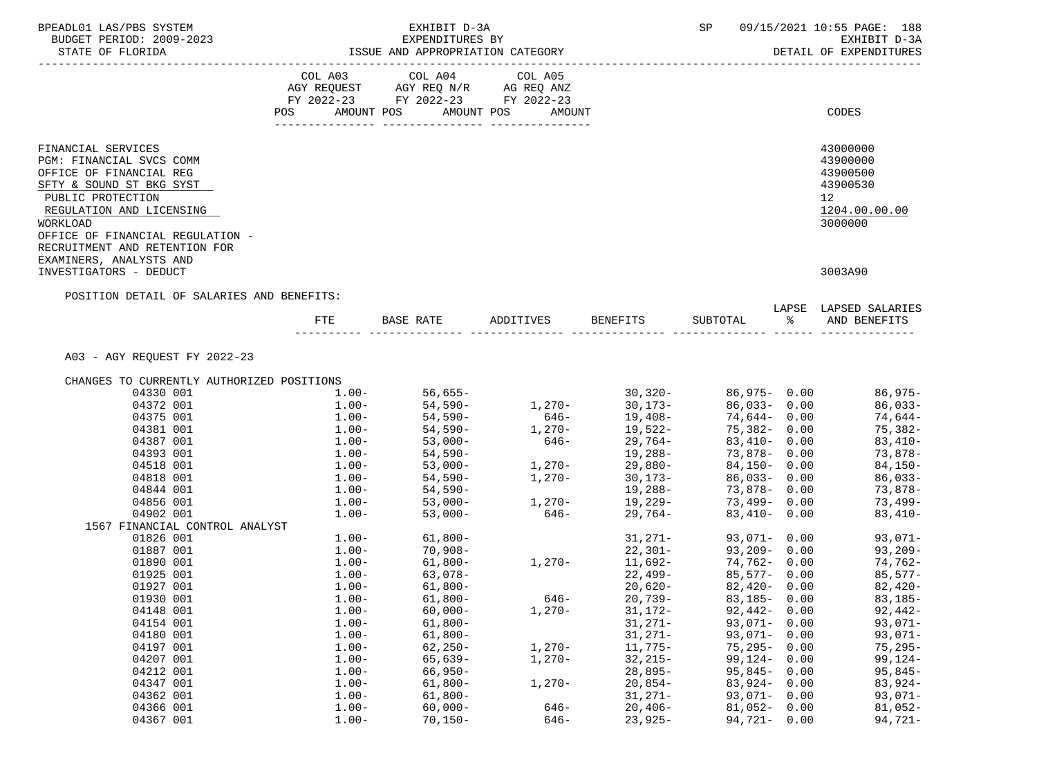| BPEADL01 LAS/PBS SYSTEM<br>BUDGET PERIOD: 2009-2023 |                     | EXHIBIT D-3A<br>EXPENDITURES BY<br>ISSUE AND APPROPRIATION CATEGORY |                      |                              | SP                                             |              | 09/15/2021 10:55 PAGE: 188<br>EXHIBIT D-3A |
|-----------------------------------------------------|---------------------|---------------------------------------------------------------------|----------------------|------------------------------|------------------------------------------------|--------------|--------------------------------------------|
| STATE OF FLORIDA                                    |                     |                                                                     |                      |                              |                                                |              | DETAIL OF EXPENDITURES                     |
|                                                     |                     | COL A03 COL A04 COL A05                                             |                      |                              |                                                |              |                                            |
|                                                     |                     |                                                                     |                      |                              |                                                |              |                                            |
|                                                     | <b>POS</b>          | FY 2022-23 FY 2022-23 FY 2022-23<br>AMOUNT POS                      | AMOUNT POS<br>AMOUNT |                              |                                                |              | CODES                                      |
|                                                     |                     |                                                                     |                      |                              |                                                |              |                                            |
|                                                     |                     |                                                                     |                      |                              |                                                |              |                                            |
| FINANCIAL SERVICES<br>PGM: FINANCIAL SVCS COMM      |                     |                                                                     |                      |                              |                                                |              | 43000000<br>43900000                       |
| OFFICE OF FINANCIAL REG                             |                     |                                                                     |                      |                              |                                                |              | 43900500                                   |
| SFTY & SOUND ST BKG SYST                            |                     |                                                                     |                      |                              |                                                |              | 43900530                                   |
| PUBLIC PROTECTION                                   |                     |                                                                     |                      |                              |                                                |              | 12 <sub>2</sub>                            |
| REGULATION AND LICENSING                            |                     |                                                                     |                      |                              |                                                |              | 1204.00.00.00                              |
| WORKLOAD                                            |                     |                                                                     |                      |                              |                                                |              | 3000000                                    |
| OFFICE OF FINANCIAL REGULATION -                    |                     |                                                                     |                      |                              |                                                |              |                                            |
| RECRUITMENT AND RETENTION FOR                       |                     |                                                                     |                      |                              |                                                |              |                                            |
| EXAMINERS, ANALYSTS AND                             |                     |                                                                     |                      |                              |                                                |              |                                            |
| INVESTIGATORS - DEDUCT                              |                     |                                                                     |                      |                              |                                                |              | 3003A90                                    |
| POSITION DETAIL OF SALARIES AND BENEFITS:           |                     |                                                                     |                      |                              |                                                |              |                                            |
|                                                     |                     |                                                                     |                      |                              |                                                |              | LAPSE LAPSED SALARIES                      |
|                                                     | FTE                 | BASE RATE                                                           | ADDITIVES            | BENEFITS                     | SUBTOTAL %                                     |              | AND BENEFITS                               |
|                                                     |                     |                                                                     |                      |                              |                                                |              |                                            |
| A03 - AGY REQUEST FY 2022-23                        |                     |                                                                     |                      |                              |                                                |              |                                            |
| CHANGES TO CURRENTLY AUTHORIZED POSITIONS           |                     |                                                                     |                      |                              |                                                |              |                                            |
| 04330 001                                           | $1\ldots00-$        | 56,655-                                                             |                      | −30, 320<br>−1,270, 30, 173, | $30,320 86,975-$ 0.00<br>$30.173 86,033-$ 0.00 |              | 86,975-                                    |
| 04372 001                                           | $1.00-$             | $54,590-$                                                           |                      |                              | 86,033- 0.00                                   |              | 86,033-                                    |
| 04375 001<br>04381 001                              | $1.00-$<br>$1.00-$  | 54,590-<br>54,590-                                                  | $646-$<br>$1,270-$   | 19,408–<br>19,522–           | 74,644-0.00                                    |              | 74,644-<br>75,382-                         |
| 04387 001                                           | $1.00-$             | $53,000-$                                                           | $646-$               | $29,764-$                    | 75,382- 0.00<br>$83,410 - 0.00$                |              | 83,410-                                    |
| 04393 001                                           | $1.00-$             |                                                                     |                      | 19,288-                      | 73,878- 0.00                                   |              | 73,878-                                    |
| 04518 001                                           | $1.00-$             | 54,590-<br>53,000-                                                  | $1,270-$             | $29,880-$                    | 84,150- 0.00                                   |              | 84,150-                                    |
| 04818 001                                           | $1.00-$             | $54,590-$                                                           | $1,270-$             | 30,173-                      | $86,033 - 0.00$                                |              | 86,033-                                    |
| 04844 001                                           | $1.00-$             | 54,590-                                                             |                      | 19,288-                      | 73,878-0.00                                    |              | 73,878-                                    |
| 04856 001                                           | $1.00-$             | $53,000-$                                                           |                      | $1,270-19,229-$              | 73,499-0.00                                    |              | 73,499-                                    |
| 04902 001                                           | $1.00-$             | $53,000-$                                                           |                      | $646 - 29,764 -$             | $83,410 - 0.00$                                |              | 83,410-                                    |
| 1567 FINANCIAL CONTROL ANALYST                      |                     |                                                                     |                      |                              |                                                |              |                                            |
| 01826 001                                           |                     | $1.00 - 61,800 -$                                                   |                      | $31,271-$                    | 93,071- 0.00                                   |              | $93,071-$                                  |
| 01887 001                                           | $1.00-$             | 70,908-                                                             |                      |                              | 22,301-<br>11,692-<br>74,762-<br>0.00          |              | 93,209-                                    |
| 01890 001                                           | $1.00-$             | $61,800-$                                                           | $1,270-$             |                              |                                                |              | $74,762-$                                  |
| 01925 001                                           | $1.00 -$            | 63,078-                                                             |                      | 22,499-                      | $85,577 - 0.00$                                |              | $85,577-$                                  |
| 01927 001<br>01930 001                              | $1.00 -$<br>$1.00-$ | $61,800 -$<br>$61,800-$                                             | $646-$               | $20,620-$<br>$20,739-$       | $82,420-$<br>$83,185-$                         | 0.00<br>0.00 | $82,420-$<br>$83,185-$                     |
| 04148 001                                           | $1.00 -$            | $60,000 -$                                                          | $1,270-$             | $31,172-$                    | 92,442-                                        | 0.00         | $92,442-$                                  |
| 04154 001                                           | $1.00-$             | $61,800-$                                                           |                      | $31,271-$                    | $93,071-$                                      | 0.00         | $93,071-$                                  |
| 04180 001                                           | $1.00-$             | $61,800-$                                                           |                      | $31,271-$                    | $93,071 -$                                     | 0.00         | $93,071-$                                  |
| 04197 001                                           | $1.00-$             | $62, 250 -$                                                         | $1,270-$             | $11,775-$                    | $75,295 - 0.00$                                |              | $75,295-$                                  |
| 04207 001                                           | $1.00-$             | $65,639-$                                                           | $1,270-$             | $32,215-$                    | $99, 124 -$                                    | 0.00         | $99, 124 -$                                |
| 04212 001                                           | $1.00-$             | $66,950-$                                                           |                      | $28,895-$                    | $95,845-$                                      | 0.00         | $95,845-$                                  |
| 04347 001                                           | $1.00-$             | $61,800-$                                                           | $1,270-$             | $20,854-$                    | $83,924-$                                      | 0.00         | $83,924-$                                  |
| 04362 001                                           | $1.00-$             | $61,800-$                                                           |                      | $31,271-$                    | $93,071 - 0.00$                                |              | $93,071-$                                  |
| 04366 001                                           | $1.00 -$            | $60,000 -$                                                          | $646-$               | $20,406-$                    | $81,052 - 0.00$                                |              | $81,052-$                                  |
| 04367 001                                           | $1.00-$             | $70,150-$                                                           | $646-$               | $23,925-$                    | $94,721 - 0.00$                                |              | 94,721-                                    |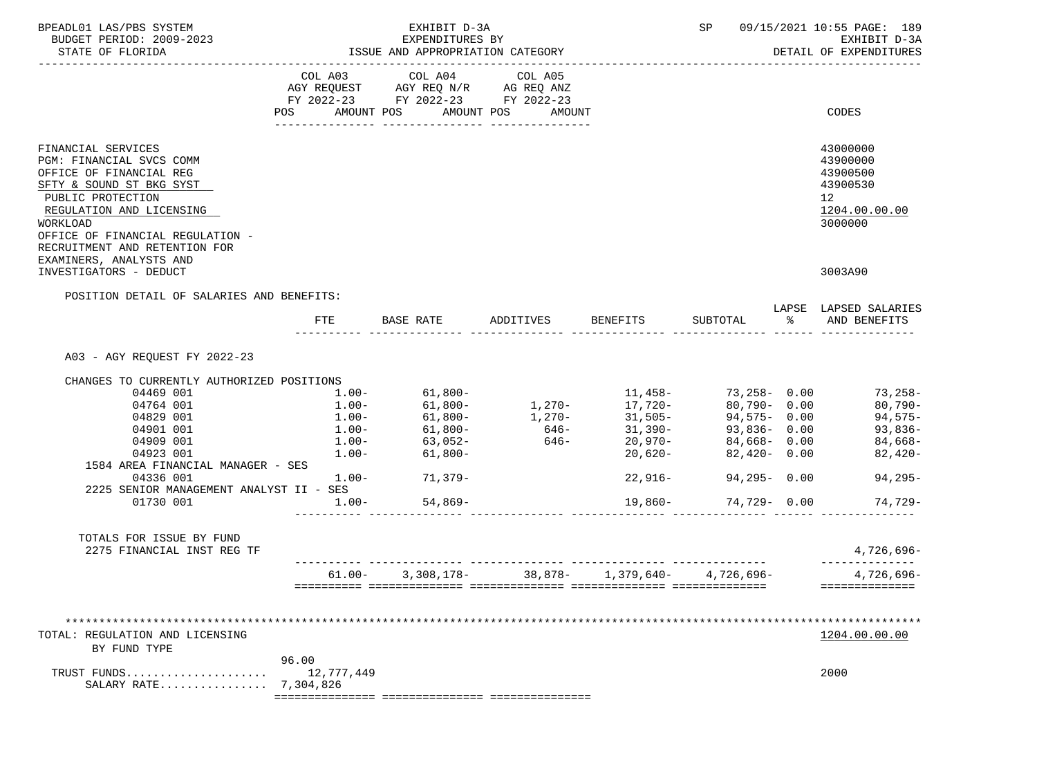| BPEADL01 LAS/PBS SYSTEM<br>BUDGET PERIOD: 2009-2023<br>STATE OF FLORIDA                                                                                                                                                                 |                                  | EXHIBIT D-3A<br>EXPENDITURES BY<br>ISSUE AND APPROPRIATION CATEGORY               |                                                        |                                  |                              | SP 09/15/2021 10:55 PAGE: 189<br>EXHIBIT D-3A<br>DETAIL OF EXPENDITURES        |
|-----------------------------------------------------------------------------------------------------------------------------------------------------------------------------------------------------------------------------------------|----------------------------------|-----------------------------------------------------------------------------------|--------------------------------------------------------|----------------------------------|------------------------------|--------------------------------------------------------------------------------|
|                                                                                                                                                                                                                                         | COL A03                          | COL A04<br>AGY REQUEST AGY REQ N/R AG REQ ANZ<br>FY 2022-23 FY 2022-23 FY 2022-23 | COL A05<br>POS AMOUNT POS AMOUNT POS AMOUNT            |                                  |                              | CODES                                                                          |
|                                                                                                                                                                                                                                         |                                  |                                                                                   |                                                        |                                  |                              |                                                                                |
| FINANCIAL SERVICES<br>PGM: FINANCIAL SVCS COMM<br>OFFICE OF FINANCIAL REG<br>SFTY & SOUND ST BKG SYST<br>PUBLIC PROTECTION<br>REGULATION AND LICENSING<br>WORKLOAD<br>OFFICE OF FINANCIAL REGULATION -<br>RECRUITMENT AND RETENTION FOR |                                  |                                                                                   |                                                        |                                  |                              | 43000000<br>43900000<br>43900500<br>43900530<br>12<br>1204.00.00.00<br>3000000 |
| EXAMINERS, ANALYSTS AND<br>INVESTIGATORS - DEDUCT                                                                                                                                                                                       |                                  |                                                                                   |                                                        |                                  |                              | 3003A90                                                                        |
|                                                                                                                                                                                                                                         |                                  |                                                                                   |                                                        |                                  |                              |                                                                                |
| POSITION DETAIL OF SALARIES AND BENEFITS:                                                                                                                                                                                               |                                  |                                                                                   |                                                        |                                  |                              | LAPSE LAPSED SALARIES                                                          |
|                                                                                                                                                                                                                                         | FTE                              |                                                                                   |                                                        |                                  |                              |                                                                                |
| A03 - AGY REQUEST FY 2022-23                                                                                                                                                                                                            |                                  |                                                                                   |                                                        |                                  |                              |                                                                                |
| CHANGES TO CURRENTLY AUTHORIZED POSITIONS                                                                                                                                                                                               |                                  |                                                                                   |                                                        |                                  |                              |                                                                                |
| 04469 001                                                                                                                                                                                                                               | 1.00-                            | $61,800-$                                                                         |                                                        |                                  | $11,458-73,258-0.00$         | 73,258-                                                                        |
| 04764 001                                                                                                                                                                                                                               | $1.00 -$                         | 61,800-<br>61,800-                                                                |                                                        | 1,270- 17,720-<br>1,270- 31,505- | 80,790- 0.00<br>94,575- 0.00 | 80,790-                                                                        |
| 04829 001                                                                                                                                                                                                                               | $1.00-$                          |                                                                                   |                                                        |                                  |                              | 94,575-                                                                        |
| 04901 001                                                                                                                                                                                                                               |                                  | $1.00 61,800-$<br>$1.00 63,052-$<br>$1.00 61,800-$                                |                                                        | $646 - 31,390 - 93,836 - 0.00$   |                              | 93,836-                                                                        |
| 04909 001                                                                                                                                                                                                                               |                                  |                                                                                   | $646-$                                                 | $20,970-$<br>$20,620-$           | 84,668- 0.00<br>82,420- 0.00 | 84,668-                                                                        |
| 04923 001                                                                                                                                                                                                                               |                                  |                                                                                   |                                                        |                                  |                              | $82,420-$                                                                      |
| 1584 AREA FINANCIAL MANAGER - SES                                                                                                                                                                                                       |                                  | $1.00 - 71,379 -$                                                                 |                                                        |                                  |                              |                                                                                |
| 04336 001                                                                                                                                                                                                                               |                                  |                                                                                   |                                                        | 22,916-                          | 94,295-0.00                  | 94,295-                                                                        |
| 2225 SENIOR MANAGEMENT ANALYST II - SES                                                                                                                                                                                                 |                                  |                                                                                   |                                                        |                                  |                              |                                                                                |
| 01730 001                                                                                                                                                                                                                               |                                  | $1.00 - 54,869 -$                                                                 |                                                        |                                  | $19,860-74,729-0.00$         | 74,729-                                                                        |
| TOTALS FOR ISSUE BY FUND<br>2275 FINANCIAL INST REG TF                                                                                                                                                                                  |                                  |                                                                                   |                                                        |                                  |                              | 4,726,696-                                                                     |
|                                                                                                                                                                                                                                         |                                  |                                                                                   | $61.00 - 3,308,178 - 38,878 - 1,379,640 - 4,726,696 -$ |                                  |                              | 4,726,696-                                                                     |
| TOTAL: REGULATION AND LICENSING<br>BY FUND TYPE                                                                                                                                                                                         |                                  |                                                                                   |                                                        |                                  |                              | ==============<br>1204.00.00.00                                                |
| TRUST FUNDS<br>SALARY RATE                                                                                                                                                                                                              | 96.00<br>12,777,449<br>7,304,826 |                                                                                   |                                                        |                                  |                              | 2000                                                                           |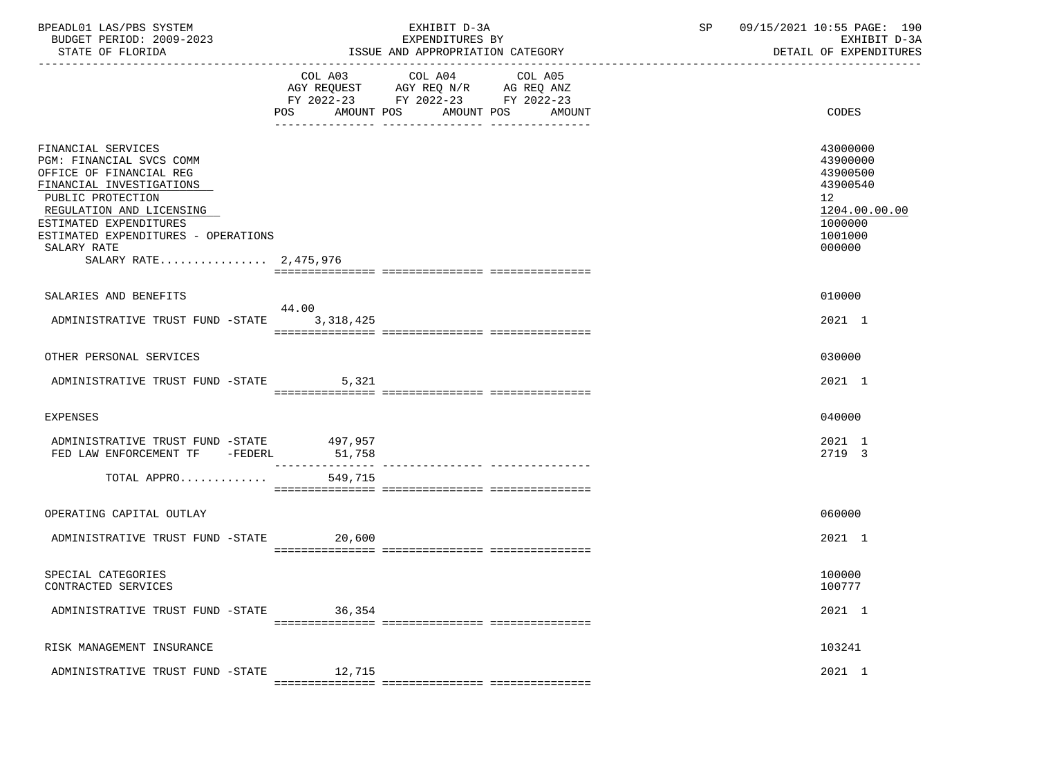| BPEADL01 LAS/PBS SYSTEM  | EXHIBIT D-3A                     | 09/15/2021 10:55 PAGE: 190 |
|--------------------------|----------------------------------|----------------------------|
| BUDGET PERIOD: 2009-2023 | EXPENDITURES BY                  | EXHIBIT D-3A               |
| STATE OF FLORIDA         | ISSUE AND APPROPRIATION CATEGORY | DETAIL OF EXPENDITURES     |

|                                                                                                                                                                                                                                                                 | COL A03<br>AMOUNT POS<br>POS | COL A04<br>AGY REQUEST AGY REQ N/R AG REQ ANZ<br>FY 2022-23 FY 2022-23 FY 2022-23<br>AMOUNT POS | COL A05<br>AMOUNT | CODES                                                                                                            |
|-----------------------------------------------------------------------------------------------------------------------------------------------------------------------------------------------------------------------------------------------------------------|------------------------------|-------------------------------------------------------------------------------------------------|-------------------|------------------------------------------------------------------------------------------------------------------|
| FINANCIAL SERVICES<br>PGM: FINANCIAL SVCS COMM<br>OFFICE OF FINANCIAL REG<br>FINANCIAL INVESTIGATIONS<br>PUBLIC PROTECTION<br>REGULATION AND LICENSING<br>ESTIMATED EXPENDITURES<br>ESTIMATED EXPENDITURES - OPERATIONS<br>SALARY RATE<br>SALARY RATE 2,475,976 |                              |                                                                                                 |                   | 43000000<br>43900000<br>43900500<br>43900540<br>12 <sub>1</sub><br>1204.00.00.00<br>1000000<br>1001000<br>000000 |
| SALARIES AND BENEFITS                                                                                                                                                                                                                                           |                              |                                                                                                 |                   | 010000                                                                                                           |
| ADMINISTRATIVE TRUST FUND -STATE                                                                                                                                                                                                                                | 44.00<br>3,318,425           |                                                                                                 |                   | 2021 1                                                                                                           |
| OTHER PERSONAL SERVICES                                                                                                                                                                                                                                         |                              |                                                                                                 |                   | 030000                                                                                                           |
| ADMINISTRATIVE TRUST FUND -STATE                                                                                                                                                                                                                                | 5,321                        |                                                                                                 |                   | 2021 1                                                                                                           |
| <b>EXPENSES</b>                                                                                                                                                                                                                                                 |                              |                                                                                                 |                   | 040000                                                                                                           |
| ADMINISTRATIVE TRUST FUND -STATE<br>FED LAW ENFORCEMENT TF -FEDERL                                                                                                                                                                                              | 497,957<br>51,758            |                                                                                                 |                   | 2021 1<br>2719 3                                                                                                 |
| TOTAL APPRO                                                                                                                                                                                                                                                     | 549,715                      |                                                                                                 |                   |                                                                                                                  |
| OPERATING CAPITAL OUTLAY                                                                                                                                                                                                                                        |                              |                                                                                                 |                   | 060000                                                                                                           |
| ADMINISTRATIVE TRUST FUND -STATE                                                                                                                                                                                                                                | 20,600                       |                                                                                                 |                   | 2021 1                                                                                                           |
| SPECIAL CATEGORIES<br>CONTRACTED SERVICES                                                                                                                                                                                                                       |                              |                                                                                                 |                   | 100000<br>100777                                                                                                 |
| ADMINISTRATIVE TRUST FUND -STATE                                                                                                                                                                                                                                | 36,354                       |                                                                                                 |                   | 2021 1                                                                                                           |
| RISK MANAGEMENT INSURANCE                                                                                                                                                                                                                                       |                              |                                                                                                 |                   | 103241                                                                                                           |
| ADMINISTRATIVE TRUST FUND -STATE 12,715                                                                                                                                                                                                                         |                              |                                                                                                 |                   | 2021 1                                                                                                           |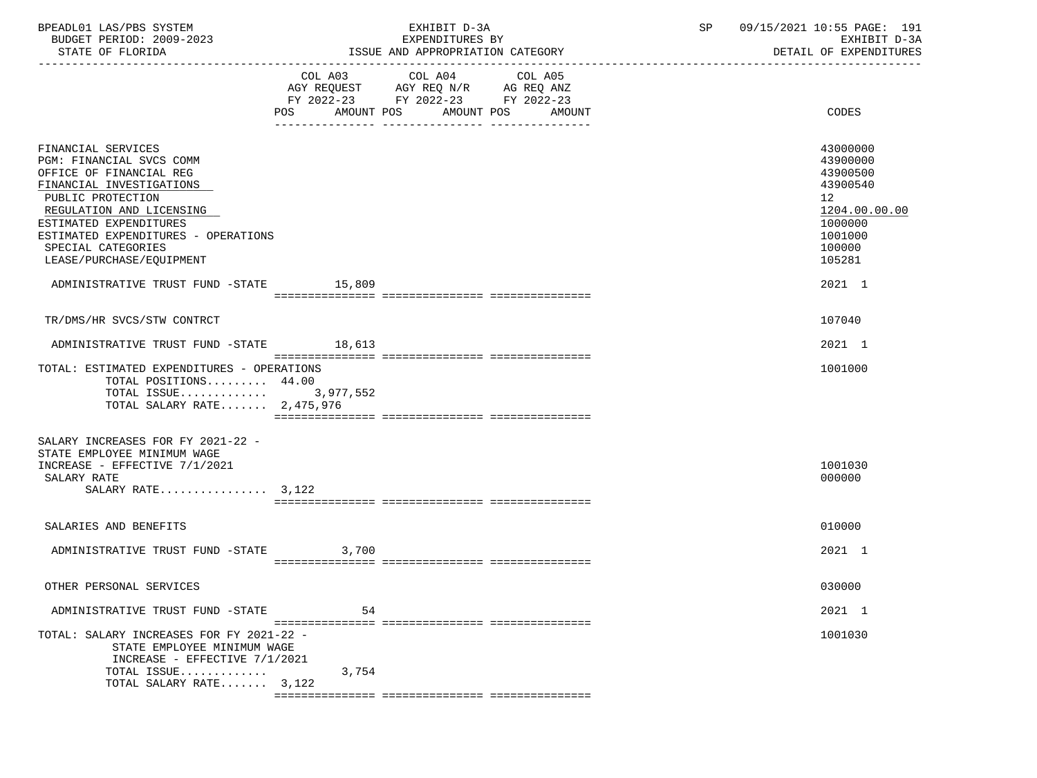| BPEADL01 LAS/PBS SYSTEM  | EXHIBIT D-3A                     | 09/15/2021 10:55 PAGE: 191 |
|--------------------------|----------------------------------|----------------------------|
| BUDGET PERIOD: 2009-2023 | EXPENDITURES BY                  | EXHIBIT D-3A               |
| STATE OF FLORIDA         | ISSUE AND APPROPRIATION CATEGORY | DETAIL OF EXPENDITURES     |

|                                                                                                                                                                                                                                                                           | COL A03<br>AMOUNT POS<br>POS | COL A04<br>FY 2022-23 FY 2022-23 FY 2022-23 | COL A05<br>AMOUNT POS AMOUNT | CODES                                                                                                         |
|---------------------------------------------------------------------------------------------------------------------------------------------------------------------------------------------------------------------------------------------------------------------------|------------------------------|---------------------------------------------|------------------------------|---------------------------------------------------------------------------------------------------------------|
| FINANCIAL SERVICES<br>PGM: FINANCIAL SVCS COMM<br>OFFICE OF FINANCIAL REG<br>FINANCIAL INVESTIGATIONS<br>PUBLIC PROTECTION<br>REGULATION AND LICENSING<br>ESTIMATED EXPENDITURES<br>ESTIMATED EXPENDITURES - OPERATIONS<br>SPECIAL CATEGORIES<br>LEASE/PURCHASE/EQUIPMENT |                              |                                             |                              | 43000000<br>43900000<br>43900500<br>43900540<br>12<br>1204.00.00.00<br>1000000<br>1001000<br>100000<br>105281 |
| ADMINISTRATIVE TRUST FUND -STATE 15,809                                                                                                                                                                                                                                   |                              |                                             |                              | 2021 1                                                                                                        |
| TR/DMS/HR SVCS/STW CONTRCT                                                                                                                                                                                                                                                |                              |                                             |                              | 107040                                                                                                        |
| ADMINISTRATIVE TRUST FUND -STATE                                                                                                                                                                                                                                          | 18,613                       |                                             |                              | 2021 1                                                                                                        |
| TOTAL: ESTIMATED EXPENDITURES - OPERATIONS<br>TOTAL POSITIONS 44.00<br>TOTAL SALARY RATE 2,475,976                                                                                                                                                                        |                              |                                             |                              | 1001000                                                                                                       |
| SALARY INCREASES FOR FY 2021-22 -<br>STATE EMPLOYEE MINIMUM WAGE<br>INCREASE - EFFECTIVE 7/1/2021<br>SALARY RATE<br>SALARY RATE $3,122$                                                                                                                                   |                              |                                             |                              | 1001030<br>000000                                                                                             |
| SALARIES AND BENEFITS                                                                                                                                                                                                                                                     |                              |                                             |                              | 010000                                                                                                        |
| ADMINISTRATIVE TRUST FUND -STATE                                                                                                                                                                                                                                          | 3,700                        |                                             |                              | 2021 1                                                                                                        |
| OTHER PERSONAL SERVICES                                                                                                                                                                                                                                                   |                              |                                             |                              | 030000                                                                                                        |
| ADMINISTRATIVE TRUST FUND -STATE                                                                                                                                                                                                                                          | 54                           |                                             |                              | 2021 1                                                                                                        |
| TOTAL: SALARY INCREASES FOR FY 2021-22 -<br>STATE EMPLOYEE MINIMUM WAGE<br>INCREASE - EFFECTIVE $7/1/2021$<br>TOTAL ISSUE<br>TOTAL SALARY RATE 3,122                                                                                                                      | 3,754                        |                                             |                              | 1001030                                                                                                       |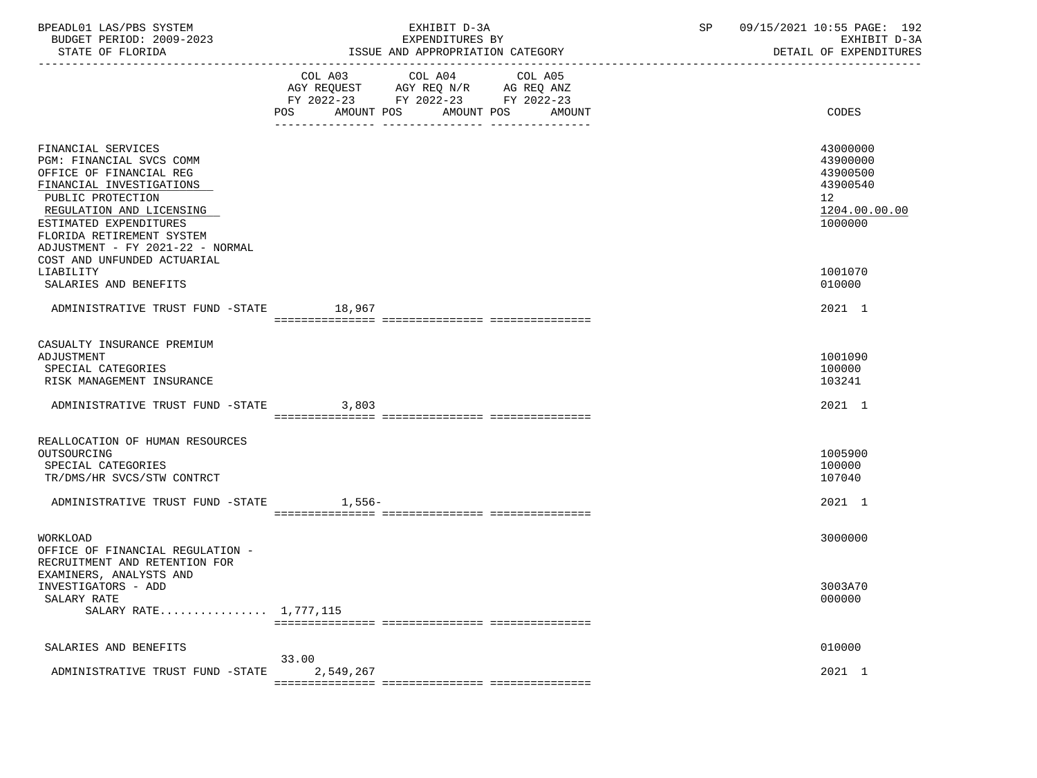| BPEADL01 LAS/PBS SYSTEM  | EXHIBIT D                             | $\cap$ $\Gamma$ | 09/15/2021 10:55 PAGE: 1<br>192 |
|--------------------------|---------------------------------------|-----------------|---------------------------------|
| BUDGET PERIOD: 2009-2023 | EXPENDITURES BY                       |                 | EXHIBIT D-3A                    |
| STATE OF FLORIDA         | : AND APPROPRIATION CATEGORY<br>"SSUE |                 | DETAIL OF EXPENDITURES          |

|                                                                                                                                                                                                                                                   | COL A03<br>COL A04<br>COL A05<br>AGY REQUEST AGY REQ N/R AG REQ ANZ<br>FY 2022-23 FY 2022-23 FY 2022-23<br>POS<br>AMOUNT POS<br>AMOUNT POS<br>AMOUNT | CODES                                                                          |
|---------------------------------------------------------------------------------------------------------------------------------------------------------------------------------------------------------------------------------------------------|------------------------------------------------------------------------------------------------------------------------------------------------------|--------------------------------------------------------------------------------|
| FINANCIAL SERVICES<br>PGM: FINANCIAL SVCS COMM<br>OFFICE OF FINANCIAL REG<br>FINANCIAL INVESTIGATIONS<br>PUBLIC PROTECTION<br>REGULATION AND LICENSING<br>ESTIMATED EXPENDITURES<br>FLORIDA RETIREMENT SYSTEM<br>ADJUSTMENT - FY 2021-22 - NORMAL |                                                                                                                                                      | 43000000<br>43900000<br>43900500<br>43900540<br>12<br>1204.00.00.00<br>1000000 |
| COST AND UNFUNDED ACTUARIAL<br>LIABILITY<br>SALARIES AND BENEFITS                                                                                                                                                                                 |                                                                                                                                                      | 1001070<br>010000                                                              |
| ADMINISTRATIVE TRUST FUND -STATE                                                                                                                                                                                                                  | 18,967                                                                                                                                               | 2021 1                                                                         |
| CASUALTY INSURANCE PREMIUM<br>ADJUSTMENT<br>SPECIAL CATEGORIES<br>RISK MANAGEMENT INSURANCE                                                                                                                                                       |                                                                                                                                                      | 1001090<br>100000<br>103241                                                    |
| ADMINISTRATIVE TRUST FUND -STATE                                                                                                                                                                                                                  | 3,803                                                                                                                                                | 2021 1                                                                         |
| REALLOCATION OF HUMAN RESOURCES<br>OUTSOURCING<br>SPECIAL CATEGORIES<br>TR/DMS/HR SVCS/STW CONTRCT                                                                                                                                                |                                                                                                                                                      | 1005900<br>100000<br>107040                                                    |
| ADMINISTRATIVE TRUST FUND -STATE                                                                                                                                                                                                                  | $1,556-$                                                                                                                                             | 2021 1                                                                         |
| WORKLOAD<br>OFFICE OF FINANCIAL REGULATION -<br>RECRUITMENT AND RETENTION FOR                                                                                                                                                                     |                                                                                                                                                      | 3000000                                                                        |
| EXAMINERS, ANALYSTS AND<br>INVESTIGATORS - ADD<br>SALARY RATE<br>SALARY RATE 1,777,115                                                                                                                                                            |                                                                                                                                                      | 3003A70<br>000000                                                              |
| SALARIES AND BENEFITS                                                                                                                                                                                                                             | 33.00                                                                                                                                                | 010000                                                                         |
| ADMINISTRATIVE TRUST FUND -STATE                                                                                                                                                                                                                  | 2,549,267                                                                                                                                            | 2021 1                                                                         |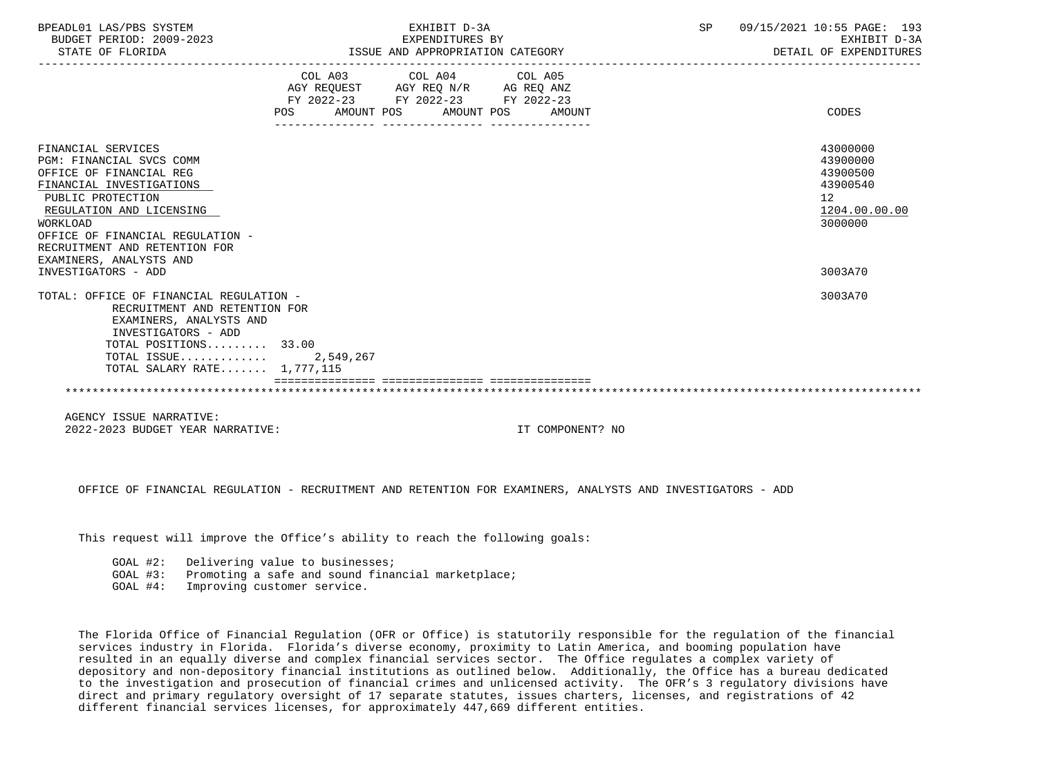| BPEADL01 LAS/PBS SYSTEM<br>BUDGET PERIOD: 2009-2023<br>STATE OF FLORIDA                                                                                                                                                                        |                                                                                                                                       | EXHIBIT D-3A<br>EXPENDITURES BY<br>ISSUE AND APPROPRIATION CATEGORY | SP | 09/15/2021 10:55 PAGE: 193<br>EXHIBIT D-3A<br>DETAIL OF EXPENDITURES           |  |
|------------------------------------------------------------------------------------------------------------------------------------------------------------------------------------------------------------------------------------------------|---------------------------------------------------------------------------------------------------------------------------------------|---------------------------------------------------------------------|----|--------------------------------------------------------------------------------|--|
|                                                                                                                                                                                                                                                | COL A03 COL A04 COL A05<br>AGY REQUEST AGY REQ N/R AG REQ ANZ<br>FY 2022-23 FY 2022-23 FY 2022-23<br>POS AMOUNT POS AMOUNT POS AMOUNT |                                                                     |    | CODES                                                                          |  |
| FINANCIAL SERVICES<br><b>PGM: FINANCIAL SVCS COMM</b><br>OFFICE OF FINANCIAL REG<br>FINANCIAL INVESTIGATIONS<br>PUBLIC PROTECTION<br>REGULATION AND LICENSING<br>WORKLOAD<br>OFFICE OF FINANCIAL REGULATION -<br>RECRUITMENT AND RETENTION FOR |                                                                                                                                       |                                                                     |    | 43000000<br>43900000<br>43900500<br>43900540<br>12<br>1204.00.00.00<br>3000000 |  |
| EXAMINERS, ANALYSTS AND<br>INVESTIGATORS - ADD                                                                                                                                                                                                 |                                                                                                                                       |                                                                     |    | 3003A70                                                                        |  |
| TOTAL: OFFICE OF FINANCIAL REGULATION -<br>RECRUITMENT AND RETENTION FOR<br>EXAMINERS, ANALYSTS AND<br>INVESTIGATORS - ADD<br>TOTAL POSITIONS 33.00                                                                                            |                                                                                                                                       |                                                                     |    | 3003A70                                                                        |  |
| TOTAL ISSUE 2,549,267                                                                                                                                                                                                                          |                                                                                                                                       |                                                                     |    |                                                                                |  |
| TOTAL SALARY RATE 1,777,115                                                                                                                                                                                                                    |                                                                                                                                       |                                                                     |    |                                                                                |  |
|                                                                                                                                                                                                                                                |                                                                                                                                       |                                                                     |    |                                                                                |  |
|                                                                                                                                                                                                                                                |                                                                                                                                       |                                                                     |    |                                                                                |  |

 AGENCY ISSUE NARRATIVE: 2022-2023 BUDGET YEAR NARRATIVE: IT COMPONENT? NO

OFFICE OF FINANCIAL REGULATION - RECRUITMENT AND RETENTION FOR EXAMINERS, ANALYSTS AND INVESTIGATORS - ADD

This request will improve the Office's ability to reach the following goals:

GOAL #2: Delivering value to businesses;

- GOAL #3: Promoting a safe and sound financial marketplace;
- GOAL #4: Improving customer service.

 The Florida Office of Financial Regulation (OFR or Office) is statutorily responsible for the regulation of the financial services industry in Florida. Florida's diverse economy, proximity to Latin America, and booming population have resulted in an equally diverse and complex financial services sector. The Office regulates a complex variety of depository and non-depository financial institutions as outlined below. Additionally, the Office has a bureau dedicated to the investigation and prosecution of financial crimes and unlicensed activity. The OFR's 3 regulatory divisions have direct and primary regulatory oversight of 17 separate statutes, issues charters, licenses, and registrations of 42 different financial services licenses, for approximately 447,669 different entities.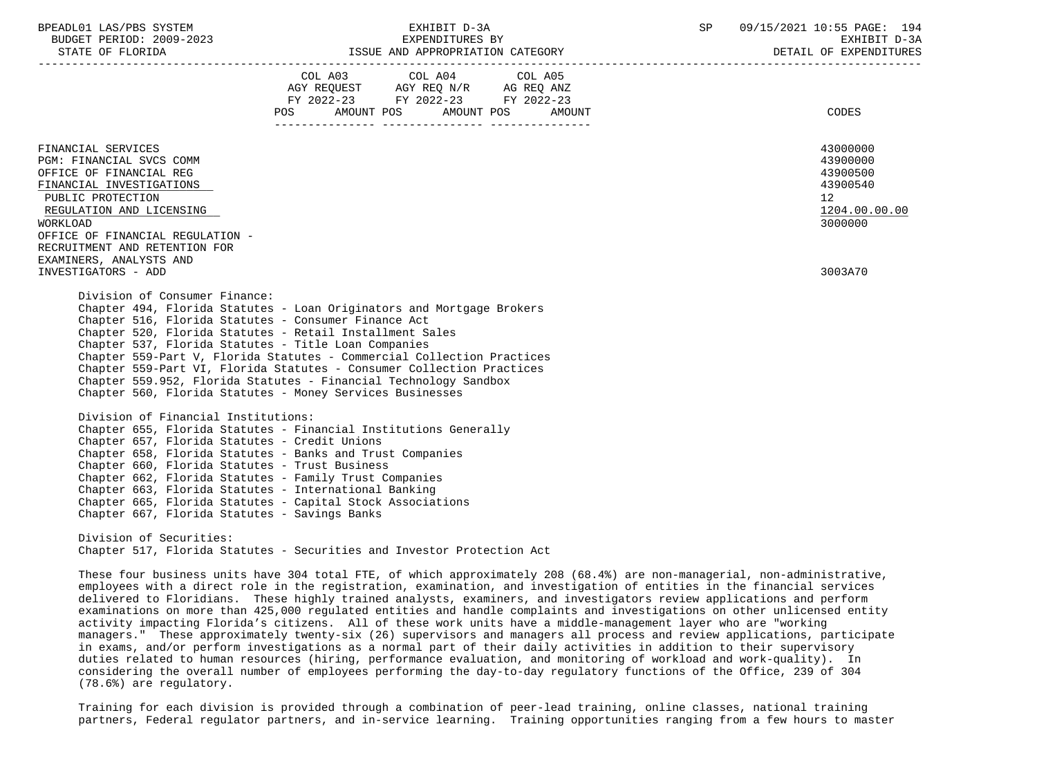STATE OF FLORIDA GALL SOLUTION ISSUE AND APPROPRIATION CATEGORY CONTROL CONTROLLER STATE OF EXPENDITURES -----------------------------------------------------------------------------------------------------------------------------------

|      | COL A03     | COL A04               | COL A05    |       |
|------|-------------|-----------------------|------------|-------|
|      | AGY REOUEST | AGY REO N/R           | AG REO ANZ |       |
|      | FY 2022-23  | FY 2022-23 FY 2022-23 |            |       |
| POS. | AMOUNT POS  | AMOUNT POS            | AMOUNT     | CODES |
|      |             |                       |            |       |

 FINANCIAL SERVICES 43000000 PGM: FINANCIAL SVCS COMM<br>OFFICE OF FINANCIAL REG 43900500 OFFICE OF FINANCIAL REG 43900500<br>FINANCIAL INVESTIGATIONS 43900540 FINANCIAL INVESTIGATIONS 439<br>PIRLIC PROTECTION 42 PUBLIC PROTECTION 12

 REGULATION AND LICENSING 1204.00.00.00 \_\_\_\_\_\_\_\_\_\_\_\_\_\_\_\_\_\_\_\_\_\_\_\_\_\_ \_\_\_\_\_\_\_\_\_\_\_\_\_ WORKLOAD 3000000 OFFICE OF FINANCIAL REGULATION - RECRUITMENT AND RETENTION FOR EXAMINERS, ANALYSTS AND INVESTIGATORS - ADD 3003A70

 Division of Consumer Finance: Chapter 494, Florida Statutes - Loan Originators and Mortgage Brokers Chapter 516, Florida Statutes - Consumer Finance Act Chapter 520, Florida Statutes - Retail Installment Sales Chapter 537, Florida Statutes - Title Loan Companies Chapter 559-Part V, Florida Statutes - Commercial Collection Practices Chapter 559-Part VI, Florida Statutes - Consumer Collection Practices Chapter 559.952, Florida Statutes - Financial Technology Sandbox Chapter 560, Florida Statutes - Money Services Businesses

Division of Financial Institutions:

 Chapter 655, Florida Statutes - Financial Institutions Generally Chapter 657, Florida Statutes - Credit Unions Chapter 658, Florida Statutes - Banks and Trust Companies Chapter 660, Florida Statutes - Trust Business Chapter 662, Florida Statutes - Family Trust Companies Chapter 663, Florida Statutes - International Banking Chapter 665, Florida Statutes - Capital Stock Associations Chapter 667, Florida Statutes - Savings Banks

 Division of Securities: Chapter 517, Florida Statutes - Securities and Investor Protection Act

 These four business units have 304 total FTE, of which approximately 208 (68.4%) are non-managerial, non-administrative, employees with a direct role in the registration, examination, and investigation of entities in the financial services delivered to Floridians. These highly trained analysts, examiners, and investigators review applications and perform examinations on more than 425,000 regulated entities and handle complaints and investigations on other unlicensed entity activity impacting Florida's citizens. All of these work units have a middle-management layer who are "working managers." These approximately twenty-six (26) supervisors and managers all process and review applications, participate in exams, and/or perform investigations as a normal part of their daily activities in addition to their supervisory duties related to human resources (hiring, performance evaluation, and monitoring of workload and work-quality). In considering the overall number of employees performing the day-to-day regulatory functions of the Office, 239 of 304 (78.6%) are regulatory.

 Training for each division is provided through a combination of peer-lead training, online classes, national training partners, Federal regulator partners, and in-service learning. Training opportunities ranging from a few hours to master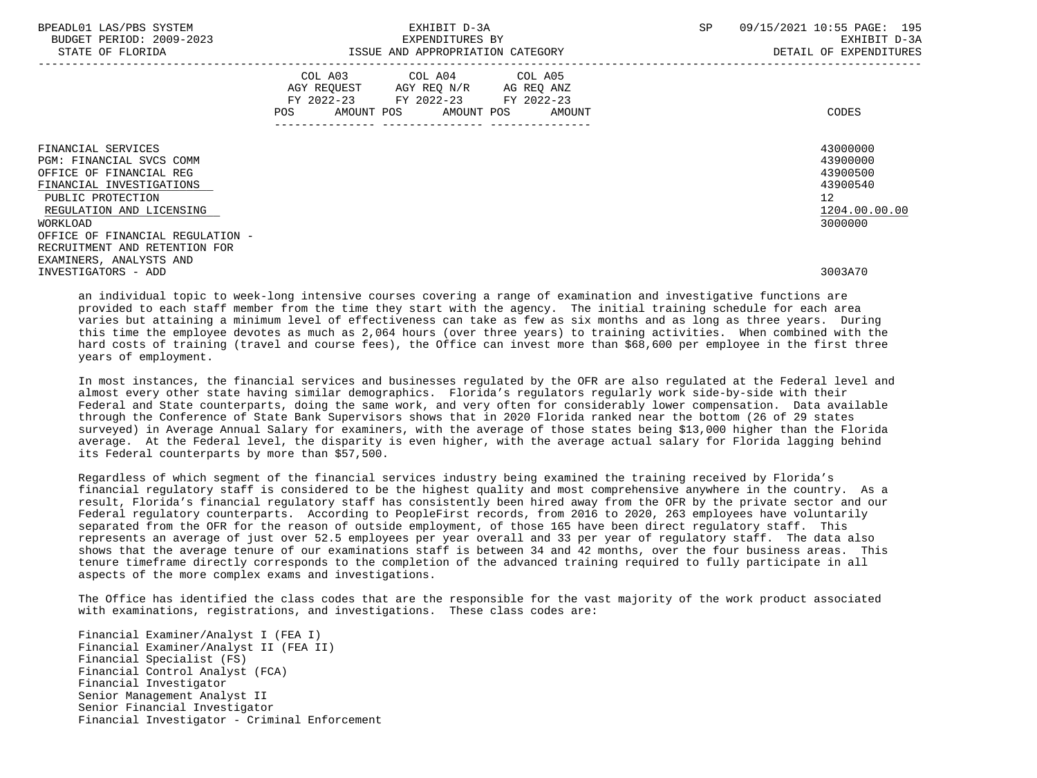| BPEADL01 LAS/PBS SYSTEM<br>BUDGET PERIOD: 2009-2023<br>STATE OF FLORIDA                                                                                                   |     | EXHIBIT D-3A<br>EXPENDITURES BY<br>ISSUE AND APPROPRIATION CATEGORY                                                               | SP | 09/15/2021 10:55 PAGE: 195<br>EXHIBIT D-3A<br>DETAIL OF EXPENDITURES           |
|---------------------------------------------------------------------------------------------------------------------------------------------------------------------------|-----|-----------------------------------------------------------------------------------------------------------------------------------|----|--------------------------------------------------------------------------------|
|                                                                                                                                                                           | POS | COL A03 COL A04 COL A05<br>AGY REQUEST AGY REQ N/R AG REQ ANZ<br>FY 2022-23 FY 2022-23 FY 2022-23<br>AMOUNT POS AMOUNT POS AMOUNT |    | CODES                                                                          |
| FINANCIAL SERVICES<br><b>PGM: FINANCIAL SVCS COMM</b><br>OFFICE OF FINANCIAL REG<br>FINANCIAL INVESTIGATIONS<br>PUBLIC PROTECTION<br>REGULATION AND LICENSING<br>WORKLOAD |     |                                                                                                                                   |    | 43000000<br>43900000<br>43900500<br>43900540<br>12<br>1204.00.00.00<br>3000000 |
| OFFICE OF FINANCIAL REGULATION -<br>RECRUITMENT AND RETENTION FOR                                                                                                         |     |                                                                                                                                   |    |                                                                                |

 EXAMINERS, ANALYSTS AND INVESTIGATORS - ADD 3003A70

 an individual topic to week-long intensive courses covering a range of examination and investigative functions are provided to each staff member from the time they start with the agency. The initial training schedule for each area varies but attaining a minimum level of effectiveness can take as few as six months and as long as three years. During this time the employee devotes as much as 2,064 hours (over three years) to training activities. When combined with the hard costs of training (travel and course fees), the Office can invest more than \$68,600 per employee in the first three years of employment.

 In most instances, the financial services and businesses regulated by the OFR are also regulated at the Federal level and almost every other state having similar demographics. Florida's regulators regularly work side-by-side with their Federal and State counterparts, doing the same work, and very often for considerably lower compensation. Data available through the Conference of State Bank Supervisors shows that in 2020 Florida ranked near the bottom (26 of 29 states surveyed) in Average Annual Salary for examiners, with the average of those states being \$13,000 higher than the Florida average. At the Federal level, the disparity is even higher, with the average actual salary for Florida lagging behind its Federal counterparts by more than \$57,500.

 Regardless of which segment of the financial services industry being examined the training received by Florida's financial regulatory staff is considered to be the highest quality and most comprehensive anywhere in the country. As a result, Florida's financial regulatory staff has consistently been hired away from the OFR by the private sector and our Federal regulatory counterparts. According to PeopleFirst records, from 2016 to 2020, 263 employees have voluntarily separated from the OFR for the reason of outside employment, of those 165 have been direct regulatory staff. This represents an average of just over 52.5 employees per year overall and 33 per year of regulatory staff. The data also shows that the average tenure of our examinations staff is between 34 and 42 months, over the four business areas. This tenure timeframe directly corresponds to the completion of the advanced training required to fully participate in all aspects of the more complex exams and investigations.

 The Office has identified the class codes that are the responsible for the vast majority of the work product associated with examinations, registrations, and investigations. These class codes are:

 Financial Examiner/Analyst I (FEA I) Financial Examiner/Analyst II (FEA II) Financial Specialist (FS) Financial Control Analyst (FCA) Financial Investigator Senior Management Analyst II Senior Financial Investigator Financial Investigator - Criminal Enforcement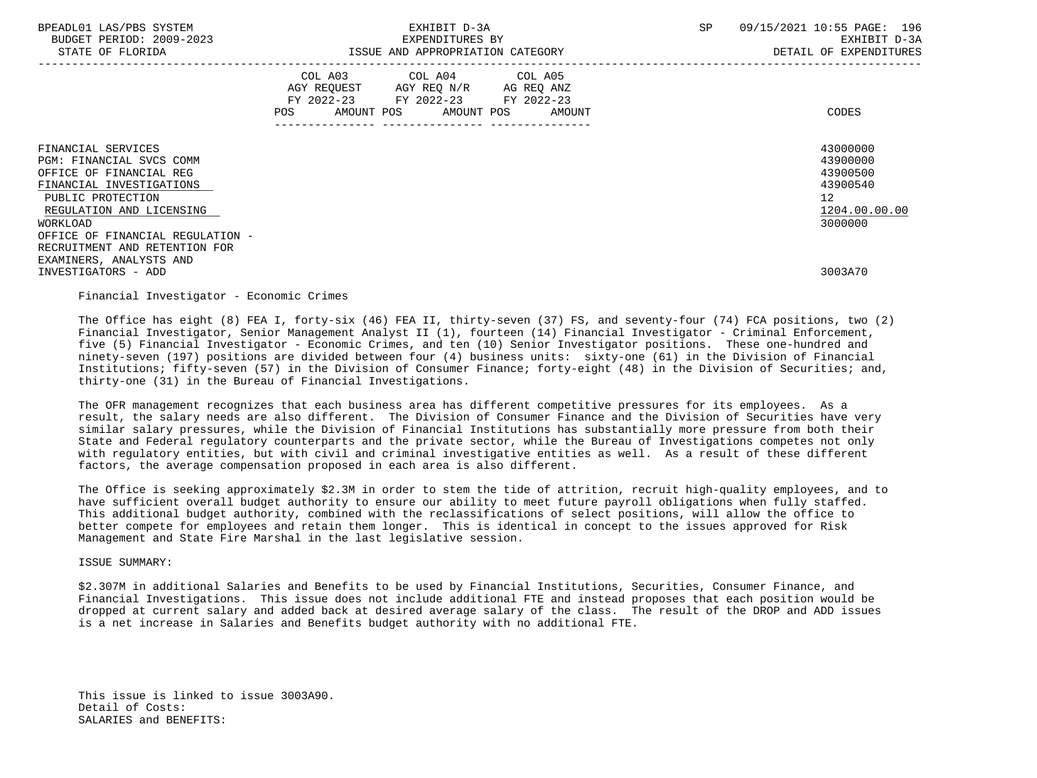| BPEADL01 LAS/PBS SYSTEM |                           |                          |
|-------------------------|---------------------------|--------------------------|
|                         |                           | BUDGET PERIOD: 2009-2023 |
|                         | $CDMMD$ $CD$ $DT$ $CDTDA$ |                          |

|                                  |     | COL A03                   | COL A04                   | COL A05                  |                   |
|----------------------------------|-----|---------------------------|---------------------------|--------------------------|-------------------|
|                                  |     | AGY REOUEST<br>FY 2022-23 | AGY REO N/R<br>FY 2022-23 | AG REQ ANZ<br>FY 2022-23 |                   |
|                                  |     |                           |                           |                          |                   |
|                                  | POS | AMOUNT POS                | AMOUNT POS                | AMOUNT                   | CODES             |
|                                  |     |                           |                           |                          |                   |
| FINANCIAL SERVICES               |     |                           |                           |                          | 43000000          |
| PGM: FINANCIAL SVCS COMM         |     |                           |                           |                          | 43900000          |
| OFFICE OF FINANCIAL REG          |     |                           |                           |                          | 43900500          |
| FINANCIAL INVESTIGATIONS         |     |                           |                           |                          | 43900540          |
| PUBLIC PROTECTION                |     |                           |                           |                          | $12 \overline{ }$ |
| REGULATION AND LICENSING         |     |                           |                           |                          | 1204.00.00.00     |
| WORKLOAD                         |     |                           |                           |                          | 3000000           |
| OFFICE OF FINANCIAL REGULATION - |     |                           |                           |                          |                   |
| RECRUITMENT AND RETENTION FOR    |     |                           |                           |                          |                   |
| EXAMINERS, ANALYSTS AND          |     |                           |                           |                          |                   |
| INVESTIGATORS - ADD              |     |                           |                           |                          | 3003A70           |

Financial Investigator - Economic Crimes

 The Office has eight (8) FEA I, forty-six (46) FEA II, thirty-seven (37) FS, and seventy-four (74) FCA positions, two (2) Financial Investigator, Senior Management Analyst II (1), fourteen (14) Financial Investigator - Criminal Enforcement, five (5) Financial Investigator - Economic Crimes, and ten (10) Senior Investigator positions. These one-hundred and ninety-seven (197) positions are divided between four (4) business units: sixty-one (61) in the Division of Financial Institutions; fifty-seven (57) in the Division of Consumer Finance; forty-eight (48) in the Division of Securities; and, thirty-one (31) in the Bureau of Financial Investigations.

 The OFR management recognizes that each business area has different competitive pressures for its employees. As a result, the salary needs are also different. The Division of Consumer Finance and the Division of Securities have very similar salary pressures, while the Division of Financial Institutions has substantially more pressure from both their State and Federal regulatory counterparts and the private sector, while the Bureau of Investigations competes not only with regulatory entities, but with civil and criminal investigative entities as well. As a result of these different factors, the average compensation proposed in each area is also different.

 The Office is seeking approximately \$2.3M in order to stem the tide of attrition, recruit high-quality employees, and to have sufficient overall budget authority to ensure our ability to meet future payroll obligations when fully staffed. This additional budget authority, combined with the reclassifications of select positions, will allow the office to better compete for employees and retain them longer. This is identical in concept to the issues approved for Risk Management and State Fire Marshal in the last legislative session.

ISSUE SUMMARY:

 \$2.307M in additional Salaries and Benefits to be used by Financial Institutions, Securities, Consumer Finance, and Financial Investigations. This issue does not include additional FTE and instead proposes that each position would be dropped at current salary and added back at desired average salary of the class. The result of the DROP and ADD issues is a net increase in Salaries and Benefits budget authority with no additional FTE.

 This issue is linked to issue 3003A90. Detail of Costs: SALARIES and BENEFITS: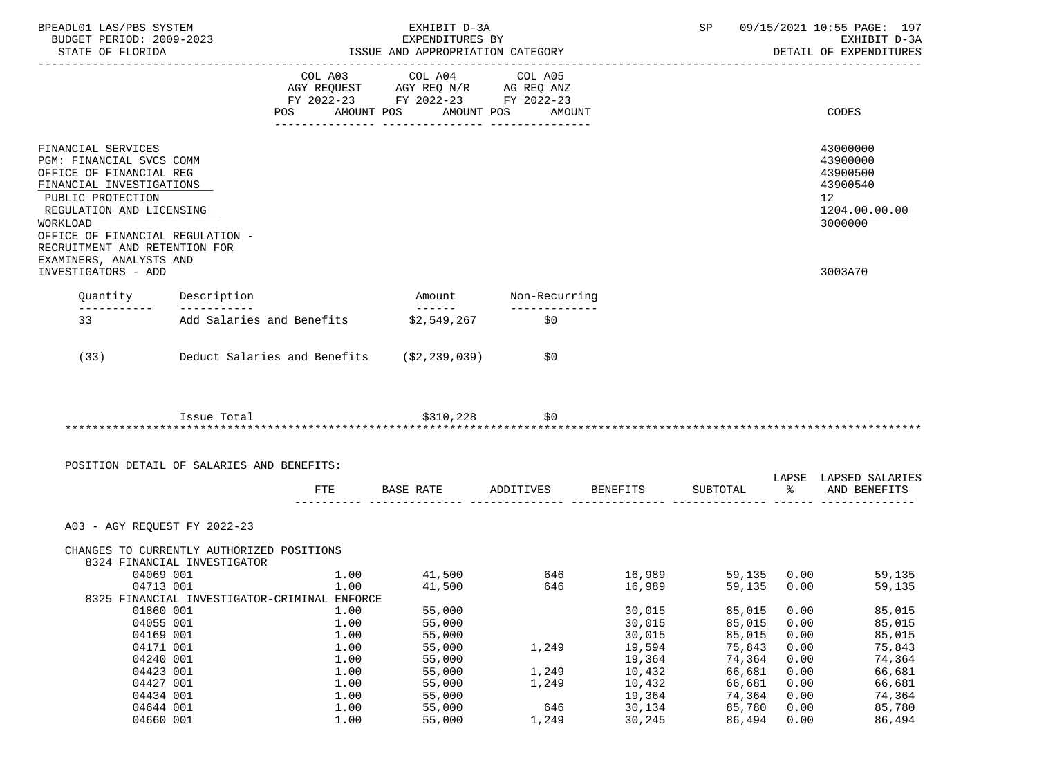| BPEADL01 LAS/PBS SYSTEM<br>BUDGET PERIOD: 2009-2023                                                                                                                                                                                                                |                                                                          |                                              | EXHIBIT D-3A<br>EXPENDITURES BY                                                                                                                                                                                                                                                                                                                                                                                                                                                                       |                      |                  | SP               |                      | 09/15/2021 10:55 PAGE: 197<br>EXHIBIT D-3A                                     |
|--------------------------------------------------------------------------------------------------------------------------------------------------------------------------------------------------------------------------------------------------------------------|--------------------------------------------------------------------------|----------------------------------------------|-------------------------------------------------------------------------------------------------------------------------------------------------------------------------------------------------------------------------------------------------------------------------------------------------------------------------------------------------------------------------------------------------------------------------------------------------------------------------------------------------------|----------------------|------------------|------------------|----------------------|--------------------------------------------------------------------------------|
| STATE OF FLORIDA                                                                                                                                                                                                                                                   |                                                                          |                                              | ISSUE AND APPROPRIATION CATEGORY                                                                                                                                                                                                                                                                                                                                                                                                                                                                      |                      |                  |                  |                      | DETAIL OF EXPENDITURES                                                         |
|                                                                                                                                                                                                                                                                    |                                                                          | COL A03                                      | COL A04<br>COL A03 COL A04 COL A05<br>AGY REQUEST AGY REQ N/R AG REQ ANZ<br>FY 2022-23 FY 2022-23 FY 2022-23<br>POS AMOUNT POS AMOUNT POS AMOUNT                                                                                                                                                                                                                                                                                                                                                      | COL A05              |                  |                  |                      | CODES                                                                          |
| FINANCIAL SERVICES<br>PGM: FINANCIAL SVCS COMM<br>OFFICE OF FINANCIAL REG<br>FINANCIAL INVESTIGATIONS<br>PUBLIC PROTECTION<br>REGULATION AND LICENSING<br>WORKLOAD<br>OFFICE OF FINANCIAL REGULATION -<br>RECRUITMENT AND RETENTION FOR<br>EXAMINERS, ANALYSTS AND |                                                                          |                                              |                                                                                                                                                                                                                                                                                                                                                                                                                                                                                                       |                      |                  |                  |                      | 43000000<br>43900000<br>43900500<br>43900540<br>12<br>1204.00.00.00<br>3000000 |
| INVESTIGATORS - ADD                                                                                                                                                                                                                                                |                                                                          |                                              |                                                                                                                                                                                                                                                                                                                                                                                                                                                                                                       |                      |                  |                  |                      | 3003A70                                                                        |
|                                                                                                                                                                                                                                                                    | Quantity Description                                                     |                                              |                                                                                                                                                                                                                                                                                                                                                                                                                                                                                                       | Amount Non-Recurring |                  |                  |                      |                                                                                |
| ------------<br>33                                                                                                                                                                                                                                                 | ____________<br>Add Salaries and Benefits                                |                                              | $\begin{array}{cccccccccc} \multicolumn{2}{c}{} & \multicolumn{2}{c}{} & \multicolumn{2}{c}{} & \multicolumn{2}{c}{} & \multicolumn{2}{c}{} & \multicolumn{2}{c}{} & \multicolumn{2}{c}{} & \multicolumn{2}{c}{} & \multicolumn{2}{c}{} & \multicolumn{2}{c}{} & \multicolumn{2}{c}{} & \multicolumn{2}{c}{} & \multicolumn{2}{c}{} & \multicolumn{2}{c}{} & \multicolumn{2}{c}{} & \multicolumn{2}{c}{} & \multicolumn{2}{c}{} & \multicolumn{2}{c}{} & \multicolumn{2}{c}{} & \mult$<br>\$2,549,267 | _____________<br>\$0 |                  |                  |                      |                                                                                |
| (33)                                                                                                                                                                                                                                                               |                                                                          | Deduct Salaries and Benefits (\$2,239,039)   |                                                                                                                                                                                                                                                                                                                                                                                                                                                                                                       | \$0                  |                  |                  |                      |                                                                                |
|                                                                                                                                                                                                                                                                    | Issue Total<br>POSITION DETAIL OF SALARIES AND BENEFITS:                 |                                              | \$310,228                                                                                                                                                                                                                                                                                                                                                                                                                                                                                             | \$0                  |                  |                  |                      |                                                                                |
|                                                                                                                                                                                                                                                                    |                                                                          | FTE                                          | BASE RATE ADDITIVES                                                                                                                                                                                                                                                                                                                                                                                                                                                                                   |                      | BENEFITS         | SUBTOTAL         | $\sim$ $\sim$ $\sim$ | LAPSE LAPSED SALARIES<br>AND BENEFITS                                          |
|                                                                                                                                                                                                                                                                    | A03 - AGY REOUEST FY 2022-23                                             |                                              |                                                                                                                                                                                                                                                                                                                                                                                                                                                                                                       |                      |                  |                  |                      |                                                                                |
|                                                                                                                                                                                                                                                                    | CHANGES TO CURRENTLY AUTHORIZED POSITIONS<br>8324 FINANCIAL INVESTIGATOR |                                              |                                                                                                                                                                                                                                                                                                                                                                                                                                                                                                       |                      |                  |                  |                      |                                                                                |
|                                                                                                                                                                                                                                                                    | 04069 001                                                                |                                              | $1.00$ $41,500$ $646$ $16,989$                                                                                                                                                                                                                                                                                                                                                                                                                                                                        |                      |                  |                  |                      | 59,135 0.00 59,135                                                             |
|                                                                                                                                                                                                                                                                    | 04713 001                                                                | 1.00                                         | 41,500                                                                                                                                                                                                                                                                                                                                                                                                                                                                                                | 646                  | 16,989           | 59,135           | 0.00                 | 59,135                                                                         |
|                                                                                                                                                                                                                                                                    |                                                                          | 8325 FINANCIAL INVESTIGATOR-CRIMINAL ENFORCE |                                                                                                                                                                                                                                                                                                                                                                                                                                                                                                       |                      |                  |                  |                      |                                                                                |
|                                                                                                                                                                                                                                                                    | 01860 001                                                                | 1.00                                         | 55,000                                                                                                                                                                                                                                                                                                                                                                                                                                                                                                |                      | 30,015           | 85,015           | 0.00                 | 85,015                                                                         |
|                                                                                                                                                                                                                                                                    | 04055 001                                                                | 1.00                                         | 55,000                                                                                                                                                                                                                                                                                                                                                                                                                                                                                                |                      | 30,015           | 85,015           | 0.00                 | 85,015                                                                         |
|                                                                                                                                                                                                                                                                    | 04169 001                                                                | 1.00                                         | 55,000                                                                                                                                                                                                                                                                                                                                                                                                                                                                                                |                      | 30,015           | 85,015           | 0.00                 | 85,015                                                                         |
|                                                                                                                                                                                                                                                                    | 04171 001                                                                | 1.00                                         | 55,000                                                                                                                                                                                                                                                                                                                                                                                                                                                                                                | 1,249                | 19,594           | 75,843           | 0.00                 | 75,843                                                                         |
|                                                                                                                                                                                                                                                                    | 04240 001                                                                | 1.00                                         | 55,000                                                                                                                                                                                                                                                                                                                                                                                                                                                                                                |                      | 19,364           | 74,364           | 0.00                 | 74,364                                                                         |
|                                                                                                                                                                                                                                                                    | 04423 001                                                                | 1.00                                         | 55,000                                                                                                                                                                                                                                                                                                                                                                                                                                                                                                | 1,249                | 10,432           | 66,681           | 0.00                 | 66,681                                                                         |
|                                                                                                                                                                                                                                                                    | 04427 001                                                                | 1.00                                         | 55,000                                                                                                                                                                                                                                                                                                                                                                                                                                                                                                | 1,249                | 10,432           | 66,681           | 0.00                 | 66,681                                                                         |
|                                                                                                                                                                                                                                                                    | 04434 001<br>04644 001                                                   | 1.00<br>1.00                                 | 55,000<br>55,000                                                                                                                                                                                                                                                                                                                                                                                                                                                                                      | 646                  | 19,364<br>30,134 | 74,364<br>85,780 | 0.00<br>0.00         | 74,364<br>85,780                                                               |
|                                                                                                                                                                                                                                                                    | 04660 001                                                                | 1.00                                         | 55,000                                                                                                                                                                                                                                                                                                                                                                                                                                                                                                | 1,249                | 30,245           | 86,494           | 0.00                 | 86,494                                                                         |
|                                                                                                                                                                                                                                                                    |                                                                          |                                              |                                                                                                                                                                                                                                                                                                                                                                                                                                                                                                       |                      |                  |                  |                      |                                                                                |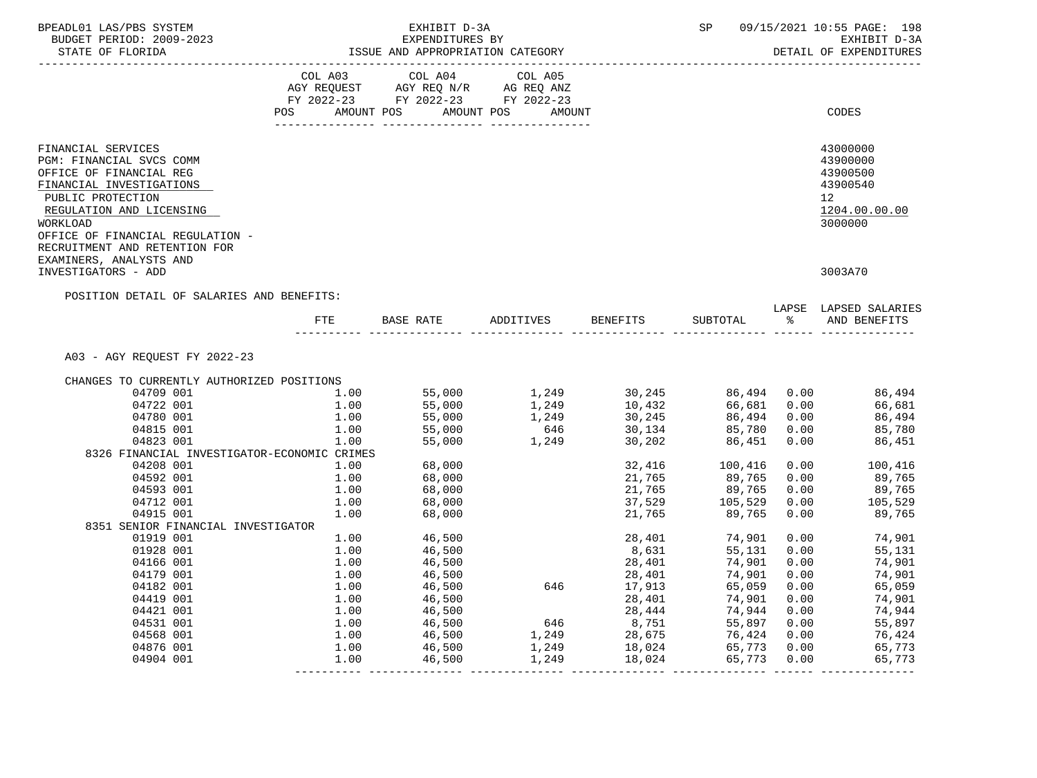| STATE OF FLORIDA<br>COL A03 COL A04 COL A05<br>AGY REQUEST AGY REQ N/R AG REQ ANZ<br>FY 2022-23 FY 2022-23 FY 2022-23<br>POS AMOUNT POS AMOUNT POS AMOUNT<br>FINANCIAL SERVICES<br>PGM: FINANCIAL SVCS COMM<br>OFFICE OF FINANCIAL REG<br>FINANCIAL INVESTIGATIONS<br>PUBLIC PROTECTION<br>12 <sub>2</sub><br>REGULATION AND LICENSING<br>WORKLOAD<br>OFFICE OF FINANCIAL REGULATION -<br>RECRUITMENT AND RETENTION FOR<br>EXAMINERS, ANALYSTS AND<br>INVESTIGATORS - ADD<br>POSITION DETAIL OF SALARIES AND BENEFITS:<br>LAPSE LAPSED SALARIES<br>FTE BASE RATE ADDITIVES BENEFITS<br>SUBTOTAL % AND BENEFITS<br>A03 - AGY REQUEST FY 2022-23<br>CHANGES TO CURRENTLY AUTHORIZED POSITIONS<br>1.00 55,000 1,249 30,245 86,494 0.00 86,494<br>1.00 55,000 1,249 10,432 66,681 0.00 66,681<br>1.00 55,000 1,249 30,245 86,494 0.00 66,681<br>1.00 55,000 1,249 30,245 86,494 0.00 86,494<br>1.00 55,000 1,249 30,245 86,494 0.00 86,49<br>04709 001<br>04722 001<br>04780 001<br>04815 001<br>04823 001<br>8326 FINANCIAL INVESTIGATOR-ECONOMIC CRIMES<br>ESTIGATOR-ECONOMIC CRIMES<br>1.00 68,000<br>1.00 68,000<br>1.00 68,000<br>1.00 68,000<br>1.00 68,000<br>$\begin{array}{cccc} 32,416 \\ 21,765 \\ 21,765 \\ 21,765 \\ 37,529 \\ 21,765 \\ 41,765 \\ 32,765 \\ 42,765 \\ 43,765 \\ 44,765 \\ 45,765 \\ 46,765 \\ 47,765 \\ 48,765 \\ 49,765 \\ 40,765 \\ 42,765 \\ 43,765 \\ 45,765 \\ 46,765 \\ 47,765 \\ 48,765 \\ 49,765 \\ 40,00 \\ 41,00 \\ 42,00 \\$<br>04208 001<br>04592 001<br>04593 001<br>04712 001<br>04915 001<br>8351 SENIOR FINANCIAL INVESTIGATOR<br>$\begin{array}{cccccccc} \texttt{CIAL INVESTIGATOR} & & & & & & 1.00 & & & 46,500 & & & & 28,401 & & 74,901 & 0.00 & & & 74,901 \\ & 1.00 & & & 46,500 & & & & 8,631 & & 55,131 & 0.00 & & & 55,131 \\ & 1.00 & & & 46,500 & & & & 28,401 & & 74,901 & 0.00 & & 74,901 \\ & 1.00 & & & 46,500 & & & 28,401 & & 74,901 & 0.$<br>01919 001 | DETAIL OF EXPENDITURES<br>CODES<br>43000000<br>43900000<br>43900500<br>43900540<br>1204.00.00.00<br>3000000 |
|----------------------------------------------------------------------------------------------------------------------------------------------------------------------------------------------------------------------------------------------------------------------------------------------------------------------------------------------------------------------------------------------------------------------------------------------------------------------------------------------------------------------------------------------------------------------------------------------------------------------------------------------------------------------------------------------------------------------------------------------------------------------------------------------------------------------------------------------------------------------------------------------------------------------------------------------------------------------------------------------------------------------------------------------------------------------------------------------------------------------------------------------------------------------------------------------------------------------------------------------------------------------------------------------------------------------------------------------------------------------------------------------------------------------------------------------------------------------------------------------------------------------------------------------------------------------------------------------------------------------------------------------------------------------------------------------------------------------------------------------------------------------------------------------------------------------------------------------------------------------------------------------------------------------|-------------------------------------------------------------------------------------------------------------|
|                                                                                                                                                                                                                                                                                                                                                                                                                                                                                                                                                                                                                                                                                                                                                                                                                                                                                                                                                                                                                                                                                                                                                                                                                                                                                                                                                                                                                                                                                                                                                                                                                                                                                                                                                                                                                                                                                                                      |                                                                                                             |
|                                                                                                                                                                                                                                                                                                                                                                                                                                                                                                                                                                                                                                                                                                                                                                                                                                                                                                                                                                                                                                                                                                                                                                                                                                                                                                                                                                                                                                                                                                                                                                                                                                                                                                                                                                                                                                                                                                                      |                                                                                                             |
|                                                                                                                                                                                                                                                                                                                                                                                                                                                                                                                                                                                                                                                                                                                                                                                                                                                                                                                                                                                                                                                                                                                                                                                                                                                                                                                                                                                                                                                                                                                                                                                                                                                                                                                                                                                                                                                                                                                      |                                                                                                             |
|                                                                                                                                                                                                                                                                                                                                                                                                                                                                                                                                                                                                                                                                                                                                                                                                                                                                                                                                                                                                                                                                                                                                                                                                                                                                                                                                                                                                                                                                                                                                                                                                                                                                                                                                                                                                                                                                                                                      | 3003A70                                                                                                     |
|                                                                                                                                                                                                                                                                                                                                                                                                                                                                                                                                                                                                                                                                                                                                                                                                                                                                                                                                                                                                                                                                                                                                                                                                                                                                                                                                                                                                                                                                                                                                                                                                                                                                                                                                                                                                                                                                                                                      |                                                                                                             |
|                                                                                                                                                                                                                                                                                                                                                                                                                                                                                                                                                                                                                                                                                                                                                                                                                                                                                                                                                                                                                                                                                                                                                                                                                                                                                                                                                                                                                                                                                                                                                                                                                                                                                                                                                                                                                                                                                                                      |                                                                                                             |
|                                                                                                                                                                                                                                                                                                                                                                                                                                                                                                                                                                                                                                                                                                                                                                                                                                                                                                                                                                                                                                                                                                                                                                                                                                                                                                                                                                                                                                                                                                                                                                                                                                                                                                                                                                                                                                                                                                                      |                                                                                                             |
|                                                                                                                                                                                                                                                                                                                                                                                                                                                                                                                                                                                                                                                                                                                                                                                                                                                                                                                                                                                                                                                                                                                                                                                                                                                                                                                                                                                                                                                                                                                                                                                                                                                                                                                                                                                                                                                                                                                      |                                                                                                             |
|                                                                                                                                                                                                                                                                                                                                                                                                                                                                                                                                                                                                                                                                                                                                                                                                                                                                                                                                                                                                                                                                                                                                                                                                                                                                                                                                                                                                                                                                                                                                                                                                                                                                                                                                                                                                                                                                                                                      |                                                                                                             |
|                                                                                                                                                                                                                                                                                                                                                                                                                                                                                                                                                                                                                                                                                                                                                                                                                                                                                                                                                                                                                                                                                                                                                                                                                                                                                                                                                                                                                                                                                                                                                                                                                                                                                                                                                                                                                                                                                                                      |                                                                                                             |
|                                                                                                                                                                                                                                                                                                                                                                                                                                                                                                                                                                                                                                                                                                                                                                                                                                                                                                                                                                                                                                                                                                                                                                                                                                                                                                                                                                                                                                                                                                                                                                                                                                                                                                                                                                                                                                                                                                                      |                                                                                                             |
|                                                                                                                                                                                                                                                                                                                                                                                                                                                                                                                                                                                                                                                                                                                                                                                                                                                                                                                                                                                                                                                                                                                                                                                                                                                                                                                                                                                                                                                                                                                                                                                                                                                                                                                                                                                                                                                                                                                      |                                                                                                             |
|                                                                                                                                                                                                                                                                                                                                                                                                                                                                                                                                                                                                                                                                                                                                                                                                                                                                                                                                                                                                                                                                                                                                                                                                                                                                                                                                                                                                                                                                                                                                                                                                                                                                                                                                                                                                                                                                                                                      |                                                                                                             |
|                                                                                                                                                                                                                                                                                                                                                                                                                                                                                                                                                                                                                                                                                                                                                                                                                                                                                                                                                                                                                                                                                                                                                                                                                                                                                                                                                                                                                                                                                                                                                                                                                                                                                                                                                                                                                                                                                                                      |                                                                                                             |
|                                                                                                                                                                                                                                                                                                                                                                                                                                                                                                                                                                                                                                                                                                                                                                                                                                                                                                                                                                                                                                                                                                                                                                                                                                                                                                                                                                                                                                                                                                                                                                                                                                                                                                                                                                                                                                                                                                                      |                                                                                                             |
|                                                                                                                                                                                                                                                                                                                                                                                                                                                                                                                                                                                                                                                                                                                                                                                                                                                                                                                                                                                                                                                                                                                                                                                                                                                                                                                                                                                                                                                                                                                                                                                                                                                                                                                                                                                                                                                                                                                      |                                                                                                             |
|                                                                                                                                                                                                                                                                                                                                                                                                                                                                                                                                                                                                                                                                                                                                                                                                                                                                                                                                                                                                                                                                                                                                                                                                                                                                                                                                                                                                                                                                                                                                                                                                                                                                                                                                                                                                                                                                                                                      |                                                                                                             |
|                                                                                                                                                                                                                                                                                                                                                                                                                                                                                                                                                                                                                                                                                                                                                                                                                                                                                                                                                                                                                                                                                                                                                                                                                                                                                                                                                                                                                                                                                                                                                                                                                                                                                                                                                                                                                                                                                                                      |                                                                                                             |
|                                                                                                                                                                                                                                                                                                                                                                                                                                                                                                                                                                                                                                                                                                                                                                                                                                                                                                                                                                                                                                                                                                                                                                                                                                                                                                                                                                                                                                                                                                                                                                                                                                                                                                                                                                                                                                                                                                                      |                                                                                                             |
| 01928 001                                                                                                                                                                                                                                                                                                                                                                                                                                                                                                                                                                                                                                                                                                                                                                                                                                                                                                                                                                                                                                                                                                                                                                                                                                                                                                                                                                                                                                                                                                                                                                                                                                                                                                                                                                                                                                                                                                            |                                                                                                             |
| 04166 001                                                                                                                                                                                                                                                                                                                                                                                                                                                                                                                                                                                                                                                                                                                                                                                                                                                                                                                                                                                                                                                                                                                                                                                                                                                                                                                                                                                                                                                                                                                                                                                                                                                                                                                                                                                                                                                                                                            |                                                                                                             |
| 04179 001                                                                                                                                                                                                                                                                                                                                                                                                                                                                                                                                                                                                                                                                                                                                                                                                                                                                                                                                                                                                                                                                                                                                                                                                                                                                                                                                                                                                                                                                                                                                                                                                                                                                                                                                                                                                                                                                                                            |                                                                                                             |
| 04182 001                                                                                                                                                                                                                                                                                                                                                                                                                                                                                                                                                                                                                                                                                                                                                                                                                                                                                                                                                                                                                                                                                                                                                                                                                                                                                                                                                                                                                                                                                                                                                                                                                                                                                                                                                                                                                                                                                                            |                                                                                                             |
| 04419 001                                                                                                                                                                                                                                                                                                                                                                                                                                                                                                                                                                                                                                                                                                                                                                                                                                                                                                                                                                                                                                                                                                                                                                                                                                                                                                                                                                                                                                                                                                                                                                                                                                                                                                                                                                                                                                                                                                            |                                                                                                             |
| 04421 001                                                                                                                                                                                                                                                                                                                                                                                                                                                                                                                                                                                                                                                                                                                                                                                                                                                                                                                                                                                                                                                                                                                                                                                                                                                                                                                                                                                                                                                                                                                                                                                                                                                                                                                                                                                                                                                                                                            |                                                                                                             |
| 04531 001                                                                                                                                                                                                                                                                                                                                                                                                                                                                                                                                                                                                                                                                                                                                                                                                                                                                                                                                                                                                                                                                                                                                                                                                                                                                                                                                                                                                                                                                                                                                                                                                                                                                                                                                                                                                                                                                                                            |                                                                                                             |
| 04568 001                                                                                                                                                                                                                                                                                                                                                                                                                                                                                                                                                                                                                                                                                                                                                                                                                                                                                                                                                                                                                                                                                                                                                                                                                                                                                                                                                                                                                                                                                                                                                                                                                                                                                                                                                                                                                                                                                                            |                                                                                                             |
| 04876 001                                                                                                                                                                                                                                                                                                                                                                                                                                                                                                                                                                                                                                                                                                                                                                                                                                                                                                                                                                                                                                                                                                                                                                                                                                                                                                                                                                                                                                                                                                                                                                                                                                                                                                                                                                                                                                                                                                            |                                                                                                             |
| 04904 001                                                                                                                                                                                                                                                                                                                                                                                                                                                                                                                                                                                                                                                                                                                                                                                                                                                                                                                                                                                                                                                                                                                                                                                                                                                                                                                                                                                                                                                                                                                                                                                                                                                                                                                                                                                                                                                                                                            |                                                                                                             |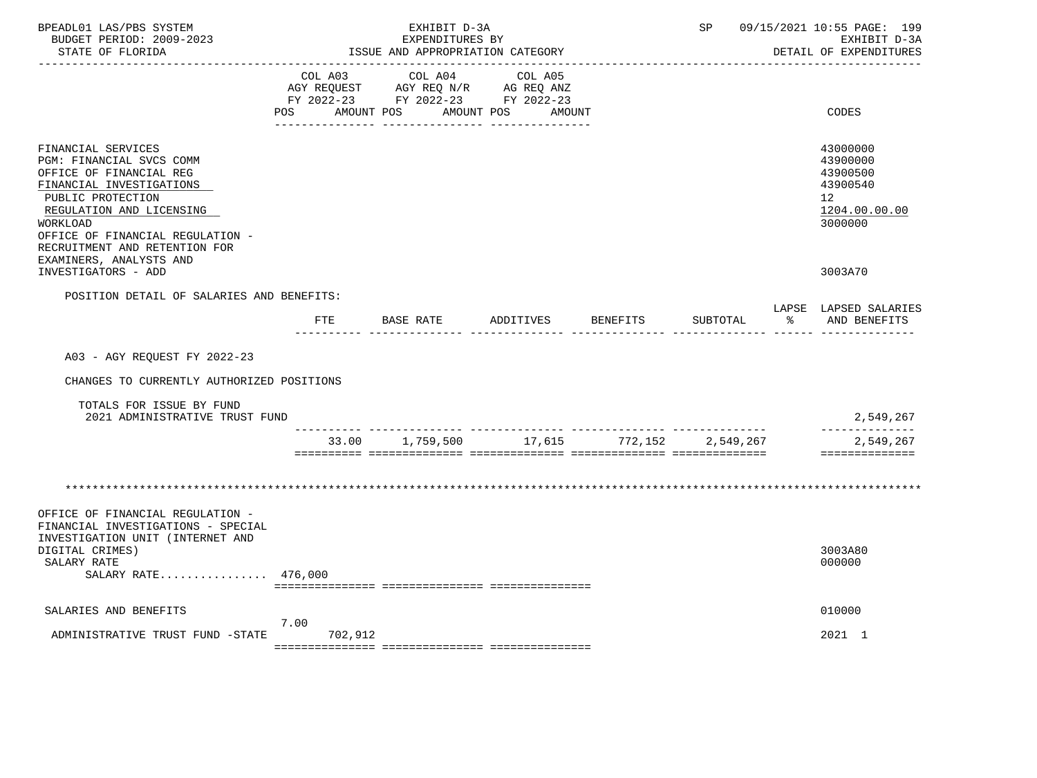| BPEADL01 LAS/PBS SYSTEM<br>BUDGET PERIOD: 2009-2023<br>STATE OF FLORIDA                                                                                                                                                                                                                          | EXHIBIT D-3A<br>EXPENDITURES BY<br>ISSUE AND APPROPRIATION CATEGORY |                                                                                           |                      |          | SP       |               | 09/15/2021 10:55 PAGE: 199<br>EXHIBIT D-3A<br>DETAIL OF EXPENDITURES                      |
|--------------------------------------------------------------------------------------------------------------------------------------------------------------------------------------------------------------------------------------------------------------------------------------------------|---------------------------------------------------------------------|-------------------------------------------------------------------------------------------|----------------------|----------|----------|---------------|-------------------------------------------------------------------------------------------|
|                                                                                                                                                                                                                                                                                                  | COL A03<br>POS<br>AMOUNT POS                                        | COL A04 COL A05<br>AGY REQUEST AGY REQ N/R AG REQ ANZ<br>FY 2022-23 FY 2022-23 FY 2022-23 | AMOUNT POS<br>AMOUNT |          |          |               | CODES                                                                                     |
| FINANCIAL SERVICES<br><b>PGM: FINANCIAL SVCS COMM</b><br>OFFICE OF FINANCIAL REG<br>FINANCIAL INVESTIGATIONS<br>PUBLIC PROTECTION<br>REGULATION AND LICENSING<br>WORKLOAD<br>OFFICE OF FINANCIAL REGULATION -<br>RECRUITMENT AND RETENTION FOR<br>EXAMINERS, ANALYSTS AND<br>INVESTIGATORS - ADD |                                                                     |                                                                                           |                      |          |          |               | 43000000<br>43900000<br>43900500<br>43900540<br>12<br>1204.00.00.00<br>3000000<br>3003A70 |
| POSITION DETAIL OF SALARIES AND BENEFITS:                                                                                                                                                                                                                                                        |                                                                     |                                                                                           |                      |          |          |               |                                                                                           |
|                                                                                                                                                                                                                                                                                                  |                                                                     | FTE BASE RATE                                                                             | ADDITIVES            | BENEFITS | SUBTOTAL | $\frac{1}{6}$ | LAPSE LAPSED SALARIES<br>AND BENEFITS                                                     |
| A03 - AGY REQUEST FY 2022-23                                                                                                                                                                                                                                                                     |                                                                     |                                                                                           |                      |          |          |               |                                                                                           |
| CHANGES TO CURRENTLY AUTHORIZED POSITIONS                                                                                                                                                                                                                                                        |                                                                     |                                                                                           |                      |          |          |               |                                                                                           |
| TOTALS FOR ISSUE BY FUND<br>2021 ADMINISTRATIVE TRUST FUND                                                                                                                                                                                                                                       |                                                                     |                                                                                           |                      |          |          |               | 2,549,267<br>-----------                                                                  |
|                                                                                                                                                                                                                                                                                                  |                                                                     | $33.00$ 1,759,500 17,615 772,152 2,549,267                                                |                      |          |          |               | 2,549,267<br>==============                                                               |
| OFFICE OF FINANCIAL REGULATION -<br>FINANCIAL INVESTIGATIONS - SPECIAL                                                                                                                                                                                                                           |                                                                     |                                                                                           |                      |          |          |               |                                                                                           |
| INVESTIGATION UNIT (INTERNET AND<br>DIGITAL CRIMES)<br>SALARY RATE<br>SALARY RATE 476,000                                                                                                                                                                                                        |                                                                     |                                                                                           |                      |          |          |               | 3003A80<br>000000                                                                         |
| SALARIES AND BENEFITS                                                                                                                                                                                                                                                                            |                                                                     |                                                                                           |                      |          |          |               | 010000                                                                                    |
| ADMINISTRATIVE TRUST FUND -STATE                                                                                                                                                                                                                                                                 | 7.00<br>702,912                                                     |                                                                                           |                      |          |          |               | 2021 1                                                                                    |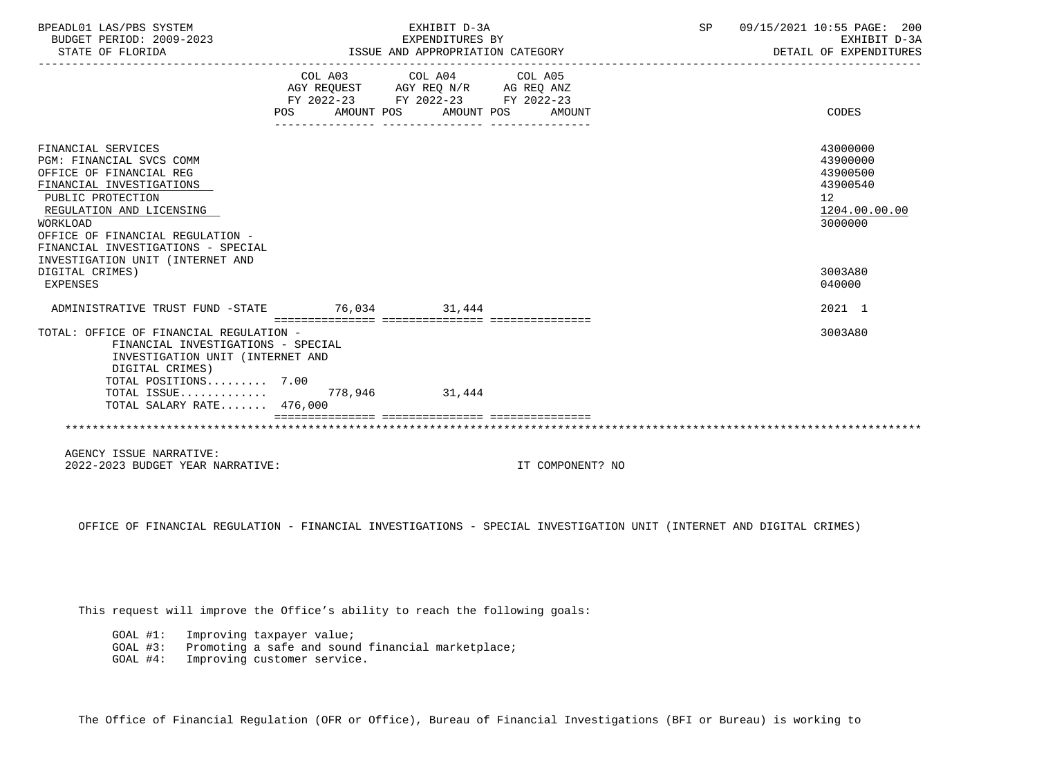| BPEADL01 LAS/PBS SYSTEM<br>BUDGET PERIOD: 2009-2023<br>STATE OF FLORIDA                                                                                                                                                                                                                 |            | EXHIBIT D-3A<br>EXPENDITURES BY<br>ISSUE AND APPROPRIATION CATEGORY                                                        |                  | SP <sub>2</sub> | 09/15/2021 10:55 PAGE: 200<br>EXHIBIT D-3A<br>DETAIL OF EXPENDITURES           |
|-----------------------------------------------------------------------------------------------------------------------------------------------------------------------------------------------------------------------------------------------------------------------------------------|------------|----------------------------------------------------------------------------------------------------------------------------|------------------|-----------------|--------------------------------------------------------------------------------|
|                                                                                                                                                                                                                                                                                         | <b>POS</b> | COL A03 COL A04 COL A05<br>AGY REQUEST AGY REQ N/R AG REQ ANZ<br>FY 2022-23 FY 2022-23 FY 2022-23<br>AMOUNT POS AMOUNT POS | AMOUNT           |                 | CODES                                                                          |
| FINANCIAL SERVICES<br><b>PGM: FINANCIAL SVCS COMM</b><br>OFFICE OF FINANCIAL REG<br>FINANCIAL INVESTIGATIONS<br>PUBLIC PROTECTION<br>REGULATION AND LICENSING<br>WORKLOAD<br>OFFICE OF FINANCIAL REGULATION -<br>FINANCIAL INVESTIGATIONS - SPECIAL<br>INVESTIGATION UNIT (INTERNET AND |            |                                                                                                                            |                  |                 | 43000000<br>43900000<br>43900500<br>43900540<br>12<br>1204.00.00.00<br>3000000 |
| DIGITAL CRIMES)<br><b>EXPENSES</b>                                                                                                                                                                                                                                                      |            |                                                                                                                            |                  |                 | 3003A80<br>040000                                                              |
| ADMINISTRATIVE TRUST FUND -STATE 76,034 31,444                                                                                                                                                                                                                                          |            |                                                                                                                            |                  |                 | 2021 1                                                                         |
| TOTAL: OFFICE OF FINANCIAL REGULATION -<br>FINANCIAL INVESTIGATIONS - SPECIAL<br>INVESTIGATION UNIT (INTERNET AND<br>DIGITAL CRIMES)<br>TOTAL POSITIONS 7.00<br>TOTAL ISSUE 778,946 31,444<br>TOTAL SALARY RATE 476,000                                                                 |            |                                                                                                                            |                  |                 | 3003A80                                                                        |
|                                                                                                                                                                                                                                                                                         |            |                                                                                                                            |                  |                 |                                                                                |
|                                                                                                                                                                                                                                                                                         |            |                                                                                                                            |                  |                 |                                                                                |
| AGENCY ISSUE NARRATIVE:<br>2022-2023 BUDGET YEAR NARRATIVE:                                                                                                                                                                                                                             |            |                                                                                                                            | IT COMPONENT? NO |                 |                                                                                |

OFFICE OF FINANCIAL REGULATION - FINANCIAL INVESTIGATIONS - SPECIAL INVESTIGATION UNIT (INTERNET AND DIGITAL CRIMES)

This request will improve the Office's ability to reach the following goals:

GOAL #1: Improving taxpayer value;

GOAL #3: Promoting a safe and sound financial marketplace;

GOAL #4: Improving customer service.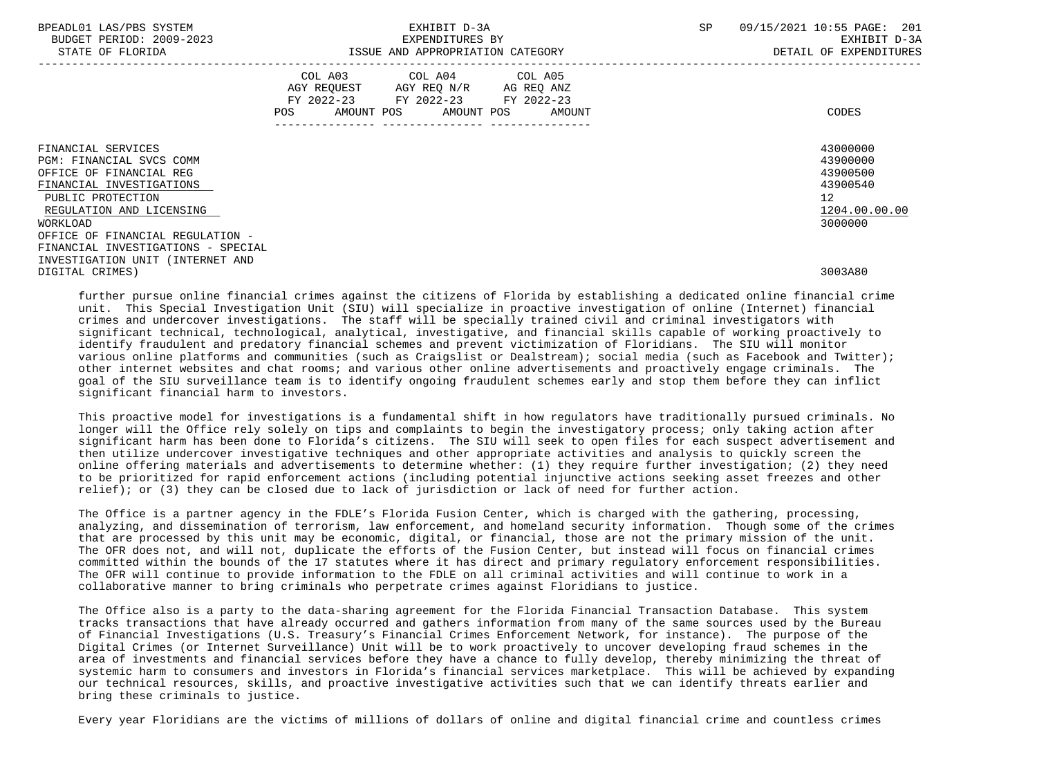| BPEADL01 LAS/PBS SYSTEM |                           |                          |
|-------------------------|---------------------------|--------------------------|
|                         |                           | BUDGET PERIOD: 2009-2023 |
|                         | $CDMMD$ $CD$ $DT$ $CDTDA$ |                          |

|                                    | COL A03<br>AGY REOUEST | COL A04<br>AGY REO N/R | COL A05<br>AG REQ ANZ |               |
|------------------------------------|------------------------|------------------------|-----------------------|---------------|
|                                    | FY 2022-23             | FY 2022-23             | FY 2022-23            |               |
|                                    | AMOUNT POS<br>POS      | AMOUNT POS             | AMOUNT                | CODES         |
|                                    |                        |                        |                       |               |
| FINANCIAL SERVICES                 |                        |                        |                       | 43000000      |
| PGM: FINANCIAL SVCS COMM           |                        |                        |                       | 43900000      |
| OFFICE OF FINANCIAL REG            |                        |                        |                       | 43900500      |
| FINANCIAL INVESTIGATIONS           |                        |                        |                       | 43900540      |
| PUBLIC PROTECTION                  |                        |                        |                       | 12            |
| REGULATION AND LICENSING           |                        |                        |                       | 1204.00.00.00 |
| WORKLOAD                           |                        |                        |                       | 3000000       |
| OFFICE OF FINANCIAL REGULATION -   |                        |                        |                       |               |
| FINANCIAL INVESTIGATIONS - SPECIAL |                        |                        |                       |               |
| INVESTIGATION UNIT (INTERNET AND   |                        |                        |                       |               |
| DIGITAL CRIMES)                    |                        |                        |                       | 3003A80       |

 further pursue online financial crimes against the citizens of Florida by establishing a dedicated online financial crime unit. This Special Investigation Unit (SIU) will specialize in proactive investigation of online (Internet) financial crimes and undercover investigations. The staff will be specially trained civil and criminal investigators with significant technical, technological, analytical, investigative, and financial skills capable of working proactively to identify fraudulent and predatory financial schemes and prevent victimization of Floridians. The SIU will monitor various online platforms and communities (such as Craigslist or Dealstream); social media (such as Facebook and Twitter); other internet websites and chat rooms; and various other online advertisements and proactively engage criminals. The goal of the SIU surveillance team is to identify ongoing fraudulent schemes early and stop them before they can inflict significant financial harm to investors.

 This proactive model for investigations is a fundamental shift in how regulators have traditionally pursued criminals. No longer will the Office rely solely on tips and complaints to begin the investigatory process; only taking action after significant harm has been done to Florida's citizens. The SIU will seek to open files for each suspect advertisement and then utilize undercover investigative techniques and other appropriate activities and analysis to quickly screen the online offering materials and advertisements to determine whether: (1) they require further investigation; (2) they need to be prioritized for rapid enforcement actions (including potential injunctive actions seeking asset freezes and other relief); or (3) they can be closed due to lack of jurisdiction or lack of need for further action.

 The Office is a partner agency in the FDLE's Florida Fusion Center, which is charged with the gathering, processing, analyzing, and dissemination of terrorism, law enforcement, and homeland security information. Though some of the crimes that are processed by this unit may be economic, digital, or financial, those are not the primary mission of the unit. The OFR does not, and will not, duplicate the efforts of the Fusion Center, but instead will focus on financial crimes committed within the bounds of the 17 statutes where it has direct and primary regulatory enforcement responsibilities. The OFR will continue to provide information to the FDLE on all criminal activities and will continue to work in a collaborative manner to bring criminals who perpetrate crimes against Floridians to justice.

 The Office also is a party to the data-sharing agreement for the Florida Financial Transaction Database. This system tracks transactions that have already occurred and gathers information from many of the same sources used by the Bureau of Financial Investigations (U.S. Treasury's Financial Crimes Enforcement Network, for instance). The purpose of the Digital Crimes (or Internet Surveillance) Unit will be to work proactively to uncover developing fraud schemes in the area of investments and financial services before they have a chance to fully develop, thereby minimizing the threat of systemic harm to consumers and investors in Florida's financial services marketplace. This will be achieved by expanding our technical resources, skills, and proactive investigative activities such that we can identify threats earlier and bring these criminals to justice.

Every year Floridians are the victims of millions of dollars of online and digital financial crime and countless crimes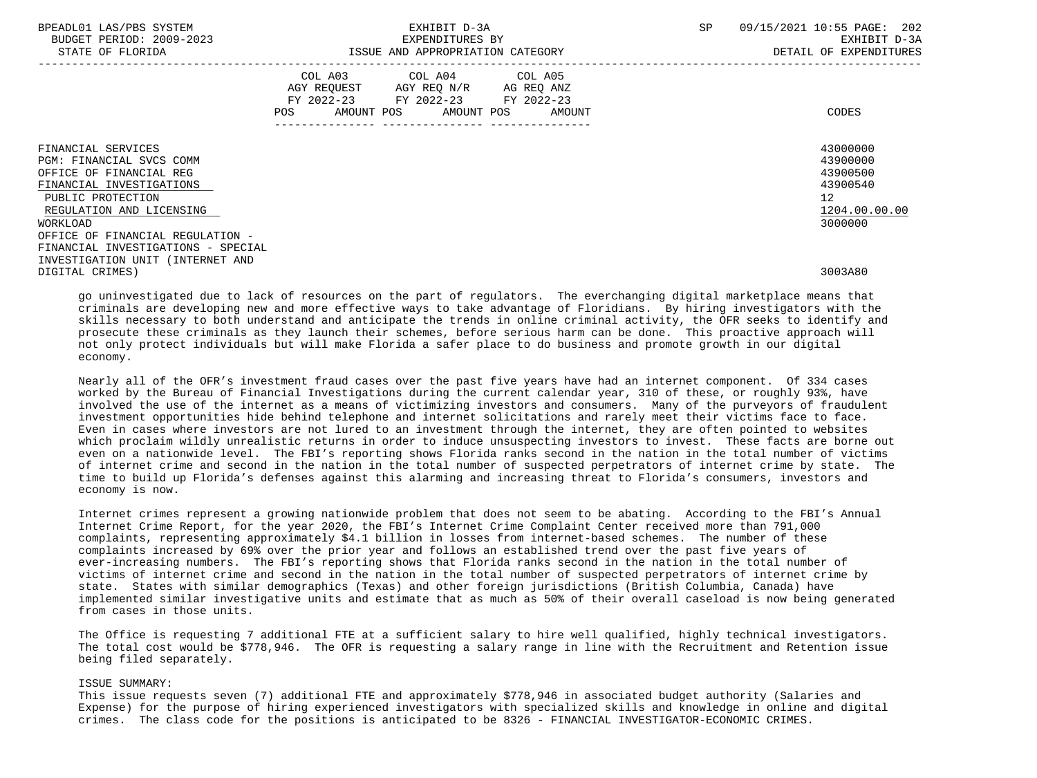| BPEADL01 LAS/PBS SYSTEM<br>BUDGET PERIOD: 2009-2023<br>STATE OF FLORIDA                                    | EXHIBIT D-3A<br>EXPENDITURES BY<br>ISSUE AND APPROPRIATION CATEGORY |  |                                                                                                                                   |  | SP | 09/15/2021 10:55 PAGE: 202<br>EXHIBIT D-3A<br>DETAIL OF EXPENDITURES |
|------------------------------------------------------------------------------------------------------------|---------------------------------------------------------------------|--|-----------------------------------------------------------------------------------------------------------------------------------|--|----|----------------------------------------------------------------------|
|                                                                                                            | <b>POS</b>                                                          |  | COL A03 COL A04 COL A05<br>AGY REQUEST AGY REQ N/R AG REQ ANZ<br>FY 2022-23 FY 2022-23 FY 2022-23<br>AMOUNT POS AMOUNT POS AMOUNT |  |    | CODES                                                                |
| FINANCIAL SERVICES<br>PGM: FINANCIAL SVCS COMM<br>OFFICE OF FINANCIAL REG                                  |                                                                     |  |                                                                                                                                   |  |    | 43000000<br>43900000<br>43900500                                     |
| FINANCIAL INVESTIGATIONS<br>PUBLIC PROTECTION<br>REGULATION AND LICENSING<br>WORKLOAD                      |                                                                     |  |                                                                                                                                   |  |    | 43900540<br>12 <sup>°</sup><br>1204.00.00.00<br>3000000              |
| OFFICE OF FINANCIAL REGULATION -<br>FINANCIAL INVESTIGATIONS - SPECIAL<br>INVESTIGATION UNIT (INTERNET AND |                                                                     |  |                                                                                                                                   |  |    |                                                                      |

DIGITAL CRIMES) 3003A80

 go uninvestigated due to lack of resources on the part of regulators. The everchanging digital marketplace means that criminals are developing new and more effective ways to take advantage of Floridians. By hiring investigators with the skills necessary to both understand and anticipate the trends in online criminal activity, the OFR seeks to identify and prosecute these criminals as they launch their schemes, before serious harm can be done. This proactive approach will not only protect individuals but will make Florida a safer place to do business and promote growth in our digital economy.

 Nearly all of the OFR's investment fraud cases over the past five years have had an internet component. Of 334 cases worked by the Bureau of Financial Investigations during the current calendar year, 310 of these, or roughly 93%, have involved the use of the internet as a means of victimizing investors and consumers. Many of the purveyors of fraudulent investment opportunities hide behind telephone and internet solicitations and rarely meet their victims face to face. Even in cases where investors are not lured to an investment through the internet, they are often pointed to websites which proclaim wildly unrealistic returns in order to induce unsuspecting investors to invest. These facts are borne out even on a nationwide level. The FBI's reporting shows Florida ranks second in the nation in the total number of victims of internet crime and second in the nation in the total number of suspected perpetrators of internet crime by state. The time to build up Florida's defenses against this alarming and increasing threat to Florida's consumers, investors and economy is now.

 Internet crimes represent a growing nationwide problem that does not seem to be abating. According to the FBI's Annual Internet Crime Report, for the year 2020, the FBI's Internet Crime Complaint Center received more than 791,000 complaints, representing approximately \$4.1 billion in losses from internet-based schemes. The number of these complaints increased by 69% over the prior year and follows an established trend over the past five years of ever-increasing numbers. The FBI's reporting shows that Florida ranks second in the nation in the total number of victims of internet crime and second in the nation in the total number of suspected perpetrators of internet crime by state. States with similar demographics (Texas) and other foreign jurisdictions (British Columbia, Canada) have implemented similar investigative units and estimate that as much as 50% of their overall caseload is now being generated from cases in those units.

 The Office is requesting 7 additional FTE at a sufficient salary to hire well qualified, highly technical investigators. The total cost would be \$778,946. The OFR is requesting a salary range in line with the Recruitment and Retention issue being filed separately.

## ISSUE SUMMARY:

 This issue requests seven (7) additional FTE and approximately \$778,946 in associated budget authority (Salaries and Expense) for the purpose of hiring experienced investigators with specialized skills and knowledge in online and digital crimes. The class code for the positions is anticipated to be 8326 - FINANCIAL INVESTIGATOR-ECONOMIC CRIMES.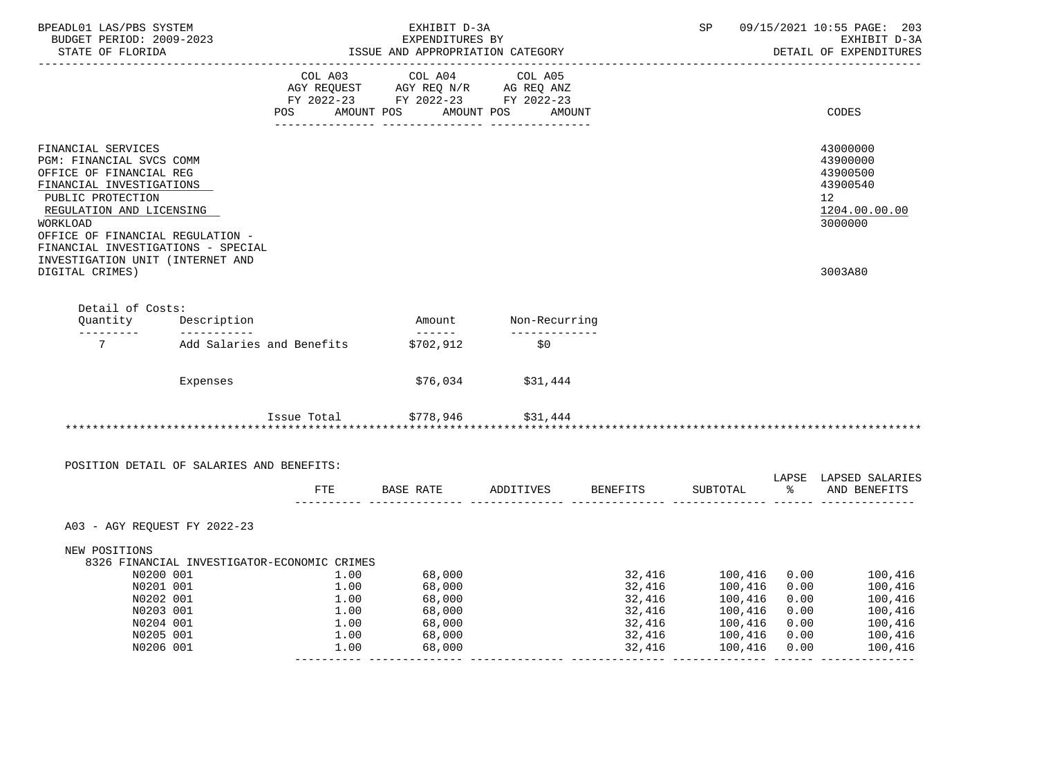| BPEADL01 LAS/PBS SYSTEM<br>BUDGET PERIOD: 2009-2023<br>STATE OF FLORIDA                                                                                                                                                                                                          |                                                          | EXHIBIT D-3A<br>EXPENDITURES BY<br>ISSUE AND APPROPRIATION CATEGORY |                                                                                                                                                                                                                                                     |                 |        | SP                                                                                                                                                                                                                                                                       | 09/15/2021 10:55 PAGE: 203<br>EXHIBIT D-3A<br>DETAIL OF EXPENDITURES           |
|----------------------------------------------------------------------------------------------------------------------------------------------------------------------------------------------------------------------------------------------------------------------------------|----------------------------------------------------------|---------------------------------------------------------------------|-----------------------------------------------------------------------------------------------------------------------------------------------------------------------------------------------------------------------------------------------------|-----------------|--------|--------------------------------------------------------------------------------------------------------------------------------------------------------------------------------------------------------------------------------------------------------------------------|--------------------------------------------------------------------------------|
|                                                                                                                                                                                                                                                                                  |                                                          | POS                                                                 | $\begin{tabular}{lllllllll} COL & A03 & \multicolumn{2}{l}COL & A04 & \multicolumn{2}{l}COL & A05 \\ AGY REQUEST & AGY REQ N/R & \multicolumn{2}{l}AG REQ ANZ \\ \end{tabular}$<br>FY 2022-23 FY 2022-23 FY 2022-23<br>AMOUNT POS AMOUNT POS AMOUNT |                 |        |                                                                                                                                                                                                                                                                          | CODES                                                                          |
| FINANCIAL SERVICES<br>PGM: FINANCIAL SVCS COMM<br>OFFICE OF FINANCIAL REG<br>FINANCIAL INVESTIGATIONS<br>PUBLIC PROTECTION<br>REGULATION AND LICENSING<br>WORKLOAD<br>OFFICE OF FINANCIAL REGULATION -<br>FINANCIAL INVESTIGATIONS - SPECIAL<br>INVESTIGATION UNIT (INTERNET AND |                                                          |                                                                     |                                                                                                                                                                                                                                                     |                 |        |                                                                                                                                                                                                                                                                          | 43000000<br>43900000<br>43900500<br>43900540<br>12<br>1204.00.00.00<br>3000000 |
| DIGITAL CRIMES)                                                                                                                                                                                                                                                                  |                                                          |                                                                     |                                                                                                                                                                                                                                                     |                 |        |                                                                                                                                                                                                                                                                          | 3003A80                                                                        |
| Detail of Costs:<br>----------                                                                                                                                                                                                                                                   | Quantity Description<br>_____________                    |                                                                     | Amount Non-Recurring<br>________                                                                                                                                                                                                                    | _______________ |        |                                                                                                                                                                                                                                                                          |                                                                                |
| $7\overline{}$                                                                                                                                                                                                                                                                   |                                                          |                                                                     | Add Salaries and Benefits \$702,912                                                                                                                                                                                                                 | \$0             |        |                                                                                                                                                                                                                                                                          |                                                                                |
|                                                                                                                                                                                                                                                                                  | Expenses                                                 |                                                                     | \$76,034                                                                                                                                                                                                                                            | \$31,444        |        |                                                                                                                                                                                                                                                                          |                                                                                |
|                                                                                                                                                                                                                                                                                  |                                                          |                                                                     | Issue Total \$778,946 \$31,444                                                                                                                                                                                                                      |                 |        |                                                                                                                                                                                                                                                                          |                                                                                |
|                                                                                                                                                                                                                                                                                  | POSITION DETAIL OF SALARIES AND BENEFITS:                |                                                                     |                                                                                                                                                                                                                                                     |                 |        |                                                                                                                                                                                                                                                                          | LAPSE LAPSED SALARIES                                                          |
|                                                                                                                                                                                                                                                                                  |                                                          |                                                                     | FTE BASE RATE ADDITIVES BENEFITS                                                                                                                                                                                                                    |                 |        |                                                                                                                                                                                                                                                                          | SUBTOTAL % AND BENEFITS                                                        |
|                                                                                                                                                                                                                                                                                  | A03 - AGY REQUEST FY 2022-23                             |                                                                     |                                                                                                                                                                                                                                                     |                 |        |                                                                                                                                                                                                                                                                          |                                                                                |
| NEW POSITIONS                                                                                                                                                                                                                                                                    | 8326 FINANCIAL INVESTIGATOR-ECONOMIC CRIMES<br>N0200 001 | 1.00                                                                | 68,000                                                                                                                                                                                                                                              |                 |        | 32,416    100,416    0.00                                                                                                                                                                                                                                                | 100,416                                                                        |
|                                                                                                                                                                                                                                                                                  | N0201 001                                                |                                                                     | $1.00$ $68,000$<br>$1.00$ $68,000$                                                                                                                                                                                                                  |                 |        | $32,416$<br>$32,416$<br>$32,416$<br>$32,416$<br>$32,416$<br>$32,416$<br>$32,416$<br>$32,416$<br>$32,416$<br>$32,416$<br>$32,416$<br>$32,416$<br>$32,416$<br>$32,416$<br>$32,416$<br>$32,416$<br>$32,416$<br>$32,416$<br>$32,416$<br>$32,416$<br>$32,416$<br>$32,416$<br> | 100,416                                                                        |
|                                                                                                                                                                                                                                                                                  | N0202 001<br>N0203 001                                   | 1.00                                                                | 68,000                                                                                                                                                                                                                                              |                 |        |                                                                                                                                                                                                                                                                          | 100,416                                                                        |
|                                                                                                                                                                                                                                                                                  | N0204 001                                                | 1.00                                                                | 68,000                                                                                                                                                                                                                                              |                 |        |                                                                                                                                                                                                                                                                          | 100,416<br>100,416                                                             |
|                                                                                                                                                                                                                                                                                  | N0205 001                                                | 1.00                                                                | 68,000                                                                                                                                                                                                                                              |                 |        |                                                                                                                                                                                                                                                                          | 100,416                                                                        |
|                                                                                                                                                                                                                                                                                  | N0206 001                                                | 1.00                                                                | 68,000                                                                                                                                                                                                                                              |                 | 32,416 | 100,416 0.00                                                                                                                                                                                                                                                             | 100,416                                                                        |
|                                                                                                                                                                                                                                                                                  |                                                          |                                                                     |                                                                                                                                                                                                                                                     |                 |        |                                                                                                                                                                                                                                                                          |                                                                                |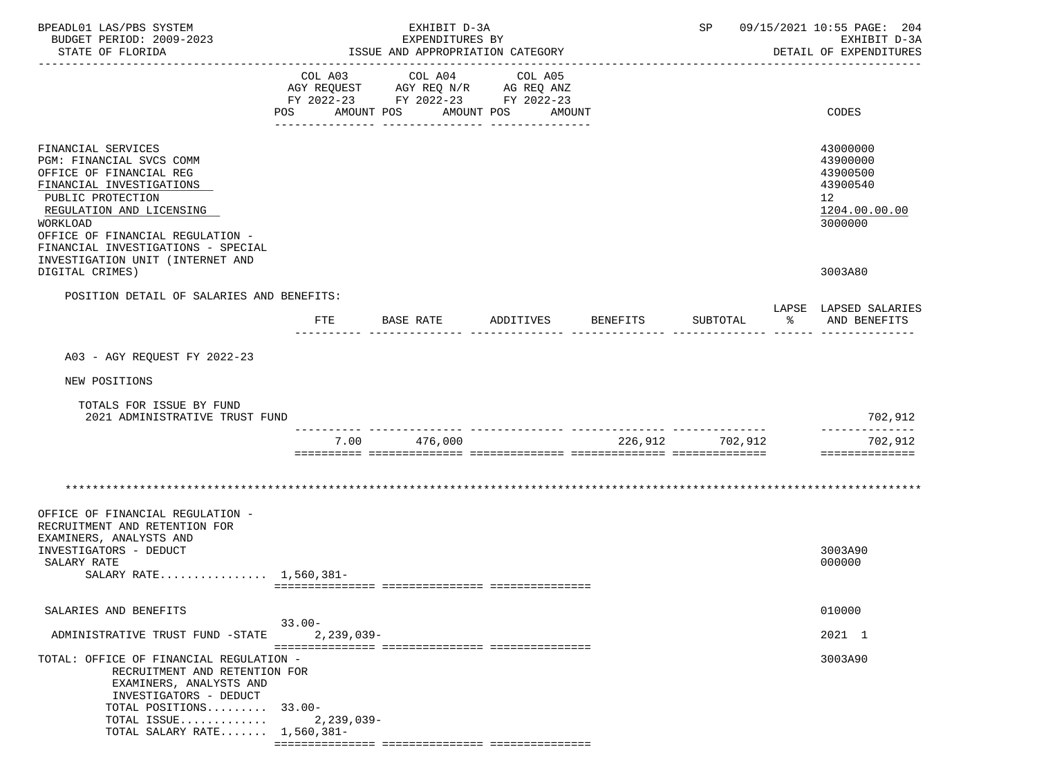| BPEADL01 LAS/PBS SYSTEM<br>BUDGET PERIOD: 2009-2023<br>STATE OF FLORIDA                                                                                                                                                                      |                              | EXHIBIT D-3A<br>EXPENDITURES BY<br>ISSUE AND APPROPRIATION CATEGORY               |                              |          | SP                                                                                                              | 09/15/2021 10:55 PAGE: 204<br>EXHIBIT D-3A<br>DETAIL OF EXPENDITURES           |
|----------------------------------------------------------------------------------------------------------------------------------------------------------------------------------------------------------------------------------------------|------------------------------|-----------------------------------------------------------------------------------|------------------------------|----------|-----------------------------------------------------------------------------------------------------------------|--------------------------------------------------------------------------------|
|                                                                                                                                                                                                                                              | COL A03<br>AMOUNT POS<br>POS | COL A04<br>AGY REQUEST AGY REQ N/R AG REQ ANZ<br>FY 2022-23 FY 2022-23 FY 2022-23 | COL A05<br>AMOUNT POS AMOUNT |          |                                                                                                                 | CODES                                                                          |
| FINANCIAL SERVICES<br>PGM: FINANCIAL SVCS COMM<br>OFFICE OF FINANCIAL REG<br>FINANCIAL INVESTIGATIONS<br>PUBLIC PROTECTION<br>REGULATION AND LICENSING<br>WORKLOAD<br>OFFICE OF FINANCIAL REGULATION -<br>FINANCIAL INVESTIGATIONS - SPECIAL |                              |                                                                                   |                              |          |                                                                                                                 | 43000000<br>43900000<br>43900500<br>43900540<br>12<br>1204.00.00.00<br>3000000 |
| INVESTIGATION UNIT (INTERNET AND<br>DIGITAL CRIMES)                                                                                                                                                                                          |                              |                                                                                   |                              |          |                                                                                                                 | 3003A80                                                                        |
| POSITION DETAIL OF SALARIES AND BENEFITS:                                                                                                                                                                                                    |                              |                                                                                   |                              |          |                                                                                                                 | LAPSE LAPSED SALARIES                                                          |
|                                                                                                                                                                                                                                              | FTE                          | BASE RATE                                                                         | ADDITIVES                    | BENEFITS | SUBTOTAL<br>ာ အောက် အောက် အောက် အောက် အောက် အောက် အောက် အောက် အောက် အောက် အောက် အောက် အောက် အောက် အောက် အောက် အ | AND BENEFITS                                                                   |
| A03 - AGY REQUEST FY 2022-23                                                                                                                                                                                                                 |                              |                                                                                   |                              |          |                                                                                                                 |                                                                                |
| NEW POSITIONS                                                                                                                                                                                                                                |                              |                                                                                   |                              |          |                                                                                                                 |                                                                                |
| TOTALS FOR ISSUE BY FUND<br>2021 ADMINISTRATIVE TRUST FUND                                                                                                                                                                                   |                              |                                                                                   |                              |          |                                                                                                                 | 702,912                                                                        |
|                                                                                                                                                                                                                                              |                              | 7.00 476,000                                                                      |                              |          | 226,912 702,912                                                                                                 | --------------<br>702,912                                                      |
|                                                                                                                                                                                                                                              |                              |                                                                                   |                              |          |                                                                                                                 | ==============                                                                 |
|                                                                                                                                                                                                                                              |                              |                                                                                   |                              |          |                                                                                                                 |                                                                                |
| OFFICE OF FINANCIAL REGULATION -<br>RECRUITMENT AND RETENTION FOR<br>EXAMINERS, ANALYSTS AND                                                                                                                                                 |                              |                                                                                   |                              |          |                                                                                                                 |                                                                                |
| INVESTIGATORS - DEDUCT<br>SALARY RATE                                                                                                                                                                                                        |                              |                                                                                   |                              |          |                                                                                                                 | 3003A90<br>000000                                                              |
| SALARY RATE 1,560,381-                                                                                                                                                                                                                       |                              |                                                                                   |                              |          |                                                                                                                 |                                                                                |
| SALARIES AND BENEFITS                                                                                                                                                                                                                        |                              |                                                                                   |                              |          |                                                                                                                 | 010000                                                                         |
| ADMINISTRATIVE TRUST FUND -STATE                                                                                                                                                                                                             | $33.00 -$<br>$2,239,039-$    |                                                                                   |                              |          |                                                                                                                 | 2021 1                                                                         |
| TOTAL: OFFICE OF FINANCIAL REGULATION -<br>RECRUITMENT AND RETENTION FOR<br>EXAMINERS, ANALYSTS AND                                                                                                                                          |                              |                                                                                   |                              |          |                                                                                                                 | 3003A90                                                                        |
| INVESTIGATORS - DEDUCT<br>TOTAL POSITIONS 33.00-<br>TOTAL ISSUE<br>TOTAL SALARY RATE 1,560,381-                                                                                                                                              | 2,239,039-                   |                                                                                   |                              |          |                                                                                                                 |                                                                                |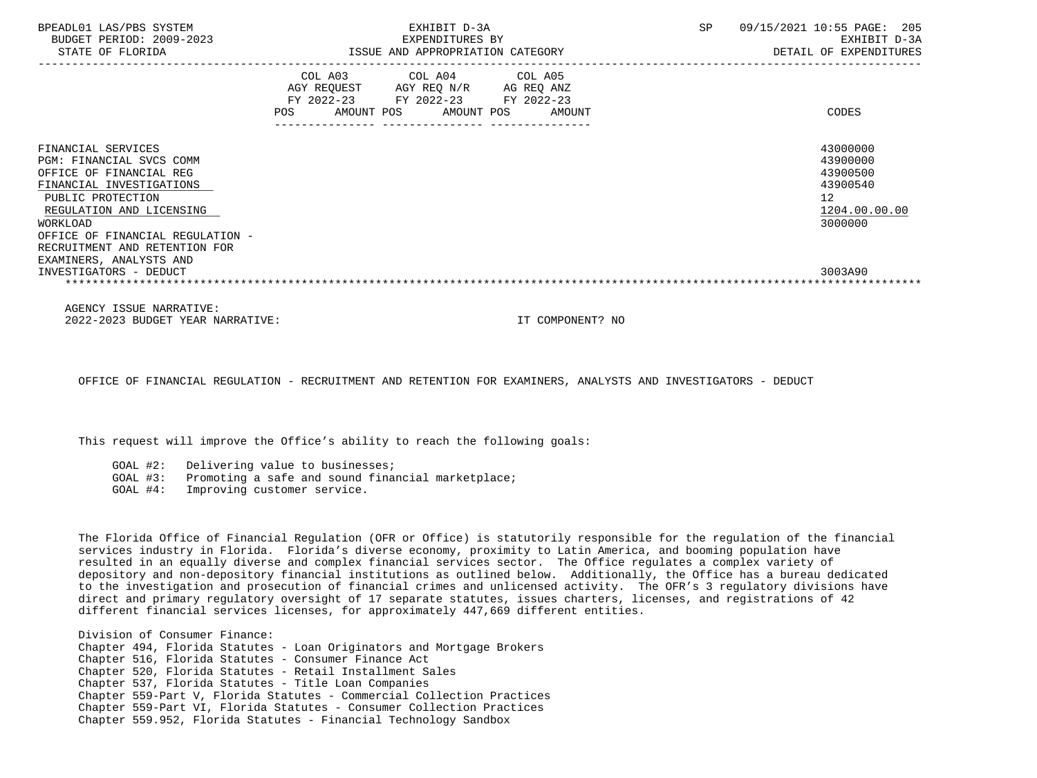| BPEADL01 LAS/PBS SYSTEM<br>BUDGET PERIOD: 2009-2023<br>STATE OF FLORIDA                                                                                                                                                                                                                      | EXHIBIT D-3A<br>EXPENDITURES BY<br>ISSUE AND APPROPRIATION CATEGORY                                                                                               | SP<br>09/15/2021 10:55 PAGE: 205<br>EXHIBIT D-3A<br>DETAIL OF EXPENDITURES                             |
|----------------------------------------------------------------------------------------------------------------------------------------------------------------------------------------------------------------------------------------------------------------------------------------------|-------------------------------------------------------------------------------------------------------------------------------------------------------------------|--------------------------------------------------------------------------------------------------------|
|                                                                                                                                                                                                                                                                                              | COL A03 COL A04 COL A05<br>AGY REQUEST AGY REQ N/R AG REQ ANZ<br>FY 2022-23 FY 2022-23 FY 2022-23<br>AMOUNT POS AMOUNT POS<br>POS<br>AMOUNT<br>--- -------------- | CODES                                                                                                  |
| FINANCIAL SERVICES<br>PGM: FINANCIAL SVCS COMM<br>OFFICE OF FINANCIAL REG<br>FINANCIAL INVESTIGATIONS<br>PUBLIC PROTECTION<br>REGULATION AND LICENSING<br>WORKLOAD<br>OFFICE OF FINANCIAL REGULATION -<br>RECRUITMENT AND RETENTION FOR<br>EXAMINERS, ANALYSTS AND<br>INVESTIGATORS - DEDUCT |                                                                                                                                                                   | 43000000<br>43900000<br>43900500<br>43900540<br>12 <sup>°</sup><br>1204.00.00.00<br>3000000<br>3003A90 |

 AGENCY ISSUE NARRATIVE: 2022-2023 BUDGET YEAR NARRATIVE: IT COMPONENT? NO

OFFICE OF FINANCIAL REGULATION - RECRUITMENT AND RETENTION FOR EXAMINERS, ANALYSTS AND INVESTIGATORS - DEDUCT

This request will improve the Office's ability to reach the following goals:

GOAL #2: Delivering value to businesses;

GOAL #3: Promoting a safe and sound financial marketplace;

GOAL #4: Improving customer service.

 The Florida Office of Financial Regulation (OFR or Office) is statutorily responsible for the regulation of the financial services industry in Florida. Florida's diverse economy, proximity to Latin America, and booming population have resulted in an equally diverse and complex financial services sector. The Office regulates a complex variety of depository and non-depository financial institutions as outlined below. Additionally, the Office has a bureau dedicated to the investigation and prosecution of financial crimes and unlicensed activity. The OFR's 3 regulatory divisions have direct and primary regulatory oversight of 17 separate statutes, issues charters, licenses, and registrations of 42 different financial services licenses, for approximately 447,669 different entities.

 Division of Consumer Finance: Chapter 494, Florida Statutes - Loan Originators and Mortgage Brokers Chapter 516, Florida Statutes - Consumer Finance Act Chapter 520, Florida Statutes - Retail Installment Sales Chapter 537, Florida Statutes - Title Loan Companies Chapter 559-Part V, Florida Statutes - Commercial Collection Practices Chapter 559-Part VI, Florida Statutes - Consumer Collection Practices Chapter 559.952, Florida Statutes - Financial Technology Sandbox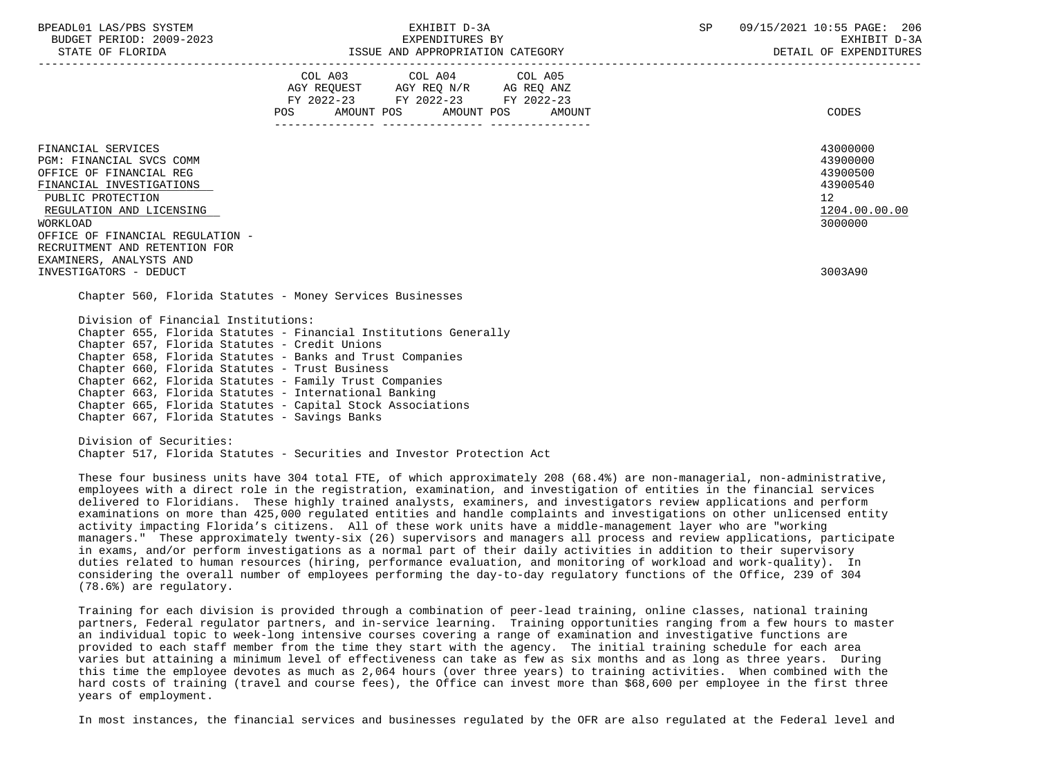| DIAIL OF FIORIDA                                                                                                                                                                                                                                                   | TOOD AND AFFROFRIATION CAILGORI                                                                                                                    | DEIAIU OF EAFENDIIORES |
|--------------------------------------------------------------------------------------------------------------------------------------------------------------------------------------------------------------------------------------------------------------------|----------------------------------------------------------------------------------------------------------------------------------------------------|------------------------|
|                                                                                                                                                                                                                                                                    | COL A03 COL A04 COL A05<br>AGY REQUEST AGY REQ N/R AG REQ ANZ<br>FY 2022-23 FY 2022-23 FY 2022-23<br>AMOUNT POS AMOUNT POS<br><b>POS</b><br>AMOUNT | CODES                  |
| FINANCIAL SERVICES<br>PGM: FINANCIAL SVCS COMM<br>OFFICE OF FINANCIAL REG<br>FINANCIAL INVESTIGATIONS<br>PUBLIC PROTECTION<br>REGULATION AND LICENSING<br>WORKLOAD<br>OFFICE OF FINANCIAL REGULATION -<br>RECRUITMENT AND RETENTION FOR<br>EXAMINERS, ANALYSTS AND | 43000000<br>43900000<br>43900500<br>43900540<br>12 <sup>°</sup><br>1204.00.00.00<br>3000000                                                        |                        |
| INVESTIGATORS - DEDUCT                                                                                                                                                                                                                                             |                                                                                                                                                    | 3003A90                |
|                                                                                                                                                                                                                                                                    | Chapter 560, Florida Statutes - Money Services Businesses                                                                                          |                        |
| Division of Financial Institutions:<br>Chapter 657, Florida Statutes - Credit Unions<br>Chapter 660, Florida Statutes - Trust Business                                                                                                                             | Chapter 655, Florida Statutes - Financial Institutions Generally<br>Chapter 658, Florida Statutes - Banks and Trust Companies                      |                        |

Chapter 662, Florida Statutes - Family Trust Companies

Chapter 663, Florida Statutes - International Banking

Chapter 665, Florida Statutes - Capital Stock Associations

Chapter 667, Florida Statutes - Savings Banks

 Division of Securities: Chapter 517, Florida Statutes - Securities and Investor Protection Act

 These four business units have 304 total FTE, of which approximately 208 (68.4%) are non-managerial, non-administrative, employees with a direct role in the registration, examination, and investigation of entities in the financial services delivered to Floridians. These highly trained analysts, examiners, and investigators review applications and perform examinations on more than 425,000 regulated entities and handle complaints and investigations on other unlicensed entity activity impacting Florida's citizens. All of these work units have a middle-management layer who are "working managers." These approximately twenty-six (26) supervisors and managers all process and review applications, participate in exams, and/or perform investigations as a normal part of their daily activities in addition to their supervisory duties related to human resources (hiring, performance evaluation, and monitoring of workload and work-quality). In considering the overall number of employees performing the day-to-day regulatory functions of the Office, 239 of 304 (78.6%) are regulatory.

 Training for each division is provided through a combination of peer-lead training, online classes, national training partners, Federal regulator partners, and in-service learning. Training opportunities ranging from a few hours to master an individual topic to week-long intensive courses covering a range of examination and investigative functions are provided to each staff member from the time they start with the agency. The initial training schedule for each area varies but attaining a minimum level of effectiveness can take as few as six months and as long as three years. During this time the employee devotes as much as 2,064 hours (over three years) to training activities. When combined with the hard costs of training (travel and course fees), the Office can invest more than \$68,600 per employee in the first three years of employment.

In most instances, the financial services and businesses regulated by the OFR are also regulated at the Federal level and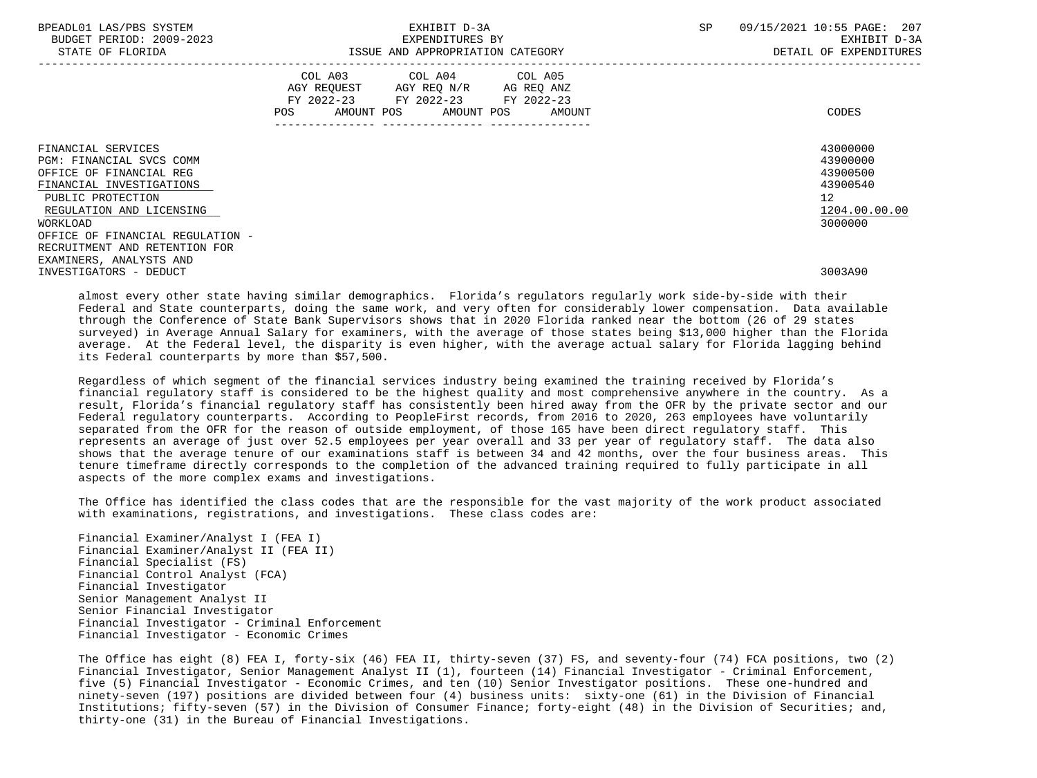| BPEADL01 LAS/PBS SYSTEM<br>BUDGET PERIOD: 2009-2023<br>STATE OF FLORIDA                                                                                | EXHIBIT D-3A<br>EXPENDITURES BY<br>ISSUE AND APPROPRIATION CATEGORY                                                                            | SP | 09/15/2021 10:55 PAGE: 207<br>EXHIBIT D-3A<br>DETAIL OF EXPENDITURES             |
|--------------------------------------------------------------------------------------------------------------------------------------------------------|------------------------------------------------------------------------------------------------------------------------------------------------|----|----------------------------------------------------------------------------------|
|                                                                                                                                                        | COL A03 COL A04 COL A05<br>AGY REOUEST<br>AGY REQ N/R AG REQ ANZ<br>FY 2022-23 FY 2022-23 FY 2022-23<br>AMOUNT POS AMOUNT POS<br>AMOUNT<br>POS |    | CODES                                                                            |
| FINANCIAL SERVICES<br>PGM: FINANCIAL SVCS COMM<br>OFFICE OF FINANCIAL REG<br>FINANCIAL INVESTIGATIONS<br>PUBLIC PROTECTION<br>REGULATION AND LICENSING |                                                                                                                                                |    | 43000000<br>43900000<br>43900500<br>43900540<br>12 <sup>°</sup><br>1204.00.00.00 |

 WORKLOAD 3000000 OFFICE OF FINANCIAL REGULATION - RECRUITMENT AND RETENTION FOR EXAMINERS, ANALYSTS AND INVESTIGATORS - DEDUCT 3003A90

 almost every other state having similar demographics. Florida's regulators regularly work side-by-side with their Federal and State counterparts, doing the same work, and very often for considerably lower compensation. Data available through the Conference of State Bank Supervisors shows that in 2020 Florida ranked near the bottom (26 of 29 states surveyed) in Average Annual Salary for examiners, with the average of those states being \$13,000 higher than the Florida average. At the Federal level, the disparity is even higher, with the average actual salary for Florida lagging behind its Federal counterparts by more than \$57,500.

 Regardless of which segment of the financial services industry being examined the training received by Florida's financial regulatory staff is considered to be the highest quality and most comprehensive anywhere in the country. As a result, Florida's financial regulatory staff has consistently been hired away from the OFR by the private sector and our Federal regulatory counterparts. According to PeopleFirst records, from 2016 to 2020, 263 employees have voluntarily separated from the OFR for the reason of outside employment, of those 165 have been direct regulatory staff. This represents an average of just over 52.5 employees per year overall and 33 per year of regulatory staff. The data also shows that the average tenure of our examinations staff is between 34 and 42 months, over the four business areas. This tenure timeframe directly corresponds to the completion of the advanced training required to fully participate in all aspects of the more complex exams and investigations.

 The Office has identified the class codes that are the responsible for the vast majority of the work product associated with examinations, registrations, and investigations. These class codes are:

 Financial Examiner/Analyst I (FEA I) Financial Examiner/Analyst II (FEA II) Financial Specialist (FS) Financial Control Analyst (FCA) Financial Investigator Senior Management Analyst II Senior Financial Investigator Financial Investigator - Criminal Enforcement Financial Investigator - Economic Crimes

 The Office has eight (8) FEA I, forty-six (46) FEA II, thirty-seven (37) FS, and seventy-four (74) FCA positions, two (2) Financial Investigator, Senior Management Analyst II (1), fourteen (14) Financial Investigator - Criminal Enforcement, five (5) Financial Investigator - Economic Crimes, and ten (10) Senior Investigator positions. These one-hundred and ninety-seven (197) positions are divided between four (4) business units: sixty-one (61) in the Division of Financial Institutions; fifty-seven (57) in the Division of Consumer Finance; forty-eight (48) in the Division of Securities; and, thirty-one (31) in the Bureau of Financial Investigations.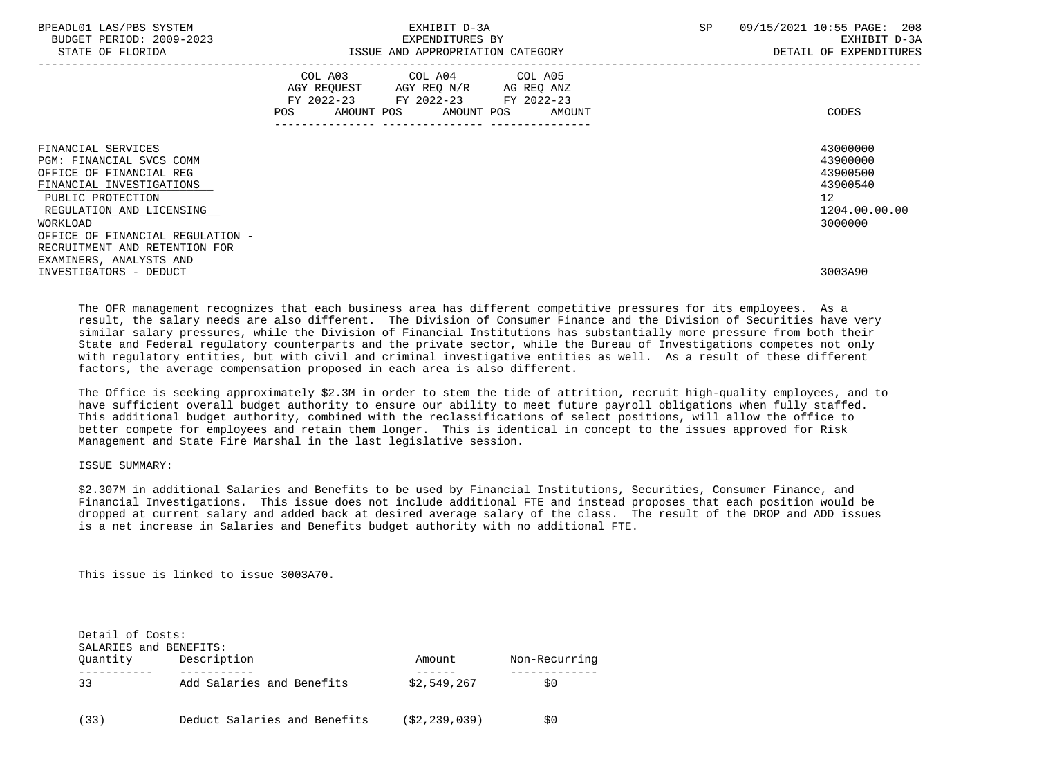| BPEADL01 LAS/PBS SYSTEM<br>BUDGET PERIOD: 2009-2023<br>STATE OF FLORIDA                                                                                            | EXHIBIT D-3A<br>EXPENDITURES BY<br>ISSUE AND APPROPRIATION CATEGORY                                                                                                                                                                                    | 09/15/2021 10:55 PAGE: 208<br>SP<br>EXHIBIT D-3A<br>DETAIL OF EXPENDITURES     |
|--------------------------------------------------------------------------------------------------------------------------------------------------------------------|--------------------------------------------------------------------------------------------------------------------------------------------------------------------------------------------------------------------------------------------------------|--------------------------------------------------------------------------------|
|                                                                                                                                                                    | COL A03 COL A04 COL A05<br>AGY REQUEST AGY REQ N/R AG REQ ANZ<br>FY 2022-23 FY 2022-23 FY 2022-23<br>AMOUNT POS AMOUNT POS<br>POS FOR THE POST OF THE STATE STATE STATE STATE STATE STATE STATE STATE STATE STATE STATE STATE STATE STATE ST<br>AMOUNT | CODES                                                                          |
| FINANCIAL SERVICES<br>PGM: FINANCIAL SVCS COMM<br>OFFICE OF FINANCIAL REG<br>FINANCIAL INVESTIGATIONS<br>PUBLIC PROTECTION<br>REGULATION AND LICENSING<br>WORKLOAD |                                                                                                                                                                                                                                                        | 43000000<br>43900000<br>43900500<br>43900540<br>12<br>1204.00.00.00<br>3000000 |
| OFFICE OF FINANCIAL REGULATION -<br>RECRUITMENT AND RETENTION FOR<br>EXAMINERS, ANALYSTS AND<br>INVESTIGATORS - DEDUCT                                             |                                                                                                                                                                                                                                                        | 3003A90                                                                        |

 The OFR management recognizes that each business area has different competitive pressures for its employees. As a result, the salary needs are also different. The Division of Consumer Finance and the Division of Securities have very similar salary pressures, while the Division of Financial Institutions has substantially more pressure from both their State and Federal regulatory counterparts and the private sector, while the Bureau of Investigations competes not only with regulatory entities, but with civil and criminal investigative entities as well. As a result of these different factors, the average compensation proposed in each area is also different.

 The Office is seeking approximately \$2.3M in order to stem the tide of attrition, recruit high-quality employees, and to have sufficient overall budget authority to ensure our ability to meet future payroll obligations when fully staffed. This additional budget authority, combined with the reclassifications of select positions, will allow the office to better compete for employees and retain them longer. This is identical in concept to the issues approved for Risk Management and State Fire Marshal in the last legislative session.

## ISSUE SUMMARY:

 \$2.307M in additional Salaries and Benefits to be used by Financial Institutions, Securities, Consumer Finance, and Financial Investigations. This issue does not include additional FTE and instead proposes that each position would be dropped at current salary and added back at desired average salary of the class. The result of the DROP and ADD issues is a net increase in Salaries and Benefits budget authority with no additional FTE.

This issue is linked to issue 3003A70.

| Detail of Costs:<br>SALARIES and BENEFITS: |                              |                |               |
|--------------------------------------------|------------------------------|----------------|---------------|
| Ouantity                                   | Description                  | Amount         | Non-Recurring |
| 33                                         | Add Salaries and Benefits    | \$2,549,267    | \$0           |
| (33)                                       | Deduct Salaries and Benefits | (S2, 239, 039) | \$0           |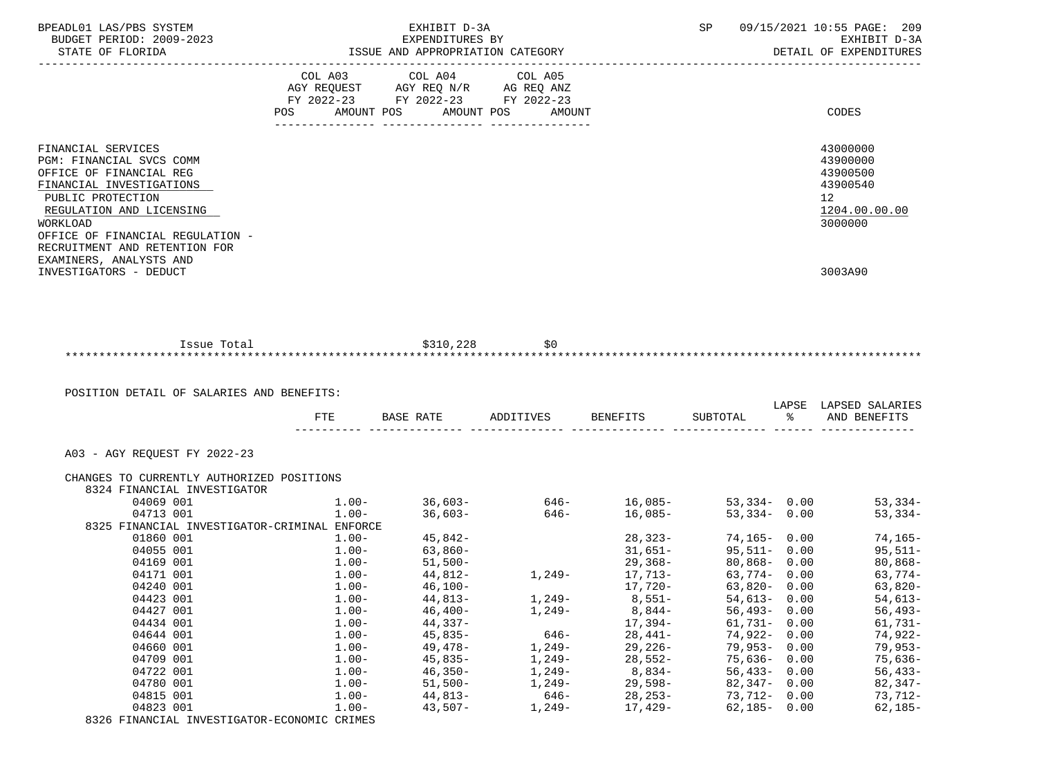| STATE OF FLORIDA                                                                                                                                                   |                                                                                                                                                                         | EXHIBIT D-3A<br>EXPENDITURES BY<br>ISSUE AND APPROPRIATION CATEGORY |                    |                                | SP and the set of the set of the set of the set of the set of the set of the set of the set of the set of the set of the set of the set of the set of the set of the set of the set of the set of the set of the set of the se |               | 09/15/2021 10:55 PAGE: 209<br>EXHIBIT D-3A<br>DETAIL OF EXPENDITURES                        |
|--------------------------------------------------------------------------------------------------------------------------------------------------------------------|-------------------------------------------------------------------------------------------------------------------------------------------------------------------------|---------------------------------------------------------------------|--------------------|--------------------------------|--------------------------------------------------------------------------------------------------------------------------------------------------------------------------------------------------------------------------------|---------------|---------------------------------------------------------------------------------------------|
|                                                                                                                                                                    | COL A03<br>$\begin{tabular}{lllllll} AGY & \texttt{REQUEST} & & \texttt{AGY} & \texttt{REG} & \texttt{N/R} & & \texttt{AG} & \texttt{REQ} & \texttt{ANZ} \end{tabular}$ | COL A04 COL A05                                                     |                    |                                |                                                                                                                                                                                                                                |               |                                                                                             |
|                                                                                                                                                                    | FY 2022-23 FY 2022-23 FY 2022-23                                                                                                                                        |                                                                     |                    |                                |                                                                                                                                                                                                                                |               |                                                                                             |
|                                                                                                                                                                    | POS                                                                                                                                                                     | AMOUNT POS AMOUNT POS                                               | AMOUNT             |                                |                                                                                                                                                                                                                                |               | CODES                                                                                       |
| FINANCIAL SERVICES<br>PGM: FINANCIAL SVCS COMM<br>OFFICE OF FINANCIAL REG<br>FINANCIAL INVESTIGATIONS<br>PUBLIC PROTECTION<br>REGULATION AND LICENSING<br>WORKLOAD |                                                                                                                                                                         |                                                                     |                    |                                |                                                                                                                                                                                                                                |               | 43000000<br>43900000<br>43900500<br>43900540<br>12 <sup>°</sup><br>1204.00.00.00<br>3000000 |
| OFFICE OF FINANCIAL REGULATION -<br>RECRUITMENT AND RETENTION FOR<br>EXAMINERS, ANALYSTS AND<br>INVESTIGATORS - DEDUCT                                             |                                                                                                                                                                         |                                                                     |                    |                                |                                                                                                                                                                                                                                |               | 3003A90                                                                                     |
| Issue Total                                                                                                                                                        |                                                                                                                                                                         | \$310,228                                                           | \$0                |                                |                                                                                                                                                                                                                                |               |                                                                                             |
| POSITION DETAIL OF SALARIES AND BENEFITS:                                                                                                                          |                                                                                                                                                                         |                                                                     |                    |                                |                                                                                                                                                                                                                                |               |                                                                                             |
|                                                                                                                                                                    | FTE                                                                                                                                                                     | BASE RATE                                                           | ADDITIVES          | BENEFITS                       | SUBTOTAL                                                                                                                                                                                                                       | $\sim$ $\sim$ | LAPSE LAPSED SALARIES<br>AND BENEFITS                                                       |
| A03 - AGY REQUEST FY 2022-23                                                                                                                                       |                                                                                                                                                                         |                                                                     |                    |                                |                                                                                                                                                                                                                                |               |                                                                                             |
| CHANGES TO CURRENTLY AUTHORIZED POSITIONS                                                                                                                          |                                                                                                                                                                         |                                                                     |                    |                                |                                                                                                                                                                                                                                |               |                                                                                             |
| 8324 FINANCIAL INVESTIGATOR                                                                                                                                        |                                                                                                                                                                         |                                                                     |                    |                                |                                                                                                                                                                                                                                |               |                                                                                             |
| 04069 001                                                                                                                                                          |                                                                                                                                                                         | $1.00 - 36,603 -$                                                   |                    | $646 - 16,085 - 53,334 - 0.00$ |                                                                                                                                                                                                                                |               | $53,334-$                                                                                   |
| 04713 001                                                                                                                                                          | $1.00 -$                                                                                                                                                                | $36.603-$                                                           | 646-               | $16.085-$                      | $53.334 - 0.00$                                                                                                                                                                                                                |               | $53,334-$                                                                                   |
| 8325 FINANCIAL INVESTIGATOR-CRIMINAL ENFORCE                                                                                                                       |                                                                                                                                                                         |                                                                     |                    |                                |                                                                                                                                                                                                                                |               |                                                                                             |
| 01860 001                                                                                                                                                          | $1.00-$                                                                                                                                                                 |                                                                     |                    | 28,323-                        | 74,165- 0.00                                                                                                                                                                                                                   |               |                                                                                             |
| 04055 001                                                                                                                                                          | $1.00-$                                                                                                                                                                 | $45,842-$<br>63,860-                                                |                    | 31,651-                        | 95,511- 0.00                                                                                                                                                                                                                   |               | 74,165–<br>95,511–                                                                          |
| 04169 001                                                                                                                                                          | $1.00-$                                                                                                                                                                 | $51,500-$                                                           |                    | 29,368-                        | 80,868-0.00                                                                                                                                                                                                                    |               | $80,868-$                                                                                   |
| 04171 001                                                                                                                                                          | $1.00-$                                                                                                                                                                 | 44,812-                                                             | 1,249-             | 17,713-                        | 63,774- 0.00                                                                                                                                                                                                                   |               | $63,774-$                                                                                   |
| 04240 001                                                                                                                                                          | $1.00 -$                                                                                                                                                                | $46,100-$                                                           |                    | 17,720-                        | $63,820 - 0.00$                                                                                                                                                                                                                |               | $63,820-$                                                                                   |
| 04423 001                                                                                                                                                          | $1.00-$                                                                                                                                                                 | $44,813-$                                                           | $1,249-$           | $8,551-$                       | $54,613 - 0.00$                                                                                                                                                                                                                |               | $54,613-$                                                                                   |
| 04427 001                                                                                                                                                          | $1.00 -$                                                                                                                                                                | $46,400-$                                                           | $1,249-$           | $8,844-$                       | $56,493 - 0.00$                                                                                                                                                                                                                |               | $56,493-$                                                                                   |
| 04434 001                                                                                                                                                          | $1.00-$                                                                                                                                                                 | 44,337-                                                             |                    | $17,394-$                      | $61,731 - 0.00$                                                                                                                                                                                                                |               | $61,731-$                                                                                   |
| 04644 001                                                                                                                                                          | $1.00 -$                                                                                                                                                                | $45,835-$                                                           | $646 -$            | $28,441-$                      | 74,922-                                                                                                                                                                                                                        | 0.00          | 74,922-                                                                                     |
| 04660 001                                                                                                                                                          | $1.00 -$                                                                                                                                                                | 49,478-                                                             | $1,249-$           | $29,226-$                      | $79,953-$                                                                                                                                                                                                                      | 0.00          | $79,953-$                                                                                   |
| 04709 001                                                                                                                                                          | $1.00-$                                                                                                                                                                 | $45,835-$                                                           | $1,249-$           | $28,552-$                      | $75,636-$                                                                                                                                                                                                                      | 0.00          | $75,636-$                                                                                   |
| 04722 001<br>04780 001                                                                                                                                             | $1.00 -$<br>$1.00-$                                                                                                                                                     | $46,350-$<br>$51,500-$                                              | 1,249-<br>$1,249-$ | $8,834-$<br>$29,598-$          | $56,433-$<br>$82,347-$                                                                                                                                                                                                         | 0.00<br>0.00  | $56,433-$<br>$82,347-$                                                                      |

 04823 001 1.00- 43,507- 1,249- 17,429- 62,185- 0.00 62,185- 8326 FINANCIAL INVESTIGATOR-ECONOMIC CRIMES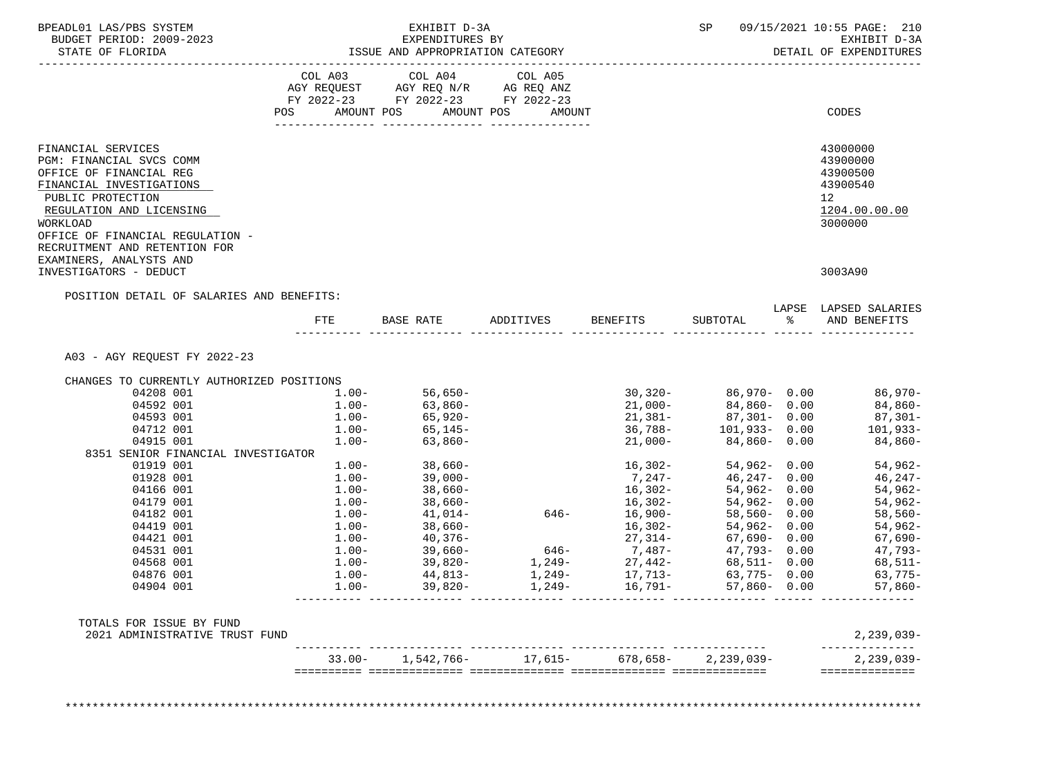| STATE OF FLORIDA<br>DETAIL OF EXPENDITURES<br>---------------------<br>COL A03 COL A04<br>COL A05<br>AGY REQUEST AGY REQ N/R AG REQ ANZ<br>FY 2022-23 FY 2022-23 FY 2022-23<br>POS AMOUNT POS AMOUNT POS AMOUNT<br>CODES<br>43000000<br>FINANCIAL SERVICES<br>PGM: FINANCIAL SVCS COMM<br>43900000<br>43900500<br>OFFICE OF FINANCIAL REG<br>FINANCIAL INVESTIGATIONS<br>43900540<br>PUBLIC PROTECTION<br>12<br>REGULATION AND LICENSING<br>1204.00.00.00<br>WORKLOAD<br>3000000<br>OFFICE OF FINANCIAL REGULATION -<br>RECRUITMENT AND RETENTION FOR<br>EXAMINERS, ANALYSTS AND<br>INVESTIGATORS - DEDUCT<br>3003A90<br>POSITION DETAIL OF SALARIES AND BENEFITS:<br>LAPSE LAPSED SALARIES<br>FTE BASE RATE ADDITIVES BENEFITS<br>SUBTOTAL % AND BENEFITS<br>A03 - AGY REQUEST FY 2022-23<br>CHANGES TO CURRENTLY AUTHORIZED POSITIONS<br>$1.00 - 56,650 -$<br>04208 001<br>04592 001<br>$1.00 -$ 63,860-<br>$1.00 -$ 65,920-<br>$21,381-$<br>$36,788-$<br>$21,000-$<br>$24,860-$<br>$21,000-$<br>$24,860-$<br>$24,860-$<br>$24,860-$<br>$24,860-$<br>04593 001<br>$1.00 - 65,145 - 1.00 - 63,860 -$<br>04712 001<br>04915 001<br>8351 SENIOR FINANCIAL INVESTIGATOR<br>$1.00 - 38,660 -$<br>$16,302 - 54,962 - 0.00$ 54,962-<br>01919 001<br>$39,000-$<br>$7,247-$<br>$46,247 - 0.00$<br>$1.00 -$<br>46,247-<br>01928 001<br>04166 001<br>$1.00 - 38,660 - 1.00 - 38,660 -$<br>16,302-                    54,962-     0.00<br>16,302-                  54,962-     0.00<br>54,962-<br>04179 001<br>54,962-<br>$646 - 16,900 - 58,560 - 0.00$<br>$1.00 - 41,014 -$<br>04182 001<br>$58,560-$<br>$1.00 - 38,660 - 1.00 - 40,376 -$<br>04419 001<br>04421 001<br>$646-$<br>$1,249-$<br>$1,249-$<br>$1,249-$<br>$17,713-$<br>$17,713-$<br>$17,713-$<br>$17,713-$<br>$17,713-$<br>$17,713-$<br>$17,713-$<br>$17,713-$<br>$17,713-$<br>$17,713-$<br>$17,713-$<br>$17,713-$<br>$17,713-$<br>$17,713-$<br>$17,713-$<br>$17,713-$<br>$17,713$<br>$1.00 - 39,660 - 1.00 - 39,820 -$<br>04531 001<br>04568 001<br>$1.00 - 44,813 -$<br>04876 001<br>04904 001<br>$1.00 -$<br>39,820-<br>$1,249-16,791-$<br>$57,860 - 0.00$<br>TOTALS FOR ISSUE BY FUND<br>$2,239,039-$<br>2021 ADMINISTRATIVE TRUST FUND<br>$33.00 - 1,542,766 -$<br>17,615–<br>678.658-2.239.039-<br>$2,239,039-$ | BPEADL01 LAS/PBS SYSTEM<br>BUDGET PERIOD: 2009-2023 | EXHIBIT D-3A |  | <b>SP</b> | 09/15/2021 10:55 PAGE: 210<br>EXHIBIT D-3A |
|---------------------------------------------------------------------------------------------------------------------------------------------------------------------------------------------------------------------------------------------------------------------------------------------------------------------------------------------------------------------------------------------------------------------------------------------------------------------------------------------------------------------------------------------------------------------------------------------------------------------------------------------------------------------------------------------------------------------------------------------------------------------------------------------------------------------------------------------------------------------------------------------------------------------------------------------------------------------------------------------------------------------------------------------------------------------------------------------------------------------------------------------------------------------------------------------------------------------------------------------------------------------------------------------------------------------------------------------------------------------------------------------------------------------------------------------------------------------------------------------------------------------------------------------------------------------------------------------------------------------------------------------------------------------------------------------------------------------------------------------------------------------------------------------------------------------------------------------------------------------------------------------------------------------------------------------------------------------------------------------------------------------------------------------------------------------------------------------------------------------------------------------------------------------------------------------------------------------------------------------------------------------------|-----------------------------------------------------|--------------|--|-----------|--------------------------------------------|
|                                                                                                                                                                                                                                                                                                                                                                                                                                                                                                                                                                                                                                                                                                                                                                                                                                                                                                                                                                                                                                                                                                                                                                                                                                                                                                                                                                                                                                                                                                                                                                                                                                                                                                                                                                                                                                                                                                                                                                                                                                                                                                                                                                                                                                                                           |                                                     |              |  |           |                                            |
|                                                                                                                                                                                                                                                                                                                                                                                                                                                                                                                                                                                                                                                                                                                                                                                                                                                                                                                                                                                                                                                                                                                                                                                                                                                                                                                                                                                                                                                                                                                                                                                                                                                                                                                                                                                                                                                                                                                                                                                                                                                                                                                                                                                                                                                                           |                                                     |              |  |           |                                            |
|                                                                                                                                                                                                                                                                                                                                                                                                                                                                                                                                                                                                                                                                                                                                                                                                                                                                                                                                                                                                                                                                                                                                                                                                                                                                                                                                                                                                                                                                                                                                                                                                                                                                                                                                                                                                                                                                                                                                                                                                                                                                                                                                                                                                                                                                           |                                                     |              |  |           |                                            |
|                                                                                                                                                                                                                                                                                                                                                                                                                                                                                                                                                                                                                                                                                                                                                                                                                                                                                                                                                                                                                                                                                                                                                                                                                                                                                                                                                                                                                                                                                                                                                                                                                                                                                                                                                                                                                                                                                                                                                                                                                                                                                                                                                                                                                                                                           |                                                     |              |  |           |                                            |
|                                                                                                                                                                                                                                                                                                                                                                                                                                                                                                                                                                                                                                                                                                                                                                                                                                                                                                                                                                                                                                                                                                                                                                                                                                                                                                                                                                                                                                                                                                                                                                                                                                                                                                                                                                                                                                                                                                                                                                                                                                                                                                                                                                                                                                                                           |                                                     |              |  |           |                                            |
|                                                                                                                                                                                                                                                                                                                                                                                                                                                                                                                                                                                                                                                                                                                                                                                                                                                                                                                                                                                                                                                                                                                                                                                                                                                                                                                                                                                                                                                                                                                                                                                                                                                                                                                                                                                                                                                                                                                                                                                                                                                                                                                                                                                                                                                                           |                                                     |              |  |           |                                            |
|                                                                                                                                                                                                                                                                                                                                                                                                                                                                                                                                                                                                                                                                                                                                                                                                                                                                                                                                                                                                                                                                                                                                                                                                                                                                                                                                                                                                                                                                                                                                                                                                                                                                                                                                                                                                                                                                                                                                                                                                                                                                                                                                                                                                                                                                           |                                                     |              |  |           |                                            |
|                                                                                                                                                                                                                                                                                                                                                                                                                                                                                                                                                                                                                                                                                                                                                                                                                                                                                                                                                                                                                                                                                                                                                                                                                                                                                                                                                                                                                                                                                                                                                                                                                                                                                                                                                                                                                                                                                                                                                                                                                                                                                                                                                                                                                                                                           |                                                     |              |  |           |                                            |
|                                                                                                                                                                                                                                                                                                                                                                                                                                                                                                                                                                                                                                                                                                                                                                                                                                                                                                                                                                                                                                                                                                                                                                                                                                                                                                                                                                                                                                                                                                                                                                                                                                                                                                                                                                                                                                                                                                                                                                                                                                                                                                                                                                                                                                                                           |                                                     |              |  |           |                                            |
|                                                                                                                                                                                                                                                                                                                                                                                                                                                                                                                                                                                                                                                                                                                                                                                                                                                                                                                                                                                                                                                                                                                                                                                                                                                                                                                                                                                                                                                                                                                                                                                                                                                                                                                                                                                                                                                                                                                                                                                                                                                                                                                                                                                                                                                                           |                                                     |              |  |           |                                            |
|                                                                                                                                                                                                                                                                                                                                                                                                                                                                                                                                                                                                                                                                                                                                                                                                                                                                                                                                                                                                                                                                                                                                                                                                                                                                                                                                                                                                                                                                                                                                                                                                                                                                                                                                                                                                                                                                                                                                                                                                                                                                                                                                                                                                                                                                           |                                                     |              |  |           |                                            |
|                                                                                                                                                                                                                                                                                                                                                                                                                                                                                                                                                                                                                                                                                                                                                                                                                                                                                                                                                                                                                                                                                                                                                                                                                                                                                                                                                                                                                                                                                                                                                                                                                                                                                                                                                                                                                                                                                                                                                                                                                                                                                                                                                                                                                                                                           |                                                     |              |  |           |                                            |
|                                                                                                                                                                                                                                                                                                                                                                                                                                                                                                                                                                                                                                                                                                                                                                                                                                                                                                                                                                                                                                                                                                                                                                                                                                                                                                                                                                                                                                                                                                                                                                                                                                                                                                                                                                                                                                                                                                                                                                                                                                                                                                                                                                                                                                                                           |                                                     |              |  |           |                                            |
|                                                                                                                                                                                                                                                                                                                                                                                                                                                                                                                                                                                                                                                                                                                                                                                                                                                                                                                                                                                                                                                                                                                                                                                                                                                                                                                                                                                                                                                                                                                                                                                                                                                                                                                                                                                                                                                                                                                                                                                                                                                                                                                                                                                                                                                                           |                                                     |              |  |           |                                            |
|                                                                                                                                                                                                                                                                                                                                                                                                                                                                                                                                                                                                                                                                                                                                                                                                                                                                                                                                                                                                                                                                                                                                                                                                                                                                                                                                                                                                                                                                                                                                                                                                                                                                                                                                                                                                                                                                                                                                                                                                                                                                                                                                                                                                                                                                           |                                                     |              |  |           |                                            |
|                                                                                                                                                                                                                                                                                                                                                                                                                                                                                                                                                                                                                                                                                                                                                                                                                                                                                                                                                                                                                                                                                                                                                                                                                                                                                                                                                                                                                                                                                                                                                                                                                                                                                                                                                                                                                                                                                                                                                                                                                                                                                                                                                                                                                                                                           |                                                     |              |  |           |                                            |
|                                                                                                                                                                                                                                                                                                                                                                                                                                                                                                                                                                                                                                                                                                                                                                                                                                                                                                                                                                                                                                                                                                                                                                                                                                                                                                                                                                                                                                                                                                                                                                                                                                                                                                                                                                                                                                                                                                                                                                                                                                                                                                                                                                                                                                                                           |                                                     |              |  |           |                                            |
|                                                                                                                                                                                                                                                                                                                                                                                                                                                                                                                                                                                                                                                                                                                                                                                                                                                                                                                                                                                                                                                                                                                                                                                                                                                                                                                                                                                                                                                                                                                                                                                                                                                                                                                                                                                                                                                                                                                                                                                                                                                                                                                                                                                                                                                                           |                                                     |              |  |           |                                            |
|                                                                                                                                                                                                                                                                                                                                                                                                                                                                                                                                                                                                                                                                                                                                                                                                                                                                                                                                                                                                                                                                                                                                                                                                                                                                                                                                                                                                                                                                                                                                                                                                                                                                                                                                                                                                                                                                                                                                                                                                                                                                                                                                                                                                                                                                           |                                                     |              |  |           |                                            |
|                                                                                                                                                                                                                                                                                                                                                                                                                                                                                                                                                                                                                                                                                                                                                                                                                                                                                                                                                                                                                                                                                                                                                                                                                                                                                                                                                                                                                                                                                                                                                                                                                                                                                                                                                                                                                                                                                                                                                                                                                                                                                                                                                                                                                                                                           |                                                     |              |  |           |                                            |
|                                                                                                                                                                                                                                                                                                                                                                                                                                                                                                                                                                                                                                                                                                                                                                                                                                                                                                                                                                                                                                                                                                                                                                                                                                                                                                                                                                                                                                                                                                                                                                                                                                                                                                                                                                                                                                                                                                                                                                                                                                                                                                                                                                                                                                                                           |                                                     |              |  |           |                                            |
|                                                                                                                                                                                                                                                                                                                                                                                                                                                                                                                                                                                                                                                                                                                                                                                                                                                                                                                                                                                                                                                                                                                                                                                                                                                                                                                                                                                                                                                                                                                                                                                                                                                                                                                                                                                                                                                                                                                                                                                                                                                                                                                                                                                                                                                                           |                                                     |              |  |           |                                            |
|                                                                                                                                                                                                                                                                                                                                                                                                                                                                                                                                                                                                                                                                                                                                                                                                                                                                                                                                                                                                                                                                                                                                                                                                                                                                                                                                                                                                                                                                                                                                                                                                                                                                                                                                                                                                                                                                                                                                                                                                                                                                                                                                                                                                                                                                           |                                                     |              |  |           | 57,860-                                    |
|                                                                                                                                                                                                                                                                                                                                                                                                                                                                                                                                                                                                                                                                                                                                                                                                                                                                                                                                                                                                                                                                                                                                                                                                                                                                                                                                                                                                                                                                                                                                                                                                                                                                                                                                                                                                                                                                                                                                                                                                                                                                                                                                                                                                                                                                           |                                                     |              |  |           |                                            |
|                                                                                                                                                                                                                                                                                                                                                                                                                                                                                                                                                                                                                                                                                                                                                                                                                                                                                                                                                                                                                                                                                                                                                                                                                                                                                                                                                                                                                                                                                                                                                                                                                                                                                                                                                                                                                                                                                                                                                                                                                                                                                                                                                                                                                                                                           |                                                     |              |  |           |                                            |
|                                                                                                                                                                                                                                                                                                                                                                                                                                                                                                                                                                                                                                                                                                                                                                                                                                                                                                                                                                                                                                                                                                                                                                                                                                                                                                                                                                                                                                                                                                                                                                                                                                                                                                                                                                                                                                                                                                                                                                                                                                                                                                                                                                                                                                                                           |                                                     |              |  |           | ==============                             |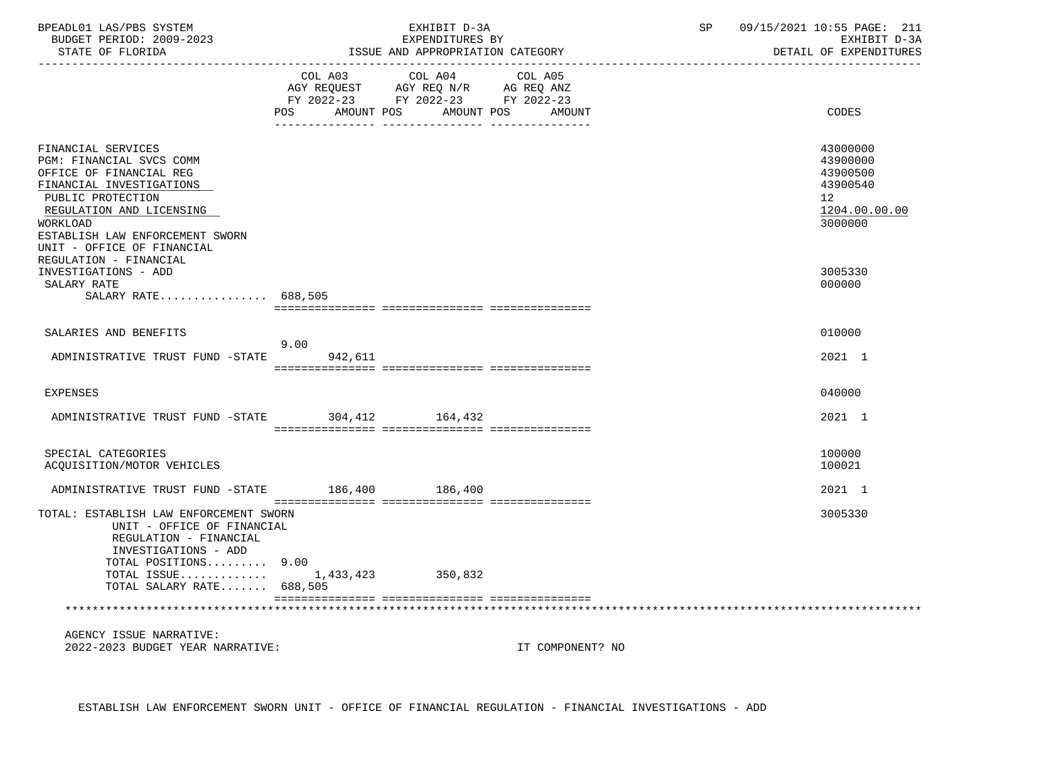| BPEADL01 LAS/PBS SYSTEM<br>BUDGET PERIOD: 2009-2023<br>STATE OF FLORIDA<br>----------------                                                                                                                                         |                                     | EXHIBIT D-3A<br>EXPENDITURES BY<br>ISSUE AND APPROPRIATION CATEGORY                                     |                  | SP 09/15/2021 10:55 PAGE: 211<br>EXHIBIT D-3A<br>DETAIL OF EXPENDITURES        |
|-------------------------------------------------------------------------------------------------------------------------------------------------------------------------------------------------------------------------------------|-------------------------------------|---------------------------------------------------------------------------------------------------------|------------------|--------------------------------------------------------------------------------|
|                                                                                                                                                                                                                                     | COL A03<br>AMOUNT POS<br><b>POS</b> | COL A04 COL A05<br>AGY REQUEST AGY REQ N/R AG REQ ANZ<br>FY 2022-23 FY 2022-23 FY 2022-23<br>AMOUNT POS | AMOUNT           | CODES                                                                          |
| FINANCIAL SERVICES<br>PGM: FINANCIAL SVCS COMM<br>OFFICE OF FINANCIAL REG<br>FINANCIAL INVESTIGATIONS<br>PUBLIC PROTECTION<br>REGULATION AND LICENSING<br>WORKLOAD<br>ESTABLISH LAW ENFORCEMENT SWORN<br>UNIT - OFFICE OF FINANCIAL |                                     |                                                                                                         |                  | 43000000<br>43900000<br>43900500<br>43900540<br>12<br>1204.00.00.00<br>3000000 |
| REGULATION - FINANCIAL<br>INVESTIGATIONS - ADD<br>SALARY RATE<br>SALARY RATE 688,505                                                                                                                                                |                                     |                                                                                                         |                  | 3005330<br>000000                                                              |
| SALARIES AND BENEFITS                                                                                                                                                                                                               |                                     |                                                                                                         |                  | 010000                                                                         |
| ADMINISTRATIVE TRUST FUND -STATE 942,611                                                                                                                                                                                            | 9.00                                |                                                                                                         |                  | 2021 1                                                                         |
| <b>EXPENSES</b>                                                                                                                                                                                                                     |                                     |                                                                                                         |                  | 040000                                                                         |
| ADMINISTRATIVE TRUST FUND -STATE 304,412 164,432                                                                                                                                                                                    |                                     |                                                                                                         |                  | 2021 1                                                                         |
| SPECIAL CATEGORIES<br>ACQUISITION/MOTOR VEHICLES                                                                                                                                                                                    |                                     |                                                                                                         |                  | 100000<br>100021                                                               |
| ADMINISTRATIVE TRUST FUND -STATE                                                                                                                                                                                                    | 186,400                             | 186,400                                                                                                 |                  | 2021 1                                                                         |
| TOTAL: ESTABLISH LAW ENFORCEMENT SWORN<br>UNIT - OFFICE OF FINANCIAL<br>REGULATION - FINANCIAL<br>INVESTIGATIONS - ADD<br>TOTAL POSITIONS 9.00<br>TOTAL ISSUE 1,433,423 350,832<br>TOTAL SALARY RATE 688,505                        |                                     |                                                                                                         |                  | 3005330                                                                        |
|                                                                                                                                                                                                                                     |                                     |                                                                                                         |                  |                                                                                |
| AGENCY ISSUE NARRATIVE:<br>2022-2023 BUDGET YEAR NARRATIVE:                                                                                                                                                                         |                                     |                                                                                                         | IT COMPONENT? NO |                                                                                |

ESTABLISH LAW ENFORCEMENT SWORN UNIT - OFFICE OF FINANCIAL REGULATION - FINANCIAL INVESTIGATIONS - ADD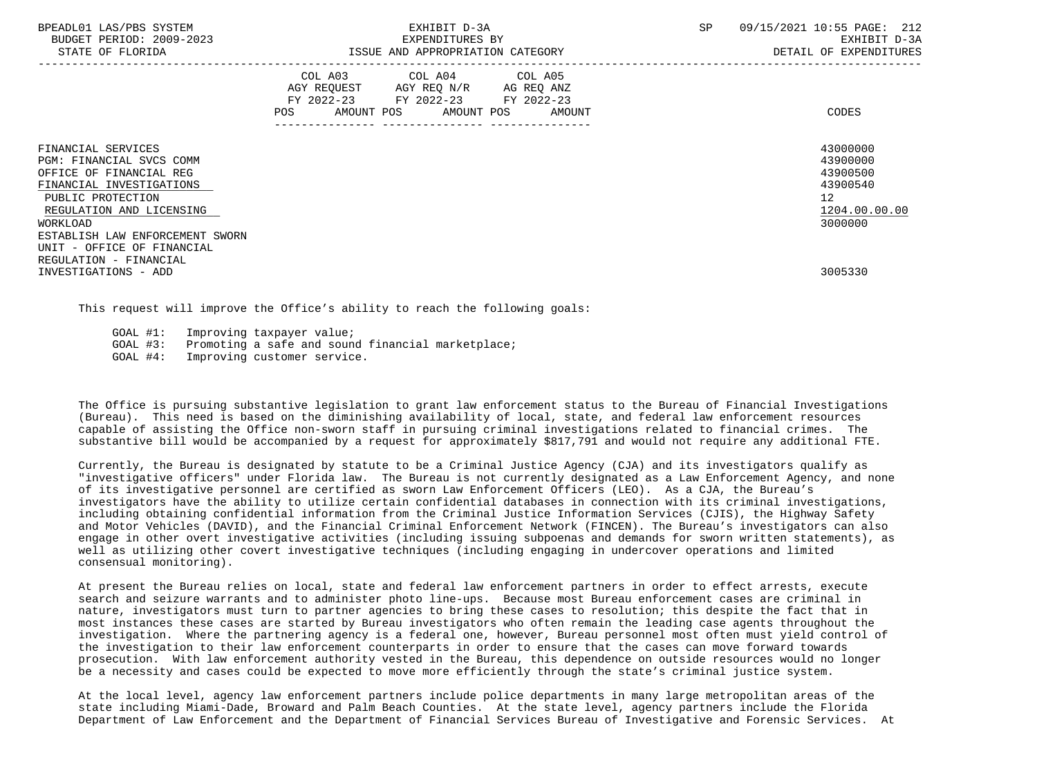| BPEADL01 LAS/PBS SYSTEM<br>BUDGET PERIOD: 2009-2023<br>STATE OF FLORIDA                                                                                                                                                             | EXHIBIT D-3A<br>EXPENDITURES BY<br>ISSUE AND APPROPRIATION CATEGORY                                                                   | 09/15/2021 10:55 PAGE: 212<br>SP<br>EXHIBIT D-3A<br>DETAIL OF EXPENDITURES                  |
|-------------------------------------------------------------------------------------------------------------------------------------------------------------------------------------------------------------------------------------|---------------------------------------------------------------------------------------------------------------------------------------|---------------------------------------------------------------------------------------------|
|                                                                                                                                                                                                                                     | COL A03 COL A04 COL A05<br>AGY REQUEST AGY REQ N/R AG REQ ANZ<br>FY 2022-23 FY 2022-23 FY 2022-23<br>POS AMOUNT POS AMOUNT POS AMOUNT | CODES                                                                                       |
| FINANCIAL SERVICES<br>PGM: FINANCIAL SVCS COMM<br>OFFICE OF FINANCIAL REG<br>FINANCIAL INVESTIGATIONS<br>PUBLIC PROTECTION<br>REGULATION AND LICENSING<br>WORKLOAD<br>ESTABLISH LAW ENFORCEMENT SWORN<br>UNIT - OFFICE OF FINANCIAL |                                                                                                                                       | 43000000<br>43900000<br>43900500<br>43900540<br>12 <sup>°</sup><br>1204.00.00.00<br>3000000 |
| REGULATION - FINANCIAL<br>INVESTIGATIONS - ADD                                                                                                                                                                                      |                                                                                                                                       | 3005330                                                                                     |

This request will improve the Office's ability to reach the following goals:

GOAL #1: Improving taxpayer value;<br>GOAL #3: Promoting a safe and sound Promoting a safe and sound financial marketplace; GOAL #4: Improving customer service.

 The Office is pursuing substantive legislation to grant law enforcement status to the Bureau of Financial Investigations (Bureau). This need is based on the diminishing availability of local, state, and federal law enforcement resources capable of assisting the Office non-sworn staff in pursuing criminal investigations related to financial crimes. The substantive bill would be accompanied by a request for approximately \$817,791 and would not require any additional FTE.

 Currently, the Bureau is designated by statute to be a Criminal Justice Agency (CJA) and its investigators qualify as "investigative officers" under Florida law. The Bureau is not currently designated as a Law Enforcement Agency, and none of its investigative personnel are certified as sworn Law Enforcement Officers (LEO). As a CJA, the Bureau's investigators have the ability to utilize certain confidential databases in connection with its criminal investigations, including obtaining confidential information from the Criminal Justice Information Services (CJIS), the Highway Safety and Motor Vehicles (DAVID), and the Financial Criminal Enforcement Network (FINCEN). The Bureau's investigators can also engage in other overt investigative activities (including issuing subpoenas and demands for sworn written statements), as well as utilizing other covert investigative techniques (including engaging in undercover operations and limited consensual monitoring).

 At present the Bureau relies on local, state and federal law enforcement partners in order to effect arrests, execute search and seizure warrants and to administer photo line-ups. Because most Bureau enforcement cases are criminal in nature, investigators must turn to partner agencies to bring these cases to resolution; this despite the fact that in most instances these cases are started by Bureau investigators who often remain the leading case agents throughout the investigation. Where the partnering agency is a federal one, however, Bureau personnel most often must yield control of the investigation to their law enforcement counterparts in order to ensure that the cases can move forward towards prosecution. With law enforcement authority vested in the Bureau, this dependence on outside resources would no longer be a necessity and cases could be expected to move more efficiently through the state's criminal justice system.

 At the local level, agency law enforcement partners include police departments in many large metropolitan areas of the state including Miami-Dade, Broward and Palm Beach Counties. At the state level, agency partners include the Florida Department of Law Enforcement and the Department of Financial Services Bureau of Investigative and Forensic Services. At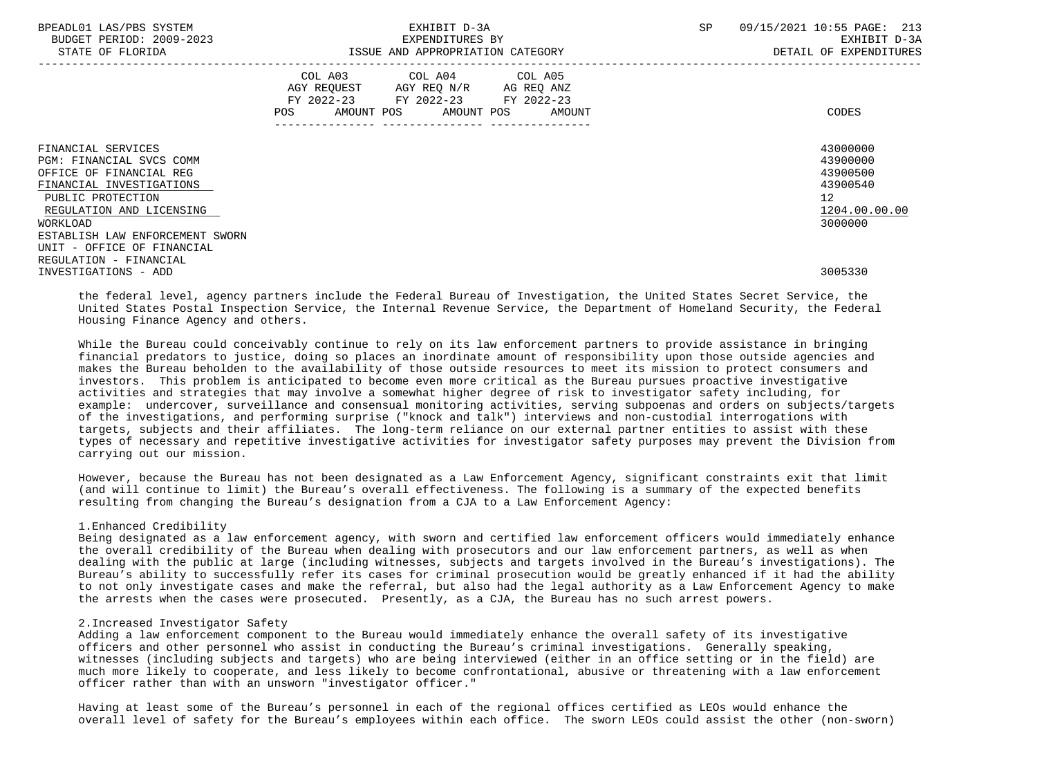| BPEADL01 LAS/PBS SYSTEM<br>BUDGET PERIOD: 2009-2023<br>STATE OF FLORIDA                                                                                                                               | EXHIBIT D-3A<br>EXPENDITURES BY<br>ISSUE AND APPROPRIATION CATEGORY                                                                         | SP<br>09/15/2021 10:55 PAGE: 213<br>EXHIBIT D-3A<br>DETAIL OF EXPENDITURES     |
|-------------------------------------------------------------------------------------------------------------------------------------------------------------------------------------------------------|---------------------------------------------------------------------------------------------------------------------------------------------|--------------------------------------------------------------------------------|
|                                                                                                                                                                                                       | COL A03 COL A04 COL A05<br>AGY REQUEST AGY REQ N/R AG REQ ANZ<br>FY 2022-23 FY 2022-23 FY 2022-23<br>AMOUNT POS AMOUNT POS<br>POS<br>AMOUNT | CODES                                                                          |
| FINANCIAL SERVICES<br>PGM: FINANCIAL SVCS COMM<br>OFFICE OF FINANCIAL REG<br>FINANCIAL INVESTIGATIONS<br>PUBLIC PROTECTION<br>REGULATION AND LICENSING<br>WORKLOAD<br>ESTABLISH LAW ENFORCEMENT SWORN |                                                                                                                                             | 43000000<br>43900000<br>43900500<br>43900540<br>12<br>1204.00.00.00<br>3000000 |
| UNIT - OFFICE OF FINANCIAL<br>REGULATION - FINANCIAL<br>INVESTIGATIONS - ADD                                                                                                                          |                                                                                                                                             | 3005330                                                                        |

 the federal level, agency partners include the Federal Bureau of Investigation, the United States Secret Service, the United States Postal Inspection Service, the Internal Revenue Service, the Department of Homeland Security, the Federal Housing Finance Agency and others.

 While the Bureau could conceivably continue to rely on its law enforcement partners to provide assistance in bringing financial predators to justice, doing so places an inordinate amount of responsibility upon those outside agencies and makes the Bureau beholden to the availability of those outside resources to meet its mission to protect consumers and investors. This problem is anticipated to become even more critical as the Bureau pursues proactive investigative activities and strategies that may involve a somewhat higher degree of risk to investigator safety including, for example: undercover, surveillance and consensual monitoring activities, serving subpoenas and orders on subjects/targets of the investigations, and performing surprise ("knock and talk") interviews and non-custodial interrogations with targets, subjects and their affiliates. The long-term reliance on our external partner entities to assist with these types of necessary and repetitive investigative activities for investigator safety purposes may prevent the Division from carrying out our mission.

 However, because the Bureau has not been designated as a Law Enforcement Agency, significant constraints exit that limit (and will continue to limit) the Bureau's overall effectiveness. The following is a summary of the expected benefits resulting from changing the Bureau's designation from a CJA to a Law Enforcement Agency:

## 1.Enhanced Credibility

 Being designated as a law enforcement agency, with sworn and certified law enforcement officers would immediately enhance the overall credibility of the Bureau when dealing with prosecutors and our law enforcement partners, as well as when dealing with the public at large (including witnesses, subjects and targets involved in the Bureau's investigations). The Bureau's ability to successfully refer its cases for criminal prosecution would be greatly enhanced if it had the ability to not only investigate cases and make the referral, but also had the legal authority as a Law Enforcement Agency to make the arrests when the cases were prosecuted. Presently, as a CJA, the Bureau has no such arrest powers.

## 2.Increased Investigator Safety

 Adding a law enforcement component to the Bureau would immediately enhance the overall safety of its investigative officers and other personnel who assist in conducting the Bureau's criminal investigations. Generally speaking, witnesses (including subjects and targets) who are being interviewed (either in an office setting or in the field) are much more likely to cooperate, and less likely to become confrontational, abusive or threatening with a law enforcement officer rather than with an unsworn "investigator officer."

 Having at least some of the Bureau's personnel in each of the regional offices certified as LEOs would enhance the overall level of safety for the Bureau's employees within each office. The sworn LEOs could assist the other (non-sworn)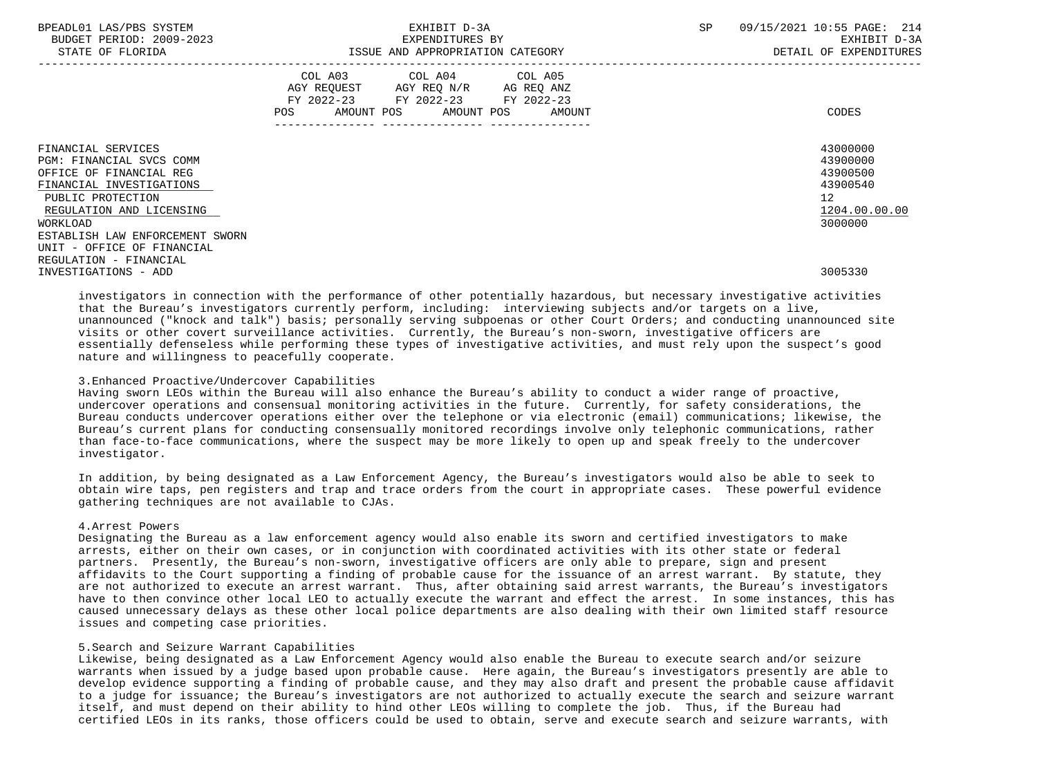| BPEADL01 LAS/PBS SYSTEM<br>BUDGET PERIOD: 2009-2023<br>STATE OF FLORIDA                                                    | EXHIBIT D-3A<br>EXPENDITURES BY<br>ISSUE AND APPROPRIATION CATEGORY                                                                      | 09/15/2021 10:55 PAGE: 214<br>SP<br>EXHIBIT D-3A<br>DETAIL OF EXPENDITURES |
|----------------------------------------------------------------------------------------------------------------------------|------------------------------------------------------------------------------------------------------------------------------------------|----------------------------------------------------------------------------|
|                                                                                                                            | COL A03 COL A04 COL A05<br>AGY REQUEST AGY REQ N/R AG REQ ANZ<br>FY 2022-23 FY 2022-23 FY 2022-23<br>AMOUNT POS AMOUNT POS AMOUNT<br>POS | CODES                                                                      |
| FINANCIAL SERVICES<br>PGM: FINANCIAL SVCS COMM<br>OFFICE OF FINANCIAL REG<br>FINANCIAL INVESTIGATIONS<br>PUBLIC PROTECTION |                                                                                                                                          | 43000000<br>43900000<br>43900500<br>43900540<br>12 <sup>°</sup>            |
| REGULATION AND LICENSING<br>WORKLOAD<br>ESTABLISH LAW ENFORCEMENT SWORN<br>UNIT - OFFICE OF FINANCIAL                      |                                                                                                                                          | 1204.00.00.00<br>3000000                                                   |
| REGULATION - FINANCIAL<br>INVESTIGATIONS - ADD                                                                             |                                                                                                                                          | 3005330                                                                    |

 investigators in connection with the performance of other potentially hazardous, but necessary investigative activities that the Bureau's investigators currently perform, including: interviewing subjects and/or targets on a live, unannounced ("knock and talk") basis; personally serving subpoenas or other Court Orders; and conducting unannounced site visits or other covert surveillance activities. Currently, the Bureau's non-sworn, investigative officers are essentially defenseless while performing these types of investigative activities, and must rely upon the suspect's good nature and willingness to peacefully cooperate.

#### 3.Enhanced Proactive/Undercover Capabilities

 Having sworn LEOs within the Bureau will also enhance the Bureau's ability to conduct a wider range of proactive, undercover operations and consensual monitoring activities in the future. Currently, for safety considerations, the Bureau conducts undercover operations either over the telephone or via electronic (email) communications; likewise, the Bureau's current plans for conducting consensually monitored recordings involve only telephonic communications, rather than face-to-face communications, where the suspect may be more likely to open up and speak freely to the undercover investigator.

 In addition, by being designated as a Law Enforcement Agency, the Bureau's investigators would also be able to seek to obtain wire taps, pen registers and trap and trace orders from the court in appropriate cases. These powerful evidence gathering techniques are not available to CJAs.

## 4.Arrest Powers

 Designating the Bureau as a law enforcement agency would also enable its sworn and certified investigators to make arrests, either on their own cases, or in conjunction with coordinated activities with its other state or federal partners. Presently, the Bureau's non-sworn, investigative officers are only able to prepare, sign and present affidavits to the Court supporting a finding of probable cause for the issuance of an arrest warrant. By statute, they are not authorized to execute an arrest warrant. Thus, after obtaining said arrest warrants, the Bureau's investigators have to then convince other local LEO to actually execute the warrant and effect the arrest. In some instances, this has caused unnecessary delays as these other local police departments are also dealing with their own limited staff resource issues and competing case priorities.

## 5.Search and Seizure Warrant Capabilities

 Likewise, being designated as a Law Enforcement Agency would also enable the Bureau to execute search and/or seizure warrants when issued by a judge based upon probable cause. Here again, the Bureau's investigators presently are able to develop evidence supporting a finding of probable cause, and they may also draft and present the probable cause affidavit to a judge for issuance; the Bureau's investigators are not authorized to actually execute the search and seizure warrant itself, and must depend on their ability to hind other LEOs willing to complete the job. Thus, if the Bureau had certified LEOs in its ranks, those officers could be used to obtain, serve and execute search and seizure warrants, with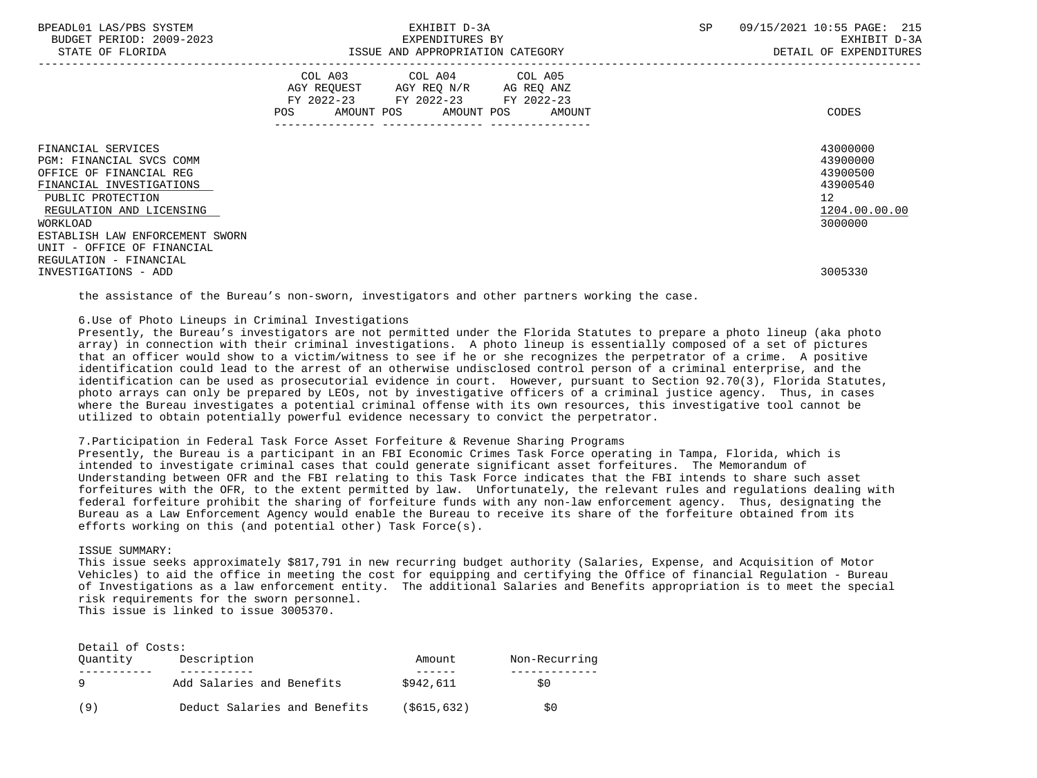| BPEADL01 LAS/PBS SYSTEM |     |                          |
|-------------------------|-----|--------------------------|
|                         |     | BUDGET PERIOD: 2009-2023 |
|                         | CDR |                          |

|                                                                                                                                                                                                                                     | COL A03<br>AGY REQUEST<br>FY 2022-23<br><b>POS</b><br>AMOUNT POS | COL A04<br>AGY REQ N/R<br>FY 2022-23<br>AMOUNT POS<br>------------- | COL A05<br>AG REQ ANZ<br>FY 2022-23<br>AMOUNT<br>--------------- | CODES                                                                          |
|-------------------------------------------------------------------------------------------------------------------------------------------------------------------------------------------------------------------------------------|------------------------------------------------------------------|---------------------------------------------------------------------|------------------------------------------------------------------|--------------------------------------------------------------------------------|
| FINANCIAL SERVICES<br>PGM: FINANCIAL SVCS COMM<br>OFFICE OF FINANCIAL REG<br>FINANCIAL INVESTIGATIONS<br>PUBLIC PROTECTION<br>REGULATION AND LICENSING<br>WORKLOAD<br>ESTABLISH LAW ENFORCEMENT SWORN<br>UNIT - OFFICE OF FINANCIAL |                                                                  |                                                                     |                                                                  | 43000000<br>43900000<br>43900500<br>43900540<br>12<br>1204.00.00.00<br>3000000 |
| REGULATION - FINANCIAL<br>INVESTIGATIONS - ADD                                                                                                                                                                                      |                                                                  |                                                                     |                                                                  | 3005330                                                                        |

the assistance of the Bureau's non-sworn, investigators and other partners working the case.

## 6.Use of Photo Lineups in Criminal Investigations

 Presently, the Bureau's investigators are not permitted under the Florida Statutes to prepare a photo lineup (aka photo array) in connection with their criminal investigations. A photo lineup is essentially composed of a set of pictures that an officer would show to a victim/witness to see if he or she recognizes the perpetrator of a crime. A positive identification could lead to the arrest of an otherwise undisclosed control person of a criminal enterprise, and the identification can be used as prosecutorial evidence in court. However, pursuant to Section 92.70(3), Florida Statutes, photo arrays can only be prepared by LEOs, not by investigative officers of a criminal justice agency. Thus, in cases where the Bureau investigates a potential criminal offense with its own resources, this investigative tool cannot be utilized to obtain potentially powerful evidence necessary to convict the perpetrator.

# 7.Participation in Federal Task Force Asset Forfeiture & Revenue Sharing Programs

 Presently, the Bureau is a participant in an FBI Economic Crimes Task Force operating in Tampa, Florida, which is intended to investigate criminal cases that could generate significant asset forfeitures. The Memorandum of Understanding between OFR and the FBI relating to this Task Force indicates that the FBI intends to share such asset forfeitures with the OFR, to the extent permitted by law. Unfortunately, the relevant rules and regulations dealing with federal forfeiture prohibit the sharing of forfeiture funds with any non-law enforcement agency. Thus, designating the Bureau as a Law Enforcement Agency would enable the Bureau to receive its share of the forfeiture obtained from its efforts working on this (and potential other) Task Force(s).

## ISSUE SUMMARY:

 This issue seeks approximately \$817,791 in new recurring budget authority (Salaries, Expense, and Acquisition of Motor Vehicles) to aid the office in meeting the cost for equipping and certifying the Office of financial Regulation - Bureau of Investigations as a law enforcement entity. The additional Salaries and Benefits appropriation is to meet the special risk requirements for the sworn personnel. This issue is linked to issue 3005370.

| Detail of Costs: |                              |             |               |
|------------------|------------------------------|-------------|---------------|
| Ouantity         | Description                  | Amount      | Non-Recurring |
| q                | Add Salaries and Benefits    | \$942,611   |               |
|                  |                              |             | S0            |
| ′ ၀ု '           | Deduct Salaries and Benefits | (\$615,632) | \$0           |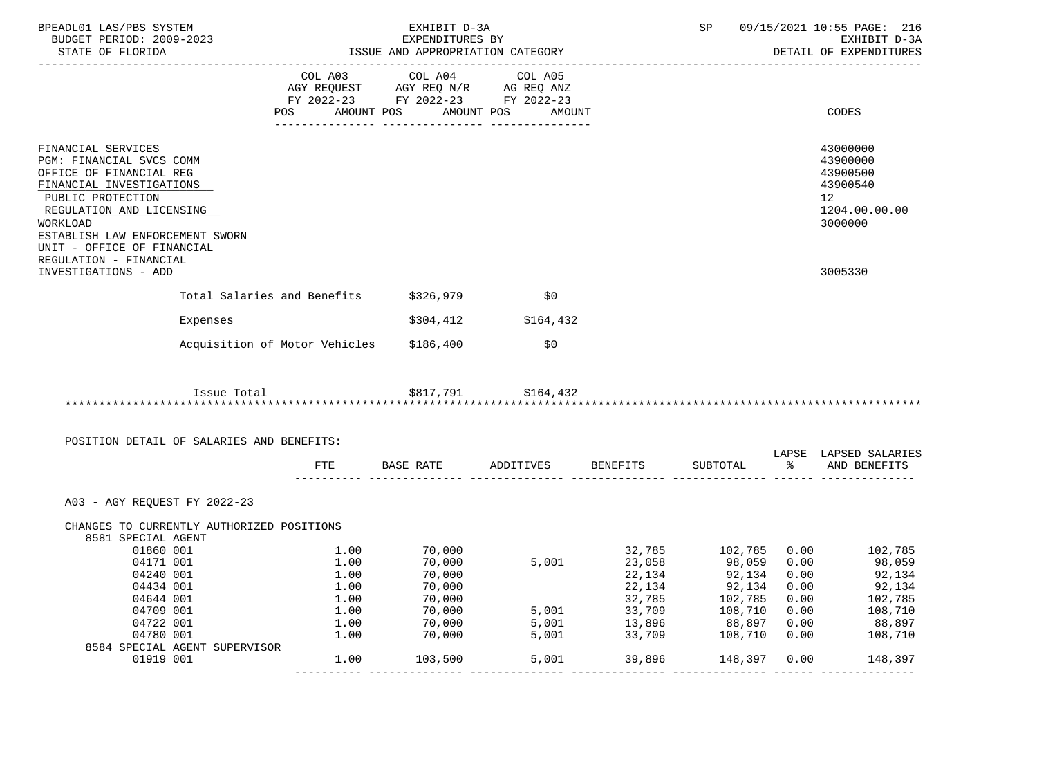| BPEADL01 LAS/PBS SYSTEM<br>BUDGET PERIOD: 2009-2023  |                               | EXHIBIT D-3A<br>EXPENDITURES BY<br>ISSUE AND APPROPRIATION CATEGORY |                                                                          |                                       |        | SP                                  |      | 09/15/2021 10:55 PAGE: 216<br>EXHIBIT D-3A |
|------------------------------------------------------|-------------------------------|---------------------------------------------------------------------|--------------------------------------------------------------------------|---------------------------------------|--------|-------------------------------------|------|--------------------------------------------|
| STATE OF FLORIDA                                     |                               |                                                                     |                                                                          |                                       |        |                                     |      | DETAIL OF EXPENDITURES                     |
|                                                      |                               | COL A03                                                             | COL A04<br>COL AU3 COL AU4 COL AU5<br>AGY REQUEST AGY REQ N/R AG REQ ANZ | COL A05                               |        |                                     |      |                                            |
|                                                      |                               |                                                                     | FY 2022-23 FY 2022-23 FY 2022-23                                         |                                       |        |                                     |      |                                            |
|                                                      |                               |                                                                     | POS AMOUNT POS AMOUNT POS                                                | AMOUNT                                |        |                                     |      | CODES                                      |
|                                                      |                               |                                                                     |                                                                          |                                       |        |                                     |      |                                            |
| FINANCIAL SERVICES                                   |                               |                                                                     |                                                                          |                                       |        |                                     |      | 43000000                                   |
| PGM: FINANCIAL SVCS COMM                             |                               |                                                                     |                                                                          |                                       |        |                                     |      | 43900000                                   |
| OFFICE OF FINANCIAL REG                              |                               |                                                                     |                                                                          |                                       |        |                                     |      | 43900500                                   |
| FINANCIAL INVESTIGATIONS                             |                               |                                                                     |                                                                          |                                       |        |                                     |      | 43900540                                   |
| PUBLIC PROTECTION                                    |                               |                                                                     |                                                                          |                                       |        |                                     |      | 12                                         |
| REGULATION AND LICENSING                             |                               |                                                                     |                                                                          |                                       |        |                                     |      | 1204.00.00.00                              |
| WORKLOAD                                             |                               |                                                                     |                                                                          |                                       |        |                                     |      | 3000000                                    |
| ESTABLISH LAW ENFORCEMENT SWORN                      |                               |                                                                     |                                                                          |                                       |        |                                     |      |                                            |
| UNIT - OFFICE OF FINANCIAL<br>REGULATION - FINANCIAL |                               |                                                                     |                                                                          |                                       |        |                                     |      |                                            |
| INVESTIGATIONS - ADD                                 |                               |                                                                     |                                                                          |                                       |        |                                     |      | 3005330                                    |
|                                                      |                               |                                                                     |                                                                          |                                       |        |                                     |      |                                            |
|                                                      |                               |                                                                     | Total Salaries and Benefits \$326,979                                    | \$0                                   |        |                                     |      |                                            |
| Expenses                                             |                               |                                                                     | \$304,412                                                                | \$164,432                             |        |                                     |      |                                            |
|                                                      | Acquisition of Motor Vehicles |                                                                     | \$186,400                                                                | \$0                                   |        |                                     |      |                                            |
|                                                      |                               |                                                                     |                                                                          |                                       |        |                                     |      |                                            |
|                                                      | Issue Total                   |                                                                     |                                                                          | \$817,791 \$164,432                   |        |                                     |      |                                            |
|                                                      |                               |                                                                     |                                                                          |                                       |        |                                     |      |                                            |
| POSITION DETAIL OF SALARIES AND BENEFITS:            |                               |                                                                     |                                                                          |                                       |        |                                     |      |                                            |
|                                                      |                               |                                                                     |                                                                          |                                       |        |                                     |      | LAPSE LAPSED SALARIES                      |
|                                                      |                               | FTE                                                                 |                                                                          | BASE RATE ADDITIVES BENEFITS SUBTOTAL |        |                                     | ႜ    | AND BENEFITS                               |
| A03 - AGY REQUEST FY 2022-23                         |                               |                                                                     |                                                                          |                                       |        |                                     |      |                                            |
|                                                      |                               |                                                                     |                                                                          |                                       |        |                                     |      |                                            |
| CHANGES TO CURRENTLY AUTHORIZED POSITIONS            |                               |                                                                     |                                                                          |                                       |        |                                     |      |                                            |
| 8581 SPECIAL AGENT<br>01860 001                      |                               | 1.00                                                                |                                                                          |                                       |        |                                     |      |                                            |
| 04171 001                                            |                               | 1.00                                                                | 70,000<br>70,000                                                         | 5,001                                 | 23,058 | 32,785 102,785 0.00                 |      | 102,785<br>98,059                          |
| 04240 001                                            |                               | 1.00                                                                | 70,000                                                                   |                                       | 22,134 | 98,059     0.00<br>92,134      0.00 |      | 92,134                                     |
| 04434 001                                            |                               | 1.00                                                                | 70,000                                                                   |                                       | 22,134 | 92,134                              | 0.00 | 92,134                                     |
| 04644 001                                            |                               | 1.00                                                                | 70,000                                                                   |                                       | 32,785 | 102,785                             | 0.00 | 102,785                                    |
| 04709 001                                            |                               | 1.00                                                                | 70,000                                                                   | 5,001                                 | 33,709 | 108,710                             | 0.00 | 108,710                                    |
| 04722 001                                            |                               | 1.00                                                                | 70,000                                                                   | 5,001                                 | 13,896 | 88,897                              | 0.00 | 88,897                                     |
| 04780 001                                            |                               | 1.00                                                                | 70,000                                                                   | 5,001                                 | 33,709 | 108,710                             | 0.00 | 108,710                                    |
| 8584 SPECIAL AGENT SUPERVISOR                        |                               |                                                                     |                                                                          |                                       |        |                                     |      |                                            |
| 01919 001                                            |                               | 1.00                                                                | 103,500                                                                  | 5,001                                 | 39,896 | 148,397                             | 0.00 | 148,397                                    |
|                                                      |                               |                                                                     |                                                                          |                                       |        |                                     |      |                                            |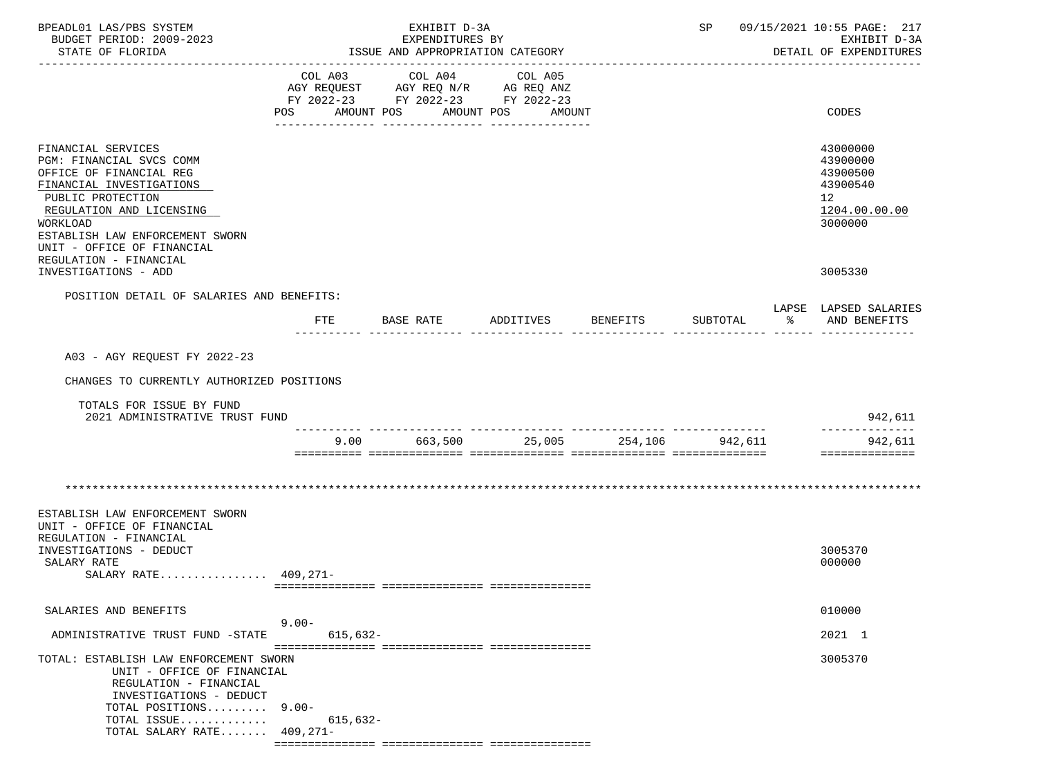| BPEADL01 LAS/PBS SYSTEM<br>BUDGET PERIOD: 2009-2023<br>STATE OF FLORIDA                                                                                                                                                                                              |                      | EXHIBIT D-3A<br>EXPENDITURES BY<br>ISSUE AND APPROPRIATION CATEGORY                                             |                   | 09/15/2021 10:55 PAGE: 217<br>SP<br>EXHIBIT D-3A<br>DETAIL OF EXPENDITURES |            |                                                                                |
|----------------------------------------------------------------------------------------------------------------------------------------------------------------------------------------------------------------------------------------------------------------------|----------------------|-----------------------------------------------------------------------------------------------------------------|-------------------|----------------------------------------------------------------------------|------------|--------------------------------------------------------------------------------|
|                                                                                                                                                                                                                                                                      | POS                  | COL A03 COL A04 COL A05<br>AGY REQUEST AGY REQ N/R AG REQ ANZ<br>FY 2022-23 FY 2022-23 FY 2022-23<br>AMOUNT POS | AMOUNT POS AMOUNT |                                                                            |            | CODES                                                                          |
| FINANCIAL SERVICES<br><b>PGM: FINANCIAL SVCS COMM</b><br>OFFICE OF FINANCIAL REG<br>FINANCIAL INVESTIGATIONS<br>PUBLIC PROTECTION<br>REGULATION AND LICENSING<br>WORKLOAD<br>ESTABLISH LAW ENFORCEMENT SWORN<br>UNIT - OFFICE OF FINANCIAL<br>REGULATION - FINANCIAL |                      |                                                                                                                 |                   |                                                                            |            | 43000000<br>43900000<br>43900500<br>43900540<br>12<br>1204.00.00.00<br>3000000 |
| INVESTIGATIONS - ADD                                                                                                                                                                                                                                                 |                      |                                                                                                                 |                   |                                                                            |            | 3005330                                                                        |
| POSITION DETAIL OF SALARIES AND BENEFITS:                                                                                                                                                                                                                            |                      |                                                                                                                 |                   |                                                                            |            | LAPSE LAPSED SALARIES                                                          |
|                                                                                                                                                                                                                                                                      | FTE                  | BASE RATE                                                                                                       | ADDITIVES         | BENEFITS                                                                   | SUBTOTAL 8 | AND BENEFITS                                                                   |
| CHANGES TO CURRENTLY AUTHORIZED POSITIONS<br>TOTALS FOR ISSUE BY FUND<br>2021 ADMINISTRATIVE TRUST FUND                                                                                                                                                              |                      |                                                                                                                 |                   |                                                                            |            | 942,611<br>--------------                                                      |
|                                                                                                                                                                                                                                                                      |                      |                                                                                                                 |                   | 9.00 663,500 25,005 254,106 942,611                                        |            | 942,611<br>==============                                                      |
|                                                                                                                                                                                                                                                                      |                      |                                                                                                                 |                   |                                                                            |            |                                                                                |
| ESTABLISH LAW ENFORCEMENT SWORN<br>UNIT - OFFICE OF FINANCIAL<br>REGULATION - FINANCIAL<br>INVESTIGATIONS - DEDUCT<br>SALARY RATE<br>SALARY RATE 409, 271-                                                                                                           |                      |                                                                                                                 |                   |                                                                            |            | 3005370<br>000000                                                              |
|                                                                                                                                                                                                                                                                      |                      |                                                                                                                 |                   |                                                                            |            |                                                                                |
| SALARIES AND BENEFITS                                                                                                                                                                                                                                                |                      |                                                                                                                 |                   |                                                                            |            | 010000                                                                         |
| ADMINISTRATIVE TRUST FUND -STATE                                                                                                                                                                                                                                     | $9.00 -$<br>615,632- |                                                                                                                 |                   |                                                                            |            | 2021 1                                                                         |
| TOTAL: ESTABLISH LAW ENFORCEMENT SWORN<br>UNIT - OFFICE OF FINANCIAL<br>REGULATION - FINANCIAL<br>INVESTIGATIONS - DEDUCT<br>TOTAL POSITIONS 9.00-<br>TOTAL ISSUE                                                                                                    | $615,632-$           |                                                                                                                 |                   |                                                                            |            | 3005370                                                                        |
| TOTAL SALARY RATE 409,271-                                                                                                                                                                                                                                           |                      |                                                                                                                 |                   |                                                                            |            |                                                                                |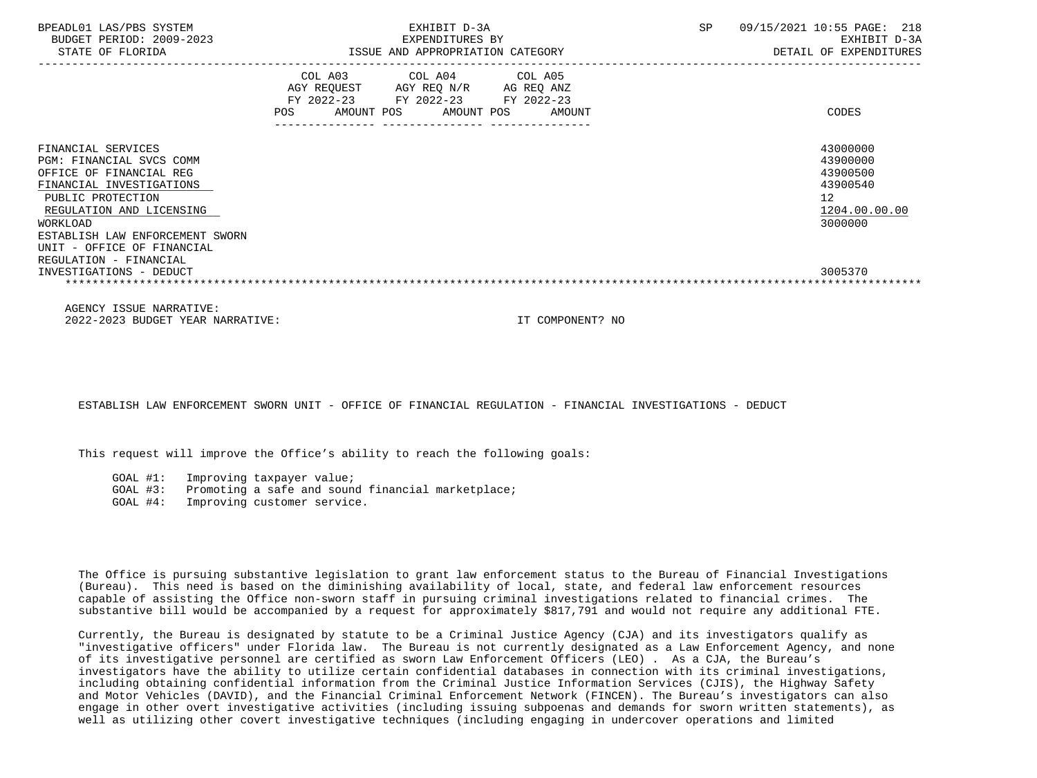| BPEADL01 LAS/PBS SYSTEM<br>BUDGET PERIOD: 2009-2023<br>STATE OF FLORIDA                                                                                                                                                                                                                         | EXHIBIT D-3A<br>EXPENDITURES BY<br>ISSUE AND APPROPRIATION CATEGORY                                                                         | SP<br>09/15/2021 10:55 PAGE: 218<br>EXHIBIT D-3A<br>DETAIL OF EXPENDITURES                             |
|-------------------------------------------------------------------------------------------------------------------------------------------------------------------------------------------------------------------------------------------------------------------------------------------------|---------------------------------------------------------------------------------------------------------------------------------------------|--------------------------------------------------------------------------------------------------------|
|                                                                                                                                                                                                                                                                                                 | COL A03 COL A04 COL A05<br>AGY REQUEST AGY REQ N/R AG REQ ANZ<br>FY 2022-23 FY 2022-23 FY 2022-23<br>POS<br>AMOUNT POS AMOUNT POS<br>AMOUNT | CODES                                                                                                  |
| FINANCIAL SERVICES<br>PGM: FINANCIAL SVCS COMM<br>OFFICE OF FINANCIAL REG<br>FINANCIAL INVESTIGATIONS<br>PUBLIC PROTECTION<br>REGULATION AND LICENSING<br><b>WORKLOAD</b><br>ESTABLISH LAW ENFORCEMENT SWORN<br>UNIT - OFFICE OF FINANCIAL<br>REGULATION - FINANCIAL<br>INVESTIGATIONS - DEDUCT |                                                                                                                                             | 43000000<br>43900000<br>43900500<br>43900540<br>12 <sup>°</sup><br>1204.00.00.00<br>3000000<br>3005370 |
| AGENCY ISSUE NARRATIVE:                                                                                                                                                                                                                                                                         |                                                                                                                                             |                                                                                                        |

2022-2023 BUDGET YEAR NARRATIVE: IT COMPONENT? NO

ESTABLISH LAW ENFORCEMENT SWORN UNIT - OFFICE OF FINANCIAL REGULATION - FINANCIAL INVESTIGATIONS - DEDUCT

This request will improve the Office's ability to reach the following goals:

GOAL #1: Improving taxpayer value;

GOAL #3: Promoting a safe and sound financial marketplace;

GOAL #4: Improving customer service.

 The Office is pursuing substantive legislation to grant law enforcement status to the Bureau of Financial Investigations (Bureau). This need is based on the diminishing availability of local, state, and federal law enforcement resources capable of assisting the Office non-sworn staff in pursuing criminal investigations related to financial crimes. The substantive bill would be accompanied by a request for approximately \$817,791 and would not require any additional FTE.

 Currently, the Bureau is designated by statute to be a Criminal Justice Agency (CJA) and its investigators qualify as "investigative officers" under Florida law. The Bureau is not currently designated as a Law Enforcement Agency, and none of its investigative personnel are certified as sworn Law Enforcement Officers (LEO) . As a CJA, the Bureau's investigators have the ability to utilize certain confidential databases in connection with its criminal investigations, including obtaining confidential information from the Criminal Justice Information Services (CJIS), the Highway Safety and Motor Vehicles (DAVID), and the Financial Criminal Enforcement Network (FINCEN). The Bureau's investigators can also engage in other overt investigative activities (including issuing subpoenas and demands for sworn written statements), as well as utilizing other covert investigative techniques (including engaging in undercover operations and limited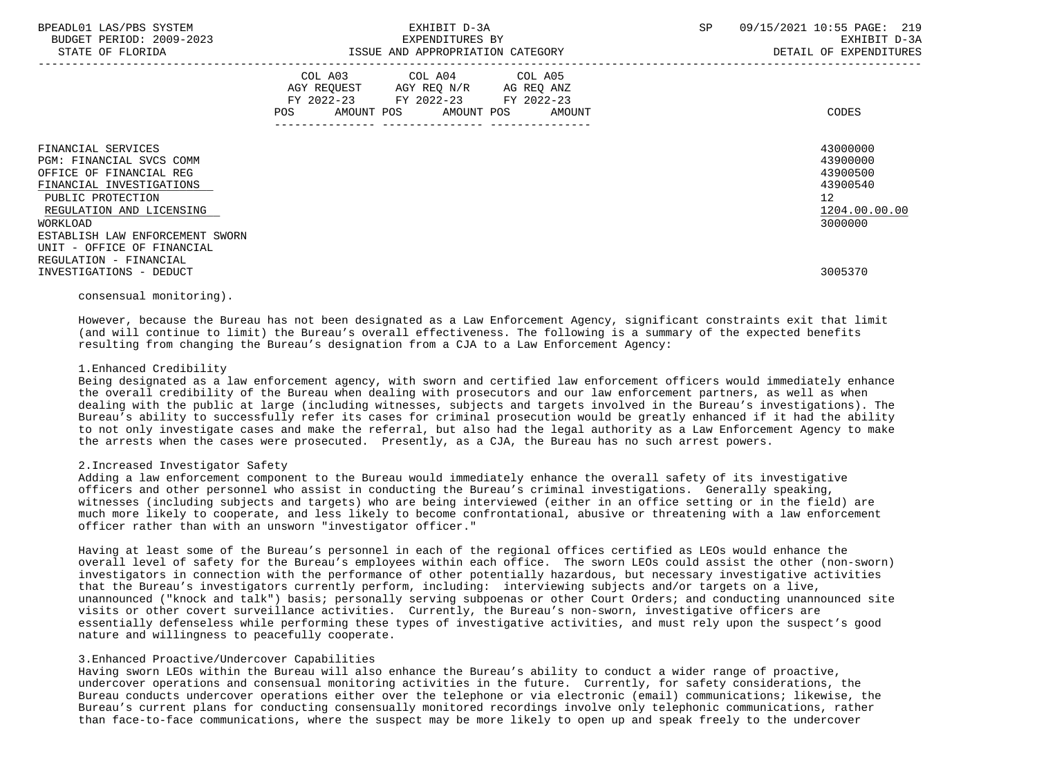| BPEADL01 LAS/PBS SYSTEM<br>BUDGET PERIOD: 2009-2023<br>STATE OF FLORIDA                                                                                            | EXHIBIT D-3A<br>EXPENDITURES BY<br>ISSUE AND APPROPRIATION CATEGORY                                                                   | SP | 09/15/2021 10:55 PAGE: 219<br>EXHIBIT D-3A<br>DETAIL OF EXPENDITURES |                                                                                             |
|--------------------------------------------------------------------------------------------------------------------------------------------------------------------|---------------------------------------------------------------------------------------------------------------------------------------|----|----------------------------------------------------------------------|---------------------------------------------------------------------------------------------|
|                                                                                                                                                                    | COL A03 COL A04 COL A05<br>AGY REQUEST AGY REQ N/R AG REQ ANZ<br>FY 2022-23 FY 2022-23 FY 2022-23<br>POS AMOUNT POS AMOUNT POS AMOUNT |    |                                                                      | CODES                                                                                       |
| FINANCIAL SERVICES<br>PGM: FINANCIAL SVCS COMM<br>OFFICE OF FINANCIAL REG<br>FINANCIAL INVESTIGATIONS<br>PUBLIC PROTECTION<br>REGULATION AND LICENSING<br>WORKLOAD |                                                                                                                                       |    |                                                                      | 43000000<br>43900000<br>43900500<br>43900540<br>12 <sup>7</sup><br>1204.00.00.00<br>3000000 |
| ESTABLISH LAW ENFORCEMENT SWORN<br>UNIT - OFFICE OF FINANCIAL<br>REGULATION - FINANCIAL<br>INVESTIGATIONS - DEDUCT                                                 |                                                                                                                                       |    |                                                                      | 3005370                                                                                     |

consensual monitoring).

 However, because the Bureau has not been designated as a Law Enforcement Agency, significant constraints exit that limit (and will continue to limit) the Bureau's overall effectiveness. The following is a summary of the expected benefits resulting from changing the Bureau's designation from a CJA to a Law Enforcement Agency:

### 1.Enhanced Credibility

 Being designated as a law enforcement agency, with sworn and certified law enforcement officers would immediately enhance the overall credibility of the Bureau when dealing with prosecutors and our law enforcement partners, as well as when dealing with the public at large (including witnesses, subjects and targets involved in the Bureau's investigations). The Bureau's ability to successfully refer its cases for criminal prosecution would be greatly enhanced if it had the ability to not only investigate cases and make the referral, but also had the legal authority as a Law Enforcement Agency to make the arrests when the cases were prosecuted. Presently, as a CJA, the Bureau has no such arrest powers.

# 2.Increased Investigator Safety

 Adding a law enforcement component to the Bureau would immediately enhance the overall safety of its investigative officers and other personnel who assist in conducting the Bureau's criminal investigations. Generally speaking, witnesses (including subjects and targets) who are being interviewed (either in an office setting or in the field) are much more likely to cooperate, and less likely to become confrontational, abusive or threatening with a law enforcement officer rather than with an unsworn "investigator officer."

 Having at least some of the Bureau's personnel in each of the regional offices certified as LEOs would enhance the overall level of safety for the Bureau's employees within each office. The sworn LEOs could assist the other (non-sworn) investigators in connection with the performance of other potentially hazardous, but necessary investigative activities that the Bureau's investigators currently perform, including: interviewing subjects and/or targets on a live, unannounced ("knock and talk") basis; personally serving subpoenas or other Court Orders; and conducting unannounced site visits or other covert surveillance activities. Currently, the Bureau's non-sworn, investigative officers are essentially defenseless while performing these types of investigative activities, and must rely upon the suspect's good nature and willingness to peacefully cooperate.

# 3.Enhanced Proactive/Undercover Capabilities

 Having sworn LEOs within the Bureau will also enhance the Bureau's ability to conduct a wider range of proactive, undercover operations and consensual monitoring activities in the future. Currently, for safety considerations, the Bureau conducts undercover operations either over the telephone or via electronic (email) communications; likewise, the Bureau's current plans for conducting consensually monitored recordings involve only telephonic communications, rather than face-to-face communications, where the suspect may be more likely to open up and speak freely to the undercover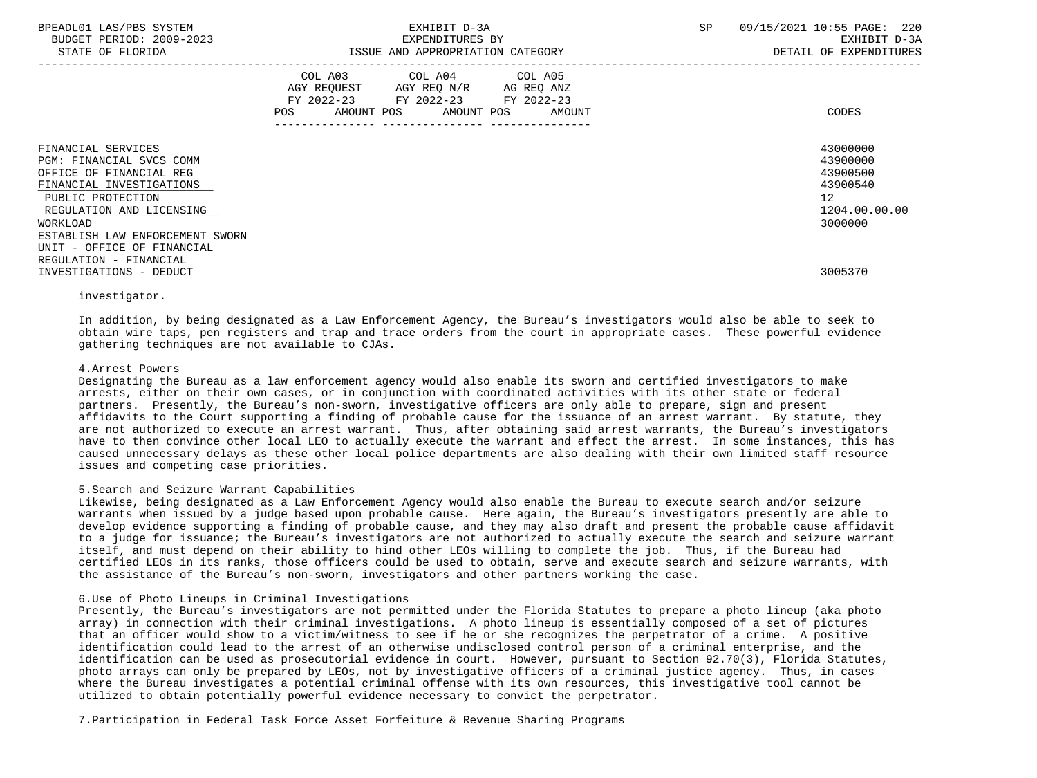| BPEADL01 LAS/PBS SYSTEM |                   |                          |
|-------------------------|-------------------|--------------------------|
|                         |                   | BUDGET PERIOD: 2009-2023 |
|                         | גתדכת זה הת היהיה |                          |

|                                 | COL A03<br>AGY REOUEST<br>FY 2022-23<br>POS<br>AMOUNT POS | COL A04<br>AGY REO N/R<br>FY 2022-23<br>AMOUNT POS | COL A05<br>AG REQ ANZ<br>FY 2022-23<br>AMOUNT | CODES             |
|---------------------------------|-----------------------------------------------------------|----------------------------------------------------|-----------------------------------------------|-------------------|
|                                 |                                                           | -------------                                      | ---------------                               |                   |
| FINANCIAL SERVICES              |                                                           |                                                    |                                               | 43000000          |
| PGM: FINANCIAL SVCS COMM        |                                                           |                                                    |                                               | 43900000          |
| OFFICE OF FINANCIAL REG         |                                                           |                                                    |                                               | 43900500          |
| FINANCIAL INVESTIGATIONS        |                                                           |                                                    |                                               | 43900540          |
| PUBLIC PROTECTION               |                                                           |                                                    |                                               | $12 \overline{ }$ |
| REGULATION AND LICENSING        |                                                           |                                                    |                                               | 1204.00.00.00     |
| WORKLOAD                        |                                                           |                                                    |                                               | 3000000           |
| ESTABLISH LAW ENFORCEMENT SWORN |                                                           |                                                    |                                               |                   |
| UNIT - OFFICE OF FINANCIAL      |                                                           |                                                    |                                               |                   |
| REGULATION - FINANCIAL          |                                                           |                                                    |                                               |                   |
| INVESTIGATIONS - DEDUCT         |                                                           |                                                    |                                               | 3005370           |

# investigator.

 In addition, by being designated as a Law Enforcement Agency, the Bureau's investigators would also be able to seek to obtain wire taps, pen registers and trap and trace orders from the court in appropriate cases. These powerful evidence gathering techniques are not available to CJAs.

#### 4.Arrest Powers

 Designating the Bureau as a law enforcement agency would also enable its sworn and certified investigators to make arrests, either on their own cases, or in conjunction with coordinated activities with its other state or federal partners. Presently, the Bureau's non-sworn, investigative officers are only able to prepare, sign and present affidavits to the Court supporting a finding of probable cause for the issuance of an arrest warrant. By statute, they are not authorized to execute an arrest warrant. Thus, after obtaining said arrest warrants, the Bureau's investigators have to then convince other local LEO to actually execute the warrant and effect the arrest. In some instances, this has caused unnecessary delays as these other local police departments are also dealing with their own limited staff resource issues and competing case priorities.

#### 5.Search and Seizure Warrant Capabilities

 Likewise, being designated as a Law Enforcement Agency would also enable the Bureau to execute search and/or seizure warrants when issued by a judge based upon probable cause. Here again, the Bureau's investigators presently are able to develop evidence supporting a finding of probable cause, and they may also draft and present the probable cause affidavit to a judge for issuance; the Bureau's investigators are not authorized to actually execute the search and seizure warrant itself, and must depend on their ability to hind other LEOs willing to complete the job. Thus, if the Bureau had certified LEOs in its ranks, those officers could be used to obtain, serve and execute search and seizure warrants, with the assistance of the Bureau's non-sworn, investigators and other partners working the case.

# 6.Use of Photo Lineups in Criminal Investigations

 Presently, the Bureau's investigators are not permitted under the Florida Statutes to prepare a photo lineup (aka photo array) in connection with their criminal investigations. A photo lineup is essentially composed of a set of pictures that an officer would show to a victim/witness to see if he or she recognizes the perpetrator of a crime. A positive identification could lead to the arrest of an otherwise undisclosed control person of a criminal enterprise, and the identification can be used as prosecutorial evidence in court. However, pursuant to Section 92.70(3), Florida Statutes, photo arrays can only be prepared by LEOs, not by investigative officers of a criminal justice agency. Thus, in cases where the Bureau investigates a potential criminal offense with its own resources, this investigative tool cannot be utilized to obtain potentially powerful evidence necessary to convict the perpetrator.

7.Participation in Federal Task Force Asset Forfeiture & Revenue Sharing Programs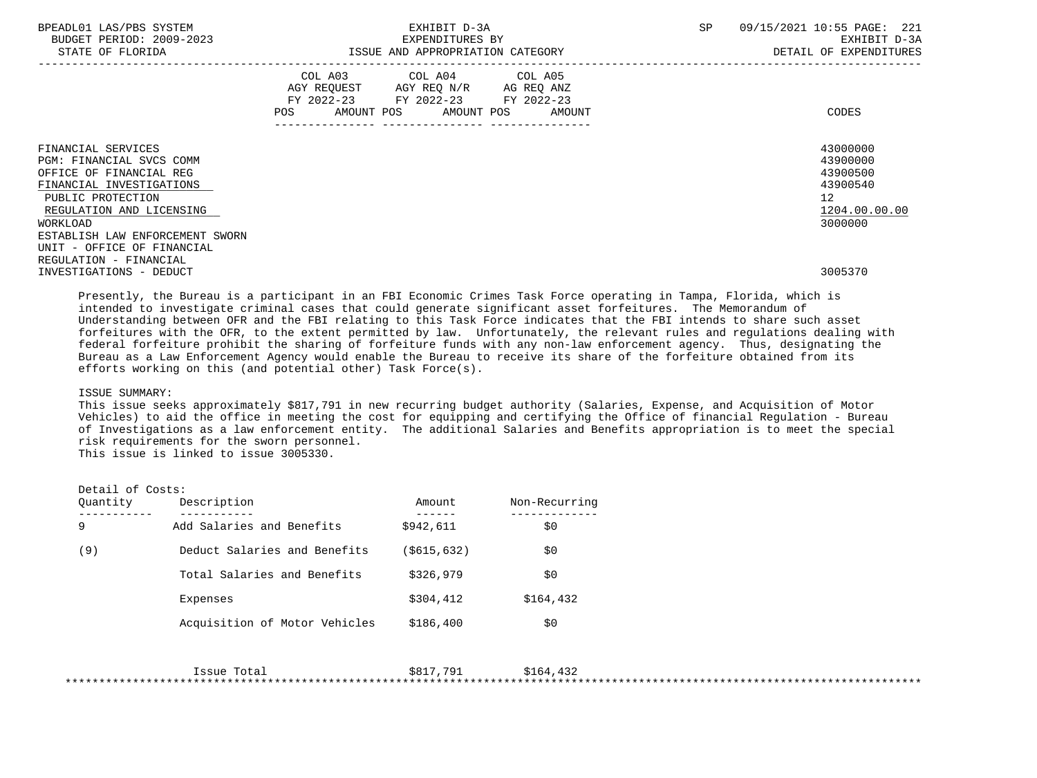| BPEADL01 LAS/PBS SYSTEM<br>BUDGET PERIOD: 2009-2023<br>STATE OF FLORIDA                                                                                            | EXHIBIT D-3A<br>EXPENDITURES BY<br>ISSUE AND APPROPRIATION CATEGORY                                                                                                                                                                                    | 09/15/2021 10:55 PAGE: 221<br>SP<br>EXHIBIT D-3A<br>DETAIL OF EXPENDITURES     |
|--------------------------------------------------------------------------------------------------------------------------------------------------------------------|--------------------------------------------------------------------------------------------------------------------------------------------------------------------------------------------------------------------------------------------------------|--------------------------------------------------------------------------------|
|                                                                                                                                                                    | COL A03 COL A04 COL A05<br>AGY REQUEST AGY REQ N/R AG REQ ANZ<br>FY 2022-23 FY 2022-23 FY 2022-23<br>AMOUNT POS AMOUNT POS<br>POS FOR THE POST OF THE STATE STATE STATE STATE STATE STATE STATE STATE STATE STATE STATE STATE STATE STATE ST<br>AMOUNT | CODES                                                                          |
| FINANCIAL SERVICES<br>PGM: FINANCIAL SVCS COMM<br>OFFICE OF FINANCIAL REG<br>FINANCIAL INVESTIGATIONS<br>PUBLIC PROTECTION<br>REGULATION AND LICENSING<br>WORKLOAD |                                                                                                                                                                                                                                                        | 43000000<br>43900000<br>43900500<br>43900540<br>12<br>1204.00.00.00<br>3000000 |
| ESTABLISH LAW ENFORCEMENT SWORN<br>UNIT - OFFICE OF FINANCIAL<br>REGULATION - FINANCIAL<br>INVESTIGATIONS - DEDUCT                                                 |                                                                                                                                                                                                                                                        | 3005370                                                                        |

 Presently, the Bureau is a participant in an FBI Economic Crimes Task Force operating in Tampa, Florida, which is intended to investigate criminal cases that could generate significant asset forfeitures. The Memorandum of Understanding between OFR and the FBI relating to this Task Force indicates that the FBI intends to share such asset forfeitures with the OFR, to the extent permitted by law. Unfortunately, the relevant rules and regulations dealing with federal forfeiture prohibit the sharing of forfeiture funds with any non-law enforcement agency. Thus, designating the Bureau as a Law Enforcement Agency would enable the Bureau to receive its share of the forfeiture obtained from its efforts working on this (and potential other) Task Force(s).

# ISSUE SUMMARY:

 This issue seeks approximately \$817,791 in new recurring budget authority (Salaries, Expense, and Acquisition of Motor Vehicles) to aid the office in meeting the cost for equipping and certifying the Office of financial Regulation - Bureau of Investigations as a law enforcement entity. The additional Salaries and Benefits appropriation is to meet the special risk requirements for the sworn personnel.

This issue is linked to issue 3005330.

| Detail of Costs: |                               |             |               |
|------------------|-------------------------------|-------------|---------------|
| Quantity         | Description                   | Amount      | Non-Recurring |
| 9                | Add Salaries and Benefits     | \$942,611   | \$0           |
| (9)              | Deduct Salaries and Benefits  | (\$615,632) | \$0           |
|                  | Total Salaries and Benefits   | \$326,979   | \$0           |
|                  | Expenses                      | \$304,412   | \$164,432     |
|                  | Acquisition of Motor Vehicles | \$186,400   | \$0           |

| <b>Tota</b><br>Issue | \$817,791 | $^{\circ}$ L64,432 |  |
|----------------------|-----------|--------------------|--|
|                      |           |                    |  |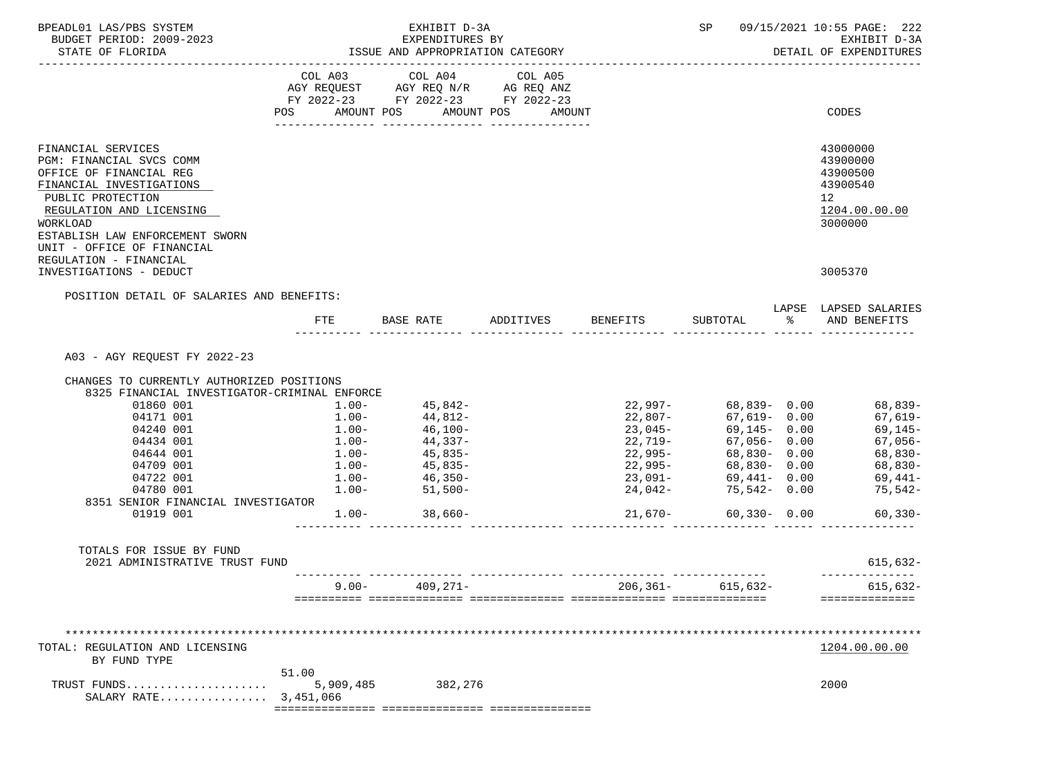| BPEADL01 LAS/PBS SYSTEM                                                                                                                                                                                 | EXHIBIT D-3A      |                                                                                                                                                                                                                                                                                                                                                                                                |  |                                                                                                                  | SP 09/15/2021 10:55 PAGE: 222                                                                                                    |  |                                                                                                             |  |
|---------------------------------------------------------------------------------------------------------------------------------------------------------------------------------------------------------|-------------------|------------------------------------------------------------------------------------------------------------------------------------------------------------------------------------------------------------------------------------------------------------------------------------------------------------------------------------------------------------------------------------------------|--|------------------------------------------------------------------------------------------------------------------|----------------------------------------------------------------------------------------------------------------------------------|--|-------------------------------------------------------------------------------------------------------------|--|
| BUDGET PERIOD: 2009-2023<br>STATE OF FLORIDA                                                                                                                                                            |                   | EXPENDITURES BY<br>ISSUE AND APPROPRIATION CATEGORY                                                                                                                                                                                                                                                                                                                                            |  |                                                                                                                  |                                                                                                                                  |  | EXHIBIT D-3A<br>DETAIL OF EXPENDITURES                                                                      |  |
|                                                                                                                                                                                                         |                   |                                                                                                                                                                                                                                                                                                                                                                                                |  |                                                                                                                  |                                                                                                                                  |  |                                                                                                             |  |
|                                                                                                                                                                                                         |                   | $\begin{tabular}{lllllllllll} &\multicolumn{4}{c}{\text{COL A03}} &\multicolumn{4}{c}{\text{COL A04}} &\multicolumn{4}{c}{\text{COL A05}} \\ \multicolumn{4}{c}{\text{AGY REQUEST}} &\multicolumn{4}{c}{\text{AGY REQ ANZ}} &\multicolumn{4}{c}{\text{COL A05}} \\ \multicolumn{4}{c}{\text{AGY REQUEST}} &\multicolumn{4}{c}{\text{AGY REQ ANZ}} &\multicolumn{4}{c}{\text{N}} \end{tabular}$ |  |                                                                                                                  |                                                                                                                                  |  |                                                                                                             |  |
|                                                                                                                                                                                                         |                   |                                                                                                                                                                                                                                                                                                                                                                                                |  |                                                                                                                  |                                                                                                                                  |  |                                                                                                             |  |
|                                                                                                                                                                                                         |                   | FY 2022-23 FY 2022-23 FY 2022-23                                                                                                                                                                                                                                                                                                                                                               |  |                                                                                                                  |                                                                                                                                  |  |                                                                                                             |  |
|                                                                                                                                                                                                         |                   | POS AMOUNT POS AMOUNT POS AMOUNT                                                                                                                                                                                                                                                                                                                                                               |  |                                                                                                                  |                                                                                                                                  |  | CODES                                                                                                       |  |
|                                                                                                                                                                                                         |                   |                                                                                                                                                                                                                                                                                                                                                                                                |  |                                                                                                                  |                                                                                                                                  |  |                                                                                                             |  |
| FINANCIAL SERVICES                                                                                                                                                                                      |                   |                                                                                                                                                                                                                                                                                                                                                                                                |  |                                                                                                                  |                                                                                                                                  |  | 43000000                                                                                                    |  |
| PGM: FINANCIAL SVCS COMM                                                                                                                                                                                |                   |                                                                                                                                                                                                                                                                                                                                                                                                |  |                                                                                                                  |                                                                                                                                  |  | 43900000                                                                                                    |  |
| OFFICE OF FINANCIAL REG                                                                                                                                                                                 |                   |                                                                                                                                                                                                                                                                                                                                                                                                |  |                                                                                                                  |                                                                                                                                  |  | 43900500                                                                                                    |  |
| FINANCIAL INVESTIGATIONS                                                                                                                                                                                |                   |                                                                                                                                                                                                                                                                                                                                                                                                |  |                                                                                                                  |                                                                                                                                  |  | 43900540                                                                                                    |  |
| PUBLIC PROTECTION                                                                                                                                                                                       |                   |                                                                                                                                                                                                                                                                                                                                                                                                |  |                                                                                                                  |                                                                                                                                  |  | 12                                                                                                          |  |
| REGULATION AND LICENSING                                                                                                                                                                                |                   |                                                                                                                                                                                                                                                                                                                                                                                                |  |                                                                                                                  |                                                                                                                                  |  | 1204.00.00.00                                                                                               |  |
| WORKLOAD                                                                                                                                                                                                |                   |                                                                                                                                                                                                                                                                                                                                                                                                |  |                                                                                                                  |                                                                                                                                  |  | 3000000                                                                                                     |  |
| ESTABLISH LAW ENFORCEMENT SWORN                                                                                                                                                                         |                   |                                                                                                                                                                                                                                                                                                                                                                                                |  |                                                                                                                  |                                                                                                                                  |  |                                                                                                             |  |
| UNIT - OFFICE OF FINANCIAL                                                                                                                                                                              |                   |                                                                                                                                                                                                                                                                                                                                                                                                |  |                                                                                                                  |                                                                                                                                  |  |                                                                                                             |  |
| REGULATION - FINANCIAL<br>INVESTIGATIONS - DEDUCT                                                                                                                                                       |                   |                                                                                                                                                                                                                                                                                                                                                                                                |  |                                                                                                                  |                                                                                                                                  |  | 3005370                                                                                                     |  |
|                                                                                                                                                                                                         |                   |                                                                                                                                                                                                                                                                                                                                                                                                |  |                                                                                                                  |                                                                                                                                  |  |                                                                                                             |  |
| POSITION DETAIL OF SALARIES AND BENEFITS:                                                                                                                                                               |                   |                                                                                                                                                                                                                                                                                                                                                                                                |  |                                                                                                                  |                                                                                                                                  |  |                                                                                                             |  |
|                                                                                                                                                                                                         |                   |                                                                                                                                                                                                                                                                                                                                                                                                |  |                                                                                                                  |                                                                                                                                  |  | LAPSE LAPSED SALARIES                                                                                       |  |
|                                                                                                                                                                                                         | FTE               | BASE RATE ADDITIVES BENEFITS SUBTOTAL $\text{\$}$ and benefits                                                                                                                                                                                                                                                                                                                                 |  |                                                                                                                  |                                                                                                                                  |  |                                                                                                             |  |
| 8325 FINANCIAL INVESTIGATOR-CRIMINAL ENFORCE<br>01860 001<br>04171 001<br>04240 001<br>04434 001<br>04644 001<br>04709 001<br>04722 001<br>04780 001<br>8351 SENIOR FINANCIAL INVESTIGATOR<br>01919 001 | $1.00 - 51,500 -$ | $1.00 45,842-$<br>$1.00 44,812-$<br>$1.00-$<br>$1.00-$<br>$1.00-$<br>$44.337-$<br>$1.00-$<br>$45.835-$<br>$1.00 45,835-$<br>$1.00 46,350-$<br>$1.00 - 38,660 -$                                                                                                                                                                                                                                |  | 22,997–<br>22,807–<br>23,045-<br>22,719-<br>22,719-<br>$22,995-$<br>22,995–<br>23,091–<br>$24,042-$<br>$21,670-$ | 68,839- 0.00<br>67,619-0.00<br>67,056-0.00<br>68,830- 0.00<br>68,830- 0.00<br>69,441- 0.00<br>$75,542 - 0.00$<br>$60,330 - 0.00$ |  | 68,839-<br>$67,619-$<br>$69, 145 -$<br>$67,056-$<br>68,830-<br>68,830-<br>69,441-<br>75,542-<br>$60, 330 -$ |  |
| TOTALS FOR ISSUE BY FUND<br>2021 ADMINISTRATIVE TRUST FUND                                                                                                                                              |                   |                                                                                                                                                                                                                                                                                                                                                                                                |  |                                                                                                                  |                                                                                                                                  |  | 615,632-                                                                                                    |  |
|                                                                                                                                                                                                         | $9.00 -$          | $409,271-$                                                                                                                                                                                                                                                                                                                                                                                     |  | $206, 361 -$                                                                                                     | $615,632-$                                                                                                                       |  | -------------<br>$615,632-$                                                                                 |  |
|                                                                                                                                                                                                         |                   |                                                                                                                                                                                                                                                                                                                                                                                                |  |                                                                                                                  |                                                                                                                                  |  | ==============                                                                                              |  |
|                                                                                                                                                                                                         |                   |                                                                                                                                                                                                                                                                                                                                                                                                |  |                                                                                                                  |                                                                                                                                  |  |                                                                                                             |  |
|                                                                                                                                                                                                         |                   |                                                                                                                                                                                                                                                                                                                                                                                                |  |                                                                                                                  |                                                                                                                                  |  |                                                                                                             |  |
| TOTAL: REGULATION AND LICENSING<br>BY FUND TYPE                                                                                                                                                         |                   |                                                                                                                                                                                                                                                                                                                                                                                                |  |                                                                                                                  |                                                                                                                                  |  | 1204.00.00.00                                                                                               |  |
|                                                                                                                                                                                                         | 51.00             |                                                                                                                                                                                                                                                                                                                                                                                                |  |                                                                                                                  |                                                                                                                                  |  |                                                                                                             |  |
| TRUST FUNDS                                                                                                                                                                                             |                   | 5,909,485 382,276                                                                                                                                                                                                                                                                                                                                                                              |  |                                                                                                                  |                                                                                                                                  |  | 2000                                                                                                        |  |
| SALARY RATE 3.451.066                                                                                                                                                                                   |                   |                                                                                                                                                                                                                                                                                                                                                                                                |  |                                                                                                                  |                                                                                                                                  |  |                                                                                                             |  |
|                                                                                                                                                                                                         |                   |                                                                                                                                                                                                                                                                                                                                                                                                |  |                                                                                                                  |                                                                                                                                  |  |                                                                                                             |  |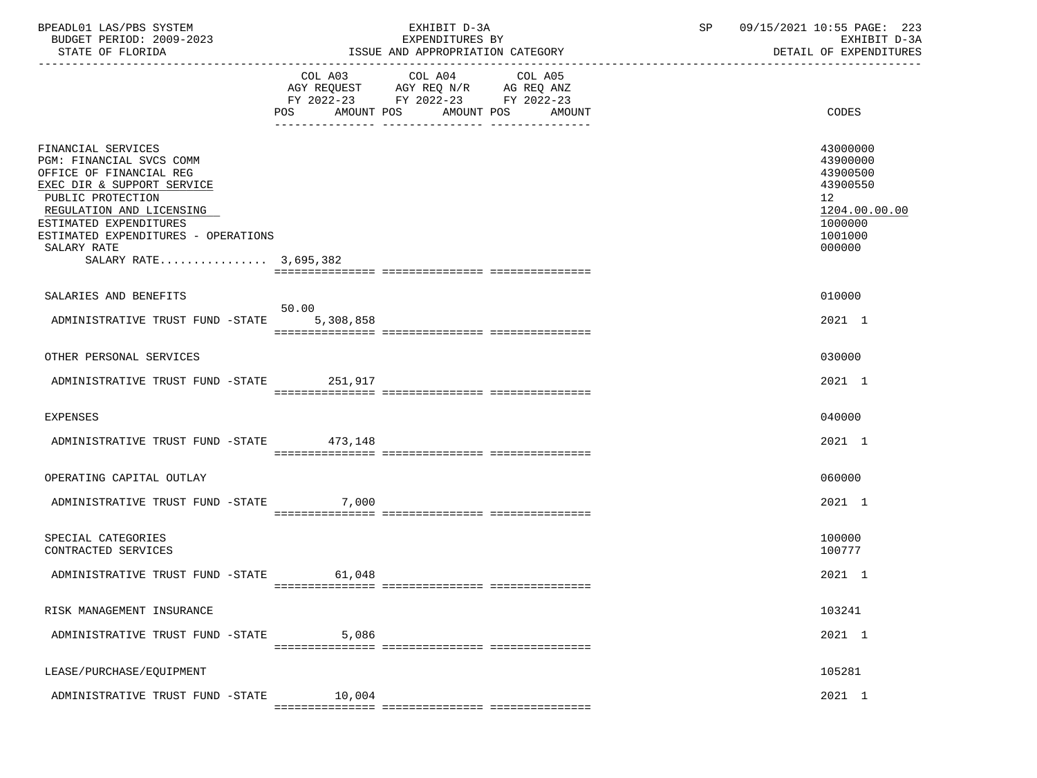| BPEADL01 LAS/PBS SYSTEM |                          |
|-------------------------|--------------------------|
|                         | BUDGET PERIOD: 2009-2023 |

|                                                                                                                                                                                                                                                                   | COL A03<br>AGY REQUEST<br>FY 2022-23<br><b>POS</b> | COL A04<br>AGY REQ N/R<br>FY 2022-23 FY 2022-23 | COL A05 | AG REQ ANZ |                                                                                                     |
|-------------------------------------------------------------------------------------------------------------------------------------------------------------------------------------------------------------------------------------------------------------------|----------------------------------------------------|-------------------------------------------------|---------|------------|-----------------------------------------------------------------------------------------------------|
|                                                                                                                                                                                                                                                                   | AMOUNT POS                                         | AMOUNT POS                                      |         | AMOUNT     | CODES                                                                                               |
| FINANCIAL SERVICES<br>PGM: FINANCIAL SVCS COMM<br>OFFICE OF FINANCIAL REG<br>EXEC DIR & SUPPORT SERVICE<br>PUBLIC PROTECTION<br>REGULATION AND LICENSING<br>ESTIMATED EXPENDITURES<br>ESTIMATED EXPENDITURES - OPERATIONS<br>SALARY RATE<br>SALARY RATE 3,695,382 |                                                    |                                                 |         |            | 43000000<br>43900000<br>43900500<br>43900550<br>12<br>1204.00.00.00<br>1000000<br>1001000<br>000000 |
|                                                                                                                                                                                                                                                                   |                                                    |                                                 |         |            |                                                                                                     |
| SALARIES AND BENEFITS                                                                                                                                                                                                                                             | 50.00                                              |                                                 |         |            | 010000                                                                                              |
| ADMINISTRATIVE TRUST FUND -STATE                                                                                                                                                                                                                                  | 5,308,858                                          |                                                 |         |            | 2021 1                                                                                              |
|                                                                                                                                                                                                                                                                   |                                                    |                                                 |         |            |                                                                                                     |
| OTHER PERSONAL SERVICES                                                                                                                                                                                                                                           |                                                    |                                                 |         |            | 030000                                                                                              |
| ADMINISTRATIVE TRUST FUND -STATE                                                                                                                                                                                                                                  | 251,917                                            |                                                 |         |            | 2021 1                                                                                              |
| <b>EXPENSES</b>                                                                                                                                                                                                                                                   |                                                    |                                                 |         |            | 040000                                                                                              |
| ADMINISTRATIVE TRUST FUND -STATE                                                                                                                                                                                                                                  | 473,148                                            |                                                 |         |            | 2021 1                                                                                              |
|                                                                                                                                                                                                                                                                   |                                                    |                                                 |         |            |                                                                                                     |
| OPERATING CAPITAL OUTLAY                                                                                                                                                                                                                                          |                                                    |                                                 |         |            | 060000                                                                                              |
| ADMINISTRATIVE TRUST FUND -STATE 7,000                                                                                                                                                                                                                            |                                                    |                                                 |         |            | 2021 1                                                                                              |
|                                                                                                                                                                                                                                                                   |                                                    |                                                 |         |            |                                                                                                     |
| SPECIAL CATEGORIES<br>CONTRACTED SERVICES                                                                                                                                                                                                                         |                                                    |                                                 |         |            | 100000<br>100777                                                                                    |
| ADMINISTRATIVE TRUST FUND -STATE 61,048                                                                                                                                                                                                                           |                                                    |                                                 |         |            | 2021 1                                                                                              |
|                                                                                                                                                                                                                                                                   |                                                    |                                                 |         |            |                                                                                                     |
| RISK MANAGEMENT INSURANCE                                                                                                                                                                                                                                         |                                                    |                                                 |         |            | 103241                                                                                              |
| ADMINISTRATIVE TRUST FUND -STATE                                                                                                                                                                                                                                  | 5,086                                              |                                                 |         |            | 2021 1                                                                                              |
|                                                                                                                                                                                                                                                                   |                                                    |                                                 |         |            |                                                                                                     |
| LEASE/PURCHASE/EQUIPMENT                                                                                                                                                                                                                                          |                                                    |                                                 |         |            | 105281                                                                                              |
| ADMINISTRATIVE TRUST FUND -STATE                                                                                                                                                                                                                                  | 10,004                                             |                                                 |         |            | 2021 1                                                                                              |
|                                                                                                                                                                                                                                                                   |                                                    |                                                 |         |            |                                                                                                     |

ISSUE AND APPROPRIATION CATEGORY

-----------------------------------------------------------------------------------------------------------------------------------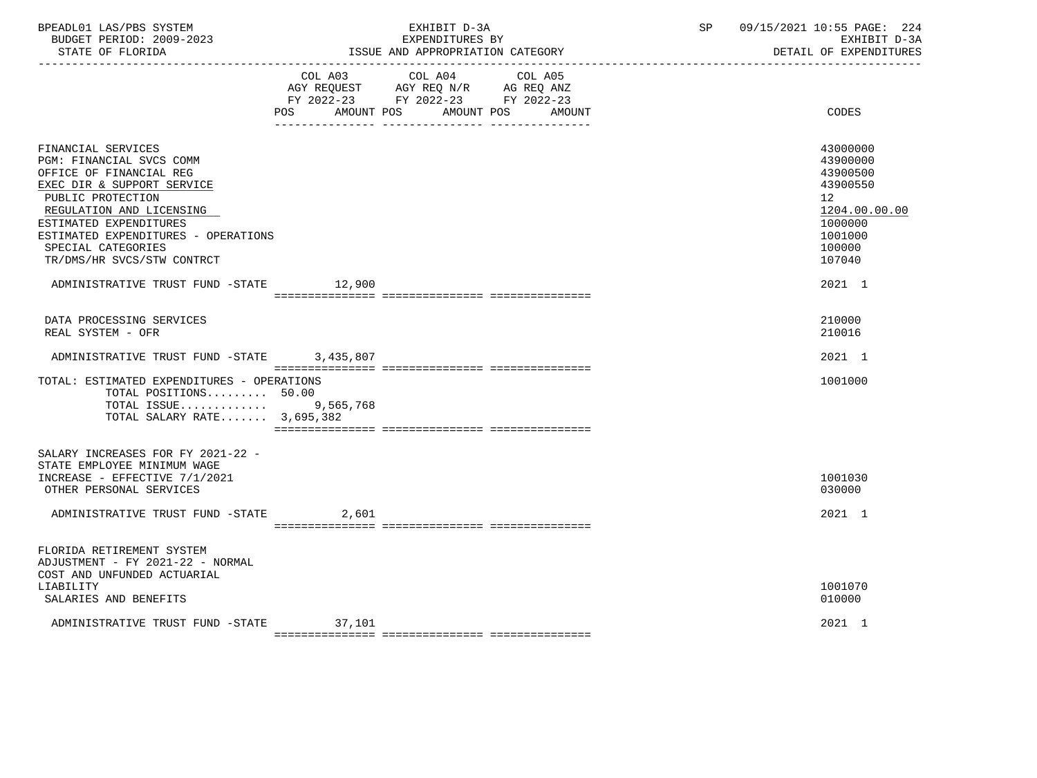| BPEADL01 LAS/PBS SYSTEM |                          |
|-------------------------|--------------------------|
|                         | BUDGET PERIOD: 2009-2023 |

|                                                                                                                                                                                                                                                                               | COL A03           | COL A04 COL A05<br>AGY REQUEST AGY REQ N/R AG REQ ANZ<br>FY 2022-23 FY 2022-23 FY 2022-23 |        |                                                                                                                            |
|-------------------------------------------------------------------------------------------------------------------------------------------------------------------------------------------------------------------------------------------------------------------------------|-------------------|-------------------------------------------------------------------------------------------|--------|----------------------------------------------------------------------------------------------------------------------------|
|                                                                                                                                                                                                                                                                               | POS<br>AMOUNT POS | AMOUNT POS                                                                                | AMOUNT | CODES                                                                                                                      |
|                                                                                                                                                                                                                                                                               |                   |                                                                                           |        |                                                                                                                            |
| FINANCIAL SERVICES<br>PGM: FINANCIAL SVCS COMM<br>OFFICE OF FINANCIAL REG<br>EXEC DIR & SUPPORT SERVICE<br>PUBLIC PROTECTION<br>REGULATION AND LICENSING<br>ESTIMATED EXPENDITURES<br>ESTIMATED EXPENDITURES - OPERATIONS<br>SPECIAL CATEGORIES<br>TR/DMS/HR SVCS/STW CONTRCT |                   |                                                                                           |        | 43000000<br>43900000<br>43900500<br>43900550<br>12 <sub>2</sub><br>1204.00.00.00<br>1000000<br>1001000<br>100000<br>107040 |
| ADMINISTRATIVE TRUST FUND -STATE 12,900                                                                                                                                                                                                                                       |                   |                                                                                           |        | 2021 1                                                                                                                     |
|                                                                                                                                                                                                                                                                               |                   |                                                                                           |        |                                                                                                                            |
| DATA PROCESSING SERVICES<br>REAL SYSTEM - OFR                                                                                                                                                                                                                                 |                   |                                                                                           |        | 210000<br>210016                                                                                                           |
| ADMINISTRATIVE TRUST FUND -STATE 3,435,807                                                                                                                                                                                                                                    |                   |                                                                                           |        | 2021 1                                                                                                                     |
| TOTAL: ESTIMATED EXPENDITURES - OPERATIONS<br>TOTAL POSITIONS 50.00<br>TOTAL ISSUE<br>TOTAL SALARY RATE 3,695,382                                                                                                                                                             | 9,565,768         |                                                                                           |        | 1001000                                                                                                                    |
| SALARY INCREASES FOR FY 2021-22 -                                                                                                                                                                                                                                             |                   |                                                                                           |        |                                                                                                                            |
| STATE EMPLOYEE MINIMUM WAGE<br>INCREASE - EFFECTIVE 7/1/2021<br>OTHER PERSONAL SERVICES                                                                                                                                                                                       |                   |                                                                                           |        | 1001030<br>030000                                                                                                          |
| ADMINISTRATIVE TRUST FUND -STATE                                                                                                                                                                                                                                              | 2,601             |                                                                                           |        | 2021 1                                                                                                                     |
|                                                                                                                                                                                                                                                                               |                   |                                                                                           |        |                                                                                                                            |
| FLORIDA RETIREMENT SYSTEM<br>ADJUSTMENT - FY 2021-22 - NORMAL<br>COST AND UNFUNDED ACTUARIAL                                                                                                                                                                                  |                   |                                                                                           |        |                                                                                                                            |
| LIABILITY<br>SALARIES AND BENEFITS                                                                                                                                                                                                                                            |                   |                                                                                           |        | 1001070<br>010000                                                                                                          |
| ADMINISTRATIVE TRUST FUND -STATE                                                                                                                                                                                                                                              | 37,101            |                                                                                           |        | 2021 1                                                                                                                     |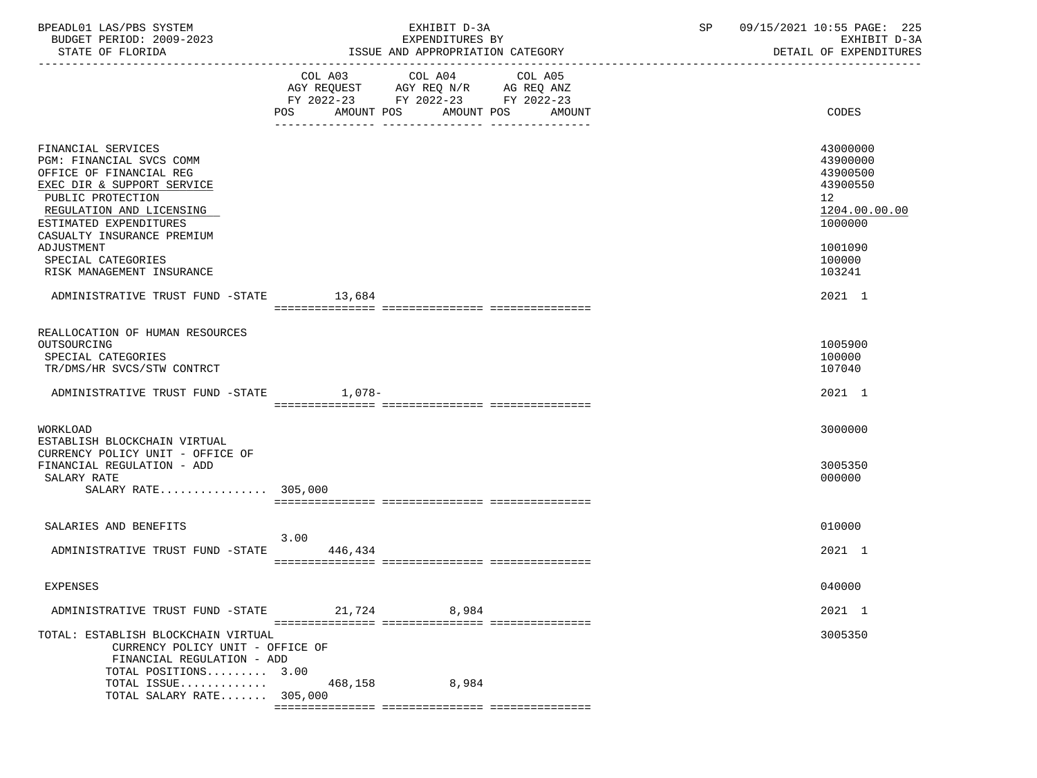| BPEADL01 LAS/PBS SYSTEM  | EXHIBIT D-3A                     | 09/15/2021 10:55 PAGE: 225 |  |
|--------------------------|----------------------------------|----------------------------|--|
| BUDGET PERIOD: 2009-2023 | EXPENDITURES BY                  | EXHIBIT D-3A               |  |
| STATE OF FLORIDA         | ISSUE AND APPROPRIATION CATEGORY | DETAIL OF EXPENDITURES     |  |

|                                                                                                                                                                                                                  | COL A03<br>AGY REQUEST AGY REQ N/R AG REQ ANZ<br>FY 2022-23 FY 2022-23 FY 2022-23<br>POS<br>AMOUNT POS | COL A04 | COL A05<br>AMOUNT POS<br>AMOUNT | CODES                                                                          |
|------------------------------------------------------------------------------------------------------------------------------------------------------------------------------------------------------------------|--------------------------------------------------------------------------------------------------------|---------|---------------------------------|--------------------------------------------------------------------------------|
| FINANCIAL SERVICES<br>PGM: FINANCIAL SVCS COMM<br>OFFICE OF FINANCIAL REG<br>EXEC DIR & SUPPORT SERVICE<br>PUBLIC PROTECTION<br>REGULATION AND LICENSING<br>ESTIMATED EXPENDITURES<br>CASUALTY INSURANCE PREMIUM |                                                                                                        |         |                                 | 43000000<br>43900000<br>43900500<br>43900550<br>12<br>1204.00.00.00<br>1000000 |
| ADJUSTMENT<br>SPECIAL CATEGORIES<br>RISK MANAGEMENT INSURANCE                                                                                                                                                    |                                                                                                        |         |                                 | 1001090<br>100000<br>103241                                                    |
| ADMINISTRATIVE TRUST FUND -STATE 13,684                                                                                                                                                                          |                                                                                                        |         |                                 | 2021 1                                                                         |
| REALLOCATION OF HUMAN RESOURCES<br>OUTSOURCING<br>SPECIAL CATEGORIES<br>TR/DMS/HR SVCS/STW CONTRCT                                                                                                               |                                                                                                        |         |                                 | 1005900<br>100000<br>107040                                                    |
| ADMINISTRATIVE TRUST FUND -STATE 1,078-                                                                                                                                                                          |                                                                                                        |         |                                 | 2021 1                                                                         |
| WORKLOAD<br>ESTABLISH BLOCKCHAIN VIRTUAL<br>CURRENCY POLICY UNIT - OFFICE OF<br>FINANCIAL REGULATION - ADD<br>SALARY RATE                                                                                        |                                                                                                        |         |                                 | 3000000<br>3005350<br>000000                                                   |
| SALARY RATE 305,000                                                                                                                                                                                              |                                                                                                        |         |                                 |                                                                                |
| SALARIES AND BENEFITS                                                                                                                                                                                            | 3.00                                                                                                   |         |                                 | 010000                                                                         |
| ADMINISTRATIVE TRUST FUND -STATE 446,434                                                                                                                                                                         |                                                                                                        |         |                                 | 2021 1                                                                         |
| <b>EXPENSES</b>                                                                                                                                                                                                  |                                                                                                        |         |                                 | 040000                                                                         |
| ADMINISTRATIVE TRUST FUND -STATE 21,724                                                                                                                                                                          |                                                                                                        | 8,984   |                                 | 2021 1                                                                         |
| TOTAL: ESTABLISH BLOCKCHAIN VIRTUAL<br>CURRENCY POLICY UNIT - OFFICE OF<br>FINANCIAL REGULATION - ADD<br>TOTAL POSITIONS 3.00<br>TOTAL ISSUE $468,158$                                                           |                                                                                                        | 8,984   |                                 | 3005350                                                                        |
| TOTAL SALARY RATE $305,000$                                                                                                                                                                                      |                                                                                                        |         |                                 |                                                                                |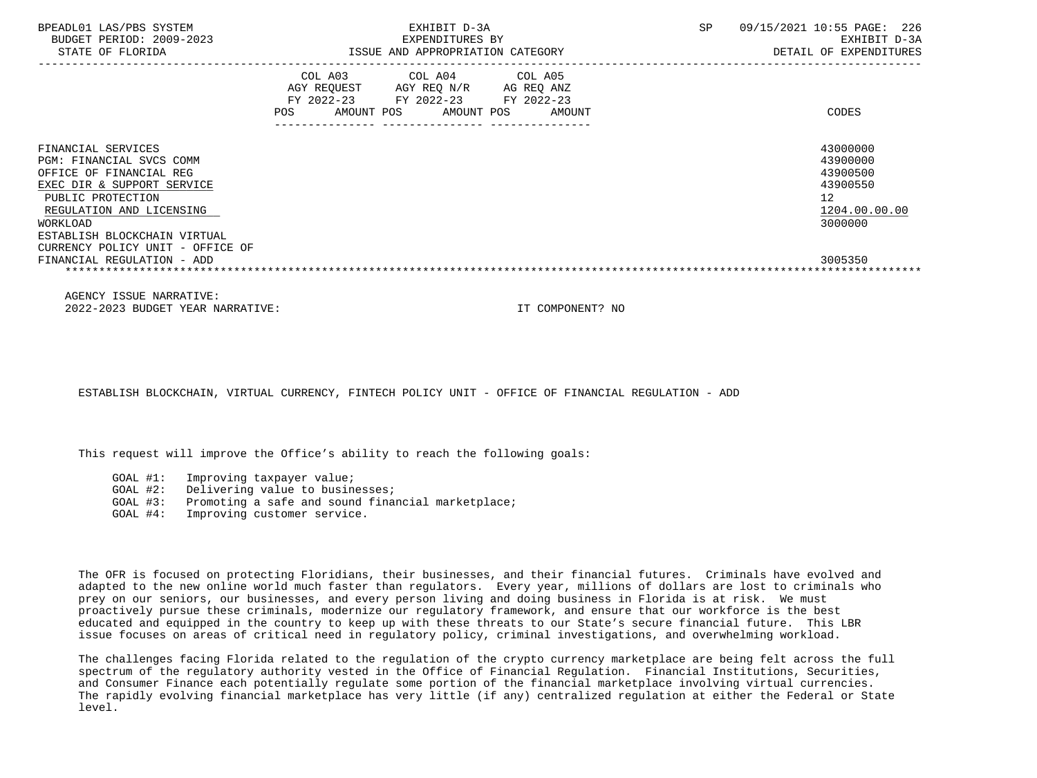| BPEADL01 LAS/PBS SYSTEM<br>BUDGET PERIOD: 2009-2023<br>STATE OF FLORIDA                                                                                              | EXHIBIT D-3A<br>EXPENDITURES BY<br>ISSUE AND APPROPRIATION CATEGORY                                                                                            | SP.<br>09/15/2021 10:55 PAGE: 226<br>EXHIBIT D-3A<br>DETAIL OF EXPENDITURES                 |
|----------------------------------------------------------------------------------------------------------------------------------------------------------------------|----------------------------------------------------------------------------------------------------------------------------------------------------------------|---------------------------------------------------------------------------------------------|
|                                                                                                                                                                      | COL A03 COL A04 COL A05<br>AGY REQUEST AGY REQ N/R AG REQ ANZ<br>FY 2022-23 FY 2022-23 FY 2022-23<br>AMOUNT POS AMOUNT POS<br>POS<br>AMOUNT<br>--------------- | CODES                                                                                       |
| FINANCIAL SERVICES<br>PGM: FINANCIAL SVCS COMM<br>OFFICE OF FINANCIAL REG<br>EXEC DIR & SUPPORT SERVICE<br>PUBLIC PROTECTION<br>REGULATION AND LICENSING<br>WORKLOAD |                                                                                                                                                                | 43000000<br>43900000<br>43900500<br>43900550<br>12 <sup>°</sup><br>1204.00.00.00<br>3000000 |
| ESTABLISH BLOCKCHAIN VIRTUAL<br>CURRENCY POLICY UNIT - OFFICE OF<br>FINANCIAL REGULATION - ADD                                                                       |                                                                                                                                                                | 3005350                                                                                     |

 AGENCY ISSUE NARRATIVE: 2022-2023 BUDGET YEAR NARRATIVE: IT COMPONENT? NO

ESTABLISH BLOCKCHAIN, VIRTUAL CURRENCY, FINTECH POLICY UNIT - OFFICE OF FINANCIAL REGULATION - ADD

This request will improve the Office's ability to reach the following goals:

- GOAL #1: Improving taxpayer value;
- GOAL #2: Delivering value to businesses;
- GOAL #3: Promoting a safe and sound financial marketplace;
- GOAL #4: Improving customer service.

 The OFR is focused on protecting Floridians, their businesses, and their financial futures. Criminals have evolved and adapted to the new online world much faster than regulators. Every year, millions of dollars are lost to criminals who prey on our seniors, our businesses, and every person living and doing business in Florida is at risk. We must proactively pursue these criminals, modernize our regulatory framework, and ensure that our workforce is the best educated and equipped in the country to keep up with these threats to our State's secure financial future. This LBR issue focuses on areas of critical need in regulatory policy, criminal investigations, and overwhelming workload.

 The challenges facing Florida related to the regulation of the crypto currency marketplace are being felt across the full spectrum of the regulatory authority vested in the Office of Financial Regulation. Financial Institutions, Securities, and Consumer Finance each potentially regulate some portion of the financial marketplace involving virtual currencies. The rapidly evolving financial marketplace has very little (if any) centralized regulation at either the Federal or State level.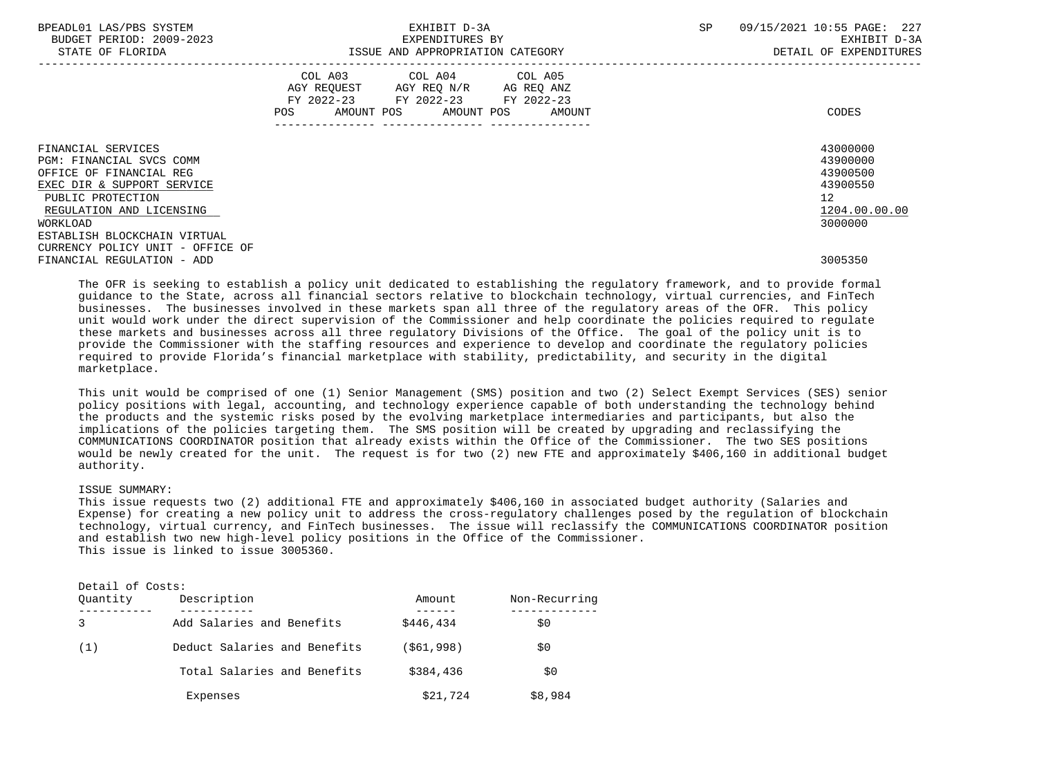| BPEADL01 LAS/PBS SYSTEM<br>BUDGET PERIOD: 2009-2023<br>STATE OF FLORIDA |     | EXHIBIT D-3A<br>EXPENDITURES BY                                                                                                   | ISSUE AND APPROPRIATION CATEGORY | SP | 09/15/2021 10:55 PAGE: 227<br>EXHIBIT D-3A<br>DETAIL OF EXPENDITURES |
|-------------------------------------------------------------------------|-----|-----------------------------------------------------------------------------------------------------------------------------------|----------------------------------|----|----------------------------------------------------------------------|
|                                                                         | POS | COL A03 COL A04 COL A05<br>AGY REQUEST AGY REQ N/R AG REQ ANZ<br>FY 2022-23 FY 2022-23 FY 2022-23<br>AMOUNT POS AMOUNT POS AMOUNT |                                  |    | CODES                                                                |
| FINANCIAL SERVICES                                                      |     |                                                                                                                                   |                                  |    | 43000000                                                             |
| PGM: FINANCIAL SVCS COMM                                                |     |                                                                                                                                   |                                  |    | 43900000                                                             |
| OFFICE OF FINANCIAL REG                                                 |     |                                                                                                                                   |                                  |    | 43900500                                                             |
| EXEC DIR & SUPPORT SERVICE                                              |     |                                                                                                                                   |                                  |    | 43900550                                                             |
| PUBLIC PROTECTION                                                       |     |                                                                                                                                   |                                  |    | 12 <sup>°</sup>                                                      |
| REGULATION AND LICENSING                                                |     |                                                                                                                                   |                                  |    | 1204.00.00.00                                                        |
| WORKLOAD                                                                |     |                                                                                                                                   |                                  |    | 3000000                                                              |
| ESTABLISH BLOCKCHAIN VIRTUAL                                            |     |                                                                                                                                   |                                  |    |                                                                      |
| CURRENCY POLICY UNIT - OFFICE OF                                        |     |                                                                                                                                   |                                  |    |                                                                      |
| FINANCIAL REGULATION - ADD                                              |     |                                                                                                                                   |                                  |    | 3005350                                                              |

 The OFR is seeking to establish a policy unit dedicated to establishing the regulatory framework, and to provide formal guidance to the State, across all financial sectors relative to blockchain technology, virtual currencies, and FinTech businesses. The businesses involved in these markets span all three of the regulatory areas of the OFR. This policy unit would work under the direct supervision of the Commissioner and help coordinate the policies required to regulate these markets and businesses across all three regulatory Divisions of the Office. The goal of the policy unit is to provide the Commissioner with the staffing resources and experience to develop and coordinate the regulatory policies required to provide Florida's financial marketplace with stability, predictability, and security in the digital marketplace.

 This unit would be comprised of one (1) Senior Management (SMS) position and two (2) Select Exempt Services (SES) senior policy positions with legal, accounting, and technology experience capable of both understanding the technology behind the products and the systemic risks posed by the evolving marketplace intermediaries and participants, but also the implications of the policies targeting them. The SMS position will be created by upgrading and reclassifying the COMMUNICATIONS COORDINATOR position that already exists within the Office of the Commissioner. The two SES positions would be newly created for the unit. The request is for two (2) new FTE and approximately \$406,160 in additional budget authority.

# ISSUE SUMMARY:

 This issue requests two (2) additional FTE and approximately \$406,160 in associated budget authority (Salaries and Expense) for creating a new policy unit to address the cross-regulatory challenges posed by the regulation of blockchain technology, virtual currency, and FinTech businesses. The issue will reclassify the COMMUNICATIONS COORDINATOR position and establish two new high-level policy positions in the Office of the Commissioner. This issue is linked to issue 3005360.

| Detail of Costs: |                              |            |               |
|------------------|------------------------------|------------|---------------|
| Ouantity         | Description                  | Amount     | Non-Recurring |
| 3                | Add Salaries and Benefits    | \$446,434  | \$0           |
| (1)              | Deduct Salaries and Benefits | (561, 998) | \$0           |
|                  | Total Salaries and Benefits  | \$384,436  | \$0           |
|                  | Expenses                     | \$21,724   | \$8,984       |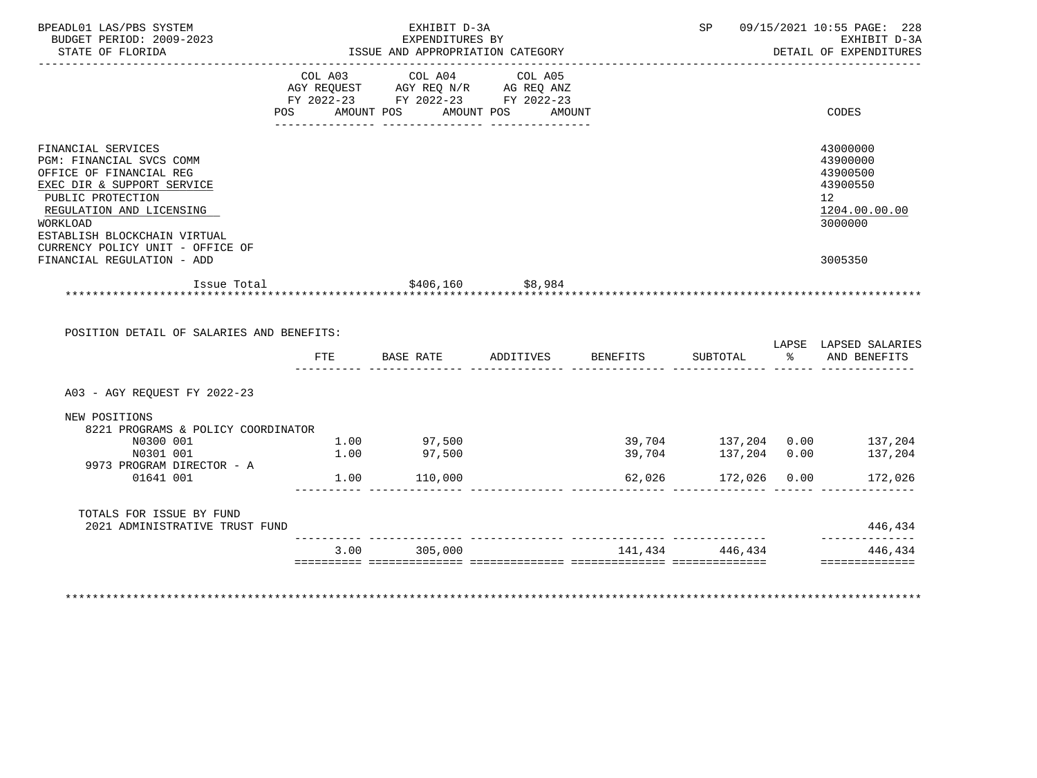| BUDGET PERIOD: 2009-2023<br>STATE OF FLORIDA                                                                                                                                                                                             |     | EXHIBIT D-3A<br>EXPENDITURES BY<br>ISSUE AND APPROPRIATION CATEGORY                                                           |                     |                    | SP and the set of the set of the set of the set of the set of the set of the set of the set of the set of the s | 09/15/2021 10:55 PAGE: 228<br>EXHIBIT D-3A<br>DETAIL OF EXPENDITURES                                   |
|------------------------------------------------------------------------------------------------------------------------------------------------------------------------------------------------------------------------------------------|-----|-------------------------------------------------------------------------------------------------------------------------------|---------------------|--------------------|-----------------------------------------------------------------------------------------------------------------|--------------------------------------------------------------------------------------------------------|
|                                                                                                                                                                                                                                          |     | COL A03 COL A04<br>AGY REQUEST AGY REQ N/R AG REQ ANZ<br>FY 2022-23 FY 2022-23 FY 2022-23<br>POS AMOUNT POS AMOUNT POS AMOUNT | COL A05             |                    |                                                                                                                 | ________________________<br>CODES                                                                      |
|                                                                                                                                                                                                                                          |     |                                                                                                                               |                     |                    |                                                                                                                 |                                                                                                        |
| FINANCIAL SERVICES<br>PGM: FINANCIAL SVCS COMM<br>OFFICE OF FINANCIAL REG<br>EXEC DIR & SUPPORT SERVICE<br>PUBLIC PROTECTION<br>REGULATION AND LICENSING<br>WORKLOAD<br>ESTABLISH BLOCKCHAIN VIRTUAL<br>CURRENCY POLICY UNIT - OFFICE OF |     |                                                                                                                               |                     |                    |                                                                                                                 | 43000000<br>43900000<br>43900500<br>43900550<br>12 <sup>°</sup><br>1204.00.00.00<br>3000000<br>3005350 |
| FINANCIAL REGULATION - ADD                                                                                                                                                                                                               |     |                                                                                                                               |                     |                    |                                                                                                                 |                                                                                                        |
| Issue Total                                                                                                                                                                                                                              |     |                                                                                                                               | $$406,160$ $$8,984$ |                    |                                                                                                                 |                                                                                                        |
|                                                                                                                                                                                                                                          |     |                                                                                                                               |                     |                    |                                                                                                                 |                                                                                                        |
| POSITION DETAIL OF SALARIES AND BENEFITS:                                                                                                                                                                                                | FTE | BASE RATE                                                                                                                     |                     | ADDITIVES BENEFITS | SUBTOTAL                                                                                                        | % AND BENEFITS                                                                                         |
| A03 - AGY REQUEST FY 2022-23                                                                                                                                                                                                             |     |                                                                                                                               |                     |                    |                                                                                                                 |                                                                                                        |
| NEW POSITIONS<br>8221 PROGRAMS & POLICY COORDINATOR                                                                                                                                                                                      |     |                                                                                                                               |                     |                    |                                                                                                                 | LAPSE LAPSED SALARIES                                                                                  |
| N0300 001<br>N0301 001                                                                                                                                                                                                                   |     | $1.00$ $97,500$<br>$1.00$ $97,500$                                                                                            |                     |                    |                                                                                                                 |                                                                                                        |
| 9973 PROGRAM DIRECTOR - A<br>01641 001                                                                                                                                                                                                   |     | $1.00$ 110,000                                                                                                                |                     |                    | 62,026 172,026 0.00                                                                                             | 172,026                                                                                                |
| TOTALS FOR ISSUE BY FUND<br>2021 ADMINISTRATIVE TRUST FUND                                                                                                                                                                               |     |                                                                                                                               |                     |                    |                                                                                                                 | 446,434<br>--------------                                                                              |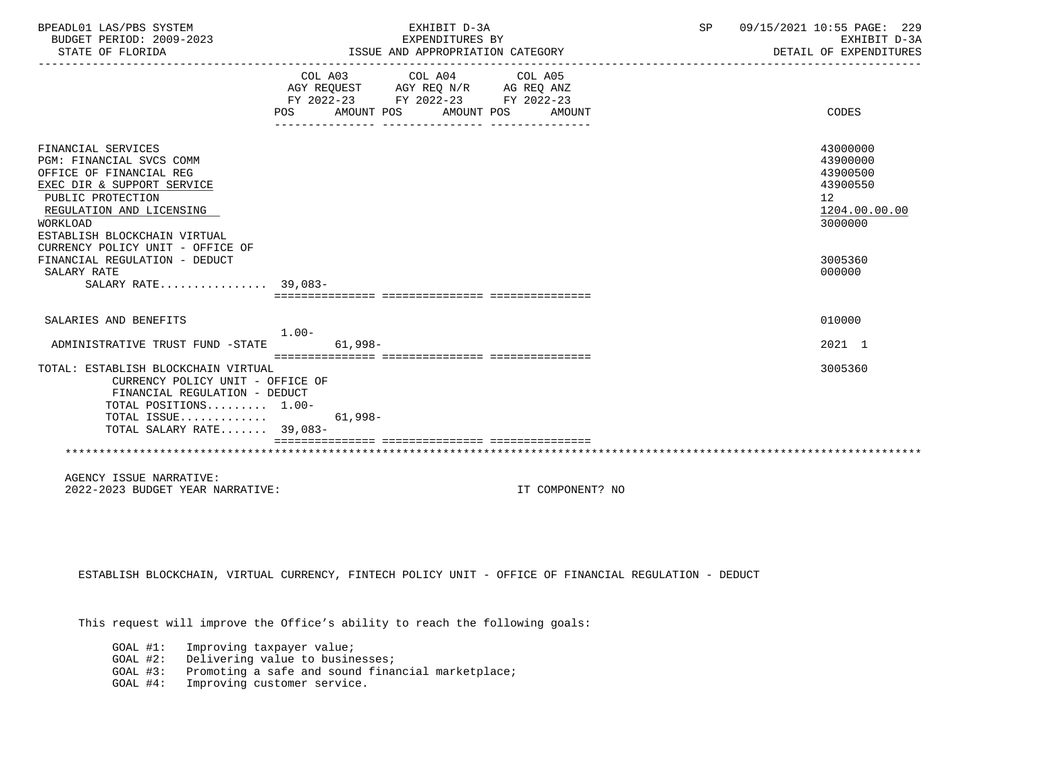| BPEADL01 LAS/PBS SYSTEM<br>BUDGET PERIOD: 2009-2023<br>STATE OF FLORIDA                                                                                                                                                                                                                  |                      | EXHIBIT D-3A<br>EXPENDITURES BY<br>ISSUE AND APPROPRIATION CATEGORY                                                                      | SP <sub>2</sub> | 09/15/2021 10:55 PAGE: 229<br>EXHIBIT D-3A<br>DETAIL OF EXPENDITURES                                             |
|------------------------------------------------------------------------------------------------------------------------------------------------------------------------------------------------------------------------------------------------------------------------------------------|----------------------|------------------------------------------------------------------------------------------------------------------------------------------|-----------------|------------------------------------------------------------------------------------------------------------------|
|                                                                                                                                                                                                                                                                                          |                      | COL A03 COL A04 COL A05<br>AGY REQUEST AGY REQ N/R AG REQ ANZ<br>FY 2022-23 FY 2022-23 FY 2022-23<br>POS AMOUNT POS AMOUNT POS<br>AMOUNT |                 | CODES                                                                                                            |
| FINANCIAL SERVICES<br>PGM: FINANCIAL SVCS COMM<br>OFFICE OF FINANCIAL REG<br>EXEC DIR & SUPPORT SERVICE<br>PUBLIC PROTECTION<br>REGULATION AND LICENSING<br>WORKLOAD<br>ESTABLISH BLOCKCHAIN VIRTUAL<br>CURRENCY POLICY UNIT - OFFICE OF<br>FINANCIAL REGULATION - DEDUCT<br>SALARY RATE |                      |                                                                                                                                          |                 | 43000000<br>43900000<br>43900500<br>43900550<br>12 <sup>°</sup><br>1204.00.00.00<br>3000000<br>3005360<br>000000 |
| SALARY RATE 39.083-                                                                                                                                                                                                                                                                      |                      |                                                                                                                                          |                 |                                                                                                                  |
| SALARIES AND BENEFITS<br>ADMINISTRATIVE TRUST FUND -STATE                                                                                                                                                                                                                                | $1.00-$<br>$61,998-$ |                                                                                                                                          |                 | 010000<br>2021 1                                                                                                 |
| TOTAL: ESTABLISH BLOCKCHAIN VIRTUAL<br>CURRENCY POLICY UNIT - OFFICE OF<br>FINANCIAL REGULATION - DEDUCT<br>TOTAL POSITIONS 1.00-<br>TOTAL ISSUE<br>TOTAL SALARY RATE 39,083-                                                                                                            | $61,998-$            |                                                                                                                                          |                 | 3005360                                                                                                          |
|                                                                                                                                                                                                                                                                                          |                      |                                                                                                                                          |                 |                                                                                                                  |
| AGENCY ISSUE NARRATIVE:<br>2022-2023 BUDGET YEAR NARRATIVE:                                                                                                                                                                                                                              |                      | IT COMPONENT? NO                                                                                                                         |                 |                                                                                                                  |

ESTABLISH BLOCKCHAIN, VIRTUAL CURRENCY, FINTECH POLICY UNIT - OFFICE OF FINANCIAL REGULATION - DEDUCT

This request will improve the Office's ability to reach the following goals:

- GOAL #1: Improving taxpayer value;
- GOAL #2: Delivering value to businesses;
	- GOAL #3: Promoting a safe and sound financial marketplace;
	- GOAL #4: Improving customer service.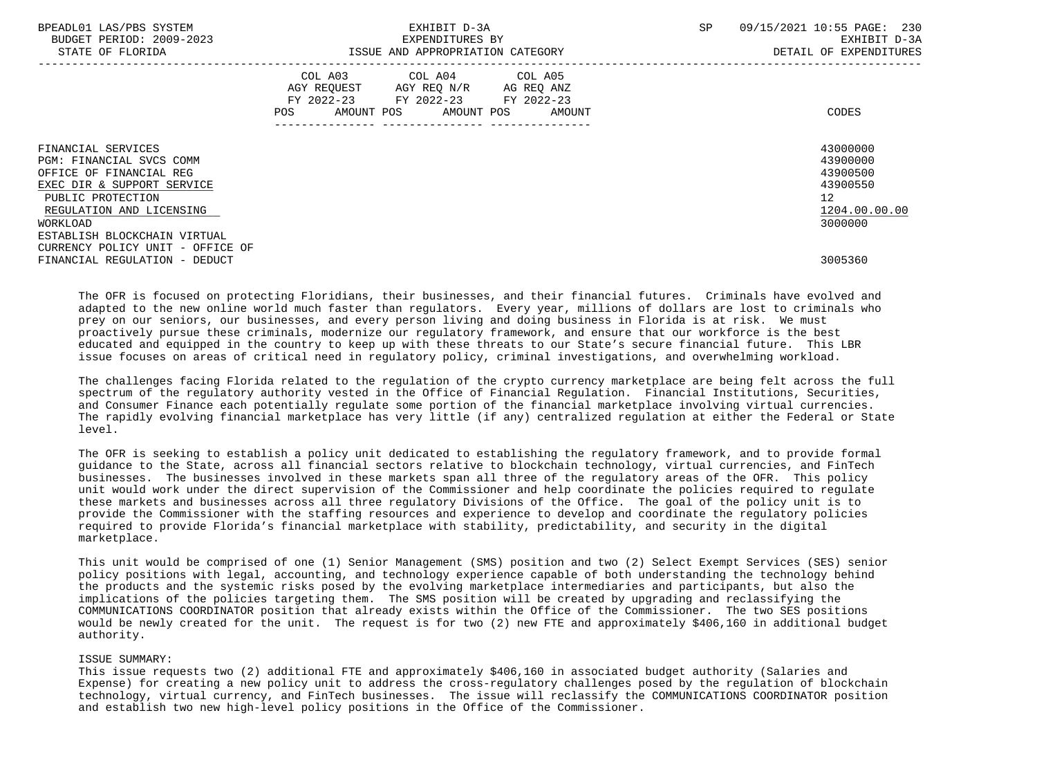| BPEADL01 LAS/PBS SYSTEM<br>BUDGET PERIOD: 2009-2023<br>STATE OF FLORIDA |                                                                                                                | EXHIBIT D-3A<br>EXPENDITURES BY                                                                                                   | ISSUE AND APPROPRIATION CATEGORY | SP | 09/15/2021 10:55 PAGE: 230<br>EXHIBIT D-3A<br>DETAIL OF EXPENDITURES |
|-------------------------------------------------------------------------|----------------------------------------------------------------------------------------------------------------|-----------------------------------------------------------------------------------------------------------------------------------|----------------------------------|----|----------------------------------------------------------------------|
|                                                                         | POS FOR THE POST OF THE STATE STATE STATE STATE STATE STATE STATE STATE STATE STATE STATE STATE STATE STATE ST | COL A03 COL A04 COL A05<br>AGY REQUEST AGY REQ N/R AG REQ ANZ<br>FY 2022-23 FY 2022-23 FY 2022-23<br>AMOUNT POS AMOUNT POS AMOUNT |                                  |    | CODES                                                                |
|                                                                         |                                                                                                                |                                                                                                                                   |                                  |    |                                                                      |
| FINANCIAL SERVICES                                                      |                                                                                                                |                                                                                                                                   |                                  |    | 43000000                                                             |
| PGM: FINANCIAL SVCS COMM                                                |                                                                                                                |                                                                                                                                   |                                  |    | 43900000                                                             |
| OFFICE OF FINANCIAL REG                                                 |                                                                                                                |                                                                                                                                   |                                  |    | 43900500                                                             |
| EXEC DIR & SUPPORT SERVICE                                              |                                                                                                                |                                                                                                                                   |                                  |    | 43900550                                                             |
| PUBLIC PROTECTION                                                       |                                                                                                                |                                                                                                                                   |                                  |    | 12 <sup>°</sup>                                                      |
| REGULATION AND LICENSING                                                |                                                                                                                |                                                                                                                                   |                                  |    | 1204.00.00.00                                                        |
| WORKLOAD                                                                |                                                                                                                |                                                                                                                                   |                                  |    | 3000000                                                              |
| ESTABLISH BLOCKCHAIN VIRTUAL                                            |                                                                                                                |                                                                                                                                   |                                  |    |                                                                      |
| CURRENCY POLICY UNIT - OFFICE OF                                        |                                                                                                                |                                                                                                                                   |                                  |    |                                                                      |
| FINANCIAL REGULATION - DEDUCT                                           |                                                                                                                |                                                                                                                                   |                                  |    | 3005360                                                              |

 The OFR is focused on protecting Floridians, their businesses, and their financial futures. Criminals have evolved and adapted to the new online world much faster than regulators. Every year, millions of dollars are lost to criminals who prey on our seniors, our businesses, and every person living and doing business in Florida is at risk. We must proactively pursue these criminals, modernize our regulatory framework, and ensure that our workforce is the best educated and equipped in the country to keep up with these threats to our State's secure financial future. This LBR issue focuses on areas of critical need in regulatory policy, criminal investigations, and overwhelming workload.

 The challenges facing Florida related to the regulation of the crypto currency marketplace are being felt across the full spectrum of the regulatory authority vested in the Office of Financial Regulation. Financial Institutions, Securities, and Consumer Finance each potentially regulate some portion of the financial marketplace involving virtual currencies. The rapidly evolving financial marketplace has very little (if any) centralized regulation at either the Federal or State level.

 The OFR is seeking to establish a policy unit dedicated to establishing the regulatory framework, and to provide formal guidance to the State, across all financial sectors relative to blockchain technology, virtual currencies, and FinTech businesses. The businesses involved in these markets span all three of the regulatory areas of the OFR. This policy unit would work under the direct supervision of the Commissioner and help coordinate the policies required to regulate these markets and businesses across all three regulatory Divisions of the Office. The goal of the policy unit is to provide the Commissioner with the staffing resources and experience to develop and coordinate the regulatory policies required to provide Florida's financial marketplace with stability, predictability, and security in the digital marketplace.

 This unit would be comprised of one (1) Senior Management (SMS) position and two (2) Select Exempt Services (SES) senior policy positions with legal, accounting, and technology experience capable of both understanding the technology behind the products and the systemic risks posed by the evolving marketplace intermediaries and participants, but also the implications of the policies targeting them. The SMS position will be created by upgrading and reclassifying the COMMUNICATIONS COORDINATOR position that already exists within the Office of the Commissioner. The two SES positions would be newly created for the unit. The request is for two (2) new FTE and approximately \$406,160 in additional budget authority.

# ISSUE SUMMARY:

 This issue requests two (2) additional FTE and approximately \$406,160 in associated budget authority (Salaries and Expense) for creating a new policy unit to address the cross-regulatory challenges posed by the regulation of blockchain technology, virtual currency, and FinTech businesses. The issue will reclassify the COMMUNICATIONS COORDINATOR position and establish two new high-level policy positions in the Office of the Commissioner.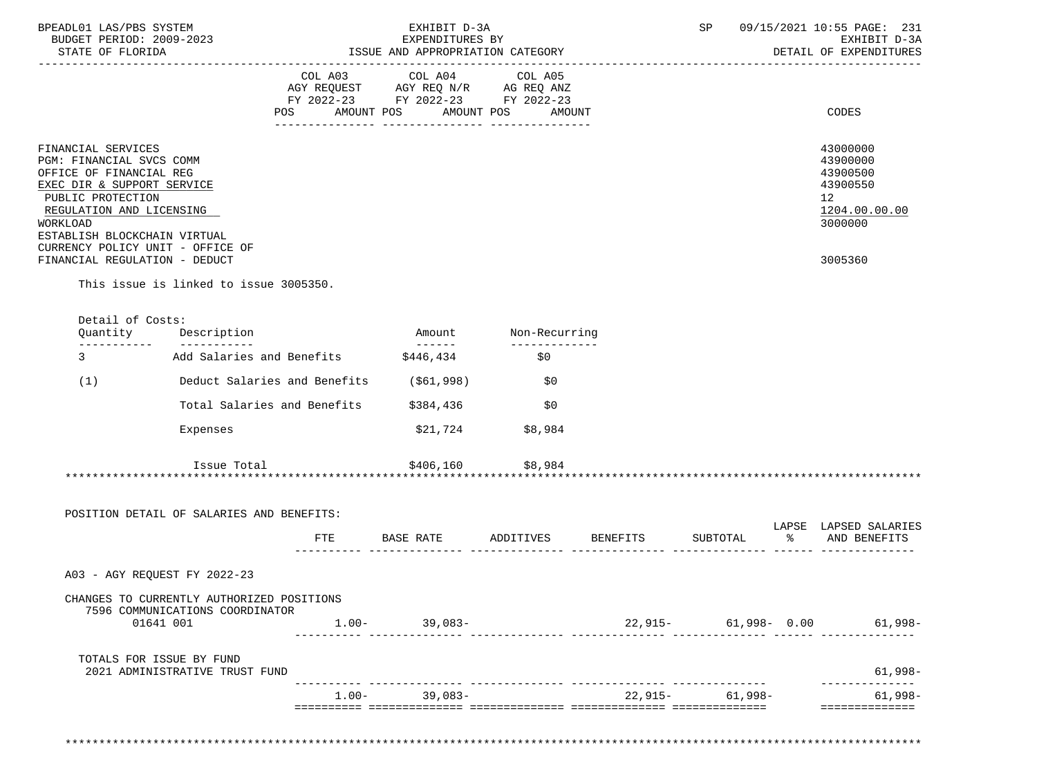| BPEADL01 LAS/PBS SYSTEM |                  |                          |
|-------------------------|------------------|--------------------------|
|                         |                  | BUDGET PERIOD: 2009-2023 |
|                         | CEARE OR RIODIDA |                          |

--------------- --------------- ---------------

POS AMOUNT POS AMOUNT POS AMOUNT CODES

 FINANCIAL SERVICES 43000000 PGM: FINANCIAL SVCS COMM 43900000<br>
PGM: FINANCIAL SVCS COMM 43900500<br>
OFFICE OF FINANCIAL REG OFFICE OF FINANCIAL REG 43900500<br>EXEC DIR & SUPPORT SERVICE 43900550 EXEC DIR & SUPPORT SERVICE 4390<br>
PUBLIC PROTECTION PUBLIC PROTECTION 12<br>REGULATION AND LICENSING

 REGULATION AND LICENSING 1204.00.00.00 \_\_\_\_\_\_\_\_\_\_\_\_\_\_\_\_\_\_\_\_\_\_\_\_\_\_ \_\_\_\_\_\_\_\_\_\_\_\_\_ WORKLOAD 3000000 ESTABLISH BLOCKCHAIN VIRTUAL CURRENCY POLICY UNIT - OFFICE OF FINANCIAL REGULATION - DEDUCT 3005360

This issue is linked to issue 3005350.

| Quantity<br>----------- | Description<br>___________                                 | Amount<br>$\begin{array}{cccccccccc} \multicolumn{2}{c}{} & \multicolumn{2}{c}{} & \multicolumn{2}{c}{} & \multicolumn{2}{c}{} & \multicolumn{2}{c}{} & \multicolumn{2}{c}{} & \multicolumn{2}{c}{} & \multicolumn{2}{c}{} & \multicolumn{2}{c}{} & \multicolumn{2}{c}{} & \multicolumn{2}{c}{} & \multicolumn{2}{c}{} & \multicolumn{2}{c}{} & \multicolumn{2}{c}{} & \multicolumn{2}{c}{} & \multicolumn{2}{c}{} & \multicolumn{2}{c}{} & \multicolumn{2}{c}{} & \multicolumn{2}{c}{} & \mult$ | Non-Recurring    |                                  |                              |                |                       |
|-------------------------|------------------------------------------------------------|--------------------------------------------------------------------------------------------------------------------------------------------------------------------------------------------------------------------------------------------------------------------------------------------------------------------------------------------------------------------------------------------------------------------------------------------------------------------------------------------------|------------------|----------------------------------|------------------------------|----------------|-----------------------|
| $\overline{3}$          | Add Salaries and Benefits 5446,434                         |                                                                                                                                                                                                                                                                                                                                                                                                                                                                                                  | \$0              |                                  |                              |                |                       |
| (1)                     | Deduct Salaries and Benefits                               | ( \$61, 998)                                                                                                                                                                                                                                                                                                                                                                                                                                                                                     | \$0              |                                  |                              |                |                       |
|                         | Total Salaries and Benefits                                | \$384,436                                                                                                                                                                                                                                                                                                                                                                                                                                                                                        | \$0              |                                  |                              |                |                       |
|                         | Expenses                                                   |                                                                                                                                                                                                                                                                                                                                                                                                                                                                                                  | \$21,724 \$8,984 |                                  |                              |                |                       |
|                         | Issue Total                                                | $$406,160$ $$8,984$                                                                                                                                                                                                                                                                                                                                                                                                                                                                              |                  |                                  |                              |                |                       |
|                         | **************************                                 |                                                                                                                                                                                                                                                                                                                                                                                                                                                                                                  |                  |                                  |                              |                |                       |
|                         |                                                            |                                                                                                                                                                                                                                                                                                                                                                                                                                                                                                  |                  |                                  |                              |                |                       |
|                         |                                                            |                                                                                                                                                                                                                                                                                                                                                                                                                                                                                                  |                  |                                  |                              |                |                       |
|                         | POSITION DETAIL OF SALARIES AND BENEFITS:                  |                                                                                                                                                                                                                                                                                                                                                                                                                                                                                                  |                  |                                  |                              |                |                       |
|                         |                                                            |                                                                                                                                                                                                                                                                                                                                                                                                                                                                                                  |                  | FTE BASE RATE ADDITIVES BENEFITS | SUBTOTAL                     | % AND BENEFITS |                       |
|                         | A03 - AGY REOUEST FY 2022-23                               |                                                                                                                                                                                                                                                                                                                                                                                                                                                                                                  |                  |                                  |                              |                |                       |
|                         | CHANGES TO CURRENTLY AUTHORIZED POSITIONS                  |                                                                                                                                                                                                                                                                                                                                                                                                                                                                                                  |                  |                                  |                              |                | LAPSE LAPSED SALARIES |
|                         | 7596 COMMUNICATIONS COORDINATOR<br>01641 001               | $1.00 - 39.083 -$                                                                                                                                                                                                                                                                                                                                                                                                                                                                                |                  |                                  | 22,915- 61,998- 0.00 61,998- |                |                       |
|                         | TOTALS FOR ISSUE BY FUND<br>2021 ADMINISTRATIVE TRUST FUND |                                                                                                                                                                                                                                                                                                                                                                                                                                                                                                  |                  |                                  |                              |                | 61,998-               |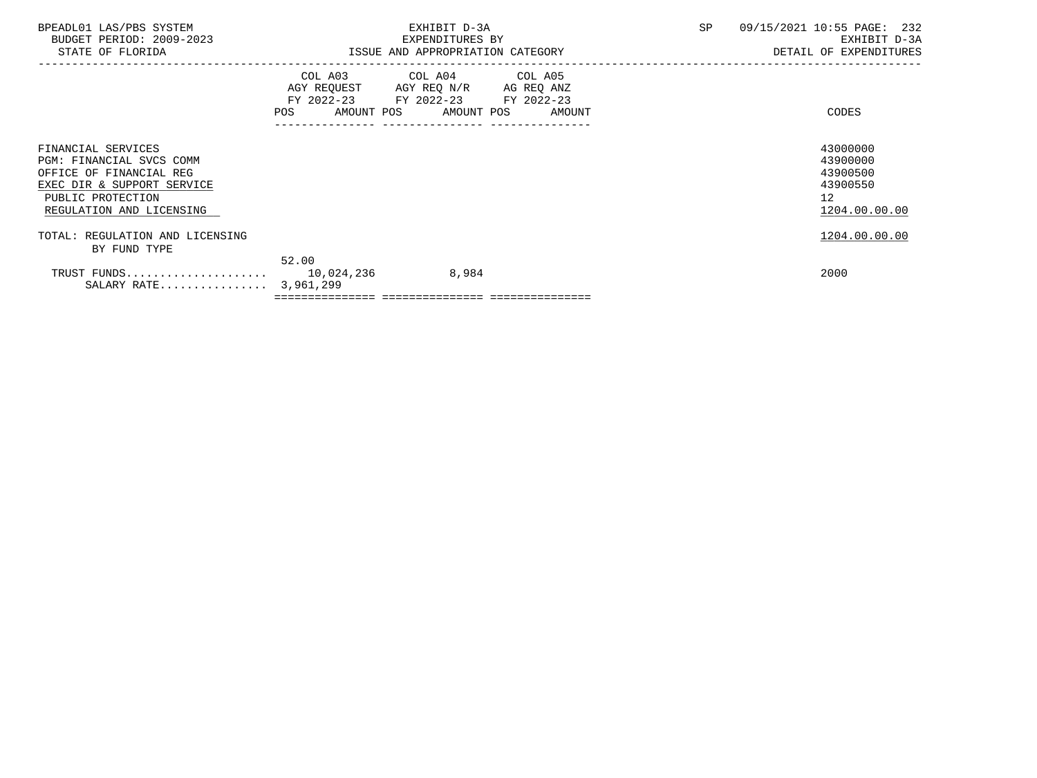| BPEADL01 LAS/PBS SYSTEM<br>BUDGET PERIOD: 2009-2023<br>STATE OF FLORIDA                                                                                  |                                              | EXHIBIT D-3A<br>EXPENDITURES BY<br>ISSUE AND APPROPRIATION CATEGORY                                                                  | <b>SP</b> | 09/15/2021 10:55 PAGE: 232<br>EXHIBIT D-3A<br>DETAIL OF EXPENDITURES             |
|----------------------------------------------------------------------------------------------------------------------------------------------------------|----------------------------------------------|--------------------------------------------------------------------------------------------------------------------------------------|-----------|----------------------------------------------------------------------------------|
|                                                                                                                                                          | <b>POS</b><br>---------------- ------------- | COL A03 COL A04 COL A05<br>AGY REQUEST AGY REQ N/R AG REQ ANZ<br>FY 2022-23 FY 2022-23 FY 2022-23<br>AMOUNT POS AMOUNT POS<br>AMOUNT |           | CODES                                                                            |
| FINANCIAL SERVICES<br>PGM: FINANCIAL SVCS COMM<br>OFFICE OF FINANCIAL REG<br>EXEC DIR & SUPPORT SERVICE<br>PUBLIC PROTECTION<br>REGULATION AND LICENSING |                                              |                                                                                                                                      |           | 43000000<br>43900000<br>43900500<br>43900550<br>12 <sup>7</sup><br>1204.00.00.00 |
| TOTAL: REGULATION AND LICENSING<br>BY FUND TYPE                                                                                                          |                                              |                                                                                                                                      |           | 1204.00.00.00                                                                    |
| SALARY RATE 3,961,299                                                                                                                                    | 52.00                                        | 8,984                                                                                                                                |           | 2000                                                                             |
|                                                                                                                                                          |                                              |                                                                                                                                      |           |                                                                                  |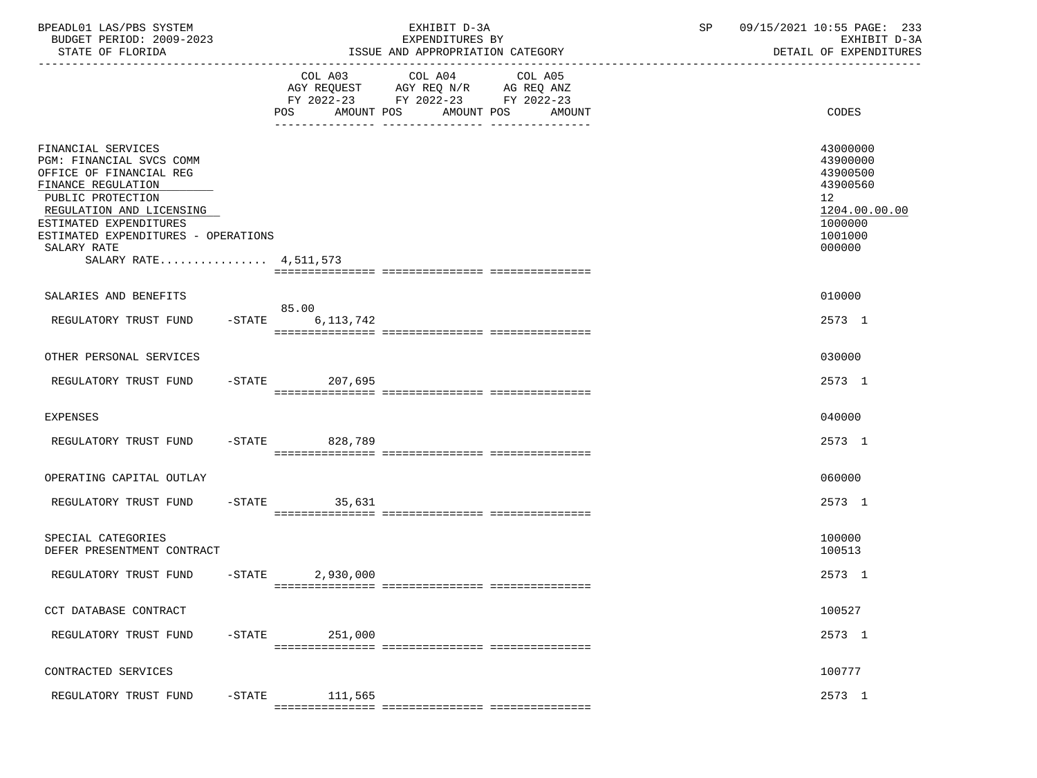| BPEADL01 LAS/PBS SYSTEM<br>BUDGET PERIOD: 2009-2023<br>STATE OF FLORIDA                                                                                                                                                                                   |           |                                     | EXHIBIT D-3A<br>EXPENDITURES BY<br>ISSUE AND APPROPRIATION CATEGORY                                                  | SP | 09/15/2021 10:55 PAGE: 233<br>EXHIBIT D-3A<br>DETAIL OF EXPENDITURES                                |
|-----------------------------------------------------------------------------------------------------------------------------------------------------------------------------------------------------------------------------------------------------------|-----------|-------------------------------------|----------------------------------------------------------------------------------------------------------------------|----|-----------------------------------------------------------------------------------------------------|
|                                                                                                                                                                                                                                                           |           | COL A03<br><b>POS</b><br>AMOUNT POS | COL A05<br>COL A04<br>AGY REQUEST AGY REQ N/R AG REQ ANZ<br>FY 2022-23 FY 2022-23 FY 2022-23<br>AMOUNT POS<br>AMOUNT |    | CODES                                                                                               |
| FINANCIAL SERVICES<br>PGM: FINANCIAL SVCS COMM<br>OFFICE OF FINANCIAL REG<br>FINANCE REGULATION<br>PUBLIC PROTECTION<br>REGULATION AND LICENSING<br>ESTIMATED EXPENDITURES<br>ESTIMATED EXPENDITURES - OPERATIONS<br>SALARY RATE<br>SALARY RATE 4,511,573 |           |                                     |                                                                                                                      |    | 43000000<br>43900000<br>43900500<br>43900560<br>12<br>1204.00.00.00<br>1000000<br>1001000<br>000000 |
| SALARIES AND BENEFITS                                                                                                                                                                                                                                     |           |                                     |                                                                                                                      |    | 010000                                                                                              |
| REGULATORY TRUST FUND                                                                                                                                                                                                                                     |           | 85.00<br>$-$ STATE<br>6,113,742     |                                                                                                                      |    | 2573 1                                                                                              |
| OTHER PERSONAL SERVICES                                                                                                                                                                                                                                   |           |                                     |                                                                                                                      |    | 030000                                                                                              |
| REGULATORY TRUST FUND                                                                                                                                                                                                                                     |           | -STATE 207,695                      |                                                                                                                      |    | 2573 1                                                                                              |
| EXPENSES                                                                                                                                                                                                                                                  |           |                                     |                                                                                                                      |    | 040000                                                                                              |
| REGULATORY TRUST FUND                                                                                                                                                                                                                                     |           | -STATE 828,789                      |                                                                                                                      |    | 2573 1                                                                                              |
| OPERATING CAPITAL OUTLAY                                                                                                                                                                                                                                  |           |                                     |                                                                                                                      |    | 060000                                                                                              |
| REGULATORY TRUST FUND                                                                                                                                                                                                                                     |           | $-$ STATE<br>35,631                 |                                                                                                                      |    | 2573 1                                                                                              |
| SPECIAL CATEGORIES<br>DEFER PRESENTMENT CONTRACT                                                                                                                                                                                                          |           |                                     |                                                                                                                      |    | 100000<br>100513                                                                                    |
| REGULATORY TRUST FUND -STATE 2,930,000                                                                                                                                                                                                                    |           |                                     |                                                                                                                      |    | 2573 1                                                                                              |
| CCT DATABASE CONTRACT                                                                                                                                                                                                                                     |           |                                     |                                                                                                                      |    | 100527                                                                                              |
| REGULATORY TRUST FUND                                                                                                                                                                                                                                     | $-$ STATE | 251,000                             |                                                                                                                      |    | 2573 1                                                                                              |
| CONTRACTED SERVICES                                                                                                                                                                                                                                       |           |                                     |                                                                                                                      |    | 100777                                                                                              |
| REGULATORY TRUST FUND                                                                                                                                                                                                                                     | $-$ STATE | 111,565                             |                                                                                                                      |    | 2573 1                                                                                              |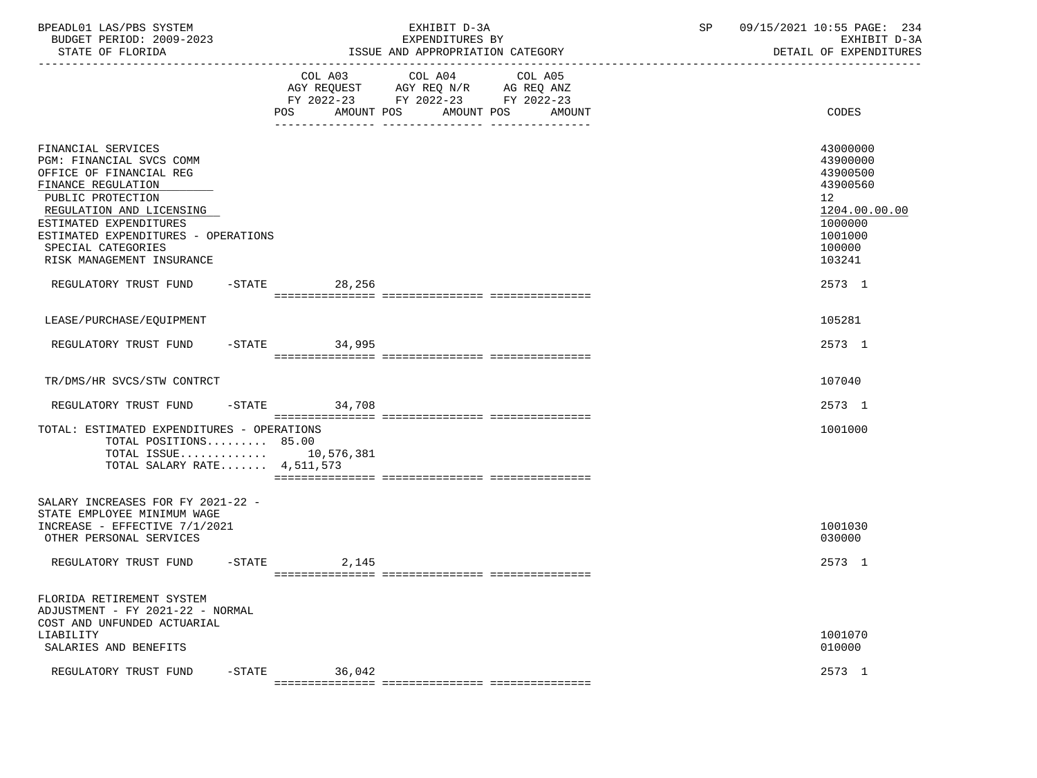| BPEADL01 LAS/PBS SYSTEM  | EXHIBIT D-<br>D-3A                    | 09/15/2021 10:55 PAGE: 234 |
|--------------------------|---------------------------------------|----------------------------|
| BUDGET PERIOD: 2009-2023 | EXPENDITURES BY                       | EXHIBIT D-3A               |
| STATE OF FLORIDA         | "SSUE<br>: AND APPROPRIATION CATEGORY | DETAIL OF EXPENDITURES     |

-----------------------------------------------------------------------------------------------------------------------------------

|                                                                                                                                                                                                                                                                      | COL A03<br>AGY REQUEST<br>FY 2022-23<br>AMOUNT POS<br>POS | COL A04<br>AGY REQ N/R<br>FY 2022-23<br>AMOUNT POS | COL A05<br>AG REQ ANZ<br>FY 2022-23<br>AMOUNT | CODES                                                                                                         |
|----------------------------------------------------------------------------------------------------------------------------------------------------------------------------------------------------------------------------------------------------------------------|-----------------------------------------------------------|----------------------------------------------------|-----------------------------------------------|---------------------------------------------------------------------------------------------------------------|
| FINANCIAL SERVICES<br>PGM: FINANCIAL SVCS COMM<br>OFFICE OF FINANCIAL REG<br>FINANCE REGULATION<br>PUBLIC PROTECTION<br>REGULATION AND LICENSING<br>ESTIMATED EXPENDITURES<br>ESTIMATED EXPENDITURES - OPERATIONS<br>SPECIAL CATEGORIES<br>RISK MANAGEMENT INSURANCE |                                                           |                                                    |                                               | 43000000<br>43900000<br>43900500<br>43900560<br>12<br>1204.00.00.00<br>1000000<br>1001000<br>100000<br>103241 |
| REGULATORY TRUST FUND                                                                                                                                                                                                                                                | $-STATE$<br>28,256                                        |                                                    |                                               | 2573 1                                                                                                        |
| LEASE/PURCHASE/EQUIPMENT                                                                                                                                                                                                                                             |                                                           |                                                    |                                               | 105281                                                                                                        |
| $-$ STATE<br>REGULATORY TRUST FUND                                                                                                                                                                                                                                   | 34,995                                                    |                                                    |                                               | 2573 1                                                                                                        |
| TR/DMS/HR SVCS/STW CONTRCT                                                                                                                                                                                                                                           |                                                           |                                                    |                                               | 107040                                                                                                        |
| $-STATE$<br>REGULATORY TRUST FUND                                                                                                                                                                                                                                    | 34,708                                                    |                                                    |                                               | 2573 1                                                                                                        |
| TOTAL: ESTIMATED EXPENDITURES - OPERATIONS<br>TOTAL POSITIONS 85.00<br>TOTAL ISSUE<br>TOTAL SALARY RATE 4,511,573                                                                                                                                                    | 10,576,381                                                |                                                    |                                               | 1001000                                                                                                       |
| SALARY INCREASES FOR FY 2021-22 -<br>STATE EMPLOYEE MINIMUM WAGE<br>INCREASE - EFFECTIVE 7/1/2021<br>OTHER PERSONAL SERVICES                                                                                                                                         |                                                           |                                                    |                                               | 1001030<br>030000                                                                                             |
| $-$ STATE<br>REGULATORY TRUST FUND                                                                                                                                                                                                                                   | 2,145                                                     |                                                    |                                               | 2573 1                                                                                                        |
| FLORIDA RETIREMENT SYSTEM<br>ADJUSTMENT - FY 2021-22 - NORMAL<br>COST AND UNFUNDED ACTUARIAL<br>LIABILITY<br>SALARIES AND BENEFITS                                                                                                                                   |                                                           |                                                    |                                               | 1001070<br>010000                                                                                             |
| REGULATORY TRUST FUND<br>$-$ STATE                                                                                                                                                                                                                                   | 36,042                                                    |                                                    |                                               | 2573 1                                                                                                        |

=============== =============== ===============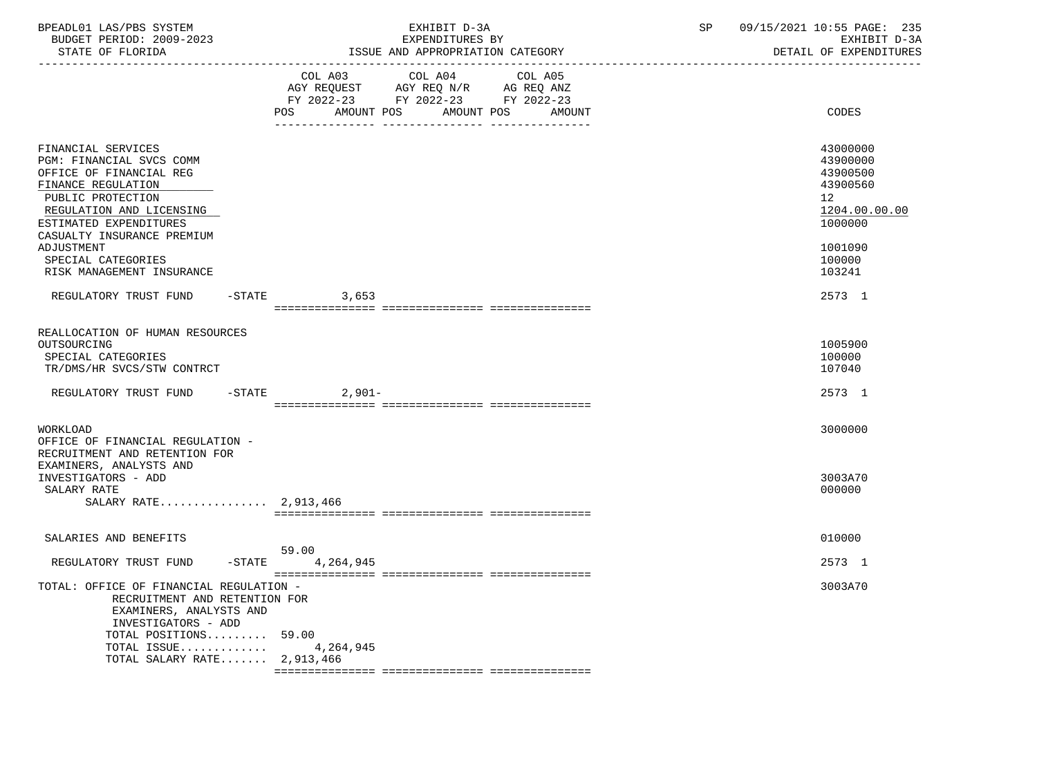| BPEADL01 LAS/PBS SYSTEM<br>BUDGET PERIOD: 2009-2023<br>STATE OF FLORIDA                                                                                                                                                                                                   | EXHIBIT D-3A<br>EXPENDITURES BY<br>ISSUE AND APPROPRIATION CATEGORY                                                                         | 09/15/2021 10:55 PAGE: 235<br>SP<br>EXHIBIT D-3A<br>DETAIL OF EXPENDITURES                                    |
|---------------------------------------------------------------------------------------------------------------------------------------------------------------------------------------------------------------------------------------------------------------------------|---------------------------------------------------------------------------------------------------------------------------------------------|---------------------------------------------------------------------------------------------------------------|
|                                                                                                                                                                                                                                                                           | COL A03 COL A04 COL A05<br>AGY REQUEST AGY REQ N/R AG REQ ANZ<br>FY 2022-23 FY 2022-23 FY 2022-23<br>POS<br>AMOUNT POS AMOUNT POS<br>AMOUNT | CODES                                                                                                         |
| FINANCIAL SERVICES<br>PGM: FINANCIAL SVCS COMM<br>OFFICE OF FINANCIAL REG<br>FINANCE REGULATION<br>PUBLIC PROTECTION<br>REGULATION AND LICENSING<br>ESTIMATED EXPENDITURES<br>CASUALTY INSURANCE PREMIUM<br>ADJUSTMENT<br>SPECIAL CATEGORIES<br>RISK MANAGEMENT INSURANCE |                                                                                                                                             | 43000000<br>43900000<br>43900500<br>43900560<br>12<br>1204.00.00.00<br>1000000<br>1001090<br>100000<br>103241 |
| REGULATORY TRUST FUND -STATE 3,653                                                                                                                                                                                                                                        |                                                                                                                                             | 2573 1                                                                                                        |
| REALLOCATION OF HUMAN RESOURCES<br>OUTSOURCING<br>SPECIAL CATEGORIES<br>TR/DMS/HR SVCS/STW CONTRCT<br>REGULATORY TRUST FUND -STATE                                                                                                                                        | $2,901-$                                                                                                                                    | 1005900<br>100000<br>107040<br>2573 1                                                                         |
| WORKLOAD<br>OFFICE OF FINANCIAL REGULATION -<br>RECRUITMENT AND RETENTION FOR<br>EXAMINERS, ANALYSTS AND                                                                                                                                                                  |                                                                                                                                             | 3000000                                                                                                       |
| INVESTIGATORS - ADD<br>SALARY RATE<br>SALARY RATE 2,913,466                                                                                                                                                                                                               |                                                                                                                                             | 3003A70<br>000000                                                                                             |
| SALARIES AND BENEFITS                                                                                                                                                                                                                                                     | 59.00                                                                                                                                       | 010000                                                                                                        |
| REGULATORY TRUST FUND                                                                                                                                                                                                                                                     | $-STATE$<br>4,264,945                                                                                                                       | 2573 1                                                                                                        |
| TOTAL: OFFICE OF FINANCIAL REGULATION -<br>RECRUITMENT AND RETENTION FOR<br>EXAMINERS, ANALYSTS AND<br>INVESTIGATORS - ADD<br>TOTAL POSITIONS<br>TOTAL ISSUE<br>TOTAL SALARY RATE 2,913,466                                                                               | 59.00<br>4,264,945                                                                                                                          | 3003A70                                                                                                       |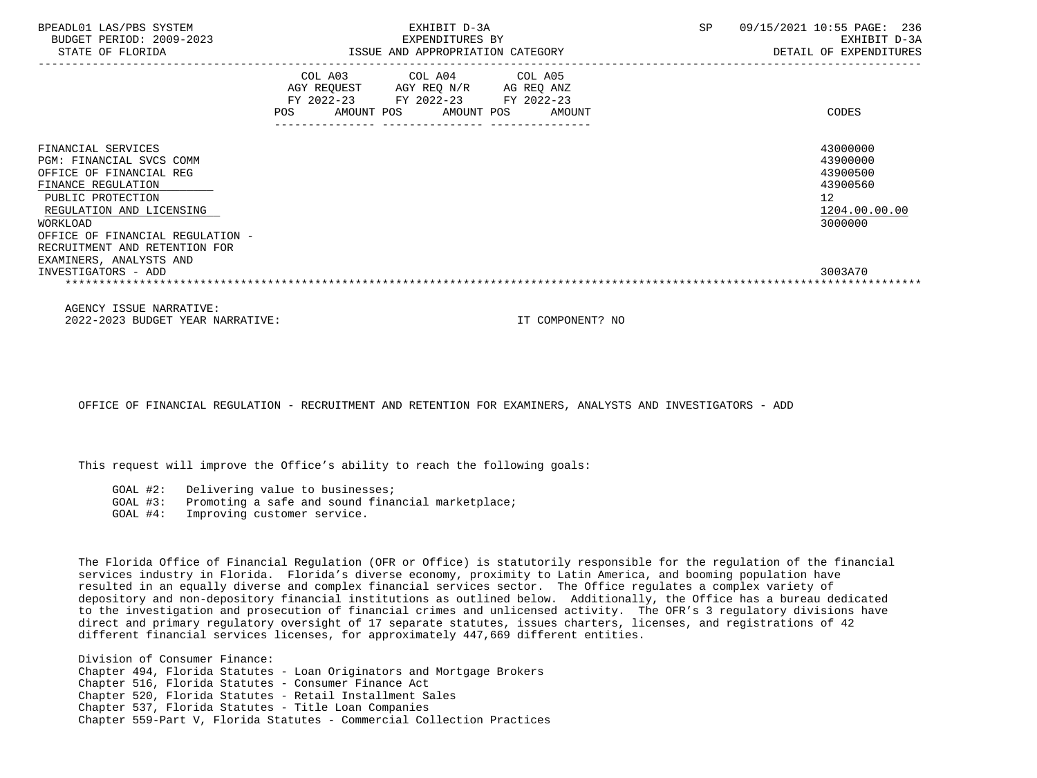| BPEADL01 LAS/PBS SYSTEM<br>BUDGET PERIOD: 2009-2023<br>STATE OF FLORIDA                                                                                                                                                                                                             | EXHIBIT D-3A<br>EXPENDITURES BY<br>ISSUE AND APPROPRIATION CATEGORY                                                                                                                                                                                 | 09/15/2021 10:55 PAGE: 236<br>SP<br>EXHIBIT D-3A<br>DETAIL OF EXPENDITURES                |
|-------------------------------------------------------------------------------------------------------------------------------------------------------------------------------------------------------------------------------------------------------------------------------------|-----------------------------------------------------------------------------------------------------------------------------------------------------------------------------------------------------------------------------------------------------|-------------------------------------------------------------------------------------------|
|                                                                                                                                                                                                                                                                                     | COL A03 COL A04 COL A05<br>AGY REQUEST AGY REQ N/R AG REQ ANZ<br>FY 2022-23 FY 2022-23 FY 2022-23<br>POS FOR THE POST OF THE STATE STATE STATE STATE STATE STATE STATE STATE STATE STATE STATE STATE STATE STATE ST<br>AMOUNT POS AMOUNT POS AMOUNT | CODES                                                                                     |
| FINANCIAL SERVICES<br>PGM: FINANCIAL SVCS COMM<br>OFFICE OF FINANCIAL REG<br>FINANCE REGULATION<br>PUBLIC PROTECTION<br>REGULATION AND LICENSING<br>WORKLOAD<br>OFFICE OF FINANCIAL REGULATION -<br>RECRUITMENT AND RETENTION FOR<br>EXAMINERS, ANALYSTS AND<br>INVESTIGATORS - ADD |                                                                                                                                                                                                                                                     | 43000000<br>43900000<br>43900500<br>43900560<br>12<br>1204.00.00.00<br>3000000<br>3003A70 |
| AGENCY ISSUE NARRATIVE:                                                                                                                                                                                                                                                             |                                                                                                                                                                                                                                                     |                                                                                           |

2022-2023 BUDGET YEAR NARRATIVE: IT COMPONENT? NO

OFFICE OF FINANCIAL REGULATION - RECRUITMENT AND RETENTION FOR EXAMINERS, ANALYSTS AND INVESTIGATORS - ADD

This request will improve the Office's ability to reach the following goals:

GOAL #2: Delivering value to businesses;

GOAL #3: Promoting a safe and sound financial marketplace;

GOAL #4: Improving customer service.

 The Florida Office of Financial Regulation (OFR or Office) is statutorily responsible for the regulation of the financial services industry in Florida. Florida's diverse economy, proximity to Latin America, and booming population have resulted in an equally diverse and complex financial services sector. The Office regulates a complex variety of depository and non-depository financial institutions as outlined below. Additionally, the Office has a bureau dedicated to the investigation and prosecution of financial crimes and unlicensed activity. The OFR's 3 regulatory divisions have direct and primary regulatory oversight of 17 separate statutes, issues charters, licenses, and registrations of 42 different financial services licenses, for approximately 447,669 different entities.

 Division of Consumer Finance: Chapter 494, Florida Statutes - Loan Originators and Mortgage Brokers Chapter 516, Florida Statutes - Consumer Finance Act Chapter 520, Florida Statutes - Retail Installment Sales Chapter 537, Florida Statutes - Title Loan Companies Chapter 559-Part V, Florida Statutes - Commercial Collection Practices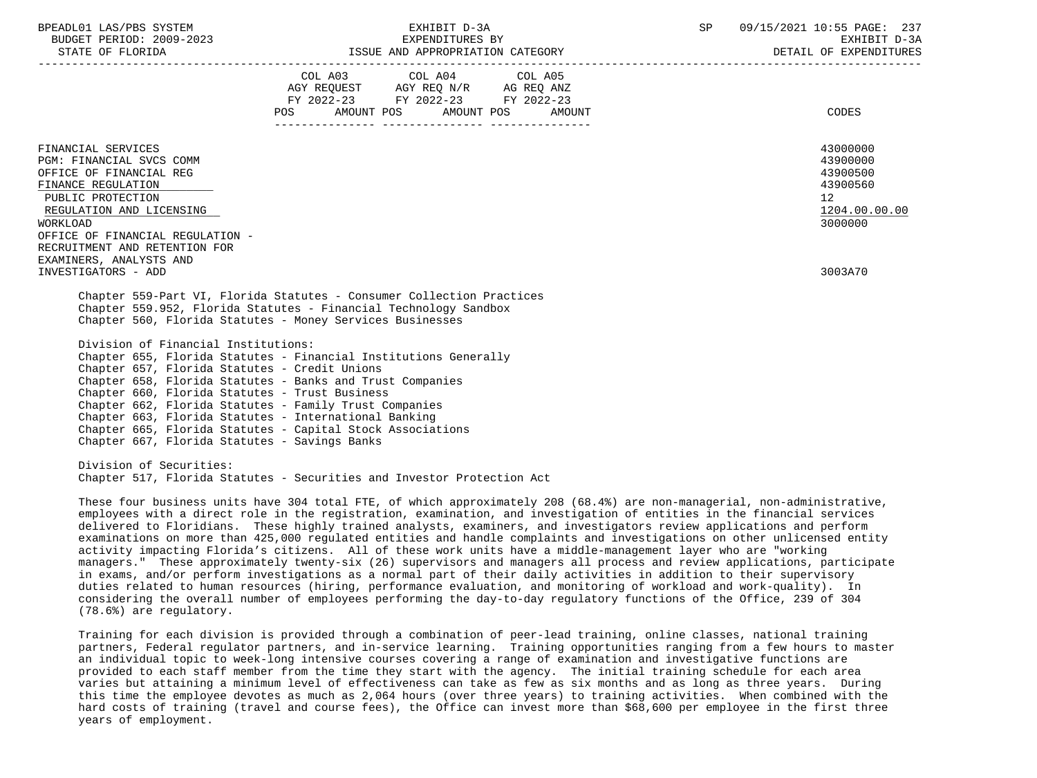| BPEADL01 LAS/PBS SYSTEM |                          |
|-------------------------|--------------------------|
|                         | BUDGET PERIOD: 2009-2023 |

| BUDGET PERIOD: 2009-2023<br>STATE OF FLORIDA                                                                                                                                                                                             | EXPENDITURES BY<br>ISSUE AND APPROPRIATION CATEGORY                                                                                                                                                                                                                                                                                     |        | EXHIBIT D-3A<br>DETAIL OF EXPENDITURES                                         |
|------------------------------------------------------------------------------------------------------------------------------------------------------------------------------------------------------------------------------------------|-----------------------------------------------------------------------------------------------------------------------------------------------------------------------------------------------------------------------------------------------------------------------------------------------------------------------------------------|--------|--------------------------------------------------------------------------------|
|                                                                                                                                                                                                                                          | COL A03 COL A04 COL A05<br>AGY REQUEST AGY REQ N/R AG REQ ANZ<br>FY 2022-23 FY 2022-23 FY 2022-23<br>AMOUNT POS AMOUNT POS<br>POS FOR                                                                                                                                                                                                   | AMOUNT | <b>CODES</b>                                                                   |
| FINANCIAL SERVICES<br>PGM: FINANCIAL SVCS COMM<br>OFFICE OF FINANCIAL REG<br>FINANCE REGULATION<br>PUBLIC PROTECTION<br>REGULATION AND LICENSING<br><b>WORKLOAD</b><br>OFFICE OF FINANCIAL REGULATION -<br>RECRUITMENT AND RETENTION FOR |                                                                                                                                                                                                                                                                                                                                         |        | 43000000<br>43900000<br>43900500<br>43900560<br>12<br>1204.00.00.00<br>3000000 |
| EXAMINERS, ANALYSTS AND<br>INVESTIGATORS - ADD                                                                                                                                                                                           |                                                                                                                                                                                                                                                                                                                                         |        | 3003A70                                                                        |
| Division of Financial Institutions:<br>Chapter 657, Florida Statutes - Credit Unions                                                                                                                                                     | Chapter 559-Part VI, Florida Statutes - Consumer Collection Practices<br>Chapter 559.952, Florida Statutes - Financial Technology Sandbox<br>Chapter 560, Florida Statutes - Money Services Businesses<br>Chapter 655, Florida Statutes - Financial Institutions Generally<br>Chapter 658, Florida Statutes - Banks and Trust Companies |        |                                                                                |
| Chapter 660, Florida Statutes - Trust Business<br>Chapter 667, Florida Statutes - Savings Banks                                                                                                                                          | Chapter 662, Florida Statutes - Family Trust Companies<br>Chapter 663, Florida Statutes - International Banking<br>Chapter 665, Florida Statutes - Capital Stock Associations                                                                                                                                                           |        |                                                                                |
| Division of Securities:                                                                                                                                                                                                                  | Chapter 517, Florida Statutes - Securities and Investor Protection Act                                                                                                                                                                                                                                                                  |        |                                                                                |

 These four business units have 304 total FTE, of which approximately 208 (68.4%) are non-managerial, non-administrative, employees with a direct role in the registration, examination, and investigation of entities in the financial services delivered to Floridians. These highly trained analysts, examiners, and investigators review applications and perform examinations on more than 425,000 regulated entities and handle complaints and investigations on other unlicensed entity activity impacting Florida's citizens. All of these work units have a middle-management layer who are "working managers." These approximately twenty-six (26) supervisors and managers all process and review applications, participate in exams, and/or perform investigations as a normal part of their daily activities in addition to their supervisory duties related to human resources (hiring, performance evaluation, and monitoring of workload and work-quality). In considering the overall number of employees performing the day-to-day regulatory functions of the Office, 239 of 304 (78.6%) are regulatory.

 Training for each division is provided through a combination of peer-lead training, online classes, national training partners, Federal regulator partners, and in-service learning. Training opportunities ranging from a few hours to master an individual topic to week-long intensive courses covering a range of examination and investigative functions are provided to each staff member from the time they start with the agency. The initial training schedule for each area varies but attaining a minimum level of effectiveness can take as few as six months and as long as three years. During this time the employee devotes as much as 2,064 hours (over three years) to training activities. When combined with the hard costs of training (travel and course fees), the Office can invest more than \$68,600 per employee in the first three years of employment.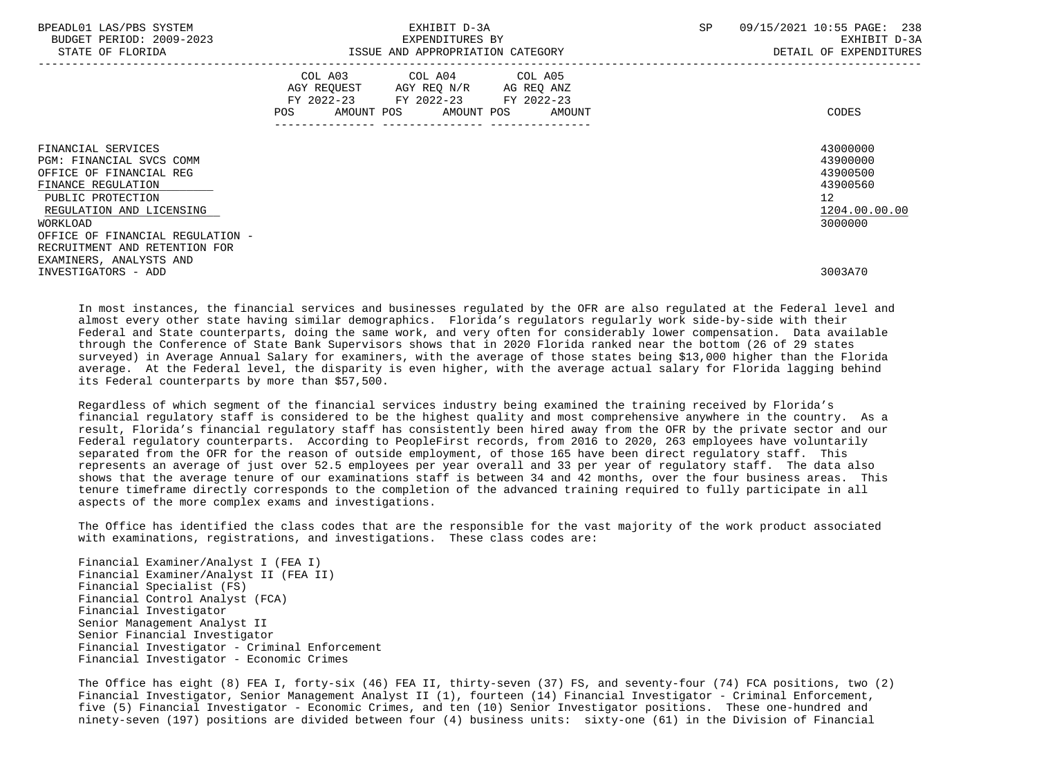| BPEADL01 LAS/PBS SYSTEM<br>BUDGET PERIOD: 2009-2023<br>STATE OF FLORIDA                                                                                                                          | EXHIBIT D-3A<br>EXPENDITURES BY<br>ISSUE AND APPROPRIATION CATEGORY                                                                                                                                                                                    | 09/15/2021 10:55 PAGE: 238<br>SP<br>EXHIBIT D-3A<br>DETAIL OF EXPENDITURES     |
|--------------------------------------------------------------------------------------------------------------------------------------------------------------------------------------------------|--------------------------------------------------------------------------------------------------------------------------------------------------------------------------------------------------------------------------------------------------------|--------------------------------------------------------------------------------|
|                                                                                                                                                                                                  | COL A03 COL A04 COL A05<br>AGY REQUEST AGY REQ N/R AG REQ ANZ<br>FY 2022-23 FY 2022-23 FY 2022-23<br>AMOUNT POS AMOUNT POS<br>POS FOR THE POST OF THE STATE STATE STATE STATE STATE STATE STATE STATE STATE STATE STATE STATE STATE STATE ST<br>AMOUNT | CODES                                                                          |
| FINANCIAL SERVICES<br>PGM: FINANCIAL SVCS COMM<br>OFFICE OF FINANCIAL REG<br>FINANCE REGULATION<br>PUBLIC PROTECTION<br>REGULATION AND LICENSING<br>WORKLOAD<br>OFFICE OF FINANCIAL REGULATION - |                                                                                                                                                                                                                                                        | 43000000<br>43900000<br>43900500<br>43900560<br>12<br>1204.00.00.00<br>3000000 |
| RECRUITMENT AND RETENTION FOR<br>EXAMINERS, ANALYSTS AND<br>INVESTIGATORS - ADD                                                                                                                  |                                                                                                                                                                                                                                                        | 3003A70                                                                        |

 In most instances, the financial services and businesses regulated by the OFR are also regulated at the Federal level and almost every other state having similar demographics. Florida's regulators regularly work side-by-side with their Federal and State counterparts, doing the same work, and very often for considerably lower compensation. Data available through the Conference of State Bank Supervisors shows that in 2020 Florida ranked near the bottom (26 of 29 states surveyed) in Average Annual Salary for examiners, with the average of those states being \$13,000 higher than the Florida average. At the Federal level, the disparity is even higher, with the average actual salary for Florida lagging behind its Federal counterparts by more than \$57,500.

 Regardless of which segment of the financial services industry being examined the training received by Florida's financial regulatory staff is considered to be the highest quality and most comprehensive anywhere in the country. As a result, Florida's financial regulatory staff has consistently been hired away from the OFR by the private sector and our Federal regulatory counterparts. According to PeopleFirst records, from 2016 to 2020, 263 employees have voluntarily separated from the OFR for the reason of outside employment, of those 165 have been direct regulatory staff. This represents an average of just over 52.5 employees per year overall and 33 per year of regulatory staff. The data also shows that the average tenure of our examinations staff is between 34 and 42 months, over the four business areas. This tenure timeframe directly corresponds to the completion of the advanced training required to fully participate in all aspects of the more complex exams and investigations.

 The Office has identified the class codes that are the responsible for the vast majority of the work product associated with examinations, registrations, and investigations. These class codes are:

 Financial Examiner/Analyst I (FEA I) Financial Examiner/Analyst II (FEA II) Financial Specialist (FS) Financial Control Analyst (FCA) Financial Investigator Senior Management Analyst II Senior Financial Investigator Financial Investigator - Criminal Enforcement Financial Investigator - Economic Crimes

 The Office has eight (8) FEA I, forty-six (46) FEA II, thirty-seven (37) FS, and seventy-four (74) FCA positions, two (2) Financial Investigator, Senior Management Analyst II (1), fourteen (14) Financial Investigator - Criminal Enforcement, five (5) Financial Investigator - Economic Crimes, and ten (10) Senior Investigator positions. These one-hundred and ninety-seven (197) positions are divided between four (4) business units: sixty-one (61) in the Division of Financial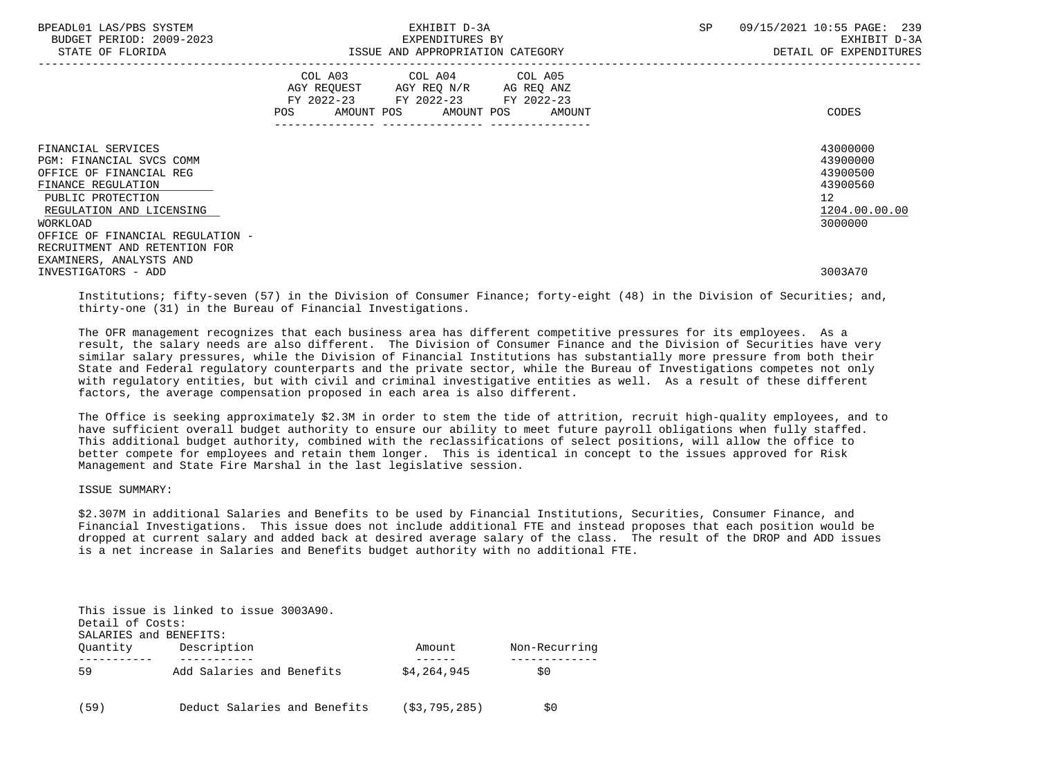| BPEADL01 LAS/PBS SYSTEM<br>BUDGET PERIOD: 2009-2023<br>STATE OF FLORIDA                                                                                                                          | EXHIBIT D-3A<br>EXPENDITURES BY<br>ISSUE AND APPROPRIATION CATEGORY                                                                   | 09/15/2021 10:55 PAGE: 239<br>SP<br>EXHIBIT D-3A<br>DETAIL OF EXPENDITURES     |
|--------------------------------------------------------------------------------------------------------------------------------------------------------------------------------------------------|---------------------------------------------------------------------------------------------------------------------------------------|--------------------------------------------------------------------------------|
|                                                                                                                                                                                                  | COL A03 COL A04 COL A05<br>AGY REQUEST AGY REQ N/R AG REQ ANZ<br>FY 2022-23 FY 2022-23 FY 2022-23<br>POS AMOUNT POS AMOUNT POS AMOUNT | CODES                                                                          |
| FINANCIAL SERVICES<br>PGM: FINANCIAL SVCS COMM<br>OFFICE OF FINANCIAL REG<br>FINANCE REGULATION<br>PUBLIC PROTECTION<br>REGULATION AND LICENSING<br>WORKLOAD<br>OFFICE OF FINANCIAL REGULATION - |                                                                                                                                       | 43000000<br>43900000<br>43900500<br>43900560<br>12<br>1204.00.00.00<br>3000000 |
| RECRUITMENT AND RETENTION FOR<br>EXAMINERS, ANALYSTS AND<br>INVESTIGATORS - ADD                                                                                                                  |                                                                                                                                       | 3003A70                                                                        |

 Institutions; fifty-seven (57) in the Division of Consumer Finance; forty-eight (48) in the Division of Securities; and, thirty-one (31) in the Bureau of Financial Investigations.

 The OFR management recognizes that each business area has different competitive pressures for its employees. As a result, the salary needs are also different. The Division of Consumer Finance and the Division of Securities have very similar salary pressures, while the Division of Financial Institutions has substantially more pressure from both their State and Federal regulatory counterparts and the private sector, while the Bureau of Investigations competes not only with regulatory entities, but with civil and criminal investigative entities as well. As a result of these different factors, the average compensation proposed in each area is also different.

 The Office is seeking approximately \$2.3M in order to stem the tide of attrition, recruit high-quality employees, and to have sufficient overall budget authority to ensure our ability to meet future payroll obligations when fully staffed. This additional budget authority, combined with the reclassifications of select positions, will allow the office to better compete for employees and retain them longer. This is identical in concept to the issues approved for Risk Management and State Fire Marshal in the last legislative session.

ISSUE SUMMARY:

 \$2.307M in additional Salaries and Benefits to be used by Financial Institutions, Securities, Consumer Finance, and Financial Investigations. This issue does not include additional FTE and instead proposes that each position would be dropped at current salary and added back at desired average salary of the class. The result of the DROP and ADD issues is a net increase in Salaries and Benefits budget authority with no additional FTE.

| Detail of Costs:<br>SALARIES and BENEFITS: | This issue is linked to issue 3003A90. |               |               |
|--------------------------------------------|----------------------------------------|---------------|---------------|
| Ouantity                                   | Description                            | Amount        | Non-Recurring |
| 59                                         | Add Salaries and Benefits              | \$4,264,945   | S0            |
| 59                                         | Deduct Salaries and Benefits           | (\$3,795,285) | SΟ            |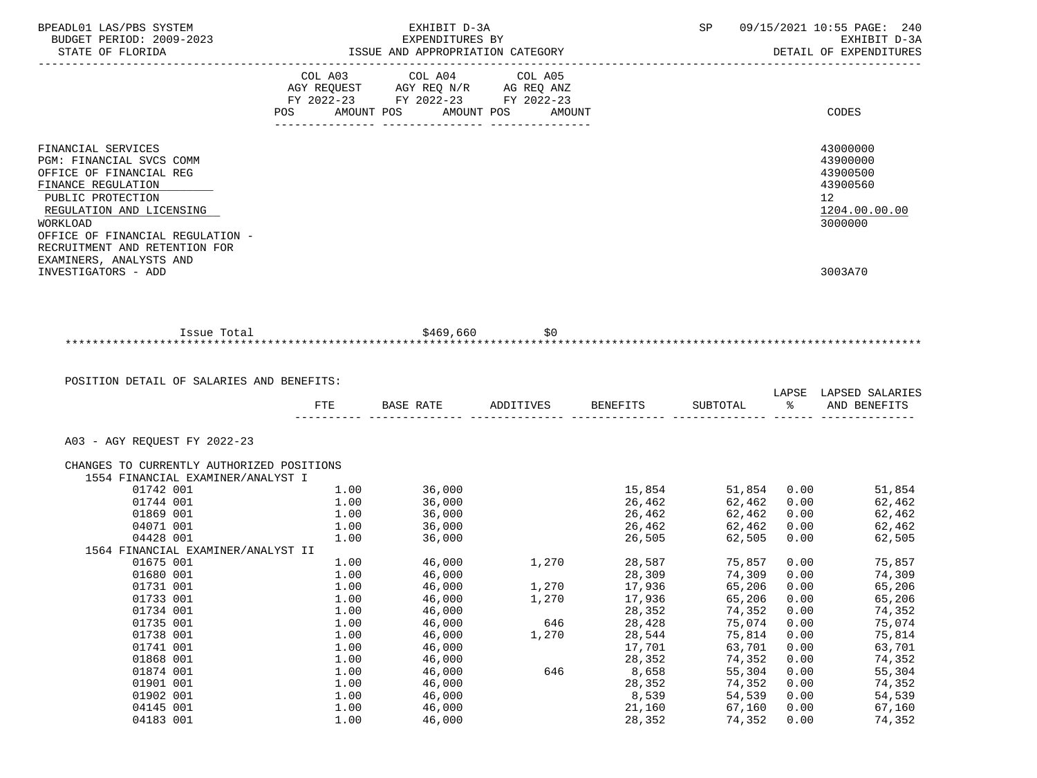| BPEADL01 LAS/PBS SYSTEM<br>BUDGET PERIOD: 2009-2023<br>STATE OF FLORIDA                                                                                                                                                                  | EXHIBIT D-3A<br>EXPENDITURES BY<br>ISSUE AND APPROPRIATION CATEGORY                                                                   | SP | 09/15/2021 10:55 PAGE: 240<br>EXHIBIT D-3A<br>DETAIL OF EXPENDITURES                        |  |
|------------------------------------------------------------------------------------------------------------------------------------------------------------------------------------------------------------------------------------------|---------------------------------------------------------------------------------------------------------------------------------------|----|---------------------------------------------------------------------------------------------|--|
|                                                                                                                                                                                                                                          | COL A03 COL A04 COL A05<br>AGY REQUEST AGY REQ N/R AG REQ ANZ<br>FY 2022-23 FY 2022-23 FY 2022-23<br>POS AMOUNT POS AMOUNT POS AMOUNT |    | CODES                                                                                       |  |
| FINANCIAL SERVICES<br><b>PGM: FINANCIAL SVCS COMM</b><br>OFFICE OF FINANCIAL REG<br>FINANCE REGULATION<br>PUBLIC PROTECTION<br>REGULATION AND LICENSING<br>WORKLOAD<br>OFFICE OF FINANCIAL REGULATION -<br>RECRUITMENT AND RETENTION FOR |                                                                                                                                       |    | 43000000<br>43900000<br>43900500<br>43900560<br>12 <sup>1</sup><br>1204.00.00.00<br>3000000 |  |
| EXAMINERS, ANALYSTS AND<br>INVESTIGATORS - ADD                                                                                                                                                                                           |                                                                                                                                       |    | 3003A70                                                                                     |  |
| Issue Total                                                                                                                                                                                                                              | \$469,660<br>\$0                                                                                                                      |    |                                                                                             |  |
|                                                                                                                                                                                                                                          |                                                                                                                                       |    |                                                                                             |  |

 POSITION DETAIL OF SALARIES AND BENEFITS: LAPSE LAPSED SALARIES FTE BASE RATE ADDITIVES BENEFITS SUBTOTAL % AND BENEFITS ---------- -------------- -------------- -------------- -------------- ------ -------------- A03 - AGY REQUEST FY 2022-23 CHANGES TO CURRENTLY AUTHORIZED POSITIONS 1554 FINANCIAL EXAMINER/ANALYST I 01742 001 1.00 36,000 15,854 51,854 0.00 51,854 01744 001 1.00 36,000 26,462 62,462 0.00 62,462 01869 001 1.00 36,000 26,462 62,462 0.00 62,462 04071 001 1.00 36,000 26,462 62,462 0.00 62,462 04428 001 1.00 36,000 26,505 62,505 0.00 62,505 1564 FINANCIAL EXAMINER/ANALYST II 01675 001 1.00 46,000 1,270 28,587 75,857 0.00 75,857 01680 001 1.00 46,000 28,309 74,309 0.00 74,309 01731 001 1.00 46,000 1,270 17,936 65,206 0.00 65,206 01733 001 1.00 46,000 1,270 17,936 65,206 0.00 65,206 01734 001 1.00 46,000 28,352 74,352 0.00 74,352 01735 001 1.00 46,000 646 28,428 75,074 0.00 75,074 01738 001 1.00 46,000 1,270 28,544 75,814 0.00 75,814 01741 001 1.00 46,000 17,701 63,701 0.00 63,701 01868 001 1.00 46,000 28,352 74,352 0.00 74,352 01874 001 1.00 46,000 646 8,658 55,304 0.00 55,304 01901 001 1.00 46,000 28,352 74,352 0.00 74,352 01902 001 1.00 46,000 8,539 54,539 0.00 54,539 04145 001 1.00 46,000 21,160 67,160 0.00 67,160 04183 001 1.00 46,000 28,352 74,352 0.00 74,352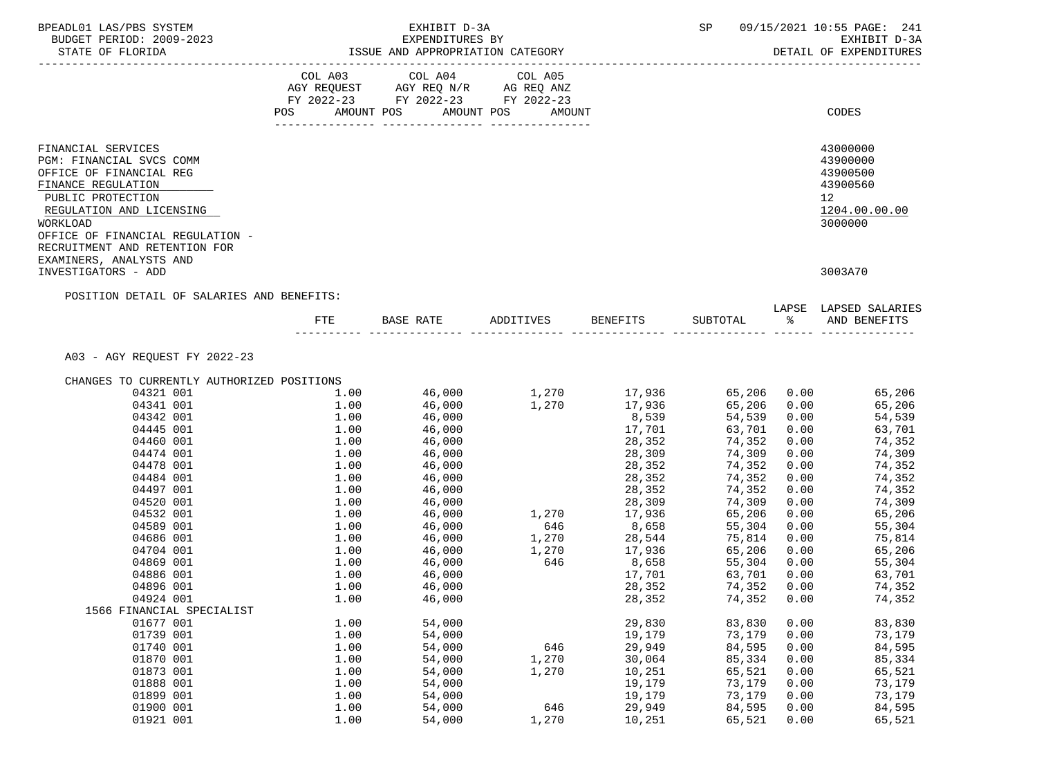| BPEADL01 LAS/PBS SYSTEM<br>BUDGET PERIOD: 2009-2023                                                                                                                                                                               |              | EXHIBIT D-3A<br>EXPENDITURES BY                                                                                 |                      |                                                        | SP               |              | 09/15/2021 10:55 PAGE: 241<br>EXHIBIT D-3A                                     |
|-----------------------------------------------------------------------------------------------------------------------------------------------------------------------------------------------------------------------------------|--------------|-----------------------------------------------------------------------------------------------------------------|----------------------|--------------------------------------------------------|------------------|--------------|--------------------------------------------------------------------------------|
| STATE OF FLORIDA                                                                                                                                                                                                                  |              | EXPENDITURES BY<br>ISSUE AND APPROPRIATION CATEGORY                                                             |                      |                                                        |                  |              | DETAIL OF EXPENDITURES                                                         |
|                                                                                                                                                                                                                                   | POS          | COL A03 COL A04 COL A05<br>AGY REQUEST AGY REQ N/R AG REQ ANZ<br>FY 2022-23 FY 2022-23 FY 2022-23<br>AMOUNT POS | AMOUNT POS<br>AMOUNT |                                                        |                  |              | CODES                                                                          |
|                                                                                                                                                                                                                                   |              |                                                                                                                 |                      |                                                        |                  |              |                                                                                |
| FINANCIAL SERVICES<br>PGM: FINANCIAL SVCS COMM<br>OFFICE OF FINANCIAL REG<br>FINANCE REGULATION<br>PUBLIC PROTECTION<br>REGULATION AND LICENSING<br>WORKLOAD<br>OFFICE OF FINANCIAL REGULATION -<br>RECRUITMENT AND RETENTION FOR |              |                                                                                                                 |                      |                                                        |                  |              | 43000000<br>43900000<br>43900500<br>43900560<br>12<br>1204.00.00.00<br>3000000 |
| EXAMINERS, ANALYSTS AND<br>INVESTIGATORS - ADD                                                                                                                                                                                    |              |                                                                                                                 |                      |                                                        |                  |              | 3003A70                                                                        |
| POSITION DETAIL OF SALARIES AND BENEFITS:                                                                                                                                                                                         |              |                                                                                                                 |                      |                                                        |                  |              | LAPSE LAPSED SALARIES                                                          |
|                                                                                                                                                                                                                                   | FTE          | BASE RATE                                                                                                       | ADDITIVES            | <b>BENEFITS</b>                                        | SUBTOTAL %       |              | AND BENEFITS                                                                   |
| A03 - AGY REQUEST FY 2022-23                                                                                                                                                                                                      |              |                                                                                                                 |                      |                                                        |                  |              |                                                                                |
| CHANGES TO CURRENTLY AUTHORIZED POSITIONS<br>04321 001                                                                                                                                                                            | 1.00         | 46,000                                                                                                          |                      |                                                        | 65,206 0.00      |              | 65,206                                                                         |
| 04341 001                                                                                                                                                                                                                         | 1.00         | 46,000                                                                                                          |                      | 1,270              17,936<br>1,270              17,936 | 65,206 0.00      |              | 65,206                                                                         |
| 04342 001                                                                                                                                                                                                                         | 1.00         |                                                                                                                 |                      | 8,539                                                  | 54,539           | 0.00         | 54,539                                                                         |
| 04445 001                                                                                                                                                                                                                         | 1.00         | 46,000<br>46,000                                                                                                |                      | 17,701                                                 | 63,701           | 0.00         | 63,701                                                                         |
| 04460 001                                                                                                                                                                                                                         |              | $1.00$ 46,000                                                                                                   |                      | 28,352                                                 | 74,352           | 0.00         | 74,352                                                                         |
| 04474 001                                                                                                                                                                                                                         | 1.00         |                                                                                                                 |                      | 28,309                                                 | 74,309           | 0.00         | 74,309                                                                         |
| 04478 001                                                                                                                                                                                                                         | 1.00         | 46,000<br>46,000                                                                                                |                      | 28,352                                                 | 74,352           | 0.00         | 74,352                                                                         |
| 04484 001                                                                                                                                                                                                                         | 1.00         | 46,000                                                                                                          |                      | 28,352                                                 | 74,352           | 0.00         | 74,352                                                                         |
| 04497 001                                                                                                                                                                                                                         | 1.00         | 46,000                                                                                                          |                      | 28,352                                                 | 74,352           | 0.00         | 74,352                                                                         |
| 04520 001                                                                                                                                                                                                                         | 1.00         | 46,000                                                                                                          |                      | 28,309                                                 | 74,309           | 0.00         | 74,309                                                                         |
| 04532 001                                                                                                                                                                                                                         | 1.00         | 46,000<br>46,000                                                                                                |                      | $1,270$ $17,936$                                       | 65,206           | 0.00         | 65,206                                                                         |
| 04589 001                                                                                                                                                                                                                         | 1.00         |                                                                                                                 | 646                  | 8,658                                                  | 55,304           | 0.00         | 55,304                                                                         |
| 04686 001                                                                                                                                                                                                                         | 1.00         | 46,000                                                                                                          | 1,270                | 28,544                                                 | 75,814           | 0.00         | 75,814                                                                         |
| 04704 001                                                                                                                                                                                                                         | 1.00         | 46,000                                                                                                          | 1,270                | 17,936                                                 | 65,206           | 0.00         | 65,206                                                                         |
| 04869 001                                                                                                                                                                                                                         | 1.00         | 46,000                                                                                                          | 646                  | 8,658                                                  | 55,304           | 0.00         | 55,304                                                                         |
| 04886 001                                                                                                                                                                                                                         | 1.00         | 46,000                                                                                                          |                      | 17,701                                                 | 63,701           | 0.00         | 63,701                                                                         |
| 04896 001<br>04924 001                                                                                                                                                                                                            | 1.00<br>1.00 | 46,000<br>46,000                                                                                                |                      | 28,352<br>28,352                                       | 74,352<br>74,352 | 0.00<br>0.00 | 74,352<br>74,352                                                               |
| 1566 FINANCIAL SPECIALIST                                                                                                                                                                                                         |              |                                                                                                                 |                      |                                                        |                  |              |                                                                                |
| 01677 001                                                                                                                                                                                                                         | 1.00         | 54,000                                                                                                          |                      | 29,830                                                 | 83,830           | 0.00         | 83,830                                                                         |
| 01739 001                                                                                                                                                                                                                         | 1.00         | 54,000                                                                                                          |                      | 19,179                                                 | 73,179           | 0.00         | 73,179                                                                         |
| 01740 001                                                                                                                                                                                                                         | 1.00         | 54,000                                                                                                          | 646                  | 29,949                                                 | 84,595           | 0.00         | 84,595                                                                         |
| 01870 001                                                                                                                                                                                                                         | 1.00         | 54,000                                                                                                          | 1,270                | 30,064                                                 | 85,334           | 0.00         | 85,334                                                                         |
| 01873 001                                                                                                                                                                                                                         | 1.00         | 54,000                                                                                                          | 1,270                | 10,251                                                 | 65,521           | 0.00         | 65,521                                                                         |
| 01888 001                                                                                                                                                                                                                         | 1.00         | 54,000                                                                                                          |                      | 19,179                                                 | 73,179           | 0.00         | 73,179                                                                         |
| 01899 001                                                                                                                                                                                                                         | 1.00         | 54,000                                                                                                          |                      | 19,179                                                 | 73,179           | 0.00         | 73,179                                                                         |
| 01900 001                                                                                                                                                                                                                         | 1.00         | 54,000                                                                                                          | 646                  | 29,949                                                 | 84,595           | 0.00         | 84,595                                                                         |
| 01921 001                                                                                                                                                                                                                         | 1.00         | 54,000                                                                                                          | 1,270                | 10,251                                                 | 65,521           | 0.00         | 65,521                                                                         |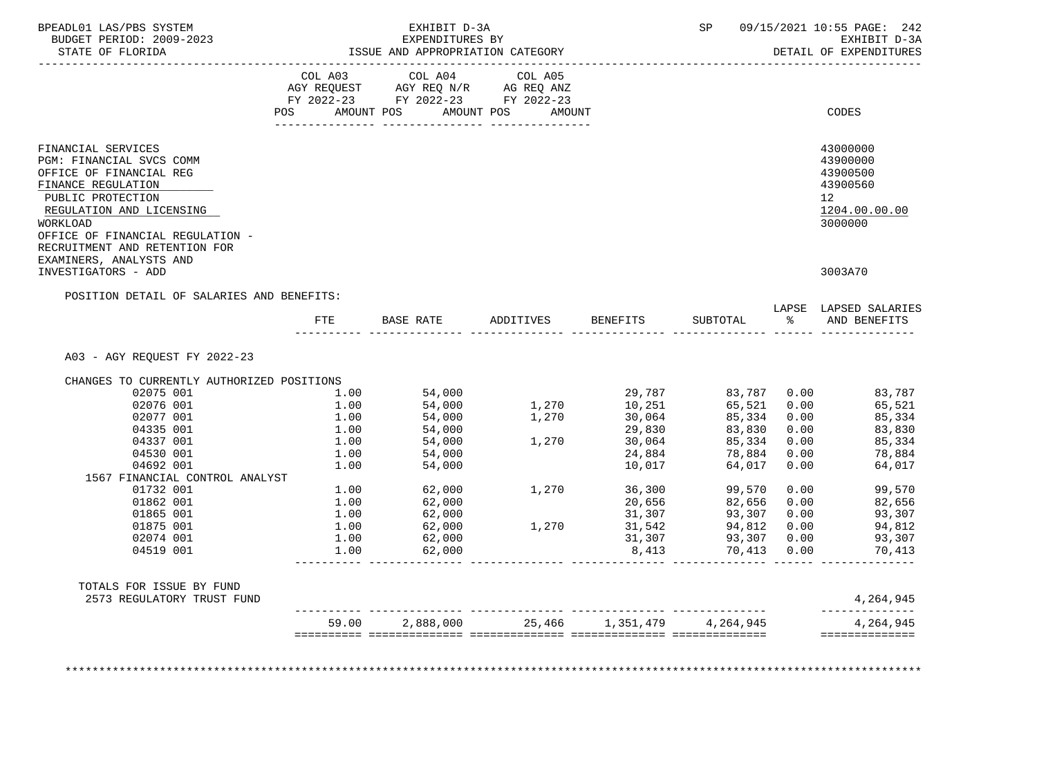| BUDGET PERIOD: 2009-2023<br>STATE OF FLORIDA                                                                                                                                                                                                                 |                | EXHIBIT D-3A<br>EXPENDITURES BY<br>ISSUE AND APPROPRIATION CATEGORY                             |                                        |                  | SP                    |          | 09/15/2021 10:55 PAGE: 242<br>EXHIBIT D-3A<br>DETAIL OF EXPENDITURES                        |
|--------------------------------------------------------------------------------------------------------------------------------------------------------------------------------------------------------------------------------------------------------------|----------------|-------------------------------------------------------------------------------------------------|----------------------------------------|------------------|-----------------------|----------|---------------------------------------------------------------------------------------------|
|                                                                                                                                                                                                                                                              | COL A03<br>POS | COL A04<br>AGY REQUEST AGY REQ N/R AG REQ ANZ<br>FY 2022-23 FY 2022-23 FY 2022-23<br>AMOUNT POS | COL A05<br>AMOUNT POS<br><b>AMOUNT</b> |                  |                       |          | CODES                                                                                       |
| FINANCIAL SERVICES<br>PGM: FINANCIAL SVCS COMM<br>OFFICE OF FINANCIAL REG<br>FINANCE REGULATION<br>PUBLIC PROTECTION<br>REGULATION AND LICENSING<br>WORKLOAD<br>OFFICE OF FINANCIAL REGULATION -<br>RECRUITMENT AND RETENTION FOR<br>EXAMINERS, ANALYSTS AND |                |                                                                                                 |                                        |                  |                       |          | 43000000<br>43900000<br>43900500<br>43900560<br>12 <sup>°</sup><br>1204.00.00.00<br>3000000 |
| INVESTIGATORS - ADD                                                                                                                                                                                                                                          |                |                                                                                                 |                                        |                  |                       |          | 3003A70                                                                                     |
|                                                                                                                                                                                                                                                              |                |                                                                                                 |                                        |                  |                       |          | LAPSE LAPSED SALARIES                                                                       |
| POSITION DETAIL OF SALARIES AND BENEFITS:                                                                                                                                                                                                                    | FTE            | BASE RATE                                                                                       | ADDITIVES BENEFITS                     |                  | SUBTOTAL              | <b>့</b> | AND BENEFITS                                                                                |
| A03 - AGY REQUEST FY 2022-23                                                                                                                                                                                                                                 |                |                                                                                                 |                                        |                  |                       |          |                                                                                             |
|                                                                                                                                                                                                                                                              |                |                                                                                                 |                                        |                  |                       |          |                                                                                             |
| CHANGES TO CURRENTLY AUTHORIZED POSITIONS                                                                                                                                                                                                                    |                |                                                                                                 |                                        |                  |                       |          |                                                                                             |
| 02075 001                                                                                                                                                                                                                                                    | 1.00           | 54,000                                                                                          |                                        | 29,787           | 83,787 0.00           |          | 83,787                                                                                      |
| 02076 001                                                                                                                                                                                                                                                    | 1.00           | 54,000                                                                                          | 1,270                                  | 10,251           | 65,521                | 0.00     | 65,521                                                                                      |
| 02077 001                                                                                                                                                                                                                                                    | 1.00           |                                                                                                 | 1,270                                  |                  | 85,334                | 0.00     | 85,334                                                                                      |
| 04335 001                                                                                                                                                                                                                                                    | 1.00           | 54,000<br>54,000                                                                                |                                        | 30,064<br>29,830 | 83,830                | 0.00     | 83,830                                                                                      |
| 04337 001                                                                                                                                                                                                                                                    | 1.00           | 54,000                                                                                          | 1,270                                  | 30,064           | 85,334                | 0.00     | 85,334                                                                                      |
| 04530 001                                                                                                                                                                                                                                                    | 1.00           | 54,000                                                                                          |                                        | 24,884           | 78,884                | 0.00     | 334, co<br>78,884                                                                           |
| 04692 001                                                                                                                                                                                                                                                    | 1.00           | 54,000                                                                                          |                                        | 10,017           | 64,017                | 0.00     | 64,017                                                                                      |
| 1567 FINANCIAL CONTROL ANALYST                                                                                                                                                                                                                               |                |                                                                                                 |                                        |                  |                       |          |                                                                                             |
| 01732 001                                                                                                                                                                                                                                                    |                | $1.00$ $62,000$ $1,270$                                                                         |                                        | 36,300           | 99,570                |          | $0.00$ 99,570                                                                               |
| 01862 001                                                                                                                                                                                                                                                    | 1.00           | 62,000                                                                                          |                                        | 20,656           | 82,656                | 0.00     | 82,656                                                                                      |
| 01865 001                                                                                                                                                                                                                                                    | 1.00           |                                                                                                 |                                        | 31,307           | 93,307                | 0.00     | 93,307                                                                                      |
| 01875 001                                                                                                                                                                                                                                                    | 1.00           | $62,000$<br>$62,000$                                                                            | 1,270                                  | 31,542           | 94,812 0.00           |          | 94,812                                                                                      |
| 02074 001<br>04519 001                                                                                                                                                                                                                                       | 1.00<br>1.00   | 62,000<br>62,000                                                                                |                                        | 31,307<br>8,413  | 93,307<br>70,413 0.00 | 0.00     | 93,307<br>70,413                                                                            |
|                                                                                                                                                                                                                                                              |                |                                                                                                 |                                        |                  |                       |          |                                                                                             |
| TOTALS FOR ISSUE BY FUND<br>2573 REGULATORY TRUST FUND                                                                                                                                                                                                       |                |                                                                                                 |                                        |                  |                       |          | 4,264,945                                                                                   |

\*\*\*\*\*\*\*\*\*\*\*\*\*\*\*\*\*\*\*\*\*\*\*\*\*\*\*\*\*\*\*\*\*\*\*\*\*\*\*\*\*\*\*\*\*\*\*\*\*\*\*\*\*\*\*\*\*\*\*\*\*\*\*\*\*\*\*\*\*\*\*\*\*\*\*\*\*\*\*\*\*\*\*\*\*\*\*\*\*\*\*\*\*\*\*\*\*\*\*\*\*\*\*\*\*\*\*\*\*\*\*\*\*\*\*\*\*\*\*\*\*\*\*\*\*\*\*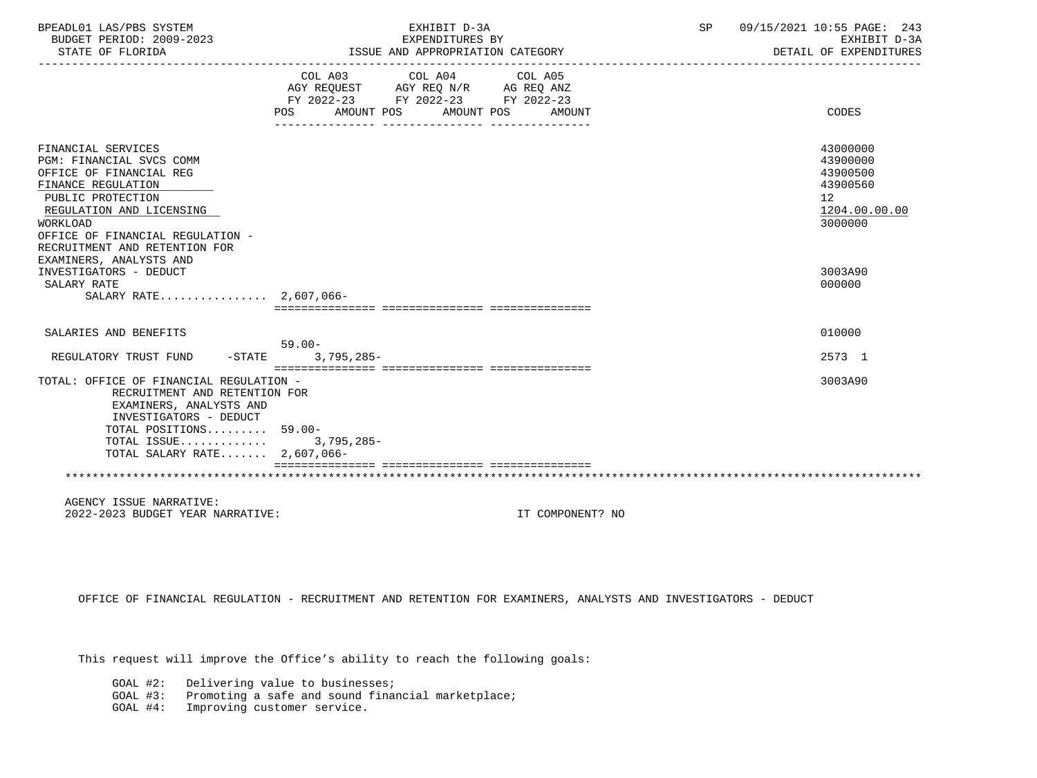| BPEADL01 LAS/PBS SYSTEM<br>BUDGET PERIOD: 2009-2023<br>STATE OF FLORIDA                                                                                                                                                                                      | EXHIBIT D-3A<br>EXPENDITURES BY<br>ISSUE AND APPROPRIATION CATEGORY                                                                                  | <b>SP</b><br>09/15/2021 10:55 PAGE: 243<br>EXHIBIT D-3A<br>DETAIL OF EXPENDITURES |
|--------------------------------------------------------------------------------------------------------------------------------------------------------------------------------------------------------------------------------------------------------------|------------------------------------------------------------------------------------------------------------------------------------------------------|-----------------------------------------------------------------------------------|
|                                                                                                                                                                                                                                                              | COL A03 COL A04 COL A05<br>AGY REQUEST AGY REQ $N/R$ AG REQ ANZ<br>FY 2022-23 FY 2022-23 FY 2022-23<br><b>POS</b><br>AMOUNT POS AMOUNT POS<br>AMOUNT | CODES                                                                             |
| FINANCIAL SERVICES<br>PGM: FINANCIAL SVCS COMM<br>OFFICE OF FINANCIAL REG<br>FINANCE REGULATION<br>PUBLIC PROTECTION<br>REGULATION AND LICENSING<br>WORKLOAD<br>OFFICE OF FINANCIAL REGULATION -<br>RECRUITMENT AND RETENTION FOR<br>EXAMINERS, ANALYSTS AND |                                                                                                                                                      | 43000000<br>43900000<br>43900500<br>43900560<br>12<br>1204.00.00.00<br>3000000    |
| INVESTIGATORS - DEDUCT<br>SALARY RATE<br>SALARY RATE 2,607,066-                                                                                                                                                                                              |                                                                                                                                                      | 3003A90<br>000000                                                                 |
|                                                                                                                                                                                                                                                              |                                                                                                                                                      |                                                                                   |
| SALARIES AND BENEFITS                                                                                                                                                                                                                                        | $59.00 -$                                                                                                                                            | 010000                                                                            |
| $-$ STATE<br>REGULATORY TRUST FUND                                                                                                                                                                                                                           | $3,795,285-$                                                                                                                                         | 2573 1                                                                            |
| TOTAL: OFFICE OF FINANCIAL REGULATION -<br>RECRUITMENT AND RETENTION FOR<br>EXAMINERS, ANALYSTS AND<br>INVESTIGATORS - DEDUCT<br>TOTAL POSITIONS 59.00-<br>TOTAL ISSUE 3,795,285-                                                                            |                                                                                                                                                      | 3003A90                                                                           |
| TOTAL SALARY RATE 2,607,066-                                                                                                                                                                                                                                 | =================================                                                                                                                    |                                                                                   |

 AGENCY ISSUE NARRATIVE: 2022-2023 BUDGET YEAR NARRATIVE: IT COMPONENT? NO

OFFICE OF FINANCIAL REGULATION - RECRUITMENT AND RETENTION FOR EXAMINERS, ANALYSTS AND INVESTIGATORS - DEDUCT

This request will improve the Office's ability to reach the following goals:

GOAL #2: Delivering value to businesses;

GOAL #3: Promoting a safe and sound financial marketplace;

GOAL #4: Improving customer service.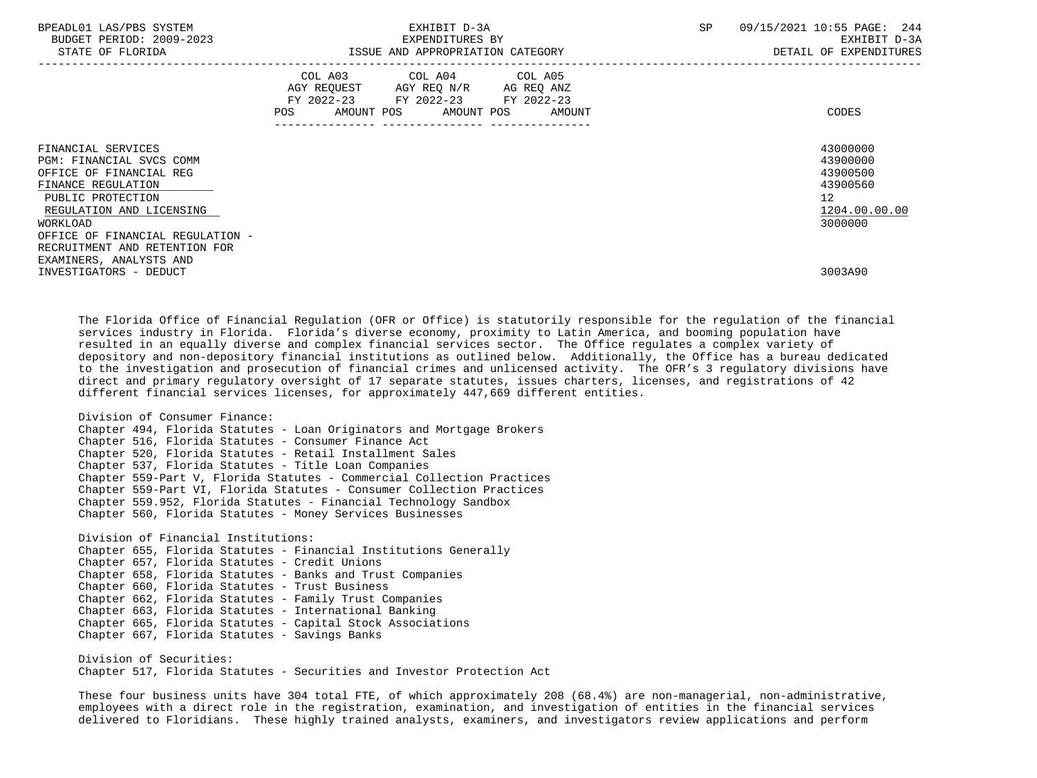| BPEADL01 LAS/PBS SYSTEM<br>BUDGET PERIOD: 2009-2023<br>STATE OF FLORIDA | EXHIBIT D-3A<br>EXPENDITURES BY<br>ISSUE AND APPROPRIATION CATEGORY                                                                         | 09/15/2021 10:55 PAGE: 244<br>SP<br>EXHIBIT D-3A<br>DETAIL OF EXPENDITURES |
|-------------------------------------------------------------------------|---------------------------------------------------------------------------------------------------------------------------------------------|----------------------------------------------------------------------------|
|                                                                         | COL A03 COL A04 COL A05<br>AGY REQUEST AGY REQ N/R AG REQ ANZ<br>FY 2022-23 FY 2022-23 FY 2022-23<br>AMOUNT POS AMOUNT POS<br>POS<br>AMOUNT | CODES                                                                      |
| FINANCIAL SERVICES                                                      |                                                                                                                                             | 43000000                                                                   |
| PGM: FINANCIAL SVCS COMM                                                |                                                                                                                                             | 43900000                                                                   |
| OFFICE OF FINANCIAL REG                                                 |                                                                                                                                             | 43900500                                                                   |
| FINANCE REGULATION                                                      |                                                                                                                                             | 43900560                                                                   |
| PUBLIC PROTECTION                                                       |                                                                                                                                             | 12 <sup>7</sup>                                                            |
| REGULATION AND LICENSING                                                |                                                                                                                                             | 1204.00.00.00                                                              |
| WORKLOAD                                                                |                                                                                                                                             | 3000000                                                                    |
| OFFICE OF FINANCIAL REGULATION -                                        |                                                                                                                                             |                                                                            |
| RECRUITMENT AND RETENTION FOR                                           |                                                                                                                                             |                                                                            |
| EXAMINERS, ANALYSTS AND                                                 |                                                                                                                                             |                                                                            |
| INVESTIGATORS - DEDUCT                                                  |                                                                                                                                             | 3003A90                                                                    |

 The Florida Office of Financial Regulation (OFR or Office) is statutorily responsible for the regulation of the financial services industry in Florida. Florida's diverse economy, proximity to Latin America, and booming population have resulted in an equally diverse and complex financial services sector. The Office regulates a complex variety of depository and non-depository financial institutions as outlined below. Additionally, the Office has a bureau dedicated to the investigation and prosecution of financial crimes and unlicensed activity. The OFR's 3 regulatory divisions have direct and primary regulatory oversight of 17 separate statutes, issues charters, licenses, and registrations of 42 different financial services licenses, for approximately 447,669 different entities.

 Division of Consumer Finance: Chapter 494, Florida Statutes - Loan Originators and Mortgage Brokers Chapter 516, Florida Statutes - Consumer Finance Act Chapter 520, Florida Statutes - Retail Installment Sales Chapter 537, Florida Statutes - Title Loan Companies Chapter 559-Part V, Florida Statutes - Commercial Collection Practices Chapter 559-Part VI, Florida Statutes - Consumer Collection Practices Chapter 559.952, Florida Statutes - Financial Technology Sandbox Chapter 560, Florida Statutes - Money Services Businesses Division of Financial Institutions: Chapter 655, Florida Statutes - Financial Institutions Generally Chapter 657, Florida Statutes - Credit Unions Chapter 658, Florida Statutes - Banks and Trust Companies Chapter 660, Florida Statutes - Trust Business Chapter 662, Florida Statutes - Family Trust Companies Chapter 663, Florida Statutes - International Banking Chapter 665, Florida Statutes - Capital Stock Associations Chapter 667, Florida Statutes - Savings Banks

 Division of Securities: Chapter 517, Florida Statutes - Securities and Investor Protection Act

 These four business units have 304 total FTE, of which approximately 208 (68.4%) are non-managerial, non-administrative, employees with a direct role in the registration, examination, and investigation of entities in the financial services delivered to Floridians. These highly trained analysts, examiners, and investigators review applications and perform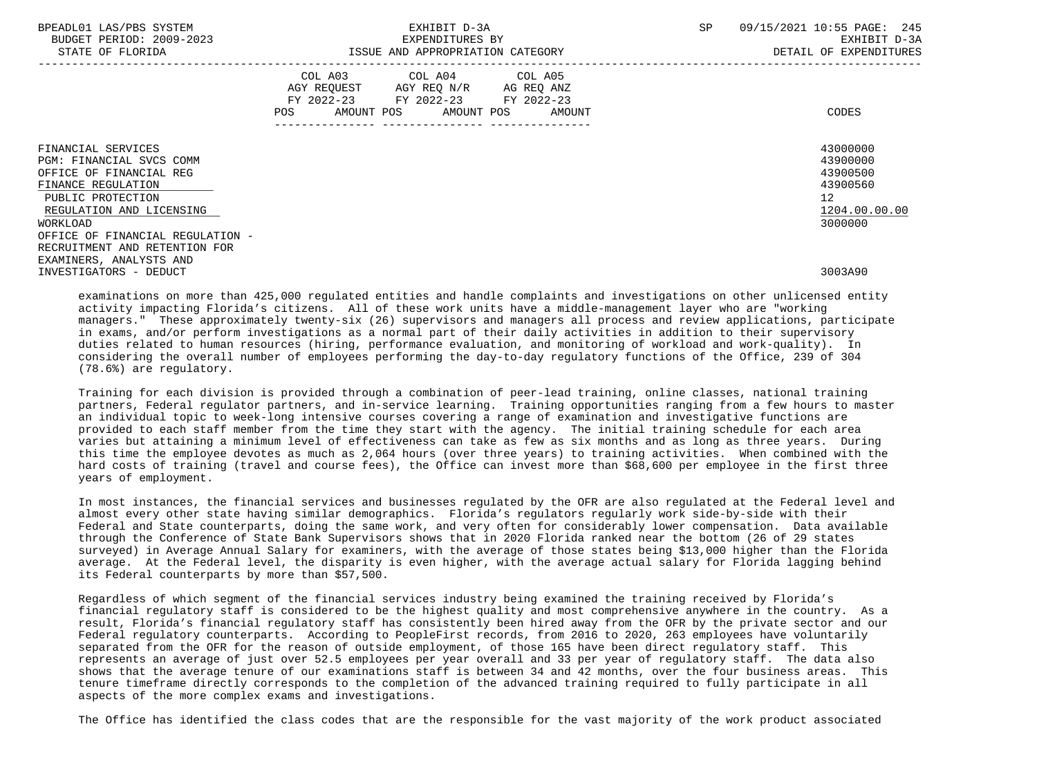| BPEADL01 LAS/PBS SYSTEM<br>BUDGET PERIOD: 2009-2023<br>STATE OF FLORIDA                                                                                      | EXHIBIT D-3A<br>EXPENDITURES BY<br>ISSUE AND APPROPRIATION CATEGORY                                                                   | 09/15/2021 10:55 PAGE: 245<br><b>SP</b><br>EXHIBIT D-3A<br>DETAIL OF EXPENDITURES |
|--------------------------------------------------------------------------------------------------------------------------------------------------------------|---------------------------------------------------------------------------------------------------------------------------------------|-----------------------------------------------------------------------------------|
|                                                                                                                                                              | COL A03 COL A04 COL A05<br>AGY REOUEST AGY REO N/R AG REO ANZ<br>FY 2022-23 FY 2022-23 FY 2022-23<br>POS AMOUNT POS AMOUNT POS AMOUNT | CODES                                                                             |
| FINANCIAL SERVICES<br>PGM: FINANCIAL SVCS COMM<br>OFFICE OF FINANCIAL REG<br>FINANCE REGULATION<br>PUBLIC PROTECTION<br>REGULATION AND LICENSING<br>WORKLOAD |                                                                                                                                       | 43000000<br>43900000<br>43900500<br>43900560<br>12<br>1204.00.00.00<br>3000000    |
| OFFICE OF FINANCIAL REGULATION -<br>RECRUITMENT AND RETENTION FOR<br>EXAMINERS, ANALYSTS AND<br>INVESTIGATORS - DEDUCT                                       |                                                                                                                                       | 3003A90                                                                           |

 examinations on more than 425,000 regulated entities and handle complaints and investigations on other unlicensed entity activity impacting Florida's citizens. All of these work units have a middle-management layer who are "working managers." These approximately twenty-six (26) supervisors and managers all process and review applications, participate in exams, and/or perform investigations as a normal part of their daily activities in addition to their supervisory duties related to human resources (hiring, performance evaluation, and monitoring of workload and work-quality). In considering the overall number of employees performing the day-to-day regulatory functions of the Office, 239 of 304 (78.6%) are regulatory.

 Training for each division is provided through a combination of peer-lead training, online classes, national training partners, Federal regulator partners, and in-service learning. Training opportunities ranging from a few hours to master an individual topic to week-long intensive courses covering a range of examination and investigative functions are provided to each staff member from the time they start with the agency. The initial training schedule for each area varies but attaining a minimum level of effectiveness can take as few as six months and as long as three years. During this time the employee devotes as much as 2,064 hours (over three years) to training activities. When combined with the hard costs of training (travel and course fees), the Office can invest more than \$68,600 per employee in the first three years of employment.

 In most instances, the financial services and businesses regulated by the OFR are also regulated at the Federal level and almost every other state having similar demographics. Florida's regulators regularly work side-by-side with their Federal and State counterparts, doing the same work, and very often for considerably lower compensation. Data available through the Conference of State Bank Supervisors shows that in 2020 Florida ranked near the bottom (26 of 29 states surveyed) in Average Annual Salary for examiners, with the average of those states being \$13,000 higher than the Florida average. At the Federal level, the disparity is even higher, with the average actual salary for Florida lagging behind its Federal counterparts by more than \$57,500.

 Regardless of which segment of the financial services industry being examined the training received by Florida's financial regulatory staff is considered to be the highest quality and most comprehensive anywhere in the country. As a result, Florida's financial regulatory staff has consistently been hired away from the OFR by the private sector and our Federal regulatory counterparts. According to PeopleFirst records, from 2016 to 2020, 263 employees have voluntarily separated from the OFR for the reason of outside employment, of those 165 have been direct regulatory staff. This represents an average of just over 52.5 employees per year overall and 33 per year of regulatory staff. The data also shows that the average tenure of our examinations staff is between 34 and 42 months, over the four business areas. This tenure timeframe directly corresponds to the completion of the advanced training required to fully participate in all aspects of the more complex exams and investigations.

The Office has identified the class codes that are the responsible for the vast majority of the work product associated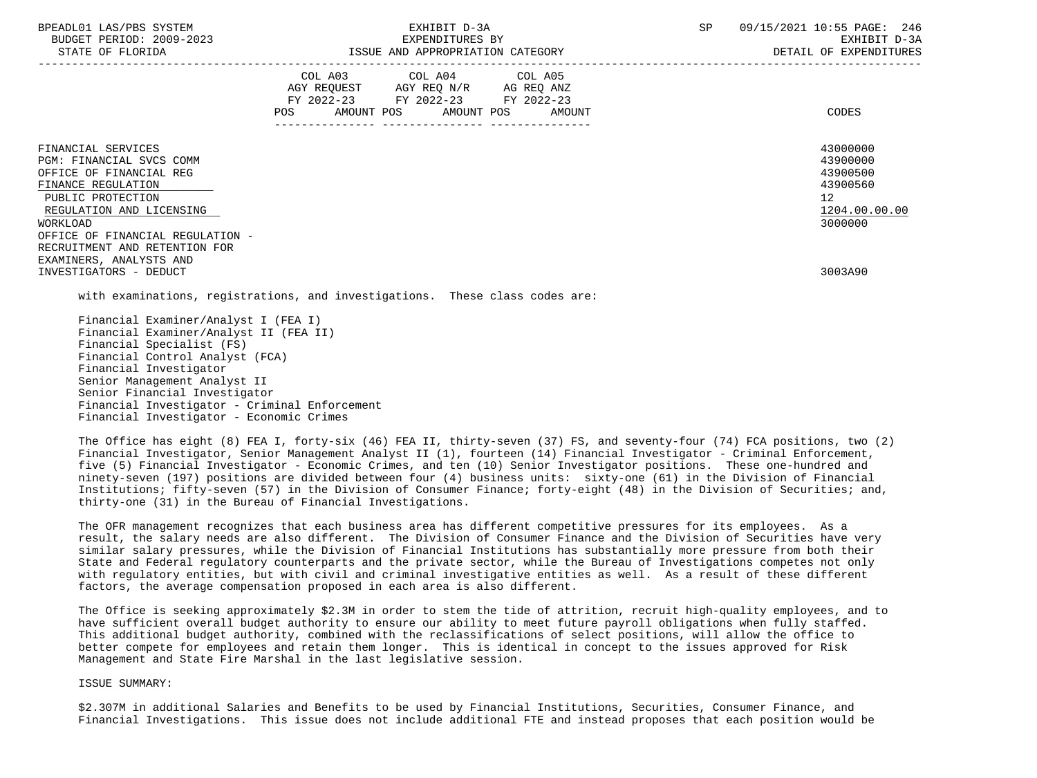| BPEADL01 LAS/PBS SYSTEM<br>BUDGET PERIOD: 2009-2023<br>STATE OF FLORIDA                                                                                                                                                                                      | EXHIBIT D-3A<br>EXPENDITURES BY<br>ISSUE AND APPROPRIATION CATEGORY                                                                         | 09/15/2021 10:55 PAGE: 246<br><b>SP</b> | EXHIBIT D-3A<br>DETAIL OF EXPENDITURES                        |
|--------------------------------------------------------------------------------------------------------------------------------------------------------------------------------------------------------------------------------------------------------------|---------------------------------------------------------------------------------------------------------------------------------------------|-----------------------------------------|---------------------------------------------------------------|
|                                                                                                                                                                                                                                                              | COL A03 COL A04 COL A05<br>AGY REQUEST AGY REQ N/R AG REQ ANZ<br>FY 2022-23 FY 2022-23 FY 2022-23<br>AMOUNT POS AMOUNT POS<br>POS<br>AMOUNT | CODES                                   |                                                               |
| FINANCIAL SERVICES<br>PGM: FINANCIAL SVCS COMM<br>OFFICE OF FINANCIAL REG<br>FINANCE REGULATION<br>PUBLIC PROTECTION<br>REGULATION AND LICENSING<br>WORKLOAD<br>OFFICE OF FINANCIAL REGULATION -<br>RECRUITMENT AND RETENTION FOR<br>EXAMINERS, ANALYSTS AND |                                                                                                                                             | 12 <sup>7</sup><br>3000000              | 43000000<br>43900000<br>43900500<br>43900560<br>1204.00.00.00 |
| INVESTIGATORS - DEDUCT                                                                                                                                                                                                                                       |                                                                                                                                             | 3003A90                                 |                                                               |
|                                                                                                                                                                                                                                                              | with examinations, registrations, and investigations. These class codes are:                                                                |                                         |                                                               |

 Financial Examiner/Analyst I (FEA I) Financial Examiner/Analyst II (FEA II) Financial Specialist (FS) Financial Control Analyst (FCA) Financial Investigator Senior Management Analyst II Senior Financial Investigator Financial Investigator - Criminal Enforcement Financial Investigator - Economic Crimes

 The Office has eight (8) FEA I, forty-six (46) FEA II, thirty-seven (37) FS, and seventy-four (74) FCA positions, two (2) Financial Investigator, Senior Management Analyst II (1), fourteen (14) Financial Investigator - Criminal Enforcement, five (5) Financial Investigator - Economic Crimes, and ten (10) Senior Investigator positions. These one-hundred and ninety-seven (197) positions are divided between four (4) business units: sixty-one (61) in the Division of Financial Institutions; fifty-seven (57) in the Division of Consumer Finance; forty-eight (48) in the Division of Securities; and, thirty-one (31) in the Bureau of Financial Investigations.

 The OFR management recognizes that each business area has different competitive pressures for its employees. As a result, the salary needs are also different. The Division of Consumer Finance and the Division of Securities have very similar salary pressures, while the Division of Financial Institutions has substantially more pressure from both their State and Federal regulatory counterparts and the private sector, while the Bureau of Investigations competes not only with regulatory entities, but with civil and criminal investigative entities as well. As a result of these different factors, the average compensation proposed in each area is also different.

 The Office is seeking approximately \$2.3M in order to stem the tide of attrition, recruit high-quality employees, and to have sufficient overall budget authority to ensure our ability to meet future payroll obligations when fully staffed. This additional budget authority, combined with the reclassifications of select positions, will allow the office to better compete for employees and retain them longer. This is identical in concept to the issues approved for Risk Management and State Fire Marshal in the last legislative session.

ISSUE SUMMARY:

 \$2.307M in additional Salaries and Benefits to be used by Financial Institutions, Securities, Consumer Finance, and Financial Investigations. This issue does not include additional FTE and instead proposes that each position would be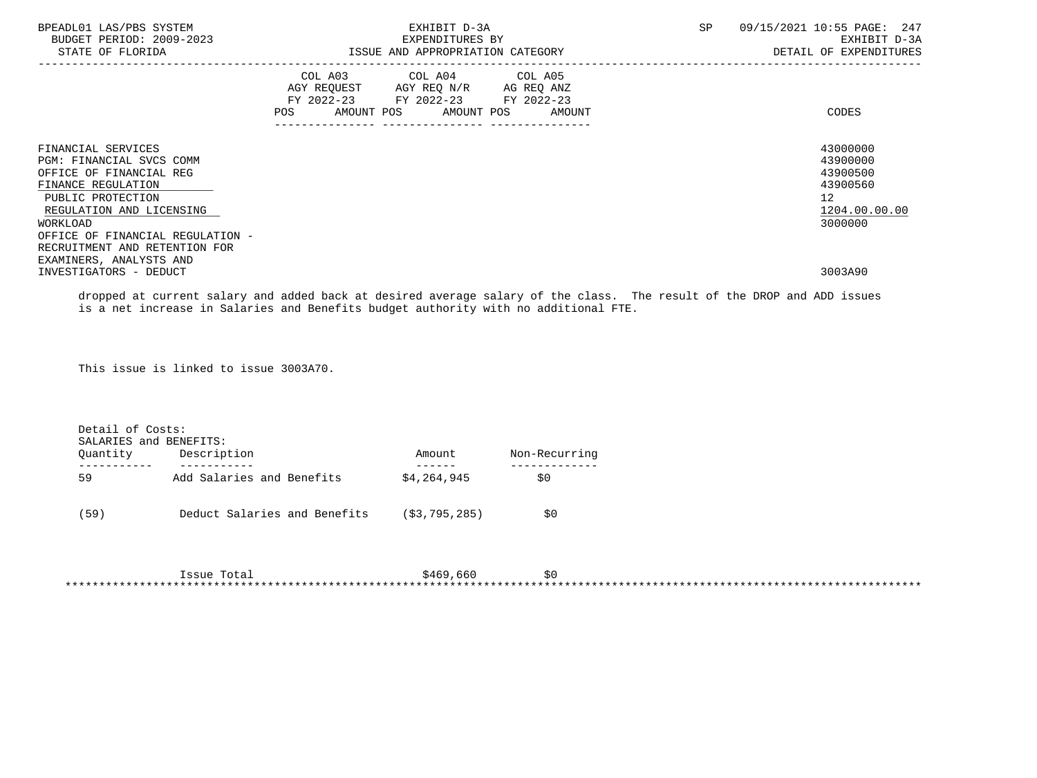| BPEADL01 LAS/PBS SYSTEM<br>BUDGET PERIOD: 2009-2023<br>STATE OF FLORIDA                                                                                      | EXHIBIT D-3A<br>EXPENDITURES BY<br>ISSUE AND APPROPRIATION CATEGORY                                                                   | 09/15/2021 10:55 PAGE: 247<br>SP<br>EXHIBIT D-3A<br>DETAIL OF EXPENDITURES                  |
|--------------------------------------------------------------------------------------------------------------------------------------------------------------|---------------------------------------------------------------------------------------------------------------------------------------|---------------------------------------------------------------------------------------------|
|                                                                                                                                                              | COL A03 COL A04 COL A05<br>AGY REQUEST AGY REQ N/R AG REQ ANZ<br>FY 2022-23 FY 2022-23 FY 2022-23<br>POS AMOUNT POS AMOUNT POS AMOUNT | CODES                                                                                       |
| FINANCIAL SERVICES<br>PGM: FINANCIAL SVCS COMM<br>OFFICE OF FINANCIAL REG<br>FINANCE REGULATION<br>PUBLIC PROTECTION<br>REGULATION AND LICENSING<br>WORKLOAD |                                                                                                                                       | 43000000<br>43900000<br>43900500<br>43900560<br>12 <sup>7</sup><br>1204.00.00.00<br>3000000 |
| OFFICE OF FINANCIAL REGULATION -<br>RECRUITMENT AND RETENTION FOR<br>EXAMINERS, ANALYSTS AND<br>INVESTIGATORS - DEDUCT                                       |                                                                                                                                       | 3003A90                                                                                     |

 dropped at current salary and added back at desired average salary of the class. The result of the DROP and ADD issues is a net increase in Salaries and Benefits budget authority with no additional FTE.

This issue is linked to issue 3003A70.

| Detail of Costs: | SALARIES and BENEFITS:       |                |                              |
|------------------|------------------------------|----------------|------------------------------|
| Quantity         | Description<br>----------    | Amount         | Non-Recurring<br>----------- |
| 59               | Add Salaries and Benefits    | \$4,264,945    | \$0                          |
| (59)             | Deduct Salaries and Benefits | (S3, 795, 285) | \$0                          |
|                  | Issue Total                  | \$469,660      | \$0                          |

\*\*\*\*\*\*\*\*\*\*\*\*\*\*\*\*\*\*\*\*\*\*\*\*\*\*\*\*\*\*\*\*\*\*\*\*\*\*\*\*\*\*\*\*\*\*\*\*\*\*\*\*\*\*\*\*\*\*\*\*\*\*\*\*\*\*\*\*\*\*\*\*\*\*\*\*\*\*\*\*\*\*\*\*\*\*\*\*\*\*\*\*\*\*\*\*\*\*\*\*\*\*\*\*\*\*\*\*\*\*\*\*\*\*\*\*\*\*\*\*\*\*\*\*\*\*\*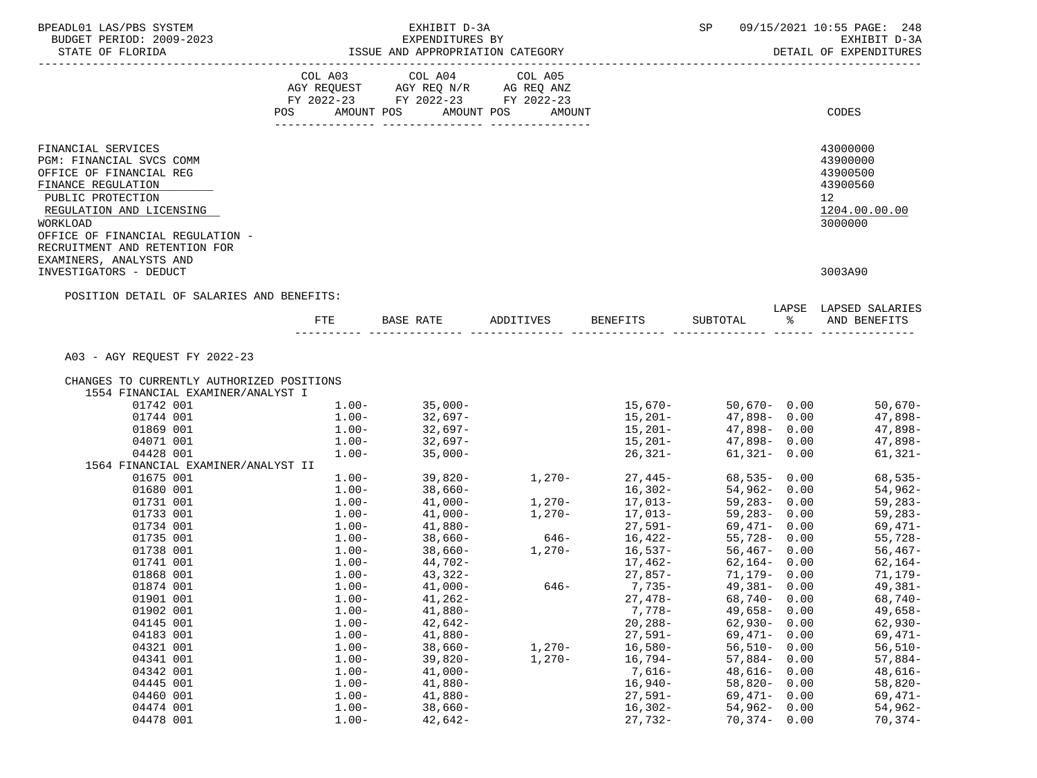| BPEADL01 LAS/PBS SYSTEM                                                                                                                                             |                    | EXHIBIT D-3A                                                                                                                                                                                                  |          |                                                                                                      |                                              |              | SP 09/15/2021 10:55 PAGE: 248 |
|---------------------------------------------------------------------------------------------------------------------------------------------------------------------|--------------------|---------------------------------------------------------------------------------------------------------------------------------------------------------------------------------------------------------------|----------|------------------------------------------------------------------------------------------------------|----------------------------------------------|--------------|-------------------------------|
|                                                                                                                                                                     |                    |                                                                                                                                                                                                               |          |                                                                                                      |                                              |              | EXHIBIT D-3A                  |
| EXPENDITURES BY FRIOD: 2009-2023<br>EXHIBIT ISSUE AND APPROPRIATION CATEGORY FRIORIDA DETAIL OF EXPENDITURES BY DETAIL OF EXPENDITURES BY DETAIL OF EXPENDITURES BY |                    |                                                                                                                                                                                                               |          |                                                                                                      |                                              |              | DETAIL OF EXPENDITURES        |
|                                                                                                                                                                     |                    |                                                                                                                                                                                                               |          |                                                                                                      |                                              |              |                               |
|                                                                                                                                                                     |                    | $\begin{tabular}{lllllllllll} COL & A03 & \multicolumn{2}{l}COL & A04 & \multicolumn{2}{l}COL & A05 \\ AGY & REQUEST & \multicolumn{2}{l}AGY & REQ & N/R & \multicolumn{2}{l}AG & REQ & ANZ \\ \end{tabular}$ |          |                                                                                                      |                                              |              |                               |
|                                                                                                                                                                     |                    | FY 2022-23 FY 2022-23 FY 2022-23                                                                                                                                                                              |          |                                                                                                      |                                              |              |                               |
|                                                                                                                                                                     |                    | POS AMOUNT POS AMOUNT POS AMOUNT                                                                                                                                                                              |          |                                                                                                      |                                              |              | CODES                         |
|                                                                                                                                                                     |                    |                                                                                                                                                                                                               |          |                                                                                                      |                                              |              |                               |
| FINANCIAL SERVICES                                                                                                                                                  |                    |                                                                                                                                                                                                               |          |                                                                                                      |                                              |              | 43000000                      |
| PGM: FINANCIAL SVCS COMM                                                                                                                                            |                    |                                                                                                                                                                                                               |          |                                                                                                      |                                              |              | 43900000                      |
| OFFICE OF FINANCIAL REG                                                                                                                                             |                    |                                                                                                                                                                                                               |          |                                                                                                      |                                              |              | 43900500                      |
| FINANCE REGULATION                                                                                                                                                  |                    |                                                                                                                                                                                                               |          |                                                                                                      |                                              |              | 43900560                      |
| PUBLIC PROTECTION                                                                                                                                                   |                    |                                                                                                                                                                                                               |          |                                                                                                      |                                              |              | 12                            |
| REGULATION AND LICENSING                                                                                                                                            |                    |                                                                                                                                                                                                               |          |                                                                                                      |                                              |              | 1204.00.00.00                 |
| WORKLOAD                                                                                                                                                            |                    |                                                                                                                                                                                                               |          |                                                                                                      |                                              |              | 3000000                       |
| OFFICE OF FINANCIAL REGULATION -<br>RECRUITMENT AND RETENTION FOR                                                                                                   |                    |                                                                                                                                                                                                               |          |                                                                                                      |                                              |              |                               |
| EXAMINERS, ANALYSTS AND                                                                                                                                             |                    |                                                                                                                                                                                                               |          |                                                                                                      |                                              |              |                               |
| INVESTIGATORS - DEDUCT                                                                                                                                              |                    |                                                                                                                                                                                                               |          |                                                                                                      |                                              |              | 3003A90                       |
|                                                                                                                                                                     |                    |                                                                                                                                                                                                               |          |                                                                                                      |                                              |              |                               |
| POSITION DETAIL OF SALARIES AND BENEFITS:                                                                                                                           |                    |                                                                                                                                                                                                               |          |                                                                                                      |                                              |              | LAPSE LAPSED SALARIES         |
|                                                                                                                                                                     |                    | FTE BASE RATE ADDITIVES BENEFITS                                                                                                                                                                              |          |                                                                                                      |                                              |              | SUBTOTAL % AND BENEFITS       |
|                                                                                                                                                                     |                    |                                                                                                                                                                                                               |          |                                                                                                      |                                              |              |                               |
| A03 - AGY REQUEST FY 2022-23                                                                                                                                        |                    |                                                                                                                                                                                                               |          |                                                                                                      |                                              |              |                               |
|                                                                                                                                                                     |                    |                                                                                                                                                                                                               |          |                                                                                                      |                                              |              |                               |
| CHANGES TO CURRENTLY AUTHORIZED POSITIONS                                                                                                                           |                    |                                                                                                                                                                                                               |          |                                                                                                      |                                              |              |                               |
| 1554 FINANCIAL EXAMINER/ANALYST I                                                                                                                                   |                    |                                                                                                                                                                                                               |          |                                                                                                      |                                              |              |                               |
| 01742 001                                                                                                                                                           | $1.00 - 32,697 -$  | $1.00 - 35,000 -$                                                                                                                                                                                             |          | $15,670-$                                                                                            | $50,670 - 0.00$<br>$15,201 47,898-$ 0.00     |              | 50,670-                       |
| 01744 001<br>01869 001                                                                                                                                              |                    |                                                                                                                                                                                                               |          |                                                                                                      |                                              |              | 47,898-<br>47,898-            |
| 04071 001                                                                                                                                                           |                    | $1.00 - 32,697 - 1.00 - 32,697 -$                                                                                                                                                                             |          | 15,201–<br>15,201–                                                                                   | 47,898- 0.00<br>47,898- 0.00                 |              | 47,898-                       |
| 04428 001                                                                                                                                                           | $1.00 - 35,000 -$  |                                                                                                                                                                                                               |          | $26,321-$                                                                                            | $61,321 - 0.00$                              |              | $61,321-$                     |
| 1564 FINANCIAL EXAMINER/ANALYST II                                                                                                                                  |                    |                                                                                                                                                                                                               |          |                                                                                                      |                                              |              |                               |
| 01675 001                                                                                                                                                           |                    | $1.00 - 39,820 -$                                                                                                                                                                                             |          | $1,270-27,445-$                                                                                      | 68,535- 0.00                                 |              | 68,535-                       |
| 01680 001                                                                                                                                                           | $1.00-$            | 38,660-<br>41,000-                                                                                                                                                                                            | $1,270-$ | 16,302-<br>17,013-                                                                                   | $54,962 - 0.00$                              |              | 54,962-                       |
| 01731 001                                                                                                                                                           | $1.00 -$           |                                                                                                                                                                                                               |          |                                                                                                      | 59,283- 0.00                                 |              | $59,283-$                     |
| 01733 001                                                                                                                                                           |                    | $1.00 - 41,000 -$                                                                                                                                                                                             | $1,270-$ | $17,013-$                                                                                            | 59,283- 0.00                                 |              | $59,283-$                     |
| 01734 001                                                                                                                                                           |                    | $1.00 - 41,880 - 1.00 - 38,660 -$                                                                                                                                                                             | $646-$   | 27,591–<br>16.422–<br>$16,422-$                                                                      | 69,471- 0.00<br>69,471- 0.00<br>55,728- 0.00 |              | 69,471-                       |
| 01735 001<br>01738 001                                                                                                                                              | $1.00 -$           |                                                                                                                                                                                                               |          |                                                                                                      |                                              |              | 55,728-<br>$56,467-$          |
| 01741 001                                                                                                                                                           | $1.00 -$           | $1.00 - 38,660 -$<br>44,702-                                                                                                                                                                                  |          |                                                                                                      |                                              |              | 62,164-                       |
| 01868 001                                                                                                                                                           |                    | $1.00 - 43,322 -$                                                                                                                                                                                             |          | $1,270-$<br>$16,537-$<br>$17,462-$<br>$27,857-$<br>$71,179-$<br>0.00<br>$27,857-$<br>71,179-<br>0.00 |                                              |              | $71.179-$                     |
| 01874 001                                                                                                                                                           | $1.00 -$           | $41,000-$                                                                                                                                                                                                     | $646-$   | $7,735-$                                                                                             | 49,381- 0.00                                 |              | 49,381-                       |
| 01901 001                                                                                                                                                           | $1.00-$            | $41,262-$                                                                                                                                                                                                     |          | $27,478-$                                                                                            | $68,740-$                                    | 0.00         | $68,740-$                     |
| 01902 001                                                                                                                                                           | $1.00-$            | $41,880-$                                                                                                                                                                                                     |          | $7,778-$                                                                                             | 49,658-                                      | 0.00         | $49,658-$                     |
| 04145 001                                                                                                                                                           | $1.00-$            | $42,642-$                                                                                                                                                                                                     |          | $20, 288 -$                                                                                          | $62,930-$                                    | 0.00         | $62,930-$                     |
| 04183 001                                                                                                                                                           | $1.00 -$           | $41,880-$                                                                                                                                                                                                     |          | $27,591-$                                                                                            | $69,471-$                                    | 0.00         | $69,471-$                     |
| 04321 001                                                                                                                                                           | $1.00-$            | $38,660-$                                                                                                                                                                                                     | $1,270-$ | $16,580-$                                                                                            | $56,510-$                                    | 0.00         | $56, 510 -$                   |
| 04341 001<br>04342 001                                                                                                                                              | $1.00-$<br>$1.00-$ | $39,820-$                                                                                                                                                                                                     | $1,270-$ | $16,794-$<br>$7,616-$                                                                                | $57,884-$<br>48,616-                         | 0.00         | $57,884-$<br>$48,616-$        |
| 04445 001                                                                                                                                                           | $1.00-$            | $41,000-$<br>$41,880-$                                                                                                                                                                                        |          | $16,940-$                                                                                            | $58,820-$                                    | 0.00<br>0.00 | $58,820-$                     |
| 04460 001                                                                                                                                                           | $1.00-$            | $41,880-$                                                                                                                                                                                                     |          | $27,591-$                                                                                            | 69,471-                                      | 0.00         | $69,471-$                     |
| 04474 001                                                                                                                                                           | $1.00-$            | $38,660-$                                                                                                                                                                                                     |          | $16,302-$                                                                                            | $54,962-$                                    | 0.00         | $54,962-$                     |
| 04478 001                                                                                                                                                           | $1.00-$            | $42,642-$                                                                                                                                                                                                     |          | $27,732-$                                                                                            | $70,374 - 0.00$                              |              | $70,374-$                     |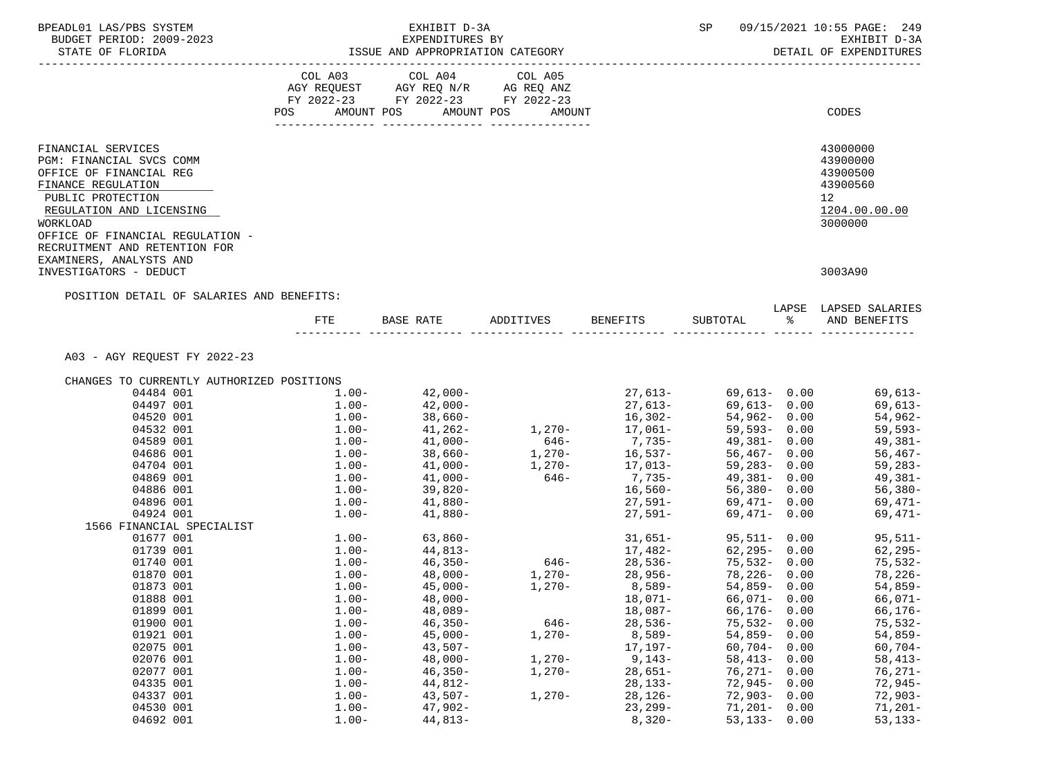| BPEADL01 LAS/PBS SYSTEM<br>BUDGET PERIOD: 2009-2023                                                                                                                                                                               |                 | EXHIBIT D-3A<br>EXPENDITURES BY<br>EXPENDITURES BY<br>ISSUE AND APPROPRIATION CATEGORY |                      |                          | SP               | 09/15/2021 10:55 PAGE: 249<br>EXHIBIT D-3A                                     |
|-----------------------------------------------------------------------------------------------------------------------------------------------------------------------------------------------------------------------------------|-----------------|----------------------------------------------------------------------------------------|----------------------|--------------------------|------------------|--------------------------------------------------------------------------------|
| STATE OF FLORIDA                                                                                                                                                                                                                  |                 |                                                                                        |                      |                          |                  | DETAIL OF EXPENDITURES                                                         |
|                                                                                                                                                                                                                                   | POS             | COL A03 COL A04 COL A05<br>AMOUNT POS                                                  | AMOUNT POS<br>AMOUNT |                          |                  | CODES                                                                          |
|                                                                                                                                                                                                                                   |                 |                                                                                        |                      |                          |                  |                                                                                |
| FINANCIAL SERVICES<br>PGM: FINANCIAL SVCS COMM<br>OFFICE OF FINANCIAL REG<br>FINANCE REGULATION<br>PUBLIC PROTECTION<br>REGULATION AND LICENSING<br>WORKLOAD<br>OFFICE OF FINANCIAL REGULATION -<br>RECRUITMENT AND RETENTION FOR |                 |                                                                                        |                      |                          |                  | 43000000<br>43900000<br>43900500<br>43900560<br>12<br>1204.00.00.00<br>3000000 |
| EXAMINERS, ANALYSTS AND<br>INVESTIGATORS - DEDUCT                                                                                                                                                                                 |                 |                                                                                        |                      |                          |                  | 3003A90                                                                        |
| POSITION DETAIL OF SALARIES AND BENEFITS:                                                                                                                                                                                         |                 |                                                                                        |                      |                          |                  |                                                                                |
|                                                                                                                                                                                                                                   | FTE             | BASE RATE                                                                              | ADDITIVES            | BENEFITS                 | SUBTOTAL %       | LAPSE LAPSED SALARIES<br>AND BENEFITS                                          |
| A03 - AGY REQUEST FY 2022-23                                                                                                                                                                                                      |                 |                                                                                        |                      |                          |                  |                                                                                |
|                                                                                                                                                                                                                                   |                 |                                                                                        |                      |                          |                  |                                                                                |
| CHANGES TO CURRENTLY AUTHORIZED POSITIONS<br>04484 001                                                                                                                                                                            | $1.00-$         | 42,000-                                                                                |                      |                          |                  | 69,613-                                                                        |
| 04497 001                                                                                                                                                                                                                         | $1.00-$         | $42,000-$                                                                              |                      |                          |                  | 69,613-                                                                        |
| 04520 001                                                                                                                                                                                                                         | $1\,\ldotp 00-$ |                                                                                        |                      |                          | 54,962- 0.00     | 54,962-                                                                        |
| 04532 001                                                                                                                                                                                                                         | $1.00 -$        | 38,660-<br>41,262-                                                                     |                      |                          | 59,593-0.00      | $59,593-$                                                                      |
| 04589 001                                                                                                                                                                                                                         |                 | $1.00 - 41,000 -$                                                                      |                      | $646 - 7,735 -$          | 49,381- 0.00     | 49,381-                                                                        |
| 04686 001                                                                                                                                                                                                                         |                 |                                                                                        |                      |                          | 56,467- 0.00     | $56,467-$                                                                      |
| 04704 001                                                                                                                                                                                                                         |                 | $1.00 - 38,660 - 1.00 - 41,000 -$                                                      |                      | 1,270-<br>1,270- 17,013- | 59,283- 0.00     | $59,283-$                                                                      |
| 04869 001                                                                                                                                                                                                                         | $1.00-$         |                                                                                        | $646-$               | 7,735-                   | 49,381- 0.00     | 49,381-                                                                        |
| 04886 001                                                                                                                                                                                                                         |                 | $41,000-$                                                                              |                      | 16,560-                  | 56,380- 0.00     | $56,380-$                                                                      |
| 04896 001                                                                                                                                                                                                                         |                 | $1.00 - 39,820 - 1.00 - 41,880 -$                                                      |                      | $27,591-$                | 69,471- 0.00     | 69,471-                                                                        |
| 04924 001                                                                                                                                                                                                                         | $1.00-$         | $41,880-$                                                                              |                      | 27,591-                  | 69,471- 0.00     | 69,471-                                                                        |
| 1566 FINANCIAL SPECIALIST                                                                                                                                                                                                         |                 |                                                                                        |                      |                          |                  |                                                                                |
| 01677 001                                                                                                                                                                                                                         |                 | $1.00 - 63,860 -$                                                                      |                      | $31,651-$                | 95,511- 0.00     | $95,511-$                                                                      |
| 01739 001                                                                                                                                                                                                                         | $1.00 -$        | 44,813-                                                                                |                      | 17,482-                  | $62,295 - 0.00$  | 62,295-                                                                        |
| 01740 001                                                                                                                                                                                                                         | $1.00-$         | $46,350-$                                                                              |                      |                          |                  | 75,532-                                                                        |
| 01870 001                                                                                                                                                                                                                         | $1.00-$         | 48,000-                                                                                | $1,270-$             | 28,956-                  | $78,226 - 0.00$  | 78,226-                                                                        |
| 01873 001                                                                                                                                                                                                                         | $1.00 -$        | $45,000-$                                                                              | $1,270-$             | $8,589-$                 | $54,859 - 0.00$  | $54,859-$                                                                      |
| 01888 001                                                                                                                                                                                                                         | $1.00-$         | $48,000-$                                                                              |                      | $18,071-$                | $66,071 - 0.00$  | $66,071-$                                                                      |
| 01899 001                                                                                                                                                                                                                         | $1.00-$         | $48,089-$                                                                              |                      | $18,087-$                | $66, 176 - 0.00$ | $66, 176 -$                                                                    |
| 01900 001                                                                                                                                                                                                                         | $1.00-$         | $46,350-$                                                                              | $646-$               | $28,536-$                | $75,532 - 0.00$  | $75,532-$                                                                      |
| 01921 001                                                                                                                                                                                                                         | $1.00-$         | $45,000-$                                                                              | $1,270-$             | $8,589-$                 | $54,859 - 0.00$  | $54,859-$                                                                      |
| 02075 001                                                                                                                                                                                                                         | $1.00-$         | $43,507-$                                                                              |                      | 17,197-                  | $60,704 - 0.00$  | $60,704-$                                                                      |
| 02076 001                                                                                                                                                                                                                         | $1.00-$         | $48,000-$                                                                              | $1,270-$             | $9,143-$                 | $58,413 - 0.00$  | $58,413-$                                                                      |
| 02077 001                                                                                                                                                                                                                         | $1.00-$         | $46,350-$                                                                              | $1,270-$             | $28,651-$                | $76,271 - 0.00$  | 76,271-                                                                        |
| 04335 001                                                                                                                                                                                                                         | $1.00-$         | 44,812-                                                                                |                      | $28, 133 -$              | $72,945 - 0.00$  | $72,945-$                                                                      |
| 04337 001                                                                                                                                                                                                                         | $1.00-$         | $43,507-$                                                                              | $1,270-$             | $28,126-$                | $72,903 - 0.00$  | $72,903-$                                                                      |
| 04530 001                                                                                                                                                                                                                         | $1.00-$         | 47,902-                                                                                |                      | $23, 299 -$              | $71,201 - 0.00$  | $71,201-$                                                                      |
| 04692 001                                                                                                                                                                                                                         | $1.00-$         | $44,813-$                                                                              |                      | $8,320-$                 | $53,133 - 0.00$  | $53,133-$                                                                      |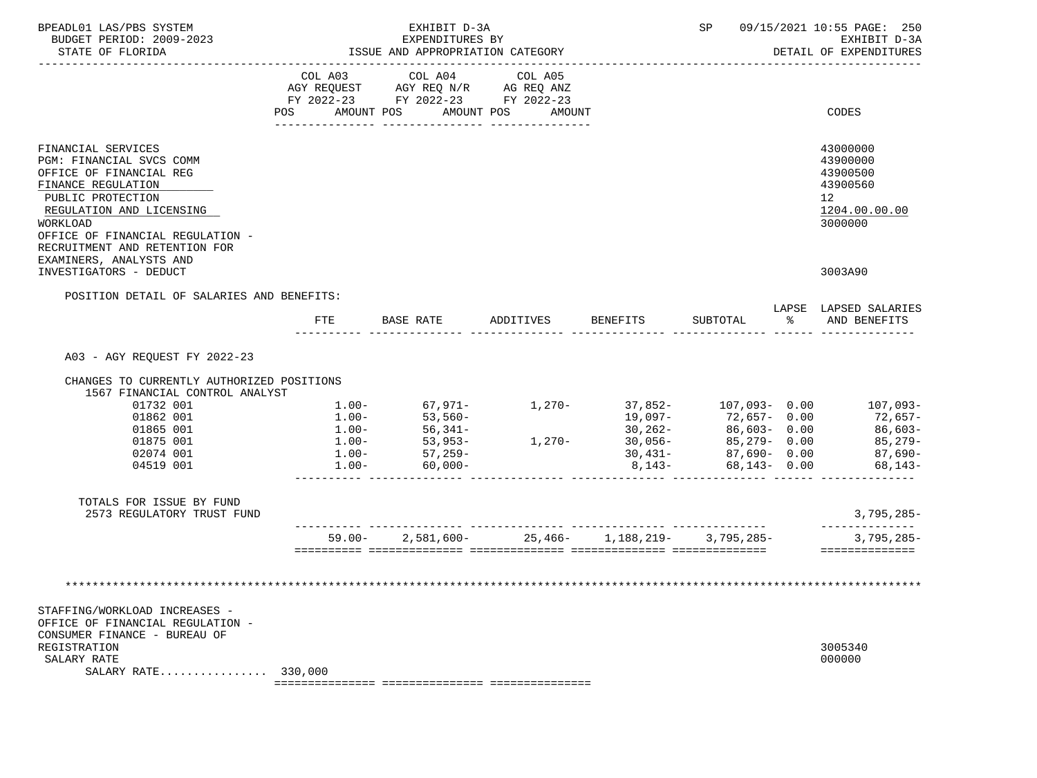| BPEADL01 LAS/PBS SYSTEM<br>BUDGET PERIOD: 2009-2023<br>STATE OF FLORIDA<br>----------------------                                                                                                                                 | EXHIBIT D-3A<br>EXPENDITURES BY<br>ISSUE AND APPROPRIATION CATEGORY |         |                                                                                   |  |          |  |                                                        | SP                                                    |  | 09/15/2021 10:55 PAGE: 250<br>EXHIBIT D-3A<br>DETAIL OF EXPENDITURES                        |
|-----------------------------------------------------------------------------------------------------------------------------------------------------------------------------------------------------------------------------------|---------------------------------------------------------------------|---------|-----------------------------------------------------------------------------------|--|----------|--|--------------------------------------------------------|-------------------------------------------------------|--|---------------------------------------------------------------------------------------------|
|                                                                                                                                                                                                                                   |                                                                     | COL A03 | COL A04<br>AGY REQUEST AGY REQ N/R AG REQ ANZ<br>FY 2022-23 FY 2022-23 FY 2022-23 |  | COL A05  |  |                                                        |                                                       |  |                                                                                             |
|                                                                                                                                                                                                                                   | POS                                                                 |         | AMOUNT POS AMOUNT POS AMOUNT                                                      |  |          |  |                                                        |                                                       |  | CODES                                                                                       |
| FINANCIAL SERVICES<br>PGM: FINANCIAL SVCS COMM<br>OFFICE OF FINANCIAL REG<br>FINANCE REGULATION<br>PUBLIC PROTECTION<br>REGULATION AND LICENSING<br>WORKLOAD<br>OFFICE OF FINANCIAL REGULATION -<br>RECRUITMENT AND RETENTION FOR |                                                                     |         |                                                                                   |  |          |  |                                                        |                                                       |  | 43000000<br>43900000<br>43900500<br>43900560<br>12 <sup>°</sup><br>1204.00.00.00<br>3000000 |
| EXAMINERS, ANALYSTS AND<br>INVESTIGATORS - DEDUCT                                                                                                                                                                                 |                                                                     |         |                                                                                   |  |          |  |                                                        |                                                       |  | 3003A90                                                                                     |
| POSITION DETAIL OF SALARIES AND BENEFITS:                                                                                                                                                                                         |                                                                     |         |                                                                                   |  |          |  |                                                        |                                                       |  |                                                                                             |
|                                                                                                                                                                                                                                   | FTE                                                                 |         | BASE RATE ADDITIVES                                                               |  |          |  | BENEFITS                                               |                                                       |  | LAPSE LAPSED SALARIES<br>SUBTOTAL % AND BENEFITS<br>______________                          |
| A03 - AGY REOUEST FY 2022-23<br>CHANGES TO CURRENTLY AUTHORIZED POSITIONS<br>1567 FINANCIAL CONTROL ANALYST                                                                                                                       |                                                                     |         |                                                                                   |  |          |  |                                                        |                                                       |  |                                                                                             |
| 01732 001                                                                                                                                                                                                                         |                                                                     |         |                                                                                   |  |          |  |                                                        |                                                       |  |                                                                                             |
| 01862 001                                                                                                                                                                                                                         |                                                                     |         |                                                                                   |  |          |  |                                                        |                                                       |  |                                                                                             |
| 01865 001                                                                                                                                                                                                                         |                                                                     |         | $1.00 - 56,341 -$                                                                 |  |          |  | $30,262 - 86,603 - 0.00$                               |                                                       |  | 86,603-                                                                                     |
| 01875 001                                                                                                                                                                                                                         |                                                                     |         | $1.00 - 53,953 - 1.00 - 57,259 -$                                                 |  | $1,270-$ |  | $30,056-$                                              | $30,056$ - $85,279$ - 0.00<br>$30,431$ - 87,690- 0.00 |  | 85,279-                                                                                     |
| 02074 001<br>04519 001                                                                                                                                                                                                            |                                                                     |         | $1.00 - 60,000 -$                                                                 |  |          |  |                                                        | $8,143-$ 68,143- 0.00                                 |  | 87,690-<br>$68, 143 -$                                                                      |
| TOTALS FOR ISSUE BY FUND<br>2573 REGULATORY TRUST FUND                                                                                                                                                                            |                                                                     |         |                                                                                   |  |          |  |                                                        | -- --------------- <b>-</b>                           |  | $3,795,285-$<br>--------------                                                              |
|                                                                                                                                                                                                                                   |                                                                     |         |                                                                                   |  |          |  | $59.00 - 2.581.600 - 25.466 - 1.188.219 - 3.795.285 -$ |                                                       |  | $3,795,285-$<br>==============                                                              |
| ***************<br>STAFFING/WORKLOAD INCREASES -<br>OFFICE OF FINANCIAL REGULATION -<br>CONSUMER FINANCE - BUREAU OF<br>REGISTRATION<br>SALARY RATE<br>SALARY RATE 330,000                                                        |                                                                     |         |                                                                                   |  |          |  |                                                        |                                                       |  | 3005340<br>000000                                                                           |
|                                                                                                                                                                                                                                   |                                                                     |         |                                                                                   |  |          |  |                                                        |                                                       |  |                                                                                             |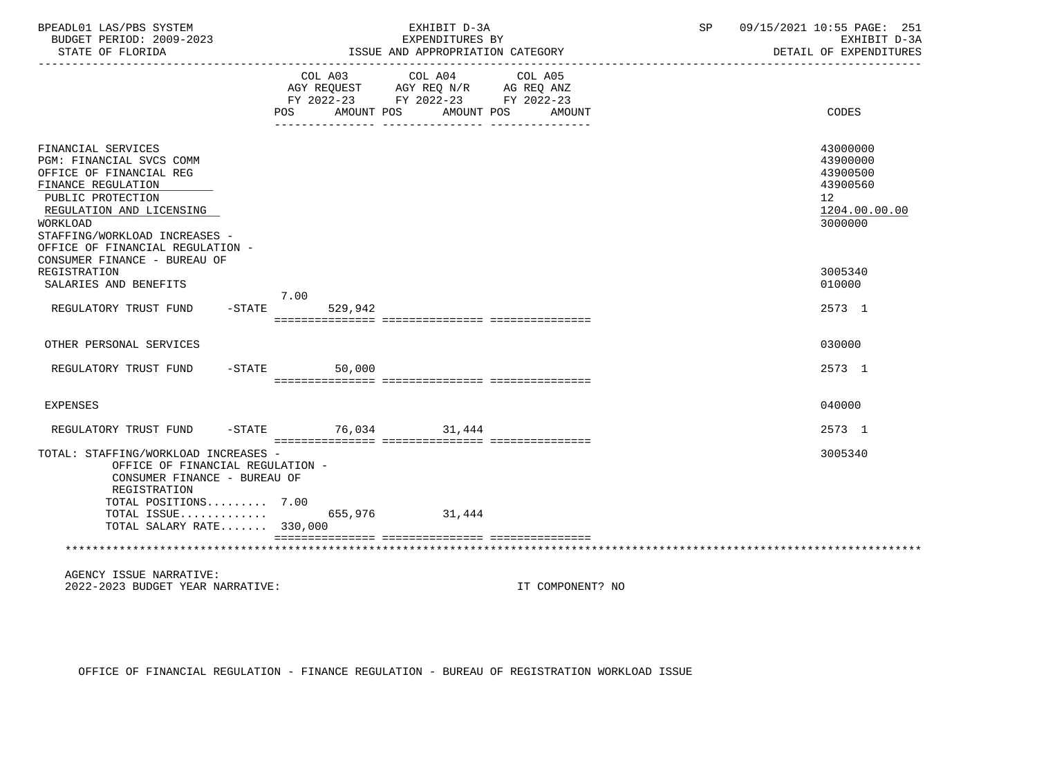| BPEADL01 LAS/PBS SYSTEM<br>BUDGET PERIOD: 2009-2023<br>STATE OF FLORIDA<br>__________________________                                                                                                                             |                           | EXHIBIT D-3A<br>EXPENDITURES BY<br>ISSUE AND APPROPRIATION CATEGORY                                                  | 09/15/2021 10:55 PAGE: 251<br>SP <sub>2</sub><br>EXHIBIT D-3A<br>DETAIL OF EXPENDITURES<br>______________________________ |
|-----------------------------------------------------------------------------------------------------------------------------------------------------------------------------------------------------------------------------------|---------------------------|----------------------------------------------------------------------------------------------------------------------|---------------------------------------------------------------------------------------------------------------------------|
|                                                                                                                                                                                                                                   | COL A03<br>POS AMOUNT POS | COL A04<br>COL A05<br>AGY REQUEST AGY REQ N/R AG REQ ANZ<br>FY 2022-23 FY 2022-23 FY 2022-23<br>AMOUNT POS<br>AMOUNT | <b>CODES</b>                                                                                                              |
| FINANCIAL SERVICES<br>PGM: FINANCIAL SVCS COMM<br>OFFICE OF FINANCIAL REG<br>FINANCE REGULATION<br>PUBLIC PROTECTION<br>REGULATION AND LICENSING<br>WORKLOAD<br>STAFFING/WORKLOAD INCREASES -<br>OFFICE OF FINANCIAL REGULATION - |                           |                                                                                                                      | 43000000<br>43900000<br>43900500<br>43900560<br>12 <sup>°</sup><br>1204.00.00.00<br>3000000                               |
| CONSUMER FINANCE - BUREAU OF<br>REGISTRATION<br>SALARIES AND BENEFITS                                                                                                                                                             | 7.00                      |                                                                                                                      | 3005340<br>010000                                                                                                         |
| REGULATORY TRUST FUND                                                                                                                                                                                                             | $-$ STATE<br>529,942      |                                                                                                                      | 2573 1                                                                                                                    |
| OTHER PERSONAL SERVICES                                                                                                                                                                                                           |                           |                                                                                                                      | 030000                                                                                                                    |
| REGULATORY TRUST FUND                                                                                                                                                                                                             | $-STATE$<br>50,000        |                                                                                                                      | 2573 1                                                                                                                    |
| <b>EXPENSES</b>                                                                                                                                                                                                                   |                           |                                                                                                                      | 040000                                                                                                                    |
| REGULATORY TRUST FUND                                                                                                                                                                                                             | -STATE 76,034 31,444      |                                                                                                                      | 2573 1                                                                                                                    |
| TOTAL: STAFFING/WORKLOAD INCREASES -<br>OFFICE OF FINANCIAL REGULATION -<br>CONSUMER FINANCE - BUREAU OF<br>REGISTRATION<br>TOTAL POSITIONS 7.00<br>TOTAL ISSUE<br>TOTAL SALARY RATE 330,000                                      | 655,976                   | 31,444                                                                                                               | 3005340                                                                                                                   |
|                                                                                                                                                                                                                                   |                           |                                                                                                                      |                                                                                                                           |
| AGENCY ISSUE NARRATIVE:<br>2022-2023 BUDGET YEAR NARRATIVE:                                                                                                                                                                       |                           | IT COMPONENT? NO                                                                                                     |                                                                                                                           |

OFFICE OF FINANCIAL REGULATION - FINANCE REGULATION - BUREAU OF REGISTRATION WORKLOAD ISSUE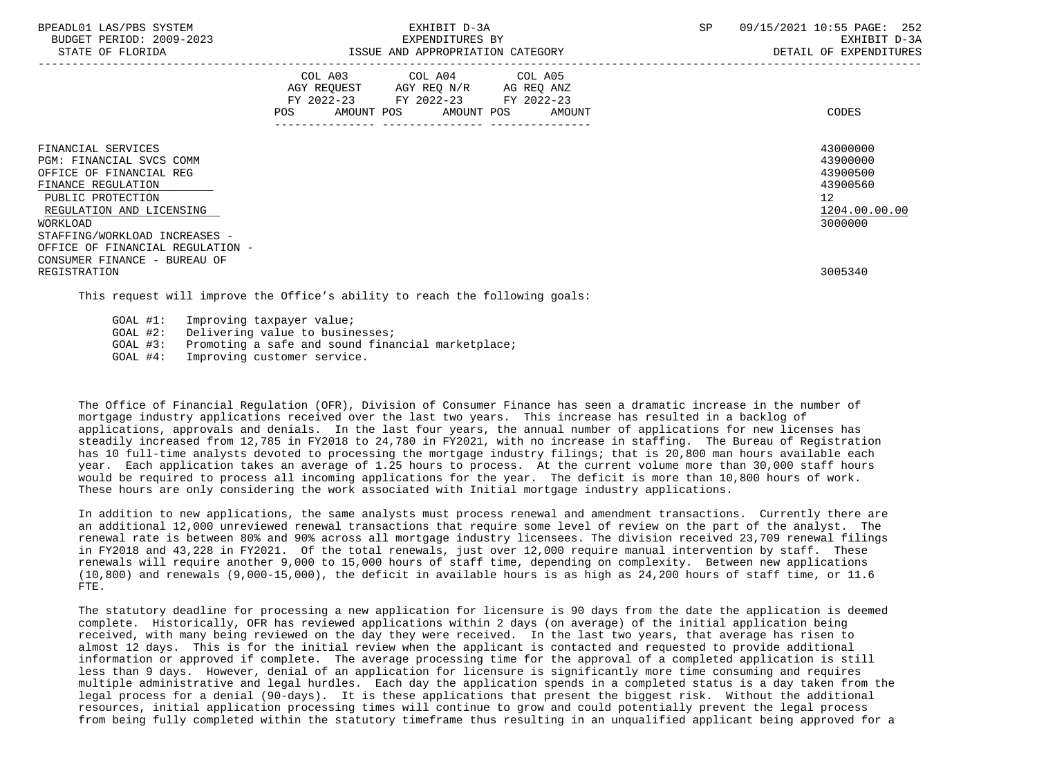| BPEADL01 LAS/PBS SYSTEM<br>BUDGET PERIOD: 2009-2023<br>STATE OF FLORIDA                                                                                      | EXHIBIT D-3A<br>EXPENDITURES BY<br>ISSUE AND APPROPRIATION CATEGORY                                                                                         | 09/15/2021 10:55 PAGE: 252<br><b>SP</b><br>EXHIBIT D-3A<br>DETAIL OF EXPENDITURES           |
|--------------------------------------------------------------------------------------------------------------------------------------------------------------|-------------------------------------------------------------------------------------------------------------------------------------------------------------|---------------------------------------------------------------------------------------------|
|                                                                                                                                                              | COL A03 COL A04 COL A05<br>AGY REQUEST AGY REQ N/R AG REQ ANZ<br>FY 2022-23 FY 2022-23 FY 2022-23<br>AMOUNT POS AMOUNT POS AMOUNT<br>POS<br>--------------- | CODES                                                                                       |
| FINANCIAL SERVICES<br>PGM: FINANCIAL SVCS COMM<br>OFFICE OF FINANCIAL REG<br>FINANCE REGULATION<br>PUBLIC PROTECTION<br>REGULATION AND LICENSING<br>WORKLOAD |                                                                                                                                                             | 43000000<br>43900000<br>43900500<br>43900560<br>12 <sup>°</sup><br>1204.00.00.00<br>3000000 |
| STAFFING/WORKLOAD INCREASES -<br>OFFICE OF FINANCIAL REGULATION -<br>CONSUMER FINANCE - BUREAU OF<br>REGISTRATION                                            |                                                                                                                                                             | 3005340                                                                                     |

This request will improve the Office's ability to reach the following goals:

GOAL #1: Improving taxpayer value;<br>GOAL #2: Delivering value to busing GOAL #2: Delivering value to businesses;<br>GOAL #3: Promoting a safe and sound finar Promoting a safe and sound financial marketplace; GOAL #4: Improving customer service.

 The Office of Financial Regulation (OFR), Division of Consumer Finance has seen a dramatic increase in the number of mortgage industry applications received over the last two years. This increase has resulted in a backlog of applications, approvals and denials. In the last four years, the annual number of applications for new licenses has steadily increased from 12,785 in FY2018 to 24,780 in FY2021, with no increase in staffing. The Bureau of Registration has 10 full-time analysts devoted to processing the mortgage industry filings; that is 20,800 man hours available each year. Each application takes an average of 1.25 hours to process. At the current volume more than 30,000 staff hours would be required to process all incoming applications for the year. The deficit is more than 10,800 hours of work. These hours are only considering the work associated with Initial mortgage industry applications.

 In addition to new applications, the same analysts must process renewal and amendment transactions. Currently there are an additional 12,000 unreviewed renewal transactions that require some level of review on the part of the analyst. The renewal rate is between 80% and 90% across all mortgage industry licensees. The division received 23,709 renewal filings in FY2018 and 43,228 in FY2021. Of the total renewals, just over 12,000 require manual intervention by staff. These renewals will require another 9,000 to 15,000 hours of staff time, depending on complexity. Between new applications (10,800) and renewals (9,000-15,000), the deficit in available hours is as high as 24,200 hours of staff time, or 11.6 FTE.

 The statutory deadline for processing a new application for licensure is 90 days from the date the application is deemed complete. Historically, OFR has reviewed applications within 2 days (on average) of the initial application being received, with many being reviewed on the day they were received. In the last two years, that average has risen to almost 12 days. This is for the initial review when the applicant is contacted and requested to provide additional information or approved if complete. The average processing time for the approval of a completed application is still less than 9 days. However, denial of an application for licensure is significantly more time consuming and requires multiple administrative and legal hurdles. Each day the application spends in a completed status is a day taken from the legal process for a denial (90-days). It is these applications that present the biggest risk. Without the additional resources, initial application processing times will continue to grow and could potentially prevent the legal process from being fully completed within the statutory timeframe thus resulting in an unqualified applicant being approved for a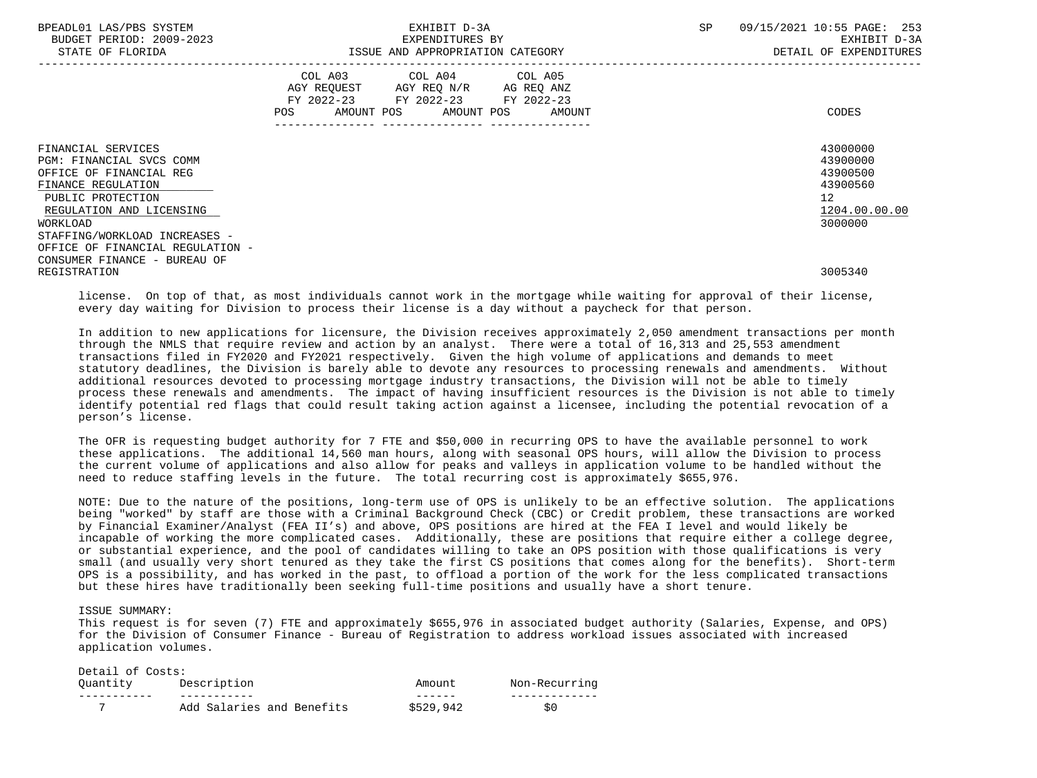| BPEADL01 LAS/PBS SYSTEM<br>BUDGET PERIOD: 2009-2023<br>STATE OF FLORIDA                                                                                      | EXHIBIT D-3A<br>EXPENDITURES BY<br>ISSUE AND APPROPRIATION CATEGORY                                                                             | 09/15/2021 10:55 PAGE: 253<br><b>SP</b><br>EXHIBIT D-3A<br>DETAIL OF EXPENDITURES |
|--------------------------------------------------------------------------------------------------------------------------------------------------------------|-------------------------------------------------------------------------------------------------------------------------------------------------|-----------------------------------------------------------------------------------|
|                                                                                                                                                              | COL A03 COL A04 COL A05<br>AGY REQUEST AGY REQ N/R AG REQ ANZ<br>FY 2022-23 FY 2022-23 FY 2022-23<br>AMOUNT POS AMOUNT POS AMOUNT<br><b>POS</b> | CODES                                                                             |
| FINANCIAL SERVICES<br>PGM: FINANCIAL SVCS COMM<br>OFFICE OF FINANCIAL REG<br>FINANCE REGULATION<br>PUBLIC PROTECTION<br>REGULATION AND LICENSING<br>WORKLOAD |                                                                                                                                                 | 43000000<br>43900000<br>43900500<br>43900560<br>12<br>1204.00.00.00<br>3000000    |
| STAFFING/WORKLOAD INCREASES -<br>OFFICE OF FINANCIAL REGULATION -<br>CONSUMER FINANCE - BUREAU OF<br>REGISTRATION                                            |                                                                                                                                                 | 3005340                                                                           |

 license. On top of that, as most individuals cannot work in the mortgage while waiting for approval of their license, every day waiting for Division to process their license is a day without a paycheck for that person.

 In addition to new applications for licensure, the Division receives approximately 2,050 amendment transactions per month through the NMLS that require review and action by an analyst. There were a total of 16,313 and 25,553 amendment transactions filed in FY2020 and FY2021 respectively. Given the high volume of applications and demands to meet statutory deadlines, the Division is barely able to devote any resources to processing renewals and amendments. Without additional resources devoted to processing mortgage industry transactions, the Division will not be able to timely process these renewals and amendments. The impact of having insufficient resources is the Division is not able to timely identify potential red flags that could result taking action against a licensee, including the potential revocation of a person's license.

 The OFR is requesting budget authority for 7 FTE and \$50,000 in recurring OPS to have the available personnel to work these applications. The additional 14,560 man hours, along with seasonal OPS hours, will allow the Division to process the current volume of applications and also allow for peaks and valleys in application volume to be handled without the need to reduce staffing levels in the future. The total recurring cost is approximately \$655,976.

 NOTE: Due to the nature of the positions, long-term use of OPS is unlikely to be an effective solution. The applications being "worked" by staff are those with a Criminal Background Check (CBC) or Credit problem, these transactions are worked by Financial Examiner/Analyst (FEA II's) and above, OPS positions are hired at the FEA I level and would likely be incapable of working the more complicated cases. Additionally, these are positions that require either a college degree, or substantial experience, and the pool of candidates willing to take an OPS position with those qualifications is very small (and usually very short tenured as they take the first CS positions that comes along for the benefits). Short-term OPS is a possibility, and has worked in the past, to offload a portion of the work for the less complicated transactions but these hires have traditionally been seeking full-time positions and usually have a short tenure.

## ISSUE SUMMARY:

Detail of Costs:

 This request is for seven (7) FTE and approximately \$655,976 in associated budget authority (Salaries, Expense, and OPS) for the Division of Consumer Finance - Bureau of Registration to address workload issues associated with increased application volumes.

| Detail of Costs: |                           |           |               |
|------------------|---------------------------|-----------|---------------|
| Ouantity         | Description               | Amount    | Non-Recurring |
|                  |                           |           |               |
|                  | Add Salaries and Benefits | \$529,942 |               |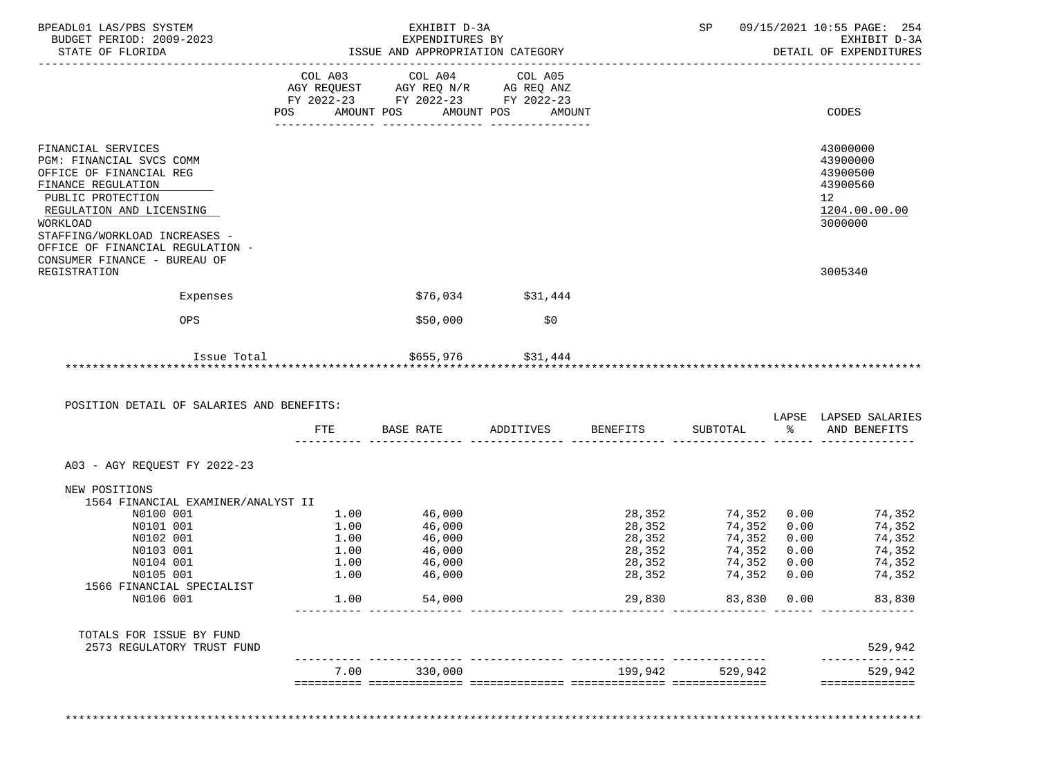| BUDGET PERIOD: 2009-2023<br>STATE OF FLORIDA                                     |              | EXHIBIT D-3A<br>EXPENDITURES BY<br>ISSUE AND APPROPRIATION CATEGORY                                                                   |                              |                  |                  |              | SP 09/15/2021 10:55 PAGE: 254<br>EXHIBIT D-3A<br>DETAIL OF EXPENDITURES |
|----------------------------------------------------------------------------------|--------------|---------------------------------------------------------------------------------------------------------------------------------------|------------------------------|------------------|------------------|--------------|-------------------------------------------------------------------------|
|                                                                                  |              | COL A03 COL A04 COL A05<br>AGY REQUEST AGY REQ N/R AG REQ ANZ<br>FY 2022-23 FY 2022-23 FY 2022-23<br>POS AMOUNT POS AMOUNT POS AMOUNT |                              |                  |                  |              | CODES                                                                   |
| FINANCIAL SERVICES                                                               |              |                                                                                                                                       |                              |                  |                  |              | 43000000                                                                |
| PGM: FINANCIAL SVCS COMM<br>OFFICE OF FINANCIAL REG                              |              |                                                                                                                                       |                              |                  |                  |              | 43900000<br>43900500<br>43900560                                        |
| FINANCE REGULATION<br>PUBLIC PROTECTION                                          |              |                                                                                                                                       |                              |                  |                  |              | 12                                                                      |
| REGULATION AND LICENSING<br>WORKLOAD<br>STAFFING/WORKLOAD INCREASES -            |              |                                                                                                                                       |                              |                  |                  |              | 1204.00.00.00<br>3000000                                                |
| OFFICE OF FINANCIAL REGULATION -<br>CONSUMER FINANCE - BUREAU OF<br>REGISTRATION |              |                                                                                                                                       |                              |                  |                  |              | 3005340                                                                 |
| Expenses                                                                         |              |                                                                                                                                       | $$76,034$ $$31,444$          |                  |                  |              |                                                                         |
| <b>OPS</b>                                                                       |              | \$50,000                                                                                                                              | \$0                          |                  |                  |              |                                                                         |
| Issue Total<br>***********************************                               |              | $$655,976$ $$31,444$                                                                                                                  |                              |                  |                  |              |                                                                         |
| POSITION DETAIL OF SALARIES AND BENEFITS:                                        | FTE          |                                                                                                                                       | BASE RATE ADDITIVES BENEFITS |                  | SUBTOTAL         |              | LAPSE LAPSED SALARIES<br>% AND BENEFITS                                 |
| A03 - AGY REQUEST FY 2022-23                                                     |              |                                                                                                                                       |                              |                  |                  |              |                                                                         |
| NEW POSITIONS                                                                    |              |                                                                                                                                       |                              |                  |                  |              |                                                                         |
| 1564 FINANCIAL EXAMINER/ANALYST II                                               |              |                                                                                                                                       |                              |                  |                  |              |                                                                         |
| N0100 001                                                                        | 1.00         | 46,000                                                                                                                                |                              | 28,352           | 74,352 0.00      |              | 74,352                                                                  |
| N0101 001                                                                        | 1.00         |                                                                                                                                       |                              | 28,352           | 74,352           | 0.00         | 74,352                                                                  |
| N0102 001                                                                        | 1.00         | 46,000<br>46,000                                                                                                                      |                              | 28,352           | 74,352           | 0.00         | 74,352                                                                  |
| N0103 001<br>N0104 001                                                           | 1.00<br>1.00 | 46,000                                                                                                                                |                              | 28,352<br>28,352 | 74,352<br>74,352 | 0.00<br>0.00 | 74,352<br>74,352                                                        |
| N0105 001                                                                        | 1.00         | 46,000<br>46,000                                                                                                                      |                              | 28,352           | 74,352           | 0.00         | 74,352                                                                  |
| 1566 FINANCIAL SPECIALIST                                                        |              |                                                                                                                                       |                              |                  |                  |              |                                                                         |
| N0106 001                                                                        |              | 1.00<br>54,000                                                                                                                        |                              | 29,830           | 83,830 0.00      |              | 83,830                                                                  |
| TOTALS FOR ISSUE BY FUND<br>2573 REGULATORY TRUST FUND                           |              |                                                                                                                                       |                              |                  |                  |              | 529,942                                                                 |

\*\*\*\*\*\*\*\*\*\*\*\*\*\*\*\*\*\*\*\*\*\*\*\*\*\*\*\*\*\*\*\*\*\*\*\*\*\*\*\*\*\*\*\*\*\*\*\*\*\*\*\*\*\*\*\*\*\*\*\*\*\*\*\*\*\*\*\*\*\*\*\*\*\*\*\*\*\*\*\*\*\*\*\*\*\*\*\*\*\*\*\*\*\*\*\*\*\*\*\*\*\*\*\*\*\*\*\*\*\*\*\*\*\*\*\*\*\*\*\*\*\*\*\*\*\*\*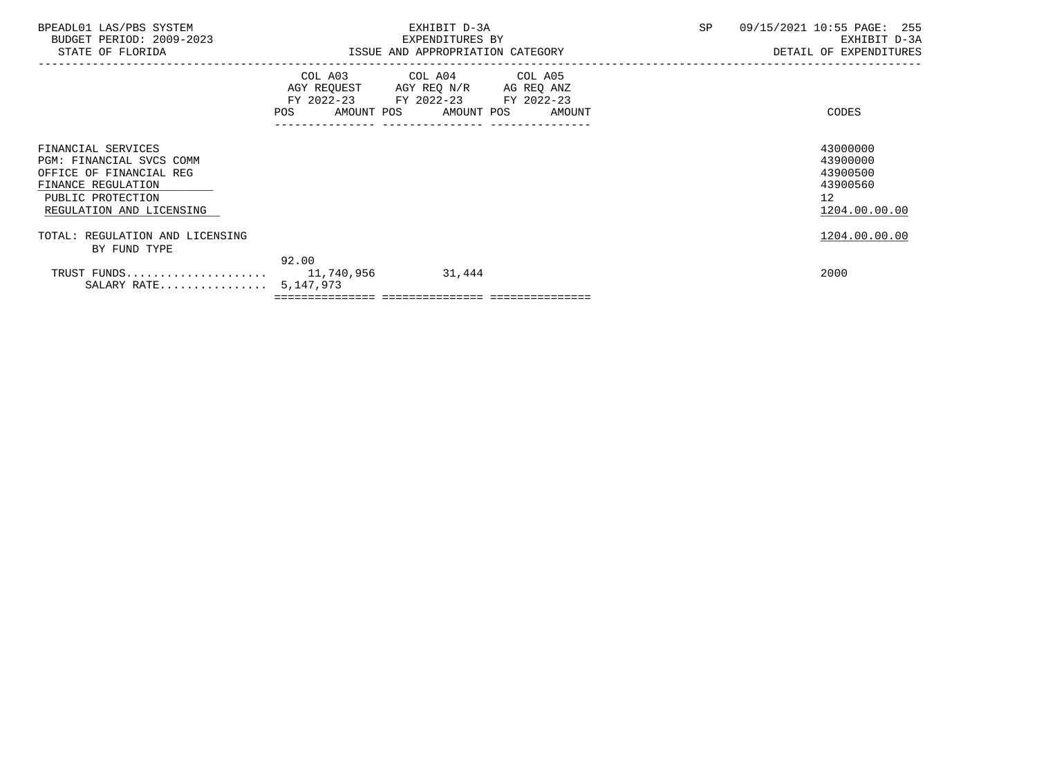| BPEADL01 LAS/PBS SYSTEM<br>BUDGET PERIOD: 2009-2023<br>STATE OF FLORIDA                                                                          |                                                                                                                                                  | EXHIBIT D-3A<br>EXPENDITURES BY<br>ISSUE AND APPROPRIATION CATEGORY                                                                  | <b>SP</b> | 09/15/2021 10:55 PAGE: 255<br>EXHIBIT D-3A<br>DETAIL OF EXPENDITURES |
|--------------------------------------------------------------------------------------------------------------------------------------------------|--------------------------------------------------------------------------------------------------------------------------------------------------|--------------------------------------------------------------------------------------------------------------------------------------|-----------|----------------------------------------------------------------------|
|                                                                                                                                                  | POS FOR THE POST OF THE STATE STATE STATE STATE STATE STATE STATE STATE STATE STATE STATE STATE STATE STATE ST<br>---------------- ------------- | COL A03 COL A04 COL A05<br>AGY REQUEST AGY REQ N/R AG REQ ANZ<br>FY 2022-23 FY 2022-23 FY 2022-23<br>AMOUNT POS AMOUNT POS<br>AMOUNT |           | CODES                                                                |
| FINANCIAL SERVICES<br>PGM: FINANCIAL SVCS COMM<br>OFFICE OF FINANCIAL REG<br>FINANCE REGULATION<br>PUBLIC PROTECTION<br>REGULATION AND LICENSING |                                                                                                                                                  |                                                                                                                                      |           | 43000000<br>43900000<br>43900500<br>43900560<br>12<br>1204.00.00.00  |
| TOTAL: REGULATION AND LICENSING<br>BY FUND TYPE                                                                                                  |                                                                                                                                                  |                                                                                                                                      |           | 1204.00.00.00                                                        |
| SALARY RATE 5,147,973                                                                                                                            | 92.00                                                                                                                                            | 31,444                                                                                                                               |           | 2000                                                                 |
|                                                                                                                                                  |                                                                                                                                                  |                                                                                                                                      |           |                                                                      |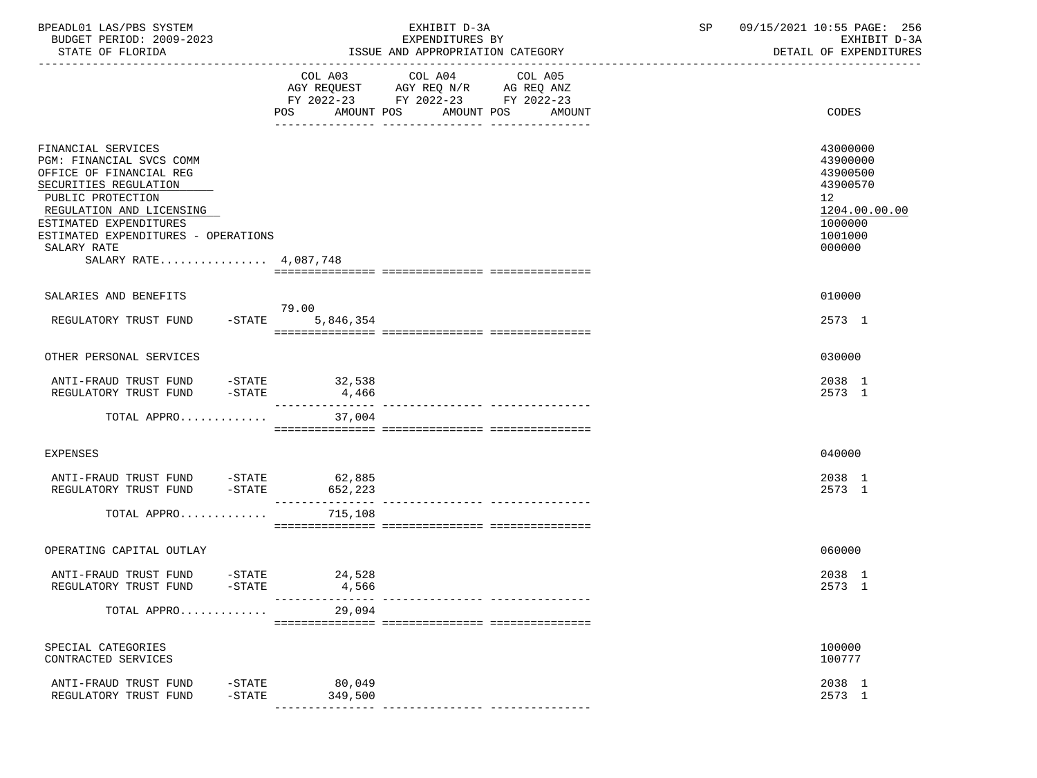| BPEADL01 LAS/PBS SYSTEM<br>BUDGET PERIOD: 2009-2023<br>STATE OF FLORIDA                                                                                                                                                                                      |                   | EXHIBIT D-3A<br>EXPENDITURES BY<br>ISSUE AND APPROPRIATION CATEGORY                                                               | SP     | 09/15/2021 10:55 PAGE: 256<br>EXHIBIT D-3A<br>DETAIL OF EXPENDITURES                                |
|--------------------------------------------------------------------------------------------------------------------------------------------------------------------------------------------------------------------------------------------------------------|-------------------|-----------------------------------------------------------------------------------------------------------------------------------|--------|-----------------------------------------------------------------------------------------------------|
|                                                                                                                                                                                                                                                              |                   | COL A03 COL A04<br>COL A05<br>AGY REQUEST AGY REQ N/R AG REQ ANZ<br>FY 2022-23 FY 2022-23 FY 2022-23<br>POS AMOUNT POS AMOUNT POS | AMOUNT | CODES                                                                                               |
| FINANCIAL SERVICES<br>PGM: FINANCIAL SVCS COMM<br>OFFICE OF FINANCIAL REG<br>SECURITIES REGULATION<br>PUBLIC PROTECTION<br>REGULATION AND LICENSING<br>ESTIMATED EXPENDITURES<br>ESTIMATED EXPENDITURES - OPERATIONS<br>SALARY RATE<br>SALARY RATE 4,087,748 |                   |                                                                                                                                   |        | 43000000<br>43900000<br>43900500<br>43900570<br>12<br>1204.00.00.00<br>1000000<br>1001000<br>000000 |
| SALARIES AND BENEFITS                                                                                                                                                                                                                                        | 79.00             |                                                                                                                                   |        | 010000                                                                                              |
| $-$ STATE<br>REGULATORY TRUST FUND                                                                                                                                                                                                                           | 5,846,354         |                                                                                                                                   |        | 2573 1                                                                                              |
| OTHER PERSONAL SERVICES                                                                                                                                                                                                                                      |                   |                                                                                                                                   |        | 030000                                                                                              |
| ANTI-FRAUD TRUST FUND -STATE 32,538<br>REGULATORY TRUST FUND                                                                                                                                                                                                 | $-STATE$ 4,466    |                                                                                                                                   |        | 2038 1<br>2573 1                                                                                    |
| TOTAL APPRO                                                                                                                                                                                                                                                  | 37,004            |                                                                                                                                   |        |                                                                                                     |
| <b>EXPENSES</b>                                                                                                                                                                                                                                              |                   |                                                                                                                                   |        | 040000                                                                                              |
| ANTI-FRAUD TRUST FUND -STATE 62,885<br>REGULATORY TRUST FUND                                                                                                                                                                                                 | -STATE 652,223    |                                                                                                                                   |        | 2038 1<br>2573 1                                                                                    |
| TOTAL APPRO                                                                                                                                                                                                                                                  | 715,108           |                                                                                                                                   |        |                                                                                                     |
| OPERATING CAPITAL OUTLAY                                                                                                                                                                                                                                     |                   |                                                                                                                                   |        | 060000                                                                                              |
| ANTI-FRAUD TRUST FUND -STATE 24,528<br>$-STATE$<br>REGULATORY TRUST FUND                                                                                                                                                                                     | 4,566             |                                                                                                                                   |        | 2038 1<br>2573 1                                                                                    |
| TOTAL APPRO                                                                                                                                                                                                                                                  | 29,094            |                                                                                                                                   |        |                                                                                                     |
| SPECIAL CATEGORIES<br>CONTRACTED SERVICES                                                                                                                                                                                                                    |                   |                                                                                                                                   |        | 100000<br>100777                                                                                    |
| ANTI-FRAUD TRUST FUND<br>$-$ STATE<br>REGULATORY TRUST FUND<br>$-$ STATE                                                                                                                                                                                     | 80,049<br>349,500 |                                                                                                                                   |        | 2038 1<br>2573 1                                                                                    |
|                                                                                                                                                                                                                                                              |                   |                                                                                                                                   |        |                                                                                                     |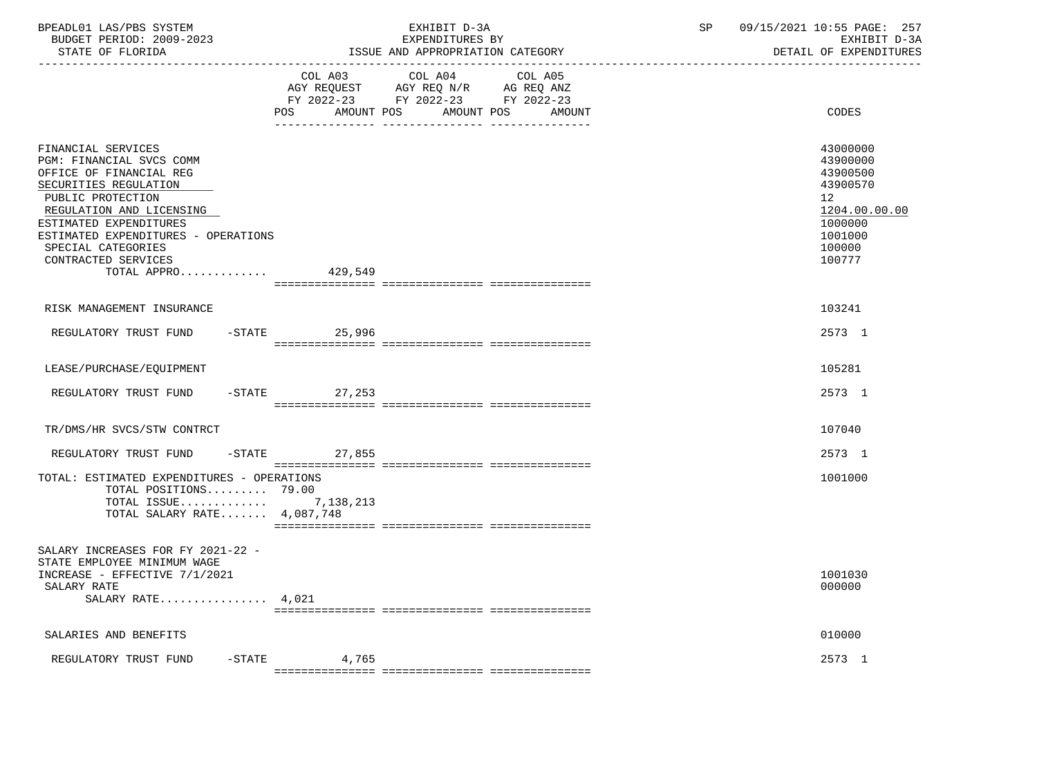| BPEADL01 LAS/PBS SYSTEM<br>BUDGET PERIOD: 2009-2023<br>STATE OF FLORIDA                                                                                                                                                                                                                    |                              | EXHIBIT D-3A<br>EXPENDITURES BY<br>ISSUE AND APPROPRIATION CATEGORY                                                  | SP | 09/15/2021 10:55 PAGE: 257<br>EXHIBIT D-3A<br>DETAIL OF EXPENDITURES                                          |  |
|--------------------------------------------------------------------------------------------------------------------------------------------------------------------------------------------------------------------------------------------------------------------------------------------|------------------------------|----------------------------------------------------------------------------------------------------------------------|----|---------------------------------------------------------------------------------------------------------------|--|
|                                                                                                                                                                                                                                                                                            | COL A03<br>AMOUNT POS<br>POS | COL A04<br>COL A05<br>AGY REQUEST AGY REQ N/R AG REQ ANZ<br>FY 2022-23 FY 2022-23 FY 2022-23<br>AMOUNT POS<br>AMOUNT |    | CODES                                                                                                         |  |
| FINANCIAL SERVICES<br>PGM: FINANCIAL SVCS COMM<br>OFFICE OF FINANCIAL REG<br>SECURITIES REGULATION<br>PUBLIC PROTECTION<br>REGULATION AND LICENSING<br>ESTIMATED EXPENDITURES<br>ESTIMATED EXPENDITURES - OPERATIONS<br>SPECIAL CATEGORIES<br>CONTRACTED SERVICES<br>TOTAL APPRO $429,549$ |                              |                                                                                                                      |    | 43000000<br>43900000<br>43900500<br>43900570<br>12<br>1204.00.00.00<br>1000000<br>1001000<br>100000<br>100777 |  |
| RISK MANAGEMENT INSURANCE                                                                                                                                                                                                                                                                  |                              |                                                                                                                      |    | 103241                                                                                                        |  |
| REGULATORY TRUST FUND                                                                                                                                                                                                                                                                      | $-STATE$<br>25,996           |                                                                                                                      |    | 2573 1                                                                                                        |  |
| LEASE/PURCHASE/EQUIPMENT                                                                                                                                                                                                                                                                   |                              |                                                                                                                      |    | 105281                                                                                                        |  |
| REGULATORY TRUST FUND                                                                                                                                                                                                                                                                      | $-STATE$<br>27,253           |                                                                                                                      |    | 2573 1                                                                                                        |  |
| TR/DMS/HR SVCS/STW CONTRCT                                                                                                                                                                                                                                                                 |                              |                                                                                                                      |    | 107040                                                                                                        |  |
| REGULATORY TRUST FUND                                                                                                                                                                                                                                                                      | $-$ STATE 27,855             |                                                                                                                      |    | 2573 1                                                                                                        |  |
| TOTAL: ESTIMATED EXPENDITURES - OPERATIONS<br>TOTAL POSITIONS 79.00<br>TOTAL ISSUE $7,138,213$<br>TOTAL SALARY RATE 4,087,748                                                                                                                                                              |                              |                                                                                                                      |    | 1001000                                                                                                       |  |
| SALARY INCREASES FOR FY 2021-22 -<br>STATE EMPLOYEE MINIMUM WAGE<br>INCREASE - EFFECTIVE 7/1/2021<br>SALARY RATE<br>SALARY RATE $4,021$                                                                                                                                                    |                              |                                                                                                                      |    | 1001030<br>000000                                                                                             |  |
| SALARIES AND BENEFITS                                                                                                                                                                                                                                                                      |                              |                                                                                                                      |    | 010000                                                                                                        |  |
| $-\mathtt{STATE}$<br>REGULATORY TRUST FUND                                                                                                                                                                                                                                                 | 4,765                        |                                                                                                                      |    | 2573 1                                                                                                        |  |
|                                                                                                                                                                                                                                                                                            |                              |                                                                                                                      |    |                                                                                                               |  |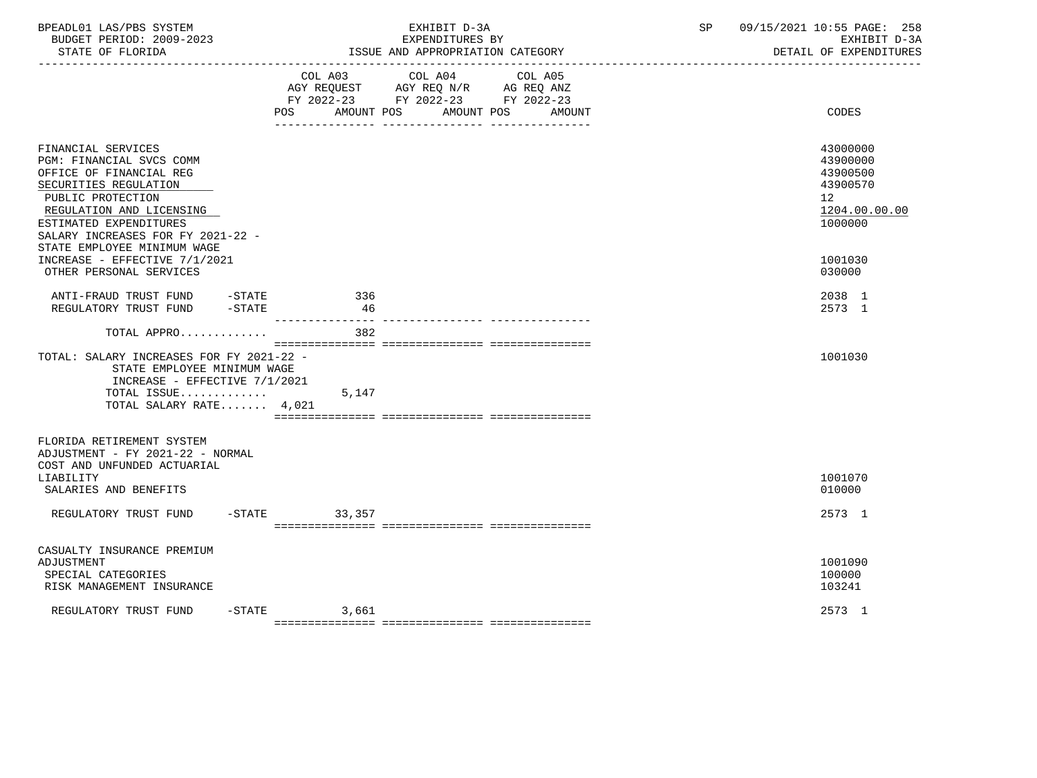| BPEADL01 LAS/PBS SYSTEM<br>BUDGET PERIOD: 2009-2023<br>STATE OF FLORIDA                                                                                                                                                                           |                                  | EXHIBIT D-3A<br>EXPENDITURES BY<br>ISSUE AND APPROPRIATION CATEGORY                                                                      | 09/15/2021 10:55 PAGE: 258<br>SP and the set of the set of the set of the set of the set of the set of the set of the set of the set of the set of the set of the set of the set of the set of the set of the set of the set of the set of the set of the se<br>EXHIBIT D-3A<br>DETAIL OF EXPENDITURES |
|---------------------------------------------------------------------------------------------------------------------------------------------------------------------------------------------------------------------------------------------------|----------------------------------|------------------------------------------------------------------------------------------------------------------------------------------|--------------------------------------------------------------------------------------------------------------------------------------------------------------------------------------------------------------------------------------------------------------------------------------------------------|
|                                                                                                                                                                                                                                                   |                                  | COL A03 COL A04<br>COL A05<br>AGY REQUEST AGY REQ N/R AG REQ ANZ<br>FY 2022-23 FY 2022-23 FY 2022-23<br>POS AMOUNT POS AMOUNT POS AMOUNT | CODES                                                                                                                                                                                                                                                                                                  |
| FINANCIAL SERVICES<br>PGM: FINANCIAL SVCS COMM<br>OFFICE OF FINANCIAL REG<br>SECURITIES REGULATION<br>PUBLIC PROTECTION<br>REGULATION AND LICENSING<br>ESTIMATED EXPENDITURES<br>SALARY INCREASES FOR FY 2021-22 -<br>STATE EMPLOYEE MINIMUM WAGE |                                  |                                                                                                                                          | 43000000<br>43900000<br>43900500<br>43900570<br>12 <sup>°</sup><br>1204.00.00.00<br>1000000                                                                                                                                                                                                            |
| INCREASE - EFFECTIVE 7/1/2021<br>OTHER PERSONAL SERVICES                                                                                                                                                                                          |                                  |                                                                                                                                          | 1001030<br>030000                                                                                                                                                                                                                                                                                      |
| ANTI-FRAUD TRUST FUND -STATE<br>REGULATORY TRUST FUND -STATE                                                                                                                                                                                      | 336<br>46<br>--------------- --- |                                                                                                                                          | 2038 1<br>2573 1                                                                                                                                                                                                                                                                                       |
| TOTAL APPRO                                                                                                                                                                                                                                       | 382                              |                                                                                                                                          |                                                                                                                                                                                                                                                                                                        |
| TOTAL: SALARY INCREASES FOR FY 2021-22 -<br>STATE EMPLOYEE MINIMUM WAGE<br>INCREASE - EFFECTIVE 7/1/2021<br>TOTAL ISSUE<br>TOTAL SALARY RATE 4,021                                                                                                | 5,147                            |                                                                                                                                          | 1001030                                                                                                                                                                                                                                                                                                |
| FLORIDA RETIREMENT SYSTEM<br>ADJUSTMENT - FY 2021-22 - NORMAL<br>COST AND UNFUNDED ACTUARIAL<br>LIABILITY<br>SALARIES AND BENEFITS                                                                                                                |                                  |                                                                                                                                          | 1001070<br>010000                                                                                                                                                                                                                                                                                      |
| REGULATORY TRUST FUND -STATE                                                                                                                                                                                                                      | 33,357                           |                                                                                                                                          | 2573 1                                                                                                                                                                                                                                                                                                 |
| CASUALTY INSURANCE PREMIUM<br>ADJUSTMENT<br>SPECIAL CATEGORIES<br>RISK MANAGEMENT INSURANCE                                                                                                                                                       |                                  |                                                                                                                                          | 1001090<br>100000<br>103241                                                                                                                                                                                                                                                                            |
| REGULATORY TRUST FUND                                                                                                                                                                                                                             | $-STATE$<br>3,661                |                                                                                                                                          | 2573 1                                                                                                                                                                                                                                                                                                 |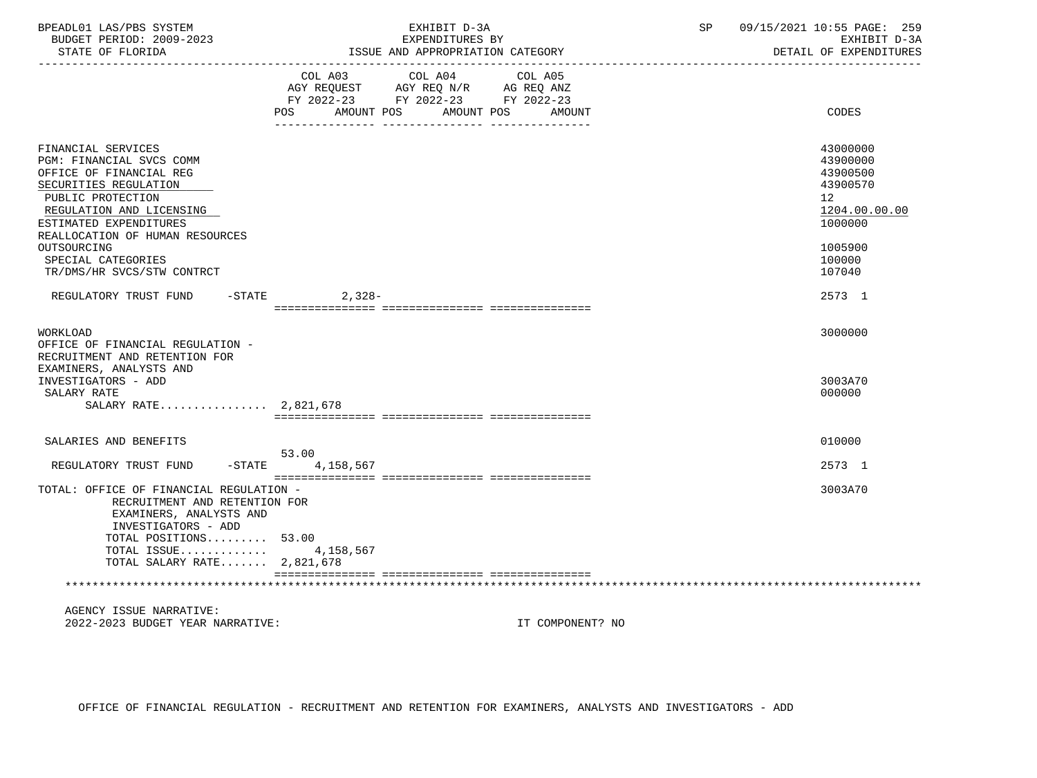| BPEADL01 LAS/PBS SYSTEM<br>BUDGET PERIOD: 2009-2023                                                                                                 | EXHIBIT D-3A<br>EXPENDITURES BY                                                                                                                       | 09/15/2021 10:55 PAGE: 259<br>SP<br>EXHIBIT D-3A                  |
|-----------------------------------------------------------------------------------------------------------------------------------------------------|-------------------------------------------------------------------------------------------------------------------------------------------------------|-------------------------------------------------------------------|
| STATE OF FLORIDA                                                                                                                                    | ISSUE AND APPROPRIATION CATEGORY                                                                                                                      | DETAIL OF EXPENDITURES                                            |
|                                                                                                                                                     | COL A03 COL A04<br>COL A05<br>AGY REQUEST AGY REQ N/R AG REQ ANZ<br>FY 2022-23 FY 2022-23 FY 2022-23<br><b>POS</b><br>AMOUNT POS AMOUNT POS<br>AMOUNT | CODES                                                             |
|                                                                                                                                                     |                                                                                                                                                       |                                                                   |
| FINANCIAL SERVICES<br>PGM: FINANCIAL SVCS COMM<br>OFFICE OF FINANCIAL REG<br>SECURITIES REGULATION<br>PUBLIC PROTECTION                             |                                                                                                                                                       | 43000000<br>43900000<br>43900500<br>43900570<br>$12 \overline{ }$ |
| REGULATION AND LICENSING<br>ESTIMATED EXPENDITURES<br>REALLOCATION OF HUMAN RESOURCES                                                               |                                                                                                                                                       | 1204.00.00.00<br>1000000                                          |
| OUTSOURCING<br>SPECIAL CATEGORIES<br>TR/DMS/HR SVCS/STW CONTRCT                                                                                     |                                                                                                                                                       | 1005900<br>100000<br>107040                                       |
| REGULATORY TRUST FUND -STATE 2,328-                                                                                                                 |                                                                                                                                                       | 2573 1                                                            |
| WORKLOAD<br>OFFICE OF FINANCIAL REGULATION -<br>RECRUITMENT AND RETENTION FOR<br>EXAMINERS, ANALYSTS AND                                            |                                                                                                                                                       | 3000000                                                           |
| INVESTIGATORS - ADD<br>SALARY RATE                                                                                                                  |                                                                                                                                                       | 3003A70<br>000000                                                 |
| SALARY RATE 2,821,678                                                                                                                               |                                                                                                                                                       |                                                                   |
| SALARIES AND BENEFITS                                                                                                                               | 53.00                                                                                                                                                 | 010000                                                            |
| $-$ STATE<br>REGULATORY TRUST FUND                                                                                                                  | 4,158,567                                                                                                                                             | 2573 1                                                            |
| TOTAL: OFFICE OF FINANCIAL REGULATION -<br>RECRUITMENT AND RETENTION FOR<br>EXAMINERS, ANALYSTS AND<br>INVESTIGATORS - ADD<br>TOTAL POSITIONS 53.00 |                                                                                                                                                       | 3003A70                                                           |
| TOTAL ISSUE<br>TOTAL SALARY RATE 2,821,678                                                                                                          | 4,158,567                                                                                                                                             |                                                                   |
|                                                                                                                                                     |                                                                                                                                                       |                                                                   |
| AGENCY ISSUE NARRATIVE:                                                                                                                             |                                                                                                                                                       |                                                                   |

2022-2023 BUDGET YEAR NARRATIVE: IT COMPONENT? NO

OFFICE OF FINANCIAL REGULATION - RECRUITMENT AND RETENTION FOR EXAMINERS, ANALYSTS AND INVESTIGATORS - ADD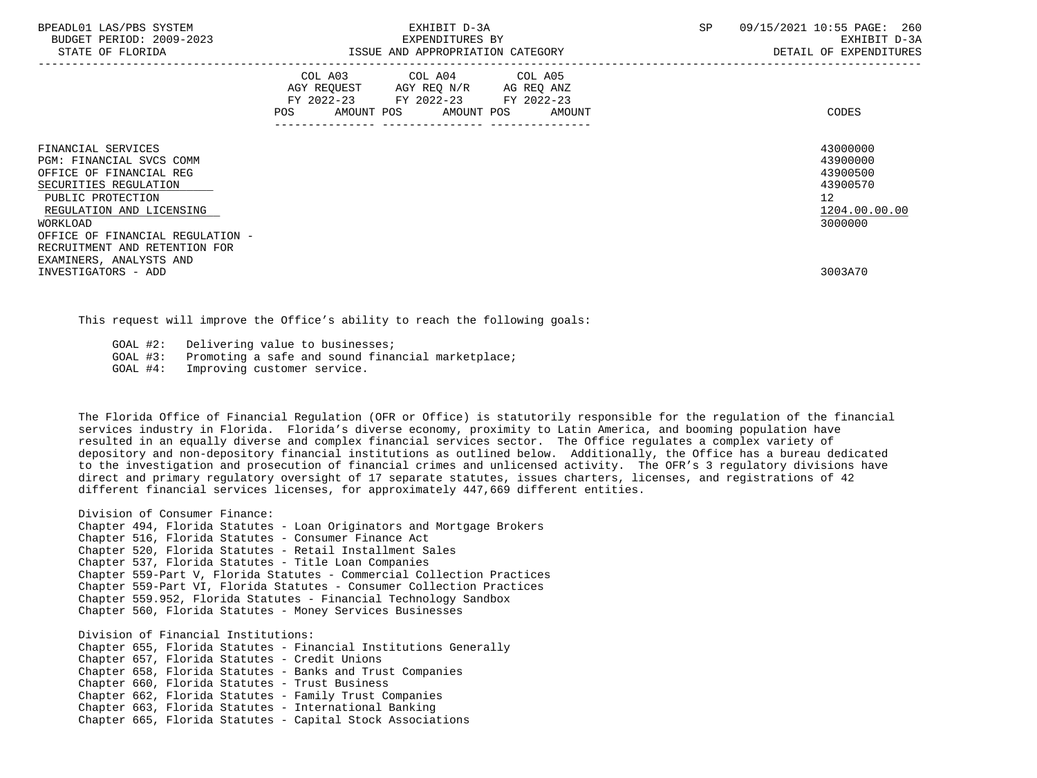| BPEADL01 LAS/PBS SYSTEM<br>BUDGET PERIOD: 2009-2023<br>STATE OF FLORIDA                                                                                         | EXHIBIT D-3A<br>EXPENDITURES BY<br>ISSUE AND APPROPRIATION CATEGORY                                                                   | 09/15/2021 10:55 PAGE: 260<br>SP<br>EXHIBIT D-3A<br>DETAIL OF EXPENDITURES     |
|-----------------------------------------------------------------------------------------------------------------------------------------------------------------|---------------------------------------------------------------------------------------------------------------------------------------|--------------------------------------------------------------------------------|
|                                                                                                                                                                 | COL A03 COL A04 COL A05<br>AGY REQUEST AGY REQ N/R AG REQ ANZ<br>FY 2022-23 FY 2022-23 FY 2022-23<br>POS AMOUNT POS AMOUNT POS AMOUNT | CODES                                                                          |
| FINANCIAL SERVICES<br>PGM: FINANCIAL SVCS COMM<br>OFFICE OF FINANCIAL REG<br>SECURITIES REGULATION<br>PUBLIC PROTECTION<br>REGULATION AND LICENSING<br>WORKLOAD |                                                                                                                                       | 43000000<br>43900000<br>43900500<br>43900570<br>12<br>1204.00.00.00<br>3000000 |
| OFFICE OF FINANCIAL REGULATION -<br>RECRUITMENT AND RETENTION FOR<br>EXAMINERS, ANALYSTS AND<br>INVESTIGATORS - ADD                                             |                                                                                                                                       | 3003A70                                                                        |

This request will improve the Office's ability to reach the following goals:

GOAL #2: Delivering value to businesses;

GOAL #3: Promoting a safe and sound financial marketplace;

GOAL #4: Improving customer service.

 The Florida Office of Financial Regulation (OFR or Office) is statutorily responsible for the regulation of the financial services industry in Florida. Florida's diverse economy, proximity to Latin America, and booming population have resulted in an equally diverse and complex financial services sector. The Office regulates a complex variety of depository and non-depository financial institutions as outlined below. Additionally, the Office has a bureau dedicated to the investigation and prosecution of financial crimes and unlicensed activity. The OFR's 3 regulatory divisions have direct and primary regulatory oversight of 17 separate statutes, issues charters, licenses, and registrations of 42 different financial services licenses, for approximately 447,669 different entities.

 Division of Consumer Finance: Chapter 494, Florida Statutes - Loan Originators and Mortgage Brokers Chapter 516, Florida Statutes - Consumer Finance Act Chapter 520, Florida Statutes - Retail Installment Sales Chapter 537, Florida Statutes - Title Loan Companies Chapter 559-Part V, Florida Statutes - Commercial Collection Practices Chapter 559-Part VI, Florida Statutes - Consumer Collection Practices Chapter 559.952, Florida Statutes - Financial Technology Sandbox Chapter 560, Florida Statutes - Money Services Businesses

 Division of Financial Institutions: Chapter 655, Florida Statutes - Financial Institutions Generally Chapter 657, Florida Statutes - Credit Unions Chapter 658, Florida Statutes - Banks and Trust Companies Chapter 660, Florida Statutes - Trust Business Chapter 662, Florida Statutes - Family Trust Companies Chapter 663, Florida Statutes - International Banking Chapter 665, Florida Statutes - Capital Stock Associations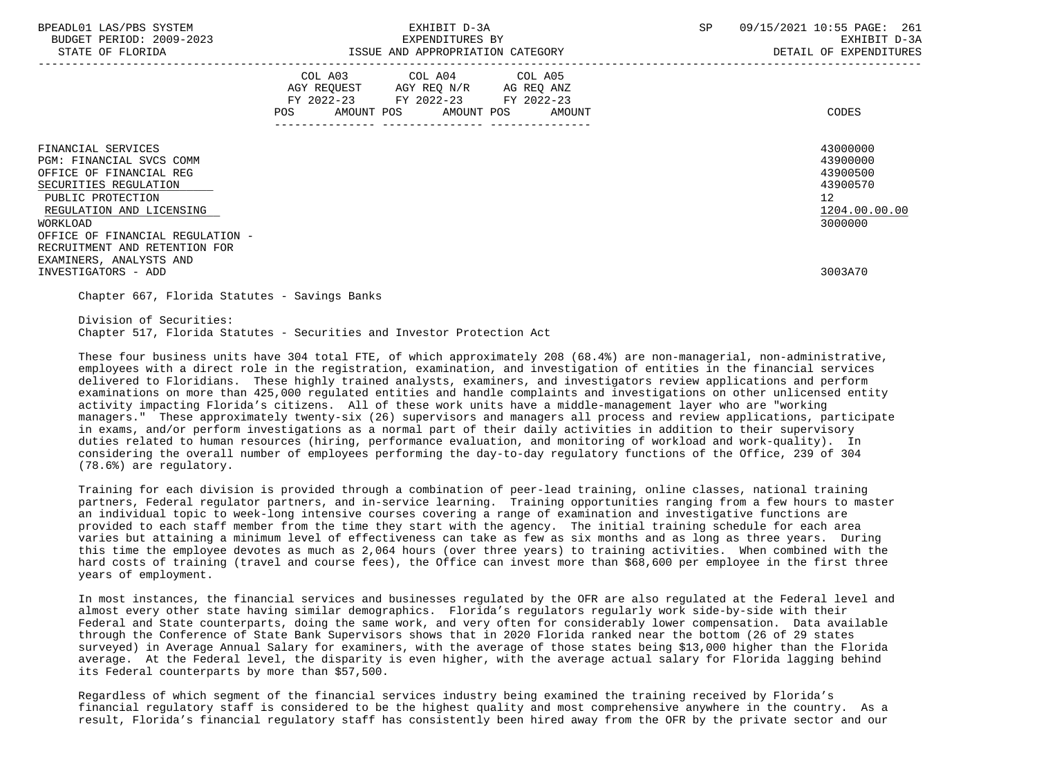| BPEADL01 LAS/PBS SYSTEM |     |                          |
|-------------------------|-----|--------------------------|
|                         |     | BUDGET PERIOD: 2009-2023 |
|                         | CDR |                          |

|                                                                                                                                                                 | COL A03<br>AGY REQUEST<br>FY 2022-23<br>AMOUNT POS<br>POS | COL A04<br>AGY REQ N/R<br>FY 2022-23<br>AMOUNT POS | COL A05<br>AG REQ ANZ<br>FY 2022-23<br>AMOUNT | CODES                                                                          |
|-----------------------------------------------------------------------------------------------------------------------------------------------------------------|-----------------------------------------------------------|----------------------------------------------------|-----------------------------------------------|--------------------------------------------------------------------------------|
| FINANCIAL SERVICES<br>PGM: FINANCIAL SVCS COMM<br>OFFICE OF FINANCIAL REG<br>SECURITIES REGULATION<br>PUBLIC PROTECTION<br>REGULATION AND LICENSING<br>WORKLOAD |                                                           |                                                    |                                               | 43000000<br>43900000<br>43900500<br>43900570<br>12<br>1204.00.00.00<br>3000000 |
| OFFICE OF FINANCIAL REGULATION -<br>RECRUITMENT AND RETENTION FOR<br>EXAMINERS, ANALYSTS AND<br>INVESTIGATORS - ADD                                             |                                                           |                                                    |                                               | 3003A70                                                                        |

Chapter 667, Florida Statutes - Savings Banks

 Division of Securities: Chapter 517, Florida Statutes - Securities and Investor Protection Act

 These four business units have 304 total FTE, of which approximately 208 (68.4%) are non-managerial, non-administrative, employees with a direct role in the registration, examination, and investigation of entities in the financial services delivered to Floridians. These highly trained analysts, examiners, and investigators review applications and perform examinations on more than 425,000 regulated entities and handle complaints and investigations on other unlicensed entity activity impacting Florida's citizens. All of these work units have a middle-management layer who are "working managers." These approximately twenty-six (26) supervisors and managers all process and review applications, participate in exams, and/or perform investigations as a normal part of their daily activities in addition to their supervisory duties related to human resources (hiring, performance evaluation, and monitoring of workload and work-quality). In considering the overall number of employees performing the day-to-day regulatory functions of the Office, 239 of 304 (78.6%) are regulatory.

 Training for each division is provided through a combination of peer-lead training, online classes, national training partners, Federal regulator partners, and in-service learning. Training opportunities ranging from a few hours to master an individual topic to week-long intensive courses covering a range of examination and investigative functions are provided to each staff member from the time they start with the agency. The initial training schedule for each area varies but attaining a minimum level of effectiveness can take as few as six months and as long as three years. During this time the employee devotes as much as 2,064 hours (over three years) to training activities. When combined with the hard costs of training (travel and course fees), the Office can invest more than \$68,600 per employee in the first three years of employment.

 In most instances, the financial services and businesses regulated by the OFR are also regulated at the Federal level and almost every other state having similar demographics. Florida's regulators regularly work side-by-side with their Federal and State counterparts, doing the same work, and very often for considerably lower compensation. Data available through the Conference of State Bank Supervisors shows that in 2020 Florida ranked near the bottom (26 of 29 states surveyed) in Average Annual Salary for examiners, with the average of those states being \$13,000 higher than the Florida average. At the Federal level, the disparity is even higher, with the average actual salary for Florida lagging behind its Federal counterparts by more than \$57,500.

 Regardless of which segment of the financial services industry being examined the training received by Florida's financial regulatory staff is considered to be the highest quality and most comprehensive anywhere in the country. As a result, Florida's financial regulatory staff has consistently been hired away from the OFR by the private sector and our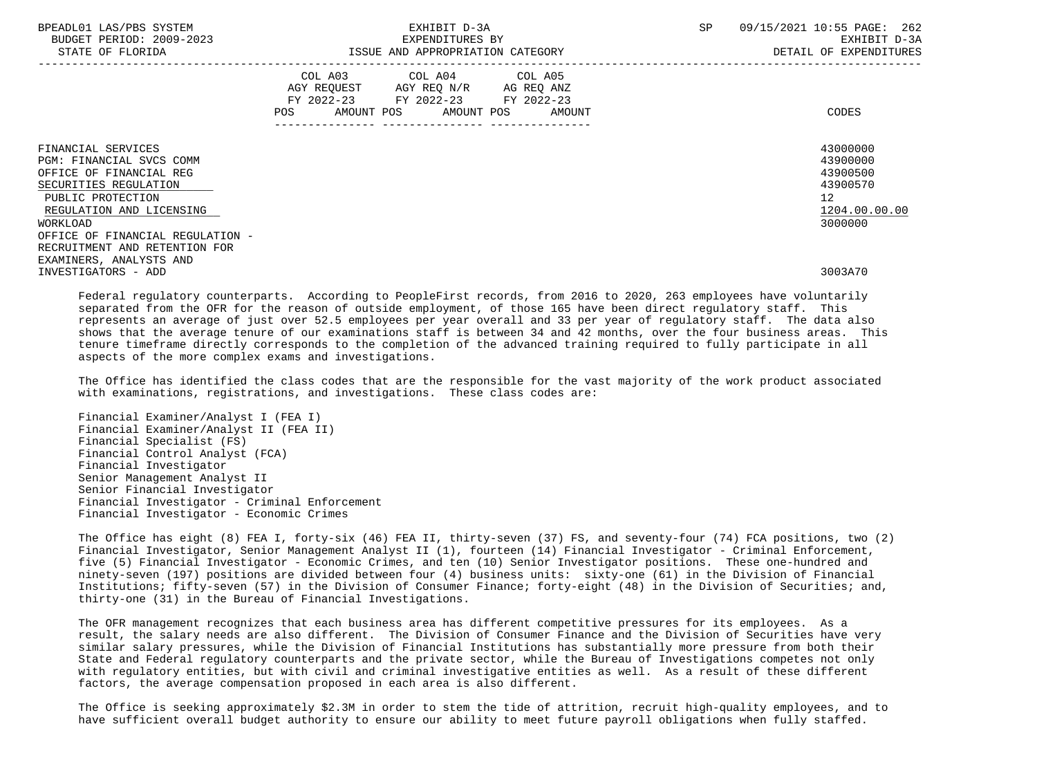| BPEADL01 LAS/PBS SYSTEM<br>BUDGET PERIOD: 2009-2023<br>STATE OF FLORIDA                                                                                         | EXHIBIT D-3A<br>EXPENDITURES BY<br>ISSUE AND APPROPRIATION CATEGORY                                                                                                | 09/15/2021 10:55 PAGE: 262<br>SP<br>EXHIBIT D-3A<br>DETAIL OF EXPENDITURES                  |
|-----------------------------------------------------------------------------------------------------------------------------------------------------------------|--------------------------------------------------------------------------------------------------------------------------------------------------------------------|---------------------------------------------------------------------------------------------|
|                                                                                                                                                                 | COL A03 COL A04 COL A05<br>AGY REQUEST AGY REQ N/R AG REQ ANZ<br>FY 2022-23 FY 2022-23 FY 2022-23<br>AMOUNT POS AMOUNT POS<br>POS FOR<br>AMOUNT<br>--------------- | CODES                                                                                       |
| FINANCIAL SERVICES<br>PGM: FINANCIAL SVCS COMM<br>OFFICE OF FINANCIAL REG<br>SECURITIES REGULATION<br>PUBLIC PROTECTION<br>REGULATION AND LICENSING<br>WORKLOAD |                                                                                                                                                                    | 43000000<br>43900000<br>43900500<br>43900570<br>12 <sup>°</sup><br>1204.00.00.00<br>3000000 |
| OFFICE OF FINANCIAL REGULATION -<br>RECRUITMENT AND RETENTION FOR<br>EXAMINERS, ANALYSTS AND<br>INVESTIGATORS - ADD                                             |                                                                                                                                                                    | 3003A70                                                                                     |

 Federal regulatory counterparts. According to PeopleFirst records, from 2016 to 2020, 263 employees have voluntarily separated from the OFR for the reason of outside employment, of those 165 have been direct regulatory staff. This represents an average of just over 52.5 employees per year overall and 33 per year of regulatory staff. The data also shows that the average tenure of our examinations staff is between 34 and 42 months, over the four business areas. This tenure timeframe directly corresponds to the completion of the advanced training required to fully participate in all aspects of the more complex exams and investigations.

 The Office has identified the class codes that are the responsible for the vast majority of the work product associated with examinations, registrations, and investigations. These class codes are:

 Financial Examiner/Analyst I (FEA I) Financial Examiner/Analyst II (FEA II) Financial Specialist (FS) Financial Control Analyst (FCA) Financial Investigator Senior Management Analyst II Senior Financial Investigator Financial Investigator - Criminal Enforcement Financial Investigator - Economic Crimes

 The Office has eight (8) FEA I, forty-six (46) FEA II, thirty-seven (37) FS, and seventy-four (74) FCA positions, two (2) Financial Investigator, Senior Management Analyst II (1), fourteen (14) Financial Investigator - Criminal Enforcement, five (5) Financial Investigator - Economic Crimes, and ten (10) Senior Investigator positions. These one-hundred and ninety-seven (197) positions are divided between four (4) business units: sixty-one (61) in the Division of Financial Institutions; fifty-seven (57) in the Division of Consumer Finance; forty-eight (48) in the Division of Securities; and, thirty-one (31) in the Bureau of Financial Investigations.

 The OFR management recognizes that each business area has different competitive pressures for its employees. As a result, the salary needs are also different. The Division of Consumer Finance and the Division of Securities have very similar salary pressures, while the Division of Financial Institutions has substantially more pressure from both their State and Federal regulatory counterparts and the private sector, while the Bureau of Investigations competes not only with regulatory entities, but with civil and criminal investigative entities as well. As a result of these different factors, the average compensation proposed in each area is also different.

 The Office is seeking approximately \$2.3M in order to stem the tide of attrition, recruit high-quality employees, and to have sufficient overall budget authority to ensure our ability to meet future payroll obligations when fully staffed.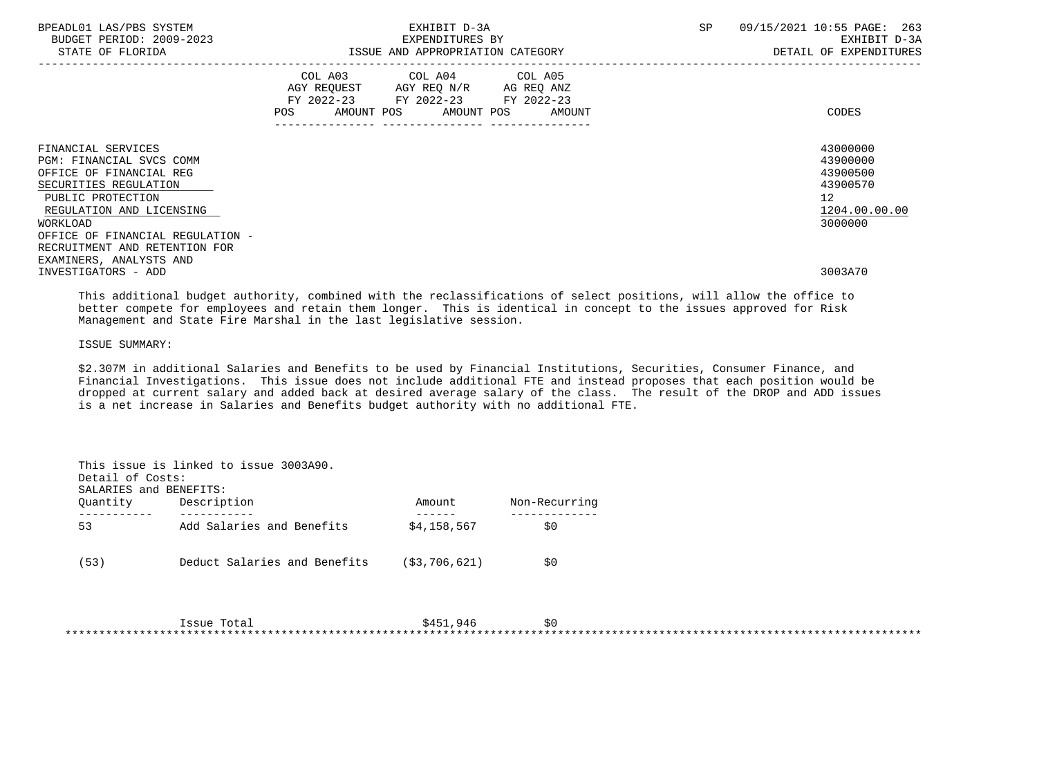| BPEADL01 LAS/PBS SYSTEM<br>BUDGET PERIOD: 2009-2023<br>STATE OF FLORIDA                                                                             | EXHIBIT D-3A<br>EXPENDITURES BY                                                                                                       | ISSUE AND APPROPRIATION CATEGORY | <b>SP</b> | 09/15/2021 10:55 PAGE: 263<br>EXHIBIT D-3A<br>DETAIL OF EXPENDITURES               |
|-----------------------------------------------------------------------------------------------------------------------------------------------------|---------------------------------------------------------------------------------------------------------------------------------------|----------------------------------|-----------|------------------------------------------------------------------------------------|
|                                                                                                                                                     | COL A03 COL A04 COL A05<br>AGY REOUEST AGY REO N/R AG REO ANZ<br>FY 2022-23 FY 2022-23 FY 2022-23<br>POS AMOUNT POS AMOUNT POS AMOUNT |                                  |           | CODES                                                                              |
| FINANCIAL SERVICES<br>PGM: FINANCIAL SVCS COMM<br>OFFICE OF FINANCIAL REG<br>SECURITIES REGULATION<br>PUBLIC PROTECTION<br>REGULATION AND LICENSING |                                                                                                                                       |                                  |           | 43000000<br>43900000<br>43900500<br>43900570<br>$12 \overline{ }$<br>1204.00.00.00 |
| WORKLOAD<br>OFFICE OF FINANCIAL REGULATION -<br>RECRUITMENT AND RETENTION FOR<br>EXAMINERS, ANALYSTS AND<br>INVESTIGATORS - ADD                     |                                                                                                                                       |                                  |           | 3000000<br>3003A70                                                                 |

 This additional budget authority, combined with the reclassifications of select positions, will allow the office to better compete for employees and retain them longer. This is identical in concept to the issues approved for Risk Management and State Fire Marshal in the last legislative session.

ISSUE SUMMARY:

 \$2.307M in additional Salaries and Benefits to be used by Financial Institutions, Securities, Consumer Finance, and Financial Investigations. This issue does not include additional FTE and instead proposes that each position would be dropped at current salary and added back at desired average salary of the class. The result of the DROP and ADD issues is a net increase in Salaries and Benefits budget authority with no additional FTE.

| Quantity | Description                  | Amount         | Non-Recurring |  |
|----------|------------------------------|----------------|---------------|--|
| 53       | Add Salaries and Benefits    | \$4,158,567    | \$0           |  |
| (53)     | Deduct Salaries and Benefits | ( \$3,706,621) | \$0           |  |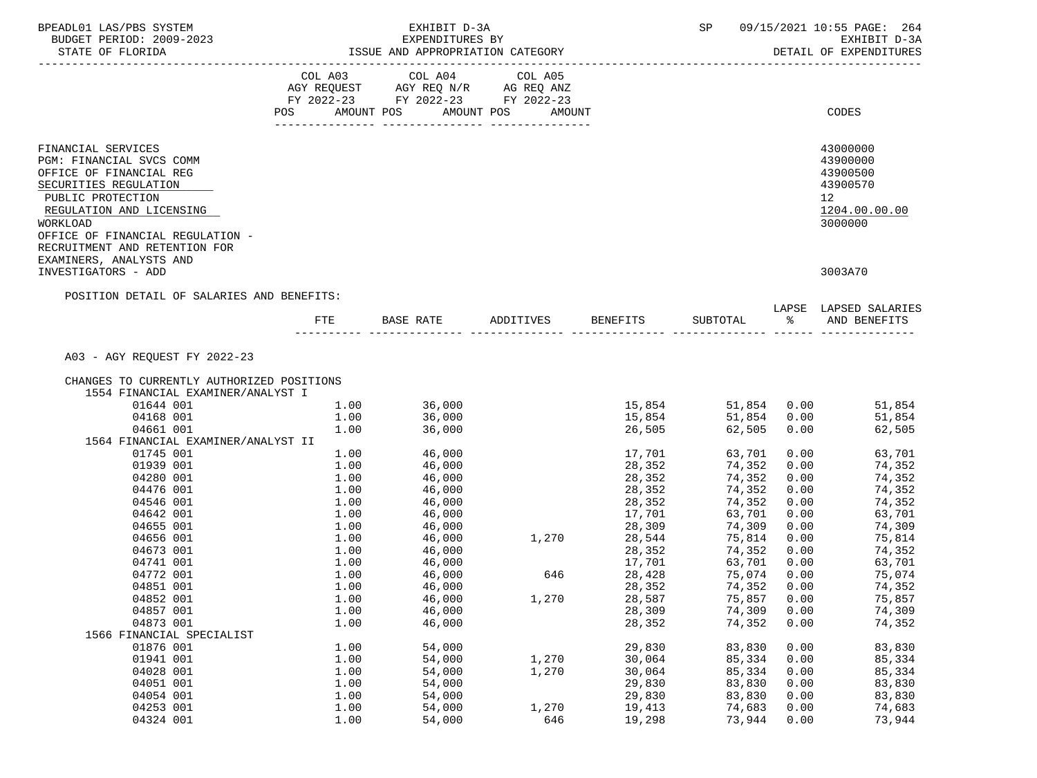| BPEADL01 LAS/PBS SYSTEM                                                        |      | EXHIBIT D-3A                                                         |         |                            | SP               |      | 09/15/2021 10:55 PAGE: 264             |
|--------------------------------------------------------------------------------|------|----------------------------------------------------------------------|---------|----------------------------|------------------|------|----------------------------------------|
|                                                                                |      |                                                                      |         |                            |                  |      | EXHIBIT D-3A<br>DETAIL OF EXPENDITURES |
|                                                                                |      |                                                                      |         |                            |                  |      |                                        |
|                                                                                |      | COL A03 COL A04                                                      | COL A05 |                            |                  |      |                                        |
|                                                                                |      | AGY REQUEST AGY REQ N/R AG REQ ANZ                                   |         |                            |                  |      |                                        |
|                                                                                |      | FY 2022-23 FY 2022-23 FY 2022-23<br>POS AMOUNT POS AMOUNT POS AMOUNT |         |                            |                  |      | CODES                                  |
|                                                                                |      |                                                                      |         |                            |                  |      |                                        |
| FINANCIAL SERVICES                                                             |      |                                                                      |         |                            |                  |      | 43000000                               |
| PGM: FINANCIAL SVCS COMM                                                       |      |                                                                      |         |                            |                  |      | 43900000                               |
| OFFICE OF FINANCIAL REG                                                        |      |                                                                      |         |                            |                  |      | 43900500                               |
| SECURITIES REGULATION                                                          |      |                                                                      |         |                            |                  |      | 43900570                               |
| PUBLIC PROTECTION                                                              |      |                                                                      |         |                            |                  |      | 12                                     |
| REGULATION AND LICENSING                                                       |      |                                                                      |         |                            |                  |      | 1204.00.00.00                          |
| WORKLOAD                                                                       |      |                                                                      |         |                            |                  |      | 3000000                                |
| OFFICE OF FINANCIAL REGULATION -                                               |      |                                                                      |         |                            |                  |      |                                        |
| RECRUITMENT AND RETENTION FOR<br>EXAMINERS, ANALYSTS AND                       |      |                                                                      |         |                            |                  |      |                                        |
| INVESTIGATORS - ADD                                                            |      |                                                                      |         |                            |                  |      | 3003A70                                |
|                                                                                |      |                                                                      |         |                            |                  |      |                                        |
| POSITION DETAIL OF SALARIES AND BENEFITS:                                      |      |                                                                      |         |                            |                  |      |                                        |
|                                                                                |      | FTE BASE RATE ADDITIVES BENEFITS SUBTOTAL $\frac{1}{2}$              |         |                            |                  |      | LAPSE LAPSED SALARIES<br>AND BENEFITS  |
|                                                                                |      |                                                                      |         |                            |                  |      |                                        |
|                                                                                |      |                                                                      |         |                            |                  |      |                                        |
| A03 - AGY REQUEST FY 2022-23                                                   |      |                                                                      |         |                            |                  |      |                                        |
|                                                                                |      |                                                                      |         |                            |                  |      |                                        |
| CHANGES TO CURRENTLY AUTHORIZED POSITIONS<br>1554 FINANCIAL EXAMINER/ANALYST I |      |                                                                      |         |                            |                  |      |                                        |
| 01644 001                                                                      |      | $1.00$ 36,000                                                        |         | 15,854                     |                  |      | 51,854 0.00<br>51,854                  |
| 04168 001                                                                      | 1.00 | 36,000                                                               |         | 15,854                     | 51,854 0.00      |      | 51,854                                 |
| 04661 001                                                                      | 1.00 | 36,000                                                               |         | 26,505                     | 62,505           |      | 0.00<br>62,505                         |
| 1564 FINANCIAL EXAMINER/ANALYST II                                             |      |                                                                      |         |                            |                  |      |                                        |
| 01745 001                                                                      | 1.00 | 46,000                                                               |         | 17,701<br>28,352<br>28,352 | 63,701           | 0.00 | 63,701                                 |
| 01939 001                                                                      | 1.00 | 46,000                                                               |         |                            | 74,352           | 0.00 | 74,352                                 |
| 04280 001                                                                      | 1.00 | 46,000                                                               |         |                            | 74,352           | 0.00 | 74,352                                 |
| 04476 001                                                                      | 1.00 | 46,000<br>46.000                                                     |         | 28,352                     | 74,352           | 0.00 | 74,352                                 |
| 04546 001                                                                      | 1.00 | 46,000                                                               |         | 28,352                     | 74,352           | 0.00 | 74,352                                 |
| 04642 001                                                                      | 1.00 | 46,000                                                               |         | 17,701                     | 63,701           | 0.00 | 63,701                                 |
| 04655 001<br>04656 001                                                         | 1.00 | 46,000<br>$\frac{1}{46}$ , 000                                       |         | 28,309<br>$1,270$ $28,544$ | 74,309           | 0.00 | 74,309                                 |
| 04673 001                                                                      | 1.00 |                                                                      |         | 28,352                     | 75,814<br>74,352 | 0.00 | 75,814<br>74,352                       |
| 04741 001                                                                      | 1.00 | $1.00$ $46,000$<br>46,000                                            | 646     | 17,701                     | 63,701           | 0.00 | 0.00<br>63,701                         |
| 04772 001                                                                      | 1.00 | 46,000                                                               |         | 28,428                     | 75,074           | 0.00 | 75,074                                 |
| 04851 001                                                                      | 1.00 | 46,000                                                               |         | 28,352                     | 74,352 0.00      |      | 74,352                                 |
| 04852 001                                                                      | 1.00 | 46,000                                                               | 1,270   | 28,587                     | 75,857           | 0.00 | 75,857                                 |
| 04857 001                                                                      | 1.00 | 46,000                                                               |         | 28,309                     | 74,309           | 0.00 | 74,309                                 |
| 04873 001                                                                      | 1.00 | 46,000                                                               |         | 28,352                     | 74,352           | 0.00 | 74,352                                 |
| 1566 FINANCIAL SPECIALIST                                                      |      |                                                                      |         |                            |                  |      |                                        |
| 01876 001                                                                      | 1.00 | 54,000                                                               |         | 29,830                     | 83,830           | 0.00 | 83,830                                 |
| 01941 001                                                                      | 1.00 | 54,000                                                               | 1,270   | 30,064                     | 85,334           | 0.00 | 85,334                                 |
| 04028 001                                                                      | 1.00 | 54,000                                                               | 1,270   | 30,064                     | 85,334           | 0.00 | 85,334                                 |
| 04051 001                                                                      | 1.00 | 54,000                                                               |         | 29,830                     | 83,830           | 0.00 | 83,830                                 |
| 04054 001                                                                      | 1.00 | 54,000                                                               |         | 29,830                     | 83,830           | 0.00 | 83,830                                 |
| 04253 001                                                                      | 1.00 | 54,000                                                               | 1,270   | 19,413                     | 74,683           | 0.00 | 74,683                                 |
| 04324 001                                                                      | 1.00 | 54,000                                                               | 646     | 19,298                     | 73,944           | 0.00 | 73,944                                 |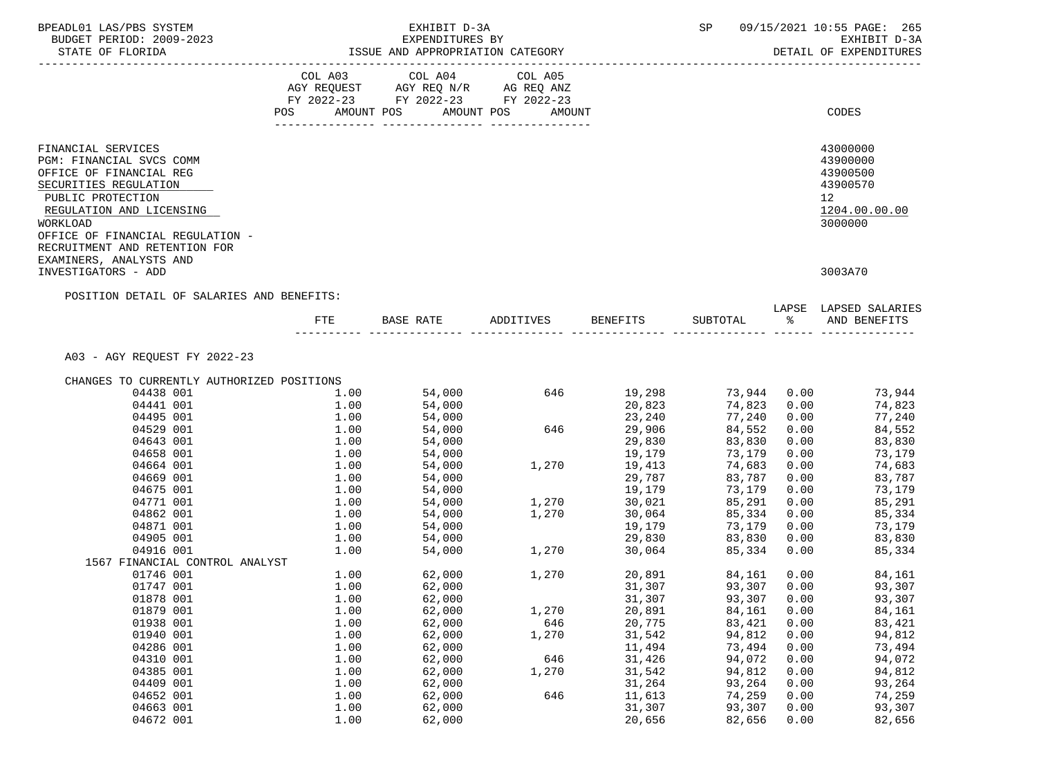| BPEADL01 LAS/PBS SYSTEM<br>BUDGET PERIOD: 2009-2023<br>STATE OF FLORIDA                                                                                                                                                                                         |         | EXHIBIT D-3A<br>EXPENDITURES BY<br>EXPENDITURES BY<br>ISSUE AND APPROPRIATION CATEGORY                                     |           |                 | SP         |      | 09/15/2021 10:55 PAGE: 265<br>EXHIBIT D-3A<br>DETAIL OF EXPENDITURES           |
|-----------------------------------------------------------------------------------------------------------------------------------------------------------------------------------------------------------------------------------------------------------------|---------|----------------------------------------------------------------------------------------------------------------------------|-----------|-----------------|------------|------|--------------------------------------------------------------------------------|
|                                                                                                                                                                                                                                                                 | POS FOR | COL A03 COL A04 COL A05<br>AGY REQUEST AGY REQ N/R AG REQ ANZ<br>FY 2022-23 FY 2022-23 FY 2022-23<br>AMOUNT POS AMOUNT POS | AMOUNT    |                 |            |      | CODES                                                                          |
|                                                                                                                                                                                                                                                                 |         |                                                                                                                            |           |                 |            |      |                                                                                |
| FINANCIAL SERVICES<br>PGM: FINANCIAL SVCS COMM<br>OFFICE OF FINANCIAL REG<br>SECURITIES REGULATION<br>PUBLIC PROTECTION<br>REGULATION AND LICENSING<br>WORKLOAD<br>OFFICE OF FINANCIAL REGULATION -<br>RECRUITMENT AND RETENTION FOR<br>EXAMINERS, ANALYSTS AND |         |                                                                                                                            |           |                 |            |      | 43000000<br>43900000<br>43900500<br>43900570<br>12<br>1204.00.00.00<br>3000000 |
| INVESTIGATORS - ADD                                                                                                                                                                                                                                             |         |                                                                                                                            |           |                 |            |      | 3003A70                                                                        |
| POSITION DETAIL OF SALARIES AND BENEFITS:                                                                                                                                                                                                                       | FTE     | BASE RATE                                                                                                                  | ADDITIVES | <b>BENEFITS</b> | SUBTOTAL % |      | LAPSE LAPSED SALARIES<br>AND BENEFITS                                          |
| A03 - AGY REOUEST FY 2022-23                                                                                                                                                                                                                                    |         |                                                                                                                            |           |                 |            |      |                                                                                |
|                                                                                                                                                                                                                                                                 |         |                                                                                                                            |           |                 |            |      |                                                                                |
| CHANGES TO CURRENTLY AUTHORIZED POSITIONS                                                                                                                                                                                                                       |         |                                                                                                                            |           |                 |            |      |                                                                                |
| 04438 001                                                                                                                                                                                                                                                       | 1.00    | 54,000                                                                                                                     | 646       | 19,298          | 73,944     | 0.00 | 73,944                                                                         |
| 04441 001                                                                                                                                                                                                                                                       | 1.00    | 54,000                                                                                                                     |           | 20,823          | 74,823     | 0.00 | 74,823                                                                         |
| 04495 001                                                                                                                                                                                                                                                       | 1.00    | 54,000<br>54,000                                                                                                           |           | 23,240          | 77,240     | 0.00 | 77,240                                                                         |
| 04529 001                                                                                                                                                                                                                                                       | 1.00    |                                                                                                                            | 646       | 29,906          | 84,552     | 0.00 | 84,552                                                                         |
| 04643 001                                                                                                                                                                                                                                                       | 1.00    | 54,000                                                                                                                     |           | 29,830          | 83,830     | 0.00 | 83,830                                                                         |
| 04658 001                                                                                                                                                                                                                                                       | 1.00    | 54,000                                                                                                                     |           | 19,179          | 73,179     | 0.00 | 73,179                                                                         |
| 04664 001                                                                                                                                                                                                                                                       | 1.00    | 54,000                                                                                                                     | 1,270     | 19,413          | 74,683     | 0.00 | 74,683                                                                         |
| 04669 001                                                                                                                                                                                                                                                       | 1.00    | 54,000                                                                                                                     |           | 29,787          | 83,787     | 0.00 | 83,787                                                                         |
| 04675 001                                                                                                                                                                                                                                                       | 1.00    | 54,000                                                                                                                     |           | 19,179          | 73,179     | 0.00 | 73,179                                                                         |
| 04771 001                                                                                                                                                                                                                                                       | 1.00    | 54,000                                                                                                                     | 1,270     | 30,021          | 85,291     | 0.00 | 85,291                                                                         |
| 04862 001                                                                                                                                                                                                                                                       | 1.00    | 54,000                                                                                                                     | 1,270     | 30,064          | 85,334     | 0.00 | 85,334                                                                         |
| 04871 001                                                                                                                                                                                                                                                       | 1.00    | 54,000                                                                                                                     |           | 19,179          | 73,179     | 0.00 | 73,179                                                                         |
| 04905 001                                                                                                                                                                                                                                                       | 1.00    | 54,000                                                                                                                     |           | 29,830          | 83,830     | 0.00 | 83,830                                                                         |
| 04916 001                                                                                                                                                                                                                                                       | 1.00    | 54,000                                                                                                                     | 1,270     | 30,064          | 85,334     | 0.00 | 85,334                                                                         |
| 1567 FINANCIAL CONTROL ANALYST                                                                                                                                                                                                                                  |         |                                                                                                                            |           |                 |            |      |                                                                                |
| 01746 001                                                                                                                                                                                                                                                       | 1.00    | 62,000                                                                                                                     | 1,270     | 20,891          | 84,161     | 0.00 | 84,161                                                                         |
| 01747 001                                                                                                                                                                                                                                                       | 1.00    | 62,000                                                                                                                     |           | 31,307          | 93,307     | 0.00 | 93,307                                                                         |
| 01878 001                                                                                                                                                                                                                                                       | 1.00    | 62,000                                                                                                                     |           | 31,307          | 93,307     | 0.00 | 93,307                                                                         |
| 01879 001                                                                                                                                                                                                                                                       | 1.00    | 62,000                                                                                                                     | 1,270     | 20,891          | 84,161     | 0.00 | 84,161                                                                         |
| 01938 001                                                                                                                                                                                                                                                       | 1.00    | 62,000                                                                                                                     | 646       | 20,775          | 83,421     | 0.00 | 83,421                                                                         |
| 01940 001                                                                                                                                                                                                                                                       | 1.00    | 62,000                                                                                                                     | 1,270     | 31,542          | 94,812     | 0.00 | 94,812                                                                         |
| 04286 001                                                                                                                                                                                                                                                       | 1.00    | 62,000                                                                                                                     |           | 11,494          | 73,494     | 0.00 | 73,494                                                                         |
| 04310 001                                                                                                                                                                                                                                                       | 1.00    | 62,000                                                                                                                     | 646       | 31,426          | 94,072     | 0.00 | 94,072                                                                         |
| 04385 001                                                                                                                                                                                                                                                       | 1.00    | 62,000                                                                                                                     | 1,270     | 31,542          | 94,812     | 0.00 | 94,812                                                                         |
| 04409 001                                                                                                                                                                                                                                                       | 1.00    | 62,000                                                                                                                     |           | 31,264          | 93,264     | 0.00 | 93,264                                                                         |
| 04652 001                                                                                                                                                                                                                                                       | 1.00    | 62,000                                                                                                                     | 646       | 11,613          | 74,259     | 0.00 | 74,259                                                                         |
| 04663 001                                                                                                                                                                                                                                                       | 1.00    | 62,000                                                                                                                     |           | 31,307          | 93,307     | 0.00 | 93,307                                                                         |
| 04672 001                                                                                                                                                                                                                                                       | 1.00    | 62,000                                                                                                                     |           | 20,656          | 82,656     | 0.00 | 82,656                                                                         |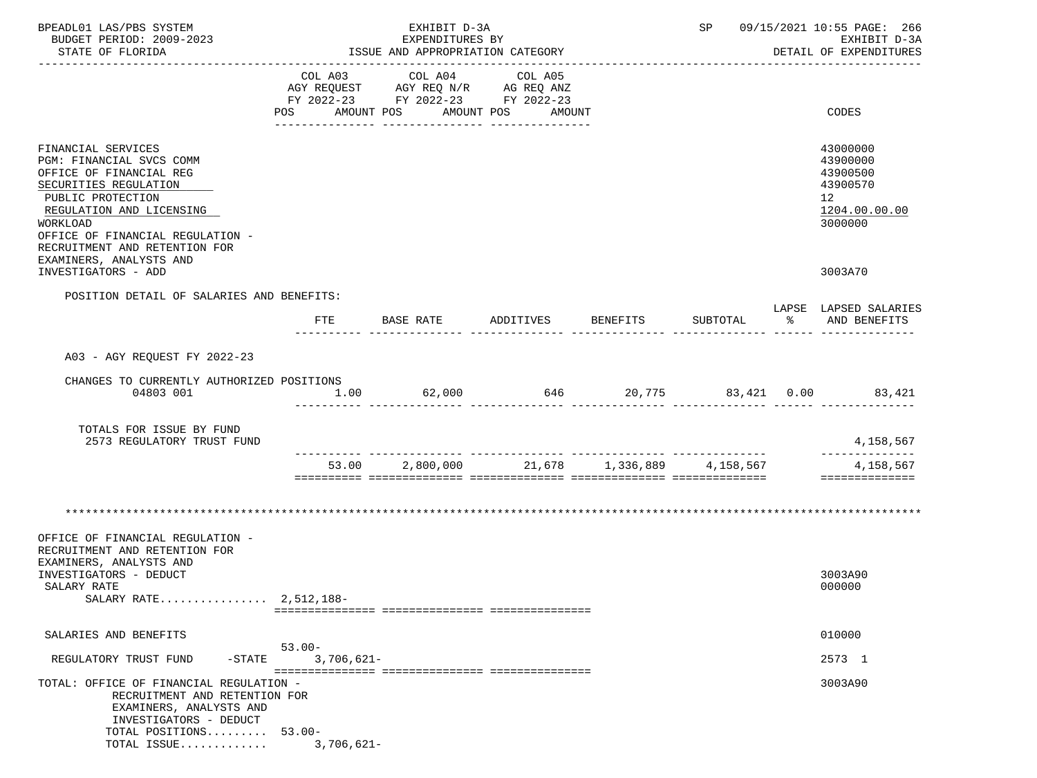| BPEADL01 LAS/PBS SYSTEM<br>BUDGET PERIOD: 2009-2023                                                                                                                                                                                  |              | EXHIBIT D-3A<br>EXPENDITURES BY                                                                                       |         |          |            | SP 09/15/2021 10:55 PAGE: 266<br>EXHIBIT D-3A                                  |
|--------------------------------------------------------------------------------------------------------------------------------------------------------------------------------------------------------------------------------------|--------------|-----------------------------------------------------------------------------------------------------------------------|---------|----------|------------|--------------------------------------------------------------------------------|
| STATE OF FLORIDA                                                                                                                                                                                                                     |              | ISSUE AND APPROPRIATION CATEGORY                                                                                      |         |          |            | DETAIL OF EXPENDITURES                                                         |
|                                                                                                                                                                                                                                      | COL A03      | COL A04<br>AGY REQUEST AGY REQ N/R AG REQ ANZ<br>FY 2022-23 FY 2022-23 FY 2022-23<br>POS AMOUNT POS AMOUNT POS AMOUNT | COL A05 |          |            | CODES                                                                          |
| FINANCIAL SERVICES<br>PGM: FINANCIAL SVCS COMM<br>OFFICE OF FINANCIAL REG<br>SECURITIES REGULATION<br>PUBLIC PROTECTION<br>REGULATION AND LICENSING<br>WORKLOAD<br>OFFICE OF FINANCIAL REGULATION -<br>RECRUITMENT AND RETENTION FOR |              |                                                                                                                       |         |          |            | 43000000<br>43900000<br>43900500<br>43900570<br>12<br>1204.00.00.00<br>3000000 |
| EXAMINERS, ANALYSTS AND<br>INVESTIGATORS - ADD                                                                                                                                                                                       |              |                                                                                                                       |         |          |            | 3003A70                                                                        |
| POSITION DETAIL OF SALARIES AND BENEFITS:                                                                                                                                                                                            |              |                                                                                                                       |         |          |            |                                                                                |
|                                                                                                                                                                                                                                      | FTE          | BASE RATE ADDITIVES                                                                                                   |         | BENEFITS | SUBTOTAL % | LAPSE LAPSED SALARIES<br>AND BENEFITS                                          |
| A03 - AGY REQUEST FY 2022-23                                                                                                                                                                                                         |              |                                                                                                                       |         |          |            |                                                                                |
| CHANGES TO CURRENTLY AUTHORIZED POSITIONS                                                                                                                                                                                            |              |                                                                                                                       |         |          |            |                                                                                |
| 04803 001                                                                                                                                                                                                                            |              | $1.00$ 62,000 646 20,775 83,421 0.00                                                                                  |         |          |            | 83,421                                                                         |
| TOTALS FOR ISSUE BY FUND<br>2573 REGULATORY TRUST FUND                                                                                                                                                                               |              |                                                                                                                       |         |          |            | 4,158,567                                                                      |
|                                                                                                                                                                                                                                      |              | 53.00  2,800,000  21,678  1,336,889  4,158,567                                                                        |         |          |            | ______________<br>4,158,567                                                    |
|                                                                                                                                                                                                                                      |              |                                                                                                                       |         |          |            | ==============                                                                 |
| OFFICE OF FINANCIAL REGULATION -<br>RECRUITMENT AND RETENTION FOR<br>EXAMINERS, ANALYSTS AND<br>INVESTIGATORS - DEDUCT<br>SALARY RATE                                                                                                |              |                                                                                                                       |         |          |            | 3003A90<br>000000                                                              |
| SALARY RATE 2,512,188-                                                                                                                                                                                                               |              |                                                                                                                       |         |          |            |                                                                                |
|                                                                                                                                                                                                                                      |              |                                                                                                                       |         |          |            |                                                                                |
| SALARIES AND BENEFITS                                                                                                                                                                                                                | $53.00 -$    |                                                                                                                       |         |          |            | 010000                                                                         |
| REGULATORY TRUST FUND<br>$-$ STATE                                                                                                                                                                                                   | $3,706,621-$ |                                                                                                                       |         |          |            | 2573 1                                                                         |
| TOTAL: OFFICE OF FINANCIAL REGULATION -<br>RECRUITMENT AND RETENTION FOR<br>EXAMINERS, ANALYSTS AND<br>INVESTIGATORS - DEDUCT<br>TOTAL POSITIONS 53.00-<br>TOTAL ISSUE                                                               | $3,706,621-$ |                                                                                                                       |         |          |            | 3003A90                                                                        |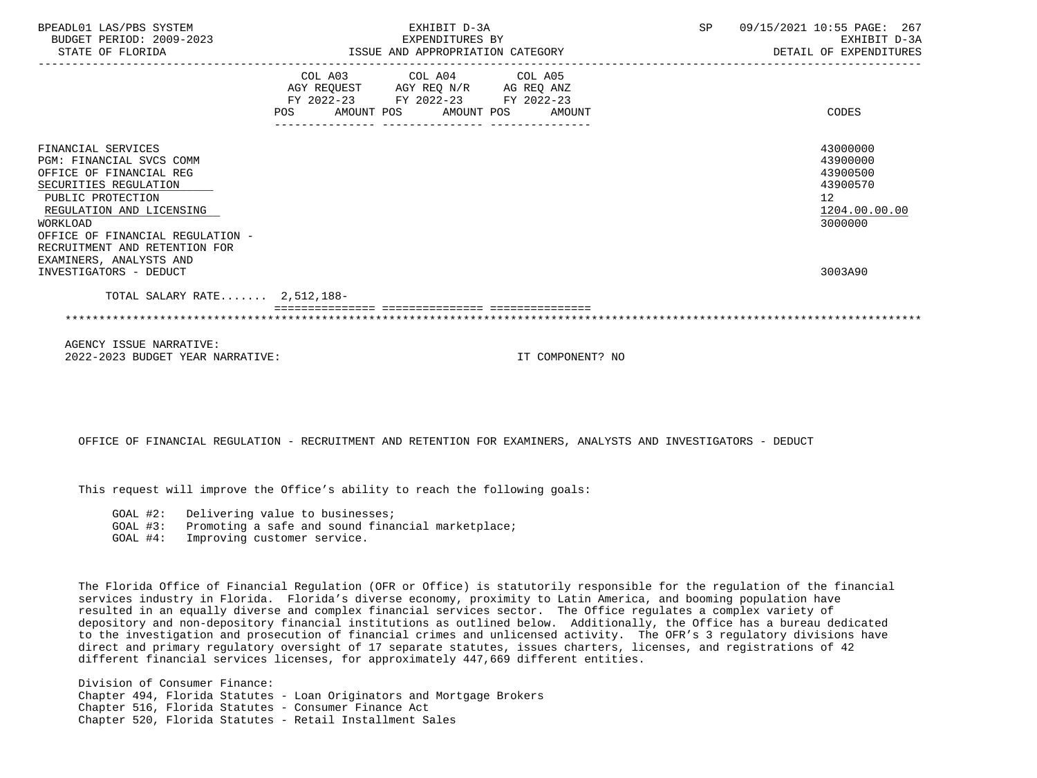| BPEADL01 LAS/PBS SYSTEM<br>BUDGET PERIOD: 2009-2023<br>STATE OF FLORIDA                                                                                                                                                                                         | ISSUE AND APPROPRIATION CATEGORY                                                                                | EXHIBIT D-3A<br>EXPENDITURES BY | <b>SP</b> | 09/15/2021 10:55 PAGE: 267<br>EXHIBIT D-3A<br>DETAIL OF EXPENDITURES           |
|-----------------------------------------------------------------------------------------------------------------------------------------------------------------------------------------------------------------------------------------------------------------|-----------------------------------------------------------------------------------------------------------------|---------------------------------|-----------|--------------------------------------------------------------------------------|
|                                                                                                                                                                                                                                                                 | COL A03 COL A04 COL A05<br>AGY REQUEST AGY REQ N/R AG REQ ANZ<br>FY 2022-23 FY 2022-23 FY 2022-23<br><b>POS</b> | AMOUNT POS AMOUNT POS AMOUNT    |           | CODES                                                                          |
| FINANCIAL SERVICES<br>PGM: FINANCIAL SVCS COMM<br>OFFICE OF FINANCIAL REG<br>SECURITIES REGULATION<br>PUBLIC PROTECTION<br>REGULATION AND LICENSING<br>WORKLOAD<br>OFFICE OF FINANCIAL REGULATION -<br>RECRUITMENT AND RETENTION FOR<br>EXAMINERS, ANALYSTS AND |                                                                                                                 |                                 |           | 43000000<br>43900000<br>43900500<br>43900570<br>12<br>1204.00.00.00<br>3000000 |
| INVESTIGATORS - DEDUCT<br>TOTAL SALARY RATE $2,512,188-$                                                                                                                                                                                                        |                                                                                                                 |                                 |           | 3003A90                                                                        |
|                                                                                                                                                                                                                                                                 |                                                                                                                 |                                 |           |                                                                                |
| AGENCY ISSUE NARRATIVE:<br>2022-2023 BUDGET YEAR NARRATIVE:                                                                                                                                                                                                     |                                                                                                                 | IT COMPONENT? NO                |           |                                                                                |

OFFICE OF FINANCIAL REGULATION - RECRUITMENT AND RETENTION FOR EXAMINERS, ANALYSTS AND INVESTIGATORS - DEDUCT

This request will improve the Office's ability to reach the following goals:

GOAL #2: Delivering value to businesses;

- GOAL #3: Promoting a safe and sound financial marketplace;
- GOAL #4: Improving customer service.

 The Florida Office of Financial Regulation (OFR or Office) is statutorily responsible for the regulation of the financial services industry in Florida. Florida's diverse economy, proximity to Latin America, and booming population have resulted in an equally diverse and complex financial services sector. The Office regulates a complex variety of depository and non-depository financial institutions as outlined below. Additionally, the Office has a bureau dedicated to the investigation and prosecution of financial crimes and unlicensed activity. The OFR's 3 regulatory divisions have direct and primary regulatory oversight of 17 separate statutes, issues charters, licenses, and registrations of 42 different financial services licenses, for approximately 447,669 different entities.

 Division of Consumer Finance: Chapter 494, Florida Statutes - Loan Originators and Mortgage Brokers Chapter 516, Florida Statutes - Consumer Finance Act Chapter 520, Florida Statutes - Retail Installment Sales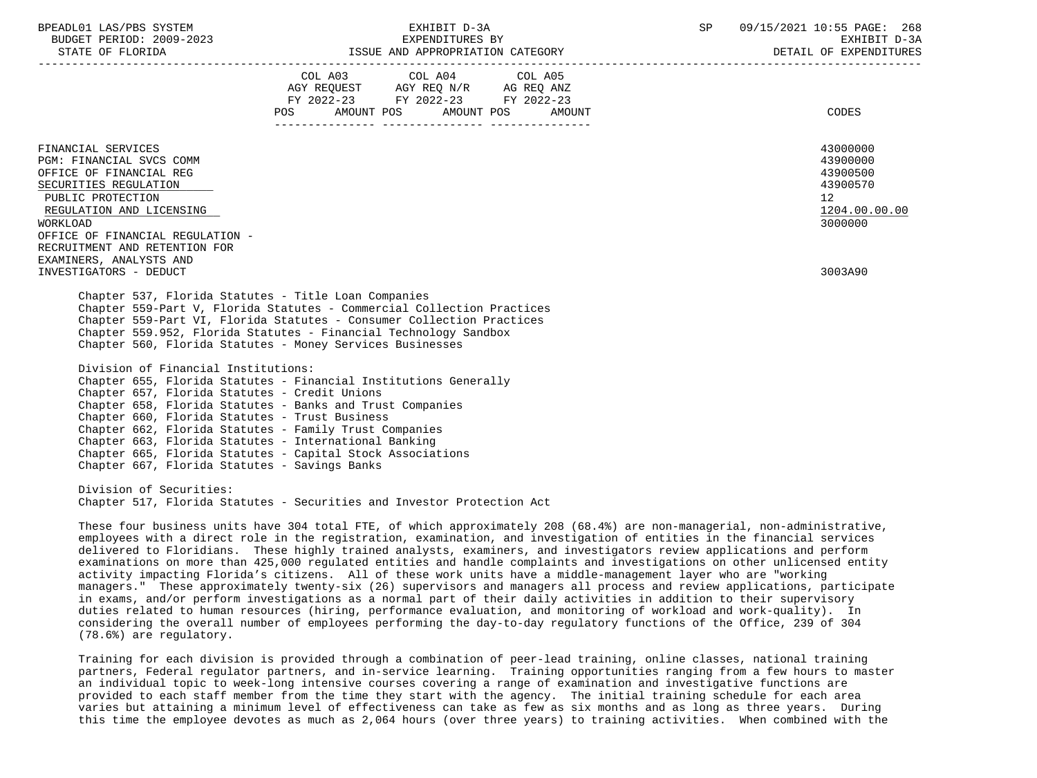STATE OF FLORIDA GALL SOLUTION ISSUE AND APPROPRIATION CATEGORY CONTROL CONTROLLER STATE OF EXPENDITURES

|                                                                        | COL A03 COL A04 COL A05<br>AGY REQUEST AGY REQ N/R AG REQ ANZ<br>FY 2022-23 FY 2022-23 FY 2022-23<br>POS AMOUNT POS AMOUNT POS | AMOUNT | <b>CODES</b>    |
|------------------------------------------------------------------------|--------------------------------------------------------------------------------------------------------------------------------|--------|-----------------|
|                                                                        |                                                                                                                                |        |                 |
|                                                                        |                                                                                                                                |        |                 |
| FINANCIAL SERVICES                                                     |                                                                                                                                |        | 43000000        |
| <b>PGM: FINANCIAL SVCS COMM</b>                                        |                                                                                                                                |        | 43900000        |
| OFFICE OF FINANCIAL REG                                                |                                                                                                                                |        | 43900500        |
| SECURITIES REGULATION                                                  |                                                                                                                                |        | 43900570        |
| PUBLIC PROTECTION                                                      |                                                                                                                                |        | 12 <sup>°</sup> |
| REGULATION AND LICENSING                                               |                                                                                                                                |        | 1204.00.00.00   |
| WORKLOAD                                                               |                                                                                                                                |        | 3000000         |
| OFFICE OF FINANCIAL REGULATION -                                       |                                                                                                                                |        |                 |
| RECRUITMENT AND RETENTION FOR                                          |                                                                                                                                |        |                 |
| EXAMINERS, ANALYSTS AND                                                |                                                                                                                                |        |                 |
| INVESTIGATORS - DEDUCT                                                 |                                                                                                                                |        | 3003A90         |
|                                                                        |                                                                                                                                |        |                 |
| Chapter 537, Florida Statutes - Title Loan Companies                   |                                                                                                                                |        |                 |
| Chapter 559-Part V, Florida Statutes - Commercial Collection Practices |                                                                                                                                |        |                 |
| Chapter 559-Part VI, Florida Statutes - Consumer Collection Practices  |                                                                                                                                |        |                 |
| Chapter 559.952, Florida Statutes - Financial Technology Sandbox       |                                                                                                                                |        |                 |
| Chapter 560, Florida Statutes - Money Services Businesses              |                                                                                                                                |        |                 |
|                                                                        |                                                                                                                                |        |                 |
| Division of Financial Institutions:                                    |                                                                                                                                |        |                 |
| Chapter 655, Florida Statutes - Financial Institutions Generally       |                                                                                                                                |        |                 |
| Chapter 657, Florida Statutes - Credit Unions                          |                                                                                                                                |        |                 |
| Chapter 658, Florida Statutes - Banks and Trust Companies              |                                                                                                                                |        |                 |
| Chapter 660, Florida Statutes - Trust Business                         |                                                                                                                                |        |                 |
| Chapter 662, Florida Statutes - Family Trust Companies                 |                                                                                                                                |        |                 |
| Chapter 663, Florida Statutes - International Banking                  |                                                                                                                                |        |                 |
| Chapter 665, Florida Statutes - Capital Stock Associations             |                                                                                                                                |        |                 |

Chapter 667, Florida Statutes - Savings Banks

 Division of Securities: Chapter 517, Florida Statutes - Securities and Investor Protection Act

 These four business units have 304 total FTE, of which approximately 208 (68.4%) are non-managerial, non-administrative, employees with a direct role in the registration, examination, and investigation of entities in the financial services delivered to Floridians. These highly trained analysts, examiners, and investigators review applications and perform examinations on more than 425,000 regulated entities and handle complaints and investigations on other unlicensed entity activity impacting Florida's citizens. All of these work units have a middle-management layer who are "working managers." These approximately twenty-six (26) supervisors and managers all process and review applications, participate in exams, and/or perform investigations as a normal part of their daily activities in addition to their supervisory duties related to human resources (hiring, performance evaluation, and monitoring of workload and work-quality). In considering the overall number of employees performing the day-to-day regulatory functions of the Office, 239 of 304 (78.6%) are regulatory.

 Training for each division is provided through a combination of peer-lead training, online classes, national training partners, Federal regulator partners, and in-service learning. Training opportunities ranging from a few hours to master an individual topic to week-long intensive courses covering a range of examination and investigative functions are provided to each staff member from the time they start with the agency. The initial training schedule for each area varies but attaining a minimum level of effectiveness can take as few as six months and as long as three years. During this time the employee devotes as much as 2,064 hours (over three years) to training activities. When combined with the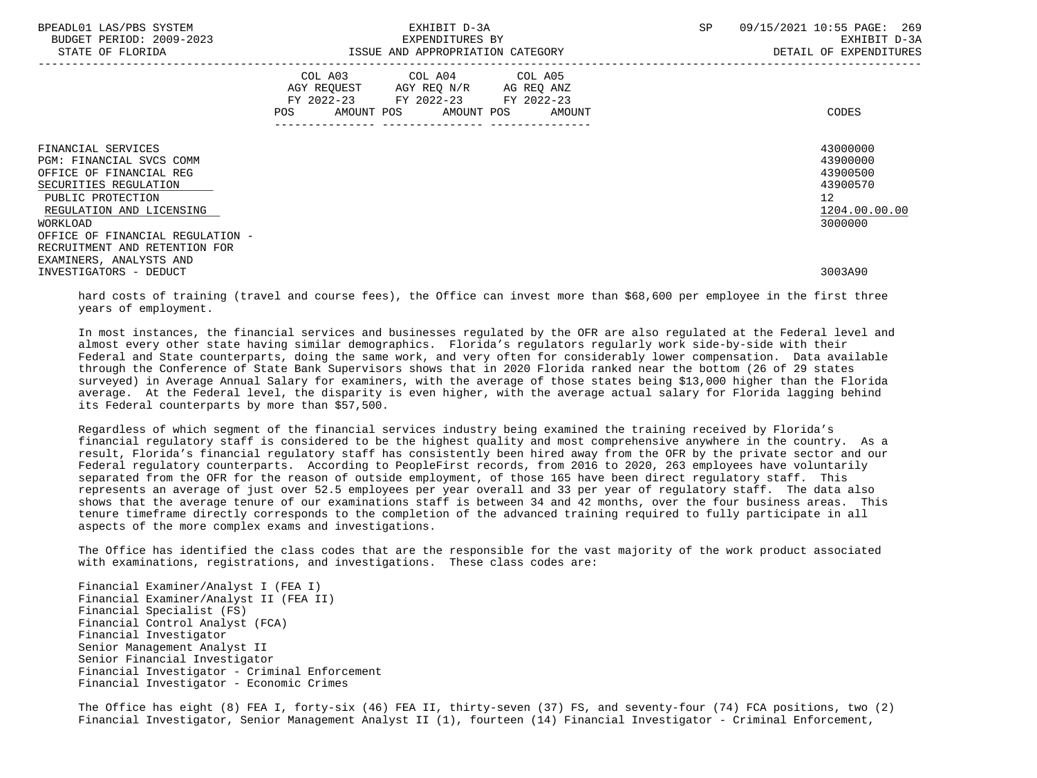| BPEADL01 LAS/PBS SYSTEM<br>BUDGET PERIOD: 2009-2023<br>STATE OF FLORIDA                                                                                         | EXHIBIT D-3A<br>EXPENDITURES BY<br>ISSUE AND APPROPRIATION CATEGORY                                                                   | 09/15/2021 10:55 PAGE: 269<br><b>SP</b><br>EXHIBIT D-3A<br>DETAIL OF EXPENDITURES |
|-----------------------------------------------------------------------------------------------------------------------------------------------------------------|---------------------------------------------------------------------------------------------------------------------------------------|-----------------------------------------------------------------------------------|
|                                                                                                                                                                 | COL A03 COL A04 COL A05<br>AGY REQUEST AGY REQ N/R AG REQ ANZ<br>FY 2022-23 FY 2022-23 FY 2022-23<br>POS AMOUNT POS AMOUNT POS AMOUNT | CODES                                                                             |
| FINANCIAL SERVICES<br>PGM: FINANCIAL SVCS COMM<br>OFFICE OF FINANCIAL REG<br>SECURITIES REGULATION<br>PUBLIC PROTECTION<br>REGULATION AND LICENSING<br>WORKLOAD |                                                                                                                                       | 43000000<br>43900000<br>43900500<br>43900570<br>12<br>1204.00.00.00<br>3000000    |
| OFFICE OF FINANCIAL REGULATION -<br>RECRUITMENT AND RETENTION FOR<br>EXAMINERS, ANALYSTS AND<br>INVESTIGATORS - DEDUCT                                          |                                                                                                                                       | 3003A90                                                                           |

 hard costs of training (travel and course fees), the Office can invest more than \$68,600 per employee in the first three years of employment.

 In most instances, the financial services and businesses regulated by the OFR are also regulated at the Federal level and almost every other state having similar demographics. Florida's regulators regularly work side-by-side with their Federal and State counterparts, doing the same work, and very often for considerably lower compensation. Data available through the Conference of State Bank Supervisors shows that in 2020 Florida ranked near the bottom (26 of 29 states surveyed) in Average Annual Salary for examiners, with the average of those states being \$13,000 higher than the Florida average. At the Federal level, the disparity is even higher, with the average actual salary for Florida lagging behind its Federal counterparts by more than \$57,500.

 Regardless of which segment of the financial services industry being examined the training received by Florida's financial regulatory staff is considered to be the highest quality and most comprehensive anywhere in the country. As a result, Florida's financial regulatory staff has consistently been hired away from the OFR by the private sector and our Federal regulatory counterparts. According to PeopleFirst records, from 2016 to 2020, 263 employees have voluntarily separated from the OFR for the reason of outside employment, of those 165 have been direct regulatory staff. This represents an average of just over 52.5 employees per year overall and 33 per year of regulatory staff. The data also shows that the average tenure of our examinations staff is between 34 and 42 months, over the four business areas. This tenure timeframe directly corresponds to the completion of the advanced training required to fully participate in all aspects of the more complex exams and investigations.

 The Office has identified the class codes that are the responsible for the vast majority of the work product associated with examinations, registrations, and investigations. These class codes are:

 Financial Examiner/Analyst I (FEA I) Financial Examiner/Analyst II (FEA II) Financial Specialist (FS) Financial Control Analyst (FCA) Financial Investigator Senior Management Analyst II Senior Financial Investigator Financial Investigator - Criminal Enforcement Financial Investigator - Economic Crimes

 The Office has eight (8) FEA I, forty-six (46) FEA II, thirty-seven (37) FS, and seventy-four (74) FCA positions, two (2) Financial Investigator, Senior Management Analyst II (1), fourteen (14) Financial Investigator - Criminal Enforcement,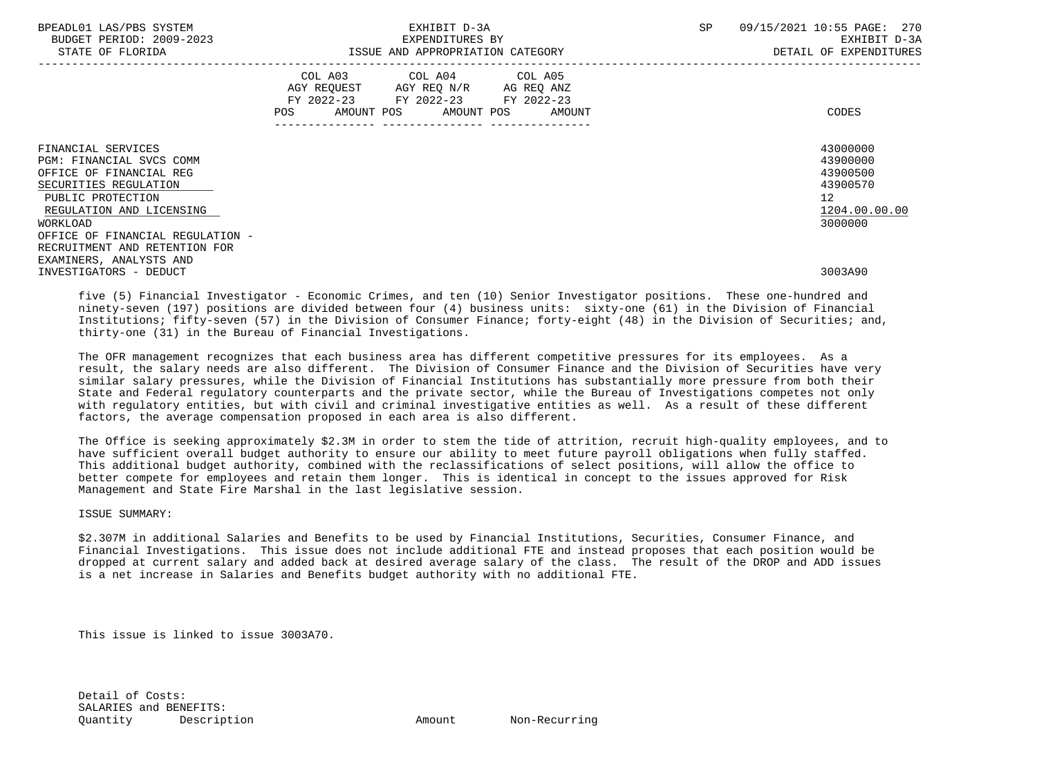| BPEADL01 LAS/PBS SYSTEM<br>BUDGET PERIOD: 2009-2023<br>STATE OF FLORIDA                                                                                                                                                                                        | EXHIBIT D-3A<br>EXPENDITURES BY<br>ISSUE AND APPROPRIATION CATEGORY                                                                   | 09/15/2021 10:55 PAGE: 270<br>SP<br>EXHIBIT D-3A<br>DETAIL OF EXPENDITURES                   |
|----------------------------------------------------------------------------------------------------------------------------------------------------------------------------------------------------------------------------------------------------------------|---------------------------------------------------------------------------------------------------------------------------------------|----------------------------------------------------------------------------------------------|
|                                                                                                                                                                                                                                                                | COL A03 COL A04 COL A05<br>AGY REQUEST AGY REQ N/R AG REQ ANZ<br>FY 2022-23 FY 2022-23 FY 2022-23<br>POS AMOUNT POS AMOUNT POS AMOUNT | CODES                                                                                        |
| FINANCIAL SERVICES<br>PGM: FINANCIAL SVCS COMM<br>OFFICE OF FINANCIAL REG<br>SECURITIES REGULATION<br>PUBLIC PROTECTION<br>REGULATION AND LICENSING<br>WORKLOAD<br>OFFICE OF FINANCIAL REGULATION -<br>RECRUITMENT AND RETENTION FOR<br>UVAMINUDO ANAIVOTO AND |                                                                                                                                       | 43000000<br>43900000<br>43900500<br>43900570<br>12 <sup>12</sup><br>1204.00.00.00<br>3000000 |

 EXAMINERS, ANALYSTS AND INVESTIGATORS - DEDUCT 3003A90

 five (5) Financial Investigator - Economic Crimes, and ten (10) Senior Investigator positions. These one-hundred and ninety-seven (197) positions are divided between four (4) business units: sixty-one (61) in the Division of Financial Institutions; fifty-seven (57) in the Division of Consumer Finance; forty-eight (48) in the Division of Securities; and, thirty-one (31) in the Bureau of Financial Investigations.

 The OFR management recognizes that each business area has different competitive pressures for its employees. As a result, the salary needs are also different. The Division of Consumer Finance and the Division of Securities have very similar salary pressures, while the Division of Financial Institutions has substantially more pressure from both their State and Federal regulatory counterparts and the private sector, while the Bureau of Investigations competes not only with regulatory entities, but with civil and criminal investigative entities as well. As a result of these different factors, the average compensation proposed in each area is also different.

 The Office is seeking approximately \$2.3M in order to stem the tide of attrition, recruit high-quality employees, and to have sufficient overall budget authority to ensure our ability to meet future payroll obligations when fully staffed. This additional budget authority, combined with the reclassifications of select positions, will allow the office to better compete for employees and retain them longer. This is identical in concept to the issues approved for Risk Management and State Fire Marshal in the last legislative session.

ISSUE SUMMARY:

 \$2.307M in additional Salaries and Benefits to be used by Financial Institutions, Securities, Consumer Finance, and Financial Investigations. This issue does not include additional FTE and instead proposes that each position would be dropped at current salary and added back at desired average salary of the class. The result of the DROP and ADD issues is a net increase in Salaries and Benefits budget authority with no additional FTE.

This issue is linked to issue 3003A70.

 Detail of Costs: SALARIES and BENEFITS: Ouantity Description **Amount** Amount Non-Recurring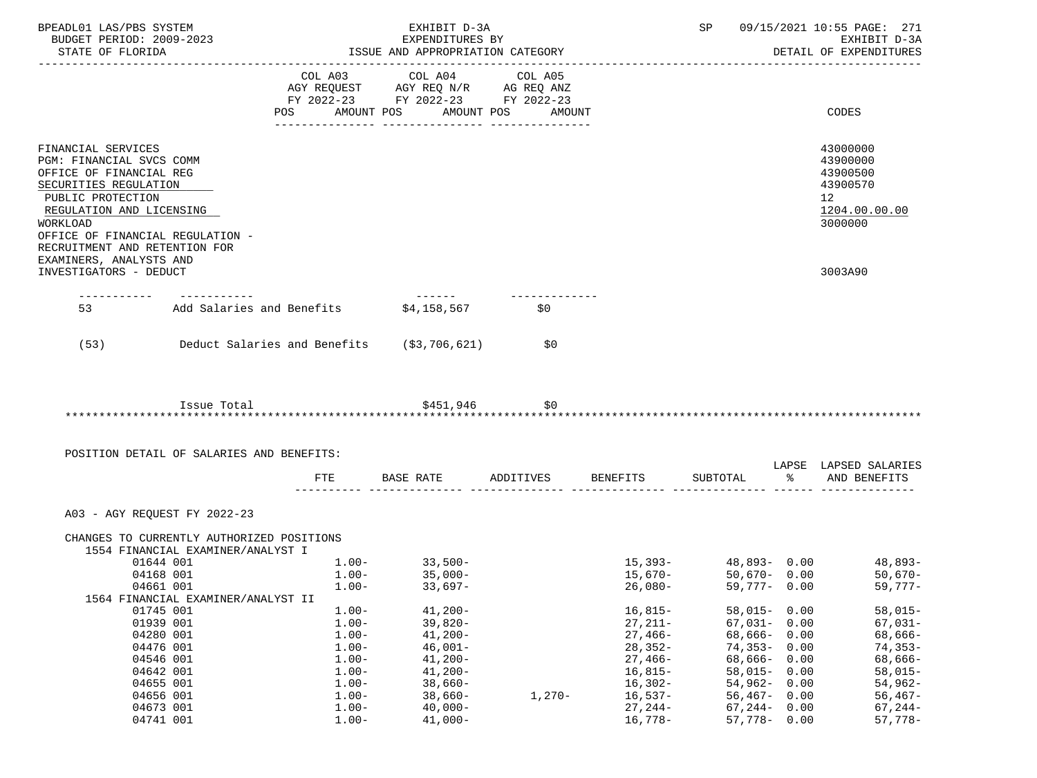| BUDGET PERIOD: 2009-2023                                                                                                                                                                                                             | BPEADL01 LAS/PBS SYSTEM                                  |                                            | EXHIBIT D-3A                                        |          |                         |                                     |      | SP 09/15/2021 10:55 PAGE: 271                                                  |
|--------------------------------------------------------------------------------------------------------------------------------------------------------------------------------------------------------------------------------------|----------------------------------------------------------|--------------------------------------------|-----------------------------------------------------|----------|-------------------------|-------------------------------------|------|--------------------------------------------------------------------------------|
| STATE OF FLORIDA                                                                                                                                                                                                                     |                                                          |                                            | EXPENDITURES BY<br>ISSUE AND APPROPRIATION CATEGORY |          |                         |                                     |      | EXHIBIT D-3A<br>DETAIL OF EXPENDITURES                                         |
|                                                                                                                                                                                                                                      |                                                          | COL A03                                    |                                                     |          |                         |                                     |      |                                                                                |
|                                                                                                                                                                                                                                      |                                                          |                                            |                                                     |          |                         |                                     |      |                                                                                |
|                                                                                                                                                                                                                                      |                                                          |                                            | FY 2022-23 FY 2022-23 FY 2022-23                    |          |                         |                                     |      |                                                                                |
|                                                                                                                                                                                                                                      |                                                          |                                            | POS AMOUNT POS AMOUNT POS AMOUNT                    |          |                         |                                     |      | CODES                                                                          |
| FINANCIAL SERVICES<br>PGM: FINANCIAL SVCS COMM<br>OFFICE OF FINANCIAL REG<br>SECURITIES REGULATION<br>PUBLIC PROTECTION<br>REGULATION AND LICENSING<br>WORKLOAD<br>OFFICE OF FINANCIAL REGULATION -<br>RECRUITMENT AND RETENTION FOR |                                                          |                                            |                                                     |          |                         |                                     |      | 43000000<br>43900000<br>43900500<br>43900570<br>12<br>1204.00.00.00<br>3000000 |
| EXAMINERS, ANALYSTS AND<br>INVESTIGATORS - DEDUCT                                                                                                                                                                                    |                                                          |                                            |                                                     |          |                         |                                     |      | 3003A90                                                                        |
|                                                                                                                                                                                                                                      | ___________                                              |                                            | ________                                            |          |                         |                                     |      |                                                                                |
| 53                                                                                                                                                                                                                                   | Add Salaries and Benefits                                |                                            | \$4,158,567                                         | \$0      |                         |                                     |      |                                                                                |
| (53)                                                                                                                                                                                                                                 |                                                          | Deduct Salaries and Benefits (\$3,706,621) |                                                     | \$0      |                         |                                     |      |                                                                                |
|                                                                                                                                                                                                                                      | Issue Total<br>POSITION DETAIL OF SALARIES AND BENEFITS: |                                            | \$451,946                                           | \$0      |                         |                                     |      |                                                                                |
|                                                                                                                                                                                                                                      |                                                          |                                            |                                                     |          |                         |                                     |      |                                                                                |
|                                                                                                                                                                                                                                      |                                                          |                                            | FTE BASE RATE ADDITIVES BENEFITS SUBTOTAL           |          |                         |                                     | ႜႜ   | LAPSE LAPSED SALARIES<br>AND BENEFITS                                          |
|                                                                                                                                                                                                                                      | A03 - AGY REOUEST FY 2022-23                             |                                            |                                                     |          |                         |                                     |      |                                                                                |
|                                                                                                                                                                                                                                      | CHANGES TO CURRENTLY AUTHORIZED POSITIONS                |                                            |                                                     |          |                         |                                     |      |                                                                                |
|                                                                                                                                                                                                                                      | 1554 FINANCIAL EXAMINER/ANALYST I                        |                                            |                                                     |          |                         |                                     |      |                                                                                |
|                                                                                                                                                                                                                                      | 01644 001                                                |                                            | $1.00 - 33,500 -$                                   |          |                         |                                     |      |                                                                                |
|                                                                                                                                                                                                                                      | 04168 001<br>04661 001                                   | $1.00-$<br>$1.00-$                         | $35,000-$<br>$33,697-$                              |          |                         |                                     |      | 15,393-<br>15,670- 15,670- 50,670- 0.00 50,670-                                |
|                                                                                                                                                                                                                                      | 1564 FINANCIAL EXAMINER/ANALYST II                       |                                            |                                                     |          | $26,080-$               | $59,777 - 0.00$                     |      | $59,777-$                                                                      |
|                                                                                                                                                                                                                                      | 01745 001                                                | $1.00-$                                    | $41,200-$                                           |          | $16,815-$               | $58,015 - 0.00$                     |      | $58,015-$                                                                      |
|                                                                                                                                                                                                                                      | 01939 001                                                | $1.00-$                                    | $39,820-$                                           |          | $27, 211 -$             | $67,031 - 0.00$                     |      | $67,031-$                                                                      |
|                                                                                                                                                                                                                                      | 04280 001                                                | $1.00-$                                    | $41,200-$                                           |          | $27,466-$               | $68,666 - 0.00$                     |      | 68,666-                                                                        |
|                                                                                                                                                                                                                                      | 04476 001                                                | $1.00-$                                    | $46,001-$                                           |          | $28,352-$               | $74,353-$                           | 0.00 | $74,353-$                                                                      |
|                                                                                                                                                                                                                                      | 04546 001                                                | $1.00-$                                    | $41,200-$                                           |          | $27,466-$               | 68,666-                             | 0.00 | 68,666-                                                                        |
|                                                                                                                                                                                                                                      | 04642 001                                                | $1.00-$                                    | $41,200-$                                           |          | $16,815-$               | $58,015-$                           | 0.00 | $58,015-$                                                                      |
|                                                                                                                                                                                                                                      | 04655 001                                                | $1.00-$                                    | $38,660-$                                           |          | $16,302-$               | $54,962-$                           | 0.00 | $54,962-$                                                                      |
|                                                                                                                                                                                                                                      | 04656 001                                                | $1.00-$                                    | $38,660-$                                           | $1,270-$ | $16,537-$               | $56,467 - 0.00$                     |      | $56,467-$                                                                      |
|                                                                                                                                                                                                                                      | 04673 001<br>04741 001                                   | $1.00-$<br>$1.00-$                         | $40,000-$<br>$41,000-$                              |          | $27, 244-$<br>$16,778-$ | $67, 244 - 0.00$<br>$57,778 - 0.00$ |      | $67, 244-$<br>$57,778-$                                                        |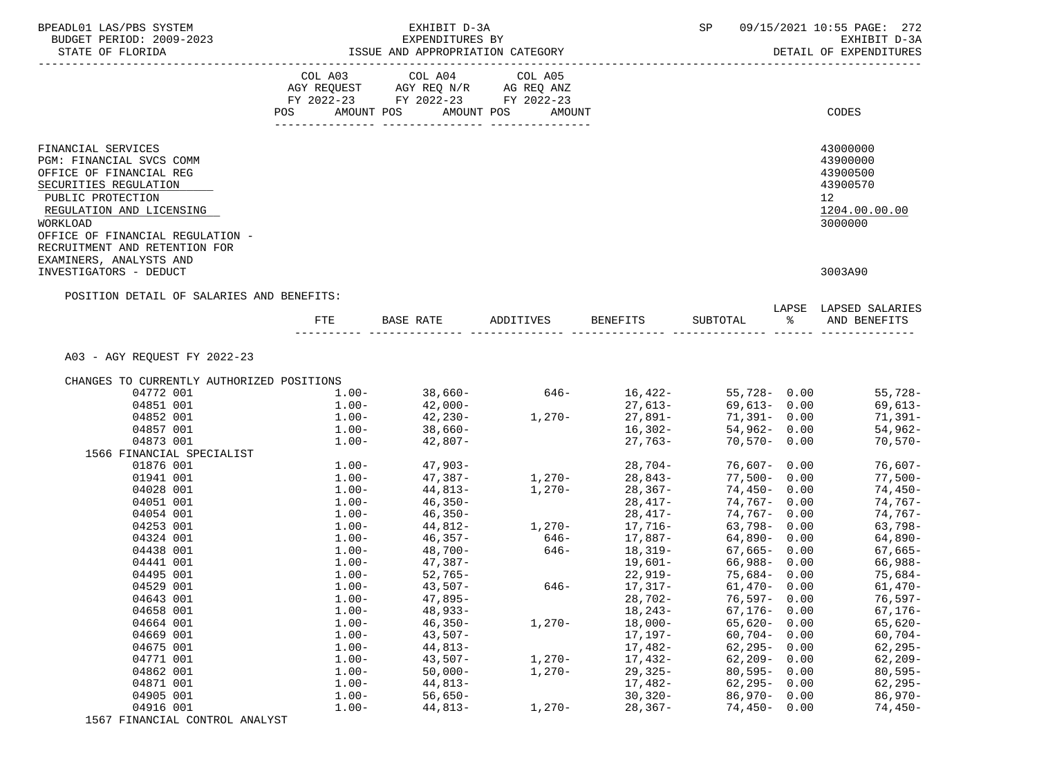| EXPENDITURES BY<br>ISSUE AND APPROPRIATION CATEGORY<br>STATE OF FLORIDA<br>DETAIL OF EXPENDITURES<br>----------------------<br>COL A03 COL A04<br>COL A05<br>AGY REQUEST AGY REQ N/R AG REQ ANZ<br>FY 2022-23 FY 2022-23 FY 2022-23<br>POS AMOUNT POS AMOUNT POS AMOUNT<br>CODES<br>43000000<br>FINANCIAL SERVICES<br>PGM: FINANCIAL SVCS COMM<br>43900000<br>OFFICE OF FINANCIAL REG<br>43900500<br>SECURITIES REGULATION<br>43900570<br>PUBLIC PROTECTION<br>12<br>REGULATION AND LICENSING<br>1204.00.00.00<br>WORKLOAD<br>3000000<br>OFFICE OF FINANCIAL REGULATION -<br>RECRUITMENT AND RETENTION FOR<br>EXAMINERS, ANALYSTS AND<br>INVESTIGATORS - DEDUCT<br>3003A90<br>POSITION DETAIL OF SALARIES AND BENEFITS:<br>LAPSE LAPSED SALARIES<br>FTE BASE RATE ADDITIVES BENEFITS SUBTOTAL $\frac{1}{2}$ and BENEFITS<br>A03 - AGY REOUEST FY 2022-23<br>CHANGES TO CURRENTLY AUTHORIZED POSITIONS<br>$1.00-$ 38,660- $646 16,422 55,728 0.00$ $55,728-$<br>$1.00-$ 42,000- $613 27,613 69,613 0.00$ $69,613-$<br>04772 001<br>$1.00 -$<br>04851 001<br>27,613- 69,613- 0.00<br>1,270- 27,891- 71,391- 0.00<br>$1.00 - 42,230 -$<br>04852 001<br>71,391-<br>$1.00 - 38,660 - 1.00 - 42,807 -$<br>54,962- 0.00<br>70,570- 0.00<br>04857 001<br>16,302-<br>27,763-<br>54,962-<br>70,570-<br>04873 001<br>1566 FINANCIAL SPECIALIST<br>$1.00 - 47,903 - 1.00 - 47,387 -$<br>$28,704 -$<br>1,270-<br>28,843-<br>76,607- 0.00<br>01876 001<br>76,607-<br>77,500- 0.00<br>$77,500-$<br>01941 001<br>$1,270-28,367-$<br>28.417-<br>04028 001<br>$1.00 44,813-$<br>$1.00 46,350-$<br>74,450- 0.00<br>74,767- 0.00<br>74,450-<br>28,417-<br>74,767-<br>04051 001<br>$1.00 - 46,350 -$<br>$28,417-$<br>74,767- 0.00<br>04054 001<br>74,767-<br>$1,270 17,716-$<br>646- $17,887-$<br>63,798- 0.00<br>64,890- 0.00<br>04253 001<br>$1.00 44,812-$<br>$1.00 46,357-$<br>63,798-<br>64,890-<br>04324 001<br>$646 18,319 67,665 0.00$<br>$19,601 66,988 0.00$<br>$1.00 - 48,700 -$<br>$1.00 - 47,387 -$<br>04438 001<br>67,665-<br>04441 001<br>66,988-<br>$22,919-$<br>$1.00 - 52,765 -$<br>$75.684 - 0.00$<br>04495 001<br>$75,684-$<br>$61,470 - 0.00$<br>04529 001<br>$1.00 -$<br>$43,507-$<br>$646-$<br>$17,317-$<br>$61,470-$<br>$47,895-$<br>$28,702-$<br>76,597–<br>$76,597-$<br>04643 001<br>$1.00 -$<br>0.00<br>04658 001<br>$1.00 -$<br>$48,933-$<br>$18, 243-$<br>67,176–<br>$67, 176 -$<br>0.00<br>04664 001<br>$1.00-$<br>$46,350-$<br>$1,270-$<br>$18,000-$<br>$65,620-$<br>$65,620-$<br>0.00<br>04669 001<br>$43,507-$<br>17,197-<br>$60,704-$<br>$60,704-$<br>$1.00-$<br>0.00<br>04675 001<br>$1.00-$<br>44,813-<br>17,482-<br>$62, 295 -$<br>$62, 295 -$<br>0.00<br>04771 001<br>$1,270-$<br>17,432-<br>$62, 209 -$<br>$62,209-$<br>$1.00-$<br>$43,507-$<br>0.00<br>04862 001<br>$50,000-$<br>$1,270-$<br>$29,325-$<br>$80,595-$<br>$80,595-$<br>$1.00 -$<br>0.00<br>04871 001<br>$1.00-$<br>17,482-<br>$62, 295 -$<br>$62, 295 -$<br>44,813-<br>0.00<br>04905 001<br>$1.00 -$<br>$30,320-$<br>86,970-<br>$86,970-$<br>$56,650-$<br>0.00<br>$1.00-$<br>$1,270-$<br>$74,450-$<br>$74,450-$<br>04916 001<br>44,813-<br>$28,367-$<br>0.00 | BPEADL01 LAS/PBS SYSTEM<br>BUDGET PERIOD: 2009-2023 |  | EXHIBIT D-3A |  | SP | 09/15/2021 10:55 PAGE: 272<br>EXHIBIT D-3A |
|----------------------------------------------------------------------------------------------------------------------------------------------------------------------------------------------------------------------------------------------------------------------------------------------------------------------------------------------------------------------------------------------------------------------------------------------------------------------------------------------------------------------------------------------------------------------------------------------------------------------------------------------------------------------------------------------------------------------------------------------------------------------------------------------------------------------------------------------------------------------------------------------------------------------------------------------------------------------------------------------------------------------------------------------------------------------------------------------------------------------------------------------------------------------------------------------------------------------------------------------------------------------------------------------------------------------------------------------------------------------------------------------------------------------------------------------------------------------------------------------------------------------------------------------------------------------------------------------------------------------------------------------------------------------------------------------------------------------------------------------------------------------------------------------------------------------------------------------------------------------------------------------------------------------------------------------------------------------------------------------------------------------------------------------------------------------------------------------------------------------------------------------------------------------------------------------------------------------------------------------------------------------------------------------------------------------------------------------------------------------------------------------------------------------------------------------------------------------------------------------------------------------------------------------------------------------------------------------------------------------------------------------------------------------------------------------------------------------------------------------------------------------------------------------------------------------------------------------------------------------------------------------------------------------------------------------------------------------------------------------------------------------------------------------------------------------------------------------------------------------------------------------|-----------------------------------------------------|--|--------------|--|----|--------------------------------------------|
|                                                                                                                                                                                                                                                                                                                                                                                                                                                                                                                                                                                                                                                                                                                                                                                                                                                                                                                                                                                                                                                                                                                                                                                                                                                                                                                                                                                                                                                                                                                                                                                                                                                                                                                                                                                                                                                                                                                                                                                                                                                                                                                                                                                                                                                                                                                                                                                                                                                                                                                                                                                                                                                                                                                                                                                                                                                                                                                                                                                                                                                                                                                                              |                                                     |  |              |  |    |                                            |
|                                                                                                                                                                                                                                                                                                                                                                                                                                                                                                                                                                                                                                                                                                                                                                                                                                                                                                                                                                                                                                                                                                                                                                                                                                                                                                                                                                                                                                                                                                                                                                                                                                                                                                                                                                                                                                                                                                                                                                                                                                                                                                                                                                                                                                                                                                                                                                                                                                                                                                                                                                                                                                                                                                                                                                                                                                                                                                                                                                                                                                                                                                                                              |                                                     |  |              |  |    |                                            |
|                                                                                                                                                                                                                                                                                                                                                                                                                                                                                                                                                                                                                                                                                                                                                                                                                                                                                                                                                                                                                                                                                                                                                                                                                                                                                                                                                                                                                                                                                                                                                                                                                                                                                                                                                                                                                                                                                                                                                                                                                                                                                                                                                                                                                                                                                                                                                                                                                                                                                                                                                                                                                                                                                                                                                                                                                                                                                                                                                                                                                                                                                                                                              |                                                     |  |              |  |    |                                            |
|                                                                                                                                                                                                                                                                                                                                                                                                                                                                                                                                                                                                                                                                                                                                                                                                                                                                                                                                                                                                                                                                                                                                                                                                                                                                                                                                                                                                                                                                                                                                                                                                                                                                                                                                                                                                                                                                                                                                                                                                                                                                                                                                                                                                                                                                                                                                                                                                                                                                                                                                                                                                                                                                                                                                                                                                                                                                                                                                                                                                                                                                                                                                              |                                                     |  |              |  |    |                                            |
|                                                                                                                                                                                                                                                                                                                                                                                                                                                                                                                                                                                                                                                                                                                                                                                                                                                                                                                                                                                                                                                                                                                                                                                                                                                                                                                                                                                                                                                                                                                                                                                                                                                                                                                                                                                                                                                                                                                                                                                                                                                                                                                                                                                                                                                                                                                                                                                                                                                                                                                                                                                                                                                                                                                                                                                                                                                                                                                                                                                                                                                                                                                                              |                                                     |  |              |  |    |                                            |
|                                                                                                                                                                                                                                                                                                                                                                                                                                                                                                                                                                                                                                                                                                                                                                                                                                                                                                                                                                                                                                                                                                                                                                                                                                                                                                                                                                                                                                                                                                                                                                                                                                                                                                                                                                                                                                                                                                                                                                                                                                                                                                                                                                                                                                                                                                                                                                                                                                                                                                                                                                                                                                                                                                                                                                                                                                                                                                                                                                                                                                                                                                                                              |                                                     |  |              |  |    |                                            |
|                                                                                                                                                                                                                                                                                                                                                                                                                                                                                                                                                                                                                                                                                                                                                                                                                                                                                                                                                                                                                                                                                                                                                                                                                                                                                                                                                                                                                                                                                                                                                                                                                                                                                                                                                                                                                                                                                                                                                                                                                                                                                                                                                                                                                                                                                                                                                                                                                                                                                                                                                                                                                                                                                                                                                                                                                                                                                                                                                                                                                                                                                                                                              |                                                     |  |              |  |    |                                            |
|                                                                                                                                                                                                                                                                                                                                                                                                                                                                                                                                                                                                                                                                                                                                                                                                                                                                                                                                                                                                                                                                                                                                                                                                                                                                                                                                                                                                                                                                                                                                                                                                                                                                                                                                                                                                                                                                                                                                                                                                                                                                                                                                                                                                                                                                                                                                                                                                                                                                                                                                                                                                                                                                                                                                                                                                                                                                                                                                                                                                                                                                                                                                              |                                                     |  |              |  |    |                                            |
|                                                                                                                                                                                                                                                                                                                                                                                                                                                                                                                                                                                                                                                                                                                                                                                                                                                                                                                                                                                                                                                                                                                                                                                                                                                                                                                                                                                                                                                                                                                                                                                                                                                                                                                                                                                                                                                                                                                                                                                                                                                                                                                                                                                                                                                                                                                                                                                                                                                                                                                                                                                                                                                                                                                                                                                                                                                                                                                                                                                                                                                                                                                                              |                                                     |  |              |  |    |                                            |
|                                                                                                                                                                                                                                                                                                                                                                                                                                                                                                                                                                                                                                                                                                                                                                                                                                                                                                                                                                                                                                                                                                                                                                                                                                                                                                                                                                                                                                                                                                                                                                                                                                                                                                                                                                                                                                                                                                                                                                                                                                                                                                                                                                                                                                                                                                                                                                                                                                                                                                                                                                                                                                                                                                                                                                                                                                                                                                                                                                                                                                                                                                                                              |                                                     |  |              |  |    |                                            |
|                                                                                                                                                                                                                                                                                                                                                                                                                                                                                                                                                                                                                                                                                                                                                                                                                                                                                                                                                                                                                                                                                                                                                                                                                                                                                                                                                                                                                                                                                                                                                                                                                                                                                                                                                                                                                                                                                                                                                                                                                                                                                                                                                                                                                                                                                                                                                                                                                                                                                                                                                                                                                                                                                                                                                                                                                                                                                                                                                                                                                                                                                                                                              |                                                     |  |              |  |    |                                            |
|                                                                                                                                                                                                                                                                                                                                                                                                                                                                                                                                                                                                                                                                                                                                                                                                                                                                                                                                                                                                                                                                                                                                                                                                                                                                                                                                                                                                                                                                                                                                                                                                                                                                                                                                                                                                                                                                                                                                                                                                                                                                                                                                                                                                                                                                                                                                                                                                                                                                                                                                                                                                                                                                                                                                                                                                                                                                                                                                                                                                                                                                                                                                              |                                                     |  |              |  |    |                                            |
|                                                                                                                                                                                                                                                                                                                                                                                                                                                                                                                                                                                                                                                                                                                                                                                                                                                                                                                                                                                                                                                                                                                                                                                                                                                                                                                                                                                                                                                                                                                                                                                                                                                                                                                                                                                                                                                                                                                                                                                                                                                                                                                                                                                                                                                                                                                                                                                                                                                                                                                                                                                                                                                                                                                                                                                                                                                                                                                                                                                                                                                                                                                                              |                                                     |  |              |  |    |                                            |
|                                                                                                                                                                                                                                                                                                                                                                                                                                                                                                                                                                                                                                                                                                                                                                                                                                                                                                                                                                                                                                                                                                                                                                                                                                                                                                                                                                                                                                                                                                                                                                                                                                                                                                                                                                                                                                                                                                                                                                                                                                                                                                                                                                                                                                                                                                                                                                                                                                                                                                                                                                                                                                                                                                                                                                                                                                                                                                                                                                                                                                                                                                                                              |                                                     |  |              |  |    |                                            |
|                                                                                                                                                                                                                                                                                                                                                                                                                                                                                                                                                                                                                                                                                                                                                                                                                                                                                                                                                                                                                                                                                                                                                                                                                                                                                                                                                                                                                                                                                                                                                                                                                                                                                                                                                                                                                                                                                                                                                                                                                                                                                                                                                                                                                                                                                                                                                                                                                                                                                                                                                                                                                                                                                                                                                                                                                                                                                                                                                                                                                                                                                                                                              |                                                     |  |              |  |    |                                            |
|                                                                                                                                                                                                                                                                                                                                                                                                                                                                                                                                                                                                                                                                                                                                                                                                                                                                                                                                                                                                                                                                                                                                                                                                                                                                                                                                                                                                                                                                                                                                                                                                                                                                                                                                                                                                                                                                                                                                                                                                                                                                                                                                                                                                                                                                                                                                                                                                                                                                                                                                                                                                                                                                                                                                                                                                                                                                                                                                                                                                                                                                                                                                              |                                                     |  |              |  |    |                                            |
|                                                                                                                                                                                                                                                                                                                                                                                                                                                                                                                                                                                                                                                                                                                                                                                                                                                                                                                                                                                                                                                                                                                                                                                                                                                                                                                                                                                                                                                                                                                                                                                                                                                                                                                                                                                                                                                                                                                                                                                                                                                                                                                                                                                                                                                                                                                                                                                                                                                                                                                                                                                                                                                                                                                                                                                                                                                                                                                                                                                                                                                                                                                                              |                                                     |  |              |  |    |                                            |
|                                                                                                                                                                                                                                                                                                                                                                                                                                                                                                                                                                                                                                                                                                                                                                                                                                                                                                                                                                                                                                                                                                                                                                                                                                                                                                                                                                                                                                                                                                                                                                                                                                                                                                                                                                                                                                                                                                                                                                                                                                                                                                                                                                                                                                                                                                                                                                                                                                                                                                                                                                                                                                                                                                                                                                                                                                                                                                                                                                                                                                                                                                                                              |                                                     |  |              |  |    |                                            |
|                                                                                                                                                                                                                                                                                                                                                                                                                                                                                                                                                                                                                                                                                                                                                                                                                                                                                                                                                                                                                                                                                                                                                                                                                                                                                                                                                                                                                                                                                                                                                                                                                                                                                                                                                                                                                                                                                                                                                                                                                                                                                                                                                                                                                                                                                                                                                                                                                                                                                                                                                                                                                                                                                                                                                                                                                                                                                                                                                                                                                                                                                                                                              |                                                     |  |              |  |    |                                            |
|                                                                                                                                                                                                                                                                                                                                                                                                                                                                                                                                                                                                                                                                                                                                                                                                                                                                                                                                                                                                                                                                                                                                                                                                                                                                                                                                                                                                                                                                                                                                                                                                                                                                                                                                                                                                                                                                                                                                                                                                                                                                                                                                                                                                                                                                                                                                                                                                                                                                                                                                                                                                                                                                                                                                                                                                                                                                                                                                                                                                                                                                                                                                              |                                                     |  |              |  |    |                                            |
|                                                                                                                                                                                                                                                                                                                                                                                                                                                                                                                                                                                                                                                                                                                                                                                                                                                                                                                                                                                                                                                                                                                                                                                                                                                                                                                                                                                                                                                                                                                                                                                                                                                                                                                                                                                                                                                                                                                                                                                                                                                                                                                                                                                                                                                                                                                                                                                                                                                                                                                                                                                                                                                                                                                                                                                                                                                                                                                                                                                                                                                                                                                                              |                                                     |  |              |  |    |                                            |
|                                                                                                                                                                                                                                                                                                                                                                                                                                                                                                                                                                                                                                                                                                                                                                                                                                                                                                                                                                                                                                                                                                                                                                                                                                                                                                                                                                                                                                                                                                                                                                                                                                                                                                                                                                                                                                                                                                                                                                                                                                                                                                                                                                                                                                                                                                                                                                                                                                                                                                                                                                                                                                                                                                                                                                                                                                                                                                                                                                                                                                                                                                                                              |                                                     |  |              |  |    |                                            |
|                                                                                                                                                                                                                                                                                                                                                                                                                                                                                                                                                                                                                                                                                                                                                                                                                                                                                                                                                                                                                                                                                                                                                                                                                                                                                                                                                                                                                                                                                                                                                                                                                                                                                                                                                                                                                                                                                                                                                                                                                                                                                                                                                                                                                                                                                                                                                                                                                                                                                                                                                                                                                                                                                                                                                                                                                                                                                                                                                                                                                                                                                                                                              |                                                     |  |              |  |    |                                            |
|                                                                                                                                                                                                                                                                                                                                                                                                                                                                                                                                                                                                                                                                                                                                                                                                                                                                                                                                                                                                                                                                                                                                                                                                                                                                                                                                                                                                                                                                                                                                                                                                                                                                                                                                                                                                                                                                                                                                                                                                                                                                                                                                                                                                                                                                                                                                                                                                                                                                                                                                                                                                                                                                                                                                                                                                                                                                                                                                                                                                                                                                                                                                              |                                                     |  |              |  |    |                                            |
|                                                                                                                                                                                                                                                                                                                                                                                                                                                                                                                                                                                                                                                                                                                                                                                                                                                                                                                                                                                                                                                                                                                                                                                                                                                                                                                                                                                                                                                                                                                                                                                                                                                                                                                                                                                                                                                                                                                                                                                                                                                                                                                                                                                                                                                                                                                                                                                                                                                                                                                                                                                                                                                                                                                                                                                                                                                                                                                                                                                                                                                                                                                                              |                                                     |  |              |  |    |                                            |
|                                                                                                                                                                                                                                                                                                                                                                                                                                                                                                                                                                                                                                                                                                                                                                                                                                                                                                                                                                                                                                                                                                                                                                                                                                                                                                                                                                                                                                                                                                                                                                                                                                                                                                                                                                                                                                                                                                                                                                                                                                                                                                                                                                                                                                                                                                                                                                                                                                                                                                                                                                                                                                                                                                                                                                                                                                                                                                                                                                                                                                                                                                                                              |                                                     |  |              |  |    |                                            |
|                                                                                                                                                                                                                                                                                                                                                                                                                                                                                                                                                                                                                                                                                                                                                                                                                                                                                                                                                                                                                                                                                                                                                                                                                                                                                                                                                                                                                                                                                                                                                                                                                                                                                                                                                                                                                                                                                                                                                                                                                                                                                                                                                                                                                                                                                                                                                                                                                                                                                                                                                                                                                                                                                                                                                                                                                                                                                                                                                                                                                                                                                                                                              |                                                     |  |              |  |    |                                            |
|                                                                                                                                                                                                                                                                                                                                                                                                                                                                                                                                                                                                                                                                                                                                                                                                                                                                                                                                                                                                                                                                                                                                                                                                                                                                                                                                                                                                                                                                                                                                                                                                                                                                                                                                                                                                                                                                                                                                                                                                                                                                                                                                                                                                                                                                                                                                                                                                                                                                                                                                                                                                                                                                                                                                                                                                                                                                                                                                                                                                                                                                                                                                              |                                                     |  |              |  |    |                                            |
|                                                                                                                                                                                                                                                                                                                                                                                                                                                                                                                                                                                                                                                                                                                                                                                                                                                                                                                                                                                                                                                                                                                                                                                                                                                                                                                                                                                                                                                                                                                                                                                                                                                                                                                                                                                                                                                                                                                                                                                                                                                                                                                                                                                                                                                                                                                                                                                                                                                                                                                                                                                                                                                                                                                                                                                                                                                                                                                                                                                                                                                                                                                                              |                                                     |  |              |  |    |                                            |
|                                                                                                                                                                                                                                                                                                                                                                                                                                                                                                                                                                                                                                                                                                                                                                                                                                                                                                                                                                                                                                                                                                                                                                                                                                                                                                                                                                                                                                                                                                                                                                                                                                                                                                                                                                                                                                                                                                                                                                                                                                                                                                                                                                                                                                                                                                                                                                                                                                                                                                                                                                                                                                                                                                                                                                                                                                                                                                                                                                                                                                                                                                                                              |                                                     |  |              |  |    |                                            |
|                                                                                                                                                                                                                                                                                                                                                                                                                                                                                                                                                                                                                                                                                                                                                                                                                                                                                                                                                                                                                                                                                                                                                                                                                                                                                                                                                                                                                                                                                                                                                                                                                                                                                                                                                                                                                                                                                                                                                                                                                                                                                                                                                                                                                                                                                                                                                                                                                                                                                                                                                                                                                                                                                                                                                                                                                                                                                                                                                                                                                                                                                                                                              |                                                     |  |              |  |    |                                            |
|                                                                                                                                                                                                                                                                                                                                                                                                                                                                                                                                                                                                                                                                                                                                                                                                                                                                                                                                                                                                                                                                                                                                                                                                                                                                                                                                                                                                                                                                                                                                                                                                                                                                                                                                                                                                                                                                                                                                                                                                                                                                                                                                                                                                                                                                                                                                                                                                                                                                                                                                                                                                                                                                                                                                                                                                                                                                                                                                                                                                                                                                                                                                              |                                                     |  |              |  |    |                                            |
|                                                                                                                                                                                                                                                                                                                                                                                                                                                                                                                                                                                                                                                                                                                                                                                                                                                                                                                                                                                                                                                                                                                                                                                                                                                                                                                                                                                                                                                                                                                                                                                                                                                                                                                                                                                                                                                                                                                                                                                                                                                                                                                                                                                                                                                                                                                                                                                                                                                                                                                                                                                                                                                                                                                                                                                                                                                                                                                                                                                                                                                                                                                                              |                                                     |  |              |  |    |                                            |
|                                                                                                                                                                                                                                                                                                                                                                                                                                                                                                                                                                                                                                                                                                                                                                                                                                                                                                                                                                                                                                                                                                                                                                                                                                                                                                                                                                                                                                                                                                                                                                                                                                                                                                                                                                                                                                                                                                                                                                                                                                                                                                                                                                                                                                                                                                                                                                                                                                                                                                                                                                                                                                                                                                                                                                                                                                                                                                                                                                                                                                                                                                                                              |                                                     |  |              |  |    |                                            |
|                                                                                                                                                                                                                                                                                                                                                                                                                                                                                                                                                                                                                                                                                                                                                                                                                                                                                                                                                                                                                                                                                                                                                                                                                                                                                                                                                                                                                                                                                                                                                                                                                                                                                                                                                                                                                                                                                                                                                                                                                                                                                                                                                                                                                                                                                                                                                                                                                                                                                                                                                                                                                                                                                                                                                                                                                                                                                                                                                                                                                                                                                                                                              |                                                     |  |              |  |    |                                            |
|                                                                                                                                                                                                                                                                                                                                                                                                                                                                                                                                                                                                                                                                                                                                                                                                                                                                                                                                                                                                                                                                                                                                                                                                                                                                                                                                                                                                                                                                                                                                                                                                                                                                                                                                                                                                                                                                                                                                                                                                                                                                                                                                                                                                                                                                                                                                                                                                                                                                                                                                                                                                                                                                                                                                                                                                                                                                                                                                                                                                                                                                                                                                              |                                                     |  |              |  |    |                                            |
|                                                                                                                                                                                                                                                                                                                                                                                                                                                                                                                                                                                                                                                                                                                                                                                                                                                                                                                                                                                                                                                                                                                                                                                                                                                                                                                                                                                                                                                                                                                                                                                                                                                                                                                                                                                                                                                                                                                                                                                                                                                                                                                                                                                                                                                                                                                                                                                                                                                                                                                                                                                                                                                                                                                                                                                                                                                                                                                                                                                                                                                                                                                                              |                                                     |  |              |  |    |                                            |
|                                                                                                                                                                                                                                                                                                                                                                                                                                                                                                                                                                                                                                                                                                                                                                                                                                                                                                                                                                                                                                                                                                                                                                                                                                                                                                                                                                                                                                                                                                                                                                                                                                                                                                                                                                                                                                                                                                                                                                                                                                                                                                                                                                                                                                                                                                                                                                                                                                                                                                                                                                                                                                                                                                                                                                                                                                                                                                                                                                                                                                                                                                                                              |                                                     |  |              |  |    |                                            |
|                                                                                                                                                                                                                                                                                                                                                                                                                                                                                                                                                                                                                                                                                                                                                                                                                                                                                                                                                                                                                                                                                                                                                                                                                                                                                                                                                                                                                                                                                                                                                                                                                                                                                                                                                                                                                                                                                                                                                                                                                                                                                                                                                                                                                                                                                                                                                                                                                                                                                                                                                                                                                                                                                                                                                                                                                                                                                                                                                                                                                                                                                                                                              |                                                     |  |              |  |    |                                            |

1567 FINANCIAL CONTROL ANALYST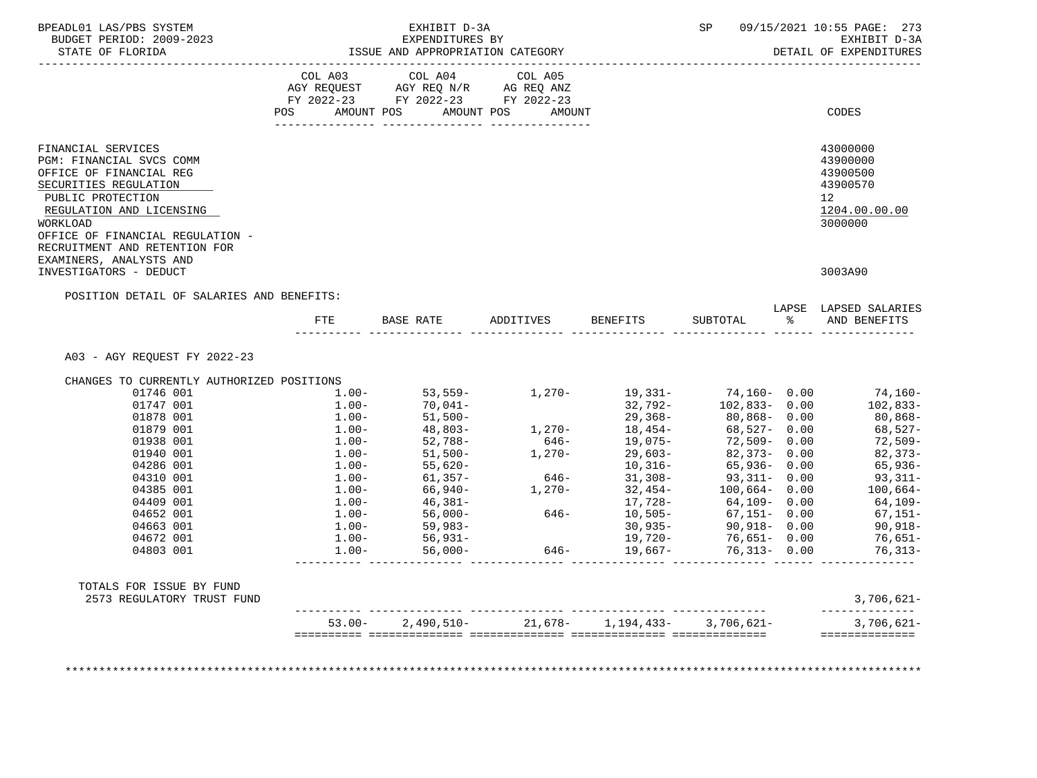| BPEADL01 LAS/PBS SYSTEM<br>BUDGET PERIOD: 2009-2023    |          | 09/15/2021 10:55 PAGE: 273<br>SP <sub>3</sub><br>EXHIBIT D-3A                                                                                                                                                                       |                  |                                                                                 |                                                                                                                       |  |                                                                                                                                                                                                             |
|--------------------------------------------------------|----------|-------------------------------------------------------------------------------------------------------------------------------------------------------------------------------------------------------------------------------------|------------------|---------------------------------------------------------------------------------|-----------------------------------------------------------------------------------------------------------------------|--|-------------------------------------------------------------------------------------------------------------------------------------------------------------------------------------------------------------|
| STATE OF FLORIDA                                       |          | ISSUE AND APPROPRIATION CATEGORY                                                                                                                                                                                                    |                  |                                                                                 |                                                                                                                       |  | DETAIL OF EXPENDITURES                                                                                                                                                                                      |
|                                                        |          | COL A03 COL A04 COL A05                                                                                                                                                                                                             |                  |                                                                                 |                                                                                                                       |  |                                                                                                                                                                                                             |
|                                                        |          | AGY REQUEST AGY REQ N/R AG REQ ANZ                                                                                                                                                                                                  |                  |                                                                                 |                                                                                                                       |  |                                                                                                                                                                                                             |
|                                                        |          | FY 2022-23 FY 2022-23 FY 2022-23                                                                                                                                                                                                    |                  |                                                                                 |                                                                                                                       |  |                                                                                                                                                                                                             |
|                                                        | POS      | AMOUNT POS AMOUNT POS AMOUNT                                                                                                                                                                                                        |                  |                                                                                 |                                                                                                                       |  | <b>CODES</b>                                                                                                                                                                                                |
| FINANCIAL SERVICES                                     |          |                                                                                                                                                                                                                                     |                  |                                                                                 |                                                                                                                       |  | 43000000                                                                                                                                                                                                    |
| PGM: FINANCIAL SVCS COMM                               |          |                                                                                                                                                                                                                                     |                  |                                                                                 |                                                                                                                       |  | 43900000                                                                                                                                                                                                    |
| OFFICE OF FINANCIAL REG                                |          |                                                                                                                                                                                                                                     |                  |                                                                                 |                                                                                                                       |  | 43900500                                                                                                                                                                                                    |
| SECURITIES REGULATION                                  |          |                                                                                                                                                                                                                                     |                  |                                                                                 |                                                                                                                       |  | 43900570                                                                                                                                                                                                    |
| PUBLIC PROTECTION                                      |          |                                                                                                                                                                                                                                     |                  |                                                                                 |                                                                                                                       |  | 12 <sup>7</sup>                                                                                                                                                                                             |
| REGULATION AND LICENSING                               |          |                                                                                                                                                                                                                                     |                  |                                                                                 |                                                                                                                       |  | 1204.00.00.00                                                                                                                                                                                               |
| WORKLOAD                                               |          |                                                                                                                                                                                                                                     |                  |                                                                                 |                                                                                                                       |  | 3000000                                                                                                                                                                                                     |
| OFFICE OF FINANCIAL REGULATION -                       |          |                                                                                                                                                                                                                                     |                  |                                                                                 |                                                                                                                       |  |                                                                                                                                                                                                             |
| RECRUITMENT AND RETENTION FOR                          |          |                                                                                                                                                                                                                                     |                  |                                                                                 |                                                                                                                       |  |                                                                                                                                                                                                             |
| EXAMINERS, ANALYSTS AND                                |          |                                                                                                                                                                                                                                     |                  |                                                                                 |                                                                                                                       |  |                                                                                                                                                                                                             |
| INVESTIGATORS - DEDUCT                                 |          |                                                                                                                                                                                                                                     |                  |                                                                                 |                                                                                                                       |  | 3003A90                                                                                                                                                                                                     |
| POSITION DETAIL OF SALARIES AND BENEFITS:              |          |                                                                                                                                                                                                                                     |                  |                                                                                 |                                                                                                                       |  |                                                                                                                                                                                                             |
|                                                        |          |                                                                                                                                                                                                                                     |                  |                                                                                 | SUBTOTAL                                                                                                              |  | LAPSE LAPSED SALARIES<br>% AND BENEFITS                                                                                                                                                                     |
|                                                        |          |                                                                                                                                                                                                                                     |                  |                                                                                 |                                                                                                                       |  |                                                                                                                                                                                                             |
|                                                        | FTE      | BASE RATE ADDITIVES                                                                                                                                                                                                                 |                  | BENEFITS                                                                        |                                                                                                                       |  |                                                                                                                                                                                                             |
| A03 - AGY REOUEST FY 2022-23                           |          |                                                                                                                                                                                                                                     |                  |                                                                                 |                                                                                                                       |  |                                                                                                                                                                                                             |
| CHANGES TO CURRENTLY AUTHORIZED POSITIONS              |          |                                                                                                                                                                                                                                     |                  |                                                                                 |                                                                                                                       |  |                                                                                                                                                                                                             |
| 01746 001                                              | $1.00-$  |                                                                                                                                                                                                                                     |                  |                                                                                 |                                                                                                                       |  |                                                                                                                                                                                                             |
| 01747 001                                              | $1.00-$  | 70,041-                                                                                                                                                                                                                             |                  |                                                                                 |                                                                                                                       |  |                                                                                                                                                                                                             |
| 01878 001                                              | $1.00 -$ |                                                                                                                                                                                                                                     |                  |                                                                                 |                                                                                                                       |  |                                                                                                                                                                                                             |
| 01879 001                                              | $1.00-$  | $51,500-$<br>$48,803-$                                                                                                                                                                                                              | $1,270-$         |                                                                                 |                                                                                                                       |  |                                                                                                                                                                                                             |
| 01938 001                                              |          |                                                                                                                                                                                                                                     |                  |                                                                                 |                                                                                                                       |  |                                                                                                                                                                                                             |
| 01940 001                                              |          | $1.00 - 52,788 - 1.00 - 51,500 -$                                                                                                                                                                                                   | $646-$<br>1,270- |                                                                                 | $32,792-102,833-0.00$<br>$29,368-80,868-0.00$<br>$18,454-68,527-0.00$<br>$19,075-72,509-0.00$<br>$29,603-82,373-0.00$ |  |                                                                                                                                                                                                             |
| 04286 001                                              |          |                                                                                                                                                                                                                                     |                  |                                                                                 |                                                                                                                       |  |                                                                                                                                                                                                             |
| 04310 001                                              |          |                                                                                                                                                                                                                                     |                  |                                                                                 |                                                                                                                       |  |                                                                                                                                                                                                             |
| 04385 001                                              |          |                                                                                                                                                                                                                                     |                  | $10,316 65,936 0.00$<br>$646 31,308 93,311 0.00$<br>$1,270 32,454 100,664 0.00$ |                                                                                                                       |  |                                                                                                                                                                                                             |
| 04409 001                                              |          |                                                                                                                                                                                                                                     |                  |                                                                                 |                                                                                                                       |  |                                                                                                                                                                                                             |
| 04652 001<br>04663 001                                 |          |                                                                                                                                                                                                                                     |                  | $17, 728 -$<br>646- 10,505-                                                     |                                                                                                                       |  |                                                                                                                                                                                                             |
| 04672 001                                              | $1.00 -$ | $1.00-$<br>$1.00-$<br>$1.00-$<br>$1.00-$<br>$1.00-$<br>$1.00-$<br>$1.00-$<br>$1.00-$<br>$1.00-$<br>$1.00-$<br>$1.00-$<br>$1.00-$<br>$1.00-$<br>$1.00-$<br>$1.00-$<br>$1.00-$<br>$1.00-$<br>$1.00-$<br>$1.00-$<br>$1.00-$<br>$1.00-$ |                  | $30,935-$                                                                       | 90,918- 0.00                                                                                                          |  |                                                                                                                                                                                                             |
| 04803 001                                              | $1.00 -$ | $56,931-$<br>56,000-                                                                                                                                                                                                                | 646-             | 19,720-<br>19,667-                                                              | $76,651 - 0.00$<br>$76,313 - 0.00$                                                                                    |  | $53,559$ - 1,270- 19,331- 74,160- 0.00 74,160-<br>$102,833-$<br>$80,868-$<br>68,527-<br>72,509-<br>$82,373-$<br>65,936-<br>$93,311-$<br>100,664-<br>64,109-<br>$67, 151 -$<br>90,918-<br>76,651-<br>76,313- |
|                                                        |          |                                                                                                                                                                                                                                     |                  |                                                                                 |                                                                                                                       |  |                                                                                                                                                                                                             |
| TOTALS FOR ISSUE BY FUND<br>2573 REGULATORY TRUST FUND |          |                                                                                                                                                                                                                                     |                  |                                                                                 |                                                                                                                       |  |                                                                                                                                                                                                             |
|                                                        |          |                                                                                                                                                                                                                                     |                  | $53.00 - 2,490,510 - 21,678 - 1,194,433 - 3,706,621 -$                          |                                                                                                                       |  | $3,706,621-$<br>--------------<br>$3,706,621-$                                                                                                                                                              |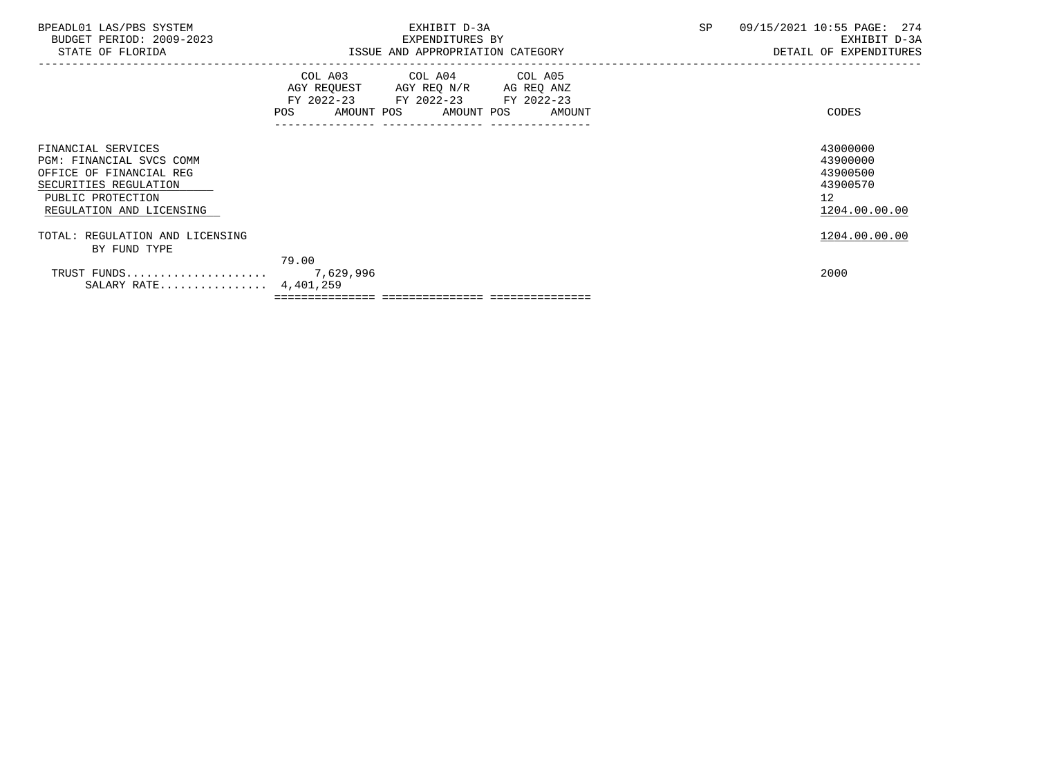| BPEADL01 LAS/PBS SYSTEM<br>BUDGET PERIOD: 2009-2023<br>STATE OF FLORIDA                                                                             | EXHIBIT D-3A<br>EXPENDITURES BY<br>ISSUE AND APPROPRIATION CATEGORY                                                                                                             | SP<br>09/15/2021 10:55 PAGE: 274<br>EXHIBIT D-3A<br>DETAIL OF EXPENDITURES       |
|-----------------------------------------------------------------------------------------------------------------------------------------------------|---------------------------------------------------------------------------------------------------------------------------------------------------------------------------------|----------------------------------------------------------------------------------|
|                                                                                                                                                     | COL A03 COL A04 COL A05<br>AGY REQUEST AGY REQ N/R AG REQ ANZ<br>FY 2022-23 FY 2022-23 FY 2022-23<br>POS AMOUNT POS AMOUNT POS AMOUNT<br>______________________________________ | CODES                                                                            |
| FINANCIAL SERVICES<br>PGM: FINANCIAL SVCS COMM<br>OFFICE OF FINANCIAL REG<br>SECURITIES REGULATION<br>PUBLIC PROTECTION<br>REGULATION AND LICENSING |                                                                                                                                                                                 | 43000000<br>43900000<br>43900500<br>43900570<br>12 <sup>1</sup><br>1204.00.00.00 |
| TOTAL: REGULATION AND LICENSING<br>BY FUND TYPE                                                                                                     |                                                                                                                                                                                 | 1204.00.00.00                                                                    |
| SALARY RATE 4,401,259                                                                                                                               | 79.00                                                                                                                                                                           | 2000                                                                             |
|                                                                                                                                                     |                                                                                                                                                                                 |                                                                                  |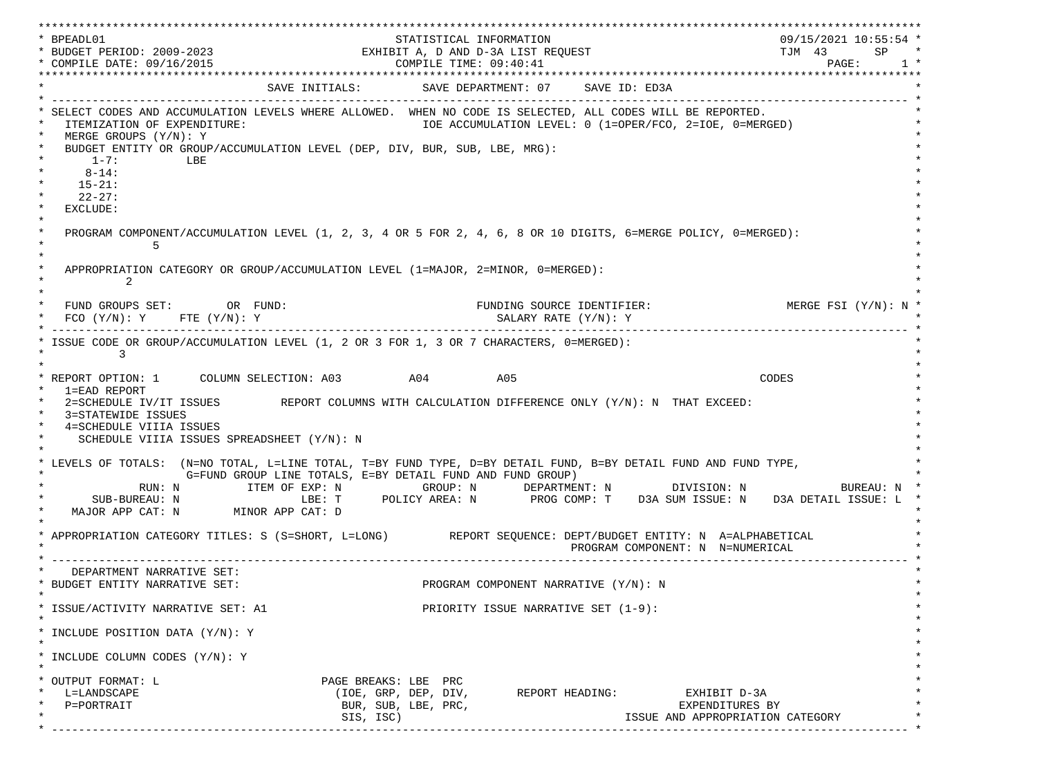\*\*\*\*\*\*\*\*\*\*\*\*\*\*\*\*\*\*\*\*\*\*\*\*\*\*\*\*\*\*\*\*\*\*\*\*\*\*\*\*\*\*\*\*\*\*\*\*\*\*\*\*\*\*\*\*\*\*\*\*\*\*\*\*\*\*\*\*\*\*\*\*\*\*\*\*\*\*\*\*\*\*\*\*\*\*\*\*\*\*\*\*\*\*\*\*\*\*\*\*\*\*\*\*\*\*\*\*\*\*\*\*\*\*\*\*\*\*\*\*\*\*\*\*\*\*\*\*\*\*\* \* BPEADL01 STATISTICAL INFORMATION 09/15/2021 10:55:54 \* \* BUDGET PERIOD: 2009-2023 EXHIBIT A, D AND D-3A LIST REQUEST TJM 43 SP \* \* COMPILE DATE: 09/16/2015 2010 2020 2020 COMPILE TIME: 09:40:41 \*\*\*\*\*\*\*\*\*\*\*\*\*\*\*\*\*\*\*\*\*\*\*\*\*\*\*\*\*\*\*\*\*\*\*\*\*\*\*\*\*\*\*\*\*\*\*\*\*\*\*\*\*\*\*\*\*\*\*\*\*\*\*\*\*\*\*\*\*\*\*\*\*\*\*\*\*\*\*\*\*\*\*\*\*\*\*\*\*\*\*\*\*\*\*\*\*\*\*\*\*\*\*\*\*\*\*\*\*\*\*\*\*\*\*\*\*\*\*\*\*\*\*\*\*\*\*\*\*\*\* SAVE INITIALS: SAVE DEPARTMENT: 07 SAVE ID: ED3A \* ------------------------------------------------------------------------------------------------------------------------------- \* SELECT CODES AND ACCUMULATION LEVELS WHERE ALLOWED. WHEN NO CODE IS SELECTED, ALL CODES WILL BE REPORTED. ITEMIZATION OF EXPENDITURE:  $\overline{10E}$  accumulation level: 0 (1=OPER/FCO, 2=IOE, 0=MERGED) MERGE GROUPS (Y/N): Y BUDGET ENTITY OR GROUP/ACCUMULATION LEVEL (DEP, DIV, BUR, SUB, LBE, MRG):  $*$  1-7: LBE  $*$  $*$  8-14:  $*$  $*$  15-21:  $*$  $*$  22-27: \* \* EXCLUDE: \*  $\star$   $\star$  \* PROGRAM COMPONENT/ACCUMULATION LEVEL (1, 2, 3, 4 OR 5 FOR 2, 4, 6, 8 OR 10 DIGITS, 6=MERGE POLICY, 0=MERGED): \*  $\star$  5  $\star$  $\star$   $\star$ APPROPRIATION CATEGORY OR GROUP/ACCUMULATION LEVEL (1=MAJOR, 2=MINOR, 0=MERGED):  $\star$  2  $\star$  $\star$   $\star$ FUND GROUPS SET: OR FUND: THE SOURCE IDENTIFIER: MERGE FSI (Y/N): N  $FCO (Y/N): Y$  FTE  $(Y/N): Y$  SALARY RATE  $(Y/N): Y$  \* ------------------------------------------------------------------------------------------------------------------------------- \* ISSUE CODE OR GROUP/ACCUMULATION LEVEL (1, 2 OR 3 FOR 1, 3 OR 7 CHARACTERS, 0=MERGED):  $\star$  3  $\star$  $\star$   $\star$  \* REPORT OPTION: 1 COLUMN SELECTION: A03 A04 A05 CODES \* \* 1=EAD REPORT \* 2=SCHEDULE IV/IT ISSUES REPORT COLUMNS WITH CALCULATION DIFFERENCE ONLY (Y/N): N THAT EXCEED: 3=STATEWIDE ISSUES 4=SCHEDULE VIIIA ISSUES SCHEDULE VIIIA ISSUES SPREADSHEET (Y/N): N \* \* \* LEVELS OF TOTALS: (N=NO TOTAL, L=LINE TOTAL, T=BY FUND TYPE, D=BY DETAIL FUND, B=BY DETAIL FUND AND FUND TYPE, \* G=FUND GROUP LINE TOTALS, E=BY DETAIL FUND AND FUND GROUP) \* RUN: N ITEM OF EXP: N GROUP: N DEPARTMENT: N DIVISION: N BUREAU: N \* \* SUB-BUREAU: N LBE: T POLICY AREA: N PROG COMP: T D3A SUM ISSUE: N D3A DETAIL ISSUE: L \* MAJOR APP CAT: N MINOR APP CAT: D \* \* APPROPRIATION CATEGORY TITLES: S (S=SHORT, L=LONG) REPORT SEQUENCE: DEPT/BUDGET ENTITY: N A=ALPHABETICAL PROGRAM COMPONENT: N N=NUMERICAL \* ------------------------------------------------------------------------------------------------------------------------------- \* DEPARTMENT NARRATIVE SET:<br>BUDGET ENTITY NARRATIVE SET: PROGRAM COMPONENT NARRATIVE (Y/N): N \* \* \* ISSUE/ACTIVITY NARRATIVE SET: A1 PRIORITY ISSUE NARRATIVE SET (1-9): \*  $\star$   $\star$  \* INCLUDE POSITION DATA (Y/N): Y \* \* \* INCLUDE COLUMN CODES  $(Y/N): Y$  \* \* \* OUTPUT FORMAT: L PAGE BREAKS: LBE PRC \* \* L=LANDSCAPE (IOE, GRP, DEP, DIV, REPORT HEADING: EXHIBIT D-3A \* \* P=PORTRAIT BUR, SUB, LBE, PRC, EXPENDITURES BY \* SIS, ISC) ISSUE AND APPROPRIATION CATEGORY \* ------------------------------------------------------------------------------------------------------------------------------- \*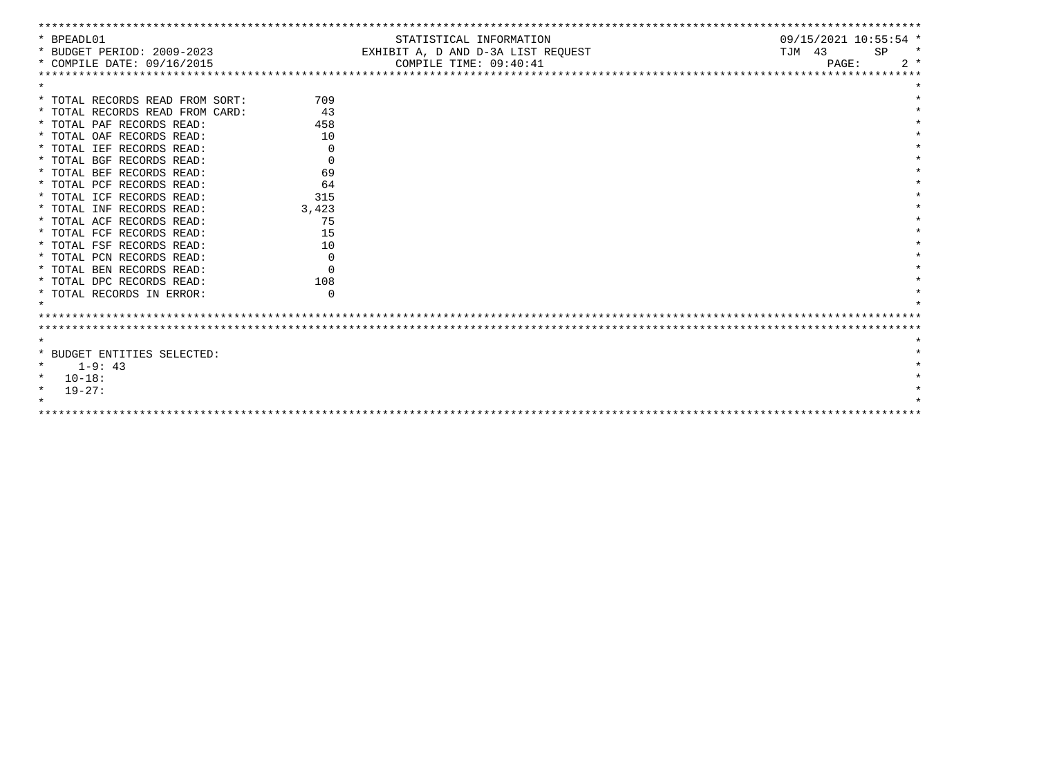| * BPEADL01                      |          | STATISTICAL INFORMATION            | 09/15/2021 10:55:54 * |        |
|---------------------------------|----------|------------------------------------|-----------------------|--------|
| * BUDGET PERIOD: 2009-2023      |          | EXHIBIT A, D AND D-3A LIST REOUEST | TJM 43<br>SP          | $\ast$ |
| * COMPILE DATE: 09/16/2015      |          | COMPILE TIME: 09:40:41             | PAGE:                 | $2 *$  |
|                                 |          |                                    |                       |        |
|                                 |          |                                    |                       |        |
| * TOTAL RECORDS READ FROM SORT: | 709      |                                    |                       |        |
| * TOTAL RECORDS READ FROM CARD: | 43       |                                    |                       |        |
| * TOTAL PAF RECORDS READ:       | 458      |                                    |                       |        |
| * TOTAL OAF RECORDS READ:       | 10       |                                    |                       |        |
| * TOTAL IEF RECORDS READ:       | 0        |                                    |                       |        |
| * TOTAL BGF RECORDS READ:       | $\Omega$ |                                    |                       |        |
| * TOTAL BEF RECORDS READ:       | 69       |                                    |                       |        |
| * TOTAL PCF RECORDS READ:       | 64       |                                    |                       |        |
| * TOTAL ICF RECORDS READ:       | 315      |                                    |                       |        |
| * TOTAL INF RECORDS READ:       | 3,423    |                                    |                       |        |
| * TOTAL ACF RECORDS READ:       | 75       |                                    |                       |        |
| * TOTAL FCF RECORDS READ:       | 15       |                                    |                       |        |
| * TOTAL FSF RECORDS READ:       | 10       |                                    |                       |        |
| * TOTAL PCN RECORDS READ:       | $\Omega$ |                                    |                       |        |
| * TOTAL BEN RECORDS READ:       | $\Omega$ |                                    |                       |        |
| * TOTAL DPC RECORDS READ:       | 108      |                                    |                       |        |
| * TOTAL RECORDS IN ERROR:       | $\Omega$ |                                    |                       |        |
|                                 |          |                                    |                       |        |
|                                 |          |                                    |                       |        |
|                                 |          |                                    |                       |        |
| $\star$                         |          |                                    |                       |        |
| * BUDGET ENTITIES SELECTED:     |          |                                    |                       |        |
| $1 - 9:43$<br>$\star$           |          |                                    |                       |        |
| $10 - 18:$<br>$\star$           |          |                                    |                       |        |
| $\star$<br>$19 - 27:$           |          |                                    |                       |        |
|                                 |          |                                    |                       |        |
|                                 |          |                                    |                       |        |